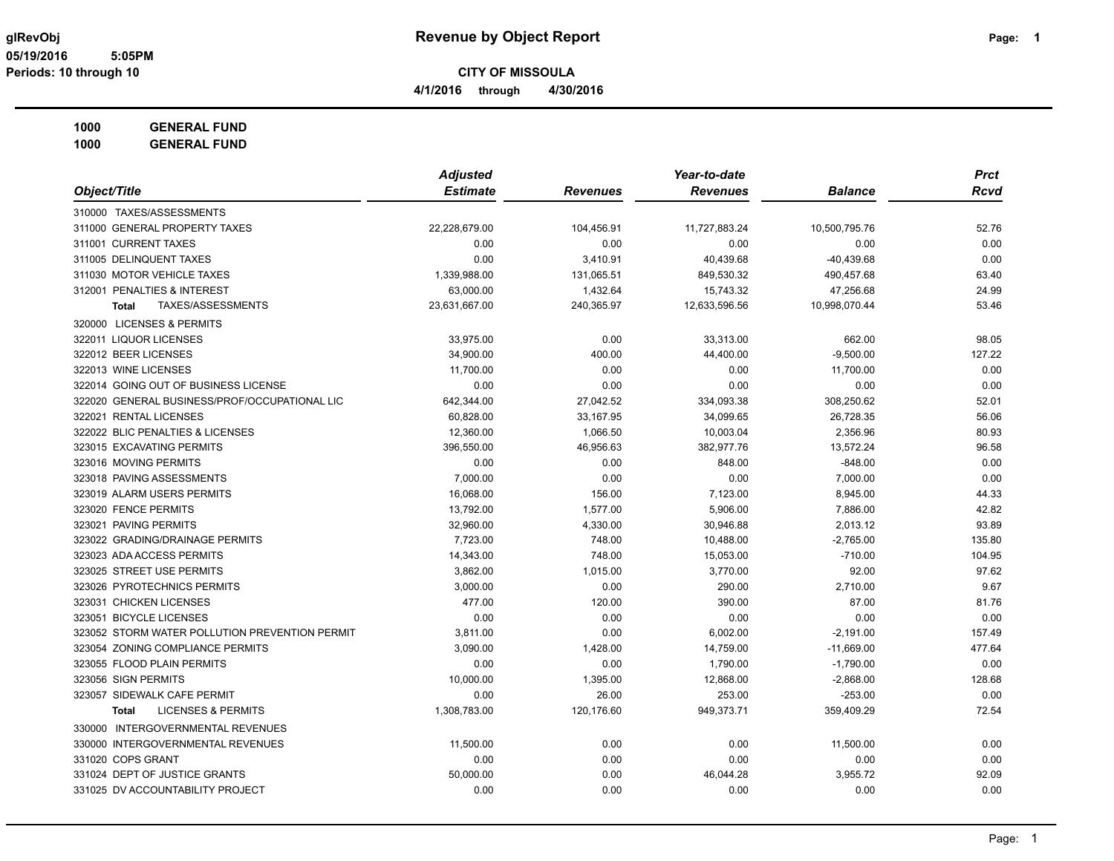**4/1/2016 through 4/30/2016**

**1000 GENERAL FUND**

|                                                | <b>Adjusted</b> |                 | Year-to-date    |                | <b>Prct</b> |
|------------------------------------------------|-----------------|-----------------|-----------------|----------------|-------------|
| Object/Title                                   | <b>Estimate</b> | <b>Revenues</b> | <b>Revenues</b> | <b>Balance</b> | <b>Rcvd</b> |
| 310000 TAXES/ASSESSMENTS                       |                 |                 |                 |                |             |
| 311000 GENERAL PROPERTY TAXES                  | 22,228,679.00   | 104,456.91      | 11,727,883.24   | 10,500,795.76  | 52.76       |
| 311001 CURRENT TAXES                           | 0.00            | 0.00            | 0.00            | 0.00           | 0.00        |
| 311005 DELINQUENT TAXES                        | 0.00            | 3,410.91        | 40,439.68       | $-40,439.68$   | 0.00        |
| 311030 MOTOR VEHICLE TAXES                     | 1,339,988.00    | 131,065.51      | 849,530.32      | 490,457.68     | 63.40       |
| 312001 PENALTIES & INTEREST                    | 63,000.00       | 1,432.64        | 15,743.32       | 47,256.68      | 24.99       |
| TAXES/ASSESSMENTS<br><b>Total</b>              | 23,631,667.00   | 240,365.97      | 12,633,596.56   | 10,998,070.44  | 53.46       |
| 320000 LICENSES & PERMITS                      |                 |                 |                 |                |             |
| 322011 LIQUOR LICENSES                         | 33,975.00       | 0.00            | 33,313.00       | 662.00         | 98.05       |
| 322012 BEER LICENSES                           | 34,900.00       | 400.00          | 44,400.00       | $-9,500.00$    | 127.22      |
| 322013 WINE LICENSES                           | 11,700.00       | 0.00            | 0.00            | 11,700.00      | 0.00        |
| 322014 GOING OUT OF BUSINESS LICENSE           | 0.00            | 0.00            | 0.00            | 0.00           | 0.00        |
| 322020 GENERAL BUSINESS/PROF/OCCUPATIONAL LIC  | 642,344.00      | 27,042.52       | 334,093.38      | 308,250.62     | 52.01       |
| 322021 RENTAL LICENSES                         | 60,828.00       | 33,167.95       | 34,099.65       | 26,728.35      | 56.06       |
| 322022 BLIC PENALTIES & LICENSES               | 12,360.00       | 1,066.50        | 10,003.04       | 2,356.96       | 80.93       |
| 323015 EXCAVATING PERMITS                      | 396,550.00      | 46,956.63       | 382,977.76      | 13,572.24      | 96.58       |
| 323016 MOVING PERMITS                          | 0.00            | 0.00            | 848.00          | $-848.00$      | 0.00        |
| 323018 PAVING ASSESSMENTS                      | 7.000.00        | 0.00            | 0.00            | 7,000.00       | 0.00        |
| 323019 ALARM USERS PERMITS                     | 16,068.00       | 156.00          | 7,123.00        | 8,945.00       | 44.33       |
| 323020 FENCE PERMITS                           | 13,792.00       | 1.577.00        | 5,906.00        | 7,886.00       | 42.82       |
| 323021 PAVING PERMITS                          | 32,960.00       | 4,330.00        | 30,946.88       | 2,013.12       | 93.89       |
| 323022 GRADING/DRAINAGE PERMITS                | 7,723.00        | 748.00          | 10,488.00       | $-2,765.00$    | 135.80      |
| 323023 ADA ACCESS PERMITS                      | 14,343.00       | 748.00          | 15,053.00       | $-710.00$      | 104.95      |
| 323025 STREET USE PERMITS                      | 3,862.00        | 1,015.00        | 3,770.00        | 92.00          | 97.62       |
| 323026 PYROTECHNICS PERMITS                    | 3,000.00        | 0.00            | 290.00          | 2,710.00       | 9.67        |
| 323031 CHICKEN LICENSES                        | 477.00          | 120.00          | 390.00          | 87.00          | 81.76       |
| 323051 BICYCLE LICENSES                        | 0.00            | 0.00            | 0.00            | 0.00           | 0.00        |
| 323052 STORM WATER POLLUTION PREVENTION PERMIT | 3,811.00        | 0.00            | 6,002.00        | $-2,191.00$    | 157.49      |
| 323054 ZONING COMPLIANCE PERMITS               | 3,090.00        | 1,428.00        | 14,759.00       | $-11,669.00$   | 477.64      |
| 323055 FLOOD PLAIN PERMITS                     | 0.00            | 0.00            | 1,790.00        | $-1,790.00$    | 0.00        |
| 323056 SIGN PERMITS                            | 10,000.00       | 1,395.00        | 12,868.00       | $-2,868.00$    | 128.68      |
| 323057 SIDEWALK CAFE PERMIT                    | 0.00            | 26.00           | 253.00          | $-253.00$      | 0.00        |
| <b>LICENSES &amp; PERMITS</b><br><b>Total</b>  | 1,308,783.00    | 120,176.60      | 949,373.71      | 359,409.29     | 72.54       |
| 330000 INTERGOVERNMENTAL REVENUES              |                 |                 |                 |                |             |
| 330000 INTERGOVERNMENTAL REVENUES              | 11,500.00       | 0.00            | 0.00            | 11,500.00      | 0.00        |
| 331020 COPS GRANT                              | 0.00            | 0.00            | 0.00            | 0.00           | 0.00        |
| 331024 DEPT OF JUSTICE GRANTS                  | 50,000.00       | 0.00            | 46,044.28       | 3,955.72       | 92.09       |
| 331025 DV ACCOUNTABILITY PROJECT               | 0.00            | 0.00            | 0.00            | 0.00           | 0.00        |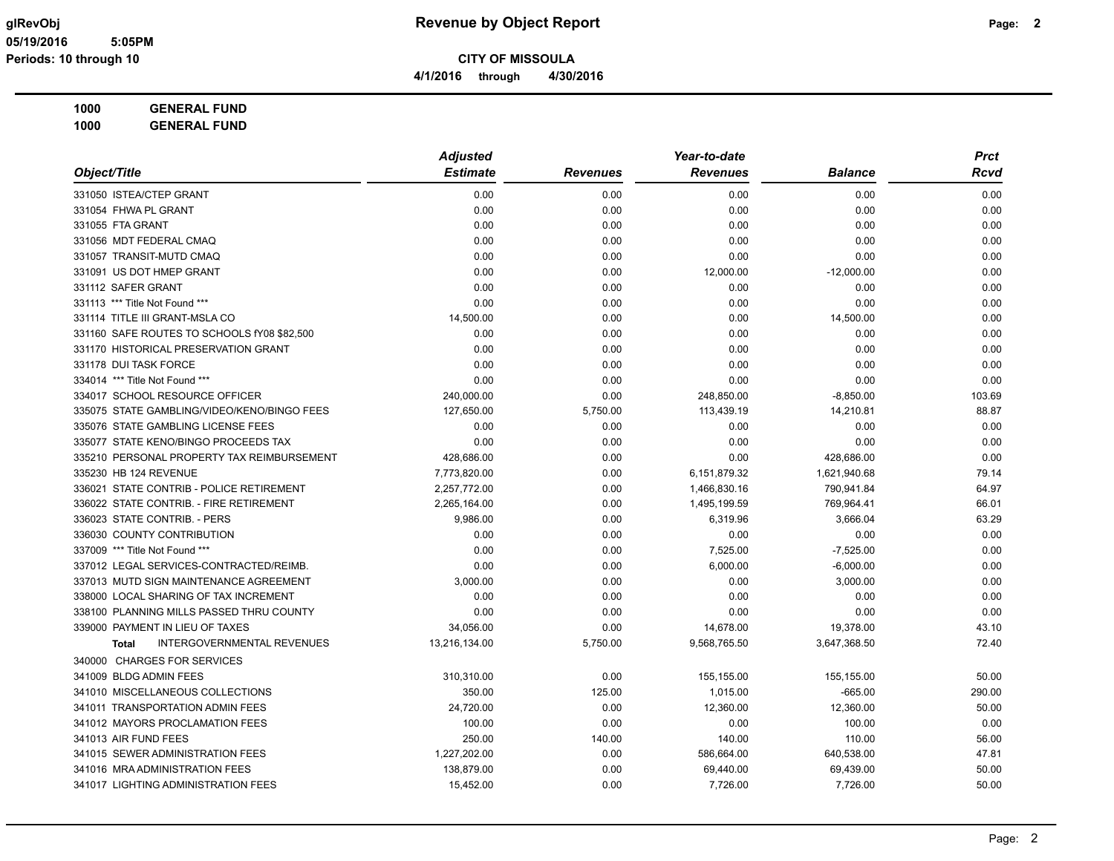# **1000 GENERAL FUND**

|                                                   | <b>Adjusted</b> |                 | Year-to-date    |                | <b>Prct</b> |
|---------------------------------------------------|-----------------|-----------------|-----------------|----------------|-------------|
| Object/Title                                      | <b>Estimate</b> | <b>Revenues</b> | <b>Revenues</b> | <b>Balance</b> | Rcvd        |
| 331050 ISTEA/CTEP GRANT                           | 0.00            | 0.00            | 0.00            | 0.00           | 0.00        |
| 331054 FHWA PL GRANT                              | 0.00            | 0.00            | 0.00            | 0.00           | 0.00        |
| 331055 FTA GRANT                                  | 0.00            | 0.00            | 0.00            | 0.00           | 0.00        |
| 331056 MDT FEDERAL CMAQ                           | 0.00            | 0.00            | 0.00            | 0.00           | 0.00        |
| 331057 TRANSIT-MUTD CMAQ                          | 0.00            | 0.00            | 0.00            | 0.00           | 0.00        |
| 331091 US DOT HMEP GRANT                          | 0.00            | 0.00            | 12,000.00       | $-12,000.00$   | 0.00        |
| 331112 SAFER GRANT                                | 0.00            | 0.00            | 0.00            | 0.00           | 0.00        |
| 331113 *** Title Not Found ***                    | 0.00            | 0.00            | 0.00            | 0.00           | 0.00        |
| 331114 TITLE III GRANT-MSLA CO                    | 14,500.00       | 0.00            | 0.00            | 14,500.00      | 0.00        |
| 331160 SAFE ROUTES TO SCHOOLS fY08 \$82,500       | 0.00            | 0.00            | 0.00            | 0.00           | 0.00        |
| 331170 HISTORICAL PRESERVATION GRANT              | 0.00            | 0.00            | 0.00            | 0.00           | 0.00        |
| 331178 DUI TASK FORCE                             | 0.00            | 0.00            | 0.00            | 0.00           | 0.00        |
| 334014 *** Title Not Found ***                    | 0.00            | 0.00            | 0.00            | 0.00           | 0.00        |
| 334017 SCHOOL RESOURCE OFFICER                    | 240,000.00      | 0.00            | 248,850.00      | $-8,850.00$    | 103.69      |
| 335075 STATE GAMBLING/VIDEO/KENO/BINGO FEES       | 127,650.00      | 5,750.00        | 113,439.19      | 14,210.81      | 88.87       |
| 335076 STATE GAMBLING LICENSE FEES                | 0.00            | 0.00            | 0.00            | 0.00           | 0.00        |
| 335077 STATE KENO/BINGO PROCEEDS TAX              | 0.00            | 0.00            | 0.00            | 0.00           | 0.00        |
| 335210 PERSONAL PROPERTY TAX REIMBURSEMENT        | 428,686.00      | 0.00            | 0.00            | 428,686.00     | 0.00        |
| 335230 HB 124 REVENUE                             | 7,773,820.00    | 0.00            | 6,151,879.32    | 1,621,940.68   | 79.14       |
| 336021 STATE CONTRIB - POLICE RETIREMENT          | 2,257,772.00    | 0.00            | 1,466,830.16    | 790,941.84     | 64.97       |
| 336022 STATE CONTRIB. - FIRE RETIREMENT           | 2,265,164.00    | 0.00            | 1,495,199.59    | 769,964.41     | 66.01       |
| 336023 STATE CONTRIB. - PERS                      | 9,986.00        | 0.00            | 6,319.96        | 3,666.04       | 63.29       |
| 336030 COUNTY CONTRIBUTION                        | 0.00            | 0.00            | 0.00            | 0.00           | 0.00        |
| 337009 *** Title Not Found ***                    | 0.00            | 0.00            | 7,525.00        | $-7,525.00$    | 0.00        |
| 337012 LEGAL SERVICES-CONTRACTED/REIMB.           | 0.00            | 0.00            | 6,000.00        | $-6,000.00$    | 0.00        |
| 337013 MUTD SIGN MAINTENANCE AGREEMENT            | 3,000.00        | 0.00            | 0.00            | 3,000.00       | 0.00        |
| 338000 LOCAL SHARING OF TAX INCREMENT             | 0.00            | 0.00            | 0.00            | 0.00           | 0.00        |
| 338100 PLANNING MILLS PASSED THRU COUNTY          | 0.00            | 0.00            | 0.00            | 0.00           | 0.00        |
| 339000 PAYMENT IN LIEU OF TAXES                   | 34,056.00       | 0.00            | 14,678.00       | 19,378.00      | 43.10       |
| <b>INTERGOVERNMENTAL REVENUES</b><br><b>Total</b> | 13,216,134.00   | 5,750.00        | 9,568,765.50    | 3,647,368.50   | 72.40       |
| 340000 CHARGES FOR SERVICES                       |                 |                 |                 |                |             |
| 341009 BLDG ADMIN FEES                            | 310,310.00      | 0.00            | 155,155.00      | 155,155.00     | 50.00       |
| 341010 MISCELLANEOUS COLLECTIONS                  | 350.00          | 125.00          | 1,015.00        | $-665.00$      | 290.00      |
| 341011 TRANSPORTATION ADMIN FEES                  | 24,720.00       | 0.00            | 12,360.00       | 12,360.00      | 50.00       |
| 341012 MAYORS PROCLAMATION FEES                   | 100.00          | 0.00            | 0.00            | 100.00         | 0.00        |
| 341013 AIR FUND FEES                              | 250.00          | 140.00          | 140.00          | 110.00         | 56.00       |
| 341015 SEWER ADMINISTRATION FEES                  | 1,227,202.00    | 0.00            | 586,664.00      | 640,538.00     | 47.81       |
| 341016 MRA ADMINISTRATION FEES                    | 138,879.00      | 0.00            | 69,440.00       | 69,439.00      | 50.00       |
| 341017 LIGHTING ADMINISTRATION FEES               | 15,452.00       | 0.00            | 7,726.00        | 7,726.00       | 50.00       |
|                                                   |                 |                 |                 |                |             |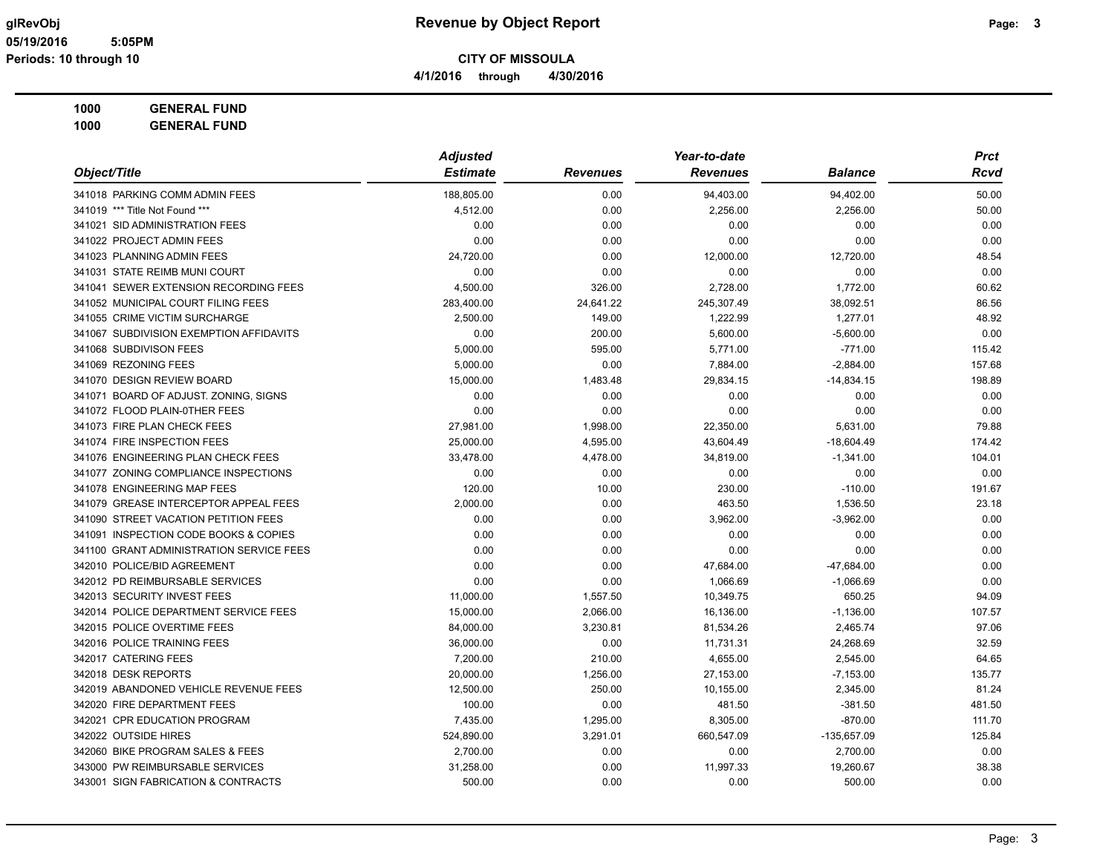# **1000 GENERAL FUND**

|                                          | <b>Adjusted</b> |                 | Year-to-date    |                | <b>Prct</b> |
|------------------------------------------|-----------------|-----------------|-----------------|----------------|-------------|
| Object/Title                             | <b>Estimate</b> | <b>Revenues</b> | <b>Revenues</b> | <b>Balance</b> | Rcvd        |
| 341018 PARKING COMM ADMIN FEES           | 188.805.00      | 0.00            | 94,403.00       | 94,402.00      | 50.00       |
| 341019 *** Title Not Found ***           | 4,512.00        | 0.00            | 2,256.00        | 2,256.00       | 50.00       |
| 341021 SID ADMINISTRATION FEES           | 0.00            | 0.00            | 0.00            | 0.00           | 0.00        |
| 341022 PROJECT ADMIN FEES                | 0.00            | 0.00            | 0.00            | 0.00           | 0.00        |
| 341023 PLANNING ADMIN FEES               | 24,720.00       | 0.00            | 12,000.00       | 12,720.00      | 48.54       |
| 341031 STATE REIMB MUNI COURT            | 0.00            | 0.00            | 0.00            | 0.00           | 0.00        |
| 341041 SEWER EXTENSION RECORDING FEES    | 4,500.00        | 326.00          | 2,728.00        | 1,772.00       | 60.62       |
| 341052 MUNICIPAL COURT FILING FEES       | 283,400.00      | 24,641.22       | 245,307.49      | 38,092.51      | 86.56       |
| 341055 CRIME VICTIM SURCHARGE            | 2.500.00        | 149.00          | 1,222.99        | 1,277.01       | 48.92       |
| 341067 SUBDIVISION EXEMPTION AFFIDAVITS  | 0.00            | 200.00          | 5,600.00        | $-5,600.00$    | 0.00        |
| 341068 SUBDIVISON FEES                   | 5,000.00        | 595.00          | 5,771.00        | $-771.00$      | 115.42      |
| 341069 REZONING FEES                     | 5,000.00        | 0.00            | 7,884.00        | $-2,884.00$    | 157.68      |
| 341070 DESIGN REVIEW BOARD               | 15,000.00       | 1,483.48        | 29,834.15       | $-14,834.15$   | 198.89      |
| 341071 BOARD OF ADJUST. ZONING, SIGNS    | 0.00            | 0.00            | 0.00            | 0.00           | 0.00        |
| 341072 FLOOD PLAIN-0THER FEES            | 0.00            | 0.00            | 0.00            | 0.00           | 0.00        |
| 341073 FIRE PLAN CHECK FEES              | 27,981.00       | 1,998.00        | 22,350.00       | 5,631.00       | 79.88       |
| 341074 FIRE INSPECTION FEES              | 25,000.00       | 4,595.00        | 43,604.49       | $-18,604.49$   | 174.42      |
| 341076 ENGINEERING PLAN CHECK FEES       | 33,478.00       | 4,478.00        | 34,819.00       | $-1,341.00$    | 104.01      |
| 341077 ZONING COMPLIANCE INSPECTIONS     | 0.00            | 0.00            | 0.00            | 0.00           | 0.00        |
| 341078 ENGINEERING MAP FEES              | 120.00          | 10.00           | 230.00          | $-110.00$      | 191.67      |
| 341079 GREASE INTERCEPTOR APPEAL FEES    | 2,000.00        | 0.00            | 463.50          | 1,536.50       | 23.18       |
| 341090 STREET VACATION PETITION FEES     | 0.00            | 0.00            | 3,962.00        | $-3,962.00$    | 0.00        |
| 341091 INSPECTION CODE BOOKS & COPIES    | 0.00            | 0.00            | 0.00            | 0.00           | 0.00        |
| 341100 GRANT ADMINISTRATION SERVICE FEES | 0.00            | 0.00            | 0.00            | 0.00           | 0.00        |
| 342010 POLICE/BID AGREEMENT              | 0.00            | 0.00            | 47,684.00       | -47,684.00     | 0.00        |
| 342012 PD REIMBURSABLE SERVICES          | 0.00            | 0.00            | 1,066.69        | $-1,066.69$    | 0.00        |
| 342013 SECURITY INVEST FEES              | 11,000.00       | 1,557.50        | 10,349.75       | 650.25         | 94.09       |
| 342014 POLICE DEPARTMENT SERVICE FEES    | 15,000.00       | 2,066.00        | 16,136.00       | $-1,136.00$    | 107.57      |
| 342015 POLICE OVERTIME FEES              | 84,000.00       | 3,230.81        | 81,534.26       | 2,465.74       | 97.06       |
| 342016 POLICE TRAINING FEES              | 36,000.00       | 0.00            | 11,731.31       | 24,268.69      | 32.59       |
| 342017 CATERING FEES                     | 7,200.00        | 210.00          | 4,655.00        | 2,545.00       | 64.65       |
| 342018 DESK REPORTS                      | 20,000.00       | 1,256.00        | 27,153.00       | $-7,153.00$    | 135.77      |
| 342019 ABANDONED VEHICLE REVENUE FEES    | 12,500.00       | 250.00          | 10,155.00       | 2,345.00       | 81.24       |
| 342020 FIRE DEPARTMENT FEES              | 100.00          | 0.00            | 481.50          | $-381.50$      | 481.50      |
| 342021 CPR EDUCATION PROGRAM             | 7,435.00        | 1,295.00        | 8,305.00        | $-870.00$      | 111.70      |
| 342022 OUTSIDE HIRES                     | 524,890.00      | 3,291.01        | 660,547.09      | -135,657.09    | 125.84      |
| 342060 BIKE PROGRAM SALES & FEES         | 2,700.00        | 0.00            | 0.00            | 2,700.00       | 0.00        |
| 343000 PW REIMBURSABLE SERVICES          | 31,258.00       | 0.00            | 11,997.33       | 19,260.67      | 38.38       |
| 343001 SIGN FABRICATION & CONTRACTS      | 500.00          | 0.00            | 0.00            | 500.00         | 0.00        |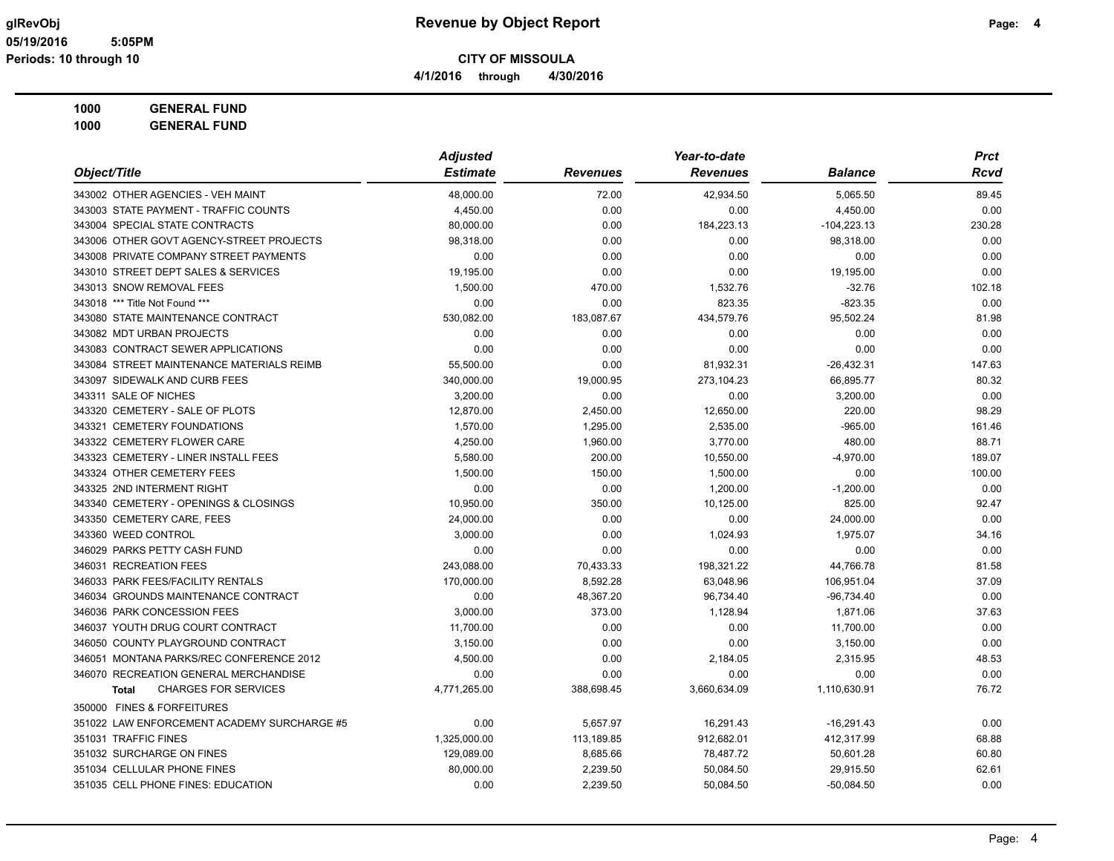# **1000 GENERAL FUND**

|                                             | <b>Adjusted</b> |                 | Year-to-date    |                | <b>Prct</b> |
|---------------------------------------------|-----------------|-----------------|-----------------|----------------|-------------|
| Object/Title                                | <b>Estimate</b> | <b>Revenues</b> | <b>Revenues</b> | <b>Balance</b> | Rcvd        |
| 343002 OTHER AGENCIES - VEH MAINT           | 48,000.00       | 72.00           | 42,934.50       | 5,065.50       | 89.45       |
| 343003 STATE PAYMENT - TRAFFIC COUNTS       | 4,450.00        | 0.00            | 0.00            | 4,450.00       | 0.00        |
| 343004 SPECIAL STATE CONTRACTS              | 80,000.00       | 0.00            | 184,223.13      | $-104,223.13$  | 230.28      |
| 343006 OTHER GOVT AGENCY-STREET PROJECTS    | 98,318.00       | 0.00            | 0.00            | 98,318.00      | 0.00        |
| 343008 PRIVATE COMPANY STREET PAYMENTS      | 0.00            | 0.00            | 0.00            | 0.00           | 0.00        |
| 343010 STREET DEPT SALES & SERVICES         | 19,195.00       | 0.00            | 0.00            | 19,195.00      | 0.00        |
| 343013 SNOW REMOVAL FEES                    | 1.500.00        | 470.00          | 1,532.76        | $-32.76$       | 102.18      |
| 343018 *** Title Not Found ***              | 0.00            | 0.00            | 823.35          | $-823.35$      | 0.00        |
| 343080 STATE MAINTENANCE CONTRACT           | 530,082.00      | 183,087.67      | 434,579.76      | 95,502.24      | 81.98       |
| 343082 MDT URBAN PROJECTS                   | 0.00            | 0.00            | 0.00            | 0.00           | 0.00        |
| 343083 CONTRACT SEWER APPLICATIONS          | 0.00            | 0.00            | 0.00            | 0.00           | 0.00        |
| 343084 STREET MAINTENANCE MATERIALS REIMB   | 55,500.00       | 0.00            | 81,932.31       | $-26,432.31$   | 147.63      |
| 343097 SIDEWALK AND CURB FEES               | 340,000.00      | 19,000.95       | 273,104.23      | 66,895.77      | 80.32       |
| 343311 SALE OF NICHES                       | 3,200.00        | 0.00            | 0.00            | 3,200.00       | 0.00        |
| 343320 CEMETERY - SALE OF PLOTS             | 12,870.00       | 2,450.00        | 12,650.00       | 220.00         | 98.29       |
| 343321 CEMETERY FOUNDATIONS                 | 1,570.00        | 1,295.00        | 2,535.00        | $-965.00$      | 161.46      |
| 343322 CEMETERY FLOWER CARE                 | 4,250.00        | 1,960.00        | 3,770.00        | 480.00         | 88.71       |
| 343323 CEMETERY - LINER INSTALL FEES        | 5,580.00        | 200.00          | 10,550.00       | $-4,970.00$    | 189.07      |
| 343324 OTHER CEMETERY FEES                  | 1,500.00        | 150.00          | 1,500.00        | 0.00           | 100.00      |
| 343325 2ND INTERMENT RIGHT                  | 0.00            | 0.00            | 1,200.00        | $-1,200.00$    | 0.00        |
| 343340 CEMETERY - OPENINGS & CLOSINGS       | 10,950.00       | 350.00          | 10,125.00       | 825.00         | 92.47       |
| 343350 CEMETERY CARE, FEES                  | 24,000.00       | 0.00            | 0.00            | 24,000.00      | 0.00        |
| 343360 WEED CONTROL                         | 3,000.00        | 0.00            | 1,024.93        | 1,975.07       | 34.16       |
| 346029 PARKS PETTY CASH FUND                | 0.00            | 0.00            | 0.00            | 0.00           | 0.00        |
| 346031 RECREATION FEES                      | 243,088.00      | 70,433.33       | 198,321.22      | 44,766.78      | 81.58       |
| 346033 PARK FEES/FACILITY RENTALS           | 170,000.00      | 8,592.28        | 63,048.96       | 106,951.04     | 37.09       |
| 346034 GROUNDS MAINTENANCE CONTRACT         | 0.00            | 48,367.20       | 96,734.40       | $-96,734.40$   | 0.00        |
| 346036 PARK CONCESSION FEES                 | 3,000.00        | 373.00          | 1,128.94        | 1,871.06       | 37.63       |
| 346037 YOUTH DRUG COURT CONTRACT            | 11,700.00       | 0.00            | 0.00            | 11,700.00      | 0.00        |
| 346050 COUNTY PLAYGROUND CONTRACT           | 3,150.00        | 0.00            | 0.00            | 3,150.00       | 0.00        |
| 346051 MONTANA PARKS/REC CONFERENCE 2012    | 4,500.00        | 0.00            | 2,184.05        | 2,315.95       | 48.53       |
| 346070 RECREATION GENERAL MERCHANDISE       | 0.00            | 0.00            | 0.00            | 0.00           | 0.00        |
| <b>CHARGES FOR SERVICES</b><br>Total        | 4,771,265.00    | 388,698.45      | 3,660,634.09    | 1,110,630.91   | 76.72       |
| 350000 FINES & FORFEITURES                  |                 |                 |                 |                |             |
| 351022 LAW ENFORCEMENT ACADEMY SURCHARGE #5 | 0.00            | 5,657.97        | 16,291.43       | $-16,291.43$   | 0.00        |
| 351031 TRAFFIC FINES                        | 1,325,000.00    | 113,189.85      | 912,682.01      | 412,317.99     | 68.88       |
| 351032 SURCHARGE ON FINES                   | 129,089.00      | 8,685.66        | 78,487.72       | 50,601.28      | 60.80       |
| 351034 CELLULAR PHONE FINES                 | 80,000.00       | 2,239.50        | 50,084.50       | 29,915.50      | 62.61       |
| 351035 CELL PHONE FINES: EDUCATION          | 0.00            | 2,239.50        | 50,084.50       | $-50,084.50$   | 0.00        |
|                                             |                 |                 |                 |                |             |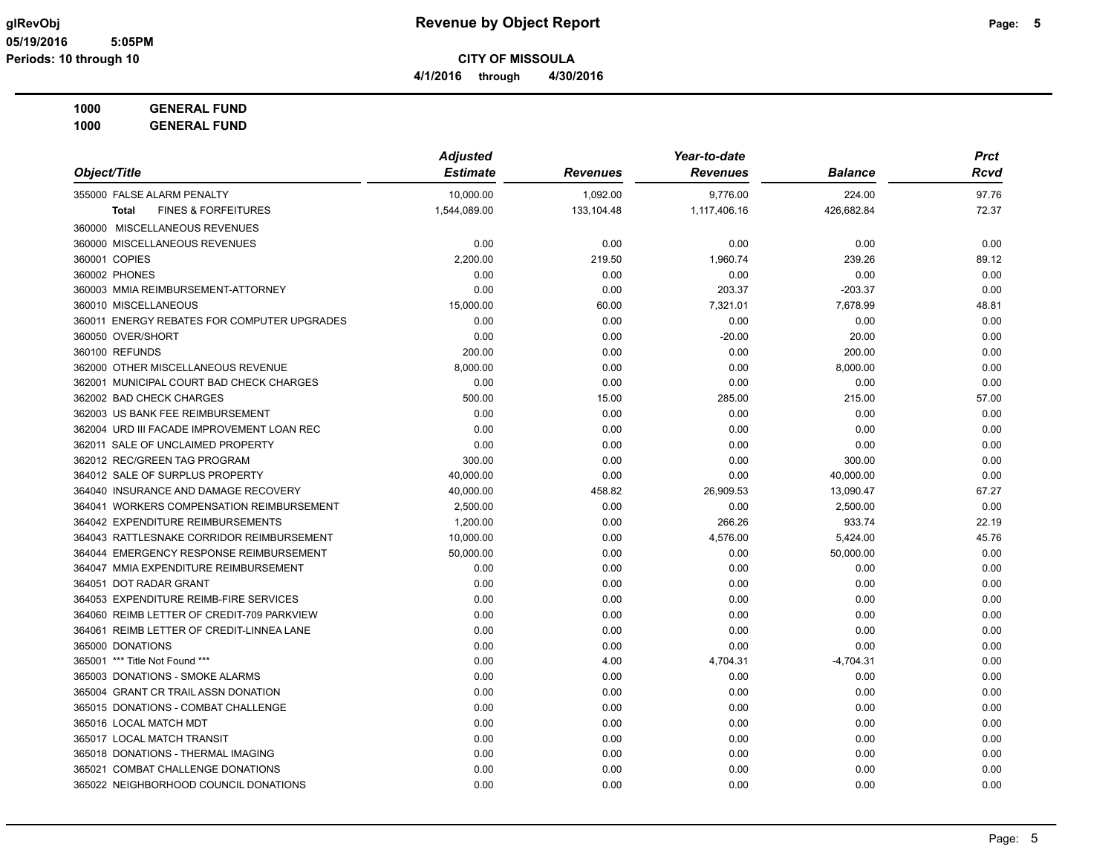**4/1/2016 through 4/30/2016**

**1000 GENERAL FUND 1000 GENERAL FUND**

|                                                | <b>Adjusted</b> |                 | Year-to-date    |                | <b>Prct</b> |  |
|------------------------------------------------|-----------------|-----------------|-----------------|----------------|-------------|--|
| Object/Title                                   | <b>Estimate</b> | <b>Revenues</b> | <b>Revenues</b> | <b>Balance</b> | Rcvd        |  |
| 355000 FALSE ALARM PENALTY                     | 10,000.00       | 1,092.00        | 9,776.00        | 224.00         | 97.76       |  |
| <b>FINES &amp; FORFEITURES</b><br><b>Total</b> | 1,544,089.00    | 133,104.48      | 1,117,406.16    | 426,682.84     | 72.37       |  |
| 360000 MISCELLANEOUS REVENUES                  |                 |                 |                 |                |             |  |
| 360000 MISCELLANEOUS REVENUES                  | 0.00            | 0.00            | 0.00            | 0.00           | 0.00        |  |
| 360001 COPIES                                  | 2,200.00        | 219.50          | 1,960.74        | 239.26         | 89.12       |  |
| 360002 PHONES                                  | 0.00            | 0.00            | 0.00            | 0.00           | 0.00        |  |
| 360003 MMIA REIMBURSEMENT-ATTORNEY             | 0.00            | 0.00            | 203.37          | $-203.37$      | 0.00        |  |
| 360010 MISCELLANEOUS                           | 15,000.00       | 60.00           | 7,321.01        | 7,678.99       | 48.81       |  |
| 360011 ENERGY REBATES FOR COMPUTER UPGRADES    | 0.00            | 0.00            | 0.00            | 0.00           | 0.00        |  |
| 360050 OVER/SHORT                              | 0.00            | 0.00            | $-20.00$        | 20.00          | 0.00        |  |
| 360100 REFUNDS                                 | 200.00          | 0.00            | 0.00            | 200.00         | 0.00        |  |
| 362000 OTHER MISCELLANEOUS REVENUE             | 8,000.00        | 0.00            | 0.00            | 8,000.00       | 0.00        |  |
| 362001 MUNICIPAL COURT BAD CHECK CHARGES       | 0.00            | 0.00            | 0.00            | 0.00           | 0.00        |  |
| 362002 BAD CHECK CHARGES                       | 500.00          | 15.00           | 285.00          | 215.00         | 57.00       |  |
| 362003 US BANK FEE REIMBURSEMENT               | 0.00            | 0.00            | 0.00            | 0.00           | 0.00        |  |
| 362004 URD III FACADE IMPROVEMENT LOAN REC     | 0.00            | 0.00            | 0.00            | 0.00           | 0.00        |  |
| 362011 SALE OF UNCLAIMED PROPERTY              | 0.00            | 0.00            | 0.00            | 0.00           | 0.00        |  |
| 362012 REC/GREEN TAG PROGRAM                   | 300.00          | 0.00            | 0.00            | 300.00         | 0.00        |  |
| 364012 SALE OF SURPLUS PROPERTY                | 40,000.00       | 0.00            | 0.00            | 40,000.00      | 0.00        |  |
| 364040 INSURANCE AND DAMAGE RECOVERY           | 40,000.00       | 458.82          | 26,909.53       | 13,090.47      | 67.27       |  |
| 364041 WORKERS COMPENSATION REIMBURSEMENT      | 2,500.00        | 0.00            | 0.00            | 2,500.00       | 0.00        |  |
| 364042 EXPENDITURE REIMBURSEMENTS              | 1,200.00        | 0.00            | 266.26          | 933.74         | 22.19       |  |
| 364043 RATTLESNAKE CORRIDOR REIMBURSEMENT      | 10,000.00       | 0.00            | 4,576.00        | 5,424.00       | 45.76       |  |
| 364044 EMERGENCY RESPONSE REIMBURSEMENT        | 50,000.00       | 0.00            | 0.00            | 50,000.00      | 0.00        |  |
| 364047 MMIA EXPENDITURE REIMBURSEMENT          | 0.00            | 0.00            | 0.00            | 0.00           | 0.00        |  |
| 364051 DOT RADAR GRANT                         | 0.00            | 0.00            | 0.00            | 0.00           | 0.00        |  |
| 364053 EXPENDITURE REIMB-FIRE SERVICES         | 0.00            | 0.00            | 0.00            | 0.00           | 0.00        |  |
| 364060 REIMB LETTER OF CREDIT-709 PARKVIEW     | 0.00            | 0.00            | 0.00            | 0.00           | 0.00        |  |
| 364061 REIMB LETTER OF CREDIT-LINNEA LANE      | 0.00            | 0.00            | 0.00            | 0.00           | 0.00        |  |
| 365000 DONATIONS                               | 0.00            | 0.00            | 0.00            | 0.00           | 0.00        |  |
| 365001 *** Title Not Found ***                 | 0.00            | 4.00            | 4,704.31        | $-4,704.31$    | 0.00        |  |
| 365003 DONATIONS - SMOKE ALARMS                | 0.00            | 0.00            | 0.00            | 0.00           | 0.00        |  |
| 365004 GRANT CR TRAIL ASSN DONATION            | 0.00            | 0.00            | 0.00            | 0.00           | 0.00        |  |
| 365015 DONATIONS - COMBAT CHALLENGE            | 0.00            | 0.00            | 0.00            | 0.00           | 0.00        |  |
| 365016 LOCAL MATCH MDT                         | 0.00            | 0.00            | 0.00            | 0.00           | 0.00        |  |
| 365017 LOCAL MATCH TRANSIT                     | 0.00            | 0.00            | 0.00            | 0.00           | 0.00        |  |
| 365018 DONATIONS - THERMAL IMAGING             | 0.00            | 0.00            | 0.00            | 0.00           | 0.00        |  |
| 365021 COMBAT CHALLENGE DONATIONS              | 0.00            | 0.00            | 0.00            | 0.00           | 0.00        |  |
| 365022 NEIGHBORHOOD COUNCIL DONATIONS          | 0.00            | 0.00            | 0.00            | 0.00           | 0.00        |  |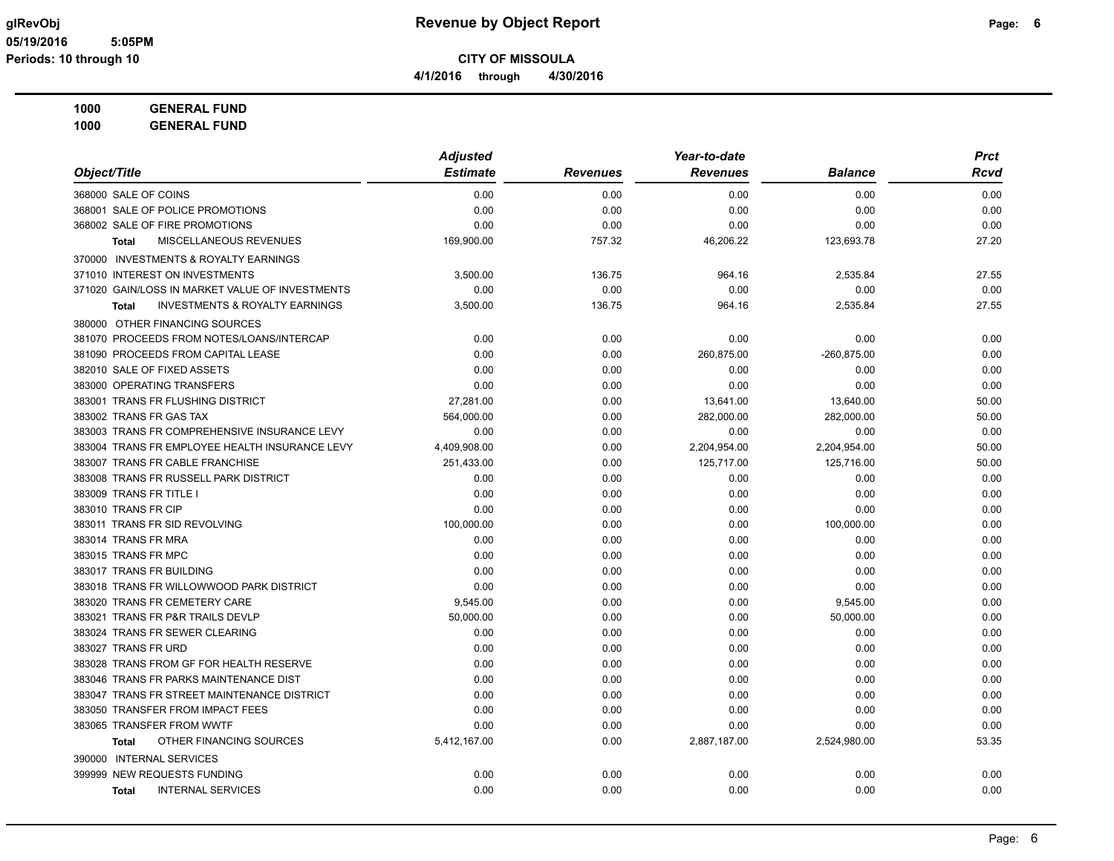**1000 GENERAL FUND**

|                                                           | <b>Adjusted</b> |                 | Year-to-date    |                | <b>Prct</b> |
|-----------------------------------------------------------|-----------------|-----------------|-----------------|----------------|-------------|
| Object/Title                                              | <b>Estimate</b> | <b>Revenues</b> | <b>Revenues</b> | <b>Balance</b> | Rcvd        |
| 368000 SALE OF COINS                                      | 0.00            | 0.00            | 0.00            | 0.00           | 0.00        |
| 368001 SALE OF POLICE PROMOTIONS                          | 0.00            | 0.00            | 0.00            | 0.00           | 0.00        |
| 368002 SALE OF FIRE PROMOTIONS                            | 0.00            | 0.00            | 0.00            | 0.00           | 0.00        |
| MISCELLANEOUS REVENUES<br><b>Total</b>                    | 169,900.00      | 757.32          | 46,206.22       | 123,693.78     | 27.20       |
| 370000 INVESTMENTS & ROYALTY EARNINGS                     |                 |                 |                 |                |             |
| 371010 INTEREST ON INVESTMENTS                            | 3,500.00        | 136.75          | 964.16          | 2,535.84       | 27.55       |
| 371020 GAIN/LOSS IN MARKET VALUE OF INVESTMENTS           | 0.00            | 0.00            | 0.00            | 0.00           | 0.00        |
| <b>INVESTMENTS &amp; ROYALTY EARNINGS</b><br><b>Total</b> | 3,500.00        | 136.75          | 964.16          | 2,535.84       | 27.55       |
| 380000 OTHER FINANCING SOURCES                            |                 |                 |                 |                |             |
| 381070 PROCEEDS FROM NOTES/LOANS/INTERCAP                 | 0.00            | 0.00            | 0.00            | 0.00           | 0.00        |
| 381090 PROCEEDS FROM CAPITAL LEASE                        | 0.00            | 0.00            | 260,875.00      | $-260,875.00$  | 0.00        |
| 382010 SALE OF FIXED ASSETS                               | 0.00            | 0.00            | 0.00            | 0.00           | 0.00        |
| 383000 OPERATING TRANSFERS                                | 0.00            | 0.00            | 0.00            | 0.00           | 0.00        |
| 383001 TRANS FR FLUSHING DISTRICT                         | 27,281.00       | 0.00            | 13,641.00       | 13,640.00      | 50.00       |
| 383002 TRANS FR GAS TAX                                   | 564,000.00      | 0.00            | 282,000.00      | 282,000.00     | 50.00       |
| 383003 TRANS FR COMPREHENSIVE INSURANCE LEVY              | 0.00            | 0.00            | 0.00            | 0.00           | 0.00        |
| 383004 TRANS FR EMPLOYEE HEALTH INSURANCE LEVY            | 4,409,908.00    | 0.00            | 2,204,954.00    | 2,204,954.00   | 50.00       |
| 383007 TRANS FR CABLE FRANCHISE                           | 251,433.00      | 0.00            | 125,717.00      | 125,716.00     | 50.00       |
| 383008 TRANS FR RUSSELL PARK DISTRICT                     | 0.00            | 0.00            | 0.00            | 0.00           | 0.00        |
| 383009 TRANS FR TITLE I                                   | 0.00            | 0.00            | 0.00            | 0.00           | 0.00        |
| 383010 TRANS FR CIP                                       | 0.00            | 0.00            | 0.00            | 0.00           | 0.00        |
| 383011 TRANS FR SID REVOLVING                             | 100,000.00      | 0.00            | 0.00            | 100,000.00     | 0.00        |
| 383014 TRANS FR MRA                                       | 0.00            | 0.00            | 0.00            | 0.00           | 0.00        |
| 383015 TRANS FR MPC                                       | 0.00            | 0.00            | 0.00            | 0.00           | 0.00        |
| 383017 TRANS FR BUILDING                                  | 0.00            | 0.00            | 0.00            | 0.00           | 0.00        |
| 383018 TRANS FR WILLOWWOOD PARK DISTRICT                  | 0.00            | 0.00            | 0.00            | 0.00           | 0.00        |
| 383020 TRANS FR CEMETERY CARE                             | 9,545.00        | 0.00            | 0.00            | 9,545.00       | 0.00        |
| 383021 TRANS FR P&R TRAILS DEVLP                          | 50,000.00       | 0.00            | 0.00            | 50,000.00      | 0.00        |
| 383024 TRANS FR SEWER CLEARING                            | 0.00            | 0.00            | 0.00            | 0.00           | 0.00        |
| 383027 TRANS FR URD                                       | 0.00            | 0.00            | 0.00            | 0.00           | 0.00        |
| 383028 TRANS FROM GF FOR HEALTH RESERVE                   | 0.00            | 0.00            | 0.00            | 0.00           | 0.00        |
| 383046 TRANS FR PARKS MAINTENANCE DIST                    | 0.00            | 0.00            | 0.00            | 0.00           | 0.00        |
| 383047 TRANS FR STREET MAINTENANCE DISTRICT               | 0.00            | 0.00            | 0.00            | 0.00           | 0.00        |
| 383050 TRANSFER FROM IMPACT FEES                          | 0.00            | 0.00            | 0.00            | 0.00           | 0.00        |
| 383065 TRANSFER FROM WWTF                                 | 0.00            | 0.00            | 0.00            | 0.00           | 0.00        |
| OTHER FINANCING SOURCES<br><b>Total</b>                   | 5,412,167.00    | 0.00            | 2,887,187.00    | 2,524,980.00   | 53.35       |
| 390000 INTERNAL SERVICES                                  |                 |                 |                 |                |             |
| 399999 NEW REQUESTS FUNDING                               | 0.00            | 0.00            | 0.00            | 0.00           | 0.00        |
| <b>INTERNAL SERVICES</b><br><b>Total</b>                  | 0.00            | 0.00            | 0.00            | 0.00           | 0.00        |
|                                                           |                 |                 |                 |                |             |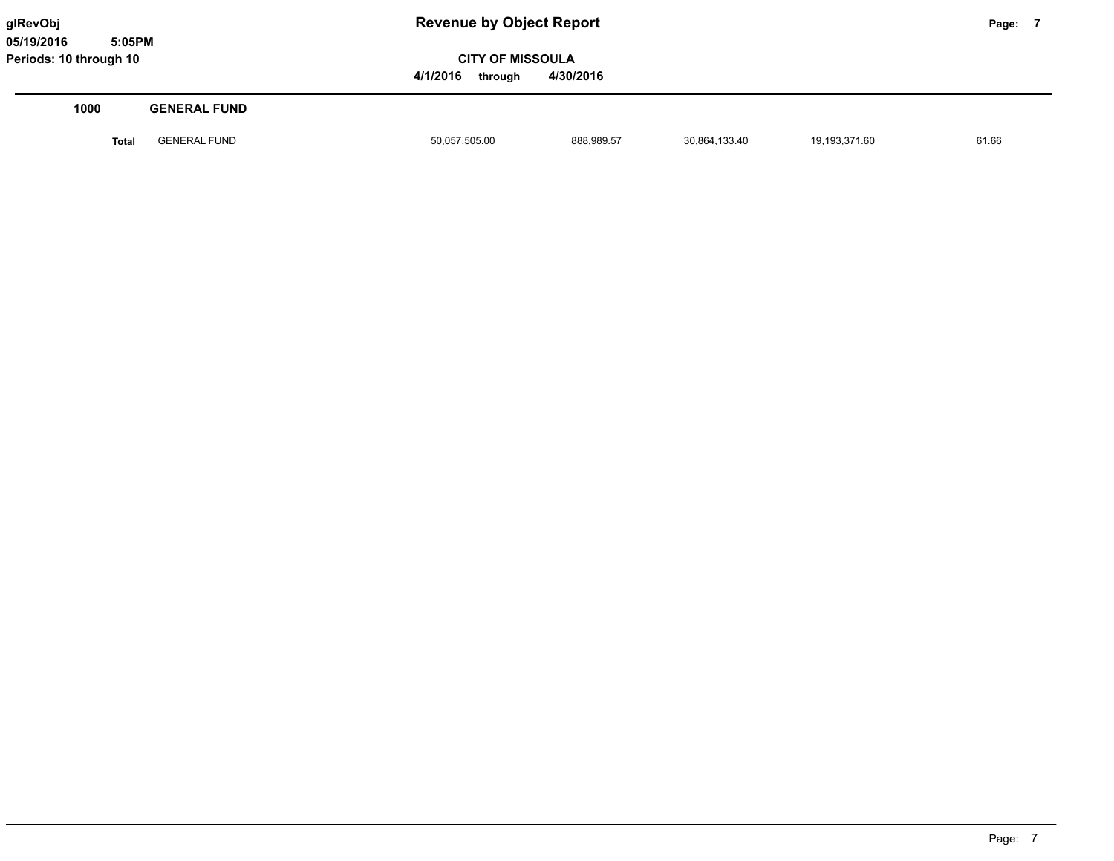**05/19/2016 5:05PM Periods: 10 through 10**

**glRevObj Revenue by Object Report Page: 7** 

**CITY OF MISSOULA 4/1/2016 through 4/30/2016**

| 1000         | <b>GENERAL FUND</b> |               |            |               |               |       |
|--------------|---------------------|---------------|------------|---------------|---------------|-------|
| <b>Total</b> | <b>GENERAL FUND</b> | 50,057,505.00 | 888,989.57 | 30,864,133.40 | 19,193,371.60 | 61.66 |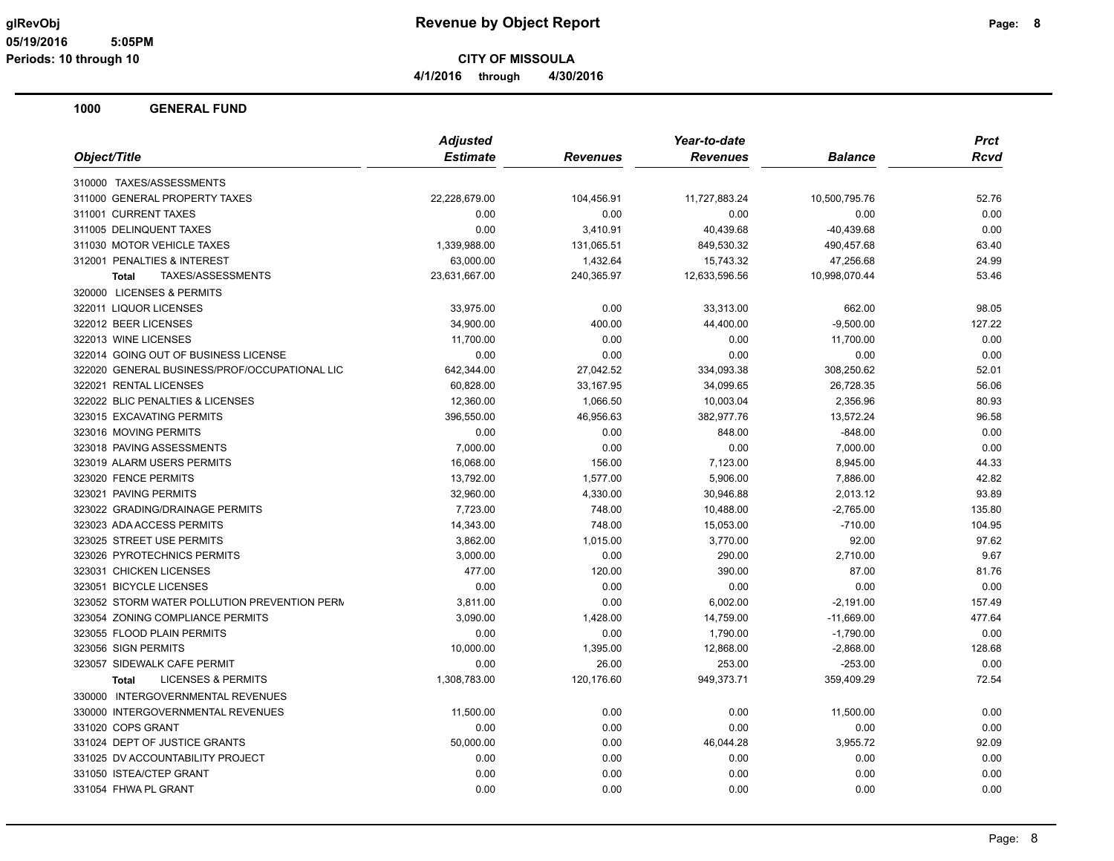**CITY OF MISSOULA 4/1/2016 through 4/30/2016**

|                                               | <b>Adjusted</b> |                 | Year-to-date    |                | <b>Prct</b> |
|-----------------------------------------------|-----------------|-----------------|-----------------|----------------|-------------|
| Object/Title                                  | <b>Estimate</b> | <b>Revenues</b> | <b>Revenues</b> | <b>Balance</b> | <b>Rcvd</b> |
| 310000 TAXES/ASSESSMENTS                      |                 |                 |                 |                |             |
| 311000 GENERAL PROPERTY TAXES                 | 22,228,679.00   | 104,456.91      | 11,727,883.24   | 10,500,795.76  | 52.76       |
| 311001 CURRENT TAXES                          | 0.00            | 0.00            | 0.00            | 0.00           | 0.00        |
| 311005 DELINQUENT TAXES                       | 0.00            | 3,410.91        | 40,439.68       | $-40,439.68$   | 0.00        |
| 311030 MOTOR VEHICLE TAXES                    | 1,339,988.00    | 131,065.51      | 849,530.32      | 490,457.68     | 63.40       |
| 312001 PENALTIES & INTEREST                   | 63,000.00       | 1,432.64        | 15,743.32       | 47,256.68      | 24.99       |
| TAXES/ASSESSMENTS<br><b>Total</b>             | 23,631,667.00   | 240,365.97      | 12,633,596.56   | 10,998,070.44  | 53.46       |
| 320000 LICENSES & PERMITS                     |                 |                 |                 |                |             |
| 322011 LIQUOR LICENSES                        | 33,975.00       | 0.00            | 33,313.00       | 662.00         | 98.05       |
| 322012 BEER LICENSES                          | 34,900.00       | 400.00          | 44,400.00       | $-9,500.00$    | 127.22      |
| 322013 WINE LICENSES                          | 11,700.00       | 0.00            | 0.00            | 11,700.00      | 0.00        |
| 322014 GOING OUT OF BUSINESS LICENSE          | 0.00            | 0.00            | 0.00            | 0.00           | 0.00        |
| 322020 GENERAL BUSINESS/PROF/OCCUPATIONAL LIC | 642,344.00      | 27,042.52       | 334,093.38      | 308,250.62     | 52.01       |
| 322021 RENTAL LICENSES                        | 60,828.00       | 33,167.95       | 34,099.65       | 26,728.35      | 56.06       |
| 322022 BLIC PENALTIES & LICENSES              | 12,360.00       | 1,066.50        | 10,003.04       | 2,356.96       | 80.93       |
| 323015 EXCAVATING PERMITS                     | 396,550.00      | 46,956.63       | 382,977.76      | 13,572.24      | 96.58       |
| 323016 MOVING PERMITS                         | 0.00            | 0.00            | 848.00          | $-848.00$      | 0.00        |
| 323018 PAVING ASSESSMENTS                     | 7,000.00        | 0.00            | 0.00            | 7,000.00       | 0.00        |
| 323019 ALARM USERS PERMITS                    | 16,068.00       | 156.00          | 7,123.00        | 8,945.00       | 44.33       |
| 323020 FENCE PERMITS                          | 13,792.00       | 1,577.00        | 5,906.00        | 7,886.00       | 42.82       |
| 323021 PAVING PERMITS                         | 32,960.00       | 4,330.00        | 30,946.88       | 2,013.12       | 93.89       |
| 323022 GRADING/DRAINAGE PERMITS               | 7,723.00        | 748.00          | 10,488.00       | $-2,765.00$    | 135.80      |
| 323023 ADA ACCESS PERMITS                     | 14,343.00       | 748.00          | 15,053.00       | $-710.00$      | 104.95      |
| 323025 STREET USE PERMITS                     | 3,862.00        | 1,015.00        | 3,770.00        | 92.00          | 97.62       |
| 323026 PYROTECHNICS PERMITS                   | 3,000.00        | 0.00            | 290.00          | 2,710.00       | 9.67        |
| 323031 CHICKEN LICENSES                       | 477.00          | 120.00          | 390.00          | 87.00          | 81.76       |
| 323051 BICYCLE LICENSES                       | 0.00            | 0.00            | 0.00            | 0.00           | 0.00        |
| 323052 STORM WATER POLLUTION PREVENTION PERM  | 3,811.00        | 0.00            | 6,002.00        | $-2,191.00$    | 157.49      |
| 323054 ZONING COMPLIANCE PERMITS              | 3,090.00        | 1,428.00        | 14,759.00       | $-11,669.00$   | 477.64      |
| 323055 FLOOD PLAIN PERMITS                    | 0.00            | 0.00            | 1,790.00        | $-1,790.00$    | 0.00        |
| 323056 SIGN PERMITS                           | 10,000.00       | 1,395.00        | 12,868.00       | $-2,868.00$    | 128.68      |
| 323057 SIDEWALK CAFE PERMIT                   | 0.00            | 26.00           | 253.00          | $-253.00$      | 0.00        |
| <b>LICENSES &amp; PERMITS</b><br><b>Total</b> | 1,308,783.00    | 120,176.60      | 949,373.71      | 359,409.29     | 72.54       |
| 330000 INTERGOVERNMENTAL REVENUES             |                 |                 |                 |                |             |
| 330000 INTERGOVERNMENTAL REVENUES             | 11,500.00       | 0.00            | 0.00            | 11,500.00      | 0.00        |
| 331020 COPS GRANT                             | 0.00            | 0.00            | 0.00            | 0.00           | 0.00        |
| 331024 DEPT OF JUSTICE GRANTS                 | 50,000.00       | 0.00            | 46,044.28       | 3,955.72       | 92.09       |
| 331025 DV ACCOUNTABILITY PROJECT              | 0.00            | 0.00            | 0.00            | 0.00           | 0.00        |
| 331050 ISTEA/CTEP GRANT                       | 0.00            | 0.00            | 0.00            | 0.00           | 0.00        |
| 331054 FHWA PL GRANT                          | 0.00            | 0.00            | 0.00            | 0.00           | 0.00        |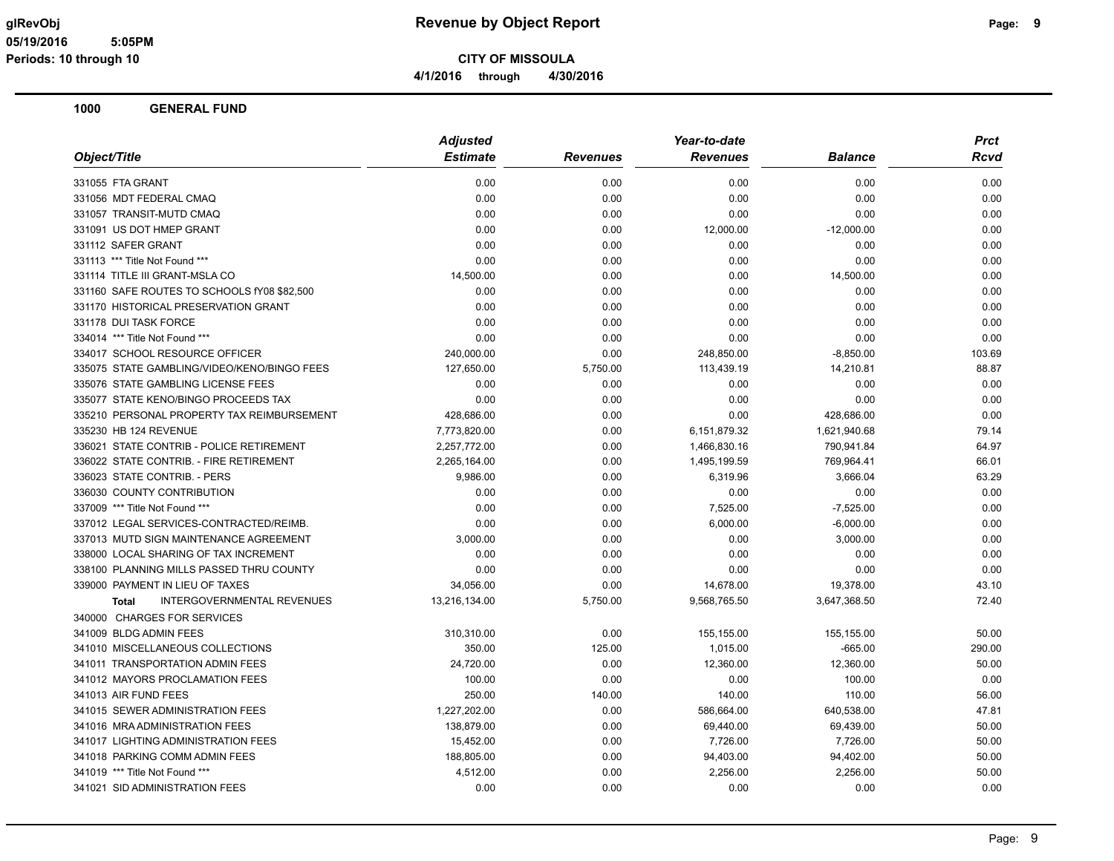**4/1/2016 through 4/30/2016**

|                                                   | <b>Adjusted</b> |                 | Year-to-date    |                | <b>Prct</b> |
|---------------------------------------------------|-----------------|-----------------|-----------------|----------------|-------------|
| Object/Title                                      | <b>Estimate</b> | <b>Revenues</b> | <b>Revenues</b> | <b>Balance</b> | Rcvd        |
| 331055 FTA GRANT                                  | 0.00            | 0.00            | 0.00            | 0.00           | 0.00        |
| 331056 MDT FEDERAL CMAQ                           | 0.00            | 0.00            | 0.00            | 0.00           | 0.00        |
| 331057 TRANSIT-MUTD CMAQ                          | 0.00            | 0.00            | 0.00            | 0.00           | 0.00        |
| 331091 US DOT HMEP GRANT                          | 0.00            | 0.00            | 12,000.00       | $-12,000.00$   | 0.00        |
| 331112 SAFER GRANT                                | 0.00            | 0.00            | 0.00            | 0.00           | 0.00        |
| 331113 *** Title Not Found ***                    | 0.00            | 0.00            | 0.00            | 0.00           | 0.00        |
| 331114 TITLE III GRANT-MSLA CO                    | 14,500.00       | 0.00            | 0.00            | 14,500.00      | 0.00        |
| 331160 SAFE ROUTES TO SCHOOLS fY08 \$82,500       | 0.00            | 0.00            | 0.00            | 0.00           | 0.00        |
| 331170 HISTORICAL PRESERVATION GRANT              | 0.00            | 0.00            | 0.00            | 0.00           | 0.00        |
| 331178 DUI TASK FORCE                             | 0.00            | 0.00            | 0.00            | 0.00           | 0.00        |
| 334014 *** Title Not Found ***                    | 0.00            | 0.00            | 0.00            | 0.00           | 0.00        |
| 334017 SCHOOL RESOURCE OFFICER                    | 240,000.00      | 0.00            | 248,850.00      | $-8,850.00$    | 103.69      |
| 335075 STATE GAMBLING/VIDEO/KENO/BINGO FEES       | 127,650.00      | 5,750.00        | 113,439.19      | 14,210.81      | 88.87       |
| 335076 STATE GAMBLING LICENSE FEES                | 0.00            | 0.00            | 0.00            | 0.00           | 0.00        |
| 335077 STATE KENO/BINGO PROCEEDS TAX              | 0.00            | 0.00            | 0.00            | 0.00           | 0.00        |
| 335210 PERSONAL PROPERTY TAX REIMBURSEMENT        | 428,686.00      | 0.00            | 0.00            | 428,686.00     | 0.00        |
| 335230 HB 124 REVENUE                             | 7,773,820.00    | 0.00            | 6,151,879.32    | 1,621,940.68   | 79.14       |
| 336021 STATE CONTRIB - POLICE RETIREMENT          | 2,257,772.00    | 0.00            | 1,466,830.16    | 790,941.84     | 64.97       |
| 336022 STATE CONTRIB. - FIRE RETIREMENT           | 2,265,164.00    | 0.00            | 1,495,199.59    | 769,964.41     | 66.01       |
| 336023 STATE CONTRIB. - PERS                      | 9,986.00        | 0.00            | 6,319.96        | 3,666.04       | 63.29       |
| 336030 COUNTY CONTRIBUTION                        | 0.00            | 0.00            | 0.00            | 0.00           | 0.00        |
| 337009 *** Title Not Found ***                    | 0.00            | 0.00            | 7,525.00        | $-7,525.00$    | 0.00        |
| 337012 LEGAL SERVICES-CONTRACTED/REIMB.           | 0.00            | 0.00            | 6,000.00        | $-6,000.00$    | 0.00        |
| 337013 MUTD SIGN MAINTENANCE AGREEMENT            | 3,000.00        | 0.00            | 0.00            | 3,000.00       | 0.00        |
| 338000 LOCAL SHARING OF TAX INCREMENT             | 0.00            | 0.00            | 0.00            | 0.00           | 0.00        |
| 338100 PLANNING MILLS PASSED THRU COUNTY          | 0.00            | 0.00            | 0.00            | 0.00           | 0.00        |
| 339000 PAYMENT IN LIEU OF TAXES                   | 34,056.00       | 0.00            | 14,678.00       | 19,378.00      | 43.10       |
| <b>INTERGOVERNMENTAL REVENUES</b><br><b>Total</b> | 13,216,134.00   | 5,750.00        | 9,568,765.50    | 3,647,368.50   | 72.40       |
| 340000 CHARGES FOR SERVICES                       |                 |                 |                 |                |             |
| 341009 BLDG ADMIN FEES                            | 310,310.00      | 0.00            | 155,155.00      | 155,155.00     | 50.00       |
| 341010 MISCELLANEOUS COLLECTIONS                  | 350.00          | 125.00          | 1,015.00        | $-665.00$      | 290.00      |
| 341011 TRANSPORTATION ADMIN FEES                  | 24,720.00       | 0.00            | 12,360.00       | 12,360.00      | 50.00       |
| 341012 MAYORS PROCLAMATION FEES                   | 100.00          | 0.00            | 0.00            | 100.00         | 0.00        |
| 341013 AIR FUND FEES                              | 250.00          | 140.00          | 140.00          | 110.00         | 56.00       |
| 341015 SEWER ADMINISTRATION FEES                  | 1,227,202.00    | 0.00            | 586,664.00      | 640,538.00     | 47.81       |
| 341016 MRA ADMINISTRATION FEES                    | 138,879.00      | 0.00            | 69,440.00       | 69,439.00      | 50.00       |
| 341017 LIGHTING ADMINISTRATION FEES               | 15,452.00       | 0.00            | 7,726.00        | 7,726.00       | 50.00       |
| 341018 PARKING COMM ADMIN FEES                    | 188,805.00      | 0.00            | 94,403.00       | 94,402.00      | 50.00       |
| 341019 *** Title Not Found ***                    | 4,512.00        | 0.00            | 2,256.00        | 2,256.00       | 50.00       |
| 341021 SID ADMINISTRATION FEES                    | 0.00            | 0.00            | 0.00            | 0.00           | 0.00        |
|                                                   |                 |                 |                 |                |             |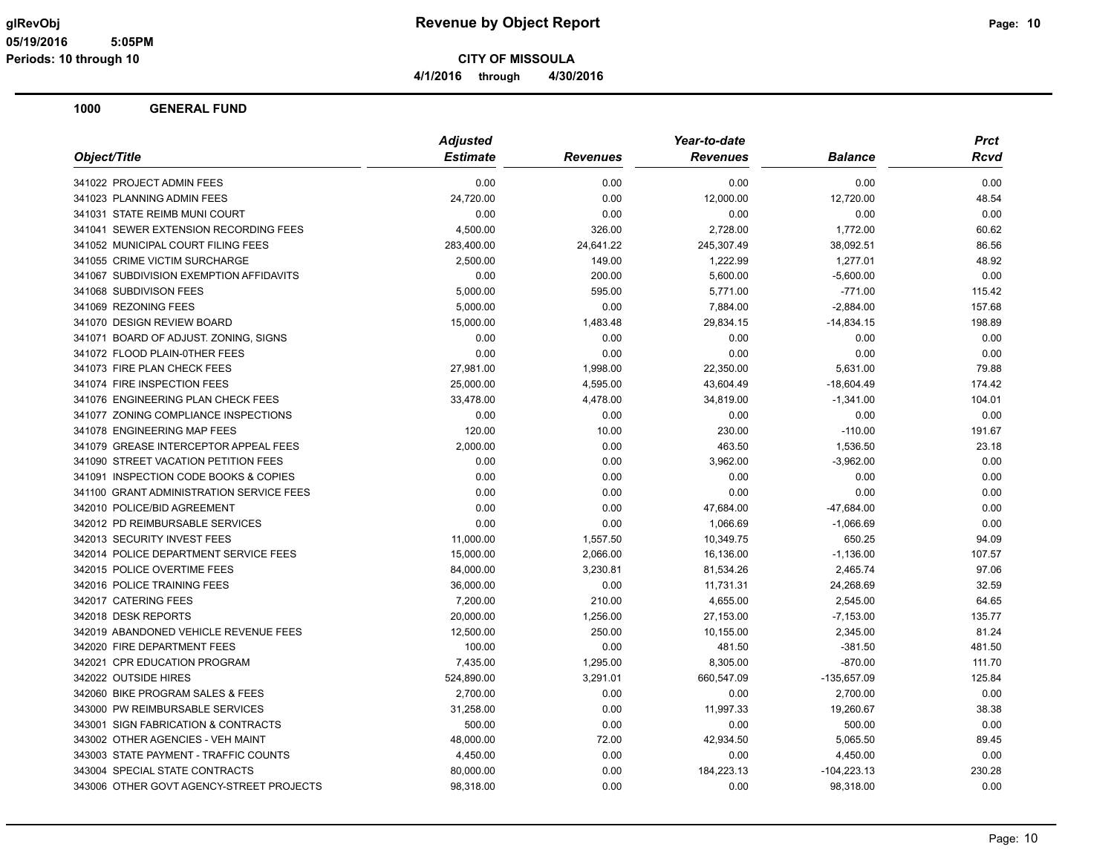**CITY OF MISSOULA**

**4/1/2016 through 4/30/2016**

|                                          | <b>Adjusted</b> |                 | Year-to-date    |                | <b>Prct</b> |  |
|------------------------------------------|-----------------|-----------------|-----------------|----------------|-------------|--|
| Object/Title                             | <b>Estimate</b> | <b>Revenues</b> | <b>Revenues</b> | <b>Balance</b> | Rcvd        |  |
| 341022 PROJECT ADMIN FEES                | 0.00            | 0.00            | 0.00            | 0.00           | 0.00        |  |
| 341023 PLANNING ADMIN FEES               | 24,720.00       | 0.00            | 12,000.00       | 12,720.00      | 48.54       |  |
| 341031 STATE REIMB MUNI COURT            | 0.00            | 0.00            | 0.00            | 0.00           | 0.00        |  |
| 341041 SEWER EXTENSION RECORDING FEES    | 4,500.00        | 326.00          | 2,728.00        | 1,772.00       | 60.62       |  |
| 341052 MUNICIPAL COURT FILING FEES       | 283,400.00      | 24,641.22       | 245,307.49      | 38,092.51      | 86.56       |  |
| 341055 CRIME VICTIM SURCHARGE            | 2,500.00        | 149.00          | 1,222.99        | 1,277.01       | 48.92       |  |
| 341067 SUBDIVISION EXEMPTION AFFIDAVITS  | 0.00            | 200.00          | 5,600.00        | $-5,600.00$    | 0.00        |  |
| 341068 SUBDIVISON FEES                   | 5,000.00        | 595.00          | 5,771.00        | $-771.00$      | 115.42      |  |
| 341069 REZONING FEES                     | 5,000.00        | 0.00            | 7,884.00        | $-2,884.00$    | 157.68      |  |
| 341070 DESIGN REVIEW BOARD               | 15,000.00       | 1,483.48        | 29.834.15       | $-14,834.15$   | 198.89      |  |
| 341071 BOARD OF ADJUST. ZONING, SIGNS    | 0.00            | 0.00            | 0.00            | 0.00           | 0.00        |  |
| 341072 FLOOD PLAIN-0THER FEES            | 0.00            | 0.00            | 0.00            | 0.00           | 0.00        |  |
| 341073 FIRE PLAN CHECK FEES              | 27,981.00       | 1,998.00        | 22,350.00       | 5,631.00       | 79.88       |  |
| 341074 FIRE INSPECTION FEES              | 25,000.00       | 4,595.00        | 43,604.49       | $-18,604.49$   | 174.42      |  |
| 341076 ENGINEERING PLAN CHECK FEES       | 33,478.00       | 4,478.00        | 34,819.00       | $-1,341.00$    | 104.01      |  |
| 341077 ZONING COMPLIANCE INSPECTIONS     | 0.00            | 0.00            | 0.00            | 0.00           | 0.00        |  |
| 341078 ENGINEERING MAP FEES              | 120.00          | 10.00           | 230.00          | $-110.00$      | 191.67      |  |
| 341079 GREASE INTERCEPTOR APPEAL FEES    | 2,000.00        | 0.00            | 463.50          | 1,536.50       | 23.18       |  |
| 341090 STREET VACATION PETITION FEES     | 0.00            | 0.00            | 3,962.00        | $-3,962.00$    | 0.00        |  |
| 341091 INSPECTION CODE BOOKS & COPIES    | 0.00            | 0.00            | 0.00            | 0.00           | 0.00        |  |
| 341100 GRANT ADMINISTRATION SERVICE FEES | 0.00            | 0.00            | 0.00            | 0.00           | 0.00        |  |
| 342010 POLICE/BID AGREEMENT              | 0.00            | 0.00            | 47,684.00       | $-47,684.00$   | 0.00        |  |
| 342012 PD REIMBURSABLE SERVICES          | 0.00            | 0.00            | 1,066.69        | $-1,066.69$    | 0.00        |  |
| 342013 SECURITY INVEST FEES              | 11,000.00       | 1,557.50        | 10,349.75       | 650.25         | 94.09       |  |
| 342014 POLICE DEPARTMENT SERVICE FEES    | 15,000.00       | 2,066.00        | 16,136.00       | $-1,136.00$    | 107.57      |  |
| 342015 POLICE OVERTIME FEES              | 84,000.00       | 3,230.81        | 81,534.26       | 2,465.74       | 97.06       |  |
| 342016 POLICE TRAINING FEES              | 36,000.00       | 0.00            | 11,731.31       | 24,268.69      | 32.59       |  |
| 342017 CATERING FEES                     | 7,200.00        | 210.00          | 4,655.00        | 2,545.00       | 64.65       |  |
| 342018 DESK REPORTS                      | 20,000.00       | 1,256.00        | 27,153.00       | $-7,153.00$    | 135.77      |  |
| 342019 ABANDONED VEHICLE REVENUE FEES    | 12,500.00       | 250.00          | 10,155.00       | 2,345.00       | 81.24       |  |
| 342020 FIRE DEPARTMENT FEES              | 100.00          | 0.00            | 481.50          | $-381.50$      | 481.50      |  |
| 342021 CPR EDUCATION PROGRAM             | 7,435.00        | 1,295.00        | 8,305.00        | $-870.00$      | 111.70      |  |
| 342022 OUTSIDE HIRES                     | 524,890.00      | 3,291.01        | 660,547.09      | -135,657.09    | 125.84      |  |
| 342060 BIKE PROGRAM SALES & FEES         | 2,700.00        | 0.00            | 0.00            | 2,700.00       | 0.00        |  |
| 343000 PW REIMBURSABLE SERVICES          | 31,258.00       | 0.00            | 11,997.33       | 19,260.67      | 38.38       |  |
| 343001 SIGN FABRICATION & CONTRACTS      | 500.00          | 0.00            | 0.00            | 500.00         | 0.00        |  |
| 343002 OTHER AGENCIES - VEH MAINT        | 48,000.00       | 72.00           | 42,934.50       | 5,065.50       | 89.45       |  |
| 343003 STATE PAYMENT - TRAFFIC COUNTS    | 4,450.00        | 0.00            | 0.00            | 4,450.00       | 0.00        |  |
| 343004 SPECIAL STATE CONTRACTS           | 80,000.00       | 0.00            | 184,223.13      | $-104,223.13$  | 230.28      |  |
| 343006 OTHER GOVT AGENCY-STREET PROJECTS | 98,318.00       | 0.00            | 0.00            | 98,318.00      | 0.00        |  |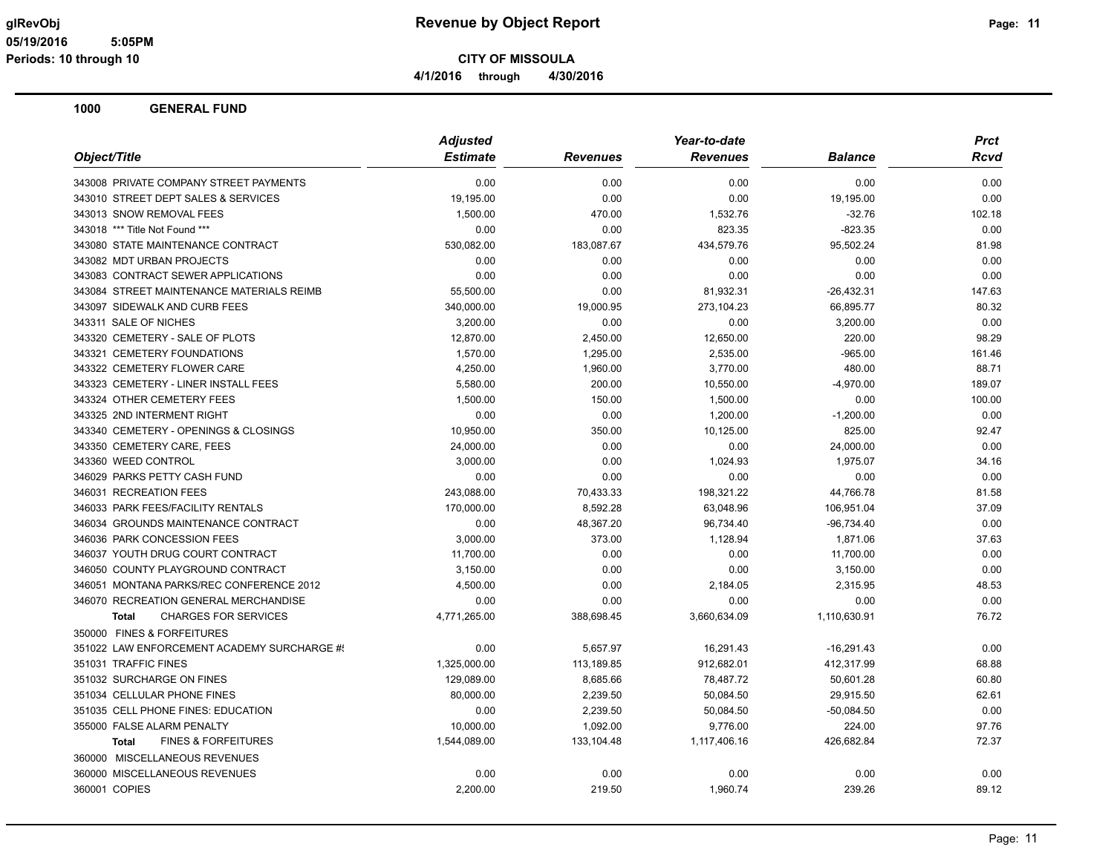**CITY OF MISSOULA**

**4/1/2016 through 4/30/2016**

| Object/Title<br><b>Estimate</b><br><b>Revenues</b><br><b>Revenues</b><br><b>Balance</b><br><b>Rcvd</b><br>343008 PRIVATE COMPANY STREET PAYMENTS<br>0.00<br>0.00<br>0.00<br>0.00<br>0.00<br>343010 STREET DEPT SALES & SERVICES<br>19,195.00<br>0.00<br>0.00<br>19,195.00<br>0.00<br>343013 SNOW REMOVAL FEES<br>1,500.00<br>1,532.76<br>$-32.76$<br>470.00<br>102.18<br>0.00<br>0.00<br>343018 *** Title Not Found ***<br>823.35<br>$-823.35$<br>0.00<br>530,082.00<br>183,087.67<br>81.98<br>343080 STATE MAINTENANCE CONTRACT<br>434,579.76<br>95,502.24<br>343082 MDT URBAN PROJECTS<br>0.00<br>0.00<br>0.00<br>0.00<br>0.00<br>343083 CONTRACT SEWER APPLICATIONS<br>0.00<br>0.00<br>0.00<br>0.00<br>0.00<br>343084 STREET MAINTENANCE MATERIALS REIMB<br>55,500.00<br>0.00<br>81,932.31<br>-26,432.31<br>147.63<br>343097 SIDEWALK AND CURB FEES<br>340,000.00<br>19,000.95<br>273,104.23<br>66,895.77<br>80.32<br>343311 SALE OF NICHES<br>3,200.00<br>0.00<br>0.00<br>3,200.00<br>0.00<br>343320 CEMETERY - SALE OF PLOTS<br>12,870.00<br>2,450.00<br>12,650.00<br>220.00<br>98.29<br>343321 CEMETERY FOUNDATIONS<br>1,570.00<br>1,295.00<br>2,535.00<br>$-965.00$<br>161.46<br>343322 CEMETERY FLOWER CARE<br>3,770.00<br>4,250.00<br>1,960.00<br>480.00<br>88.71<br>343323 CEMETERY - LINER INSTALL FEES<br>200.00<br>10,550.00<br>$-4,970.00$<br>5,580.00<br>189.07<br>343324 OTHER CEMETERY FEES<br>1,500.00<br>150.00<br>1,500.00<br>0.00<br>100.00<br>343325 2ND INTERMENT RIGHT<br>0.00<br>0.00<br>1,200.00<br>$-1,200.00$<br>0.00<br>343340 CEMETERY - OPENINGS & CLOSINGS<br>10,950.00<br>350.00<br>10,125.00<br>825.00<br>92.47<br>343350 CEMETERY CARE, FEES<br>0.00<br>0.00<br>24,000.00<br>0.00<br>24,000.00<br>343360 WEED CONTROL<br>3,000.00<br>0.00<br>1,024.93<br>1,975.07<br>34.16<br>346029 PARKS PETTY CASH FUND<br>0.00<br>0.00<br>0.00<br>0.00<br>0.00<br>346031 RECREATION FEES<br>243,088.00<br>70,433.33<br>198,321.22<br>44,766.78<br>81.58<br>346033 PARK FEES/FACILITY RENTALS<br>170,000.00<br>8,592.28<br>63,048.96<br>106,951.04<br>37.09<br>346034 GROUNDS MAINTENANCE CONTRACT<br>0.00<br>48,367.20<br>96,734.40<br>$-96,734.40$<br>0.00<br>346036 PARK CONCESSION FEES<br>373.00<br>37.63<br>3,000.00<br>1,128.94<br>1,871.06<br>346037 YOUTH DRUG COURT CONTRACT<br>11,700.00<br>0.00<br>0.00<br>11,700.00<br>0.00<br>0.00<br>0.00<br>0.00<br>346050 COUNTY PLAYGROUND CONTRACT<br>3,150.00<br>3,150.00<br>346051 MONTANA PARKS/REC CONFERENCE 2012<br>4,500.00<br>0.00<br>2,184.05<br>2,315.95<br>48.53<br>346070 RECREATION GENERAL MERCHANDISE<br>0.00<br>0.00<br>0.00<br>0.00<br>0.00<br>76.72<br><b>CHARGES FOR SERVICES</b><br>4,771,265.00<br>388,698.45<br>3,660,634.09<br>1,110,630.91<br><b>Total</b><br>350000 FINES & FORFEITURES<br>351022 LAW ENFORCEMENT ACADEMY SURCHARGE #!<br>0.00<br>5,657.97<br>16,291.43<br>$-16,291.43$<br>0.00<br>912.682.01<br>351031 TRAFFIC FINES<br>1,325,000.00<br>113.189.85<br>412.317.99<br>68.88<br>351032 SURCHARGE ON FINES<br>8,685.66<br>78,487.72<br>129,089.00<br>50,601.28<br>60.80<br>351034 CELLULAR PHONE FINES<br>80,000.00<br>2,239.50<br>50.084.50<br>29,915.50<br>62.61<br>351035 CELL PHONE FINES: EDUCATION<br>0.00<br>2,239.50<br>$-50,084.50$<br>0.00<br>50,084.50<br>355000 FALSE ALARM PENALTY<br>10,000.00<br>1,092.00<br>9,776.00<br>224.00<br>97.76<br><b>FINES &amp; FORFEITURES</b><br>1,544,089.00<br>133,104.48<br>72.37<br>1,117,406.16<br>426,682.84<br><b>Total</b><br>360000 MISCELLANEOUS REVENUES<br>360000 MISCELLANEOUS REVENUES<br>0.00<br>0.00<br>0.00<br>0.00<br>0.00<br>360001 COPIES<br>2,200.00<br>219.50<br>239.26<br>89.12<br>1,960.74 | <b>Adjusted</b> | Year-to-date | <b>Prct</b> |
|-------------------------------------------------------------------------------------------------------------------------------------------------------------------------------------------------------------------------------------------------------------------------------------------------------------------------------------------------------------------------------------------------------------------------------------------------------------------------------------------------------------------------------------------------------------------------------------------------------------------------------------------------------------------------------------------------------------------------------------------------------------------------------------------------------------------------------------------------------------------------------------------------------------------------------------------------------------------------------------------------------------------------------------------------------------------------------------------------------------------------------------------------------------------------------------------------------------------------------------------------------------------------------------------------------------------------------------------------------------------------------------------------------------------------------------------------------------------------------------------------------------------------------------------------------------------------------------------------------------------------------------------------------------------------------------------------------------------------------------------------------------------------------------------------------------------------------------------------------------------------------------------------------------------------------------------------------------------------------------------------------------------------------------------------------------------------------------------------------------------------------------------------------------------------------------------------------------------------------------------------------------------------------------------------------------------------------------------------------------------------------------------------------------------------------------------------------------------------------------------------------------------------------------------------------------------------------------------------------------------------------------------------------------------------------------------------------------------------------------------------------------------------------------------------------------------------------------------------------------------------------------------------------------------------------------------------------------------------------------------------------------------------------------------------------------------------------------------------------------------------------------------------------------------------------------------------------------------------------------------------------------------------------------------------------------------------------------------------------------------------------------------------------------------------------------------------------------------------------------------------------------------------------------------------------------------------------------------------------------------------------------------------------------------------------|-----------------|--------------|-------------|
|                                                                                                                                                                                                                                                                                                                                                                                                                                                                                                                                                                                                                                                                                                                                                                                                                                                                                                                                                                                                                                                                                                                                                                                                                                                                                                                                                                                                                                                                                                                                                                                                                                                                                                                                                                                                                                                                                                                                                                                                                                                                                                                                                                                                                                                                                                                                                                                                                                                                                                                                                                                                                                                                                                                                                                                                                                                                                                                                                                                                                                                                                                                                                                                                                                                                                                                                                                                                                                                                                                                                                                                                                                                                               |                 |              |             |
|                                                                                                                                                                                                                                                                                                                                                                                                                                                                                                                                                                                                                                                                                                                                                                                                                                                                                                                                                                                                                                                                                                                                                                                                                                                                                                                                                                                                                                                                                                                                                                                                                                                                                                                                                                                                                                                                                                                                                                                                                                                                                                                                                                                                                                                                                                                                                                                                                                                                                                                                                                                                                                                                                                                                                                                                                                                                                                                                                                                                                                                                                                                                                                                                                                                                                                                                                                                                                                                                                                                                                                                                                                                                               |                 |              |             |
|                                                                                                                                                                                                                                                                                                                                                                                                                                                                                                                                                                                                                                                                                                                                                                                                                                                                                                                                                                                                                                                                                                                                                                                                                                                                                                                                                                                                                                                                                                                                                                                                                                                                                                                                                                                                                                                                                                                                                                                                                                                                                                                                                                                                                                                                                                                                                                                                                                                                                                                                                                                                                                                                                                                                                                                                                                                                                                                                                                                                                                                                                                                                                                                                                                                                                                                                                                                                                                                                                                                                                                                                                                                                               |                 |              |             |
|                                                                                                                                                                                                                                                                                                                                                                                                                                                                                                                                                                                                                                                                                                                                                                                                                                                                                                                                                                                                                                                                                                                                                                                                                                                                                                                                                                                                                                                                                                                                                                                                                                                                                                                                                                                                                                                                                                                                                                                                                                                                                                                                                                                                                                                                                                                                                                                                                                                                                                                                                                                                                                                                                                                                                                                                                                                                                                                                                                                                                                                                                                                                                                                                                                                                                                                                                                                                                                                                                                                                                                                                                                                                               |                 |              |             |
|                                                                                                                                                                                                                                                                                                                                                                                                                                                                                                                                                                                                                                                                                                                                                                                                                                                                                                                                                                                                                                                                                                                                                                                                                                                                                                                                                                                                                                                                                                                                                                                                                                                                                                                                                                                                                                                                                                                                                                                                                                                                                                                                                                                                                                                                                                                                                                                                                                                                                                                                                                                                                                                                                                                                                                                                                                                                                                                                                                                                                                                                                                                                                                                                                                                                                                                                                                                                                                                                                                                                                                                                                                                                               |                 |              |             |
|                                                                                                                                                                                                                                                                                                                                                                                                                                                                                                                                                                                                                                                                                                                                                                                                                                                                                                                                                                                                                                                                                                                                                                                                                                                                                                                                                                                                                                                                                                                                                                                                                                                                                                                                                                                                                                                                                                                                                                                                                                                                                                                                                                                                                                                                                                                                                                                                                                                                                                                                                                                                                                                                                                                                                                                                                                                                                                                                                                                                                                                                                                                                                                                                                                                                                                                                                                                                                                                                                                                                                                                                                                                                               |                 |              |             |
|                                                                                                                                                                                                                                                                                                                                                                                                                                                                                                                                                                                                                                                                                                                                                                                                                                                                                                                                                                                                                                                                                                                                                                                                                                                                                                                                                                                                                                                                                                                                                                                                                                                                                                                                                                                                                                                                                                                                                                                                                                                                                                                                                                                                                                                                                                                                                                                                                                                                                                                                                                                                                                                                                                                                                                                                                                                                                                                                                                                                                                                                                                                                                                                                                                                                                                                                                                                                                                                                                                                                                                                                                                                                               |                 |              |             |
|                                                                                                                                                                                                                                                                                                                                                                                                                                                                                                                                                                                                                                                                                                                                                                                                                                                                                                                                                                                                                                                                                                                                                                                                                                                                                                                                                                                                                                                                                                                                                                                                                                                                                                                                                                                                                                                                                                                                                                                                                                                                                                                                                                                                                                                                                                                                                                                                                                                                                                                                                                                                                                                                                                                                                                                                                                                                                                                                                                                                                                                                                                                                                                                                                                                                                                                                                                                                                                                                                                                                                                                                                                                                               |                 |              |             |
|                                                                                                                                                                                                                                                                                                                                                                                                                                                                                                                                                                                                                                                                                                                                                                                                                                                                                                                                                                                                                                                                                                                                                                                                                                                                                                                                                                                                                                                                                                                                                                                                                                                                                                                                                                                                                                                                                                                                                                                                                                                                                                                                                                                                                                                                                                                                                                                                                                                                                                                                                                                                                                                                                                                                                                                                                                                                                                                                                                                                                                                                                                                                                                                                                                                                                                                                                                                                                                                                                                                                                                                                                                                                               |                 |              |             |
|                                                                                                                                                                                                                                                                                                                                                                                                                                                                                                                                                                                                                                                                                                                                                                                                                                                                                                                                                                                                                                                                                                                                                                                                                                                                                                                                                                                                                                                                                                                                                                                                                                                                                                                                                                                                                                                                                                                                                                                                                                                                                                                                                                                                                                                                                                                                                                                                                                                                                                                                                                                                                                                                                                                                                                                                                                                                                                                                                                                                                                                                                                                                                                                                                                                                                                                                                                                                                                                                                                                                                                                                                                                                               |                 |              |             |
|                                                                                                                                                                                                                                                                                                                                                                                                                                                                                                                                                                                                                                                                                                                                                                                                                                                                                                                                                                                                                                                                                                                                                                                                                                                                                                                                                                                                                                                                                                                                                                                                                                                                                                                                                                                                                                                                                                                                                                                                                                                                                                                                                                                                                                                                                                                                                                                                                                                                                                                                                                                                                                                                                                                                                                                                                                                                                                                                                                                                                                                                                                                                                                                                                                                                                                                                                                                                                                                                                                                                                                                                                                                                               |                 |              |             |
|                                                                                                                                                                                                                                                                                                                                                                                                                                                                                                                                                                                                                                                                                                                                                                                                                                                                                                                                                                                                                                                                                                                                                                                                                                                                                                                                                                                                                                                                                                                                                                                                                                                                                                                                                                                                                                                                                                                                                                                                                                                                                                                                                                                                                                                                                                                                                                                                                                                                                                                                                                                                                                                                                                                                                                                                                                                                                                                                                                                                                                                                                                                                                                                                                                                                                                                                                                                                                                                                                                                                                                                                                                                                               |                 |              |             |
|                                                                                                                                                                                                                                                                                                                                                                                                                                                                                                                                                                                                                                                                                                                                                                                                                                                                                                                                                                                                                                                                                                                                                                                                                                                                                                                                                                                                                                                                                                                                                                                                                                                                                                                                                                                                                                                                                                                                                                                                                                                                                                                                                                                                                                                                                                                                                                                                                                                                                                                                                                                                                                                                                                                                                                                                                                                                                                                                                                                                                                                                                                                                                                                                                                                                                                                                                                                                                                                                                                                                                                                                                                                                               |                 |              |             |
|                                                                                                                                                                                                                                                                                                                                                                                                                                                                                                                                                                                                                                                                                                                                                                                                                                                                                                                                                                                                                                                                                                                                                                                                                                                                                                                                                                                                                                                                                                                                                                                                                                                                                                                                                                                                                                                                                                                                                                                                                                                                                                                                                                                                                                                                                                                                                                                                                                                                                                                                                                                                                                                                                                                                                                                                                                                                                                                                                                                                                                                                                                                                                                                                                                                                                                                                                                                                                                                                                                                                                                                                                                                                               |                 |              |             |
|                                                                                                                                                                                                                                                                                                                                                                                                                                                                                                                                                                                                                                                                                                                                                                                                                                                                                                                                                                                                                                                                                                                                                                                                                                                                                                                                                                                                                                                                                                                                                                                                                                                                                                                                                                                                                                                                                                                                                                                                                                                                                                                                                                                                                                                                                                                                                                                                                                                                                                                                                                                                                                                                                                                                                                                                                                                                                                                                                                                                                                                                                                                                                                                                                                                                                                                                                                                                                                                                                                                                                                                                                                                                               |                 |              |             |
|                                                                                                                                                                                                                                                                                                                                                                                                                                                                                                                                                                                                                                                                                                                                                                                                                                                                                                                                                                                                                                                                                                                                                                                                                                                                                                                                                                                                                                                                                                                                                                                                                                                                                                                                                                                                                                                                                                                                                                                                                                                                                                                                                                                                                                                                                                                                                                                                                                                                                                                                                                                                                                                                                                                                                                                                                                                                                                                                                                                                                                                                                                                                                                                                                                                                                                                                                                                                                                                                                                                                                                                                                                                                               |                 |              |             |
|                                                                                                                                                                                                                                                                                                                                                                                                                                                                                                                                                                                                                                                                                                                                                                                                                                                                                                                                                                                                                                                                                                                                                                                                                                                                                                                                                                                                                                                                                                                                                                                                                                                                                                                                                                                                                                                                                                                                                                                                                                                                                                                                                                                                                                                                                                                                                                                                                                                                                                                                                                                                                                                                                                                                                                                                                                                                                                                                                                                                                                                                                                                                                                                                                                                                                                                                                                                                                                                                                                                                                                                                                                                                               |                 |              |             |
|                                                                                                                                                                                                                                                                                                                                                                                                                                                                                                                                                                                                                                                                                                                                                                                                                                                                                                                                                                                                                                                                                                                                                                                                                                                                                                                                                                                                                                                                                                                                                                                                                                                                                                                                                                                                                                                                                                                                                                                                                                                                                                                                                                                                                                                                                                                                                                                                                                                                                                                                                                                                                                                                                                                                                                                                                                                                                                                                                                                                                                                                                                                                                                                                                                                                                                                                                                                                                                                                                                                                                                                                                                                                               |                 |              |             |
|                                                                                                                                                                                                                                                                                                                                                                                                                                                                                                                                                                                                                                                                                                                                                                                                                                                                                                                                                                                                                                                                                                                                                                                                                                                                                                                                                                                                                                                                                                                                                                                                                                                                                                                                                                                                                                                                                                                                                                                                                                                                                                                                                                                                                                                                                                                                                                                                                                                                                                                                                                                                                                                                                                                                                                                                                                                                                                                                                                                                                                                                                                                                                                                                                                                                                                                                                                                                                                                                                                                                                                                                                                                                               |                 |              |             |
|                                                                                                                                                                                                                                                                                                                                                                                                                                                                                                                                                                                                                                                                                                                                                                                                                                                                                                                                                                                                                                                                                                                                                                                                                                                                                                                                                                                                                                                                                                                                                                                                                                                                                                                                                                                                                                                                                                                                                                                                                                                                                                                                                                                                                                                                                                                                                                                                                                                                                                                                                                                                                                                                                                                                                                                                                                                                                                                                                                                                                                                                                                                                                                                                                                                                                                                                                                                                                                                                                                                                                                                                                                                                               |                 |              |             |
|                                                                                                                                                                                                                                                                                                                                                                                                                                                                                                                                                                                                                                                                                                                                                                                                                                                                                                                                                                                                                                                                                                                                                                                                                                                                                                                                                                                                                                                                                                                                                                                                                                                                                                                                                                                                                                                                                                                                                                                                                                                                                                                                                                                                                                                                                                                                                                                                                                                                                                                                                                                                                                                                                                                                                                                                                                                                                                                                                                                                                                                                                                                                                                                                                                                                                                                                                                                                                                                                                                                                                                                                                                                                               |                 |              |             |
|                                                                                                                                                                                                                                                                                                                                                                                                                                                                                                                                                                                                                                                                                                                                                                                                                                                                                                                                                                                                                                                                                                                                                                                                                                                                                                                                                                                                                                                                                                                                                                                                                                                                                                                                                                                                                                                                                                                                                                                                                                                                                                                                                                                                                                                                                                                                                                                                                                                                                                                                                                                                                                                                                                                                                                                                                                                                                                                                                                                                                                                                                                                                                                                                                                                                                                                                                                                                                                                                                                                                                                                                                                                                               |                 |              |             |
|                                                                                                                                                                                                                                                                                                                                                                                                                                                                                                                                                                                                                                                                                                                                                                                                                                                                                                                                                                                                                                                                                                                                                                                                                                                                                                                                                                                                                                                                                                                                                                                                                                                                                                                                                                                                                                                                                                                                                                                                                                                                                                                                                                                                                                                                                                                                                                                                                                                                                                                                                                                                                                                                                                                                                                                                                                                                                                                                                                                                                                                                                                                                                                                                                                                                                                                                                                                                                                                                                                                                                                                                                                                                               |                 |              |             |
|                                                                                                                                                                                                                                                                                                                                                                                                                                                                                                                                                                                                                                                                                                                                                                                                                                                                                                                                                                                                                                                                                                                                                                                                                                                                                                                                                                                                                                                                                                                                                                                                                                                                                                                                                                                                                                                                                                                                                                                                                                                                                                                                                                                                                                                                                                                                                                                                                                                                                                                                                                                                                                                                                                                                                                                                                                                                                                                                                                                                                                                                                                                                                                                                                                                                                                                                                                                                                                                                                                                                                                                                                                                                               |                 |              |             |
|                                                                                                                                                                                                                                                                                                                                                                                                                                                                                                                                                                                                                                                                                                                                                                                                                                                                                                                                                                                                                                                                                                                                                                                                                                                                                                                                                                                                                                                                                                                                                                                                                                                                                                                                                                                                                                                                                                                                                                                                                                                                                                                                                                                                                                                                                                                                                                                                                                                                                                                                                                                                                                                                                                                                                                                                                                                                                                                                                                                                                                                                                                                                                                                                                                                                                                                                                                                                                                                                                                                                                                                                                                                                               |                 |              |             |
|                                                                                                                                                                                                                                                                                                                                                                                                                                                                                                                                                                                                                                                                                                                                                                                                                                                                                                                                                                                                                                                                                                                                                                                                                                                                                                                                                                                                                                                                                                                                                                                                                                                                                                                                                                                                                                                                                                                                                                                                                                                                                                                                                                                                                                                                                                                                                                                                                                                                                                                                                                                                                                                                                                                                                                                                                                                                                                                                                                                                                                                                                                                                                                                                                                                                                                                                                                                                                                                                                                                                                                                                                                                                               |                 |              |             |
|                                                                                                                                                                                                                                                                                                                                                                                                                                                                                                                                                                                                                                                                                                                                                                                                                                                                                                                                                                                                                                                                                                                                                                                                                                                                                                                                                                                                                                                                                                                                                                                                                                                                                                                                                                                                                                                                                                                                                                                                                                                                                                                                                                                                                                                                                                                                                                                                                                                                                                                                                                                                                                                                                                                                                                                                                                                                                                                                                                                                                                                                                                                                                                                                                                                                                                                                                                                                                                                                                                                                                                                                                                                                               |                 |              |             |
|                                                                                                                                                                                                                                                                                                                                                                                                                                                                                                                                                                                                                                                                                                                                                                                                                                                                                                                                                                                                                                                                                                                                                                                                                                                                                                                                                                                                                                                                                                                                                                                                                                                                                                                                                                                                                                                                                                                                                                                                                                                                                                                                                                                                                                                                                                                                                                                                                                                                                                                                                                                                                                                                                                                                                                                                                                                                                                                                                                                                                                                                                                                                                                                                                                                                                                                                                                                                                                                                                                                                                                                                                                                                               |                 |              |             |
|                                                                                                                                                                                                                                                                                                                                                                                                                                                                                                                                                                                                                                                                                                                                                                                                                                                                                                                                                                                                                                                                                                                                                                                                                                                                                                                                                                                                                                                                                                                                                                                                                                                                                                                                                                                                                                                                                                                                                                                                                                                                                                                                                                                                                                                                                                                                                                                                                                                                                                                                                                                                                                                                                                                                                                                                                                                                                                                                                                                                                                                                                                                                                                                                                                                                                                                                                                                                                                                                                                                                                                                                                                                                               |                 |              |             |
|                                                                                                                                                                                                                                                                                                                                                                                                                                                                                                                                                                                                                                                                                                                                                                                                                                                                                                                                                                                                                                                                                                                                                                                                                                                                                                                                                                                                                                                                                                                                                                                                                                                                                                                                                                                                                                                                                                                                                                                                                                                                                                                                                                                                                                                                                                                                                                                                                                                                                                                                                                                                                                                                                                                                                                                                                                                                                                                                                                                                                                                                                                                                                                                                                                                                                                                                                                                                                                                                                                                                                                                                                                                                               |                 |              |             |
|                                                                                                                                                                                                                                                                                                                                                                                                                                                                                                                                                                                                                                                                                                                                                                                                                                                                                                                                                                                                                                                                                                                                                                                                                                                                                                                                                                                                                                                                                                                                                                                                                                                                                                                                                                                                                                                                                                                                                                                                                                                                                                                                                                                                                                                                                                                                                                                                                                                                                                                                                                                                                                                                                                                                                                                                                                                                                                                                                                                                                                                                                                                                                                                                                                                                                                                                                                                                                                                                                                                                                                                                                                                                               |                 |              |             |
|                                                                                                                                                                                                                                                                                                                                                                                                                                                                                                                                                                                                                                                                                                                                                                                                                                                                                                                                                                                                                                                                                                                                                                                                                                                                                                                                                                                                                                                                                                                                                                                                                                                                                                                                                                                                                                                                                                                                                                                                                                                                                                                                                                                                                                                                                                                                                                                                                                                                                                                                                                                                                                                                                                                                                                                                                                                                                                                                                                                                                                                                                                                                                                                                                                                                                                                                                                                                                                                                                                                                                                                                                                                                               |                 |              |             |
|                                                                                                                                                                                                                                                                                                                                                                                                                                                                                                                                                                                                                                                                                                                                                                                                                                                                                                                                                                                                                                                                                                                                                                                                                                                                                                                                                                                                                                                                                                                                                                                                                                                                                                                                                                                                                                                                                                                                                                                                                                                                                                                                                                                                                                                                                                                                                                                                                                                                                                                                                                                                                                                                                                                                                                                                                                                                                                                                                                                                                                                                                                                                                                                                                                                                                                                                                                                                                                                                                                                                                                                                                                                                               |                 |              |             |
|                                                                                                                                                                                                                                                                                                                                                                                                                                                                                                                                                                                                                                                                                                                                                                                                                                                                                                                                                                                                                                                                                                                                                                                                                                                                                                                                                                                                                                                                                                                                                                                                                                                                                                                                                                                                                                                                                                                                                                                                                                                                                                                                                                                                                                                                                                                                                                                                                                                                                                                                                                                                                                                                                                                                                                                                                                                                                                                                                                                                                                                                                                                                                                                                                                                                                                                                                                                                                                                                                                                                                                                                                                                                               |                 |              |             |
|                                                                                                                                                                                                                                                                                                                                                                                                                                                                                                                                                                                                                                                                                                                                                                                                                                                                                                                                                                                                                                                                                                                                                                                                                                                                                                                                                                                                                                                                                                                                                                                                                                                                                                                                                                                                                                                                                                                                                                                                                                                                                                                                                                                                                                                                                                                                                                                                                                                                                                                                                                                                                                                                                                                                                                                                                                                                                                                                                                                                                                                                                                                                                                                                                                                                                                                                                                                                                                                                                                                                                                                                                                                                               |                 |              |             |
|                                                                                                                                                                                                                                                                                                                                                                                                                                                                                                                                                                                                                                                                                                                                                                                                                                                                                                                                                                                                                                                                                                                                                                                                                                                                                                                                                                                                                                                                                                                                                                                                                                                                                                                                                                                                                                                                                                                                                                                                                                                                                                                                                                                                                                                                                                                                                                                                                                                                                                                                                                                                                                                                                                                                                                                                                                                                                                                                                                                                                                                                                                                                                                                                                                                                                                                                                                                                                                                                                                                                                                                                                                                                               |                 |              |             |
|                                                                                                                                                                                                                                                                                                                                                                                                                                                                                                                                                                                                                                                                                                                                                                                                                                                                                                                                                                                                                                                                                                                                                                                                                                                                                                                                                                                                                                                                                                                                                                                                                                                                                                                                                                                                                                                                                                                                                                                                                                                                                                                                                                                                                                                                                                                                                                                                                                                                                                                                                                                                                                                                                                                                                                                                                                                                                                                                                                                                                                                                                                                                                                                                                                                                                                                                                                                                                                                                                                                                                                                                                                                                               |                 |              |             |
|                                                                                                                                                                                                                                                                                                                                                                                                                                                                                                                                                                                                                                                                                                                                                                                                                                                                                                                                                                                                                                                                                                                                                                                                                                                                                                                                                                                                                                                                                                                                                                                                                                                                                                                                                                                                                                                                                                                                                                                                                                                                                                                                                                                                                                                                                                                                                                                                                                                                                                                                                                                                                                                                                                                                                                                                                                                                                                                                                                                                                                                                                                                                                                                                                                                                                                                                                                                                                                                                                                                                                                                                                                                                               |                 |              |             |
|                                                                                                                                                                                                                                                                                                                                                                                                                                                                                                                                                                                                                                                                                                                                                                                                                                                                                                                                                                                                                                                                                                                                                                                                                                                                                                                                                                                                                                                                                                                                                                                                                                                                                                                                                                                                                                                                                                                                                                                                                                                                                                                                                                                                                                                                                                                                                                                                                                                                                                                                                                                                                                                                                                                                                                                                                                                                                                                                                                                                                                                                                                                                                                                                                                                                                                                                                                                                                                                                                                                                                                                                                                                                               |                 |              |             |
|                                                                                                                                                                                                                                                                                                                                                                                                                                                                                                                                                                                                                                                                                                                                                                                                                                                                                                                                                                                                                                                                                                                                                                                                                                                                                                                                                                                                                                                                                                                                                                                                                                                                                                                                                                                                                                                                                                                                                                                                                                                                                                                                                                                                                                                                                                                                                                                                                                                                                                                                                                                                                                                                                                                                                                                                                                                                                                                                                                                                                                                                                                                                                                                                                                                                                                                                                                                                                                                                                                                                                                                                                                                                               |                 |              |             |
|                                                                                                                                                                                                                                                                                                                                                                                                                                                                                                                                                                                                                                                                                                                                                                                                                                                                                                                                                                                                                                                                                                                                                                                                                                                                                                                                                                                                                                                                                                                                                                                                                                                                                                                                                                                                                                                                                                                                                                                                                                                                                                                                                                                                                                                                                                                                                                                                                                                                                                                                                                                                                                                                                                                                                                                                                                                                                                                                                                                                                                                                                                                                                                                                                                                                                                                                                                                                                                                                                                                                                                                                                                                                               |                 |              |             |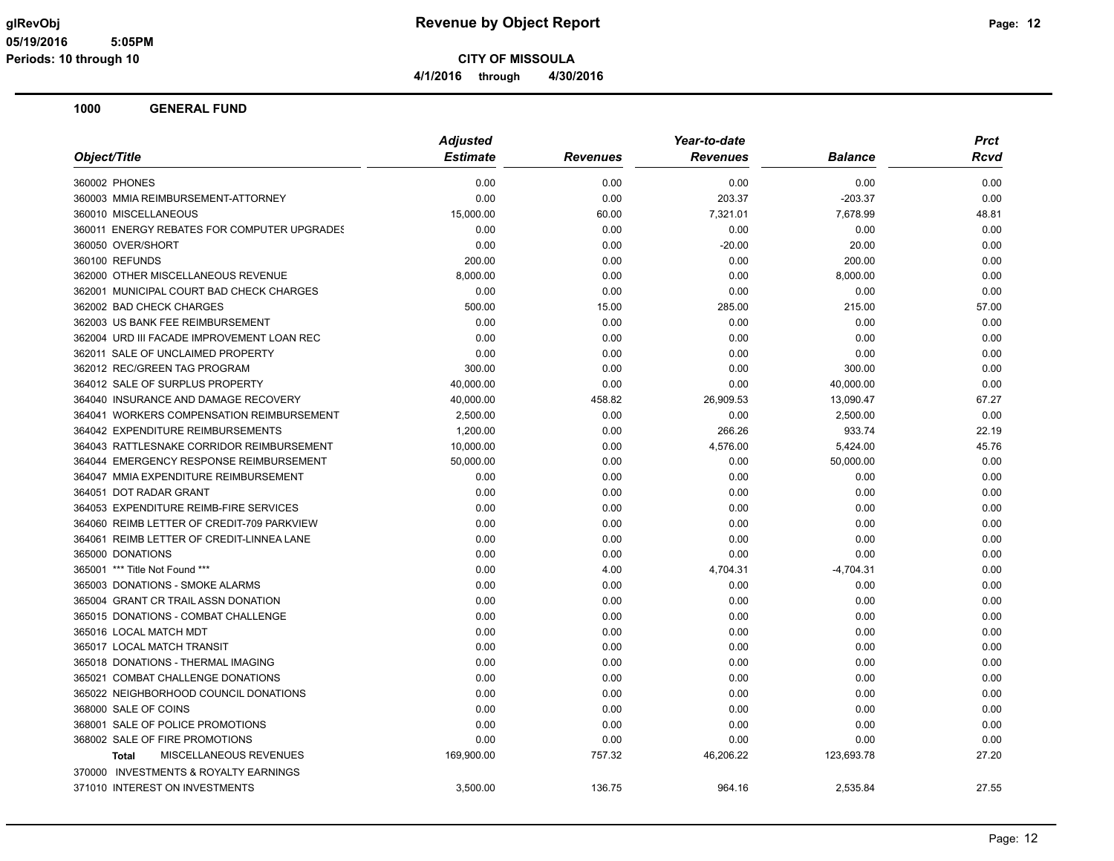**CITY OF MISSOULA**

**4/1/2016 through 4/30/2016**

|                                             | <b>Adjusted</b> |                 | Year-to-date    |                | <b>Prct</b> |  |
|---------------------------------------------|-----------------|-----------------|-----------------|----------------|-------------|--|
| Object/Title                                | <b>Estimate</b> | <b>Revenues</b> | <b>Revenues</b> | <b>Balance</b> | Rcvd        |  |
| 360002 PHONES                               | 0.00            | 0.00            | 0.00            | 0.00           | 0.00        |  |
| 360003 MMIA REIMBURSEMENT-ATTORNEY          | 0.00            | 0.00            | 203.37          | $-203.37$      | 0.00        |  |
| 360010 MISCELLANEOUS                        | 15,000.00       | 60.00           | 7,321.01        | 7,678.99       | 48.81       |  |
| 360011 ENERGY REBATES FOR COMPUTER UPGRADES | 0.00            | 0.00            | 0.00            | 0.00           | 0.00        |  |
| 360050 OVER/SHORT                           | 0.00            | 0.00            | $-20.00$        | 20.00          | 0.00        |  |
| 360100 REFUNDS                              | 200.00          | 0.00            | 0.00            | 200.00         | 0.00        |  |
| 362000 OTHER MISCELLANEOUS REVENUE          | 8,000.00        | 0.00            | 0.00            | 8,000.00       | 0.00        |  |
| 362001 MUNICIPAL COURT BAD CHECK CHARGES    | 0.00            | 0.00            | 0.00            | 0.00           | 0.00        |  |
| 362002 BAD CHECK CHARGES                    | 500.00          | 15.00           | 285.00          | 215.00         | 57.00       |  |
| 362003 US BANK FEE REIMBURSEMENT            | 0.00            | 0.00            | 0.00            | 0.00           | 0.00        |  |
| 362004 URD III FACADE IMPROVEMENT LOAN REC  | 0.00            | 0.00            | 0.00            | 0.00           | 0.00        |  |
| 362011 SALE OF UNCLAIMED PROPERTY           | 0.00            | 0.00            | 0.00            | 0.00           | 0.00        |  |
| 362012 REC/GREEN TAG PROGRAM                | 300.00          | 0.00            | 0.00            | 300.00         | 0.00        |  |
| 364012 SALE OF SURPLUS PROPERTY             | 40,000.00       | 0.00            | 0.00            | 40,000.00      | 0.00        |  |
| 364040 INSURANCE AND DAMAGE RECOVERY        | 40,000.00       | 458.82          | 26,909.53       | 13,090.47      | 67.27       |  |
| 364041 WORKERS COMPENSATION REIMBURSEMENT   | 2,500.00        | 0.00            | 0.00            | 2,500.00       | 0.00        |  |
| 364042 EXPENDITURE REIMBURSEMENTS           | 1,200.00        | 0.00            | 266.26          | 933.74         | 22.19       |  |
| 364043 RATTLESNAKE CORRIDOR REIMBURSEMENT   | 10,000.00       | 0.00            | 4,576.00        | 5,424.00       | 45.76       |  |
| 364044 EMERGENCY RESPONSE REIMBURSEMENT     | 50,000.00       | 0.00            | 0.00            | 50,000.00      | 0.00        |  |
| 364047 MMIA EXPENDITURE REIMBURSEMENT       | 0.00            | 0.00            | 0.00            | 0.00           | 0.00        |  |
| 364051 DOT RADAR GRANT                      | 0.00            | 0.00            | 0.00            | 0.00           | 0.00        |  |
| 364053 EXPENDITURE REIMB-FIRE SERVICES      | 0.00            | 0.00            | 0.00            | 0.00           | 0.00        |  |
| 364060 REIMB LETTER OF CREDIT-709 PARKVIEW  | 0.00            | 0.00            | 0.00            | 0.00           | 0.00        |  |
| 364061 REIMB LETTER OF CREDIT-LINNEA LANE   | 0.00            | 0.00            | 0.00            | 0.00           | 0.00        |  |
| 365000 DONATIONS                            | 0.00            | 0.00            | 0.00            | 0.00           | 0.00        |  |
| 365001 *** Title Not Found ***              | 0.00            | 4.00            | 4,704.31        | $-4,704.31$    | 0.00        |  |
| 365003 DONATIONS - SMOKE ALARMS             | 0.00            | 0.00            | 0.00            | 0.00           | 0.00        |  |
| 365004 GRANT CR TRAIL ASSN DONATION         | 0.00            | 0.00            | 0.00            | 0.00           | 0.00        |  |
| 365015 DONATIONS - COMBAT CHALLENGE         | 0.00            | 0.00            | 0.00            | 0.00           | 0.00        |  |
| 365016 LOCAL MATCH MDT                      | 0.00            | 0.00            | 0.00            | 0.00           | 0.00        |  |
| 365017 LOCAL MATCH TRANSIT                  | 0.00            | 0.00            | 0.00            | 0.00           | 0.00        |  |
| 365018 DONATIONS - THERMAL IMAGING          | 0.00            | 0.00            | 0.00            | 0.00           | 0.00        |  |
| 365021 COMBAT CHALLENGE DONATIONS           | 0.00            | 0.00            | 0.00            | 0.00           | 0.00        |  |
| 365022 NEIGHBORHOOD COUNCIL DONATIONS       | 0.00            | 0.00            | 0.00            | 0.00           | 0.00        |  |
| 368000 SALE OF COINS                        | 0.00            | 0.00            | 0.00            | 0.00           | 0.00        |  |
| 368001 SALE OF POLICE PROMOTIONS            | 0.00            | 0.00            | 0.00            | 0.00           | 0.00        |  |
| 368002 SALE OF FIRE PROMOTIONS              | 0.00            | 0.00            | 0.00            | 0.00           | 0.00        |  |
| MISCELLANEOUS REVENUES<br><b>Total</b>      | 169,900.00      | 757.32          | 46,206.22       | 123,693.78     | 27.20       |  |
| 370000 INVESTMENTS & ROYALTY EARNINGS       |                 |                 |                 |                |             |  |
| 371010 INTEREST ON INVESTMENTS              | 3,500.00        | 136.75          | 964.16          | 2,535.84       | 27.55       |  |
|                                             |                 |                 |                 |                |             |  |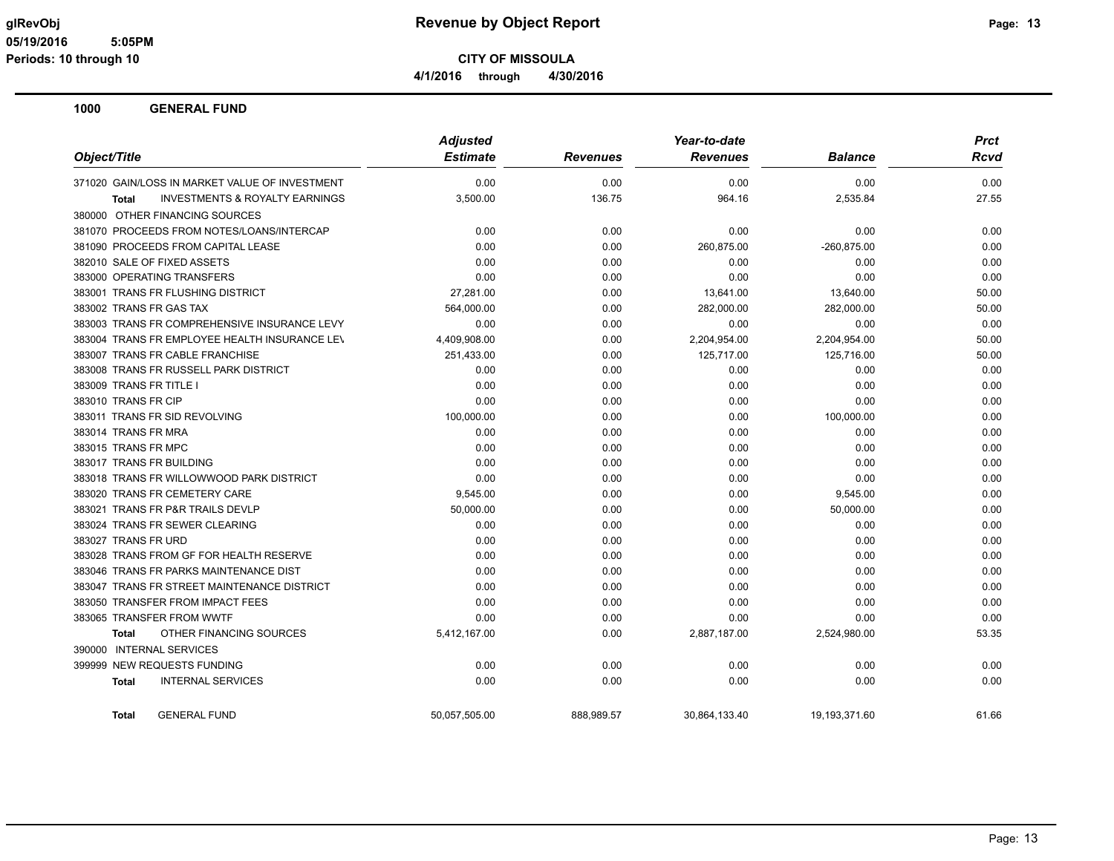**CITY OF MISSOULA 4/1/2016 through 4/30/2016**

|                                                           | <b>Adjusted</b> |                 | Year-to-date    | <b>Prct</b>    |             |
|-----------------------------------------------------------|-----------------|-----------------|-----------------|----------------|-------------|
| Object/Title                                              | <b>Estimate</b> | <b>Revenues</b> | <b>Revenues</b> | <b>Balance</b> | <b>Rcvd</b> |
| 371020 GAIN/LOSS IN MARKET VALUE OF INVESTMENT            | 0.00            | 0.00            | 0.00            | 0.00           | 0.00        |
| <b>INVESTMENTS &amp; ROYALTY EARNINGS</b><br><b>Total</b> | 3,500.00        | 136.75          | 964.16          | 2,535.84       | 27.55       |
| 380000 OTHER FINANCING SOURCES                            |                 |                 |                 |                |             |
| 381070 PROCEEDS FROM NOTES/LOANS/INTERCAP                 | 0.00            | 0.00            | 0.00            | 0.00           | 0.00        |
| 381090 PROCEEDS FROM CAPITAL LEASE                        | 0.00            | 0.00            | 260,875.00      | -260,875.00    | 0.00        |
| 382010 SALE OF FIXED ASSETS                               | 0.00            | 0.00            | 0.00            | 0.00           | 0.00        |
| 383000 OPERATING TRANSFERS                                | 0.00            | 0.00            | 0.00            | 0.00           | 0.00        |
| 383001 TRANS FR FLUSHING DISTRICT                         | 27,281.00       | 0.00            | 13,641.00       | 13,640.00      | 50.00       |
| 383002 TRANS FR GAS TAX                                   | 564,000.00      | 0.00            | 282,000.00      | 282,000.00     | 50.00       |
| 383003 TRANS FR COMPREHENSIVE INSURANCE LEVY              | 0.00            | 0.00            | 0.00            | 0.00           | 0.00        |
| 383004 TRANS FR EMPLOYEE HEALTH INSURANCE LEV             | 4,409,908.00    | 0.00            | 2,204,954.00    | 2,204,954.00   | 50.00       |
| 383007 TRANS FR CABLE FRANCHISE                           | 251,433.00      | 0.00            | 125,717.00      | 125,716.00     | 50.00       |
| 383008 TRANS FR RUSSELL PARK DISTRICT                     | 0.00            | 0.00            | 0.00            | 0.00           | 0.00        |
| 383009 TRANS FR TITLE I                                   | 0.00            | 0.00            | 0.00            | 0.00           | 0.00        |
| 383010 TRANS FR CIP                                       | 0.00            | 0.00            | 0.00            | 0.00           | 0.00        |
| 383011 TRANS FR SID REVOLVING                             | 100,000.00      | 0.00            | 0.00            | 100,000.00     | 0.00        |
| 383014 TRANS FR MRA                                       | 0.00            | 0.00            | 0.00            | 0.00           | 0.00        |
| 383015 TRANS FR MPC                                       | 0.00            | 0.00            | 0.00            | 0.00           | 0.00        |
| 383017 TRANS FR BUILDING                                  | 0.00            | 0.00            | 0.00            | 0.00           | 0.00        |
| 383018 TRANS FR WILLOWWOOD PARK DISTRICT                  | 0.00            | 0.00            | 0.00            | 0.00           | 0.00        |
| 383020 TRANS FR CEMETERY CARE                             | 9,545.00        | 0.00            | 0.00            | 9,545.00       | 0.00        |
| 383021 TRANS FR P&R TRAILS DEVLP                          | 50,000.00       | 0.00            | 0.00            | 50,000.00      | 0.00        |
| 383024 TRANS FR SEWER CLEARING                            | 0.00            | 0.00            | 0.00            | 0.00           | 0.00        |
| 383027 TRANS FR URD                                       | 0.00            | 0.00            | 0.00            | 0.00           | 0.00        |
| 383028 TRANS FROM GF FOR HEALTH RESERVE                   | 0.00            | 0.00            | 0.00            | 0.00           | 0.00        |
| 383046 TRANS FR PARKS MAINTENANCE DIST                    | 0.00            | 0.00            | 0.00            | 0.00           | 0.00        |
| 383047 TRANS FR STREET MAINTENANCE DISTRICT               | 0.00            | 0.00            | 0.00            | 0.00           | 0.00        |
| 383050 TRANSFER FROM IMPACT FEES                          | 0.00            | 0.00            | 0.00            | 0.00           | 0.00        |
| 383065 TRANSFER FROM WWTF                                 | 0.00            | 0.00            | 0.00            | 0.00           | 0.00        |
| OTHER FINANCING SOURCES<br><b>Total</b>                   | 5,412,167.00    | 0.00            | 2,887,187.00    | 2,524,980.00   | 53.35       |
| 390000 INTERNAL SERVICES                                  |                 |                 |                 |                |             |
| 399999 NEW REQUESTS FUNDING                               | 0.00            | 0.00            | 0.00            | 0.00           | 0.00        |
| <b>INTERNAL SERVICES</b><br><b>Total</b>                  | 0.00            | 0.00            | 0.00            | 0.00           | 0.00        |
| <b>GENERAL FUND</b><br><b>Total</b>                       | 50,057,505.00   | 888,989.57      | 30,864,133.40   | 19,193,371.60  | 61.66       |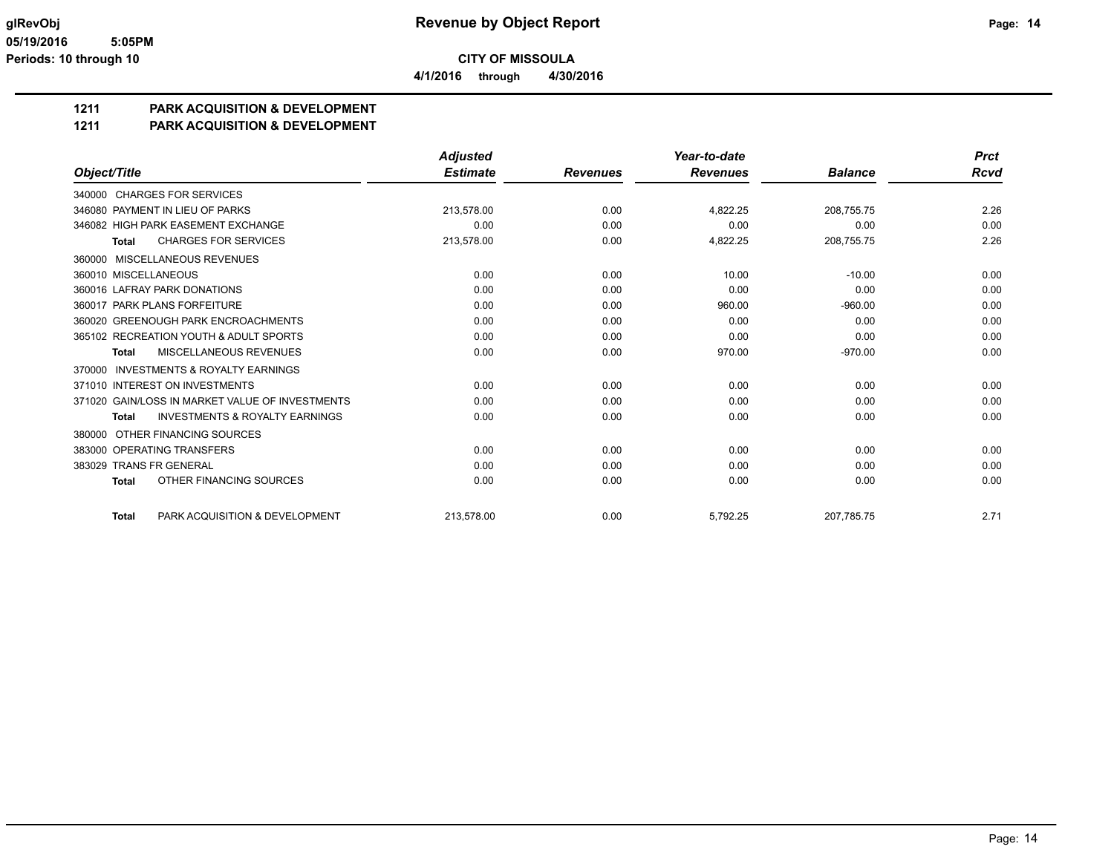**CITY OF MISSOULA 4/1/2016 through 4/30/2016**

### **1211 PARK ACQUISITION & DEVELOPMENT**

### **1211 PARK ACQUISITION & DEVELOPMENT**

|                                                           | <b>Adjusted</b> |                 | Year-to-date    |                | <b>Prct</b> |
|-----------------------------------------------------------|-----------------|-----------------|-----------------|----------------|-------------|
| Object/Title                                              | <b>Estimate</b> | <b>Revenues</b> | <b>Revenues</b> | <b>Balance</b> | <b>Rcvd</b> |
| 340000 CHARGES FOR SERVICES                               |                 |                 |                 |                |             |
| 346080 PAYMENT IN LIEU OF PARKS                           | 213.578.00      | 0.00            | 4.822.25        | 208.755.75     | 2.26        |
| 346082 HIGH PARK EASEMENT EXCHANGE                        | 0.00            | 0.00            | 0.00            | 0.00           | 0.00        |
| <b>CHARGES FOR SERVICES</b><br><b>Total</b>               | 213,578.00      | 0.00            | 4,822.25        | 208,755.75     | 2.26        |
| MISCELLANEOUS REVENUES<br>360000                          |                 |                 |                 |                |             |
| 360010 MISCELLANEOUS                                      | 0.00            | 0.00            | 10.00           | $-10.00$       | 0.00        |
| 360016 LAFRAY PARK DONATIONS                              | 0.00            | 0.00            | 0.00            | 0.00           | 0.00        |
| 360017 PARK PLANS FORFEITURE                              | 0.00            | 0.00            | 960.00          | $-960.00$      | 0.00        |
| 360020 GREENOUGH PARK ENCROACHMENTS                       | 0.00            | 0.00            | 0.00            | 0.00           | 0.00        |
| 365102 RECREATION YOUTH & ADULT SPORTS                    | 0.00            | 0.00            | 0.00            | 0.00           | 0.00        |
| MISCELLANEOUS REVENUES<br><b>Total</b>                    | 0.00            | 0.00            | 970.00          | $-970.00$      | 0.00        |
| <b>INVESTMENTS &amp; ROYALTY EARNINGS</b><br>370000       |                 |                 |                 |                |             |
| 371010 INTEREST ON INVESTMENTS                            | 0.00            | 0.00            | 0.00            | 0.00           | 0.00        |
| 371020 GAIN/LOSS IN MARKET VALUE OF INVESTMENTS           | 0.00            | 0.00            | 0.00            | 0.00           | 0.00        |
| <b>INVESTMENTS &amp; ROYALTY EARNINGS</b><br><b>Total</b> | 0.00            | 0.00            | 0.00            | 0.00           | 0.00        |
| OTHER FINANCING SOURCES<br>380000                         |                 |                 |                 |                |             |
| 383000 OPERATING TRANSFERS                                | 0.00            | 0.00            | 0.00            | 0.00           | 0.00        |
| 383029 TRANS FR GENERAL                                   | 0.00            | 0.00            | 0.00            | 0.00           | 0.00        |
| OTHER FINANCING SOURCES<br><b>Total</b>                   | 0.00            | 0.00            | 0.00            | 0.00           | 0.00        |
| PARK ACQUISITION & DEVELOPMENT<br><b>Total</b>            | 213.578.00      | 0.00            | 5.792.25        | 207.785.75     | 2.71        |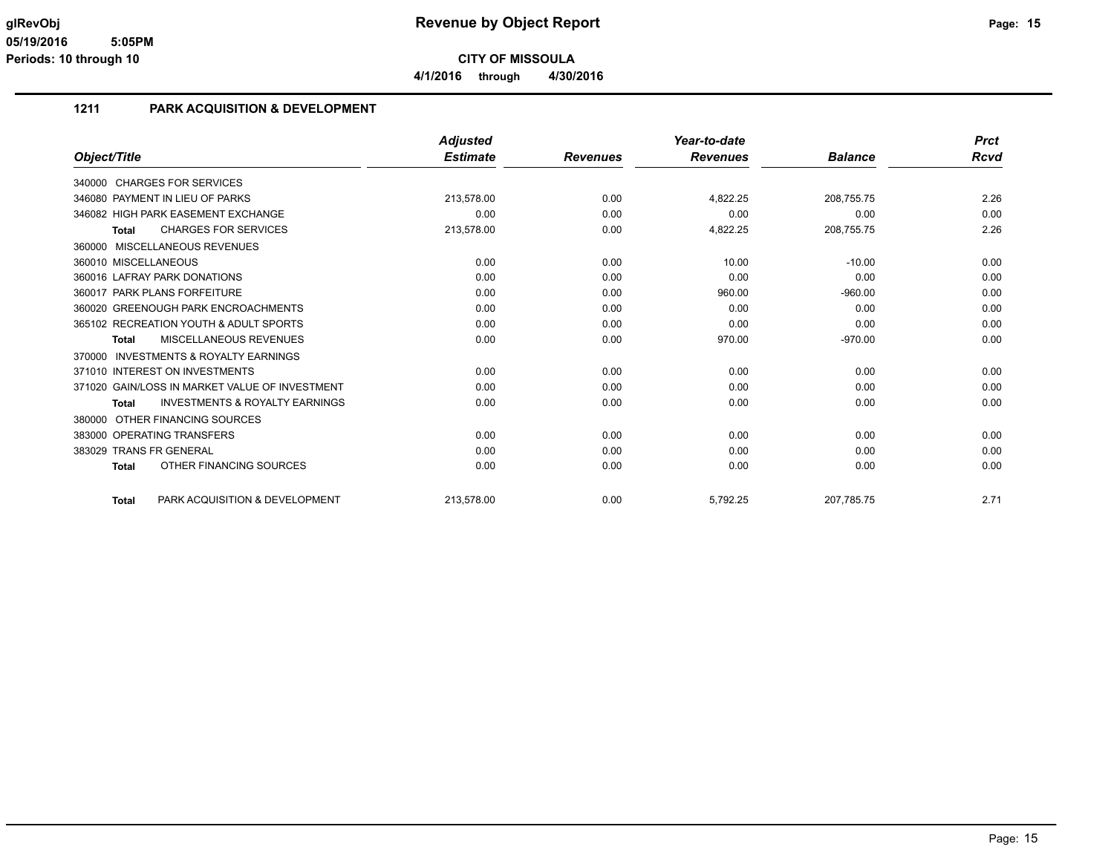**4/1/2016 through 4/30/2016**

### **1211 PARK ACQUISITION & DEVELOPMENT**

|                                                     | <b>Adjusted</b> |                 | Year-to-date    |                | <b>Prct</b> |
|-----------------------------------------------------|-----------------|-----------------|-----------------|----------------|-------------|
| Object/Title                                        | <b>Estimate</b> | <b>Revenues</b> | <b>Revenues</b> | <b>Balance</b> | <b>Rcvd</b> |
| <b>CHARGES FOR SERVICES</b><br>340000               |                 |                 |                 |                |             |
| 346080 PAYMENT IN LIEU OF PARKS                     | 213,578.00      | 0.00            | 4,822.25        | 208,755.75     | 2.26        |
| 346082 HIGH PARK EASEMENT EXCHANGE                  | 0.00            | 0.00            | 0.00            | 0.00           | 0.00        |
| <b>CHARGES FOR SERVICES</b><br>Total                | 213,578.00      | 0.00            | 4,822.25        | 208,755.75     | 2.26        |
| MISCELLANEOUS REVENUES<br>360000                    |                 |                 |                 |                |             |
| 360010 MISCELLANEOUS                                | 0.00            | 0.00            | 10.00           | $-10.00$       | 0.00        |
| 360016 LAFRAY PARK DONATIONS                        | 0.00            | 0.00            | 0.00            | 0.00           | 0.00        |
| 360017 PARK PLANS FORFEITURE                        | 0.00            | 0.00            | 960.00          | $-960.00$      | 0.00        |
| 360020 GREENOUGH PARK ENCROACHMENTS                 | 0.00            | 0.00            | 0.00            | 0.00           | 0.00        |
| 365102 RECREATION YOUTH & ADULT SPORTS              | 0.00            | 0.00            | 0.00            | 0.00           | 0.00        |
| <b>MISCELLANEOUS REVENUES</b><br><b>Total</b>       | 0.00            | 0.00            | 970.00          | $-970.00$      | 0.00        |
| <b>INVESTMENTS &amp; ROYALTY EARNINGS</b><br>370000 |                 |                 |                 |                |             |
| 371010 INTEREST ON INVESTMENTS                      | 0.00            | 0.00            | 0.00            | 0.00           | 0.00        |
| 371020 GAIN/LOSS IN MARKET VALUE OF INVESTMENT      | 0.00            | 0.00            | 0.00            | 0.00           | 0.00        |
| <b>INVESTMENTS &amp; ROYALTY EARNINGS</b><br>Total  | 0.00            | 0.00            | 0.00            | 0.00           | 0.00        |
| OTHER FINANCING SOURCES<br>380000                   |                 |                 |                 |                |             |
| 383000 OPERATING TRANSFERS                          | 0.00            | 0.00            | 0.00            | 0.00           | 0.00        |
| 383029 TRANS FR GENERAL                             | 0.00            | 0.00            | 0.00            | 0.00           | 0.00        |
| OTHER FINANCING SOURCES<br><b>Total</b>             | 0.00            | 0.00            | 0.00            | 0.00           | 0.00        |
| PARK ACQUISITION & DEVELOPMENT<br><b>Total</b>      | 213,578.00      | 0.00            | 5,792.25        | 207.785.75     | 2.71        |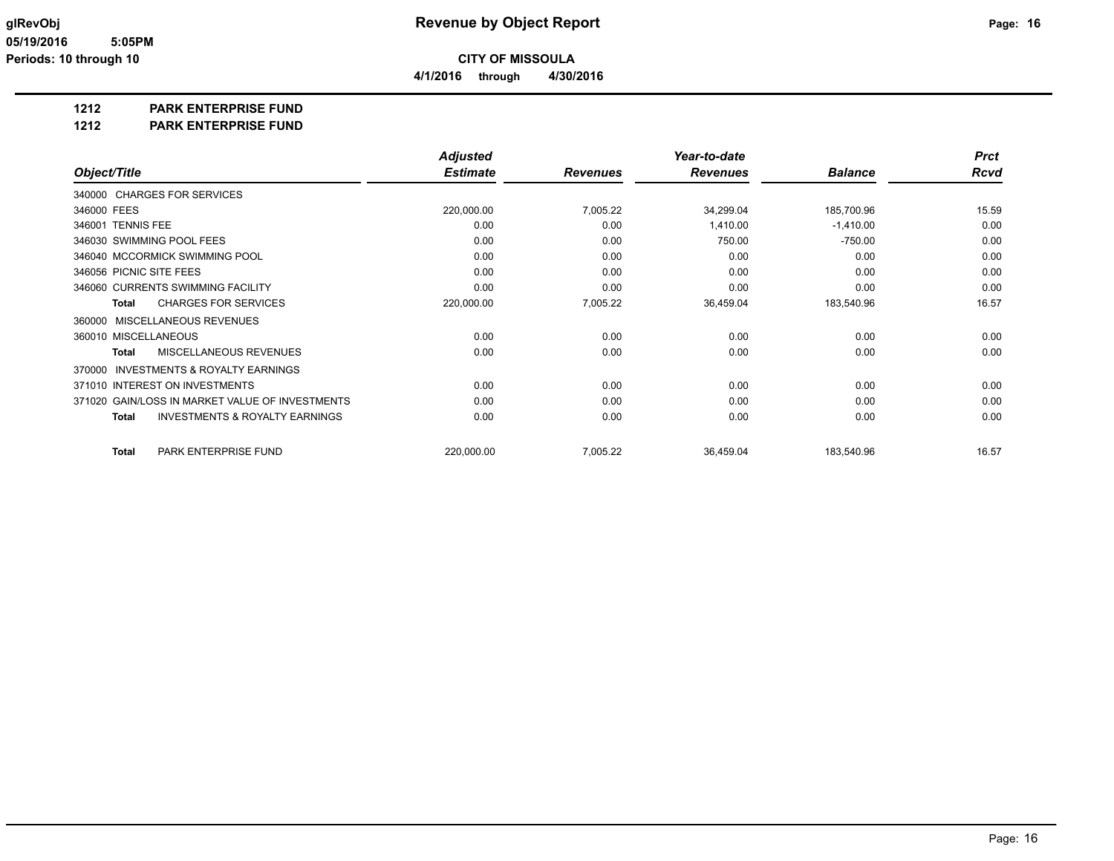**4/1/2016 through 4/30/2016**

### **1212 PARK ENTERPRISE FUND**

### **1212 PARK ENTERPRISE FUND**

|                                                           | <b>Adjusted</b> |                 | Year-to-date    |                | <b>Prct</b> |
|-----------------------------------------------------------|-----------------|-----------------|-----------------|----------------|-------------|
| Object/Title                                              | <b>Estimate</b> | <b>Revenues</b> | <b>Revenues</b> | <b>Balance</b> | <b>Rcvd</b> |
| 340000 CHARGES FOR SERVICES                               |                 |                 |                 |                |             |
| 346000 FEES                                               | 220,000.00      | 7,005.22        | 34,299.04       | 185,700.96     | 15.59       |
| 346001 TENNIS FEE                                         | 0.00            | 0.00            | 1,410.00        | $-1,410.00$    | 0.00        |
| 346030 SWIMMING POOL FEES                                 | 0.00            | 0.00            | 750.00          | $-750.00$      | 0.00        |
| 346040 MCCORMICK SWIMMING POOL                            | 0.00            | 0.00            | 0.00            | 0.00           | 0.00        |
| 346056 PICNIC SITE FEES                                   | 0.00            | 0.00            | 0.00            | 0.00           | 0.00        |
| 346060 CURRENTS SWIMMING FACILITY                         | 0.00            | 0.00            | 0.00            | 0.00           | 0.00        |
| <b>CHARGES FOR SERVICES</b><br>Total                      | 220,000.00      | 7,005.22        | 36,459.04       | 183,540.96     | 16.57       |
| MISCELLANEOUS REVENUES<br>360000                          |                 |                 |                 |                |             |
| 360010 MISCELLANEOUS                                      | 0.00            | 0.00            | 0.00            | 0.00           | 0.00        |
| <b>MISCELLANEOUS REVENUES</b><br><b>Total</b>             | 0.00            | 0.00            | 0.00            | 0.00           | 0.00        |
| <b>INVESTMENTS &amp; ROYALTY EARNINGS</b><br>370000       |                 |                 |                 |                |             |
| 371010 INTEREST ON INVESTMENTS                            | 0.00            | 0.00            | 0.00            | 0.00           | 0.00        |
| GAIN/LOSS IN MARKET VALUE OF INVESTMENTS<br>371020        | 0.00            | 0.00            | 0.00            | 0.00           | 0.00        |
| <b>INVESTMENTS &amp; ROYALTY EARNINGS</b><br><b>Total</b> | 0.00            | 0.00            | 0.00            | 0.00           | 0.00        |
| PARK ENTERPRISE FUND<br><b>Total</b>                      | 220,000.00      | 7,005.22        | 36,459.04       | 183,540.96     | 16.57       |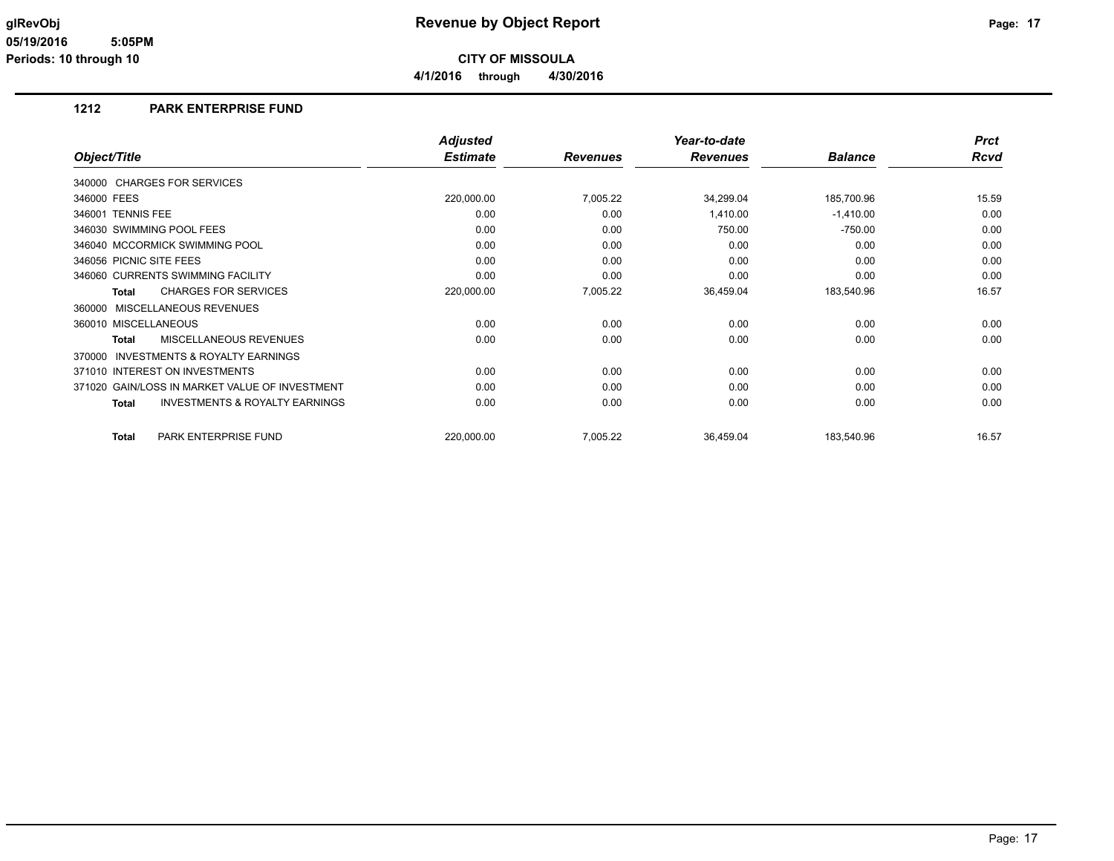**4/1/2016 through 4/30/2016**

### **1212 PARK ENTERPRISE FUND**

|                                                           | <b>Adjusted</b> |                 | Year-to-date    |                | <b>Prct</b> |
|-----------------------------------------------------------|-----------------|-----------------|-----------------|----------------|-------------|
| Object/Title                                              | <b>Estimate</b> | <b>Revenues</b> | <b>Revenues</b> | <b>Balance</b> | <b>Rcvd</b> |
| 340000 CHARGES FOR SERVICES                               |                 |                 |                 |                |             |
| 346000 FEES                                               | 220,000.00      | 7,005.22        | 34,299.04       | 185,700.96     | 15.59       |
| 346001 TENNIS FEE                                         | 0.00            | 0.00            | 1,410.00        | $-1,410.00$    | 0.00        |
| 346030 SWIMMING POOL FEES                                 | 0.00            | 0.00            | 750.00          | $-750.00$      | 0.00        |
| 346040 MCCORMICK SWIMMING POOL                            | 0.00            | 0.00            | 0.00            | 0.00           | 0.00        |
| 346056 PICNIC SITE FEES                                   | 0.00            | 0.00            | 0.00            | 0.00           | 0.00        |
| 346060 CURRENTS SWIMMING FACILITY                         | 0.00            | 0.00            | 0.00            | 0.00           | 0.00        |
| <b>CHARGES FOR SERVICES</b><br><b>Total</b>               | 220,000.00      | 7,005.22        | 36,459.04       | 183,540.96     | 16.57       |
| MISCELLANEOUS REVENUES<br>360000                          |                 |                 |                 |                |             |
| 360010 MISCELLANEOUS                                      | 0.00            | 0.00            | 0.00            | 0.00           | 0.00        |
| MISCELLANEOUS REVENUES<br><b>Total</b>                    | 0.00            | 0.00            | 0.00            | 0.00           | 0.00        |
| INVESTMENTS & ROYALTY EARNINGS<br>370000                  |                 |                 |                 |                |             |
| 371010 INTEREST ON INVESTMENTS                            | 0.00            | 0.00            | 0.00            | 0.00           | 0.00        |
| 371020 GAIN/LOSS IN MARKET VALUE OF INVESTMENT            | 0.00            | 0.00            | 0.00            | 0.00           | 0.00        |
| <b>INVESTMENTS &amp; ROYALTY EARNINGS</b><br><b>Total</b> | 0.00            | 0.00            | 0.00            | 0.00           | 0.00        |
| PARK ENTERPRISE FUND<br><b>Total</b>                      | 220,000.00      | 7,005.22        | 36,459.04       | 183,540.96     | 16.57       |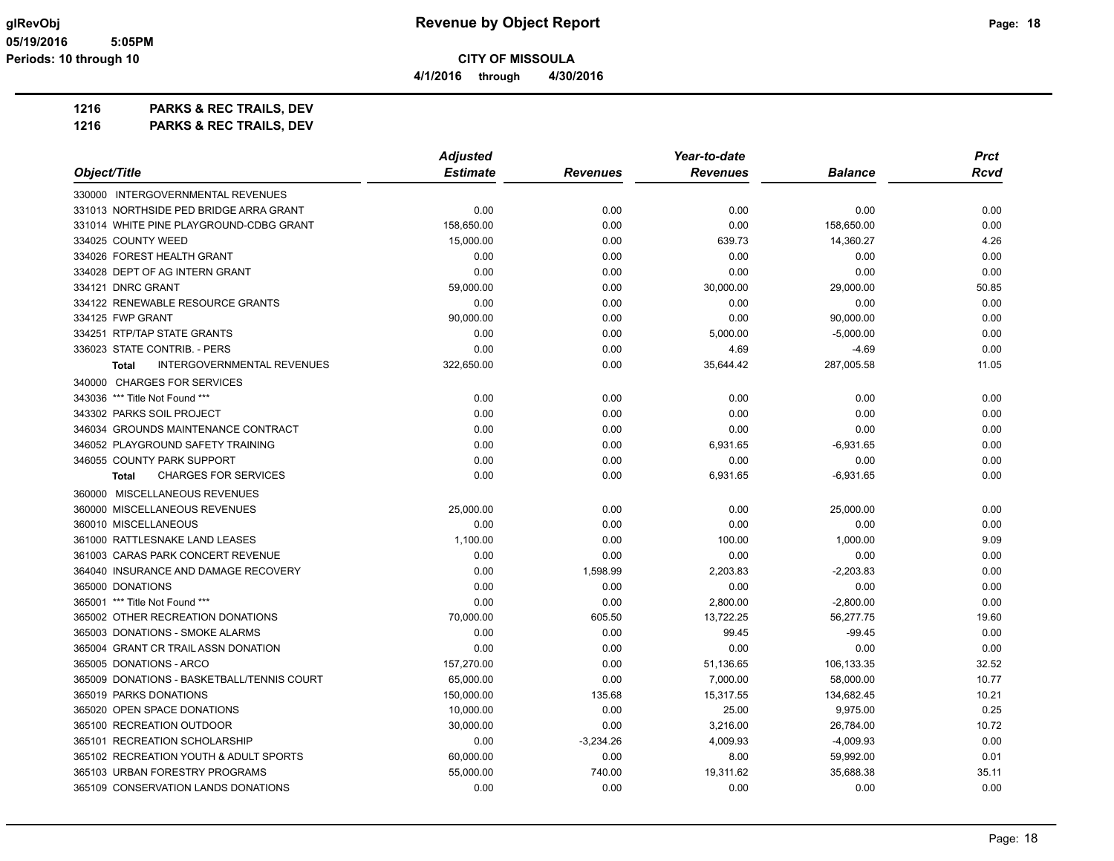**1216 PARKS & REC TRAILS, DEV**

|                                                   | <b>Adjusted</b> |                 | Year-to-date    |                | <b>Prct</b> |
|---------------------------------------------------|-----------------|-----------------|-----------------|----------------|-------------|
| Object/Title                                      | <b>Estimate</b> | <b>Revenues</b> | <b>Revenues</b> | <b>Balance</b> | Rcvd        |
| 330000 INTERGOVERNMENTAL REVENUES                 |                 |                 |                 |                |             |
| 331013 NORTHSIDE PED BRIDGE ARRA GRANT            | 0.00            | 0.00            | 0.00            | 0.00           | 0.00        |
| 331014 WHITE PINE PLAYGROUND-CDBG GRANT           | 158,650.00      | 0.00            | 0.00            | 158,650.00     | 0.00        |
| 334025 COUNTY WEED                                | 15,000.00       | 0.00            | 639.73          | 14,360.27      | 4.26        |
| 334026 FOREST HEALTH GRANT                        | 0.00            | 0.00            | 0.00            | 0.00           | 0.00        |
| 334028 DEPT OF AG INTERN GRANT                    | 0.00            | 0.00            | 0.00            | 0.00           | 0.00        |
| 334121 DNRC GRANT                                 | 59,000.00       | 0.00            | 30,000.00       | 29,000.00      | 50.85       |
| 334122 RENEWABLE RESOURCE GRANTS                  | 0.00            | 0.00            | 0.00            | 0.00           | 0.00        |
| 334125 FWP GRANT                                  | 90,000.00       | 0.00            | 0.00            | 90,000.00      | 0.00        |
| 334251 RTP/TAP STATE GRANTS                       | 0.00            | 0.00            | 5,000.00        | $-5,000.00$    | 0.00        |
| 336023 STATE CONTRIB. - PERS                      | 0.00            | 0.00            | 4.69            | $-4.69$        | 0.00        |
| <b>INTERGOVERNMENTAL REVENUES</b><br><b>Total</b> | 322,650.00      | 0.00            | 35,644.42       | 287,005.58     | 11.05       |
| 340000 CHARGES FOR SERVICES                       |                 |                 |                 |                |             |
| 343036 *** Title Not Found ***                    | 0.00            | 0.00            | 0.00            | 0.00           | 0.00        |
| 343302 PARKS SOIL PROJECT                         | 0.00            | 0.00            | 0.00            | 0.00           | 0.00        |
| 346034 GROUNDS MAINTENANCE CONTRACT               | 0.00            | 0.00            | 0.00            | 0.00           | 0.00        |
| 346052 PLAYGROUND SAFETY TRAINING                 | 0.00            | 0.00            | 6,931.65        | $-6,931.65$    | 0.00        |
| 346055 COUNTY PARK SUPPORT                        | 0.00            | 0.00            | 0.00            | 0.00           | 0.00        |
| <b>CHARGES FOR SERVICES</b><br><b>Total</b>       | 0.00            | 0.00            | 6,931.65        | $-6,931.65$    | 0.00        |
| 360000 MISCELLANEOUS REVENUES                     |                 |                 |                 |                |             |
| 360000 MISCELLANEOUS REVENUES                     | 25,000.00       | 0.00            | 0.00            | 25,000.00      | 0.00        |
| 360010 MISCELLANEOUS                              | 0.00            | 0.00            | 0.00            | 0.00           | 0.00        |
| 361000 RATTLESNAKE LAND LEASES                    | 1,100.00        | 0.00            | 100.00          | 1,000.00       | 9.09        |
| 361003 CARAS PARK CONCERT REVENUE                 | 0.00            | 0.00            | 0.00            | 0.00           | 0.00        |
| 364040 INSURANCE AND DAMAGE RECOVERY              | 0.00            | 1,598.99        | 2,203.83        | $-2,203.83$    | 0.00        |
| 365000 DONATIONS                                  | 0.00            | 0.00            | 0.00            | 0.00           | 0.00        |
| 365001 *** Title Not Found ***                    | 0.00            | 0.00            | 2,800.00        | $-2,800.00$    | 0.00        |
| 365002 OTHER RECREATION DONATIONS                 | 70,000.00       | 605.50          | 13,722.25       | 56,277.75      | 19.60       |
| 365003 DONATIONS - SMOKE ALARMS                   | 0.00            | 0.00            | 99.45           | $-99.45$       | 0.00        |
| 365004 GRANT CR TRAIL ASSN DONATION               | 0.00            | 0.00            | 0.00            | 0.00           | 0.00        |
| 365005 DONATIONS - ARCO                           | 157,270.00      | 0.00            | 51,136.65       | 106,133.35     | 32.52       |
| 365009 DONATIONS - BASKETBALL/TENNIS COURT        | 65,000.00       | 0.00            | 7,000.00        | 58,000.00      | 10.77       |
| 365019 PARKS DONATIONS                            | 150,000.00      | 135.68          | 15,317.55       | 134,682.45     | 10.21       |
| 365020 OPEN SPACE DONATIONS                       | 10,000.00       | 0.00            | 25.00           | 9,975.00       | 0.25        |
| 365100 RECREATION OUTDOOR                         | 30,000.00       | 0.00            | 3,216.00        | 26,784.00      | 10.72       |
| 365101 RECREATION SCHOLARSHIP                     | 0.00            | $-3,234.26$     | 4,009.93        | $-4,009.93$    | 0.00        |
| 365102 RECREATION YOUTH & ADULT SPORTS            | 60,000.00       | 0.00            | 8.00            | 59,992.00      | 0.01        |
| 365103 URBAN FORESTRY PROGRAMS                    | 55.000.00       | 740.00          | 19,311.62       | 35,688.38      | 35.11       |
| 365109 CONSERVATION LANDS DONATIONS               | 0.00            | 0.00            | 0.00            | 0.00           | 0.00        |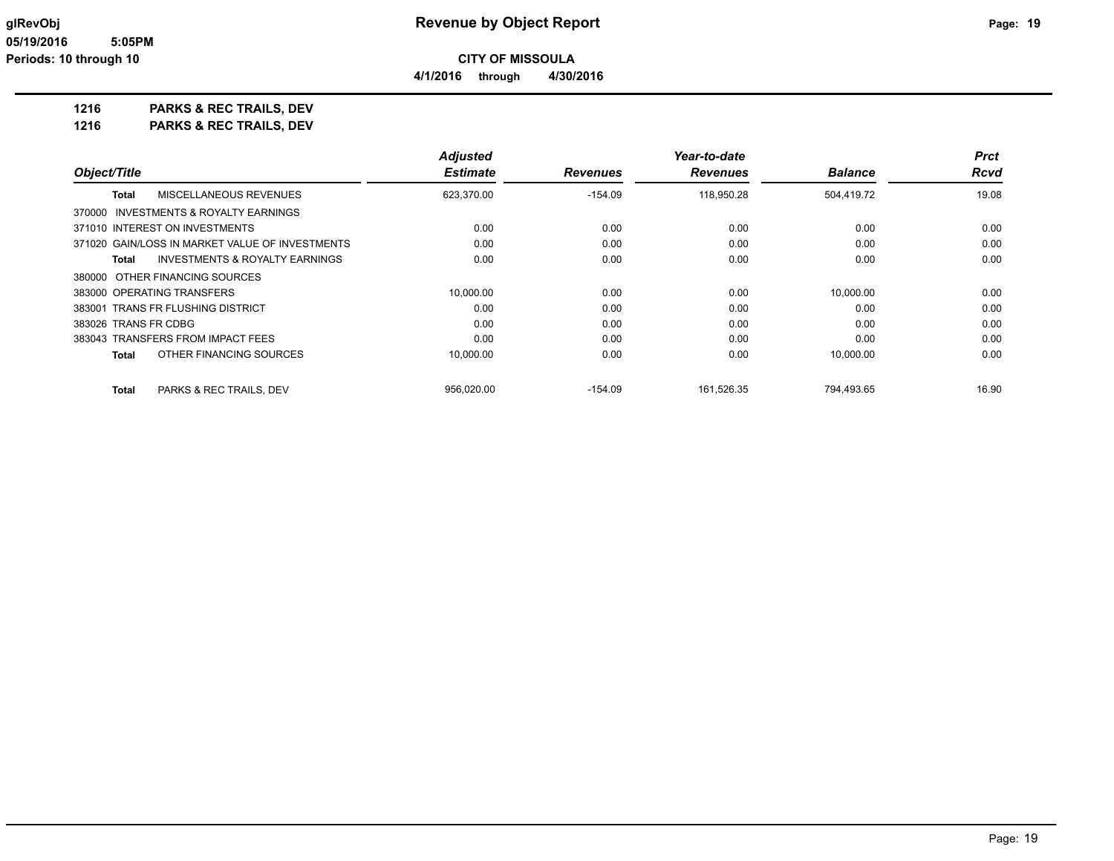# **1216 PARKS & REC TRAILS, DEV**

|                                                    | <b>Adjusted</b> |                 | Year-to-date    |                | <b>Prct</b> |
|----------------------------------------------------|-----------------|-----------------|-----------------|----------------|-------------|
| Object/Title                                       | <b>Estimate</b> | <b>Revenues</b> | <b>Revenues</b> | <b>Balance</b> | <b>Rcvd</b> |
| MISCELLANEOUS REVENUES<br>Total                    | 623,370.00      | $-154.09$       | 118,950.28      | 504,419.72     | 19.08       |
| 370000 INVESTMENTS & ROYALTY EARNINGS              |                 |                 |                 |                |             |
| 371010 INTEREST ON INVESTMENTS                     | 0.00            | 0.00            | 0.00            | 0.00           | 0.00        |
| 371020 GAIN/LOSS IN MARKET VALUE OF INVESTMENTS    | 0.00            | 0.00            | 0.00            | 0.00           | 0.00        |
| <b>INVESTMENTS &amp; ROYALTY EARNINGS</b><br>Total | 0.00            | 0.00            | 0.00            | 0.00           | 0.00        |
| 380000 OTHER FINANCING SOURCES                     |                 |                 |                 |                |             |
| 383000 OPERATING TRANSFERS                         | 10,000.00       | 0.00            | 0.00            | 10,000.00      | 0.00        |
| 383001 TRANS FR FLUSHING DISTRICT                  | 0.00            | 0.00            | 0.00            | 0.00           | 0.00        |
| 383026 TRANS FR CDBG                               | 0.00            | 0.00            | 0.00            | 0.00           | 0.00        |
| 383043 TRANSFERS FROM IMPACT FEES                  | 0.00            | 0.00            | 0.00            | 0.00           | 0.00        |
| OTHER FINANCING SOURCES<br>Total                   | 10.000.00       | 0.00            | 0.00            | 10.000.00      | 0.00        |
| PARKS & REC TRAILS, DEV<br><b>Total</b>            | 956.020.00      | $-154.09$       | 161,526.35      | 794,493.65     | 16.90       |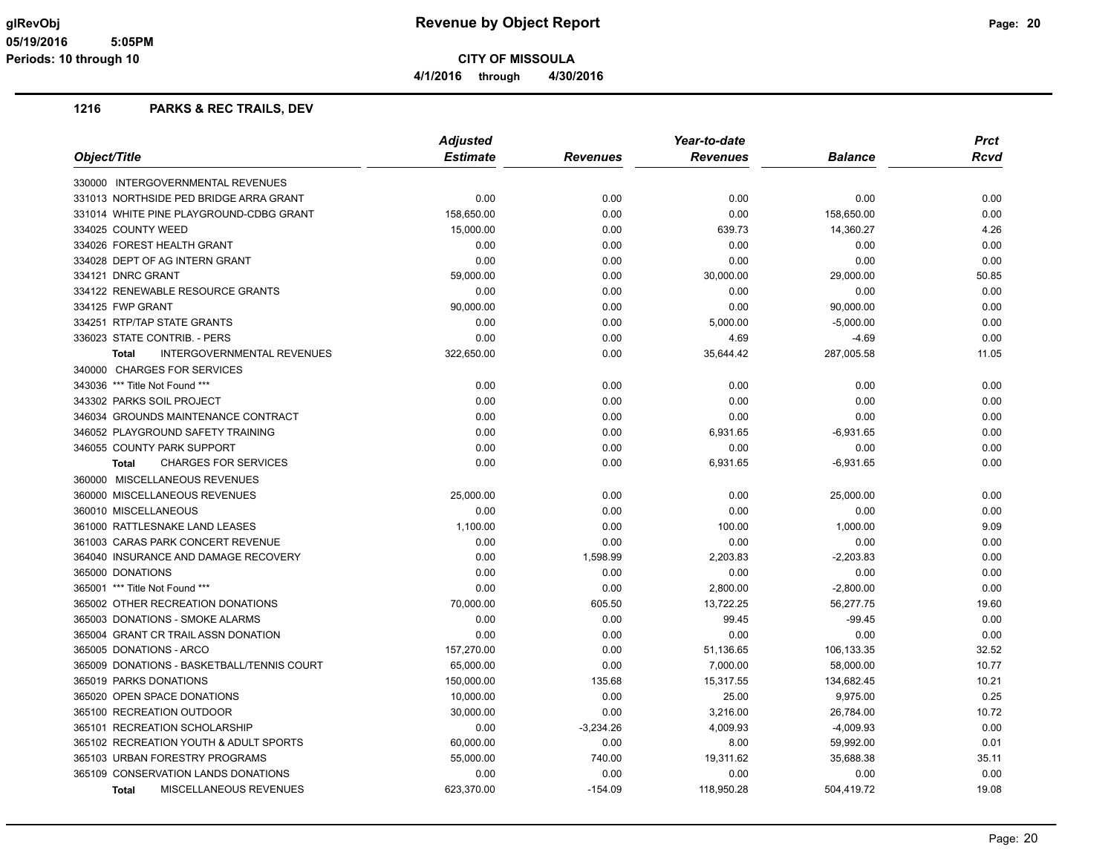**4/1/2016 through 4/30/2016**

|                                                   | <b>Adjusted</b> |             | Year-to-date    | <b>Prct</b>    |       |
|---------------------------------------------------|-----------------|-------------|-----------------|----------------|-------|
| Object/Title                                      | <b>Estimate</b> | Revenues    | <b>Revenues</b> | <b>Balance</b> | Rcvd  |
| 330000 INTERGOVERNMENTAL REVENUES                 |                 |             |                 |                |       |
| 331013 NORTHSIDE PED BRIDGE ARRA GRANT            | 0.00            | 0.00        | 0.00            | 0.00           | 0.00  |
| 331014 WHITE PINE PLAYGROUND-CDBG GRANT           | 158,650.00      | 0.00        | 0.00            | 158,650.00     | 0.00  |
| 334025 COUNTY WEED                                | 15,000.00       | 0.00        | 639.73          | 14,360.27      | 4.26  |
| 334026 FOREST HEALTH GRANT                        | 0.00            | 0.00        | 0.00            | 0.00           | 0.00  |
| 334028 DEPT OF AG INTERN GRANT                    | 0.00            | 0.00        | 0.00            | 0.00           | 0.00  |
| 334121 DNRC GRANT                                 | 59,000.00       | 0.00        | 30,000.00       | 29,000.00      | 50.85 |
| 334122 RENEWABLE RESOURCE GRANTS                  | 0.00            | 0.00        | 0.00            | 0.00           | 0.00  |
| 334125 FWP GRANT                                  | 90,000.00       | 0.00        | 0.00            | 90,000.00      | 0.00  |
| 334251 RTP/TAP STATE GRANTS                       | 0.00            | 0.00        | 5,000.00        | $-5,000.00$    | 0.00  |
| 336023 STATE CONTRIB. - PERS                      | 0.00            | 0.00        | 4.69            | $-4.69$        | 0.00  |
| <b>INTERGOVERNMENTAL REVENUES</b><br><b>Total</b> | 322,650.00      | 0.00        | 35,644.42       | 287,005.58     | 11.05 |
| 340000 CHARGES FOR SERVICES                       |                 |             |                 |                |       |
| 343036 *** Title Not Found ***                    | 0.00            | 0.00        | 0.00            | 0.00           | 0.00  |
| 343302 PARKS SOIL PROJECT                         | 0.00            | 0.00        | 0.00            | 0.00           | 0.00  |
| 346034 GROUNDS MAINTENANCE CONTRACT               | 0.00            | 0.00        | 0.00            | 0.00           | 0.00  |
| 346052 PLAYGROUND SAFETY TRAINING                 | 0.00            | 0.00        | 6,931.65        | $-6,931.65$    | 0.00  |
| 346055 COUNTY PARK SUPPORT                        | 0.00            | 0.00        | 0.00            | 0.00           | 0.00  |
| <b>CHARGES FOR SERVICES</b><br><b>Total</b>       | 0.00            | 0.00        | 6,931.65        | $-6,931.65$    | 0.00  |
| 360000 MISCELLANEOUS REVENUES                     |                 |             |                 |                |       |
| 360000 MISCELLANEOUS REVENUES                     | 25,000.00       | 0.00        | 0.00            | 25,000.00      | 0.00  |
| 360010 MISCELLANEOUS                              | 0.00            | 0.00        | 0.00            | 0.00           | 0.00  |
| 361000 RATTLESNAKE LAND LEASES                    | 1,100.00        | 0.00        | 100.00          | 1,000.00       | 9.09  |
| 361003 CARAS PARK CONCERT REVENUE                 | 0.00            | 0.00        | 0.00            | 0.00           | 0.00  |
| 364040 INSURANCE AND DAMAGE RECOVERY              | 0.00            | 1,598.99    | 2,203.83        | $-2,203.83$    | 0.00  |
| 365000 DONATIONS                                  | 0.00            | 0.00        | 0.00            | 0.00           | 0.00  |
| 365001 *** Title Not Found ***                    | 0.00            | 0.00        | 2,800.00        | $-2,800.00$    | 0.00  |
| 365002 OTHER RECREATION DONATIONS                 | 70,000.00       | 605.50      | 13,722.25       | 56,277.75      | 19.60 |
| 365003 DONATIONS - SMOKE ALARMS                   | 0.00            | 0.00        | 99.45           | $-99.45$       | 0.00  |
| 365004 GRANT CR TRAIL ASSN DONATION               | 0.00            | 0.00        | 0.00            | 0.00           | 0.00  |
| 365005 DONATIONS - ARCO                           | 157,270.00      | 0.00        | 51,136.65       | 106,133.35     | 32.52 |
| 365009 DONATIONS - BASKETBALL/TENNIS COURT        | 65,000.00       | 0.00        | 7,000.00        | 58,000.00      | 10.77 |
| 365019 PARKS DONATIONS                            | 150,000.00      | 135.68      | 15,317.55       | 134,682.45     | 10.21 |
| 365020 OPEN SPACE DONATIONS                       | 10,000.00       | 0.00        | 25.00           | 9,975.00       | 0.25  |
| 365100 RECREATION OUTDOOR                         | 30,000.00       | 0.00        | 3,216.00        | 26,784.00      | 10.72 |
| 365101 RECREATION SCHOLARSHIP                     | 0.00            | $-3,234.26$ | 4,009.93        | $-4,009.93$    | 0.00  |
| 365102 RECREATION YOUTH & ADULT SPORTS            | 60,000.00       | 0.00        | 8.00            | 59,992.00      | 0.01  |
| 365103 URBAN FORESTRY PROGRAMS                    | 55,000.00       | 740.00      | 19,311.62       | 35,688.38      | 35.11 |
| 365109 CONSERVATION LANDS DONATIONS               | 0.00            | 0.00        | 0.00            | 0.00           | 0.00  |
| MISCELLANEOUS REVENUES<br><b>Total</b>            | 623,370.00      | $-154.09$   | 118,950.28      | 504,419.72     | 19.08 |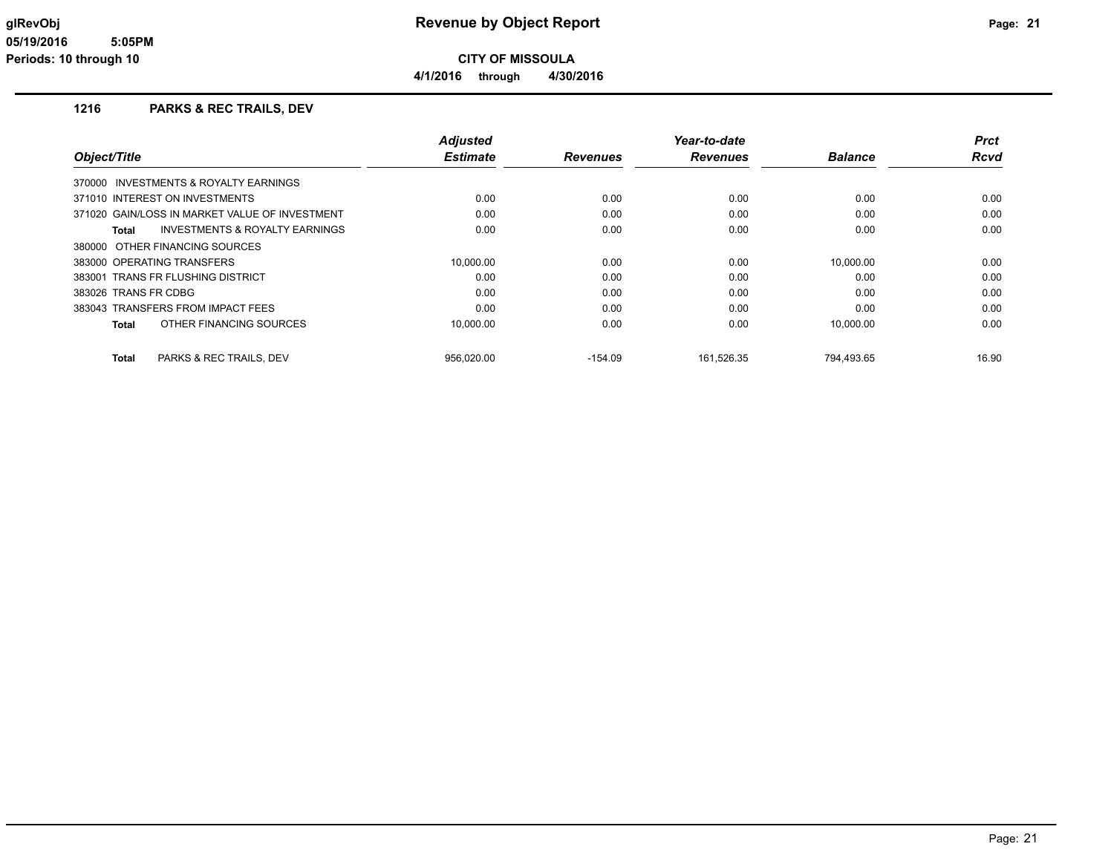**4/1/2016 through 4/30/2016**

|                            |                                                | <b>Adjusted</b> |                 | Year-to-date    |                | <b>Prct</b> |
|----------------------------|------------------------------------------------|-----------------|-----------------|-----------------|----------------|-------------|
| Object/Title               |                                                | <b>Estimate</b> | <b>Revenues</b> | <b>Revenues</b> | <b>Balance</b> | Rcvd        |
|                            | 370000 INVESTMENTS & ROYALTY EARNINGS          |                 |                 |                 |                |             |
|                            | 371010 INTEREST ON INVESTMENTS                 | 0.00            | 0.00            | 0.00            | 0.00           | 0.00        |
|                            | 371020 GAIN/LOSS IN MARKET VALUE OF INVESTMENT | 0.00            | 0.00            | 0.00            | 0.00           | 0.00        |
| Total                      | INVESTMENTS & ROYALTY EARNINGS                 | 0.00            | 0.00            | 0.00            | 0.00           | 0.00        |
|                            | 380000 OTHER FINANCING SOURCES                 |                 |                 |                 |                |             |
| 383000 OPERATING TRANSFERS |                                                | 10,000.00       | 0.00            | 0.00            | 10,000.00      | 0.00        |
|                            | 383001 TRANS FR FLUSHING DISTRICT              | 0.00            | 0.00            | 0.00            | 0.00           | 0.00        |
| 383026 TRANS FR CDBG       |                                                | 0.00            | 0.00            | 0.00            | 0.00           | 0.00        |
|                            | 383043 TRANSFERS FROM IMPACT FEES              | 0.00            | 0.00            | 0.00            | 0.00           | 0.00        |
| <b>Total</b>               | OTHER FINANCING SOURCES                        | 10,000.00       | 0.00            | 0.00            | 10,000.00      | 0.00        |
| <b>Total</b>               | PARKS & REC TRAILS, DEV                        | 956.020.00      | $-154.09$       | 161.526.35      | 794.493.65     | 16.90       |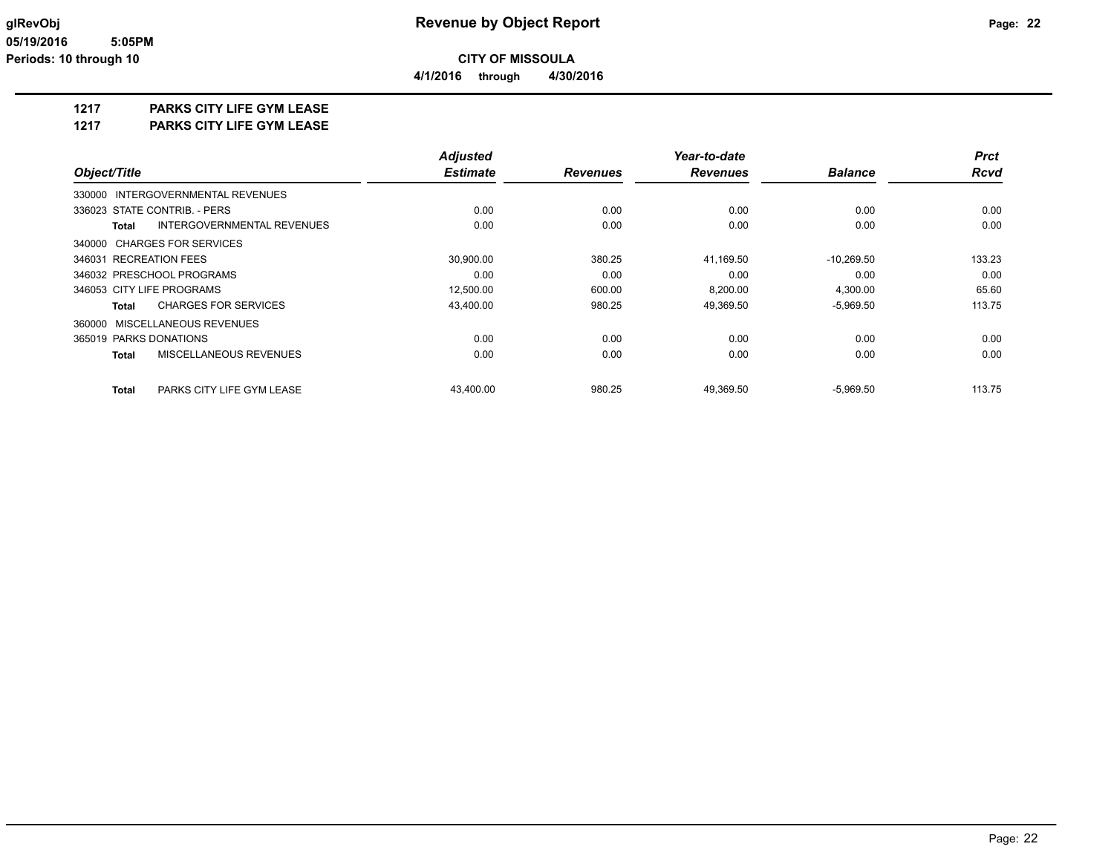**4/1/2016 through 4/30/2016**

### **1217 PARKS CITY LIFE GYM LEASE**

**1217 PARKS CITY LIFE GYM LEASE**

|                                                   | <b>Adjusted</b> |                 | Year-to-date    |                | <b>Prct</b> |
|---------------------------------------------------|-----------------|-----------------|-----------------|----------------|-------------|
| Object/Title                                      | <b>Estimate</b> | <b>Revenues</b> | <b>Revenues</b> | <b>Balance</b> | <b>Rcvd</b> |
| 330000 INTERGOVERNMENTAL REVENUES                 |                 |                 |                 |                |             |
| 336023 STATE CONTRIB. - PERS                      | 0.00            | 0.00            | 0.00            | 0.00           | 0.00        |
| <b>INTERGOVERNMENTAL REVENUES</b><br><b>Total</b> | 0.00            | 0.00            | 0.00            | 0.00           | 0.00        |
| 340000 CHARGES FOR SERVICES                       |                 |                 |                 |                |             |
| 346031 RECREATION FEES                            | 30,900.00       | 380.25          | 41,169.50       | $-10,269.50$   | 133.23      |
| 346032 PRESCHOOL PROGRAMS                         | 0.00            | 0.00            | 0.00            | 0.00           | 0.00        |
| 346053 CITY LIFE PROGRAMS                         | 12,500.00       | 600.00          | 8.200.00        | 4,300.00       | 65.60       |
| <b>CHARGES FOR SERVICES</b><br>Total              | 43,400.00       | 980.25          | 49,369.50       | $-5,969.50$    | 113.75      |
| 360000 MISCELLANEOUS REVENUES                     |                 |                 |                 |                |             |
| 365019 PARKS DONATIONS                            | 0.00            | 0.00            | 0.00            | 0.00           | 0.00        |
| MISCELLANEOUS REVENUES<br><b>Total</b>            | 0.00            | 0.00            | 0.00            | 0.00           | 0.00        |
| PARKS CITY LIFE GYM LEASE<br><b>Total</b>         | 43,400.00       | 980.25          | 49,369.50       | $-5,969.50$    | 113.75      |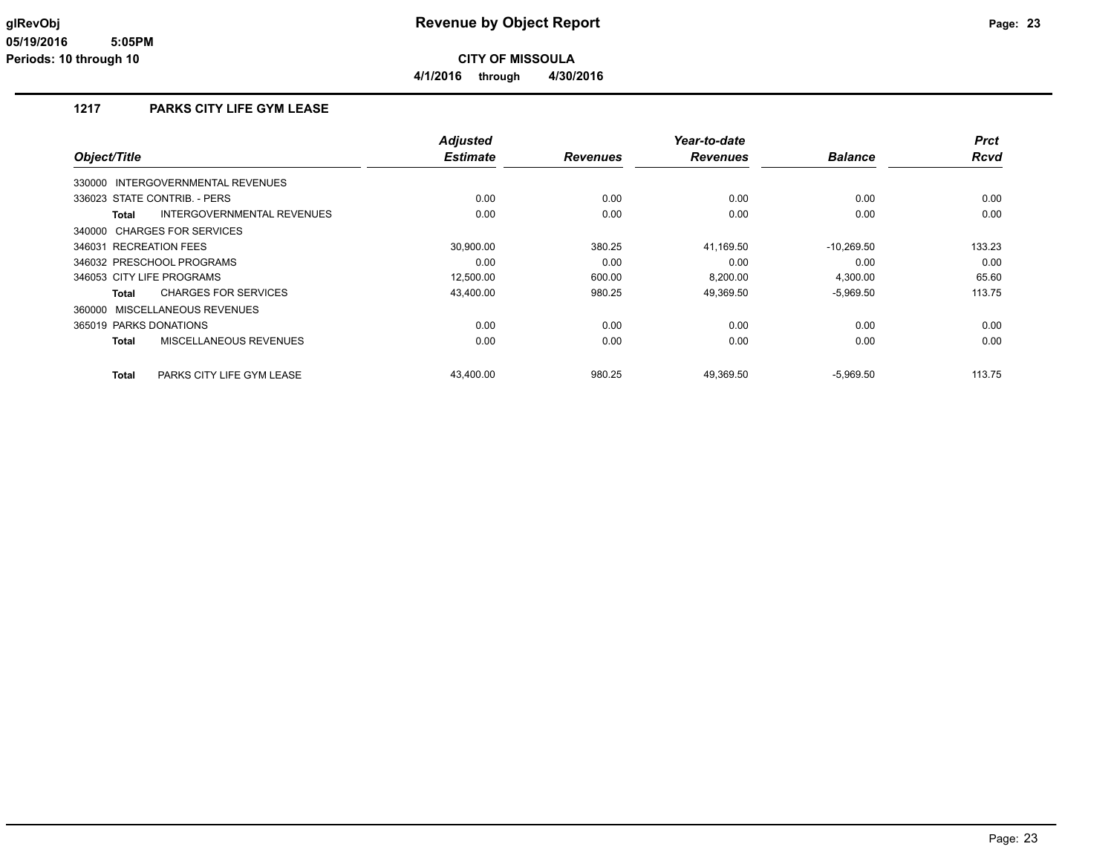**4/1/2016 through 4/30/2016**

### **1217 PARKS CITY LIFE GYM LEASE**

|                                           | <b>Adjusted</b> |                 | Year-to-date    |                | <b>Prct</b> |
|-------------------------------------------|-----------------|-----------------|-----------------|----------------|-------------|
| Object/Title                              | <b>Estimate</b> | <b>Revenues</b> | <b>Revenues</b> | <b>Balance</b> | <b>Rcvd</b> |
| 330000 INTERGOVERNMENTAL REVENUES         |                 |                 |                 |                |             |
| 336023 STATE CONTRIB. - PERS              | 0.00            | 0.00            | 0.00            | 0.00           | 0.00        |
| INTERGOVERNMENTAL REVENUES<br>Total       | 0.00            | 0.00            | 0.00            | 0.00           | 0.00        |
| 340000 CHARGES FOR SERVICES               |                 |                 |                 |                |             |
| 346031 RECREATION FEES                    | 30,900.00       | 380.25          | 41,169.50       | $-10,269.50$   | 133.23      |
| 346032 PRESCHOOL PROGRAMS                 | 0.00            | 0.00            | 0.00            | 0.00           | 0.00        |
| 346053 CITY LIFE PROGRAMS                 | 12.500.00       | 600.00          | 8.200.00        | 4,300.00       | 65.60       |
| <b>CHARGES FOR SERVICES</b><br>Total      | 43,400.00       | 980.25          | 49,369.50       | $-5,969.50$    | 113.75      |
| 360000 MISCELLANEOUS REVENUES             |                 |                 |                 |                |             |
| 365019 PARKS DONATIONS                    | 0.00            | 0.00            | 0.00            | 0.00           | 0.00        |
| MISCELLANEOUS REVENUES<br><b>Total</b>    | 0.00            | 0.00            | 0.00            | 0.00           | 0.00        |
| PARKS CITY LIFE GYM LEASE<br><b>Total</b> | 43,400.00       | 980.25          | 49,369.50       | $-5,969.50$    | 113.75      |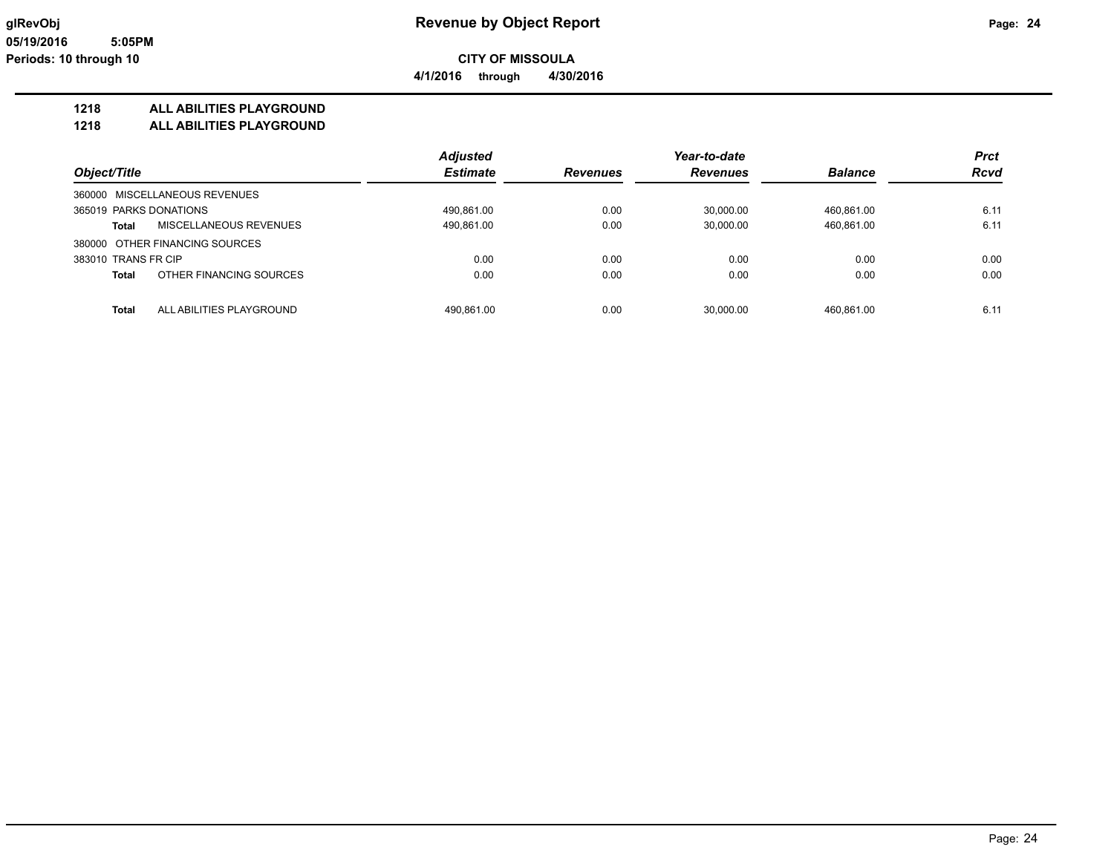**4/1/2016 through 4/30/2016**

### **1218 ALL ABILITIES PLAYGROUND**

**1218 ALL ABILITIES PLAYGROUND**

|                                          | <b>Adjusted</b> |                 | Year-to-date |                | <b>Prct</b> |
|------------------------------------------|-----------------|-----------------|--------------|----------------|-------------|
| Object/Title                             | <b>Estimate</b> | <b>Revenues</b> | Revenues     | <b>Balance</b> | <b>Rcvd</b> |
| 360000 MISCELLANEOUS REVENUES            |                 |                 |              |                |             |
| 365019 PARKS DONATIONS                   | 490,861.00      | 0.00            | 30.000.00    | 460.861.00     | 6.11        |
| MISCELLANEOUS REVENUES<br><b>Total</b>   | 490,861.00      | 0.00            | 30.000.00    | 460.861.00     | 6.11        |
| 380000 OTHER FINANCING SOURCES           |                 |                 |              |                |             |
| 383010 TRANS FR CIP                      | 0.00            | 0.00            | 0.00         | 0.00           | 0.00        |
| OTHER FINANCING SOURCES<br><b>Total</b>  | 0.00            | 0.00            | 0.00         | 0.00           | 0.00        |
|                                          |                 |                 |              |                |             |
| <b>Total</b><br>ALL ABILITIES PLAYGROUND | 490.861.00      | 0.00            | 30.000.00    | 460.861.00     | 6.11        |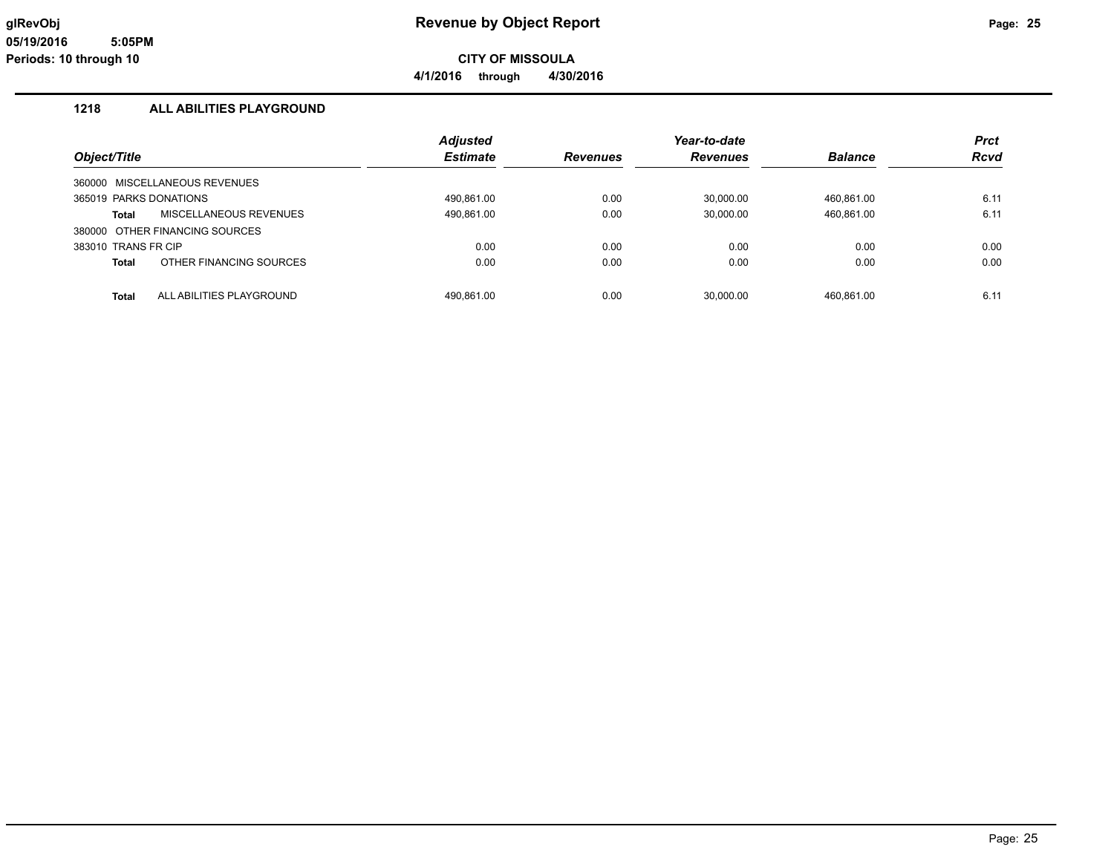**CITY OF MISSOULA**

**4/1/2016 through 4/30/2016**

### **1218 ALL ABILITIES PLAYGROUND**

|                        |                                | <b>Adjusted</b> |                 | Year-to-date    |                | <b>Prct</b> |
|------------------------|--------------------------------|-----------------|-----------------|-----------------|----------------|-------------|
| Object/Title           |                                | <b>Estimate</b> | <b>Revenues</b> | <b>Revenues</b> | <b>Balance</b> | <b>Rcvd</b> |
|                        | 360000 MISCELLANEOUS REVENUES  |                 |                 |                 |                |             |
| 365019 PARKS DONATIONS |                                | 490,861.00      | 0.00            | 30,000.00       | 460,861.00     | 6.11        |
| <b>Total</b>           | MISCELLANEOUS REVENUES         | 490,861.00      | 0.00            | 30,000.00       | 460,861.00     | 6.11        |
|                        | 380000 OTHER FINANCING SOURCES |                 |                 |                 |                |             |
| 383010 TRANS FR CIP    |                                | 0.00            | 0.00            | 0.00            | 0.00           | 0.00        |
| <b>Total</b>           | OTHER FINANCING SOURCES        | 0.00            | 0.00            | 0.00            | 0.00           | 0.00        |
| <b>Total</b>           | ALL ABILITIES PLAYGROUND       | 490,861.00      | 0.00            | 30,000.00       | 460,861.00     | 6.11        |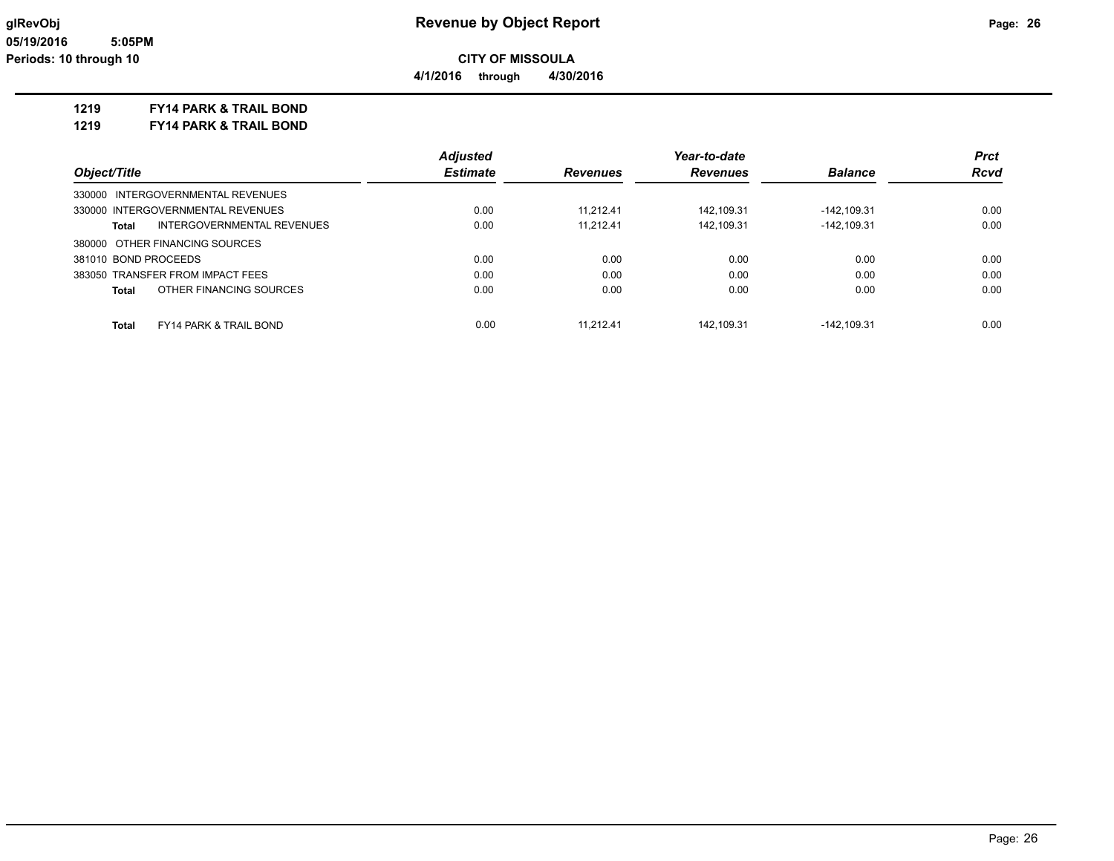**4/1/2016 through 4/30/2016**

### **1219 FY14 PARK & TRAIL BOND**

**1219 FY14 PARK & TRAIL BOND**

|                                                   | <b>Adjusted</b> | Year-to-date    |                 |                | <b>Prct</b> |
|---------------------------------------------------|-----------------|-----------------|-----------------|----------------|-------------|
| Object/Title                                      | <b>Estimate</b> | <b>Revenues</b> | <b>Revenues</b> | <b>Balance</b> | <b>Rcvd</b> |
| 330000 INTERGOVERNMENTAL REVENUES                 |                 |                 |                 |                |             |
| 330000 INTERGOVERNMENTAL REVENUES                 | 0.00            | 11.212.41       | 142.109.31      | -142.109.31    | 0.00        |
| INTERGOVERNMENTAL REVENUES<br>Total               | 0.00            | 11.212.41       | 142.109.31      | $-142, 109.31$ | 0.00        |
| 380000 OTHER FINANCING SOURCES                    |                 |                 |                 |                |             |
| 381010 BOND PROCEEDS                              | 0.00            | 0.00            | 0.00            | 0.00           | 0.00        |
| 383050 TRANSFER FROM IMPACT FEES                  | 0.00            | 0.00            | 0.00            | 0.00           | 0.00        |
| OTHER FINANCING SOURCES<br>Total                  | 0.00            | 0.00            | 0.00            | 0.00           | 0.00        |
| <b>FY14 PARK &amp; TRAIL BOND</b><br><b>Total</b> | 0.00            | 11.212.41       | 142.109.31      | $-142.109.31$  | 0.00        |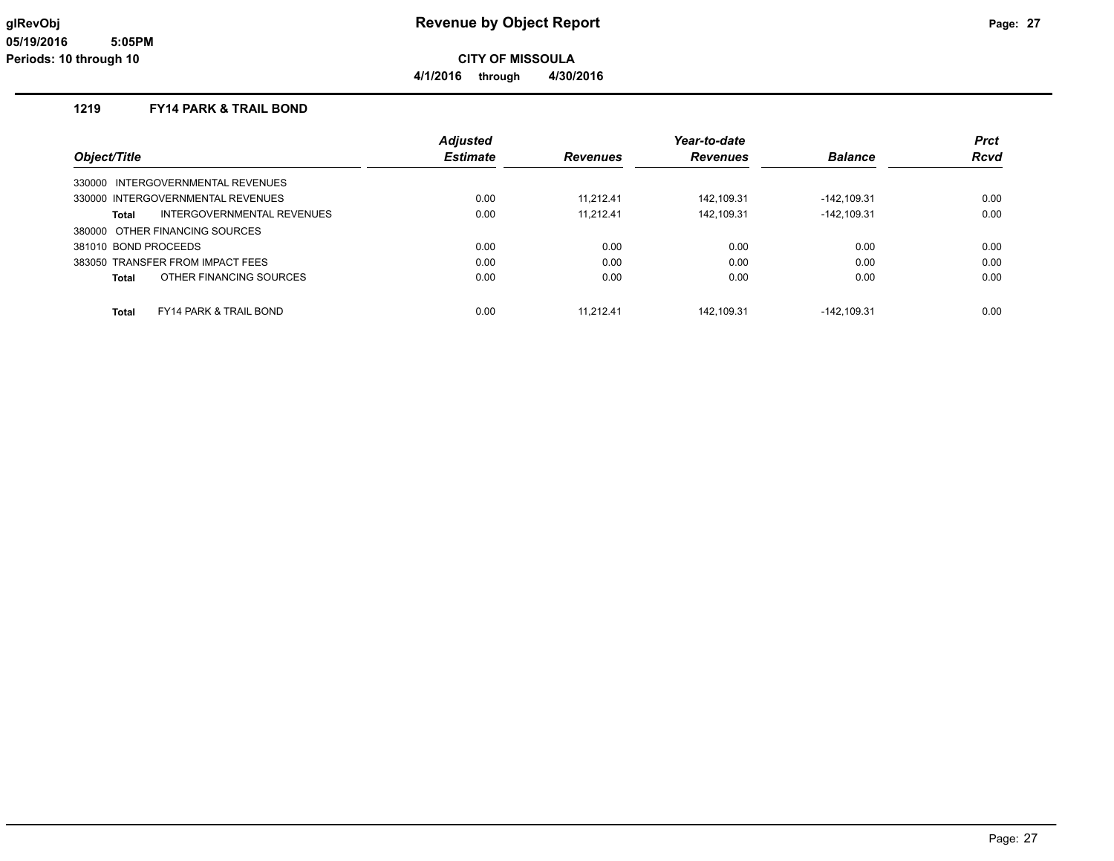**CITY OF MISSOULA**

**4/1/2016 through 4/30/2016**

### **1219 FY14 PARK & TRAIL BOND**

|                                     | <b>Adjusted</b> |                 | Year-to-date    |                | <b>Prct</b> |
|-------------------------------------|-----------------|-----------------|-----------------|----------------|-------------|
| Object/Title                        | <b>Estimate</b> | <b>Revenues</b> | <b>Revenues</b> | <b>Balance</b> | Rcvd        |
| 330000 INTERGOVERNMENTAL REVENUES   |                 |                 |                 |                |             |
| 330000 INTERGOVERNMENTAL REVENUES   | 0.00            | 11.212.41       | 142.109.31      | $-142.109.31$  | 0.00        |
| INTERGOVERNMENTAL REVENUES<br>Total | 0.00            | 11.212.41       | 142.109.31      | $-142.109.31$  | 0.00        |
| 380000 OTHER FINANCING SOURCES      |                 |                 |                 |                |             |
| 381010 BOND PROCEEDS                | 0.00            | 0.00            | 0.00            | 0.00           | 0.00        |
| 383050 TRANSFER FROM IMPACT FEES    | 0.00            | 0.00            | 0.00            | 0.00           | 0.00        |
| OTHER FINANCING SOURCES<br>Total    | 0.00            | 0.00            | 0.00            | 0.00           | 0.00        |
| <b>FY14 PARK &amp; TRAIL BOND</b>   | 0.00            | 11.212.41       | 142.109.31      | -142.109.31    | 0.00        |
| <b>Total</b>                        |                 |                 |                 |                |             |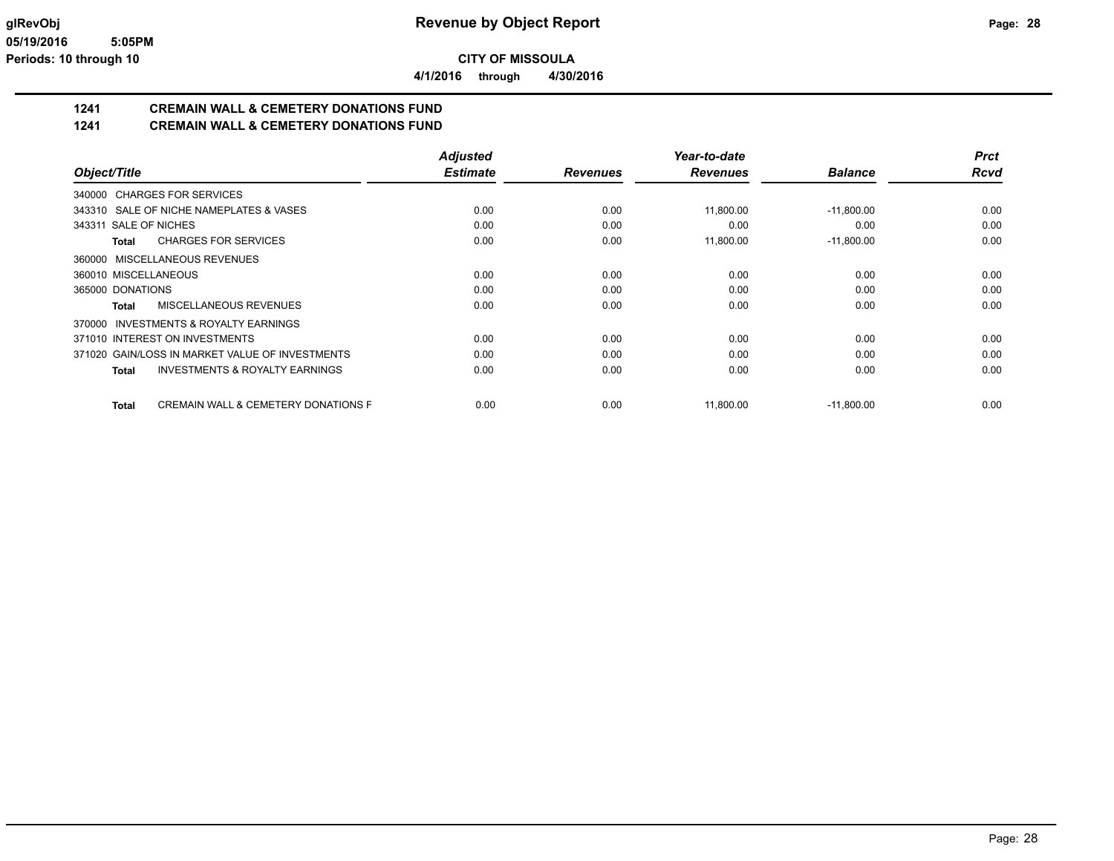**4/1/2016 through 4/30/2016**

# **1241 CREMAIN WALL & CEMETERY DONATIONS FUND**

**1241 CREMAIN WALL & CEMETERY DONATIONS FUND**

|                                                           | <b>Adjusted</b> |                 | Year-to-date    |                | <b>Prct</b> |
|-----------------------------------------------------------|-----------------|-----------------|-----------------|----------------|-------------|
| Object/Title                                              | <b>Estimate</b> | <b>Revenues</b> | <b>Revenues</b> | <b>Balance</b> | <b>Rcvd</b> |
| 340000 CHARGES FOR SERVICES                               |                 |                 |                 |                |             |
| 343310 SALE OF NICHE NAMEPLATES & VASES                   | 0.00            | 0.00            | 11,800.00       | $-11,800.00$   | 0.00        |
| 343311 SALE OF NICHES                                     | 0.00            | 0.00            | 0.00            | 0.00           | 0.00        |
| <b>CHARGES FOR SERVICES</b><br>Total                      | 0.00            | 0.00            | 11,800.00       | $-11,800.00$   | 0.00        |
| MISCELLANEOUS REVENUES<br>360000                          |                 |                 |                 |                |             |
| 360010 MISCELLANEOUS                                      | 0.00            | 0.00            | 0.00            | 0.00           | 0.00        |
| 365000 DONATIONS                                          | 0.00            | 0.00            | 0.00            | 0.00           | 0.00        |
| MISCELLANEOUS REVENUES<br>Total                           | 0.00            | 0.00            | 0.00            | 0.00           | 0.00        |
| INVESTMENTS & ROYALTY EARNINGS<br>370000                  |                 |                 |                 |                |             |
| 371010 INTEREST ON INVESTMENTS                            | 0.00            | 0.00            | 0.00            | 0.00           | 0.00        |
| 371020 GAIN/LOSS IN MARKET VALUE OF INVESTMENTS           | 0.00            | 0.00            | 0.00            | 0.00           | 0.00        |
| <b>INVESTMENTS &amp; ROYALTY EARNINGS</b><br><b>Total</b> | 0.00            | 0.00            | 0.00            | 0.00           | 0.00        |
| <b>CREMAIN WALL &amp; CEMETERY DONATIONS F</b><br>Total   | 0.00            | 0.00            | 11,800.00       | $-11,800.00$   | 0.00        |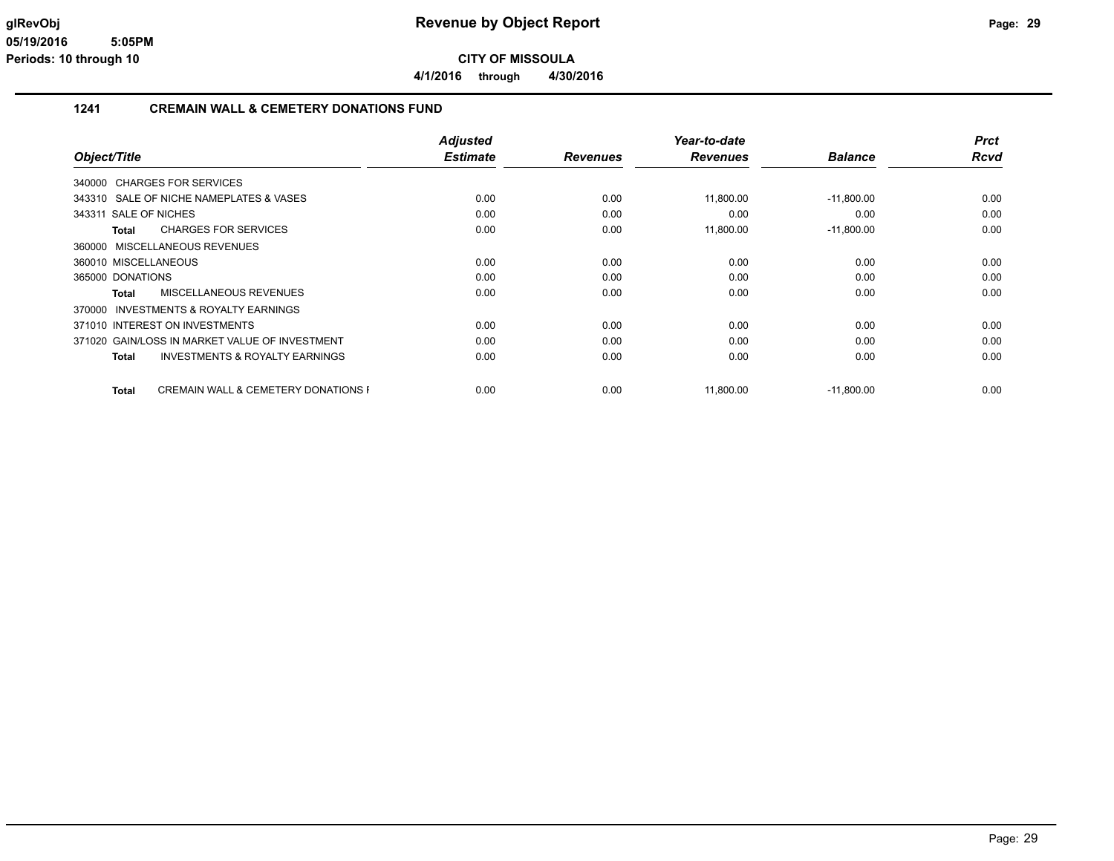**4/1/2016 through 4/30/2016**

### **1241 CREMAIN WALL & CEMETERY DONATIONS FUND**

|                                                                | <b>Adjusted</b> |                 | Year-to-date    |                | <b>Prct</b> |
|----------------------------------------------------------------|-----------------|-----------------|-----------------|----------------|-------------|
| Object/Title                                                   | <b>Estimate</b> | <b>Revenues</b> | <b>Revenues</b> | <b>Balance</b> | Rcvd        |
| 340000 CHARGES FOR SERVICES                                    |                 |                 |                 |                |             |
| 343310 SALE OF NICHE NAMEPLATES & VASES                        | 0.00            | 0.00            | 11,800.00       | $-11,800.00$   | 0.00        |
| 343311 SALE OF NICHES                                          | 0.00            | 0.00            | 0.00            | 0.00           | 0.00        |
| <b>CHARGES FOR SERVICES</b><br>Total                           | 0.00            | 0.00            | 11,800.00       | $-11,800.00$   | 0.00        |
| MISCELLANEOUS REVENUES<br>360000                               |                 |                 |                 |                |             |
| 360010 MISCELLANEOUS                                           | 0.00            | 0.00            | 0.00            | 0.00           | 0.00        |
| 365000 DONATIONS                                               | 0.00            | 0.00            | 0.00            | 0.00           | 0.00        |
| MISCELLANEOUS REVENUES<br><b>Total</b>                         | 0.00            | 0.00            | 0.00            | 0.00           | 0.00        |
| <b>INVESTMENTS &amp; ROYALTY EARNINGS</b><br>370000            |                 |                 |                 |                |             |
| 371010 INTEREST ON INVESTMENTS                                 | 0.00            | 0.00            | 0.00            | 0.00           | 0.00        |
| 371020 GAIN/LOSS IN MARKET VALUE OF INVESTMENT                 | 0.00            | 0.00            | 0.00            | 0.00           | 0.00        |
| <b>INVESTMENTS &amp; ROYALTY EARNINGS</b><br><b>Total</b>      | 0.00            | 0.00            | 0.00            | 0.00           | 0.00        |
| <b>CREMAIN WALL &amp; CEMETERY DONATIONS F</b><br><b>Total</b> | 0.00            | 0.00            | 11,800.00       | $-11,800.00$   | 0.00        |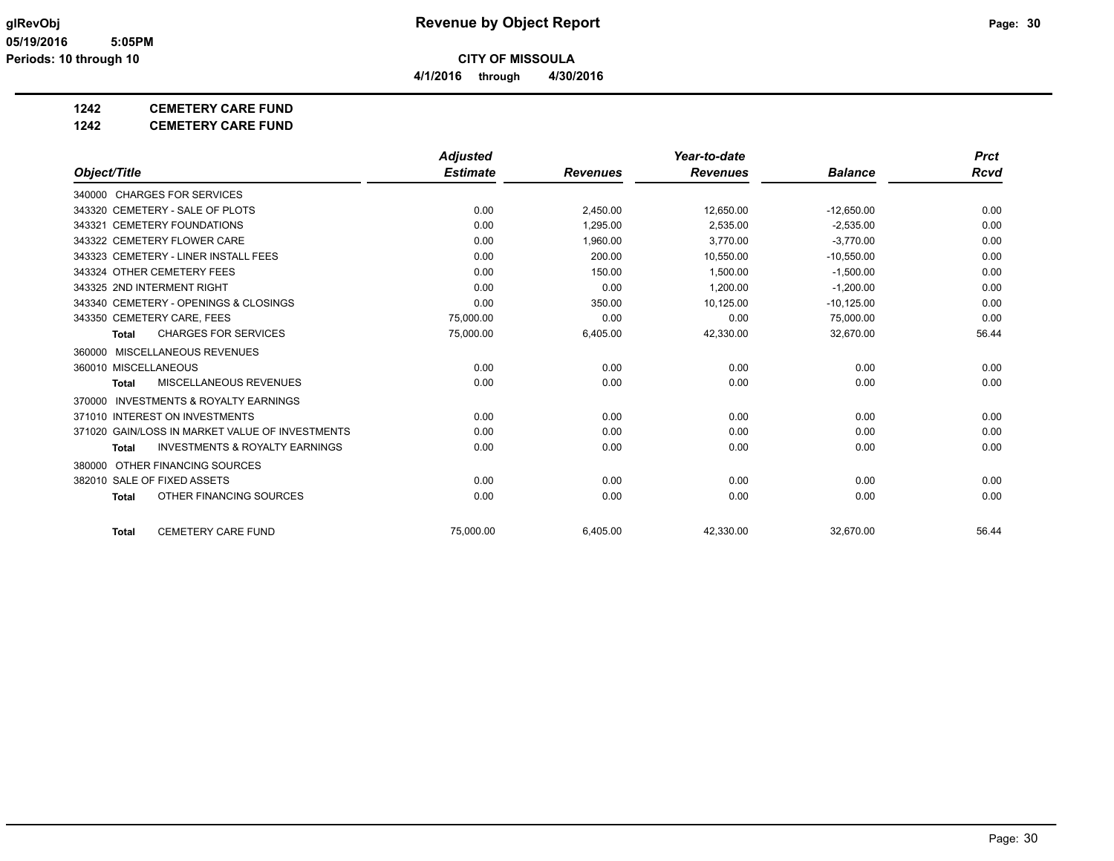**4/1/2016 through 4/30/2016**

### **1242 CEMETERY CARE FUND**

### **1242 CEMETERY CARE FUND**

|                                                    | <b>Adjusted</b> |                 | Year-to-date    |                | <b>Prct</b> |
|----------------------------------------------------|-----------------|-----------------|-----------------|----------------|-------------|
| Object/Title                                       | <b>Estimate</b> | <b>Revenues</b> | <b>Revenues</b> | <b>Balance</b> | <b>Rcvd</b> |
| 340000 CHARGES FOR SERVICES                        |                 |                 |                 |                |             |
| 343320 CEMETERY - SALE OF PLOTS                    | 0.00            | 2,450.00        | 12,650.00       | $-12,650.00$   | 0.00        |
| 343321 CEMETERY FOUNDATIONS                        | 0.00            | 1,295.00        | 2,535.00        | $-2,535.00$    | 0.00        |
| 343322 CEMETERY FLOWER CARE                        | 0.00            | 1,960.00        | 3,770.00        | $-3,770.00$    | 0.00        |
| 343323 CEMETERY - LINER INSTALL FEES               | 0.00            | 200.00          | 10,550.00       | $-10,550.00$   | 0.00        |
| 343324 OTHER CEMETERY FEES                         | 0.00            | 150.00          | 1.500.00        | $-1.500.00$    | 0.00        |
| 343325 2ND INTERMENT RIGHT                         | 0.00            | 0.00            | 1.200.00        | $-1,200.00$    | 0.00        |
| 343340 CEMETERY - OPENINGS & CLOSINGS              | 0.00            | 350.00          | 10,125.00       | $-10, 125.00$  | 0.00        |
| 343350 CEMETERY CARE, FEES                         | 75,000.00       | 0.00            | 0.00            | 75,000.00      | 0.00        |
| <b>CHARGES FOR SERVICES</b><br><b>Total</b>        | 75,000.00       | 6,405.00        | 42,330.00       | 32,670.00      | 56.44       |
| MISCELLANEOUS REVENUES<br>360000                   |                 |                 |                 |                |             |
| 360010 MISCELLANEOUS                               | 0.00            | 0.00            | 0.00            | 0.00           | 0.00        |
| <b>MISCELLANEOUS REVENUES</b><br><b>Total</b>      | 0.00            | 0.00            | 0.00            | 0.00           | 0.00        |
| INVESTMENTS & ROYALTY EARNINGS<br>370000           |                 |                 |                 |                |             |
| 371010 INTEREST ON INVESTMENTS                     | 0.00            | 0.00            | 0.00            | 0.00           | 0.00        |
| 371020 GAIN/LOSS IN MARKET VALUE OF INVESTMENTS    | 0.00            | 0.00            | 0.00            | 0.00           | 0.00        |
| <b>INVESTMENTS &amp; ROYALTY EARNINGS</b><br>Total | 0.00            | 0.00            | 0.00            | 0.00           | 0.00        |
| OTHER FINANCING SOURCES<br>380000                  |                 |                 |                 |                |             |
| 382010 SALE OF FIXED ASSETS                        | 0.00            | 0.00            | 0.00            | 0.00           | 0.00        |
| OTHER FINANCING SOURCES<br><b>Total</b>            | 0.00            | 0.00            | 0.00            | 0.00           | 0.00        |
| <b>CEMETERY CARE FUND</b><br><b>Total</b>          | 75.000.00       | 6.405.00        | 42.330.00       | 32.670.00      | 56.44       |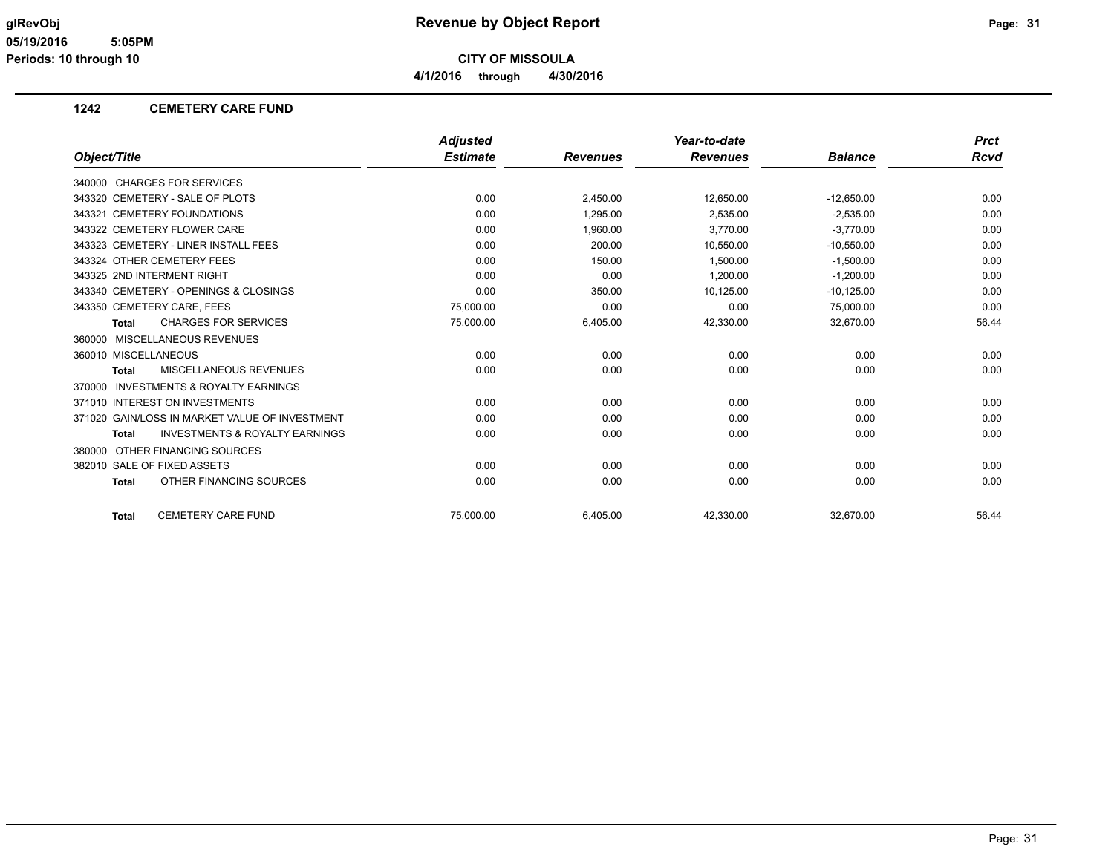**4/1/2016 through 4/30/2016**

### **1242 CEMETERY CARE FUND**

|                                                           | <b>Adjusted</b> |                 | Year-to-date    |                | <b>Prct</b> |
|-----------------------------------------------------------|-----------------|-----------------|-----------------|----------------|-------------|
| Object/Title                                              | <b>Estimate</b> | <b>Revenues</b> | <b>Revenues</b> | <b>Balance</b> | Rcvd        |
| 340000 CHARGES FOR SERVICES                               |                 |                 |                 |                |             |
| 343320 CEMETERY - SALE OF PLOTS                           | 0.00            | 2,450.00        | 12,650.00       | $-12,650.00$   | 0.00        |
| 343321 CEMETERY FOUNDATIONS                               | 0.00            | 1,295.00        | 2,535.00        | $-2,535.00$    | 0.00        |
| 343322 CEMETERY FLOWER CARE                               | 0.00            | 1.960.00        | 3.770.00        | $-3.770.00$    | 0.00        |
| 343323 CEMETERY - LINER INSTALL FEES                      | 0.00            | 200.00          | 10,550.00       | $-10,550.00$   | 0.00        |
| 343324 OTHER CEMETERY FEES                                | 0.00            | 150.00          | 1,500.00        | $-1,500.00$    | 0.00        |
| 343325 2ND INTERMENT RIGHT                                | 0.00            | 0.00            | 1,200.00        | $-1,200.00$    | 0.00        |
| 343340 CEMETERY - OPENINGS & CLOSINGS                     | 0.00            | 350.00          | 10,125.00       | $-10, 125.00$  | 0.00        |
| 343350 CEMETERY CARE, FEES                                | 75.000.00       | 0.00            | 0.00            | 75,000.00      | 0.00        |
| <b>CHARGES FOR SERVICES</b><br><b>Total</b>               | 75,000.00       | 6,405.00        | 42,330.00       | 32,670.00      | 56.44       |
| 360000 MISCELLANEOUS REVENUES                             |                 |                 |                 |                |             |
| 360010 MISCELLANEOUS                                      | 0.00            | 0.00            | 0.00            | 0.00           | 0.00        |
| MISCELLANEOUS REVENUES<br><b>Total</b>                    | 0.00            | 0.00            | 0.00            | 0.00           | 0.00        |
| 370000 INVESTMENTS & ROYALTY EARNINGS                     |                 |                 |                 |                |             |
| 371010 INTEREST ON INVESTMENTS                            | 0.00            | 0.00            | 0.00            | 0.00           | 0.00        |
| 371020 GAIN/LOSS IN MARKET VALUE OF INVESTMENT            | 0.00            | 0.00            | 0.00            | 0.00           | 0.00        |
| <b>INVESTMENTS &amp; ROYALTY EARNINGS</b><br><b>Total</b> | 0.00            | 0.00            | 0.00            | 0.00           | 0.00        |
| 380000 OTHER FINANCING SOURCES                            |                 |                 |                 |                |             |
| 382010 SALE OF FIXED ASSETS                               | 0.00            | 0.00            | 0.00            | 0.00           | 0.00        |
| OTHER FINANCING SOURCES<br><b>Total</b>                   | 0.00            | 0.00            | 0.00            | 0.00           | 0.00        |
| <b>CEMETERY CARE FUND</b><br><b>Total</b>                 | 75.000.00       | 6.405.00        | 42.330.00       | 32.670.00      | 56.44       |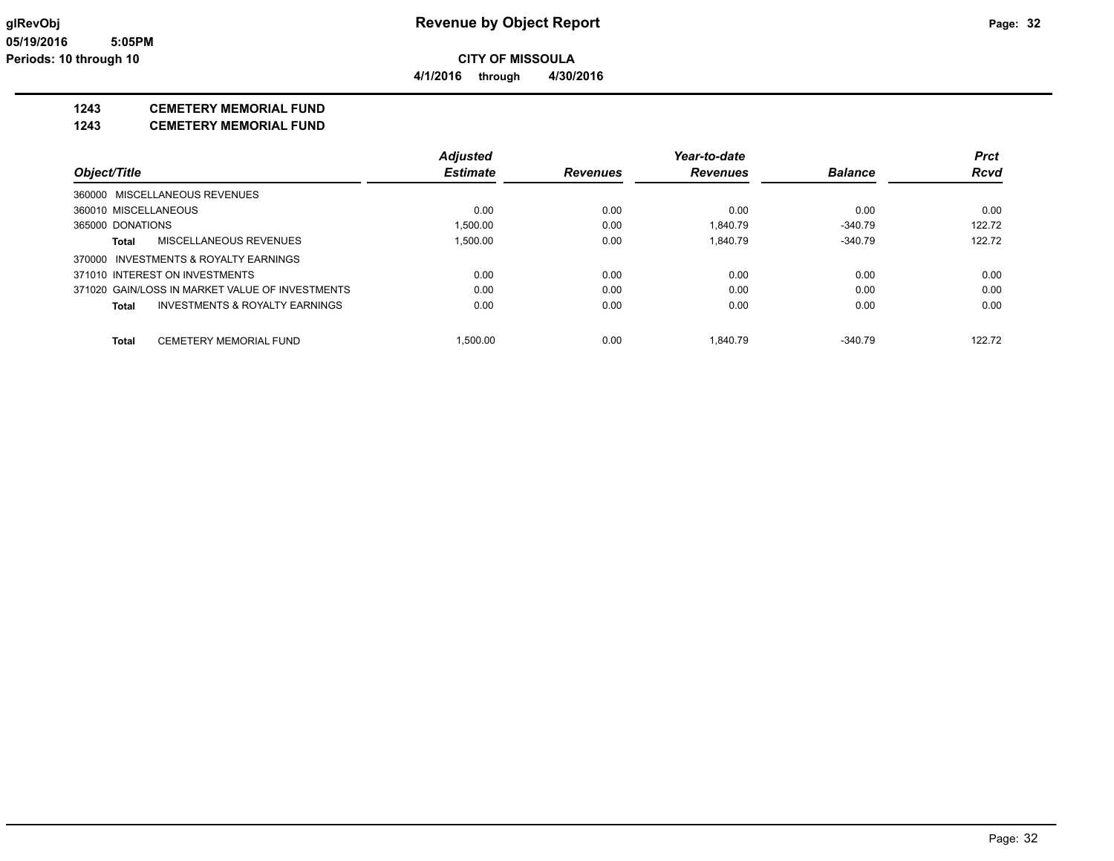**4/1/2016 through 4/30/2016**

### **1243 CEMETERY MEMORIAL FUND**

### **1243 CEMETERY MEMORIAL FUND**

|                                                    | <b>Adjusted</b> |                 | Year-to-date    |                | <b>Prct</b> |
|----------------------------------------------------|-----------------|-----------------|-----------------|----------------|-------------|
| Object/Title                                       | <b>Estimate</b> | <b>Revenues</b> | <b>Revenues</b> | <b>Balance</b> | <b>Rcvd</b> |
| 360000 MISCELLANEOUS REVENUES                      |                 |                 |                 |                |             |
| 360010 MISCELLANEOUS                               | 0.00            | 0.00            | 0.00            | 0.00           | 0.00        |
| 365000 DONATIONS                                   | 1,500.00        | 0.00            | 1.840.79        | $-340.79$      | 122.72      |
| MISCELLANEOUS REVENUES<br>Total                    | 1.500.00        | 0.00            | 1.840.79        | $-340.79$      | 122.72      |
| 370000 INVESTMENTS & ROYALTY EARNINGS              |                 |                 |                 |                |             |
| 371010 INTEREST ON INVESTMENTS                     | 0.00            | 0.00            | 0.00            | 0.00           | 0.00        |
| 371020 GAIN/LOSS IN MARKET VALUE OF INVESTMENTS    | 0.00            | 0.00            | 0.00            | 0.00           | 0.00        |
| <b>INVESTMENTS &amp; ROYALTY EARNINGS</b><br>Total | 0.00            | 0.00            | 0.00            | 0.00           | 0.00        |
| <b>CEMETERY MEMORIAL FUND</b><br>Total             | 1.500.00        | 0.00            | 1.840.79        | $-340.79$      | 122.72      |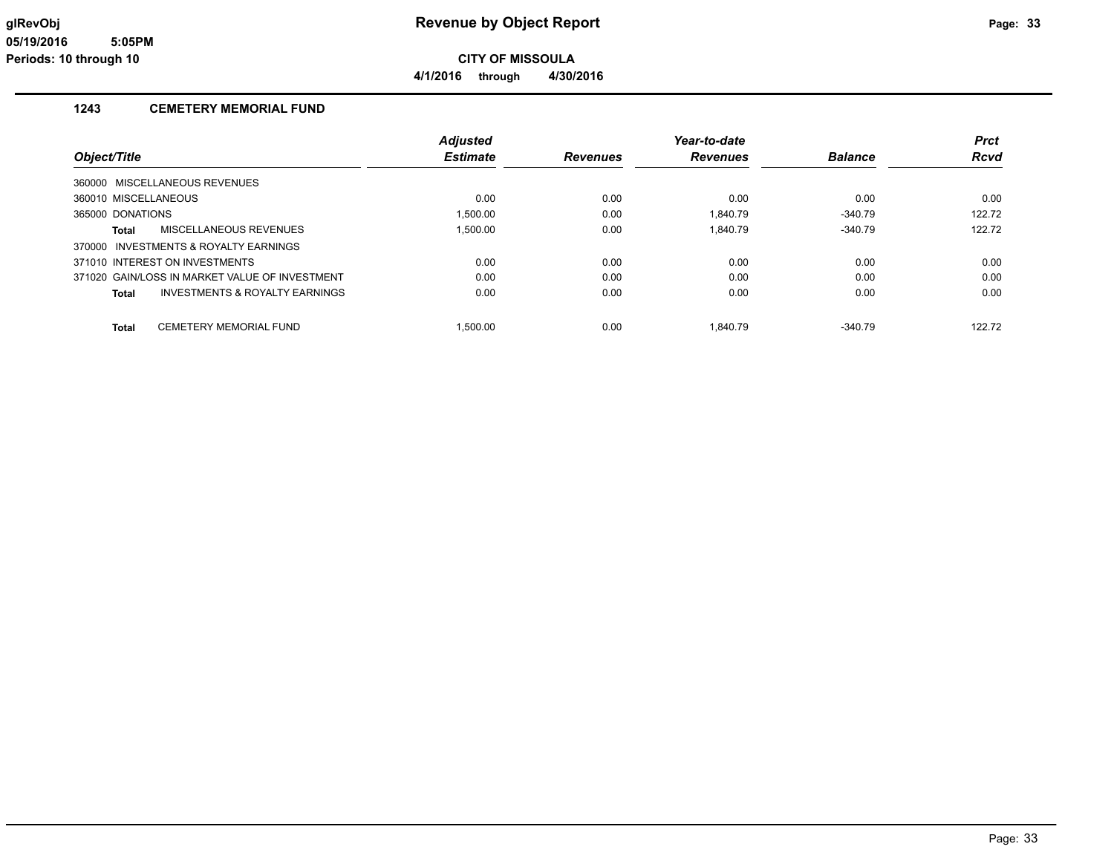**4/1/2016 through 4/30/2016**

### **1243 CEMETERY MEMORIAL FUND**

|                                                | <b>Adjusted</b> |                 | Year-to-date    |                | <b>Prct</b> |
|------------------------------------------------|-----------------|-----------------|-----------------|----------------|-------------|
| Object/Title                                   | <b>Estimate</b> | <b>Revenues</b> | <b>Revenues</b> | <b>Balance</b> | <b>Rcvd</b> |
| 360000 MISCELLANEOUS REVENUES                  |                 |                 |                 |                |             |
| 360010 MISCELLANEOUS                           | 0.00            | 0.00            | 0.00            | 0.00           | 0.00        |
| 365000 DONATIONS                               | 1.500.00        | 0.00            | 1.840.79        | $-340.79$      | 122.72      |
| <b>MISCELLANEOUS REVENUES</b><br>Total         | 1.500.00        | 0.00            | 1.840.79        | $-340.79$      | 122.72      |
| 370000 INVESTMENTS & ROYALTY EARNINGS          |                 |                 |                 |                |             |
| 371010 INTEREST ON INVESTMENTS                 | 0.00            | 0.00            | 0.00            | 0.00           | 0.00        |
| 371020 GAIN/LOSS IN MARKET VALUE OF INVESTMENT | 0.00            | 0.00            | 0.00            | 0.00           | 0.00        |
| INVESTMENTS & ROYALTY EARNINGS<br><b>Total</b> | 0.00            | 0.00            | 0.00            | 0.00           | 0.00        |
| CEMETERY MEMORIAL FUND<br><b>Total</b>         | 1.500.00        | 0.00            | 1.840.79        | $-340.79$      | 122.72      |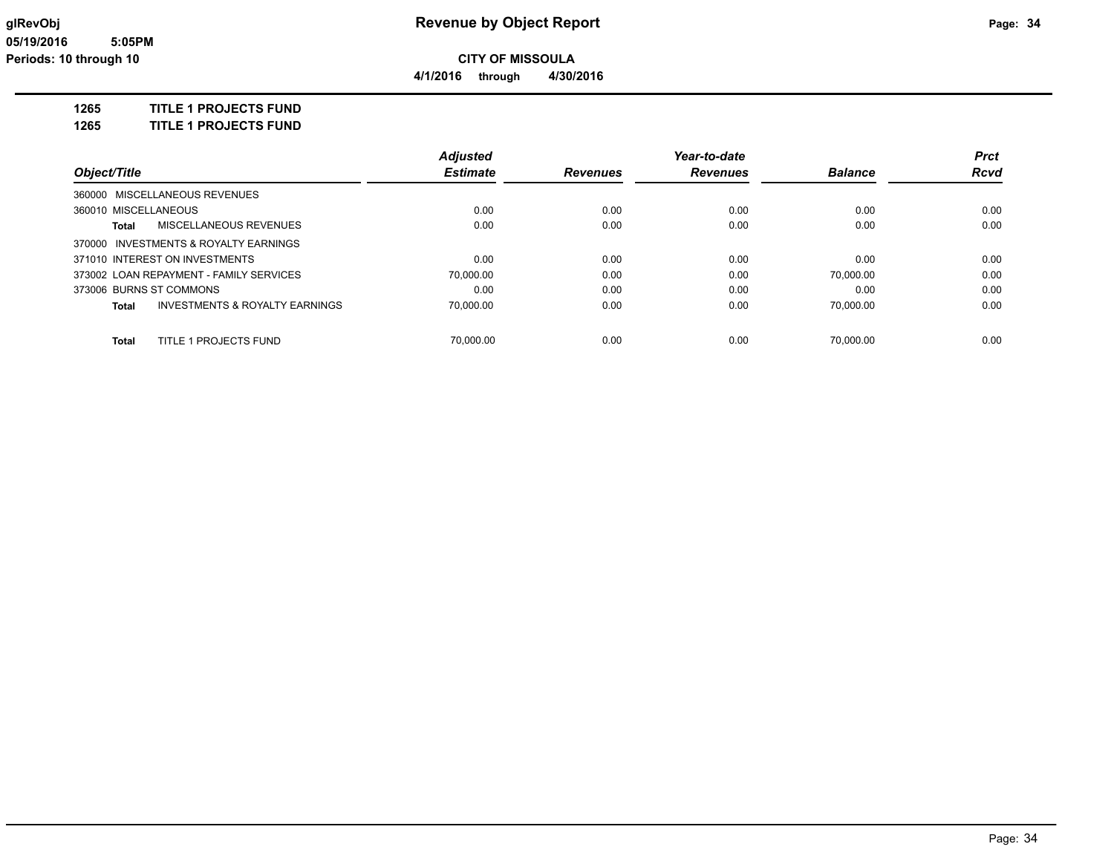**4/1/2016 through 4/30/2016**

### **1265 TITLE 1 PROJECTS FUND**

**1265 TITLE 1 PROJECTS FUND**

|                                |                                           | <b>Adjusted</b> |                 | Year-to-date    |                | <b>Prct</b> |
|--------------------------------|-------------------------------------------|-----------------|-----------------|-----------------|----------------|-------------|
| Object/Title                   |                                           | <b>Estimate</b> | <b>Revenues</b> | <b>Revenues</b> | <b>Balance</b> | <b>Rcvd</b> |
|                                | 360000 MISCELLANEOUS REVENUES             |                 |                 |                 |                |             |
| 360010 MISCELLANEOUS           |                                           | 0.00            | 0.00            | 0.00            | 0.00           | 0.00        |
| Total                          | <b>MISCELLANEOUS REVENUES</b>             | 0.00            | 0.00            | 0.00            | 0.00           | 0.00        |
|                                | 370000 INVESTMENTS & ROYALTY EARNINGS     |                 |                 |                 |                |             |
| 371010 INTEREST ON INVESTMENTS |                                           | 0.00            | 0.00            | 0.00            | 0.00           | 0.00        |
|                                | 373002 LOAN REPAYMENT - FAMILY SERVICES   | 70.000.00       | 0.00            | 0.00            | 70.000.00      | 0.00        |
| 373006 BURNS ST COMMONS        |                                           | 0.00            | 0.00            | 0.00            | 0.00           | 0.00        |
| Total                          | <b>INVESTMENTS &amp; ROYALTY EARNINGS</b> | 70.000.00       | 0.00            | 0.00            | 70.000.00      | 0.00        |
| <b>Total</b>                   | TITLE 1 PROJECTS FUND                     | 70.000.00       | 0.00            | 0.00            | 70.000.00      | 0.00        |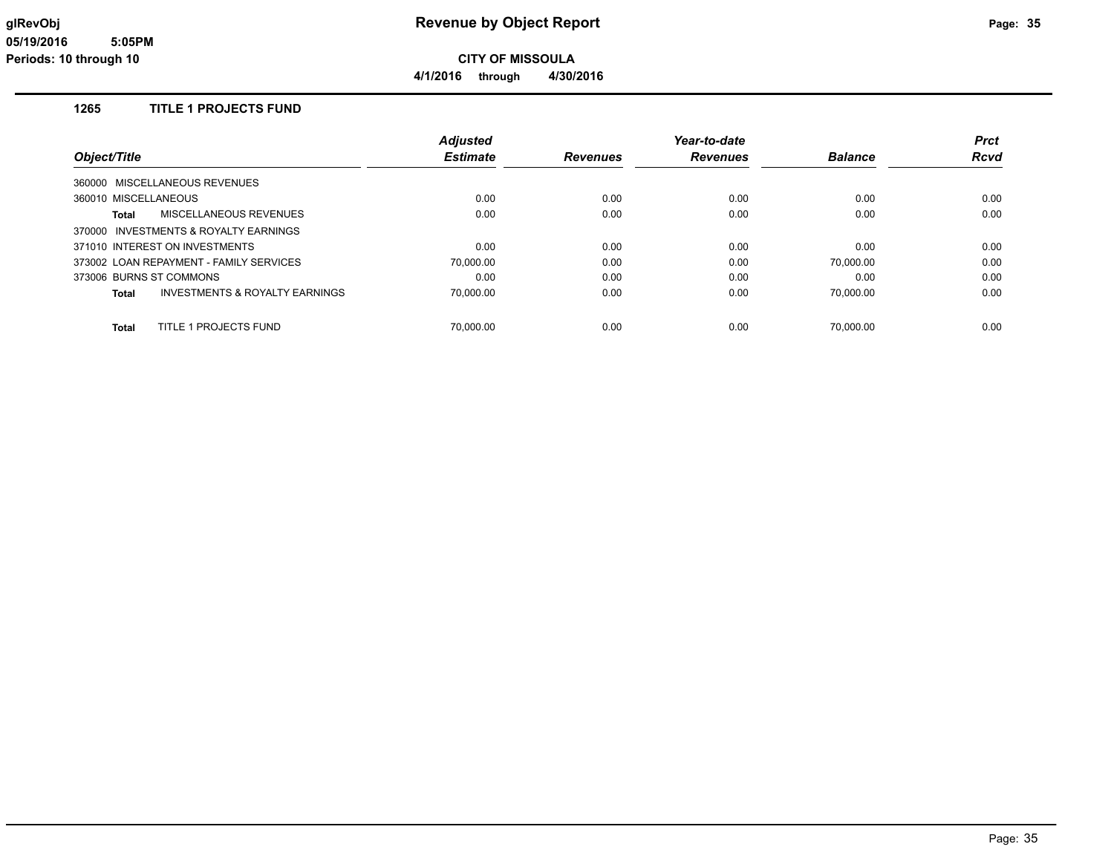**4/1/2016 through 4/30/2016**

### **1265 TITLE 1 PROJECTS FUND**

|                                         | <b>Adjusted</b> |                 | Year-to-date    |                | <b>Prct</b> |
|-----------------------------------------|-----------------|-----------------|-----------------|----------------|-------------|
| Object/Title                            | <b>Estimate</b> | <b>Revenues</b> | <b>Revenues</b> | <b>Balance</b> | <b>Rcvd</b> |
| 360000 MISCELLANEOUS REVENUES           |                 |                 |                 |                |             |
| 360010 MISCELLANEOUS                    | 0.00            | 0.00            | 0.00            | 0.00           | 0.00        |
| MISCELLANEOUS REVENUES<br>Total         | 0.00            | 0.00            | 0.00            | 0.00           | 0.00        |
| 370000 INVESTMENTS & ROYALTY EARNINGS   |                 |                 |                 |                |             |
| 371010 INTEREST ON INVESTMENTS          | 0.00            | 0.00            | 0.00            | 0.00           | 0.00        |
| 373002 LOAN REPAYMENT - FAMILY SERVICES | 70,000.00       | 0.00            | 0.00            | 70.000.00      | 0.00        |
| 373006 BURNS ST COMMONS                 | 0.00            | 0.00            | 0.00            | 0.00           | 0.00        |
| INVESTMENTS & ROYALTY EARNINGS<br>Total | 70,000.00       | 0.00            | 0.00            | 70,000.00      | 0.00        |
| TITLE 1 PROJECTS FUND<br><b>Total</b>   | 70.000.00       | 0.00            | 0.00            | 70.000.00      | 0.00        |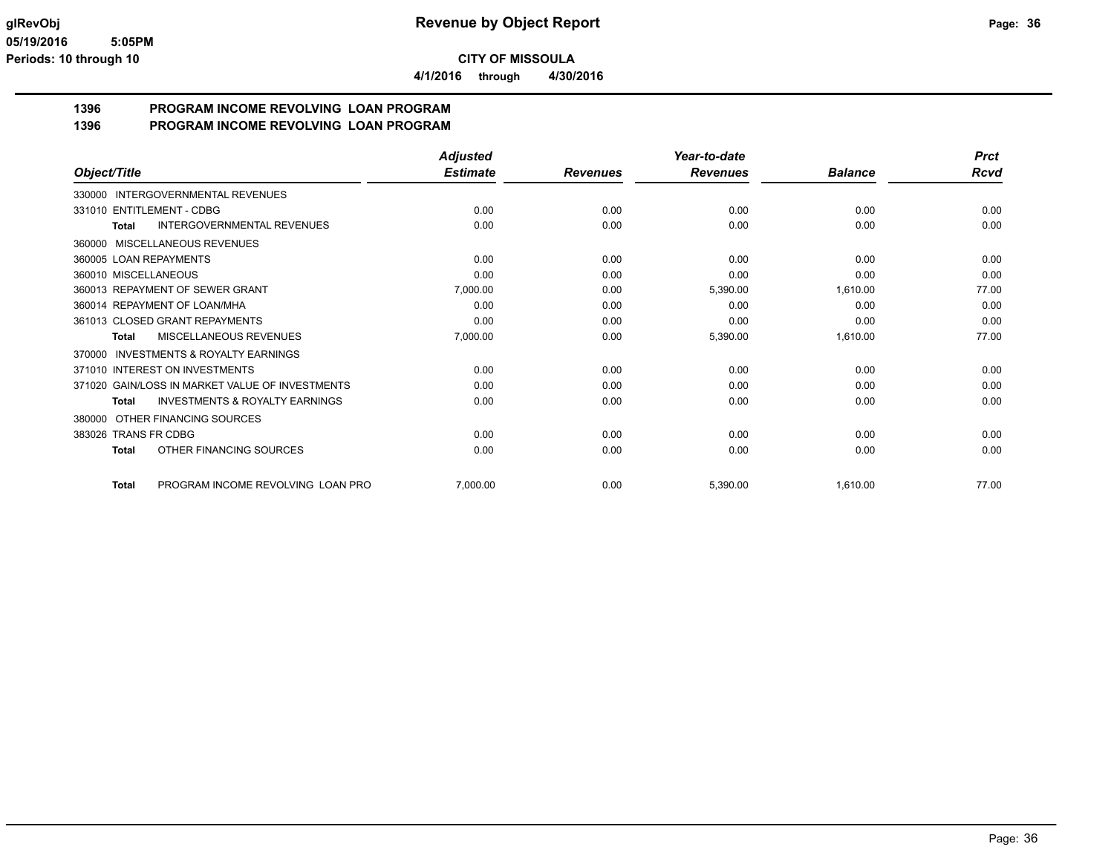**4/1/2016 through 4/30/2016**

# **1396 PROGRAM INCOME REVOLVING LOAN PROGRAM**

| Object/Title                                        | <b>Adjusted</b><br><b>Estimate</b> |                 | Year-to-date<br><b>Revenues</b> | <b>Balance</b> | <b>Prct</b><br><b>Rcvd</b> |
|-----------------------------------------------------|------------------------------------|-----------------|---------------------------------|----------------|----------------------------|
|                                                     |                                    | <b>Revenues</b> |                                 |                |                            |
| INTERGOVERNMENTAL REVENUES<br>330000                |                                    |                 |                                 |                |                            |
| 331010 ENTITLEMENT - CDBG                           | 0.00                               | 0.00            | 0.00                            | 0.00           | 0.00                       |
| INTERGOVERNMENTAL REVENUES<br><b>Total</b>          | 0.00                               | 0.00            | 0.00                            | 0.00           | 0.00                       |
| MISCELLANEOUS REVENUES<br>360000                    |                                    |                 |                                 |                |                            |
| 360005 LOAN REPAYMENTS                              | 0.00                               | 0.00            | 0.00                            | 0.00           | 0.00                       |
| 360010 MISCELLANEOUS                                | 0.00                               | 0.00            | 0.00                            | 0.00           | 0.00                       |
| 360013 REPAYMENT OF SEWER GRANT                     | 7,000.00                           | 0.00            | 5,390.00                        | 1,610.00       | 77.00                      |
| 360014 REPAYMENT OF LOAN/MHA                        | 0.00                               | 0.00            | 0.00                            | 0.00           | 0.00                       |
| 361013 CLOSED GRANT REPAYMENTS                      | 0.00                               | 0.00            | 0.00                            | 0.00           | 0.00                       |
| <b>MISCELLANEOUS REVENUES</b><br><b>Total</b>       | 7,000.00                           | 0.00            | 5,390.00                        | 1,610.00       | 77.00                      |
| <b>INVESTMENTS &amp; ROYALTY EARNINGS</b><br>370000 |                                    |                 |                                 |                |                            |
| 371010 INTEREST ON INVESTMENTS                      | 0.00                               | 0.00            | 0.00                            | 0.00           | 0.00                       |
| 371020 GAIN/LOSS IN MARKET VALUE OF INVESTMENTS     | 0.00                               | 0.00            | 0.00                            | 0.00           | 0.00                       |
| <b>INVESTMENTS &amp; ROYALTY EARNINGS</b><br>Total  | 0.00                               | 0.00            | 0.00                            | 0.00           | 0.00                       |
| OTHER FINANCING SOURCES<br>380000                   |                                    |                 |                                 |                |                            |
| 383026 TRANS FR CDBG                                | 0.00                               | 0.00            | 0.00                            | 0.00           | 0.00                       |
| OTHER FINANCING SOURCES<br><b>Total</b>             | 0.00                               | 0.00            | 0.00                            | 0.00           | 0.00                       |
| PROGRAM INCOME REVOLVING LOAN PRO<br><b>Total</b>   | 7,000.00                           | 0.00            | 5,390.00                        | 1,610.00       | 77.00                      |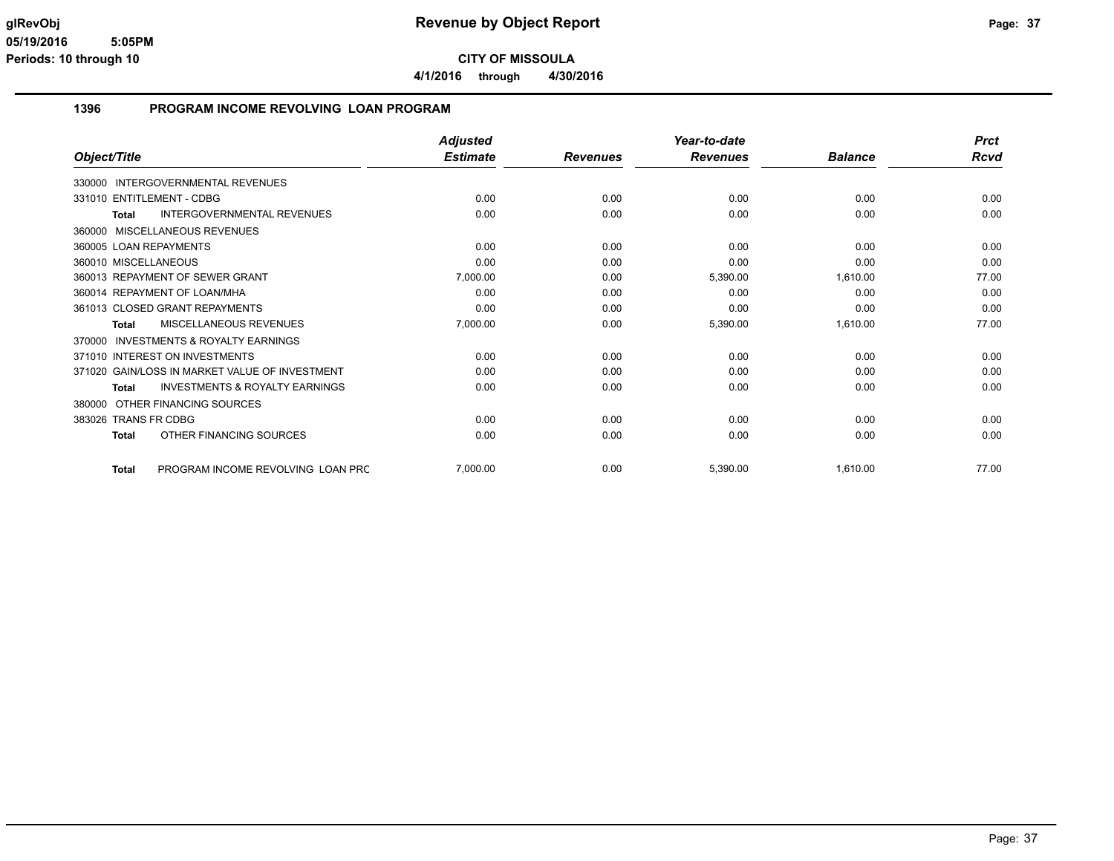**4/1/2016 through 4/30/2016**

#### **1396 PROGRAM INCOME REVOLVING LOAN PROGRAM**

|                                                           | <b>Adjusted</b> |                 | Year-to-date    |                | <b>Prct</b> |
|-----------------------------------------------------------|-----------------|-----------------|-----------------|----------------|-------------|
| Object/Title                                              | <b>Estimate</b> | <b>Revenues</b> | <b>Revenues</b> | <b>Balance</b> | <b>Rcvd</b> |
| <b>INTERGOVERNMENTAL REVENUES</b><br>330000               |                 |                 |                 |                |             |
| 331010 ENTITLEMENT - CDBG                                 | 0.00            | 0.00            | 0.00            | 0.00           | 0.00        |
| <b>INTERGOVERNMENTAL REVENUES</b><br><b>Total</b>         | 0.00            | 0.00            | 0.00            | 0.00           | 0.00        |
| MISCELLANEOUS REVENUES<br>360000                          |                 |                 |                 |                |             |
| 360005 LOAN REPAYMENTS                                    | 0.00            | 0.00            | 0.00            | 0.00           | 0.00        |
| 360010 MISCELLANEOUS                                      | 0.00            | 0.00            | 0.00            | 0.00           | 0.00        |
| 360013 REPAYMENT OF SEWER GRANT                           | 7,000.00        | 0.00            | 5,390.00        | 1,610.00       | 77.00       |
| 360014 REPAYMENT OF LOAN/MHA                              | 0.00            | 0.00            | 0.00            | 0.00           | 0.00        |
| 361013 CLOSED GRANT REPAYMENTS                            | 0.00            | 0.00            | 0.00            | 0.00           | 0.00        |
| MISCELLANEOUS REVENUES<br><b>Total</b>                    | 7,000.00        | 0.00            | 5,390.00        | 1,610.00       | 77.00       |
| <b>INVESTMENTS &amp; ROYALTY EARNINGS</b><br>370000       |                 |                 |                 |                |             |
| 371010 INTEREST ON INVESTMENTS                            | 0.00            | 0.00            | 0.00            | 0.00           | 0.00        |
| 371020 GAIN/LOSS IN MARKET VALUE OF INVESTMENT            | 0.00            | 0.00            | 0.00            | 0.00           | 0.00        |
| <b>INVESTMENTS &amp; ROYALTY EARNINGS</b><br><b>Total</b> | 0.00            | 0.00            | 0.00            | 0.00           | 0.00        |
| OTHER FINANCING SOURCES<br>380000                         |                 |                 |                 |                |             |
| <b>TRANS FR CDBG</b><br>383026                            | 0.00            | 0.00            | 0.00            | 0.00           | 0.00        |
| OTHER FINANCING SOURCES<br><b>Total</b>                   | 0.00            | 0.00            | 0.00            | 0.00           | 0.00        |
| PROGRAM INCOME REVOLVING LOAN PRC<br><b>Total</b>         | 7,000.00        | 0.00            | 5,390.00        | 1,610.00       | 77.00       |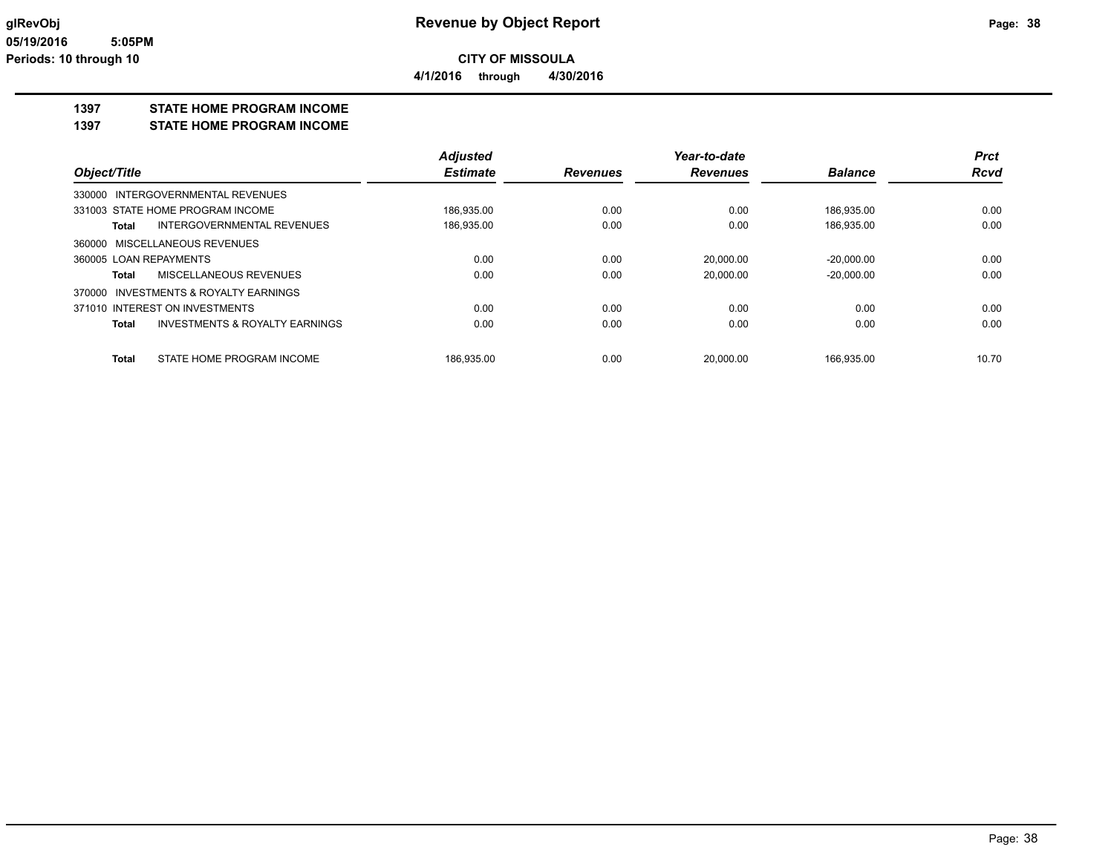**CITY OF MISSOULA 4/1/2016 through 4/30/2016**

### **1397 STATE HOME PROGRAM INCOME**

#### **1397 STATE HOME PROGRAM INCOME**

|                        |                                       | <b>Adjusted</b> |                 | Year-to-date    |                | <b>Prct</b> |
|------------------------|---------------------------------------|-----------------|-----------------|-----------------|----------------|-------------|
| Object/Title           |                                       | <b>Estimate</b> | <b>Revenues</b> | <b>Revenues</b> | <b>Balance</b> | <b>Rcvd</b> |
|                        | 330000 INTERGOVERNMENTAL REVENUES     |                 |                 |                 |                |             |
|                        | 331003 STATE HOME PROGRAM INCOME      | 186,935.00      | 0.00            | 0.00            | 186.935.00     | 0.00        |
| Total                  | INTERGOVERNMENTAL REVENUES            | 186,935.00      | 0.00            | 0.00            | 186,935.00     | 0.00        |
|                        | 360000 MISCELLANEOUS REVENUES         |                 |                 |                 |                |             |
| 360005 LOAN REPAYMENTS |                                       | 0.00            | 0.00            | 20.000.00       | $-20.000.00$   | 0.00        |
| Total                  | MISCELLANEOUS REVENUES                | 0.00            | 0.00            | 20,000.00       | $-20,000.00$   | 0.00        |
|                        | 370000 INVESTMENTS & ROYALTY EARNINGS |                 |                 |                 |                |             |
|                        | 371010 INTEREST ON INVESTMENTS        | 0.00            | 0.00            | 0.00            | 0.00           | 0.00        |
| Total                  | INVESTMENTS & ROYALTY EARNINGS        | 0.00            | 0.00            | 0.00            | 0.00           | 0.00        |
|                        |                                       |                 |                 |                 |                |             |
| Total                  | STATE HOME PROGRAM INCOME             | 186.935.00      | 0.00            | 20.000.00       | 166.935.00     | 10.70       |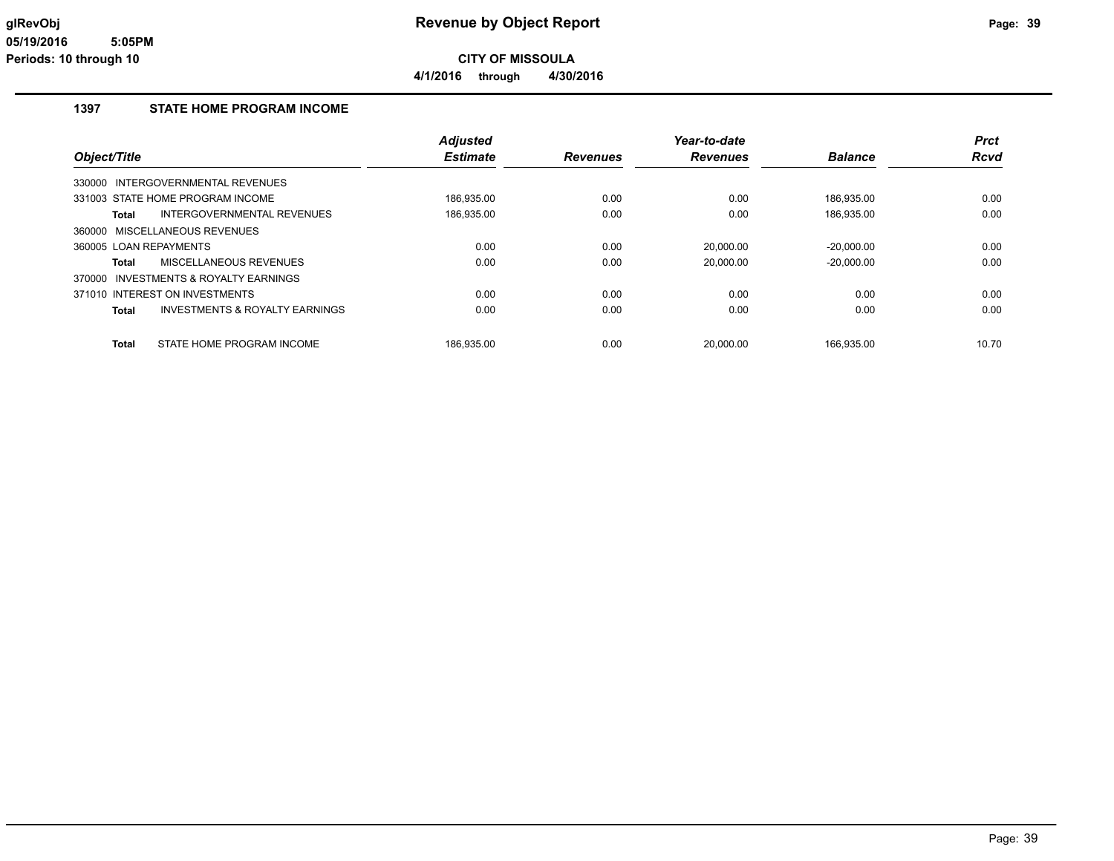**4/1/2016 through 4/30/2016**

#### **1397 STATE HOME PROGRAM INCOME**

|                                                           | <b>Adjusted</b> |                 | Year-to-date    |                | <b>Prct</b> |
|-----------------------------------------------------------|-----------------|-----------------|-----------------|----------------|-------------|
| Object/Title                                              | <b>Estimate</b> | <b>Revenues</b> | <b>Revenues</b> | <b>Balance</b> | <b>Rcvd</b> |
| 330000 INTERGOVERNMENTAL REVENUES                         |                 |                 |                 |                |             |
| 331003 STATE HOME PROGRAM INCOME                          | 186.935.00      | 0.00            | 0.00            | 186.935.00     | 0.00        |
| INTERGOVERNMENTAL REVENUES<br>Total                       | 186,935.00      | 0.00            | 0.00            | 186.935.00     | 0.00        |
| 360000 MISCELLANEOUS REVENUES                             |                 |                 |                 |                |             |
| 360005 LOAN REPAYMENTS                                    | 0.00            | 0.00            | 20,000.00       | $-20,000.00$   | 0.00        |
| MISCELLANEOUS REVENUES<br>Total                           | 0.00            | 0.00            | 20.000.00       | $-20.000.00$   | 0.00        |
| 370000 INVESTMENTS & ROYALTY EARNINGS                     |                 |                 |                 |                |             |
| 371010 INTEREST ON INVESTMENTS                            | 0.00            | 0.00            | 0.00            | 0.00           | 0.00        |
| <b>INVESTMENTS &amp; ROYALTY EARNINGS</b><br><b>Total</b> | 0.00            | 0.00            | 0.00            | 0.00           | 0.00        |
| STATE HOME PROGRAM INCOME<br><b>Total</b>                 | 186.935.00      | 0.00            | 20.000.00       | 166.935.00     | 10.70       |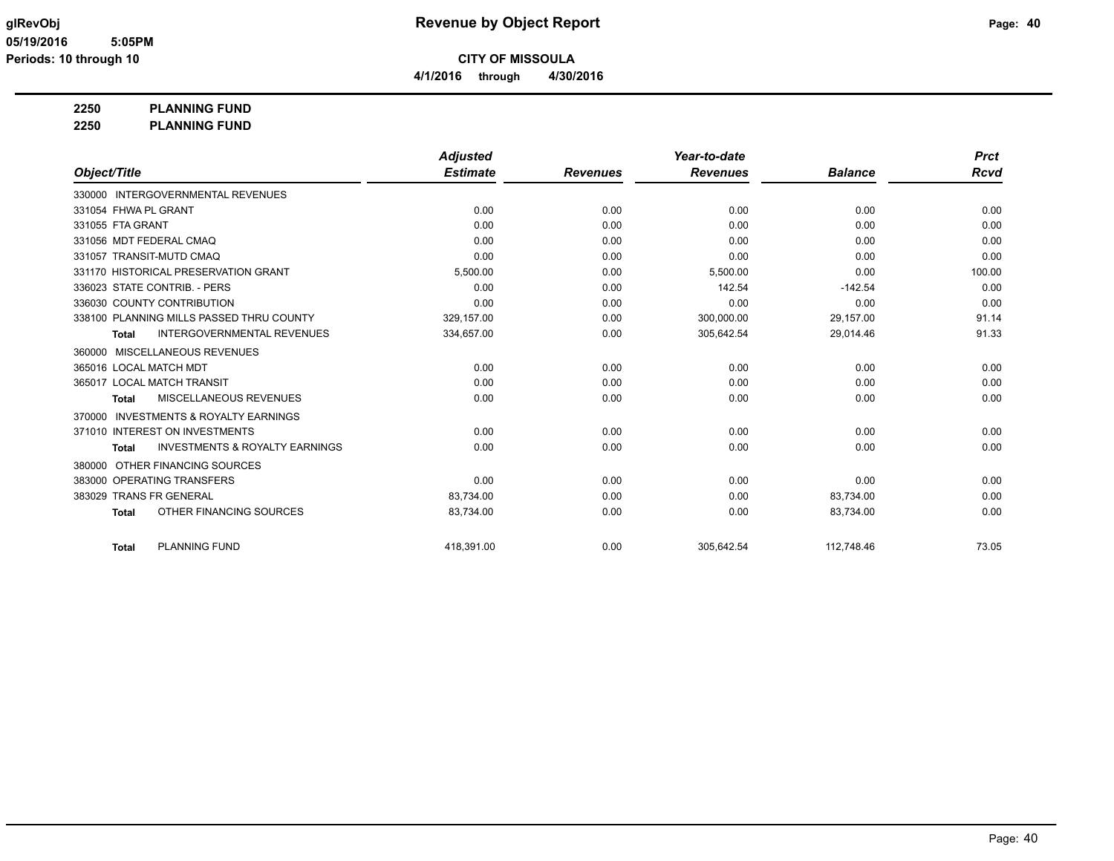**4/1/2016 through 4/30/2016**

### **2250 PLANNING FUND**

**2250 PLANNING FUND**

|                                                           | <b>Adjusted</b> |                 | Year-to-date    |                | <b>Prct</b> |
|-----------------------------------------------------------|-----------------|-----------------|-----------------|----------------|-------------|
| Object/Title                                              | <b>Estimate</b> | <b>Revenues</b> | <b>Revenues</b> | <b>Balance</b> | <b>Rcvd</b> |
| 330000 INTERGOVERNMENTAL REVENUES                         |                 |                 |                 |                |             |
| 331054 FHWA PL GRANT                                      | 0.00            | 0.00            | 0.00            | 0.00           | 0.00        |
| 331055 FTA GRANT                                          | 0.00            | 0.00            | 0.00            | 0.00           | 0.00        |
| 331056 MDT FEDERAL CMAQ                                   | 0.00            | 0.00            | 0.00            | 0.00           | 0.00        |
| 331057 TRANSIT-MUTD CMAQ                                  | 0.00            | 0.00            | 0.00            | 0.00           | 0.00        |
| 331170 HISTORICAL PRESERVATION GRANT                      | 5,500.00        | 0.00            | 5,500.00        | 0.00           | 100.00      |
| 336023 STATE CONTRIB. - PERS                              | 0.00            | 0.00            | 142.54          | $-142.54$      | 0.00        |
| 336030 COUNTY CONTRIBUTION                                | 0.00            | 0.00            | 0.00            | 0.00           | 0.00        |
| 338100 PLANNING MILLS PASSED THRU COUNTY                  | 329.157.00      | 0.00            | 300,000.00      | 29,157.00      | 91.14       |
| <b>INTERGOVERNMENTAL REVENUES</b><br><b>Total</b>         | 334,657.00      | 0.00            | 305,642.54      | 29,014.46      | 91.33       |
| MISCELLANEOUS REVENUES<br>360000                          |                 |                 |                 |                |             |
| 365016 LOCAL MATCH MDT                                    | 0.00            | 0.00            | 0.00            | 0.00           | 0.00        |
| 365017 LOCAL MATCH TRANSIT                                | 0.00            | 0.00            | 0.00            | 0.00           | 0.00        |
| MISCELLANEOUS REVENUES<br><b>Total</b>                    | 0.00            | 0.00            | 0.00            | 0.00           | 0.00        |
| <b>INVESTMENTS &amp; ROYALTY EARNINGS</b><br>370000       |                 |                 |                 |                |             |
| 371010 INTEREST ON INVESTMENTS                            | 0.00            | 0.00            | 0.00            | 0.00           | 0.00        |
| <b>INVESTMENTS &amp; ROYALTY EARNINGS</b><br><b>Total</b> | 0.00            | 0.00            | 0.00            | 0.00           | 0.00        |
| OTHER FINANCING SOURCES<br>380000                         |                 |                 |                 |                |             |
| 383000 OPERATING TRANSFERS                                | 0.00            | 0.00            | 0.00            | 0.00           | 0.00        |
| 383029 TRANS FR GENERAL                                   | 83,734.00       | 0.00            | 0.00            | 83,734.00      | 0.00        |
| OTHER FINANCING SOURCES<br><b>Total</b>                   | 83,734.00       | 0.00            | 0.00            | 83,734.00      | 0.00        |
| <b>PLANNING FUND</b><br><b>Total</b>                      | 418.391.00      | 0.00            | 305,642.54      | 112.748.46     | 73.05       |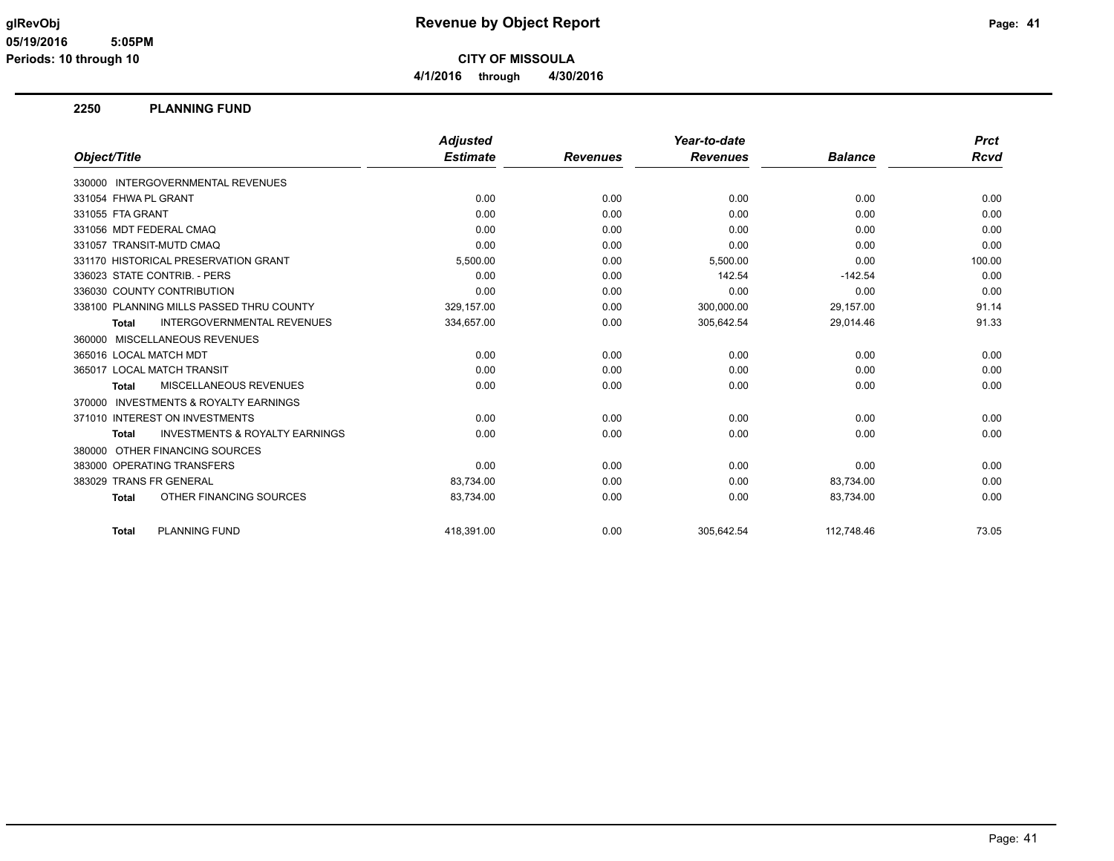#### **glRevObj Revenue by Object Report Page: 41**

**CITY OF MISSOULA 4/1/2016 through 4/30/2016**

#### **2250 PLANNING FUND**

|                                                           | <b>Adjusted</b> |                 | Year-to-date    |                | <b>Prct</b> |
|-----------------------------------------------------------|-----------------|-----------------|-----------------|----------------|-------------|
| Object/Title                                              | <b>Estimate</b> | <b>Revenues</b> | <b>Revenues</b> | <b>Balance</b> | Rcvd        |
| 330000 INTERGOVERNMENTAL REVENUES                         |                 |                 |                 |                |             |
| 331054 FHWA PL GRANT                                      | 0.00            | 0.00            | 0.00            | 0.00           | 0.00        |
| 331055 FTA GRANT                                          | 0.00            | 0.00            | 0.00            | 0.00           | 0.00        |
| 331056 MDT FEDERAL CMAQ                                   | 0.00            | 0.00            | 0.00            | 0.00           | 0.00        |
| 331057 TRANSIT-MUTD CMAQ                                  | 0.00            | 0.00            | 0.00            | 0.00           | 0.00        |
| 331170 HISTORICAL PRESERVATION GRANT                      | 5,500.00        | 0.00            | 5,500.00        | 0.00           | 100.00      |
| 336023 STATE CONTRIB. - PERS                              | 0.00            | 0.00            | 142.54          | $-142.54$      | 0.00        |
| 336030 COUNTY CONTRIBUTION                                | 0.00            | 0.00            | 0.00            | 0.00           | 0.00        |
| 338100 PLANNING MILLS PASSED THRU COUNTY                  | 329,157.00      | 0.00            | 300,000.00      | 29,157.00      | 91.14       |
| <b>INTERGOVERNMENTAL REVENUES</b><br><b>Total</b>         | 334,657.00      | 0.00            | 305,642.54      | 29,014.46      | 91.33       |
| MISCELLANEOUS REVENUES<br>360000                          |                 |                 |                 |                |             |
| 365016 LOCAL MATCH MDT                                    | 0.00            | 0.00            | 0.00            | 0.00           | 0.00        |
| 365017 LOCAL MATCH TRANSIT                                | 0.00            | 0.00            | 0.00            | 0.00           | 0.00        |
| MISCELLANEOUS REVENUES<br><b>Total</b>                    | 0.00            | 0.00            | 0.00            | 0.00           | 0.00        |
| <b>INVESTMENTS &amp; ROYALTY EARNINGS</b><br>370000       |                 |                 |                 |                |             |
| 371010 INTEREST ON INVESTMENTS                            | 0.00            | 0.00            | 0.00            | 0.00           | 0.00        |
| <b>INVESTMENTS &amp; ROYALTY EARNINGS</b><br><b>Total</b> | 0.00            | 0.00            | 0.00            | 0.00           | 0.00        |
| OTHER FINANCING SOURCES<br>380000                         |                 |                 |                 |                |             |
| 383000 OPERATING TRANSFERS                                | 0.00            | 0.00            | 0.00            | 0.00           | 0.00        |
| 383029 TRANS FR GENERAL                                   | 83,734.00       | 0.00            | 0.00            | 83,734.00      | 0.00        |
| OTHER FINANCING SOURCES<br><b>Total</b>                   | 83,734.00       | 0.00            | 0.00            | 83,734.00      | 0.00        |
| <b>PLANNING FUND</b><br><b>Total</b>                      | 418,391.00      | 0.00            | 305,642.54      | 112.748.46     | 73.05       |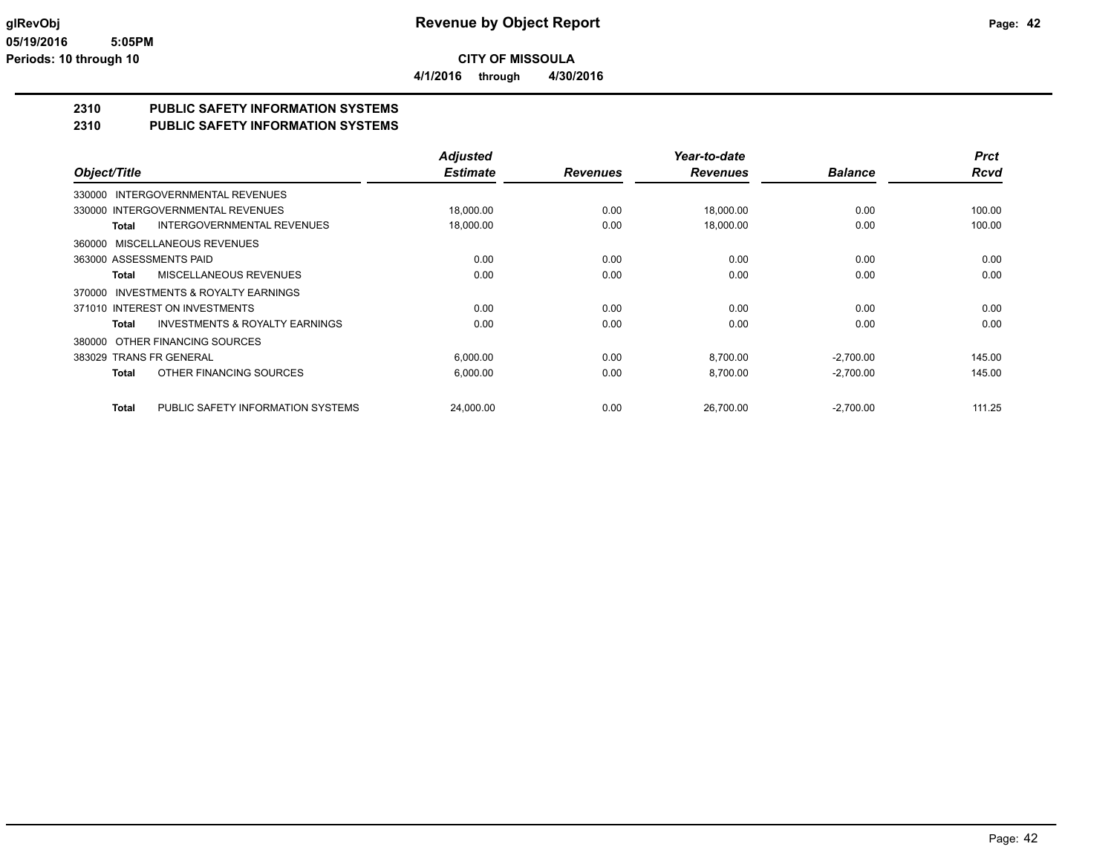**4/1/2016 through 4/30/2016**

#### **2310 PUBLIC SAFETY INFORMATION SYSTEMS**

#### **2310 PUBLIC SAFETY INFORMATION SYSTEMS**

|                                                    | <b>Adjusted</b> |                 | Year-to-date    |                | <b>Prct</b> |
|----------------------------------------------------|-----------------|-----------------|-----------------|----------------|-------------|
| Object/Title                                       | <b>Estimate</b> | <b>Revenues</b> | <b>Revenues</b> | <b>Balance</b> | <b>Rcvd</b> |
| 330000 INTERGOVERNMENTAL REVENUES                  |                 |                 |                 |                |             |
| 330000 INTERGOVERNMENTAL REVENUES                  | 18,000.00       | 0.00            | 18,000.00       | 0.00           | 100.00      |
| <b>INTERGOVERNMENTAL REVENUES</b><br>Total         | 18,000.00       | 0.00            | 18,000.00       | 0.00           | 100.00      |
| 360000 MISCELLANEOUS REVENUES                      |                 |                 |                 |                |             |
| 363000 ASSESSMENTS PAID                            | 0.00            | 0.00            | 0.00            | 0.00           | 0.00        |
| MISCELLANEOUS REVENUES<br>Total                    | 0.00            | 0.00            | 0.00            | 0.00           | 0.00        |
| INVESTMENTS & ROYALTY EARNINGS<br>370000           |                 |                 |                 |                |             |
| 371010 INTEREST ON INVESTMENTS                     | 0.00            | 0.00            | 0.00            | 0.00           | 0.00        |
| <b>INVESTMENTS &amp; ROYALTY EARNINGS</b><br>Total | 0.00            | 0.00            | 0.00            | 0.00           | 0.00        |
| OTHER FINANCING SOURCES<br>380000                  |                 |                 |                 |                |             |
| 383029 TRANS FR GENERAL                            | 6,000.00        | 0.00            | 8,700.00        | $-2,700.00$    | 145.00      |
| OTHER FINANCING SOURCES<br><b>Total</b>            | 6,000.00        | 0.00            | 8,700.00        | $-2,700.00$    | 145.00      |
| PUBLIC SAFETY INFORMATION SYSTEMS<br><b>Total</b>  | 24.000.00       | 0.00            | 26.700.00       | $-2,700.00$    | 111.25      |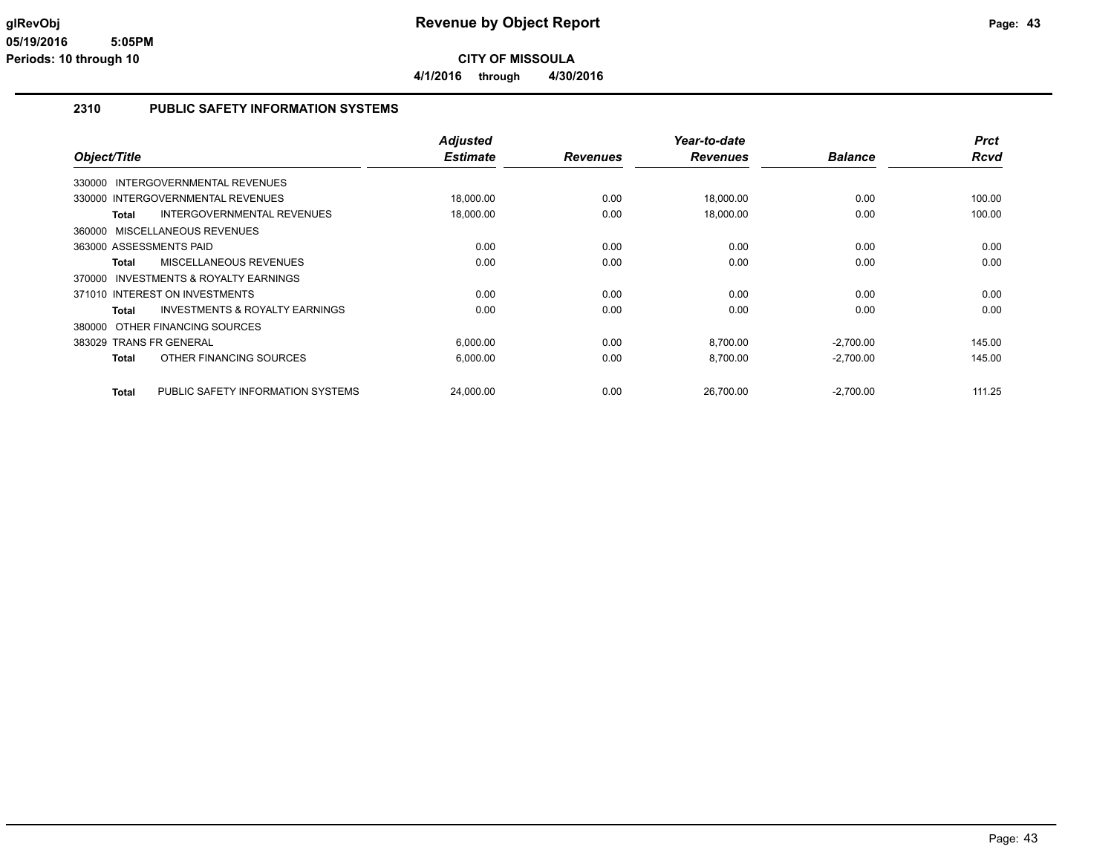**CITY OF MISSOULA 4/1/2016 through 4/30/2016**

#### **2310 PUBLIC SAFETY INFORMATION SYSTEMS**

| Object/Title                                        | <b>Adjusted</b><br><b>Estimate</b> | <b>Revenues</b> | Year-to-date<br><b>Revenues</b> | <b>Balance</b> | <b>Prct</b><br><b>Rcvd</b> |
|-----------------------------------------------------|------------------------------------|-----------------|---------------------------------|----------------|----------------------------|
| <b>INTERGOVERNMENTAL REVENUES</b><br>330000         |                                    |                 |                                 |                |                            |
| 330000 INTERGOVERNMENTAL REVENUES                   | 18,000.00                          | 0.00            | 18,000.00                       | 0.00           | 100.00                     |
| <b>INTERGOVERNMENTAL REVENUES</b><br><b>Total</b>   | 18,000.00                          | 0.00            | 18,000.00                       | 0.00           | 100.00                     |
| 360000 MISCELLANEOUS REVENUES                       |                                    |                 |                                 |                |                            |
| 363000 ASSESSMENTS PAID                             | 0.00                               | 0.00            | 0.00                            | 0.00           | 0.00                       |
| <b>MISCELLANEOUS REVENUES</b><br><b>Total</b>       | 0.00                               | 0.00            | 0.00                            | 0.00           | 0.00                       |
| <b>INVESTMENTS &amp; ROYALTY EARNINGS</b><br>370000 |                                    |                 |                                 |                |                            |
| 371010 INTEREST ON INVESTMENTS                      | 0.00                               | 0.00            | 0.00                            | 0.00           | 0.00                       |
| <b>INVESTMENTS &amp; ROYALTY EARNINGS</b><br>Total  | 0.00                               | 0.00            | 0.00                            | 0.00           | 0.00                       |
| 380000 OTHER FINANCING SOURCES                      |                                    |                 |                                 |                |                            |
| 383029 TRANS FR GENERAL                             | 6,000.00                           | 0.00            | 8,700.00                        | $-2,700.00$    | 145.00                     |
| OTHER FINANCING SOURCES<br><b>Total</b>             | 6,000.00                           | 0.00            | 8.700.00                        | $-2,700.00$    | 145.00                     |
|                                                     |                                    |                 |                                 |                |                            |
| PUBLIC SAFETY INFORMATION SYSTEMS<br><b>Total</b>   | 24,000.00                          | 0.00            | 26.700.00                       | $-2,700.00$    | 111.25                     |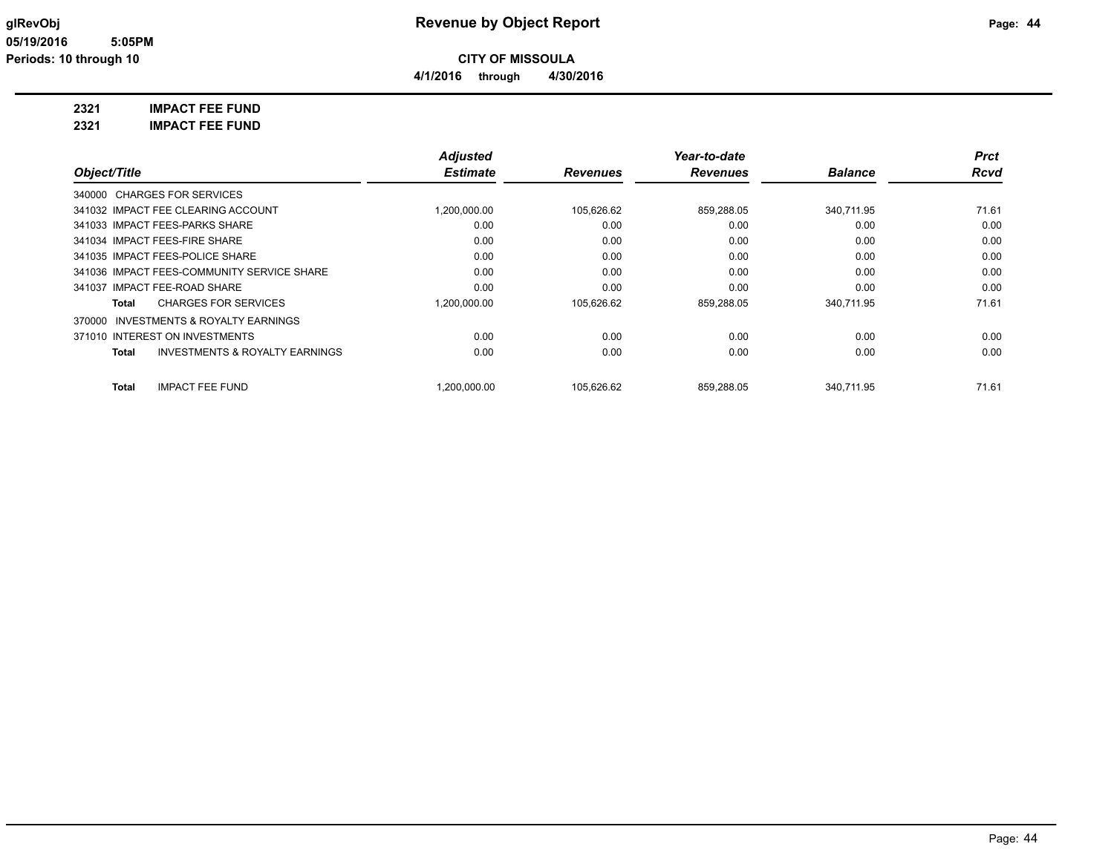### **glRevObj Revenue by Object Report Page: 44**

#### **2321 IMPACT FEE FUND**

**2321 IMPACT FEE FUND**

|                                                           | <b>Adjusted</b>   |                 | Year-to-date    |                | <b>Prct</b> |
|-----------------------------------------------------------|-------------------|-----------------|-----------------|----------------|-------------|
| Object/Title                                              | <b>Estimate</b>   | <b>Revenues</b> | <b>Revenues</b> | <b>Balance</b> | <b>Rcvd</b> |
| 340000 CHARGES FOR SERVICES                               |                   |                 |                 |                |             |
| 341032 IMPACT FEE CLEARING ACCOUNT                        | 1,200,000.00      | 105,626.62      | 859,288.05      | 340.711.95     | 71.61       |
| 341033 IMPACT FEES-PARKS SHARE                            | 0.00              | 0.00            | 0.00            | 0.00           | 0.00        |
| 341034 IMPACT FEES-FIRE SHARE                             | 0.00              | 0.00            | 0.00            | 0.00           | 0.00        |
| 341035 IMPACT FEES-POLICE SHARE                           | 0.00              | 0.00            | 0.00            | 0.00           | 0.00        |
| 341036 IMPACT FEES-COMMUNITY SERVICE SHARE                | 0.00              | 0.00            | 0.00            | 0.00           | 0.00        |
| 341037 IMPACT FEE-ROAD SHARE                              | 0.00              | 0.00            | 0.00            | 0.00           | 0.00        |
| <b>CHARGES FOR SERVICES</b><br>Total                      | 1,200,000.00      | 105,626.62      | 859,288.05      | 340,711.95     | 71.61       |
| <b>INVESTMENTS &amp; ROYALTY EARNINGS</b><br>370000       |                   |                 |                 |                |             |
| 371010 INTEREST ON INVESTMENTS                            | 0.00              | 0.00            | 0.00            | 0.00           | 0.00        |
| <b>INVESTMENTS &amp; ROYALTY EARNINGS</b><br><b>Total</b> | 0.00              | 0.00            | 0.00            | 0.00           | 0.00        |
| <b>IMPACT FEE FUND</b><br><b>Total</b>                    | 00.000.00, 200, ا | 105,626.62      | 859,288.05      | 340,711.95     | 71.61       |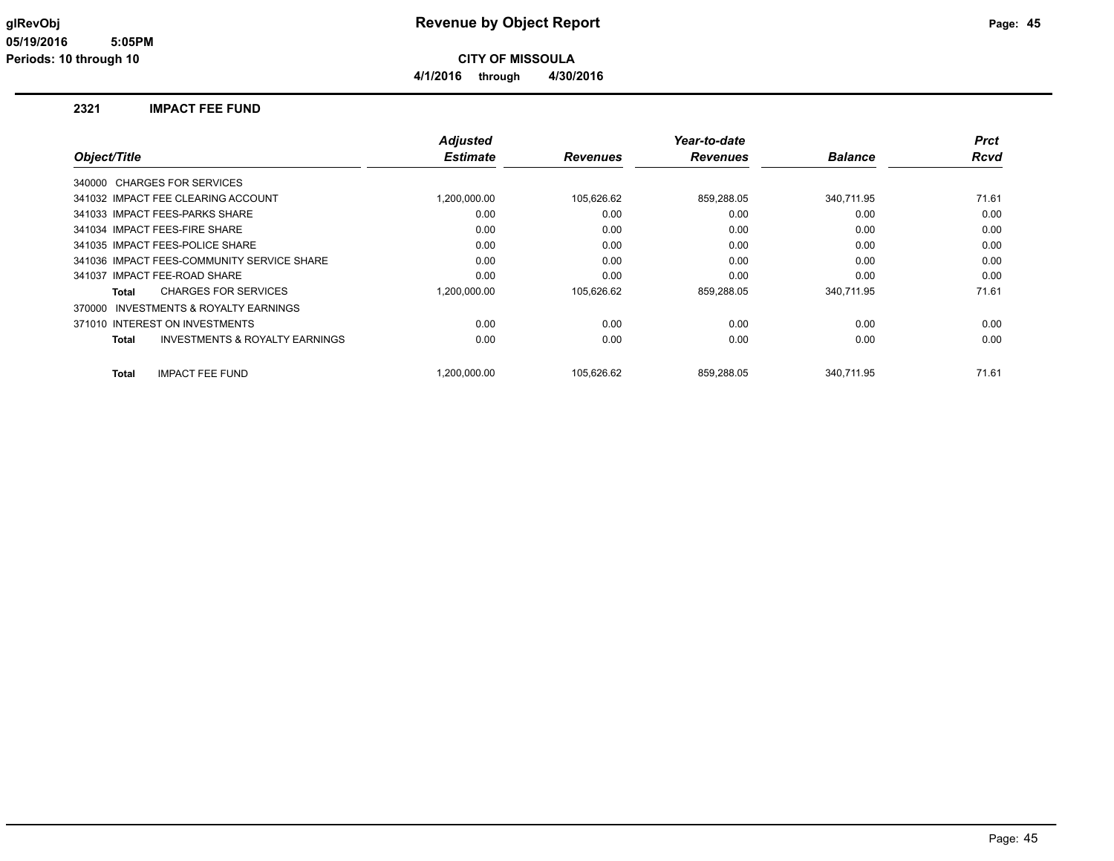#### **glRevObj Revenue by Object Report Page: 45**

**4/1/2016 through 4/30/2016**

#### **2321 IMPACT FEE FUND**

|              |                                            | <b>Adjusted</b> |                 | Year-to-date    |                | <b>Prct</b> |
|--------------|--------------------------------------------|-----------------|-----------------|-----------------|----------------|-------------|
| Object/Title |                                            | <b>Estimate</b> | <b>Revenues</b> | <b>Revenues</b> | <b>Balance</b> | <b>Rcvd</b> |
|              | 340000 CHARGES FOR SERVICES                |                 |                 |                 |                |             |
|              | 341032 IMPACT FEE CLEARING ACCOUNT         | 1,200,000.00    | 105,626.62      | 859,288.05      | 340,711.95     | 71.61       |
|              | 341033 IMPACT FEES-PARKS SHARE             | 0.00            | 0.00            | 0.00            | 0.00           | 0.00        |
|              | 341034 IMPACT FEES-FIRE SHARE              | 0.00            | 0.00            | 0.00            | 0.00           | 0.00        |
|              | 341035 IMPACT FEES-POLICE SHARE            | 0.00            | 0.00            | 0.00            | 0.00           | 0.00        |
|              | 341036 IMPACT FEES-COMMUNITY SERVICE SHARE | 0.00            | 0.00            | 0.00            | 0.00           | 0.00        |
|              | 341037 IMPACT FEE-ROAD SHARE               | 0.00            | 0.00            | 0.00            | 0.00           | 0.00        |
| Total        | <b>CHARGES FOR SERVICES</b>                | 1,200,000.00    | 105,626.62      | 859,288.05      | 340.711.95     | 71.61       |
| 370000       | <b>INVESTMENTS &amp; ROYALTY EARNINGS</b>  |                 |                 |                 |                |             |
|              | 371010 INTEREST ON INVESTMENTS             | 0.00            | 0.00            | 0.00            | 0.00           | 0.00        |
| <b>Total</b> | <b>INVESTMENTS &amp; ROYALTY EARNINGS</b>  | 0.00            | 0.00            | 0.00            | 0.00           | 0.00        |
| <b>Total</b> | <b>IMPACT FEE FUND</b>                     | 1.200.000.00    | 105.626.62      | 859.288.05      | 340.711.95     | 71.61       |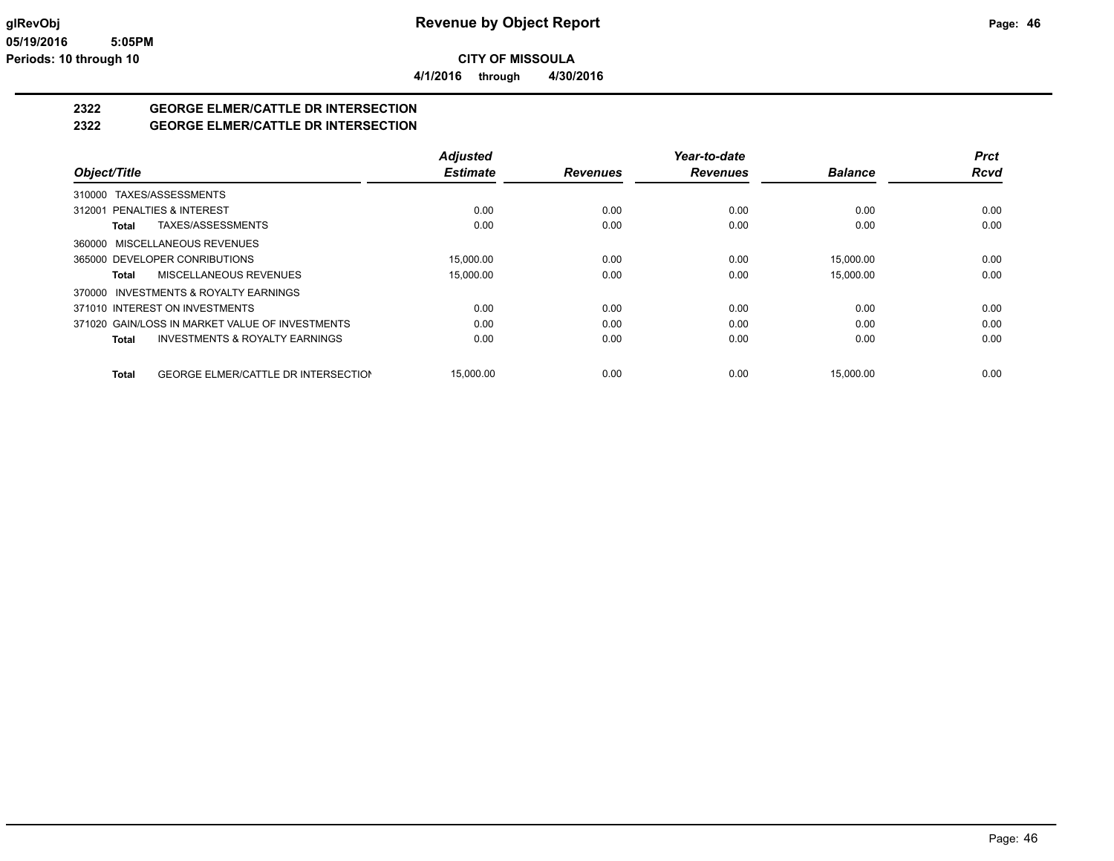**4/1/2016 through 4/30/2016**

## **2322 GEORGE ELMER/CATTLE DR INTERSECTION**

#### **2322 GEORGE ELMER/CATTLE DR INTERSECTION**

|                                                            | <b>Adjusted</b> |                 | Year-to-date    |                | <b>Prct</b> |
|------------------------------------------------------------|-----------------|-----------------|-----------------|----------------|-------------|
| Object/Title                                               | <b>Estimate</b> | <b>Revenues</b> | <b>Revenues</b> | <b>Balance</b> | <b>Rcvd</b> |
| 310000 TAXES/ASSESSMENTS                                   |                 |                 |                 |                |             |
| 312001 PENALTIES & INTEREST                                | 0.00            | 0.00            | 0.00            | 0.00           | 0.00        |
| TAXES/ASSESSMENTS<br>Total                                 | 0.00            | 0.00            | 0.00            | 0.00           | 0.00        |
| 360000 MISCELLANEOUS REVENUES                              |                 |                 |                 |                |             |
| 365000 DEVELOPER CONRIBUTIONS                              | 15,000.00       | 0.00            | 0.00            | 15.000.00      | 0.00        |
| MISCELLANEOUS REVENUES<br>Total                            | 15,000.00       | 0.00            | 0.00            | 15.000.00      | 0.00        |
| 370000 INVESTMENTS & ROYALTY EARNINGS                      |                 |                 |                 |                |             |
| 371010 INTEREST ON INVESTMENTS                             | 0.00            | 0.00            | 0.00            | 0.00           | 0.00        |
| 371020 GAIN/LOSS IN MARKET VALUE OF INVESTMENTS            | 0.00            | 0.00            | 0.00            | 0.00           | 0.00        |
| <b>INVESTMENTS &amp; ROYALTY EARNINGS</b><br>Total         | 0.00            | 0.00            | 0.00            | 0.00           | 0.00        |
| <b>GEORGE ELMER/CATTLE DR INTERSECTION</b><br><b>Total</b> | 15.000.00       | 0.00            | 0.00            | 15.000.00      | 0.00        |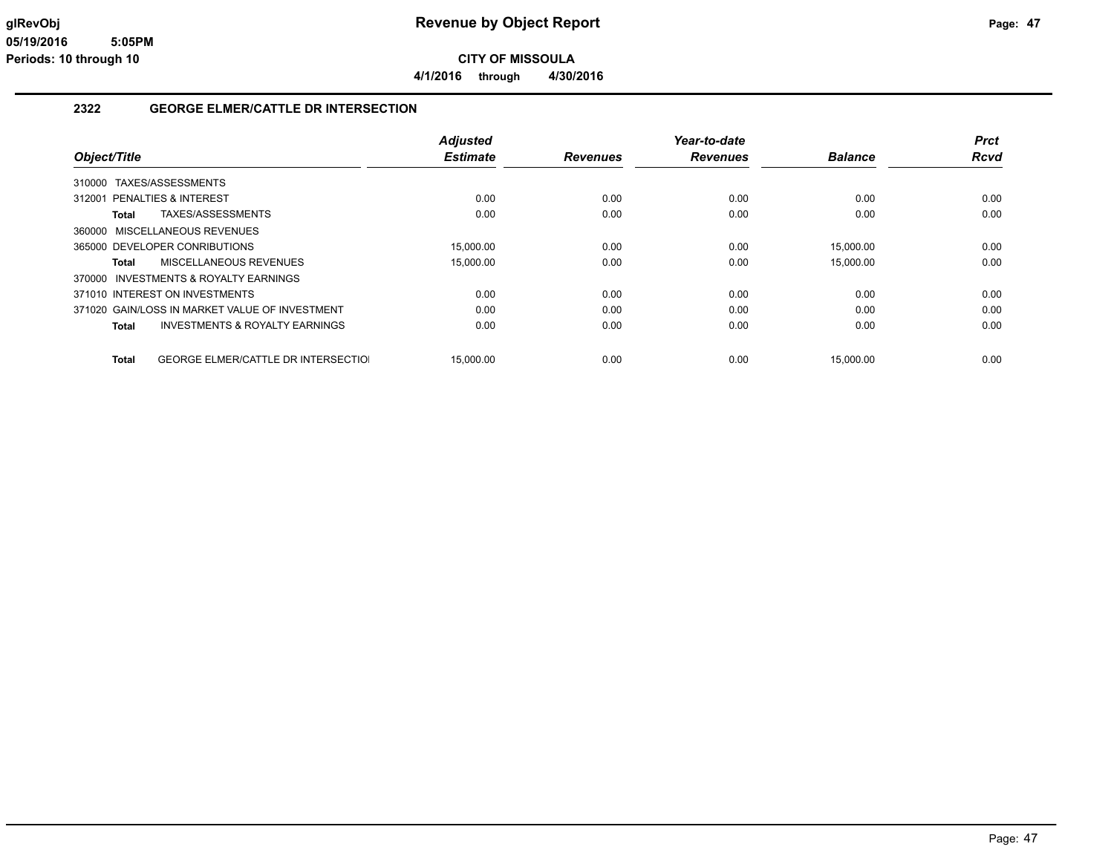**4/1/2016 through 4/30/2016**

#### **2322 GEORGE ELMER/CATTLE DR INTERSECTION**

|                                                     | <b>Adjusted</b> |                 | Year-to-date    |                | <b>Prct</b> |
|-----------------------------------------------------|-----------------|-----------------|-----------------|----------------|-------------|
| Object/Title                                        | <b>Estimate</b> | <b>Revenues</b> | <b>Revenues</b> | <b>Balance</b> | Rcvd        |
| TAXES/ASSESSMENTS<br>310000                         |                 |                 |                 |                |             |
| 312001 PENALTIES & INTEREST                         | 0.00            | 0.00            | 0.00            | 0.00           | 0.00        |
| TAXES/ASSESSMENTS<br>Total                          | 0.00            | 0.00            | 0.00            | 0.00           | 0.00        |
| 360000 MISCELLANEOUS REVENUES                       |                 |                 |                 |                |             |
| 365000 DEVELOPER CONRIBUTIONS                       | 15.000.00       | 0.00            | 0.00            | 15,000.00      | 0.00        |
| MISCELLANEOUS REVENUES<br>Total                     | 15,000.00       | 0.00            | 0.00            | 15,000.00      | 0.00        |
| 370000 INVESTMENTS & ROYALTY EARNINGS               |                 |                 |                 |                |             |
| 371010 INTEREST ON INVESTMENTS                      | 0.00            | 0.00            | 0.00            | 0.00           | 0.00        |
| 371020 GAIN/LOSS IN MARKET VALUE OF INVESTMENT      | 0.00            | 0.00            | 0.00            | 0.00           | 0.00        |
| <b>INVESTMENTS &amp; ROYALTY EARNINGS</b><br>Total  | 0.00            | 0.00            | 0.00            | 0.00           | 0.00        |
| <b>GEORGE ELMER/CATTLE DR INTERSECTIOL</b><br>Total | 15.000.00       | 0.00            | 0.00            | 15,000.00      | 0.00        |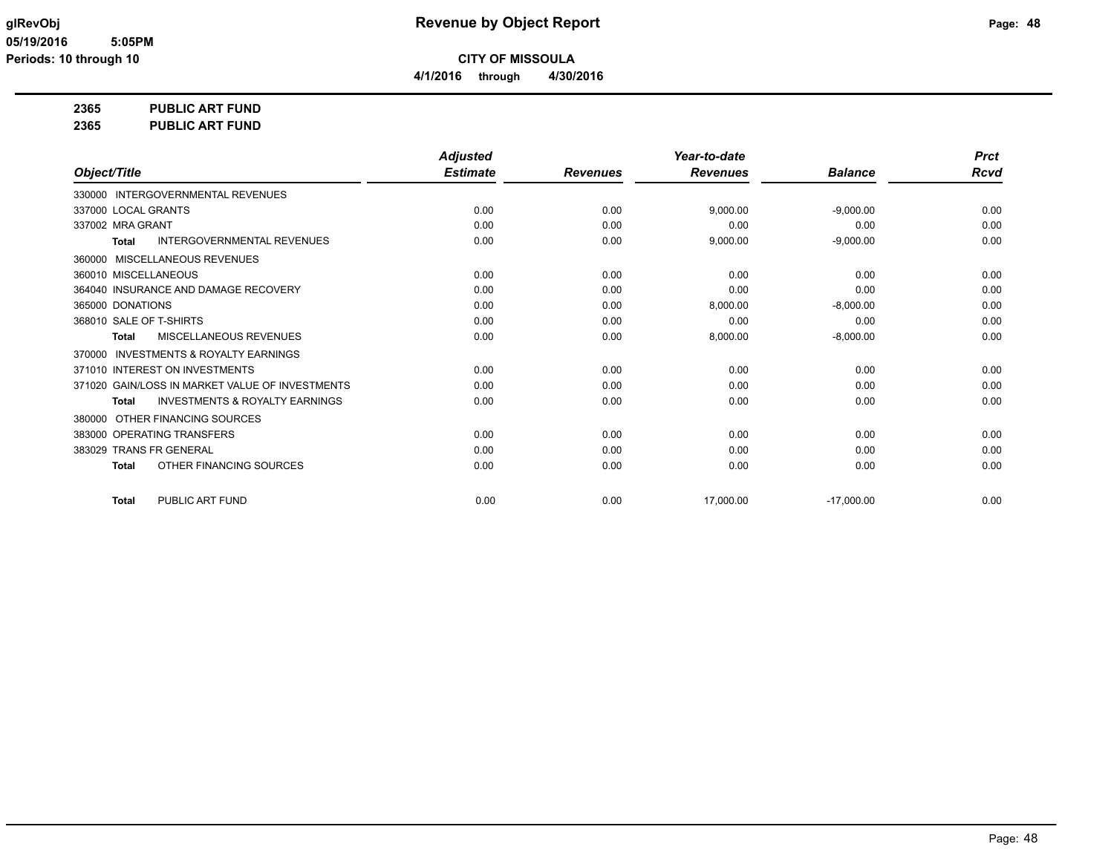**4/1/2016 through 4/30/2016**

**2365 PUBLIC ART FUND**

**2365 PUBLIC ART FUND**

|                                                           | <b>Adjusted</b> |                 | Year-to-date    |                | <b>Prct</b> |
|-----------------------------------------------------------|-----------------|-----------------|-----------------|----------------|-------------|
| Object/Title                                              | <b>Estimate</b> | <b>Revenues</b> | <b>Revenues</b> | <b>Balance</b> | Rcvd        |
| 330000 INTERGOVERNMENTAL REVENUES                         |                 |                 |                 |                |             |
| 337000 LOCAL GRANTS                                       | 0.00            | 0.00            | 9,000.00        | $-9,000.00$    | 0.00        |
| 337002 MRA GRANT                                          | 0.00            | 0.00            | 0.00            | 0.00           | 0.00        |
| <b>INTERGOVERNMENTAL REVENUES</b><br><b>Total</b>         | 0.00            | 0.00            | 9,000.00        | $-9,000.00$    | 0.00        |
| 360000 MISCELLANEOUS REVENUES                             |                 |                 |                 |                |             |
| 360010 MISCELLANEOUS                                      | 0.00            | 0.00            | 0.00            | 0.00           | 0.00        |
| 364040 INSURANCE AND DAMAGE RECOVERY                      | 0.00            | 0.00            | 0.00            | 0.00           | 0.00        |
| 365000 DONATIONS                                          | 0.00            | 0.00            | 8.000.00        | $-8.000.00$    | 0.00        |
| 368010 SALE OF T-SHIRTS                                   | 0.00            | 0.00            | 0.00            | 0.00           | 0.00        |
| MISCELLANEOUS REVENUES<br><b>Total</b>                    | 0.00            | 0.00            | 8,000.00        | $-8,000.00$    | 0.00        |
| <b>INVESTMENTS &amp; ROYALTY EARNINGS</b><br>370000       |                 |                 |                 |                |             |
| 371010 INTEREST ON INVESTMENTS                            | 0.00            | 0.00            | 0.00            | 0.00           | 0.00        |
| 371020 GAIN/LOSS IN MARKET VALUE OF INVESTMENTS           | 0.00            | 0.00            | 0.00            | 0.00           | 0.00        |
| <b>INVESTMENTS &amp; ROYALTY EARNINGS</b><br><b>Total</b> | 0.00            | 0.00            | 0.00            | 0.00           | 0.00        |
| OTHER FINANCING SOURCES<br>380000                         |                 |                 |                 |                |             |
| 383000 OPERATING TRANSFERS                                | 0.00            | 0.00            | 0.00            | 0.00           | 0.00        |
| 383029 TRANS FR GENERAL                                   | 0.00            | 0.00            | 0.00            | 0.00           | 0.00        |
| OTHER FINANCING SOURCES<br><b>Total</b>                   | 0.00            | 0.00            | 0.00            | 0.00           | 0.00        |
| PUBLIC ART FUND<br><b>Total</b>                           | 0.00            | 0.00            | 17,000.00       | $-17,000.00$   | 0.00        |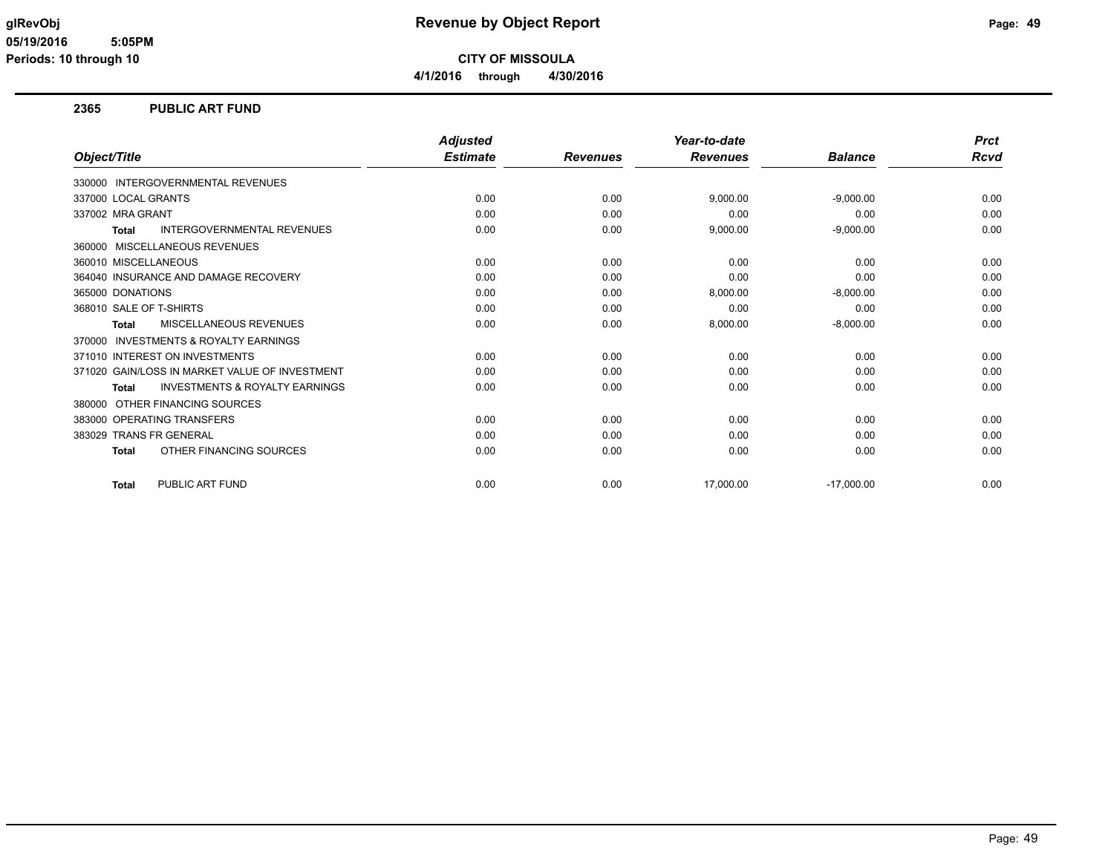#### **glRevObj Revenue by Object Report Page: 49**

**CITY OF MISSOULA**

**4/1/2016 through 4/30/2016**

#### **2365 PUBLIC ART FUND**

|                                                     | <b>Adjusted</b> |                 | Year-to-date    |                | <b>Prct</b> |
|-----------------------------------------------------|-----------------|-----------------|-----------------|----------------|-------------|
| Object/Title                                        | <b>Estimate</b> | <b>Revenues</b> | <b>Revenues</b> | <b>Balance</b> | Rcvd        |
| <b>INTERGOVERNMENTAL REVENUES</b><br>330000         |                 |                 |                 |                |             |
| 337000 LOCAL GRANTS                                 | 0.00            | 0.00            | 9,000.00        | $-9,000.00$    | 0.00        |
| 337002 MRA GRANT                                    | 0.00            | 0.00            | 0.00            | 0.00           | 0.00        |
| <b>INTERGOVERNMENTAL REVENUES</b><br><b>Total</b>   | 0.00            | 0.00            | 9,000.00        | $-9,000.00$    | 0.00        |
| <b>MISCELLANEOUS REVENUES</b><br>360000             |                 |                 |                 |                |             |
| 360010 MISCELLANEOUS                                | 0.00            | 0.00            | 0.00            | 0.00           | 0.00        |
| 364040 INSURANCE AND DAMAGE RECOVERY                | 0.00            | 0.00            | 0.00            | 0.00           | 0.00        |
| 365000 DONATIONS                                    | 0.00            | 0.00            | 8,000.00        | $-8,000.00$    | 0.00        |
| 368010 SALE OF T-SHIRTS                             | 0.00            | 0.00            | 0.00            | 0.00           | 0.00        |
| MISCELLANEOUS REVENUES<br><b>Total</b>              | 0.00            | 0.00            | 8,000.00        | $-8,000.00$    | 0.00        |
| <b>INVESTMENTS &amp; ROYALTY EARNINGS</b><br>370000 |                 |                 |                 |                |             |
| 371010 INTEREST ON INVESTMENTS                      | 0.00            | 0.00            | 0.00            | 0.00           | 0.00        |
| 371020 GAIN/LOSS IN MARKET VALUE OF INVESTMENT      | 0.00            | 0.00            | 0.00            | 0.00           | 0.00        |
| <b>INVESTMENTS &amp; ROYALTY EARNINGS</b><br>Total  | 0.00            | 0.00            | 0.00            | 0.00           | 0.00        |
| OTHER FINANCING SOURCES<br>380000                   |                 |                 |                 |                |             |
| 383000 OPERATING TRANSFERS                          | 0.00            | 0.00            | 0.00            | 0.00           | 0.00        |
| <b>TRANS FR GENERAL</b><br>383029                   | 0.00            | 0.00            | 0.00            | 0.00           | 0.00        |
| OTHER FINANCING SOURCES<br><b>Total</b>             | 0.00            | 0.00            | 0.00            | 0.00           | 0.00        |
| PUBLIC ART FUND<br><b>Total</b>                     | 0.00            | 0.00            | 17,000.00       | $-17,000.00$   | 0.00        |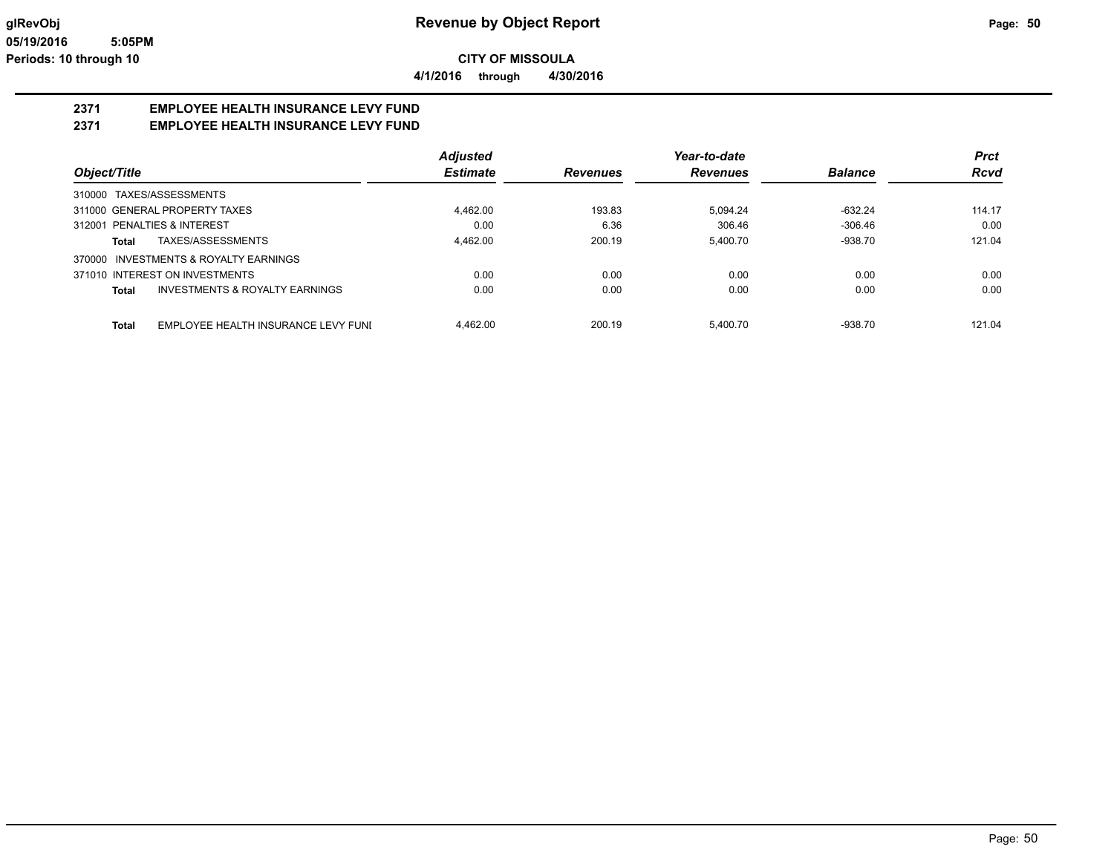**4/1/2016 through 4/30/2016**

## **2371 EMPLOYEE HEALTH INSURANCE LEVY FUND**

#### **2371 EMPLOYEE HEALTH INSURANCE LEVY FUND**

|                                                     | <b>Adjusted</b> |                 | Year-to-date    |                | <b>Prct</b> |
|-----------------------------------------------------|-----------------|-----------------|-----------------|----------------|-------------|
| Object/Title                                        | <b>Estimate</b> | <b>Revenues</b> | <b>Revenues</b> | <b>Balance</b> | <b>Rcvd</b> |
| TAXES/ASSESSMENTS<br>310000                         |                 |                 |                 |                |             |
| 311000 GENERAL PROPERTY TAXES                       | 4,462.00        | 193.83          | 5.094.24        | $-632.24$      | 114.17      |
| 312001 PENALTIES & INTEREST                         | 0.00            | 6.36            | 306.46          | $-306.46$      | 0.00        |
| TAXES/ASSESSMENTS<br>Total                          | 4.462.00        | 200.19          | 5.400.70        | $-938.70$      | 121.04      |
| <b>INVESTMENTS &amp; ROYALTY EARNINGS</b><br>370000 |                 |                 |                 |                |             |
| 371010 INTEREST ON INVESTMENTS                      | 0.00            | 0.00            | 0.00            | 0.00           | 0.00        |
| INVESTMENTS & ROYALTY EARNINGS<br>Total             | 0.00            | 0.00            | 0.00            | 0.00           | 0.00        |
| EMPLOYEE HEALTH INSURANCE LEVY FUNI<br>Total        | 4.462.00        | 200.19          | 5.400.70        | $-938.70$      | 121.04      |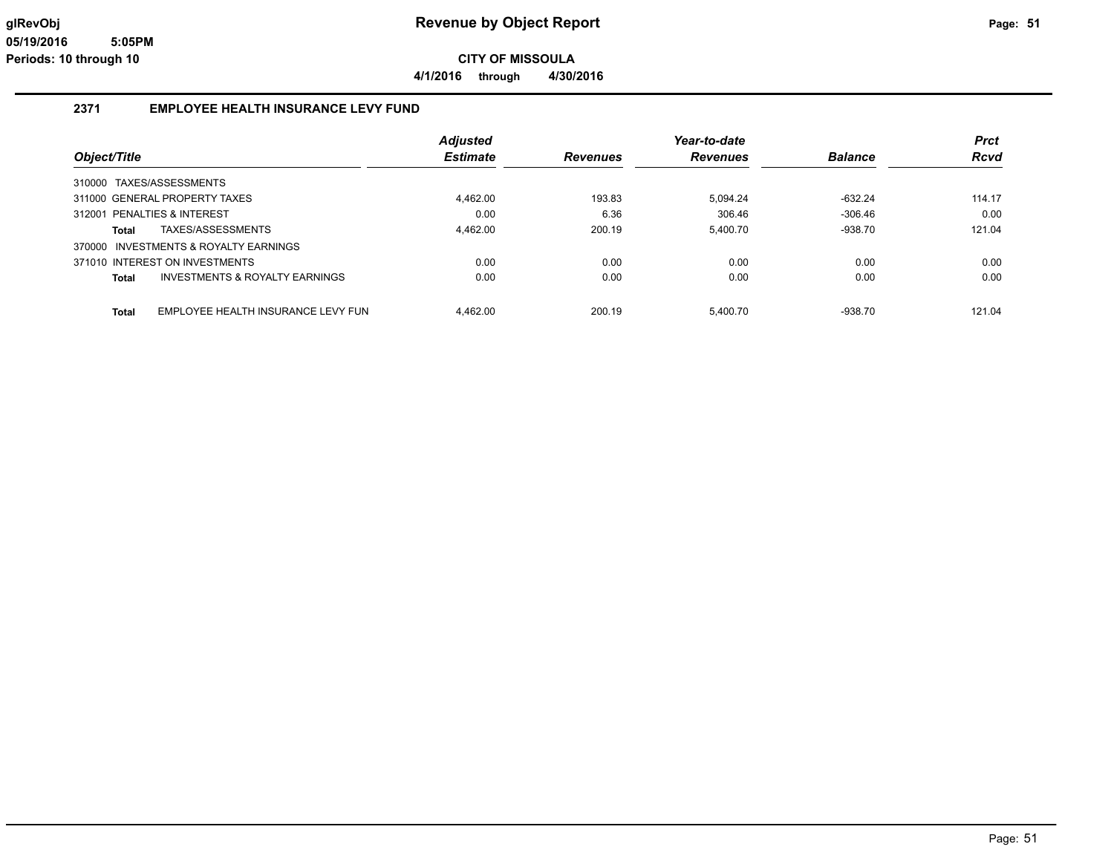**4/1/2016 through 4/30/2016**

#### **2371 EMPLOYEE HEALTH INSURANCE LEVY FUND**

|                                             | <b>Adjusted</b> |                 | Year-to-date    |                | <b>Prct</b> |
|---------------------------------------------|-----------------|-----------------|-----------------|----------------|-------------|
| Object/Title                                | <b>Estimate</b> | <b>Revenues</b> | <b>Revenues</b> | <b>Balance</b> | <b>Rcvd</b> |
| 310000 TAXES/ASSESSMENTS                    |                 |                 |                 |                |             |
| 311000 GENERAL PROPERTY TAXES               | 4,462.00        | 193.83          | 5.094.24        | $-632.24$      | 114.17      |
| PENALTIES & INTEREST<br>312001              | 0.00            | 6.36            | 306.46          | $-306.46$      | 0.00        |
| TAXES/ASSESSMENTS<br>Total                  | 4.462.00        | 200.19          | 5.400.70        | $-938.70$      | 121.04      |
| 370000 INVESTMENTS & ROYALTY EARNINGS       |                 |                 |                 |                |             |
| 371010 INTEREST ON INVESTMENTS              | 0.00            | 0.00            | 0.00            | 0.00           | 0.00        |
| INVESTMENTS & ROYALTY EARNINGS<br>Total     | 0.00            | 0.00            | 0.00            | 0.00           | 0.00        |
|                                             |                 |                 |                 |                |             |
| EMPLOYEE HEALTH INSURANCE LEVY FUN<br>Total | 4.462.00        | 200.19          | 5.400.70        | $-938.70$      | 121.04      |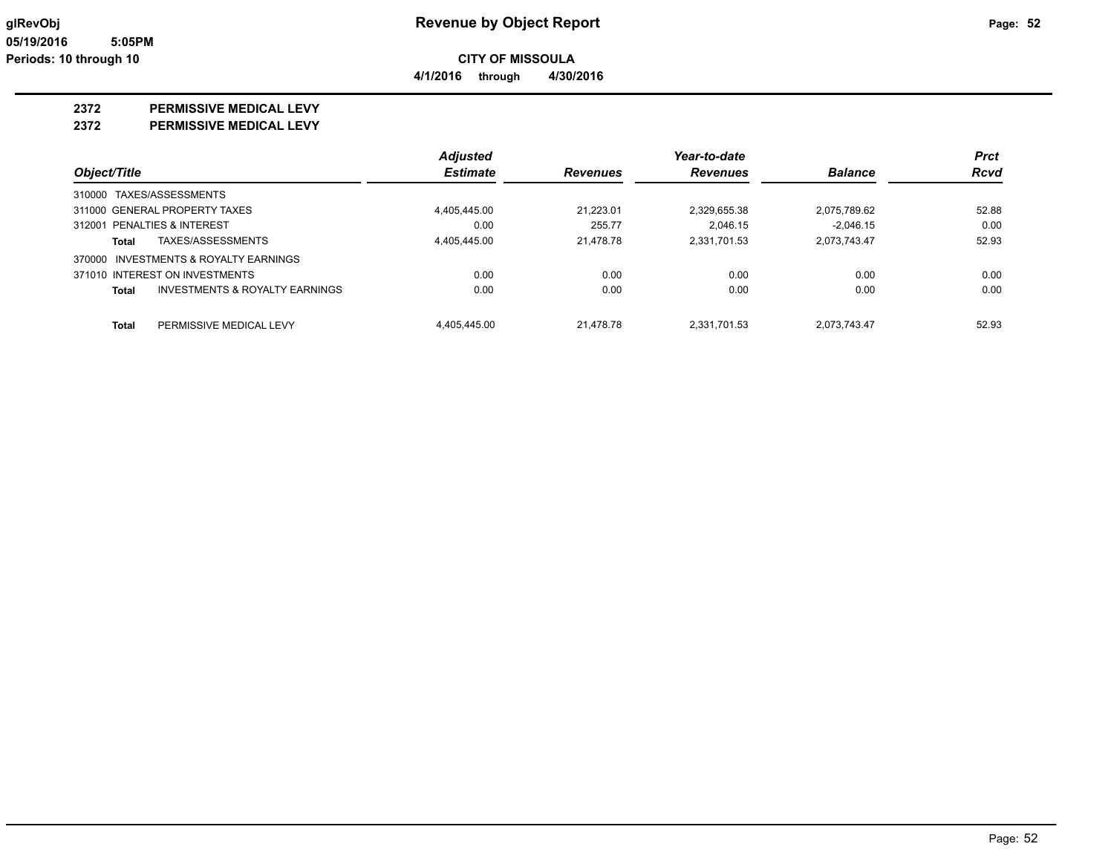**4/1/2016 through 4/30/2016**

#### **2372 PERMISSIVE MEDICAL LEVY**

**2372 PERMISSIVE MEDICAL LEVY**

|                                                           | <b>Adjusted</b> |                 | Year-to-date    |                | <b>Prct</b> |
|-----------------------------------------------------------|-----------------|-----------------|-----------------|----------------|-------------|
| Object/Title                                              | <b>Estimate</b> | <b>Revenues</b> | <b>Revenues</b> | <b>Balance</b> | <b>Rcvd</b> |
| 310000 TAXES/ASSESSMENTS                                  |                 |                 |                 |                |             |
| 311000 GENERAL PROPERTY TAXES                             | 4.405.445.00    | 21.223.01       | 2.329.655.38    | 2.075.789.62   | 52.88       |
| 312001 PENALTIES & INTEREST                               | 0.00            | 255.77          | 2.046.15        | $-2.046.15$    | 0.00        |
| TAXES/ASSESSMENTS<br><b>Total</b>                         | 4.405.445.00    | 21.478.78       | 2.331.701.53    | 2,073,743.47   | 52.93       |
| 370000 INVESTMENTS & ROYALTY EARNINGS                     |                 |                 |                 |                |             |
| 371010 INTEREST ON INVESTMENTS                            | 0.00            | 0.00            | 0.00            | 0.00           | 0.00        |
| <b>INVESTMENTS &amp; ROYALTY EARNINGS</b><br><b>Total</b> | 0.00            | 0.00            | 0.00            | 0.00           | 0.00        |
| PERMISSIVE MEDICAL LEVY<br><b>Total</b>                   | 4.405.445.00    | 21.478.78       | 2.331.701.53    | 2.073.743.47   | 52.93       |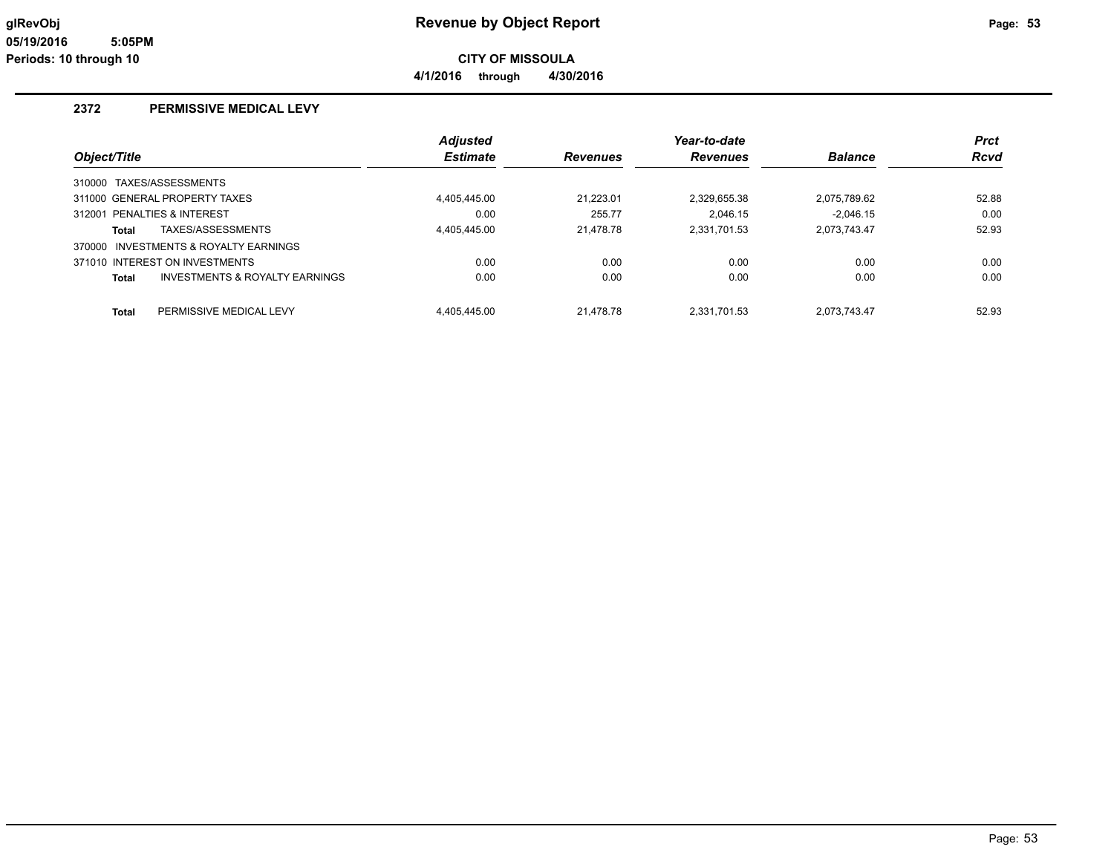**4/1/2016 through 4/30/2016**

#### **2372 PERMISSIVE MEDICAL LEVY**

|                                                           | <b>Adjusted</b> |                 | Year-to-date    |                | <b>Prct</b> |
|-----------------------------------------------------------|-----------------|-----------------|-----------------|----------------|-------------|
| Object/Title                                              | <b>Estimate</b> | <b>Revenues</b> | <b>Revenues</b> | <b>Balance</b> | <b>Rcvd</b> |
| 310000 TAXES/ASSESSMENTS                                  |                 |                 |                 |                |             |
| 311000 GENERAL PROPERTY TAXES                             | 4.405.445.00    | 21.223.01       | 2.329.655.38    | 2.075.789.62   | 52.88       |
| 312001 PENALTIES & INTEREST                               | 0.00            | 255.77          | 2.046.15        | $-2.046.15$    | 0.00        |
| TAXES/ASSESSMENTS<br>Total                                | 4.405.445.00    | 21.478.78       | 2.331.701.53    | 2,073,743.47   | 52.93       |
| 370000 INVESTMENTS & ROYALTY EARNINGS                     |                 |                 |                 |                |             |
| 371010 INTEREST ON INVESTMENTS                            | 0.00            | 0.00            | 0.00            | 0.00           | 0.00        |
| <b>INVESTMENTS &amp; ROYALTY EARNINGS</b><br><b>Total</b> | 0.00            | 0.00            | 0.00            | 0.00           | 0.00        |
|                                                           |                 |                 |                 |                |             |
| PERMISSIVE MEDICAL LEVY<br><b>Total</b>                   | 4.405.445.00    | 21.478.78       | 2.331.701.53    | 2,073,743.47   | 52.93       |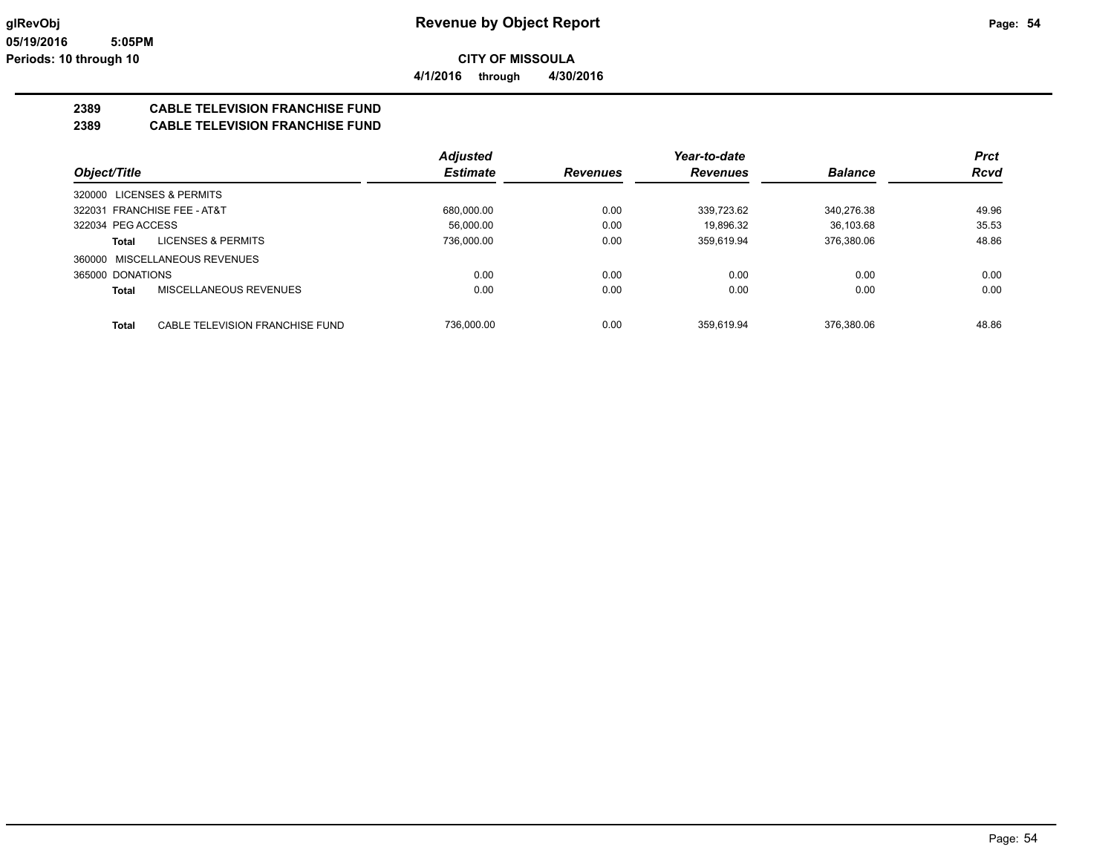**CITY OF MISSOULA 4/1/2016 through 4/30/2016**

#### **2389 CABLE TELEVISION FRANCHISE FUND**

#### **2389 CABLE TELEVISION FRANCHISE FUND**

|                                          | <b>Adjusted</b> |                 | Year-to-date    |                | <b>Prct</b> |
|------------------------------------------|-----------------|-----------------|-----------------|----------------|-------------|
| Object/Title                             | <b>Estimate</b> | <b>Revenues</b> | <b>Revenues</b> | <b>Balance</b> | <b>Rcvd</b> |
| 320000 LICENSES & PERMITS                |                 |                 |                 |                |             |
| 322031 FRANCHISE FEE - AT&T              | 680.000.00      | 0.00            | 339.723.62      | 340.276.38     | 49.96       |
| 322034 PEG ACCESS                        | 56.000.00       | 0.00            | 19.896.32       | 36.103.68      | 35.53       |
| <b>LICENSES &amp; PERMITS</b><br>Total   | 736.000.00      | 0.00            | 359.619.94      | 376,380.06     | 48.86       |
| 360000 MISCELLANEOUS REVENUES            |                 |                 |                 |                |             |
| 365000 DONATIONS                         | 0.00            | 0.00            | 0.00            | 0.00           | 0.00        |
| MISCELLANEOUS REVENUES<br><b>Total</b>   | 0.00            | 0.00            | 0.00            | 0.00           | 0.00        |
| CABLE TELEVISION FRANCHISE FUND<br>Total | 736.000.00      | 0.00            | 359.619.94      | 376.380.06     | 48.86       |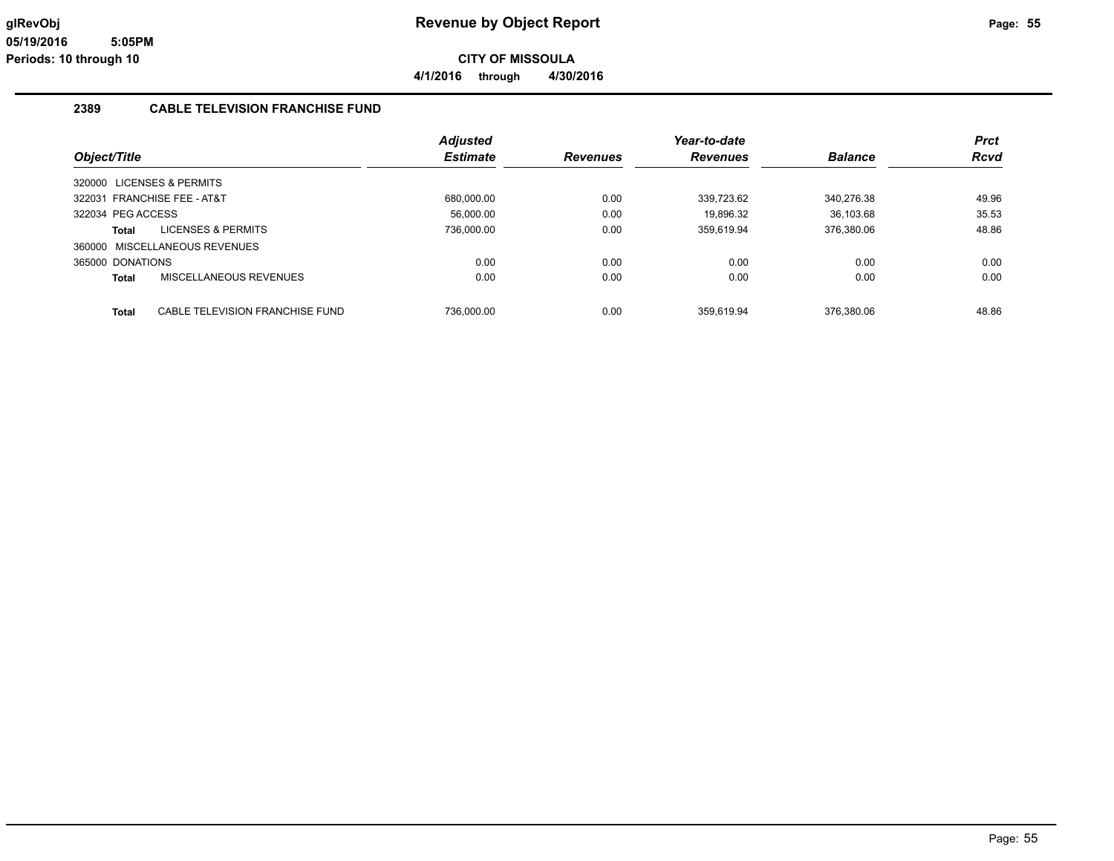**4/1/2016 through 4/30/2016**

#### **2389 CABLE TELEVISION FRANCHISE FUND**

|                               |                                 | <b>Adjusted</b> |                 | Year-to-date    |                | <b>Prct</b> |
|-------------------------------|---------------------------------|-----------------|-----------------|-----------------|----------------|-------------|
| Object/Title                  |                                 | <b>Estimate</b> | <b>Revenues</b> | <b>Revenues</b> | <b>Balance</b> | Rcvd        |
| 320000 LICENSES & PERMITS     |                                 |                 |                 |                 |                |             |
| 322031 FRANCHISE FEE - AT&T   |                                 | 680.000.00      | 0.00            | 339.723.62      | 340.276.38     | 49.96       |
| 322034 PEG ACCESS             |                                 | 56.000.00       | 0.00            | 19.896.32       | 36.103.68      | 35.53       |
| Total                         | <b>LICENSES &amp; PERMITS</b>   | 736,000.00      | 0.00            | 359.619.94      | 376.380.06     | 48.86       |
| 360000 MISCELLANEOUS REVENUES |                                 |                 |                 |                 |                |             |
| 365000 DONATIONS              |                                 | 0.00            | 0.00            | 0.00            | 0.00           | 0.00        |
| <b>Total</b>                  | MISCELLANEOUS REVENUES          | 0.00            | 0.00            | 0.00            | 0.00           | 0.00        |
|                               |                                 |                 |                 |                 |                |             |
| <b>Total</b>                  | CABLE TELEVISION FRANCHISE FUND | 736.000.00      | 0.00            | 359.619.94      | 376.380.06     | 48.86       |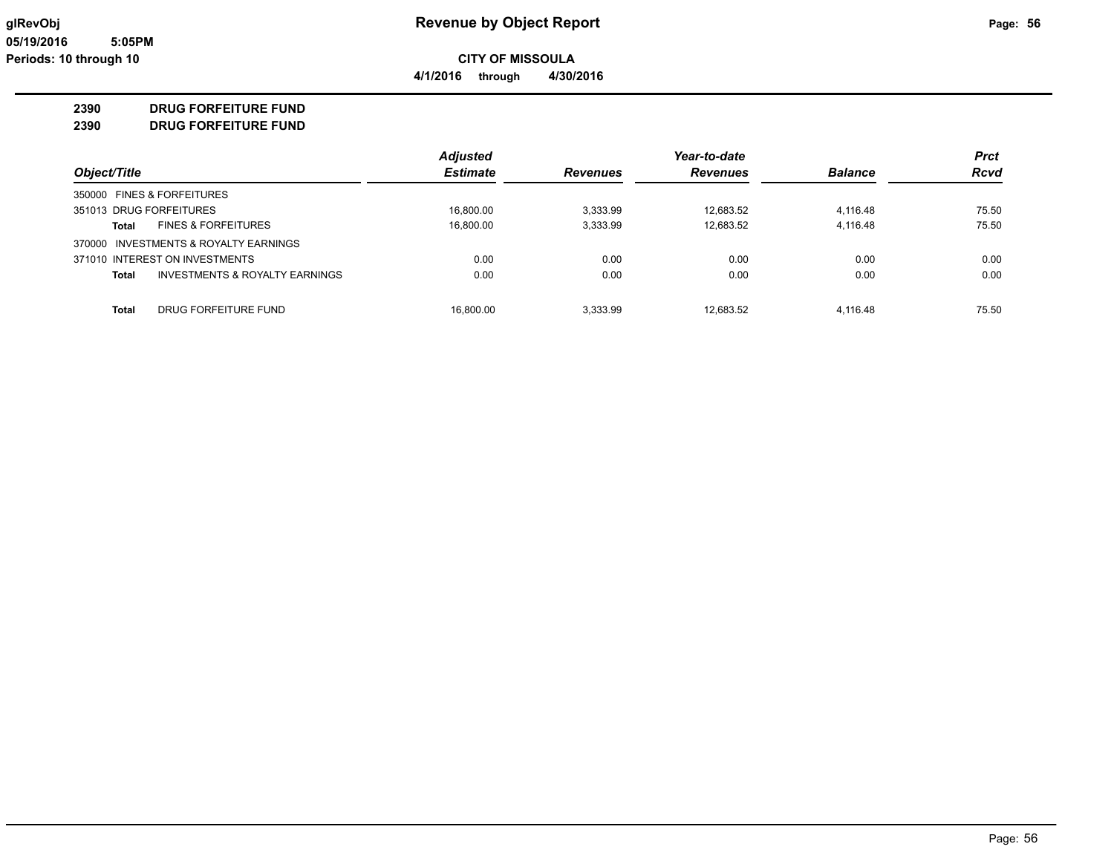**4/1/2016 through 4/30/2016**

#### **2390 DRUG FORFEITURE FUND**

**2390 DRUG FORFEITURE FUND**

|                                                | <b>Adjusted</b> |                 | Year-to-date    |                | <b>Prct</b> |
|------------------------------------------------|-----------------|-----------------|-----------------|----------------|-------------|
| Object/Title                                   | <b>Estimate</b> | <b>Revenues</b> | <b>Revenues</b> | <b>Balance</b> | <b>Rcvd</b> |
| 350000 FINES & FORFEITURES                     |                 |                 |                 |                |             |
| 351013 DRUG FORFEITURES                        | 16.800.00       | 3,333.99        | 12.683.52       | 4.116.48       | 75.50       |
| <b>FINES &amp; FORFEITURES</b><br><b>Total</b> | 16.800.00       | 3,333.99        | 12.683.52       | 4,116.48       | 75.50       |
| 370000 INVESTMENTS & ROYALTY EARNINGS          |                 |                 |                 |                |             |
| 371010 INTEREST ON INVESTMENTS                 | 0.00            | 0.00            | 0.00            | 0.00           | 0.00        |
| INVESTMENTS & ROYALTY EARNINGS<br><b>Total</b> | 0.00            | 0.00            | 0.00            | 0.00           | 0.00        |
| <b>Total</b><br>DRUG FORFEITURE FUND           | 16.800.00       | 3.333.99        | 12.683.52       | 4.116.48       | 75.50       |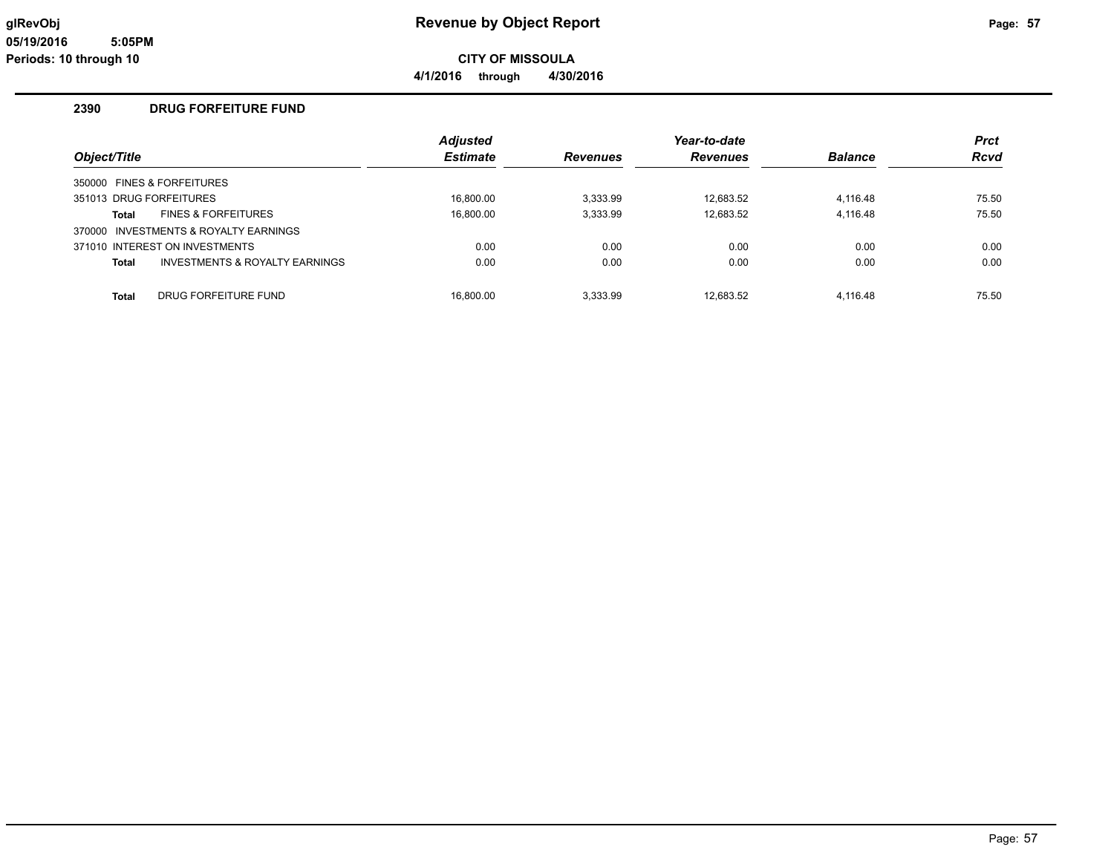**4/1/2016 through 4/30/2016**

#### **2390 DRUG FORFEITURE FUND**

|                         |                                       | <b>Adjusted</b> |                 | Year-to-date    |                | <b>Prct</b> |
|-------------------------|---------------------------------------|-----------------|-----------------|-----------------|----------------|-------------|
| Object/Title            |                                       | <b>Estimate</b> | <b>Revenues</b> | <b>Revenues</b> | <b>Balance</b> | <b>Rcvd</b> |
|                         | 350000 FINES & FORFEITURES            |                 |                 |                 |                |             |
| 351013 DRUG FORFEITURES |                                       | 16.800.00       | 3,333.99        | 12.683.52       | 4,116.48       | 75.50       |
| Total                   | <b>FINES &amp; FORFEITURES</b>        | 16,800.00       | 3,333.99        | 12,683.52       | 4,116.48       | 75.50       |
|                         | 370000 INVESTMENTS & ROYALTY EARNINGS |                 |                 |                 |                |             |
|                         | 371010 INTEREST ON INVESTMENTS        | 0.00            | 0.00            | 0.00            | 0.00           | 0.00        |
| <b>Total</b>            | INVESTMENTS & ROYALTY EARNINGS        | 0.00            | 0.00            | 0.00            | 0.00           | 0.00        |
| <b>Total</b>            | DRUG FORFEITURE FUND                  | 16,800.00       | 3,333.99        | 12,683.52       | 4,116.48       | 75.50       |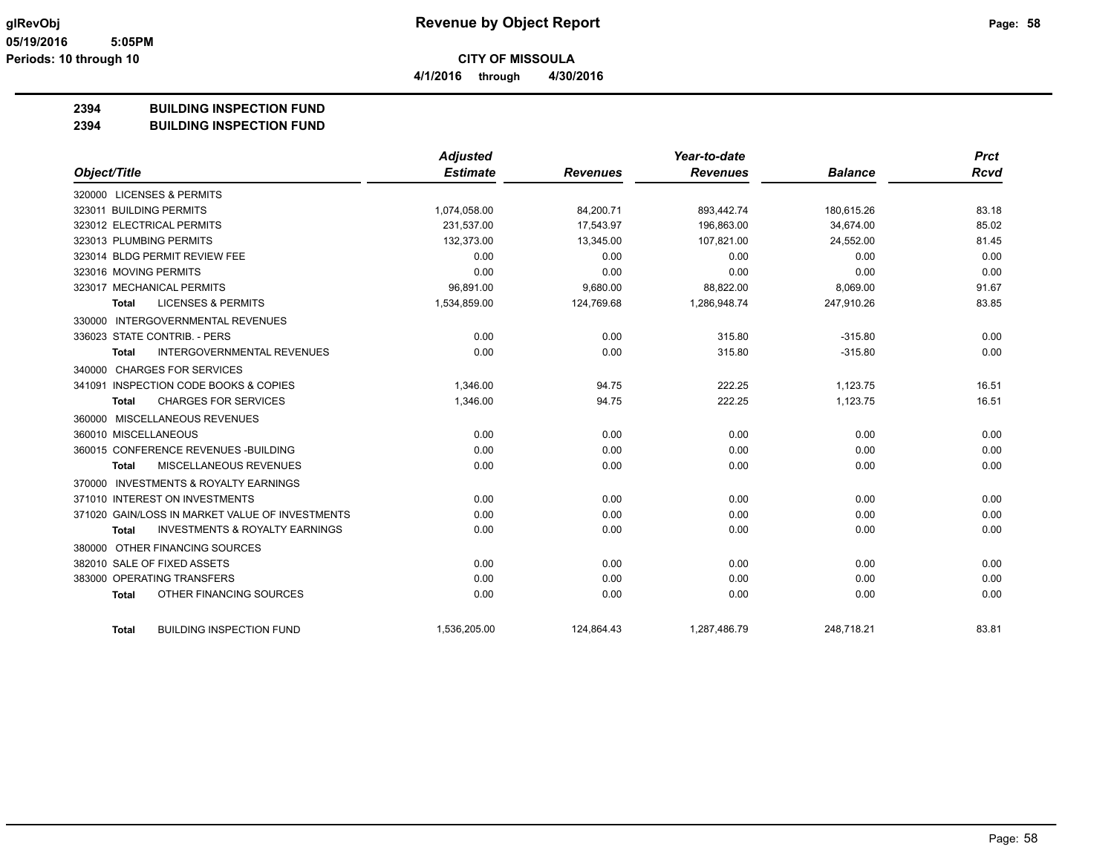**4/1/2016 through 4/30/2016**

#### **2394 BUILDING INSPECTION FUND**

#### **2394 BUILDING INSPECTION FUND**

|                                                    | <b>Adjusted</b> |                 | Year-to-date    |                | <b>Prct</b> |
|----------------------------------------------------|-----------------|-----------------|-----------------|----------------|-------------|
| Object/Title                                       | <b>Estimate</b> | <b>Revenues</b> | <b>Revenues</b> | <b>Balance</b> | <b>Rcvd</b> |
| 320000 LICENSES & PERMITS                          |                 |                 |                 |                |             |
| 323011 BUILDING PERMITS                            | 1,074,058.00    | 84,200.71       | 893,442.74      | 180,615.26     | 83.18       |
| 323012 ELECTRICAL PERMITS                          | 231,537.00      | 17.543.97       | 196.863.00      | 34.674.00      | 85.02       |
| 323013 PLUMBING PERMITS                            | 132,373.00      | 13,345.00       | 107,821.00      | 24,552.00      | 81.45       |
| 323014 BLDG PERMIT REVIEW FEE                      | 0.00            | 0.00            | 0.00            | 0.00           | 0.00        |
| 323016 MOVING PERMITS                              | 0.00            | 0.00            | 0.00            | 0.00           | 0.00        |
| 323017 MECHANICAL PERMITS                          | 96,891.00       | 9,680.00        | 88,822.00       | 8,069.00       | 91.67       |
| <b>LICENSES &amp; PERMITS</b><br>Total             | 1,534,859.00    | 124,769.68      | 1,286,948.74    | 247,910.26     | 83.85       |
| 330000 INTERGOVERNMENTAL REVENUES                  |                 |                 |                 |                |             |
| 336023 STATE CONTRIB. - PERS                       | 0.00            | 0.00            | 315.80          | $-315.80$      | 0.00        |
| <b>INTERGOVERNMENTAL REVENUES</b><br>Total         | 0.00            | 0.00            | 315.80          | $-315.80$      | 0.00        |
| 340000 CHARGES FOR SERVICES                        |                 |                 |                 |                |             |
| 341091 INSPECTION CODE BOOKS & COPIES              | 1,346.00        | 94.75           | 222.25          | 1,123.75       | 16.51       |
| <b>CHARGES FOR SERVICES</b><br>Total               | 1,346.00        | 94.75           | 222.25          | 1,123.75       | 16.51       |
| 360000 MISCELLANEOUS REVENUES                      |                 |                 |                 |                |             |
| 360010 MISCELLANEOUS                               | 0.00            | 0.00            | 0.00            | 0.00           | 0.00        |
| 360015 CONFERENCE REVENUES - BUILDING              | 0.00            | 0.00            | 0.00            | 0.00           | 0.00        |
| MISCELLANEOUS REVENUES<br>Total                    | 0.00            | 0.00            | 0.00            | 0.00           | 0.00        |
| 370000 INVESTMENTS & ROYALTY EARNINGS              |                 |                 |                 |                |             |
| 371010 INTEREST ON INVESTMENTS                     | 0.00            | 0.00            | 0.00            | 0.00           | 0.00        |
| 371020 GAIN/LOSS IN MARKET VALUE OF INVESTMENTS    | 0.00            | 0.00            | 0.00            | 0.00           | 0.00        |
| <b>INVESTMENTS &amp; ROYALTY EARNINGS</b><br>Total | 0.00            | 0.00            | 0.00            | 0.00           | 0.00        |
| 380000 OTHER FINANCING SOURCES                     |                 |                 |                 |                |             |
| 382010 SALE OF FIXED ASSETS                        | 0.00            | 0.00            | 0.00            | 0.00           | 0.00        |
| 383000 OPERATING TRANSFERS                         | 0.00            | 0.00            | 0.00            | 0.00           | 0.00        |
| OTHER FINANCING SOURCES<br><b>Total</b>            | 0.00            | 0.00            | 0.00            | 0.00           | 0.00        |
| <b>BUILDING INSPECTION FUND</b><br><b>Total</b>    | 1,536,205.00    | 124,864.43      | 1,287,486.79    | 248,718.21     | 83.81       |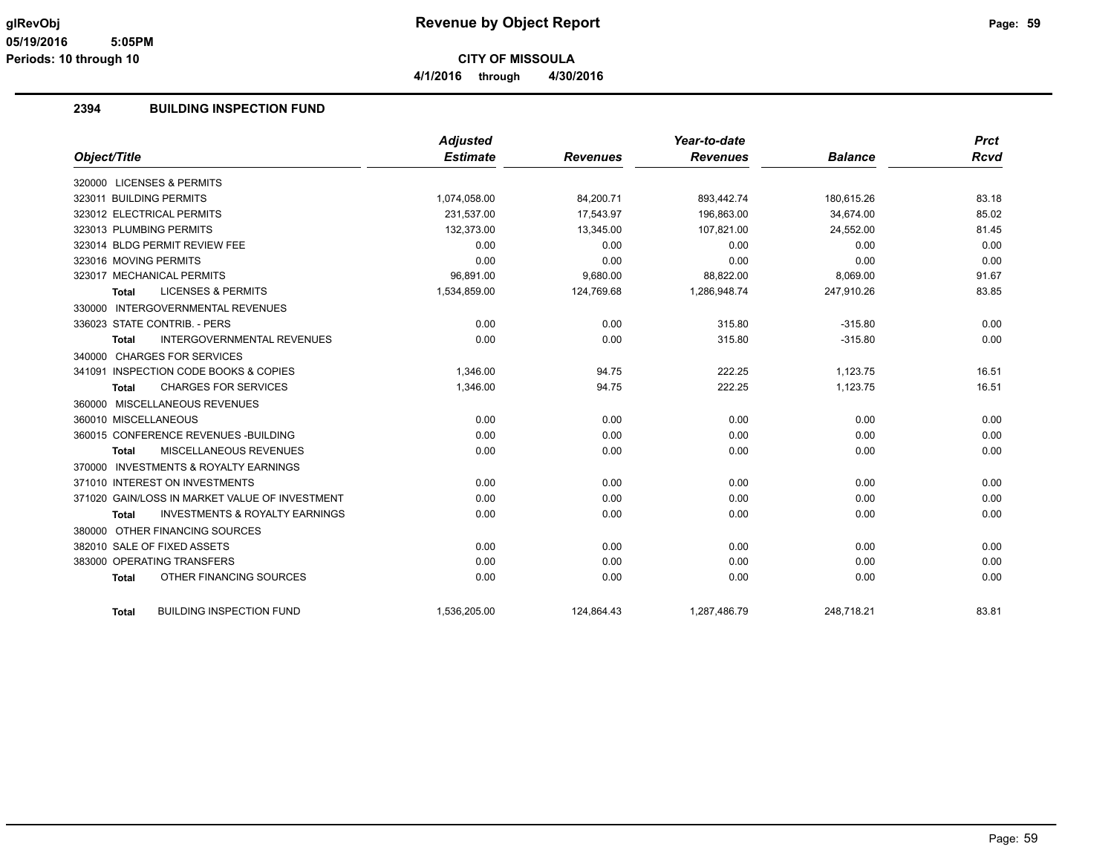**4/1/2016 through 4/30/2016**

#### **2394 BUILDING INSPECTION FUND**

|                                                    | <b>Adjusted</b> |                 | Year-to-date    |                | <b>Prct</b> |
|----------------------------------------------------|-----------------|-----------------|-----------------|----------------|-------------|
| Object/Title                                       | <b>Estimate</b> | <b>Revenues</b> | <b>Revenues</b> | <b>Balance</b> | Rcvd        |
| 320000 LICENSES & PERMITS                          |                 |                 |                 |                |             |
| 323011 BUILDING PERMITS                            | 1,074,058.00    | 84,200.71       | 893,442.74      | 180,615.26     | 83.18       |
| 323012 ELECTRICAL PERMITS                          | 231,537.00      | 17,543.97       | 196,863.00      | 34,674.00      | 85.02       |
| 323013 PLUMBING PERMITS                            | 132,373.00      | 13,345.00       | 107.821.00      | 24,552.00      | 81.45       |
| 323014 BLDG PERMIT REVIEW FEE                      | 0.00            | 0.00            | 0.00            | 0.00           | 0.00        |
| 323016 MOVING PERMITS                              | 0.00            | 0.00            | 0.00            | 0.00           | 0.00        |
| 323017 MECHANICAL PERMITS                          | 96,891.00       | 9,680.00        | 88,822.00       | 8,069.00       | 91.67       |
| <b>LICENSES &amp; PERMITS</b><br><b>Total</b>      | 1,534,859.00    | 124,769.68      | 1,286,948.74    | 247,910.26     | 83.85       |
| 330000 INTERGOVERNMENTAL REVENUES                  |                 |                 |                 |                |             |
| 336023 STATE CONTRIB. - PERS                       | 0.00            | 0.00            | 315.80          | $-315.80$      | 0.00        |
| INTERGOVERNMENTAL REVENUES<br><b>Total</b>         | 0.00            | 0.00            | 315.80          | $-315.80$      | 0.00        |
| 340000 CHARGES FOR SERVICES                        |                 |                 |                 |                |             |
| 341091 INSPECTION CODE BOOKS & COPIES              | 1.346.00        | 94.75           | 222.25          | 1.123.75       | 16.51       |
| <b>CHARGES FOR SERVICES</b><br><b>Total</b>        | 1,346.00        | 94.75           | 222.25          | 1,123.75       | 16.51       |
| 360000 MISCELLANEOUS REVENUES                      |                 |                 |                 |                |             |
| 360010 MISCELLANEOUS                               | 0.00            | 0.00            | 0.00            | 0.00           | 0.00        |
| 360015 CONFERENCE REVENUES - BUILDING              | 0.00            | 0.00            | 0.00            | 0.00           | 0.00        |
| MISCELLANEOUS REVENUES<br><b>Total</b>             | 0.00            | 0.00            | 0.00            | 0.00           | 0.00        |
| 370000 INVESTMENTS & ROYALTY EARNINGS              |                 |                 |                 |                |             |
| 371010 INTEREST ON INVESTMENTS                     | 0.00            | 0.00            | 0.00            | 0.00           | 0.00        |
| 371020 GAIN/LOSS IN MARKET VALUE OF INVESTMENT     | 0.00            | 0.00            | 0.00            | 0.00           | 0.00        |
| <b>INVESTMENTS &amp; ROYALTY EARNINGS</b><br>Total | 0.00            | 0.00            | 0.00            | 0.00           | 0.00        |
| 380000 OTHER FINANCING SOURCES                     |                 |                 |                 |                |             |
| 382010 SALE OF FIXED ASSETS                        | 0.00            | 0.00            | 0.00            | 0.00           | 0.00        |
| 383000 OPERATING TRANSFERS                         | 0.00            | 0.00            | 0.00            | 0.00           | 0.00        |
| OTHER FINANCING SOURCES<br><b>Total</b>            | 0.00            | 0.00            | 0.00            | 0.00           | 0.00        |
|                                                    |                 |                 |                 |                |             |
| <b>BUILDING INSPECTION FUND</b><br><b>Total</b>    | 1,536,205.00    | 124,864.43      | 1,287,486.79    | 248,718.21     | 83.81       |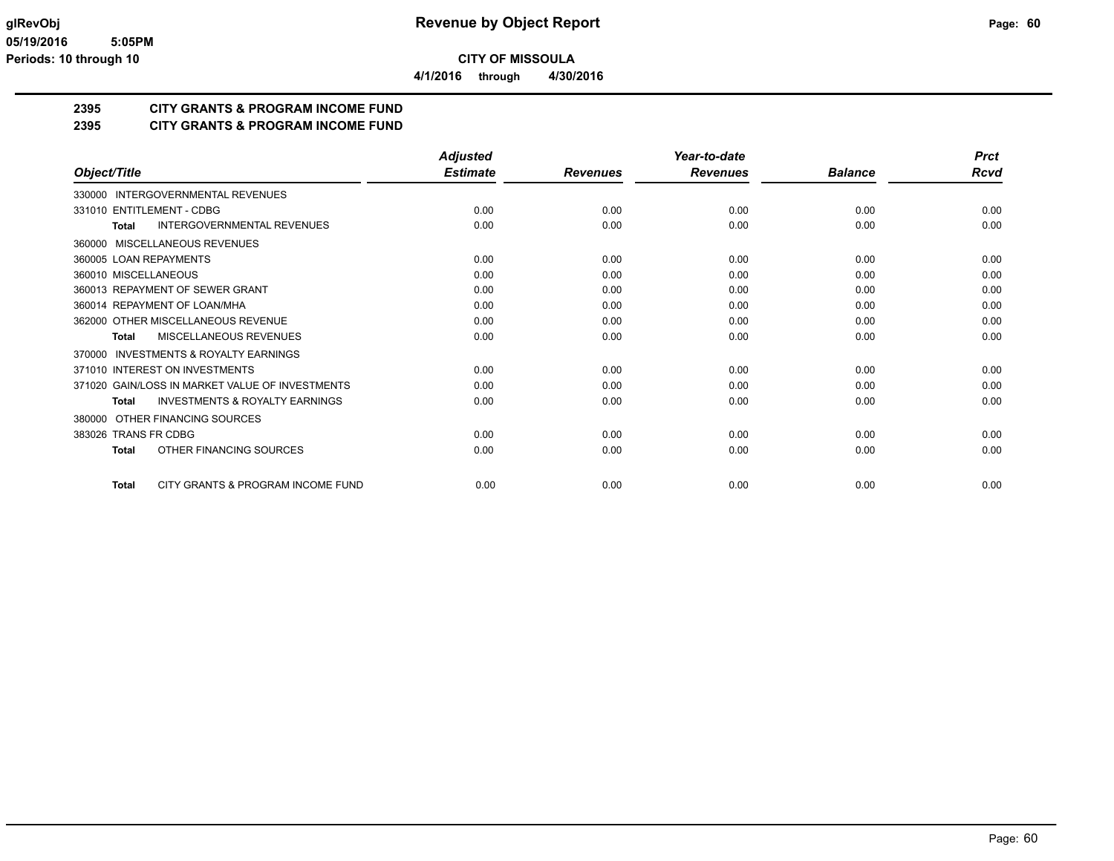**4/1/2016 through 4/30/2016**

### **2395 CITY GRANTS & PROGRAM INCOME FUND**

#### **2395 CITY GRANTS & PROGRAM INCOME FUND**

|                                                     | <b>Adjusted</b> |                 | Year-to-date    |                | <b>Prct</b> |
|-----------------------------------------------------|-----------------|-----------------|-----------------|----------------|-------------|
| Object/Title                                        | <b>Estimate</b> | <b>Revenues</b> | <b>Revenues</b> | <b>Balance</b> | Rcvd        |
| 330000 INTERGOVERNMENTAL REVENUES                   |                 |                 |                 |                |             |
| 331010 ENTITLEMENT - CDBG                           | 0.00            | 0.00            | 0.00            | 0.00           | 0.00        |
| <b>INTERGOVERNMENTAL REVENUES</b><br>Total          | 0.00            | 0.00            | 0.00            | 0.00           | 0.00        |
| 360000 MISCELLANEOUS REVENUES                       |                 |                 |                 |                |             |
| 360005 LOAN REPAYMENTS                              | 0.00            | 0.00            | 0.00            | 0.00           | 0.00        |
| 360010 MISCELLANEOUS                                | 0.00            | 0.00            | 0.00            | 0.00           | 0.00        |
| 360013 REPAYMENT OF SEWER GRANT                     | 0.00            | 0.00            | 0.00            | 0.00           | 0.00        |
| 360014 REPAYMENT OF LOAN/MHA                        | 0.00            | 0.00            | 0.00            | 0.00           | 0.00        |
| 362000 OTHER MISCELLANEOUS REVENUE                  | 0.00            | 0.00            | 0.00            | 0.00           | 0.00        |
| MISCELLANEOUS REVENUES<br>Total                     | 0.00            | 0.00            | 0.00            | 0.00           | 0.00        |
| <b>INVESTMENTS &amp; ROYALTY EARNINGS</b><br>370000 |                 |                 |                 |                |             |
| 371010 INTEREST ON INVESTMENTS                      | 0.00            | 0.00            | 0.00            | 0.00           | 0.00        |
| 371020 GAIN/LOSS IN MARKET VALUE OF INVESTMENTS     | 0.00            | 0.00            | 0.00            | 0.00           | 0.00        |
| <b>INVESTMENTS &amp; ROYALTY EARNINGS</b><br>Total  | 0.00            | 0.00            | 0.00            | 0.00           | 0.00        |
| OTHER FINANCING SOURCES<br>380000                   |                 |                 |                 |                |             |
| 383026 TRANS FR CDBG                                | 0.00            | 0.00            | 0.00            | 0.00           | 0.00        |
| OTHER FINANCING SOURCES<br><b>Total</b>             | 0.00            | 0.00            | 0.00            | 0.00           | 0.00        |
| CITY GRANTS & PROGRAM INCOME FUND<br><b>Total</b>   | 0.00            | 0.00            | 0.00            | 0.00           | 0.00        |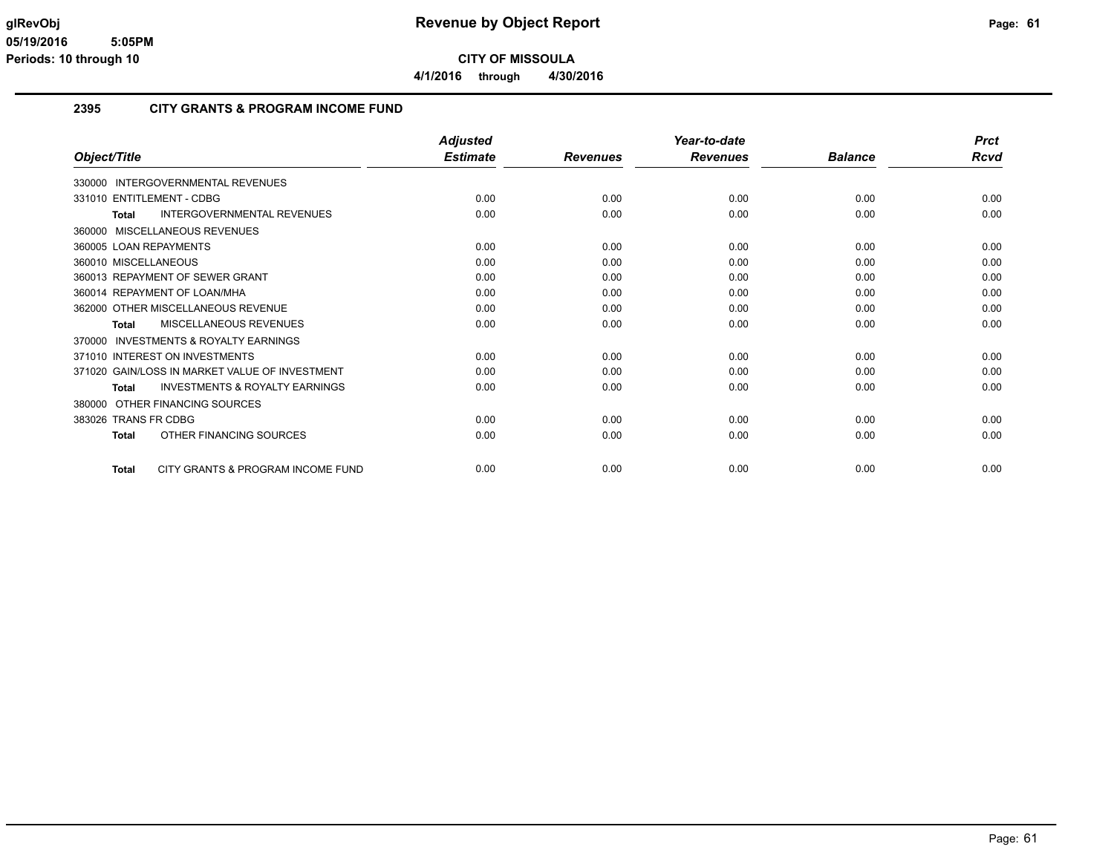**4/1/2016 through 4/30/2016**

#### **2395 CITY GRANTS & PROGRAM INCOME FUND**

|                                                     | <b>Adjusted</b> |                 | Year-to-date    |                | <b>Prct</b> |
|-----------------------------------------------------|-----------------|-----------------|-----------------|----------------|-------------|
| Object/Title                                        | <b>Estimate</b> | <b>Revenues</b> | <b>Revenues</b> | <b>Balance</b> | Rcvd        |
| 330000 INTERGOVERNMENTAL REVENUES                   |                 |                 |                 |                |             |
| 331010 ENTITLEMENT - CDBG                           | 0.00            | 0.00            | 0.00            | 0.00           | 0.00        |
| <b>INTERGOVERNMENTAL REVENUES</b><br>Total          | 0.00            | 0.00            | 0.00            | 0.00           | 0.00        |
| 360000 MISCELLANEOUS REVENUES                       |                 |                 |                 |                |             |
| 360005 LOAN REPAYMENTS                              | 0.00            | 0.00            | 0.00            | 0.00           | 0.00        |
| 360010 MISCELLANEOUS                                | 0.00            | 0.00            | 0.00            | 0.00           | 0.00        |
| 360013 REPAYMENT OF SEWER GRANT                     | 0.00            | 0.00            | 0.00            | 0.00           | 0.00        |
| 360014 REPAYMENT OF LOAN/MHA                        | 0.00            | 0.00            | 0.00            | 0.00           | 0.00        |
| 362000 OTHER MISCELLANEOUS REVENUE                  | 0.00            | 0.00            | 0.00            | 0.00           | 0.00        |
| MISCELLANEOUS REVENUES<br>Total                     | 0.00            | 0.00            | 0.00            | 0.00           | 0.00        |
| <b>INVESTMENTS &amp; ROYALTY EARNINGS</b><br>370000 |                 |                 |                 |                |             |
| 371010 INTEREST ON INVESTMENTS                      | 0.00            | 0.00            | 0.00            | 0.00           | 0.00        |
| 371020 GAIN/LOSS IN MARKET VALUE OF INVESTMENT      | 0.00            | 0.00            | 0.00            | 0.00           | 0.00        |
| <b>INVESTMENTS &amp; ROYALTY EARNINGS</b><br>Total  | 0.00            | 0.00            | 0.00            | 0.00           | 0.00        |
| 380000 OTHER FINANCING SOURCES                      |                 |                 |                 |                |             |
| 383026 TRANS FR CDBG                                | 0.00            | 0.00            | 0.00            | 0.00           | 0.00        |
| OTHER FINANCING SOURCES<br>Total                    | 0.00            | 0.00            | 0.00            | 0.00           | 0.00        |
| CITY GRANTS & PROGRAM INCOME FUND<br><b>Total</b>   | 0.00            | 0.00            | 0.00            | 0.00           | 0.00        |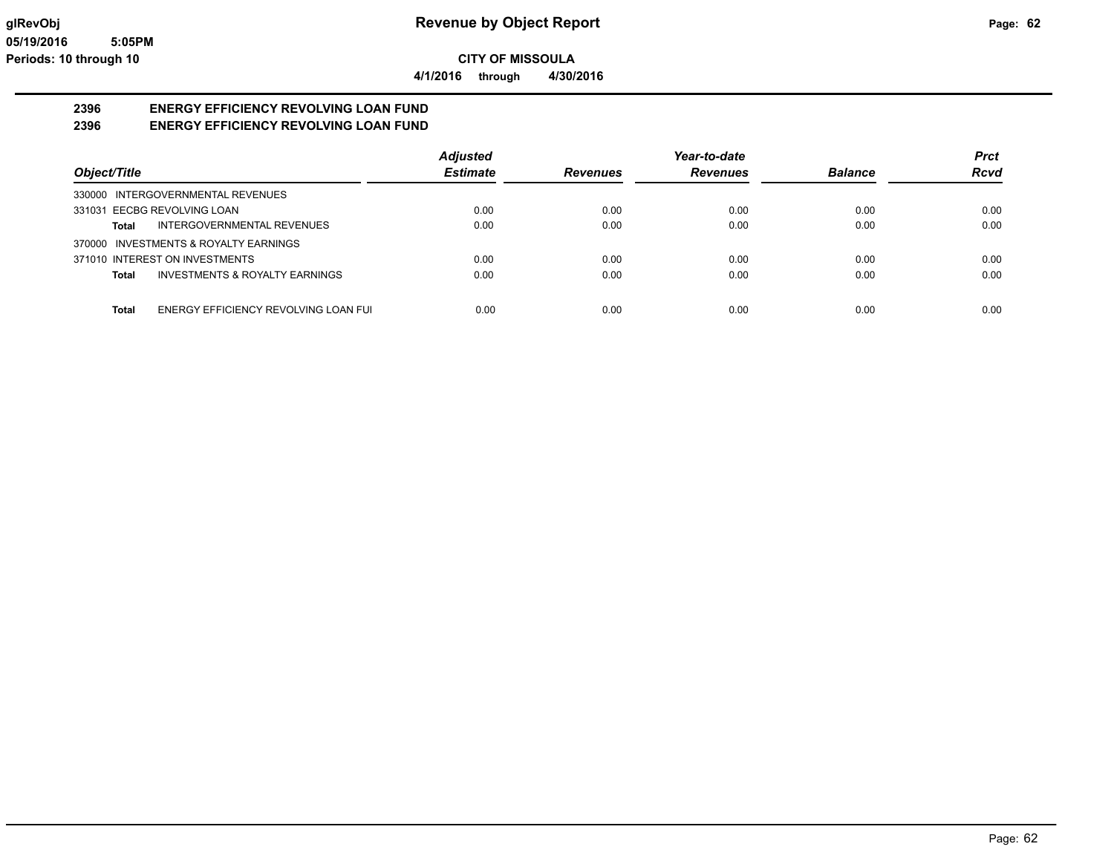**4/1/2016 through 4/30/2016**

# **2396 ENERGY EFFICIENCY REVOLVING LOAN FUND**

**2396 ENERGY EFFICIENCY REVOLVING LOAN FUND**

|                                               | <b>Adjusted</b> |                 | Year-to-date    |                | <b>Prct</b> |
|-----------------------------------------------|-----------------|-----------------|-----------------|----------------|-------------|
| Object/Title                                  | <b>Estimate</b> | <b>Revenues</b> | <b>Revenues</b> | <b>Balance</b> | <b>Rcvd</b> |
| 330000 INTERGOVERNMENTAL REVENUES             |                 |                 |                 |                |             |
| 331031 EECBG REVOLVING LOAN                   | 0.00            | 0.00            | 0.00            | 0.00           | 0.00        |
| INTERGOVERNMENTAL REVENUES<br>Total           | 0.00            | 0.00            | 0.00            | 0.00           | 0.00        |
| 370000 INVESTMENTS & ROYALTY EARNINGS         |                 |                 |                 |                |             |
| 371010 INTEREST ON INVESTMENTS                | 0.00            | 0.00            | 0.00            | 0.00           | 0.00        |
| INVESTMENTS & ROYALTY EARNINGS<br>Total       | 0.00            | 0.00            | 0.00            | 0.00           | 0.00        |
|                                               |                 |                 |                 |                |             |
| Total<br>ENERGY EFFICIENCY REVOLVING LOAN FUI | 0.00            | 0.00            | 0.00            | 0.00           | 0.00        |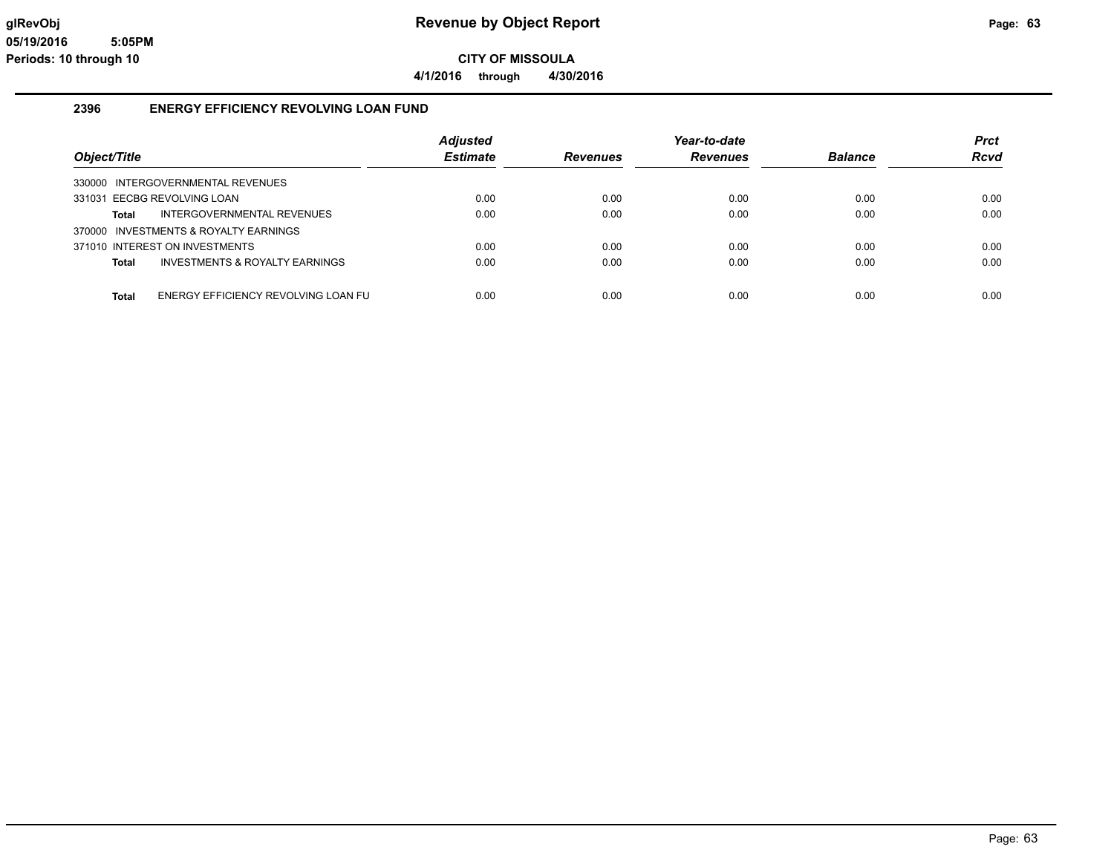**4/1/2016 through 4/30/2016**

#### **2396 ENERGY EFFICIENCY REVOLVING LOAN FUND**

| Object/Title                                        | Adjusted<br><b>Estimate</b> | <b>Revenues</b> | Year-to-date<br><b>Revenues</b> | <b>Balance</b> | <b>Prct</b><br><b>Rcvd</b> |
|-----------------------------------------------------|-----------------------------|-----------------|---------------------------------|----------------|----------------------------|
| 330000 INTERGOVERNMENTAL REVENUES                   |                             |                 |                                 |                |                            |
| 331031 EECBG REVOLVING LOAN                         | 0.00                        | 0.00            | 0.00                            | 0.00           | 0.00                       |
| INTERGOVERNMENTAL REVENUES<br>Total                 | 0.00                        | 0.00            | 0.00                            | 0.00           | 0.00                       |
| 370000 INVESTMENTS & ROYALTY EARNINGS               |                             |                 |                                 |                |                            |
| 371010 INTEREST ON INVESTMENTS                      | 0.00                        | 0.00            | 0.00                            | 0.00           | 0.00                       |
| INVESTMENTS & ROYALTY EARNINGS<br><b>Total</b>      | 0.00                        | 0.00            | 0.00                            | 0.00           | 0.00                       |
|                                                     |                             |                 |                                 |                |                            |
| ENERGY EFFICIENCY REVOLVING LOAN FU<br><b>Total</b> | 0.00                        | 0.00            | 0.00                            | 0.00           | 0.00                       |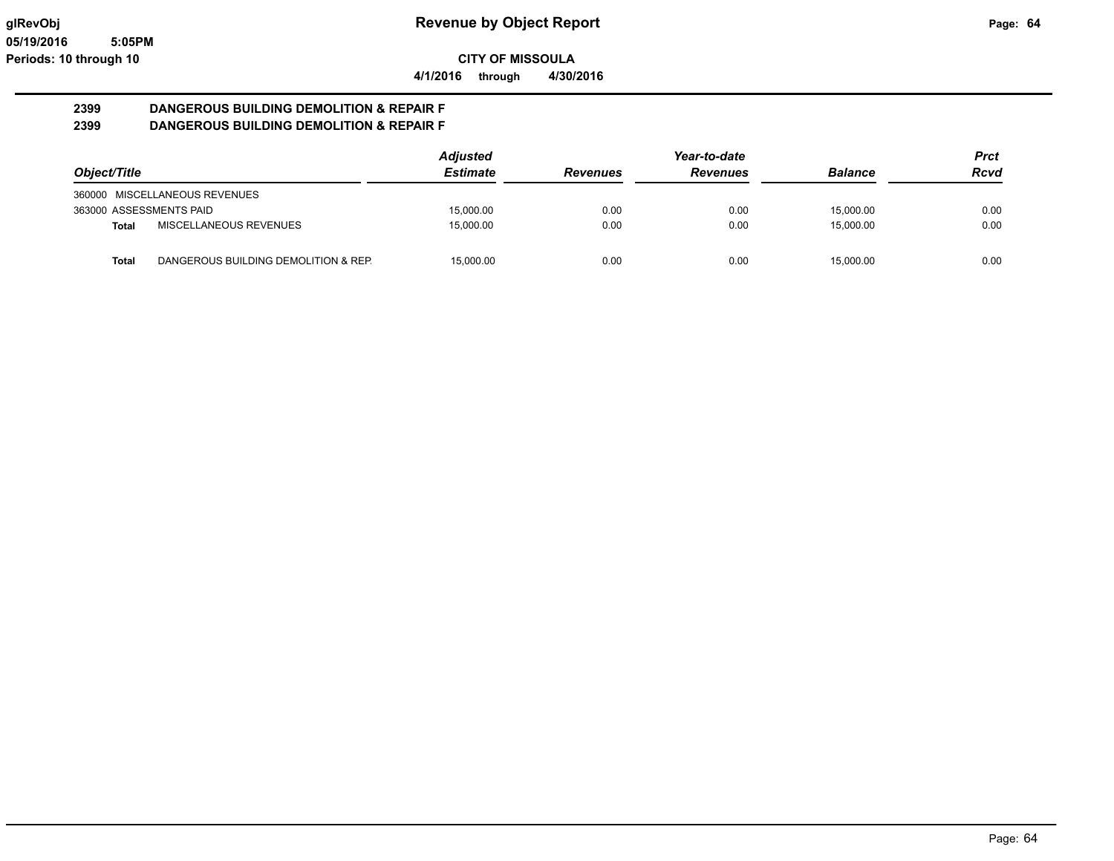**CITY OF MISSOULA 4/1/2016 through 4/30/2016**

# **2399 DANGEROUS BUILDING DEMOLITION & REPAIR F**

**2399 DANGEROUS BUILDING DEMOLITION & REPAIR F**

|                                                      | <b>Adjusted</b> | Year-to-date    |                 |                | Prct |
|------------------------------------------------------|-----------------|-----------------|-----------------|----------------|------|
| Object/Title                                         | <b>Estimate</b> | <b>Revenues</b> | <b>Revenues</b> | <b>Balance</b> | Rcvd |
| 360000 MISCELLANEOUS REVENUES                        |                 |                 |                 |                |      |
| 363000 ASSESSMENTS PAID                              | 15.000.00       | 0.00            | 0.00            | 15,000.00      | 0.00 |
| MISCELLANEOUS REVENUES<br>Total                      | 15.000.00       | 0.00            | 0.00            | 15,000.00      | 0.00 |
| DANGEROUS BUILDING DEMOLITION & REP.<br><b>Total</b> | 15.000.00       | 0.00            | 0.00            | 15.000.00      | 0.00 |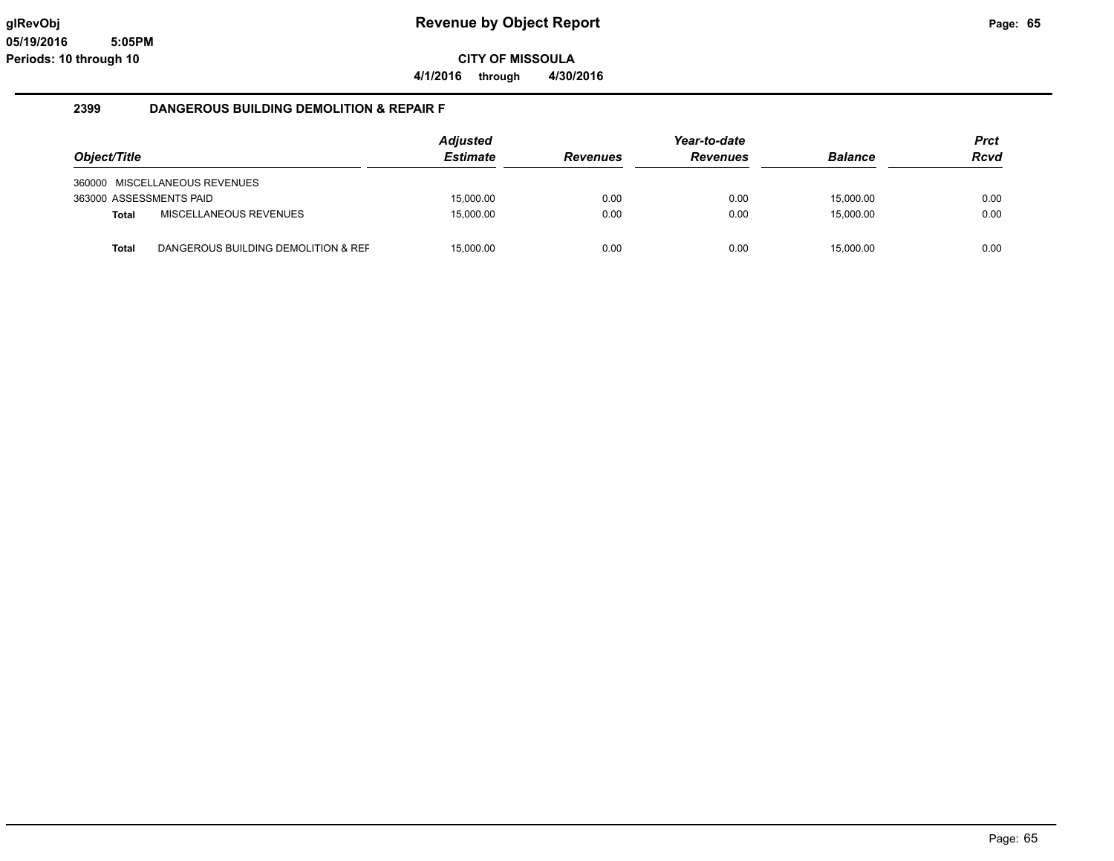**4/1/2016 through 4/30/2016**

#### **2399 DANGEROUS BUILDING DEMOLITION & REPAIR F**

| Object/Title            |                                     | <b>Adjusted</b><br><b>Estimate</b> | <b>Revenues</b> | Year-to-date<br><b>Revenues</b> | <b>Balance</b> | <b>Prct</b><br><b>Rcvd</b> |
|-------------------------|-------------------------------------|------------------------------------|-----------------|---------------------------------|----------------|----------------------------|
|                         | 360000 MISCELLANEOUS REVENUES       |                                    |                 |                                 |                |                            |
| 363000 ASSESSMENTS PAID |                                     | 15,000.00                          | 0.00            | 0.00                            | 15,000.00      | 0.00                       |
| <b>Total</b>            | MISCELLANEOUS REVENUES              | 15.000.00                          | 0.00            | 0.00                            | 15,000.00      | 0.00                       |
| <b>Total</b>            | DANGEROUS BUILDING DEMOLITION & REF | 15.000.00                          | 0.00            | 0.00                            | 15.000.00      | 0.00                       |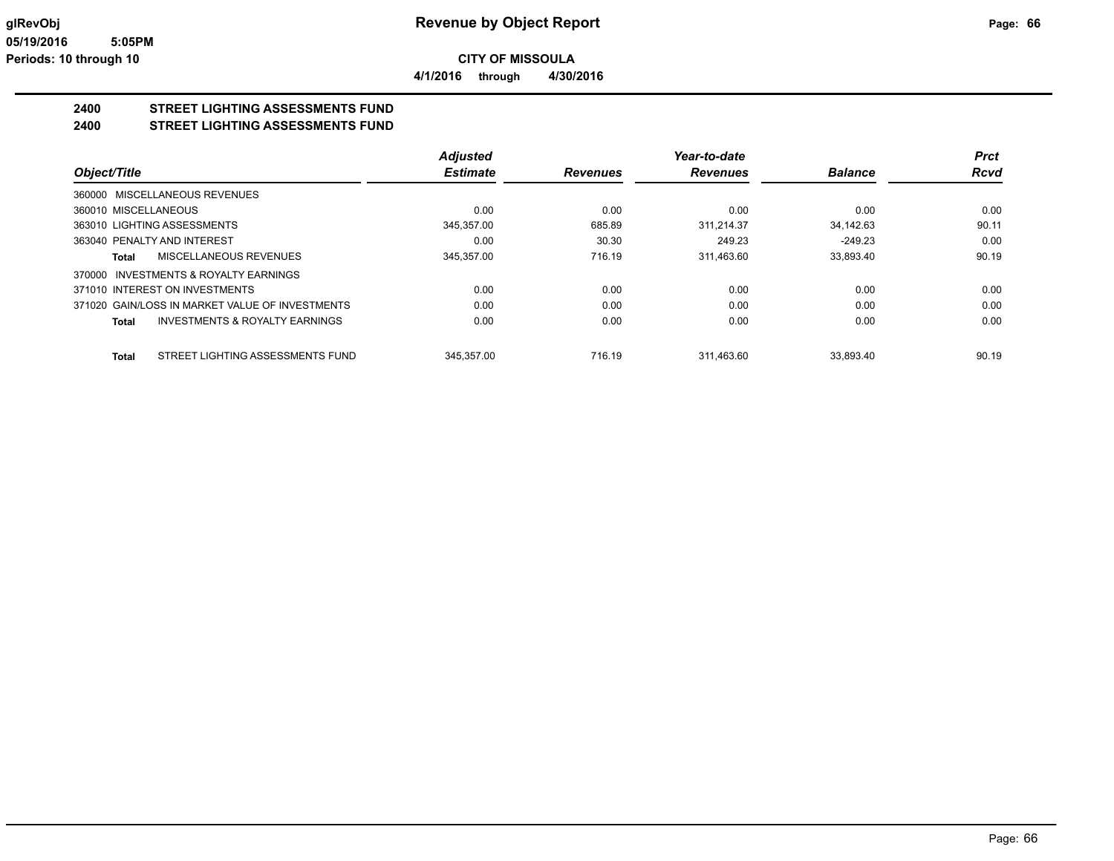**4/1/2016 through 4/30/2016**

#### **2400 STREET LIGHTING ASSESSMENTS FUND**

**2400 STREET LIGHTING ASSESSMENTS FUND**

|                                                           | <b>Adjusted</b> |                 | Year-to-date    |                | Prct        |
|-----------------------------------------------------------|-----------------|-----------------|-----------------|----------------|-------------|
| Object/Title                                              | <b>Estimate</b> | <b>Revenues</b> | <b>Revenues</b> | <b>Balance</b> | <b>Rcvd</b> |
| 360000 MISCELLANEOUS REVENUES                             |                 |                 |                 |                |             |
| 360010 MISCELLANEOUS                                      | 0.00            | 0.00            | 0.00            | 0.00           | 0.00        |
| 363010 LIGHTING ASSESSMENTS                               | 345.357.00      | 685.89          | 311.214.37      | 34.142.63      | 90.11       |
| 363040 PENALTY AND INTEREST                               | 0.00            | 30.30           | 249.23          | $-249.23$      | 0.00        |
| MISCELLANEOUS REVENUES<br>Total                           | 345,357.00      | 716.19          | 311,463.60      | 33,893.40      | 90.19       |
| 370000 INVESTMENTS & ROYALTY EARNINGS                     |                 |                 |                 |                |             |
| 371010 INTEREST ON INVESTMENTS                            | 0.00            | 0.00            | 0.00            | 0.00           | 0.00        |
| 371020 GAIN/LOSS IN MARKET VALUE OF INVESTMENTS           | 0.00            | 0.00            | 0.00            | 0.00           | 0.00        |
| <b>INVESTMENTS &amp; ROYALTY EARNINGS</b><br><b>Total</b> | 0.00            | 0.00            | 0.00            | 0.00           | 0.00        |
| STREET LIGHTING ASSESSMENTS FUND<br><b>Total</b>          | 345.357.00      | 716.19          | 311.463.60      | 33.893.40      | 90.19       |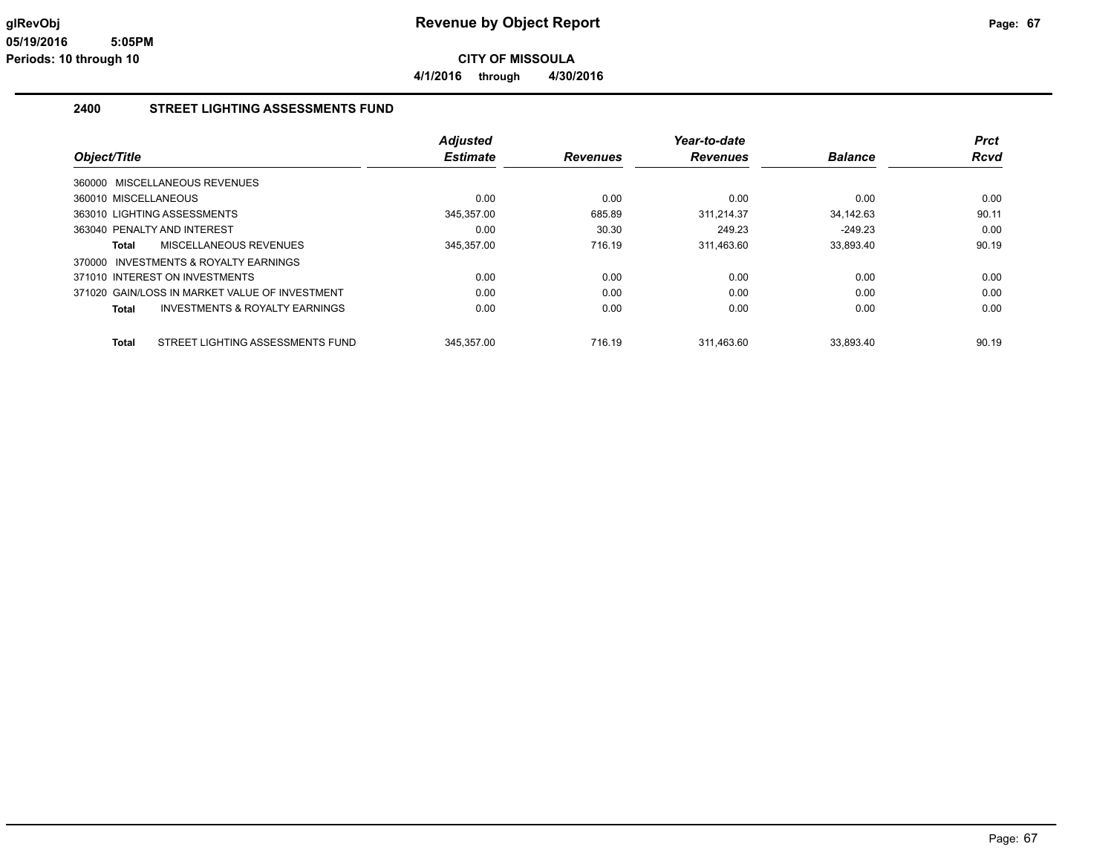**4/1/2016 through 4/30/2016**

#### **2400 STREET LIGHTING ASSESSMENTS FUND**

|                                                  | <b>Adjusted</b> |                 | Year-to-date    |                | <b>Prct</b> |
|--------------------------------------------------|-----------------|-----------------|-----------------|----------------|-------------|
| Object/Title                                     | <b>Estimate</b> | <b>Revenues</b> | <b>Revenues</b> | <b>Balance</b> | <b>Rcvd</b> |
| 360000 MISCELLANEOUS REVENUES                    |                 |                 |                 |                |             |
| 360010 MISCELLANEOUS                             | 0.00            | 0.00            | 0.00            | 0.00           | 0.00        |
| 363010 LIGHTING ASSESSMENTS                      | 345,357.00      | 685.89          | 311.214.37      | 34.142.63      | 90.11       |
| 363040 PENALTY AND INTEREST                      | 0.00            | 30.30           | 249.23          | $-249.23$      | 0.00        |
| MISCELLANEOUS REVENUES<br>Total                  | 345,357.00      | 716.19          | 311,463.60      | 33,893.40      | 90.19       |
| 370000 INVESTMENTS & ROYALTY EARNINGS            |                 |                 |                 |                |             |
| 371010 INTEREST ON INVESTMENTS                   | 0.00            | 0.00            | 0.00            | 0.00           | 0.00        |
| 371020 GAIN/LOSS IN MARKET VALUE OF INVESTMENT   | 0.00            | 0.00            | 0.00            | 0.00           | 0.00        |
| INVESTMENTS & ROYALTY EARNINGS<br>Total          | 0.00            | 0.00            | 0.00            | 0.00           | 0.00        |
| STREET LIGHTING ASSESSMENTS FUND<br><b>Total</b> | 345.357.00      | 716.19          | 311.463.60      | 33.893.40      | 90.19       |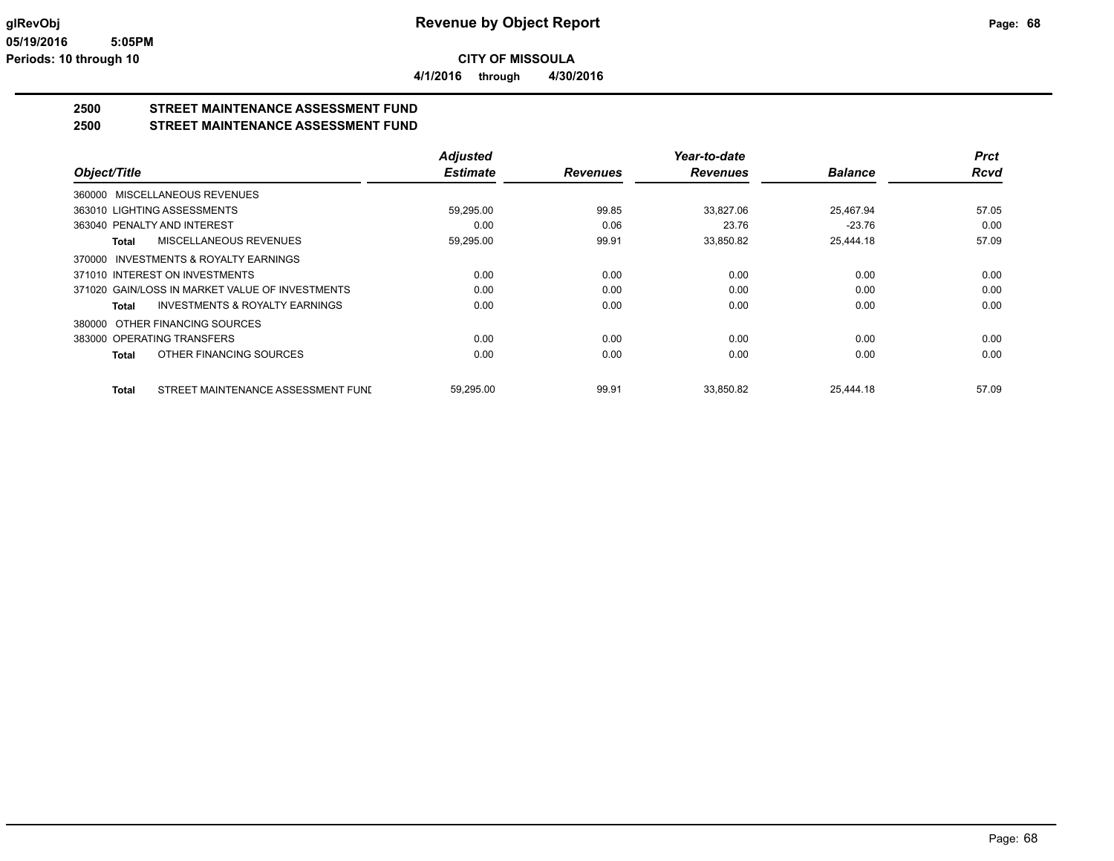**4/1/2016 through 4/30/2016**

# **2500 STREET MAINTENANCE ASSESSMENT FUND**

**2500 STREET MAINTENANCE ASSESSMENT FUND**

|                                                    | <b>Adjusted</b> |                 | Year-to-date    |                | <b>Prct</b> |
|----------------------------------------------------|-----------------|-----------------|-----------------|----------------|-------------|
| Object/Title                                       | <b>Estimate</b> | <b>Revenues</b> | <b>Revenues</b> | <b>Balance</b> | <b>Rcvd</b> |
| 360000 MISCELLANEOUS REVENUES                      |                 |                 |                 |                |             |
| 363010 LIGHTING ASSESSMENTS                        | 59,295.00       | 99.85           | 33,827.06       | 25,467.94      | 57.05       |
| 363040 PENALTY AND INTEREST                        | 0.00            | 0.06            | 23.76           | $-23.76$       | 0.00        |
| MISCELLANEOUS REVENUES<br><b>Total</b>             | 59,295.00       | 99.91           | 33,850.82       | 25,444.18      | 57.09       |
| INVESTMENTS & ROYALTY EARNINGS<br>370000           |                 |                 |                 |                |             |
| 371010 INTEREST ON INVESTMENTS                     | 0.00            | 0.00            | 0.00            | 0.00           | 0.00        |
| 371020 GAIN/LOSS IN MARKET VALUE OF INVESTMENTS    | 0.00            | 0.00            | 0.00            | 0.00           | 0.00        |
| <b>INVESTMENTS &amp; ROYALTY EARNINGS</b><br>Total | 0.00            | 0.00            | 0.00            | 0.00           | 0.00        |
| OTHER FINANCING SOURCES<br>380000                  |                 |                 |                 |                |             |
| 383000 OPERATING TRANSFERS                         | 0.00            | 0.00            | 0.00            | 0.00           | 0.00        |
| OTHER FINANCING SOURCES<br><b>Total</b>            | 0.00            | 0.00            | 0.00            | 0.00           | 0.00        |
| STREET MAINTENANCE ASSESSMENT FUND<br><b>Total</b> | 59,295.00       | 99.91           | 33.850.82       | 25.444.18      | 57.09       |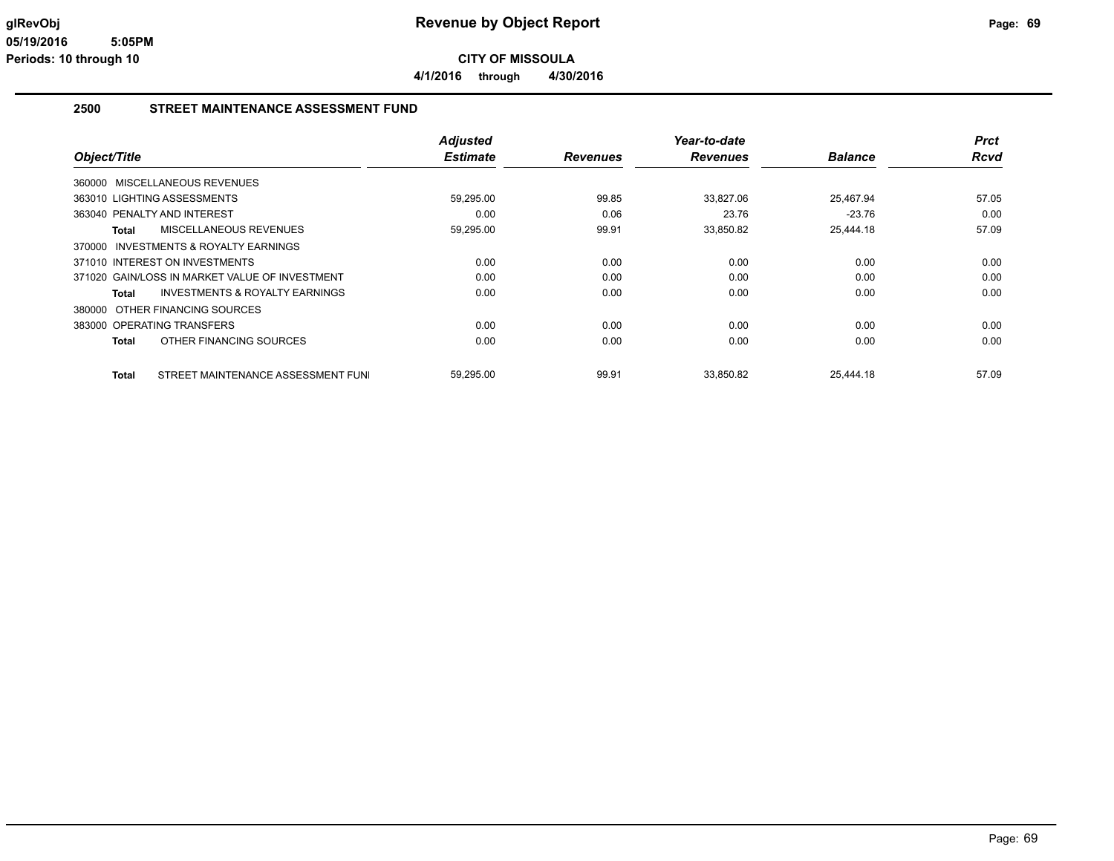**4/1/2016 through 4/30/2016**

#### **2500 STREET MAINTENANCE ASSESSMENT FUND**

|                                                    | <b>Adjusted</b> |                 | Year-to-date    |                | <b>Prct</b> |
|----------------------------------------------------|-----------------|-----------------|-----------------|----------------|-------------|
| Object/Title                                       | <b>Estimate</b> | <b>Revenues</b> | <b>Revenues</b> | <b>Balance</b> | Rcvd        |
| 360000 MISCELLANEOUS REVENUES                      |                 |                 |                 |                |             |
| 363010 LIGHTING ASSESSMENTS                        | 59,295.00       | 99.85           | 33.827.06       | 25.467.94      | 57.05       |
| 363040 PENALTY AND INTEREST                        | 0.00            | 0.06            | 23.76           | $-23.76$       | 0.00        |
| MISCELLANEOUS REVENUES<br><b>Total</b>             | 59,295.00       | 99.91           | 33,850.82       | 25,444.18      | 57.09       |
| 370000 INVESTMENTS & ROYALTY EARNINGS              |                 |                 |                 |                |             |
| 371010 INTEREST ON INVESTMENTS                     | 0.00            | 0.00            | 0.00            | 0.00           | 0.00        |
| 371020 GAIN/LOSS IN MARKET VALUE OF INVESTMENT     | 0.00            | 0.00            | 0.00            | 0.00           | 0.00        |
| <b>INVESTMENTS &amp; ROYALTY EARNINGS</b><br>Total | 0.00            | 0.00            | 0.00            | 0.00           | 0.00        |
| OTHER FINANCING SOURCES<br>380000                  |                 |                 |                 |                |             |
| 383000 OPERATING TRANSFERS                         | 0.00            | 0.00            | 0.00            | 0.00           | 0.00        |
| OTHER FINANCING SOURCES<br><b>Total</b>            | 0.00            | 0.00            | 0.00            | 0.00           | 0.00        |
| STREET MAINTENANCE ASSESSMENT FUNI<br><b>Total</b> | 59,295.00       | 99.91           | 33,850.82       | 25,444.18      | 57.09       |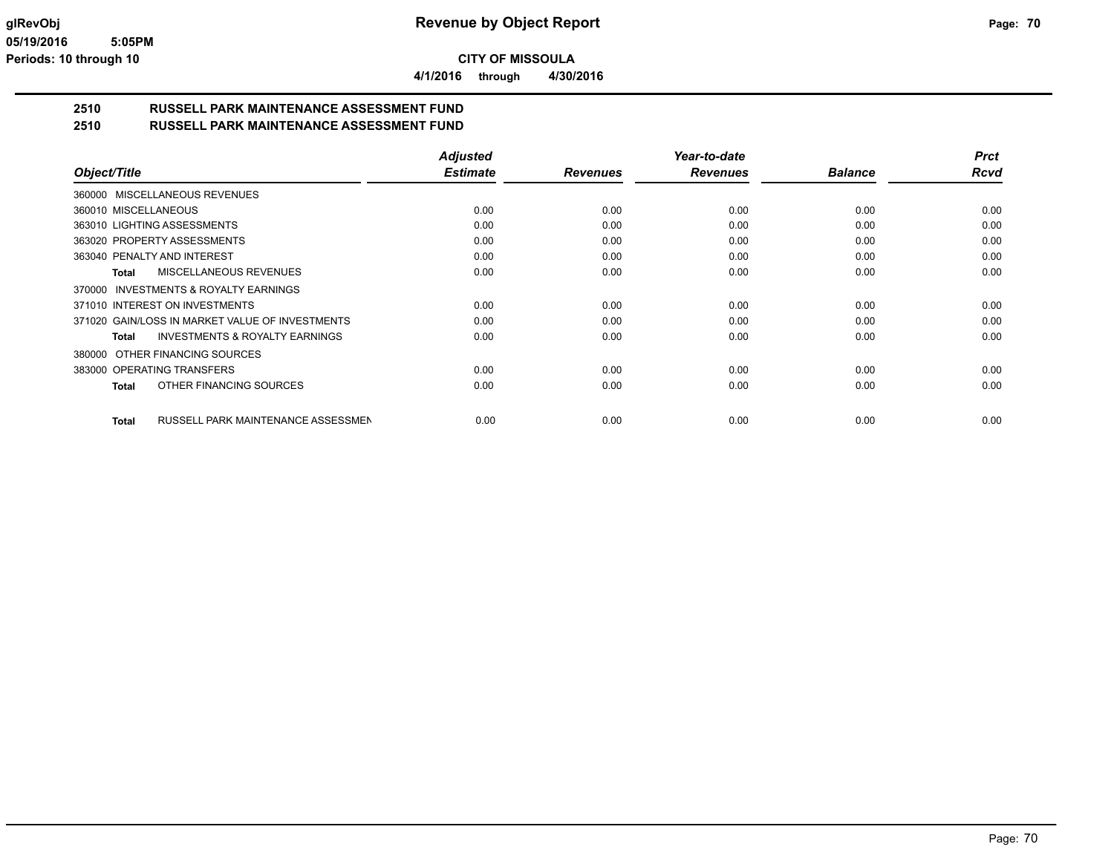**4/1/2016 through 4/30/2016**

# **2510 RUSSELL PARK MAINTENANCE ASSESSMENT FUND**

**2510 RUSSELL PARK MAINTENANCE ASSESSMENT FUND**

|                                                           | <b>Adjusted</b> |                 | Year-to-date    |                | <b>Prct</b> |
|-----------------------------------------------------------|-----------------|-----------------|-----------------|----------------|-------------|
| Object/Title                                              | <b>Estimate</b> | <b>Revenues</b> | <b>Revenues</b> | <b>Balance</b> | <b>Rcvd</b> |
| 360000 MISCELLANEOUS REVENUES                             |                 |                 |                 |                |             |
| 360010 MISCELLANEOUS                                      | 0.00            | 0.00            | 0.00            | 0.00           | 0.00        |
| 363010 LIGHTING ASSESSMENTS                               | 0.00            | 0.00            | 0.00            | 0.00           | 0.00        |
| 363020 PROPERTY ASSESSMENTS                               | 0.00            | 0.00            | 0.00            | 0.00           | 0.00        |
| 363040 PENALTY AND INTEREST                               | 0.00            | 0.00            | 0.00            | 0.00           | 0.00        |
| <b>MISCELLANEOUS REVENUES</b><br><b>Total</b>             | 0.00            | 0.00            | 0.00            | 0.00           | 0.00        |
| INVESTMENTS & ROYALTY EARNINGS<br>370000                  |                 |                 |                 |                |             |
| 371010 INTEREST ON INVESTMENTS                            | 0.00            | 0.00            | 0.00            | 0.00           | 0.00        |
| 371020 GAIN/LOSS IN MARKET VALUE OF INVESTMENTS           | 0.00            | 0.00            | 0.00            | 0.00           | 0.00        |
| <b>INVESTMENTS &amp; ROYALTY EARNINGS</b><br><b>Total</b> | 0.00            | 0.00            | 0.00            | 0.00           | 0.00        |
| OTHER FINANCING SOURCES<br>380000                         |                 |                 |                 |                |             |
| 383000 OPERATING TRANSFERS                                | 0.00            | 0.00            | 0.00            | 0.00           | 0.00        |
| OTHER FINANCING SOURCES<br><b>Total</b>                   | 0.00            | 0.00            | 0.00            | 0.00           | 0.00        |
|                                                           |                 |                 |                 |                |             |
| RUSSELL PARK MAINTENANCE ASSESSMEN<br><b>Total</b>        | 0.00            | 0.00            | 0.00            | 0.00           | 0.00        |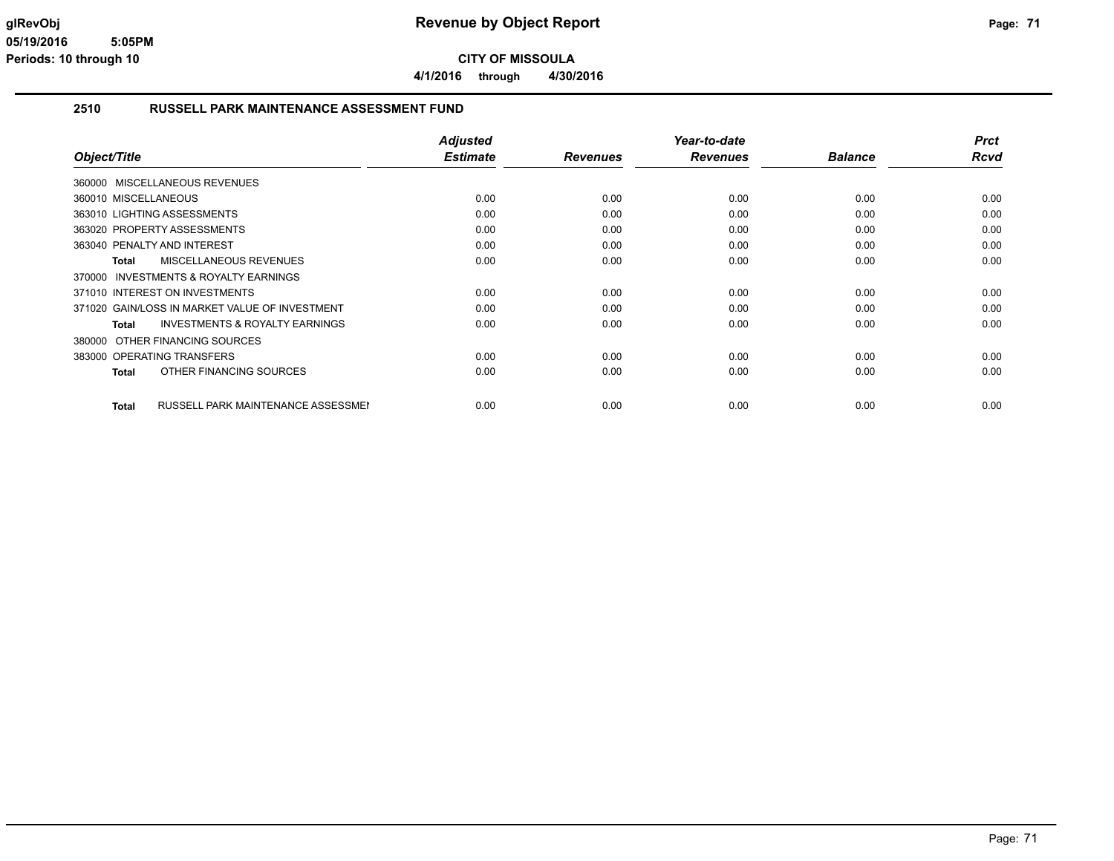**4/1/2016 through 4/30/2016**

#### **2510 RUSSELL PARK MAINTENANCE ASSESSMENT FUND**

| Object/Title                                              | <b>Adjusted</b><br><b>Estimate</b> | <b>Revenues</b> | Year-to-date<br><b>Revenues</b> | <b>Balance</b> | <b>Prct</b><br><b>Rcvd</b> |
|-----------------------------------------------------------|------------------------------------|-----------------|---------------------------------|----------------|----------------------------|
|                                                           |                                    |                 |                                 |                |                            |
| 360000 MISCELLANEOUS REVENUES                             |                                    |                 |                                 |                |                            |
| 360010 MISCELLANEOUS                                      | 0.00                               | 0.00            | 0.00                            | 0.00           | 0.00                       |
| 363010 LIGHTING ASSESSMENTS                               | 0.00                               | 0.00            | 0.00                            | 0.00           | 0.00                       |
| 363020 PROPERTY ASSESSMENTS                               | 0.00                               | 0.00            | 0.00                            | 0.00           | 0.00                       |
| 363040 PENALTY AND INTEREST                               | 0.00                               | 0.00            | 0.00                            | 0.00           | 0.00                       |
| MISCELLANEOUS REVENUES<br><b>Total</b>                    | 0.00                               | 0.00            | 0.00                            | 0.00           | 0.00                       |
| 370000 INVESTMENTS & ROYALTY EARNINGS                     |                                    |                 |                                 |                |                            |
| 371010 INTEREST ON INVESTMENTS                            | 0.00                               | 0.00            | 0.00                            | 0.00           | 0.00                       |
| 371020 GAIN/LOSS IN MARKET VALUE OF INVESTMENT            | 0.00                               | 0.00            | 0.00                            | 0.00           | 0.00                       |
| <b>INVESTMENTS &amp; ROYALTY EARNINGS</b><br>Total        | 0.00                               | 0.00            | 0.00                            | 0.00           | 0.00                       |
| OTHER FINANCING SOURCES<br>380000                         |                                    |                 |                                 |                |                            |
| 383000 OPERATING TRANSFERS                                | 0.00                               | 0.00            | 0.00                            | 0.00           | 0.00                       |
| OTHER FINANCING SOURCES<br><b>Total</b>                   | 0.00                               | 0.00            | 0.00                            | 0.00           | 0.00                       |
|                                                           |                                    |                 |                                 |                |                            |
| <b>RUSSELL PARK MAINTENANCE ASSESSMEN</b><br><b>Total</b> | 0.00                               | 0.00            | 0.00                            | 0.00           | 0.00                       |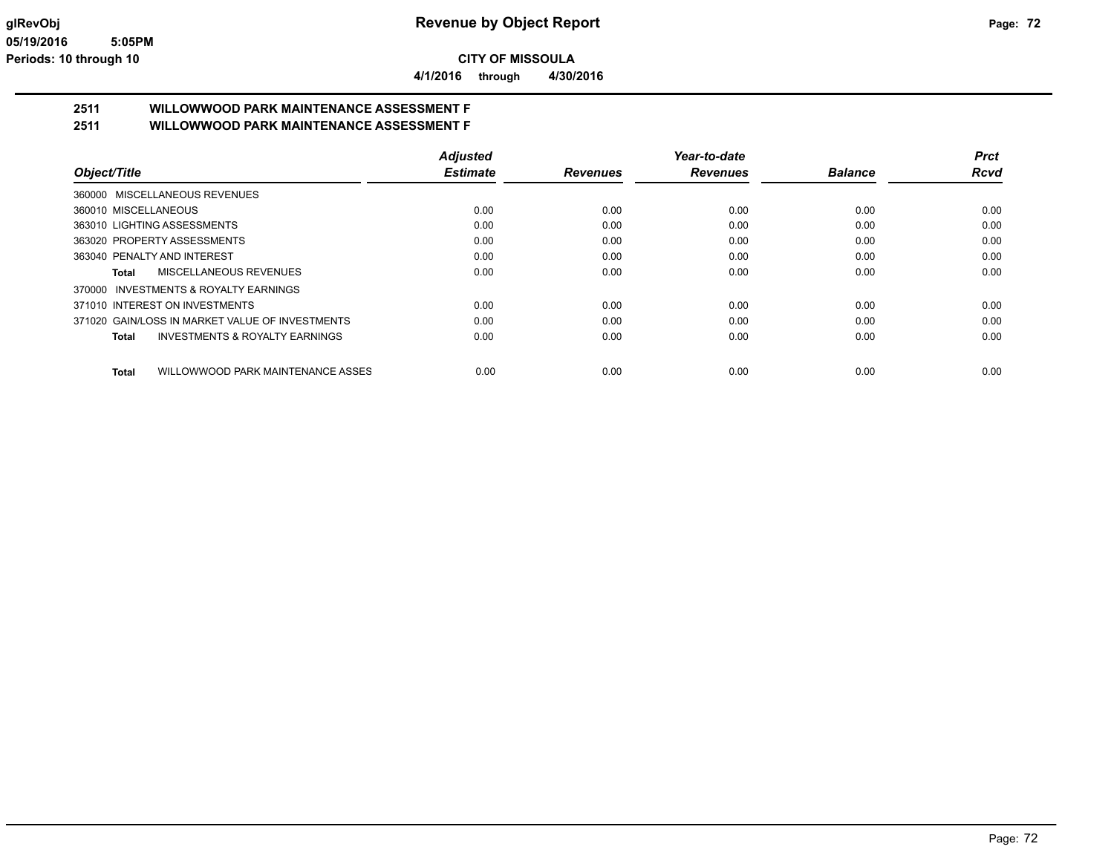**4/1/2016 through 4/30/2016**

# **2511 WILLOWWOOD PARK MAINTENANCE ASSESSMENT F**

**2511 WILLOWWOOD PARK MAINTENANCE ASSESSMENT F**

|                                                   | <b>Adjusted</b> |                 | Year-to-date    |                | <b>Prct</b> |
|---------------------------------------------------|-----------------|-----------------|-----------------|----------------|-------------|
| Object/Title                                      | <b>Estimate</b> | <b>Revenues</b> | <b>Revenues</b> | <b>Balance</b> | <b>Rcvd</b> |
| 360000 MISCELLANEOUS REVENUES                     |                 |                 |                 |                |             |
| 360010 MISCELLANEOUS                              | 0.00            | 0.00            | 0.00            | 0.00           | 0.00        |
| 363010 LIGHTING ASSESSMENTS                       | 0.00            | 0.00            | 0.00            | 0.00           | 0.00        |
| 363020 PROPERTY ASSESSMENTS                       | 0.00            | 0.00            | 0.00            | 0.00           | 0.00        |
| 363040 PENALTY AND INTEREST                       | 0.00            | 0.00            | 0.00            | 0.00           | 0.00        |
| MISCELLANEOUS REVENUES<br>Total                   | 0.00            | 0.00            | 0.00            | 0.00           | 0.00        |
| INVESTMENTS & ROYALTY EARNINGS<br>370000          |                 |                 |                 |                |             |
| 371010 INTEREST ON INVESTMENTS                    | 0.00            | 0.00            | 0.00            | 0.00           | 0.00        |
| 371020 GAIN/LOSS IN MARKET VALUE OF INVESTMENTS   | 0.00            | 0.00            | 0.00            | 0.00           | 0.00        |
| INVESTMENTS & ROYALTY EARNINGS<br><b>Total</b>    | 0.00            | 0.00            | 0.00            | 0.00           | 0.00        |
| WILLOWWOOD PARK MAINTENANCE ASSES<br><b>Total</b> | 0.00            | 0.00            | 0.00            | 0.00           | 0.00        |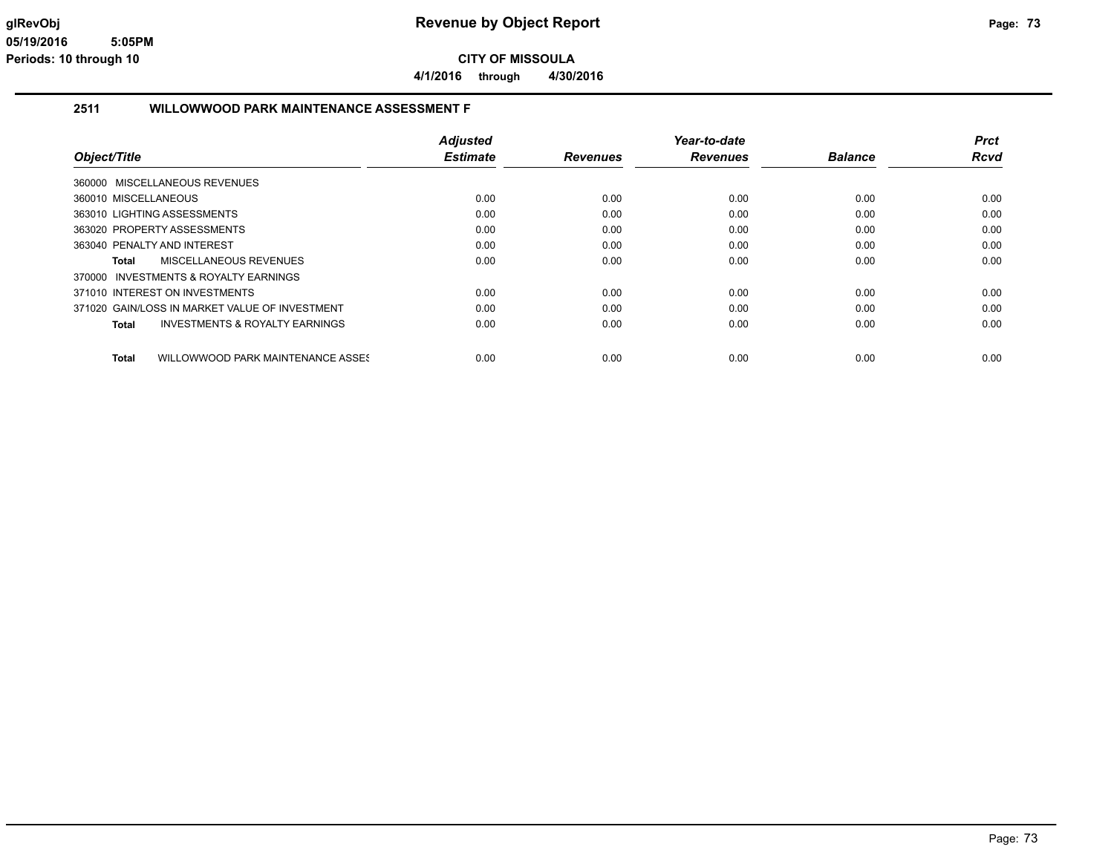**4/1/2016 through 4/30/2016**

#### **2511 WILLOWWOOD PARK MAINTENANCE ASSESSMENT F**

|                                                    | <b>Adjusted</b> |                 | Year-to-date    |                | <b>Prct</b> |
|----------------------------------------------------|-----------------|-----------------|-----------------|----------------|-------------|
| Object/Title                                       | <b>Estimate</b> | <b>Revenues</b> | <b>Revenues</b> | <b>Balance</b> | Rcvd        |
| 360000 MISCELLANEOUS REVENUES                      |                 |                 |                 |                |             |
| 360010 MISCELLANEOUS                               | 0.00            | 0.00            | 0.00            | 0.00           | 0.00        |
| 363010 LIGHTING ASSESSMENTS                        | 0.00            | 0.00            | 0.00            | 0.00           | 0.00        |
| 363020 PROPERTY ASSESSMENTS                        | 0.00            | 0.00            | 0.00            | 0.00           | 0.00        |
| 363040 PENALTY AND INTEREST                        | 0.00            | 0.00            | 0.00            | 0.00           | 0.00        |
| MISCELLANEOUS REVENUES<br>Total                    | 0.00            | 0.00            | 0.00            | 0.00           | 0.00        |
| INVESTMENTS & ROYALTY EARNINGS<br>370000           |                 |                 |                 |                |             |
| 371010 INTEREST ON INVESTMENTS                     | 0.00            | 0.00            | 0.00            | 0.00           | 0.00        |
| 371020 GAIN/LOSS IN MARKET VALUE OF INVESTMENT     | 0.00            | 0.00            | 0.00            | 0.00           | 0.00        |
| <b>INVESTMENTS &amp; ROYALTY EARNINGS</b><br>Total | 0.00            | 0.00            | 0.00            | 0.00           | 0.00        |
| WILLOWWOOD PARK MAINTENANCE ASSES<br><b>Total</b>  | 0.00            | 0.00            | 0.00            | 0.00           | 0.00        |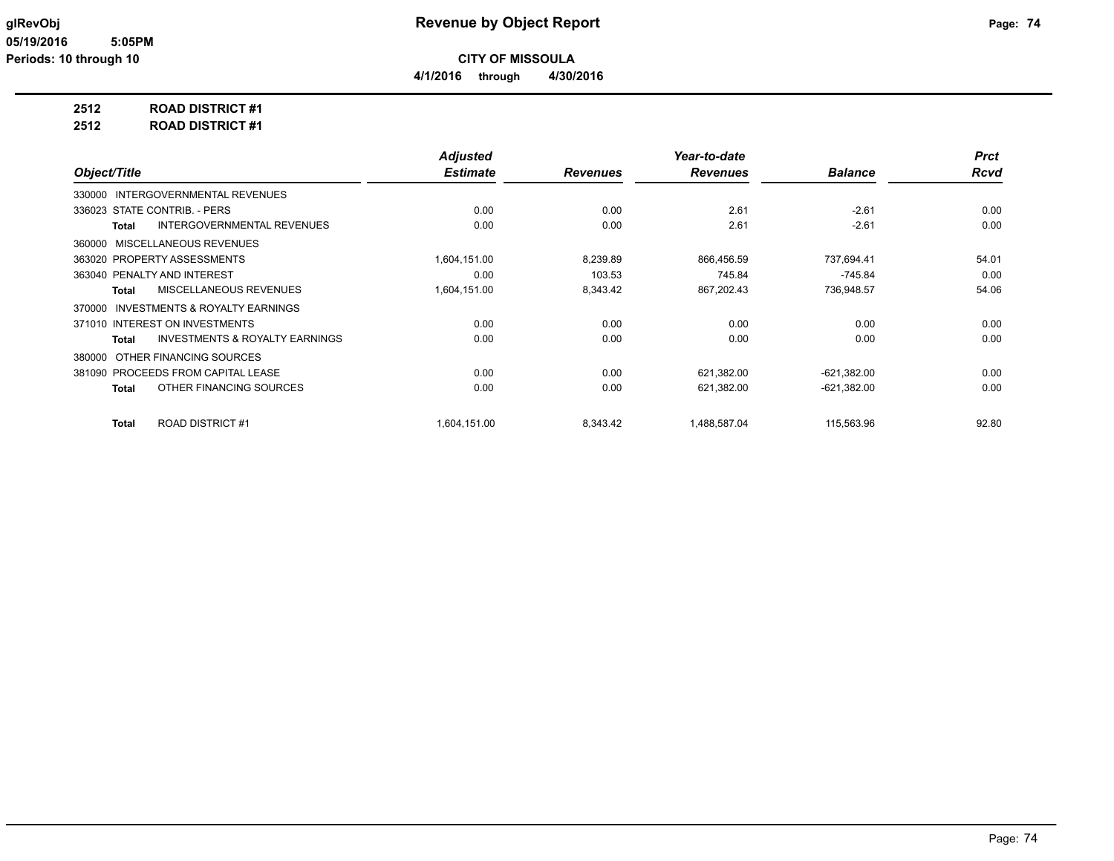**4/1/2016 through 4/30/2016**

### **2512 ROAD DISTRICT #1**

**2512 ROAD DISTRICT #1**

|                                                           | <b>Adjusted</b> |                 | Year-to-date    |                | <b>Prct</b> |
|-----------------------------------------------------------|-----------------|-----------------|-----------------|----------------|-------------|
| Object/Title                                              | <b>Estimate</b> | <b>Revenues</b> | <b>Revenues</b> | <b>Balance</b> | <b>Rcvd</b> |
| 330000 INTERGOVERNMENTAL REVENUES                         |                 |                 |                 |                |             |
| 336023 STATE CONTRIB. - PERS                              | 0.00            | 0.00            | 2.61            | $-2.61$        | 0.00        |
| <b>INTERGOVERNMENTAL REVENUES</b><br><b>Total</b>         | 0.00            | 0.00            | 2.61            | $-2.61$        | 0.00        |
| 360000 MISCELLANEOUS REVENUES                             |                 |                 |                 |                |             |
| 363020 PROPERTY ASSESSMENTS                               | 1,604,151.00    | 8,239.89        | 866,456.59      | 737.694.41     | 54.01       |
| 363040 PENALTY AND INTEREST                               | 0.00            | 103.53          | 745.84          | $-745.84$      | 0.00        |
| MISCELLANEOUS REVENUES<br><b>Total</b>                    | 1,604,151.00    | 8,343.42        | 867,202.43      | 736,948.57     | 54.06       |
| INVESTMENTS & ROYALTY EARNINGS<br>370000                  |                 |                 |                 |                |             |
| 371010 INTEREST ON INVESTMENTS                            | 0.00            | 0.00            | 0.00            | 0.00           | 0.00        |
| <b>INVESTMENTS &amp; ROYALTY EARNINGS</b><br><b>Total</b> | 0.00            | 0.00            | 0.00            | 0.00           | 0.00        |
| OTHER FINANCING SOURCES<br>380000                         |                 |                 |                 |                |             |
| 381090 PROCEEDS FROM CAPITAL LEASE                        | 0.00            | 0.00            | 621,382.00      | $-621,382.00$  | 0.00        |
| OTHER FINANCING SOURCES<br><b>Total</b>                   | 0.00            | 0.00            | 621,382.00      | $-621,382.00$  | 0.00        |
|                                                           |                 |                 |                 |                |             |
| <b>ROAD DISTRICT#1</b><br><b>Total</b>                    | 1,604,151.00    | 8,343.42        | 1,488,587.04    | 115,563.96     | 92.80       |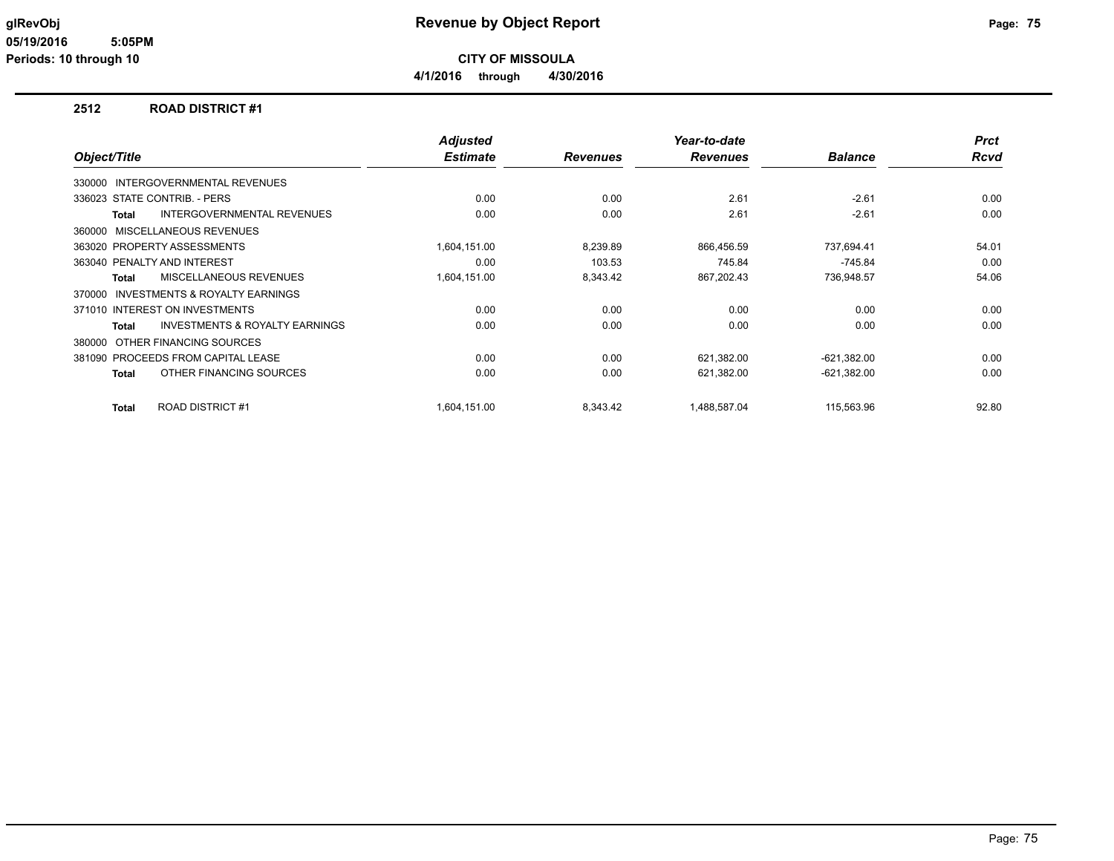**4/1/2016 through 4/30/2016**

#### **2512 ROAD DISTRICT #1**

| Object/Title |                                           | <b>Adjusted</b><br><b>Estimate</b> | <b>Revenues</b> | Year-to-date<br><b>Revenues</b> | <b>Balance</b> | <b>Prct</b><br><b>Rcvd</b> |
|--------------|-------------------------------------------|------------------------------------|-----------------|---------------------------------|----------------|----------------------------|
|              |                                           |                                    |                 |                                 |                |                            |
|              | 330000 INTERGOVERNMENTAL REVENUES         |                                    |                 |                                 |                |                            |
|              | 336023 STATE CONTRIB. - PERS              | 0.00                               | 0.00            | 2.61                            | $-2.61$        | 0.00                       |
| Total        | <b>INTERGOVERNMENTAL REVENUES</b>         | 0.00                               | 0.00            | 2.61                            | $-2.61$        | 0.00                       |
| 360000       | MISCELLANEOUS REVENUES                    |                                    |                 |                                 |                |                            |
|              | 363020 PROPERTY ASSESSMENTS               | 1,604,151.00                       | 8,239.89        | 866,456.59                      | 737,694.41     | 54.01                      |
|              | 363040 PENALTY AND INTEREST               | 0.00                               | 103.53          | 745.84                          | $-745.84$      | 0.00                       |
| <b>Total</b> | <b>MISCELLANEOUS REVENUES</b>             | 1,604,151.00                       | 8,343.42        | 867,202.43                      | 736,948.57     | 54.06                      |
| 370000       | <b>INVESTMENTS &amp; ROYALTY EARNINGS</b> |                                    |                 |                                 |                |                            |
|              | 371010 INTEREST ON INVESTMENTS            | 0.00                               | 0.00            | 0.00                            | 0.00           | 0.00                       |
| <b>Total</b> | <b>INVESTMENTS &amp; ROYALTY EARNINGS</b> | 0.00                               | 0.00            | 0.00                            | 0.00           | 0.00                       |
| 380000       | OTHER FINANCING SOURCES                   |                                    |                 |                                 |                |                            |
|              | 381090 PROCEEDS FROM CAPITAL LEASE        | 0.00                               | 0.00            | 621,382.00                      | $-621,382.00$  | 0.00                       |
| Total        | OTHER FINANCING SOURCES                   | 0.00                               | 0.00            | 621,382.00                      | $-621,382.00$  | 0.00                       |
| <b>Total</b> | <b>ROAD DISTRICT #1</b>                   | 1,604,151.00                       | 8,343.42        | 1,488,587.04                    | 115,563.96     | 92.80                      |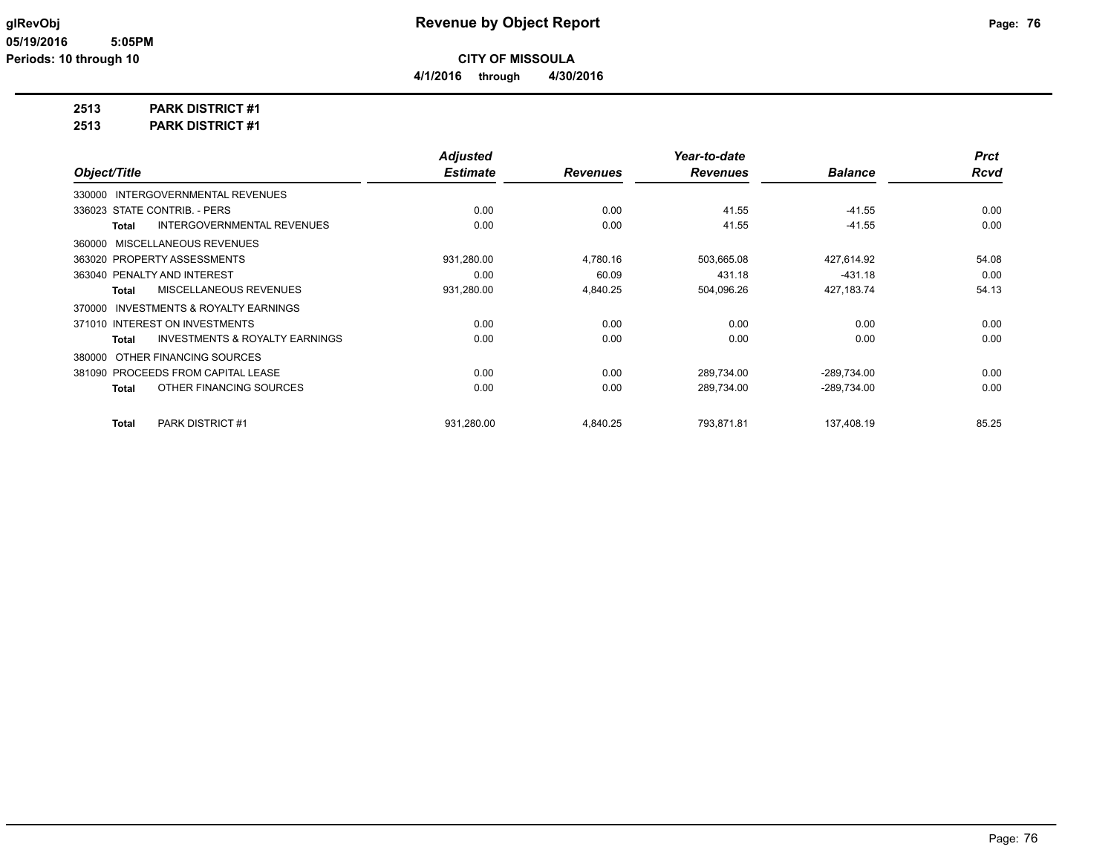# **2513 PARK DISTRICT #1**

**2513 PARK DISTRICT #1**

|                                                     | <b>Adjusted</b> |                 | Year-to-date    |                | <b>Prct</b> |
|-----------------------------------------------------|-----------------|-----------------|-----------------|----------------|-------------|
| Object/Title                                        | <b>Estimate</b> | <b>Revenues</b> | <b>Revenues</b> | <b>Balance</b> | <b>Rcvd</b> |
| 330000 INTERGOVERNMENTAL REVENUES                   |                 |                 |                 |                |             |
| 336023 STATE CONTRIB. - PERS                        | 0.00            | 0.00            | 41.55           | $-41.55$       | 0.00        |
| <b>INTERGOVERNMENTAL REVENUES</b><br><b>Total</b>   | 0.00            | 0.00            | 41.55           | $-41.55$       | 0.00        |
| MISCELLANEOUS REVENUES<br>360000                    |                 |                 |                 |                |             |
| 363020 PROPERTY ASSESSMENTS                         | 931,280.00      | 4,780.16        | 503,665.08      | 427,614.92     | 54.08       |
| 363040 PENALTY AND INTEREST                         | 0.00            | 60.09           | 431.18          | $-431.18$      | 0.00        |
| MISCELLANEOUS REVENUES<br><b>Total</b>              | 931,280.00      | 4,840.25        | 504,096.26      | 427,183.74     | 54.13       |
| <b>INVESTMENTS &amp; ROYALTY EARNINGS</b><br>370000 |                 |                 |                 |                |             |
| 371010 INTEREST ON INVESTMENTS                      | 0.00            | 0.00            | 0.00            | 0.00           | 0.00        |
| <b>INVESTMENTS &amp; ROYALTY EARNINGS</b><br>Total  | 0.00            | 0.00            | 0.00            | 0.00           | 0.00        |
| OTHER FINANCING SOURCES<br>380000                   |                 |                 |                 |                |             |
| 381090 PROCEEDS FROM CAPITAL LEASE                  | 0.00            | 0.00            | 289,734.00      | $-289,734.00$  | 0.00        |
| OTHER FINANCING SOURCES<br><b>Total</b>             | 0.00            | 0.00            | 289,734.00      | $-289,734.00$  | 0.00        |
| PARK DISTRICT #1<br>Total                           | 931,280.00      | 4,840.25        | 793,871.81      | 137,408.19     | 85.25       |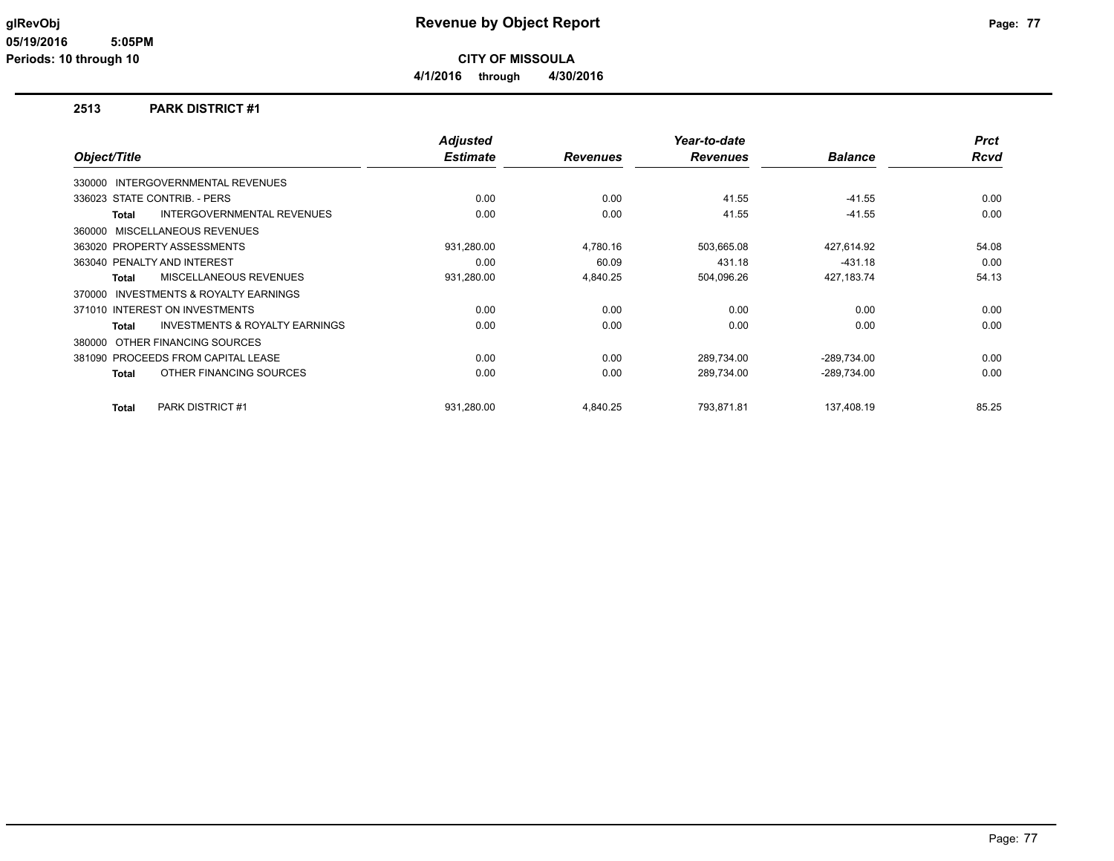**CITY OF MISSOULA**

**4/1/2016 through 4/30/2016**

#### **2513 PARK DISTRICT #1**

|              |                                           | <b>Adjusted</b> |                 | Year-to-date    |                | <b>Prct</b> |
|--------------|-------------------------------------------|-----------------|-----------------|-----------------|----------------|-------------|
| Object/Title |                                           | <b>Estimate</b> | <b>Revenues</b> | <b>Revenues</b> | <b>Balance</b> | <b>Rcvd</b> |
|              | 330000 INTERGOVERNMENTAL REVENUES         |                 |                 |                 |                |             |
|              | 336023 STATE CONTRIB. - PERS              | 0.00            | 0.00            | 41.55           | $-41.55$       | 0.00        |
| <b>Total</b> | INTERGOVERNMENTAL REVENUES                | 0.00            | 0.00            | 41.55           | $-41.55$       | 0.00        |
| 360000       | MISCELLANEOUS REVENUES                    |                 |                 |                 |                |             |
|              | 363020 PROPERTY ASSESSMENTS               | 931,280.00      | 4,780.16        | 503,665.08      | 427,614.92     | 54.08       |
|              | 363040 PENALTY AND INTEREST               | 0.00            | 60.09           | 431.18          | $-431.18$      | 0.00        |
| Total        | MISCELLANEOUS REVENUES                    | 931,280.00      | 4,840.25        | 504,096.26      | 427, 183. 74   | 54.13       |
| 370000       | INVESTMENTS & ROYALTY EARNINGS            |                 |                 |                 |                |             |
|              | 371010 INTEREST ON INVESTMENTS            | 0.00            | 0.00            | 0.00            | 0.00           | 0.00        |
| <b>Total</b> | <b>INVESTMENTS &amp; ROYALTY EARNINGS</b> | 0.00            | 0.00            | 0.00            | 0.00           | 0.00        |
| 380000       | OTHER FINANCING SOURCES                   |                 |                 |                 |                |             |
|              | 381090 PROCEEDS FROM CAPITAL LEASE        | 0.00            | 0.00            | 289,734.00      | $-289,734.00$  | 0.00        |
| <b>Total</b> | OTHER FINANCING SOURCES                   | 0.00            | 0.00            | 289,734.00      | $-289,734.00$  | 0.00        |
| <b>Total</b> | PARK DISTRICT #1                          | 931,280.00      | 4,840.25        | 793,871.81      | 137,408.19     | 85.25       |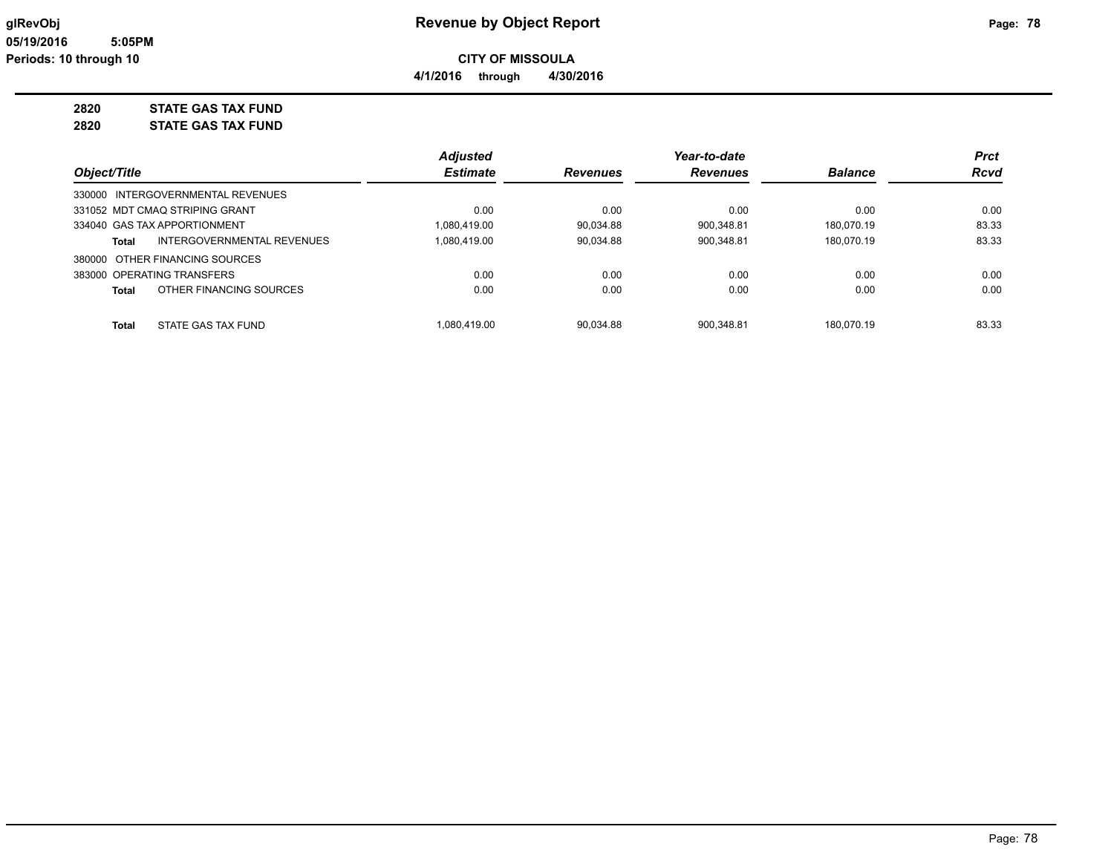**4/1/2016 through 4/30/2016**

**2820 STATE GAS TAX FUND**

**2820 STATE GAS TAX FUND**

|                                         | <b>Adjusted</b> |                 | Year-to-date    |                | <b>Prct</b> |
|-----------------------------------------|-----------------|-----------------|-----------------|----------------|-------------|
| Object/Title                            | <b>Estimate</b> | <b>Revenues</b> | <b>Revenues</b> | <b>Balance</b> | <b>Rcvd</b> |
| 330000 INTERGOVERNMENTAL REVENUES       |                 |                 |                 |                |             |
| 331052 MDT CMAQ STRIPING GRANT          | 0.00            | 0.00            | 0.00            | 0.00           | 0.00        |
| 334040 GAS TAX APPORTIONMENT            | 1.080.419.00    | 90.034.88       | 900.348.81      | 180.070.19     | 83.33       |
| INTERGOVERNMENTAL REVENUES<br>Total     | 1.080.419.00    | 90.034.88       | 900.348.81      | 180.070.19     | 83.33       |
| 380000 OTHER FINANCING SOURCES          |                 |                 |                 |                |             |
| 383000 OPERATING TRANSFERS              | 0.00            | 0.00            | 0.00            | 0.00           | 0.00        |
| OTHER FINANCING SOURCES<br><b>Total</b> | 0.00            | 0.00            | 0.00            | 0.00           | 0.00        |
| STATE GAS TAX FUND<br><b>Total</b>      | 1.080.419.00    | 90.034.88       | 900.348.81      | 180.070.19     | 83.33       |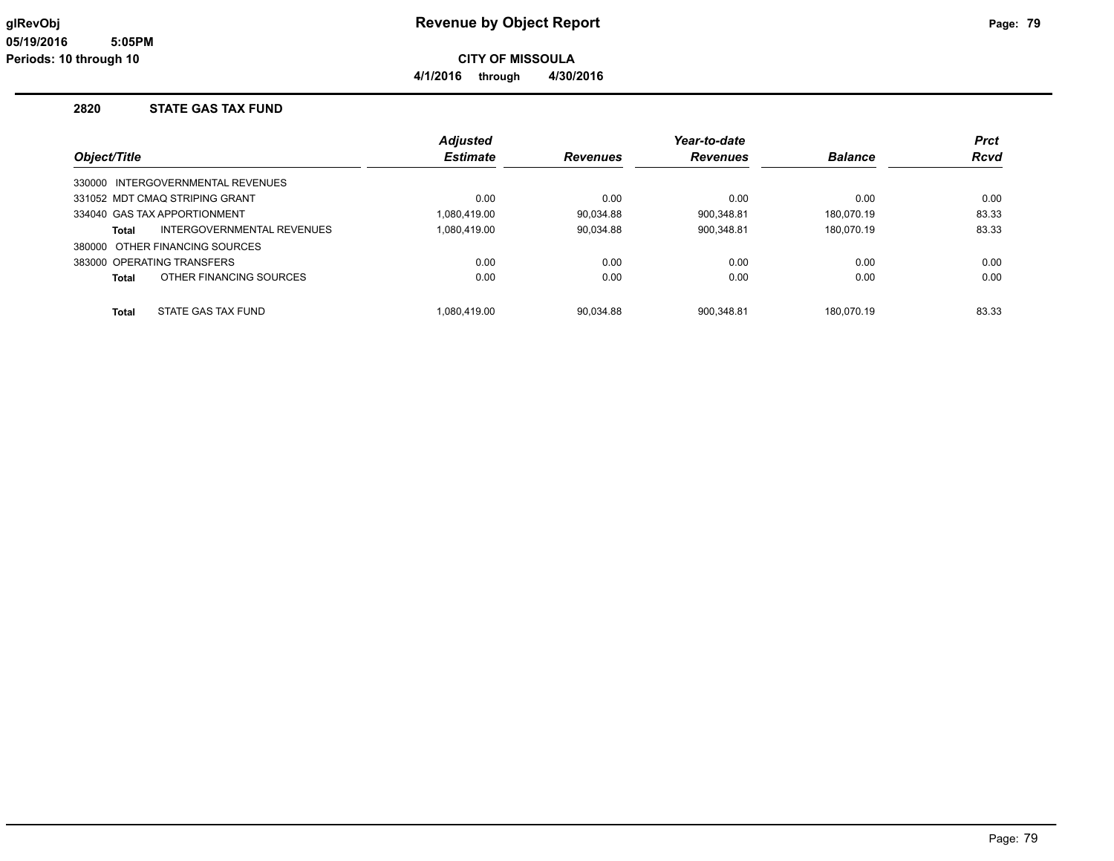**4/1/2016 through 4/30/2016**

#### **2820 STATE GAS TAX FUND**

|              |                                   | <b>Adjusted</b> |                 | Year-to-date    |                | Prct        |
|--------------|-----------------------------------|-----------------|-----------------|-----------------|----------------|-------------|
| Object/Title |                                   | <b>Estimate</b> | <b>Revenues</b> | <b>Revenues</b> | <b>Balance</b> | <b>Rcvd</b> |
|              | 330000 INTERGOVERNMENTAL REVENUES |                 |                 |                 |                |             |
|              | 331052 MDT CMAQ STRIPING GRANT    | 0.00            | 0.00            | 0.00            | 0.00           | 0.00        |
|              | 334040 GAS TAX APPORTIONMENT      | 1.080.419.00    | 90.034.88       | 900.348.81      | 180.070.19     | 83.33       |
| <b>Total</b> | INTERGOVERNMENTAL REVENUES        | 1.080.419.00    | 90,034.88       | 900,348.81      | 180.070.19     | 83.33       |
|              | 380000 OTHER FINANCING SOURCES    |                 |                 |                 |                |             |
|              | 383000 OPERATING TRANSFERS        | 0.00            | 0.00            | 0.00            | 0.00           | 0.00        |
| <b>Total</b> | OTHER FINANCING SOURCES           | 0.00            | 0.00            | 0.00            | 0.00           | 0.00        |
| <b>Total</b> | STATE GAS TAX FUND                | 1.080.419.00    | 90.034.88       | 900.348.81      | 180.070.19     | 83.33       |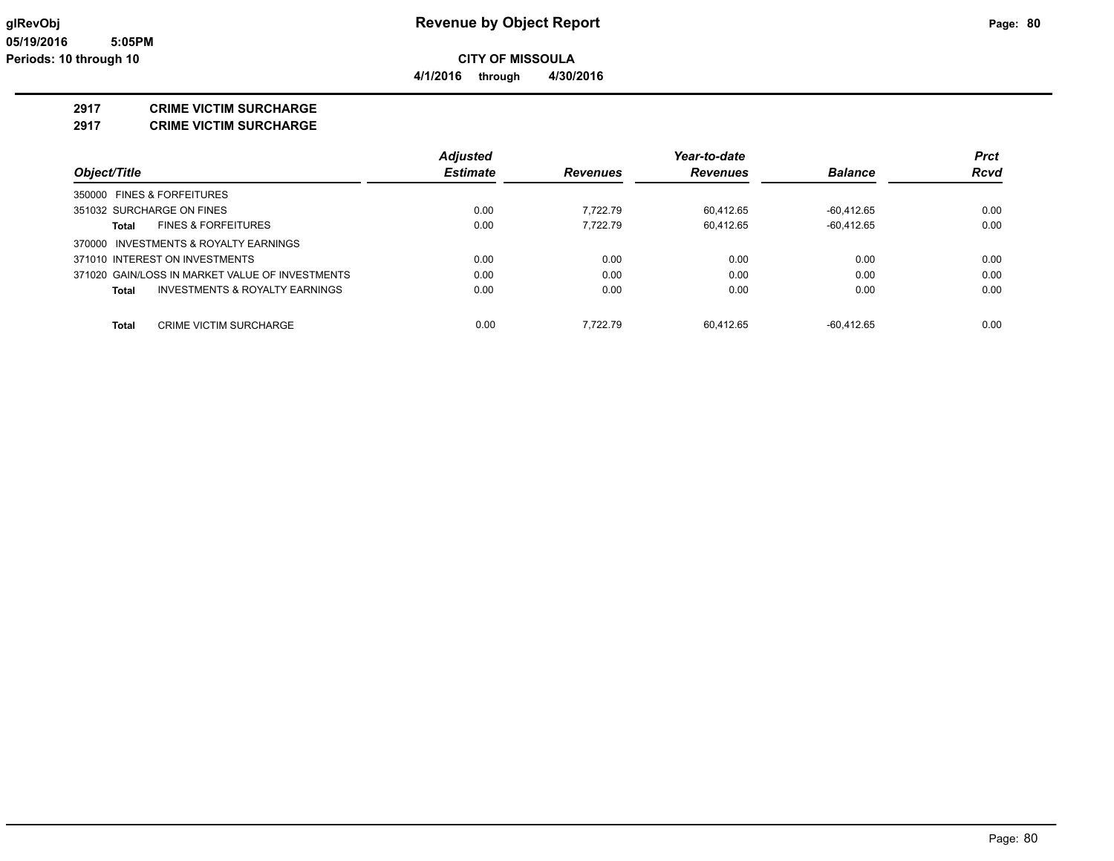**4/1/2016 through 4/30/2016**

#### **2917 CRIME VICTIM SURCHARGE**

**2917 CRIME VICTIM SURCHARGE**

|                                                 | <b>Adjusted</b> |                 | Year-to-date    |                | <b>Prct</b> |
|-------------------------------------------------|-----------------|-----------------|-----------------|----------------|-------------|
| Object/Title                                    | <b>Estimate</b> | <b>Revenues</b> | <b>Revenues</b> | <b>Balance</b> | <b>Rcvd</b> |
| 350000 FINES & FORFEITURES                      |                 |                 |                 |                |             |
| 351032 SURCHARGE ON FINES                       | 0.00            | 7.722.79        | 60.412.65       | $-60.412.65$   | 0.00        |
| <b>FINES &amp; FORFEITURES</b><br>Total         | 0.00            | 7.722.79        | 60.412.65       | $-60.412.65$   | 0.00        |
| 370000 INVESTMENTS & ROYALTY EARNINGS           |                 |                 |                 |                |             |
| 371010 INTEREST ON INVESTMENTS                  | 0.00            | 0.00            | 0.00            | 0.00           | 0.00        |
| 371020 GAIN/LOSS IN MARKET VALUE OF INVESTMENTS | 0.00            | 0.00            | 0.00            | 0.00           | 0.00        |
| INVESTMENTS & ROYALTY EARNINGS<br>Total         | 0.00            | 0.00            | 0.00            | 0.00           | 0.00        |
| CRIME VICTIM SURCHARGE<br>Total                 | 0.00            | 7.722.79        | 60.412.65       | $-60.412.65$   | 0.00        |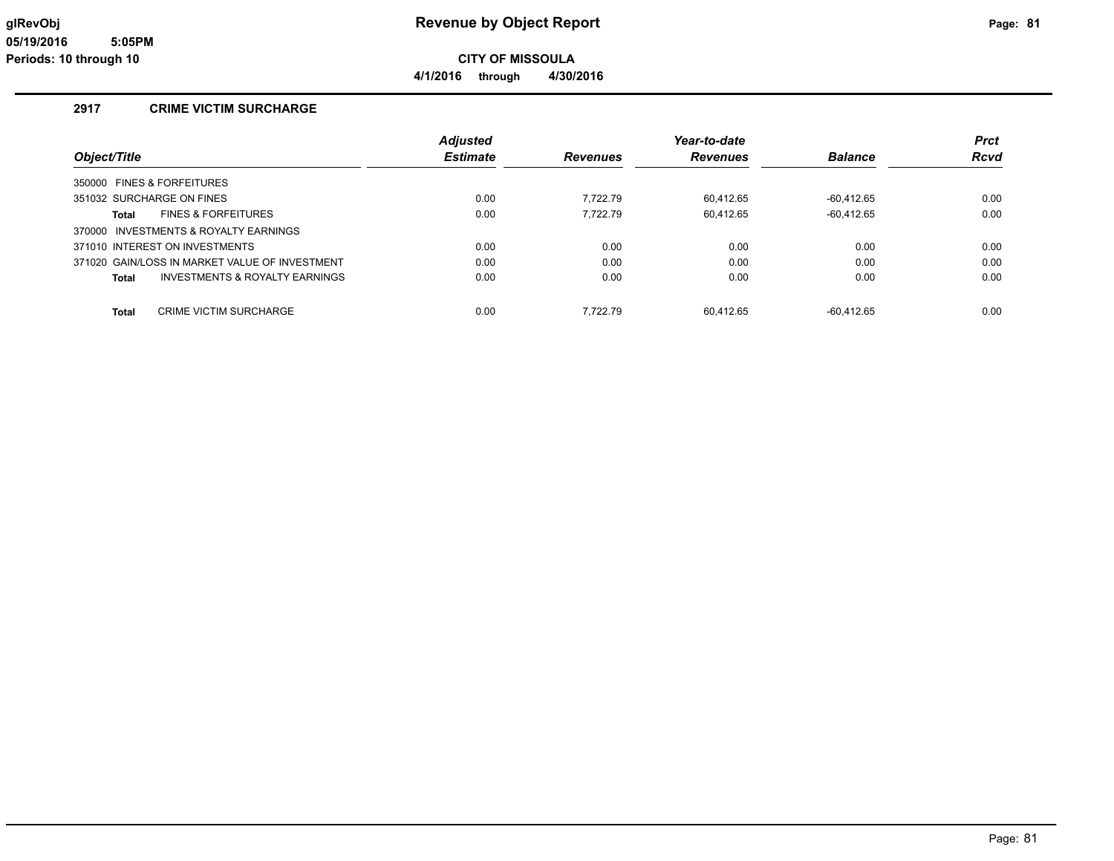**4/1/2016 through 4/30/2016**

### **2917 CRIME VICTIM SURCHARGE**

|                                                    | <b>Adjusted</b> |                 | Year-to-date    |                | <b>Prct</b> |
|----------------------------------------------------|-----------------|-----------------|-----------------|----------------|-------------|
| Object/Title                                       | <b>Estimate</b> | <b>Revenues</b> | <b>Revenues</b> | <b>Balance</b> | <b>Rcvd</b> |
| 350000 FINES & FORFEITURES                         |                 |                 |                 |                |             |
| 351032 SURCHARGE ON FINES                          | 0.00            | 7.722.79        | 60.412.65       | -60.412.65     | 0.00        |
| <b>FINES &amp; FORFEITURES</b><br>Total            | 0.00            | 7.722.79        | 60.412.65       | $-60.412.65$   | 0.00        |
| 370000 INVESTMENTS & ROYALTY EARNINGS              |                 |                 |                 |                |             |
| 371010 INTEREST ON INVESTMENTS                     | 0.00            | 0.00            | 0.00            | 0.00           | 0.00        |
| 371020 GAIN/LOSS IN MARKET VALUE OF INVESTMENT     | 0.00            | 0.00            | 0.00            | 0.00           | 0.00        |
| <b>INVESTMENTS &amp; ROYALTY EARNINGS</b><br>Total | 0.00            | 0.00            | 0.00            | 0.00           | 0.00        |
| CRIME VICTIM SURCHARGE<br>Total                    | 0.00            | 7.722.79        | 60.412.65       | $-60.412.65$   | 0.00        |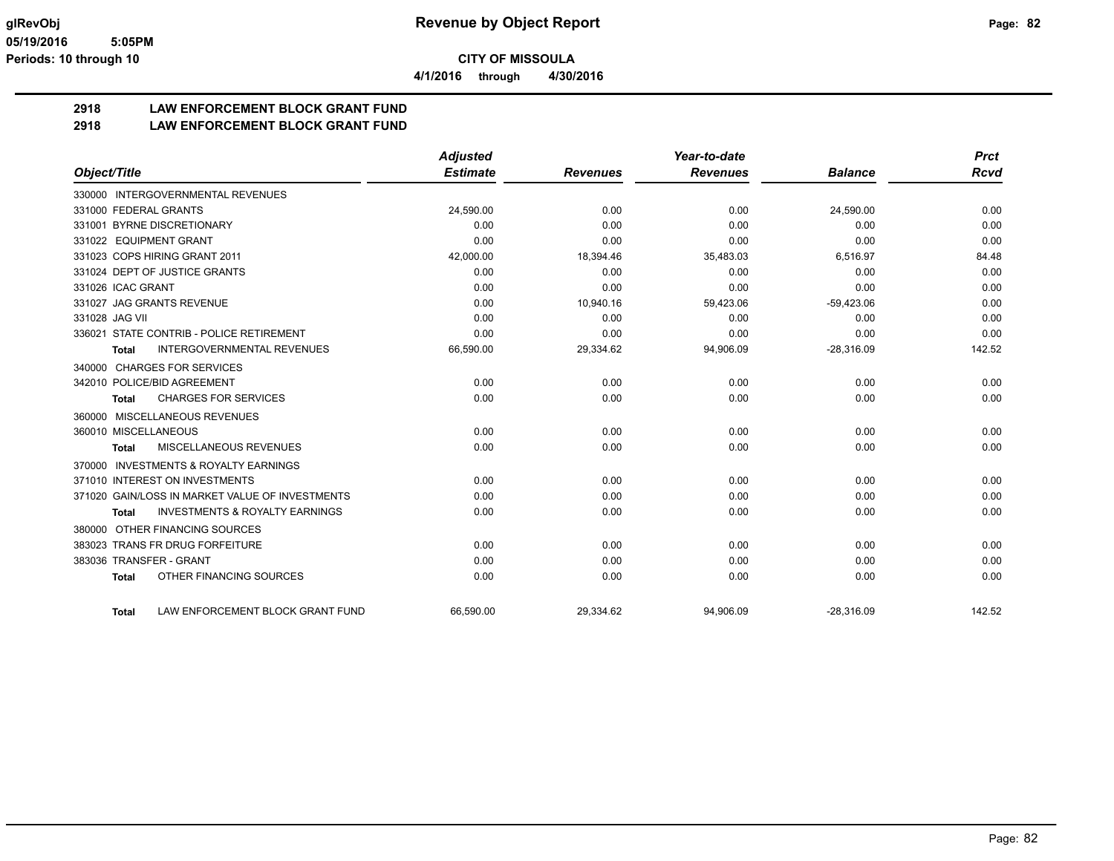**4/1/2016 through 4/30/2016**

# **2918 LAW ENFORCEMENT BLOCK GRANT FUND**

### **2918 LAW ENFORCEMENT BLOCK GRANT FUND**

|                                                           | <b>Adjusted</b> |                 | Year-to-date    |                | <b>Prct</b> |
|-----------------------------------------------------------|-----------------|-----------------|-----------------|----------------|-------------|
| Object/Title                                              | <b>Estimate</b> | <b>Revenues</b> | <b>Revenues</b> | <b>Balance</b> | Rcvd        |
| 330000 INTERGOVERNMENTAL REVENUES                         |                 |                 |                 |                |             |
| 331000 FEDERAL GRANTS                                     | 24,590.00       | 0.00            | 0.00            | 24,590.00      | 0.00        |
| 331001 BYRNE DISCRETIONARY                                | 0.00            | 0.00            | 0.00            | 0.00           | 0.00        |
| 331022 EQUIPMENT GRANT                                    | 0.00            | 0.00            | 0.00            | 0.00           | 0.00        |
| 331023 COPS HIRING GRANT 2011                             | 42,000.00       | 18,394.46       | 35,483.03       | 6,516.97       | 84.48       |
| 331024 DEPT OF JUSTICE GRANTS                             | 0.00            | 0.00            | 0.00            | 0.00           | 0.00        |
| 331026 ICAC GRANT                                         | 0.00            | 0.00            | 0.00            | 0.00           | 0.00        |
| 331027 JAG GRANTS REVENUE                                 | 0.00            | 10,940.16       | 59,423.06       | $-59,423.06$   | 0.00        |
| 331028 JAG VII                                            | 0.00            | 0.00            | 0.00            | 0.00           | 0.00        |
| 336021 STATE CONTRIB - POLICE RETIREMENT                  | 0.00            | 0.00            | 0.00            | 0.00           | 0.00        |
| <b>INTERGOVERNMENTAL REVENUES</b><br><b>Total</b>         | 66,590.00       | 29,334.62       | 94,906.09       | $-28,316.09$   | 142.52      |
| 340000 CHARGES FOR SERVICES                               |                 |                 |                 |                |             |
| 342010 POLICE/BID AGREEMENT                               | 0.00            | 0.00            | 0.00            | 0.00           | 0.00        |
| <b>CHARGES FOR SERVICES</b><br>Total                      | 0.00            | 0.00            | 0.00            | 0.00           | 0.00        |
| 360000 MISCELLANEOUS REVENUES                             |                 |                 |                 |                |             |
| 360010 MISCELLANEOUS                                      | 0.00            | 0.00            | 0.00            | 0.00           | 0.00        |
| MISCELLANEOUS REVENUES<br>Total                           | 0.00            | 0.00            | 0.00            | 0.00           | 0.00        |
| <b>INVESTMENTS &amp; ROYALTY EARNINGS</b><br>370000       |                 |                 |                 |                |             |
| 371010 INTEREST ON INVESTMENTS                            | 0.00            | 0.00            | 0.00            | 0.00           | 0.00        |
| 371020 GAIN/LOSS IN MARKET VALUE OF INVESTMENTS           | 0.00            | 0.00            | 0.00            | 0.00           | 0.00        |
| <b>INVESTMENTS &amp; ROYALTY EARNINGS</b><br><b>Total</b> | 0.00            | 0.00            | 0.00            | 0.00           | 0.00        |
| OTHER FINANCING SOURCES<br>380000                         |                 |                 |                 |                |             |
| 383023 TRANS FR DRUG FORFEITURE                           | 0.00            | 0.00            | 0.00            | 0.00           | 0.00        |
| 383036 TRANSFER - GRANT                                   | 0.00            | 0.00            | 0.00            | 0.00           | 0.00        |
| OTHER FINANCING SOURCES<br><b>Total</b>                   | 0.00            | 0.00            | 0.00            | 0.00           | 0.00        |
| LAW ENFORCEMENT BLOCK GRANT FUND<br><b>Total</b>          | 66.590.00       | 29,334.62       | 94,906.09       | $-28.316.09$   | 142.52      |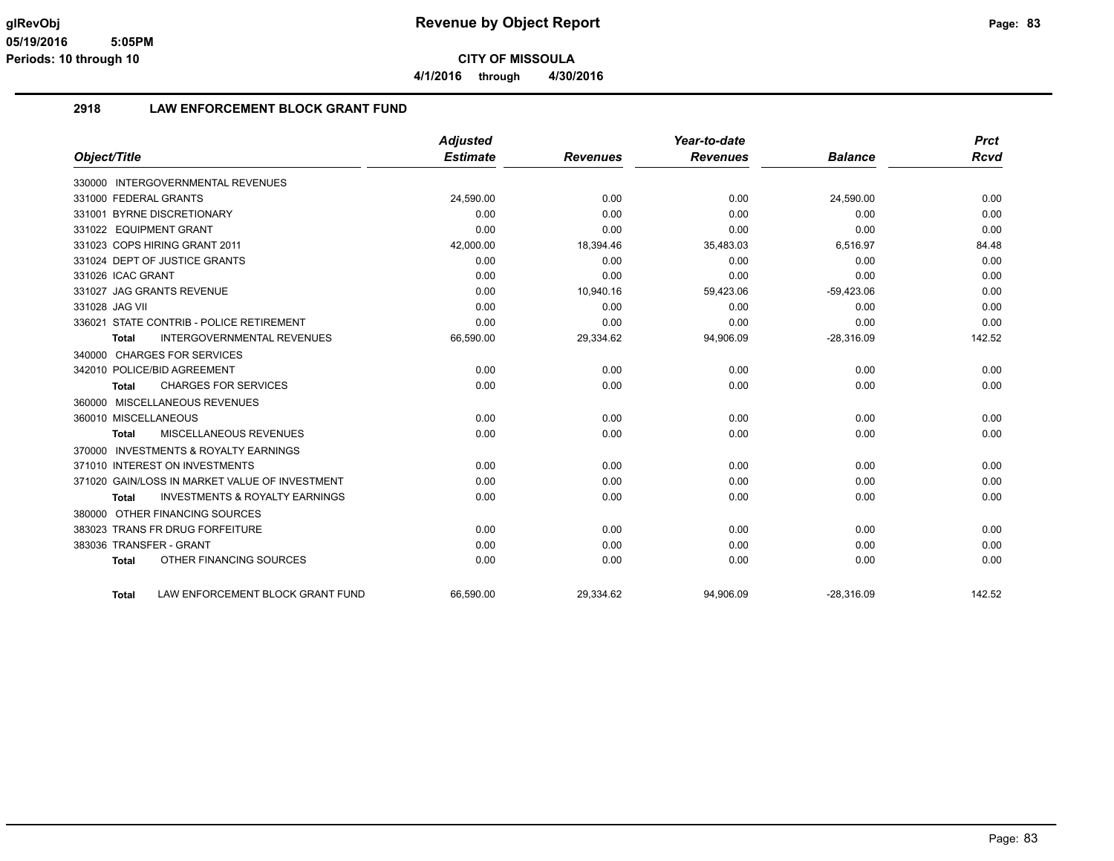**4/1/2016 through 4/30/2016**

### **2918 LAW ENFORCEMENT BLOCK GRANT FUND**

|                                                           | <b>Adjusted</b> |                 | Year-to-date    |                | Prct        |
|-----------------------------------------------------------|-----------------|-----------------|-----------------|----------------|-------------|
| Object/Title                                              | <b>Estimate</b> | <b>Revenues</b> | <b>Revenues</b> | <b>Balance</b> | <b>Rcvd</b> |
| INTERGOVERNMENTAL REVENUES<br>330000                      |                 |                 |                 |                |             |
| 331000 FEDERAL GRANTS                                     | 24,590.00       | 0.00            | 0.00            | 24,590.00      | 0.00        |
| 331001 BYRNE DISCRETIONARY                                | 0.00            | 0.00            | 0.00            | 0.00           | 0.00        |
| 331022 EQUIPMENT GRANT                                    | 0.00            | 0.00            | 0.00            | 0.00           | 0.00        |
| 331023 COPS HIRING GRANT 2011                             | 42,000.00       | 18,394.46       | 35,483.03       | 6,516.97       | 84.48       |
| 331024 DEPT OF JUSTICE GRANTS                             | 0.00            | 0.00            | 0.00            | 0.00           | 0.00        |
| 331026 ICAC GRANT                                         | 0.00            | 0.00            | 0.00            | 0.00           | 0.00        |
| 331027 JAG GRANTS REVENUE                                 | 0.00            | 10,940.16       | 59,423.06       | $-59,423.06$   | 0.00        |
| 331028 JAG VII                                            | 0.00            | 0.00            | 0.00            | 0.00           | 0.00        |
| 336021 STATE CONTRIB - POLICE RETIREMENT                  | 0.00            | 0.00            | 0.00            | 0.00           | 0.00        |
| <b>INTERGOVERNMENTAL REVENUES</b><br><b>Total</b>         | 66,590.00       | 29,334.62       | 94,906.09       | $-28,316.09$   | 142.52      |
| <b>CHARGES FOR SERVICES</b><br>340000                     |                 |                 |                 |                |             |
| 342010 POLICE/BID AGREEMENT                               | 0.00            | 0.00            | 0.00            | 0.00           | 0.00        |
| <b>CHARGES FOR SERVICES</b><br><b>Total</b>               | 0.00            | 0.00            | 0.00            | 0.00           | 0.00        |
| MISCELLANEOUS REVENUES<br>360000                          |                 |                 |                 |                |             |
| 360010 MISCELLANEOUS                                      | 0.00            | 0.00            | 0.00            | 0.00           | 0.00        |
| MISCELLANEOUS REVENUES<br><b>Total</b>                    | 0.00            | 0.00            | 0.00            | 0.00           | 0.00        |
| <b>INVESTMENTS &amp; ROYALTY EARNINGS</b><br>370000       |                 |                 |                 |                |             |
| 371010 INTEREST ON INVESTMENTS                            | 0.00            | 0.00            | 0.00            | 0.00           | 0.00        |
| 371020 GAIN/LOSS IN MARKET VALUE OF INVESTMENT            | 0.00            | 0.00            | 0.00            | 0.00           | 0.00        |
| <b>INVESTMENTS &amp; ROYALTY EARNINGS</b><br><b>Total</b> | 0.00            | 0.00            | 0.00            | 0.00           | 0.00        |
| OTHER FINANCING SOURCES<br>380000                         |                 |                 |                 |                |             |
| 383023 TRANS FR DRUG FORFEITURE                           | 0.00            | 0.00            | 0.00            | 0.00           | 0.00        |
| 383036 TRANSFER - GRANT                                   | 0.00            | 0.00            | 0.00            | 0.00           | 0.00        |
| OTHER FINANCING SOURCES<br><b>Total</b>                   | 0.00            | 0.00            | 0.00            | 0.00           | 0.00        |
| LAW ENFORCEMENT BLOCK GRANT FUND<br><b>Total</b>          | 66.590.00       | 29.334.62       | 94.906.09       | $-28.316.09$   | 142.52      |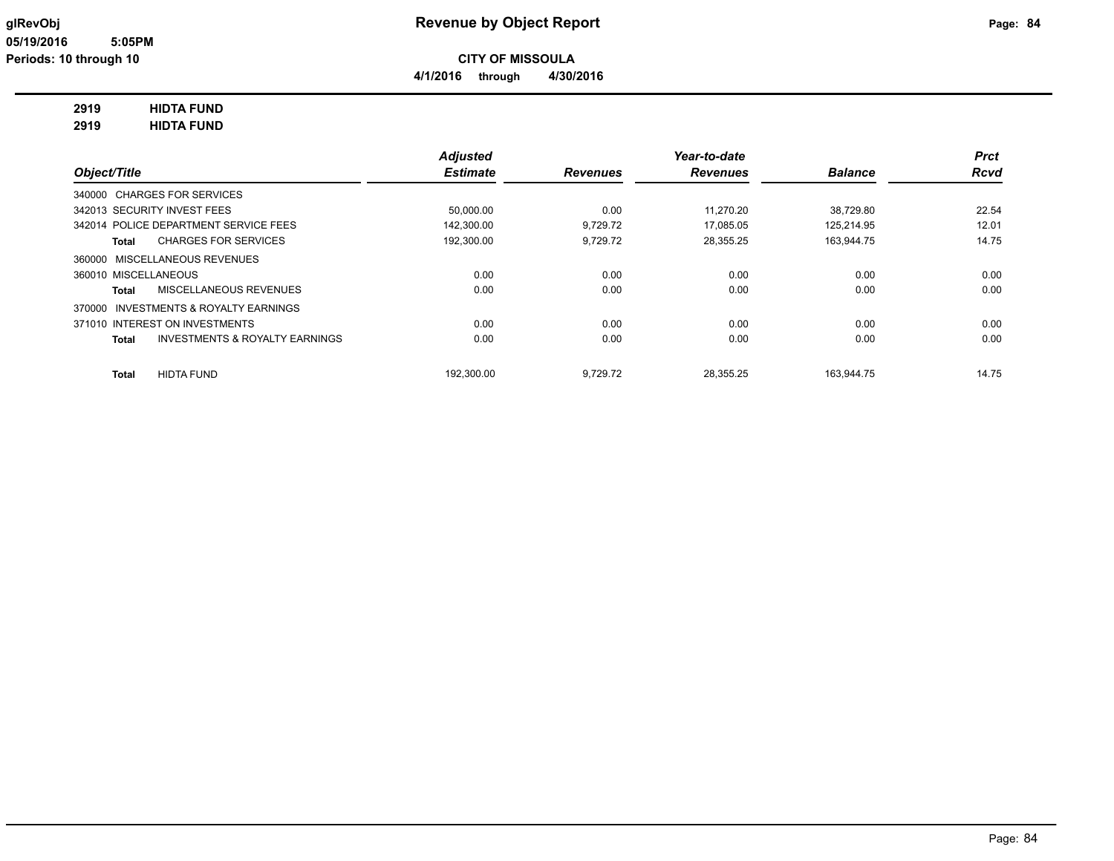**4/1/2016 through 4/30/2016**

#### **2919 HIDTA FUND**

**2919 HIDTA FUND**

|                                                           | <b>Adjusted</b> |                 | Year-to-date    |                | <b>Prct</b> |
|-----------------------------------------------------------|-----------------|-----------------|-----------------|----------------|-------------|
| Object/Title                                              | <b>Estimate</b> | <b>Revenues</b> | <b>Revenues</b> | <b>Balance</b> | <b>Rcvd</b> |
| 340000 CHARGES FOR SERVICES                               |                 |                 |                 |                |             |
| 342013 SECURITY INVEST FEES                               | 50,000.00       | 0.00            | 11.270.20       | 38.729.80      | 22.54       |
| 342014 POLICE DEPARTMENT SERVICE FEES                     | 142.300.00      | 9.729.72        | 17.085.05       | 125.214.95     | 12.01       |
| <b>CHARGES FOR SERVICES</b><br>Total                      | 192,300.00      | 9,729.72        | 28,355.25       | 163,944.75     | 14.75       |
| 360000 MISCELLANEOUS REVENUES                             |                 |                 |                 |                |             |
| 360010 MISCELLANEOUS                                      | 0.00            | 0.00            | 0.00            | 0.00           | 0.00        |
| MISCELLANEOUS REVENUES<br><b>Total</b>                    | 0.00            | 0.00            | 0.00            | 0.00           | 0.00        |
| 370000 INVESTMENTS & ROYALTY EARNINGS                     |                 |                 |                 |                |             |
| 371010 INTEREST ON INVESTMENTS                            | 0.00            | 0.00            | 0.00            | 0.00           | 0.00        |
| <b>INVESTMENTS &amp; ROYALTY EARNINGS</b><br><b>Total</b> | 0.00            | 0.00            | 0.00            | 0.00           | 0.00        |
| <b>HIDTA FUND</b><br><b>Total</b>                         | 192.300.00      | 9.729.72        | 28.355.25       | 163.944.75     | 14.75       |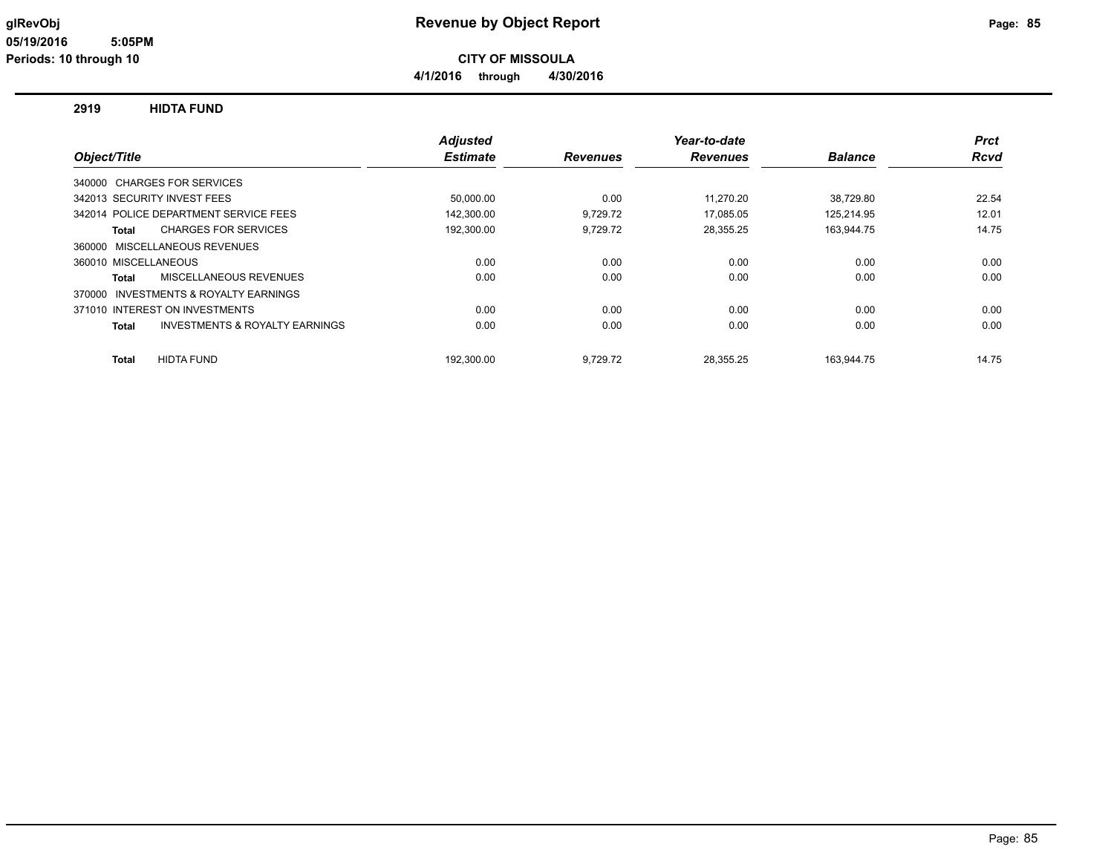**CITY OF MISSOULA**

**4/1/2016 through 4/30/2016**

#### **2919 HIDTA FUND**

|                      |                                           | <b>Adjusted</b> |                 | Year-to-date    |                | <b>Prct</b> |
|----------------------|-------------------------------------------|-----------------|-----------------|-----------------|----------------|-------------|
| Object/Title         |                                           | <b>Estimate</b> | <b>Revenues</b> | <b>Revenues</b> | <b>Balance</b> | <b>Rcvd</b> |
|                      | 340000 CHARGES FOR SERVICES               |                 |                 |                 |                |             |
|                      | 342013 SECURITY INVEST FEES               | 50,000.00       | 0.00            | 11.270.20       | 38,729.80      | 22.54       |
|                      | 342014 POLICE DEPARTMENT SERVICE FEES     | 142,300.00      | 9,729.72        | 17,085.05       | 125,214.95     | 12.01       |
| <b>Total</b>         | <b>CHARGES FOR SERVICES</b>               | 192,300.00      | 9,729.72        | 28,355.25       | 163,944.75     | 14.75       |
|                      | 360000 MISCELLANEOUS REVENUES             |                 |                 |                 |                |             |
| 360010 MISCELLANEOUS |                                           | 0.00            | 0.00            | 0.00            | 0.00           | 0.00        |
| <b>Total</b>         | MISCELLANEOUS REVENUES                    | 0.00            | 0.00            | 0.00            | 0.00           | 0.00        |
| 370000               | INVESTMENTS & ROYALTY EARNINGS            |                 |                 |                 |                |             |
|                      | 371010 INTEREST ON INVESTMENTS            | 0.00            | 0.00            | 0.00            | 0.00           | 0.00        |
| <b>Total</b>         | <b>INVESTMENTS &amp; ROYALTY EARNINGS</b> | 0.00            | 0.00            | 0.00            | 0.00           | 0.00        |
| <b>Total</b>         | <b>HIDTA FUND</b>                         | 192,300.00      | 9,729.72        | 28.355.25       | 163.944.75     | 14.75       |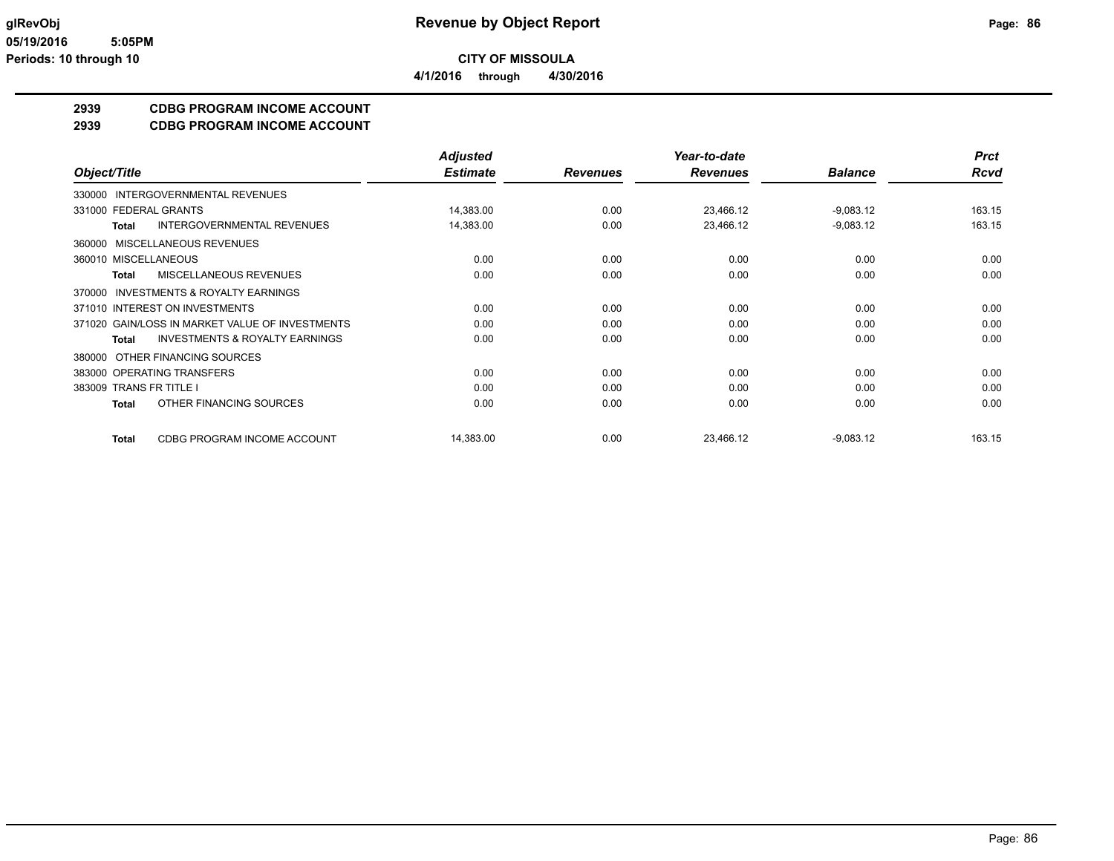**CITY OF MISSOULA 4/1/2016 through 4/30/2016**

**2939 CDBG PROGRAM INCOME ACCOUNT**

**2939 CDBG PROGRAM INCOME ACCOUNT**

|                                                           | <b>Adjusted</b> |                 | Year-to-date    |                | <b>Prct</b> |
|-----------------------------------------------------------|-----------------|-----------------|-----------------|----------------|-------------|
| Object/Title                                              | <b>Estimate</b> | <b>Revenues</b> | <b>Revenues</b> | <b>Balance</b> | <b>Rcvd</b> |
| 330000 INTERGOVERNMENTAL REVENUES                         |                 |                 |                 |                |             |
| 331000 FEDERAL GRANTS                                     | 14,383.00       | 0.00            | 23,466.12       | $-9,083.12$    | 163.15      |
| <b>INTERGOVERNMENTAL REVENUES</b><br><b>Total</b>         | 14,383.00       | 0.00            | 23,466.12       | $-9,083.12$    | 163.15      |
| 360000 MISCELLANEOUS REVENUES                             |                 |                 |                 |                |             |
| 360010 MISCELLANEOUS                                      | 0.00            | 0.00            | 0.00            | 0.00           | 0.00        |
| MISCELLANEOUS REVENUES<br><b>Total</b>                    | 0.00            | 0.00            | 0.00            | 0.00           | 0.00        |
| 370000 INVESTMENTS & ROYALTY EARNINGS                     |                 |                 |                 |                |             |
| 371010 INTEREST ON INVESTMENTS                            | 0.00            | 0.00            | 0.00            | 0.00           | 0.00        |
| 371020 GAIN/LOSS IN MARKET VALUE OF INVESTMENTS           | 0.00            | 0.00            | 0.00            | 0.00           | 0.00        |
| <b>INVESTMENTS &amp; ROYALTY EARNINGS</b><br><b>Total</b> | 0.00            | 0.00            | 0.00            | 0.00           | 0.00        |
| OTHER FINANCING SOURCES<br>380000                         |                 |                 |                 |                |             |
| 383000 OPERATING TRANSFERS                                | 0.00            | 0.00            | 0.00            | 0.00           | 0.00        |
| 383009 TRANS FR TITLE I                                   | 0.00            | 0.00            | 0.00            | 0.00           | 0.00        |
| OTHER FINANCING SOURCES<br><b>Total</b>                   | 0.00            | 0.00            | 0.00            | 0.00           | 0.00        |
| CDBG PROGRAM INCOME ACCOUNT<br><b>Total</b>               | 14.383.00       | 0.00            | 23.466.12       | $-9,083.12$    | 163.15      |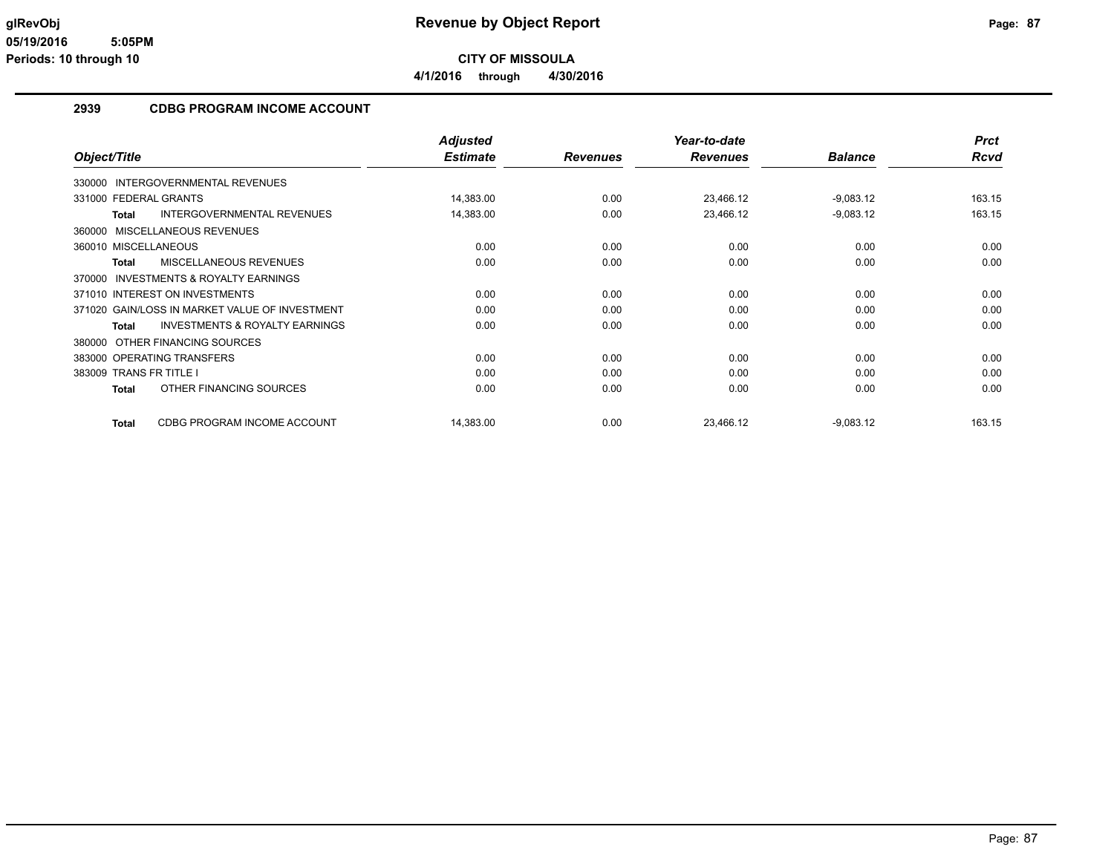**4/1/2016 through 4/30/2016**

### **2939 CDBG PROGRAM INCOME ACCOUNT**

|                                                    | <b>Adjusted</b> |                 | Year-to-date    |                | <b>Prct</b> |
|----------------------------------------------------|-----------------|-----------------|-----------------|----------------|-------------|
| Object/Title                                       | <b>Estimate</b> | <b>Revenues</b> | <b>Revenues</b> | <b>Balance</b> | Rcvd        |
| 330000 INTERGOVERNMENTAL REVENUES                  |                 |                 |                 |                |             |
| 331000 FEDERAL GRANTS                              | 14,383.00       | 0.00            | 23,466.12       | $-9,083.12$    | 163.15      |
| <b>INTERGOVERNMENTAL REVENUES</b><br><b>Total</b>  | 14,383.00       | 0.00            | 23,466.12       | $-9,083.12$    | 163.15      |
| 360000 MISCELLANEOUS REVENUES                      |                 |                 |                 |                |             |
| 360010 MISCELLANEOUS                               | 0.00            | 0.00            | 0.00            | 0.00           | 0.00        |
| MISCELLANEOUS REVENUES<br><b>Total</b>             | 0.00            | 0.00            | 0.00            | 0.00           | 0.00        |
| 370000 INVESTMENTS & ROYALTY EARNINGS              |                 |                 |                 |                |             |
| 371010 INTEREST ON INVESTMENTS                     | 0.00            | 0.00            | 0.00            | 0.00           | 0.00        |
| 371020 GAIN/LOSS IN MARKET VALUE OF INVESTMENT     | 0.00            | 0.00            | 0.00            | 0.00           | 0.00        |
| <b>INVESTMENTS &amp; ROYALTY EARNINGS</b><br>Total | 0.00            | 0.00            | 0.00            | 0.00           | 0.00        |
| 380000 OTHER FINANCING SOURCES                     |                 |                 |                 |                |             |
| 383000 OPERATING TRANSFERS                         | 0.00            | 0.00            | 0.00            | 0.00           | 0.00        |
| 383009 TRANS FR TITLE I                            | 0.00            | 0.00            | 0.00            | 0.00           | 0.00        |
| OTHER FINANCING SOURCES<br><b>Total</b>            | 0.00            | 0.00            | 0.00            | 0.00           | 0.00        |
| CDBG PROGRAM INCOME ACCOUNT<br><b>Total</b>        | 14,383.00       | 0.00            | 23,466.12       | $-9,083.12$    | 163.15      |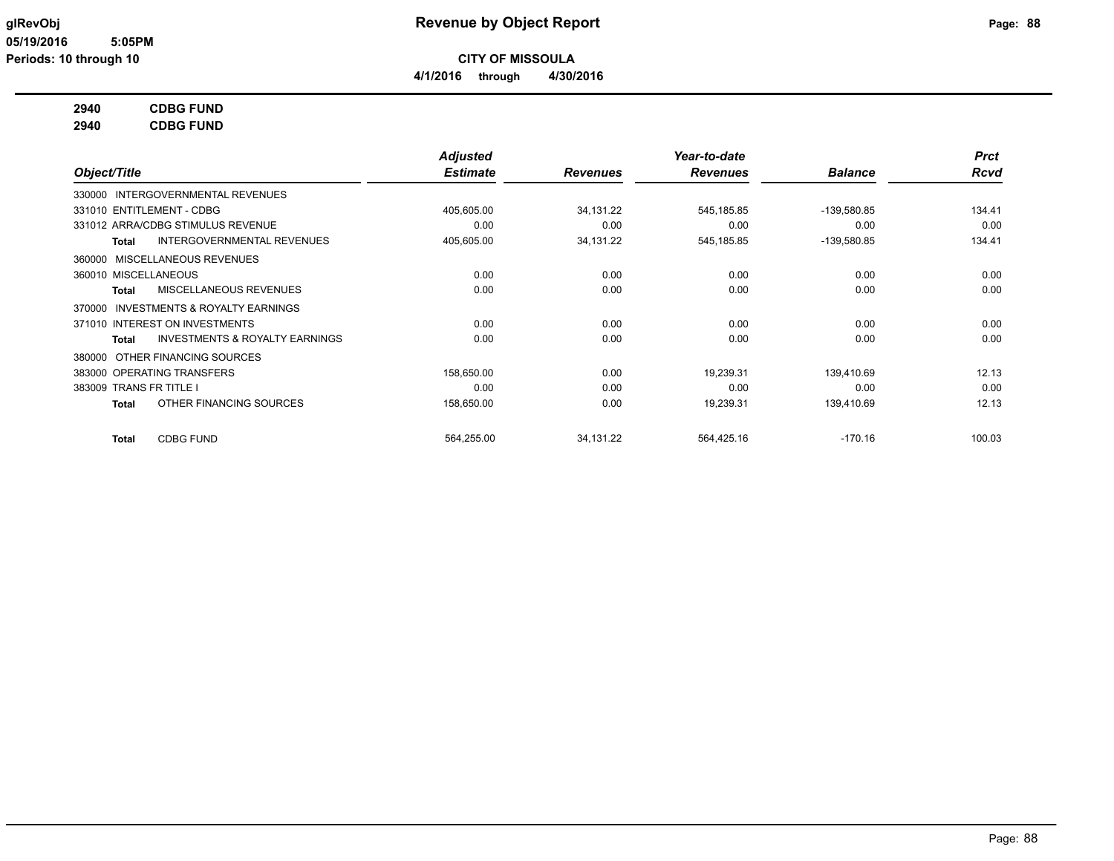**4/1/2016 through 4/30/2016**

### **2940 CDBG FUND**

**2940 CDBG FUND**

|                                                     | <b>Adjusted</b> |                 | Year-to-date    |                | <b>Prct</b> |
|-----------------------------------------------------|-----------------|-----------------|-----------------|----------------|-------------|
| Object/Title                                        | <b>Estimate</b> | <b>Revenues</b> | <b>Revenues</b> | <b>Balance</b> | <b>Rcvd</b> |
| 330000 INTERGOVERNMENTAL REVENUES                   |                 |                 |                 |                |             |
| 331010 ENTITLEMENT - CDBG                           | 405,605.00      | 34,131.22       | 545,185.85      | -139,580.85    | 134.41      |
| 331012 ARRA/CDBG STIMULUS REVENUE                   | 0.00            | 0.00            | 0.00            | 0.00           | 0.00        |
| <b>INTERGOVERNMENTAL REVENUES</b><br>Total          | 405,605.00      | 34,131.22       | 545,185.85      | $-139,580.85$  | 134.41      |
| MISCELLANEOUS REVENUES<br>360000                    |                 |                 |                 |                |             |
| 360010 MISCELLANEOUS                                | 0.00            | 0.00            | 0.00            | 0.00           | 0.00        |
| <b>MISCELLANEOUS REVENUES</b><br>Total              | 0.00            | 0.00            | 0.00            | 0.00           | 0.00        |
| <b>INVESTMENTS &amp; ROYALTY EARNINGS</b><br>370000 |                 |                 |                 |                |             |
| 371010 INTEREST ON INVESTMENTS                      | 0.00            | 0.00            | 0.00            | 0.00           | 0.00        |
| <b>INVESTMENTS &amp; ROYALTY EARNINGS</b><br>Total  | 0.00            | 0.00            | 0.00            | 0.00           | 0.00        |
| 380000 OTHER FINANCING SOURCES                      |                 |                 |                 |                |             |
| 383000 OPERATING TRANSFERS                          | 158,650.00      | 0.00            | 19.239.31       | 139.410.69     | 12.13       |
| 383009 TRANS FR TITLE I                             | 0.00            | 0.00            | 0.00            | 0.00           | 0.00        |
| OTHER FINANCING SOURCES<br>Total                    | 158,650.00      | 0.00            | 19,239.31       | 139,410.69     | 12.13       |
| <b>CDBG FUND</b><br>Total                           | 564,255.00      | 34,131.22       | 564,425.16      | $-170.16$      | 100.03      |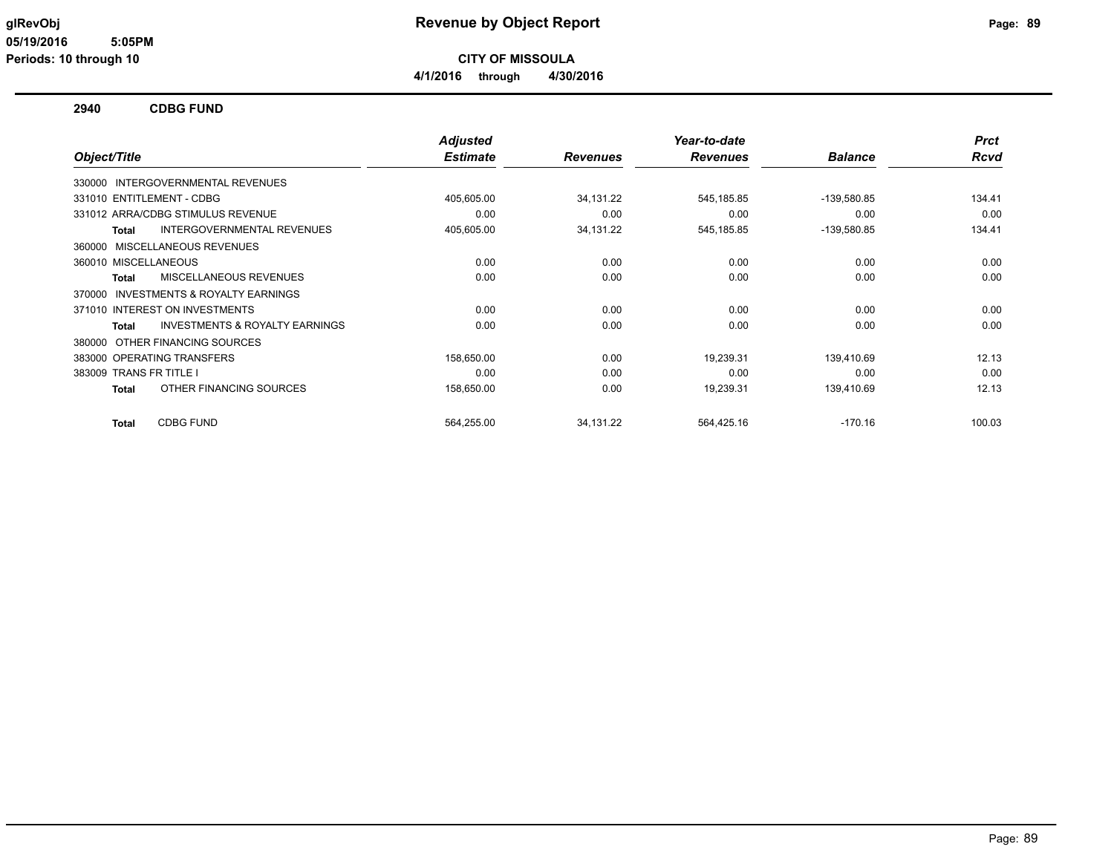**CITY OF MISSOULA**

**4/1/2016 through 4/30/2016**

### **2940 CDBG FUND**

|                                                    | <b>Adjusted</b> |                 | Year-to-date    |                | <b>Prct</b> |
|----------------------------------------------------|-----------------|-----------------|-----------------|----------------|-------------|
| Object/Title                                       | <b>Estimate</b> | <b>Revenues</b> | <b>Revenues</b> | <b>Balance</b> | Rcvd        |
| 330000 INTERGOVERNMENTAL REVENUES                  |                 |                 |                 |                |             |
| 331010 ENTITLEMENT - CDBG                          | 405,605.00      | 34,131.22       | 545,185.85      | -139,580.85    | 134.41      |
| 331012 ARRA/CDBG STIMULUS REVENUE                  | 0.00            | 0.00            | 0.00            | 0.00           | 0.00        |
| INTERGOVERNMENTAL REVENUES<br>Total                | 405,605.00      | 34,131.22       | 545,185.85      | -139,580.85    | 134.41      |
| 360000 MISCELLANEOUS REVENUES                      |                 |                 |                 |                |             |
| 360010 MISCELLANEOUS                               | 0.00            | 0.00            | 0.00            | 0.00           | 0.00        |
| MISCELLANEOUS REVENUES<br>Total                    | 0.00            | 0.00            | 0.00            | 0.00           | 0.00        |
| INVESTMENTS & ROYALTY EARNINGS<br>370000           |                 |                 |                 |                |             |
| 371010 INTEREST ON INVESTMENTS                     | 0.00            | 0.00            | 0.00            | 0.00           | 0.00        |
| <b>INVESTMENTS &amp; ROYALTY EARNINGS</b><br>Total | 0.00            | 0.00            | 0.00            | 0.00           | 0.00        |
| 380000 OTHER FINANCING SOURCES                     |                 |                 |                 |                |             |
| 383000 OPERATING TRANSFERS                         | 158,650.00      | 0.00            | 19,239.31       | 139,410.69     | 12.13       |
| 383009 TRANS FR TITLE I                            | 0.00            | 0.00            | 0.00            | 0.00           | 0.00        |
| OTHER FINANCING SOURCES<br>Total                   | 158,650.00      | 0.00            | 19,239.31       | 139,410.69     | 12.13       |
| <b>CDBG FUND</b><br>Total                          | 564,255.00      | 34,131.22       | 564.425.16      | $-170.16$      | 100.03      |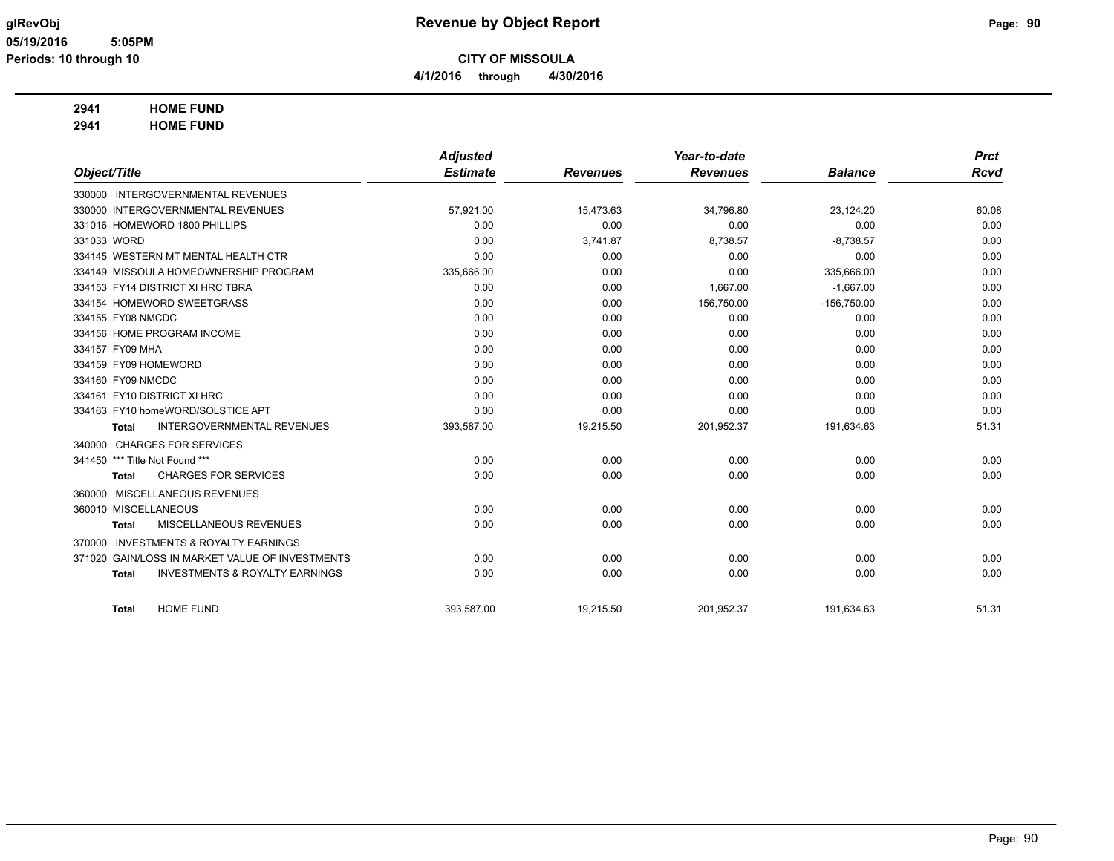**CITY OF MISSOULA**

**4/1/2016 through 4/30/2016**

#### **2941 HOME FUND**

**2941 HOME FUND**

|                                |                                           | <b>Adjusted</b> |                 | Year-to-date    |                | <b>Prct</b> |
|--------------------------------|-------------------------------------------|-----------------|-----------------|-----------------|----------------|-------------|
| Object/Title                   |                                           | <b>Estimate</b> | <b>Revenues</b> | <b>Revenues</b> | <b>Balance</b> | <b>Rcvd</b> |
|                                | 330000 INTERGOVERNMENTAL REVENUES         |                 |                 |                 |                |             |
|                                | 330000 INTERGOVERNMENTAL REVENUES         | 57,921.00       | 15,473.63       | 34,796.80       | 23,124.20      | 60.08       |
|                                | 331016 HOMEWORD 1800 PHILLIPS             | 0.00            | 0.00            | 0.00            | 0.00           | 0.00        |
| 331033 WORD                    |                                           | 0.00            | 3,741.87        | 8,738.57        | $-8,738.57$    | 0.00        |
|                                | 334145 WESTERN MT MENTAL HEALTH CTR       | 0.00            | 0.00            | 0.00            | 0.00           | 0.00        |
|                                | 334149 MISSOULA HOMEOWNERSHIP PROGRAM     | 335,666.00      | 0.00            | 0.00            | 335,666.00     | 0.00        |
|                                | 334153 FY14 DISTRICT XI HRC TBRA          | 0.00            | 0.00            | 1,667.00        | $-1,667.00$    | 0.00        |
|                                | 334154 HOMEWORD SWEETGRASS                | 0.00            | 0.00            | 156,750.00      | $-156,750.00$  | 0.00        |
| 334155 FY08 NMCDC              |                                           | 0.00            | 0.00            | 0.00            | 0.00           | 0.00        |
|                                | 334156 HOME PROGRAM INCOME                | 0.00            | 0.00            | 0.00            | 0.00           | 0.00        |
| 334157 FY09 MHA                |                                           | 0.00            | 0.00            | 0.00            | 0.00           | 0.00        |
| 334159 FY09 HOMEWORD           |                                           | 0.00            | 0.00            | 0.00            | 0.00           | 0.00        |
| 334160 FY09 NMCDC              |                                           | 0.00            | 0.00            | 0.00            | 0.00           | 0.00        |
|                                | 334161 FY10 DISTRICT XI HRC               | 0.00            | 0.00            | 0.00            | 0.00           | 0.00        |
|                                | 334163 FY10 homeWORD/SOLSTICE APT         | 0.00            | 0.00            | 0.00            | 0.00           | 0.00        |
| Total                          | <b>INTERGOVERNMENTAL REVENUES</b>         | 393,587.00      | 19,215.50       | 201,952.37      | 191,634.63     | 51.31       |
|                                | 340000 CHARGES FOR SERVICES               |                 |                 |                 |                |             |
| 341450 *** Title Not Found *** |                                           | 0.00            | 0.00            | 0.00            | 0.00           | 0.00        |
| <b>Total</b>                   | <b>CHARGES FOR SERVICES</b>               | 0.00            | 0.00            | 0.00            | 0.00           | 0.00        |
|                                | 360000 MISCELLANEOUS REVENUES             |                 |                 |                 |                |             |
| 360010 MISCELLANEOUS           |                                           | 0.00            | 0.00            | 0.00            | 0.00           | 0.00        |
| <b>Total</b>                   | <b>MISCELLANEOUS REVENUES</b>             | 0.00            | 0.00            | 0.00            | 0.00           | 0.00        |
| 370000                         | <b>INVESTMENTS &amp; ROYALTY EARNINGS</b> |                 |                 |                 |                |             |
| 371020                         | GAIN/LOSS IN MARKET VALUE OF INVESTMENTS  | 0.00            | 0.00            | 0.00            | 0.00           | 0.00        |
| <b>Total</b>                   | <b>INVESTMENTS &amp; ROYALTY EARNINGS</b> | 0.00            | 0.00            | 0.00            | 0.00           | 0.00        |
| <b>Total</b>                   | <b>HOME FUND</b>                          | 393,587.00      | 19,215.50       | 201,952.37      | 191,634.63     | 51.31       |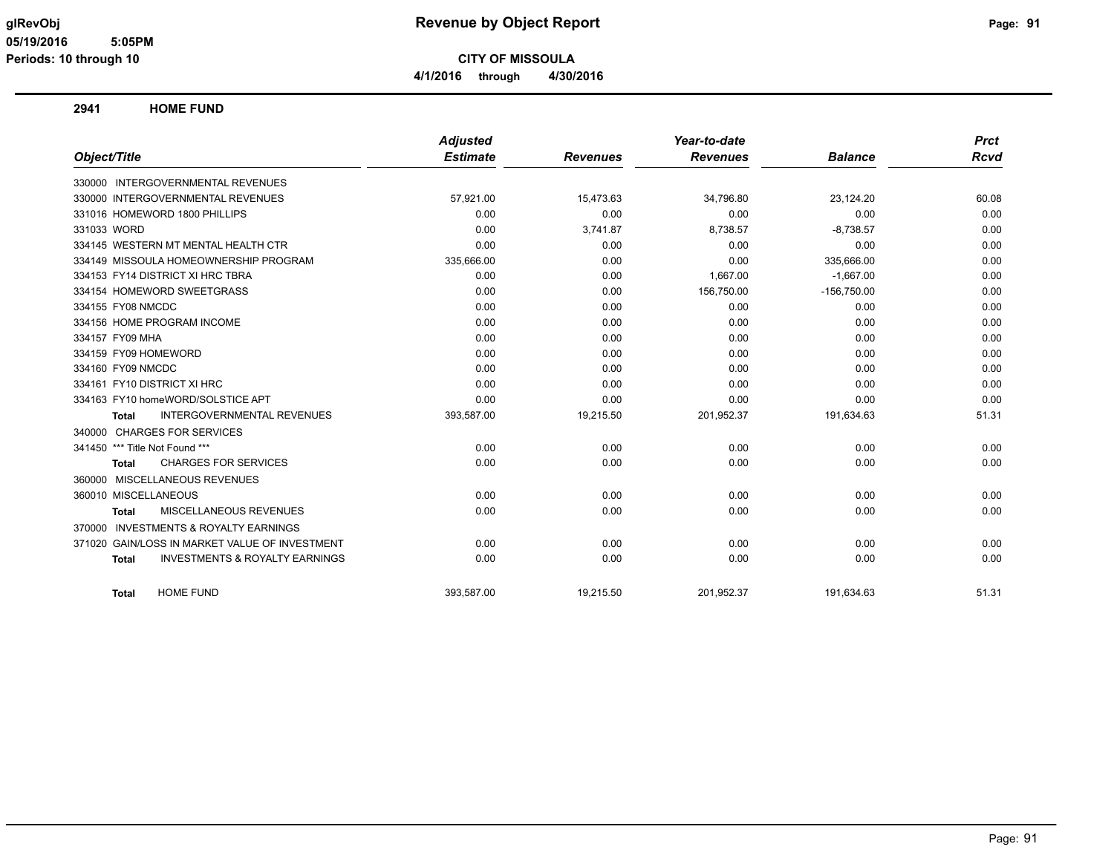**CITY OF MISSOULA 4/1/2016 through 4/30/2016**

**2941 HOME FUND**

|                                                           | <b>Adjusted</b> |                 | Year-to-date    |                | <b>Prct</b> |
|-----------------------------------------------------------|-----------------|-----------------|-----------------|----------------|-------------|
| Object/Title                                              | <b>Estimate</b> | <b>Revenues</b> | <b>Revenues</b> | <b>Balance</b> | <b>Rcvd</b> |
| 330000 INTERGOVERNMENTAL REVENUES                         |                 |                 |                 |                |             |
| 330000 INTERGOVERNMENTAL REVENUES                         | 57,921.00       | 15,473.63       | 34,796.80       | 23,124.20      | 60.08       |
| 331016 HOMEWORD 1800 PHILLIPS                             | 0.00            | 0.00            | 0.00            | 0.00           | 0.00        |
| 331033 WORD                                               | 0.00            | 3,741.87        | 8,738.57        | $-8,738.57$    | 0.00        |
| 334145 WESTERN MT MENTAL HEALTH CTR                       | 0.00            | 0.00            | 0.00            | 0.00           | 0.00        |
| 334149 MISSOULA HOMEOWNERSHIP PROGRAM                     | 335,666.00      | 0.00            | 0.00            | 335,666.00     | 0.00        |
| 334153 FY14 DISTRICT XI HRC TBRA                          | 0.00            | 0.00            | 1,667.00        | $-1,667.00$    | 0.00        |
| 334154 HOMEWORD SWEETGRASS                                | 0.00            | 0.00            | 156,750.00      | $-156,750.00$  | 0.00        |
| 334155 FY08 NMCDC                                         | 0.00            | 0.00            | 0.00            | 0.00           | 0.00        |
| 334156 HOME PROGRAM INCOME                                | 0.00            | 0.00            | 0.00            | 0.00           | 0.00        |
| 334157 FY09 MHA                                           | 0.00            | 0.00            | 0.00            | 0.00           | 0.00        |
| 334159 FY09 HOMEWORD                                      | 0.00            | 0.00            | 0.00            | 0.00           | 0.00        |
| 334160 FY09 NMCDC                                         | 0.00            | 0.00            | 0.00            | 0.00           | 0.00        |
| 334161 FY10 DISTRICT XI HRC                               | 0.00            | 0.00            | 0.00            | 0.00           | 0.00        |
| 334163 FY10 homeWORD/SOLSTICE APT                         | 0.00            | 0.00            | 0.00            | 0.00           | 0.00        |
| INTERGOVERNMENTAL REVENUES<br>Total                       | 393,587.00      | 19,215.50       | 201,952.37      | 191,634.63     | 51.31       |
| 340000 CHARGES FOR SERVICES                               |                 |                 |                 |                |             |
| 341450 *** Title Not Found ***                            | 0.00            | 0.00            | 0.00            | 0.00           | 0.00        |
| <b>CHARGES FOR SERVICES</b><br><b>Total</b>               | 0.00            | 0.00            | 0.00            | 0.00           | 0.00        |
| 360000 MISCELLANEOUS REVENUES                             |                 |                 |                 |                |             |
| 360010 MISCELLANEOUS                                      | 0.00            | 0.00            | 0.00            | 0.00           | 0.00        |
| MISCELLANEOUS REVENUES<br><b>Total</b>                    | 0.00            | 0.00            | 0.00            | 0.00           | 0.00        |
| 370000 INVESTMENTS & ROYALTY EARNINGS                     |                 |                 |                 |                |             |
| GAIN/LOSS IN MARKET VALUE OF INVESTMENT<br>371020         | 0.00            | 0.00            | 0.00            | 0.00           | 0.00        |
| <b>INVESTMENTS &amp; ROYALTY EARNINGS</b><br><b>Total</b> | 0.00            | 0.00            | 0.00            | 0.00           | 0.00        |
| <b>HOME FUND</b><br><b>Total</b>                          | 393,587.00      | 19,215.50       | 201,952.37      | 191,634.63     | 51.31       |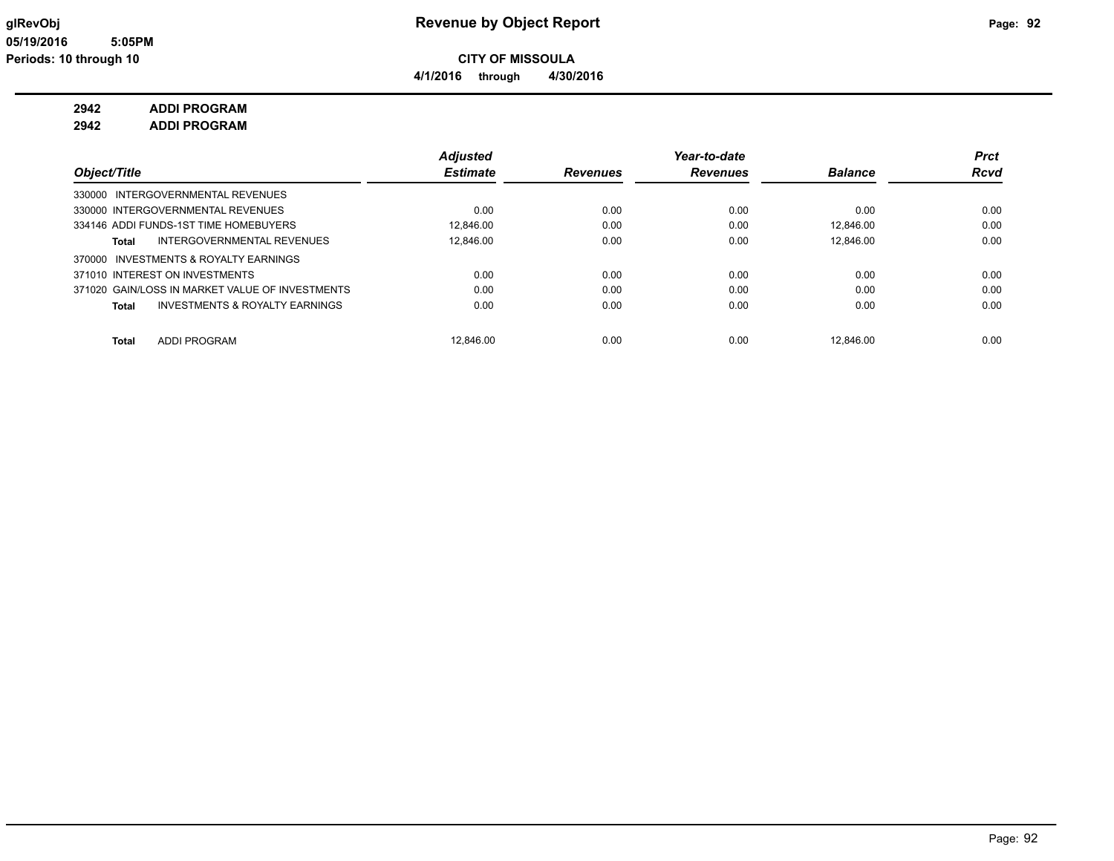**4/1/2016 through 4/30/2016**

### **2942 ADDI PROGRAM**

**2942 ADDI PROGRAM**

|                                                 | <b>Adjusted</b> |          | Year-to-date    |                | <b>Prct</b> |
|-------------------------------------------------|-----------------|----------|-----------------|----------------|-------------|
| Object/Title                                    | <b>Estimate</b> | Revenues | <b>Revenues</b> | <b>Balance</b> | <b>Rcvd</b> |
| 330000 INTERGOVERNMENTAL REVENUES               |                 |          |                 |                |             |
| 330000 INTERGOVERNMENTAL REVENUES               | 0.00            | 0.00     | 0.00            | 0.00           | 0.00        |
| 334146 ADDI FUNDS-1ST TIME HOMEBUYERS           | 12.846.00       | 0.00     | 0.00            | 12.846.00      | 0.00        |
| INTERGOVERNMENTAL REVENUES<br>Total             | 12.846.00       | 0.00     | 0.00            | 12.846.00      | 0.00        |
| 370000 INVESTMENTS & ROYALTY EARNINGS           |                 |          |                 |                |             |
| 371010 INTEREST ON INVESTMENTS                  | 0.00            | 0.00     | 0.00            | 0.00           | 0.00        |
| 371020 GAIN/LOSS IN MARKET VALUE OF INVESTMENTS | 0.00            | 0.00     | 0.00            | 0.00           | 0.00        |
| INVESTMENTS & ROYALTY EARNINGS<br>Total         | 0.00            | 0.00     | 0.00            | 0.00           | 0.00        |
| <b>ADDI PROGRAM</b><br>Total                    | 12.846.00       | 0.00     | 0.00            | 12.846.00      | 0.00        |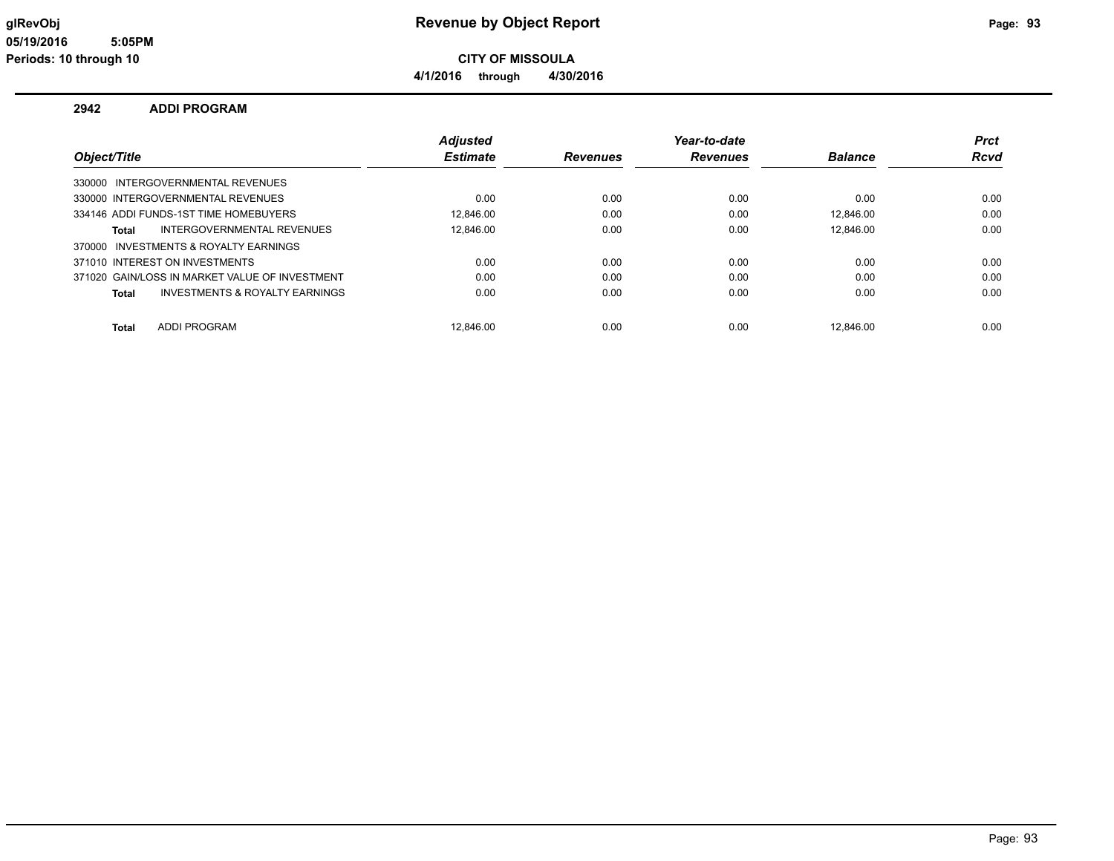**CITY OF MISSOULA**

**4/1/2016 through 4/30/2016**

#### **2942 ADDI PROGRAM**

|                                                | <b>Adjusted</b> |                 | Year-to-date    |                | <b>Prct</b> |
|------------------------------------------------|-----------------|-----------------|-----------------|----------------|-------------|
| Object/Title                                   | <b>Estimate</b> | <b>Revenues</b> | <b>Revenues</b> | <b>Balance</b> | Rcvd        |
| 330000 INTERGOVERNMENTAL REVENUES              |                 |                 |                 |                |             |
| 330000 INTERGOVERNMENTAL REVENUES              | 0.00            | 0.00            | 0.00            | 0.00           | 0.00        |
| 334146 ADDI FUNDS-1ST TIME HOMEBUYERS          | 12.846.00       | 0.00            | 0.00            | 12.846.00      | 0.00        |
| INTERGOVERNMENTAL REVENUES<br>Total            | 12.846.00       | 0.00            | 0.00            | 12.846.00      | 0.00        |
| INVESTMENTS & ROYALTY EARNINGS<br>370000       |                 |                 |                 |                |             |
| 371010 INTEREST ON INVESTMENTS                 | 0.00            | 0.00            | 0.00            | 0.00           | 0.00        |
| 371020 GAIN/LOSS IN MARKET VALUE OF INVESTMENT | 0.00            | 0.00            | 0.00            | 0.00           | 0.00        |
| INVESTMENTS & ROYALTY EARNINGS<br>Total        | 0.00            | 0.00            | 0.00            | 0.00           | 0.00        |
| <b>ADDI PROGRAM</b><br><b>Total</b>            | 12.846.00       | 0.00            | 0.00            | 12.846.00      | 0.00        |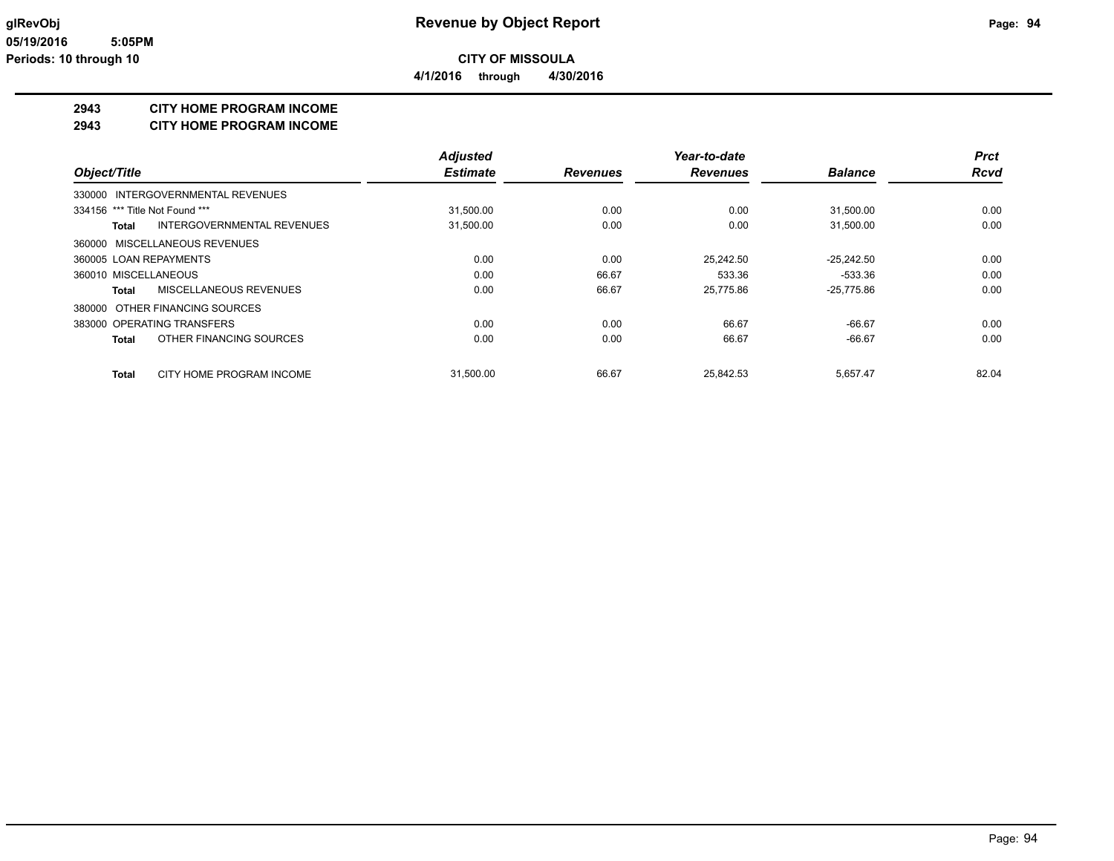**4/1/2016 through 4/30/2016**

### **2943 CITY HOME PROGRAM INCOME**

**2943 CITY HOME PROGRAM INCOME**

|                                         | <b>Adiusted</b> |                 | Year-to-date    |                | <b>Prct</b> |
|-----------------------------------------|-----------------|-----------------|-----------------|----------------|-------------|
| Object/Title                            | <b>Estimate</b> | <b>Revenues</b> | <b>Revenues</b> | <b>Balance</b> | <b>Rcvd</b> |
| 330000 INTERGOVERNMENTAL REVENUES       |                 |                 |                 |                |             |
| 334156 *** Title Not Found ***          | 31,500.00       | 0.00            | 0.00            | 31,500.00      | 0.00        |
| INTERGOVERNMENTAL REVENUES<br>Total     | 31,500.00       | 0.00            | 0.00            | 31,500.00      | 0.00        |
| 360000 MISCELLANEOUS REVENUES           |                 |                 |                 |                |             |
| 360005 LOAN REPAYMENTS                  | 0.00            | 0.00            | 25.242.50       | $-25.242.50$   | 0.00        |
| 360010 MISCELLANEOUS                    | 0.00            | 66.67           | 533.36          | -533.36        | 0.00        |
| MISCELLANEOUS REVENUES<br>Total         | 0.00            | 66.67           | 25.775.86       | $-25,775.86$   | 0.00        |
| 380000 OTHER FINANCING SOURCES          |                 |                 |                 |                |             |
| 383000 OPERATING TRANSFERS              | 0.00            | 0.00            | 66.67           | $-66.67$       | 0.00        |
| OTHER FINANCING SOURCES<br><b>Total</b> | 0.00            | 0.00            | 66.67           | $-66.67$       | 0.00        |
| CITY HOME PROGRAM INCOME<br>Total       | 31.500.00       | 66.67           | 25.842.53       | 5,657.47       | 82.04       |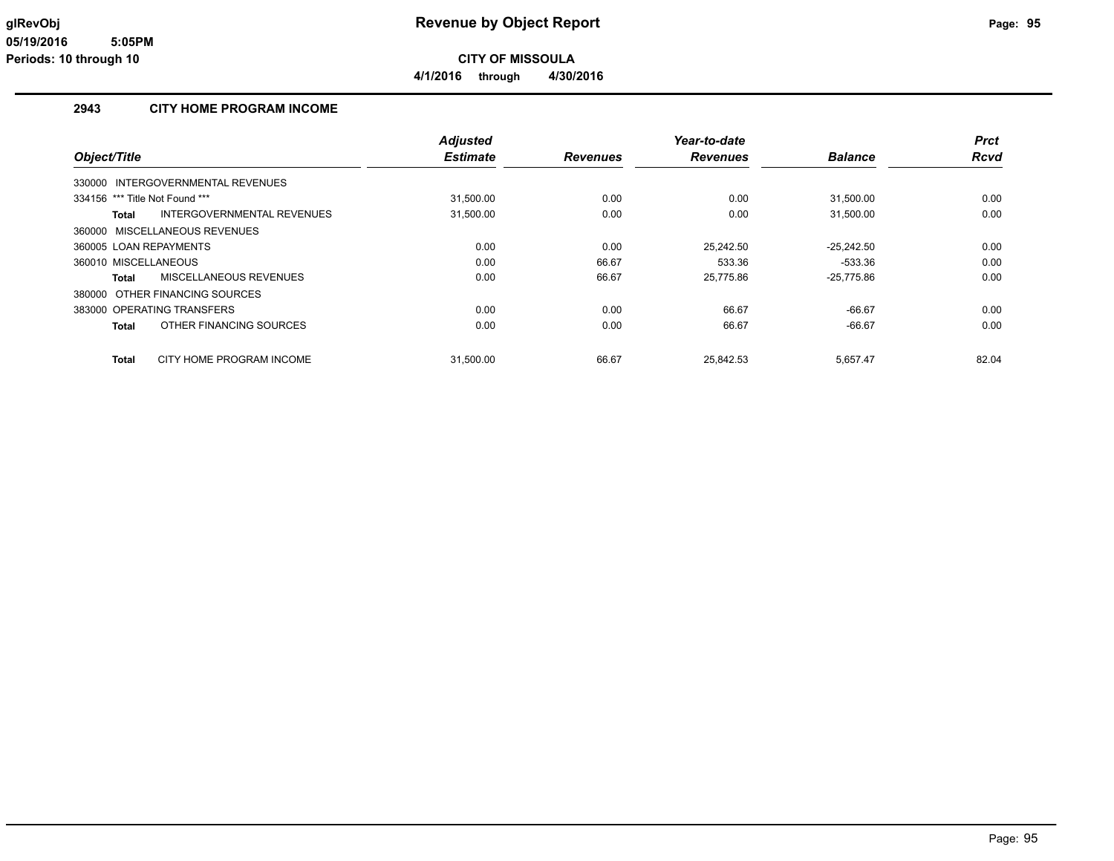**4/1/2016 through 4/30/2016**

### **2943 CITY HOME PROGRAM INCOME**

|                                |                                   | <b>Adjusted</b> |                 | Year-to-date    |                | <b>Prct</b> |
|--------------------------------|-----------------------------------|-----------------|-----------------|-----------------|----------------|-------------|
| Object/Title                   |                                   | <b>Estimate</b> | <b>Revenues</b> | <b>Revenues</b> | <b>Balance</b> | Rcvd        |
|                                | 330000 INTERGOVERNMENTAL REVENUES |                 |                 |                 |                |             |
| 334156 *** Title Not Found *** |                                   | 31,500.00       | 0.00            | 0.00            | 31,500.00      | 0.00        |
| Total                          | INTERGOVERNMENTAL REVENUES        | 31,500.00       | 0.00            | 0.00            | 31,500.00      | 0.00        |
|                                | 360000 MISCELLANEOUS REVENUES     |                 |                 |                 |                |             |
| 360005 LOAN REPAYMENTS         |                                   | 0.00            | 0.00            | 25.242.50       | $-25.242.50$   | 0.00        |
| 360010 MISCELLANEOUS           |                                   | 0.00            | 66.67           | 533.36          | $-533.36$      | 0.00        |
| Total                          | MISCELLANEOUS REVENUES            | 0.00            | 66.67           | 25,775.86       | $-25,775.86$   | 0.00        |
|                                | 380000 OTHER FINANCING SOURCES    |                 |                 |                 |                |             |
|                                | 383000 OPERATING TRANSFERS        | 0.00            | 0.00            | 66.67           | $-66.67$       | 0.00        |
| Total                          | OTHER FINANCING SOURCES           | 0.00            | 0.00            | 66.67           | $-66.67$       | 0.00        |
| Total                          | CITY HOME PROGRAM INCOME          | 31,500.00       | 66.67           | 25.842.53       | 5,657.47       | 82.04       |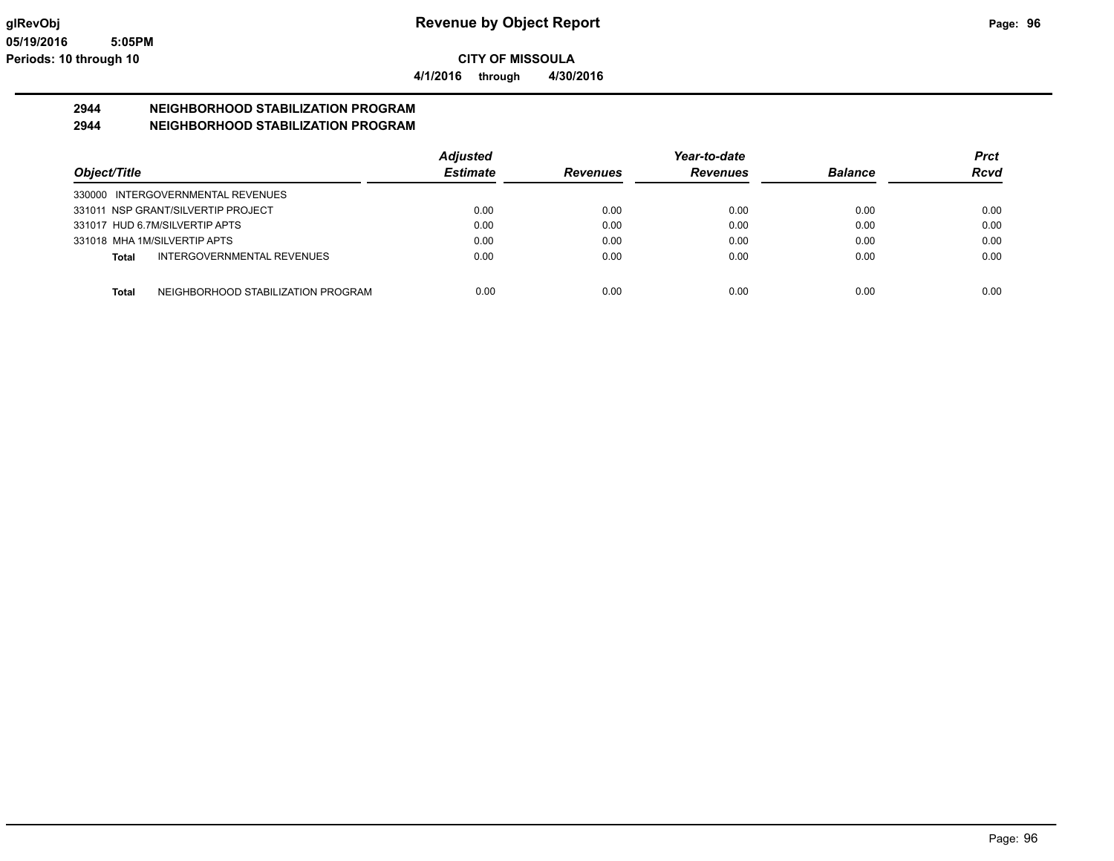**4/1/2016 through 4/30/2016**

# **2944 NEIGHBORHOOD STABILIZATION PROGRAM**

### **2944 NEIGHBORHOOD STABILIZATION PROGRAM**

|                                             | <b>Adjusted</b> |                 | Year-to-date    |                | <b>Prct</b> |
|---------------------------------------------|-----------------|-----------------|-----------------|----------------|-------------|
| Object/Title                                | <b>Estimate</b> | <b>Revenues</b> | <b>Revenues</b> | <b>Balance</b> | <b>Rcvd</b> |
| 330000 INTERGOVERNMENTAL REVENUES           |                 |                 |                 |                |             |
| 331011 NSP GRANT/SILVERTIP PROJECT          | 0.00            | 0.00            | 0.00            | 0.00           | 0.00        |
| 331017 HUD 6.7M/SILVERTIP APTS              | 0.00            | 0.00            | 0.00            | 0.00           | 0.00        |
| 331018 MHA 1M/SILVERTIP APTS                | 0.00            | 0.00            | 0.00            | 0.00           | 0.00        |
| INTERGOVERNMENTAL REVENUES<br>Total         | 0.00            | 0.00            | 0.00            | 0.00           | 0.00        |
|                                             |                 |                 |                 |                |             |
| NEIGHBORHOOD STABILIZATION PROGRAM<br>Total | 0.00            | 0.00            | 0.00            | 0.00           | 0.00        |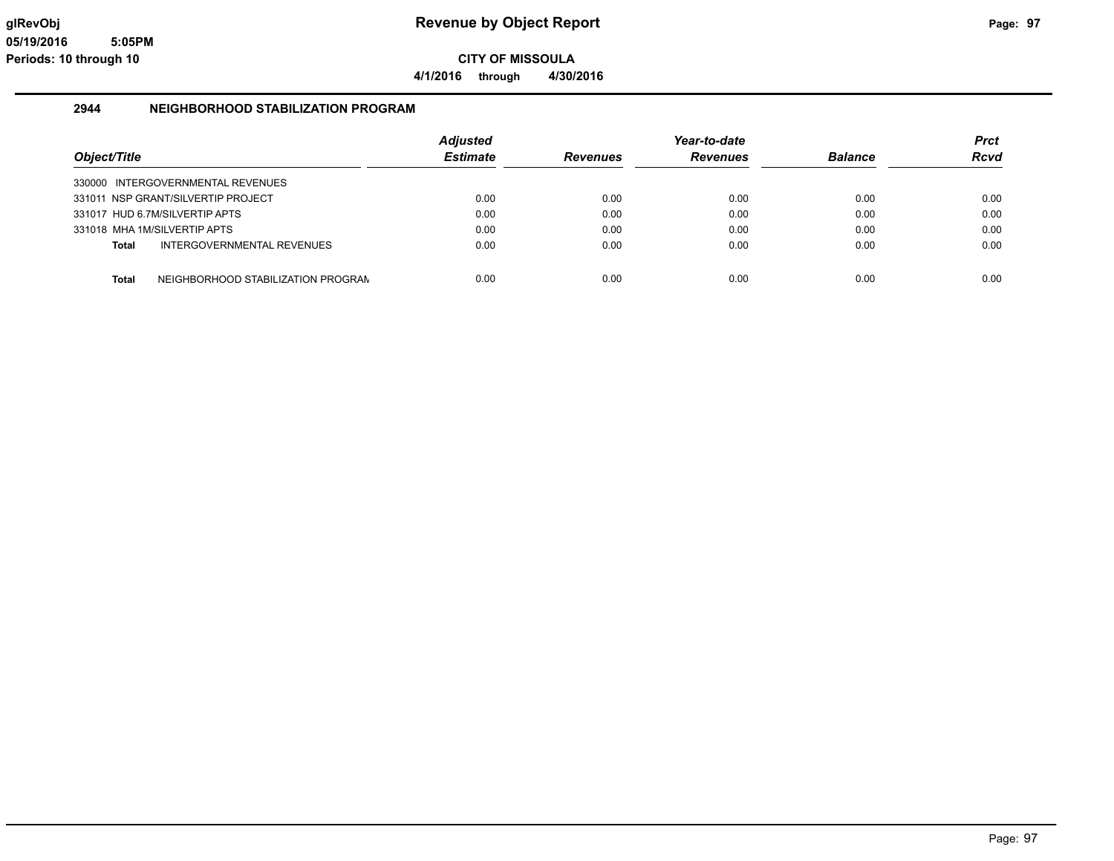**4/1/2016 through 4/30/2016**

#### **2944 NEIGHBORHOOD STABILIZATION PROGRAM**

| Object/Title |                                    | <b>Adjusted</b><br><b>Estimate</b> | <b>Revenues</b> | Year-to-date<br><b>Revenues</b> | <b>Balance</b> | <b>Prct</b><br><b>Rcvd</b> |
|--------------|------------------------------------|------------------------------------|-----------------|---------------------------------|----------------|----------------------------|
|              | 330000 INTERGOVERNMENTAL REVENUES  |                                    |                 |                                 |                |                            |
|              | 331011 NSP GRANT/SILVERTIP PROJECT | 0.00                               | 0.00            | 0.00                            | 0.00           | 0.00                       |
|              | 331017 HUD 6.7M/SILVERTIP APTS     | 0.00                               | 0.00            | 0.00                            | 0.00           | 0.00                       |
|              | 331018 MHA 1M/SILVERTIP APTS       | 0.00                               | 0.00            | 0.00                            | 0.00           | 0.00                       |
| Total        | INTERGOVERNMENTAL REVENUES         | 0.00                               | 0.00            | 0.00                            | 0.00           | 0.00                       |
| <b>Total</b> | NEIGHBORHOOD STABILIZATION PROGRAM | 0.00                               | 0.00            | 0.00                            | 0.00           | 0.00                       |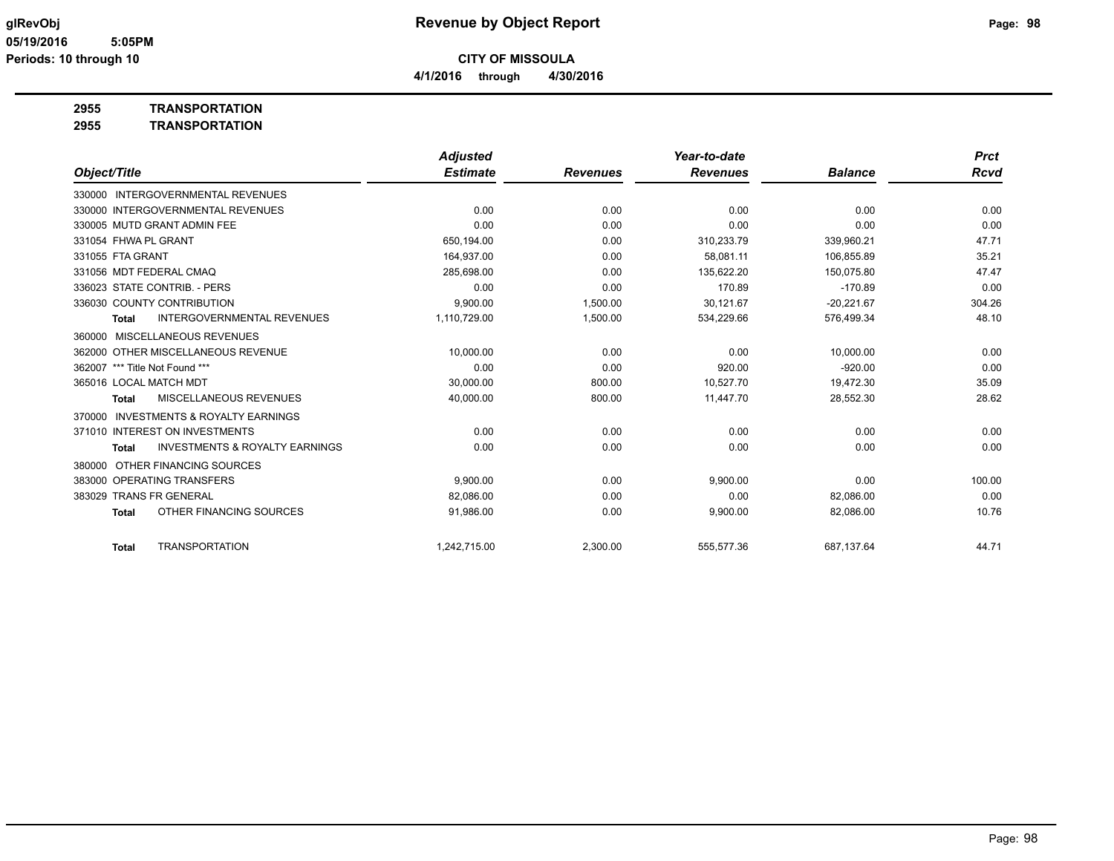**4/1/2016 through 4/30/2016**

**2955 TRANSPORTATION**

| 2955 | <b>TRANSPORTATION</b> |
|------|-----------------------|
|      |                       |

|                                                           | <b>Adjusted</b> |                 | Year-to-date    |                | <b>Prct</b> |
|-----------------------------------------------------------|-----------------|-----------------|-----------------|----------------|-------------|
| Object/Title                                              | <b>Estimate</b> | <b>Revenues</b> | <b>Revenues</b> | <b>Balance</b> | <b>Rcvd</b> |
| 330000 INTERGOVERNMENTAL REVENUES                         |                 |                 |                 |                |             |
| 330000 INTERGOVERNMENTAL REVENUES                         | 0.00            | 0.00            | 0.00            | 0.00           | 0.00        |
| 330005 MUTD GRANT ADMIN FEE                               | 0.00            | 0.00            | 0.00            | 0.00           | 0.00        |
| 331054 FHWA PL GRANT                                      | 650,194.00      | 0.00            | 310,233.79      | 339,960.21     | 47.71       |
| 331055 FTA GRANT                                          | 164.937.00      | 0.00            | 58.081.11       | 106.855.89     | 35.21       |
| 331056 MDT FEDERAL CMAQ                                   | 285,698.00      | 0.00            | 135,622.20      | 150.075.80     | 47.47       |
| 336023 STATE CONTRIB. - PERS                              | 0.00            | 0.00            | 170.89          | $-170.89$      | 0.00        |
| 336030 COUNTY CONTRIBUTION                                | 9,900.00        | 1.500.00        | 30.121.67       | $-20,221.67$   | 304.26      |
| <b>INTERGOVERNMENTAL REVENUES</b><br><b>Total</b>         | 1,110,729.00    | 1,500.00        | 534,229.66      | 576,499.34     | 48.10       |
| <b>MISCELLANEOUS REVENUES</b><br>360000                   |                 |                 |                 |                |             |
| 362000 OTHER MISCELLANEOUS REVENUE                        | 10,000.00       | 0.00            | 0.00            | 10,000.00      | 0.00        |
| 362007 *** Title Not Found ***                            | 0.00            | 0.00            | 920.00          | $-920.00$      | 0.00        |
| 365016 LOCAL MATCH MDT                                    | 30,000.00       | 800.00          | 10,527.70       | 19,472.30      | 35.09       |
| <b>MISCELLANEOUS REVENUES</b><br><b>Total</b>             | 40,000.00       | 800.00          | 11,447.70       | 28,552.30      | 28.62       |
| <b>INVESTMENTS &amp; ROYALTY EARNINGS</b><br>370000       |                 |                 |                 |                |             |
| 371010 INTEREST ON INVESTMENTS                            | 0.00            | 0.00            | 0.00            | 0.00           | 0.00        |
| <b>INVESTMENTS &amp; ROYALTY EARNINGS</b><br><b>Total</b> | 0.00            | 0.00            | 0.00            | 0.00           | 0.00        |
| OTHER FINANCING SOURCES<br>380000                         |                 |                 |                 |                |             |
| 383000 OPERATING TRANSFERS                                | 9.900.00        | 0.00            | 9,900.00        | 0.00           | 100.00      |
| 383029 TRANS FR GENERAL                                   | 82,086.00       | 0.00            | 0.00            | 82.086.00      | 0.00        |
| OTHER FINANCING SOURCES<br><b>Total</b>                   | 91,986.00       | 0.00            | 9,900.00        | 82,086.00      | 10.76       |
| <b>TRANSPORTATION</b><br><b>Total</b>                     | 1,242,715.00    | 2,300.00        | 555,577.36      | 687,137.64     | 44.71       |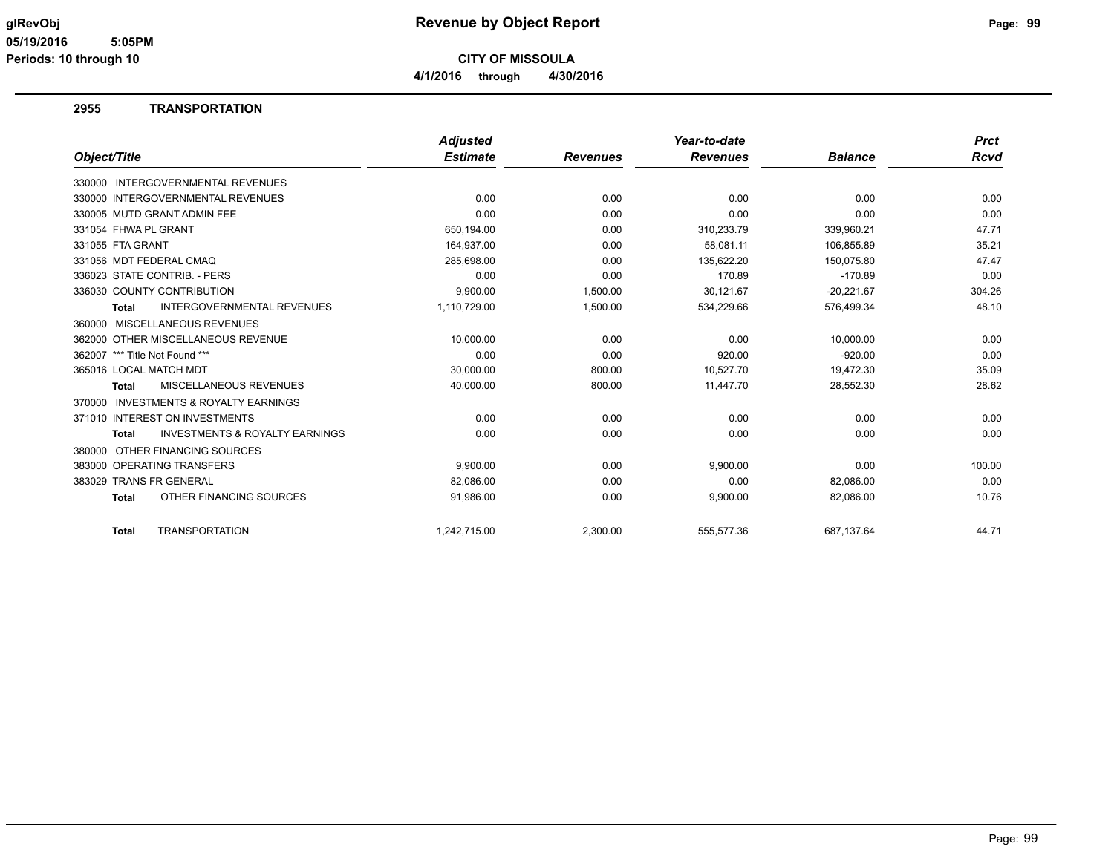**4/1/2016 through 4/30/2016**

#### **2955 TRANSPORTATION**

|                                                           | <b>Adjusted</b> |                 | Year-to-date    |                | <b>Prct</b> |
|-----------------------------------------------------------|-----------------|-----------------|-----------------|----------------|-------------|
| Object/Title                                              | <b>Estimate</b> | <b>Revenues</b> | <b>Revenues</b> | <b>Balance</b> | Rcvd        |
| 330000 INTERGOVERNMENTAL REVENUES                         |                 |                 |                 |                |             |
| 330000 INTERGOVERNMENTAL REVENUES                         | 0.00            | 0.00            | 0.00            | 0.00           | 0.00        |
| 330005 MUTD GRANT ADMIN FEE                               | 0.00            | 0.00            | 0.00            | 0.00           | 0.00        |
| 331054 FHWA PL GRANT                                      | 650,194.00      | 0.00            | 310,233.79      | 339,960.21     | 47.71       |
| 331055 FTA GRANT                                          | 164,937.00      | 0.00            | 58,081.11       | 106,855.89     | 35.21       |
| 331056 MDT FEDERAL CMAQ                                   | 285,698.00      | 0.00            | 135,622.20      | 150,075.80     | 47.47       |
| 336023 STATE CONTRIB. - PERS                              | 0.00            | 0.00            | 170.89          | $-170.89$      | 0.00        |
| 336030 COUNTY CONTRIBUTION                                | 9.900.00        | 1,500.00        | 30,121.67       | $-20,221.67$   | 304.26      |
| <b>INTERGOVERNMENTAL REVENUES</b><br><b>Total</b>         | 1,110,729.00    | 1,500.00        | 534,229.66      | 576,499.34     | 48.10       |
| 360000 MISCELLANEOUS REVENUES                             |                 |                 |                 |                |             |
| 362000 OTHER MISCELLANEOUS REVENUE                        | 10,000.00       | 0.00            | 0.00            | 10,000.00      | 0.00        |
| 362007 *** Title Not Found ***                            | 0.00            | 0.00            | 920.00          | $-920.00$      | 0.00        |
| 365016 LOCAL MATCH MDT                                    | 30,000.00       | 800.00          | 10,527.70       | 19,472.30      | 35.09       |
| MISCELLANEOUS REVENUES<br><b>Total</b>                    | 40,000.00       | 800.00          | 11,447.70       | 28,552.30      | 28.62       |
| <b>INVESTMENTS &amp; ROYALTY EARNINGS</b><br>370000       |                 |                 |                 |                |             |
| 371010 INTEREST ON INVESTMENTS                            | 0.00            | 0.00            | 0.00            | 0.00           | 0.00        |
| <b>INVESTMENTS &amp; ROYALTY EARNINGS</b><br><b>Total</b> | 0.00            | 0.00            | 0.00            | 0.00           | 0.00        |
| OTHER FINANCING SOURCES<br>380000                         |                 |                 |                 |                |             |
| 383000 OPERATING TRANSFERS                                | 9,900.00        | 0.00            | 9,900.00        | 0.00           | 100.00      |
| 383029 TRANS FR GENERAL                                   | 82,086.00       | 0.00            | 0.00            | 82,086.00      | 0.00        |
| OTHER FINANCING SOURCES<br><b>Total</b>                   | 91,986.00       | 0.00            | 9,900.00        | 82,086.00      | 10.76       |
| <b>TRANSPORTATION</b><br><b>Total</b>                     | 1.242.715.00    | 2,300.00        | 555,577.36      | 687,137.64     | 44.71       |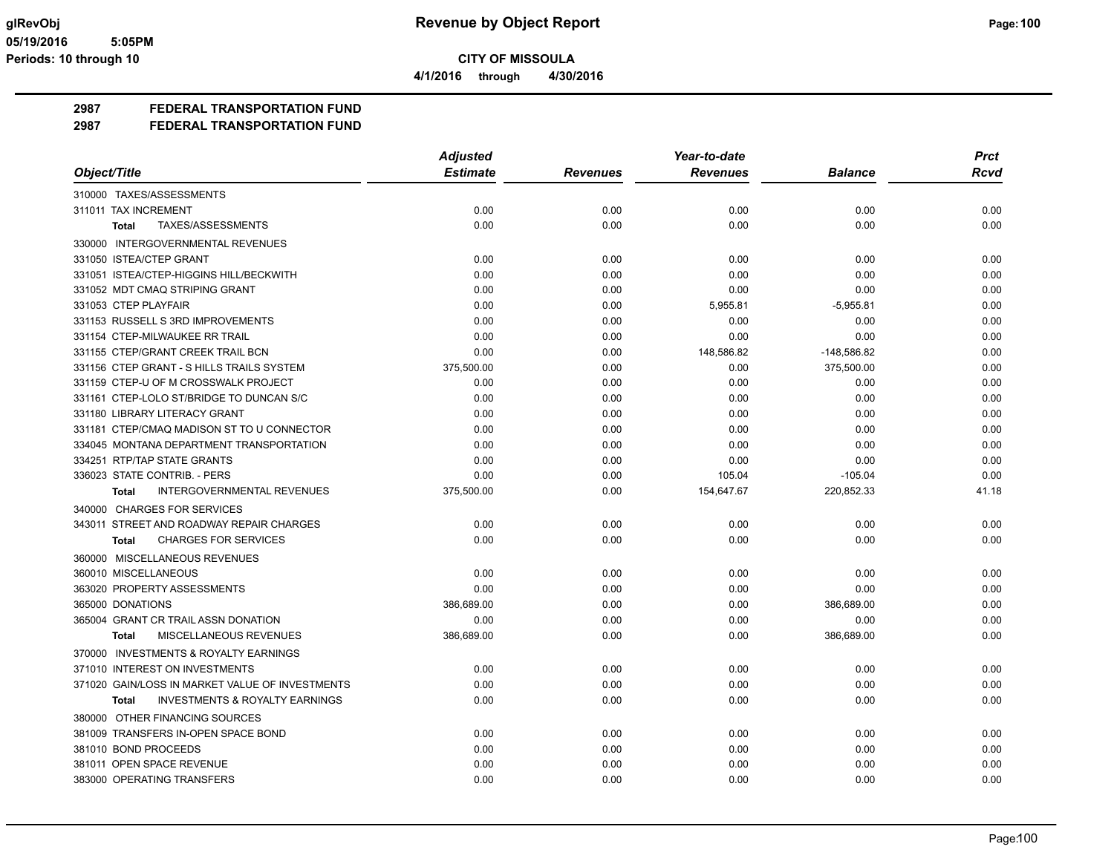**4/1/2016 through 4/30/2016**

## **2987 FEDERAL TRANSPORTATION FUND**

|                                                           | <b>Adjusted</b> |                 | Year-to-date    |                | <b>Prct</b> |
|-----------------------------------------------------------|-----------------|-----------------|-----------------|----------------|-------------|
| Object/Title                                              | <b>Estimate</b> | <b>Revenues</b> | <b>Revenues</b> | <b>Balance</b> | Rcvd        |
| 310000 TAXES/ASSESSMENTS                                  |                 |                 |                 |                |             |
| 311011 TAX INCREMENT                                      | 0.00            | 0.00            | 0.00            | 0.00           | 0.00        |
| TAXES/ASSESSMENTS<br><b>Total</b>                         | 0.00            | 0.00            | 0.00            | 0.00           | 0.00        |
| 330000 INTERGOVERNMENTAL REVENUES                         |                 |                 |                 |                |             |
| 331050 ISTEA/CTEP GRANT                                   | 0.00            | 0.00            | 0.00            | 0.00           | 0.00        |
| 331051 ISTEA/CTEP-HIGGINS HILL/BECKWITH                   | 0.00            | 0.00            | 0.00            | 0.00           | 0.00        |
| 331052 MDT CMAQ STRIPING GRANT                            | 0.00            | 0.00            | 0.00            | 0.00           | 0.00        |
| 331053 CTEP PLAYFAIR                                      | 0.00            | 0.00            | 5,955.81        | $-5,955.81$    | 0.00        |
| 331153 RUSSELL S 3RD IMPROVEMENTS                         | 0.00            | 0.00            | 0.00            | 0.00           | 0.00        |
| 331154 CTEP-MILWAUKEE RR TRAIL                            | 0.00            | 0.00            | 0.00            | 0.00           | 0.00        |
| 331155 CTEP/GRANT CREEK TRAIL BCN                         | 0.00            | 0.00            | 148,586.82      | $-148,586.82$  | 0.00        |
| 331156 CTEP GRANT - S HILLS TRAILS SYSTEM                 | 375,500.00      | 0.00            | 0.00            | 375,500.00     | 0.00        |
| 331159 CTEP-U OF M CROSSWALK PROJECT                      | 0.00            | 0.00            | 0.00            | 0.00           | 0.00        |
| 331161 CTEP-LOLO ST/BRIDGE TO DUNCAN S/C                  | 0.00            | 0.00            | 0.00            | 0.00           | 0.00        |
| 331180 LIBRARY LITERACY GRANT                             | 0.00            | 0.00            | 0.00            | 0.00           | 0.00        |
| 331181 CTEP/CMAQ MADISON ST TO U CONNECTOR                | 0.00            | 0.00            | 0.00            | 0.00           | 0.00        |
| 334045 MONTANA DEPARTMENT TRANSPORTATION                  | 0.00            | 0.00            | 0.00            | 0.00           | 0.00        |
| 334251 RTP/TAP STATE GRANTS                               | 0.00            | 0.00            | 0.00            | 0.00           | 0.00        |
| 336023 STATE CONTRIB. - PERS                              | 0.00            | 0.00            | 105.04          | $-105.04$      | 0.00        |
| INTERGOVERNMENTAL REVENUES<br><b>Total</b>                | 375,500.00      | 0.00            | 154,647.67      | 220,852.33     | 41.18       |
| 340000 CHARGES FOR SERVICES                               |                 |                 |                 |                |             |
| 343011 STREET AND ROADWAY REPAIR CHARGES                  | 0.00            | 0.00            | 0.00            | 0.00           | 0.00        |
| <b>CHARGES FOR SERVICES</b><br><b>Total</b>               | 0.00            | 0.00            | 0.00            | 0.00           | 0.00        |
| 360000 MISCELLANEOUS REVENUES                             |                 |                 |                 |                |             |
| 360010 MISCELLANEOUS                                      | 0.00            | 0.00            | 0.00            | 0.00           | 0.00        |
| 363020 PROPERTY ASSESSMENTS                               | 0.00            | 0.00            | 0.00            | 0.00           | 0.00        |
| 365000 DONATIONS                                          | 386,689.00      | 0.00            | 0.00            | 386,689.00     | 0.00        |
| 365004 GRANT CR TRAIL ASSN DONATION                       | 0.00            | 0.00            | 0.00            | 0.00           | 0.00        |
| MISCELLANEOUS REVENUES<br><b>Total</b>                    | 386,689.00      | 0.00            | 0.00            | 386,689.00     | 0.00        |
| 370000 INVESTMENTS & ROYALTY EARNINGS                     |                 |                 |                 |                |             |
| 371010 INTEREST ON INVESTMENTS                            | 0.00            | 0.00            | 0.00            | 0.00           | 0.00        |
| 371020 GAIN/LOSS IN MARKET VALUE OF INVESTMENTS           | 0.00            | 0.00            | 0.00            | 0.00           | 0.00        |
| <b>INVESTMENTS &amp; ROYALTY EARNINGS</b><br><b>Total</b> | 0.00            | 0.00            | 0.00            | 0.00           | 0.00        |
| 380000 OTHER FINANCING SOURCES                            |                 |                 |                 |                |             |
| 381009 TRANSFERS IN-OPEN SPACE BOND                       | 0.00            | 0.00            | 0.00            | 0.00           | 0.00        |
| 381010 BOND PROCEEDS                                      | 0.00            | 0.00            | 0.00            | 0.00           | 0.00        |
| 381011 OPEN SPACE REVENUE                                 | 0.00            | 0.00            | 0.00            | 0.00           | 0.00        |
| 383000 OPERATING TRANSFERS                                | 0.00            | 0.00            | 0.00            | 0.00           | 0.00        |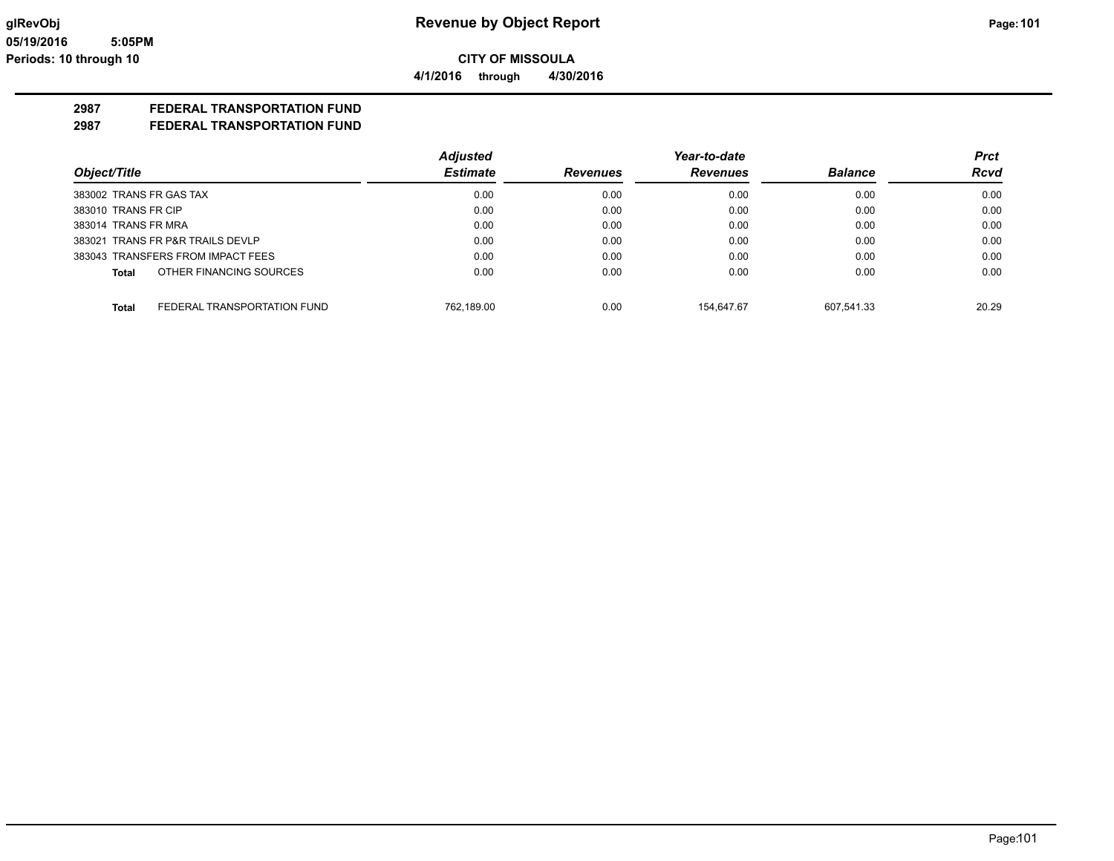### **2987 FEDERAL TRANSPORTATION FUND**

|                                             | <b>Adjusted</b> |                 | Year-to-date    |                | <b>Prct</b> |
|---------------------------------------------|-----------------|-----------------|-----------------|----------------|-------------|
| Object/Title                                | <b>Estimate</b> | <b>Revenues</b> | <b>Revenues</b> | <b>Balance</b> | <b>Rcvd</b> |
| 383002 TRANS FR GAS TAX                     | 0.00            | 0.00            | 0.00            | 0.00           | 0.00        |
| 383010 TRANS FR CIP                         | 0.00            | 0.00            | 0.00            | 0.00           | 0.00        |
| 383014 TRANS FR MRA                         | 0.00            | 0.00            | 0.00            | 0.00           | 0.00        |
| 383021 TRANS FR P&R TRAILS DEVLP            | 0.00            | 0.00            | 0.00            | 0.00           | 0.00        |
| 383043 TRANSFERS FROM IMPACT FEES           | 0.00            | 0.00            | 0.00            | 0.00           | 0.00        |
| OTHER FINANCING SOURCES<br>Total            | 0.00            | 0.00            | 0.00            | 0.00           | 0.00        |
| <b>Total</b><br>FEDERAL TRANSPORTATION FUND | 762.189.00      | 0.00            | 154.647.67      | 607.541.33     | 20.29       |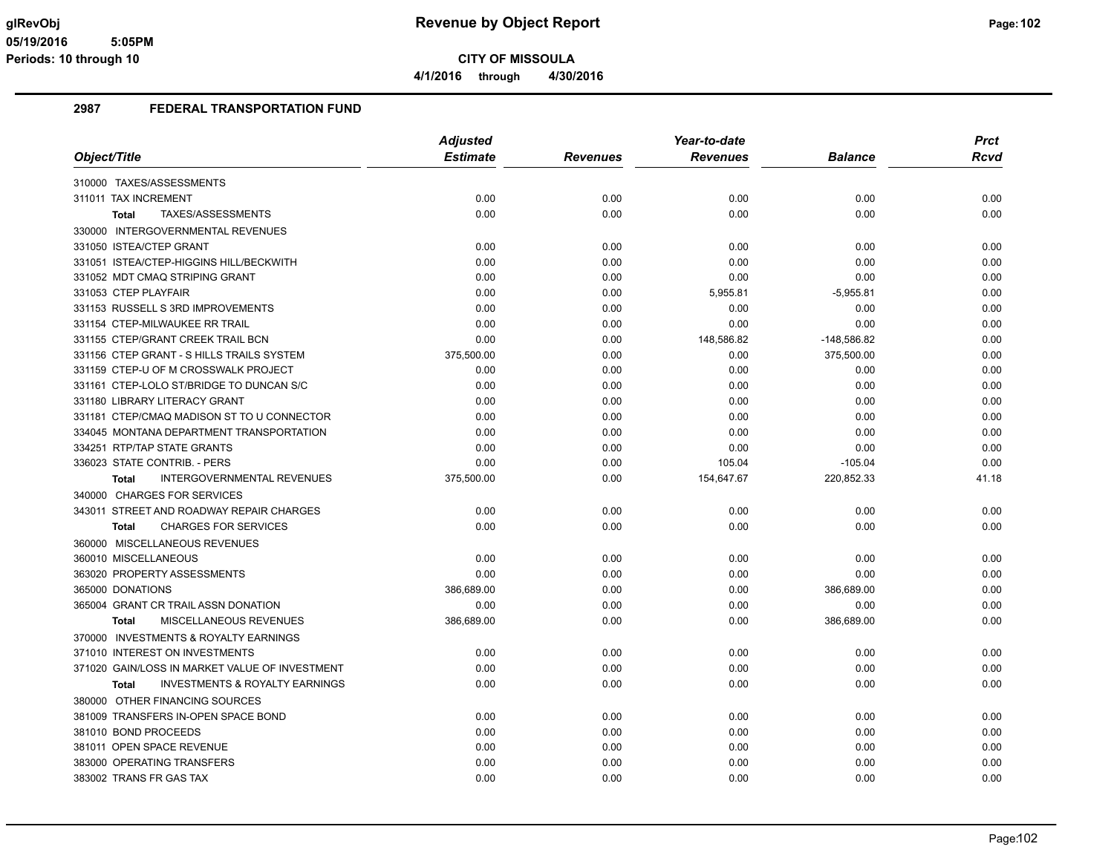**4/1/2016 through 4/30/2016**

|                                                           | <b>Adjusted</b> |                 | Year-to-date    |                | <b>Prct</b> |
|-----------------------------------------------------------|-----------------|-----------------|-----------------|----------------|-------------|
| Object/Title                                              | <b>Estimate</b> | <b>Revenues</b> | <b>Revenues</b> | <b>Balance</b> | <b>Rcvd</b> |
| 310000 TAXES/ASSESSMENTS                                  |                 |                 |                 |                |             |
| 311011 TAX INCREMENT                                      | 0.00            | 0.00            | 0.00            | 0.00           | 0.00        |
| TAXES/ASSESSMENTS<br><b>Total</b>                         | 0.00            | 0.00            | 0.00            | 0.00           | 0.00        |
| 330000 INTERGOVERNMENTAL REVENUES                         |                 |                 |                 |                |             |
| 331050 ISTEA/CTEP GRANT                                   | 0.00            | 0.00            | 0.00            | 0.00           | 0.00        |
| 331051 ISTEA/CTEP-HIGGINS HILL/BECKWITH                   | 0.00            | 0.00            | 0.00            | 0.00           | 0.00        |
| 331052 MDT CMAQ STRIPING GRANT                            | 0.00            | 0.00            | 0.00            | 0.00           | 0.00        |
| 331053 CTEP PLAYFAIR                                      | 0.00            | 0.00            | 5,955.81        | $-5,955.81$    | 0.00        |
| 331153 RUSSELL S 3RD IMPROVEMENTS                         | 0.00            | 0.00            | 0.00            | 0.00           | 0.00        |
| 331154 CTEP-MILWAUKEE RR TRAIL                            | 0.00            | 0.00            | 0.00            | 0.00           | 0.00        |
| 331155 CTEP/GRANT CREEK TRAIL BCN                         | 0.00            | 0.00            | 148,586.82      | $-148,586.82$  | 0.00        |
| 331156 CTEP GRANT - S HILLS TRAILS SYSTEM                 | 375,500.00      | 0.00            | 0.00            | 375,500.00     | 0.00        |
| 331159 CTEP-U OF M CROSSWALK PROJECT                      | 0.00            | 0.00            | 0.00            | 0.00           | 0.00        |
| 331161 CTEP-LOLO ST/BRIDGE TO DUNCAN S/C                  | 0.00            | 0.00            | 0.00            | 0.00           | 0.00        |
| 331180 LIBRARY LITERACY GRANT                             | 0.00            | 0.00            | 0.00            | 0.00           | 0.00        |
| 331181 CTEP/CMAQ MADISON ST TO U CONNECTOR                | 0.00            | 0.00            | 0.00            | 0.00           | 0.00        |
| 334045 MONTANA DEPARTMENT TRANSPORTATION                  | 0.00            | 0.00            | 0.00            | 0.00           | 0.00        |
| 334251 RTP/TAP STATE GRANTS                               | 0.00            | 0.00            | 0.00            | 0.00           | 0.00        |
| 336023 STATE CONTRIB. - PERS                              | 0.00            | 0.00            | 105.04          | $-105.04$      | 0.00        |
| <b>INTERGOVERNMENTAL REVENUES</b><br><b>Total</b>         | 375,500.00      | 0.00            | 154,647.67      | 220,852.33     | 41.18       |
| 340000 CHARGES FOR SERVICES                               |                 |                 |                 |                |             |
| 343011 STREET AND ROADWAY REPAIR CHARGES                  | 0.00            | 0.00            | 0.00            | 0.00           | 0.00        |
| <b>CHARGES FOR SERVICES</b><br><b>Total</b>               | 0.00            | 0.00            | 0.00            | 0.00           | 0.00        |
| 360000 MISCELLANEOUS REVENUES                             |                 |                 |                 |                |             |
| 360010 MISCELLANEOUS                                      | 0.00            | 0.00            | 0.00            | 0.00           | 0.00        |
| 363020 PROPERTY ASSESSMENTS                               | 0.00            | 0.00            | 0.00            | 0.00           | 0.00        |
| 365000 DONATIONS                                          | 386,689.00      | 0.00            | 0.00            | 386,689.00     | 0.00        |
| 365004 GRANT CR TRAIL ASSN DONATION                       | 0.00            | 0.00            | 0.00            | 0.00           | 0.00        |
| MISCELLANEOUS REVENUES<br><b>Total</b>                    | 386,689.00      | 0.00            | 0.00            | 386,689.00     | 0.00        |
| 370000 INVESTMENTS & ROYALTY EARNINGS                     |                 |                 |                 |                |             |
| 371010 INTEREST ON INVESTMENTS                            | 0.00            | 0.00            | 0.00            | 0.00           | 0.00        |
| 371020 GAIN/LOSS IN MARKET VALUE OF INVESTMENT            | 0.00            | 0.00            | 0.00            | 0.00           | 0.00        |
| <b>INVESTMENTS &amp; ROYALTY EARNINGS</b><br><b>Total</b> | 0.00            | 0.00            | 0.00            | 0.00           | 0.00        |
| 380000 OTHER FINANCING SOURCES                            |                 |                 |                 |                |             |
| 381009 TRANSFERS IN-OPEN SPACE BOND                       | 0.00            | 0.00            | 0.00            | 0.00           | 0.00        |
| 381010 BOND PROCEEDS                                      | 0.00            | 0.00            | 0.00            | 0.00           | 0.00        |
| 381011 OPEN SPACE REVENUE                                 | 0.00            | 0.00            | 0.00            | 0.00           | 0.00        |
| 383000 OPERATING TRANSFERS                                | 0.00            | 0.00            | 0.00            | 0.00           | 0.00        |
| 383002 TRANS FR GAS TAX                                   | 0.00            | 0.00            | 0.00            | 0.00           | 0.00        |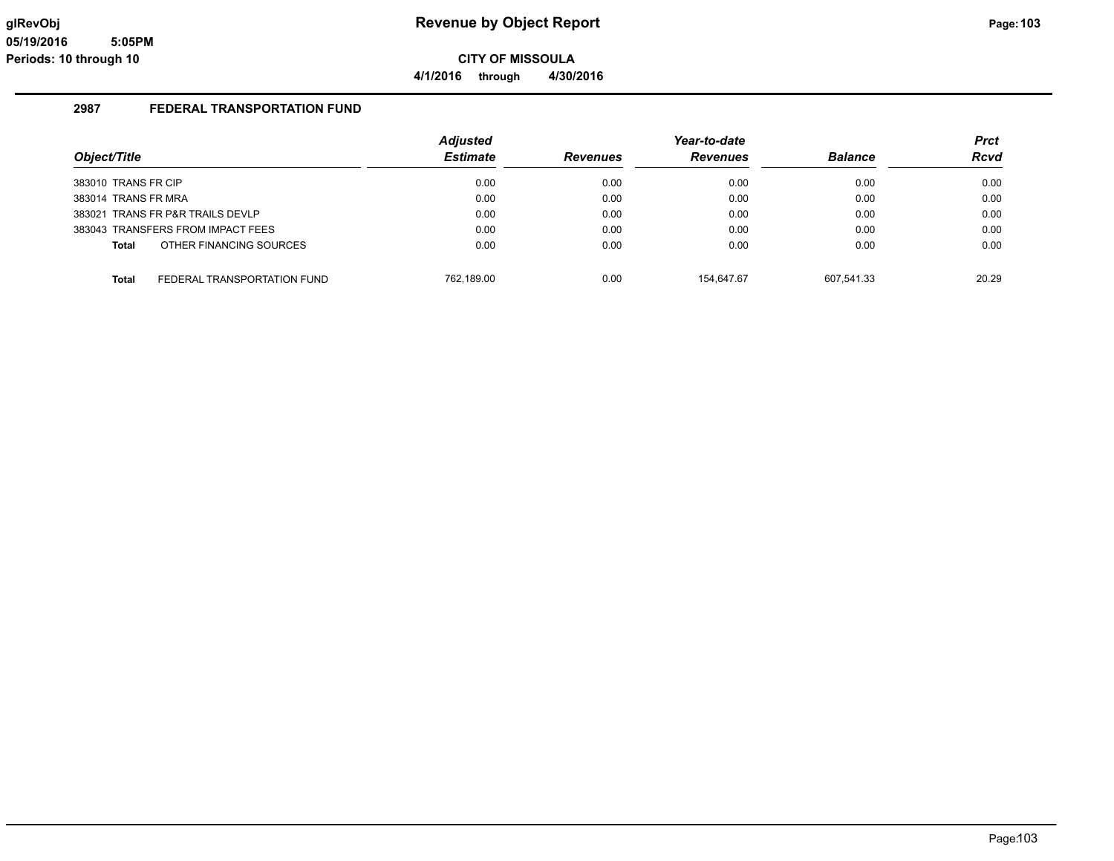**4/1/2016 through 4/30/2016**

|                                             | <b>Adjusted</b> |                 | Year-to-date    |                | <b>Prct</b> |
|---------------------------------------------|-----------------|-----------------|-----------------|----------------|-------------|
| Object/Title                                | <b>Estimate</b> | <b>Revenues</b> | <b>Revenues</b> | <b>Balance</b> | <b>Rcvd</b> |
| 383010 TRANS FR CIP                         | 0.00            | 0.00            | 0.00            | 0.00           | 0.00        |
| 383014 TRANS FR MRA                         | 0.00            | 0.00            | 0.00            | 0.00           | 0.00        |
| 383021 TRANS FR P&R TRAILS DEVLP            | 0.00            | 0.00            | 0.00            | 0.00           | 0.00        |
| 383043 TRANSFERS FROM IMPACT FEES           | 0.00            | 0.00            | 0.00            | 0.00           | 0.00        |
| OTHER FINANCING SOURCES<br><b>Total</b>     | 0.00            | 0.00            | 0.00            | 0.00           | 0.00        |
| <b>Total</b><br>FEDERAL TRANSPORTATION FUND | 762.189.00      | 0.00            | 154.647.67      | 607.541.33     | 20.29       |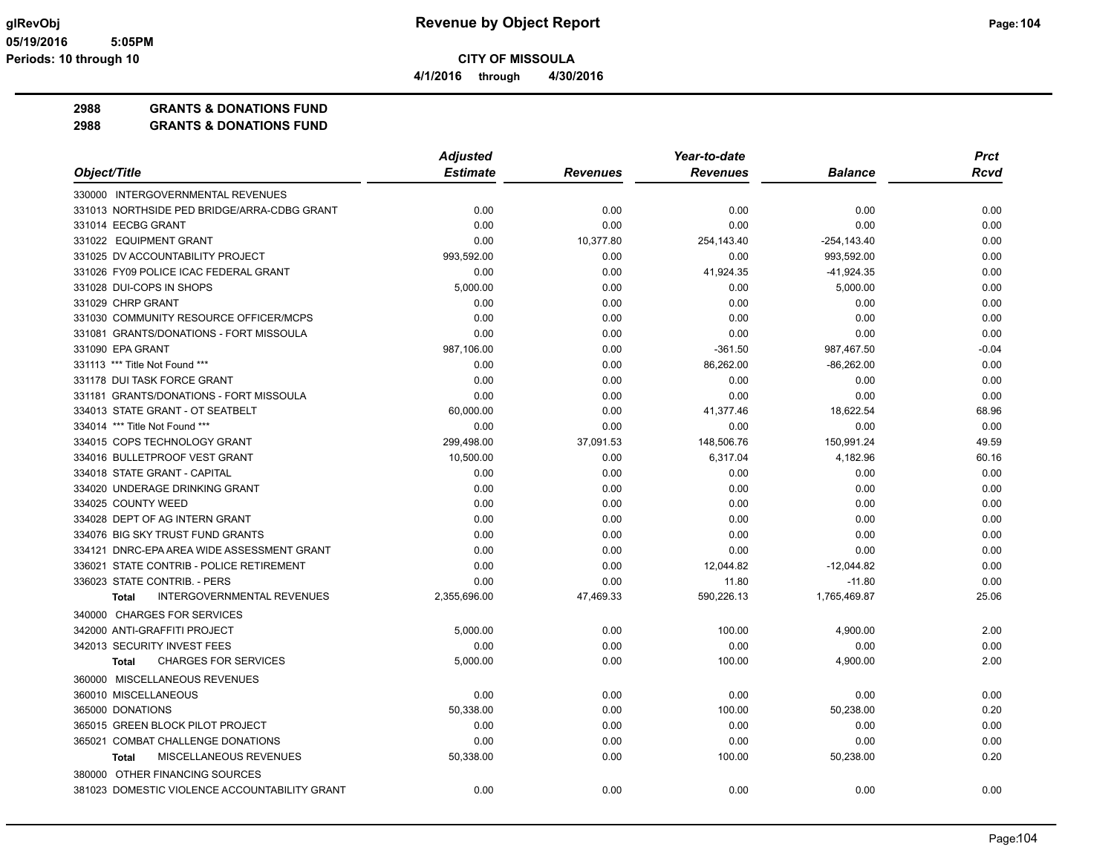**4/1/2016 through 4/30/2016**

# **2988 GRANTS & DONATIONS FUND**

|                                               | <b>Adjusted</b> |                 | Year-to-date    |                | <b>Prct</b> |
|-----------------------------------------------|-----------------|-----------------|-----------------|----------------|-------------|
| Object/Title                                  | <b>Estimate</b> | <b>Revenues</b> | <b>Revenues</b> | <b>Balance</b> | Rcvd        |
| 330000 INTERGOVERNMENTAL REVENUES             |                 |                 |                 |                |             |
| 331013 NORTHSIDE PED BRIDGE/ARRA-CDBG GRANT   | 0.00            | 0.00            | 0.00            | 0.00           | 0.00        |
| 331014 EECBG GRANT                            | 0.00            | 0.00            | 0.00            | 0.00           | 0.00        |
| 331022 EQUIPMENT GRANT                        | 0.00            | 10,377.80       | 254,143.40      | $-254, 143.40$ | 0.00        |
| 331025 DV ACCOUNTABILITY PROJECT              | 993,592.00      | 0.00            | 0.00            | 993.592.00     | 0.00        |
| 331026 FY09 POLICE ICAC FEDERAL GRANT         | 0.00            | 0.00            | 41,924.35       | $-41,924.35$   | 0.00        |
| 331028 DUI-COPS IN SHOPS                      | 5.000.00        | 0.00            | 0.00            | 5,000.00       | 0.00        |
| 331029 CHRP GRANT                             | 0.00            | 0.00            | 0.00            | 0.00           | 0.00        |
| 331030 COMMUNITY RESOURCE OFFICER/MCPS        | 0.00            | 0.00            | 0.00            | 0.00           | 0.00        |
| 331081 GRANTS/DONATIONS - FORT MISSOULA       | 0.00            | 0.00            | 0.00            | 0.00           | 0.00        |
| 331090 EPA GRANT                              | 987,106.00      | 0.00            | $-361.50$       | 987,467.50     | $-0.04$     |
| 331113 *** Title Not Found ***                | 0.00            | 0.00            | 86,262.00       | $-86,262.00$   | 0.00        |
| 331178 DUI TASK FORCE GRANT                   | 0.00            | 0.00            | 0.00            | 0.00           | 0.00        |
| 331181 GRANTS/DONATIONS - FORT MISSOULA       | 0.00            | 0.00            | 0.00            | 0.00           | 0.00        |
| 334013 STATE GRANT - OT SEATBELT              | 60,000.00       | 0.00            | 41,377.46       | 18,622.54      | 68.96       |
| 334014 *** Title Not Found ***                | 0.00            | 0.00            | 0.00            | 0.00           | 0.00        |
| 334015 COPS TECHNOLOGY GRANT                  | 299,498.00      | 37,091.53       | 148,506.76      | 150,991.24     | 49.59       |
| 334016 BULLETPROOF VEST GRANT                 | 10,500.00       | 0.00            | 6,317.04        | 4,182.96       | 60.16       |
| 334018 STATE GRANT - CAPITAL                  | 0.00            | 0.00            | 0.00            | 0.00           | 0.00        |
| 334020 UNDERAGE DRINKING GRANT                | 0.00            | 0.00            | 0.00            | 0.00           | 0.00        |
| 334025 COUNTY WEED                            | 0.00            | 0.00            | 0.00            | 0.00           | 0.00        |
| 334028 DEPT OF AG INTERN GRANT                | 0.00            | 0.00            | 0.00            | 0.00           | 0.00        |
| 334076 BIG SKY TRUST FUND GRANTS              | 0.00            | 0.00            | 0.00            | 0.00           | 0.00        |
| 334121 DNRC-EPA AREA WIDE ASSESSMENT GRANT    | 0.00            | 0.00            | 0.00            | 0.00           | 0.00        |
| 336021 STATE CONTRIB - POLICE RETIREMENT      | 0.00            | 0.00            | 12,044.82       | $-12,044.82$   | 0.00        |
| 336023 STATE CONTRIB. - PERS                  | 0.00            | 0.00            | 11.80           | $-11.80$       | 0.00        |
| <b>INTERGOVERNMENTAL REVENUES</b><br>Total    | 2,355,696.00    | 47,469.33       | 590,226.13      | 1,765,469.87   | 25.06       |
| 340000 CHARGES FOR SERVICES                   |                 |                 |                 |                |             |
| 342000 ANTI-GRAFFITI PROJECT                  | 5,000.00        | 0.00            | 100.00          | 4,900.00       | 2.00        |
| 342013 SECURITY INVEST FEES                   | 0.00            | 0.00            | 0.00            | 0.00           | 0.00        |
| <b>CHARGES FOR SERVICES</b><br><b>Total</b>   | 5,000.00        | 0.00            | 100.00          | 4,900.00       | 2.00        |
| 360000 MISCELLANEOUS REVENUES                 |                 |                 |                 |                |             |
| 360010 MISCELLANEOUS                          | 0.00            | 0.00            | 0.00            | 0.00           | 0.00        |
| 365000 DONATIONS                              | 50,338.00       | 0.00            | 100.00          | 50,238.00      | 0.20        |
| 365015 GREEN BLOCK PILOT PROJECT              | 0.00            | 0.00            | 0.00            | 0.00           | 0.00        |
| 365021 COMBAT CHALLENGE DONATIONS             | 0.00            | 0.00            | 0.00            | 0.00           | 0.00        |
| MISCELLANEOUS REVENUES<br><b>Total</b>        | 50,338.00       | 0.00            | 100.00          | 50,238.00      | 0.20        |
| 380000 OTHER FINANCING SOURCES                |                 |                 |                 |                |             |
| 381023 DOMESTIC VIOLENCE ACCOUNTABILITY GRANT | 0.00            | 0.00            | 0.00            | 0.00           | 0.00        |
|                                               |                 |                 |                 |                |             |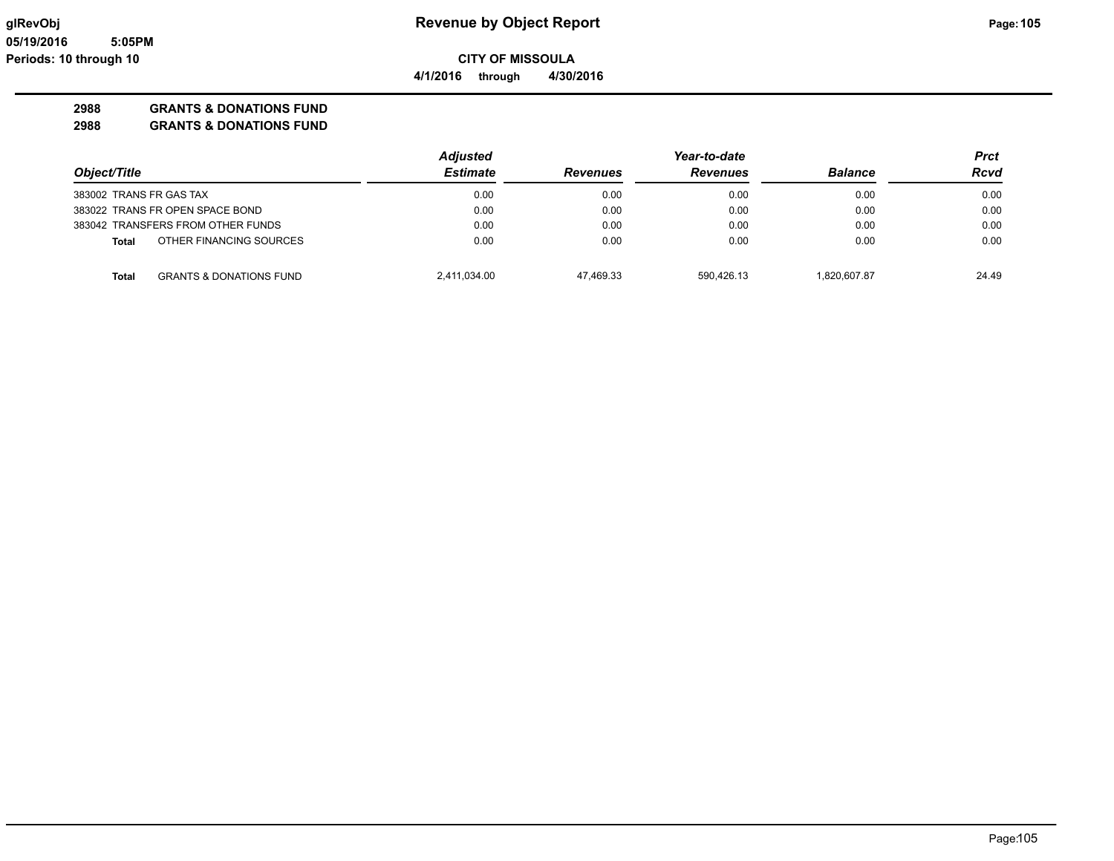### **2988 GRANTS & DONATIONS FUND**

|                                                    | <b>Adjusted</b> |                 | Year-to-date    |                | Prct  |
|----------------------------------------------------|-----------------|-----------------|-----------------|----------------|-------|
| Object/Title                                       | <b>Estimate</b> | <b>Revenues</b> | <b>Revenues</b> | <b>Balance</b> | Rcvd  |
| 383002 TRANS FR GAS TAX                            | 0.00            | 0.00            | 0.00            | 0.00           | 0.00  |
| 383022 TRANS FR OPEN SPACE BOND                    | 0.00            | 0.00            | 0.00            | 0.00           | 0.00  |
| 383042 TRANSFERS FROM OTHER FUNDS                  | 0.00            | 0.00            | 0.00            | 0.00           | 0.00  |
| OTHER FINANCING SOURCES<br><b>Total</b>            | 0.00            | 0.00            | 0.00            | 0.00           | 0.00  |
| <b>GRANTS &amp; DONATIONS FUND</b><br><b>Total</b> | 2,411,034.00    | 47.469.33       | 590.426.13      | 1.820.607.87   | 24.49 |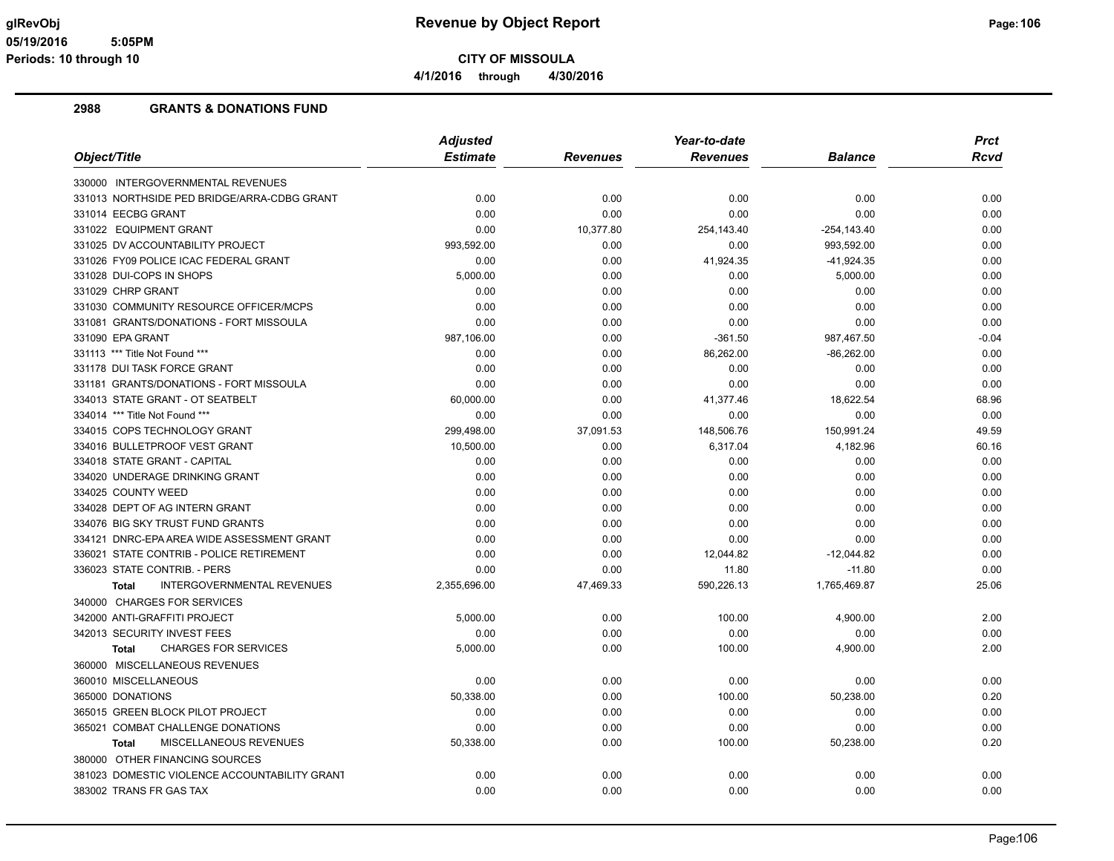**4/1/2016 through 4/30/2016**

|                                                   | <b>Adjusted</b> |                 | Year-to-date    |                | <b>Prct</b> |
|---------------------------------------------------|-----------------|-----------------|-----------------|----------------|-------------|
| Object/Title                                      | <b>Estimate</b> | <b>Revenues</b> | <b>Revenues</b> | <b>Balance</b> | <b>Rcvd</b> |
| 330000 INTERGOVERNMENTAL REVENUES                 |                 |                 |                 |                |             |
| 331013 NORTHSIDE PED BRIDGE/ARRA-CDBG GRANT       | 0.00            | 0.00            | 0.00            | 0.00           | 0.00        |
| 331014 EECBG GRANT                                | 0.00            | 0.00            | 0.00            | 0.00           | 0.00        |
| 331022 EQUIPMENT GRANT                            | 0.00            | 10,377.80       | 254,143.40      | $-254, 143.40$ | 0.00        |
| 331025 DV ACCOUNTABILITY PROJECT                  | 993,592.00      | 0.00            | 0.00            | 993,592.00     | 0.00        |
| 331026 FY09 POLICE ICAC FEDERAL GRANT             | 0.00            | 0.00            | 41,924.35       | $-41,924.35$   | 0.00        |
| 331028 DUI-COPS IN SHOPS                          | 5,000.00        | 0.00            | 0.00            | 5,000.00       | 0.00        |
| 331029 CHRP GRANT                                 | 0.00            | 0.00            | 0.00            | 0.00           | 0.00        |
| 331030 COMMUNITY RESOURCE OFFICER/MCPS            | 0.00            | 0.00            | 0.00            | 0.00           | 0.00        |
| 331081 GRANTS/DONATIONS - FORT MISSOULA           | 0.00            | 0.00            | 0.00            | 0.00           | 0.00        |
| 331090 EPA GRANT                                  | 987,106.00      | 0.00            | $-361.50$       | 987,467.50     | $-0.04$     |
| 331113 *** Title Not Found ***                    | 0.00            | 0.00            | 86,262.00       | $-86,262.00$   | 0.00        |
| 331178 DUI TASK FORCE GRANT                       | 0.00            | 0.00            | 0.00            | 0.00           | 0.00        |
| 331181 GRANTS/DONATIONS - FORT MISSOULA           | 0.00            | 0.00            | 0.00            | 0.00           | 0.00        |
| 334013 STATE GRANT - OT SEATBELT                  | 60,000.00       | 0.00            | 41,377.46       | 18,622.54      | 68.96       |
| 334014 *** Title Not Found ***                    | 0.00            | 0.00            | 0.00            | 0.00           | 0.00        |
| 334015 COPS TECHNOLOGY GRANT                      | 299,498.00      | 37,091.53       | 148,506.76      | 150,991.24     | 49.59       |
| 334016 BULLETPROOF VEST GRANT                     | 10,500.00       | 0.00            | 6,317.04        | 4,182.96       | 60.16       |
| 334018 STATE GRANT - CAPITAL                      | 0.00            | 0.00            | 0.00            | 0.00           | 0.00        |
| 334020 UNDERAGE DRINKING GRANT                    | 0.00            | 0.00            | 0.00            | 0.00           | 0.00        |
| 334025 COUNTY WEED                                | 0.00            | 0.00            | 0.00            | 0.00           | 0.00        |
| 334028 DEPT OF AG INTERN GRANT                    | 0.00            | 0.00            | 0.00            | 0.00           | 0.00        |
| 334076 BIG SKY TRUST FUND GRANTS                  | 0.00            | 0.00            | 0.00            | 0.00           | 0.00        |
| 334121 DNRC-EPA AREA WIDE ASSESSMENT GRANT        | 0.00            | 0.00            | 0.00            | 0.00           | 0.00        |
| 336021 STATE CONTRIB - POLICE RETIREMENT          | 0.00            | 0.00            | 12,044.82       | $-12,044.82$   | 0.00        |
| 336023 STATE CONTRIB. - PERS                      | 0.00            | 0.00            | 11.80           | $-11.80$       | 0.00        |
| <b>INTERGOVERNMENTAL REVENUES</b><br><b>Total</b> | 2,355,696.00    | 47,469.33       | 590,226.13      | 1,765,469.87   | 25.06       |
| 340000 CHARGES FOR SERVICES                       |                 |                 |                 |                |             |
| 342000 ANTI-GRAFFITI PROJECT                      | 5,000.00        | 0.00            | 100.00          | 4,900.00       | 2.00        |
| 342013 SECURITY INVEST FEES                       | 0.00            | 0.00            | 0.00            | 0.00           | 0.00        |
| <b>CHARGES FOR SERVICES</b><br><b>Total</b>       | 5,000.00        | 0.00            | 100.00          | 4,900.00       | 2.00        |
| 360000 MISCELLANEOUS REVENUES                     |                 |                 |                 |                |             |
| 360010 MISCELLANEOUS                              | 0.00            | 0.00            | 0.00            | 0.00           | 0.00        |
| 365000 DONATIONS                                  | 50,338.00       | 0.00            | 100.00          | 50,238.00      | 0.20        |
| 365015 GREEN BLOCK PILOT PROJECT                  | 0.00            | 0.00            | 0.00            | 0.00           | 0.00        |
| 365021 COMBAT CHALLENGE DONATIONS                 | 0.00            | 0.00            | 0.00            | 0.00           | 0.00        |
| MISCELLANEOUS REVENUES<br><b>Total</b>            | 50,338.00       | 0.00            | 100.00          | 50,238.00      | 0.20        |
| 380000 OTHER FINANCING SOURCES                    |                 |                 |                 |                |             |
| 381023 DOMESTIC VIOLENCE ACCOUNTABILITY GRANT     | 0.00            | 0.00            | 0.00            | 0.00           | 0.00        |
| 383002 TRANS FR GAS TAX                           | 0.00            | 0.00            | 0.00            | 0.00           | 0.00        |
|                                                   |                 |                 |                 |                |             |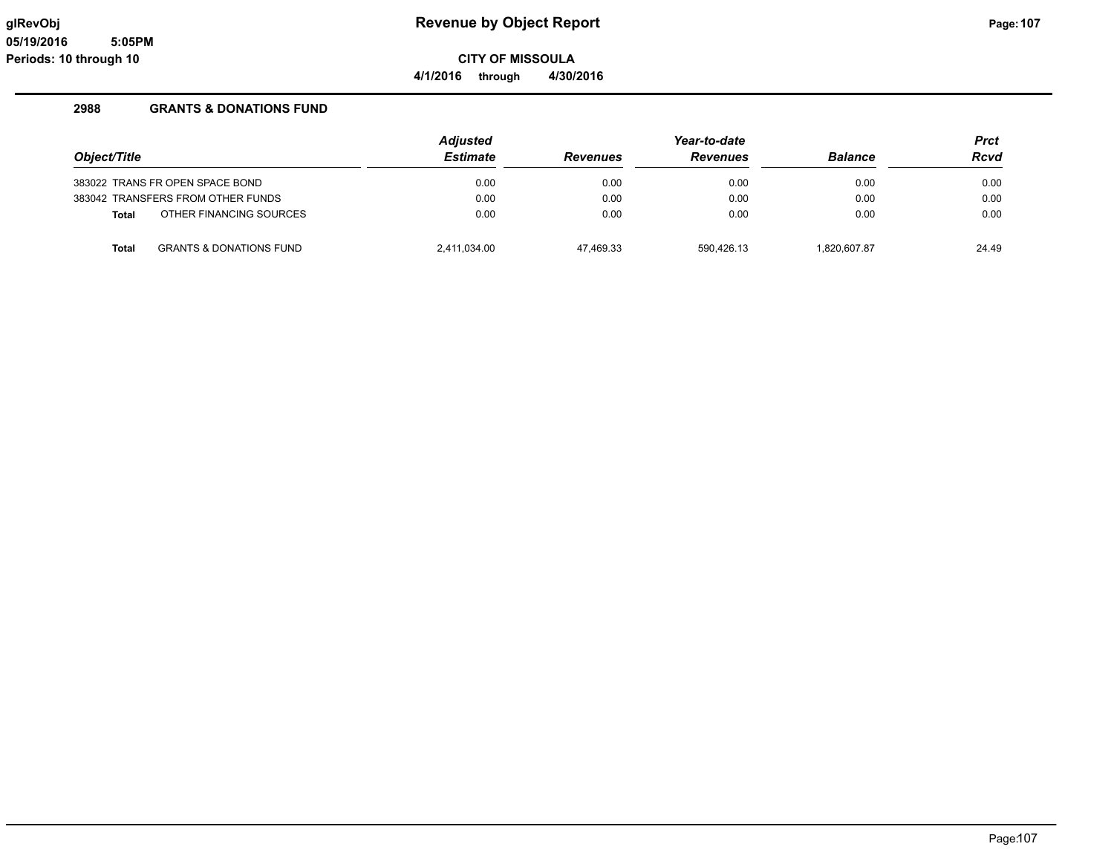**CITY OF MISSOULA**

**4/1/2016 through 4/30/2016**

|              |                                    | <b>Adjusted</b> |                 | <b>Prct</b>     |                |       |
|--------------|------------------------------------|-----------------|-----------------|-----------------|----------------|-------|
| Object/Title |                                    | <b>Estimate</b> | <b>Revenues</b> | <b>Revenues</b> | <b>Balance</b> | Rcvd  |
|              | 383022 TRANS FR OPEN SPACE BOND    | 0.00            | 0.00            | 0.00            | 0.00           | 0.00  |
|              | 383042 TRANSFERS FROM OTHER FUNDS  | 0.00            | 0.00            | 0.00            | 0.00           | 0.00  |
| <b>Total</b> | OTHER FINANCING SOURCES            | 0.00            | 0.00            | 0.00            | 0.00           | 0.00  |
| <b>Total</b> | <b>GRANTS &amp; DONATIONS FUND</b> | 2,411,034.00    | 47.469.33       | 590.426.13      | 1,820,607.87   | 24.49 |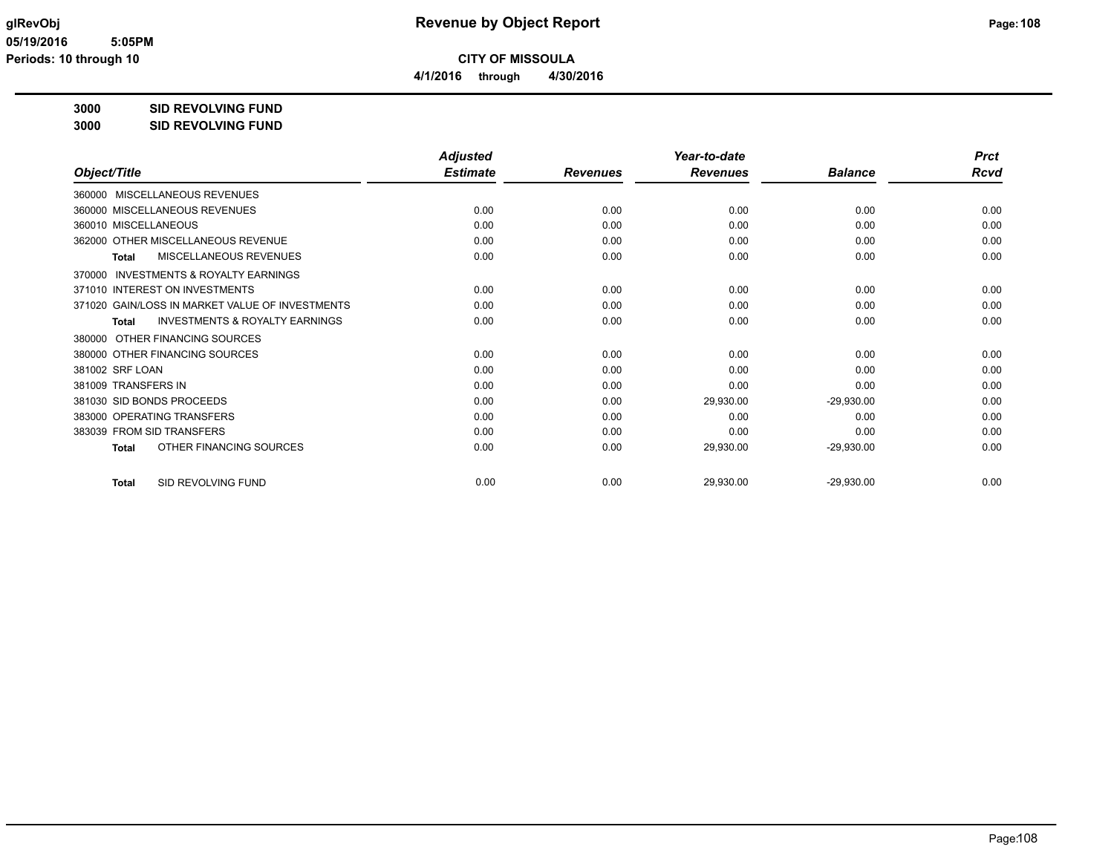**4/1/2016 through 4/30/2016**

**3000 SID REVOLVING FUND**

| 3000 | <b>SID REVOLVING FUND</b> |
|------|---------------------------|
|      |                           |

|                                                     | <b>Adjusted</b> |                 | Year-to-date<br><b>Revenues</b> | <b>Balance</b> | <b>Prct</b><br>Rcvd |
|-----------------------------------------------------|-----------------|-----------------|---------------------------------|----------------|---------------------|
| Object/Title                                        | <b>Estimate</b> | <b>Revenues</b> |                                 |                |                     |
| 360000 MISCELLANEOUS REVENUES                       |                 |                 |                                 |                |                     |
| 360000 MISCELLANEOUS REVENUES                       | 0.00            | 0.00            | 0.00                            | 0.00           | 0.00                |
| 360010 MISCELLANEOUS                                | 0.00            | 0.00            | 0.00                            | 0.00           | 0.00                |
| 362000 OTHER MISCELLANEOUS REVENUE                  | 0.00            | 0.00            | 0.00                            | 0.00           | 0.00                |
| MISCELLANEOUS REVENUES<br>Total                     | 0.00            | 0.00            | 0.00                            | 0.00           | 0.00                |
| <b>INVESTMENTS &amp; ROYALTY EARNINGS</b><br>370000 |                 |                 |                                 |                |                     |
| 371010 INTEREST ON INVESTMENTS                      | 0.00            | 0.00            | 0.00                            | 0.00           | 0.00                |
| 371020 GAIN/LOSS IN MARKET VALUE OF INVESTMENTS     | 0.00            | 0.00            | 0.00                            | 0.00           | 0.00                |
| <b>INVESTMENTS &amp; ROYALTY EARNINGS</b><br>Total  | 0.00            | 0.00            | 0.00                            | 0.00           | 0.00                |
| 380000 OTHER FINANCING SOURCES                      |                 |                 |                                 |                |                     |
| 380000 OTHER FINANCING SOURCES                      | 0.00            | 0.00            | 0.00                            | 0.00           | 0.00                |
| 381002 SRF LOAN                                     | 0.00            | 0.00            | 0.00                            | 0.00           | 0.00                |
| 381009 TRANSFERS IN                                 | 0.00            | 0.00            | 0.00                            | 0.00           | 0.00                |
| 381030 SID BONDS PROCEEDS                           | 0.00            | 0.00            | 29,930.00                       | $-29,930.00$   | 0.00                |
| 383000 OPERATING TRANSFERS                          | 0.00            | 0.00            | 0.00                            | 0.00           | 0.00                |
| 383039 FROM SID TRANSFERS                           | 0.00            | 0.00            | 0.00                            | 0.00           | 0.00                |
| OTHER FINANCING SOURCES<br><b>Total</b>             | 0.00            | 0.00            | 29,930.00                       | $-29,930.00$   | 0.00                |
| <b>SID REVOLVING FUND</b><br><b>Total</b>           | 0.00            | 0.00            | 29,930.00                       | $-29,930.00$   | 0.00                |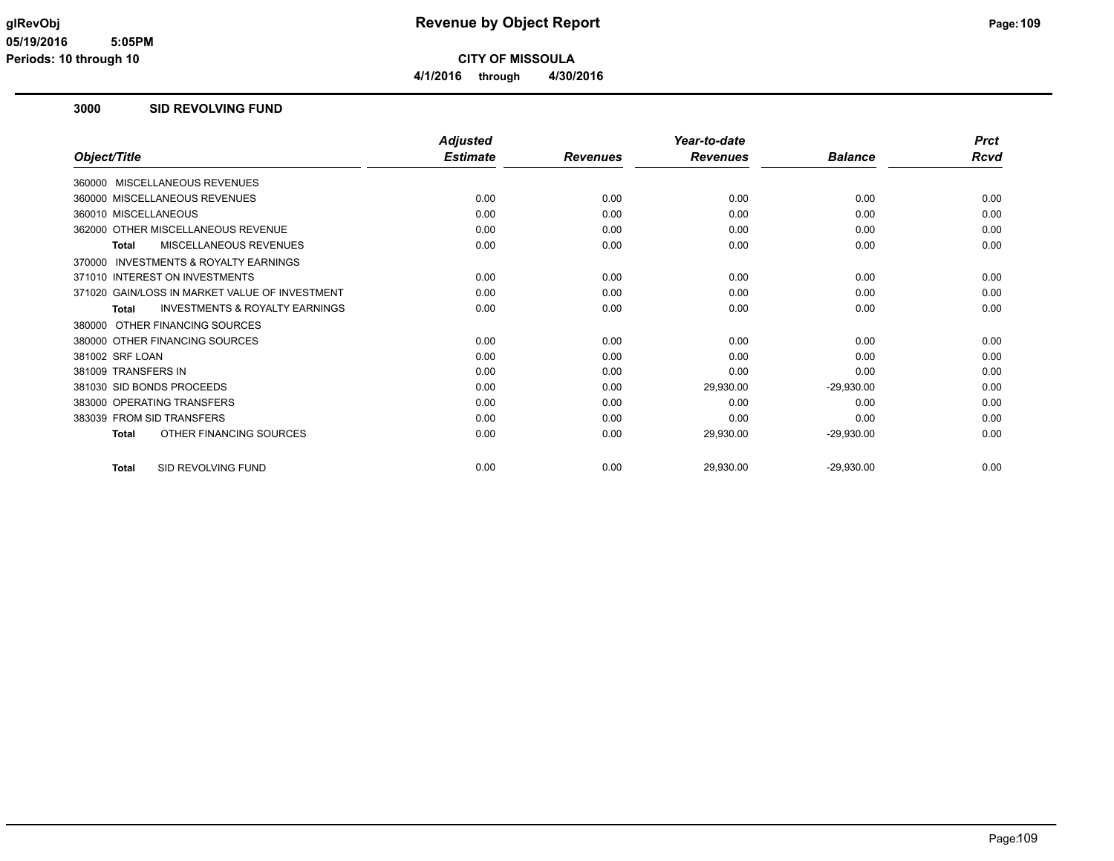**4/1/2016 through 4/30/2016**

#### **3000 SID REVOLVING FUND**

|                                                           | <b>Adjusted</b> |                 | Year-to-date    |                | <b>Prct</b> |
|-----------------------------------------------------------|-----------------|-----------------|-----------------|----------------|-------------|
| Object/Title                                              | <b>Estimate</b> | <b>Revenues</b> | <b>Revenues</b> | <b>Balance</b> | Rcvd        |
| MISCELLANEOUS REVENUES<br>360000                          |                 |                 |                 |                |             |
| 360000 MISCELLANEOUS REVENUES                             | 0.00            | 0.00            | 0.00            | 0.00           | 0.00        |
| 360010 MISCELLANEOUS                                      | 0.00            | 0.00            | 0.00            | 0.00           | 0.00        |
| 362000 OTHER MISCELLANEOUS REVENUE                        | 0.00            | 0.00            | 0.00            | 0.00           | 0.00        |
| <b>MISCELLANEOUS REVENUES</b><br><b>Total</b>             | 0.00            | 0.00            | 0.00            | 0.00           | 0.00        |
| <b>INVESTMENTS &amp; ROYALTY EARNINGS</b><br>370000       |                 |                 |                 |                |             |
| 371010 INTEREST ON INVESTMENTS                            | 0.00            | 0.00            | 0.00            | 0.00           | 0.00        |
| 371020 GAIN/LOSS IN MARKET VALUE OF INVESTMENT            | 0.00            | 0.00            | 0.00            | 0.00           | 0.00        |
| <b>INVESTMENTS &amp; ROYALTY EARNINGS</b><br><b>Total</b> | 0.00            | 0.00            | 0.00            | 0.00           | 0.00        |
| OTHER FINANCING SOURCES<br>380000                         |                 |                 |                 |                |             |
| 380000 OTHER FINANCING SOURCES                            | 0.00            | 0.00            | 0.00            | 0.00           | 0.00        |
| 381002 SRF LOAN                                           | 0.00            | 0.00            | 0.00            | 0.00           | 0.00        |
| 381009 TRANSFERS IN                                       | 0.00            | 0.00            | 0.00            | 0.00           | 0.00        |
| 381030 SID BONDS PROCEEDS                                 | 0.00            | 0.00            | 29,930.00       | $-29,930.00$   | 0.00        |
| 383000 OPERATING TRANSFERS                                | 0.00            | 0.00            | 0.00            | 0.00           | 0.00        |
| 383039 FROM SID TRANSFERS                                 | 0.00            | 0.00            | 0.00            | 0.00           | 0.00        |
| OTHER FINANCING SOURCES<br><b>Total</b>                   | 0.00            | 0.00            | 29,930.00       | $-29,930.00$   | 0.00        |
| SID REVOLVING FUND<br><b>Total</b>                        | 0.00            | 0.00            | 29,930.00       | $-29,930.00$   | 0.00        |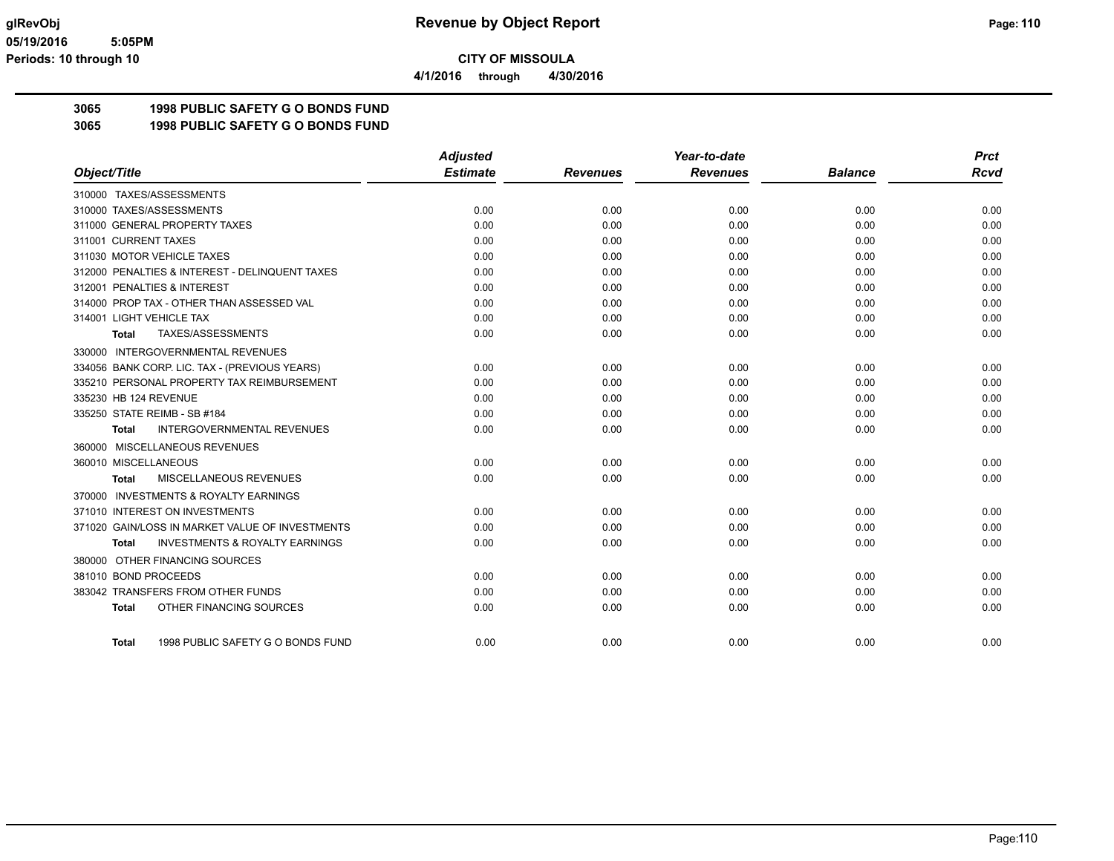**4/1/2016 through 4/30/2016**

## **3065 1998 PUBLIC SAFETY G O BONDS FUND**

**3065 1998 PUBLIC SAFETY G O BONDS FUND**

|                                                     | <b>Adjusted</b> |                 | Year-to-date    |                | <b>Prct</b> |
|-----------------------------------------------------|-----------------|-----------------|-----------------|----------------|-------------|
| Object/Title                                        | <b>Estimate</b> | <b>Revenues</b> | <b>Revenues</b> | <b>Balance</b> | Rcvd        |
| 310000 TAXES/ASSESSMENTS                            |                 |                 |                 |                |             |
| 310000 TAXES/ASSESSMENTS                            | 0.00            | 0.00            | 0.00            | 0.00           | 0.00        |
| 311000 GENERAL PROPERTY TAXES                       | 0.00            | 0.00            | 0.00            | 0.00           | 0.00        |
| 311001 CURRENT TAXES                                | 0.00            | 0.00            | 0.00            | 0.00           | 0.00        |
| 311030 MOTOR VEHICLE TAXES                          | 0.00            | 0.00            | 0.00            | 0.00           | 0.00        |
| 312000 PENALTIES & INTEREST - DELINQUENT TAXES      | 0.00            | 0.00            | 0.00            | 0.00           | 0.00        |
| 312001 PENALTIES & INTEREST                         | 0.00            | 0.00            | 0.00            | 0.00           | 0.00        |
| 314000 PROP TAX - OTHER THAN ASSESSED VAL           | 0.00            | 0.00            | 0.00            | 0.00           | 0.00        |
| 314001 LIGHT VEHICLE TAX                            | 0.00            | 0.00            | 0.00            | 0.00           | 0.00        |
| TAXES/ASSESSMENTS<br>Total                          | 0.00            | 0.00            | 0.00            | 0.00           | 0.00        |
| 330000 INTERGOVERNMENTAL REVENUES                   |                 |                 |                 |                |             |
| 334056 BANK CORP. LIC. TAX - (PREVIOUS YEARS)       | 0.00            | 0.00            | 0.00            | 0.00           | 0.00        |
| 335210 PERSONAL PROPERTY TAX REIMBURSEMENT          | 0.00            | 0.00            | 0.00            | 0.00           | 0.00        |
| 335230 HB 124 REVENUE                               | 0.00            | 0.00            | 0.00            | 0.00           | 0.00        |
| 335250 STATE REIMB - SB #184                        | 0.00            | 0.00            | 0.00            | 0.00           | 0.00        |
| <b>INTERGOVERNMENTAL REVENUES</b><br><b>Total</b>   | 0.00            | 0.00            | 0.00            | 0.00           | 0.00        |
| 360000 MISCELLANEOUS REVENUES                       |                 |                 |                 |                |             |
| 360010 MISCELLANEOUS                                | 0.00            | 0.00            | 0.00            | 0.00           | 0.00        |
| MISCELLANEOUS REVENUES<br>Total                     | 0.00            | 0.00            | 0.00            | 0.00           | 0.00        |
| <b>INVESTMENTS &amp; ROYALTY EARNINGS</b><br>370000 |                 |                 |                 |                |             |
| 371010 INTEREST ON INVESTMENTS                      | 0.00            | 0.00            | 0.00            | 0.00           | 0.00        |
| 371020 GAIN/LOSS IN MARKET VALUE OF INVESTMENTS     | 0.00            | 0.00            | 0.00            | 0.00           | 0.00        |
| <b>INVESTMENTS &amp; ROYALTY EARNINGS</b><br>Total  | 0.00            | 0.00            | 0.00            | 0.00           | 0.00        |
| 380000 OTHER FINANCING SOURCES                      |                 |                 |                 |                |             |
| 381010 BOND PROCEEDS                                | 0.00            | 0.00            | 0.00            | 0.00           | 0.00        |
| 383042 TRANSFERS FROM OTHER FUNDS                   | 0.00            | 0.00            | 0.00            | 0.00           | 0.00        |
| OTHER FINANCING SOURCES<br><b>Total</b>             | 0.00            | 0.00            | 0.00            | 0.00           | 0.00        |
|                                                     |                 |                 |                 |                |             |
| 1998 PUBLIC SAFETY G O BONDS FUND<br><b>Total</b>   | 0.00            | 0.00            | 0.00            | 0.00           | 0.00        |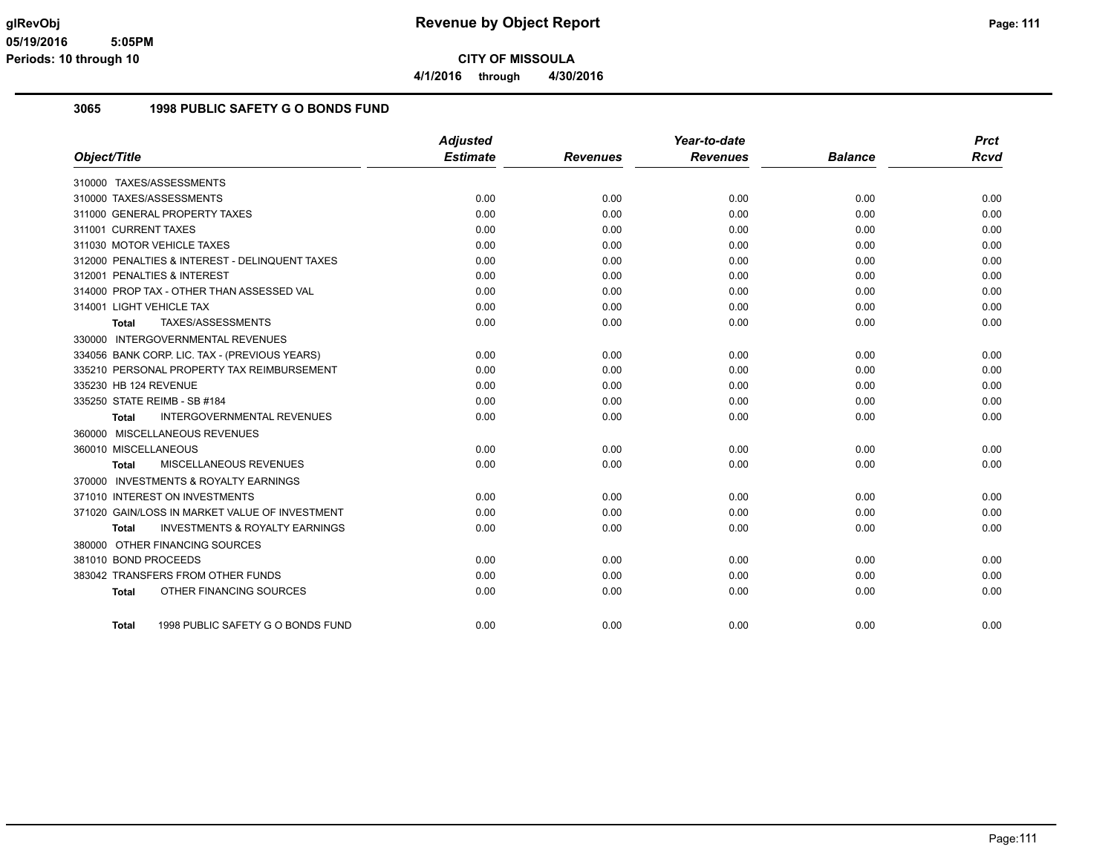**4/1/2016 through 4/30/2016**

#### **3065 1998 PUBLIC SAFETY G O BONDS FUND**

|                                                    | <b>Adjusted</b> |                 | Year-to-date    |                | <b>Prct</b> |
|----------------------------------------------------|-----------------|-----------------|-----------------|----------------|-------------|
| Object/Title                                       | <b>Estimate</b> | <b>Revenues</b> | <b>Revenues</b> | <b>Balance</b> | <b>Rcvd</b> |
| 310000 TAXES/ASSESSMENTS                           |                 |                 |                 |                |             |
| 310000 TAXES/ASSESSMENTS                           | 0.00            | 0.00            | 0.00            | 0.00           | 0.00        |
| 311000 GENERAL PROPERTY TAXES                      | 0.00            | 0.00            | 0.00            | 0.00           | 0.00        |
| 311001 CURRENT TAXES                               | 0.00            | 0.00            | 0.00            | 0.00           | 0.00        |
| 311030 MOTOR VEHICLE TAXES                         | 0.00            | 0.00            | 0.00            | 0.00           | 0.00        |
| 312000 PENALTIES & INTEREST - DELINQUENT TAXES     | 0.00            | 0.00            | 0.00            | 0.00           | 0.00        |
| 312001 PENALTIES & INTEREST                        | 0.00            | 0.00            | 0.00            | 0.00           | 0.00        |
| 314000 PROP TAX - OTHER THAN ASSESSED VAL          | 0.00            | 0.00            | 0.00            | 0.00           | 0.00        |
| 314001 LIGHT VEHICLE TAX                           | 0.00            | 0.00            | 0.00            | 0.00           | 0.00        |
| TAXES/ASSESSMENTS<br>Total                         | 0.00            | 0.00            | 0.00            | 0.00           | 0.00        |
| 330000 INTERGOVERNMENTAL REVENUES                  |                 |                 |                 |                |             |
| 334056 BANK CORP. LIC. TAX - (PREVIOUS YEARS)      | 0.00            | 0.00            | 0.00            | 0.00           | 0.00        |
| 335210 PERSONAL PROPERTY TAX REIMBURSEMENT         | 0.00            | 0.00            | 0.00            | 0.00           | 0.00        |
| 335230 HB 124 REVENUE                              | 0.00            | 0.00            | 0.00            | 0.00           | 0.00        |
| 335250 STATE REIMB - SB #184                       | 0.00            | 0.00            | 0.00            | 0.00           | 0.00        |
| <b>INTERGOVERNMENTAL REVENUES</b><br><b>Total</b>  | 0.00            | 0.00            | 0.00            | 0.00           | 0.00        |
| 360000 MISCELLANEOUS REVENUES                      |                 |                 |                 |                |             |
| 360010 MISCELLANEOUS                               | 0.00            | 0.00            | 0.00            | 0.00           | 0.00        |
| MISCELLANEOUS REVENUES<br>Total                    | 0.00            | 0.00            | 0.00            | 0.00           | 0.00        |
| 370000 INVESTMENTS & ROYALTY EARNINGS              |                 |                 |                 |                |             |
| 371010 INTEREST ON INVESTMENTS                     | 0.00            | 0.00            | 0.00            | 0.00           | 0.00        |
| 371020 GAIN/LOSS IN MARKET VALUE OF INVESTMENT     | 0.00            | 0.00            | 0.00            | 0.00           | 0.00        |
| <b>INVESTMENTS &amp; ROYALTY EARNINGS</b><br>Total | 0.00            | 0.00            | 0.00            | 0.00           | 0.00        |
| 380000 OTHER FINANCING SOURCES                     |                 |                 |                 |                |             |
| 381010 BOND PROCEEDS                               | 0.00            | 0.00            | 0.00            | 0.00           | 0.00        |
| 383042 TRANSFERS FROM OTHER FUNDS                  | 0.00            | 0.00            | 0.00            | 0.00           | 0.00        |
| OTHER FINANCING SOURCES<br><b>Total</b>            | 0.00            | 0.00            | 0.00            | 0.00           | 0.00        |
| 1998 PUBLIC SAFETY G O BONDS FUND<br>Total         | 0.00            | 0.00            | 0.00            | 0.00           | 0.00        |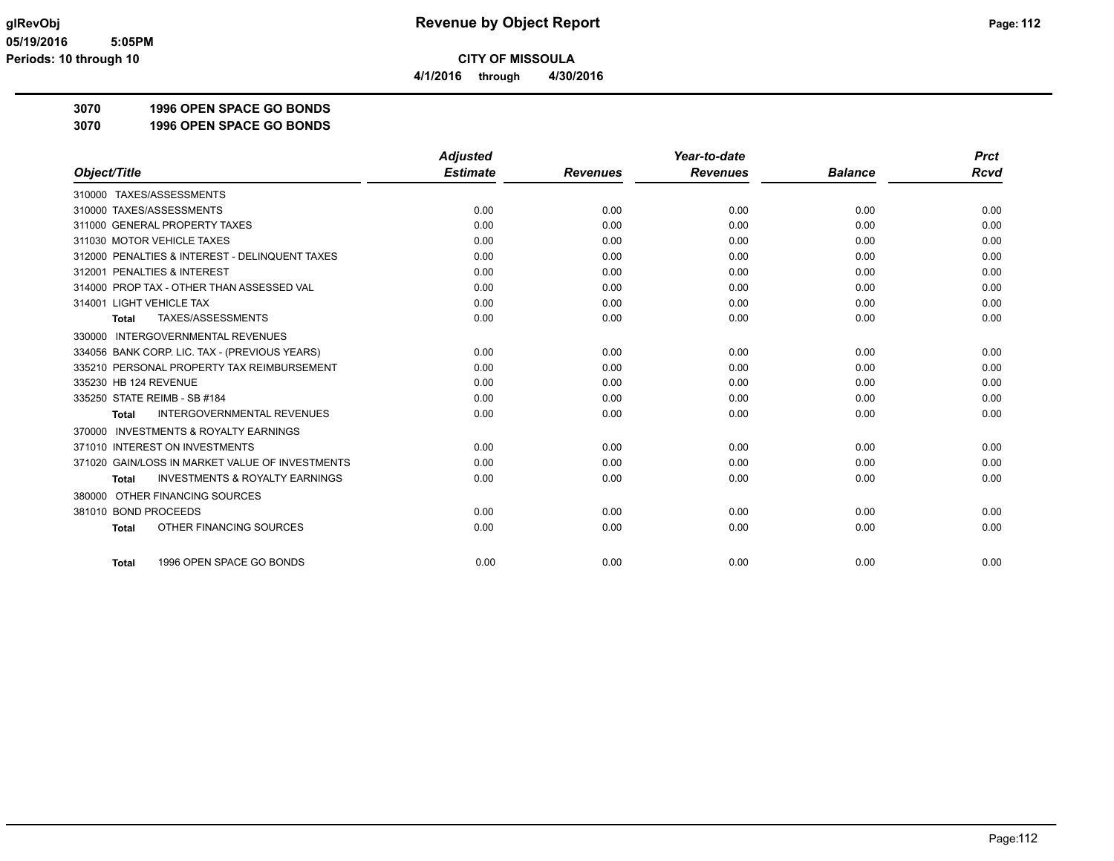**4/1/2016 through 4/30/2016**

**3070 1996 OPEN SPACE GO BONDS**

**3070 1996 OPEN SPACE GO BONDS**

|                                                           | <b>Adjusted</b> |                 | Year-to-date    |                | <b>Prct</b> |
|-----------------------------------------------------------|-----------------|-----------------|-----------------|----------------|-------------|
| Object/Title                                              | <b>Estimate</b> | <b>Revenues</b> | <b>Revenues</b> | <b>Balance</b> | <b>Rcvd</b> |
| 310000 TAXES/ASSESSMENTS                                  |                 |                 |                 |                |             |
| 310000 TAXES/ASSESSMENTS                                  | 0.00            | 0.00            | 0.00            | 0.00           | 0.00        |
| 311000 GENERAL PROPERTY TAXES                             | 0.00            | 0.00            | 0.00            | 0.00           | 0.00        |
| 311030 MOTOR VEHICLE TAXES                                | 0.00            | 0.00            | 0.00            | 0.00           | 0.00        |
| 312000 PENALTIES & INTEREST - DELINQUENT TAXES            | 0.00            | 0.00            | 0.00            | 0.00           | 0.00        |
| 312001 PENALTIES & INTEREST                               | 0.00            | 0.00            | 0.00            | 0.00           | 0.00        |
| 314000 PROP TAX - OTHER THAN ASSESSED VAL                 | 0.00            | 0.00            | 0.00            | 0.00           | 0.00        |
| 314001 LIGHT VEHICLE TAX                                  | 0.00            | 0.00            | 0.00            | 0.00           | 0.00        |
| TAXES/ASSESSMENTS<br><b>Total</b>                         | 0.00            | 0.00            | 0.00            | 0.00           | 0.00        |
| 330000 INTERGOVERNMENTAL REVENUES                         |                 |                 |                 |                |             |
| 334056 BANK CORP. LIC. TAX - (PREVIOUS YEARS)             | 0.00            | 0.00            | 0.00            | 0.00           | 0.00        |
| 335210 PERSONAL PROPERTY TAX REIMBURSEMENT                | 0.00            | 0.00            | 0.00            | 0.00           | 0.00        |
| 335230 HB 124 REVENUE                                     | 0.00            | 0.00            | 0.00            | 0.00           | 0.00        |
| 335250 STATE REIMB - SB #184                              | 0.00            | 0.00            | 0.00            | 0.00           | 0.00        |
| <b>INTERGOVERNMENTAL REVENUES</b><br><b>Total</b>         | 0.00            | 0.00            | 0.00            | 0.00           | 0.00        |
| <b>INVESTMENTS &amp; ROYALTY EARNINGS</b><br>370000       |                 |                 |                 |                |             |
| 371010 INTEREST ON INVESTMENTS                            | 0.00            | 0.00            | 0.00            | 0.00           | 0.00        |
| 371020 GAIN/LOSS IN MARKET VALUE OF INVESTMENTS           | 0.00            | 0.00            | 0.00            | 0.00           | 0.00        |
| <b>INVESTMENTS &amp; ROYALTY EARNINGS</b><br><b>Total</b> | 0.00            | 0.00            | 0.00            | 0.00           | 0.00        |
| OTHER FINANCING SOURCES<br>380000                         |                 |                 |                 |                |             |
| 381010 BOND PROCEEDS                                      | 0.00            | 0.00            | 0.00            | 0.00           | 0.00        |
| OTHER FINANCING SOURCES<br><b>Total</b>                   | 0.00            | 0.00            | 0.00            | 0.00           | 0.00        |
| 1996 OPEN SPACE GO BONDS<br><b>Total</b>                  | 0.00            | 0.00            | 0.00            | 0.00           | 0.00        |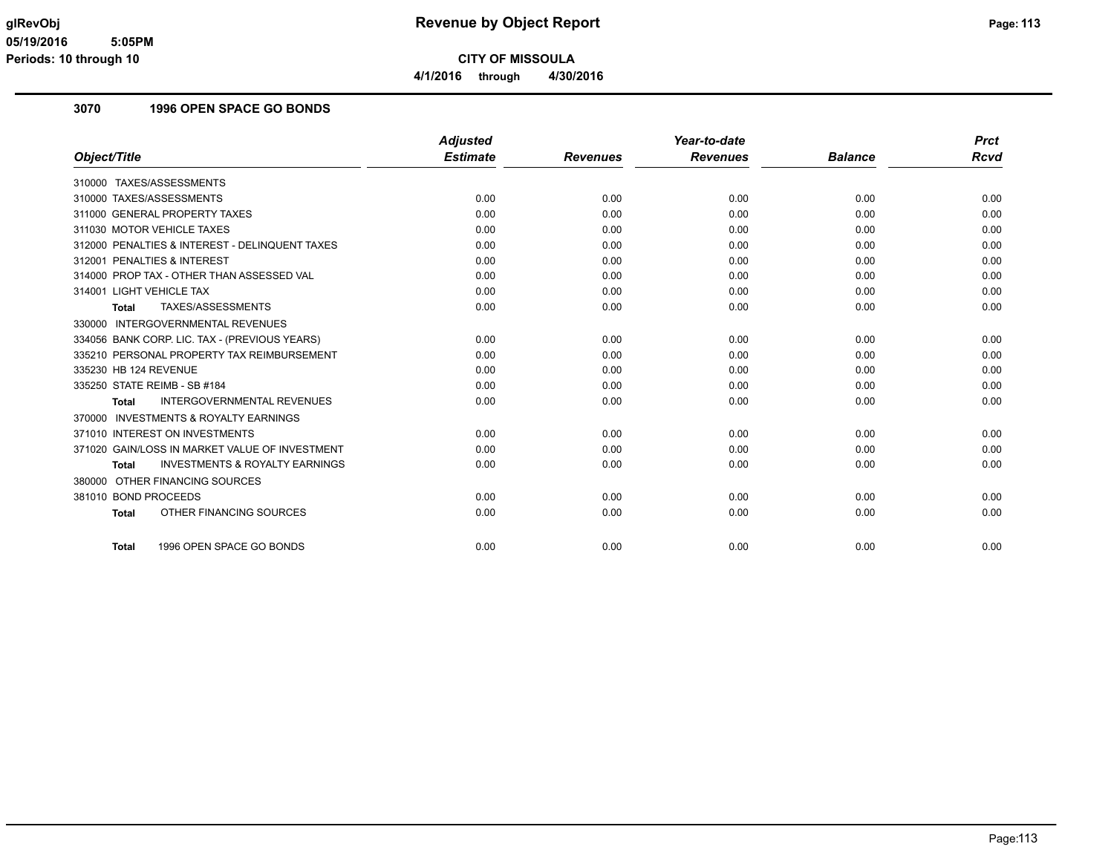**4/1/2016 through 4/30/2016**

### **3070 1996 OPEN SPACE GO BONDS**

|                                                           | <b>Adjusted</b> |                 | Year-to-date    |                | <b>Prct</b> |
|-----------------------------------------------------------|-----------------|-----------------|-----------------|----------------|-------------|
| Object/Title                                              | <b>Estimate</b> | <b>Revenues</b> | <b>Revenues</b> | <b>Balance</b> | Rcvd        |
| 310000 TAXES/ASSESSMENTS                                  |                 |                 |                 |                |             |
| 310000 TAXES/ASSESSMENTS                                  | 0.00            | 0.00            | 0.00            | 0.00           | 0.00        |
| 311000 GENERAL PROPERTY TAXES                             | 0.00            | 0.00            | 0.00            | 0.00           | 0.00        |
| 311030 MOTOR VEHICLE TAXES                                | 0.00            | 0.00            | 0.00            | 0.00           | 0.00        |
| 312000 PENALTIES & INTEREST - DELINQUENT TAXES            | 0.00            | 0.00            | 0.00            | 0.00           | 0.00        |
| 312001 PENALTIES & INTEREST                               | 0.00            | 0.00            | 0.00            | 0.00           | 0.00        |
| 314000 PROP TAX - OTHER THAN ASSESSED VAL                 | 0.00            | 0.00            | 0.00            | 0.00           | 0.00        |
| 314001 LIGHT VEHICLE TAX                                  | 0.00            | 0.00            | 0.00            | 0.00           | 0.00        |
| TAXES/ASSESSMENTS<br>Total                                | 0.00            | 0.00            | 0.00            | 0.00           | 0.00        |
| 330000 INTERGOVERNMENTAL REVENUES                         |                 |                 |                 |                |             |
| 334056 BANK CORP. LIC. TAX - (PREVIOUS YEARS)             | 0.00            | 0.00            | 0.00            | 0.00           | 0.00        |
| 335210 PERSONAL PROPERTY TAX REIMBURSEMENT                | 0.00            | 0.00            | 0.00            | 0.00           | 0.00        |
| 335230 HB 124 REVENUE                                     | 0.00            | 0.00            | 0.00            | 0.00           | 0.00        |
| 335250 STATE REIMB - SB #184                              | 0.00            | 0.00            | 0.00            | 0.00           | 0.00        |
| <b>INTERGOVERNMENTAL REVENUES</b><br><b>Total</b>         | 0.00            | 0.00            | 0.00            | 0.00           | 0.00        |
| 370000 INVESTMENTS & ROYALTY EARNINGS                     |                 |                 |                 |                |             |
| 371010 INTEREST ON INVESTMENTS                            | 0.00            | 0.00            | 0.00            | 0.00           | 0.00        |
| 371020 GAIN/LOSS IN MARKET VALUE OF INVESTMENT            | 0.00            | 0.00            | 0.00            | 0.00           | 0.00        |
| <b>INVESTMENTS &amp; ROYALTY EARNINGS</b><br><b>Total</b> | 0.00            | 0.00            | 0.00            | 0.00           | 0.00        |
| OTHER FINANCING SOURCES<br>380000                         |                 |                 |                 |                |             |
| 381010 BOND PROCEEDS                                      | 0.00            | 0.00            | 0.00            | 0.00           | 0.00        |
| OTHER FINANCING SOURCES<br><b>Total</b>                   | 0.00            | 0.00            | 0.00            | 0.00           | 0.00        |
|                                                           |                 |                 |                 |                |             |
| 1996 OPEN SPACE GO BONDS<br><b>Total</b>                  | 0.00            | 0.00            | 0.00            | 0.00           | 0.00        |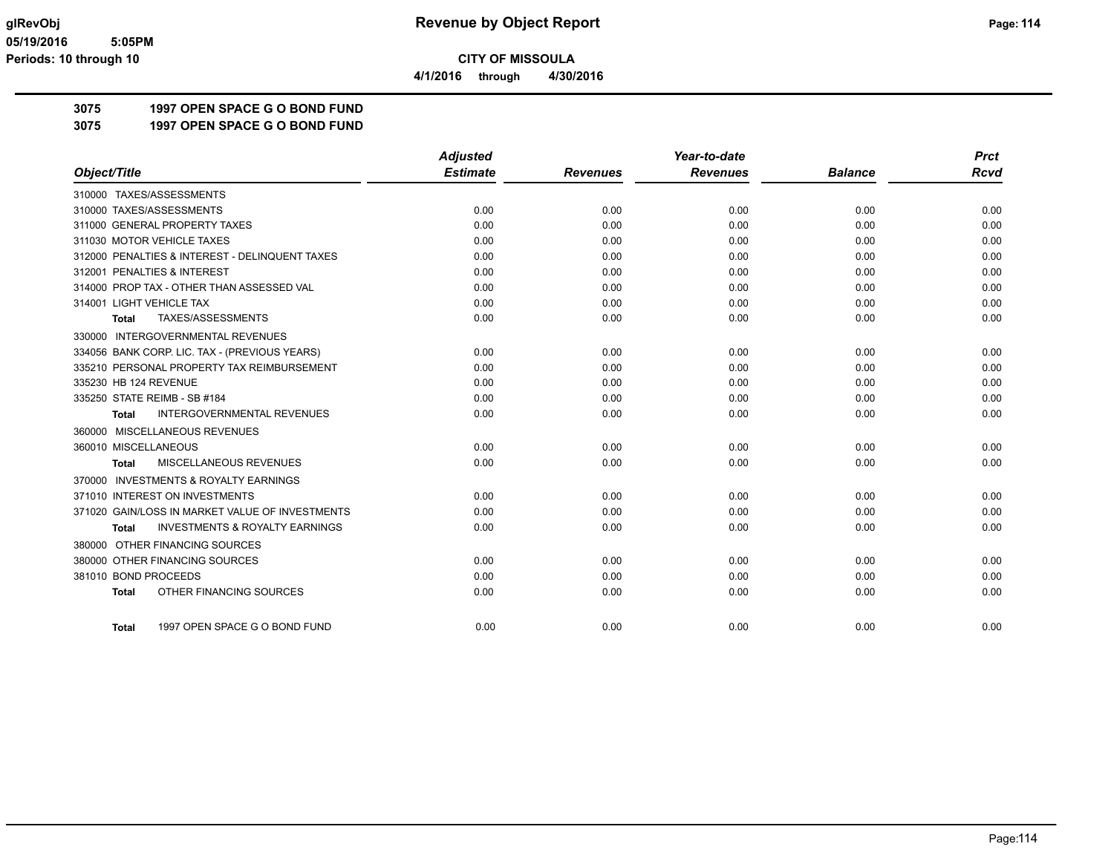**4/1/2016 through 4/30/2016**

# **3075 1997 OPEN SPACE G O BOND FUND**

**3075 1997 OPEN SPACE G O BOND FUND**

|                                                     | <b>Adjusted</b> |                 | Year-to-date    |                | <b>Prct</b> |
|-----------------------------------------------------|-----------------|-----------------|-----------------|----------------|-------------|
| Object/Title                                        | <b>Estimate</b> | <b>Revenues</b> | <b>Revenues</b> | <b>Balance</b> | <b>Rcvd</b> |
| 310000 TAXES/ASSESSMENTS                            |                 |                 |                 |                |             |
| 310000 TAXES/ASSESSMENTS                            | 0.00            | 0.00            | 0.00            | 0.00           | 0.00        |
| 311000 GENERAL PROPERTY TAXES                       | 0.00            | 0.00            | 0.00            | 0.00           | 0.00        |
| 311030 MOTOR VEHICLE TAXES                          | 0.00            | 0.00            | 0.00            | 0.00           | 0.00        |
| 312000 PENALTIES & INTEREST - DELINQUENT TAXES      | 0.00            | 0.00            | 0.00            | 0.00           | 0.00        |
| 312001 PENALTIES & INTEREST                         | 0.00            | 0.00            | 0.00            | 0.00           | 0.00        |
| 314000 PROP TAX - OTHER THAN ASSESSED VAL           | 0.00            | 0.00            | 0.00            | 0.00           | 0.00        |
| 314001 LIGHT VEHICLE TAX                            | 0.00            | 0.00            | 0.00            | 0.00           | 0.00        |
| TAXES/ASSESSMENTS<br><b>Total</b>                   | 0.00            | 0.00            | 0.00            | 0.00           | 0.00        |
| 330000 INTERGOVERNMENTAL REVENUES                   |                 |                 |                 |                |             |
| 334056 BANK CORP. LIC. TAX - (PREVIOUS YEARS)       | 0.00            | 0.00            | 0.00            | 0.00           | 0.00        |
| 335210 PERSONAL PROPERTY TAX REIMBURSEMENT          | 0.00            | 0.00            | 0.00            | 0.00           | 0.00        |
| 335230 HB 124 REVENUE                               | 0.00            | 0.00            | 0.00            | 0.00           | 0.00        |
| 335250 STATE REIMB - SB #184                        | 0.00            | 0.00            | 0.00            | 0.00           | 0.00        |
| <b>INTERGOVERNMENTAL REVENUES</b><br>Total          | 0.00            | 0.00            | 0.00            | 0.00           | 0.00        |
| 360000 MISCELLANEOUS REVENUES                       |                 |                 |                 |                |             |
| 360010 MISCELLANEOUS                                | 0.00            | 0.00            | 0.00            | 0.00           | 0.00        |
| MISCELLANEOUS REVENUES<br><b>Total</b>              | 0.00            | 0.00            | 0.00            | 0.00           | 0.00        |
| <b>INVESTMENTS &amp; ROYALTY EARNINGS</b><br>370000 |                 |                 |                 |                |             |
| 371010 INTEREST ON INVESTMENTS                      | 0.00            | 0.00            | 0.00            | 0.00           | 0.00        |
| 371020 GAIN/LOSS IN MARKET VALUE OF INVESTMENTS     | 0.00            | 0.00            | 0.00            | 0.00           | 0.00        |
| <b>INVESTMENTS &amp; ROYALTY EARNINGS</b><br>Total  | 0.00            | 0.00            | 0.00            | 0.00           | 0.00        |
| 380000 OTHER FINANCING SOURCES                      |                 |                 |                 |                |             |
| 380000 OTHER FINANCING SOURCES                      | 0.00            | 0.00            | 0.00            | 0.00           | 0.00        |
| 381010 BOND PROCEEDS                                | 0.00            | 0.00            | 0.00            | 0.00           | 0.00        |
| OTHER FINANCING SOURCES<br><b>Total</b>             | 0.00            | 0.00            | 0.00            | 0.00           | 0.00        |
|                                                     |                 |                 |                 |                |             |
| 1997 OPEN SPACE G O BOND FUND<br><b>Total</b>       | 0.00            | 0.00            | 0.00            | 0.00           | 0.00        |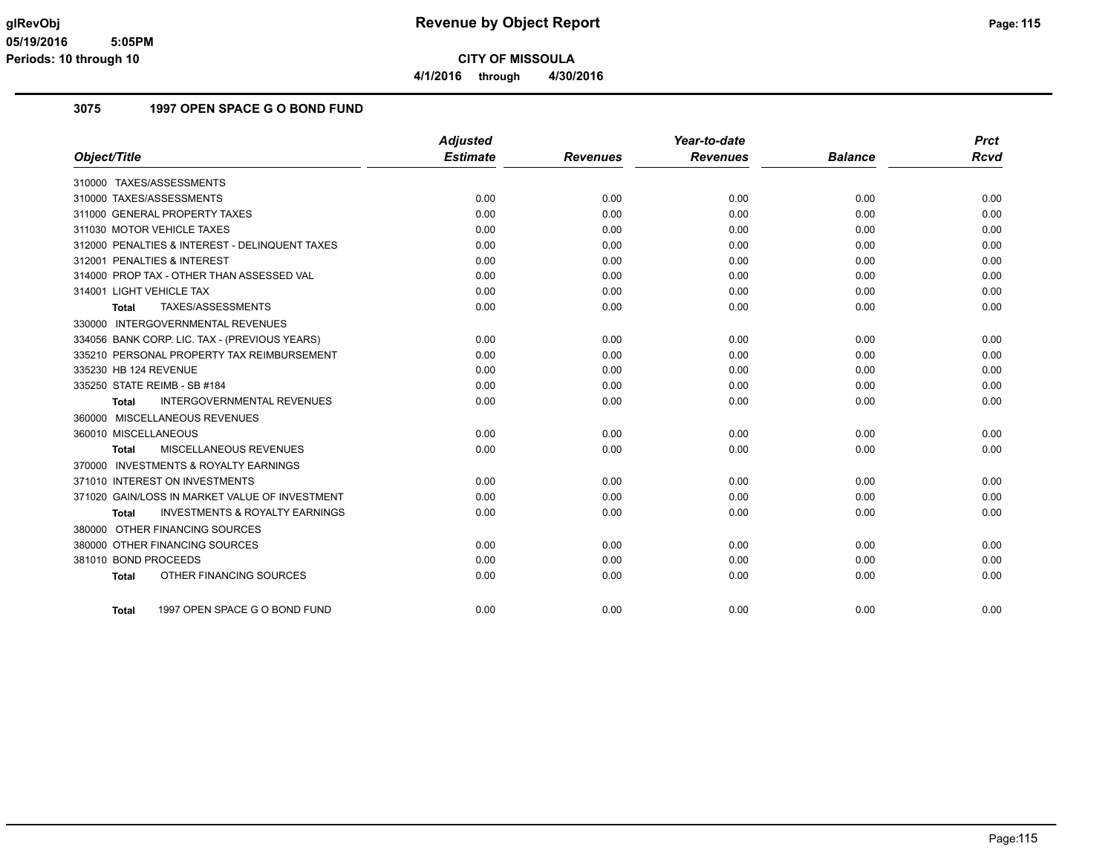**4/1/2016 through 4/30/2016**

#### **3075 1997 OPEN SPACE G O BOND FUND**

|                                                           | <b>Adjusted</b> |                 | Year-to-date    |                | <b>Prct</b> |
|-----------------------------------------------------------|-----------------|-----------------|-----------------|----------------|-------------|
| Object/Title                                              | <b>Estimate</b> | <b>Revenues</b> | <b>Revenues</b> | <b>Balance</b> | <b>Rcvd</b> |
| 310000 TAXES/ASSESSMENTS                                  |                 |                 |                 |                |             |
| 310000 TAXES/ASSESSMENTS                                  | 0.00            | 0.00            | 0.00            | 0.00           | 0.00        |
| 311000 GENERAL PROPERTY TAXES                             | 0.00            | 0.00            | 0.00            | 0.00           | 0.00        |
| 311030 MOTOR VEHICLE TAXES                                | 0.00            | 0.00            | 0.00            | 0.00           | 0.00        |
| 312000 PENALTIES & INTEREST - DELINQUENT TAXES            | 0.00            | 0.00            | 0.00            | 0.00           | 0.00        |
| 312001 PENALTIES & INTEREST                               | 0.00            | 0.00            | 0.00            | 0.00           | 0.00        |
| 314000 PROP TAX - OTHER THAN ASSESSED VAL                 | 0.00            | 0.00            | 0.00            | 0.00           | 0.00        |
| 314001 LIGHT VEHICLE TAX                                  | 0.00            | 0.00            | 0.00            | 0.00           | 0.00        |
| TAXES/ASSESSMENTS<br><b>Total</b>                         | 0.00            | 0.00            | 0.00            | 0.00           | 0.00        |
| 330000 INTERGOVERNMENTAL REVENUES                         |                 |                 |                 |                |             |
| 334056 BANK CORP. LIC. TAX - (PREVIOUS YEARS)             | 0.00            | 0.00            | 0.00            | 0.00           | 0.00        |
| 335210 PERSONAL PROPERTY TAX REIMBURSEMENT                | 0.00            | 0.00            | 0.00            | 0.00           | 0.00        |
| 335230 HB 124 REVENUE                                     | 0.00            | 0.00            | 0.00            | 0.00           | 0.00        |
| 335250 STATE REIMB - SB #184                              | 0.00            | 0.00            | 0.00            | 0.00           | 0.00        |
| <b>INTERGOVERNMENTAL REVENUES</b><br><b>Total</b>         | 0.00            | 0.00            | 0.00            | 0.00           | 0.00        |
| 360000 MISCELLANEOUS REVENUES                             |                 |                 |                 |                |             |
| 360010 MISCELLANEOUS                                      | 0.00            | 0.00            | 0.00            | 0.00           | 0.00        |
| <b>MISCELLANEOUS REVENUES</b><br><b>Total</b>             | 0.00            | 0.00            | 0.00            | 0.00           | 0.00        |
| 370000 INVESTMENTS & ROYALTY EARNINGS                     |                 |                 |                 |                |             |
| 371010 INTEREST ON INVESTMENTS                            | 0.00            | 0.00            | 0.00            | 0.00           | 0.00        |
| 371020 GAIN/LOSS IN MARKET VALUE OF INVESTMENT            | 0.00            | 0.00            | 0.00            | 0.00           | 0.00        |
| <b>INVESTMENTS &amp; ROYALTY EARNINGS</b><br><b>Total</b> | 0.00            | 0.00            | 0.00            | 0.00           | 0.00        |
| 380000 OTHER FINANCING SOURCES                            |                 |                 |                 |                |             |
| 380000 OTHER FINANCING SOURCES                            | 0.00            | 0.00            | 0.00            | 0.00           | 0.00        |
| 381010 BOND PROCEEDS                                      | 0.00            | 0.00            | 0.00            | 0.00           | 0.00        |
| OTHER FINANCING SOURCES<br><b>Total</b>                   | 0.00            | 0.00            | 0.00            | 0.00           | 0.00        |
|                                                           |                 |                 |                 |                |             |
| 1997 OPEN SPACE G O BOND FUND<br>Total                    | 0.00            | 0.00            | 0.00            | 0.00           | 0.00        |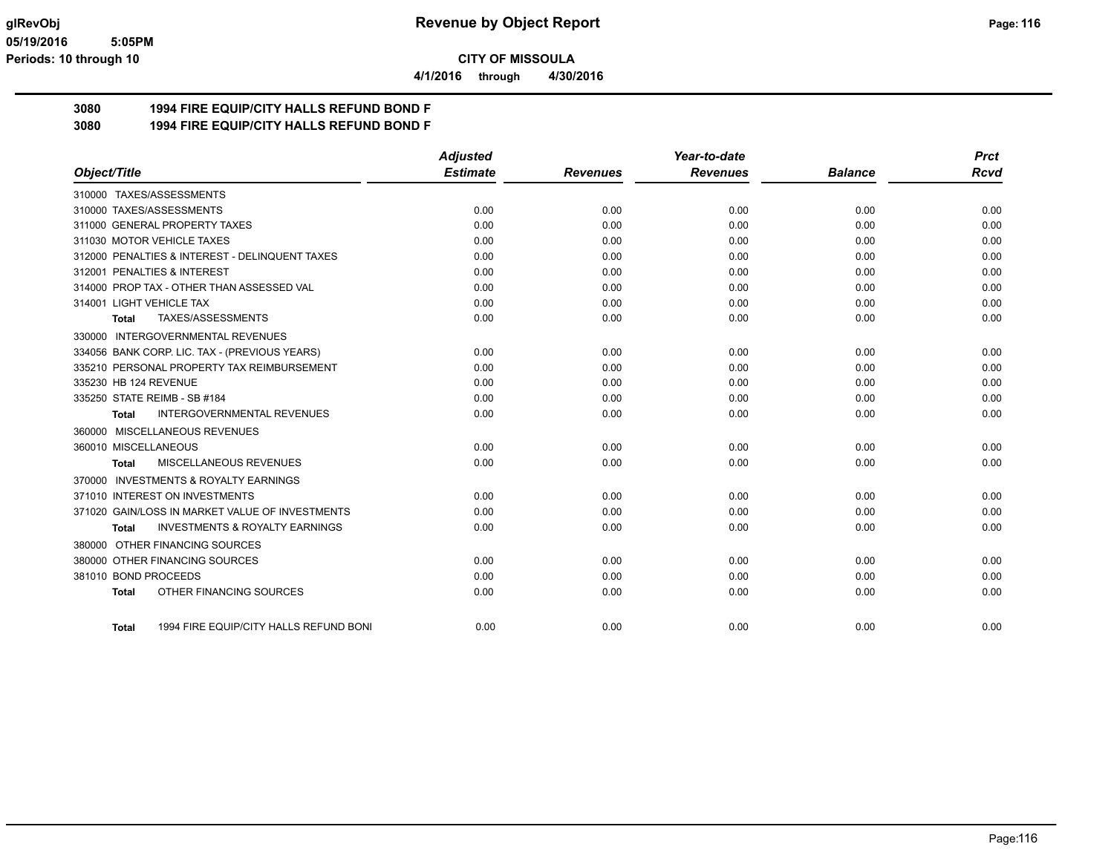**4/1/2016 through 4/30/2016**

## **3080 1994 FIRE EQUIP/CITY HALLS REFUND BOND F**

**3080 1994 FIRE EQUIP/CITY HALLS REFUND BOND F**

|                                                    | <b>Adjusted</b> |                 | Year-to-date    |                | <b>Prct</b> |
|----------------------------------------------------|-----------------|-----------------|-----------------|----------------|-------------|
| Object/Title                                       | <b>Estimate</b> | <b>Revenues</b> | <b>Revenues</b> | <b>Balance</b> | <b>Rcvd</b> |
| 310000 TAXES/ASSESSMENTS                           |                 |                 |                 |                |             |
| 310000 TAXES/ASSESSMENTS                           | 0.00            | 0.00            | 0.00            | 0.00           | 0.00        |
| 311000 GENERAL PROPERTY TAXES                      | 0.00            | 0.00            | 0.00            | 0.00           | 0.00        |
| 311030 MOTOR VEHICLE TAXES                         | 0.00            | 0.00            | 0.00            | 0.00           | 0.00        |
| 312000 PENALTIES & INTEREST - DELINQUENT TAXES     | 0.00            | 0.00            | 0.00            | 0.00           | 0.00        |
| 312001 PENALTIES & INTEREST                        | 0.00            | 0.00            | 0.00            | 0.00           | 0.00        |
| 314000 PROP TAX - OTHER THAN ASSESSED VAL          | 0.00            | 0.00            | 0.00            | 0.00           | 0.00        |
| 314001 LIGHT VEHICLE TAX                           | 0.00            | 0.00            | 0.00            | 0.00           | 0.00        |
| TAXES/ASSESSMENTS<br><b>Total</b>                  | 0.00            | 0.00            | 0.00            | 0.00           | 0.00        |
| 330000 INTERGOVERNMENTAL REVENUES                  |                 |                 |                 |                |             |
| 334056 BANK CORP. LIC. TAX - (PREVIOUS YEARS)      | 0.00            | 0.00            | 0.00            | 0.00           | 0.00        |
| 335210 PERSONAL PROPERTY TAX REIMBURSEMENT         | 0.00            | 0.00            | 0.00            | 0.00           | 0.00        |
| 335230 HB 124 REVENUE                              | 0.00            | 0.00            | 0.00            | 0.00           | 0.00        |
| 335250 STATE REIMB - SB #184                       | 0.00            | 0.00            | 0.00            | 0.00           | 0.00        |
| <b>INTERGOVERNMENTAL REVENUES</b><br>Total         | 0.00            | 0.00            | 0.00            | 0.00           | 0.00        |
| 360000 MISCELLANEOUS REVENUES                      |                 |                 |                 |                |             |
| 360010 MISCELLANEOUS                               | 0.00            | 0.00            | 0.00            | 0.00           | 0.00        |
| MISCELLANEOUS REVENUES<br><b>Total</b>             | 0.00            | 0.00            | 0.00            | 0.00           | 0.00        |
| 370000 INVESTMENTS & ROYALTY EARNINGS              |                 |                 |                 |                |             |
| 371010 INTEREST ON INVESTMENTS                     | 0.00            | 0.00            | 0.00            | 0.00           | 0.00        |
| 371020 GAIN/LOSS IN MARKET VALUE OF INVESTMENTS    | 0.00            | 0.00            | 0.00            | 0.00           | 0.00        |
| <b>INVESTMENTS &amp; ROYALTY EARNINGS</b><br>Total | 0.00            | 0.00            | 0.00            | 0.00           | 0.00        |
| 380000 OTHER FINANCING SOURCES                     |                 |                 |                 |                |             |
| 380000 OTHER FINANCING SOURCES                     | 0.00            | 0.00            | 0.00            | 0.00           | 0.00        |
| 381010 BOND PROCEEDS                               | 0.00            | 0.00            | 0.00            | 0.00           | 0.00        |
| OTHER FINANCING SOURCES<br><b>Total</b>            | 0.00            | 0.00            | 0.00            | 0.00           | 0.00        |
| 1994 FIRE EQUIP/CITY HALLS REFUND BONI<br>Total    | 0.00            | 0.00            | 0.00            | 0.00           | 0.00        |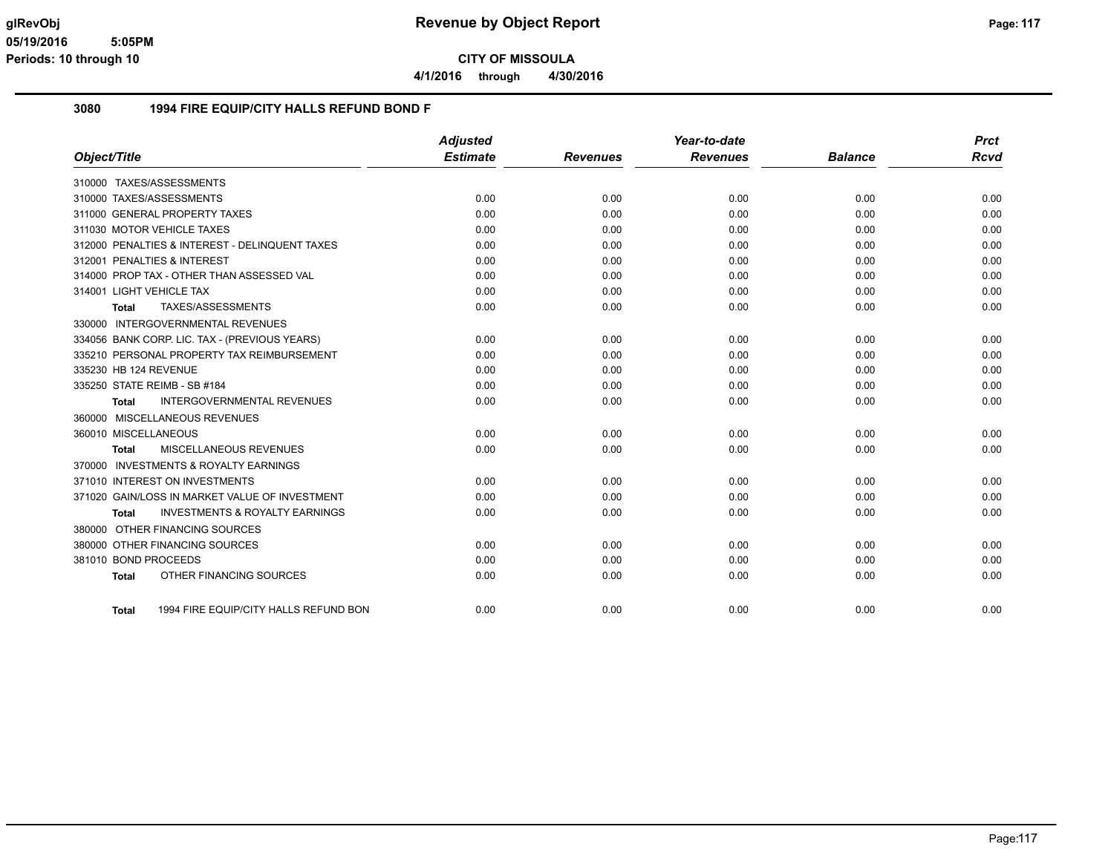**4/1/2016 through 4/30/2016**

#### **3080 1994 FIRE EQUIP/CITY HALLS REFUND BOND F**

|                          |                                                | <b>Adjusted</b> |                 | Year-to-date    |                | <b>Prct</b> |
|--------------------------|------------------------------------------------|-----------------|-----------------|-----------------|----------------|-------------|
| Object/Title             |                                                | <b>Estimate</b> | <b>Revenues</b> | <b>Revenues</b> | <b>Balance</b> | <b>Rcvd</b> |
|                          | 310000 TAXES/ASSESSMENTS                       |                 |                 |                 |                |             |
|                          | 310000 TAXES/ASSESSMENTS                       | 0.00            | 0.00            | 0.00            | 0.00           | 0.00        |
|                          | 311000 GENERAL PROPERTY TAXES                  | 0.00            | 0.00            | 0.00            | 0.00           | 0.00        |
|                          | 311030 MOTOR VEHICLE TAXES                     | 0.00            | 0.00            | 0.00            | 0.00           | 0.00        |
|                          | 312000 PENALTIES & INTEREST - DELINQUENT TAXES | 0.00            | 0.00            | 0.00            | 0.00           | 0.00        |
|                          | 312001 PENALTIES & INTEREST                    | 0.00            | 0.00            | 0.00            | 0.00           | 0.00        |
|                          | 314000 PROP TAX - OTHER THAN ASSESSED VAL      | 0.00            | 0.00            | 0.00            | 0.00           | 0.00        |
| 314001 LIGHT VEHICLE TAX |                                                | 0.00            | 0.00            | 0.00            | 0.00           | 0.00        |
| Total                    | TAXES/ASSESSMENTS                              | 0.00            | 0.00            | 0.00            | 0.00           | 0.00        |
| 330000                   | INTERGOVERNMENTAL REVENUES                     |                 |                 |                 |                |             |
|                          | 334056 BANK CORP. LIC. TAX - (PREVIOUS YEARS)  | 0.00            | 0.00            | 0.00            | 0.00           | 0.00        |
|                          | 335210 PERSONAL PROPERTY TAX REIMBURSEMENT     | 0.00            | 0.00            | 0.00            | 0.00           | 0.00        |
| 335230 HB 124 REVENUE    |                                                | 0.00            | 0.00            | 0.00            | 0.00           | 0.00        |
|                          | 335250 STATE REIMB - SB #184                   | 0.00            | 0.00            | 0.00            | 0.00           | 0.00        |
| <b>Total</b>             | <b>INTERGOVERNMENTAL REVENUES</b>              | 0.00            | 0.00            | 0.00            | 0.00           | 0.00        |
|                          | 360000 MISCELLANEOUS REVENUES                  |                 |                 |                 |                |             |
| 360010 MISCELLANEOUS     |                                                | 0.00            | 0.00            | 0.00            | 0.00           | 0.00        |
| Total                    | MISCELLANEOUS REVENUES                         | 0.00            | 0.00            | 0.00            | 0.00           | 0.00        |
|                          | 370000 INVESTMENTS & ROYALTY EARNINGS          |                 |                 |                 |                |             |
|                          | 371010 INTEREST ON INVESTMENTS                 | 0.00            | 0.00            | 0.00            | 0.00           | 0.00        |
|                          | 371020 GAIN/LOSS IN MARKET VALUE OF INVESTMENT | 0.00            | 0.00            | 0.00            | 0.00           | 0.00        |
| Total                    | <b>INVESTMENTS &amp; ROYALTY EARNINGS</b>      | 0.00            | 0.00            | 0.00            | 0.00           | 0.00        |
|                          | 380000 OTHER FINANCING SOURCES                 |                 |                 |                 |                |             |
|                          | 380000 OTHER FINANCING SOURCES                 | 0.00            | 0.00            | 0.00            | 0.00           | 0.00        |
| 381010 BOND PROCEEDS     |                                                | 0.00            | 0.00            | 0.00            | 0.00           | 0.00        |
| <b>Total</b>             | OTHER FINANCING SOURCES                        | 0.00            | 0.00            | 0.00            | 0.00           | 0.00        |
|                          |                                                |                 |                 |                 |                |             |
| Total                    | 1994 FIRE EQUIP/CITY HALLS REFUND BON          | 0.00            | 0.00            | 0.00            | 0.00           | 0.00        |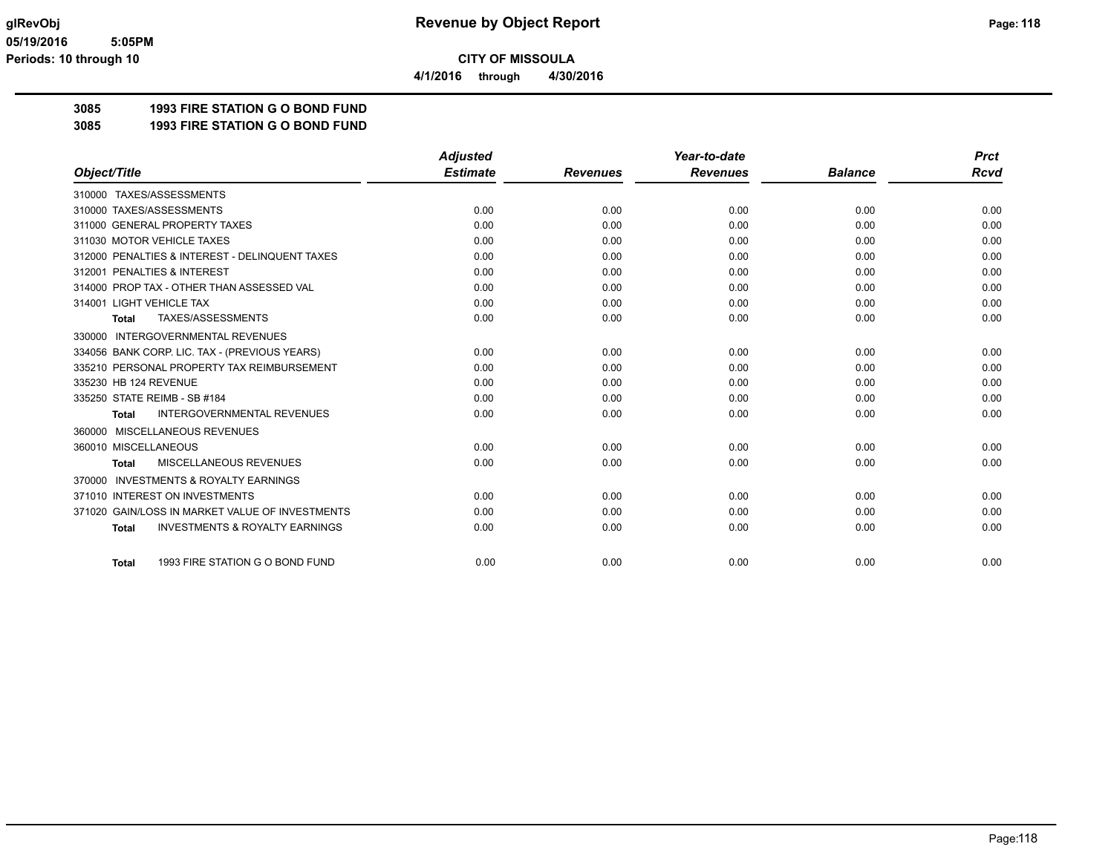**4/1/2016 through 4/30/2016**

# **3085 1993 FIRE STATION G O BOND FUND**

**3085 1993 FIRE STATION G O BOND FUND**

|                                                           | <b>Adjusted</b> |                 | Year-to-date    |                | <b>Prct</b> |
|-----------------------------------------------------------|-----------------|-----------------|-----------------|----------------|-------------|
| Object/Title                                              | <b>Estimate</b> | <b>Revenues</b> | <b>Revenues</b> | <b>Balance</b> | <b>Rcvd</b> |
| 310000 TAXES/ASSESSMENTS                                  |                 |                 |                 |                |             |
| 310000 TAXES/ASSESSMENTS                                  | 0.00            | 0.00            | 0.00            | 0.00           | 0.00        |
| 311000 GENERAL PROPERTY TAXES                             | 0.00            | 0.00            | 0.00            | 0.00           | 0.00        |
| 311030 MOTOR VEHICLE TAXES                                | 0.00            | 0.00            | 0.00            | 0.00           | 0.00        |
| 312000 PENALTIES & INTEREST - DELINQUENT TAXES            | 0.00            | 0.00            | 0.00            | 0.00           | 0.00        |
| 312001 PENALTIES & INTEREST                               | 0.00            | 0.00            | 0.00            | 0.00           | 0.00        |
| 314000 PROP TAX - OTHER THAN ASSESSED VAL                 | 0.00            | 0.00            | 0.00            | 0.00           | 0.00        |
| 314001 LIGHT VEHICLE TAX                                  | 0.00            | 0.00            | 0.00            | 0.00           | 0.00        |
| TAXES/ASSESSMENTS<br><b>Total</b>                         | 0.00            | 0.00            | 0.00            | 0.00           | 0.00        |
| 330000 INTERGOVERNMENTAL REVENUES                         |                 |                 |                 |                |             |
| 334056 BANK CORP. LIC. TAX - (PREVIOUS YEARS)             | 0.00            | 0.00            | 0.00            | 0.00           | 0.00        |
| 335210 PERSONAL PROPERTY TAX REIMBURSEMENT                | 0.00            | 0.00            | 0.00            | 0.00           | 0.00        |
| 335230 HB 124 REVENUE                                     | 0.00            | 0.00            | 0.00            | 0.00           | 0.00        |
| 335250 STATE REIMB - SB #184                              | 0.00            | 0.00            | 0.00            | 0.00           | 0.00        |
| <b>INTERGOVERNMENTAL REVENUES</b><br><b>Total</b>         | 0.00            | 0.00            | 0.00            | 0.00           | 0.00        |
| MISCELLANEOUS REVENUES<br>360000                          |                 |                 |                 |                |             |
| 360010 MISCELLANEOUS                                      | 0.00            | 0.00            | 0.00            | 0.00           | 0.00        |
| <b>MISCELLANEOUS REVENUES</b><br>Total                    | 0.00            | 0.00            | 0.00            | 0.00           | 0.00        |
| <b>INVESTMENTS &amp; ROYALTY EARNINGS</b><br>370000       |                 |                 |                 |                |             |
| 371010 INTEREST ON INVESTMENTS                            | 0.00            | 0.00            | 0.00            | 0.00           | 0.00        |
| 371020 GAIN/LOSS IN MARKET VALUE OF INVESTMENTS           | 0.00            | 0.00            | 0.00            | 0.00           | 0.00        |
| <b>INVESTMENTS &amp; ROYALTY EARNINGS</b><br><b>Total</b> | 0.00            | 0.00            | 0.00            | 0.00           | 0.00        |
|                                                           |                 |                 |                 |                |             |
| 1993 FIRE STATION G O BOND FUND<br><b>Total</b>           | 0.00            | 0.00            | 0.00            | 0.00           | 0.00        |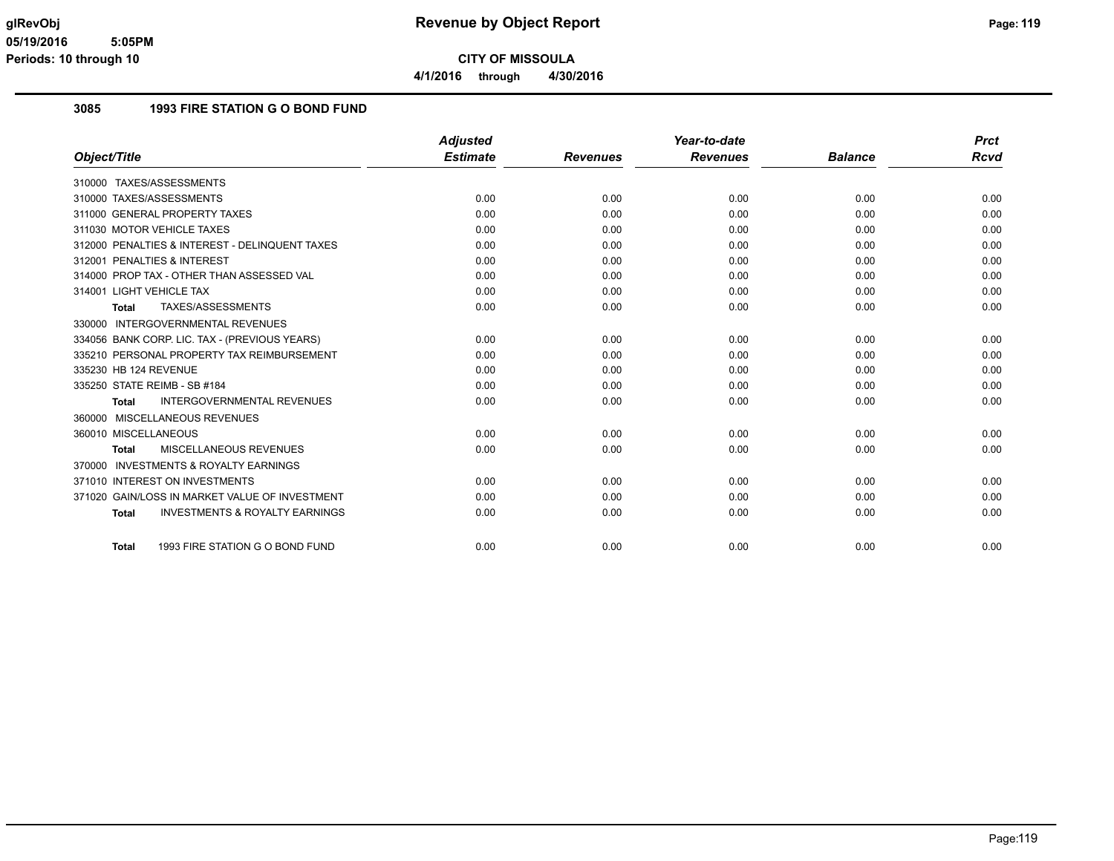**4/1/2016 through 4/30/2016**

#### **3085 1993 FIRE STATION G O BOND FUND**

|                                                           | <b>Adjusted</b> |                 | Year-to-date    |                | <b>Prct</b> |
|-----------------------------------------------------------|-----------------|-----------------|-----------------|----------------|-------------|
| Object/Title                                              | <b>Estimate</b> | <b>Revenues</b> | <b>Revenues</b> | <b>Balance</b> | <b>Rcvd</b> |
| 310000 TAXES/ASSESSMENTS                                  |                 |                 |                 |                |             |
| 310000 TAXES/ASSESSMENTS                                  | 0.00            | 0.00            | 0.00            | 0.00           | 0.00        |
| 311000 GENERAL PROPERTY TAXES                             | 0.00            | 0.00            | 0.00            | 0.00           | 0.00        |
| 311030 MOTOR VEHICLE TAXES                                | 0.00            | 0.00            | 0.00            | 0.00           | 0.00        |
| 312000 PENALTIES & INTEREST - DELINQUENT TAXES            | 0.00            | 0.00            | 0.00            | 0.00           | 0.00        |
| 312001 PENALTIES & INTEREST                               | 0.00            | 0.00            | 0.00            | 0.00           | 0.00        |
| 314000 PROP TAX - OTHER THAN ASSESSED VAL                 | 0.00            | 0.00            | 0.00            | 0.00           | 0.00        |
| 314001 LIGHT VEHICLE TAX                                  | 0.00            | 0.00            | 0.00            | 0.00           | 0.00        |
| TAXES/ASSESSMENTS<br><b>Total</b>                         | 0.00            | 0.00            | 0.00            | 0.00           | 0.00        |
| 330000 INTERGOVERNMENTAL REVENUES                         |                 |                 |                 |                |             |
| 334056 BANK CORP. LIC. TAX - (PREVIOUS YEARS)             | 0.00            | 0.00            | 0.00            | 0.00           | 0.00        |
| 335210 PERSONAL PROPERTY TAX REIMBURSEMENT                | 0.00            | 0.00            | 0.00            | 0.00           | 0.00        |
| 335230 HB 124 REVENUE                                     | 0.00            | 0.00            | 0.00            | 0.00           | 0.00        |
| 335250 STATE REIMB - SB #184                              | 0.00            | 0.00            | 0.00            | 0.00           | 0.00        |
| <b>INTERGOVERNMENTAL REVENUES</b><br><b>Total</b>         | 0.00            | 0.00            | 0.00            | 0.00           | 0.00        |
| 360000 MISCELLANEOUS REVENUES                             |                 |                 |                 |                |             |
| 360010 MISCELLANEOUS                                      | 0.00            | 0.00            | 0.00            | 0.00           | 0.00        |
| <b>MISCELLANEOUS REVENUES</b><br><b>Total</b>             | 0.00            | 0.00            | 0.00            | 0.00           | 0.00        |
| <b>INVESTMENTS &amp; ROYALTY EARNINGS</b><br>370000       |                 |                 |                 |                |             |
| 371010 INTEREST ON INVESTMENTS                            | 0.00            | 0.00            | 0.00            | 0.00           | 0.00        |
| 371020 GAIN/LOSS IN MARKET VALUE OF INVESTMENT            | 0.00            | 0.00            | 0.00            | 0.00           | 0.00        |
| <b>INVESTMENTS &amp; ROYALTY EARNINGS</b><br><b>Total</b> | 0.00            | 0.00            | 0.00            | 0.00           | 0.00        |
| 1993 FIRE STATION G O BOND FUND<br>Total                  | 0.00            | 0.00            | 0.00            | 0.00           | 0.00        |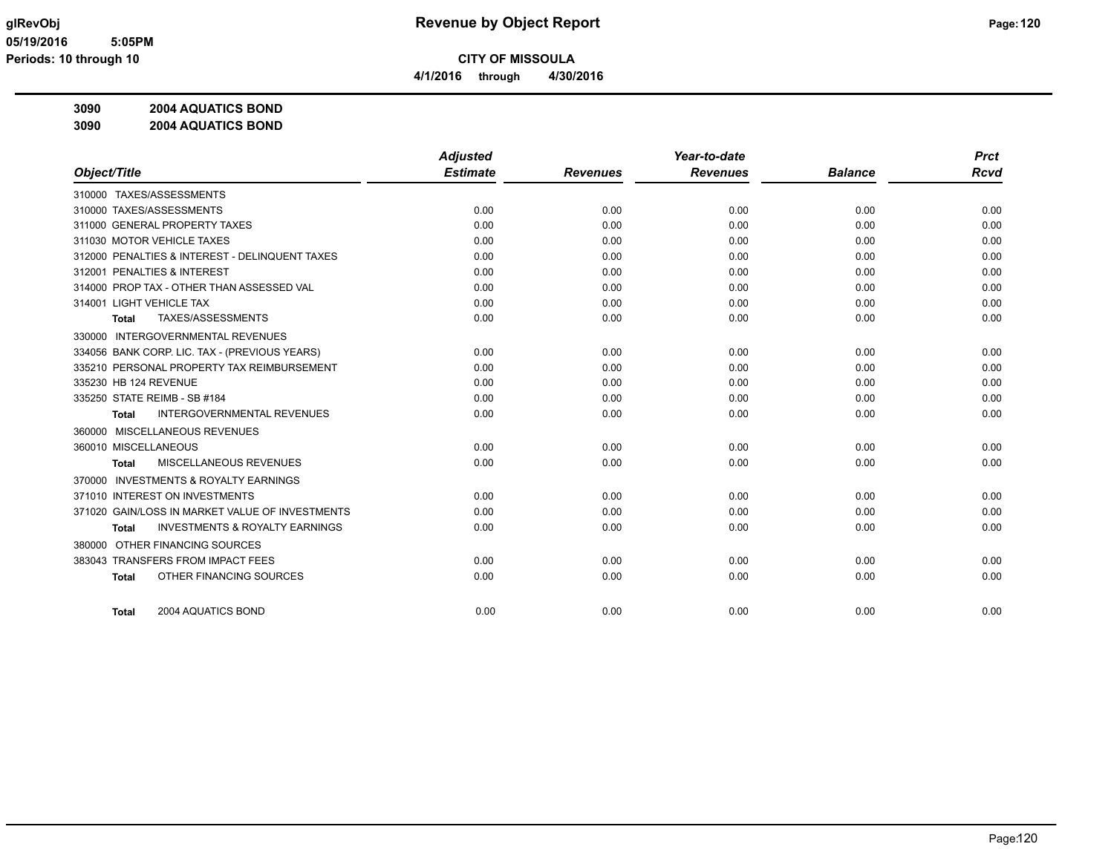**CITY OF MISSOULA 4/1/2016 through 4/30/2016**

# **3090 2004 AQUATICS BOND**

**3090 2004 AQUATICS BOND**

|                                                     | <b>Adjusted</b> |                 | Year-to-date    |                | <b>Prct</b> |
|-----------------------------------------------------|-----------------|-----------------|-----------------|----------------|-------------|
| Object/Title                                        | <b>Estimate</b> | <b>Revenues</b> | <b>Revenues</b> | <b>Balance</b> | <b>Rcvd</b> |
| 310000 TAXES/ASSESSMENTS                            |                 |                 |                 |                |             |
| 310000 TAXES/ASSESSMENTS                            | 0.00            | 0.00            | 0.00            | 0.00           | 0.00        |
| 311000 GENERAL PROPERTY TAXES                       | 0.00            | 0.00            | 0.00            | 0.00           | 0.00        |
| 311030 MOTOR VEHICLE TAXES                          | 0.00            | 0.00            | 0.00            | 0.00           | 0.00        |
| 312000 PENALTIES & INTEREST - DELINQUENT TAXES      | 0.00            | 0.00            | 0.00            | 0.00           | 0.00        |
| 312001 PENALTIES & INTEREST                         | 0.00            | 0.00            | 0.00            | 0.00           | 0.00        |
| 314000 PROP TAX - OTHER THAN ASSESSED VAL           | 0.00            | 0.00            | 0.00            | 0.00           | 0.00        |
| 314001 LIGHT VEHICLE TAX                            | 0.00            | 0.00            | 0.00            | 0.00           | 0.00        |
| TAXES/ASSESSMENTS<br><b>Total</b>                   | 0.00            | 0.00            | 0.00            | 0.00           | 0.00        |
| <b>INTERGOVERNMENTAL REVENUES</b><br>330000         |                 |                 |                 |                |             |
| 334056 BANK CORP. LIC. TAX - (PREVIOUS YEARS)       | 0.00            | 0.00            | 0.00            | 0.00           | 0.00        |
| 335210 PERSONAL PROPERTY TAX REIMBURSEMENT          | 0.00            | 0.00            | 0.00            | 0.00           | 0.00        |
| 335230 HB 124 REVENUE                               | 0.00            | 0.00            | 0.00            | 0.00           | 0.00        |
| 335250 STATE REIMB - SB #184                        | 0.00            | 0.00            | 0.00            | 0.00           | 0.00        |
| <b>INTERGOVERNMENTAL REVENUES</b><br><b>Total</b>   | 0.00            | 0.00            | 0.00            | 0.00           | 0.00        |
| 360000 MISCELLANEOUS REVENUES                       |                 |                 |                 |                |             |
| 360010 MISCELLANEOUS                                | 0.00            | 0.00            | 0.00            | 0.00           | 0.00        |
| MISCELLANEOUS REVENUES<br><b>Total</b>              | 0.00            | 0.00            | 0.00            | 0.00           | 0.00        |
| <b>INVESTMENTS &amp; ROYALTY EARNINGS</b><br>370000 |                 |                 |                 |                |             |
| 371010 INTEREST ON INVESTMENTS                      | 0.00            | 0.00            | 0.00            | 0.00           | 0.00        |
| 371020 GAIN/LOSS IN MARKET VALUE OF INVESTMENTS     | 0.00            | 0.00            | 0.00            | 0.00           | 0.00        |
| <b>INVESTMENTS &amp; ROYALTY EARNINGS</b><br>Total  | 0.00            | 0.00            | 0.00            | 0.00           | 0.00        |
| 380000 OTHER FINANCING SOURCES                      |                 |                 |                 |                |             |
| 383043 TRANSFERS FROM IMPACT FEES                   | 0.00            | 0.00            | 0.00            | 0.00           | 0.00        |
| OTHER FINANCING SOURCES<br><b>Total</b>             | 0.00            | 0.00            | 0.00            | 0.00           | 0.00        |
|                                                     |                 |                 |                 |                |             |
| 2004 AQUATICS BOND<br><b>Total</b>                  | 0.00            | 0.00            | 0.00            | 0.00           | 0.00        |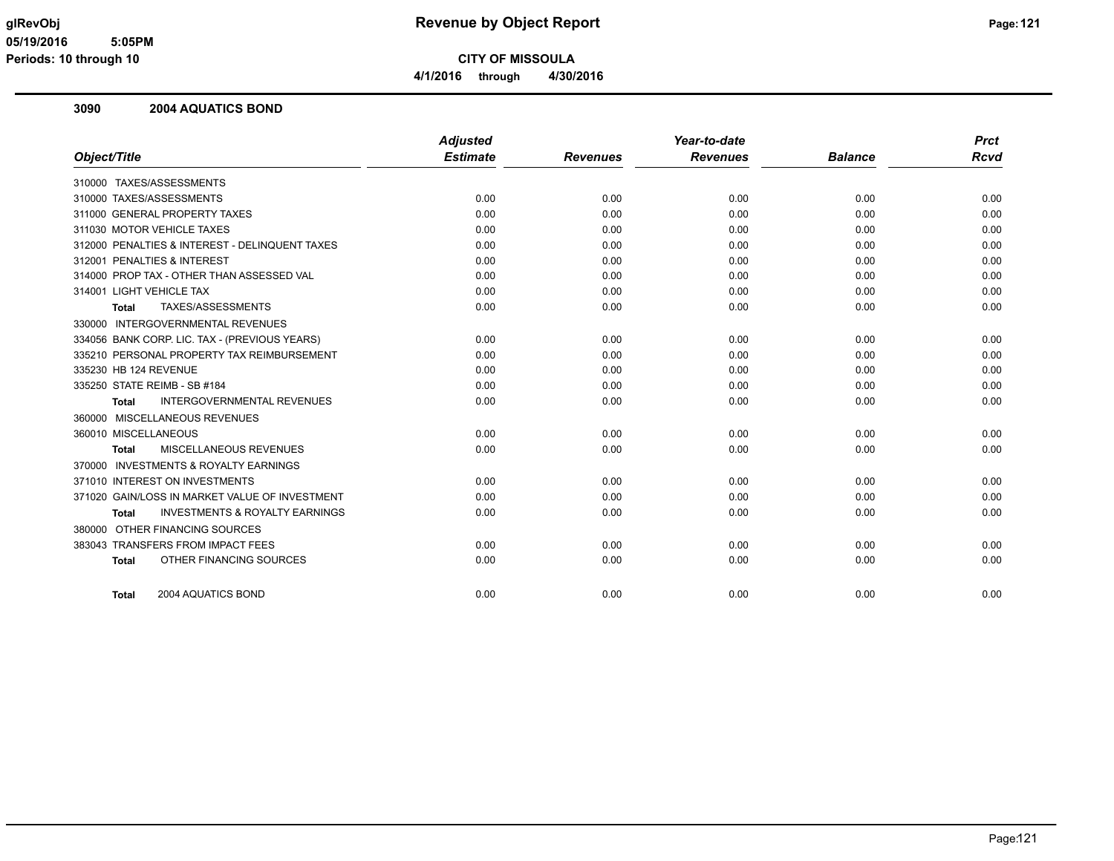**4/1/2016 through 4/30/2016**

#### **3090 2004 AQUATICS BOND**

|                                                           | <b>Adjusted</b> |                 | Year-to-date    |                | <b>Prct</b> |
|-----------------------------------------------------------|-----------------|-----------------|-----------------|----------------|-------------|
| Object/Title                                              | <b>Estimate</b> | <b>Revenues</b> | <b>Revenues</b> | <b>Balance</b> | Rcvd        |
| 310000 TAXES/ASSESSMENTS                                  |                 |                 |                 |                |             |
| 310000 TAXES/ASSESSMENTS                                  | 0.00            | 0.00            | 0.00            | 0.00           | 0.00        |
| 311000 GENERAL PROPERTY TAXES                             | 0.00            | 0.00            | 0.00            | 0.00           | 0.00        |
| 311030 MOTOR VEHICLE TAXES                                | 0.00            | 0.00            | 0.00            | 0.00           | 0.00        |
| 312000 PENALTIES & INTEREST - DELINQUENT TAXES            | 0.00            | 0.00            | 0.00            | 0.00           | 0.00        |
| 312001 PENALTIES & INTEREST                               | 0.00            | 0.00            | 0.00            | 0.00           | 0.00        |
| 314000 PROP TAX - OTHER THAN ASSESSED VAL                 | 0.00            | 0.00            | 0.00            | 0.00           | 0.00        |
| 314001 LIGHT VEHICLE TAX                                  | 0.00            | 0.00            | 0.00            | 0.00           | 0.00        |
| TAXES/ASSESSMENTS<br><b>Total</b>                         | 0.00            | 0.00            | 0.00            | 0.00           | 0.00        |
| 330000 INTERGOVERNMENTAL REVENUES                         |                 |                 |                 |                |             |
| 334056 BANK CORP. LIC. TAX - (PREVIOUS YEARS)             | 0.00            | 0.00            | 0.00            | 0.00           | 0.00        |
| 335210 PERSONAL PROPERTY TAX REIMBURSEMENT                | 0.00            | 0.00            | 0.00            | 0.00           | 0.00        |
| 335230 HB 124 REVENUE                                     | 0.00            | 0.00            | 0.00            | 0.00           | 0.00        |
| 335250 STATE REIMB - SB #184                              | 0.00            | 0.00            | 0.00            | 0.00           | 0.00        |
| <b>INTERGOVERNMENTAL REVENUES</b><br><b>Total</b>         | 0.00            | 0.00            | 0.00            | 0.00           | 0.00        |
| 360000 MISCELLANEOUS REVENUES                             |                 |                 |                 |                |             |
| 360010 MISCELLANEOUS                                      | 0.00            | 0.00            | 0.00            | 0.00           | 0.00        |
| <b>MISCELLANEOUS REVENUES</b><br><b>Total</b>             | 0.00            | 0.00            | 0.00            | 0.00           | 0.00        |
| 370000 INVESTMENTS & ROYALTY EARNINGS                     |                 |                 |                 |                |             |
| 371010 INTEREST ON INVESTMENTS                            | 0.00            | 0.00            | 0.00            | 0.00           | 0.00        |
| 371020 GAIN/LOSS IN MARKET VALUE OF INVESTMENT            | 0.00            | 0.00            | 0.00            | 0.00           | 0.00        |
| <b>INVESTMENTS &amp; ROYALTY EARNINGS</b><br><b>Total</b> | 0.00            | 0.00            | 0.00            | 0.00           | 0.00        |
| 380000 OTHER FINANCING SOURCES                            |                 |                 |                 |                |             |
| 383043 TRANSFERS FROM IMPACT FEES                         | 0.00            | 0.00            | 0.00            | 0.00           | 0.00        |
| OTHER FINANCING SOURCES<br><b>Total</b>                   | 0.00            | 0.00            | 0.00            | 0.00           | 0.00        |
| 2004 AQUATICS BOND<br><b>Total</b>                        | 0.00            | 0.00            | 0.00            | 0.00           | 0.00        |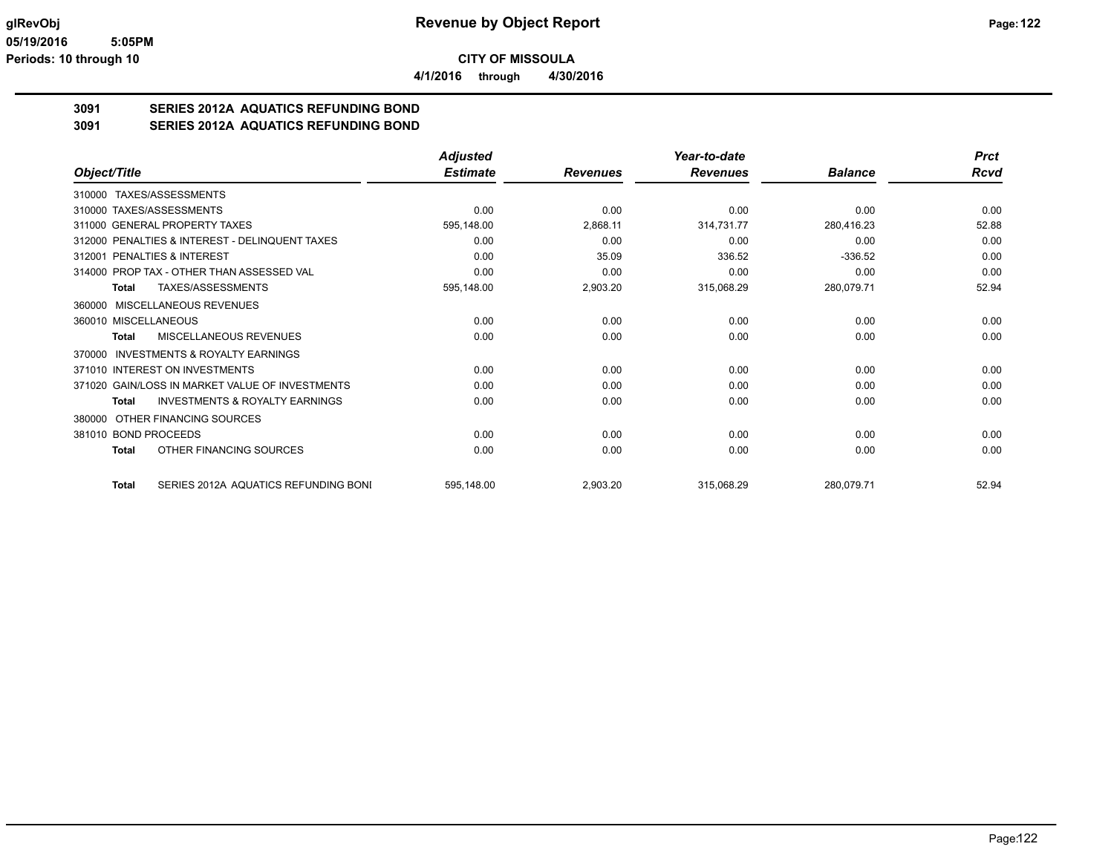**4/1/2016 through 4/30/2016**

## **3091 SERIES 2012A AQUATICS REFUNDING BOND**

**3091 SERIES 2012A AQUATICS REFUNDING BOND**

|                                                           | <b>Adjusted</b> |                 | Year-to-date    |                | <b>Prct</b> |
|-----------------------------------------------------------|-----------------|-----------------|-----------------|----------------|-------------|
| Object/Title                                              | <b>Estimate</b> | <b>Revenues</b> | <b>Revenues</b> | <b>Balance</b> | Rcvd        |
| TAXES/ASSESSMENTS<br>310000                               |                 |                 |                 |                |             |
| 310000 TAXES/ASSESSMENTS                                  | 0.00            | 0.00            | 0.00            | 0.00           | 0.00        |
| 311000 GENERAL PROPERTY TAXES                             | 595,148.00      | 2,868.11        | 314,731.77      | 280,416.23     | 52.88       |
| 312000 PENALTIES & INTEREST - DELINQUENT TAXES            | 0.00            | 0.00            | 0.00            | 0.00           | 0.00        |
| 312001 PENALTIES & INTEREST                               | 0.00            | 35.09           | 336.52          | $-336.52$      | 0.00        |
| 314000 PROP TAX - OTHER THAN ASSESSED VAL                 | 0.00            | 0.00            | 0.00            | 0.00           | 0.00        |
| TAXES/ASSESSMENTS<br><b>Total</b>                         | 595,148.00      | 2,903.20        | 315,068.29      | 280,079.71     | 52.94       |
| MISCELLANEOUS REVENUES<br>360000                          |                 |                 |                 |                |             |
| 360010 MISCELLANEOUS                                      | 0.00            | 0.00            | 0.00            | 0.00           | 0.00        |
| MISCELLANEOUS REVENUES<br><b>Total</b>                    | 0.00            | 0.00            | 0.00            | 0.00           | 0.00        |
| <b>INVESTMENTS &amp; ROYALTY EARNINGS</b><br>370000       |                 |                 |                 |                |             |
| 371010 INTEREST ON INVESTMENTS                            | 0.00            | 0.00            | 0.00            | 0.00           | 0.00        |
| 371020 GAIN/LOSS IN MARKET VALUE OF INVESTMENTS           | 0.00            | 0.00            | 0.00            | 0.00           | 0.00        |
| <b>INVESTMENTS &amp; ROYALTY EARNINGS</b><br><b>Total</b> | 0.00            | 0.00            | 0.00            | 0.00           | 0.00        |
| OTHER FINANCING SOURCES<br>380000                         |                 |                 |                 |                |             |
| 381010 BOND PROCEEDS                                      | 0.00            | 0.00            | 0.00            | 0.00           | 0.00        |
| OTHER FINANCING SOURCES<br><b>Total</b>                   | 0.00            | 0.00            | 0.00            | 0.00           | 0.00        |
| SERIES 2012A AQUATICS REFUNDING BONI<br><b>Total</b>      | 595,148.00      | 2,903.20        | 315,068.29      | 280,079.71     | 52.94       |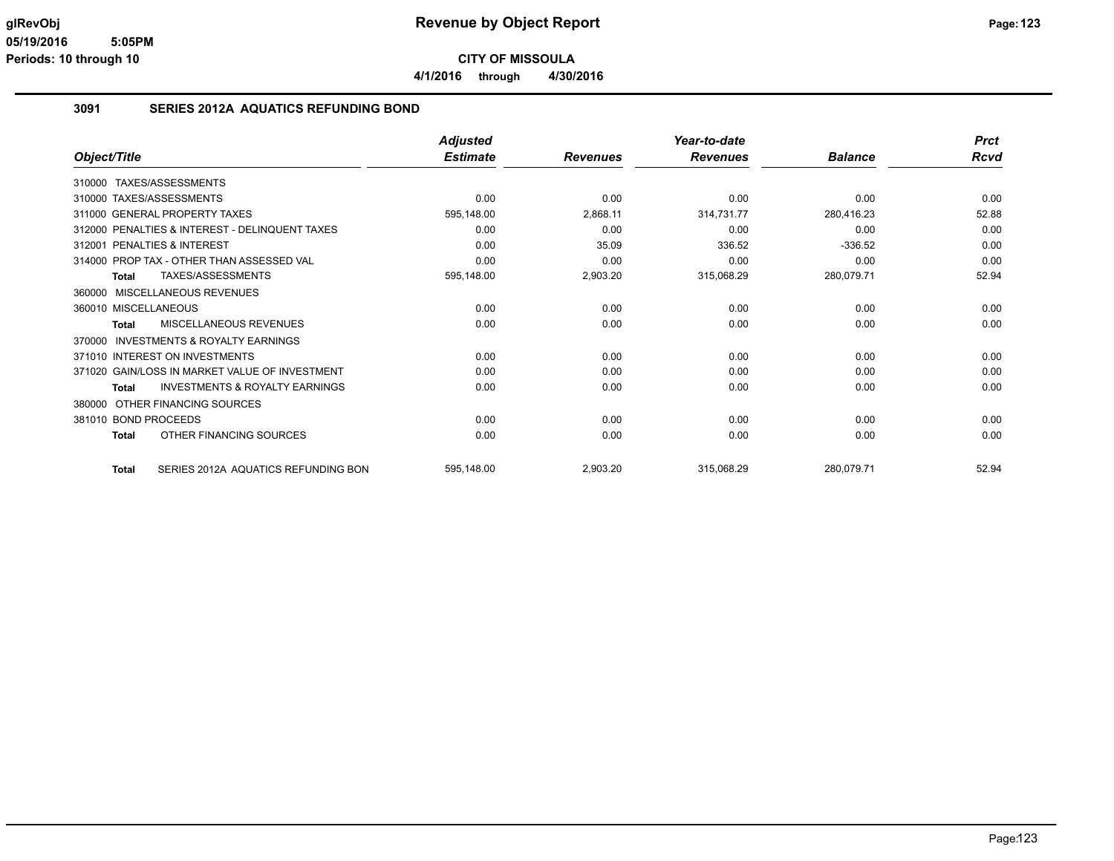**CITY OF MISSOULA 4/1/2016 through 4/30/2016**

#### **3091 SERIES 2012A AQUATICS REFUNDING BOND**

|                                                     | <b>Adjusted</b> |                 | Year-to-date    |                | <b>Prct</b> |
|-----------------------------------------------------|-----------------|-----------------|-----------------|----------------|-------------|
| Object/Title                                        | <b>Estimate</b> | <b>Revenues</b> | <b>Revenues</b> | <b>Balance</b> | Rcvd        |
| 310000 TAXES/ASSESSMENTS                            |                 |                 |                 |                |             |
| 310000 TAXES/ASSESSMENTS                            | 0.00            | 0.00            | 0.00            | 0.00           | 0.00        |
| 311000 GENERAL PROPERTY TAXES                       | 595,148.00      | 2,868.11        | 314,731.77      | 280,416.23     | 52.88       |
| 312000 PENALTIES & INTEREST - DELINQUENT TAXES      | 0.00            | 0.00            | 0.00            | 0.00           | 0.00        |
| 312001 PENALTIES & INTEREST                         | 0.00            | 35.09           | 336.52          | $-336.52$      | 0.00        |
| 314000 PROP TAX - OTHER THAN ASSESSED VAL           | 0.00            | 0.00            | 0.00            | 0.00           | 0.00        |
| TAXES/ASSESSMENTS<br>Total                          | 595,148.00      | 2,903.20        | 315,068.29      | 280,079.71     | 52.94       |
| MISCELLANEOUS REVENUES<br>360000                    |                 |                 |                 |                |             |
| 360010 MISCELLANEOUS                                | 0.00            | 0.00            | 0.00            | 0.00           | 0.00        |
| MISCELLANEOUS REVENUES<br>Total                     | 0.00            | 0.00            | 0.00            | 0.00           | 0.00        |
| <b>INVESTMENTS &amp; ROYALTY EARNINGS</b><br>370000 |                 |                 |                 |                |             |
| 371010 INTEREST ON INVESTMENTS                      | 0.00            | 0.00            | 0.00            | 0.00           | 0.00        |
| 371020 GAIN/LOSS IN MARKET VALUE OF INVESTMENT      | 0.00            | 0.00            | 0.00            | 0.00           | 0.00        |
| <b>INVESTMENTS &amp; ROYALTY EARNINGS</b><br>Total  | 0.00            | 0.00            | 0.00            | 0.00           | 0.00        |
| OTHER FINANCING SOURCES<br>380000                   |                 |                 |                 |                |             |
| 381010 BOND PROCEEDS                                | 0.00            | 0.00            | 0.00            | 0.00           | 0.00        |
| OTHER FINANCING SOURCES<br>Total                    | 0.00            | 0.00            | 0.00            | 0.00           | 0.00        |
| SERIES 2012A AQUATICS REFUNDING BON<br><b>Total</b> | 595,148.00      | 2,903.20        | 315,068.29      | 280,079.71     | 52.94       |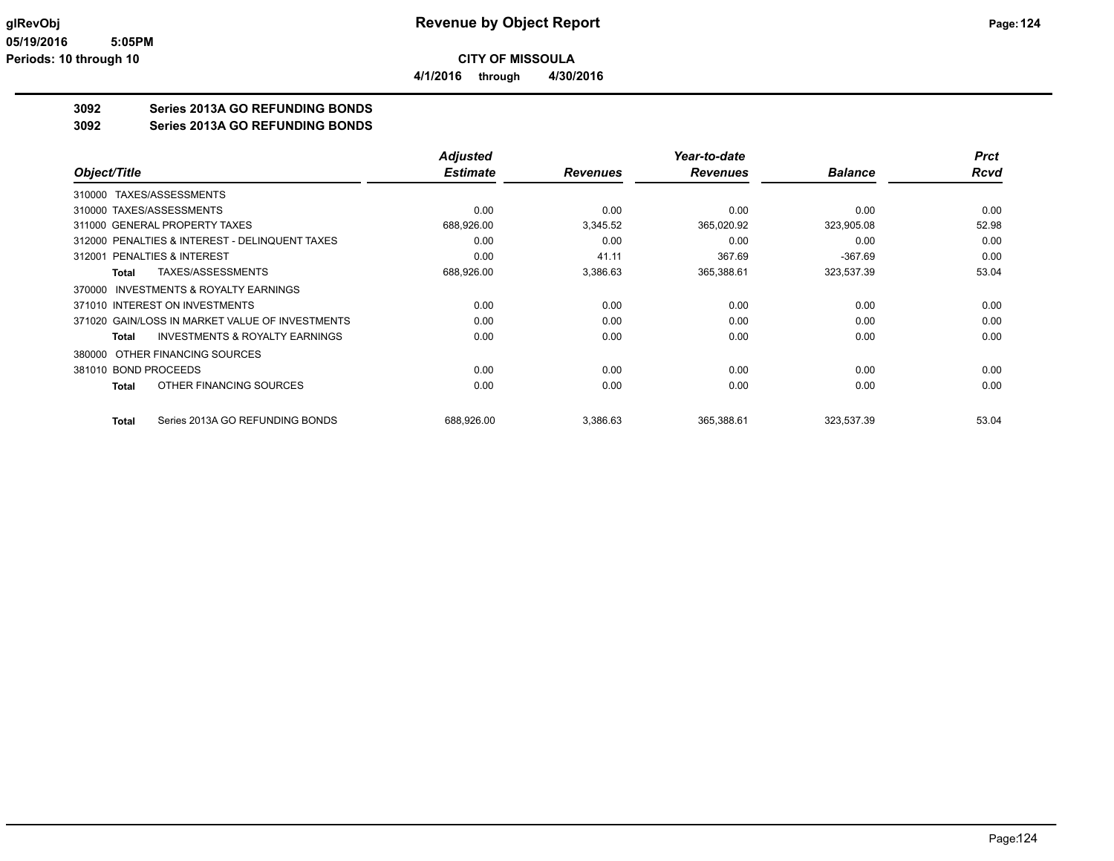**4/1/2016 through 4/30/2016**

## **3092 Series 2013A GO REFUNDING BONDS**

**3092 Series 2013A GO REFUNDING BONDS**

|                                                 | <b>Adjusted</b> |                 | Year-to-date    |                | <b>Prct</b> |
|-------------------------------------------------|-----------------|-----------------|-----------------|----------------|-------------|
| Object/Title                                    | <b>Estimate</b> | <b>Revenues</b> | <b>Revenues</b> | <b>Balance</b> | <b>Rcvd</b> |
| 310000 TAXES/ASSESSMENTS                        |                 |                 |                 |                |             |
| 310000 TAXES/ASSESSMENTS                        | 0.00            | 0.00            | 0.00            | 0.00           | 0.00        |
| 311000 GENERAL PROPERTY TAXES                   | 688,926.00      | 3,345.52        | 365,020.92      | 323,905.08     | 52.98       |
| 312000 PENALTIES & INTEREST - DELINQUENT TAXES  | 0.00            | 0.00            | 0.00            | 0.00           | 0.00        |
| <b>PENALTIES &amp; INTEREST</b><br>312001       | 0.00            | 41.11           | 367.69          | $-367.69$      | 0.00        |
| TAXES/ASSESSMENTS<br>Total                      | 688,926.00      | 3,386.63        | 365,388.61      | 323,537.39     | 53.04       |
| 370000 INVESTMENTS & ROYALTY EARNINGS           |                 |                 |                 |                |             |
| 371010 INTEREST ON INVESTMENTS                  | 0.00            | 0.00            | 0.00            | 0.00           | 0.00        |
| 371020 GAIN/LOSS IN MARKET VALUE OF INVESTMENTS | 0.00            | 0.00            | 0.00            | 0.00           | 0.00        |
| INVESTMENTS & ROYALTY EARNINGS<br>Total         | 0.00            | 0.00            | 0.00            | 0.00           | 0.00        |
| 380000 OTHER FINANCING SOURCES                  |                 |                 |                 |                |             |
| 381010 BOND PROCEEDS                            | 0.00            | 0.00            | 0.00            | 0.00           | 0.00        |
| OTHER FINANCING SOURCES<br>Total                | 0.00            | 0.00            | 0.00            | 0.00           | 0.00        |
| Series 2013A GO REFUNDING BONDS<br>Total        | 688,926.00      | 3,386.63        | 365,388.61      | 323,537.39     | 53.04       |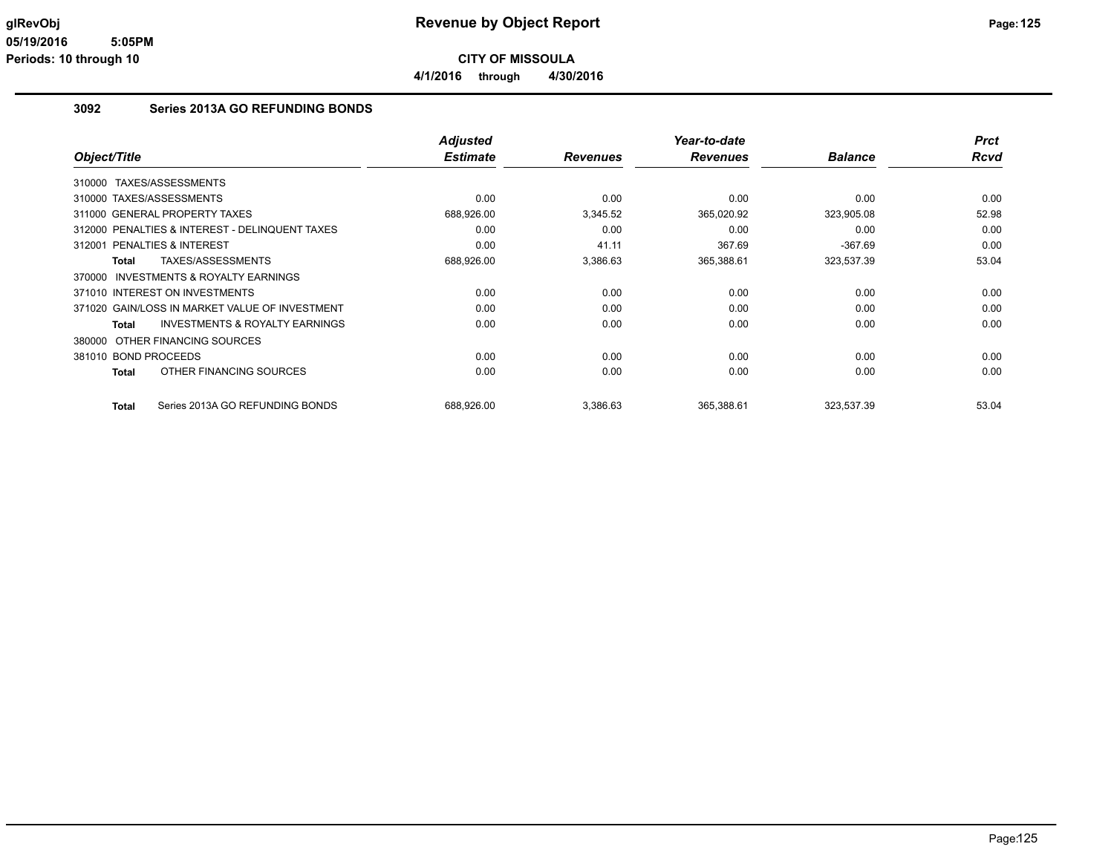**CITY OF MISSOULA 4/1/2016 through 4/30/2016**

#### **3092 Series 2013A GO REFUNDING BONDS**

|                                       |                                                | <b>Adjusted</b> |                 | Year-to-date    |                | <b>Prct</b> |
|---------------------------------------|------------------------------------------------|-----------------|-----------------|-----------------|----------------|-------------|
| Object/Title                          |                                                | <b>Estimate</b> | <b>Revenues</b> | <b>Revenues</b> | <b>Balance</b> | <b>Rcvd</b> |
| TAXES/ASSESSMENTS<br>310000           |                                                |                 |                 |                 |                |             |
| 310000 TAXES/ASSESSMENTS              |                                                | 0.00            | 0.00            | 0.00            | 0.00           | 0.00        |
| 311000 GENERAL PROPERTY TAXES         |                                                | 688,926.00      | 3,345.52        | 365,020.92      | 323,905.08     | 52.98       |
|                                       | 312000 PENALTIES & INTEREST - DELINQUENT TAXES | 0.00            | 0.00            | 0.00            | 0.00           | 0.00        |
| 312001 PENALTIES & INTEREST           |                                                | 0.00            | 41.11           | 367.69          | $-367.69$      | 0.00        |
| <b>Total</b>                          | TAXES/ASSESSMENTS                              | 688,926.00      | 3,386.63        | 365,388.61      | 323,537.39     | 53.04       |
| 370000 INVESTMENTS & ROYALTY EARNINGS |                                                |                 |                 |                 |                |             |
| 371010 INTEREST ON INVESTMENTS        |                                                | 0.00            | 0.00            | 0.00            | 0.00           | 0.00        |
|                                       | 371020 GAIN/LOSS IN MARKET VALUE OF INVESTMENT | 0.00            | 0.00            | 0.00            | 0.00           | 0.00        |
| <b>Total</b>                          | <b>INVESTMENTS &amp; ROYALTY EARNINGS</b>      | 0.00            | 0.00            | 0.00            | 0.00           | 0.00        |
| OTHER FINANCING SOURCES<br>380000     |                                                |                 |                 |                 |                |             |
| 381010 BOND PROCEEDS                  |                                                | 0.00            | 0.00            | 0.00            | 0.00           | 0.00        |
| <b>Total</b>                          | OTHER FINANCING SOURCES                        | 0.00            | 0.00            | 0.00            | 0.00           | 0.00        |
| <b>Total</b>                          | Series 2013A GO REFUNDING BONDS                | 688.926.00      | 3,386.63        | 365,388.61      | 323,537.39     | 53.04       |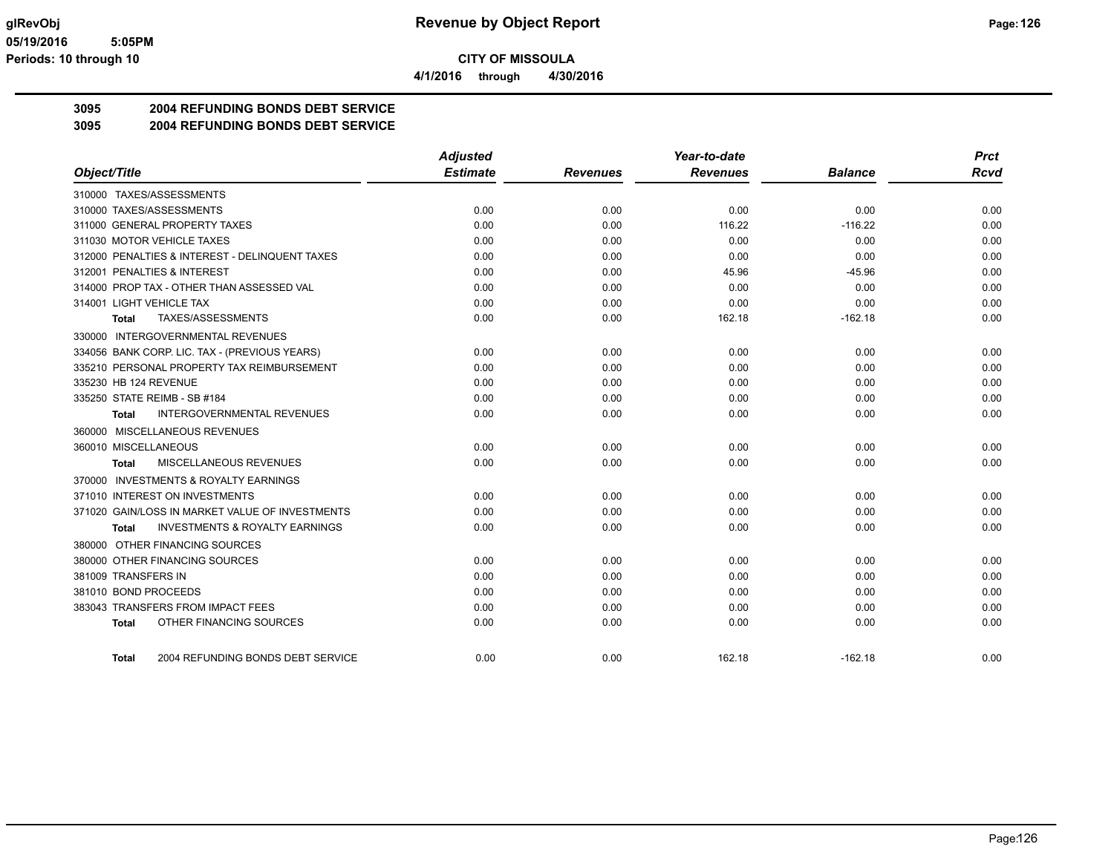**4/1/2016 through 4/30/2016**

## **3095 2004 REFUNDING BONDS DEBT SERVICE**

**3095 2004 REFUNDING BONDS DEBT SERVICE**

|                                                    | <b>Adjusted</b> |                 | Year-to-date    |                | <b>Prct</b> |
|----------------------------------------------------|-----------------|-----------------|-----------------|----------------|-------------|
| Object/Title                                       | <b>Estimate</b> | <b>Revenues</b> | <b>Revenues</b> | <b>Balance</b> | <b>Rcvd</b> |
| 310000 TAXES/ASSESSMENTS                           |                 |                 |                 |                |             |
| 310000 TAXES/ASSESSMENTS                           | 0.00            | 0.00            | 0.00            | 0.00           | 0.00        |
| 311000 GENERAL PROPERTY TAXES                      | 0.00            | 0.00            | 116.22          | $-116.22$      | 0.00        |
| 311030 MOTOR VEHICLE TAXES                         | 0.00            | 0.00            | 0.00            | 0.00           | 0.00        |
| 312000 PENALTIES & INTEREST - DELINQUENT TAXES     | 0.00            | 0.00            | 0.00            | 0.00           | 0.00        |
| 312001 PENALTIES & INTEREST                        | 0.00            | 0.00            | 45.96           | $-45.96$       | 0.00        |
| 314000 PROP TAX - OTHER THAN ASSESSED VAL          | 0.00            | 0.00            | 0.00            | 0.00           | 0.00        |
| 314001 LIGHT VEHICLE TAX                           | 0.00            | 0.00            | 0.00            | 0.00           | 0.00        |
| TAXES/ASSESSMENTS<br>Total                         | 0.00            | 0.00            | 162.18          | $-162.18$      | 0.00        |
| 330000 INTERGOVERNMENTAL REVENUES                  |                 |                 |                 |                |             |
| 334056 BANK CORP. LIC. TAX - (PREVIOUS YEARS)      | 0.00            | 0.00            | 0.00            | 0.00           | 0.00        |
| 335210 PERSONAL PROPERTY TAX REIMBURSEMENT         | 0.00            | 0.00            | 0.00            | 0.00           | 0.00        |
| 335230 HB 124 REVENUE                              | 0.00            | 0.00            | 0.00            | 0.00           | 0.00        |
| 335250 STATE REIMB - SB #184                       | 0.00            | 0.00            | 0.00            | 0.00           | 0.00        |
| <b>INTERGOVERNMENTAL REVENUES</b><br>Total         | 0.00            | 0.00            | 0.00            | 0.00           | 0.00        |
| 360000 MISCELLANEOUS REVENUES                      |                 |                 |                 |                |             |
| 360010 MISCELLANEOUS                               | 0.00            | 0.00            | 0.00            | 0.00           | 0.00        |
| MISCELLANEOUS REVENUES<br><b>Total</b>             | 0.00            | 0.00            | 0.00            | 0.00           | 0.00        |
| 370000 INVESTMENTS & ROYALTY EARNINGS              |                 |                 |                 |                |             |
| 371010 INTEREST ON INVESTMENTS                     | 0.00            | 0.00            | 0.00            | 0.00           | 0.00        |
| 371020 GAIN/LOSS IN MARKET VALUE OF INVESTMENTS    | 0.00            | 0.00            | 0.00            | 0.00           | 0.00        |
| <b>INVESTMENTS &amp; ROYALTY EARNINGS</b><br>Total | 0.00            | 0.00            | 0.00            | 0.00           | 0.00        |
| 380000 OTHER FINANCING SOURCES                     |                 |                 |                 |                |             |
| 380000 OTHER FINANCING SOURCES                     | 0.00            | 0.00            | 0.00            | 0.00           | 0.00        |
| 381009 TRANSFERS IN                                | 0.00            | 0.00            | 0.00            | 0.00           | 0.00        |
| 381010 BOND PROCEEDS                               | 0.00            | 0.00            | 0.00            | 0.00           | 0.00        |
| 383043 TRANSFERS FROM IMPACT FEES                  | 0.00            | 0.00            | 0.00            | 0.00           | 0.00        |
| OTHER FINANCING SOURCES<br><b>Total</b>            | 0.00            | 0.00            | 0.00            | 0.00           | 0.00        |
|                                                    |                 |                 |                 |                |             |
| 2004 REFUNDING BONDS DEBT SERVICE<br><b>Total</b>  | 0.00            | 0.00            | 162.18          | $-162.18$      | 0.00        |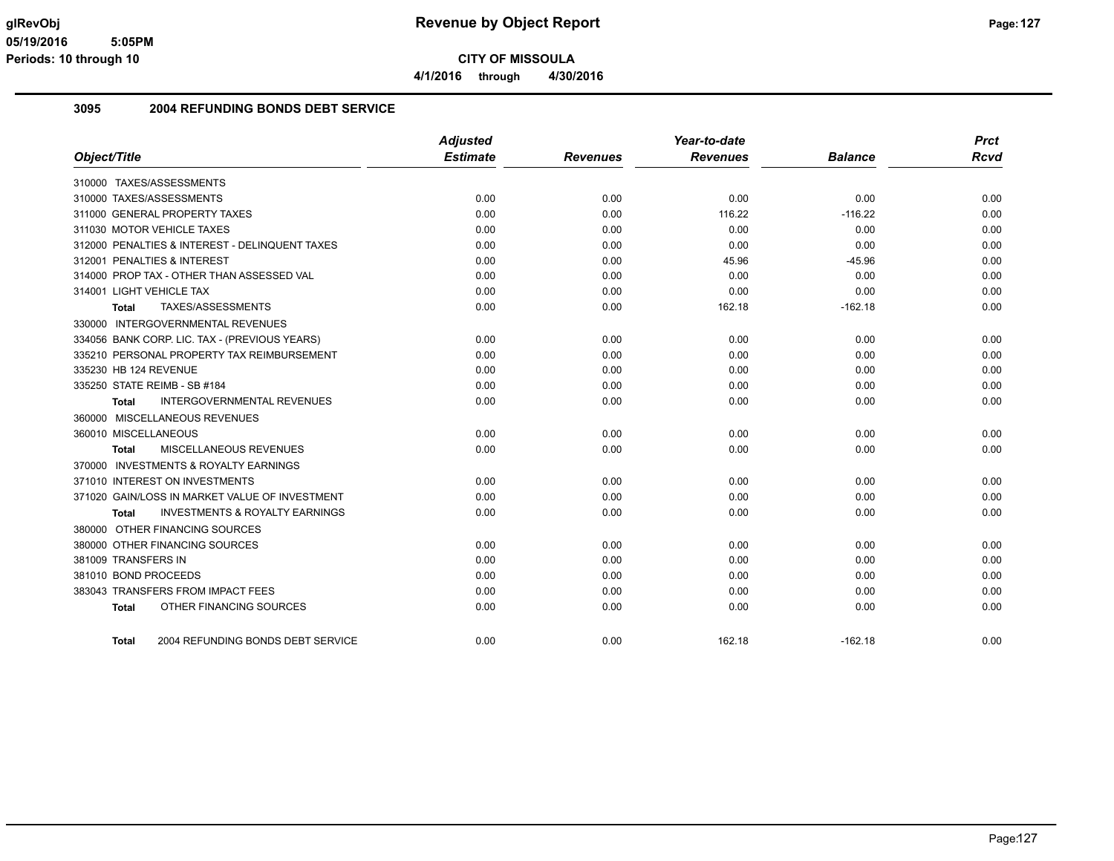**4/1/2016 through 4/30/2016**

#### **3095 2004 REFUNDING BONDS DEBT SERVICE**

|                                                    | <b>Adjusted</b> |                 | Year-to-date    |                | <b>Prct</b> |
|----------------------------------------------------|-----------------|-----------------|-----------------|----------------|-------------|
| Object/Title                                       | <b>Estimate</b> | <b>Revenues</b> | <b>Revenues</b> | <b>Balance</b> | <b>Rcvd</b> |
| 310000 TAXES/ASSESSMENTS                           |                 |                 |                 |                |             |
| 310000 TAXES/ASSESSMENTS                           | 0.00            | 0.00            | 0.00            | 0.00           | 0.00        |
| 311000 GENERAL PROPERTY TAXES                      | 0.00            | 0.00            | 116.22          | $-116.22$      | 0.00        |
| 311030 MOTOR VEHICLE TAXES                         | 0.00            | 0.00            | 0.00            | 0.00           | 0.00        |
| 312000 PENALTIES & INTEREST - DELINQUENT TAXES     | 0.00            | 0.00            | 0.00            | 0.00           | 0.00        |
| 312001 PENALTIES & INTEREST                        | 0.00            | 0.00            | 45.96           | $-45.96$       | 0.00        |
| 314000 PROP TAX - OTHER THAN ASSESSED VAL          | 0.00            | 0.00            | 0.00            | 0.00           | 0.00        |
| 314001 LIGHT VEHICLE TAX                           | 0.00            | 0.00            | 0.00            | 0.00           | 0.00        |
| TAXES/ASSESSMENTS<br>Total                         | 0.00            | 0.00            | 162.18          | $-162.18$      | 0.00        |
| 330000 INTERGOVERNMENTAL REVENUES                  |                 |                 |                 |                |             |
| 334056 BANK CORP. LIC. TAX - (PREVIOUS YEARS)      | 0.00            | 0.00            | 0.00            | 0.00           | 0.00        |
| 335210 PERSONAL PROPERTY TAX REIMBURSEMENT         | 0.00            | 0.00            | 0.00            | 0.00           | 0.00        |
| 335230 HB 124 REVENUE                              | 0.00            | 0.00            | 0.00            | 0.00           | 0.00        |
| 335250 STATE REIMB - SB #184                       | 0.00            | 0.00            | 0.00            | 0.00           | 0.00        |
| <b>INTERGOVERNMENTAL REVENUES</b><br>Total         | 0.00            | 0.00            | 0.00            | 0.00           | 0.00        |
| 360000 MISCELLANEOUS REVENUES                      |                 |                 |                 |                |             |
| 360010 MISCELLANEOUS                               | 0.00            | 0.00            | 0.00            | 0.00           | 0.00        |
| MISCELLANEOUS REVENUES<br>Total                    | 0.00            | 0.00            | 0.00            | 0.00           | 0.00        |
| 370000 INVESTMENTS & ROYALTY EARNINGS              |                 |                 |                 |                |             |
| 371010 INTEREST ON INVESTMENTS                     | 0.00            | 0.00            | 0.00            | 0.00           | 0.00        |
| 371020 GAIN/LOSS IN MARKET VALUE OF INVESTMENT     | 0.00            | 0.00            | 0.00            | 0.00           | 0.00        |
| <b>INVESTMENTS &amp; ROYALTY EARNINGS</b><br>Total | 0.00            | 0.00            | 0.00            | 0.00           | 0.00        |
| 380000 OTHER FINANCING SOURCES                     |                 |                 |                 |                |             |
| 380000 OTHER FINANCING SOURCES                     | 0.00            | 0.00            | 0.00            | 0.00           | 0.00        |
| 381009 TRANSFERS IN                                | 0.00            | 0.00            | 0.00            | 0.00           | 0.00        |
| 381010 BOND PROCEEDS                               | 0.00            | 0.00            | 0.00            | 0.00           | 0.00        |
| 383043 TRANSFERS FROM IMPACT FEES                  | 0.00            | 0.00            | 0.00            | 0.00           | 0.00        |
| OTHER FINANCING SOURCES<br><b>Total</b>            | 0.00            | 0.00            | 0.00            | 0.00           | 0.00        |
|                                                    |                 |                 |                 |                |             |
| 2004 REFUNDING BONDS DEBT SERVICE<br><b>Total</b>  | 0.00            | 0.00            | 162.18          | $-162.18$      | 0.00        |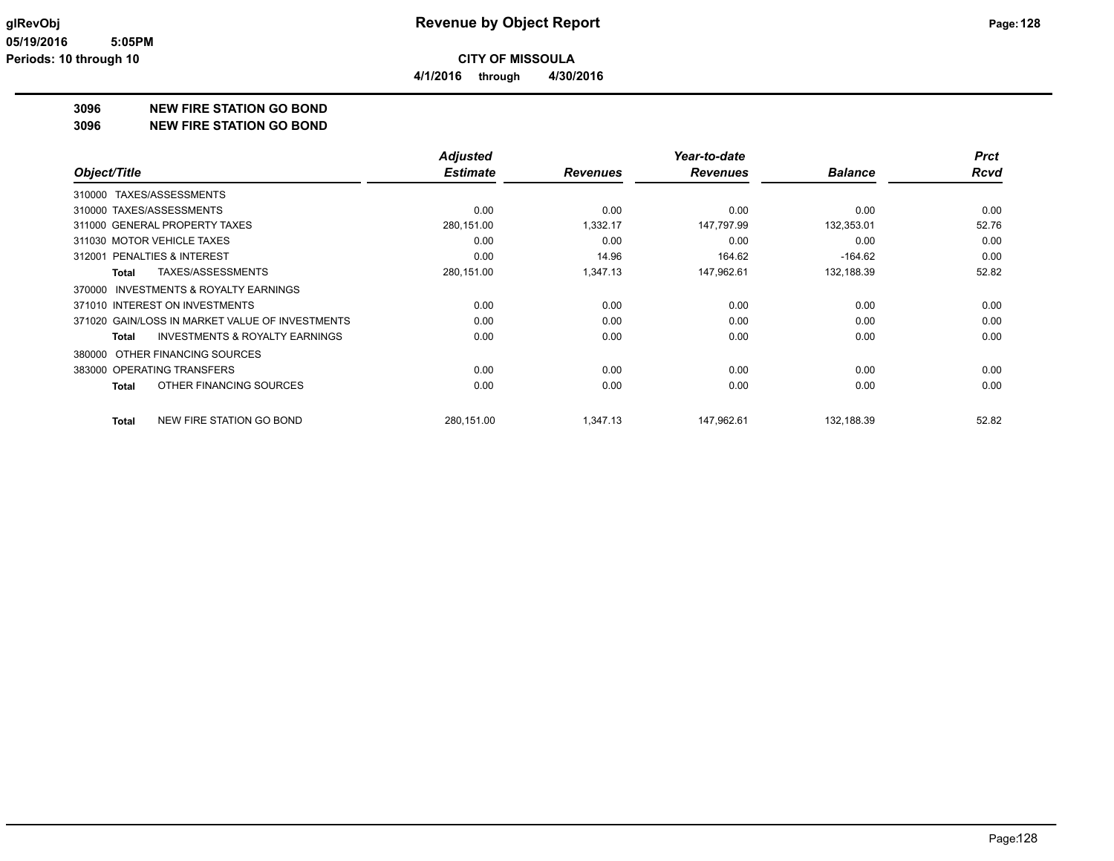**4/1/2016 through 4/30/2016**

## **3096 NEW FIRE STATION GO BOND**

#### **3096 NEW FIRE STATION GO BOND**

|                                                     | <b>Adjusted</b> |                 | Year-to-date    |                | <b>Prct</b> |
|-----------------------------------------------------|-----------------|-----------------|-----------------|----------------|-------------|
| Object/Title                                        | <b>Estimate</b> | <b>Revenues</b> | <b>Revenues</b> | <b>Balance</b> | <b>Rcvd</b> |
| TAXES/ASSESSMENTS<br>310000                         |                 |                 |                 |                |             |
| 310000 TAXES/ASSESSMENTS                            | 0.00            | 0.00            | 0.00            | 0.00           | 0.00        |
| 311000 GENERAL PROPERTY TAXES                       | 280,151.00      | 1,332.17        | 147,797.99      | 132,353.01     | 52.76       |
| 311030 MOTOR VEHICLE TAXES                          | 0.00            | 0.00            | 0.00            | 0.00           | 0.00        |
| 312001 PENALTIES & INTEREST                         | 0.00            | 14.96           | 164.62          | $-164.62$      | 0.00        |
| TAXES/ASSESSMENTS<br>Total                          | 280,151.00      | 1,347.13        | 147,962.61      | 132,188.39     | 52.82       |
| <b>INVESTMENTS &amp; ROYALTY EARNINGS</b><br>370000 |                 |                 |                 |                |             |
| 371010 INTEREST ON INVESTMENTS                      | 0.00            | 0.00            | 0.00            | 0.00           | 0.00        |
| 371020 GAIN/LOSS IN MARKET VALUE OF INVESTMENTS     | 0.00            | 0.00            | 0.00            | 0.00           | 0.00        |
| <b>INVESTMENTS &amp; ROYALTY EARNINGS</b><br>Total  | 0.00            | 0.00            | 0.00            | 0.00           | 0.00        |
| OTHER FINANCING SOURCES<br>380000                   |                 |                 |                 |                |             |
| 383000 OPERATING TRANSFERS                          | 0.00            | 0.00            | 0.00            | 0.00           | 0.00        |
| OTHER FINANCING SOURCES<br>Total                    | 0.00            | 0.00            | 0.00            | 0.00           | 0.00        |
| NEW FIRE STATION GO BOND<br>Total                   | 280,151.00      | 1,347.13        | 147,962.61      | 132,188.39     | 52.82       |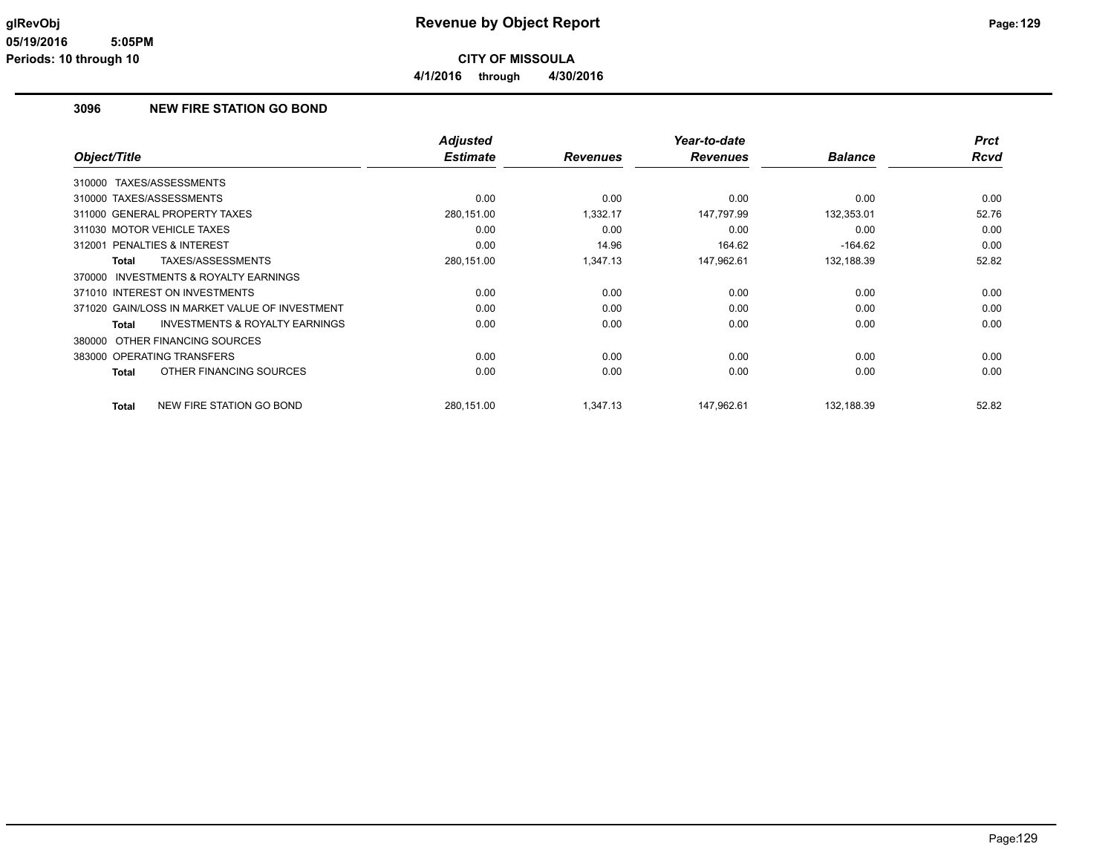**CITY OF MISSOULA 4/1/2016 through 4/30/2016**

#### **3096 NEW FIRE STATION GO BOND**

|                            |                                                | <b>Adjusted</b> |                 | Year-to-date    |                | <b>Prct</b> |
|----------------------------|------------------------------------------------|-----------------|-----------------|-----------------|----------------|-------------|
| Object/Title               |                                                | <b>Estimate</b> | <b>Revenues</b> | <b>Revenues</b> | <b>Balance</b> | <b>Rcvd</b> |
| 310000 TAXES/ASSESSMENTS   |                                                |                 |                 |                 |                |             |
| 310000 TAXES/ASSESSMENTS   |                                                | 0.00            | 0.00            | 0.00            | 0.00           | 0.00        |
|                            | 311000 GENERAL PROPERTY TAXES                  | 280,151.00      | 1,332.17        | 147,797.99      | 132,353.01     | 52.76       |
| 311030 MOTOR VEHICLE TAXES |                                                | 0.00            | 0.00            | 0.00            | 0.00           | 0.00        |
| 312001                     | PENALTIES & INTEREST                           | 0.00            | 14.96           | 164.62          | $-164.62$      | 0.00        |
| <b>Total</b>               | TAXES/ASSESSMENTS                              | 280,151.00      | 1,347.13        | 147,962.61      | 132,188.39     | 52.82       |
|                            | 370000 INVESTMENTS & ROYALTY EARNINGS          |                 |                 |                 |                |             |
|                            | 371010 INTEREST ON INVESTMENTS                 | 0.00            | 0.00            | 0.00            | 0.00           | 0.00        |
|                            | 371020 GAIN/LOSS IN MARKET VALUE OF INVESTMENT | 0.00            | 0.00            | 0.00            | 0.00           | 0.00        |
| <b>Total</b>               | <b>INVESTMENTS &amp; ROYALTY EARNINGS</b>      | 0.00            | 0.00            | 0.00            | 0.00           | 0.00        |
|                            | 380000 OTHER FINANCING SOURCES                 |                 |                 |                 |                |             |
|                            | 383000 OPERATING TRANSFERS                     | 0.00            | 0.00            | 0.00            | 0.00           | 0.00        |
| Total                      | OTHER FINANCING SOURCES                        | 0.00            | 0.00            | 0.00            | 0.00           | 0.00        |
| Total                      | NEW FIRE STATION GO BOND                       | 280,151.00      | 1,347.13        | 147.962.61      | 132.188.39     | 52.82       |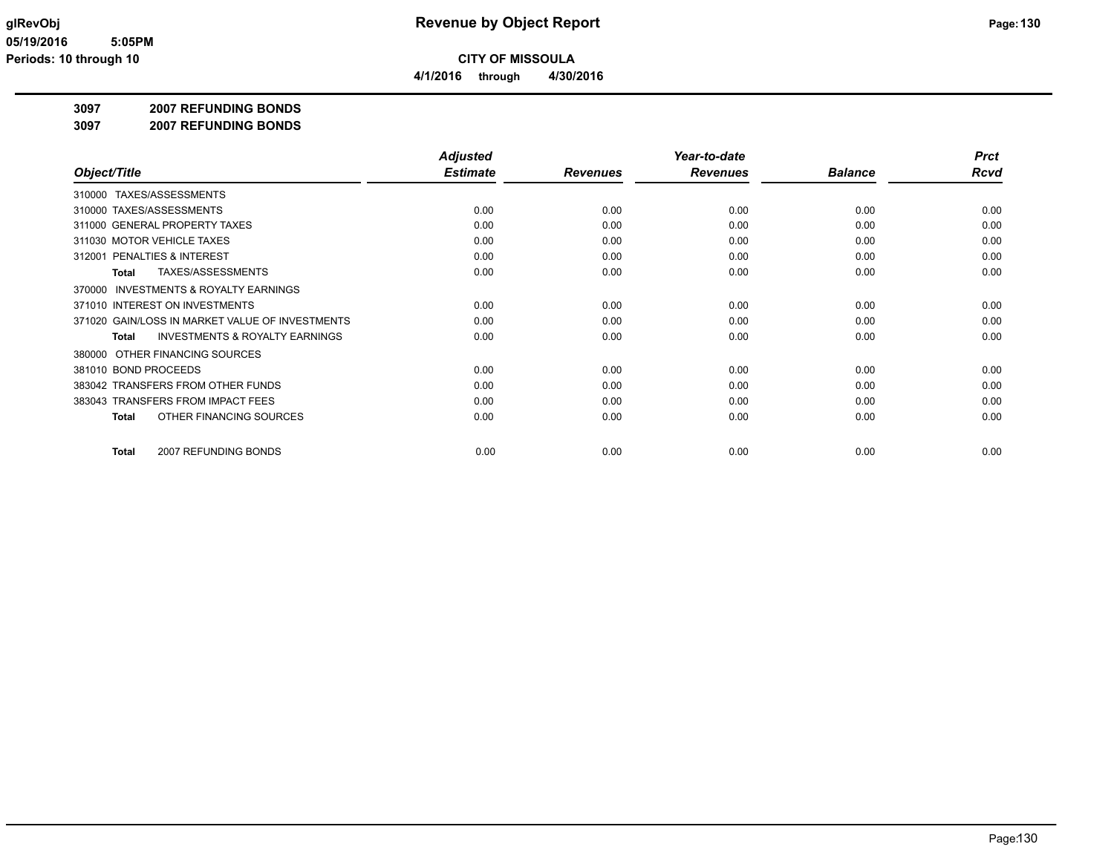**4/1/2016 through 4/30/2016**

#### **3097 2007 REFUNDING BONDS**

**3097 2007 REFUNDING BONDS**

|                                                     | <b>Adjusted</b> |                 | Year-to-date    |                | <b>Prct</b> |
|-----------------------------------------------------|-----------------|-----------------|-----------------|----------------|-------------|
| Object/Title                                        | <b>Estimate</b> | <b>Revenues</b> | <b>Revenues</b> | <b>Balance</b> | <b>Rcvd</b> |
| 310000 TAXES/ASSESSMENTS                            |                 |                 |                 |                |             |
| 310000 TAXES/ASSESSMENTS                            | 0.00            | 0.00            | 0.00            | 0.00           | 0.00        |
| 311000 GENERAL PROPERTY TAXES                       | 0.00            | 0.00            | 0.00            | 0.00           | 0.00        |
| 311030 MOTOR VEHICLE TAXES                          | 0.00            | 0.00            | 0.00            | 0.00           | 0.00        |
| PENALTIES & INTEREST<br>312001                      | 0.00            | 0.00            | 0.00            | 0.00           | 0.00        |
| TAXES/ASSESSMENTS<br>Total                          | 0.00            | 0.00            | 0.00            | 0.00           | 0.00        |
| <b>INVESTMENTS &amp; ROYALTY EARNINGS</b><br>370000 |                 |                 |                 |                |             |
| 371010 INTEREST ON INVESTMENTS                      | 0.00            | 0.00            | 0.00            | 0.00           | 0.00        |
| 371020 GAIN/LOSS IN MARKET VALUE OF INVESTMENTS     | 0.00            | 0.00            | 0.00            | 0.00           | 0.00        |
| INVESTMENTS & ROYALTY EARNINGS<br>Total             | 0.00            | 0.00            | 0.00            | 0.00           | 0.00        |
| 380000 OTHER FINANCING SOURCES                      |                 |                 |                 |                |             |
| 381010 BOND PROCEEDS                                | 0.00            | 0.00            | 0.00            | 0.00           | 0.00        |
| 383042 TRANSFERS FROM OTHER FUNDS                   | 0.00            | 0.00            | 0.00            | 0.00           | 0.00        |
| 383043 TRANSFERS FROM IMPACT FEES                   | 0.00            | 0.00            | 0.00            | 0.00           | 0.00        |
| OTHER FINANCING SOURCES<br>Total                    | 0.00            | 0.00            | 0.00            | 0.00           | 0.00        |
| 2007 REFUNDING BONDS<br>Total                       | 0.00            | 0.00            | 0.00            | 0.00           | 0.00        |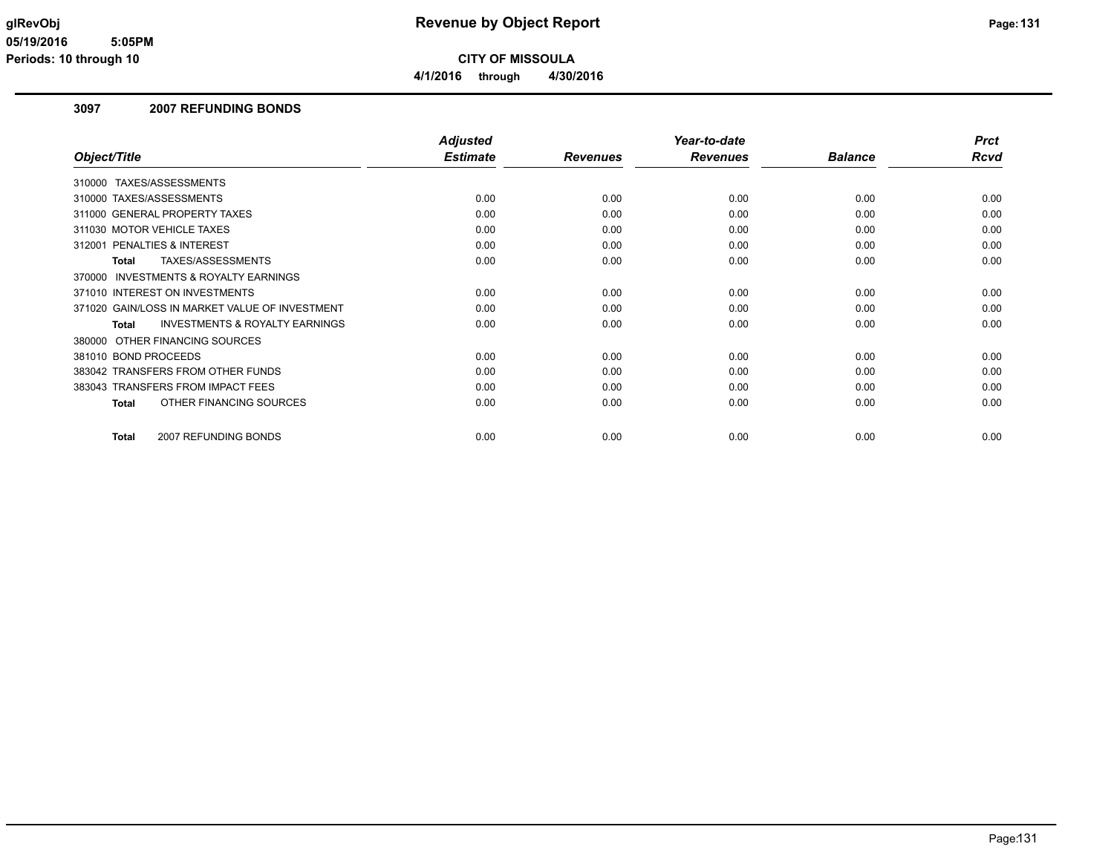**CITY OF MISSOULA 4/1/2016 through 4/30/2016**

#### **3097 2007 REFUNDING BONDS**

|                                                           | <b>Adjusted</b> |                 | Year-to-date    |                | <b>Prct</b> |
|-----------------------------------------------------------|-----------------|-----------------|-----------------|----------------|-------------|
| Object/Title                                              | <b>Estimate</b> | <b>Revenues</b> | <b>Revenues</b> | <b>Balance</b> | <b>Rcvd</b> |
| 310000 TAXES/ASSESSMENTS                                  |                 |                 |                 |                |             |
| 310000 TAXES/ASSESSMENTS                                  | 0.00            | 0.00            | 0.00            | 0.00           | 0.00        |
| 311000 GENERAL PROPERTY TAXES                             | 0.00            | 0.00            | 0.00            | 0.00           | 0.00        |
| 311030 MOTOR VEHICLE TAXES                                | 0.00            | 0.00            | 0.00            | 0.00           | 0.00        |
| 312001 PENALTIES & INTEREST                               | 0.00            | 0.00            | 0.00            | 0.00           | 0.00        |
| TAXES/ASSESSMENTS<br><b>Total</b>                         | 0.00            | 0.00            | 0.00            | 0.00           | 0.00        |
| <b>INVESTMENTS &amp; ROYALTY EARNINGS</b><br>370000       |                 |                 |                 |                |             |
| 371010 INTEREST ON INVESTMENTS                            | 0.00            | 0.00            | 0.00            | 0.00           | 0.00        |
| 371020 GAIN/LOSS IN MARKET VALUE OF INVESTMENT            | 0.00            | 0.00            | 0.00            | 0.00           | 0.00        |
| <b>INVESTMENTS &amp; ROYALTY EARNINGS</b><br><b>Total</b> | 0.00            | 0.00            | 0.00            | 0.00           | 0.00        |
| OTHER FINANCING SOURCES<br>380000                         |                 |                 |                 |                |             |
| 381010 BOND PROCEEDS                                      | 0.00            | 0.00            | 0.00            | 0.00           | 0.00        |
| 383042 TRANSFERS FROM OTHER FUNDS                         | 0.00            | 0.00            | 0.00            | 0.00           | 0.00        |
| 383043 TRANSFERS FROM IMPACT FEES                         | 0.00            | 0.00            | 0.00            | 0.00           | 0.00        |
| OTHER FINANCING SOURCES<br><b>Total</b>                   | 0.00            | 0.00            | 0.00            | 0.00           | 0.00        |
|                                                           |                 |                 |                 |                |             |
| 2007 REFUNDING BONDS<br><b>Total</b>                      | 0.00            | 0.00            | 0.00            | 0.00           | 0.00        |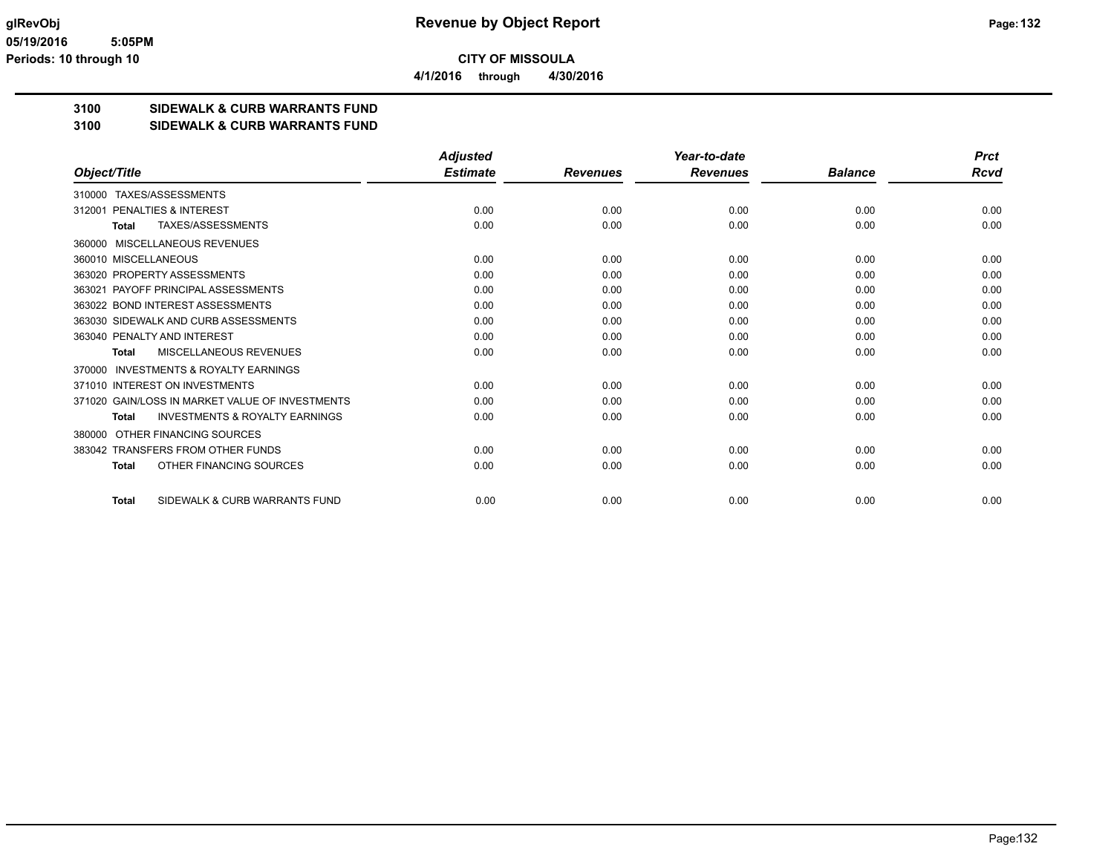**4/1/2016 through 4/30/2016**

## **3100 SIDEWALK & CURB WARRANTS FUND**

**3100 SIDEWALK & CURB WARRANTS FUND**

|                                                           | <b>Adjusted</b> |                 | Year-to-date    |                | <b>Prct</b> |
|-----------------------------------------------------------|-----------------|-----------------|-----------------|----------------|-------------|
| Object/Title                                              | <b>Estimate</b> | <b>Revenues</b> | <b>Revenues</b> | <b>Balance</b> | Rcvd        |
| TAXES/ASSESSMENTS<br>310000                               |                 |                 |                 |                |             |
| PENALTIES & INTEREST<br>312001                            | 0.00            | 0.00            | 0.00            | 0.00           | 0.00        |
| <b>TAXES/ASSESSMENTS</b><br><b>Total</b>                  | 0.00            | 0.00            | 0.00            | 0.00           | 0.00        |
| MISCELLANEOUS REVENUES<br>360000                          |                 |                 |                 |                |             |
| 360010 MISCELLANEOUS                                      | 0.00            | 0.00            | 0.00            | 0.00           | 0.00        |
| 363020 PROPERTY ASSESSMENTS                               | 0.00            | 0.00            | 0.00            | 0.00           | 0.00        |
| 363021 PAYOFF PRINCIPAL ASSESSMENTS                       | 0.00            | 0.00            | 0.00            | 0.00           | 0.00        |
| 363022 BOND INTEREST ASSESSMENTS                          | 0.00            | 0.00            | 0.00            | 0.00           | 0.00        |
| 363030 SIDEWALK AND CURB ASSESSMENTS                      | 0.00            | 0.00            | 0.00            | 0.00           | 0.00        |
| 363040 PENALTY AND INTEREST                               | 0.00            | 0.00            | 0.00            | 0.00           | 0.00        |
| MISCELLANEOUS REVENUES<br><b>Total</b>                    | 0.00            | 0.00            | 0.00            | 0.00           | 0.00        |
| <b>INVESTMENTS &amp; ROYALTY EARNINGS</b><br>370000       |                 |                 |                 |                |             |
| 371010 INTEREST ON INVESTMENTS                            | 0.00            | 0.00            | 0.00            | 0.00           | 0.00        |
| 371020 GAIN/LOSS IN MARKET VALUE OF INVESTMENTS           | 0.00            | 0.00            | 0.00            | 0.00           | 0.00        |
| <b>INVESTMENTS &amp; ROYALTY EARNINGS</b><br><b>Total</b> | 0.00            | 0.00            | 0.00            | 0.00           | 0.00        |
| OTHER FINANCING SOURCES<br>380000                         |                 |                 |                 |                |             |
| 383042 TRANSFERS FROM OTHER FUNDS                         | 0.00            | 0.00            | 0.00            | 0.00           | 0.00        |
| OTHER FINANCING SOURCES<br><b>Total</b>                   | 0.00            | 0.00            | 0.00            | 0.00           | 0.00        |
| SIDEWALK & CURB WARRANTS FUND<br><b>Total</b>             | 0.00            | 0.00            | 0.00            | 0.00           | 0.00        |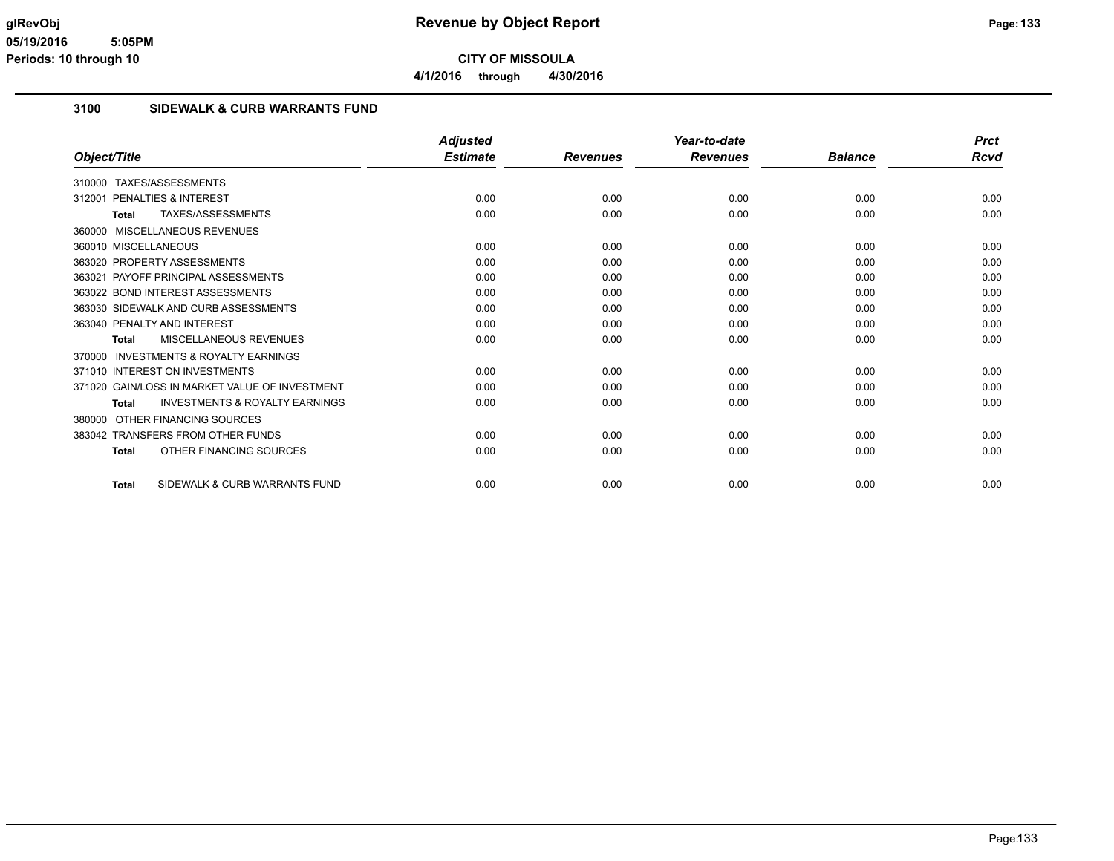**4/1/2016 through 4/30/2016**

#### **3100 SIDEWALK & CURB WARRANTS FUND**

|                                                           | <b>Adjusted</b> |                 | Year-to-date    |                | <b>Prct</b> |
|-----------------------------------------------------------|-----------------|-----------------|-----------------|----------------|-------------|
| Object/Title                                              | <b>Estimate</b> | <b>Revenues</b> | <b>Revenues</b> | <b>Balance</b> | <b>Rcvd</b> |
| TAXES/ASSESSMENTS<br>310000                               |                 |                 |                 |                |             |
| PENALTIES & INTEREST<br>312001                            | 0.00            | 0.00            | 0.00            | 0.00           | 0.00        |
| TAXES/ASSESSMENTS<br><b>Total</b>                         | 0.00            | 0.00            | 0.00            | 0.00           | 0.00        |
| MISCELLANEOUS REVENUES<br>360000                          |                 |                 |                 |                |             |
| 360010 MISCELLANEOUS                                      | 0.00            | 0.00            | 0.00            | 0.00           | 0.00        |
| 363020 PROPERTY ASSESSMENTS                               | 0.00            | 0.00            | 0.00            | 0.00           | 0.00        |
| PAYOFF PRINCIPAL ASSESSMENTS<br>363021                    | 0.00            | 0.00            | 0.00            | 0.00           | 0.00        |
| 363022 BOND INTEREST ASSESSMENTS                          | 0.00            | 0.00            | 0.00            | 0.00           | 0.00        |
| 363030 SIDEWALK AND CURB ASSESSMENTS                      | 0.00            | 0.00            | 0.00            | 0.00           | 0.00        |
| 363040 PENALTY AND INTEREST                               | 0.00            | 0.00            | 0.00            | 0.00           | 0.00        |
| <b>MISCELLANEOUS REVENUES</b><br><b>Total</b>             | 0.00            | 0.00            | 0.00            | 0.00           | 0.00        |
| <b>INVESTMENTS &amp; ROYALTY EARNINGS</b><br>370000       |                 |                 |                 |                |             |
| 371010 INTEREST ON INVESTMENTS                            | 0.00            | 0.00            | 0.00            | 0.00           | 0.00        |
| 371020 GAIN/LOSS IN MARKET VALUE OF INVESTMENT            | 0.00            | 0.00            | 0.00            | 0.00           | 0.00        |
| <b>INVESTMENTS &amp; ROYALTY EARNINGS</b><br><b>Total</b> | 0.00            | 0.00            | 0.00            | 0.00           | 0.00        |
| OTHER FINANCING SOURCES<br>380000                         |                 |                 |                 |                |             |
| 383042 TRANSFERS FROM OTHER FUNDS                         | 0.00            | 0.00            | 0.00            | 0.00           | 0.00        |
| OTHER FINANCING SOURCES<br><b>Total</b>                   | 0.00            | 0.00            | 0.00            | 0.00           | 0.00        |
| SIDEWALK & CURB WARRANTS FUND<br><b>Total</b>             | 0.00            | 0.00            | 0.00            | 0.00           | 0.00        |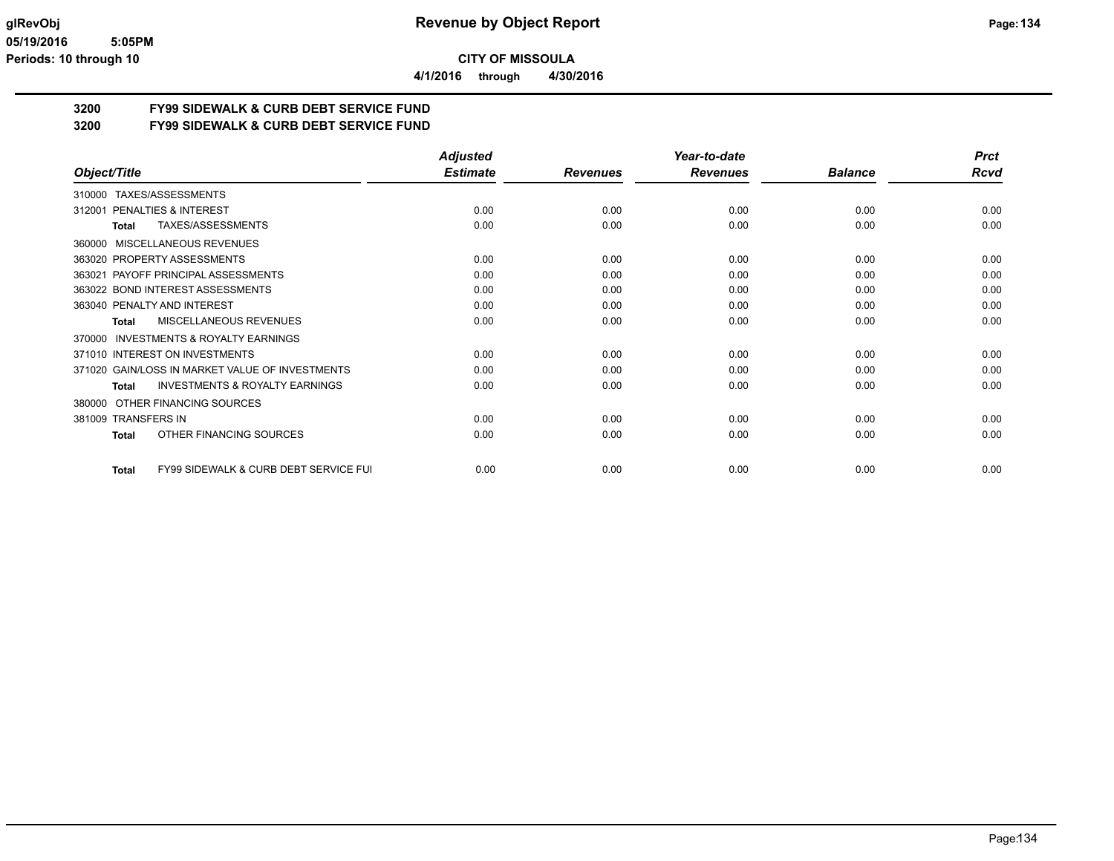**4/1/2016 through 4/30/2016**

## **3200 FY99 SIDEWALK & CURB DEBT SERVICE FUND**

**3200 FY99 SIDEWALK & CURB DEBT SERVICE FUND**

|                                                                  | <b>Adjusted</b> |                 | Year-to-date    |                | <b>Prct</b> |
|------------------------------------------------------------------|-----------------|-----------------|-----------------|----------------|-------------|
| Object/Title                                                     | <b>Estimate</b> | <b>Revenues</b> | <b>Revenues</b> | <b>Balance</b> | <b>Rcvd</b> |
| TAXES/ASSESSMENTS<br>310000                                      |                 |                 |                 |                |             |
| <b>PENALTIES &amp; INTEREST</b><br>312001                        | 0.00            | 0.00            | 0.00            | 0.00           | 0.00        |
| TAXES/ASSESSMENTS<br>Total                                       | 0.00            | 0.00            | 0.00            | 0.00           | 0.00        |
| MISCELLANEOUS REVENUES<br>360000                                 |                 |                 |                 |                |             |
| 363020 PROPERTY ASSESSMENTS                                      | 0.00            | 0.00            | 0.00            | 0.00           | 0.00        |
| PAYOFF PRINCIPAL ASSESSMENTS<br>363021                           | 0.00            | 0.00            | 0.00            | 0.00           | 0.00        |
| 363022 BOND INTEREST ASSESSMENTS                                 | 0.00            | 0.00            | 0.00            | 0.00           | 0.00        |
| 363040 PENALTY AND INTEREST                                      | 0.00            | 0.00            | 0.00            | 0.00           | 0.00        |
| MISCELLANEOUS REVENUES<br>Total                                  | 0.00            | 0.00            | 0.00            | 0.00           | 0.00        |
| <b>INVESTMENTS &amp; ROYALTY EARNINGS</b><br>370000              |                 |                 |                 |                |             |
| 371010 INTEREST ON INVESTMENTS                                   | 0.00            | 0.00            | 0.00            | 0.00           | 0.00        |
| 371020 GAIN/LOSS IN MARKET VALUE OF INVESTMENTS                  | 0.00            | 0.00            | 0.00            | 0.00           | 0.00        |
| <b>INVESTMENTS &amp; ROYALTY EARNINGS</b><br><b>Total</b>        | 0.00            | 0.00            | 0.00            | 0.00           | 0.00        |
| OTHER FINANCING SOURCES<br>380000                                |                 |                 |                 |                |             |
| 381009 TRANSFERS IN                                              | 0.00            | 0.00            | 0.00            | 0.00           | 0.00        |
| OTHER FINANCING SOURCES<br>Total                                 | 0.00            | 0.00            | 0.00            | 0.00           | 0.00        |
| <b>FY99 SIDEWALK &amp; CURB DEBT SERVICE FUI</b><br><b>Total</b> | 0.00            | 0.00            | 0.00            | 0.00           | 0.00        |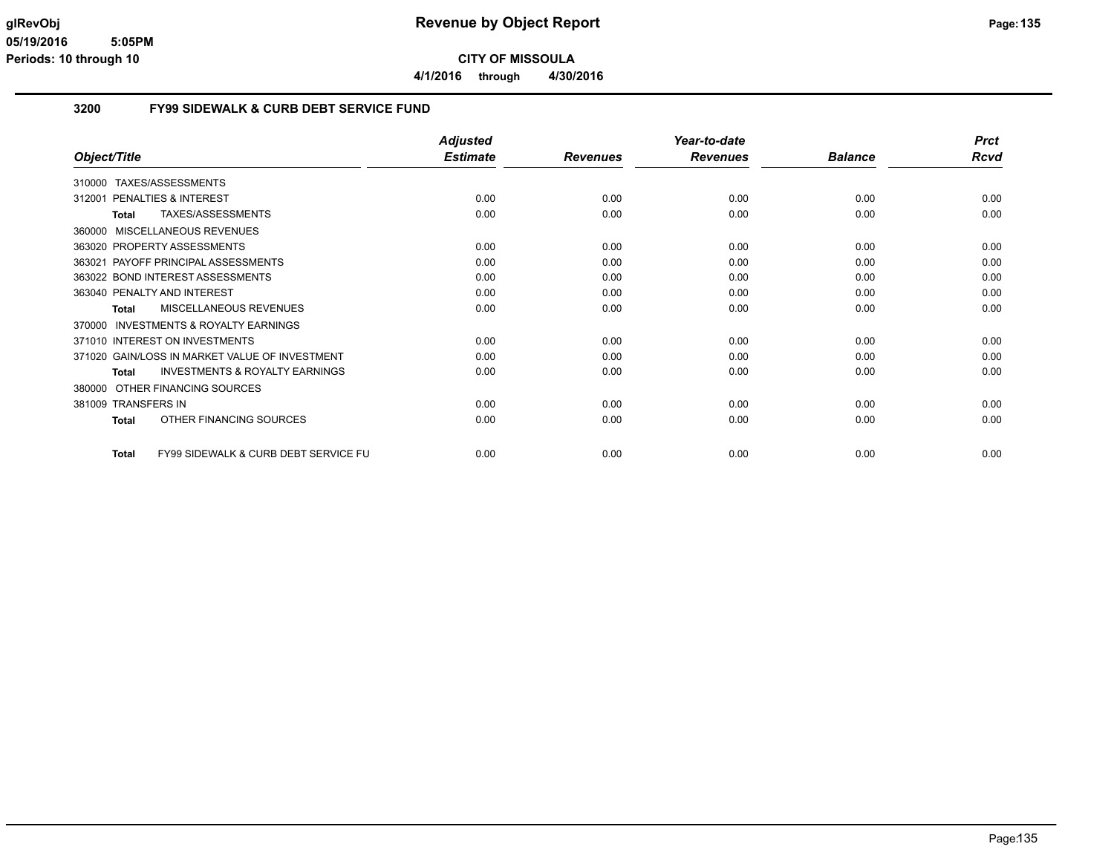**4/1/2016 through 4/30/2016**

#### **3200 FY99 SIDEWALK & CURB DEBT SERVICE FUND**

|                                                                 | <b>Adjusted</b> |                 | Year-to-date    |                | <b>Prct</b> |
|-----------------------------------------------------------------|-----------------|-----------------|-----------------|----------------|-------------|
| Object/Title                                                    | <b>Estimate</b> | <b>Revenues</b> | <b>Revenues</b> | <b>Balance</b> | <b>Rcvd</b> |
| TAXES/ASSESSMENTS<br>310000                                     |                 |                 |                 |                |             |
| 312001 PENALTIES & INTEREST                                     | 0.00            | 0.00            | 0.00            | 0.00           | 0.00        |
| TAXES/ASSESSMENTS<br><b>Total</b>                               | 0.00            | 0.00            | 0.00            | 0.00           | 0.00        |
| <b>MISCELLANEOUS REVENUES</b><br>360000                         |                 |                 |                 |                |             |
| 363020 PROPERTY ASSESSMENTS                                     | 0.00            | 0.00            | 0.00            | 0.00           | 0.00        |
| 363021 PAYOFF PRINCIPAL ASSESSMENTS                             | 0.00            | 0.00            | 0.00            | 0.00           | 0.00        |
| 363022 BOND INTEREST ASSESSMENTS                                | 0.00            | 0.00            | 0.00            | 0.00           | 0.00        |
| 363040 PENALTY AND INTEREST                                     | 0.00            | 0.00            | 0.00            | 0.00           | 0.00        |
| MISCELLANEOUS REVENUES<br><b>Total</b>                          | 0.00            | 0.00            | 0.00            | 0.00           | 0.00        |
| <b>INVESTMENTS &amp; ROYALTY EARNINGS</b><br>370000             |                 |                 |                 |                |             |
| 371010 INTEREST ON INVESTMENTS                                  | 0.00            | 0.00            | 0.00            | 0.00           | 0.00        |
| 371020 GAIN/LOSS IN MARKET VALUE OF INVESTMENT                  | 0.00            | 0.00            | 0.00            | 0.00           | 0.00        |
| <b>INVESTMENTS &amp; ROYALTY EARNINGS</b><br><b>Total</b>       | 0.00            | 0.00            | 0.00            | 0.00           | 0.00        |
| OTHER FINANCING SOURCES<br>380000                               |                 |                 |                 |                |             |
| 381009 TRANSFERS IN                                             | 0.00            | 0.00            | 0.00            | 0.00           | 0.00        |
| OTHER FINANCING SOURCES<br><b>Total</b>                         | 0.00            | 0.00            | 0.00            | 0.00           | 0.00        |
| <b>FY99 SIDEWALK &amp; CURB DEBT SERVICE FU</b><br><b>Total</b> | 0.00            | 0.00            | 0.00            | 0.00           | 0.00        |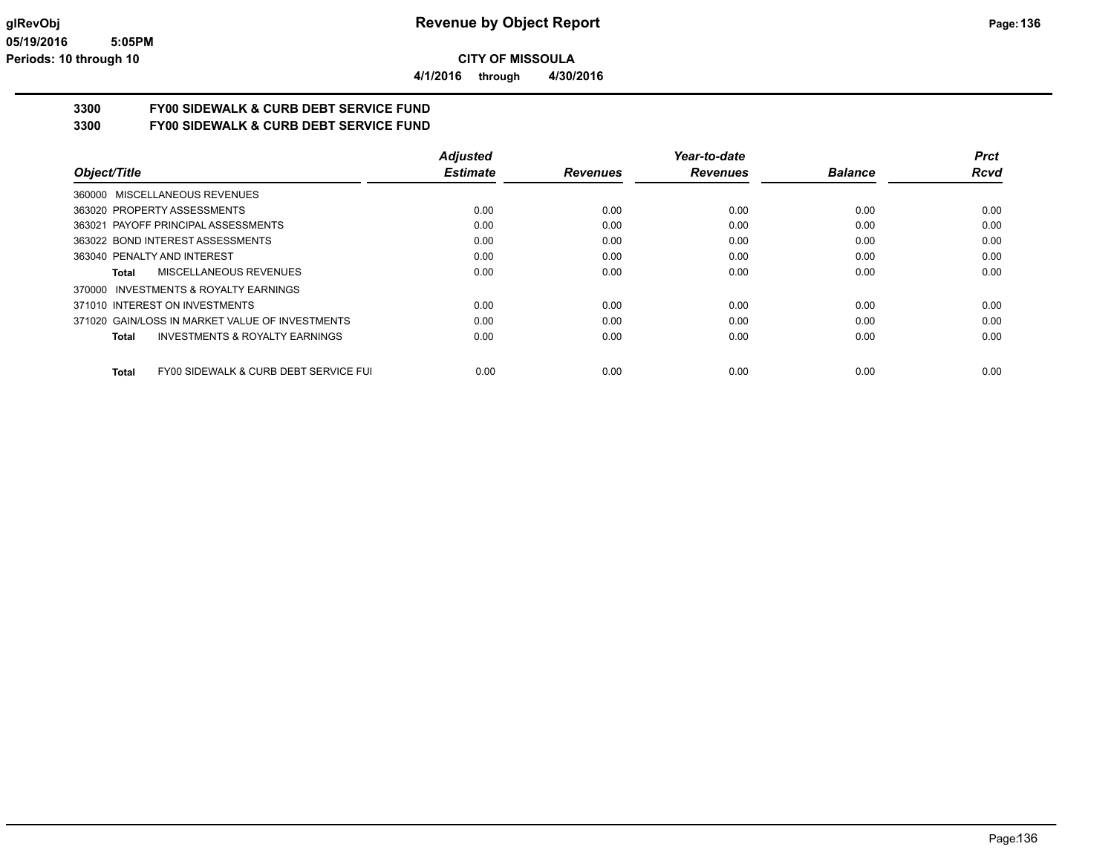**4/1/2016 through 4/30/2016**

## **3300 FY00 SIDEWALK & CURB DEBT SERVICE FUND**

**3300 FY00 SIDEWALK & CURB DEBT SERVICE FUND**

|                                                       | <b>Adjusted</b> |                 | Year-to-date    |                | <b>Prct</b> |
|-------------------------------------------------------|-----------------|-----------------|-----------------|----------------|-------------|
| Object/Title                                          | <b>Estimate</b> | <b>Revenues</b> | <b>Revenues</b> | <b>Balance</b> | Rcvd        |
| 360000 MISCELLANEOUS REVENUES                         |                 |                 |                 |                |             |
| 363020 PROPERTY ASSESSMENTS                           | 0.00            | 0.00            | 0.00            | 0.00           | 0.00        |
| 363021 PAYOFF PRINCIPAL ASSESSMENTS                   | 0.00            | 0.00            | 0.00            | 0.00           | 0.00        |
| 363022 BOND INTEREST ASSESSMENTS                      | 0.00            | 0.00            | 0.00            | 0.00           | 0.00        |
| 363040 PENALTY AND INTEREST                           | 0.00            | 0.00            | 0.00            | 0.00           | 0.00        |
| MISCELLANEOUS REVENUES<br>Total                       | 0.00            | 0.00            | 0.00            | 0.00           | 0.00        |
| INVESTMENTS & ROYALTY EARNINGS<br>370000              |                 |                 |                 |                |             |
| 371010 INTEREST ON INVESTMENTS                        | 0.00            | 0.00            | 0.00            | 0.00           | 0.00        |
| 371020 GAIN/LOSS IN MARKET VALUE OF INVESTMENTS       | 0.00            | 0.00            | 0.00            | 0.00           | 0.00        |
| INVESTMENTS & ROYALTY EARNINGS<br>Total               | 0.00            | 0.00            | 0.00            | 0.00           | 0.00        |
| FY00 SIDEWALK & CURB DEBT SERVICE FUI<br><b>Total</b> | 0.00            | 0.00            | 0.00            | 0.00           | 0.00        |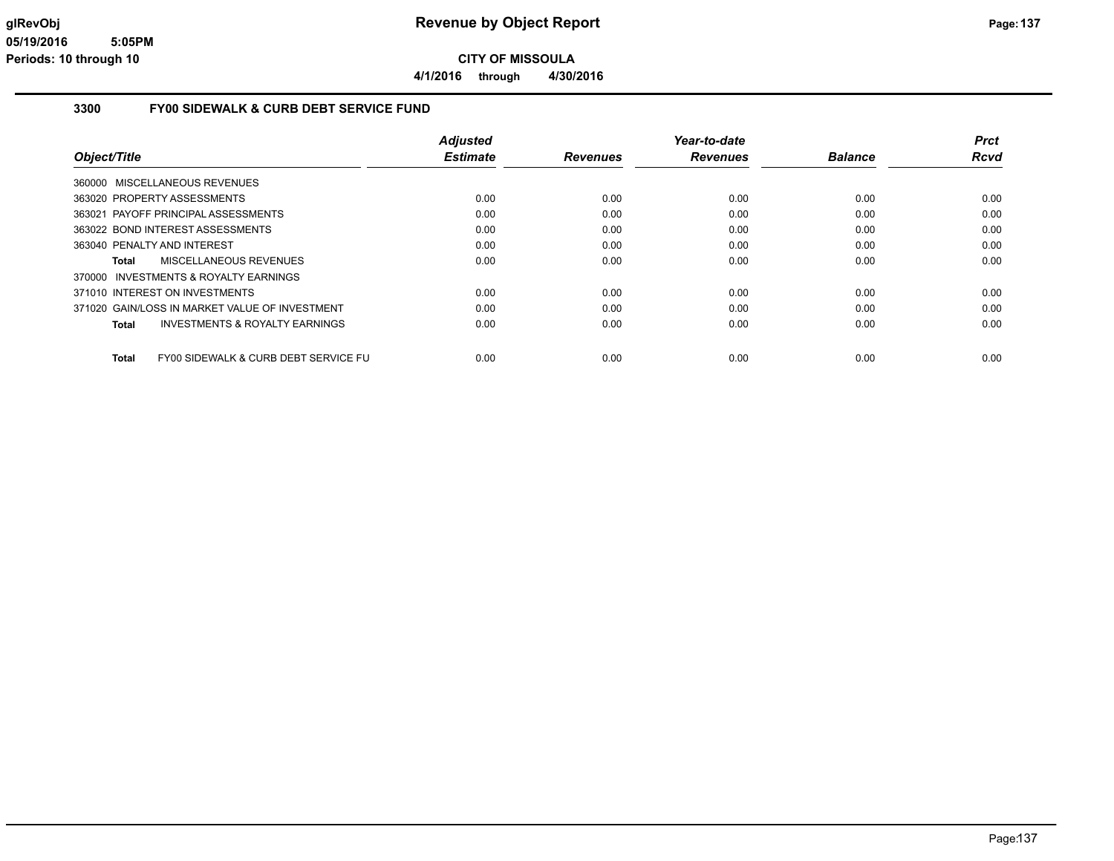**4/1/2016 through 4/30/2016**

#### **3300 FY00 SIDEWALK & CURB DEBT SERVICE FUND**

|                                                      | <b>Adjusted</b> |                 | Year-to-date    |                | <b>Prct</b> |
|------------------------------------------------------|-----------------|-----------------|-----------------|----------------|-------------|
| Object/Title                                         | <b>Estimate</b> | <b>Revenues</b> | <b>Revenues</b> | <b>Balance</b> | Rcvd        |
| MISCELLANEOUS REVENUES<br>360000                     |                 |                 |                 |                |             |
| 363020 PROPERTY ASSESSMENTS                          | 0.00            | 0.00            | 0.00            | 0.00           | 0.00        |
| 363021 PAYOFF PRINCIPAL ASSESSMENTS                  | 0.00            | 0.00            | 0.00            | 0.00           | 0.00        |
| 363022 BOND INTEREST ASSESSMENTS                     | 0.00            | 0.00            | 0.00            | 0.00           | 0.00        |
| 363040 PENALTY AND INTEREST                          | 0.00            | 0.00            | 0.00            | 0.00           | 0.00        |
| MISCELLANEOUS REVENUES<br>Total                      | 0.00            | 0.00            | 0.00            | 0.00           | 0.00        |
| INVESTMENTS & ROYALTY EARNINGS<br>370000             |                 |                 |                 |                |             |
| 371010 INTEREST ON INVESTMENTS                       | 0.00            | 0.00            | 0.00            | 0.00           | 0.00        |
| 371020 GAIN/LOSS IN MARKET VALUE OF INVESTMENT       | 0.00            | 0.00            | 0.00            | 0.00           | 0.00        |
| INVESTMENTS & ROYALTY EARNINGS<br><b>Total</b>       | 0.00            | 0.00            | 0.00            | 0.00           | 0.00        |
| FY00 SIDEWALK & CURB DEBT SERVICE FU<br><b>Total</b> | 0.00            | 0.00            | 0.00            | 0.00           | 0.00        |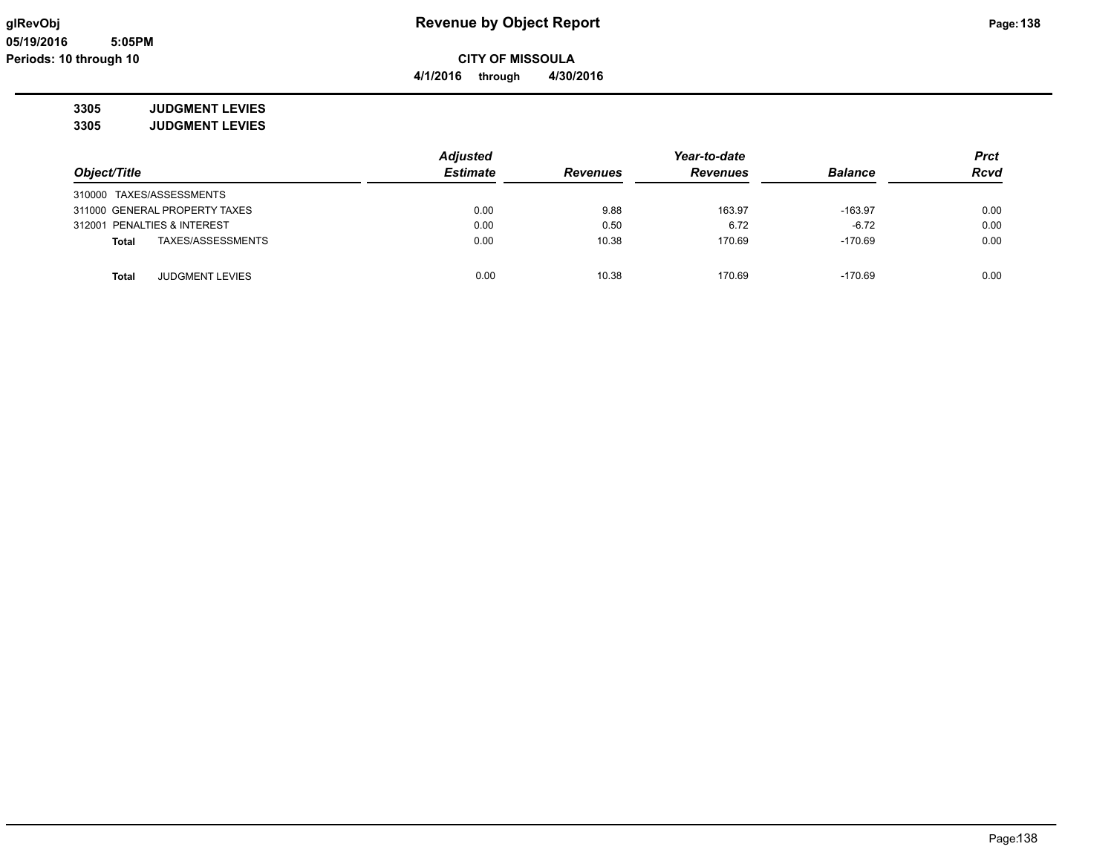## **glRevObj Revenue by Object Report Page:138**

## **3305 JUDGMENT LEVIES**

**3305 JUDGMENT LEVIES**

|                                   | <b>Adjusted</b> |                 | Year-to-date    |                |             |
|-----------------------------------|-----------------|-----------------|-----------------|----------------|-------------|
| Object/Title                      | <b>Estimate</b> | <b>Revenues</b> | <b>Revenues</b> | <b>Balance</b> | <b>Rcvd</b> |
| 310000 TAXES/ASSESSMENTS          |                 |                 |                 |                |             |
| 311000 GENERAL PROPERTY TAXES     | 0.00            | 9.88            | 163.97          | $-163.97$      | 0.00        |
| 312001 PENALTIES & INTEREST       | 0.00            | 0.50            | 6.72            | $-6.72$        | 0.00        |
| TAXES/ASSESSMENTS<br><b>Total</b> | 0.00            | 10.38           | 170.69          | $-170.69$      | 0.00        |
| JUDGMENT LEVIES<br><b>Total</b>   | 0.00            | 10.38           | 170.69          | $-170.69$      | 0.00        |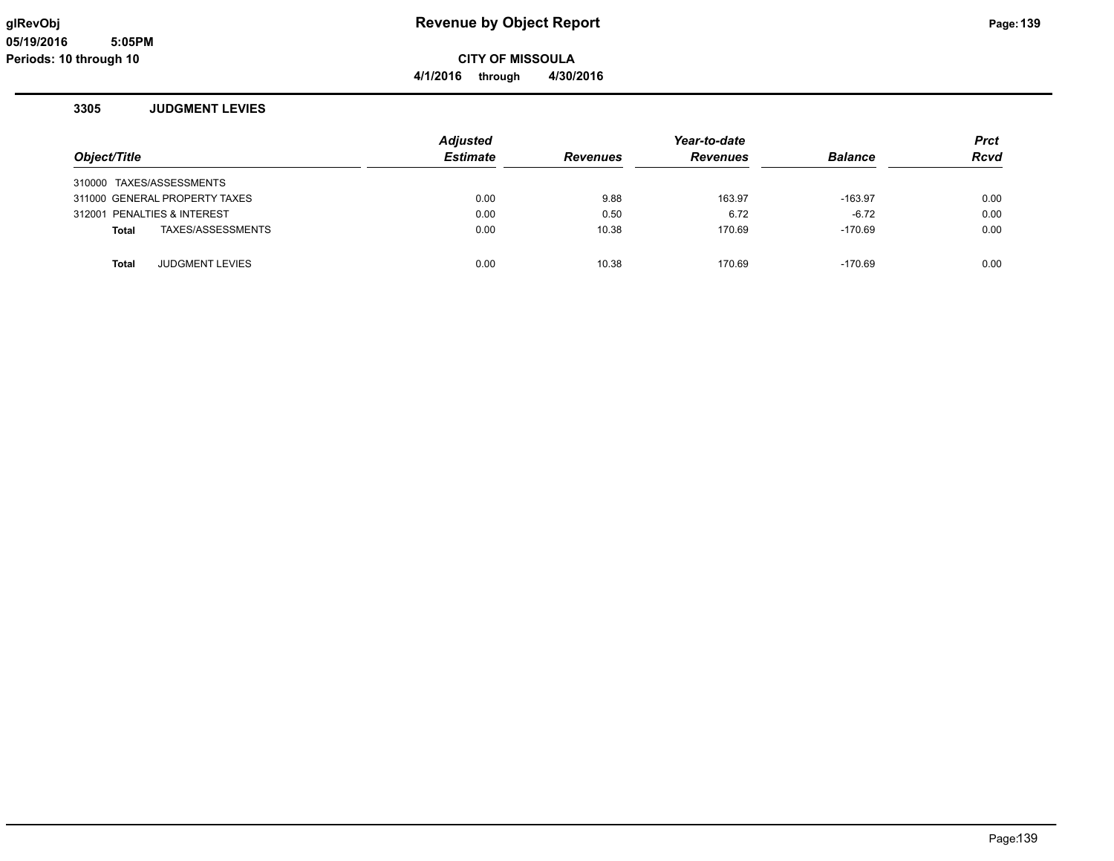## **glRevObj Revenue by Object Report Page:139**

**4/1/2016 through 4/30/2016**

#### **3305 JUDGMENT LEVIES**

| Object/Title                    | <b>Adjusted</b><br><b>Estimate</b> | <b>Revenues</b> | Year-to-date<br><b>Revenues</b> | <b>Balance</b> | <b>Prct</b><br><b>Rcvd</b> |
|---------------------------------|------------------------------------|-----------------|---------------------------------|----------------|----------------------------|
| 310000 TAXES/ASSESSMENTS        |                                    |                 |                                 |                |                            |
| 311000 GENERAL PROPERTY TAXES   | 0.00                               | 9.88            | 163.97                          | $-163.97$      | 0.00                       |
| 312001 PENALTIES & INTEREST     | 0.00                               | 0.50            | 6.72                            | $-6.72$        | 0.00                       |
| TAXES/ASSESSMENTS<br>Total      | 0.00                               | 10.38           | 170.69                          | $-170.69$      | 0.00                       |
| <b>JUDGMENT LEVIES</b><br>Total | 0.00                               | 10.38           | 170.69                          | $-170.69$      | 0.00                       |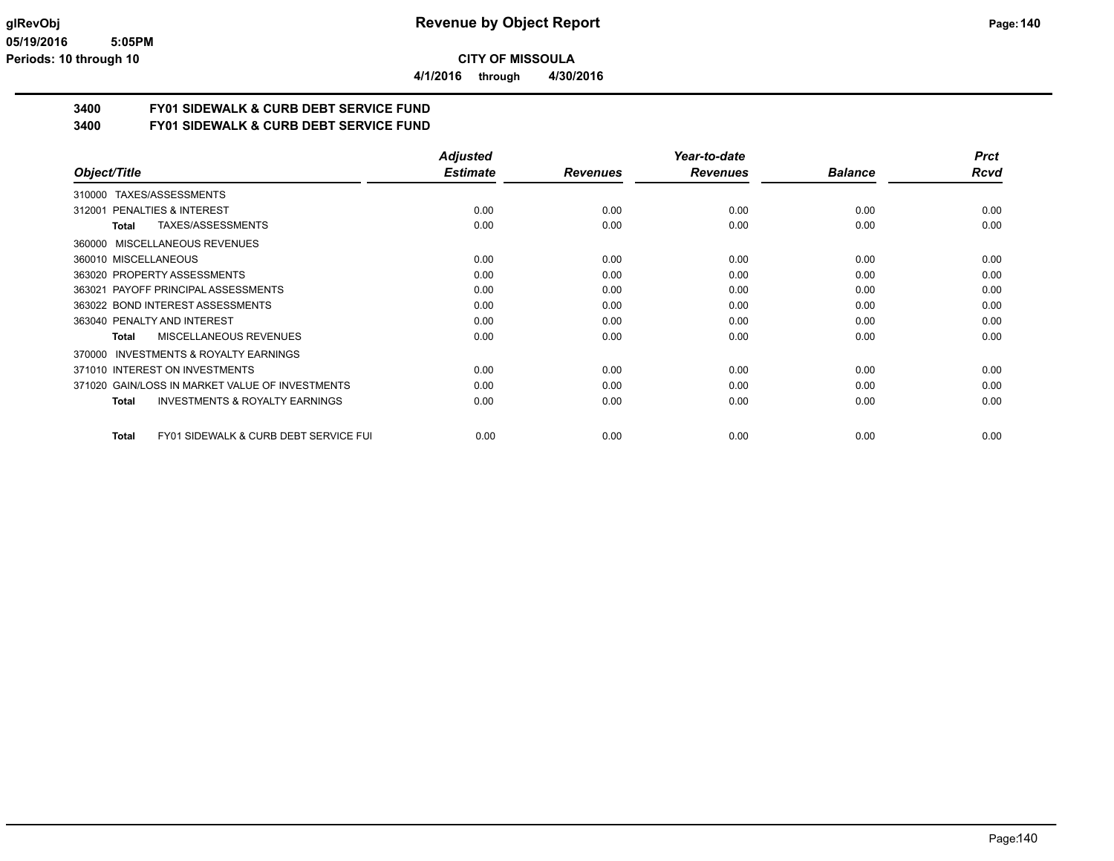**4/1/2016 through 4/30/2016**

## **3400 FY01 SIDEWALK & CURB DEBT SERVICE FUND**

**3400 FY01 SIDEWALK & CURB DEBT SERVICE FUND**

|                                                                  | <b>Adjusted</b> |                 | Year-to-date    |                | <b>Prct</b> |
|------------------------------------------------------------------|-----------------|-----------------|-----------------|----------------|-------------|
| Object/Title                                                     | <b>Estimate</b> | <b>Revenues</b> | <b>Revenues</b> | <b>Balance</b> | Rcvd        |
| 310000 TAXES/ASSESSMENTS                                         |                 |                 |                 |                |             |
| PENALTIES & INTEREST<br>312001                                   | 0.00            | 0.00            | 0.00            | 0.00           | 0.00        |
| TAXES/ASSESSMENTS<br>Total                                       | 0.00            | 0.00            | 0.00            | 0.00           | 0.00        |
| 360000 MISCELLANEOUS REVENUES                                    |                 |                 |                 |                |             |
| 360010 MISCELLANEOUS                                             | 0.00            | 0.00            | 0.00            | 0.00           | 0.00        |
| 363020 PROPERTY ASSESSMENTS                                      | 0.00            | 0.00            | 0.00            | 0.00           | 0.00        |
| 363021 PAYOFF PRINCIPAL ASSESSMENTS                              | 0.00            | 0.00            | 0.00            | 0.00           | 0.00        |
| 363022 BOND INTEREST ASSESSMENTS                                 | 0.00            | 0.00            | 0.00            | 0.00           | 0.00        |
| 363040 PENALTY AND INTEREST                                      | 0.00            | 0.00            | 0.00            | 0.00           | 0.00        |
| <b>MISCELLANEOUS REVENUES</b><br>Total                           | 0.00            | 0.00            | 0.00            | 0.00           | 0.00        |
| <b>INVESTMENTS &amp; ROYALTY EARNINGS</b><br>370000              |                 |                 |                 |                |             |
| 371010 INTEREST ON INVESTMENTS                                   | 0.00            | 0.00            | 0.00            | 0.00           | 0.00        |
| 371020 GAIN/LOSS IN MARKET VALUE OF INVESTMENTS                  | 0.00            | 0.00            | 0.00            | 0.00           | 0.00        |
| <b>INVESTMENTS &amp; ROYALTY EARNINGS</b><br>Total               | 0.00            | 0.00            | 0.00            | 0.00           | 0.00        |
| <b>FY01 SIDEWALK &amp; CURB DEBT SERVICE FUI</b><br><b>Total</b> | 0.00            | 0.00            | 0.00            | 0.00           | 0.00        |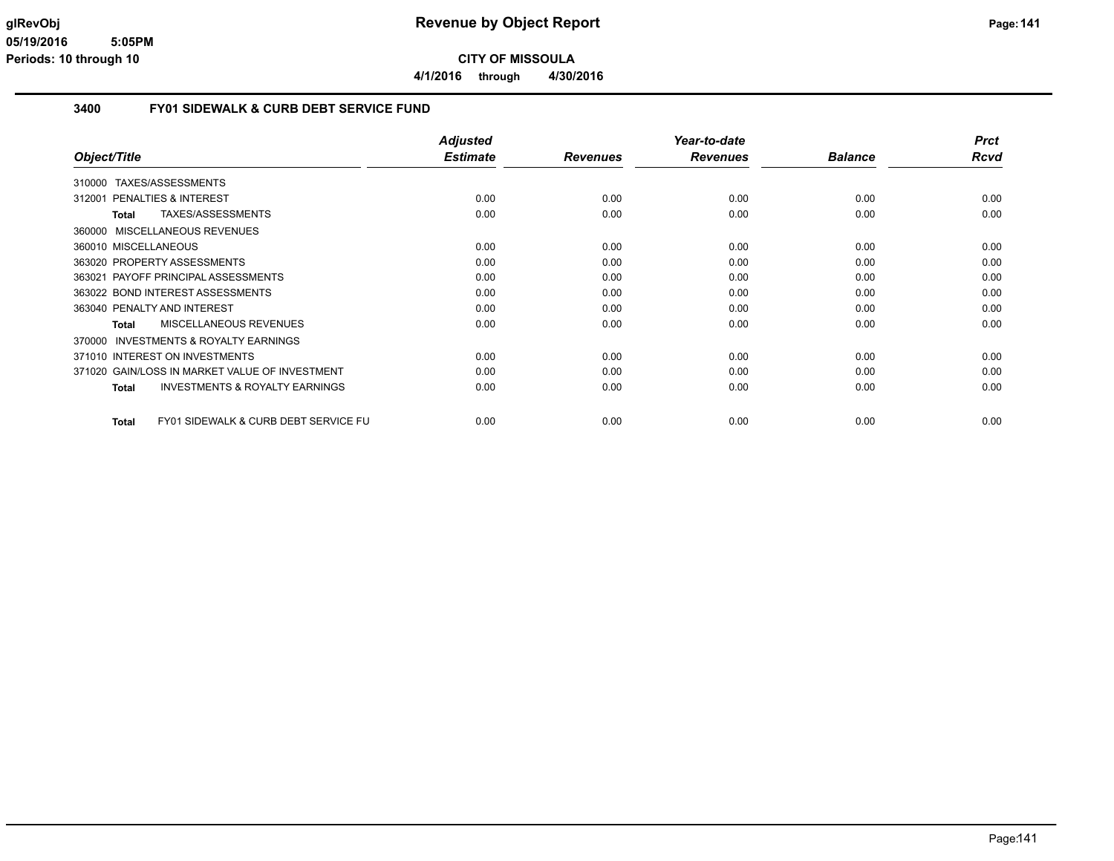**4/1/2016 through 4/30/2016**

#### **3400 FY01 SIDEWALK & CURB DEBT SERVICE FUND**

|                                                           | <b>Adjusted</b> |                 | Year-to-date    |                | <b>Prct</b> |
|-----------------------------------------------------------|-----------------|-----------------|-----------------|----------------|-------------|
| Object/Title                                              | <b>Estimate</b> | <b>Revenues</b> | <b>Revenues</b> | <b>Balance</b> | Rcvd        |
| TAXES/ASSESSMENTS<br>310000                               |                 |                 |                 |                |             |
| <b>PENALTIES &amp; INTEREST</b><br>312001                 | 0.00            | 0.00            | 0.00            | 0.00           | 0.00        |
| TAXES/ASSESSMENTS<br><b>Total</b>                         | 0.00            | 0.00            | 0.00            | 0.00           | 0.00        |
| 360000 MISCELLANEOUS REVENUES                             |                 |                 |                 |                |             |
| 360010 MISCELLANEOUS                                      | 0.00            | 0.00            | 0.00            | 0.00           | 0.00        |
| 363020 PROPERTY ASSESSMENTS                               | 0.00            | 0.00            | 0.00            | 0.00           | 0.00        |
| PAYOFF PRINCIPAL ASSESSMENTS<br>363021                    | 0.00            | 0.00            | 0.00            | 0.00           | 0.00        |
| 363022 BOND INTEREST ASSESSMENTS                          | 0.00            | 0.00            | 0.00            | 0.00           | 0.00        |
| 363040 PENALTY AND INTEREST                               | 0.00            | 0.00            | 0.00            | 0.00           | 0.00        |
| <b>MISCELLANEOUS REVENUES</b><br>Total                    | 0.00            | 0.00            | 0.00            | 0.00           | 0.00        |
| <b>INVESTMENTS &amp; ROYALTY EARNINGS</b><br>370000       |                 |                 |                 |                |             |
| 371010 INTEREST ON INVESTMENTS                            | 0.00            | 0.00            | 0.00            | 0.00           | 0.00        |
| 371020 GAIN/LOSS IN MARKET VALUE OF INVESTMENT            | 0.00            | 0.00            | 0.00            | 0.00           | 0.00        |
| <b>INVESTMENTS &amp; ROYALTY EARNINGS</b><br><b>Total</b> | 0.00            | 0.00            | 0.00            | 0.00           | 0.00        |
| FY01 SIDEWALK & CURB DEBT SERVICE FU<br><b>Total</b>      | 0.00            | 0.00            | 0.00            | 0.00           | 0.00        |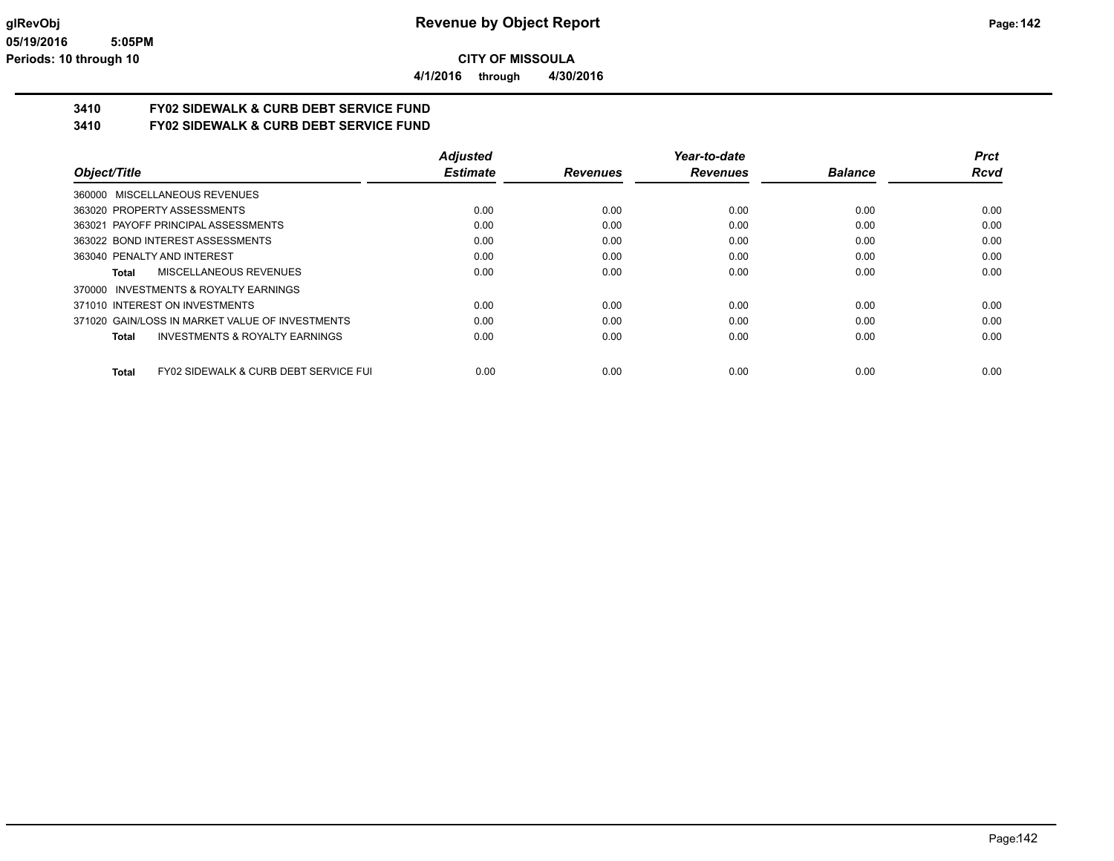**4/1/2016 through 4/30/2016**

## **3410 FY02 SIDEWALK & CURB DEBT SERVICE FUND**

**3410 FY02 SIDEWALK & CURB DEBT SERVICE FUND**

|                                                           | <b>Adjusted</b> |                 | Year-to-date    |                | <b>Prct</b> |
|-----------------------------------------------------------|-----------------|-----------------|-----------------|----------------|-------------|
| Object/Title                                              | <b>Estimate</b> | <b>Revenues</b> | <b>Revenues</b> | <b>Balance</b> | Rcvd        |
| 360000 MISCELLANEOUS REVENUES                             |                 |                 |                 |                |             |
| 363020 PROPERTY ASSESSMENTS                               | 0.00            | 0.00            | 0.00            | 0.00           | 0.00        |
| 363021 PAYOFF PRINCIPAL ASSESSMENTS                       | 0.00            | 0.00            | 0.00            | 0.00           | 0.00        |
| 363022 BOND INTEREST ASSESSMENTS                          | 0.00            | 0.00            | 0.00            | 0.00           | 0.00        |
| 363040 PENALTY AND INTEREST                               | 0.00            | 0.00            | 0.00            | 0.00           | 0.00        |
| MISCELLANEOUS REVENUES<br>Total                           | 0.00            | 0.00            | 0.00            | 0.00           | 0.00        |
| INVESTMENTS & ROYALTY EARNINGS<br>370000                  |                 |                 |                 |                |             |
| 371010 INTEREST ON INVESTMENTS                            | 0.00            | 0.00            | 0.00            | 0.00           | 0.00        |
| 371020 GAIN/LOSS IN MARKET VALUE OF INVESTMENTS           | 0.00            | 0.00            | 0.00            | 0.00           | 0.00        |
| INVESTMENTS & ROYALTY EARNINGS<br>Total                   | 0.00            | 0.00            | 0.00            | 0.00           | 0.00        |
| <b>FY02 SIDEWALK &amp; CURB DEBT SERVICE FUI</b><br>Total | 0.00            | 0.00            | 0.00            | 0.00           | 0.00        |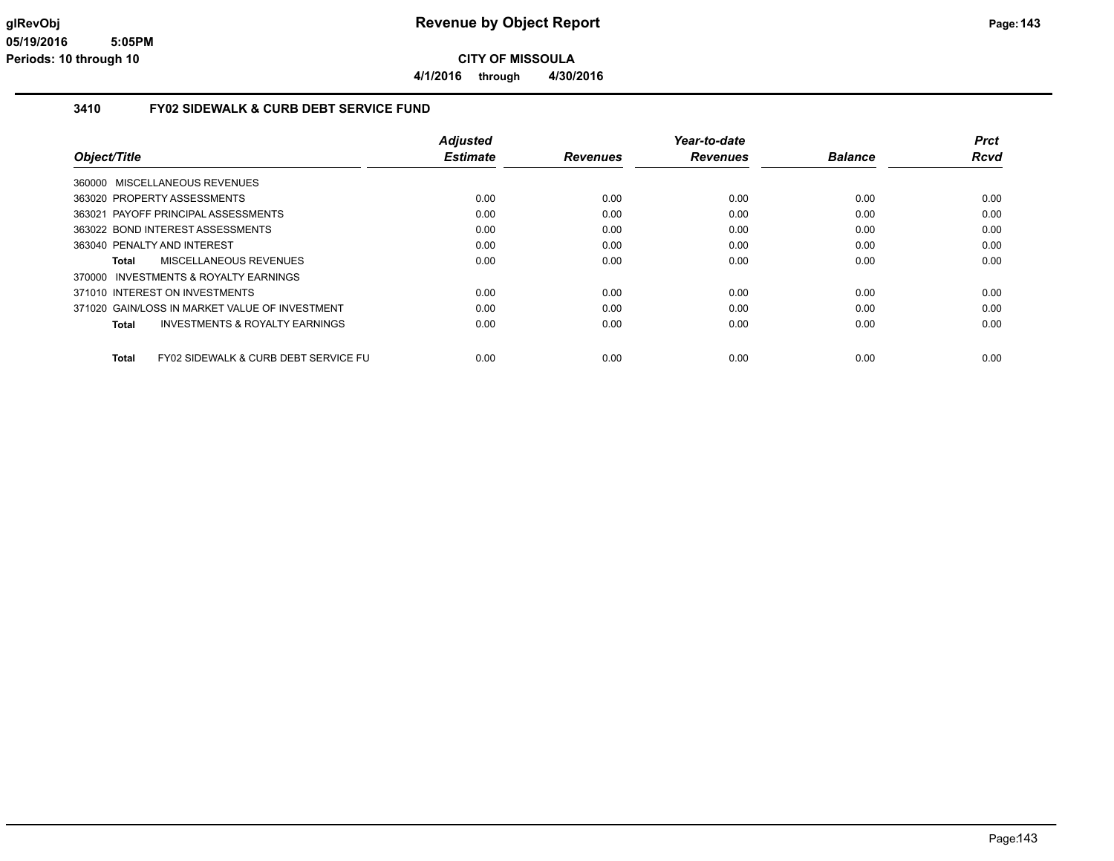**4/1/2016 through 4/30/2016**

#### **3410 FY02 SIDEWALK & CURB DEBT SERVICE FUND**

|                                                                 | <b>Adjusted</b> |                 | Year-to-date    |                | <b>Prct</b> |
|-----------------------------------------------------------------|-----------------|-----------------|-----------------|----------------|-------------|
| Object/Title                                                    | <b>Estimate</b> | <b>Revenues</b> | <b>Revenues</b> | <b>Balance</b> | <b>Rcvd</b> |
| 360000 MISCELLANEOUS REVENUES                                   |                 |                 |                 |                |             |
| 363020 PROPERTY ASSESSMENTS                                     | 0.00            | 0.00            | 0.00            | 0.00           | 0.00        |
| 363021 PAYOFF PRINCIPAL ASSESSMENTS                             | 0.00            | 0.00            | 0.00            | 0.00           | 0.00        |
| 363022 BOND INTEREST ASSESSMENTS                                | 0.00            | 0.00            | 0.00            | 0.00           | 0.00        |
| 363040 PENALTY AND INTEREST                                     | 0.00            | 0.00            | 0.00            | 0.00           | 0.00        |
| MISCELLANEOUS REVENUES<br>Total                                 | 0.00            | 0.00            | 0.00            | 0.00           | 0.00        |
| 370000 INVESTMENTS & ROYALTY EARNINGS                           |                 |                 |                 |                |             |
| 371010 INTEREST ON INVESTMENTS                                  | 0.00            | 0.00            | 0.00            | 0.00           | 0.00        |
| 371020 GAIN/LOSS IN MARKET VALUE OF INVESTMENT                  | 0.00            | 0.00            | 0.00            | 0.00           | 0.00        |
| INVESTMENTS & ROYALTY EARNINGS<br>Total                         | 0.00            | 0.00            | 0.00            | 0.00           | 0.00        |
| <b>FY02 SIDEWALK &amp; CURB DEBT SERVICE FU</b><br><b>Total</b> | 0.00            | 0.00            | 0.00            | 0.00           | 0.00        |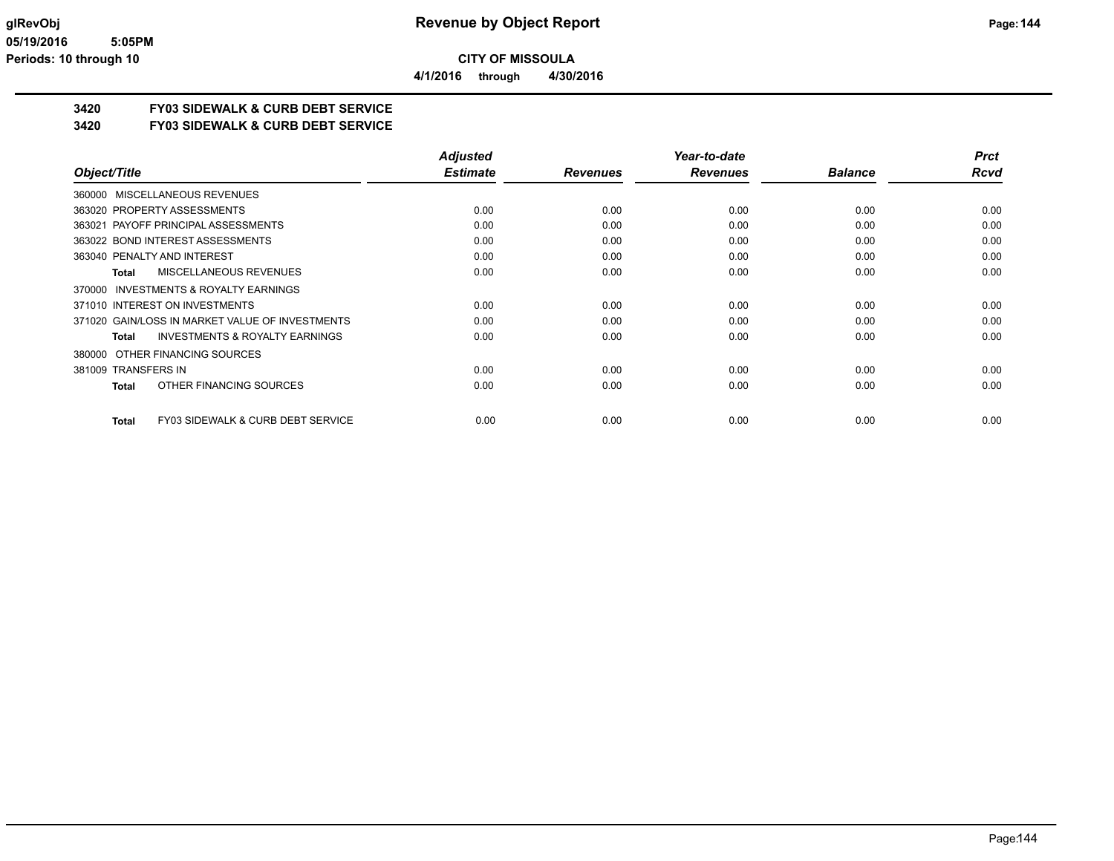**4/1/2016 through 4/30/2016**

## **3420 FY03 SIDEWALK & CURB DEBT SERVICE**

### **3420 FY03 SIDEWALK & CURB DEBT SERVICE**

|                                                    | <b>Adjusted</b> |                 | Year-to-date    |                | <b>Prct</b> |
|----------------------------------------------------|-----------------|-----------------|-----------------|----------------|-------------|
| Object/Title                                       | <b>Estimate</b> | <b>Revenues</b> | <b>Revenues</b> | <b>Balance</b> | Rcvd        |
| 360000 MISCELLANEOUS REVENUES                      |                 |                 |                 |                |             |
| 363020 PROPERTY ASSESSMENTS                        | 0.00            | 0.00            | 0.00            | 0.00           | 0.00        |
| 363021 PAYOFF PRINCIPAL ASSESSMENTS                | 0.00            | 0.00            | 0.00            | 0.00           | 0.00        |
| 363022 BOND INTEREST ASSESSMENTS                   | 0.00            | 0.00            | 0.00            | 0.00           | 0.00        |
| 363040 PENALTY AND INTEREST                        | 0.00            | 0.00            | 0.00            | 0.00           | 0.00        |
| <b>MISCELLANEOUS REVENUES</b><br>Total             | 0.00            | 0.00            | 0.00            | 0.00           | 0.00        |
| INVESTMENTS & ROYALTY EARNINGS<br>370000           |                 |                 |                 |                |             |
| 371010 INTEREST ON INVESTMENTS                     | 0.00            | 0.00            | 0.00            | 0.00           | 0.00        |
| 371020 GAIN/LOSS IN MARKET VALUE OF INVESTMENTS    | 0.00            | 0.00            | 0.00            | 0.00           | 0.00        |
| <b>INVESTMENTS &amp; ROYALTY EARNINGS</b><br>Total | 0.00            | 0.00            | 0.00            | 0.00           | 0.00        |
| OTHER FINANCING SOURCES<br>380000                  |                 |                 |                 |                |             |
| 381009 TRANSFERS IN                                | 0.00            | 0.00            | 0.00            | 0.00           | 0.00        |
| OTHER FINANCING SOURCES<br>Total                   | 0.00            | 0.00            | 0.00            | 0.00           | 0.00        |
| FY03 SIDEWALK & CURB DEBT SERVICE<br><b>Total</b>  | 0.00            | 0.00            | 0.00            | 0.00           | 0.00        |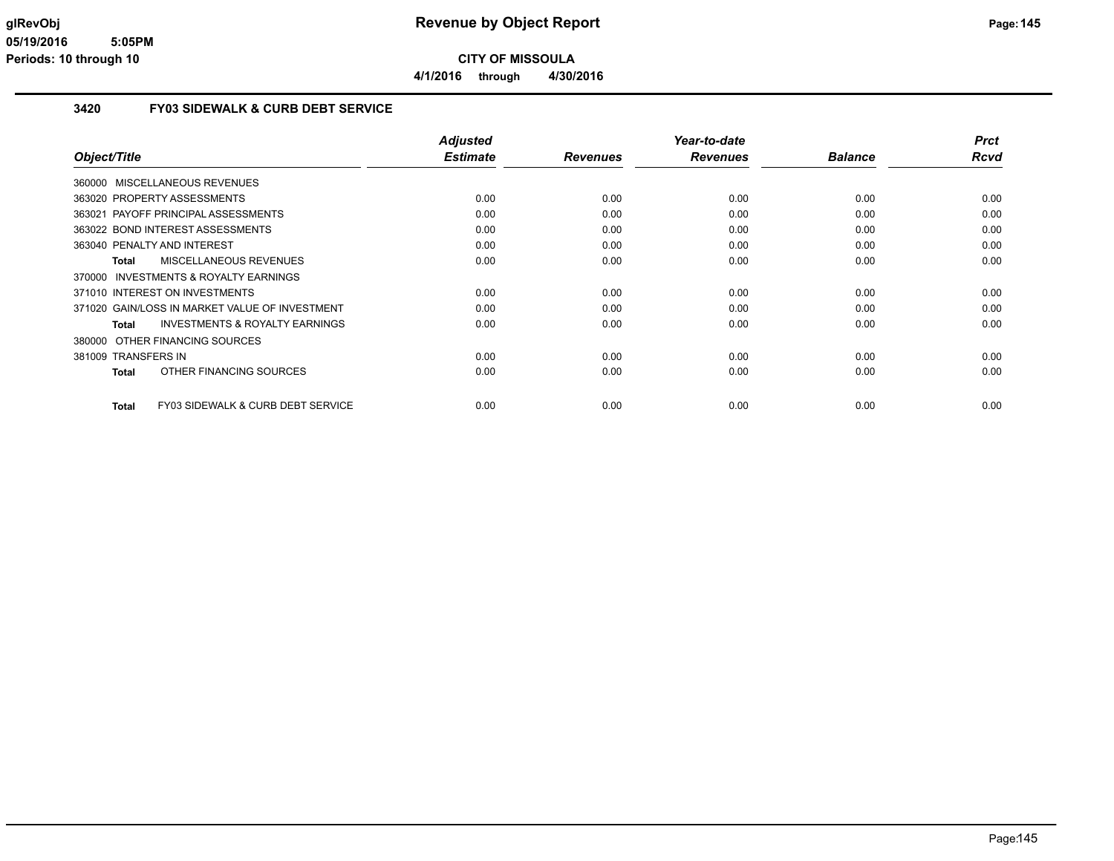**4/1/2016 through 4/30/2016**

#### **3420 FY03 SIDEWALK & CURB DEBT SERVICE**

| Object/Title                                       | <b>Adjusted</b><br><b>Estimate</b> | <b>Revenues</b> | Year-to-date<br><b>Revenues</b> | <b>Balance</b> | <b>Prct</b><br><b>Rcvd</b> |
|----------------------------------------------------|------------------------------------|-----------------|---------------------------------|----------------|----------------------------|
|                                                    |                                    |                 |                                 |                |                            |
| 360000 MISCELLANEOUS REVENUES                      |                                    |                 |                                 |                |                            |
| 363020 PROPERTY ASSESSMENTS                        | 0.00                               | 0.00            | 0.00                            | 0.00           | 0.00                       |
| 363021 PAYOFF PRINCIPAL ASSESSMENTS                | 0.00                               | 0.00            | 0.00                            | 0.00           | 0.00                       |
| 363022 BOND INTEREST ASSESSMENTS                   | 0.00                               | 0.00            | 0.00                            | 0.00           | 0.00                       |
| 363040 PENALTY AND INTEREST                        | 0.00                               | 0.00            | 0.00                            | 0.00           | 0.00                       |
| <b>MISCELLANEOUS REVENUES</b><br><b>Total</b>      | 0.00                               | 0.00            | 0.00                            | 0.00           | 0.00                       |
| 370000 INVESTMENTS & ROYALTY EARNINGS              |                                    |                 |                                 |                |                            |
| 371010 INTEREST ON INVESTMENTS                     | 0.00                               | 0.00            | 0.00                            | 0.00           | 0.00                       |
| 371020 GAIN/LOSS IN MARKET VALUE OF INVESTMENT     | 0.00                               | 0.00            | 0.00                            | 0.00           | 0.00                       |
| <b>INVESTMENTS &amp; ROYALTY EARNINGS</b><br>Total | 0.00                               | 0.00            | 0.00                            | 0.00           | 0.00                       |
| 380000 OTHER FINANCING SOURCES                     |                                    |                 |                                 |                |                            |
| 381009 TRANSFERS IN                                | 0.00                               | 0.00            | 0.00                            | 0.00           | 0.00                       |
| OTHER FINANCING SOURCES<br>Total                   | 0.00                               | 0.00            | 0.00                            | 0.00           | 0.00                       |
|                                                    |                                    |                 |                                 |                |                            |
| FY03 SIDEWALK & CURB DEBT SERVICE<br><b>Total</b>  | 0.00                               | 0.00            | 0.00                            | 0.00           | 0.00                       |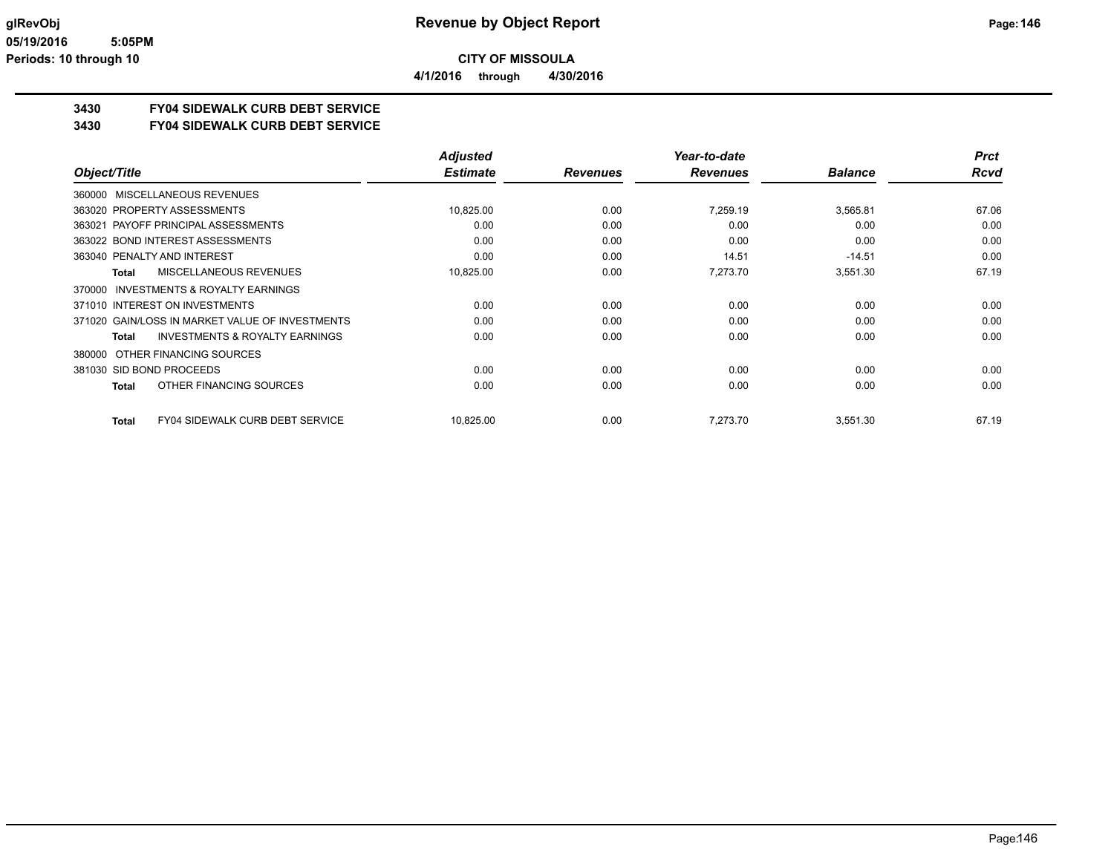**3430 FY04 SIDEWALK CURB DEBT SERVICE**

**3430 FY04 SIDEWALK CURB DEBT SERVICE**

|                                                        | <b>Adjusted</b> |                 | Year-to-date    |                | <b>Prct</b> |
|--------------------------------------------------------|-----------------|-----------------|-----------------|----------------|-------------|
| Object/Title                                           | <b>Estimate</b> | <b>Revenues</b> | <b>Revenues</b> | <b>Balance</b> | <b>Rcvd</b> |
| 360000 MISCELLANEOUS REVENUES                          |                 |                 |                 |                |             |
| 363020 PROPERTY ASSESSMENTS                            | 10,825.00       | 0.00            | 7,259.19        | 3,565.81       | 67.06       |
| 363021 PAYOFF PRINCIPAL ASSESSMENTS                    | 0.00            | 0.00            | 0.00            | 0.00           | 0.00        |
| 363022 BOND INTEREST ASSESSMENTS                       | 0.00            | 0.00            | 0.00            | 0.00           | 0.00        |
| 363040 PENALTY AND INTEREST                            | 0.00            | 0.00            | 14.51           | $-14.51$       | 0.00        |
| MISCELLANEOUS REVENUES<br><b>Total</b>                 | 10,825.00       | 0.00            | 7,273.70        | 3,551.30       | 67.19       |
| INVESTMENTS & ROYALTY EARNINGS<br>370000               |                 |                 |                 |                |             |
| 371010 INTEREST ON INVESTMENTS                         | 0.00            | 0.00            | 0.00            | 0.00           | 0.00        |
| 371020 GAIN/LOSS IN MARKET VALUE OF INVESTMENTS        | 0.00            | 0.00            | 0.00            | 0.00           | 0.00        |
| INVESTMENTS & ROYALTY EARNINGS<br><b>Total</b>         | 0.00            | 0.00            | 0.00            | 0.00           | 0.00        |
| OTHER FINANCING SOURCES<br>380000                      |                 |                 |                 |                |             |
| 381030 SID BOND PROCEEDS                               | 0.00            | 0.00            | 0.00            | 0.00           | 0.00        |
| OTHER FINANCING SOURCES<br><b>Total</b>                | 0.00            | 0.00            | 0.00            | 0.00           | 0.00        |
| <b>FY04 SIDEWALK CURB DEBT SERVICE</b><br><b>Total</b> | 10,825.00       | 0.00            | 7,273.70        | 3,551.30       | 67.19       |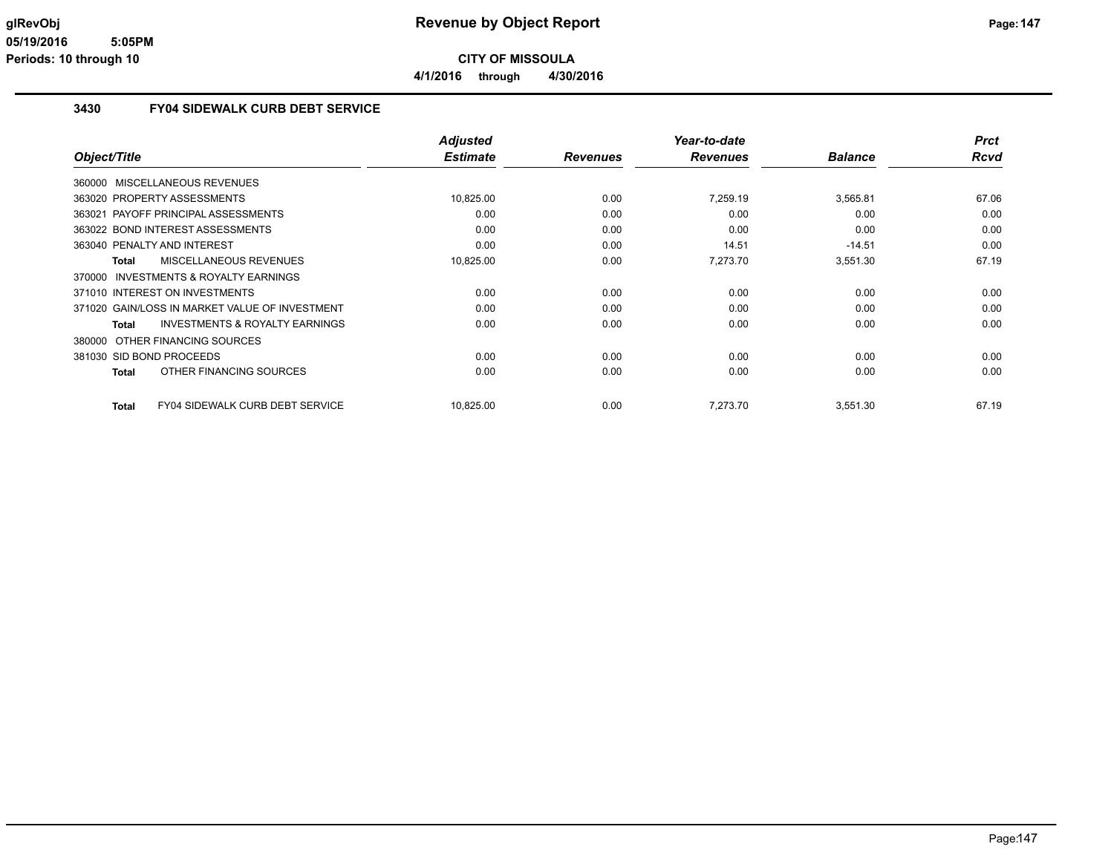**4/1/2016 through 4/30/2016**

#### **3430 FY04 SIDEWALK CURB DEBT SERVICE**

|                                                           | <b>Adjusted</b><br><b>Estimate</b> |                 | Year-to-date<br><b>Revenues</b> | <b>Balance</b> | <b>Prct</b><br><b>Rcvd</b> |
|-----------------------------------------------------------|------------------------------------|-----------------|---------------------------------|----------------|----------------------------|
| Object/Title                                              |                                    | <b>Revenues</b> |                                 |                |                            |
| 360000 MISCELLANEOUS REVENUES                             |                                    |                 |                                 |                |                            |
| 363020 PROPERTY ASSESSMENTS                               | 10,825.00                          | 0.00            | 7,259.19                        | 3,565.81       | 67.06                      |
| 363021 PAYOFF PRINCIPAL ASSESSMENTS                       | 0.00                               | 0.00            | 0.00                            | 0.00           | 0.00                       |
| 363022 BOND INTEREST ASSESSMENTS                          | 0.00                               | 0.00            | 0.00                            | 0.00           | 0.00                       |
| 363040 PENALTY AND INTEREST                               | 0.00                               | 0.00            | 14.51                           | $-14.51$       | 0.00                       |
| MISCELLANEOUS REVENUES<br><b>Total</b>                    | 10,825.00                          | 0.00            | 7,273.70                        | 3,551.30       | 67.19                      |
| 370000 INVESTMENTS & ROYALTY EARNINGS                     |                                    |                 |                                 |                |                            |
| 371010 INTEREST ON INVESTMENTS                            | 0.00                               | 0.00            | 0.00                            | 0.00           | 0.00                       |
| 371020 GAIN/LOSS IN MARKET VALUE OF INVESTMENT            | 0.00                               | 0.00            | 0.00                            | 0.00           | 0.00                       |
| <b>INVESTMENTS &amp; ROYALTY EARNINGS</b><br><b>Total</b> | 0.00                               | 0.00            | 0.00                            | 0.00           | 0.00                       |
| OTHER FINANCING SOURCES<br>380000                         |                                    |                 |                                 |                |                            |
| 381030 SID BOND PROCEEDS                                  | 0.00                               | 0.00            | 0.00                            | 0.00           | 0.00                       |
| OTHER FINANCING SOURCES<br><b>Total</b>                   | 0.00                               | 0.00            | 0.00                            | 0.00           | 0.00                       |
|                                                           |                                    |                 |                                 |                |                            |
| <b>FY04 SIDEWALK CURB DEBT SERVICE</b><br>Total           | 10,825.00                          | 0.00            | 7.273.70                        | 3,551.30       | 67.19                      |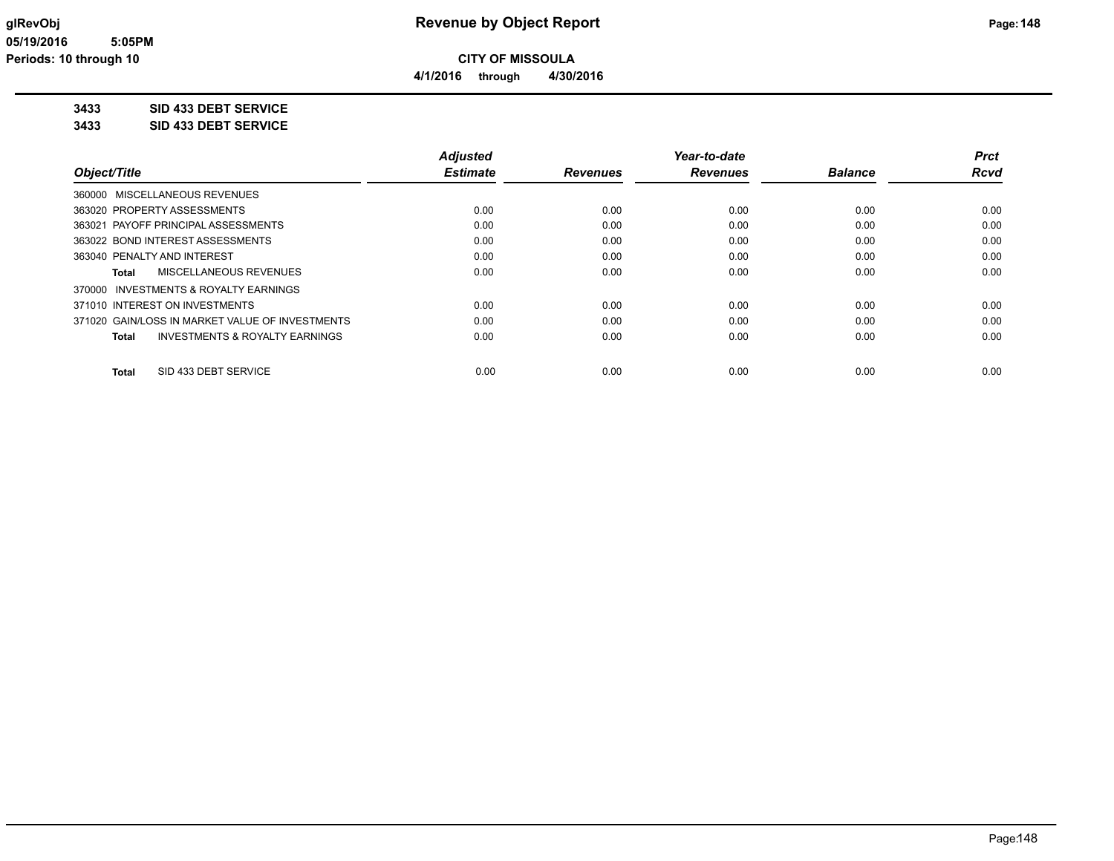**4/1/2016 through 4/30/2016**

**3433 SID 433 DEBT SERVICE**

**3433 SID 433 DEBT SERVICE**

|                                                    | <b>Adjusted</b> |                 | Year-to-date    |                | <b>Prct</b> |
|----------------------------------------------------|-----------------|-----------------|-----------------|----------------|-------------|
| Object/Title                                       | <b>Estimate</b> | <b>Revenues</b> | <b>Revenues</b> | <b>Balance</b> | <b>Rcvd</b> |
| 360000 MISCELLANEOUS REVENUES                      |                 |                 |                 |                |             |
| 363020 PROPERTY ASSESSMENTS                        | 0.00            | 0.00            | 0.00            | 0.00           | 0.00        |
| 363021 PAYOFF PRINCIPAL ASSESSMENTS                | 0.00            | 0.00            | 0.00            | 0.00           | 0.00        |
| 363022 BOND INTEREST ASSESSMENTS                   | 0.00            | 0.00            | 0.00            | 0.00           | 0.00        |
| 363040 PENALTY AND INTEREST                        | 0.00            | 0.00            | 0.00            | 0.00           | 0.00        |
| MISCELLANEOUS REVENUES<br>Total                    | 0.00            | 0.00            | 0.00            | 0.00           | 0.00        |
| 370000 INVESTMENTS & ROYALTY EARNINGS              |                 |                 |                 |                |             |
| 371010 INTEREST ON INVESTMENTS                     | 0.00            | 0.00            | 0.00            | 0.00           | 0.00        |
| 371020 GAIN/LOSS IN MARKET VALUE OF INVESTMENTS    | 0.00            | 0.00            | 0.00            | 0.00           | 0.00        |
| <b>INVESTMENTS &amp; ROYALTY EARNINGS</b><br>Total | 0.00            | 0.00            | 0.00            | 0.00           | 0.00        |
| SID 433 DEBT SERVICE<br><b>Total</b>               | 0.00            | 0.00            | 0.00            | 0.00           | 0.00        |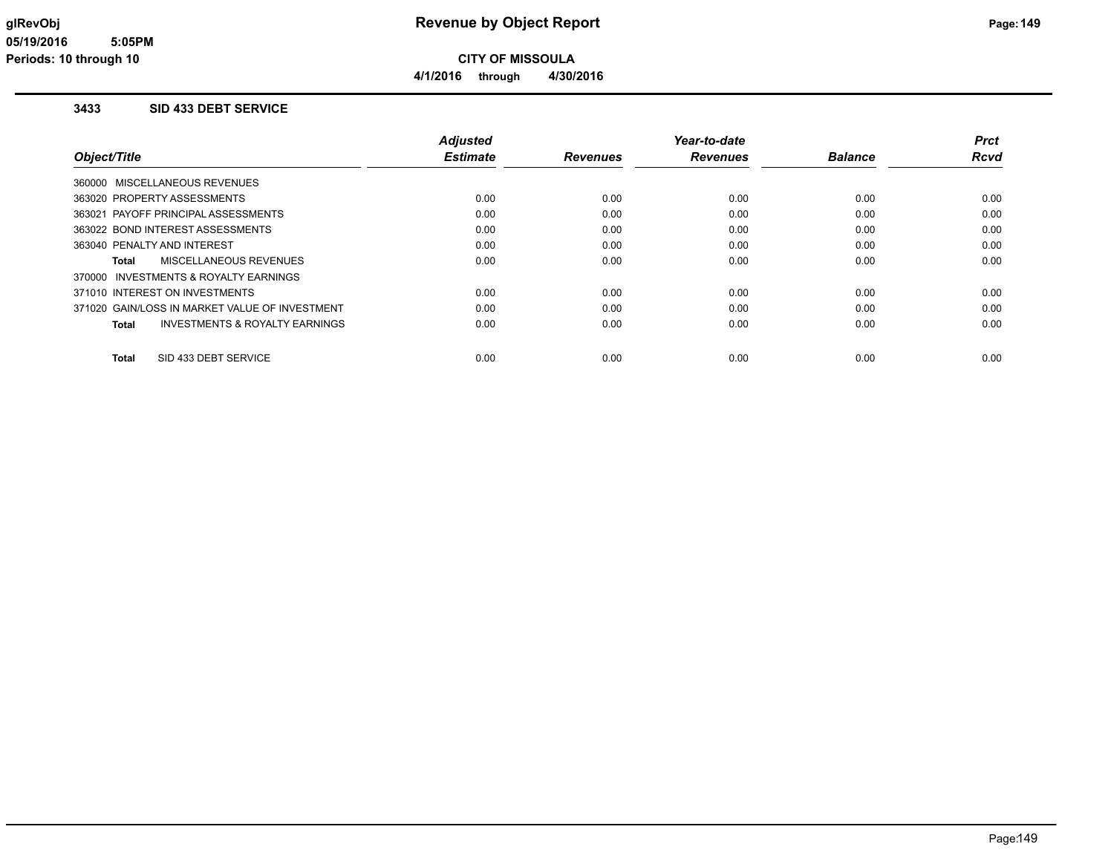#### **3433 SID 433 DEBT SERVICE**

|                                                    | <b>Adjusted</b> |                 | Year-to-date    |                | <b>Prct</b> |
|----------------------------------------------------|-----------------|-----------------|-----------------|----------------|-------------|
| Object/Title                                       | <b>Estimate</b> | <b>Revenues</b> | <b>Revenues</b> | <b>Balance</b> | <b>Rcvd</b> |
| 360000 MISCELLANEOUS REVENUES                      |                 |                 |                 |                |             |
| 363020 PROPERTY ASSESSMENTS                        | 0.00            | 0.00            | 0.00            | 0.00           | 0.00        |
| 363021 PAYOFF PRINCIPAL ASSESSMENTS                | 0.00            | 0.00            | 0.00            | 0.00           | 0.00        |
| 363022 BOND INTEREST ASSESSMENTS                   | 0.00            | 0.00            | 0.00            | 0.00           | 0.00        |
| 363040 PENALTY AND INTEREST                        | 0.00            | 0.00            | 0.00            | 0.00           | 0.00        |
| MISCELLANEOUS REVENUES<br>Total                    | 0.00            | 0.00            | 0.00            | 0.00           | 0.00        |
| 370000 INVESTMENTS & ROYALTY EARNINGS              |                 |                 |                 |                |             |
| 371010 INTEREST ON INVESTMENTS                     | 0.00            | 0.00            | 0.00            | 0.00           | 0.00        |
| 371020 GAIN/LOSS IN MARKET VALUE OF INVESTMENT     | 0.00            | 0.00            | 0.00            | 0.00           | 0.00        |
| <b>INVESTMENTS &amp; ROYALTY EARNINGS</b><br>Total | 0.00            | 0.00            | 0.00            | 0.00           | 0.00        |
| SID 433 DEBT SERVICE<br><b>Total</b>               | 0.00            | 0.00            | 0.00            | 0.00           | 0.00        |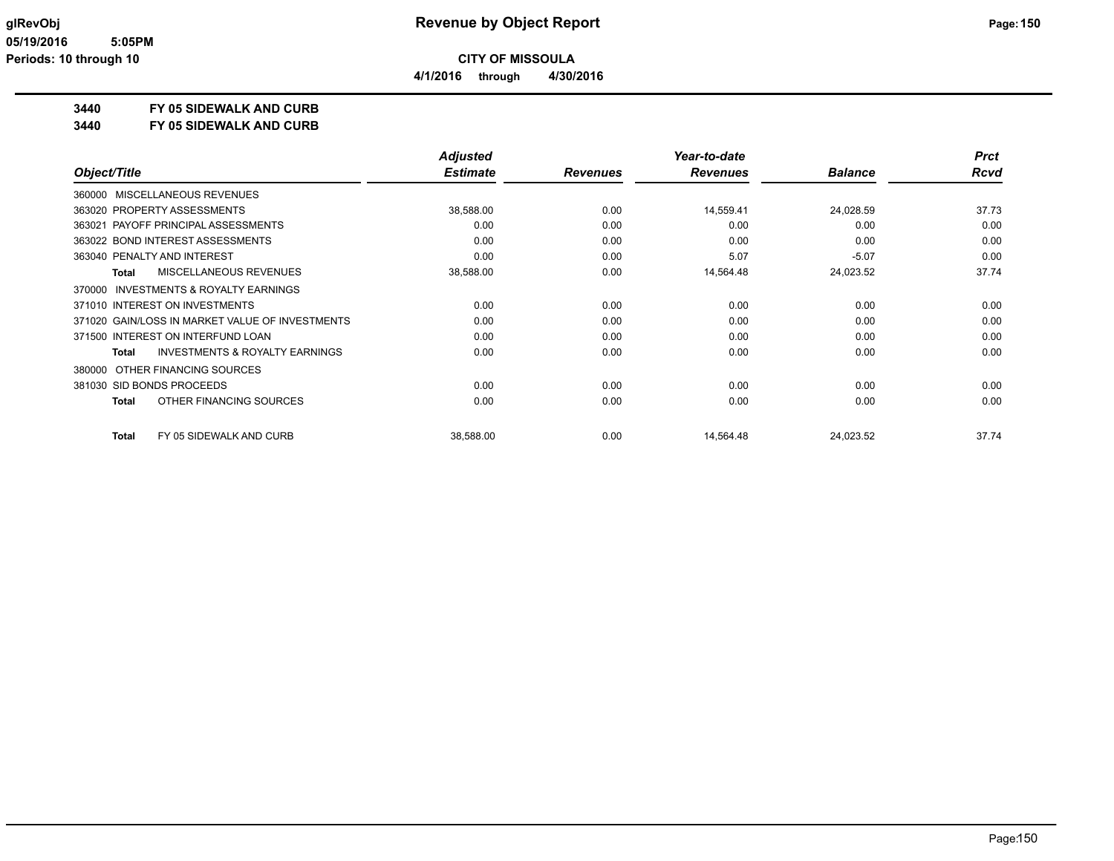**4/1/2016 through 4/30/2016**

# **3440 FY 05 SIDEWALK AND CURB**

**3440 FY 05 SIDEWALK AND CURB**

|                                                           | <b>Adjusted</b> |                 | Year-to-date    |                | <b>Prct</b> |
|-----------------------------------------------------------|-----------------|-----------------|-----------------|----------------|-------------|
| Object/Title                                              | <b>Estimate</b> | <b>Revenues</b> | <b>Revenues</b> | <b>Balance</b> | <b>Rcvd</b> |
| 360000 MISCELLANEOUS REVENUES                             |                 |                 |                 |                |             |
| 363020 PROPERTY ASSESSMENTS                               | 38,588.00       | 0.00            | 14,559.41       | 24,028.59      | 37.73       |
| 363021 PAYOFF PRINCIPAL ASSESSMENTS                       | 0.00            | 0.00            | 0.00            | 0.00           | 0.00        |
| 363022 BOND INTEREST ASSESSMENTS                          | 0.00            | 0.00            | 0.00            | 0.00           | 0.00        |
| 363040 PENALTY AND INTEREST                               | 0.00            | 0.00            | 5.07            | $-5.07$        | 0.00        |
| MISCELLANEOUS REVENUES<br><b>Total</b>                    | 38,588.00       | 0.00            | 14,564.48       | 24,023.52      | 37.74       |
| <b>INVESTMENTS &amp; ROYALTY EARNINGS</b><br>370000       |                 |                 |                 |                |             |
| 371010 INTEREST ON INVESTMENTS                            | 0.00            | 0.00            | 0.00            | 0.00           | 0.00        |
| 371020 GAIN/LOSS IN MARKET VALUE OF INVESTMENTS           | 0.00            | 0.00            | 0.00            | 0.00           | 0.00        |
| 371500 INTEREST ON INTERFUND LOAN                         | 0.00            | 0.00            | 0.00            | 0.00           | 0.00        |
| <b>INVESTMENTS &amp; ROYALTY EARNINGS</b><br><b>Total</b> | 0.00            | 0.00            | 0.00            | 0.00           | 0.00        |
| OTHER FINANCING SOURCES<br>380000                         |                 |                 |                 |                |             |
| 381030 SID BONDS PROCEEDS                                 | 0.00            | 0.00            | 0.00            | 0.00           | 0.00        |
| OTHER FINANCING SOURCES<br><b>Total</b>                   | 0.00            | 0.00            | 0.00            | 0.00           | 0.00        |
| FY 05 SIDEWALK AND CURB<br><b>Total</b>                   | 38,588.00       | 0.00            | 14,564.48       | 24,023.52      | 37.74       |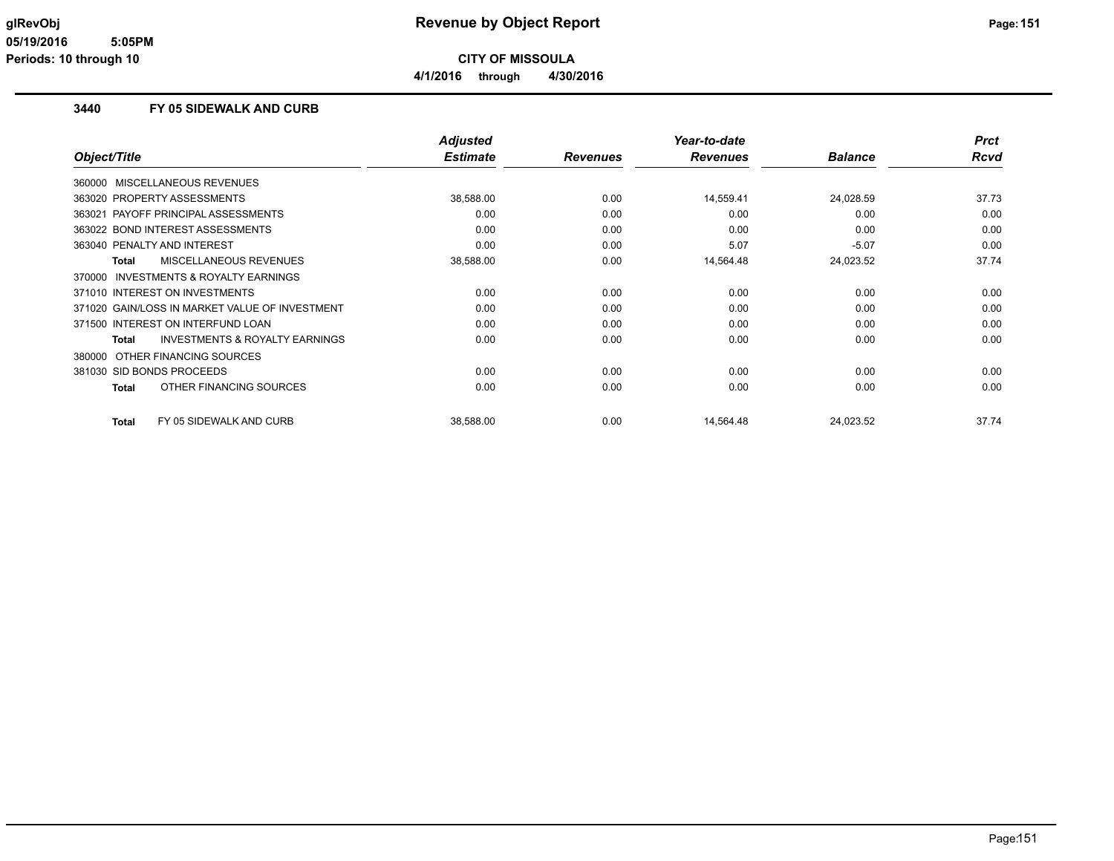**4/1/2016 through 4/30/2016**

#### **3440 FY 05 SIDEWALK AND CURB**

|                                                    | <b>Adjusted</b> |                 | Year-to-date    |                | <b>Prct</b> |
|----------------------------------------------------|-----------------|-----------------|-----------------|----------------|-------------|
| Object/Title                                       | <b>Estimate</b> | <b>Revenues</b> | <b>Revenues</b> | <b>Balance</b> | <b>Rcvd</b> |
| 360000 MISCELLANEOUS REVENUES                      |                 |                 |                 |                |             |
| 363020 PROPERTY ASSESSMENTS                        | 38,588.00       | 0.00            | 14,559.41       | 24,028.59      | 37.73       |
| PAYOFF PRINCIPAL ASSESSMENTS<br>363021             | 0.00            | 0.00            | 0.00            | 0.00           | 0.00        |
| 363022 BOND INTEREST ASSESSMENTS                   | 0.00            | 0.00            | 0.00            | 0.00           | 0.00        |
| 363040 PENALTY AND INTEREST                        | 0.00            | 0.00            | 5.07            | $-5.07$        | 0.00        |
| MISCELLANEOUS REVENUES<br><b>Total</b>             | 38,588.00       | 0.00            | 14,564.48       | 24,023.52      | 37.74       |
| 370000 INVESTMENTS & ROYALTY EARNINGS              |                 |                 |                 |                |             |
| 371010 INTEREST ON INVESTMENTS                     | 0.00            | 0.00            | 0.00            | 0.00           | 0.00        |
| 371020 GAIN/LOSS IN MARKET VALUE OF INVESTMENT     | 0.00            | 0.00            | 0.00            | 0.00           | 0.00        |
| 371500 INTEREST ON INTERFUND LOAN                  | 0.00            | 0.00            | 0.00            | 0.00           | 0.00        |
| <b>INVESTMENTS &amp; ROYALTY EARNINGS</b><br>Total | 0.00            | 0.00            | 0.00            | 0.00           | 0.00        |
| OTHER FINANCING SOURCES<br>380000                  |                 |                 |                 |                |             |
| 381030 SID BONDS PROCEEDS                          | 0.00            | 0.00            | 0.00            | 0.00           | 0.00        |
| OTHER FINANCING SOURCES<br><b>Total</b>            | 0.00            | 0.00            | 0.00            | 0.00           | 0.00        |
| FY 05 SIDEWALK AND CURB<br><b>Total</b>            | 38,588.00       | 0.00            | 14,564.48       | 24,023.52      | 37.74       |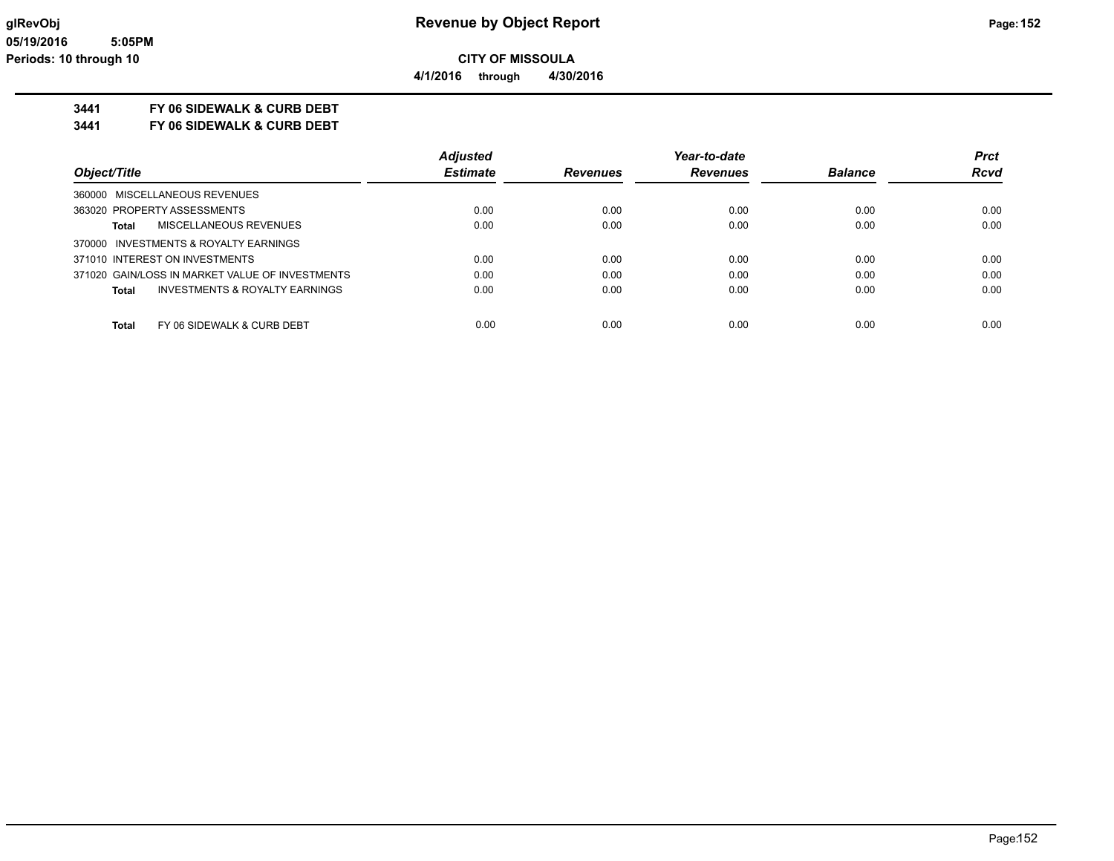**4/1/2016 through 4/30/2016**

# **3441 FY 06 SIDEWALK & CURB DEBT**

**3441 FY 06 SIDEWALK & CURB DEBT**

|                                                    | <b>Adjusted</b> |                 | Year-to-date    |                | <b>Prct</b> |
|----------------------------------------------------|-----------------|-----------------|-----------------|----------------|-------------|
| Object/Title                                       | <b>Estimate</b> | <b>Revenues</b> | <b>Revenues</b> | <b>Balance</b> | <b>Rcvd</b> |
| 360000 MISCELLANEOUS REVENUES                      |                 |                 |                 |                |             |
| 363020 PROPERTY ASSESSMENTS                        | 0.00            | 0.00            | 0.00            | 0.00           | 0.00        |
| MISCELLANEOUS REVENUES<br>Total                    | 0.00            | 0.00            | 0.00            | 0.00           | 0.00        |
| 370000 INVESTMENTS & ROYALTY EARNINGS              |                 |                 |                 |                |             |
| 371010 INTEREST ON INVESTMENTS                     | 0.00            | 0.00            | 0.00            | 0.00           | 0.00        |
| 371020 GAIN/LOSS IN MARKET VALUE OF INVESTMENTS    | 0.00            | 0.00            | 0.00            | 0.00           | 0.00        |
| <b>INVESTMENTS &amp; ROYALTY EARNINGS</b><br>Total | 0.00            | 0.00            | 0.00            | 0.00           | 0.00        |
| FY 06 SIDEWALK & CURB DEBT<br><b>Total</b>         | 0.00            | 0.00            | 0.00            | 0.00           | 0.00        |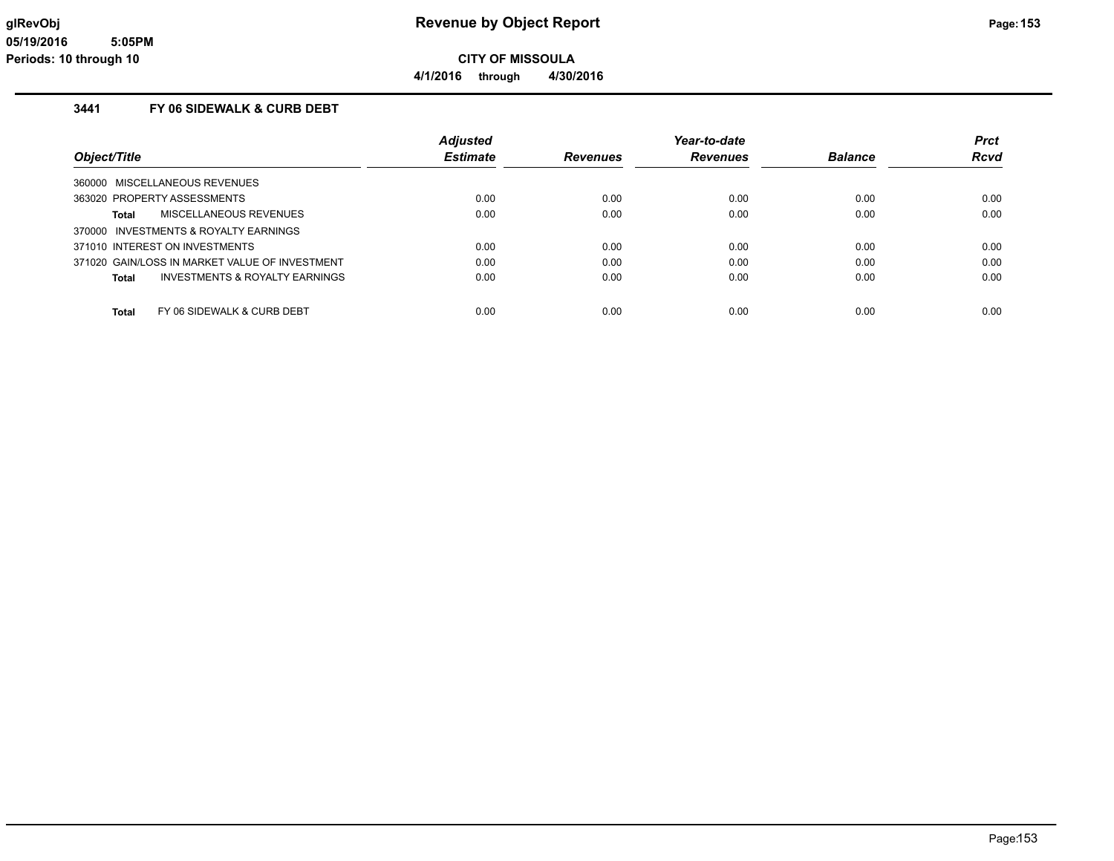# **glRevObj Revenue by Object Report Page:153**

**4/1/2016 through 4/30/2016**

### **3441 FY 06 SIDEWALK & CURB DEBT**

|                                                    | <b>Adjusted</b> |                 | Year-to-date    |                | <b>Prct</b> |
|----------------------------------------------------|-----------------|-----------------|-----------------|----------------|-------------|
| Object/Title                                       | <b>Estimate</b> | <b>Revenues</b> | <b>Revenues</b> | <b>Balance</b> | <b>Rcvd</b> |
| 360000 MISCELLANEOUS REVENUES                      |                 |                 |                 |                |             |
| 363020 PROPERTY ASSESSMENTS                        | 0.00            | 0.00            | 0.00            | 0.00           | 0.00        |
| MISCELLANEOUS REVENUES<br>Total                    | 0.00            | 0.00            | 0.00            | 0.00           | 0.00        |
| 370000 INVESTMENTS & ROYALTY EARNINGS              |                 |                 |                 |                |             |
| 371010 INTEREST ON INVESTMENTS                     | 0.00            | 0.00            | 0.00            | 0.00           | 0.00        |
| 371020 GAIN/LOSS IN MARKET VALUE OF INVESTMENT     | 0.00            | 0.00            | 0.00            | 0.00           | 0.00        |
| <b>INVESTMENTS &amp; ROYALTY EARNINGS</b><br>Total | 0.00            | 0.00            | 0.00            | 0.00           | 0.00        |
|                                                    |                 |                 |                 |                |             |
| FY 06 SIDEWALK & CURB DEBT<br>Total                | 0.00            | 0.00            | 0.00            | 0.00           | 0.00        |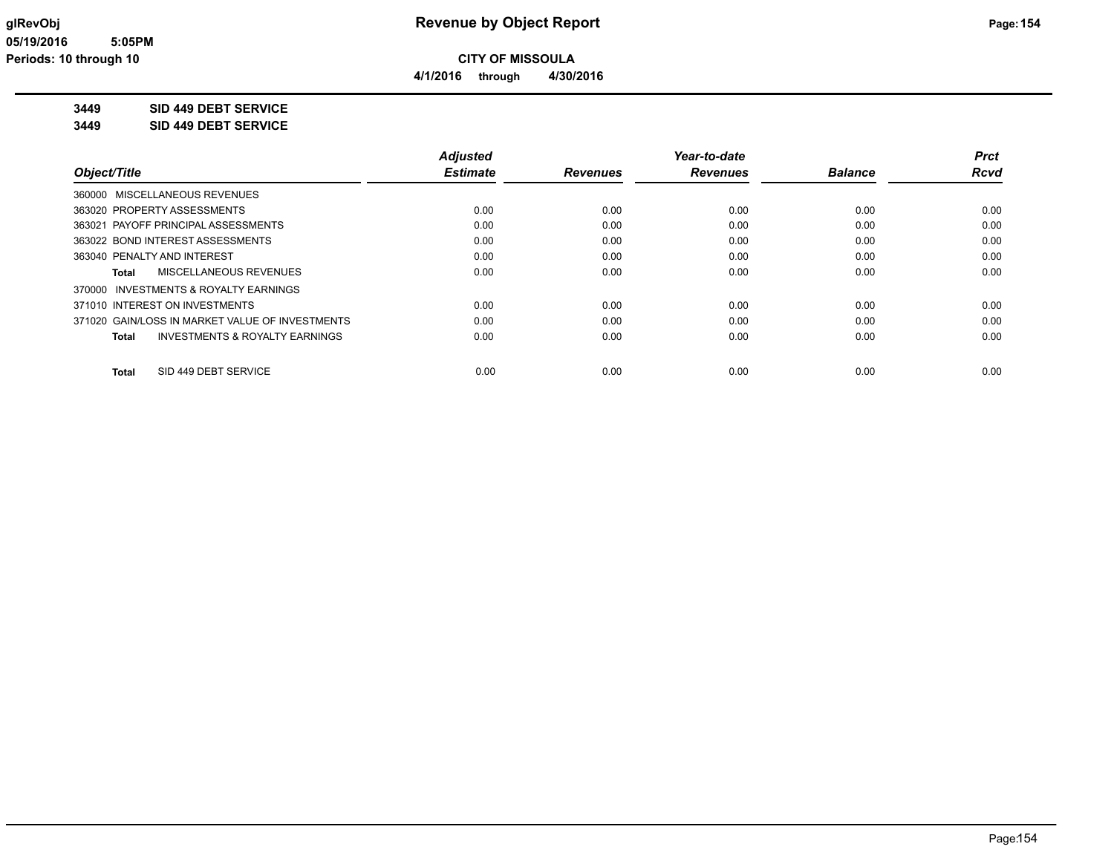**4/1/2016 through 4/30/2016**

**3449 SID 449 DEBT SERVICE**

**3449 SID 449 DEBT SERVICE**

|                                                 | <b>Adjusted</b> |                 | Year-to-date    |                | <b>Prct</b> |
|-------------------------------------------------|-----------------|-----------------|-----------------|----------------|-------------|
| Object/Title                                    | <b>Estimate</b> | <b>Revenues</b> | <b>Revenues</b> | <b>Balance</b> | <b>Rcvd</b> |
| 360000 MISCELLANEOUS REVENUES                   |                 |                 |                 |                |             |
| 363020 PROPERTY ASSESSMENTS                     | 0.00            | 0.00            | 0.00            | 0.00           | 0.00        |
| 363021 PAYOFF PRINCIPAL ASSESSMENTS             | 0.00            | 0.00            | 0.00            | 0.00           | 0.00        |
| 363022 BOND INTEREST ASSESSMENTS                | 0.00            | 0.00            | 0.00            | 0.00           | 0.00        |
| 363040 PENALTY AND INTEREST                     | 0.00            | 0.00            | 0.00            | 0.00           | 0.00        |
| MISCELLANEOUS REVENUES<br>Total                 | 0.00            | 0.00            | 0.00            | 0.00           | 0.00        |
| 370000 INVESTMENTS & ROYALTY EARNINGS           |                 |                 |                 |                |             |
| 371010 INTEREST ON INVESTMENTS                  | 0.00            | 0.00            | 0.00            | 0.00           | 0.00        |
| 371020 GAIN/LOSS IN MARKET VALUE OF INVESTMENTS | 0.00            | 0.00            | 0.00            | 0.00           | 0.00        |
| INVESTMENTS & ROYALTY EARNINGS<br>Total         | 0.00            | 0.00            | 0.00            | 0.00           | 0.00        |
| SID 449 DEBT SERVICE<br><b>Total</b>            | 0.00            | 0.00            | 0.00            | 0.00           | 0.00        |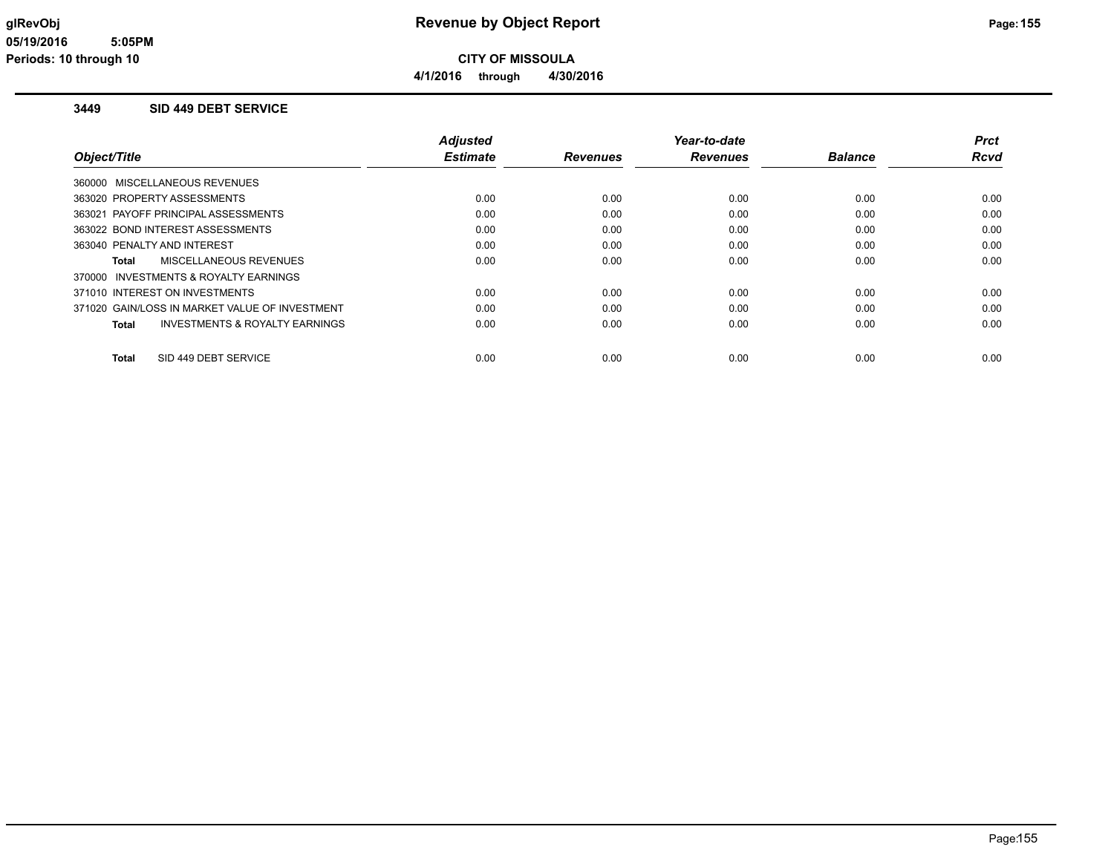#### **3449 SID 449 DEBT SERVICE**

|                                                    | <b>Adjusted</b> |                 | Year-to-date    |                | <b>Prct</b> |
|----------------------------------------------------|-----------------|-----------------|-----------------|----------------|-------------|
| Object/Title                                       | <b>Estimate</b> | <b>Revenues</b> | <b>Revenues</b> | <b>Balance</b> | <b>Rcvd</b> |
| 360000 MISCELLANEOUS REVENUES                      |                 |                 |                 |                |             |
| 363020 PROPERTY ASSESSMENTS                        | 0.00            | 0.00            | 0.00            | 0.00           | 0.00        |
| 363021 PAYOFF PRINCIPAL ASSESSMENTS                | 0.00            | 0.00            | 0.00            | 0.00           | 0.00        |
| 363022 BOND INTEREST ASSESSMENTS                   | 0.00            | 0.00            | 0.00            | 0.00           | 0.00        |
| 363040 PENALTY AND INTEREST                        | 0.00            | 0.00            | 0.00            | 0.00           | 0.00        |
| MISCELLANEOUS REVENUES<br>Total                    | 0.00            | 0.00            | 0.00            | 0.00           | 0.00        |
| 370000 INVESTMENTS & ROYALTY EARNINGS              |                 |                 |                 |                |             |
| 371010 INTEREST ON INVESTMENTS                     | 0.00            | 0.00            | 0.00            | 0.00           | 0.00        |
| 371020 GAIN/LOSS IN MARKET VALUE OF INVESTMENT     | 0.00            | 0.00            | 0.00            | 0.00           | 0.00        |
| <b>INVESTMENTS &amp; ROYALTY EARNINGS</b><br>Total | 0.00            | 0.00            | 0.00            | 0.00           | 0.00        |
| SID 449 DEBT SERVICE<br><b>Total</b>               | 0.00            | 0.00            | 0.00            | 0.00           | 0.00        |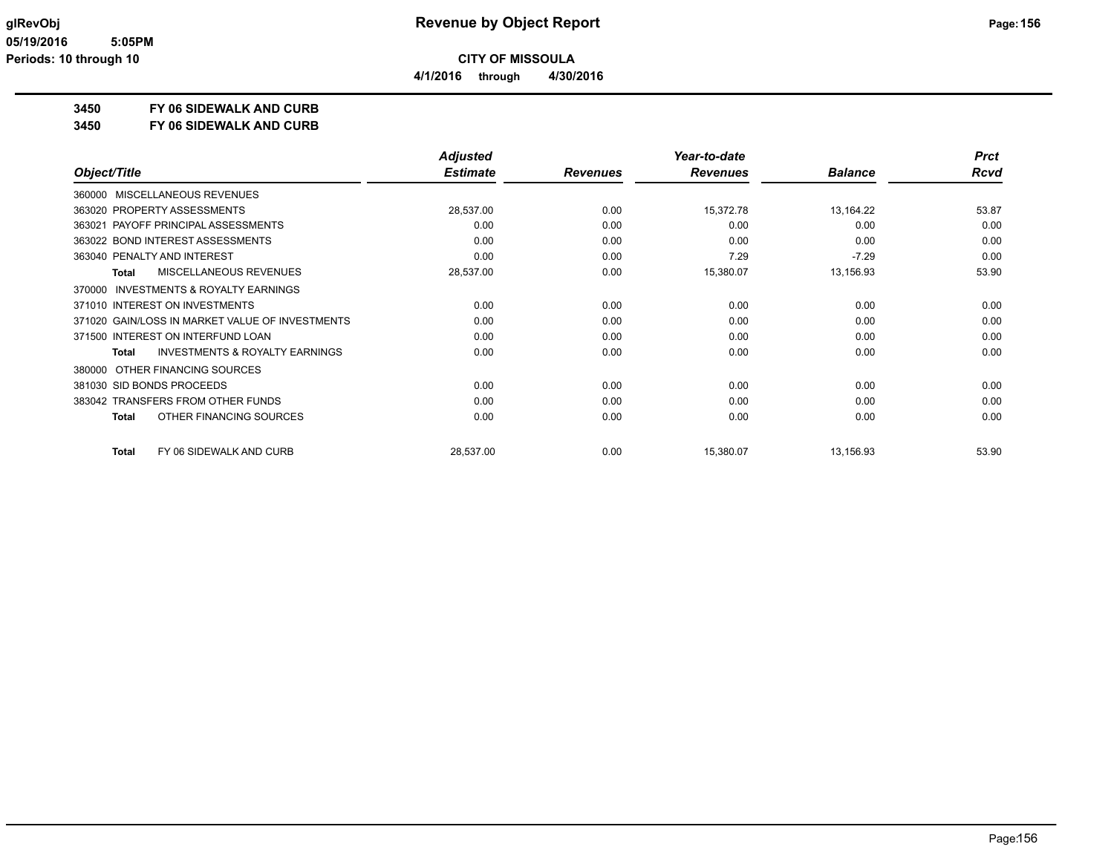**4/1/2016 through 4/30/2016**

# **3450 FY 06 SIDEWALK AND CURB**

**3450 FY 06 SIDEWALK AND CURB**

|                                                     | <b>Adjusted</b> |                 | Year-to-date    |                | <b>Prct</b> |
|-----------------------------------------------------|-----------------|-----------------|-----------------|----------------|-------------|
| Object/Title                                        | <b>Estimate</b> | <b>Revenues</b> | <b>Revenues</b> | <b>Balance</b> | <b>Rcvd</b> |
| 360000 MISCELLANEOUS REVENUES                       |                 |                 |                 |                |             |
| 363020 PROPERTY ASSESSMENTS                         | 28,537.00       | 0.00            | 15,372.78       | 13,164.22      | 53.87       |
| 363021 PAYOFF PRINCIPAL ASSESSMENTS                 | 0.00            | 0.00            | 0.00            | 0.00           | 0.00        |
| 363022 BOND INTEREST ASSESSMENTS                    | 0.00            | 0.00            | 0.00            | 0.00           | 0.00        |
| 363040 PENALTY AND INTEREST                         | 0.00            | 0.00            | 7.29            | $-7.29$        | 0.00        |
| MISCELLANEOUS REVENUES<br>Total                     | 28,537.00       | 0.00            | 15,380.07       | 13,156.93      | 53.90       |
| <b>INVESTMENTS &amp; ROYALTY EARNINGS</b><br>370000 |                 |                 |                 |                |             |
| 371010 INTEREST ON INVESTMENTS                      | 0.00            | 0.00            | 0.00            | 0.00           | 0.00        |
| 371020 GAIN/LOSS IN MARKET VALUE OF INVESTMENTS     | 0.00            | 0.00            | 0.00            | 0.00           | 0.00        |
| 371500 INTEREST ON INTERFUND LOAN                   | 0.00            | 0.00            | 0.00            | 0.00           | 0.00        |
| <b>INVESTMENTS &amp; ROYALTY EARNINGS</b><br>Total  | 0.00            | 0.00            | 0.00            | 0.00           | 0.00        |
| OTHER FINANCING SOURCES<br>380000                   |                 |                 |                 |                |             |
| 381030 SID BONDS PROCEEDS                           | 0.00            | 0.00            | 0.00            | 0.00           | 0.00        |
| 383042 TRANSFERS FROM OTHER FUNDS                   | 0.00            | 0.00            | 0.00            | 0.00           | 0.00        |
| OTHER FINANCING SOURCES<br><b>Total</b>             | 0.00            | 0.00            | 0.00            | 0.00           | 0.00        |
| FY 06 SIDEWALK AND CURB<br>Total                    | 28,537.00       | 0.00            | 15,380.07       | 13,156.93      | 53.90       |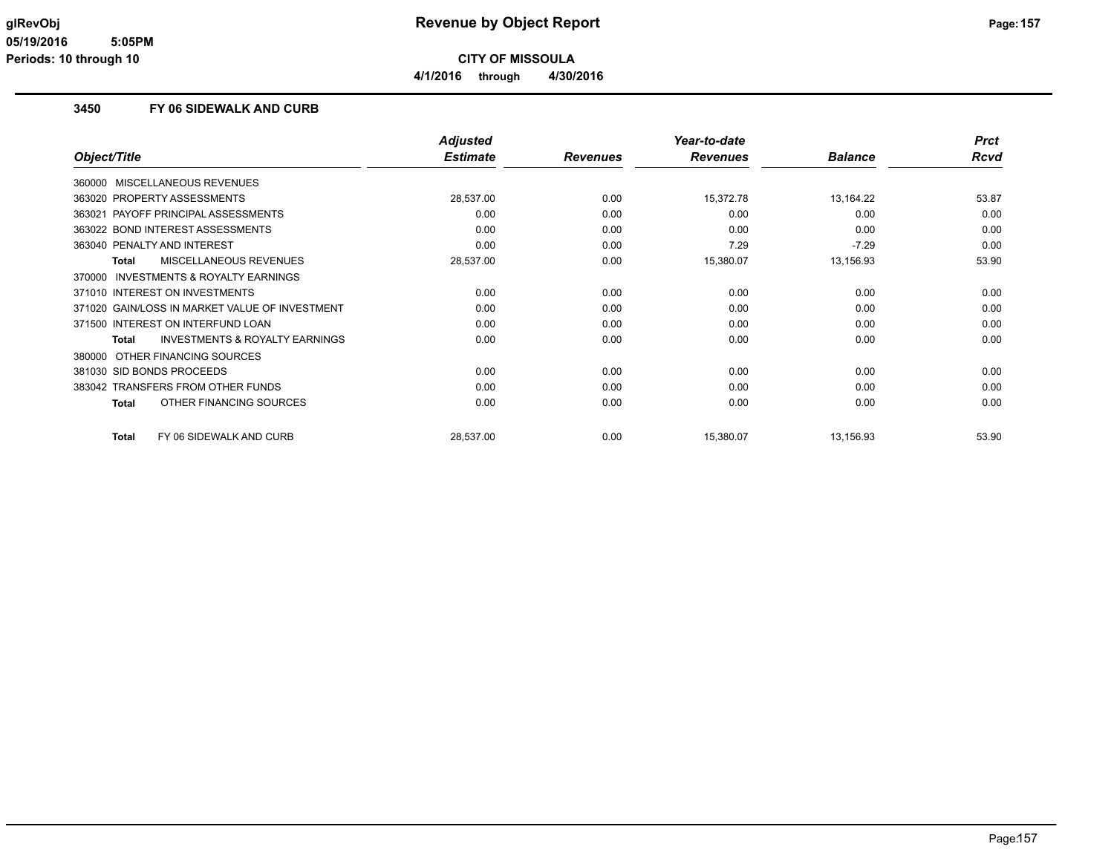**4/1/2016 through 4/30/2016**

#### **3450 FY 06 SIDEWALK AND CURB**

|                                                           | <b>Adjusted</b> |                 | Year-to-date    |                | <b>Prct</b> |
|-----------------------------------------------------------|-----------------|-----------------|-----------------|----------------|-------------|
| Object/Title                                              | <b>Estimate</b> | <b>Revenues</b> | <b>Revenues</b> | <b>Balance</b> | <b>Rcvd</b> |
| MISCELLANEOUS REVENUES<br>360000                          |                 |                 |                 |                |             |
| 363020 PROPERTY ASSESSMENTS                               | 28,537.00       | 0.00            | 15,372.78       | 13,164.22      | 53.87       |
| 363021 PAYOFF PRINCIPAL ASSESSMENTS                       | 0.00            | 0.00            | 0.00            | 0.00           | 0.00        |
| 363022 BOND INTEREST ASSESSMENTS                          | 0.00            | 0.00            | 0.00            | 0.00           | 0.00        |
| 363040 PENALTY AND INTEREST                               | 0.00            | 0.00            | 7.29            | $-7.29$        | 0.00        |
| MISCELLANEOUS REVENUES<br><b>Total</b>                    | 28,537.00       | 0.00            | 15,380.07       | 13,156.93      | 53.90       |
| <b>INVESTMENTS &amp; ROYALTY EARNINGS</b><br>370000       |                 |                 |                 |                |             |
| 371010 INTEREST ON INVESTMENTS                            | 0.00            | 0.00            | 0.00            | 0.00           | 0.00        |
| 371020 GAIN/LOSS IN MARKET VALUE OF INVESTMENT            | 0.00            | 0.00            | 0.00            | 0.00           | 0.00        |
| 371500 INTEREST ON INTERFUND LOAN                         | 0.00            | 0.00            | 0.00            | 0.00           | 0.00        |
| <b>INVESTMENTS &amp; ROYALTY EARNINGS</b><br><b>Total</b> | 0.00            | 0.00            | 0.00            | 0.00           | 0.00        |
| OTHER FINANCING SOURCES<br>380000                         |                 |                 |                 |                |             |
| 381030 SID BONDS PROCEEDS                                 | 0.00            | 0.00            | 0.00            | 0.00           | 0.00        |
| 383042 TRANSFERS FROM OTHER FUNDS                         | 0.00            | 0.00            | 0.00            | 0.00           | 0.00        |
| OTHER FINANCING SOURCES<br><b>Total</b>                   | 0.00            | 0.00            | 0.00            | 0.00           | 0.00        |
| FY 06 SIDEWALK AND CURB<br><b>Total</b>                   | 28,537.00       | 0.00            | 15,380.07       | 13,156.93      | 53.90       |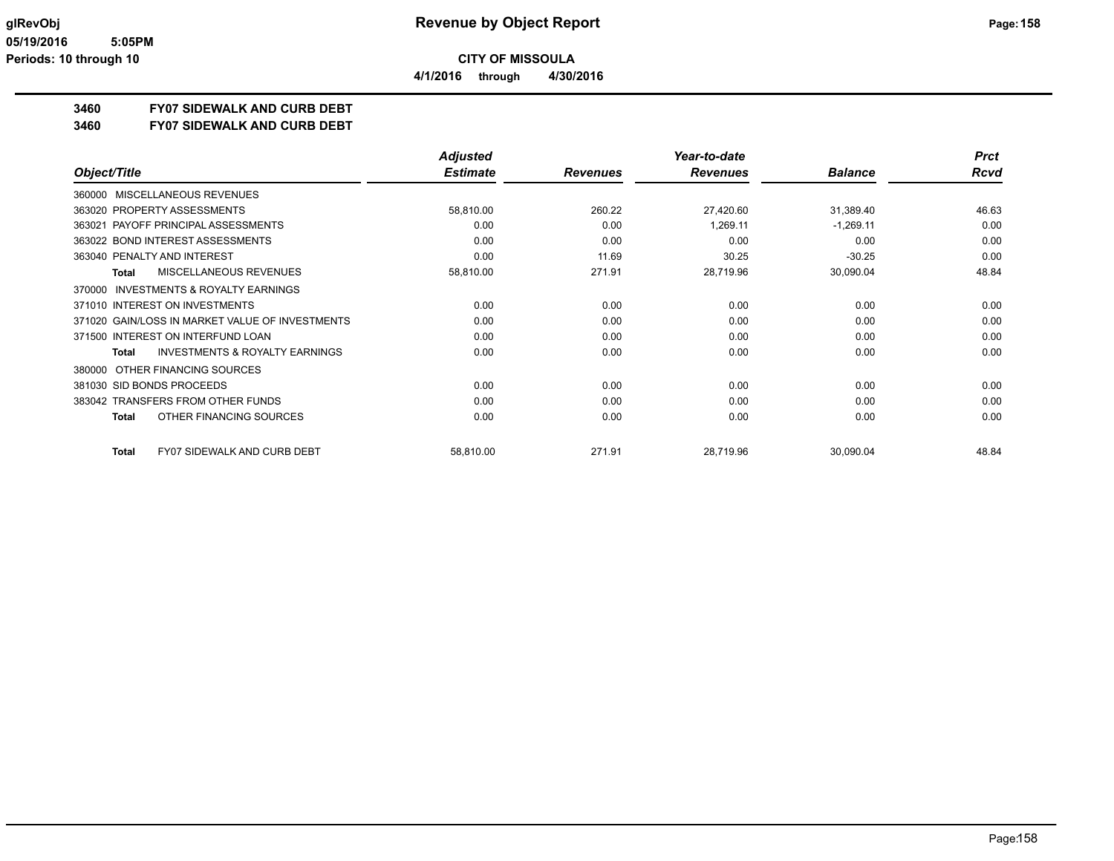**3460 FY07 SIDEWALK AND CURB DEBT**

**3460 FY07 SIDEWALK AND CURB DEBT**

|                                                     | <b>Adjusted</b> |                 | Year-to-date    |                | <b>Prct</b> |
|-----------------------------------------------------|-----------------|-----------------|-----------------|----------------|-------------|
| Object/Title                                        | <b>Estimate</b> | <b>Revenues</b> | <b>Revenues</b> | <b>Balance</b> | <b>Rcvd</b> |
| <b>MISCELLANEOUS REVENUES</b><br>360000             |                 |                 |                 |                |             |
| 363020 PROPERTY ASSESSMENTS                         | 58,810.00       | 260.22          | 27,420.60       | 31,389.40      | 46.63       |
| PAYOFF PRINCIPAL ASSESSMENTS<br>363021              | 0.00            | 0.00            | 1,269.11        | $-1,269.11$    | 0.00        |
| 363022 BOND INTEREST ASSESSMENTS                    | 0.00            | 0.00            | 0.00            | 0.00           | 0.00        |
| 363040 PENALTY AND INTEREST                         | 0.00            | 11.69           | 30.25           | $-30.25$       | 0.00        |
| <b>MISCELLANEOUS REVENUES</b><br><b>Total</b>       | 58,810.00       | 271.91          | 28,719.96       | 30,090.04      | 48.84       |
| <b>INVESTMENTS &amp; ROYALTY EARNINGS</b><br>370000 |                 |                 |                 |                |             |
| 371010 INTEREST ON INVESTMENTS                      | 0.00            | 0.00            | 0.00            | 0.00           | 0.00        |
| 371020 GAIN/LOSS IN MARKET VALUE OF INVESTMENTS     | 0.00            | 0.00            | 0.00            | 0.00           | 0.00        |
| 371500 INTEREST ON INTERFUND LOAN                   | 0.00            | 0.00            | 0.00            | 0.00           | 0.00        |
| <b>INVESTMENTS &amp; ROYALTY EARNINGS</b><br>Total  | 0.00            | 0.00            | 0.00            | 0.00           | 0.00        |
| OTHER FINANCING SOURCES<br>380000                   |                 |                 |                 |                |             |
| 381030 SID BONDS PROCEEDS                           | 0.00            | 0.00            | 0.00            | 0.00           | 0.00        |
| 383042 TRANSFERS FROM OTHER FUNDS                   | 0.00            | 0.00            | 0.00            | 0.00           | 0.00        |
| OTHER FINANCING SOURCES<br>Total                    | 0.00            | 0.00            | 0.00            | 0.00           | 0.00        |
| <b>FY07 SIDEWALK AND CURB DEBT</b><br>Total         | 58,810.00       | 271.91          | 28,719.96       | 30,090.04      | 48.84       |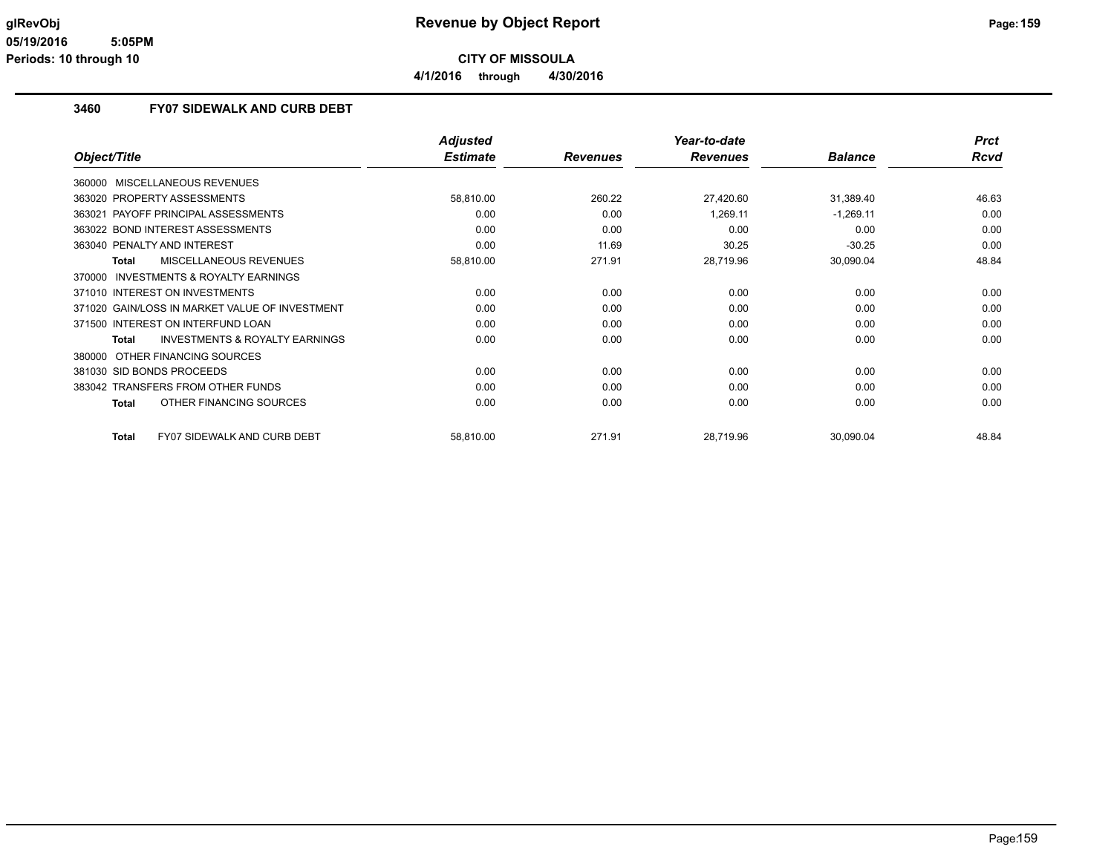**4/1/2016 through 4/30/2016**

#### **3460 FY07 SIDEWALK AND CURB DEBT**

|                                                           | <b>Adjusted</b> |                 | Year-to-date    |                | <b>Prct</b> |
|-----------------------------------------------------------|-----------------|-----------------|-----------------|----------------|-------------|
| Object/Title                                              | <b>Estimate</b> | <b>Revenues</b> | <b>Revenues</b> | <b>Balance</b> | <b>Rcvd</b> |
| 360000 MISCELLANEOUS REVENUES                             |                 |                 |                 |                |             |
| 363020 PROPERTY ASSESSMENTS                               | 58,810.00       | 260.22          | 27,420.60       | 31,389.40      | 46.63       |
| PAYOFF PRINCIPAL ASSESSMENTS<br>363021                    | 0.00            | 0.00            | 1,269.11        | $-1,269.11$    | 0.00        |
| 363022 BOND INTEREST ASSESSMENTS                          | 0.00            | 0.00            | 0.00            | 0.00           | 0.00        |
| 363040 PENALTY AND INTEREST                               | 0.00            | 11.69           | 30.25           | $-30.25$       | 0.00        |
| MISCELLANEOUS REVENUES<br><b>Total</b>                    | 58,810.00       | 271.91          | 28,719.96       | 30,090.04      | 48.84       |
| <b>INVESTMENTS &amp; ROYALTY EARNINGS</b><br>370000       |                 |                 |                 |                |             |
| 371010 INTEREST ON INVESTMENTS                            | 0.00            | 0.00            | 0.00            | 0.00           | 0.00        |
| 371020 GAIN/LOSS IN MARKET VALUE OF INVESTMENT            | 0.00            | 0.00            | 0.00            | 0.00           | 0.00        |
| 371500 INTEREST ON INTERFUND LOAN                         | 0.00            | 0.00            | 0.00            | 0.00           | 0.00        |
| <b>INVESTMENTS &amp; ROYALTY EARNINGS</b><br><b>Total</b> | 0.00            | 0.00            | 0.00            | 0.00           | 0.00        |
| OTHER FINANCING SOURCES<br>380000                         |                 |                 |                 |                |             |
| 381030 SID BONDS PROCEEDS                                 | 0.00            | 0.00            | 0.00            | 0.00           | 0.00        |
| 383042 TRANSFERS FROM OTHER FUNDS                         | 0.00            | 0.00            | 0.00            | 0.00           | 0.00        |
| OTHER FINANCING SOURCES<br><b>Total</b>                   | 0.00            | 0.00            | 0.00            | 0.00           | 0.00        |
| <b>FY07 SIDEWALK AND CURB DEBT</b><br><b>Total</b>        | 58,810.00       | 271.91          | 28,719.96       | 30,090.04      | 48.84       |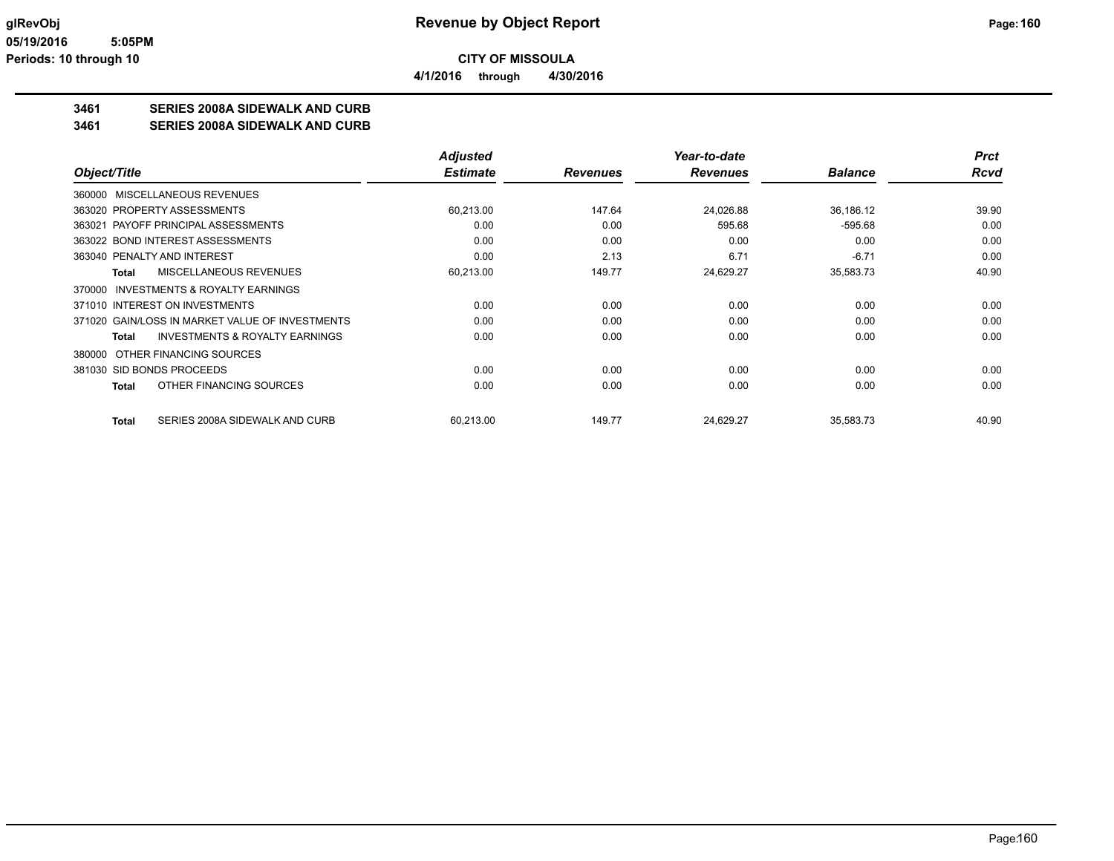**3461 SERIES 2008A SIDEWALK AND CURB**

**3461 SERIES 2008A SIDEWALK AND CURB**

|                                                           | <b>Adjusted</b> |                 | Year-to-date    |                | <b>Prct</b> |
|-----------------------------------------------------------|-----------------|-----------------|-----------------|----------------|-------------|
| Object/Title                                              | <b>Estimate</b> | <b>Revenues</b> | <b>Revenues</b> | <b>Balance</b> | <b>Rcvd</b> |
| 360000 MISCELLANEOUS REVENUES                             |                 |                 |                 |                |             |
| 363020 PROPERTY ASSESSMENTS                               | 60,213.00       | 147.64          | 24,026.88       | 36,186.12      | 39.90       |
| 363021 PAYOFF PRINCIPAL ASSESSMENTS                       | 0.00            | 0.00            | 595.68          | $-595.68$      | 0.00        |
| 363022 BOND INTEREST ASSESSMENTS                          | 0.00            | 0.00            | 0.00            | 0.00           | 0.00        |
| 363040 PENALTY AND INTEREST                               | 0.00            | 2.13            | 6.71            | $-6.71$        | 0.00        |
| MISCELLANEOUS REVENUES<br><b>Total</b>                    | 60,213.00       | 149.77          | 24,629.27       | 35,583.73      | 40.90       |
| <b>INVESTMENTS &amp; ROYALTY EARNINGS</b><br>370000       |                 |                 |                 |                |             |
| 371010 INTEREST ON INVESTMENTS                            | 0.00            | 0.00            | 0.00            | 0.00           | 0.00        |
| 371020 GAIN/LOSS IN MARKET VALUE OF INVESTMENTS           | 0.00            | 0.00            | 0.00            | 0.00           | 0.00        |
| <b>INVESTMENTS &amp; ROYALTY EARNINGS</b><br><b>Total</b> | 0.00            | 0.00            | 0.00            | 0.00           | 0.00        |
| OTHER FINANCING SOURCES<br>380000                         |                 |                 |                 |                |             |
| 381030 SID BONDS PROCEEDS                                 | 0.00            | 0.00            | 0.00            | 0.00           | 0.00        |
| OTHER FINANCING SOURCES<br><b>Total</b>                   | 0.00            | 0.00            | 0.00            | 0.00           | 0.00        |
| SERIES 2008A SIDEWALK AND CURB<br>Total                   | 60,213.00       | 149.77          | 24,629.27       | 35,583.73      | 40.90       |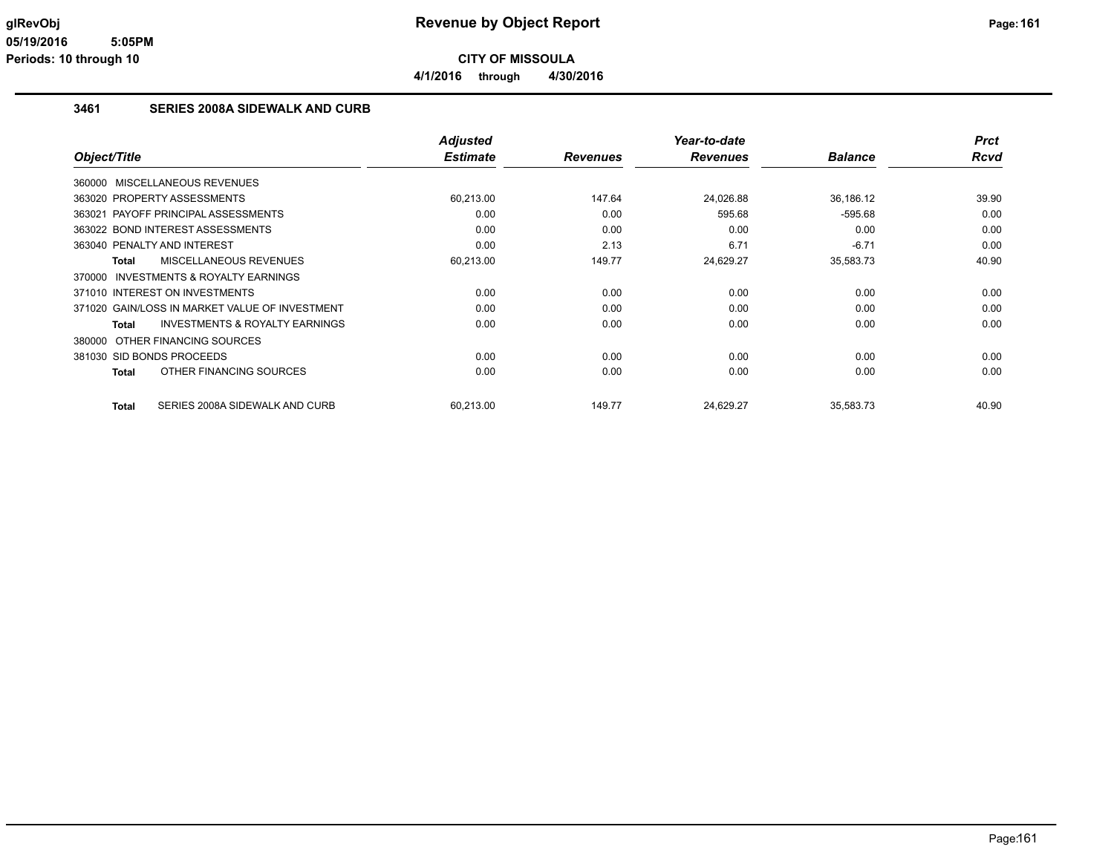**4/1/2016 through 4/30/2016**

#### **3461 SERIES 2008A SIDEWALK AND CURB**

| Object/Title                                       | <b>Adjusted</b><br><b>Estimate</b> | <b>Revenues</b> | Year-to-date<br><b>Revenues</b> | <b>Balance</b> | <b>Prct</b><br><b>Rcvd</b> |
|----------------------------------------------------|------------------------------------|-----------------|---------------------------------|----------------|----------------------------|
|                                                    |                                    |                 |                                 |                |                            |
| 360000 MISCELLANEOUS REVENUES                      |                                    |                 |                                 |                |                            |
| 363020 PROPERTY ASSESSMENTS                        | 60,213.00                          | 147.64          | 24,026.88                       | 36,186.12      | 39.90                      |
| 363021 PAYOFF PRINCIPAL ASSESSMENTS                | 0.00                               | 0.00            | 595.68                          | $-595.68$      | 0.00                       |
| 363022 BOND INTEREST ASSESSMENTS                   | 0.00                               | 0.00            | 0.00                            | 0.00           | 0.00                       |
| 363040 PENALTY AND INTEREST                        | 0.00                               | 2.13            | 6.71                            | $-6.71$        | 0.00                       |
| <b>MISCELLANEOUS REVENUES</b><br>Total             | 60,213.00                          | 149.77          | 24,629.27                       | 35,583.73      | 40.90                      |
| 370000 INVESTMENTS & ROYALTY EARNINGS              |                                    |                 |                                 |                |                            |
| 371010 INTEREST ON INVESTMENTS                     | 0.00                               | 0.00            | 0.00                            | 0.00           | 0.00                       |
| 371020 GAIN/LOSS IN MARKET VALUE OF INVESTMENT     | 0.00                               | 0.00            | 0.00                            | 0.00           | 0.00                       |
| <b>INVESTMENTS &amp; ROYALTY EARNINGS</b><br>Total | 0.00                               | 0.00            | 0.00                            | 0.00           | 0.00                       |
| OTHER FINANCING SOURCES<br>380000                  |                                    |                 |                                 |                |                            |
| 381030 SID BONDS PROCEEDS                          | 0.00                               | 0.00            | 0.00                            | 0.00           | 0.00                       |
| OTHER FINANCING SOURCES<br><b>Total</b>            | 0.00                               | 0.00            | 0.00                            | 0.00           | 0.00                       |
|                                                    |                                    |                 |                                 |                |                            |
| SERIES 2008A SIDEWALK AND CURB<br><b>Total</b>     | 60.213.00                          | 149.77          | 24.629.27                       | 35,583.73      | 40.90                      |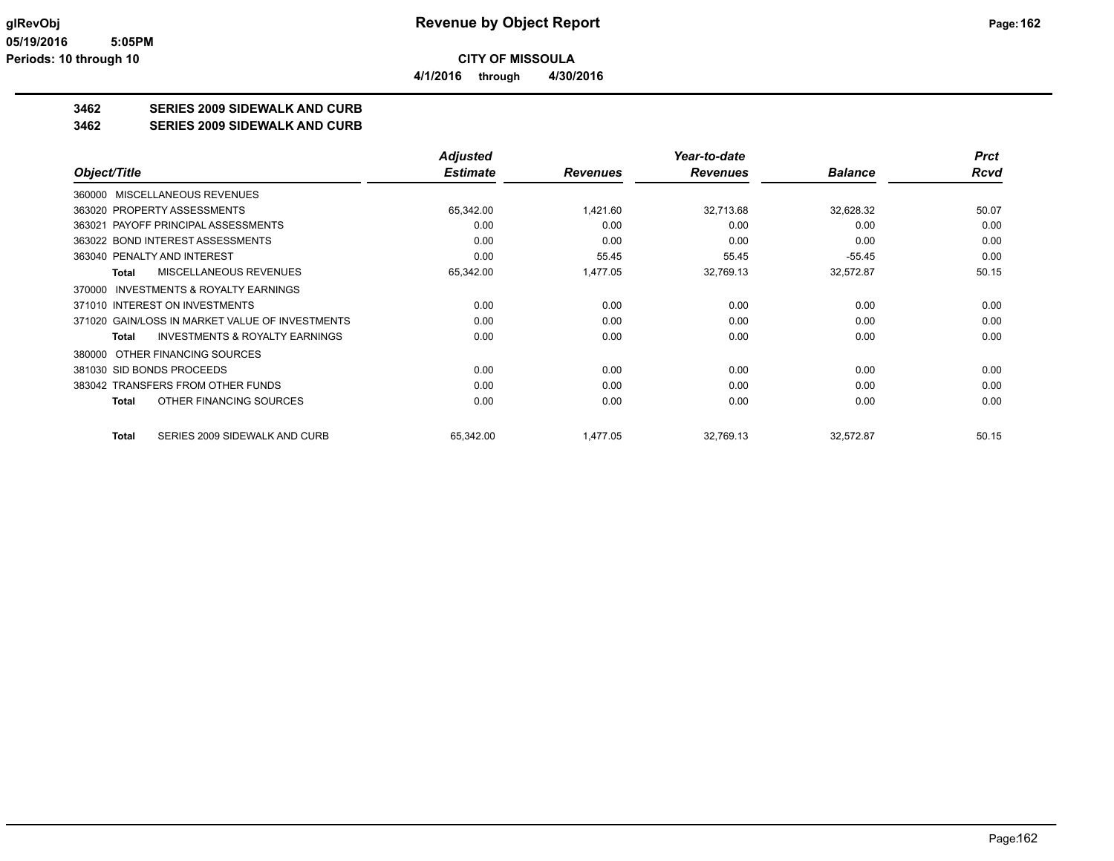**3462 SERIES 2009 SIDEWALK AND CURB**

**3462 SERIES 2009 SIDEWALK AND CURB**

|                                                     | <b>Adjusted</b> |                 | Year-to-date    |                | <b>Prct</b> |
|-----------------------------------------------------|-----------------|-----------------|-----------------|----------------|-------------|
| Object/Title                                        | <b>Estimate</b> | <b>Revenues</b> | <b>Revenues</b> | <b>Balance</b> | <b>Rcvd</b> |
| MISCELLANEOUS REVENUES<br>360000                    |                 |                 |                 |                |             |
| 363020 PROPERTY ASSESSMENTS                         | 65,342.00       | 1,421.60        | 32,713.68       | 32,628.32      | 50.07       |
| 363021 PAYOFF PRINCIPAL ASSESSMENTS                 | 0.00            | 0.00            | 0.00            | 0.00           | 0.00        |
| 363022 BOND INTEREST ASSESSMENTS                    | 0.00            | 0.00            | 0.00            | 0.00           | 0.00        |
| 363040 PENALTY AND INTEREST                         | 0.00            | 55.45           | 55.45           | $-55.45$       | 0.00        |
| MISCELLANEOUS REVENUES<br><b>Total</b>              | 65,342.00       | 1,477.05        | 32,769.13       | 32,572.87      | 50.15       |
| <b>INVESTMENTS &amp; ROYALTY EARNINGS</b><br>370000 |                 |                 |                 |                |             |
| 371010 INTEREST ON INVESTMENTS                      | 0.00            | 0.00            | 0.00            | 0.00           | 0.00        |
| 371020 GAIN/LOSS IN MARKET VALUE OF INVESTMENTS     | 0.00            | 0.00            | 0.00            | 0.00           | 0.00        |
| <b>INVESTMENTS &amp; ROYALTY EARNINGS</b><br>Total  | 0.00            | 0.00            | 0.00            | 0.00           | 0.00        |
| OTHER FINANCING SOURCES<br>380000                   |                 |                 |                 |                |             |
| 381030 SID BONDS PROCEEDS                           | 0.00            | 0.00            | 0.00            | 0.00           | 0.00        |
| 383042 TRANSFERS FROM OTHER FUNDS                   | 0.00            | 0.00            | 0.00            | 0.00           | 0.00        |
| OTHER FINANCING SOURCES<br><b>Total</b>             | 0.00            | 0.00            | 0.00            | 0.00           | 0.00        |
| SERIES 2009 SIDEWALK AND CURB<br><b>Total</b>       | 65,342.00       | 1,477.05        | 32,769.13       | 32,572.87      | 50.15       |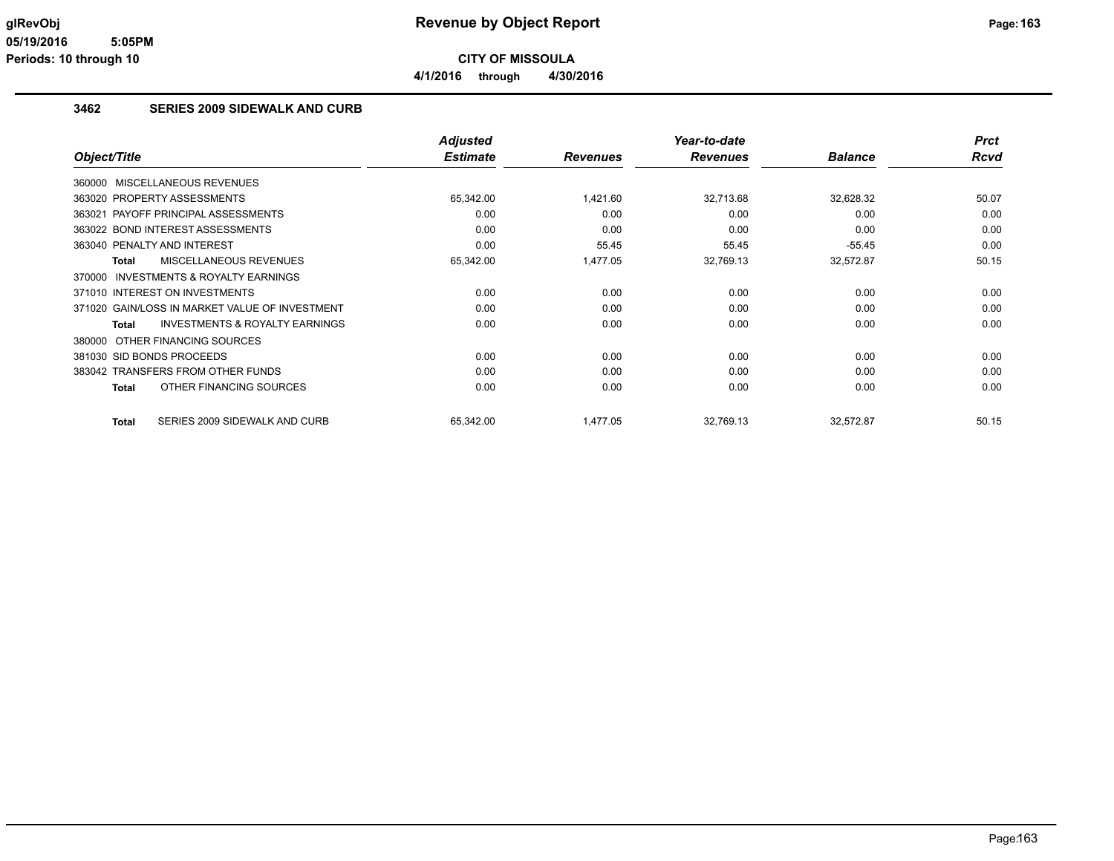**4/1/2016 through 4/30/2016**

#### **3462 SERIES 2009 SIDEWALK AND CURB**

|                                                           | <b>Adjusted</b> |                 | Year-to-date    |                | <b>Prct</b> |
|-----------------------------------------------------------|-----------------|-----------------|-----------------|----------------|-------------|
| Object/Title                                              | <b>Estimate</b> | <b>Revenues</b> | <b>Revenues</b> | <b>Balance</b> | <b>Rcvd</b> |
| 360000 MISCELLANEOUS REVENUES                             |                 |                 |                 |                |             |
| 363020 PROPERTY ASSESSMENTS                               | 65,342.00       | 1,421.60        | 32,713.68       | 32,628.32      | 50.07       |
| PAYOFF PRINCIPAL ASSESSMENTS<br>363021                    | 0.00            | 0.00            | 0.00            | 0.00           | 0.00        |
| 363022 BOND INTEREST ASSESSMENTS                          | 0.00            | 0.00            | 0.00            | 0.00           | 0.00        |
| 363040 PENALTY AND INTEREST                               | 0.00            | 55.45           | 55.45           | $-55.45$       | 0.00        |
| MISCELLANEOUS REVENUES<br><b>Total</b>                    | 65,342.00       | 1,477.05        | 32,769.13       | 32,572.87      | 50.15       |
| <b>INVESTMENTS &amp; ROYALTY EARNINGS</b><br>370000       |                 |                 |                 |                |             |
| 371010 INTEREST ON INVESTMENTS                            | 0.00            | 0.00            | 0.00            | 0.00           | 0.00        |
| 371020 GAIN/LOSS IN MARKET VALUE OF INVESTMENT            | 0.00            | 0.00            | 0.00            | 0.00           | 0.00        |
| <b>INVESTMENTS &amp; ROYALTY EARNINGS</b><br><b>Total</b> | 0.00            | 0.00            | 0.00            | 0.00           | 0.00        |
| OTHER FINANCING SOURCES<br>380000                         |                 |                 |                 |                |             |
| 381030 SID BONDS PROCEEDS                                 | 0.00            | 0.00            | 0.00            | 0.00           | 0.00        |
| 383042 TRANSFERS FROM OTHER FUNDS                         | 0.00            | 0.00            | 0.00            | 0.00           | 0.00        |
| OTHER FINANCING SOURCES<br><b>Total</b>                   | 0.00            | 0.00            | 0.00            | 0.00           | 0.00        |
| SERIES 2009 SIDEWALK AND CURB<br><b>Total</b>             | 65,342.00       | 1,477.05        | 32,769.13       | 32,572.87      | 50.15       |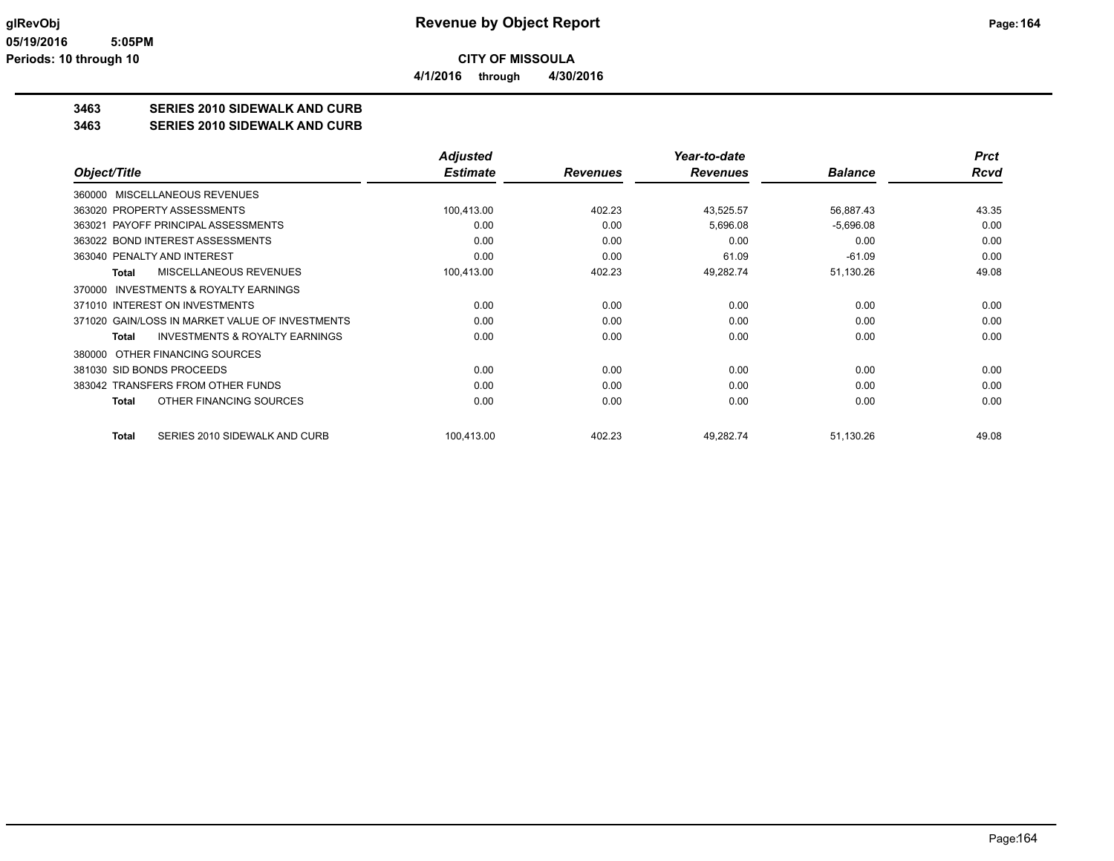**3463 SERIES 2010 SIDEWALK AND CURB**

**3463 SERIES 2010 SIDEWALK AND CURB**

|                                                    | <b>Adjusted</b> |                 | Year-to-date    |                | <b>Prct</b> |
|----------------------------------------------------|-----------------|-----------------|-----------------|----------------|-------------|
| Object/Title                                       | <b>Estimate</b> | <b>Revenues</b> | <b>Revenues</b> | <b>Balance</b> | <b>Rcvd</b> |
| MISCELLANEOUS REVENUES<br>360000                   |                 |                 |                 |                |             |
| 363020 PROPERTY ASSESSMENTS                        | 100,413.00      | 402.23          | 43,525.57       | 56,887.43      | 43.35       |
| 363021 PAYOFF PRINCIPAL ASSESSMENTS                | 0.00            | 0.00            | 5,696.08        | $-5,696.08$    | 0.00        |
| 363022 BOND INTEREST ASSESSMENTS                   | 0.00            | 0.00            | 0.00            | 0.00           | 0.00        |
| 363040 PENALTY AND INTEREST                        | 0.00            | 0.00            | 61.09           | $-61.09$       | 0.00        |
| MISCELLANEOUS REVENUES<br>Total                    | 100,413.00      | 402.23          | 49,282.74       | 51,130.26      | 49.08       |
| INVESTMENTS & ROYALTY EARNINGS<br>370000           |                 |                 |                 |                |             |
| 371010 INTEREST ON INVESTMENTS                     | 0.00            | 0.00            | 0.00            | 0.00           | 0.00        |
| 371020 GAIN/LOSS IN MARKET VALUE OF INVESTMENTS    | 0.00            | 0.00            | 0.00            | 0.00           | 0.00        |
| <b>INVESTMENTS &amp; ROYALTY EARNINGS</b><br>Total | 0.00            | 0.00            | 0.00            | 0.00           | 0.00        |
| OTHER FINANCING SOURCES<br>380000                  |                 |                 |                 |                |             |
| 381030 SID BONDS PROCEEDS                          | 0.00            | 0.00            | 0.00            | 0.00           | 0.00        |
| 383042 TRANSFERS FROM OTHER FUNDS                  | 0.00            | 0.00            | 0.00            | 0.00           | 0.00        |
| OTHER FINANCING SOURCES<br>Total                   | 0.00            | 0.00            | 0.00            | 0.00           | 0.00        |
| SERIES 2010 SIDEWALK AND CURB<br>Total             | 100,413.00      | 402.23          | 49,282.74       | 51,130.26      | 49.08       |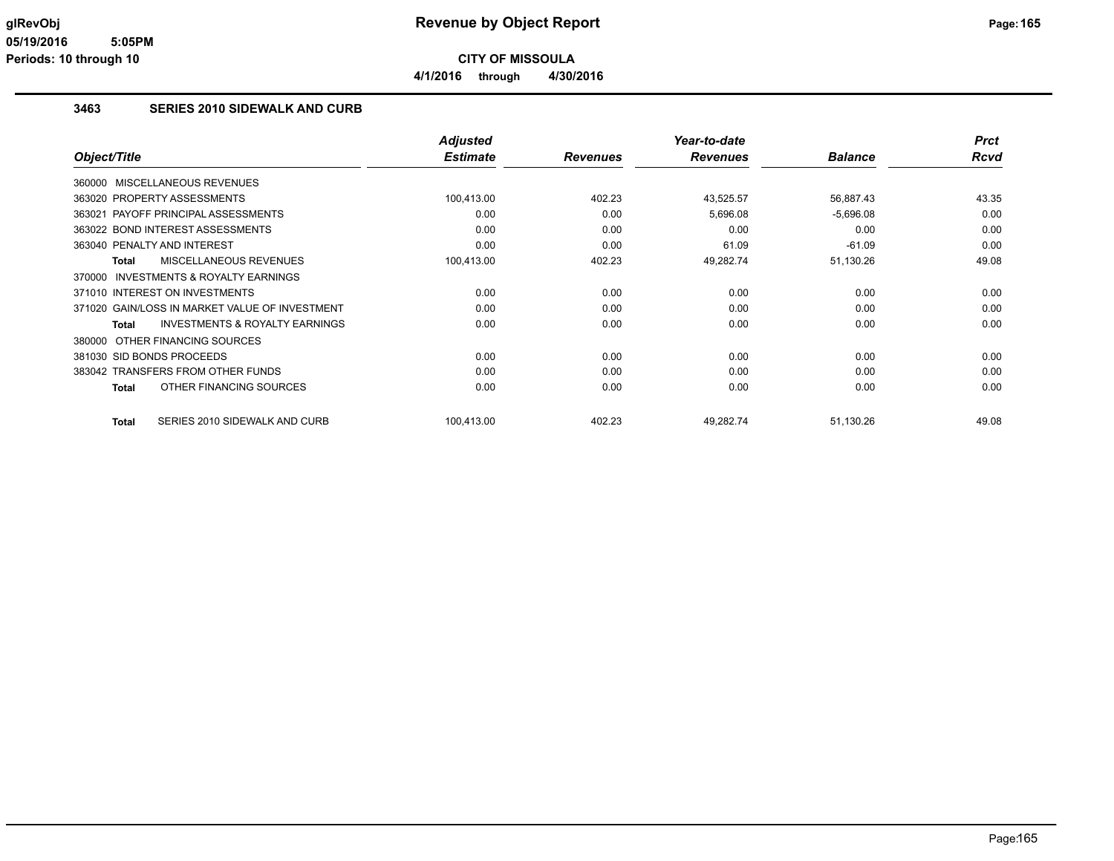**4/1/2016 through 4/30/2016**

#### **3463 SERIES 2010 SIDEWALK AND CURB**

|                                                           | <b>Adjusted</b> |                 | Year-to-date    |                | <b>Prct</b> |
|-----------------------------------------------------------|-----------------|-----------------|-----------------|----------------|-------------|
| Object/Title                                              | <b>Estimate</b> | <b>Revenues</b> | <b>Revenues</b> | <b>Balance</b> | <b>Rcvd</b> |
| 360000 MISCELLANEOUS REVENUES                             |                 |                 |                 |                |             |
| 363020 PROPERTY ASSESSMENTS                               | 100,413.00      | 402.23          | 43,525.57       | 56,887.43      | 43.35       |
| PAYOFF PRINCIPAL ASSESSMENTS<br>363021                    | 0.00            | 0.00            | 5,696.08        | $-5,696.08$    | 0.00        |
| 363022 BOND INTEREST ASSESSMENTS                          | 0.00            | 0.00            | 0.00            | 0.00           | 0.00        |
| 363040 PENALTY AND INTEREST                               | 0.00            | 0.00            | 61.09           | $-61.09$       | 0.00        |
| MISCELLANEOUS REVENUES<br><b>Total</b>                    | 100,413.00      | 402.23          | 49,282.74       | 51,130.26      | 49.08       |
| <b>INVESTMENTS &amp; ROYALTY EARNINGS</b><br>370000       |                 |                 |                 |                |             |
| 371010 INTEREST ON INVESTMENTS                            | 0.00            | 0.00            | 0.00            | 0.00           | 0.00        |
| 371020 GAIN/LOSS IN MARKET VALUE OF INVESTMENT            | 0.00            | 0.00            | 0.00            | 0.00           | 0.00        |
| <b>INVESTMENTS &amp; ROYALTY EARNINGS</b><br><b>Total</b> | 0.00            | 0.00            | 0.00            | 0.00           | 0.00        |
| OTHER FINANCING SOURCES<br>380000                         |                 |                 |                 |                |             |
| 381030 SID BONDS PROCEEDS                                 | 0.00            | 0.00            | 0.00            | 0.00           | 0.00        |
| 383042 TRANSFERS FROM OTHER FUNDS                         | 0.00            | 0.00            | 0.00            | 0.00           | 0.00        |
| OTHER FINANCING SOURCES<br><b>Total</b>                   | 0.00            | 0.00            | 0.00            | 0.00           | 0.00        |
| SERIES 2010 SIDEWALK AND CURB<br><b>Total</b>             | 100,413.00      | 402.23          | 49,282.74       | 51,130.26      | 49.08       |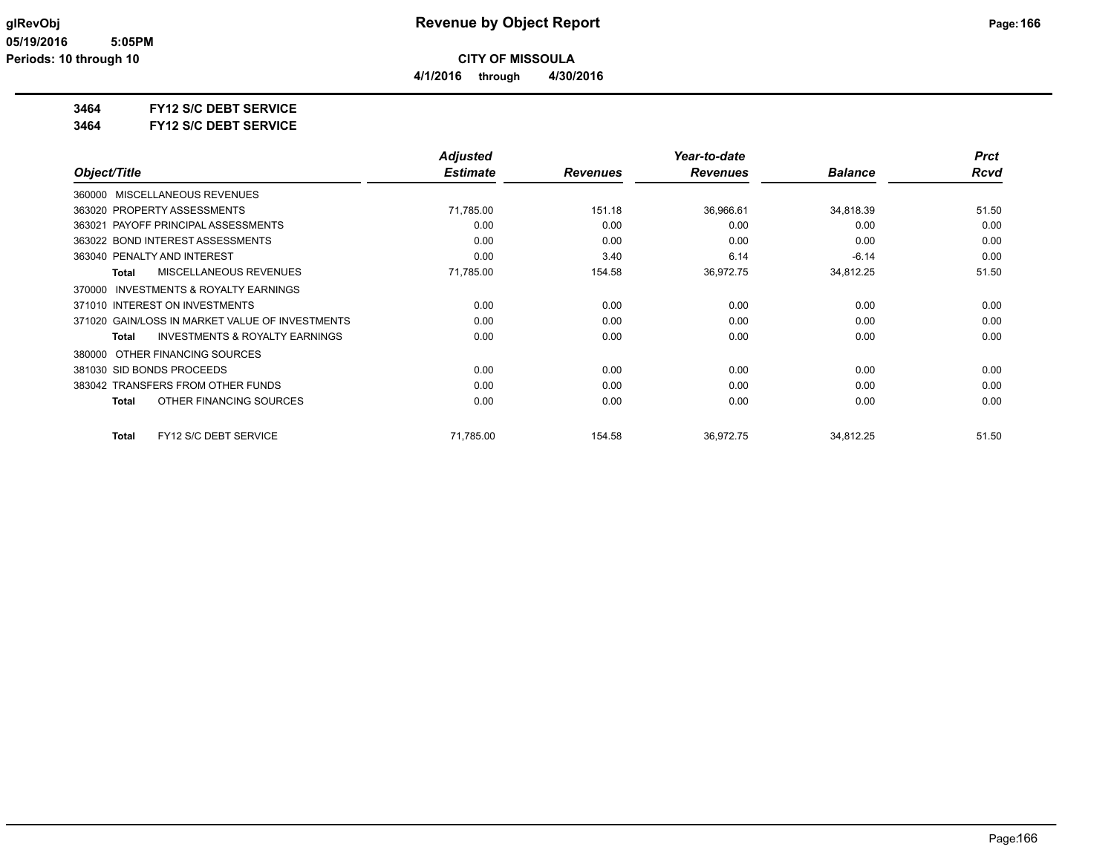**4/1/2016 through 4/30/2016**

# **3464 FY12 S/C DEBT SERVICE**

**3464 FY12 S/C DEBT SERVICE**

|                                                           | <b>Adjusted</b> |                 | Year-to-date    |                | <b>Prct</b> |
|-----------------------------------------------------------|-----------------|-----------------|-----------------|----------------|-------------|
| Object/Title                                              | <b>Estimate</b> | <b>Revenues</b> | <b>Revenues</b> | <b>Balance</b> | Rcvd        |
| MISCELLANEOUS REVENUES<br>360000                          |                 |                 |                 |                |             |
| 363020 PROPERTY ASSESSMENTS                               | 71,785.00       | 151.18          | 36,966.61       | 34,818.39      | 51.50       |
| 363021 PAYOFF PRINCIPAL ASSESSMENTS                       | 0.00            | 0.00            | 0.00            | 0.00           | 0.00        |
| 363022 BOND INTEREST ASSESSMENTS                          | 0.00            | 0.00            | 0.00            | 0.00           | 0.00        |
| 363040 PENALTY AND INTEREST                               | 0.00            | 3.40            | 6.14            | $-6.14$        | 0.00        |
| <b>MISCELLANEOUS REVENUES</b><br>Total                    | 71,785.00       | 154.58          | 36,972.75       | 34,812.25      | 51.50       |
| <b>INVESTMENTS &amp; ROYALTY EARNINGS</b><br>370000       |                 |                 |                 |                |             |
| 371010 INTEREST ON INVESTMENTS                            | 0.00            | 0.00            | 0.00            | 0.00           | 0.00        |
| 371020 GAIN/LOSS IN MARKET VALUE OF INVESTMENTS           | 0.00            | 0.00            | 0.00            | 0.00           | 0.00        |
| <b>INVESTMENTS &amp; ROYALTY EARNINGS</b><br><b>Total</b> | 0.00            | 0.00            | 0.00            | 0.00           | 0.00        |
| OTHER FINANCING SOURCES<br>380000                         |                 |                 |                 |                |             |
| 381030 SID BONDS PROCEEDS                                 | 0.00            | 0.00            | 0.00            | 0.00           | 0.00        |
| 383042 TRANSFERS FROM OTHER FUNDS                         | 0.00            | 0.00            | 0.00            | 0.00           | 0.00        |
| OTHER FINANCING SOURCES<br><b>Total</b>                   | 0.00            | 0.00            | 0.00            | 0.00           | 0.00        |
| FY12 S/C DEBT SERVICE<br><b>Total</b>                     | 71,785.00       | 154.58          | 36,972.75       | 34,812.25      | 51.50       |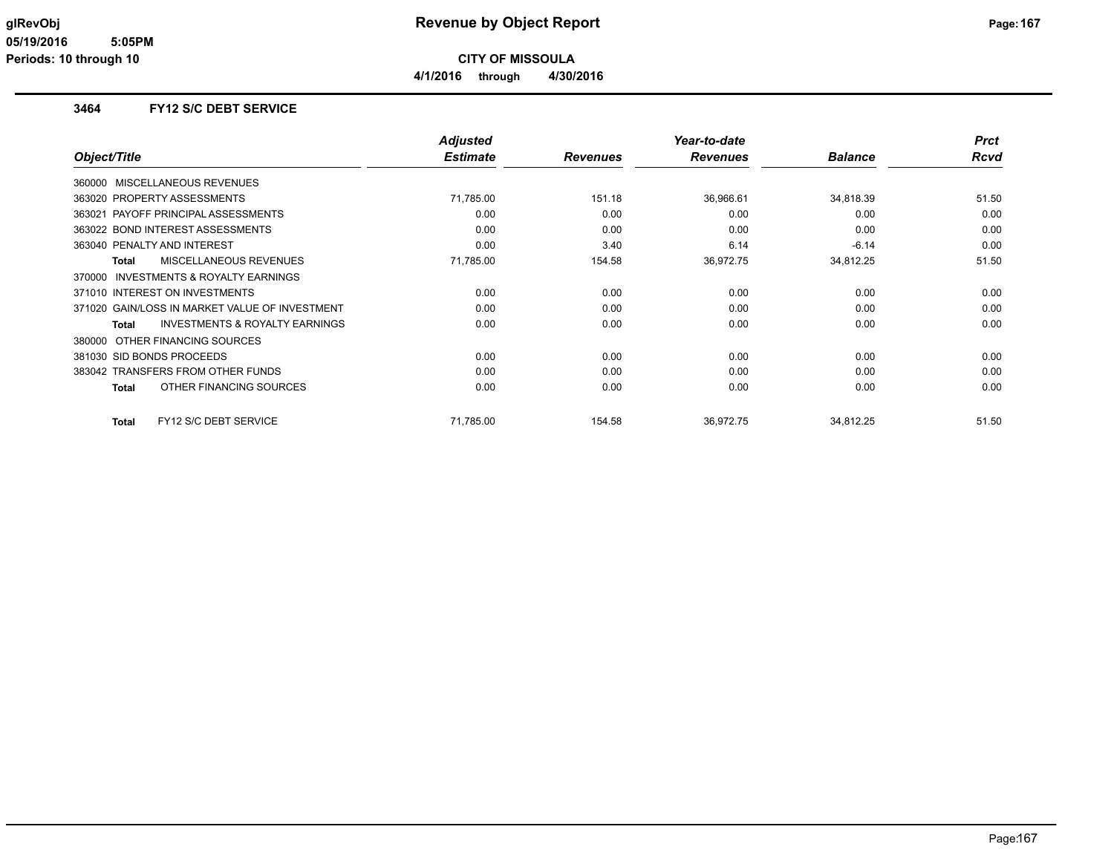#### **3464 FY12 S/C DEBT SERVICE**

|                                                           | <b>Adjusted</b> |                 | Year-to-date    |                | <b>Prct</b> |
|-----------------------------------------------------------|-----------------|-----------------|-----------------|----------------|-------------|
| Object/Title                                              | <b>Estimate</b> | <b>Revenues</b> | <b>Revenues</b> | <b>Balance</b> | <b>Rcvd</b> |
| 360000 MISCELLANEOUS REVENUES                             |                 |                 |                 |                |             |
| 363020 PROPERTY ASSESSMENTS                               | 71,785.00       | 151.18          | 36,966.61       | 34,818.39      | 51.50       |
| 363021 PAYOFF PRINCIPAL ASSESSMENTS                       | 0.00            | 0.00            | 0.00            | 0.00           | 0.00        |
| 363022 BOND INTEREST ASSESSMENTS                          | 0.00            | 0.00            | 0.00            | 0.00           | 0.00        |
| 363040 PENALTY AND INTEREST                               | 0.00            | 3.40            | 6.14            | $-6.14$        | 0.00        |
| <b>MISCELLANEOUS REVENUES</b><br><b>Total</b>             | 71,785.00       | 154.58          | 36,972.75       | 34,812.25      | 51.50       |
| 370000 INVESTMENTS & ROYALTY EARNINGS                     |                 |                 |                 |                |             |
| 371010 INTEREST ON INVESTMENTS                            | 0.00            | 0.00            | 0.00            | 0.00           | 0.00        |
| 371020 GAIN/LOSS IN MARKET VALUE OF INVESTMENT            | 0.00            | 0.00            | 0.00            | 0.00           | 0.00        |
| <b>INVESTMENTS &amp; ROYALTY EARNINGS</b><br><b>Total</b> | 0.00            | 0.00            | 0.00            | 0.00           | 0.00        |
| OTHER FINANCING SOURCES<br>380000                         |                 |                 |                 |                |             |
| 381030 SID BONDS PROCEEDS                                 | 0.00            | 0.00            | 0.00            | 0.00           | 0.00        |
| 383042 TRANSFERS FROM OTHER FUNDS                         | 0.00            | 0.00            | 0.00            | 0.00           | 0.00        |
| OTHER FINANCING SOURCES<br><b>Total</b>                   | 0.00            | 0.00            | 0.00            | 0.00           | 0.00        |
| FY12 S/C DEBT SERVICE<br><b>Total</b>                     | 71,785.00       | 154.58          | 36.972.75       | 34,812.25      | 51.50       |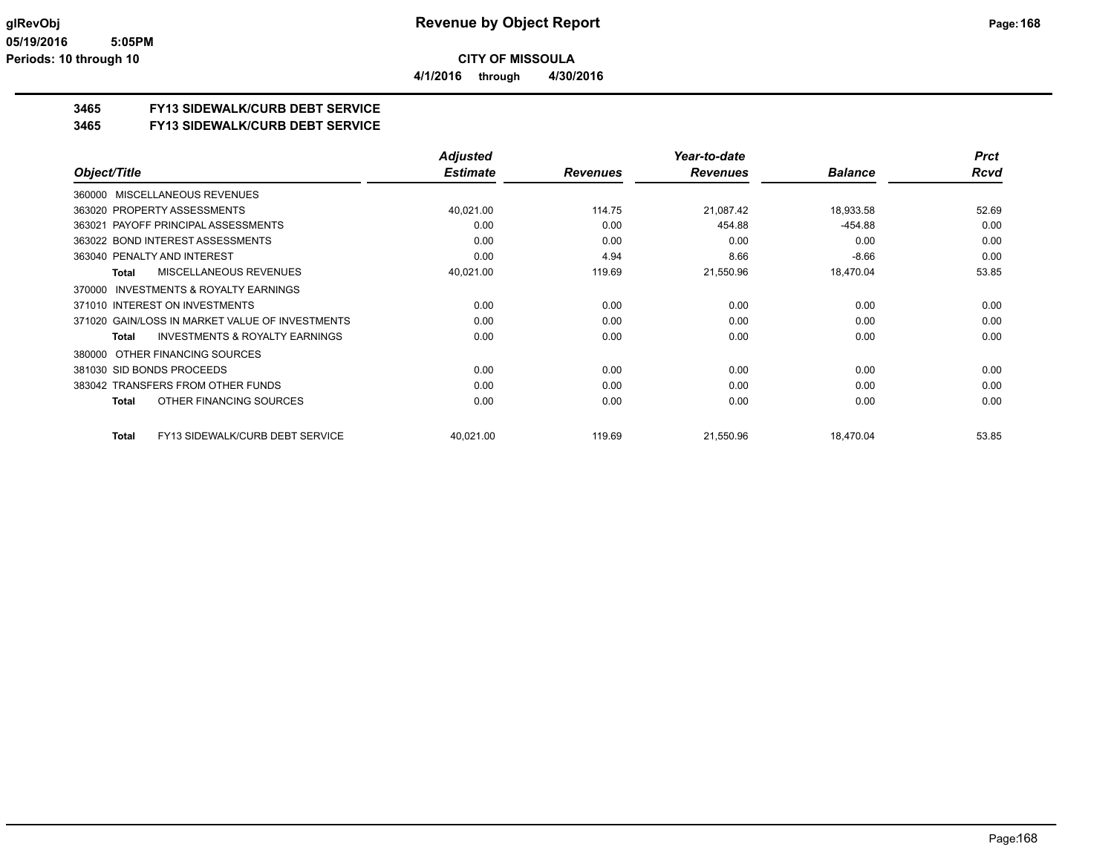# **3465 FY13 SIDEWALK/CURB DEBT SERVICE**

# **3465 FY13 SIDEWALK/CURB DEBT SERVICE**

|                                                     | <b>Adjusted</b> |                 | Year-to-date    |                | <b>Prct</b> |
|-----------------------------------------------------|-----------------|-----------------|-----------------|----------------|-------------|
| Object/Title                                        | <b>Estimate</b> | <b>Revenues</b> | <b>Revenues</b> | <b>Balance</b> | <b>Rcvd</b> |
| <b>MISCELLANEOUS REVENUES</b><br>360000             |                 |                 |                 |                |             |
| 363020 PROPERTY ASSESSMENTS                         | 40,021.00       | 114.75          | 21.087.42       | 18,933.58      | 52.69       |
| PAYOFF PRINCIPAL ASSESSMENTS<br>363021              | 0.00            | 0.00            | 454.88          | $-454.88$      | 0.00        |
| 363022 BOND INTEREST ASSESSMENTS                    | 0.00            | 0.00            | 0.00            | 0.00           | 0.00        |
| 363040 PENALTY AND INTEREST                         | 0.00            | 4.94            | 8.66            | $-8.66$        | 0.00        |
| MISCELLANEOUS REVENUES<br>Total                     | 40,021.00       | 119.69          | 21,550.96       | 18,470.04      | 53.85       |
| <b>INVESTMENTS &amp; ROYALTY EARNINGS</b><br>370000 |                 |                 |                 |                |             |
| 371010 INTEREST ON INVESTMENTS                      | 0.00            | 0.00            | 0.00            | 0.00           | 0.00        |
| 371020 GAIN/LOSS IN MARKET VALUE OF INVESTMENTS     | 0.00            | 0.00            | 0.00            | 0.00           | 0.00        |
| <b>INVESTMENTS &amp; ROYALTY EARNINGS</b><br>Total  | 0.00            | 0.00            | 0.00            | 0.00           | 0.00        |
| OTHER FINANCING SOURCES<br>380000                   |                 |                 |                 |                |             |
| 381030 SID BONDS PROCEEDS                           | 0.00            | 0.00            | 0.00            | 0.00           | 0.00        |
| 383042 TRANSFERS FROM OTHER FUNDS                   | 0.00            | 0.00            | 0.00            | 0.00           | 0.00        |
| OTHER FINANCING SOURCES<br>Total                    | 0.00            | 0.00            | 0.00            | 0.00           | 0.00        |
| FY13 SIDEWALK/CURB DEBT SERVICE<br>Total            | 40,021.00       | 119.69          | 21,550.96       | 18,470.04      | 53.85       |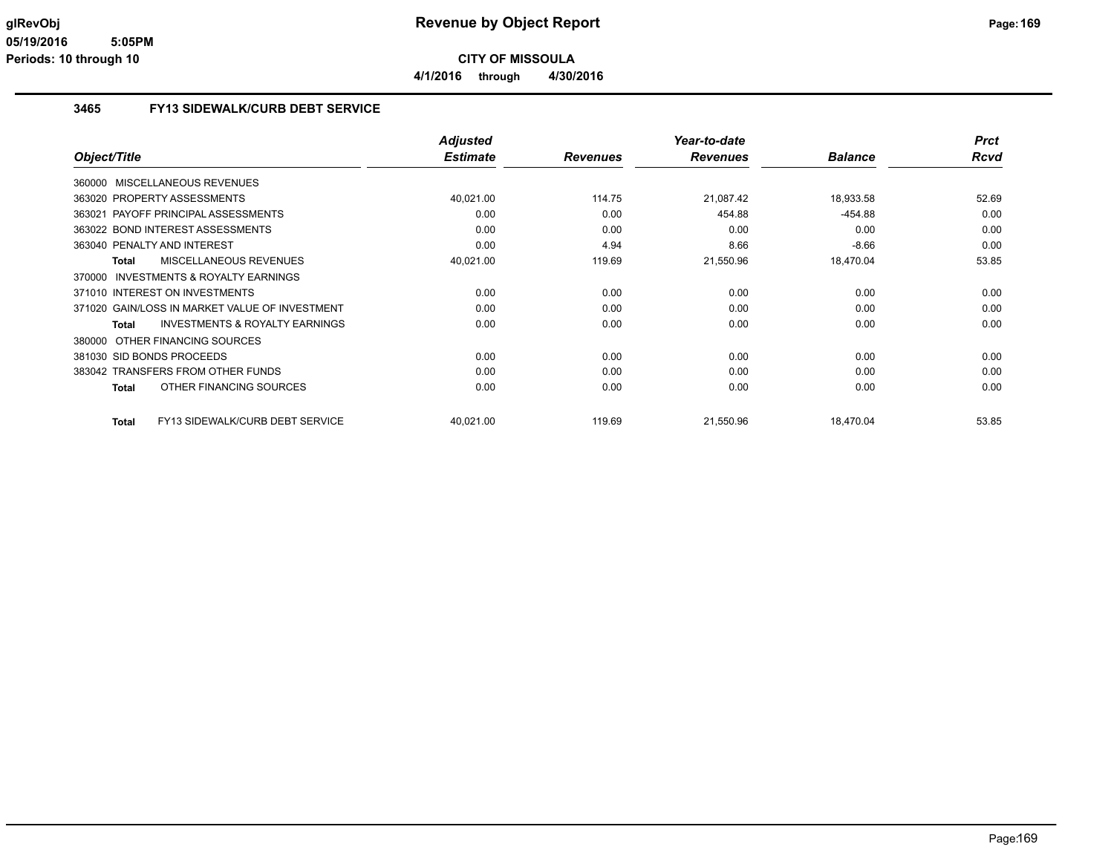**4/1/2016 through 4/30/2016**

#### **3465 FY13 SIDEWALK/CURB DEBT SERVICE**

|                                                           | <b>Adjusted</b> |                 | Year-to-date    |                | <b>Prct</b> |
|-----------------------------------------------------------|-----------------|-----------------|-----------------|----------------|-------------|
| Object/Title                                              | <b>Estimate</b> | <b>Revenues</b> | <b>Revenues</b> | <b>Balance</b> | <b>Rcvd</b> |
| 360000 MISCELLANEOUS REVENUES                             |                 |                 |                 |                |             |
| 363020 PROPERTY ASSESSMENTS                               | 40,021.00       | 114.75          | 21,087.42       | 18,933.58      | 52.69       |
| PAYOFF PRINCIPAL ASSESSMENTS<br>363021                    | 0.00            | 0.00            | 454.88          | $-454.88$      | 0.00        |
| 363022 BOND INTEREST ASSESSMENTS                          | 0.00            | 0.00            | 0.00            | 0.00           | 0.00        |
| 363040 PENALTY AND INTEREST                               | 0.00            | 4.94            | 8.66            | $-8.66$        | 0.00        |
| MISCELLANEOUS REVENUES<br><b>Total</b>                    | 40,021.00       | 119.69          | 21,550.96       | 18,470.04      | 53.85       |
| INVESTMENTS & ROYALTY EARNINGS<br>370000                  |                 |                 |                 |                |             |
| 371010 INTEREST ON INVESTMENTS                            | 0.00            | 0.00            | 0.00            | 0.00           | 0.00        |
| 371020 GAIN/LOSS IN MARKET VALUE OF INVESTMENT            | 0.00            | 0.00            | 0.00            | 0.00           | 0.00        |
| <b>INVESTMENTS &amp; ROYALTY EARNINGS</b><br><b>Total</b> | 0.00            | 0.00            | 0.00            | 0.00           | 0.00        |
| OTHER FINANCING SOURCES<br>380000                         |                 |                 |                 |                |             |
| 381030 SID BONDS PROCEEDS                                 | 0.00            | 0.00            | 0.00            | 0.00           | 0.00        |
| 383042 TRANSFERS FROM OTHER FUNDS                         | 0.00            | 0.00            | 0.00            | 0.00           | 0.00        |
| OTHER FINANCING SOURCES<br><b>Total</b>                   | 0.00            | 0.00            | 0.00            | 0.00           | 0.00        |
| <b>FY13 SIDEWALK/CURB DEBT SERVICE</b><br><b>Total</b>    | 40,021.00       | 119.69          | 21,550.96       | 18.470.04      | 53.85       |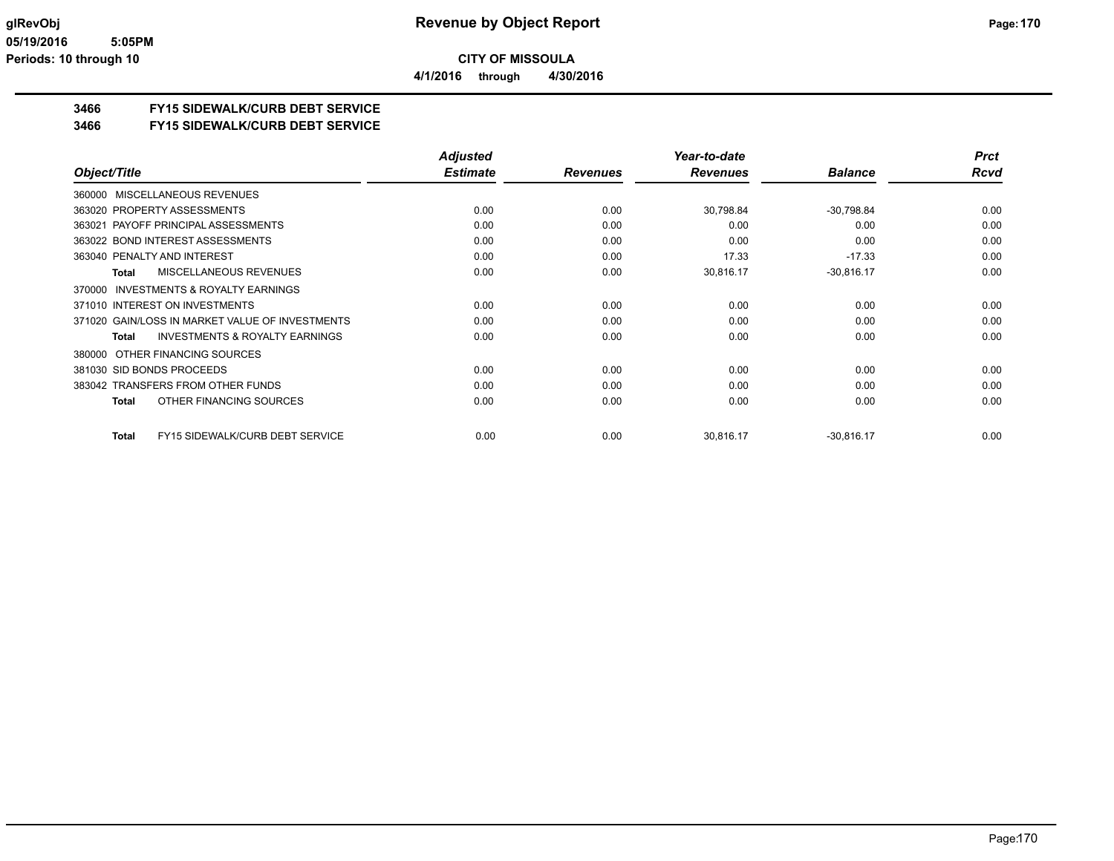**4/1/2016 through 4/30/2016**

# **3466 FY15 SIDEWALK/CURB DEBT SERVICE**

#### **3466 FY15 SIDEWALK/CURB DEBT SERVICE**

|                                                        | <b>Adjusted</b> |                 | Year-to-date    |                | <b>Prct</b> |
|--------------------------------------------------------|-----------------|-----------------|-----------------|----------------|-------------|
| Object/Title                                           | <b>Estimate</b> | <b>Revenues</b> | <b>Revenues</b> | <b>Balance</b> | Rcvd        |
| <b>MISCELLANEOUS REVENUES</b><br>360000                |                 |                 |                 |                |             |
| 363020 PROPERTY ASSESSMENTS                            | 0.00            | 0.00            | 30,798.84       | $-30,798.84$   | 0.00        |
| 363021 PAYOFF PRINCIPAL ASSESSMENTS                    | 0.00            | 0.00            | 0.00            | 0.00           | 0.00        |
| 363022 BOND INTEREST ASSESSMENTS                       | 0.00            | 0.00            | 0.00            | 0.00           | 0.00        |
| 363040 PENALTY AND INTEREST                            | 0.00            | 0.00            | 17.33           | $-17.33$       | 0.00        |
| MISCELLANEOUS REVENUES<br><b>Total</b>                 | 0.00            | 0.00            | 30,816.17       | $-30,816.17$   | 0.00        |
| <b>INVESTMENTS &amp; ROYALTY EARNINGS</b><br>370000    |                 |                 |                 |                |             |
| 371010 INTEREST ON INVESTMENTS                         | 0.00            | 0.00            | 0.00            | 0.00           | 0.00        |
| 371020 GAIN/LOSS IN MARKET VALUE OF INVESTMENTS        | 0.00            | 0.00            | 0.00            | 0.00           | 0.00        |
| <b>INVESTMENTS &amp; ROYALTY EARNINGS</b><br>Total     | 0.00            | 0.00            | 0.00            | 0.00           | 0.00        |
| OTHER FINANCING SOURCES<br>380000                      |                 |                 |                 |                |             |
| 381030 SID BONDS PROCEEDS                              | 0.00            | 0.00            | 0.00            | 0.00           | 0.00        |
| 383042 TRANSFERS FROM OTHER FUNDS                      | 0.00            | 0.00            | 0.00            | 0.00           | 0.00        |
| OTHER FINANCING SOURCES<br><b>Total</b>                | 0.00            | 0.00            | 0.00            | 0.00           | 0.00        |
| <b>FY15 SIDEWALK/CURB DEBT SERVICE</b><br><b>Total</b> | 0.00            | 0.00            | 30,816.17       | $-30,816.17$   | 0.00        |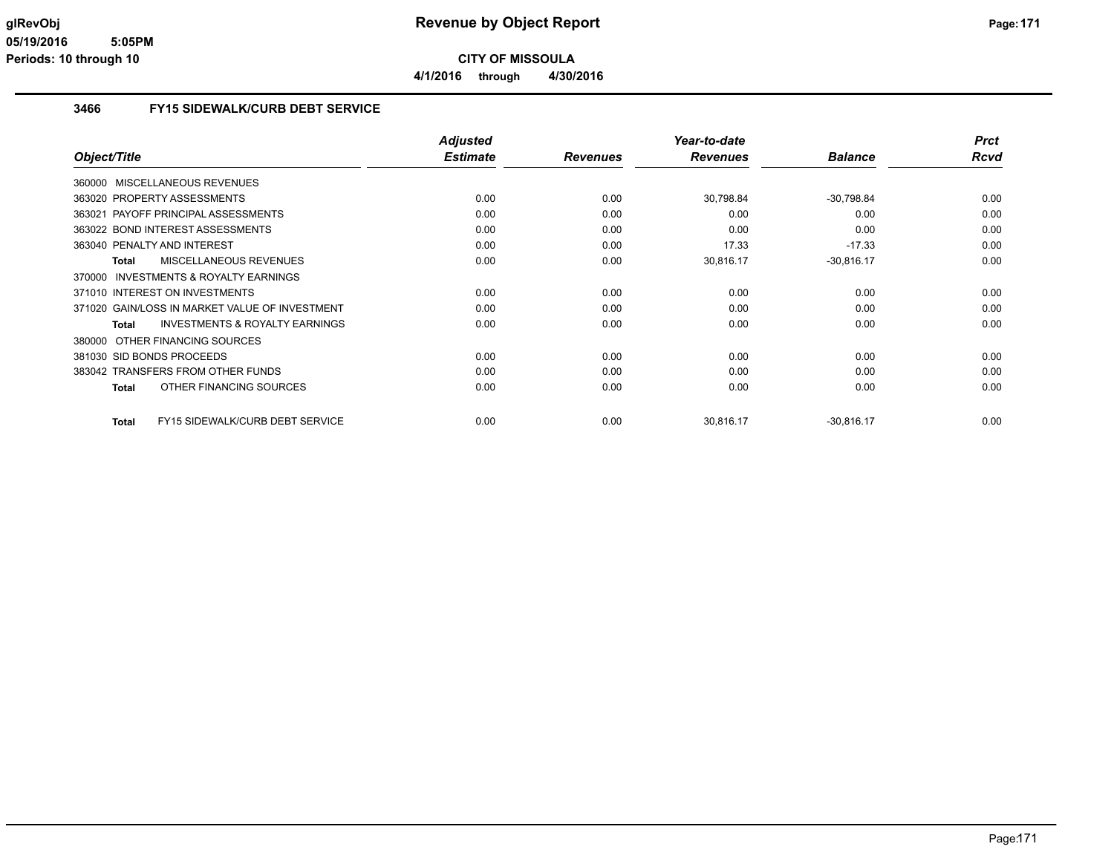**4/1/2016 through 4/30/2016**

#### **3466 FY15 SIDEWALK/CURB DEBT SERVICE**

|                                                           | <b>Adjusted</b> |                 | Year-to-date    |                | <b>Prct</b> |
|-----------------------------------------------------------|-----------------|-----------------|-----------------|----------------|-------------|
| Object/Title                                              | <b>Estimate</b> | <b>Revenues</b> | <b>Revenues</b> | <b>Balance</b> | <b>Rcvd</b> |
| 360000 MISCELLANEOUS REVENUES                             |                 |                 |                 |                |             |
| 363020 PROPERTY ASSESSMENTS                               | 0.00            | 0.00            | 30,798.84       | $-30,798.84$   | 0.00        |
| PAYOFF PRINCIPAL ASSESSMENTS<br>363021                    | 0.00            | 0.00            | 0.00            | 0.00           | 0.00        |
| 363022 BOND INTEREST ASSESSMENTS                          | 0.00            | 0.00            | 0.00            | 0.00           | 0.00        |
| 363040 PENALTY AND INTEREST                               | 0.00            | 0.00            | 17.33           | $-17.33$       | 0.00        |
| MISCELLANEOUS REVENUES<br><b>Total</b>                    | 0.00            | 0.00            | 30,816.17       | $-30,816.17$   | 0.00        |
| INVESTMENTS & ROYALTY EARNINGS<br>370000                  |                 |                 |                 |                |             |
| 371010 INTEREST ON INVESTMENTS                            | 0.00            | 0.00            | 0.00            | 0.00           | 0.00        |
| 371020 GAIN/LOSS IN MARKET VALUE OF INVESTMENT            | 0.00            | 0.00            | 0.00            | 0.00           | 0.00        |
| <b>INVESTMENTS &amp; ROYALTY EARNINGS</b><br><b>Total</b> | 0.00            | 0.00            | 0.00            | 0.00           | 0.00        |
| OTHER FINANCING SOURCES<br>380000                         |                 |                 |                 |                |             |
| 381030 SID BONDS PROCEEDS                                 | 0.00            | 0.00            | 0.00            | 0.00           | 0.00        |
| 383042 TRANSFERS FROM OTHER FUNDS                         | 0.00            | 0.00            | 0.00            | 0.00           | 0.00        |
| OTHER FINANCING SOURCES<br><b>Total</b>                   | 0.00            | 0.00            | 0.00            | 0.00           | 0.00        |
| <b>FY15 SIDEWALK/CURB DEBT SERVICE</b><br><b>Total</b>    | 0.00            | 0.00            | 30.816.17       | $-30,816.17$   | 0.00        |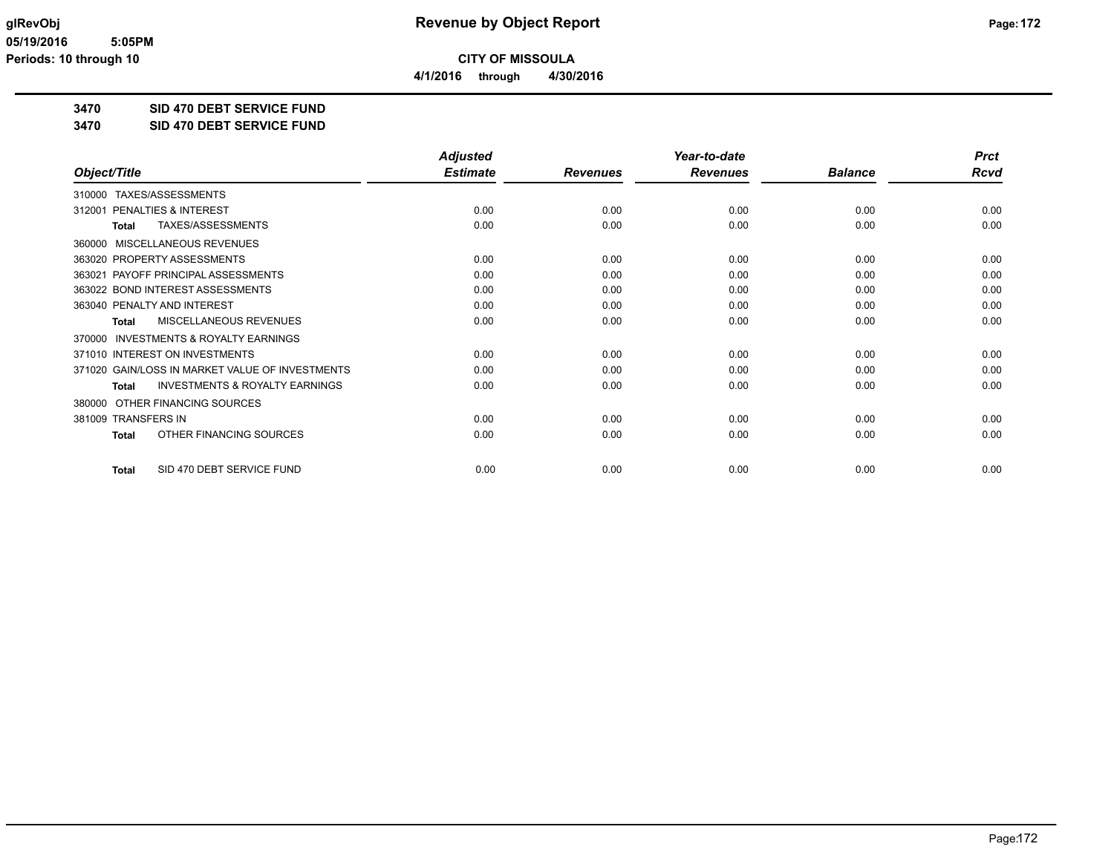**4/1/2016 through 4/30/2016**

**3470 SID 470 DEBT SERVICE FUND**

**3470 SID 470 DEBT SERVICE FUND**

|                                                           | <b>Adjusted</b> |                 | Year-to-date    |                | <b>Prct</b> |
|-----------------------------------------------------------|-----------------|-----------------|-----------------|----------------|-------------|
| Object/Title                                              | <b>Estimate</b> | <b>Revenues</b> | <b>Revenues</b> | <b>Balance</b> | <b>Rcvd</b> |
| TAXES/ASSESSMENTS<br>310000                               |                 |                 |                 |                |             |
| PENALTIES & INTEREST<br>312001                            | 0.00            | 0.00            | 0.00            | 0.00           | 0.00        |
| TAXES/ASSESSMENTS<br><b>Total</b>                         | 0.00            | 0.00            | 0.00            | 0.00           | 0.00        |
| MISCELLANEOUS REVENUES<br>360000                          |                 |                 |                 |                |             |
| 363020 PROPERTY ASSESSMENTS                               | 0.00            | 0.00            | 0.00            | 0.00           | 0.00        |
| PAYOFF PRINCIPAL ASSESSMENTS<br>363021                    | 0.00            | 0.00            | 0.00            | 0.00           | 0.00        |
| 363022 BOND INTEREST ASSESSMENTS                          | 0.00            | 0.00            | 0.00            | 0.00           | 0.00        |
| 363040 PENALTY AND INTEREST                               | 0.00            | 0.00            | 0.00            | 0.00           | 0.00        |
| MISCELLANEOUS REVENUES<br><b>Total</b>                    | 0.00            | 0.00            | 0.00            | 0.00           | 0.00        |
| <b>INVESTMENTS &amp; ROYALTY EARNINGS</b><br>370000       |                 |                 |                 |                |             |
| 371010 INTEREST ON INVESTMENTS                            | 0.00            | 0.00            | 0.00            | 0.00           | 0.00        |
| 371020 GAIN/LOSS IN MARKET VALUE OF INVESTMENTS           | 0.00            | 0.00            | 0.00            | 0.00           | 0.00        |
| <b>INVESTMENTS &amp; ROYALTY EARNINGS</b><br><b>Total</b> | 0.00            | 0.00            | 0.00            | 0.00           | 0.00        |
| OTHER FINANCING SOURCES<br>380000                         |                 |                 |                 |                |             |
| 381009 TRANSFERS IN                                       | 0.00            | 0.00            | 0.00            | 0.00           | 0.00        |
| OTHER FINANCING SOURCES<br><b>Total</b>                   | 0.00            | 0.00            | 0.00            | 0.00           | 0.00        |
| SID 470 DEBT SERVICE FUND<br><b>Total</b>                 | 0.00            | 0.00            | 0.00            | 0.00           | 0.00        |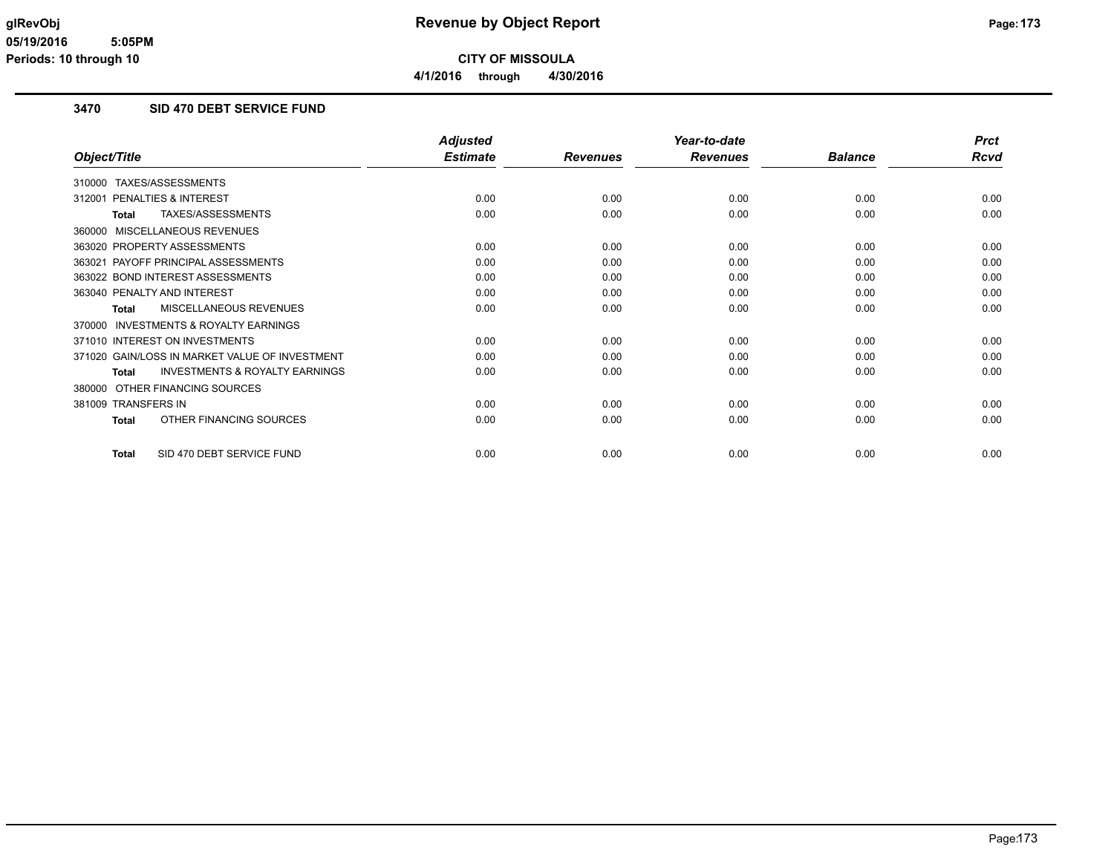**4/1/2016 through 4/30/2016**

### **3470 SID 470 DEBT SERVICE FUND**

|                                                           | <b>Adjusted</b> |                 | Year-to-date    |                | <b>Prct</b> |
|-----------------------------------------------------------|-----------------|-----------------|-----------------|----------------|-------------|
| Object/Title                                              | <b>Estimate</b> | <b>Revenues</b> | <b>Revenues</b> | <b>Balance</b> | <b>Rcvd</b> |
| TAXES/ASSESSMENTS<br>310000                               |                 |                 |                 |                |             |
| 312001 PENALTIES & INTEREST                               | 0.00            | 0.00            | 0.00            | 0.00           | 0.00        |
| TAXES/ASSESSMENTS<br><b>Total</b>                         | 0.00            | 0.00            | 0.00            | 0.00           | 0.00        |
| MISCELLANEOUS REVENUES<br>360000                          |                 |                 |                 |                |             |
| 363020 PROPERTY ASSESSMENTS                               | 0.00            | 0.00            | 0.00            | 0.00           | 0.00        |
| 363021 PAYOFF PRINCIPAL ASSESSMENTS                       | 0.00            | 0.00            | 0.00            | 0.00           | 0.00        |
| 363022 BOND INTEREST ASSESSMENTS                          | 0.00            | 0.00            | 0.00            | 0.00           | 0.00        |
| 363040 PENALTY AND INTEREST                               | 0.00            | 0.00            | 0.00            | 0.00           | 0.00        |
| <b>MISCELLANEOUS REVENUES</b><br><b>Total</b>             | 0.00            | 0.00            | 0.00            | 0.00           | 0.00        |
| 370000 INVESTMENTS & ROYALTY EARNINGS                     |                 |                 |                 |                |             |
| 371010 INTEREST ON INVESTMENTS                            | 0.00            | 0.00            | 0.00            | 0.00           | 0.00        |
| 371020 GAIN/LOSS IN MARKET VALUE OF INVESTMENT            | 0.00            | 0.00            | 0.00            | 0.00           | 0.00        |
| <b>INVESTMENTS &amp; ROYALTY EARNINGS</b><br><b>Total</b> | 0.00            | 0.00            | 0.00            | 0.00           | 0.00        |
| OTHER FINANCING SOURCES<br>380000                         |                 |                 |                 |                |             |
| 381009 TRANSFERS IN                                       | 0.00            | 0.00            | 0.00            | 0.00           | 0.00        |
| OTHER FINANCING SOURCES<br><b>Total</b>                   | 0.00            | 0.00            | 0.00            | 0.00           | 0.00        |
| SID 470 DEBT SERVICE FUND<br><b>Total</b>                 | 0.00            | 0.00            | 0.00            | 0.00           | 0.00        |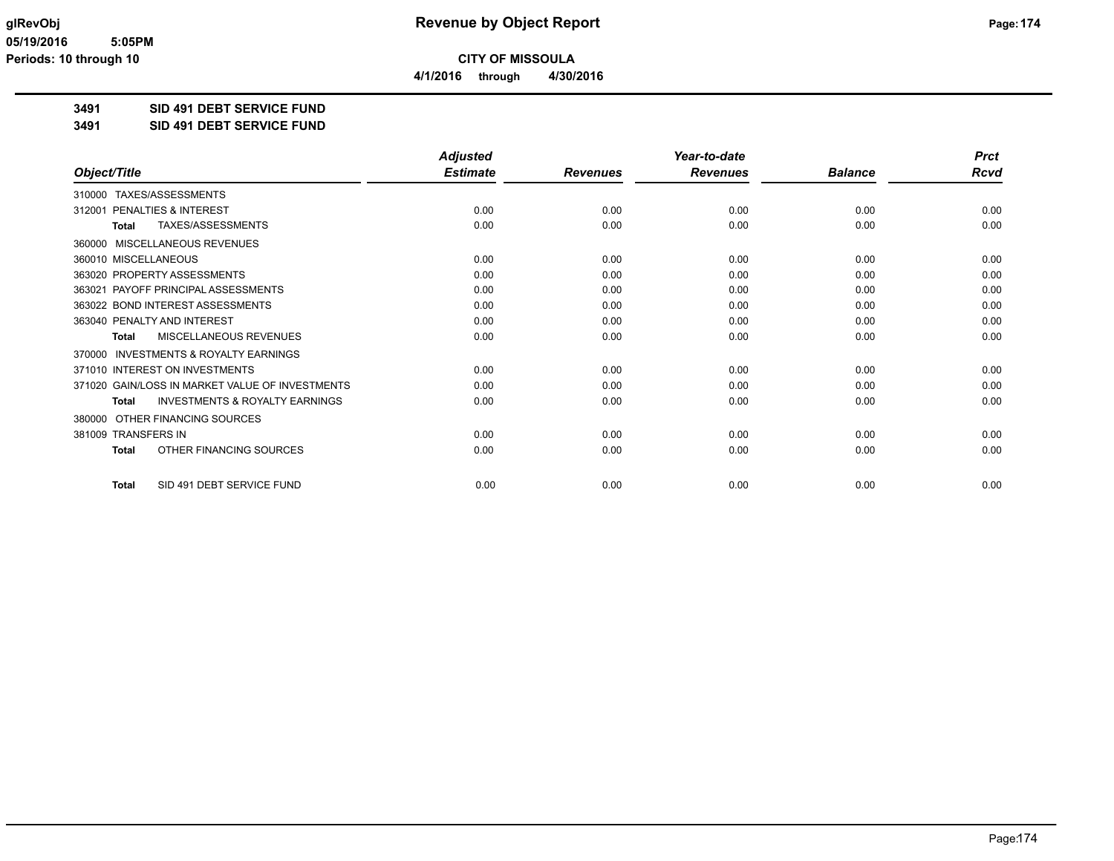**4/1/2016 through 4/30/2016**

**3491 SID 491 DEBT SERVICE FUND**

**3491 SID 491 DEBT SERVICE FUND**

|                                                           | <b>Adjusted</b> |                 | Year-to-date    |                | <b>Prct</b> |
|-----------------------------------------------------------|-----------------|-----------------|-----------------|----------------|-------------|
| Object/Title                                              | <b>Estimate</b> | <b>Revenues</b> | <b>Revenues</b> | <b>Balance</b> | <b>Rcvd</b> |
| 310000 TAXES/ASSESSMENTS                                  |                 |                 |                 |                |             |
| 312001 PENALTIES & INTEREST                               | 0.00            | 0.00            | 0.00            | 0.00           | 0.00        |
| <b>TAXES/ASSESSMENTS</b><br><b>Total</b>                  | 0.00            | 0.00            | 0.00            | 0.00           | 0.00        |
| 360000 MISCELLANEOUS REVENUES                             |                 |                 |                 |                |             |
| 360010 MISCELLANEOUS                                      | 0.00            | 0.00            | 0.00            | 0.00           | 0.00        |
| 363020 PROPERTY ASSESSMENTS                               | 0.00            | 0.00            | 0.00            | 0.00           | 0.00        |
| 363021 PAYOFF PRINCIPAL ASSESSMENTS                       | 0.00            | 0.00            | 0.00            | 0.00           | 0.00        |
| 363022 BOND INTEREST ASSESSMENTS                          | 0.00            | 0.00            | 0.00            | 0.00           | 0.00        |
| 363040 PENALTY AND INTEREST                               | 0.00            | 0.00            | 0.00            | 0.00           | 0.00        |
| MISCELLANEOUS REVENUES<br><b>Total</b>                    | 0.00            | 0.00            | 0.00            | 0.00           | 0.00        |
| <b>INVESTMENTS &amp; ROYALTY EARNINGS</b><br>370000       |                 |                 |                 |                |             |
| 371010 INTEREST ON INVESTMENTS                            | 0.00            | 0.00            | 0.00            | 0.00           | 0.00        |
| 371020 GAIN/LOSS IN MARKET VALUE OF INVESTMENTS           | 0.00            | 0.00            | 0.00            | 0.00           | 0.00        |
| <b>INVESTMENTS &amp; ROYALTY EARNINGS</b><br><b>Total</b> | 0.00            | 0.00            | 0.00            | 0.00           | 0.00        |
| OTHER FINANCING SOURCES<br>380000                         |                 |                 |                 |                |             |
| 381009 TRANSFERS IN                                       | 0.00            | 0.00            | 0.00            | 0.00           | 0.00        |
| OTHER FINANCING SOURCES<br><b>Total</b>                   | 0.00            | 0.00            | 0.00            | 0.00           | 0.00        |
| SID 491 DEBT SERVICE FUND<br><b>Total</b>                 | 0.00            | 0.00            | 0.00            | 0.00           | 0.00        |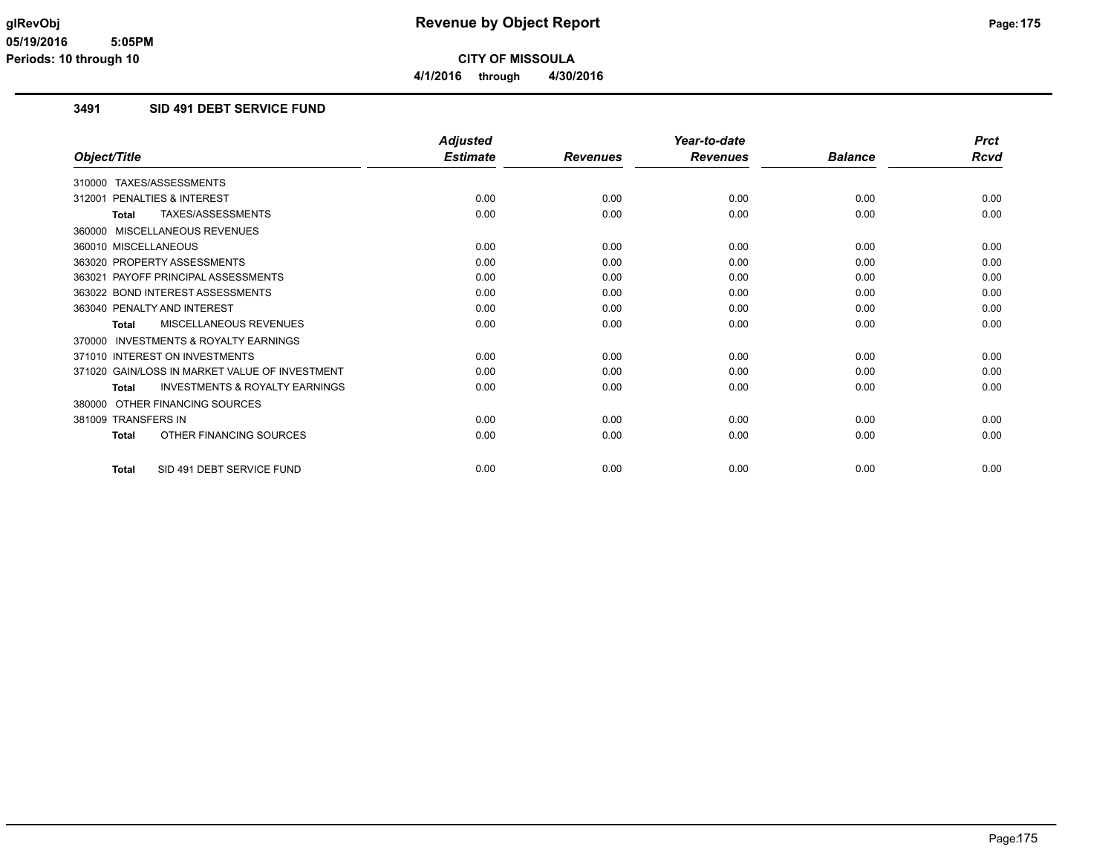### **3491 SID 491 DEBT SERVICE FUND**

|                                                           | <b>Adjusted</b> |                 | Year-to-date    |                | <b>Prct</b> |
|-----------------------------------------------------------|-----------------|-----------------|-----------------|----------------|-------------|
| Object/Title                                              | <b>Estimate</b> | <b>Revenues</b> | <b>Revenues</b> | <b>Balance</b> | Rcvd        |
| 310000 TAXES/ASSESSMENTS                                  |                 |                 |                 |                |             |
| 312001 PENALTIES & INTEREST                               | 0.00            | 0.00            | 0.00            | 0.00           | 0.00        |
| TAXES/ASSESSMENTS<br><b>Total</b>                         | 0.00            | 0.00            | 0.00            | 0.00           | 0.00        |
| 360000 MISCELLANEOUS REVENUES                             |                 |                 |                 |                |             |
| 360010 MISCELLANEOUS                                      | 0.00            | 0.00            | 0.00            | 0.00           | 0.00        |
| 363020 PROPERTY ASSESSMENTS                               | 0.00            | 0.00            | 0.00            | 0.00           | 0.00        |
| 363021 PAYOFF PRINCIPAL ASSESSMENTS                       | 0.00            | 0.00            | 0.00            | 0.00           | 0.00        |
| 363022 BOND INTEREST ASSESSMENTS                          | 0.00            | 0.00            | 0.00            | 0.00           | 0.00        |
| 363040 PENALTY AND INTEREST                               | 0.00            | 0.00            | 0.00            | 0.00           | 0.00        |
| MISCELLANEOUS REVENUES<br>Total                           | 0.00            | 0.00            | 0.00            | 0.00           | 0.00        |
| 370000 INVESTMENTS & ROYALTY EARNINGS                     |                 |                 |                 |                |             |
| 371010 INTEREST ON INVESTMENTS                            | 0.00            | 0.00            | 0.00            | 0.00           | 0.00        |
| 371020 GAIN/LOSS IN MARKET VALUE OF INVESTMENT            | 0.00            | 0.00            | 0.00            | 0.00           | 0.00        |
| <b>INVESTMENTS &amp; ROYALTY EARNINGS</b><br><b>Total</b> | 0.00            | 0.00            | 0.00            | 0.00           | 0.00        |
| 380000 OTHER FINANCING SOURCES                            |                 |                 |                 |                |             |
| 381009 TRANSFERS IN                                       | 0.00            | 0.00            | 0.00            | 0.00           | 0.00        |
| OTHER FINANCING SOURCES<br><b>Total</b>                   | 0.00            | 0.00            | 0.00            | 0.00           | 0.00        |
| SID 491 DEBT SERVICE FUND<br><b>Total</b>                 | 0.00            | 0.00            | 0.00            | 0.00           | 0.00        |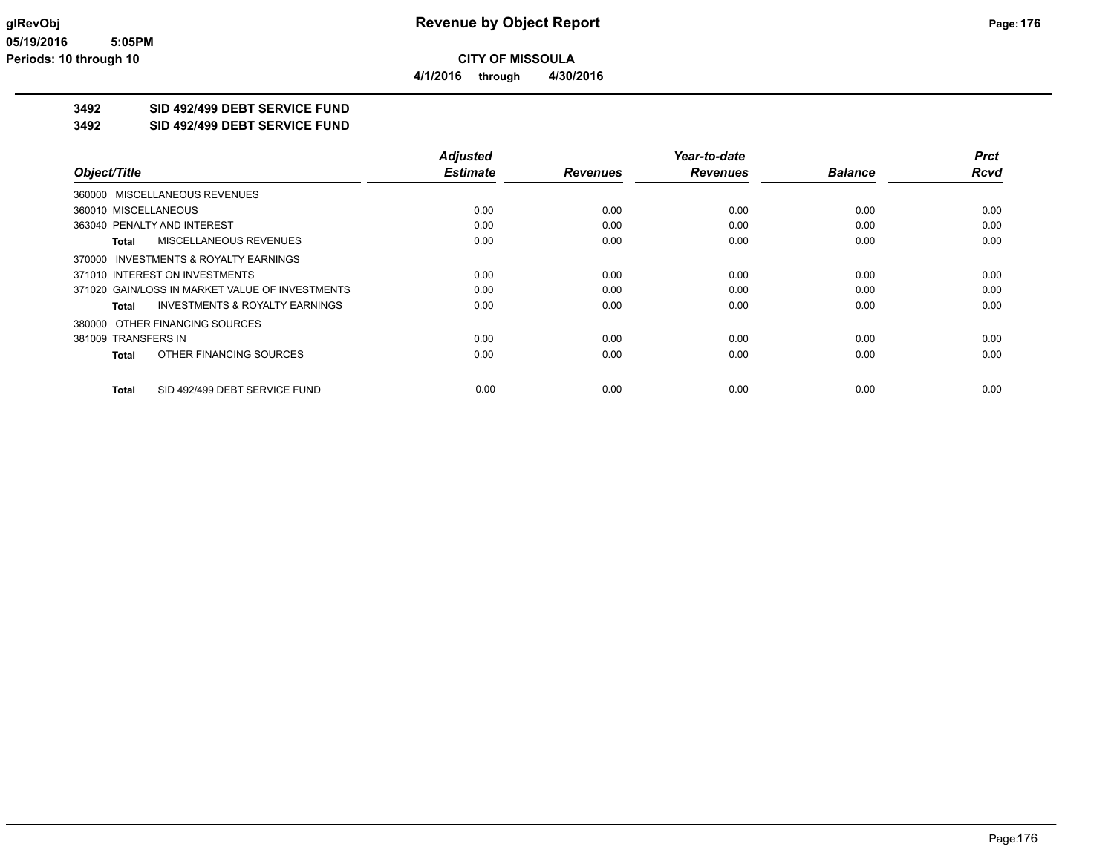**4/1/2016 through 4/30/2016**

# **3492 SID 492/499 DEBT SERVICE FUND**

**3492 SID 492/499 DEBT SERVICE FUND**

|                                                    | <b>Adjusted</b> |                 | Year-to-date    |                | <b>Prct</b> |
|----------------------------------------------------|-----------------|-----------------|-----------------|----------------|-------------|
| Object/Title                                       | <b>Estimate</b> | <b>Revenues</b> | <b>Revenues</b> | <b>Balance</b> | <b>Rcvd</b> |
| 360000 MISCELLANEOUS REVENUES                      |                 |                 |                 |                |             |
| 360010 MISCELLANEOUS                               | 0.00            | 0.00            | 0.00            | 0.00           | 0.00        |
| 363040 PENALTY AND INTEREST                        | 0.00            | 0.00            | 0.00            | 0.00           | 0.00        |
| MISCELLANEOUS REVENUES<br>Total                    | 0.00            | 0.00            | 0.00            | 0.00           | 0.00        |
| 370000 INVESTMENTS & ROYALTY EARNINGS              |                 |                 |                 |                |             |
| 371010 INTEREST ON INVESTMENTS                     | 0.00            | 0.00            | 0.00            | 0.00           | 0.00        |
| 371020 GAIN/LOSS IN MARKET VALUE OF INVESTMENTS    | 0.00            | 0.00            | 0.00            | 0.00           | 0.00        |
| <b>INVESTMENTS &amp; ROYALTY EARNINGS</b><br>Total | 0.00            | 0.00            | 0.00            | 0.00           | 0.00        |
| 380000 OTHER FINANCING SOURCES                     |                 |                 |                 |                |             |
| 381009 TRANSFERS IN                                | 0.00            | 0.00            | 0.00            | 0.00           | 0.00        |
| OTHER FINANCING SOURCES<br><b>Total</b>            | 0.00            | 0.00            | 0.00            | 0.00           | 0.00        |
| SID 492/499 DEBT SERVICE FUND<br>Total             | 0.00            | 0.00            | 0.00            | 0.00           | 0.00        |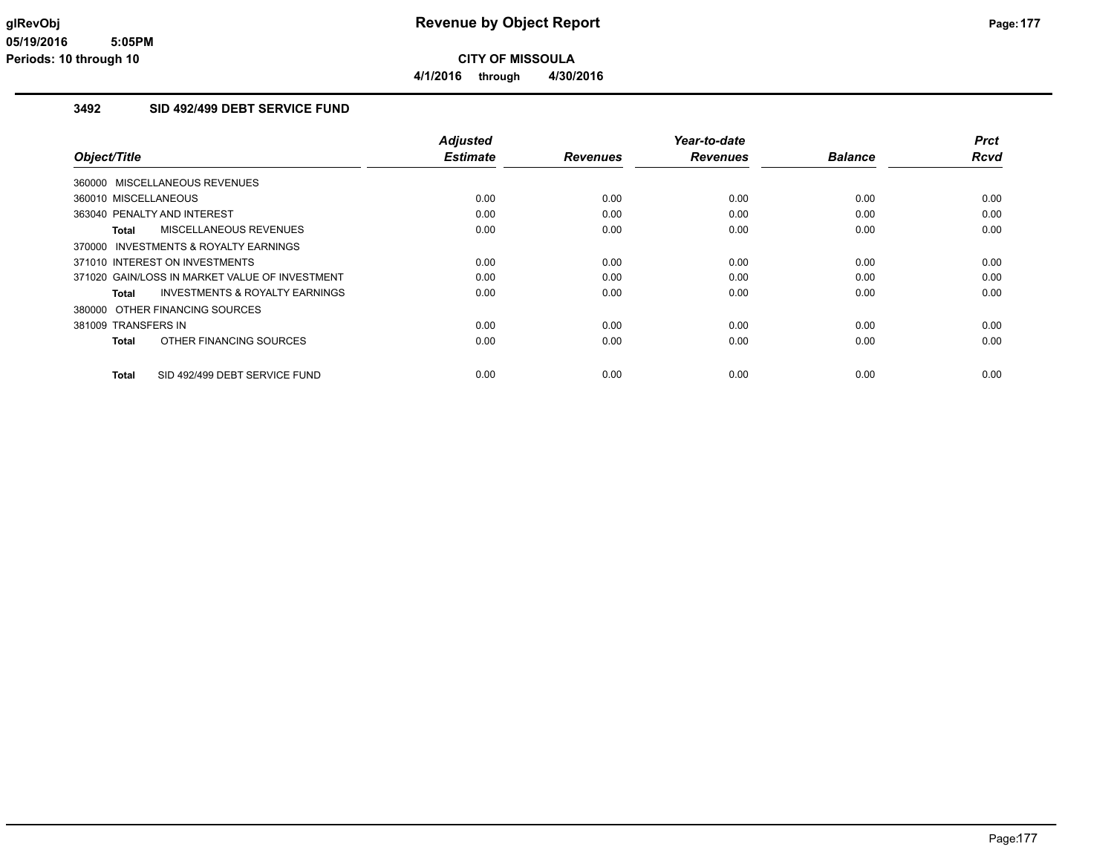**4/1/2016 through 4/30/2016**

#### **3492 SID 492/499 DEBT SERVICE FUND**

|                                                    | <b>Adjusted</b> |                 | Year-to-date    |                | <b>Prct</b> |
|----------------------------------------------------|-----------------|-----------------|-----------------|----------------|-------------|
| Object/Title                                       | <b>Estimate</b> | <b>Revenues</b> | <b>Revenues</b> | <b>Balance</b> | Rcvd        |
| 360000 MISCELLANEOUS REVENUES                      |                 |                 |                 |                |             |
| 360010 MISCELLANEOUS                               | 0.00            | 0.00            | 0.00            | 0.00           | 0.00        |
| 363040 PENALTY AND INTEREST                        | 0.00            | 0.00            | 0.00            | 0.00           | 0.00        |
| MISCELLANEOUS REVENUES<br>Total                    | 0.00            | 0.00            | 0.00            | 0.00           | 0.00        |
| 370000 INVESTMENTS & ROYALTY EARNINGS              |                 |                 |                 |                |             |
| 371010 INTEREST ON INVESTMENTS                     | 0.00            | 0.00            | 0.00            | 0.00           | 0.00        |
| 371020 GAIN/LOSS IN MARKET VALUE OF INVESTMENT     | 0.00            | 0.00            | 0.00            | 0.00           | 0.00        |
| <b>INVESTMENTS &amp; ROYALTY EARNINGS</b><br>Total | 0.00            | 0.00            | 0.00            | 0.00           | 0.00        |
| 380000 OTHER FINANCING SOURCES                     |                 |                 |                 |                |             |
| 381009 TRANSFERS IN                                | 0.00            | 0.00            | 0.00            | 0.00           | 0.00        |
| OTHER FINANCING SOURCES<br><b>Total</b>            | 0.00            | 0.00            | 0.00            | 0.00           | 0.00        |
| SID 492/499 DEBT SERVICE FUND<br><b>Total</b>      | 0.00            | 0.00            | 0.00            | 0.00           | 0.00        |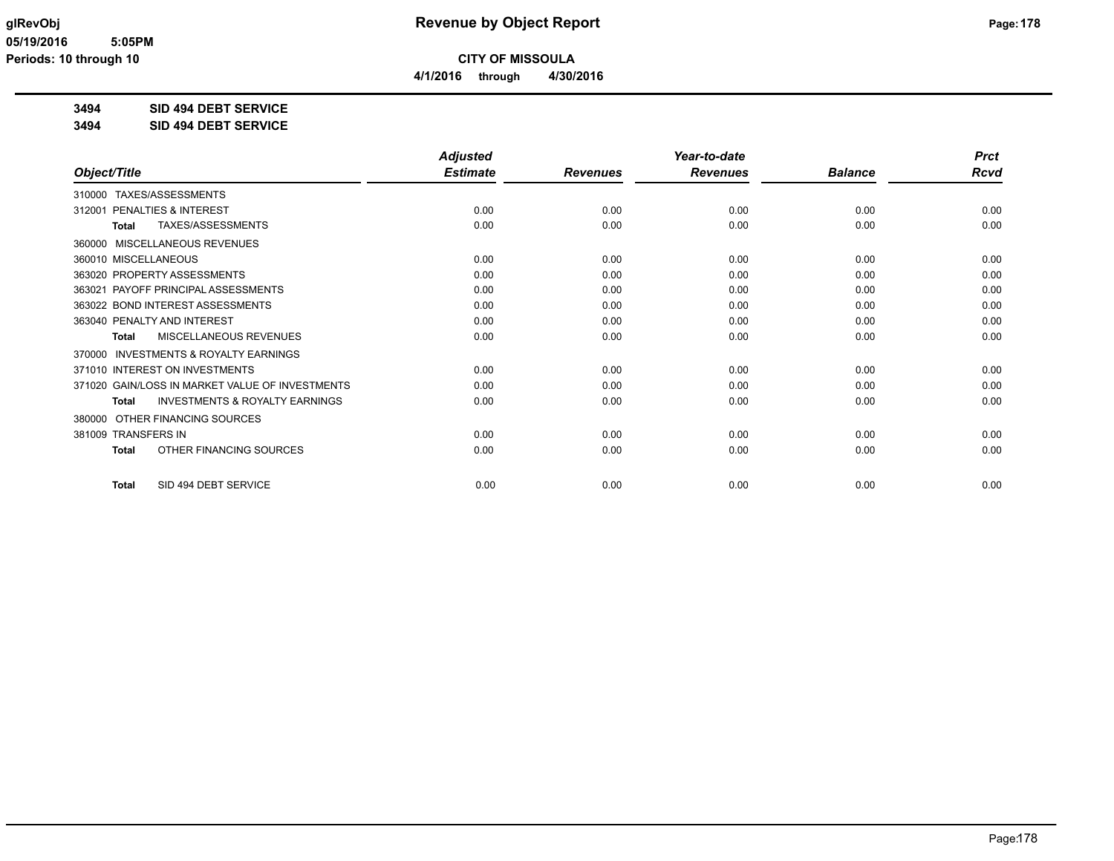**4/1/2016 through 4/30/2016**

**3494 SID 494 DEBT SERVICE**

**3494 SID 494 DEBT SERVICE**

|                                                           | <b>Adjusted</b> |                 | Year-to-date    |                | <b>Prct</b> |
|-----------------------------------------------------------|-----------------|-----------------|-----------------|----------------|-------------|
| Object/Title                                              | <b>Estimate</b> | <b>Revenues</b> | <b>Revenues</b> | <b>Balance</b> | Rcvd        |
| TAXES/ASSESSMENTS<br>310000                               |                 |                 |                 |                |             |
| 312001 PENALTIES & INTEREST                               | 0.00            | 0.00            | 0.00            | 0.00           | 0.00        |
| TAXES/ASSESSMENTS<br><b>Total</b>                         | 0.00            | 0.00            | 0.00            | 0.00           | 0.00        |
| MISCELLANEOUS REVENUES<br>360000                          |                 |                 |                 |                |             |
| 360010 MISCELLANEOUS                                      | 0.00            | 0.00            | 0.00            | 0.00           | 0.00        |
| 363020 PROPERTY ASSESSMENTS                               | 0.00            | 0.00            | 0.00            | 0.00           | 0.00        |
| 363021 PAYOFF PRINCIPAL ASSESSMENTS                       | 0.00            | 0.00            | 0.00            | 0.00           | 0.00        |
| 363022 BOND INTEREST ASSESSMENTS                          | 0.00            | 0.00            | 0.00            | 0.00           | 0.00        |
| 363040 PENALTY AND INTEREST                               | 0.00            | 0.00            | 0.00            | 0.00           | 0.00        |
| MISCELLANEOUS REVENUES<br><b>Total</b>                    | 0.00            | 0.00            | 0.00            | 0.00           | 0.00        |
| <b>INVESTMENTS &amp; ROYALTY EARNINGS</b><br>370000       |                 |                 |                 |                |             |
| 371010 INTEREST ON INVESTMENTS                            | 0.00            | 0.00            | 0.00            | 0.00           | 0.00        |
| 371020 GAIN/LOSS IN MARKET VALUE OF INVESTMENTS           | 0.00            | 0.00            | 0.00            | 0.00           | 0.00        |
| <b>INVESTMENTS &amp; ROYALTY EARNINGS</b><br><b>Total</b> | 0.00            | 0.00            | 0.00            | 0.00           | 0.00        |
| OTHER FINANCING SOURCES<br>380000                         |                 |                 |                 |                |             |
| 381009 TRANSFERS IN                                       | 0.00            | 0.00            | 0.00            | 0.00           | 0.00        |
| OTHER FINANCING SOURCES<br><b>Total</b>                   | 0.00            | 0.00            | 0.00            | 0.00           | 0.00        |
| SID 494 DEBT SERVICE<br><b>Total</b>                      | 0.00            | 0.00            | 0.00            | 0.00           | 0.00        |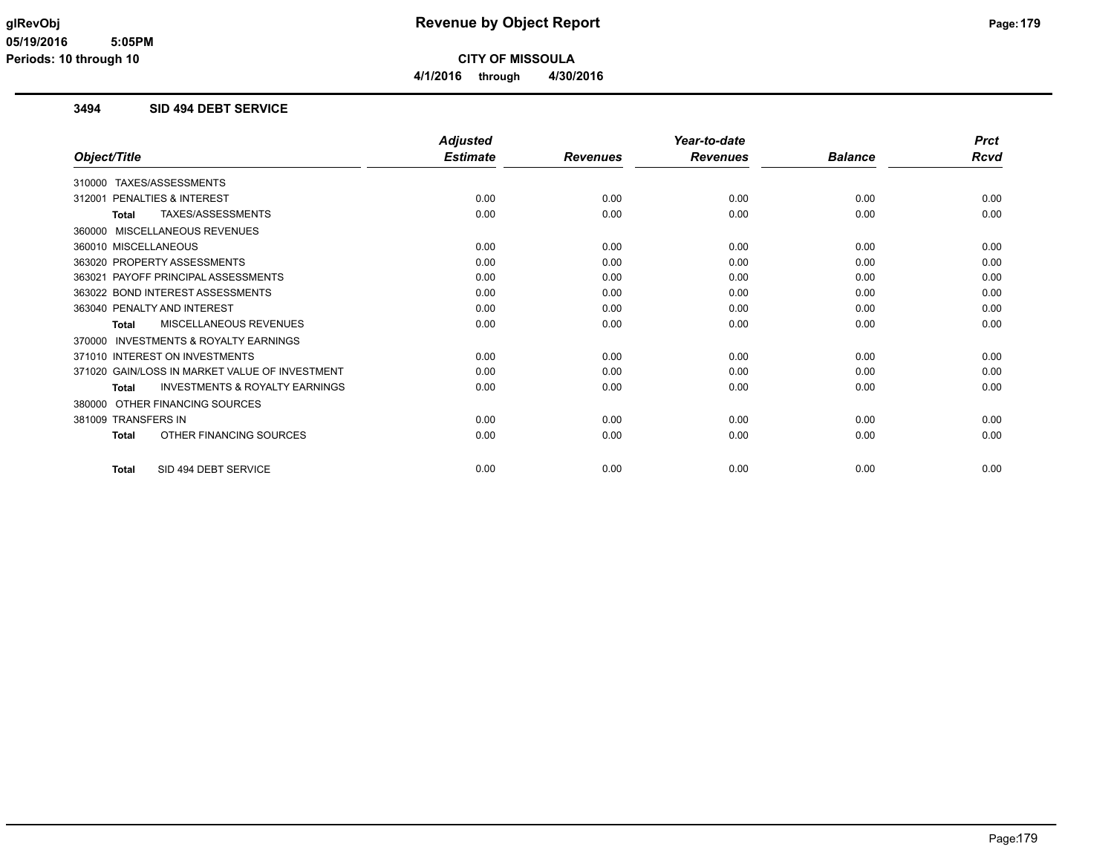#### **3494 SID 494 DEBT SERVICE**

|                                                           | <b>Adjusted</b> |                 | Year-to-date    |                | <b>Prct</b> |
|-----------------------------------------------------------|-----------------|-----------------|-----------------|----------------|-------------|
| Object/Title                                              | <b>Estimate</b> | <b>Revenues</b> | <b>Revenues</b> | <b>Balance</b> | Rcvd        |
| 310000 TAXES/ASSESSMENTS                                  |                 |                 |                 |                |             |
| PENALTIES & INTEREST<br>312001                            | 0.00            | 0.00            | 0.00            | 0.00           | 0.00        |
| TAXES/ASSESSMENTS<br><b>Total</b>                         | 0.00            | 0.00            | 0.00            | 0.00           | 0.00        |
| MISCELLANEOUS REVENUES<br>360000                          |                 |                 |                 |                |             |
| 360010 MISCELLANEOUS                                      | 0.00            | 0.00            | 0.00            | 0.00           | 0.00        |
| 363020 PROPERTY ASSESSMENTS                               | 0.00            | 0.00            | 0.00            | 0.00           | 0.00        |
| PAYOFF PRINCIPAL ASSESSMENTS<br>363021                    | 0.00            | 0.00            | 0.00            | 0.00           | 0.00        |
| 363022 BOND INTEREST ASSESSMENTS                          | 0.00            | 0.00            | 0.00            | 0.00           | 0.00        |
| 363040 PENALTY AND INTEREST                               | 0.00            | 0.00            | 0.00            | 0.00           | 0.00        |
| <b>MISCELLANEOUS REVENUES</b><br><b>Total</b>             | 0.00            | 0.00            | 0.00            | 0.00           | 0.00        |
| <b>INVESTMENTS &amp; ROYALTY EARNINGS</b><br>370000       |                 |                 |                 |                |             |
| 371010 INTEREST ON INVESTMENTS                            | 0.00            | 0.00            | 0.00            | 0.00           | 0.00        |
| 371020 GAIN/LOSS IN MARKET VALUE OF INVESTMENT            | 0.00            | 0.00            | 0.00            | 0.00           | 0.00        |
| <b>INVESTMENTS &amp; ROYALTY EARNINGS</b><br><b>Total</b> | 0.00            | 0.00            | 0.00            | 0.00           | 0.00        |
| OTHER FINANCING SOURCES<br>380000                         |                 |                 |                 |                |             |
| 381009 TRANSFERS IN                                       | 0.00            | 0.00            | 0.00            | 0.00           | 0.00        |
| OTHER FINANCING SOURCES<br><b>Total</b>                   | 0.00            | 0.00            | 0.00            | 0.00           | 0.00        |
| SID 494 DEBT SERVICE<br><b>Total</b>                      | 0.00            | 0.00            | 0.00            | 0.00           | 0.00        |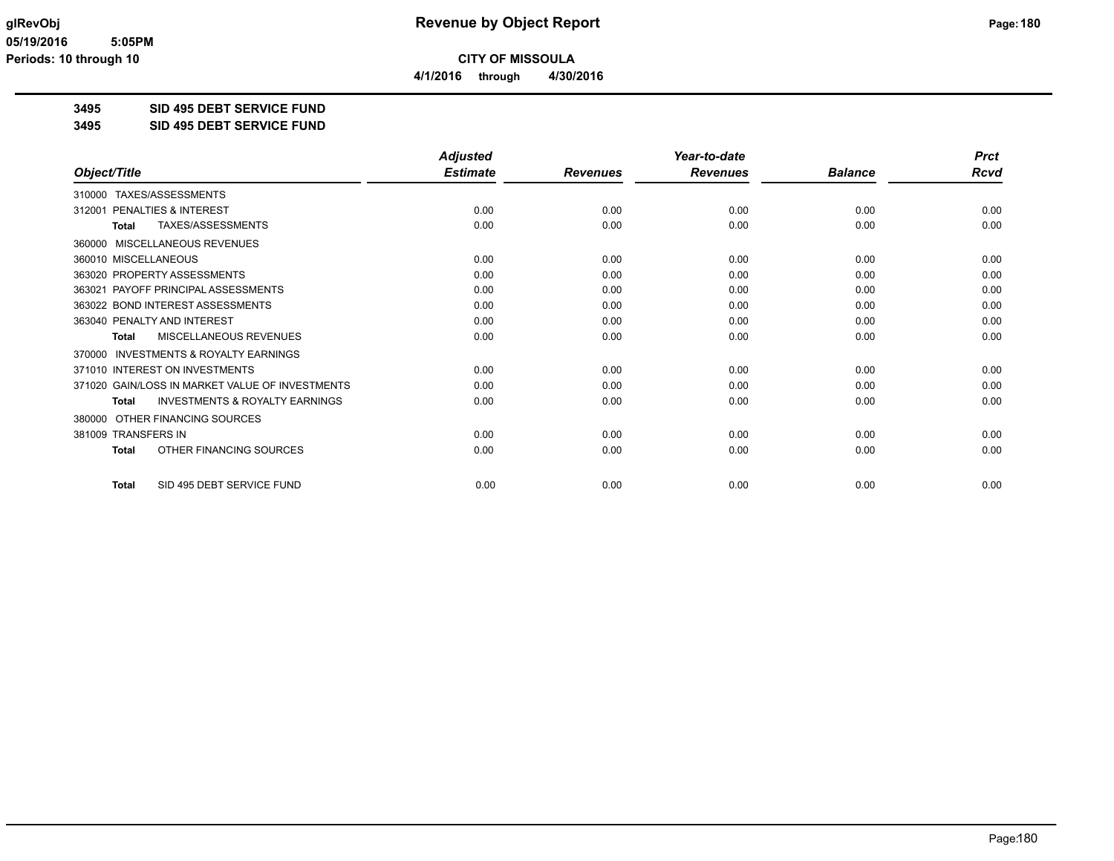**4/1/2016 through 4/30/2016**

**3495 SID 495 DEBT SERVICE FUND**

**3495 SID 495 DEBT SERVICE FUND**

|                                                     | <b>Adjusted</b> |                 | Year-to-date    |                | <b>Prct</b> |
|-----------------------------------------------------|-----------------|-----------------|-----------------|----------------|-------------|
| Object/Title                                        | <b>Estimate</b> | <b>Revenues</b> | <b>Revenues</b> | <b>Balance</b> | Rcvd        |
| 310000 TAXES/ASSESSMENTS                            |                 |                 |                 |                |             |
| PENALTIES & INTEREST<br>312001                      | 0.00            | 0.00            | 0.00            | 0.00           | 0.00        |
| TAXES/ASSESSMENTS<br><b>Total</b>                   | 0.00            | 0.00            | 0.00            | 0.00           | 0.00        |
| MISCELLANEOUS REVENUES<br>360000                    |                 |                 |                 |                |             |
| 360010 MISCELLANEOUS                                | 0.00            | 0.00            | 0.00            | 0.00           | 0.00        |
| 363020 PROPERTY ASSESSMENTS                         | 0.00            | 0.00            | 0.00            | 0.00           | 0.00        |
| PAYOFF PRINCIPAL ASSESSMENTS<br>363021              | 0.00            | 0.00            | 0.00            | 0.00           | 0.00        |
| 363022 BOND INTEREST ASSESSMENTS                    | 0.00            | 0.00            | 0.00            | 0.00           | 0.00        |
| 363040 PENALTY AND INTEREST                         | 0.00            | 0.00            | 0.00            | 0.00           | 0.00        |
| MISCELLANEOUS REVENUES<br><b>Total</b>              | 0.00            | 0.00            | 0.00            | 0.00           | 0.00        |
| <b>INVESTMENTS &amp; ROYALTY EARNINGS</b><br>370000 |                 |                 |                 |                |             |
| 371010 INTEREST ON INVESTMENTS                      | 0.00            | 0.00            | 0.00            | 0.00           | 0.00        |
| 371020 GAIN/LOSS IN MARKET VALUE OF INVESTMENTS     | 0.00            | 0.00            | 0.00            | 0.00           | 0.00        |
| <b>INVESTMENTS &amp; ROYALTY EARNINGS</b><br>Total  | 0.00            | 0.00            | 0.00            | 0.00           | 0.00        |
| OTHER FINANCING SOURCES<br>380000                   |                 |                 |                 |                |             |
| 381009 TRANSFERS IN                                 | 0.00            | 0.00            | 0.00            | 0.00           | 0.00        |
| OTHER FINANCING SOURCES<br><b>Total</b>             | 0.00            | 0.00            | 0.00            | 0.00           | 0.00        |
| SID 495 DEBT SERVICE FUND<br><b>Total</b>           | 0.00            | 0.00            | 0.00            | 0.00           | 0.00        |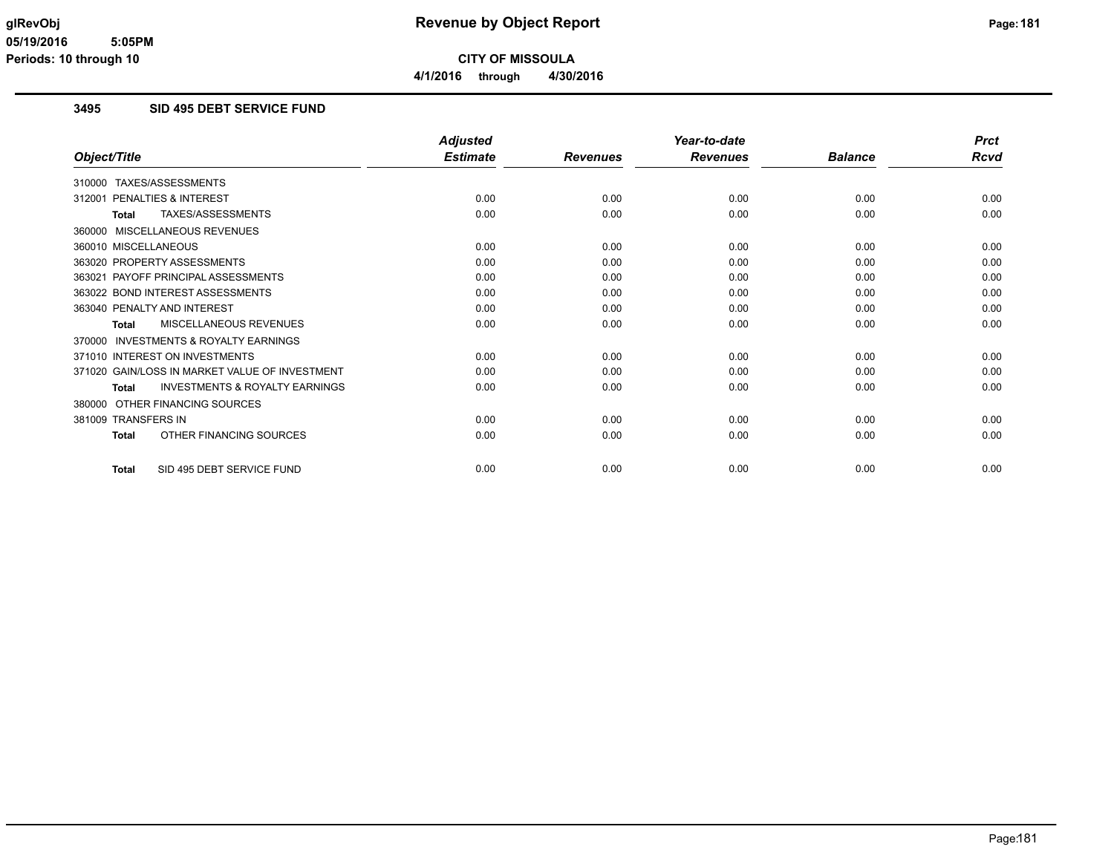# **3495 SID 495 DEBT SERVICE FUND**

|                                                           | <b>Adjusted</b> |                 | Year-to-date    |                | <b>Prct</b> |
|-----------------------------------------------------------|-----------------|-----------------|-----------------|----------------|-------------|
| Object/Title                                              | <b>Estimate</b> | <b>Revenues</b> | <b>Revenues</b> | <b>Balance</b> | Rcvd        |
| 310000 TAXES/ASSESSMENTS                                  |                 |                 |                 |                |             |
| PENALTIES & INTEREST<br>312001                            | 0.00            | 0.00            | 0.00            | 0.00           | 0.00        |
| TAXES/ASSESSMENTS<br><b>Total</b>                         | 0.00            | 0.00            | 0.00            | 0.00           | 0.00        |
| 360000 MISCELLANEOUS REVENUES                             |                 |                 |                 |                |             |
| 360010 MISCELLANEOUS                                      | 0.00            | 0.00            | 0.00            | 0.00           | 0.00        |
| 363020 PROPERTY ASSESSMENTS                               | 0.00            | 0.00            | 0.00            | 0.00           | 0.00        |
| 363021 PAYOFF PRINCIPAL ASSESSMENTS                       | 0.00            | 0.00            | 0.00            | 0.00           | 0.00        |
| 363022 BOND INTEREST ASSESSMENTS                          | 0.00            | 0.00            | 0.00            | 0.00           | 0.00        |
| 363040 PENALTY AND INTEREST                               | 0.00            | 0.00            | 0.00            | 0.00           | 0.00        |
| MISCELLANEOUS REVENUES<br>Total                           | 0.00            | 0.00            | 0.00            | 0.00           | 0.00        |
| 370000 INVESTMENTS & ROYALTY EARNINGS                     |                 |                 |                 |                |             |
| 371010 INTEREST ON INVESTMENTS                            | 0.00            | 0.00            | 0.00            | 0.00           | 0.00        |
| 371020 GAIN/LOSS IN MARKET VALUE OF INVESTMENT            | 0.00            | 0.00            | 0.00            | 0.00           | 0.00        |
| <b>INVESTMENTS &amp; ROYALTY EARNINGS</b><br><b>Total</b> | 0.00            | 0.00            | 0.00            | 0.00           | 0.00        |
| 380000 OTHER FINANCING SOURCES                            |                 |                 |                 |                |             |
| 381009 TRANSFERS IN                                       | 0.00            | 0.00            | 0.00            | 0.00           | 0.00        |
| OTHER FINANCING SOURCES<br><b>Total</b>                   | 0.00            | 0.00            | 0.00            | 0.00           | 0.00        |
| SID 495 DEBT SERVICE FUND<br><b>Total</b>                 | 0.00            | 0.00            | 0.00            | 0.00           | 0.00        |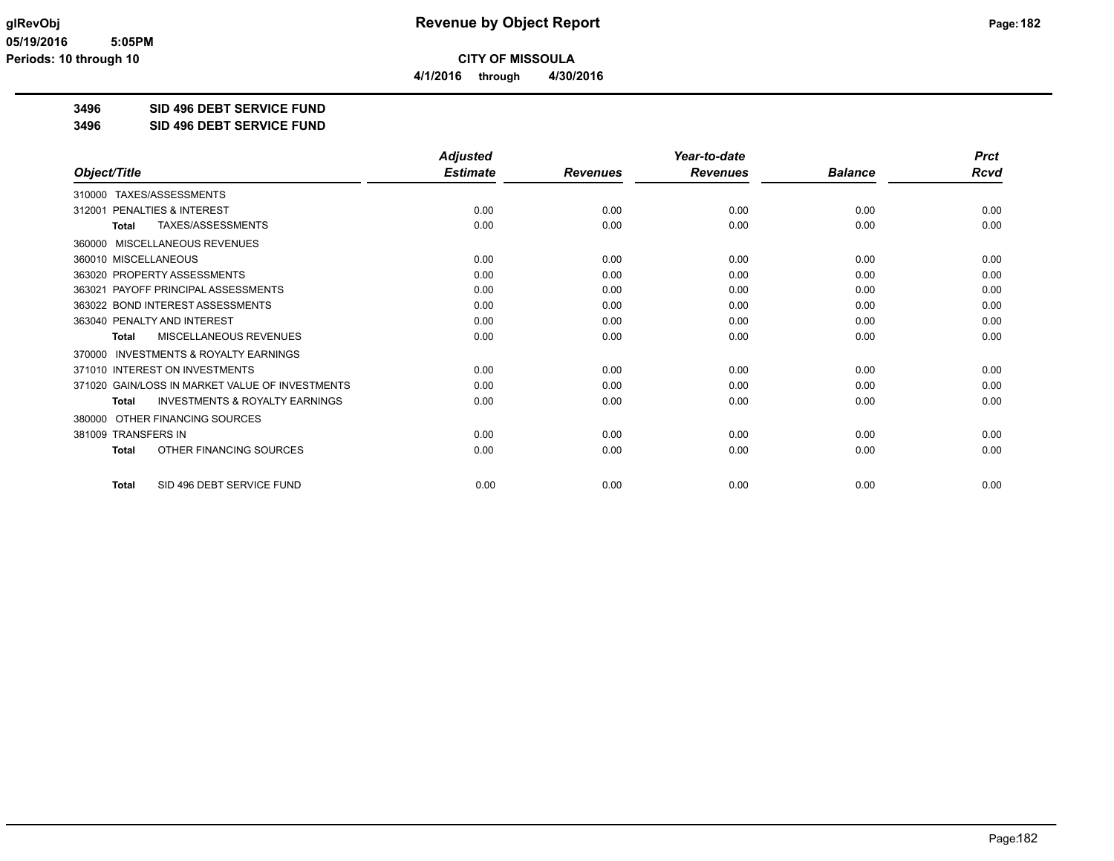**4/1/2016 through 4/30/2016**

**3496 SID 496 DEBT SERVICE FUND**

**3496 SID 496 DEBT SERVICE FUND**

|                                                           | <b>Adjusted</b> |                 | Year-to-date    |                | <b>Prct</b> |
|-----------------------------------------------------------|-----------------|-----------------|-----------------|----------------|-------------|
| Object/Title                                              | <b>Estimate</b> | <b>Revenues</b> | <b>Revenues</b> | <b>Balance</b> | <b>Rcvd</b> |
| 310000 TAXES/ASSESSMENTS                                  |                 |                 |                 |                |             |
| 312001 PENALTIES & INTEREST                               | 0.00            | 0.00            | 0.00            | 0.00           | 0.00        |
| TAXES/ASSESSMENTS<br><b>Total</b>                         | 0.00            | 0.00            | 0.00            | 0.00           | 0.00        |
| 360000 MISCELLANEOUS REVENUES                             |                 |                 |                 |                |             |
| 360010 MISCELLANEOUS                                      | 0.00            | 0.00            | 0.00            | 0.00           | 0.00        |
| 363020 PROPERTY ASSESSMENTS                               | 0.00            | 0.00            | 0.00            | 0.00           | 0.00        |
| 363021 PAYOFF PRINCIPAL ASSESSMENTS                       | 0.00            | 0.00            | 0.00            | 0.00           | 0.00        |
| 363022 BOND INTEREST ASSESSMENTS                          | 0.00            | 0.00            | 0.00            | 0.00           | 0.00        |
| 363040 PENALTY AND INTEREST                               | 0.00            | 0.00            | 0.00            | 0.00           | 0.00        |
| MISCELLANEOUS REVENUES<br><b>Total</b>                    | 0.00            | 0.00            | 0.00            | 0.00           | 0.00        |
| <b>INVESTMENTS &amp; ROYALTY EARNINGS</b><br>370000       |                 |                 |                 |                |             |
| 371010 INTEREST ON INVESTMENTS                            | 0.00            | 0.00            | 0.00            | 0.00           | 0.00        |
| 371020 GAIN/LOSS IN MARKET VALUE OF INVESTMENTS           | 0.00            | 0.00            | 0.00            | 0.00           | 0.00        |
| <b>INVESTMENTS &amp; ROYALTY EARNINGS</b><br><b>Total</b> | 0.00            | 0.00            | 0.00            | 0.00           | 0.00        |
| OTHER FINANCING SOURCES<br>380000                         |                 |                 |                 |                |             |
| 381009 TRANSFERS IN                                       | 0.00            | 0.00            | 0.00            | 0.00           | 0.00        |
| OTHER FINANCING SOURCES<br><b>Total</b>                   | 0.00            | 0.00            | 0.00            | 0.00           | 0.00        |
| SID 496 DEBT SERVICE FUND<br><b>Total</b>                 | 0.00            | 0.00            | 0.00            | 0.00           | 0.00        |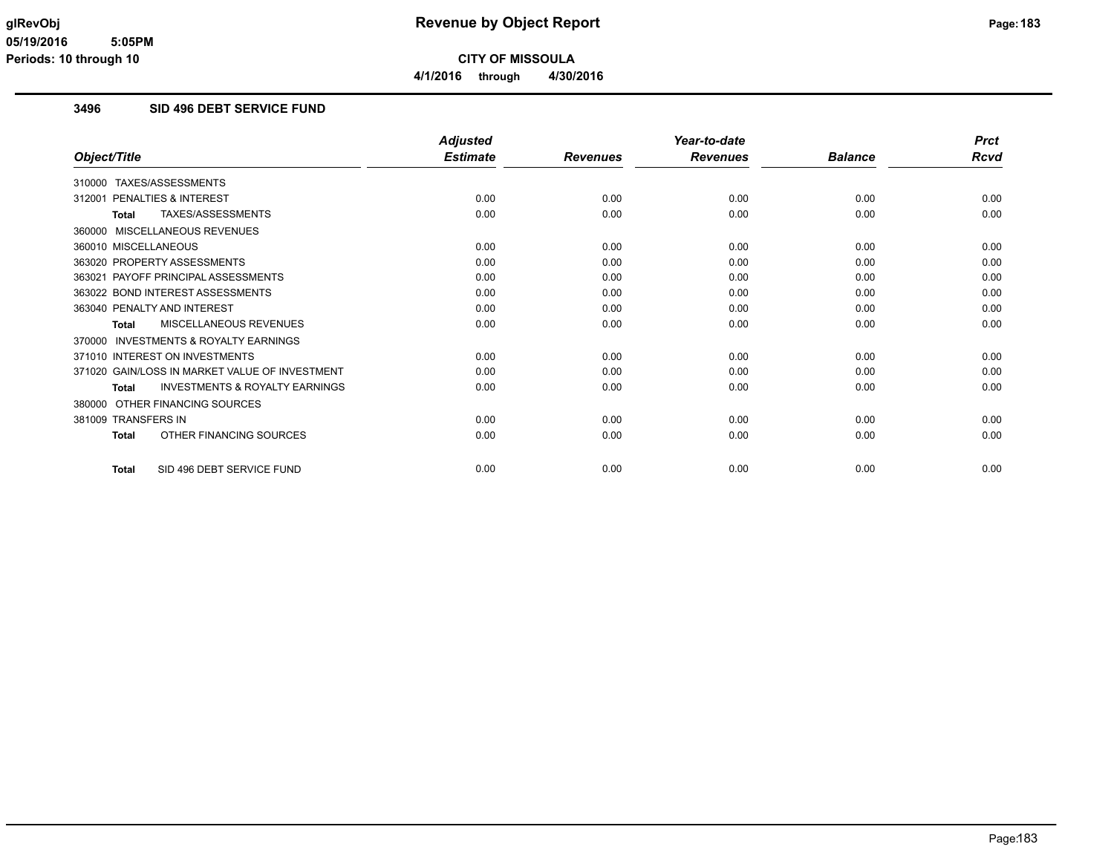**4/1/2016 through 4/30/2016**

# **3496 SID 496 DEBT SERVICE FUND**

|                                                           | <b>Adjusted</b> |                 | Year-to-date    |                | <b>Prct</b> |
|-----------------------------------------------------------|-----------------|-----------------|-----------------|----------------|-------------|
| Object/Title                                              | <b>Estimate</b> | <b>Revenues</b> | <b>Revenues</b> | <b>Balance</b> | <b>Rcvd</b> |
| 310000 TAXES/ASSESSMENTS                                  |                 |                 |                 |                |             |
| <b>PENALTIES &amp; INTEREST</b><br>312001                 | 0.00            | 0.00            | 0.00            | 0.00           | 0.00        |
| TAXES/ASSESSMENTS<br><b>Total</b>                         | 0.00            | 0.00            | 0.00            | 0.00           | 0.00        |
| 360000 MISCELLANEOUS REVENUES                             |                 |                 |                 |                |             |
| 360010 MISCELLANEOUS                                      | 0.00            | 0.00            | 0.00            | 0.00           | 0.00        |
| 363020 PROPERTY ASSESSMENTS                               | 0.00            | 0.00            | 0.00            | 0.00           | 0.00        |
| 363021 PAYOFF PRINCIPAL ASSESSMENTS                       | 0.00            | 0.00            | 0.00            | 0.00           | 0.00        |
| 363022 BOND INTEREST ASSESSMENTS                          | 0.00            | 0.00            | 0.00            | 0.00           | 0.00        |
| 363040 PENALTY AND INTEREST                               | 0.00            | 0.00            | 0.00            | 0.00           | 0.00        |
| <b>MISCELLANEOUS REVENUES</b><br><b>Total</b>             | 0.00            | 0.00            | 0.00            | 0.00           | 0.00        |
| 370000 INVESTMENTS & ROYALTY EARNINGS                     |                 |                 |                 |                |             |
| 371010 INTEREST ON INVESTMENTS                            | 0.00            | 0.00            | 0.00            | 0.00           | 0.00        |
| 371020 GAIN/LOSS IN MARKET VALUE OF INVESTMENT            | 0.00            | 0.00            | 0.00            | 0.00           | 0.00        |
| <b>INVESTMENTS &amp; ROYALTY EARNINGS</b><br><b>Total</b> | 0.00            | 0.00            | 0.00            | 0.00           | 0.00        |
| 380000 OTHER FINANCING SOURCES                            |                 |                 |                 |                |             |
| 381009 TRANSFERS IN                                       | 0.00            | 0.00            | 0.00            | 0.00           | 0.00        |
| OTHER FINANCING SOURCES<br><b>Total</b>                   | 0.00            | 0.00            | 0.00            | 0.00           | 0.00        |
| SID 496 DEBT SERVICE FUND<br><b>Total</b>                 | 0.00            | 0.00            | 0.00            | 0.00           | 0.00        |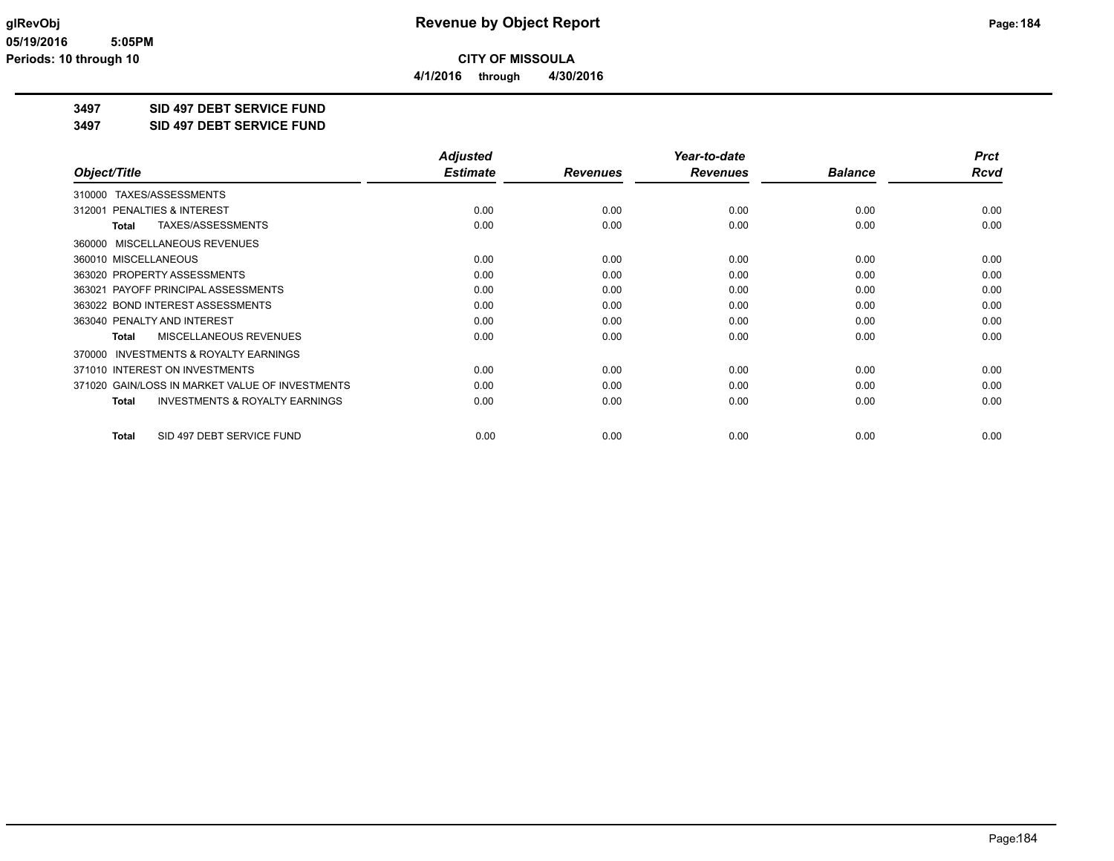**4/1/2016 through 4/30/2016**

**3497 SID 497 DEBT SERVICE FUND**

**3497 SID 497 DEBT SERVICE FUND**

|                                                           | <b>Adjusted</b> |                 | Year-to-date    |                | <b>Prct</b> |
|-----------------------------------------------------------|-----------------|-----------------|-----------------|----------------|-------------|
| Object/Title                                              | <b>Estimate</b> | <b>Revenues</b> | <b>Revenues</b> | <b>Balance</b> | Rcvd        |
| 310000 TAXES/ASSESSMENTS                                  |                 |                 |                 |                |             |
| <b>PENALTIES &amp; INTEREST</b><br>312001                 | 0.00            | 0.00            | 0.00            | 0.00           | 0.00        |
| TAXES/ASSESSMENTS<br><b>Total</b>                         | 0.00            | 0.00            | 0.00            | 0.00           | 0.00        |
| 360000 MISCELLANEOUS REVENUES                             |                 |                 |                 |                |             |
| 360010 MISCELLANEOUS                                      | 0.00            | 0.00            | 0.00            | 0.00           | 0.00        |
| 363020 PROPERTY ASSESSMENTS                               | 0.00            | 0.00            | 0.00            | 0.00           | 0.00        |
| 363021 PAYOFF PRINCIPAL ASSESSMENTS                       | 0.00            | 0.00            | 0.00            | 0.00           | 0.00        |
| 363022 BOND INTEREST ASSESSMENTS                          | 0.00            | 0.00            | 0.00            | 0.00           | 0.00        |
| 363040 PENALTY AND INTEREST                               | 0.00            | 0.00            | 0.00            | 0.00           | 0.00        |
| MISCELLANEOUS REVENUES<br><b>Total</b>                    | 0.00            | 0.00            | 0.00            | 0.00           | 0.00        |
| 370000 INVESTMENTS & ROYALTY EARNINGS                     |                 |                 |                 |                |             |
| 371010 INTEREST ON INVESTMENTS                            | 0.00            | 0.00            | 0.00            | 0.00           | 0.00        |
| 371020 GAIN/LOSS IN MARKET VALUE OF INVESTMENTS           | 0.00            | 0.00            | 0.00            | 0.00           | 0.00        |
| <b>INVESTMENTS &amp; ROYALTY EARNINGS</b><br><b>Total</b> | 0.00            | 0.00            | 0.00            | 0.00           | 0.00        |
| SID 497 DEBT SERVICE FUND<br><b>Total</b>                 | 0.00            | 0.00            | 0.00            | 0.00           | 0.00        |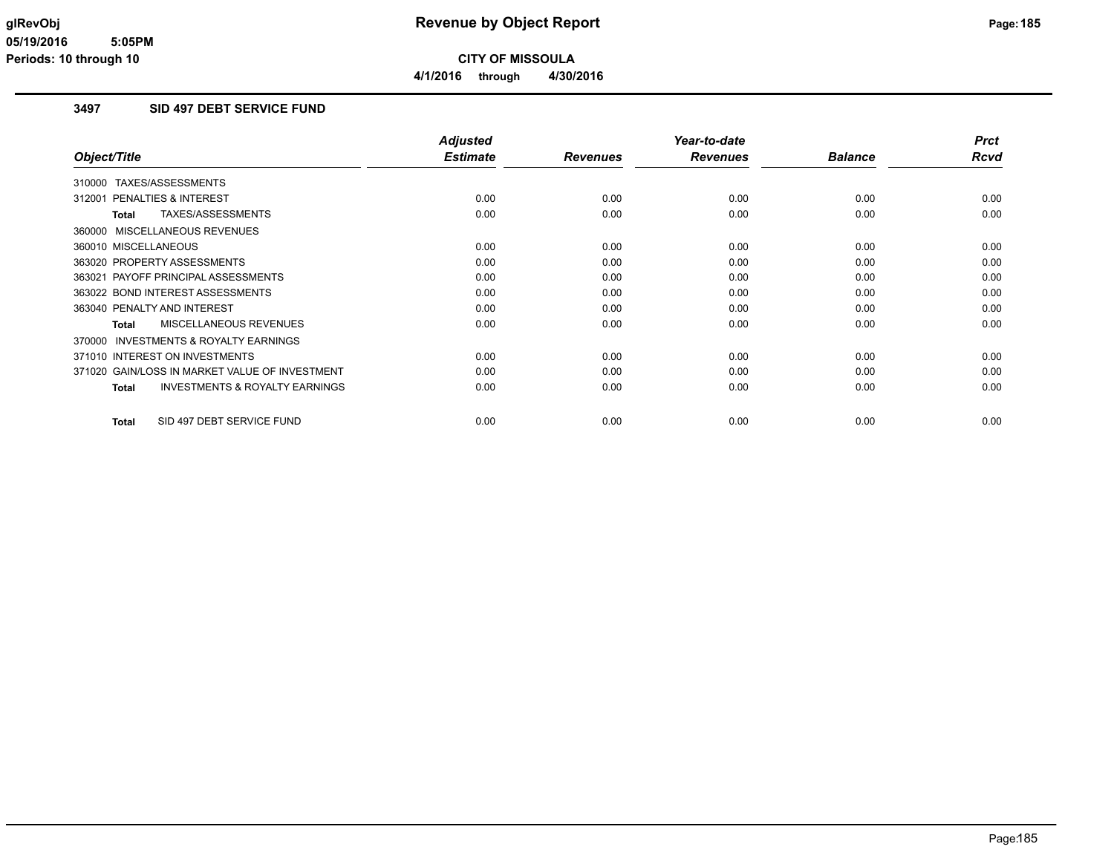# **3497 SID 497 DEBT SERVICE FUND**

|                                                           | <b>Adjusted</b> |                 | Year-to-date    |                | <b>Prct</b> |
|-----------------------------------------------------------|-----------------|-----------------|-----------------|----------------|-------------|
| Object/Title                                              | <b>Estimate</b> | <b>Revenues</b> | <b>Revenues</b> | <b>Balance</b> | Rcvd        |
| 310000 TAXES/ASSESSMENTS                                  |                 |                 |                 |                |             |
| <b>PENALTIES &amp; INTEREST</b><br>312001                 | 0.00            | 0.00            | 0.00            | 0.00           | 0.00        |
| TAXES/ASSESSMENTS<br>Total                                | 0.00            | 0.00            | 0.00            | 0.00           | 0.00        |
| 360000 MISCELLANEOUS REVENUES                             |                 |                 |                 |                |             |
| 360010 MISCELLANEOUS                                      | 0.00            | 0.00            | 0.00            | 0.00           | 0.00        |
| 363020 PROPERTY ASSESSMENTS                               | 0.00            | 0.00            | 0.00            | 0.00           | 0.00        |
| 363021 PAYOFF PRINCIPAL ASSESSMENTS                       | 0.00            | 0.00            | 0.00            | 0.00           | 0.00        |
| 363022 BOND INTEREST ASSESSMENTS                          | 0.00            | 0.00            | 0.00            | 0.00           | 0.00        |
| 363040 PENALTY AND INTEREST                               | 0.00            | 0.00            | 0.00            | 0.00           | 0.00        |
| MISCELLANEOUS REVENUES<br>Total                           | 0.00            | 0.00            | 0.00            | 0.00           | 0.00        |
| INVESTMENTS & ROYALTY EARNINGS<br>370000                  |                 |                 |                 |                |             |
| 371010 INTEREST ON INVESTMENTS                            | 0.00            | 0.00            | 0.00            | 0.00           | 0.00        |
| 371020 GAIN/LOSS IN MARKET VALUE OF INVESTMENT            | 0.00            | 0.00            | 0.00            | 0.00           | 0.00        |
| <b>INVESTMENTS &amp; ROYALTY EARNINGS</b><br><b>Total</b> | 0.00            | 0.00            | 0.00            | 0.00           | 0.00        |
| SID 497 DEBT SERVICE FUND<br><b>Total</b>                 | 0.00            | 0.00            | 0.00            | 0.00           | 0.00        |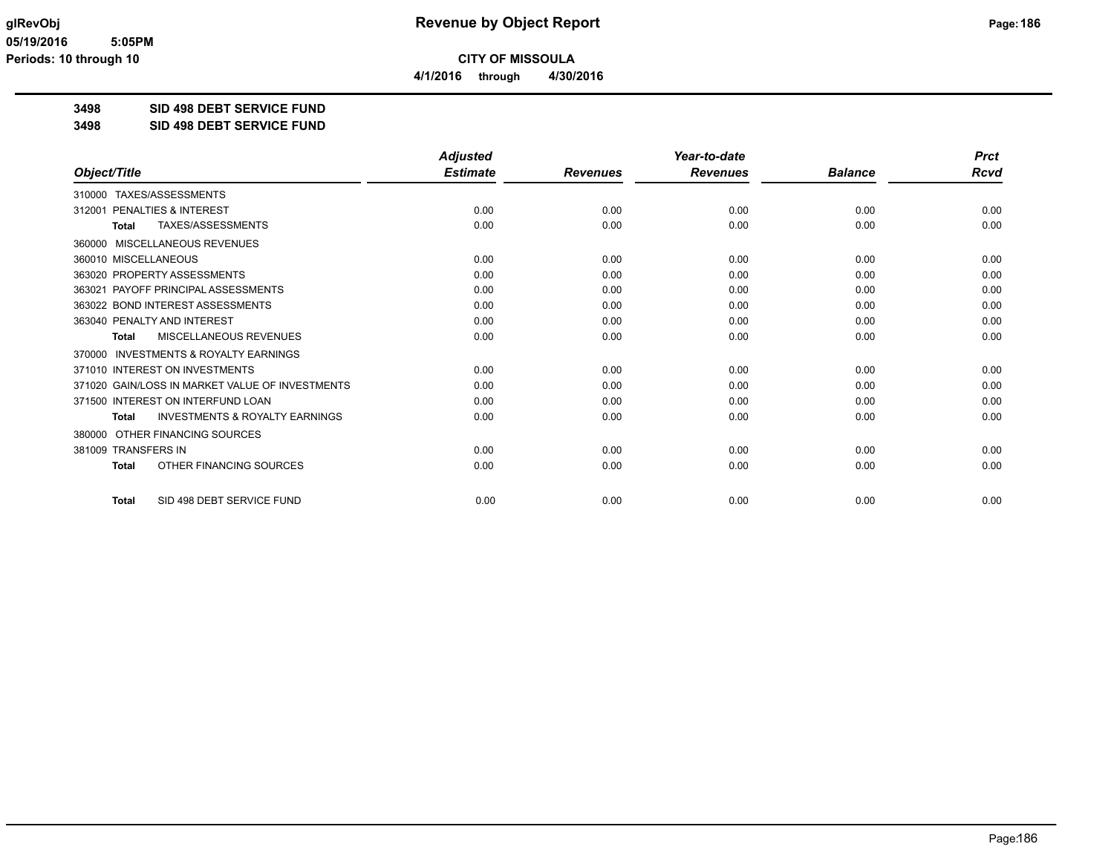**4/1/2016 through 4/30/2016**

**3498 SID 498 DEBT SERVICE FUND**

**3498 SID 498 DEBT SERVICE FUND**

|                                                           | <b>Adjusted</b> |                 | Year-to-date    |                | <b>Prct</b> |
|-----------------------------------------------------------|-----------------|-----------------|-----------------|----------------|-------------|
| Object/Title                                              | <b>Estimate</b> | <b>Revenues</b> | <b>Revenues</b> | <b>Balance</b> | Rcvd        |
| 310000 TAXES/ASSESSMENTS                                  |                 |                 |                 |                |             |
| PENALTIES & INTEREST<br>312001                            | 0.00            | 0.00            | 0.00            | 0.00           | 0.00        |
| TAXES/ASSESSMENTS<br><b>Total</b>                         | 0.00            | 0.00            | 0.00            | 0.00           | 0.00        |
| 360000 MISCELLANEOUS REVENUES                             |                 |                 |                 |                |             |
| 360010 MISCELLANEOUS                                      | 0.00            | 0.00            | 0.00            | 0.00           | 0.00        |
| 363020 PROPERTY ASSESSMENTS                               | 0.00            | 0.00            | 0.00            | 0.00           | 0.00        |
| 363021 PAYOFF PRINCIPAL ASSESSMENTS                       | 0.00            | 0.00            | 0.00            | 0.00           | 0.00        |
| 363022 BOND INTEREST ASSESSMENTS                          | 0.00            | 0.00            | 0.00            | 0.00           | 0.00        |
| 363040 PENALTY AND INTEREST                               | 0.00            | 0.00            | 0.00            | 0.00           | 0.00        |
| <b>MISCELLANEOUS REVENUES</b><br><b>Total</b>             | 0.00            | 0.00            | 0.00            | 0.00           | 0.00        |
| 370000 INVESTMENTS & ROYALTY EARNINGS                     |                 |                 |                 |                |             |
| 371010 INTEREST ON INVESTMENTS                            | 0.00            | 0.00            | 0.00            | 0.00           | 0.00        |
| 371020 GAIN/LOSS IN MARKET VALUE OF INVESTMENTS           | 0.00            | 0.00            | 0.00            | 0.00           | 0.00        |
| 371500 INTEREST ON INTERFUND LOAN                         | 0.00            | 0.00            | 0.00            | 0.00           | 0.00        |
| <b>INVESTMENTS &amp; ROYALTY EARNINGS</b><br><b>Total</b> | 0.00            | 0.00            | 0.00            | 0.00           | 0.00        |
| OTHER FINANCING SOURCES<br>380000                         |                 |                 |                 |                |             |
| 381009 TRANSFERS IN                                       | 0.00            | 0.00            | 0.00            | 0.00           | 0.00        |
| OTHER FINANCING SOURCES<br><b>Total</b>                   | 0.00            | 0.00            | 0.00            | 0.00           | 0.00        |
| SID 498 DEBT SERVICE FUND<br><b>Total</b>                 | 0.00            | 0.00            | 0.00            | 0.00           | 0.00        |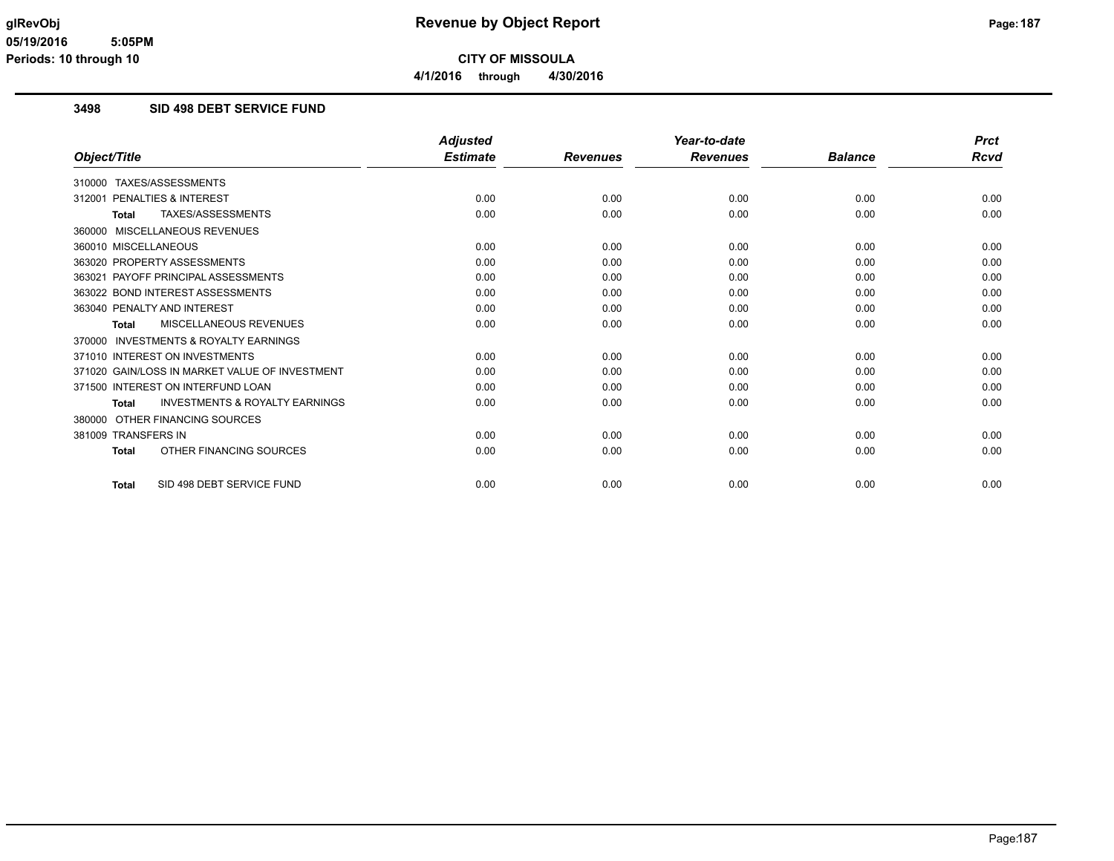# **3498 SID 498 DEBT SERVICE FUND**

|                                                           | <b>Adjusted</b> |                 | Year-to-date    |                | <b>Prct</b> |
|-----------------------------------------------------------|-----------------|-----------------|-----------------|----------------|-------------|
| Object/Title                                              | <b>Estimate</b> | <b>Revenues</b> | <b>Revenues</b> | <b>Balance</b> | <b>Rcvd</b> |
| 310000 TAXES/ASSESSMENTS                                  |                 |                 |                 |                |             |
| 312001 PENALTIES & INTEREST                               | 0.00            | 0.00            | 0.00            | 0.00           | 0.00        |
| TAXES/ASSESSMENTS<br>Total                                | 0.00            | 0.00            | 0.00            | 0.00           | 0.00        |
| 360000 MISCELLANEOUS REVENUES                             |                 |                 |                 |                |             |
| 360010 MISCELLANEOUS                                      | 0.00            | 0.00            | 0.00            | 0.00           | 0.00        |
| 363020 PROPERTY ASSESSMENTS                               | 0.00            | 0.00            | 0.00            | 0.00           | 0.00        |
| 363021 PAYOFF PRINCIPAL ASSESSMENTS                       | 0.00            | 0.00            | 0.00            | 0.00           | 0.00        |
| 363022 BOND INTEREST ASSESSMENTS                          | 0.00            | 0.00            | 0.00            | 0.00           | 0.00        |
| 363040 PENALTY AND INTEREST                               | 0.00            | 0.00            | 0.00            | 0.00           | 0.00        |
| <b>MISCELLANEOUS REVENUES</b><br><b>Total</b>             | 0.00            | 0.00            | 0.00            | 0.00           | 0.00        |
| 370000 INVESTMENTS & ROYALTY EARNINGS                     |                 |                 |                 |                |             |
| 371010 INTEREST ON INVESTMENTS                            | 0.00            | 0.00            | 0.00            | 0.00           | 0.00        |
| 371020 GAIN/LOSS IN MARKET VALUE OF INVESTMENT            | 0.00            | 0.00            | 0.00            | 0.00           | 0.00        |
| 371500 INTEREST ON INTERFUND LOAN                         | 0.00            | 0.00            | 0.00            | 0.00           | 0.00        |
| <b>INVESTMENTS &amp; ROYALTY EARNINGS</b><br><b>Total</b> | 0.00            | 0.00            | 0.00            | 0.00           | 0.00        |
| 380000 OTHER FINANCING SOURCES                            |                 |                 |                 |                |             |
| 381009 TRANSFERS IN                                       | 0.00            | 0.00            | 0.00            | 0.00           | 0.00        |
| OTHER FINANCING SOURCES<br><b>Total</b>                   | 0.00            | 0.00            | 0.00            | 0.00           | 0.00        |
| SID 498 DEBT SERVICE FUND<br><b>Total</b>                 | 0.00            | 0.00            | 0.00            | 0.00           | 0.00        |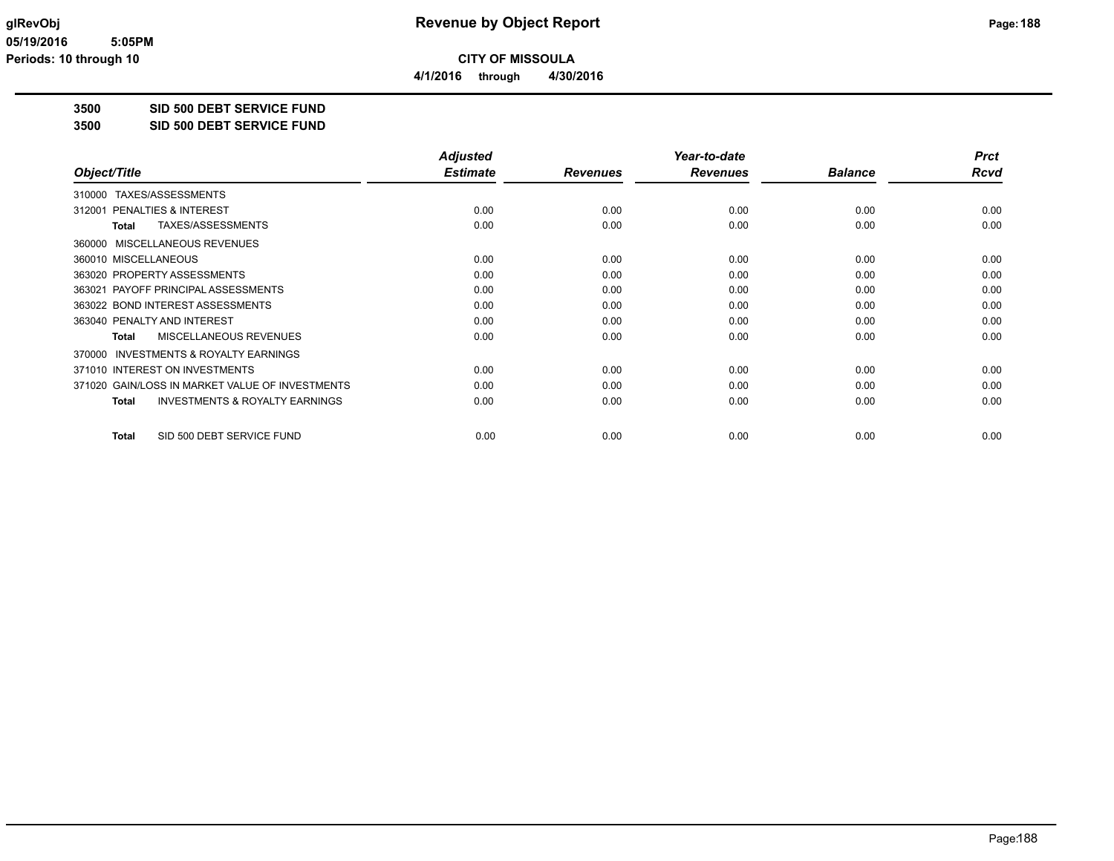**4/1/2016 through 4/30/2016**

**3500 SID 500 DEBT SERVICE FUND**

**3500 SID 500 DEBT SERVICE FUND**

|                                                           | <b>Adjusted</b> |                 | Year-to-date    |                | <b>Prct</b> |
|-----------------------------------------------------------|-----------------|-----------------|-----------------|----------------|-------------|
| Object/Title                                              | <b>Estimate</b> | <b>Revenues</b> | <b>Revenues</b> | <b>Balance</b> | <b>Rcvd</b> |
| TAXES/ASSESSMENTS<br>310000                               |                 |                 |                 |                |             |
| PENALTIES & INTEREST<br>312001                            | 0.00            | 0.00            | 0.00            | 0.00           | 0.00        |
| TAXES/ASSESSMENTS<br><b>Total</b>                         | 0.00            | 0.00            | 0.00            | 0.00           | 0.00        |
| 360000 MISCELLANEOUS REVENUES                             |                 |                 |                 |                |             |
| 360010 MISCELLANEOUS                                      | 0.00            | 0.00            | 0.00            | 0.00           | 0.00        |
| 363020 PROPERTY ASSESSMENTS                               | 0.00            | 0.00            | 0.00            | 0.00           | 0.00        |
| PAYOFF PRINCIPAL ASSESSMENTS<br>363021                    | 0.00            | 0.00            | 0.00            | 0.00           | 0.00        |
| 363022 BOND INTEREST ASSESSMENTS                          | 0.00            | 0.00            | 0.00            | 0.00           | 0.00        |
| 363040 PENALTY AND INTEREST                               | 0.00            | 0.00            | 0.00            | 0.00           | 0.00        |
| MISCELLANEOUS REVENUES<br><b>Total</b>                    | 0.00            | 0.00            | 0.00            | 0.00           | 0.00        |
| 370000 INVESTMENTS & ROYALTY EARNINGS                     |                 |                 |                 |                |             |
| 371010 INTEREST ON INVESTMENTS                            | 0.00            | 0.00            | 0.00            | 0.00           | 0.00        |
| 371020 GAIN/LOSS IN MARKET VALUE OF INVESTMENTS           | 0.00            | 0.00            | 0.00            | 0.00           | 0.00        |
| <b>INVESTMENTS &amp; ROYALTY EARNINGS</b><br><b>Total</b> | 0.00            | 0.00            | 0.00            | 0.00           | 0.00        |
| SID 500 DEBT SERVICE FUND<br><b>Total</b>                 | 0.00            | 0.00            | 0.00            | 0.00           | 0.00        |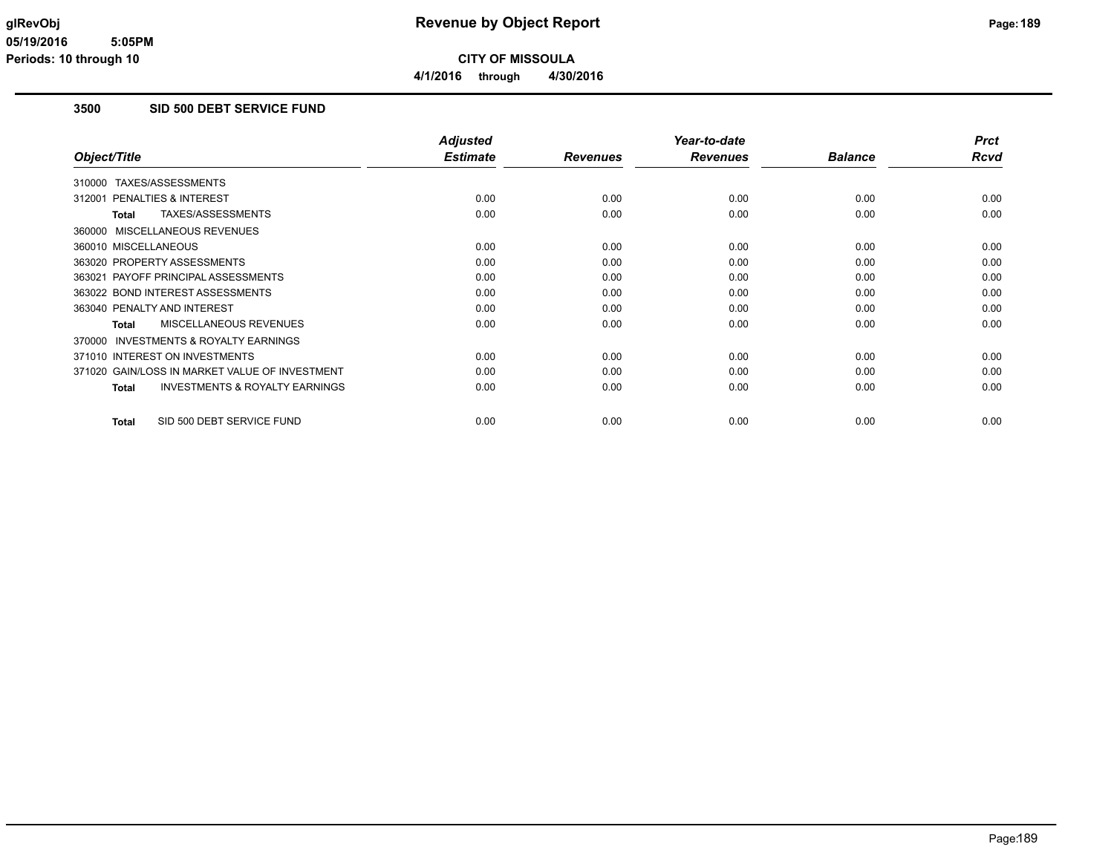**4/1/2016 through 4/30/2016**

## **3500 SID 500 DEBT SERVICE FUND**

|                                                           | <b>Adjusted</b> |                 | Year-to-date    |                | <b>Prct</b> |
|-----------------------------------------------------------|-----------------|-----------------|-----------------|----------------|-------------|
| Object/Title                                              | <b>Estimate</b> | <b>Revenues</b> | <b>Revenues</b> | <b>Balance</b> | Rcvd        |
| 310000 TAXES/ASSESSMENTS                                  |                 |                 |                 |                |             |
| <b>PENALTIES &amp; INTEREST</b><br>312001                 | 0.00            | 0.00            | 0.00            | 0.00           | 0.00        |
| TAXES/ASSESSMENTS<br>Total                                | 0.00            | 0.00            | 0.00            | 0.00           | 0.00        |
| 360000 MISCELLANEOUS REVENUES                             |                 |                 |                 |                |             |
| 360010 MISCELLANEOUS                                      | 0.00            | 0.00            | 0.00            | 0.00           | 0.00        |
| 363020 PROPERTY ASSESSMENTS                               | 0.00            | 0.00            | 0.00            | 0.00           | 0.00        |
| 363021 PAYOFF PRINCIPAL ASSESSMENTS                       | 0.00            | 0.00            | 0.00            | 0.00           | 0.00        |
| 363022 BOND INTEREST ASSESSMENTS                          | 0.00            | 0.00            | 0.00            | 0.00           | 0.00        |
| 363040 PENALTY AND INTEREST                               | 0.00            | 0.00            | 0.00            | 0.00           | 0.00        |
| MISCELLANEOUS REVENUES<br>Total                           | 0.00            | 0.00            | 0.00            | 0.00           | 0.00        |
| INVESTMENTS & ROYALTY EARNINGS<br>370000                  |                 |                 |                 |                |             |
| 371010 INTEREST ON INVESTMENTS                            | 0.00            | 0.00            | 0.00            | 0.00           | 0.00        |
| 371020 GAIN/LOSS IN MARKET VALUE OF INVESTMENT            | 0.00            | 0.00            | 0.00            | 0.00           | 0.00        |
| <b>INVESTMENTS &amp; ROYALTY EARNINGS</b><br><b>Total</b> | 0.00            | 0.00            | 0.00            | 0.00           | 0.00        |
| SID 500 DEBT SERVICE FUND<br><b>Total</b>                 | 0.00            | 0.00            | 0.00            | 0.00           | 0.00        |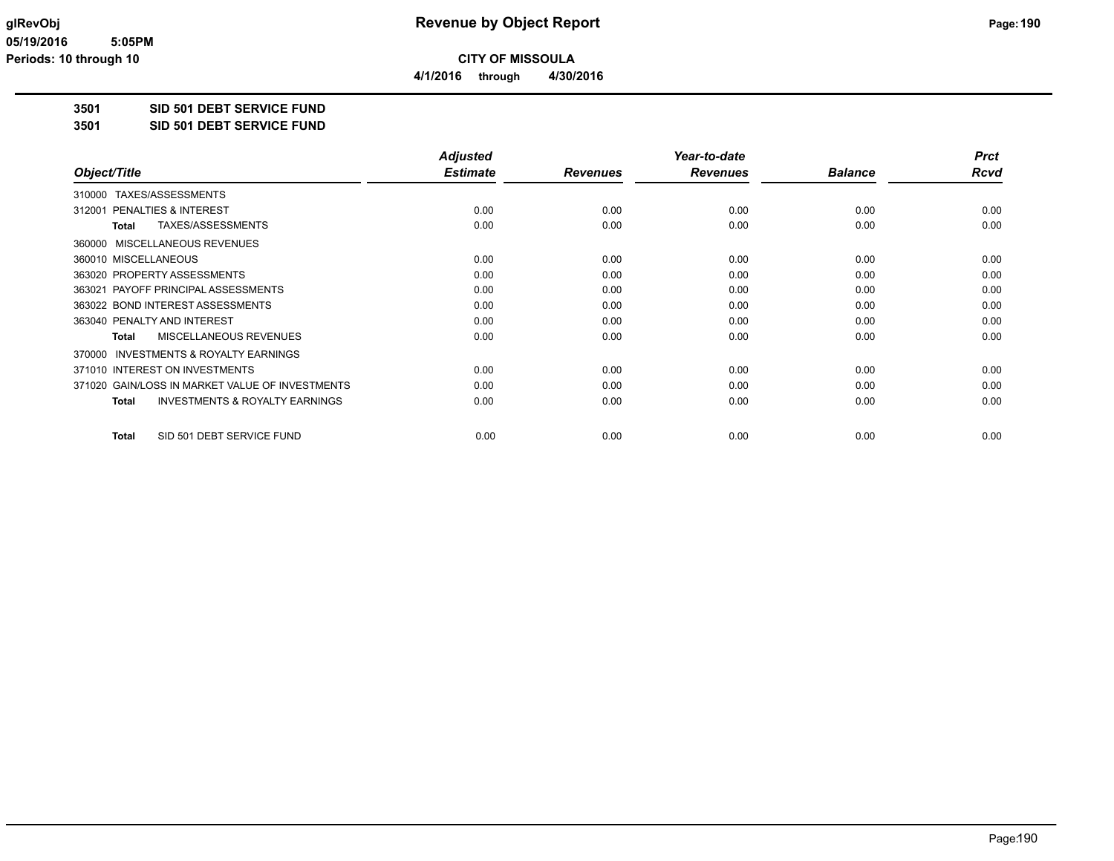**4/1/2016 through 4/30/2016**

**3501 SID 501 DEBT SERVICE FUND**

**3501 SID 501 DEBT SERVICE FUND**

|                                                           | <b>Adjusted</b> |                 | Year-to-date    |                | <b>Prct</b> |
|-----------------------------------------------------------|-----------------|-----------------|-----------------|----------------|-------------|
| Object/Title                                              | <b>Estimate</b> | <b>Revenues</b> | <b>Revenues</b> | <b>Balance</b> | Rcvd        |
| TAXES/ASSESSMENTS<br>310000                               |                 |                 |                 |                |             |
| 312001 PENALTIES & INTEREST                               | 0.00            | 0.00            | 0.00            | 0.00           | 0.00        |
| TAXES/ASSESSMENTS<br>Total                                | 0.00            | 0.00            | 0.00            | 0.00           | 0.00        |
| 360000 MISCELLANEOUS REVENUES                             |                 |                 |                 |                |             |
| 360010 MISCELLANEOUS                                      | 0.00            | 0.00            | 0.00            | 0.00           | 0.00        |
| 363020 PROPERTY ASSESSMENTS                               | 0.00            | 0.00            | 0.00            | 0.00           | 0.00        |
| 363021 PAYOFF PRINCIPAL ASSESSMENTS                       | 0.00            | 0.00            | 0.00            | 0.00           | 0.00        |
| 363022 BOND INTEREST ASSESSMENTS                          | 0.00            | 0.00            | 0.00            | 0.00           | 0.00        |
| 363040 PENALTY AND INTEREST                               | 0.00            | 0.00            | 0.00            | 0.00           | 0.00        |
| MISCELLANEOUS REVENUES<br>Total                           | 0.00            | 0.00            | 0.00            | 0.00           | 0.00        |
| 370000 INVESTMENTS & ROYALTY EARNINGS                     |                 |                 |                 |                |             |
| 371010 INTEREST ON INVESTMENTS                            | 0.00            | 0.00            | 0.00            | 0.00           | 0.00        |
| 371020 GAIN/LOSS IN MARKET VALUE OF INVESTMENTS           | 0.00            | 0.00            | 0.00            | 0.00           | 0.00        |
| <b>INVESTMENTS &amp; ROYALTY EARNINGS</b><br><b>Total</b> | 0.00            | 0.00            | 0.00            | 0.00           | 0.00        |
| SID 501 DEBT SERVICE FUND<br><b>Total</b>                 | 0.00            | 0.00            | 0.00            | 0.00           | 0.00        |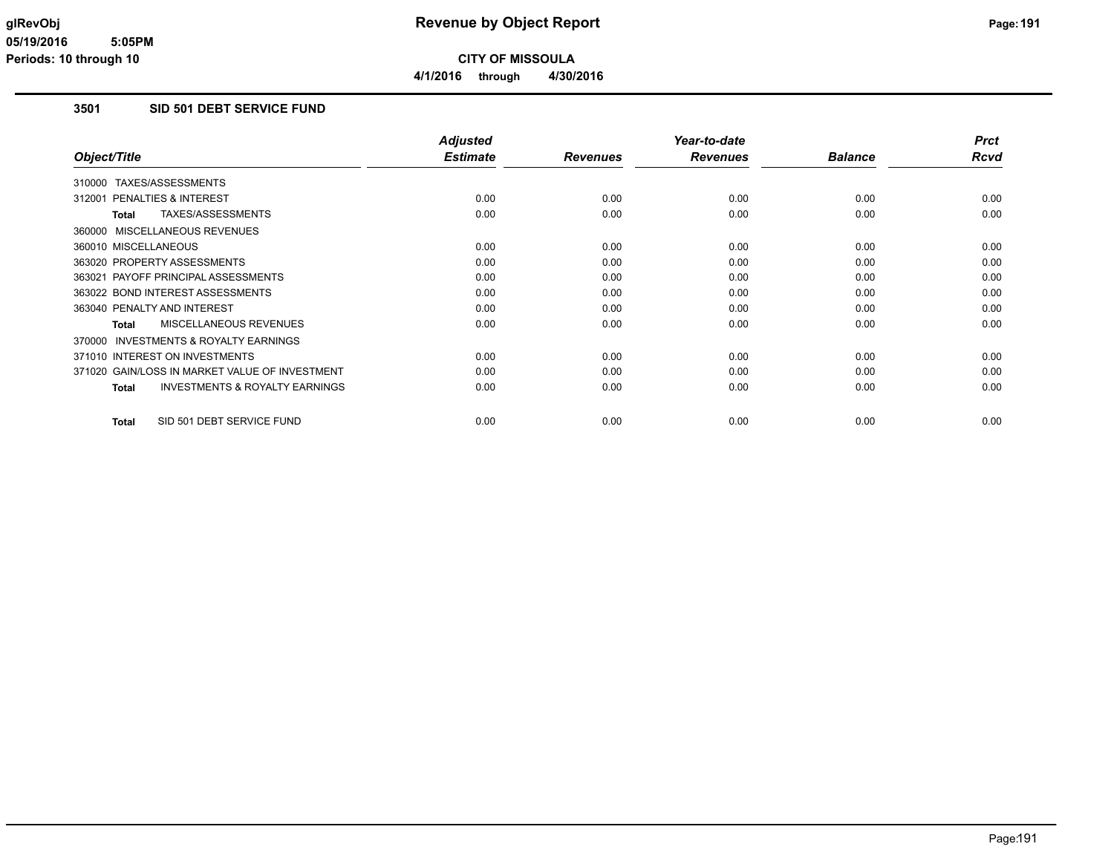**4/1/2016 through 4/30/2016**

# **3501 SID 501 DEBT SERVICE FUND**

|                                                           | <b>Adjusted</b> |                 | Year-to-date    |                | <b>Prct</b> |
|-----------------------------------------------------------|-----------------|-----------------|-----------------|----------------|-------------|
| Object/Title                                              | <b>Estimate</b> | <b>Revenues</b> | <b>Revenues</b> | <b>Balance</b> | Rcvd        |
| 310000 TAXES/ASSESSMENTS                                  |                 |                 |                 |                |             |
| <b>PENALTIES &amp; INTEREST</b><br>312001                 | 0.00            | 0.00            | 0.00            | 0.00           | 0.00        |
| TAXES/ASSESSMENTS<br>Total                                | 0.00            | 0.00            | 0.00            | 0.00           | 0.00        |
| 360000 MISCELLANEOUS REVENUES                             |                 |                 |                 |                |             |
| 360010 MISCELLANEOUS                                      | 0.00            | 0.00            | 0.00            | 0.00           | 0.00        |
| 363020 PROPERTY ASSESSMENTS                               | 0.00            | 0.00            | 0.00            | 0.00           | 0.00        |
| 363021 PAYOFF PRINCIPAL ASSESSMENTS                       | 0.00            | 0.00            | 0.00            | 0.00           | 0.00        |
| 363022 BOND INTEREST ASSESSMENTS                          | 0.00            | 0.00            | 0.00            | 0.00           | 0.00        |
| 363040 PENALTY AND INTEREST                               | 0.00            | 0.00            | 0.00            | 0.00           | 0.00        |
| MISCELLANEOUS REVENUES<br>Total                           | 0.00            | 0.00            | 0.00            | 0.00           | 0.00        |
| INVESTMENTS & ROYALTY EARNINGS<br>370000                  |                 |                 |                 |                |             |
| 371010 INTEREST ON INVESTMENTS                            | 0.00            | 0.00            | 0.00            | 0.00           | 0.00        |
| 371020 GAIN/LOSS IN MARKET VALUE OF INVESTMENT            | 0.00            | 0.00            | 0.00            | 0.00           | 0.00        |
| <b>INVESTMENTS &amp; ROYALTY EARNINGS</b><br><b>Total</b> | 0.00            | 0.00            | 0.00            | 0.00           | 0.00        |
| SID 501 DEBT SERVICE FUND<br><b>Total</b>                 | 0.00            | 0.00            | 0.00            | 0.00           | 0.00        |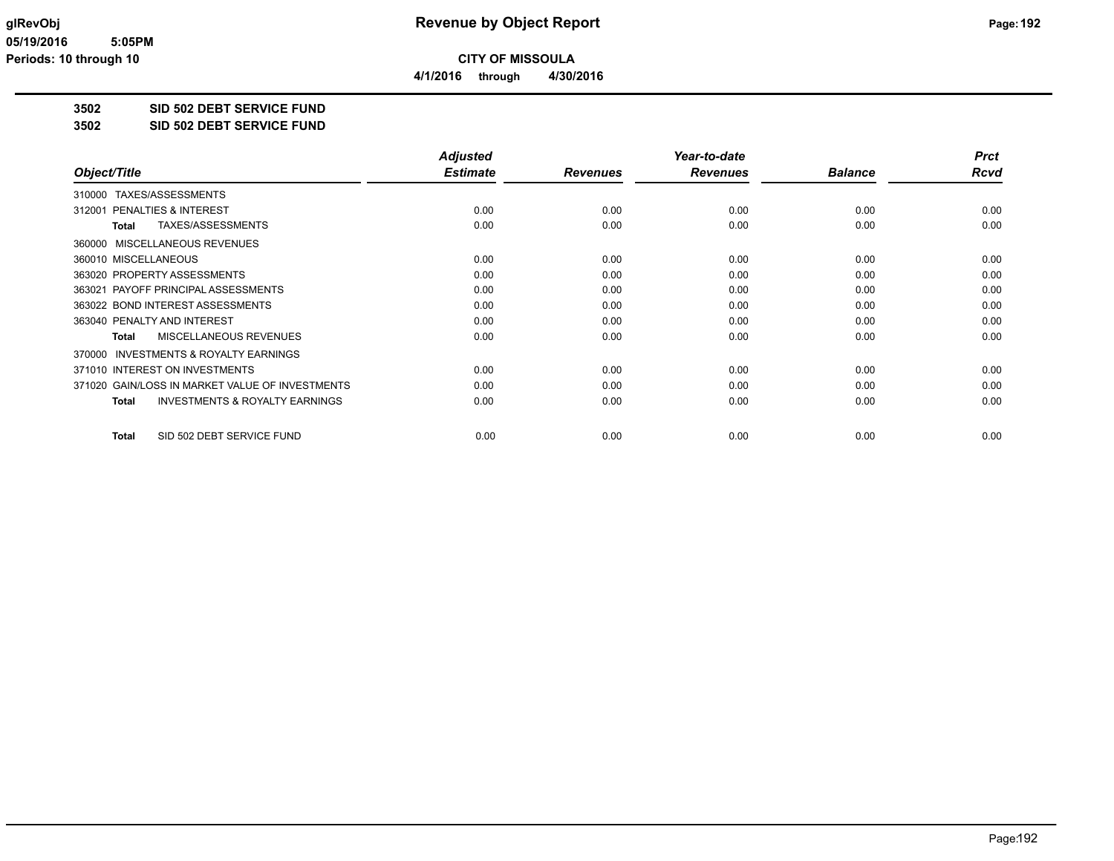**4/1/2016 through 4/30/2016**

**3502 SID 502 DEBT SERVICE FUND**

**3502 SID 502 DEBT SERVICE FUND**

|                                                    | <b>Adjusted</b> |                 | Year-to-date    |                | <b>Prct</b> |
|----------------------------------------------------|-----------------|-----------------|-----------------|----------------|-------------|
| Object/Title                                       | <b>Estimate</b> | <b>Revenues</b> | <b>Revenues</b> | <b>Balance</b> | Rcvd        |
| TAXES/ASSESSMENTS<br>310000                        |                 |                 |                 |                |             |
| 312001 PENALTIES & INTEREST                        | 0.00            | 0.00            | 0.00            | 0.00           | 0.00        |
| TAXES/ASSESSMENTS<br>Total                         | 0.00            | 0.00            | 0.00            | 0.00           | 0.00        |
| 360000 MISCELLANEOUS REVENUES                      |                 |                 |                 |                |             |
| 360010 MISCELLANEOUS                               | 0.00            | 0.00            | 0.00            | 0.00           | 0.00        |
| 363020 PROPERTY ASSESSMENTS                        | 0.00            | 0.00            | 0.00            | 0.00           | 0.00        |
| 363021 PAYOFF PRINCIPAL ASSESSMENTS                | 0.00            | 0.00            | 0.00            | 0.00           | 0.00        |
| 363022 BOND INTEREST ASSESSMENTS                   | 0.00            | 0.00            | 0.00            | 0.00           | 0.00        |
| 363040 PENALTY AND INTEREST                        | 0.00            | 0.00            | 0.00            | 0.00           | 0.00        |
| MISCELLANEOUS REVENUES<br>Total                    | 0.00            | 0.00            | 0.00            | 0.00           | 0.00        |
| 370000 INVESTMENTS & ROYALTY EARNINGS              |                 |                 |                 |                |             |
| 371010 INTEREST ON INVESTMENTS                     | 0.00            | 0.00            | 0.00            | 0.00           | 0.00        |
| 371020 GAIN/LOSS IN MARKET VALUE OF INVESTMENTS    | 0.00            | 0.00            | 0.00            | 0.00           | 0.00        |
| <b>INVESTMENTS &amp; ROYALTY EARNINGS</b><br>Total | 0.00            | 0.00            | 0.00            | 0.00           | 0.00        |
| SID 502 DEBT SERVICE FUND<br><b>Total</b>          | 0.00            | 0.00            | 0.00            | 0.00           | 0.00        |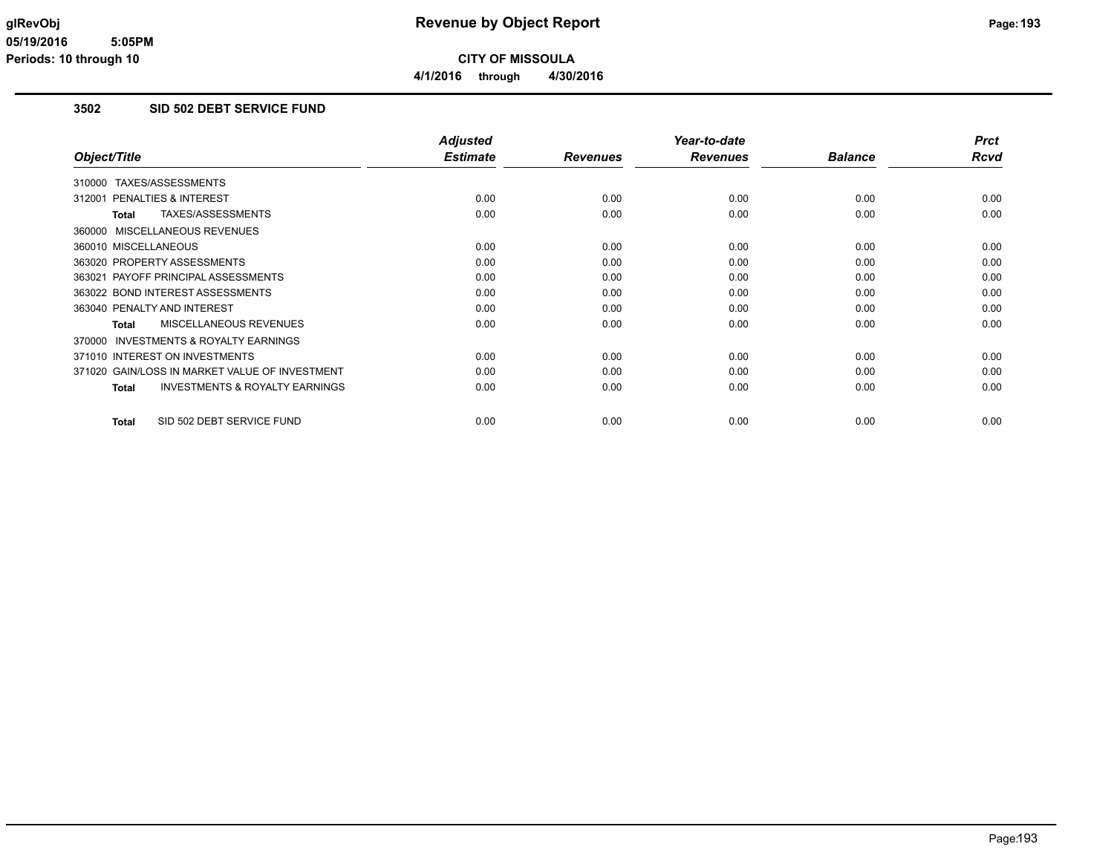# **3502 SID 502 DEBT SERVICE FUND**

|                                                           | <b>Adjusted</b> |                 | Year-to-date    |                | <b>Prct</b> |
|-----------------------------------------------------------|-----------------|-----------------|-----------------|----------------|-------------|
| Object/Title                                              | <b>Estimate</b> | <b>Revenues</b> | <b>Revenues</b> | <b>Balance</b> | Rcvd        |
| 310000 TAXES/ASSESSMENTS                                  |                 |                 |                 |                |             |
| 312001 PENALTIES & INTEREST                               | 0.00            | 0.00            | 0.00            | 0.00           | 0.00        |
| TAXES/ASSESSMENTS<br><b>Total</b>                         | 0.00            | 0.00            | 0.00            | 0.00           | 0.00        |
| 360000 MISCELLANEOUS REVENUES                             |                 |                 |                 |                |             |
| 360010 MISCELLANEOUS                                      | 0.00            | 0.00            | 0.00            | 0.00           | 0.00        |
| 363020 PROPERTY ASSESSMENTS                               | 0.00            | 0.00            | 0.00            | 0.00           | 0.00        |
| 363021 PAYOFF PRINCIPAL ASSESSMENTS                       | 0.00            | 0.00            | 0.00            | 0.00           | 0.00        |
| 363022 BOND INTEREST ASSESSMENTS                          | 0.00            | 0.00            | 0.00            | 0.00           | 0.00        |
| 363040 PENALTY AND INTEREST                               | 0.00            | 0.00            | 0.00            | 0.00           | 0.00        |
| <b>MISCELLANEOUS REVENUES</b><br><b>Total</b>             | 0.00            | 0.00            | 0.00            | 0.00           | 0.00        |
| INVESTMENTS & ROYALTY EARNINGS<br>370000                  |                 |                 |                 |                |             |
| 371010 INTEREST ON INVESTMENTS                            | 0.00            | 0.00            | 0.00            | 0.00           | 0.00        |
| 371020 GAIN/LOSS IN MARKET VALUE OF INVESTMENT            | 0.00            | 0.00            | 0.00            | 0.00           | 0.00        |
| <b>INVESTMENTS &amp; ROYALTY EARNINGS</b><br><b>Total</b> | 0.00            | 0.00            | 0.00            | 0.00           | 0.00        |
| SID 502 DEBT SERVICE FUND<br><b>Total</b>                 | 0.00            | 0.00            | 0.00            | 0.00           | 0.00        |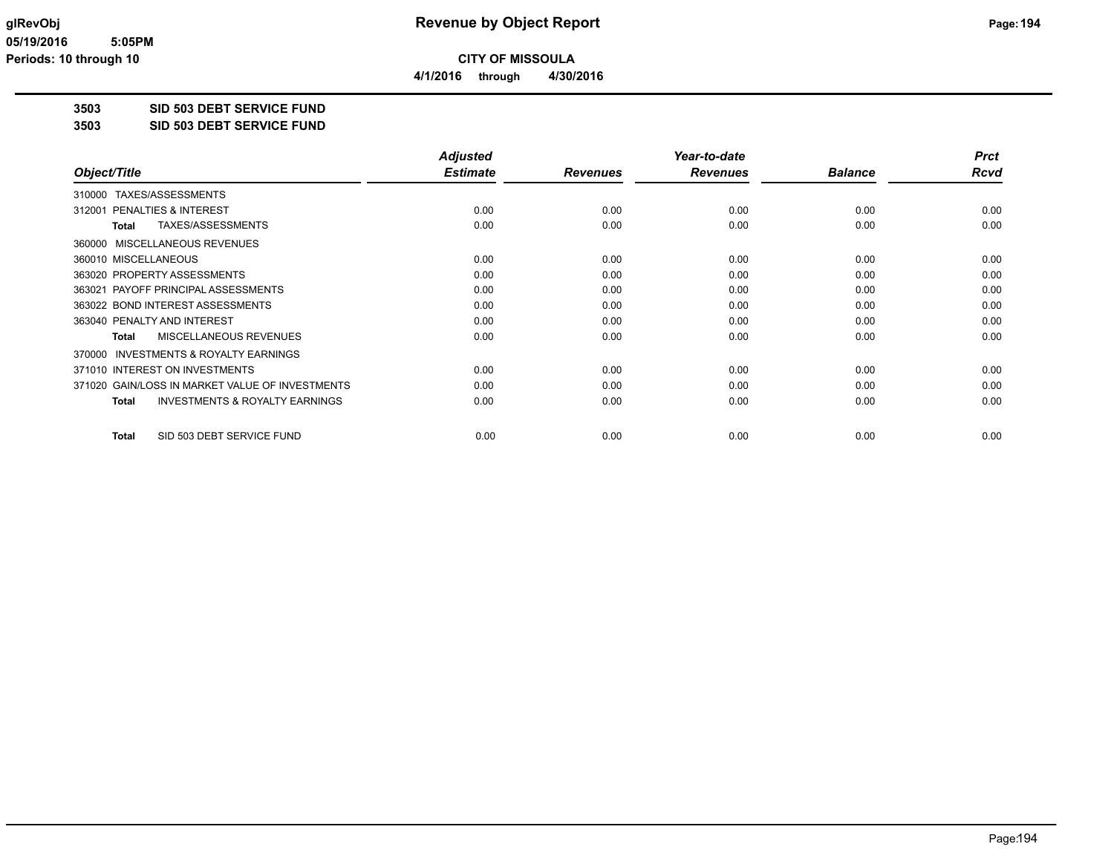**4/1/2016 through 4/30/2016**

**3503 SID 503 DEBT SERVICE FUND**

**3503 SID 503 DEBT SERVICE FUND**

|                                                           | <b>Adjusted</b> |                 | Year-to-date    |                | <b>Prct</b> |
|-----------------------------------------------------------|-----------------|-----------------|-----------------|----------------|-------------|
| Object/Title                                              | <b>Estimate</b> | <b>Revenues</b> | <b>Revenues</b> | <b>Balance</b> | Rcvd        |
| 310000 TAXES/ASSESSMENTS                                  |                 |                 |                 |                |             |
| 312001 PENALTIES & INTEREST                               | 0.00            | 0.00            | 0.00            | 0.00           | 0.00        |
| TAXES/ASSESSMENTS<br><b>Total</b>                         | 0.00            | 0.00            | 0.00            | 0.00           | 0.00        |
| 360000 MISCELLANEOUS REVENUES                             |                 |                 |                 |                |             |
| 360010 MISCELLANEOUS                                      | 0.00            | 0.00            | 0.00            | 0.00           | 0.00        |
| 363020 PROPERTY ASSESSMENTS                               | 0.00            | 0.00            | 0.00            | 0.00           | 0.00        |
| 363021 PAYOFF PRINCIPAL ASSESSMENTS                       | 0.00            | 0.00            | 0.00            | 0.00           | 0.00        |
| 363022 BOND INTEREST ASSESSMENTS                          | 0.00            | 0.00            | 0.00            | 0.00           | 0.00        |
| 363040 PENALTY AND INTEREST                               | 0.00            | 0.00            | 0.00            | 0.00           | 0.00        |
| MISCELLANEOUS REVENUES<br><b>Total</b>                    | 0.00            | 0.00            | 0.00            | 0.00           | 0.00        |
| 370000 INVESTMENTS & ROYALTY EARNINGS                     |                 |                 |                 |                |             |
| 371010 INTEREST ON INVESTMENTS                            | 0.00            | 0.00            | 0.00            | 0.00           | 0.00        |
| 371020 GAIN/LOSS IN MARKET VALUE OF INVESTMENTS           | 0.00            | 0.00            | 0.00            | 0.00           | 0.00        |
| <b>INVESTMENTS &amp; ROYALTY EARNINGS</b><br><b>Total</b> | 0.00            | 0.00            | 0.00            | 0.00           | 0.00        |
| SID 503 DEBT SERVICE FUND<br><b>Total</b>                 | 0.00            | 0.00            | 0.00            | 0.00           | 0.00        |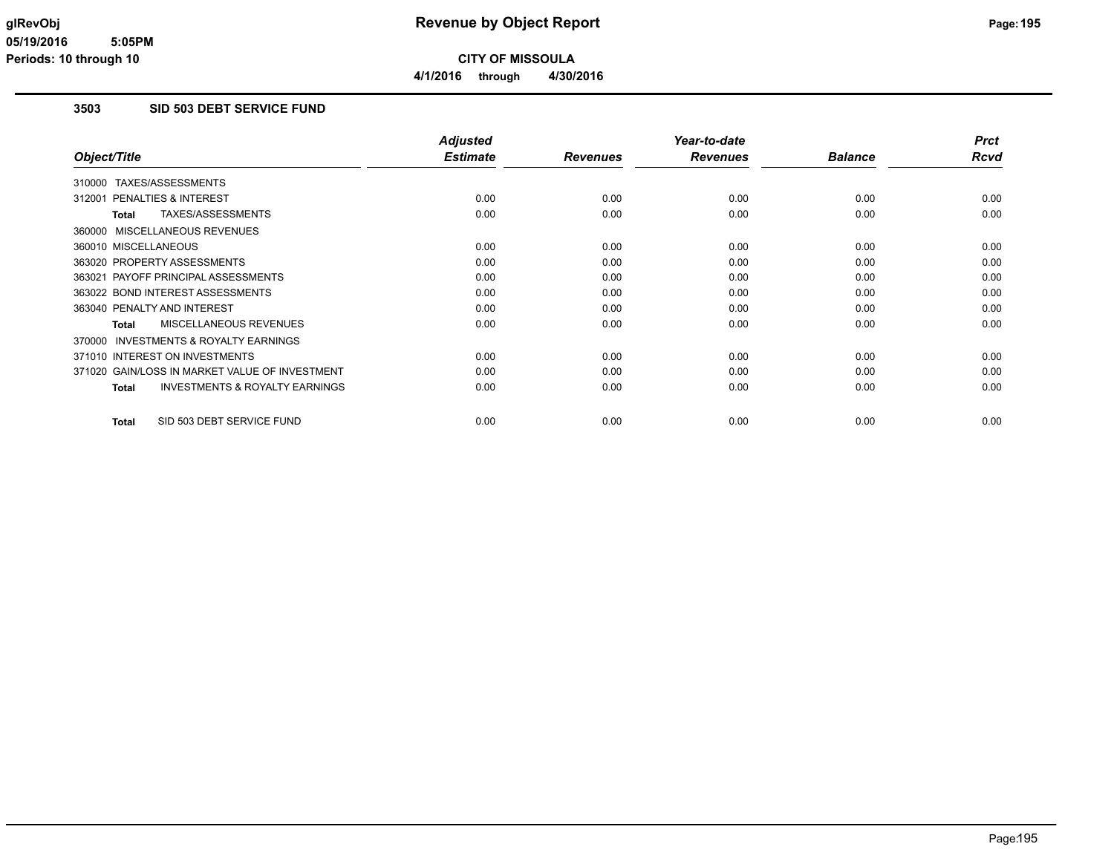**4/1/2016 through 4/30/2016**

## **3503 SID 503 DEBT SERVICE FUND**

|                                                           | <b>Adjusted</b> |                 | Year-to-date    |                | <b>Prct</b> |
|-----------------------------------------------------------|-----------------|-----------------|-----------------|----------------|-------------|
| Object/Title                                              | <b>Estimate</b> | <b>Revenues</b> | <b>Revenues</b> | <b>Balance</b> | Rcvd        |
| 310000 TAXES/ASSESSMENTS                                  |                 |                 |                 |                |             |
| <b>PENALTIES &amp; INTEREST</b><br>312001                 | 0.00            | 0.00            | 0.00            | 0.00           | 0.00        |
| TAXES/ASSESSMENTS<br>Total                                | 0.00            | 0.00            | 0.00            | 0.00           | 0.00        |
| 360000 MISCELLANEOUS REVENUES                             |                 |                 |                 |                |             |
| 360010 MISCELLANEOUS                                      | 0.00            | 0.00            | 0.00            | 0.00           | 0.00        |
| 363020 PROPERTY ASSESSMENTS                               | 0.00            | 0.00            | 0.00            | 0.00           | 0.00        |
| 363021 PAYOFF PRINCIPAL ASSESSMENTS                       | 0.00            | 0.00            | 0.00            | 0.00           | 0.00        |
| 363022 BOND INTEREST ASSESSMENTS                          | 0.00            | 0.00            | 0.00            | 0.00           | 0.00        |
| 363040 PENALTY AND INTEREST                               | 0.00            | 0.00            | 0.00            | 0.00           | 0.00        |
| MISCELLANEOUS REVENUES<br>Total                           | 0.00            | 0.00            | 0.00            | 0.00           | 0.00        |
| INVESTMENTS & ROYALTY EARNINGS<br>370000                  |                 |                 |                 |                |             |
| 371010 INTEREST ON INVESTMENTS                            | 0.00            | 0.00            | 0.00            | 0.00           | 0.00        |
| 371020 GAIN/LOSS IN MARKET VALUE OF INVESTMENT            | 0.00            | 0.00            | 0.00            | 0.00           | 0.00        |
| <b>INVESTMENTS &amp; ROYALTY EARNINGS</b><br><b>Total</b> | 0.00            | 0.00            | 0.00            | 0.00           | 0.00        |
| SID 503 DEBT SERVICE FUND<br><b>Total</b>                 | 0.00            | 0.00            | 0.00            | 0.00           | 0.00        |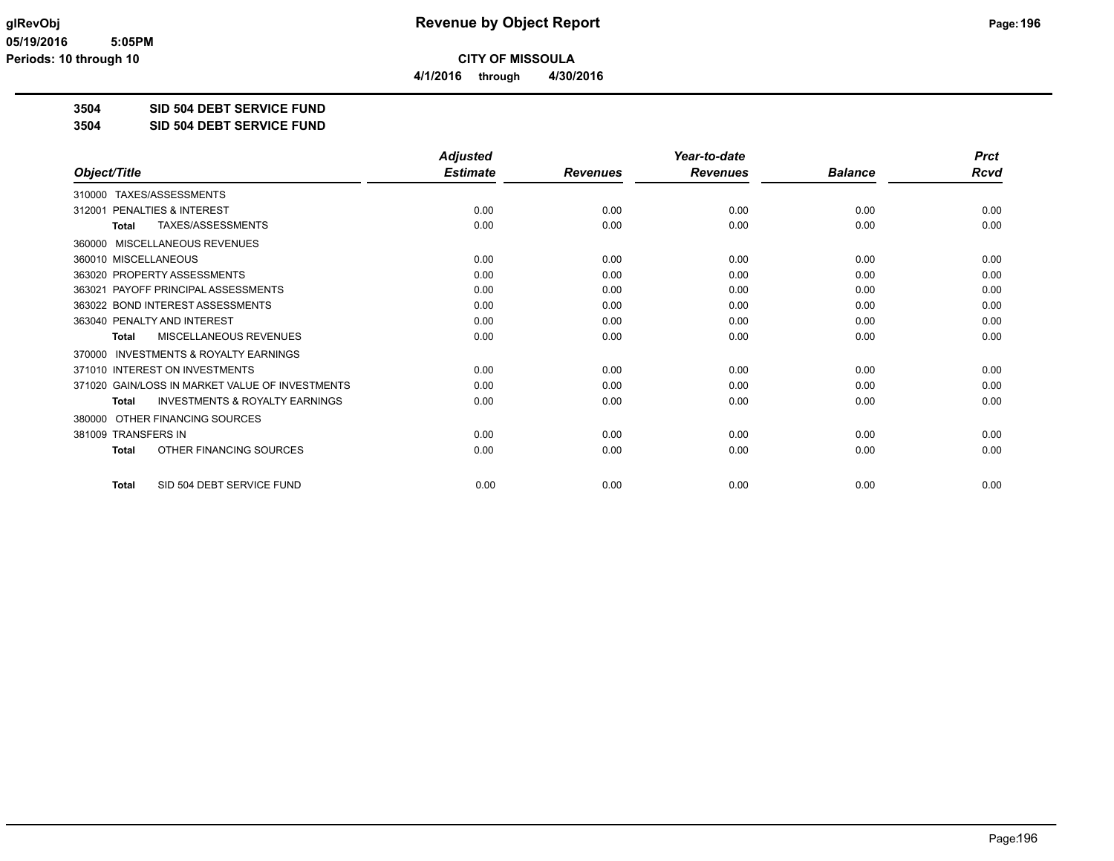**4/1/2016 through 4/30/2016**

**3504 SID 504 DEBT SERVICE FUND**

**3504 SID 504 DEBT SERVICE FUND**

|                                                    | <b>Adjusted</b> |                 | Year-to-date    |                | <b>Prct</b> |
|----------------------------------------------------|-----------------|-----------------|-----------------|----------------|-------------|
| Object/Title                                       | <b>Estimate</b> | <b>Revenues</b> | <b>Revenues</b> | <b>Balance</b> | Rcvd        |
| TAXES/ASSESSMENTS<br>310000                        |                 |                 |                 |                |             |
| <b>PENALTIES &amp; INTEREST</b><br>312001          | 0.00            | 0.00            | 0.00            | 0.00           | 0.00        |
| TAXES/ASSESSMENTS<br><b>Total</b>                  | 0.00            | 0.00            | 0.00            | 0.00           | 0.00        |
| 360000 MISCELLANEOUS REVENUES                      |                 |                 |                 |                |             |
| 360010 MISCELLANEOUS                               | 0.00            | 0.00            | 0.00            | 0.00           | 0.00        |
| 363020 PROPERTY ASSESSMENTS                        | 0.00            | 0.00            | 0.00            | 0.00           | 0.00        |
| PAYOFF PRINCIPAL ASSESSMENTS<br>363021             | 0.00            | 0.00            | 0.00            | 0.00           | 0.00        |
| 363022 BOND INTEREST ASSESSMENTS                   | 0.00            | 0.00            | 0.00            | 0.00           | 0.00        |
| 363040 PENALTY AND INTEREST                        | 0.00            | 0.00            | 0.00            | 0.00           | 0.00        |
| MISCELLANEOUS REVENUES<br><b>Total</b>             | 0.00            | 0.00            | 0.00            | 0.00           | 0.00        |
| INVESTMENTS & ROYALTY EARNINGS<br>370000           |                 |                 |                 |                |             |
| 371010 INTEREST ON INVESTMENTS                     | 0.00            | 0.00            | 0.00            | 0.00           | 0.00        |
| 371020 GAIN/LOSS IN MARKET VALUE OF INVESTMENTS    | 0.00            | 0.00            | 0.00            | 0.00           | 0.00        |
| <b>INVESTMENTS &amp; ROYALTY EARNINGS</b><br>Total | 0.00            | 0.00            | 0.00            | 0.00           | 0.00        |
| OTHER FINANCING SOURCES<br>380000                  |                 |                 |                 |                |             |
| 381009 TRANSFERS IN                                | 0.00            | 0.00            | 0.00            | 0.00           | 0.00        |
| OTHER FINANCING SOURCES<br><b>Total</b>            | 0.00            | 0.00            | 0.00            | 0.00           | 0.00        |
| SID 504 DEBT SERVICE FUND<br><b>Total</b>          | 0.00            | 0.00            | 0.00            | 0.00           | 0.00        |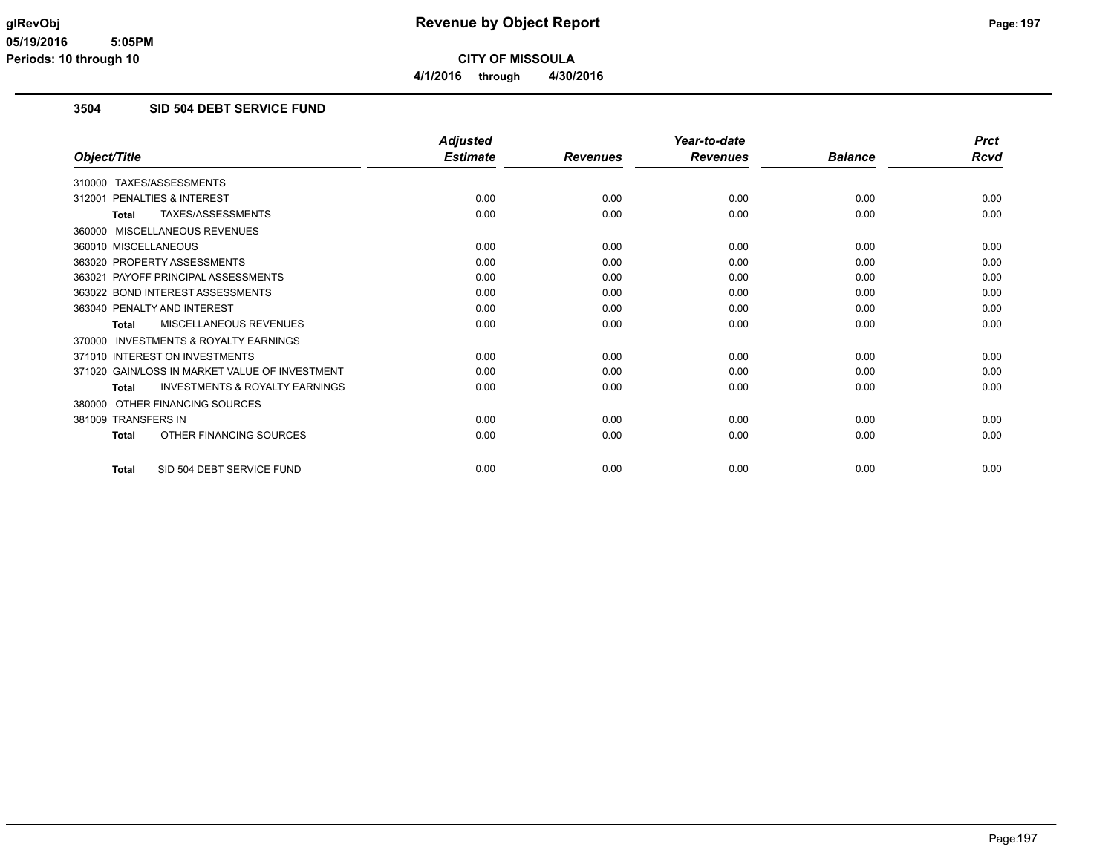### **3504 SID 504 DEBT SERVICE FUND**

|                                                           | <b>Adjusted</b> |                 | Year-to-date    |                | <b>Prct</b> |
|-----------------------------------------------------------|-----------------|-----------------|-----------------|----------------|-------------|
| Object/Title                                              | <b>Estimate</b> | <b>Revenues</b> | <b>Revenues</b> | <b>Balance</b> | <b>Rcvd</b> |
| 310000 TAXES/ASSESSMENTS                                  |                 |                 |                 |                |             |
| <b>PENALTIES &amp; INTEREST</b><br>312001                 | 0.00            | 0.00            | 0.00            | 0.00           | 0.00        |
| TAXES/ASSESSMENTS<br><b>Total</b>                         | 0.00            | 0.00            | 0.00            | 0.00           | 0.00        |
| 360000 MISCELLANEOUS REVENUES                             |                 |                 |                 |                |             |
| 360010 MISCELLANEOUS                                      | 0.00            | 0.00            | 0.00            | 0.00           | 0.00        |
| 363020 PROPERTY ASSESSMENTS                               | 0.00            | 0.00            | 0.00            | 0.00           | 0.00        |
| 363021 PAYOFF PRINCIPAL ASSESSMENTS                       | 0.00            | 0.00            | 0.00            | 0.00           | 0.00        |
| 363022 BOND INTEREST ASSESSMENTS                          | 0.00            | 0.00            | 0.00            | 0.00           | 0.00        |
| 363040 PENALTY AND INTEREST                               | 0.00            | 0.00            | 0.00            | 0.00           | 0.00        |
| <b>MISCELLANEOUS REVENUES</b><br><b>Total</b>             | 0.00            | 0.00            | 0.00            | 0.00           | 0.00        |
| 370000 INVESTMENTS & ROYALTY EARNINGS                     |                 |                 |                 |                |             |
| 371010 INTEREST ON INVESTMENTS                            | 0.00            | 0.00            | 0.00            | 0.00           | 0.00        |
| 371020 GAIN/LOSS IN MARKET VALUE OF INVESTMENT            | 0.00            | 0.00            | 0.00            | 0.00           | 0.00        |
| <b>INVESTMENTS &amp; ROYALTY EARNINGS</b><br><b>Total</b> | 0.00            | 0.00            | 0.00            | 0.00           | 0.00        |
| 380000 OTHER FINANCING SOURCES                            |                 |                 |                 |                |             |
| 381009 TRANSFERS IN                                       | 0.00            | 0.00            | 0.00            | 0.00           | 0.00        |
| OTHER FINANCING SOURCES<br><b>Total</b>                   | 0.00            | 0.00            | 0.00            | 0.00           | 0.00        |
| SID 504 DEBT SERVICE FUND<br><b>Total</b>                 | 0.00            | 0.00            | 0.00            | 0.00           | 0.00        |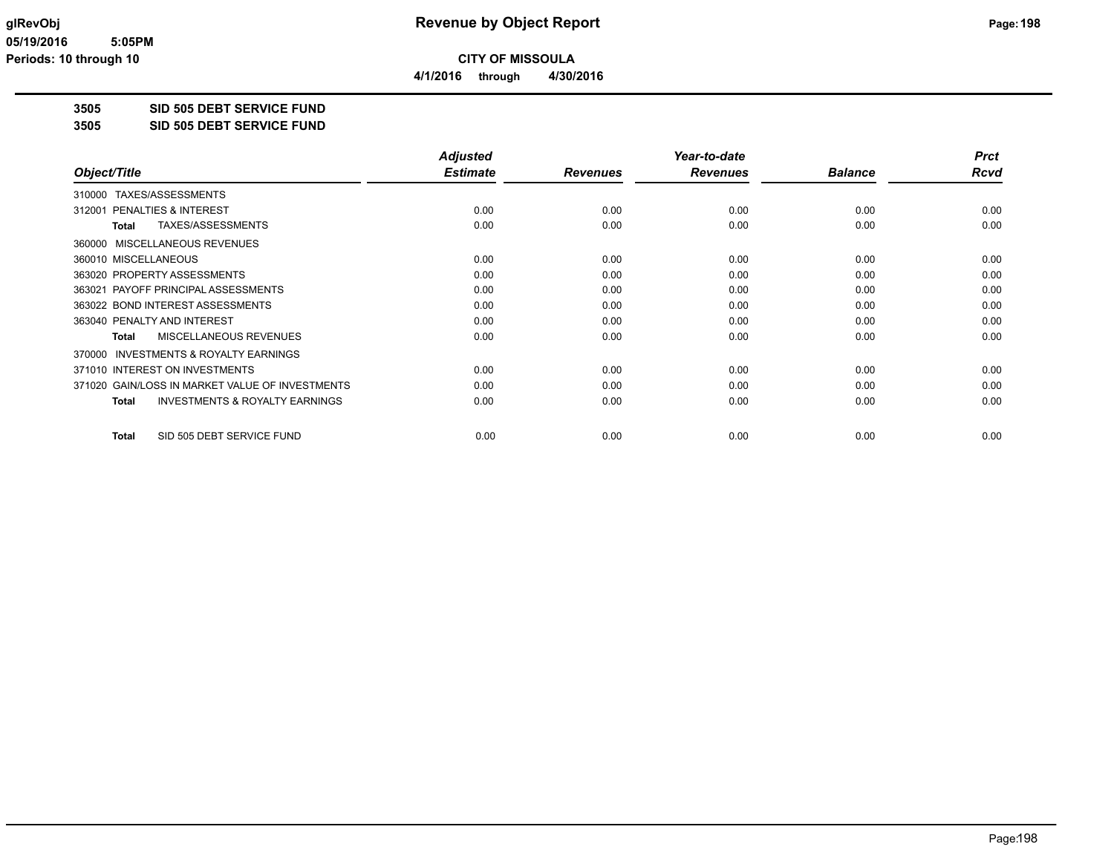**4/1/2016 through 4/30/2016**

**3505 SID 505 DEBT SERVICE FUND**

**3505 SID 505 DEBT SERVICE FUND**

|                                                    | <b>Adjusted</b> |                 | Year-to-date    |                | <b>Prct</b> |
|----------------------------------------------------|-----------------|-----------------|-----------------|----------------|-------------|
| Object/Title                                       | <b>Estimate</b> | <b>Revenues</b> | <b>Revenues</b> | <b>Balance</b> | Rcvd        |
| TAXES/ASSESSMENTS<br>310000                        |                 |                 |                 |                |             |
| 312001 PENALTIES & INTEREST                        | 0.00            | 0.00            | 0.00            | 0.00           | 0.00        |
| TAXES/ASSESSMENTS<br>Total                         | 0.00            | 0.00            | 0.00            | 0.00           | 0.00        |
| 360000 MISCELLANEOUS REVENUES                      |                 |                 |                 |                |             |
| 360010 MISCELLANEOUS                               | 0.00            | 0.00            | 0.00            | 0.00           | 0.00        |
| 363020 PROPERTY ASSESSMENTS                        | 0.00            | 0.00            | 0.00            | 0.00           | 0.00        |
| 363021 PAYOFF PRINCIPAL ASSESSMENTS                | 0.00            | 0.00            | 0.00            | 0.00           | 0.00        |
| 363022 BOND INTEREST ASSESSMENTS                   | 0.00            | 0.00            | 0.00            | 0.00           | 0.00        |
| 363040 PENALTY AND INTEREST                        | 0.00            | 0.00            | 0.00            | 0.00           | 0.00        |
| MISCELLANEOUS REVENUES<br>Total                    | 0.00            | 0.00            | 0.00            | 0.00           | 0.00        |
| 370000 INVESTMENTS & ROYALTY EARNINGS              |                 |                 |                 |                |             |
| 371010 INTEREST ON INVESTMENTS                     | 0.00            | 0.00            | 0.00            | 0.00           | 0.00        |
| 371020 GAIN/LOSS IN MARKET VALUE OF INVESTMENTS    | 0.00            | 0.00            | 0.00            | 0.00           | 0.00        |
| <b>INVESTMENTS &amp; ROYALTY EARNINGS</b><br>Total | 0.00            | 0.00            | 0.00            | 0.00           | 0.00        |
| SID 505 DEBT SERVICE FUND<br><b>Total</b>          | 0.00            | 0.00            | 0.00            | 0.00           | 0.00        |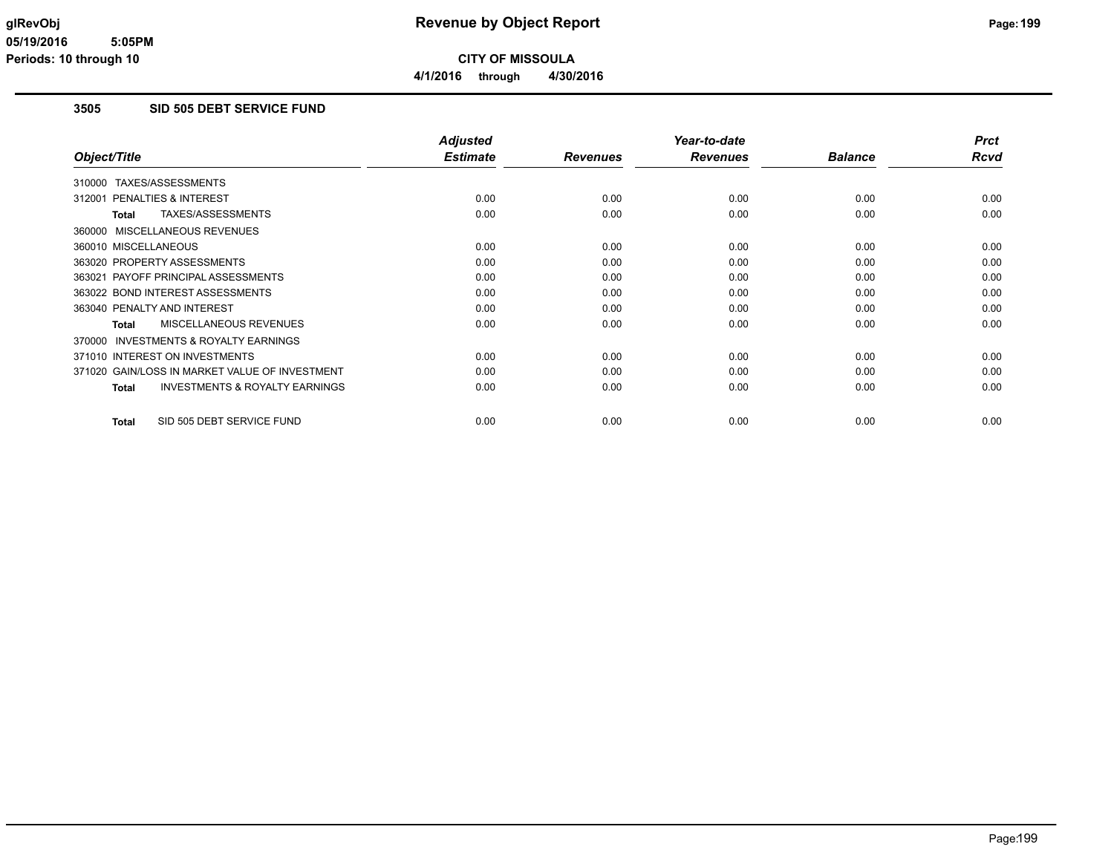## **3505 SID 505 DEBT SERVICE FUND**

|                                                           | <b>Adjusted</b> |                 | Year-to-date    |                | <b>Prct</b> |
|-----------------------------------------------------------|-----------------|-----------------|-----------------|----------------|-------------|
| Object/Title                                              | <b>Estimate</b> | <b>Revenues</b> | <b>Revenues</b> | <b>Balance</b> | Rcvd        |
| 310000 TAXES/ASSESSMENTS                                  |                 |                 |                 |                |             |
| 312001 PENALTIES & INTEREST                               | 0.00            | 0.00            | 0.00            | 0.00           | 0.00        |
| TAXES/ASSESSMENTS<br><b>Total</b>                         | 0.00            | 0.00            | 0.00            | 0.00           | 0.00        |
| 360000 MISCELLANEOUS REVENUES                             |                 |                 |                 |                |             |
| 360010 MISCELLANEOUS                                      | 0.00            | 0.00            | 0.00            | 0.00           | 0.00        |
| 363020 PROPERTY ASSESSMENTS                               | 0.00            | 0.00            | 0.00            | 0.00           | 0.00        |
| 363021 PAYOFF PRINCIPAL ASSESSMENTS                       | 0.00            | 0.00            | 0.00            | 0.00           | 0.00        |
| 363022 BOND INTEREST ASSESSMENTS                          | 0.00            | 0.00            | 0.00            | 0.00           | 0.00        |
| 363040 PENALTY AND INTEREST                               | 0.00            | 0.00            | 0.00            | 0.00           | 0.00        |
| <b>MISCELLANEOUS REVENUES</b><br><b>Total</b>             | 0.00            | 0.00            | 0.00            | 0.00           | 0.00        |
| INVESTMENTS & ROYALTY EARNINGS<br>370000                  |                 |                 |                 |                |             |
| 371010 INTEREST ON INVESTMENTS                            | 0.00            | 0.00            | 0.00            | 0.00           | 0.00        |
| 371020 GAIN/LOSS IN MARKET VALUE OF INVESTMENT            | 0.00            | 0.00            | 0.00            | 0.00           | 0.00        |
| <b>INVESTMENTS &amp; ROYALTY EARNINGS</b><br><b>Total</b> | 0.00            | 0.00            | 0.00            | 0.00           | 0.00        |
| SID 505 DEBT SERVICE FUND<br><b>Total</b>                 | 0.00            | 0.00            | 0.00            | 0.00           | 0.00        |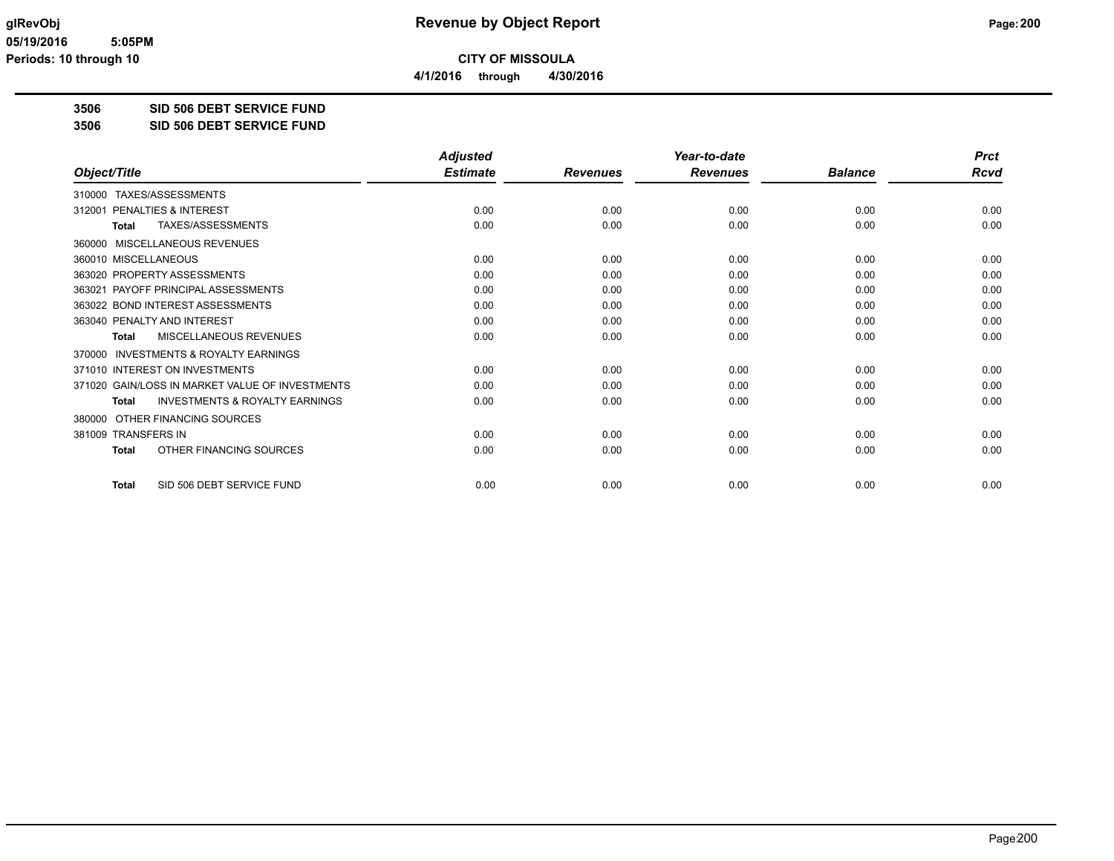**4/1/2016 through 4/30/2016**

**3506 SID 506 DEBT SERVICE FUND**

**3506 SID 506 DEBT SERVICE FUND**

|                                                           | <b>Adjusted</b> |                 | Year-to-date    |                | <b>Prct</b> |
|-----------------------------------------------------------|-----------------|-----------------|-----------------|----------------|-------------|
| Object/Title                                              | <b>Estimate</b> | <b>Revenues</b> | <b>Revenues</b> | <b>Balance</b> | Rcvd        |
| TAXES/ASSESSMENTS<br>310000                               |                 |                 |                 |                |             |
| <b>PENALTIES &amp; INTEREST</b><br>312001                 | 0.00            | 0.00            | 0.00            | 0.00           | 0.00        |
| TAXES/ASSESSMENTS<br>Total                                | 0.00            | 0.00            | 0.00            | 0.00           | 0.00        |
| 360000 MISCELLANEOUS REVENUES                             |                 |                 |                 |                |             |
| 360010 MISCELLANEOUS                                      | 0.00            | 0.00            | 0.00            | 0.00           | 0.00        |
| 363020 PROPERTY ASSESSMENTS                               | 0.00            | 0.00            | 0.00            | 0.00           | 0.00        |
| PAYOFF PRINCIPAL ASSESSMENTS<br>363021                    | 0.00            | 0.00            | 0.00            | 0.00           | 0.00        |
| 363022 BOND INTEREST ASSESSMENTS                          | 0.00            | 0.00            | 0.00            | 0.00           | 0.00        |
| 363040 PENALTY AND INTEREST                               | 0.00            | 0.00            | 0.00            | 0.00           | 0.00        |
| MISCELLANEOUS REVENUES<br><b>Total</b>                    | 0.00            | 0.00            | 0.00            | 0.00           | 0.00        |
| <b>INVESTMENTS &amp; ROYALTY EARNINGS</b><br>370000       |                 |                 |                 |                |             |
| 371010 INTEREST ON INVESTMENTS                            | 0.00            | 0.00            | 0.00            | 0.00           | 0.00        |
| 371020 GAIN/LOSS IN MARKET VALUE OF INVESTMENTS           | 0.00            | 0.00            | 0.00            | 0.00           | 0.00        |
| <b>INVESTMENTS &amp; ROYALTY EARNINGS</b><br><b>Total</b> | 0.00            | 0.00            | 0.00            | 0.00           | 0.00        |
| OTHER FINANCING SOURCES<br>380000                         |                 |                 |                 |                |             |
| 381009 TRANSFERS IN                                       | 0.00            | 0.00            | 0.00            | 0.00           | 0.00        |
| OTHER FINANCING SOURCES<br><b>Total</b>                   | 0.00            | 0.00            | 0.00            | 0.00           | 0.00        |
| SID 506 DEBT SERVICE FUND<br><b>Total</b>                 | 0.00            | 0.00            | 0.00            | 0.00           | 0.00        |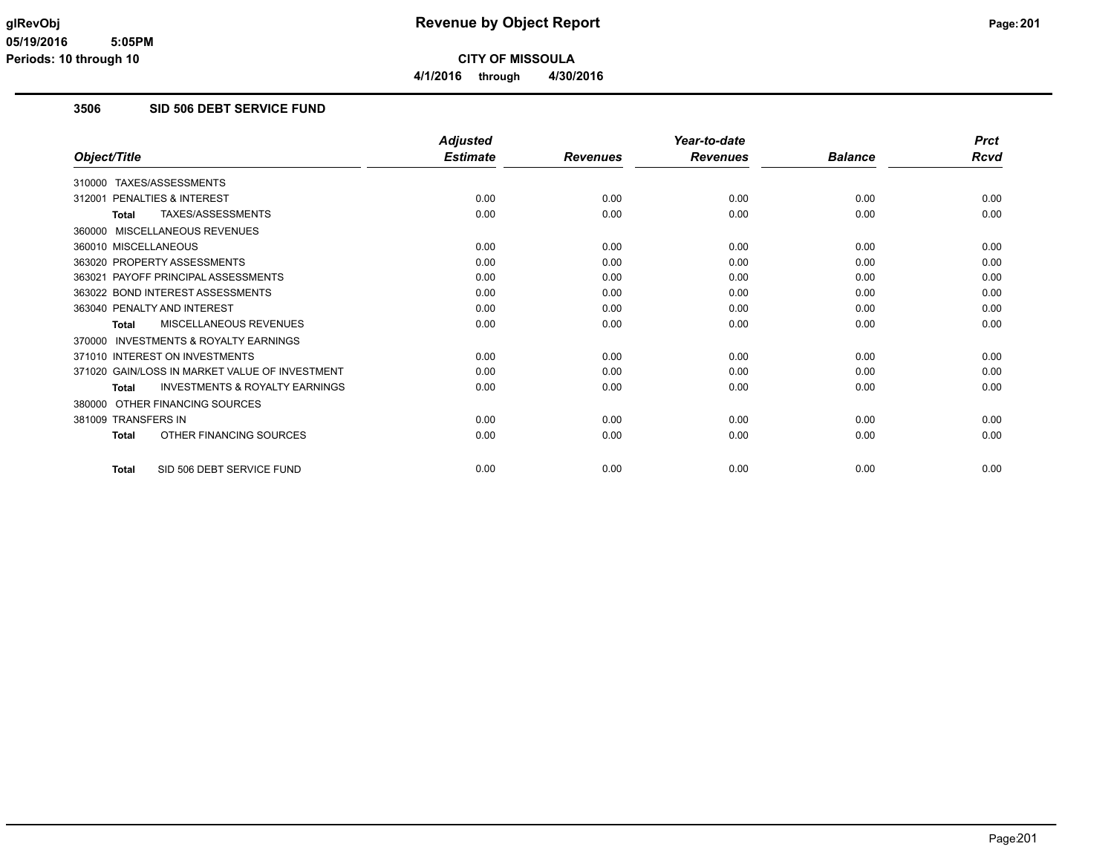# **3506 SID 506 DEBT SERVICE FUND**

|                                                           | <b>Adjusted</b> |                 | Year-to-date    |                | <b>Prct</b> |
|-----------------------------------------------------------|-----------------|-----------------|-----------------|----------------|-------------|
| Object/Title                                              | <b>Estimate</b> | <b>Revenues</b> | <b>Revenues</b> | <b>Balance</b> | <b>Rcvd</b> |
| 310000 TAXES/ASSESSMENTS                                  |                 |                 |                 |                |             |
| <b>PENALTIES &amp; INTEREST</b><br>312001                 | 0.00            | 0.00            | 0.00            | 0.00           | 0.00        |
| TAXES/ASSESSMENTS<br><b>Total</b>                         | 0.00            | 0.00            | 0.00            | 0.00           | 0.00        |
| 360000 MISCELLANEOUS REVENUES                             |                 |                 |                 |                |             |
| 360010 MISCELLANEOUS                                      | 0.00            | 0.00            | 0.00            | 0.00           | 0.00        |
| 363020 PROPERTY ASSESSMENTS                               | 0.00            | 0.00            | 0.00            | 0.00           | 0.00        |
| 363021 PAYOFF PRINCIPAL ASSESSMENTS                       | 0.00            | 0.00            | 0.00            | 0.00           | 0.00        |
| 363022 BOND INTEREST ASSESSMENTS                          | 0.00            | 0.00            | 0.00            | 0.00           | 0.00        |
| 363040 PENALTY AND INTEREST                               | 0.00            | 0.00            | 0.00            | 0.00           | 0.00        |
| <b>MISCELLANEOUS REVENUES</b><br><b>Total</b>             | 0.00            | 0.00            | 0.00            | 0.00           | 0.00        |
| 370000 INVESTMENTS & ROYALTY EARNINGS                     |                 |                 |                 |                |             |
| 371010 INTEREST ON INVESTMENTS                            | 0.00            | 0.00            | 0.00            | 0.00           | 0.00        |
| 371020 GAIN/LOSS IN MARKET VALUE OF INVESTMENT            | 0.00            | 0.00            | 0.00            | 0.00           | 0.00        |
| <b>INVESTMENTS &amp; ROYALTY EARNINGS</b><br><b>Total</b> | 0.00            | 0.00            | 0.00            | 0.00           | 0.00        |
| 380000 OTHER FINANCING SOURCES                            |                 |                 |                 |                |             |
| 381009 TRANSFERS IN                                       | 0.00            | 0.00            | 0.00            | 0.00           | 0.00        |
| OTHER FINANCING SOURCES<br><b>Total</b>                   | 0.00            | 0.00            | 0.00            | 0.00           | 0.00        |
| SID 506 DEBT SERVICE FUND<br><b>Total</b>                 | 0.00            | 0.00            | 0.00            | 0.00           | 0.00        |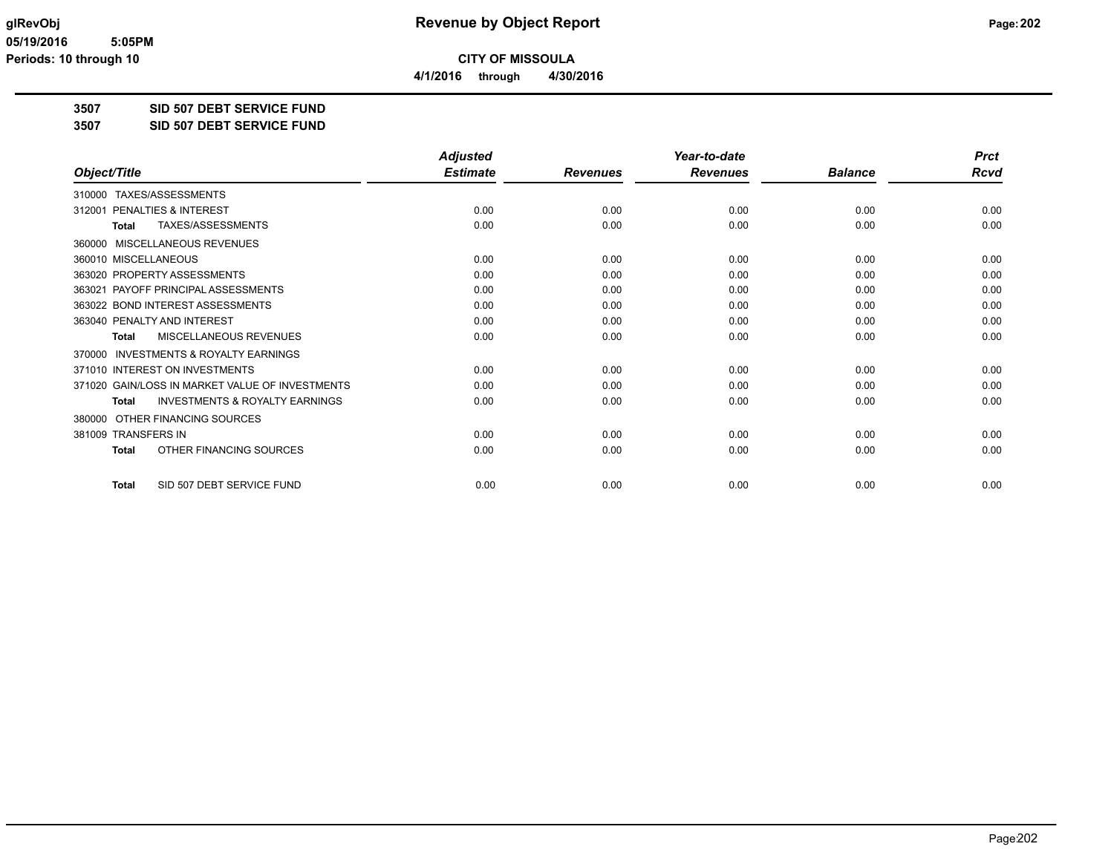**4/1/2016 through 4/30/2016**

**3507 SID 507 DEBT SERVICE FUND**

**3507 SID 507 DEBT SERVICE FUND**

|                                                           | <b>Adjusted</b> |                 | Year-to-date    |                | <b>Prct</b> |
|-----------------------------------------------------------|-----------------|-----------------|-----------------|----------------|-------------|
| Object/Title                                              | <b>Estimate</b> | <b>Revenues</b> | <b>Revenues</b> | <b>Balance</b> | Rcvd        |
| TAXES/ASSESSMENTS<br>310000                               |                 |                 |                 |                |             |
| 312001 PENALTIES & INTEREST                               | 0.00            | 0.00            | 0.00            | 0.00           | 0.00        |
| TAXES/ASSESSMENTS<br><b>Total</b>                         | 0.00            | 0.00            | 0.00            | 0.00           | 0.00        |
| 360000 MISCELLANEOUS REVENUES                             |                 |                 |                 |                |             |
| 360010 MISCELLANEOUS                                      | 0.00            | 0.00            | 0.00            | 0.00           | 0.00        |
| 363020 PROPERTY ASSESSMENTS                               | 0.00            | 0.00            | 0.00            | 0.00           | 0.00        |
| 363021 PAYOFF PRINCIPAL ASSESSMENTS                       | 0.00            | 0.00            | 0.00            | 0.00           | 0.00        |
| 363022 BOND INTEREST ASSESSMENTS                          | 0.00            | 0.00            | 0.00            | 0.00           | 0.00        |
| 363040 PENALTY AND INTEREST                               | 0.00            | 0.00            | 0.00            | 0.00           | 0.00        |
| MISCELLANEOUS REVENUES<br><b>Total</b>                    | 0.00            | 0.00            | 0.00            | 0.00           | 0.00        |
| <b>INVESTMENTS &amp; ROYALTY EARNINGS</b><br>370000       |                 |                 |                 |                |             |
| 371010 INTEREST ON INVESTMENTS                            | 0.00            | 0.00            | 0.00            | 0.00           | 0.00        |
| 371020 GAIN/LOSS IN MARKET VALUE OF INVESTMENTS           | 0.00            | 0.00            | 0.00            | 0.00           | 0.00        |
| <b>INVESTMENTS &amp; ROYALTY EARNINGS</b><br><b>Total</b> | 0.00            | 0.00            | 0.00            | 0.00           | 0.00        |
| OTHER FINANCING SOURCES<br>380000                         |                 |                 |                 |                |             |
| 381009 TRANSFERS IN                                       | 0.00            | 0.00            | 0.00            | 0.00           | 0.00        |
| OTHER FINANCING SOURCES<br><b>Total</b>                   | 0.00            | 0.00            | 0.00            | 0.00           | 0.00        |
| SID 507 DEBT SERVICE FUND<br><b>Total</b>                 | 0.00            | 0.00            | 0.00            | 0.00           | 0.00        |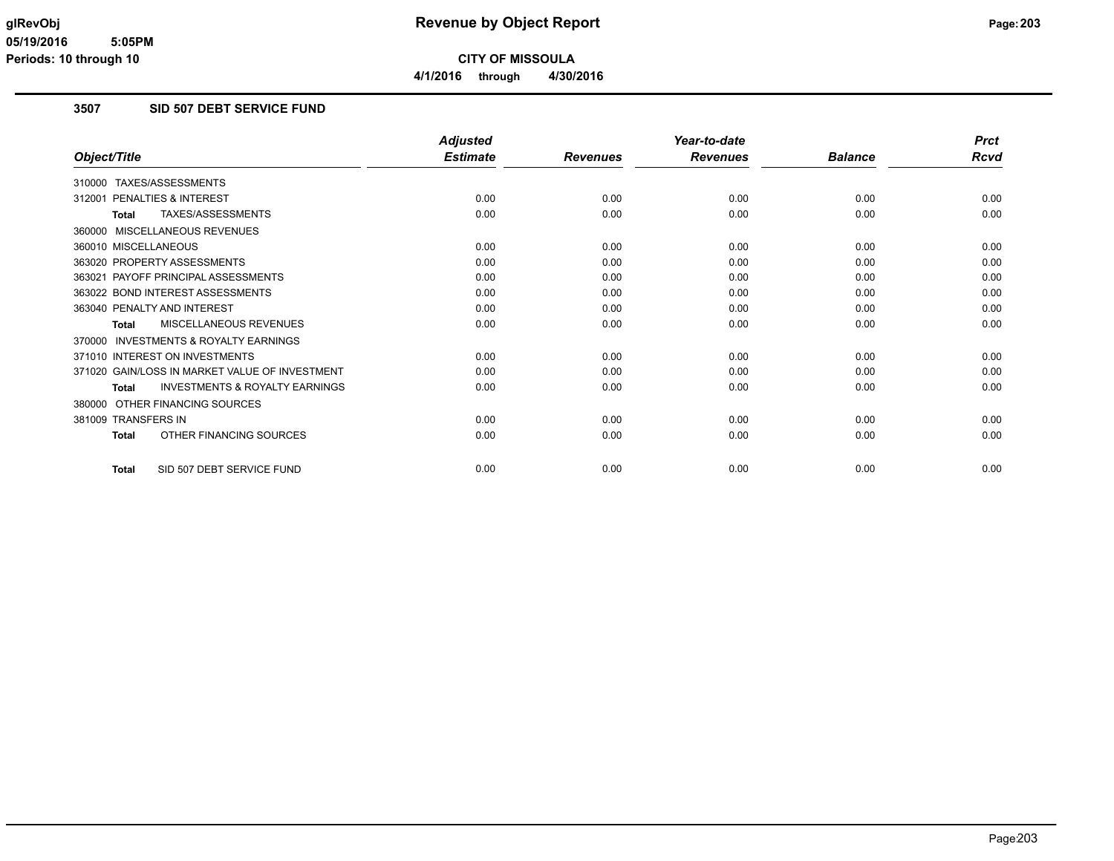# **3507 SID 507 DEBT SERVICE FUND**

|                                                           | <b>Adjusted</b> |                 | Year-to-date    |                | <b>Prct</b> |
|-----------------------------------------------------------|-----------------|-----------------|-----------------|----------------|-------------|
| Object/Title                                              | <b>Estimate</b> | <b>Revenues</b> | <b>Revenues</b> | <b>Balance</b> | <b>Rcvd</b> |
| 310000 TAXES/ASSESSMENTS                                  |                 |                 |                 |                |             |
| <b>PENALTIES &amp; INTEREST</b><br>312001                 | 0.00            | 0.00            | 0.00            | 0.00           | 0.00        |
| TAXES/ASSESSMENTS<br><b>Total</b>                         | 0.00            | 0.00            | 0.00            | 0.00           | 0.00        |
| 360000 MISCELLANEOUS REVENUES                             |                 |                 |                 |                |             |
| 360010 MISCELLANEOUS                                      | 0.00            | 0.00            | 0.00            | 0.00           | 0.00        |
| 363020 PROPERTY ASSESSMENTS                               | 0.00            | 0.00            | 0.00            | 0.00           | 0.00        |
| 363021 PAYOFF PRINCIPAL ASSESSMENTS                       | 0.00            | 0.00            | 0.00            | 0.00           | 0.00        |
| 363022 BOND INTEREST ASSESSMENTS                          | 0.00            | 0.00            | 0.00            | 0.00           | 0.00        |
| 363040 PENALTY AND INTEREST                               | 0.00            | 0.00            | 0.00            | 0.00           | 0.00        |
| <b>MISCELLANEOUS REVENUES</b><br><b>Total</b>             | 0.00            | 0.00            | 0.00            | 0.00           | 0.00        |
| 370000 INVESTMENTS & ROYALTY EARNINGS                     |                 |                 |                 |                |             |
| 371010 INTEREST ON INVESTMENTS                            | 0.00            | 0.00            | 0.00            | 0.00           | 0.00        |
| 371020 GAIN/LOSS IN MARKET VALUE OF INVESTMENT            | 0.00            | 0.00            | 0.00            | 0.00           | 0.00        |
| <b>INVESTMENTS &amp; ROYALTY EARNINGS</b><br><b>Total</b> | 0.00            | 0.00            | 0.00            | 0.00           | 0.00        |
| 380000 OTHER FINANCING SOURCES                            |                 |                 |                 |                |             |
| 381009 TRANSFERS IN                                       | 0.00            | 0.00            | 0.00            | 0.00           | 0.00        |
| OTHER FINANCING SOURCES<br><b>Total</b>                   | 0.00            | 0.00            | 0.00            | 0.00           | 0.00        |
| SID 507 DEBT SERVICE FUND<br><b>Total</b>                 | 0.00            | 0.00            | 0.00            | 0.00           | 0.00        |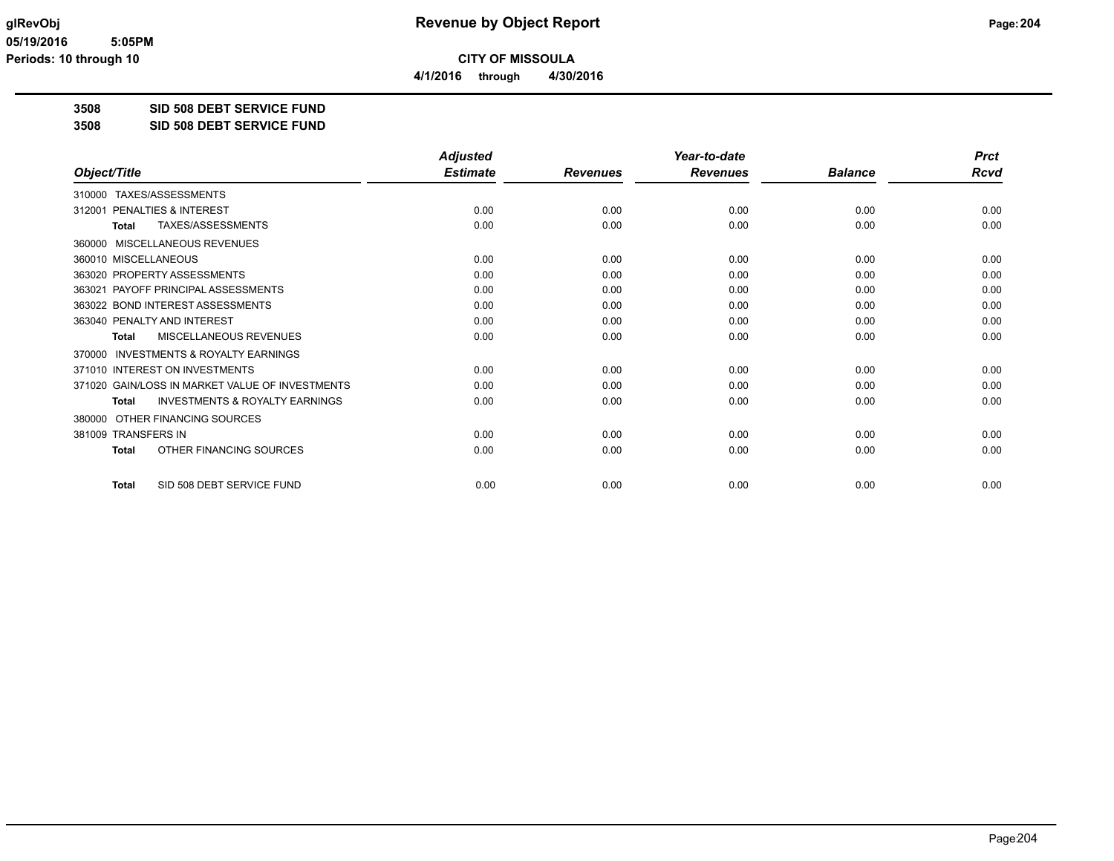**4/1/2016 through 4/30/2016**

**3508 SID 508 DEBT SERVICE FUND**

**3508 SID 508 DEBT SERVICE FUND**

|                                                     | <b>Adjusted</b> |                 | Year-to-date    |                | <b>Prct</b> |
|-----------------------------------------------------|-----------------|-----------------|-----------------|----------------|-------------|
| Object/Title                                        | <b>Estimate</b> | <b>Revenues</b> | <b>Revenues</b> | <b>Balance</b> | <b>Rcvd</b> |
| 310000 TAXES/ASSESSMENTS                            |                 |                 |                 |                |             |
| PENALTIES & INTEREST<br>312001                      | 0.00            | 0.00            | 0.00            | 0.00           | 0.00        |
| TAXES/ASSESSMENTS<br><b>Total</b>                   | 0.00            | 0.00            | 0.00            | 0.00           | 0.00        |
| MISCELLANEOUS REVENUES<br>360000                    |                 |                 |                 |                |             |
| 360010 MISCELLANEOUS                                | 0.00            | 0.00            | 0.00            | 0.00           | 0.00        |
| 363020 PROPERTY ASSESSMENTS                         | 0.00            | 0.00            | 0.00            | 0.00           | 0.00        |
| PAYOFF PRINCIPAL ASSESSMENTS<br>363021              | 0.00            | 0.00            | 0.00            | 0.00           | 0.00        |
| 363022 BOND INTEREST ASSESSMENTS                    | 0.00            | 0.00            | 0.00            | 0.00           | 0.00        |
| 363040 PENALTY AND INTEREST                         | 0.00            | 0.00            | 0.00            | 0.00           | 0.00        |
| MISCELLANEOUS REVENUES<br><b>Total</b>              | 0.00            | 0.00            | 0.00            | 0.00           | 0.00        |
| <b>INVESTMENTS &amp; ROYALTY EARNINGS</b><br>370000 |                 |                 |                 |                |             |
| 371010 INTEREST ON INVESTMENTS                      | 0.00            | 0.00            | 0.00            | 0.00           | 0.00        |
| 371020 GAIN/LOSS IN MARKET VALUE OF INVESTMENTS     | 0.00            | 0.00            | 0.00            | 0.00           | 0.00        |
| <b>INVESTMENTS &amp; ROYALTY EARNINGS</b><br>Total  | 0.00            | 0.00            | 0.00            | 0.00           | 0.00        |
| OTHER FINANCING SOURCES<br>380000                   |                 |                 |                 |                |             |
| 381009 TRANSFERS IN                                 | 0.00            | 0.00            | 0.00            | 0.00           | 0.00        |
| OTHER FINANCING SOURCES<br><b>Total</b>             | 0.00            | 0.00            | 0.00            | 0.00           | 0.00        |
| SID 508 DEBT SERVICE FUND<br><b>Total</b>           | 0.00            | 0.00            | 0.00            | 0.00           | 0.00        |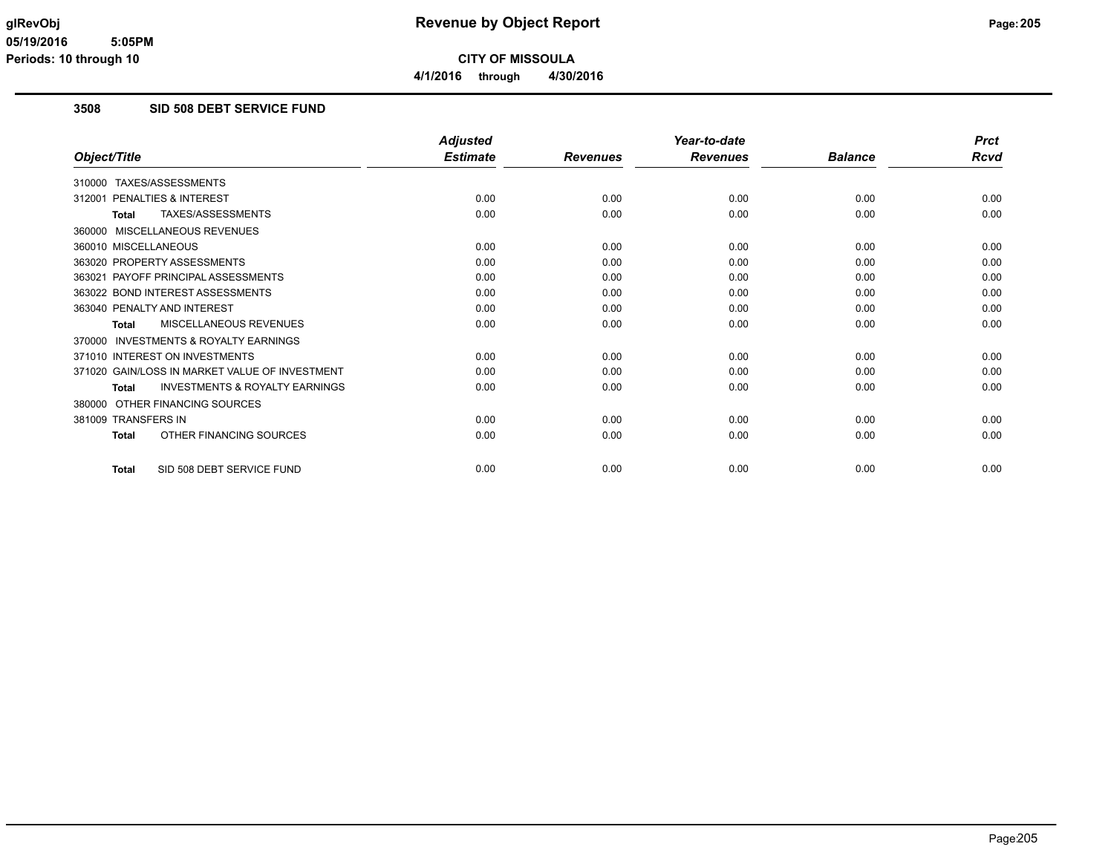# **3508 SID 508 DEBT SERVICE FUND**

|                                                           | <b>Adjusted</b> |                 | Year-to-date    |                | <b>Prct</b> |
|-----------------------------------------------------------|-----------------|-----------------|-----------------|----------------|-------------|
| Object/Title                                              | <b>Estimate</b> | <b>Revenues</b> | <b>Revenues</b> | <b>Balance</b> | Rcvd        |
| 310000 TAXES/ASSESSMENTS                                  |                 |                 |                 |                |             |
| PENALTIES & INTEREST<br>312001                            | 0.00            | 0.00            | 0.00            | 0.00           | 0.00        |
| TAXES/ASSESSMENTS<br><b>Total</b>                         | 0.00            | 0.00            | 0.00            | 0.00           | 0.00        |
| 360000 MISCELLANEOUS REVENUES                             |                 |                 |                 |                |             |
| 360010 MISCELLANEOUS                                      | 0.00            | 0.00            | 0.00            | 0.00           | 0.00        |
| 363020 PROPERTY ASSESSMENTS                               | 0.00            | 0.00            | 0.00            | 0.00           | 0.00        |
| 363021 PAYOFF PRINCIPAL ASSESSMENTS                       | 0.00            | 0.00            | 0.00            | 0.00           | 0.00        |
| 363022 BOND INTEREST ASSESSMENTS                          | 0.00            | 0.00            | 0.00            | 0.00           | 0.00        |
| 363040 PENALTY AND INTEREST                               | 0.00            | 0.00            | 0.00            | 0.00           | 0.00        |
| MISCELLANEOUS REVENUES<br>Total                           | 0.00            | 0.00            | 0.00            | 0.00           | 0.00        |
| 370000 INVESTMENTS & ROYALTY EARNINGS                     |                 |                 |                 |                |             |
| 371010 INTEREST ON INVESTMENTS                            | 0.00            | 0.00            | 0.00            | 0.00           | 0.00        |
| 371020 GAIN/LOSS IN MARKET VALUE OF INVESTMENT            | 0.00            | 0.00            | 0.00            | 0.00           | 0.00        |
| <b>INVESTMENTS &amp; ROYALTY EARNINGS</b><br><b>Total</b> | 0.00            | 0.00            | 0.00            | 0.00           | 0.00        |
| 380000 OTHER FINANCING SOURCES                            |                 |                 |                 |                |             |
| 381009 TRANSFERS IN                                       | 0.00            | 0.00            | 0.00            | 0.00           | 0.00        |
| OTHER FINANCING SOURCES<br><b>Total</b>                   | 0.00            | 0.00            | 0.00            | 0.00           | 0.00        |
| SID 508 DEBT SERVICE FUND<br><b>Total</b>                 | 0.00            | 0.00            | 0.00            | 0.00           | 0.00        |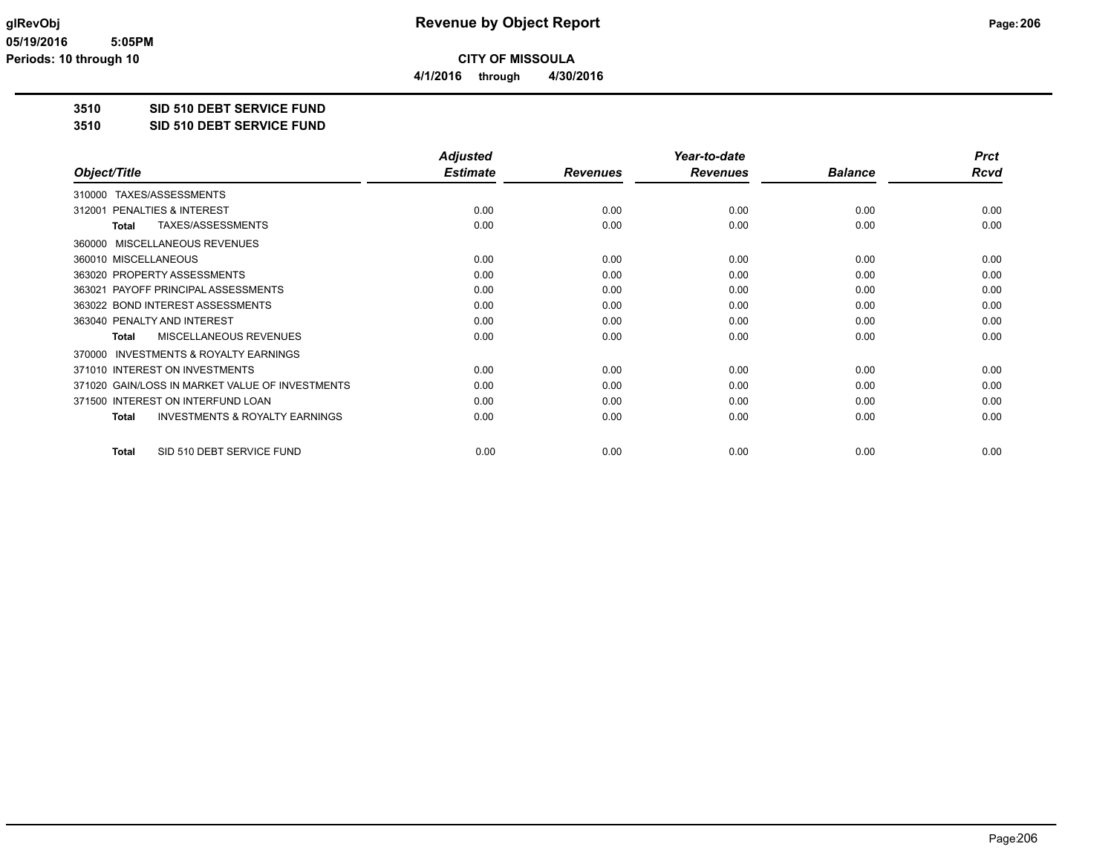**4/1/2016 through 4/30/2016**

# **3510 SID 510 DEBT SERVICE FUND**

#### **3510 SID 510 DEBT SERVICE FUND**

|                                                           | <b>Adjusted</b> |                 | Year-to-date    |                | <b>Prct</b> |
|-----------------------------------------------------------|-----------------|-----------------|-----------------|----------------|-------------|
| Object/Title                                              | <b>Estimate</b> | <b>Revenues</b> | <b>Revenues</b> | <b>Balance</b> | <b>Rcvd</b> |
| TAXES/ASSESSMENTS<br>310000                               |                 |                 |                 |                |             |
| PENALTIES & INTEREST<br>312001                            | 0.00            | 0.00            | 0.00            | 0.00           | 0.00        |
| TAXES/ASSESSMENTS<br><b>Total</b>                         | 0.00            | 0.00            | 0.00            | 0.00           | 0.00        |
| MISCELLANEOUS REVENUES<br>360000                          |                 |                 |                 |                |             |
| 360010 MISCELLANEOUS                                      | 0.00            | 0.00            | 0.00            | 0.00           | 0.00        |
| 363020 PROPERTY ASSESSMENTS                               | 0.00            | 0.00            | 0.00            | 0.00           | 0.00        |
| PAYOFF PRINCIPAL ASSESSMENTS<br>363021                    | 0.00            | 0.00            | 0.00            | 0.00           | 0.00        |
| 363022 BOND INTEREST ASSESSMENTS                          | 0.00            | 0.00            | 0.00            | 0.00           | 0.00        |
| 363040 PENALTY AND INTEREST                               | 0.00            | 0.00            | 0.00            | 0.00           | 0.00        |
| MISCELLANEOUS REVENUES<br><b>Total</b>                    | 0.00            | 0.00            | 0.00            | 0.00           | 0.00        |
| <b>INVESTMENTS &amp; ROYALTY EARNINGS</b><br>370000       |                 |                 |                 |                |             |
| 371010 INTEREST ON INVESTMENTS                            | 0.00            | 0.00            | 0.00            | 0.00           | 0.00        |
| 371020 GAIN/LOSS IN MARKET VALUE OF INVESTMENTS           | 0.00            | 0.00            | 0.00            | 0.00           | 0.00        |
| 371500 INTEREST ON INTERFUND LOAN                         | 0.00            | 0.00            | 0.00            | 0.00           | 0.00        |
| <b>INVESTMENTS &amp; ROYALTY EARNINGS</b><br><b>Total</b> | 0.00            | 0.00            | 0.00            | 0.00           | 0.00        |
| SID 510 DEBT SERVICE FUND<br><b>Total</b>                 | 0.00            | 0.00            | 0.00            | 0.00           | 0.00        |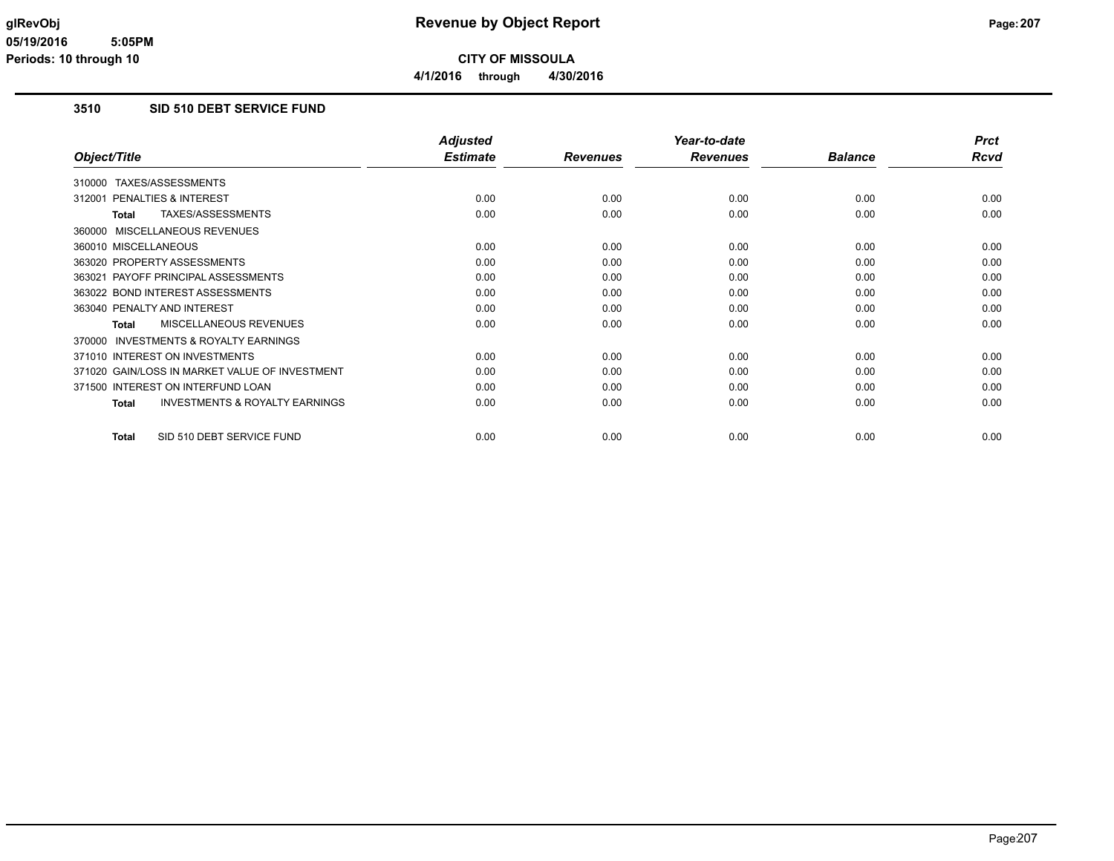**4/1/2016 through 4/30/2016**

# **3510 SID 510 DEBT SERVICE FUND**

|                                                           | <b>Adjusted</b> |                 | Year-to-date    |                | <b>Prct</b> |
|-----------------------------------------------------------|-----------------|-----------------|-----------------|----------------|-------------|
| Object/Title                                              | <b>Estimate</b> | <b>Revenues</b> | <b>Revenues</b> | <b>Balance</b> | <b>Rcvd</b> |
| TAXES/ASSESSMENTS<br>310000                               |                 |                 |                 |                |             |
| 312001 PENALTIES & INTEREST                               | 0.00            | 0.00            | 0.00            | 0.00           | 0.00        |
| TAXES/ASSESSMENTS<br><b>Total</b>                         | 0.00            | 0.00            | 0.00            | 0.00           | 0.00        |
| 360000 MISCELLANEOUS REVENUES                             |                 |                 |                 |                |             |
| 360010 MISCELLANEOUS                                      | 0.00            | 0.00            | 0.00            | 0.00           | 0.00        |
| 363020 PROPERTY ASSESSMENTS                               | 0.00            | 0.00            | 0.00            | 0.00           | 0.00        |
| 363021 PAYOFF PRINCIPAL ASSESSMENTS                       | 0.00            | 0.00            | 0.00            | 0.00           | 0.00        |
| 363022 BOND INTEREST ASSESSMENTS                          | 0.00            | 0.00            | 0.00            | 0.00           | 0.00        |
| 363040 PENALTY AND INTEREST                               | 0.00            | 0.00            | 0.00            | 0.00           | 0.00        |
| <b>MISCELLANEOUS REVENUES</b><br><b>Total</b>             | 0.00            | 0.00            | 0.00            | 0.00           | 0.00        |
| INVESTMENTS & ROYALTY EARNINGS<br>370000                  |                 |                 |                 |                |             |
| 371010 INTEREST ON INVESTMENTS                            | 0.00            | 0.00            | 0.00            | 0.00           | 0.00        |
| 371020 GAIN/LOSS IN MARKET VALUE OF INVESTMENT            | 0.00            | 0.00            | 0.00            | 0.00           | 0.00        |
| 371500 INTEREST ON INTERFUND LOAN                         | 0.00            | 0.00            | 0.00            | 0.00           | 0.00        |
| <b>INVESTMENTS &amp; ROYALTY EARNINGS</b><br><b>Total</b> | 0.00            | 0.00            | 0.00            | 0.00           | 0.00        |
| SID 510 DEBT SERVICE FUND<br><b>Total</b>                 | 0.00            | 0.00            | 0.00            | 0.00           | 0.00        |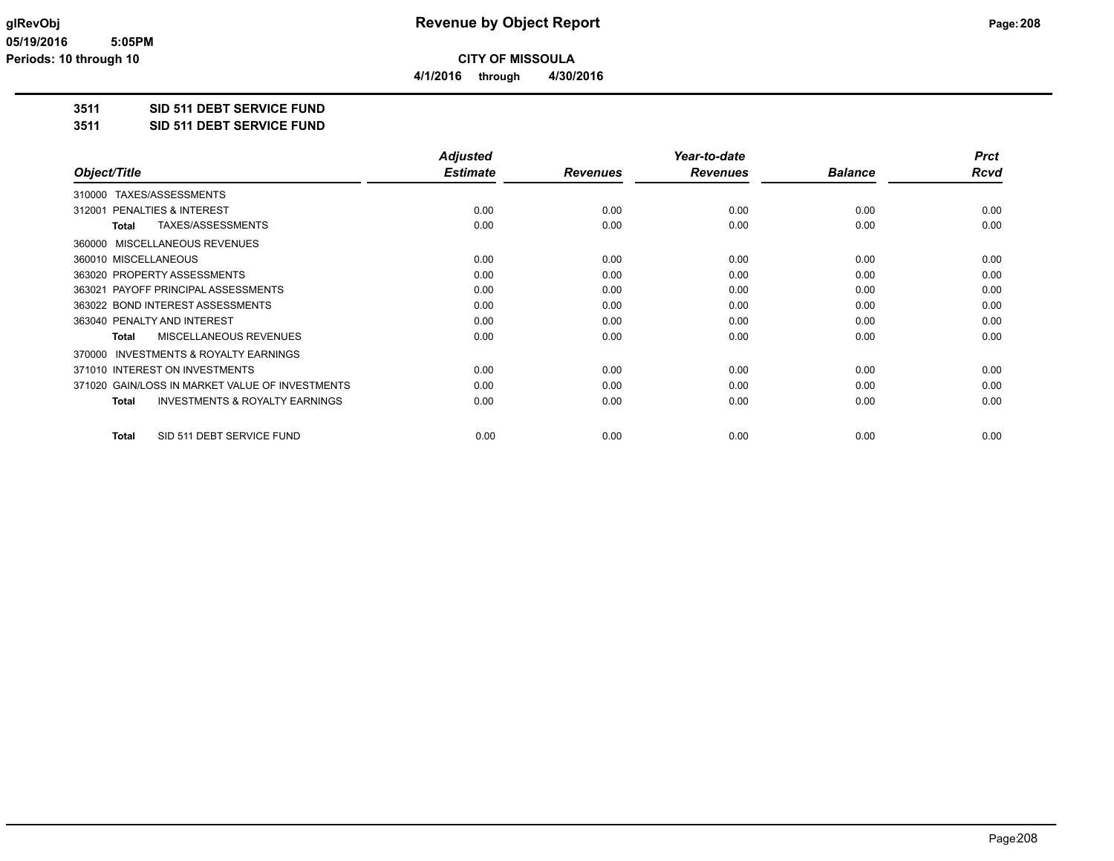**4/1/2016 through 4/30/2016**

# **3511 SID 511 DEBT SERVICE FUND**

**3511 SID 511 DEBT SERVICE FUND**

|                                                           | <b>Adjusted</b> |                 | Year-to-date    |                | <b>Prct</b> |
|-----------------------------------------------------------|-----------------|-----------------|-----------------|----------------|-------------|
| Object/Title                                              | <b>Estimate</b> | <b>Revenues</b> | <b>Revenues</b> | <b>Balance</b> | Rcvd        |
| 310000 TAXES/ASSESSMENTS                                  |                 |                 |                 |                |             |
| <b>PENALTIES &amp; INTEREST</b><br>312001                 | 0.00            | 0.00            | 0.00            | 0.00           | 0.00        |
| TAXES/ASSESSMENTS<br><b>Total</b>                         | 0.00            | 0.00            | 0.00            | 0.00           | 0.00        |
| 360000 MISCELLANEOUS REVENUES                             |                 |                 |                 |                |             |
| 360010 MISCELLANEOUS                                      | 0.00            | 0.00            | 0.00            | 0.00           | 0.00        |
| 363020 PROPERTY ASSESSMENTS                               | 0.00            | 0.00            | 0.00            | 0.00           | 0.00        |
| 363021 PAYOFF PRINCIPAL ASSESSMENTS                       | 0.00            | 0.00            | 0.00            | 0.00           | 0.00        |
| 363022 BOND INTEREST ASSESSMENTS                          | 0.00            | 0.00            | 0.00            | 0.00           | 0.00        |
| 363040 PENALTY AND INTEREST                               | 0.00            | 0.00            | 0.00            | 0.00           | 0.00        |
| MISCELLANEOUS REVENUES<br><b>Total</b>                    | 0.00            | 0.00            | 0.00            | 0.00           | 0.00        |
| 370000 INVESTMENTS & ROYALTY EARNINGS                     |                 |                 |                 |                |             |
| 371010 INTEREST ON INVESTMENTS                            | 0.00            | 0.00            | 0.00            | 0.00           | 0.00        |
| 371020 GAIN/LOSS IN MARKET VALUE OF INVESTMENTS           | 0.00            | 0.00            | 0.00            | 0.00           | 0.00        |
| <b>INVESTMENTS &amp; ROYALTY EARNINGS</b><br><b>Total</b> | 0.00            | 0.00            | 0.00            | 0.00           | 0.00        |
| SID 511 DEBT SERVICE FUND<br><b>Total</b>                 | 0.00            | 0.00            | 0.00            | 0.00           | 0.00        |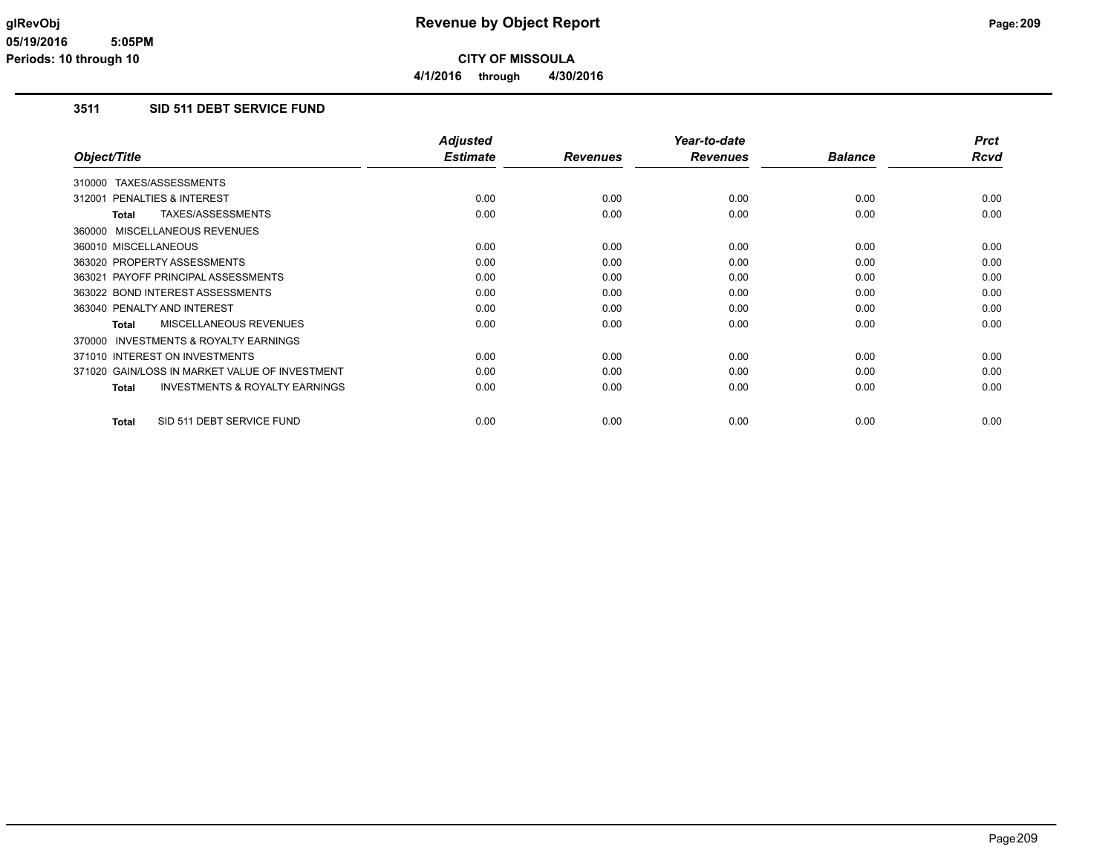# **3511 SID 511 DEBT SERVICE FUND**

|                                                     | <b>Adjusted</b> |                 | Year-to-date    |                | <b>Prct</b> |
|-----------------------------------------------------|-----------------|-----------------|-----------------|----------------|-------------|
| Object/Title                                        | <b>Estimate</b> | <b>Revenues</b> | <b>Revenues</b> | <b>Balance</b> | Rcvd        |
| 310000 TAXES/ASSESSMENTS                            |                 |                 |                 |                |             |
| 312001 PENALTIES & INTEREST                         | 0.00            | 0.00            | 0.00            | 0.00           | 0.00        |
| TAXES/ASSESSMENTS<br>Total                          | 0.00            | 0.00            | 0.00            | 0.00           | 0.00        |
| 360000 MISCELLANEOUS REVENUES                       |                 |                 |                 |                |             |
| 360010 MISCELLANEOUS                                | 0.00            | 0.00            | 0.00            | 0.00           | 0.00        |
| 363020 PROPERTY ASSESSMENTS                         | 0.00            | 0.00            | 0.00            | 0.00           | 0.00        |
| 363021 PAYOFF PRINCIPAL ASSESSMENTS                 | 0.00            | 0.00            | 0.00            | 0.00           | 0.00        |
| 363022 BOND INTEREST ASSESSMENTS                    | 0.00            | 0.00            | 0.00            | 0.00           | 0.00        |
| 363040 PENALTY AND INTEREST                         | 0.00            | 0.00            | 0.00            | 0.00           | 0.00        |
| MISCELLANEOUS REVENUES<br>Total                     | 0.00            | 0.00            | 0.00            | 0.00           | 0.00        |
| <b>INVESTMENTS &amp; ROYALTY EARNINGS</b><br>370000 |                 |                 |                 |                |             |
| 371010 INTEREST ON INVESTMENTS                      | 0.00            | 0.00            | 0.00            | 0.00           | 0.00        |
| 371020 GAIN/LOSS IN MARKET VALUE OF INVESTMENT      | 0.00            | 0.00            | 0.00            | 0.00           | 0.00        |
| <b>INVESTMENTS &amp; ROYALTY EARNINGS</b><br>Total  | 0.00            | 0.00            | 0.00            | 0.00           | 0.00        |
| SID 511 DEBT SERVICE FUND<br>Total                  | 0.00            | 0.00            | 0.00            | 0.00           | 0.00        |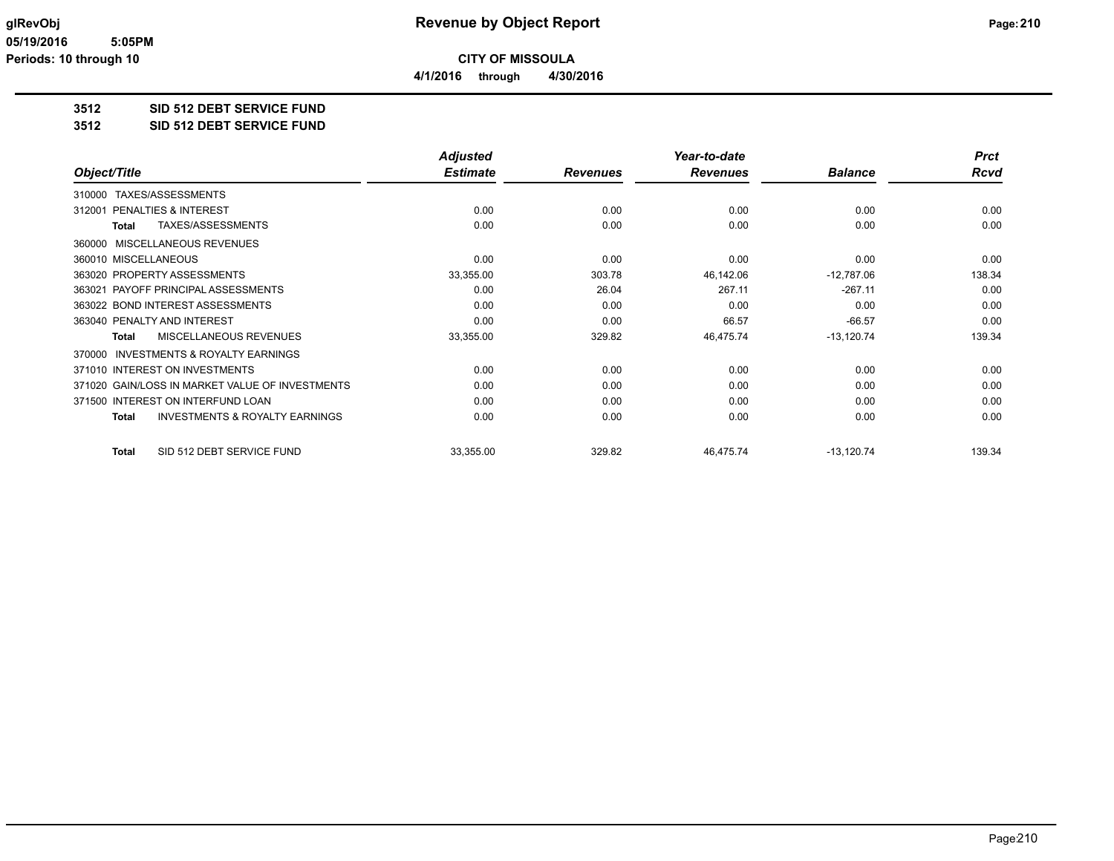**4/1/2016 through 4/30/2016**

# **3512 SID 512 DEBT SERVICE FUND**

#### **3512 SID 512 DEBT SERVICE FUND**

|                                                     | <b>Adjusted</b> |                 | Year-to-date    |                | <b>Prct</b> |
|-----------------------------------------------------|-----------------|-----------------|-----------------|----------------|-------------|
| Object/Title                                        | <b>Estimate</b> | <b>Revenues</b> | <b>Revenues</b> | <b>Balance</b> | <b>Rcvd</b> |
| TAXES/ASSESSMENTS<br>310000                         |                 |                 |                 |                |             |
| PENALTIES & INTEREST<br>312001                      | 0.00            | 0.00            | 0.00            | 0.00           | 0.00        |
| TAXES/ASSESSMENTS<br><b>Total</b>                   | 0.00            | 0.00            | 0.00            | 0.00           | 0.00        |
| MISCELLANEOUS REVENUES<br>360000                    |                 |                 |                 |                |             |
| 360010 MISCELLANEOUS                                | 0.00            | 0.00            | 0.00            | 0.00           | 0.00        |
| 363020 PROPERTY ASSESSMENTS                         | 33,355.00       | 303.78          | 46,142.06       | $-12,787.06$   | 138.34      |
| 363021 PAYOFF PRINCIPAL ASSESSMENTS                 | 0.00            | 26.04           | 267.11          | $-267.11$      | 0.00        |
| 363022 BOND INTEREST ASSESSMENTS                    | 0.00            | 0.00            | 0.00            | 0.00           | 0.00        |
| 363040 PENALTY AND INTEREST                         | 0.00            | 0.00            | 66.57           | $-66.57$       | 0.00        |
| <b>MISCELLANEOUS REVENUES</b><br><b>Total</b>       | 33,355.00       | 329.82          | 46,475.74       | $-13,120.74$   | 139.34      |
| <b>INVESTMENTS &amp; ROYALTY EARNINGS</b><br>370000 |                 |                 |                 |                |             |
| 371010 INTEREST ON INVESTMENTS                      | 0.00            | 0.00            | 0.00            | 0.00           | 0.00        |
| 371020 GAIN/LOSS IN MARKET VALUE OF INVESTMENTS     | 0.00            | 0.00            | 0.00            | 0.00           | 0.00        |
| INTEREST ON INTERFUND LOAN<br>371500                | 0.00            | 0.00            | 0.00            | 0.00           | 0.00        |
| <b>INVESTMENTS &amp; ROYALTY EARNINGS</b><br>Total  | 0.00            | 0.00            | 0.00            | 0.00           | 0.00        |
| SID 512 DEBT SERVICE FUND<br>Total                  | 33,355.00       | 329.82          | 46,475.74       | $-13,120.74$   | 139.34      |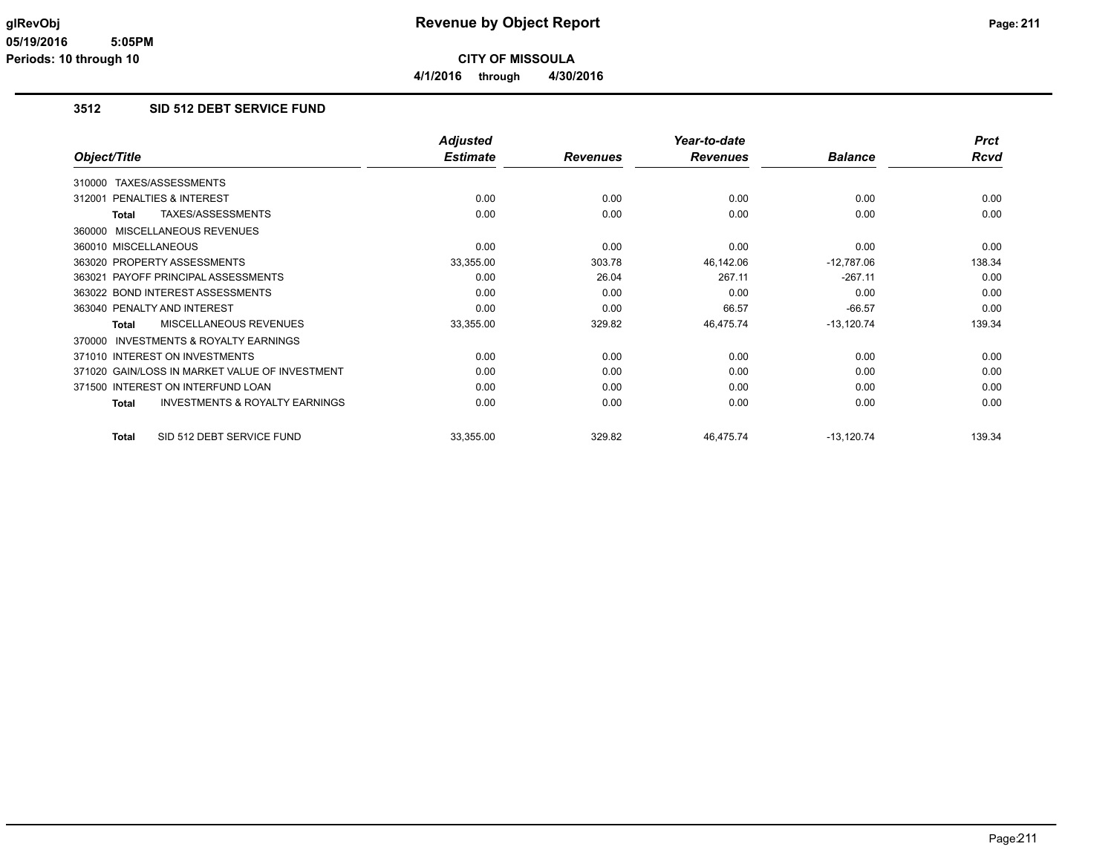**4/1/2016 through 4/30/2016**

## **3512 SID 512 DEBT SERVICE FUND**

|                                                    | <b>Adjusted</b> |                 | Year-to-date    |                | <b>Prct</b> |
|----------------------------------------------------|-----------------|-----------------|-----------------|----------------|-------------|
| Object/Title                                       | <b>Estimate</b> | <b>Revenues</b> | <b>Revenues</b> | <b>Balance</b> | <b>Rcvd</b> |
| TAXES/ASSESSMENTS<br>310000                        |                 |                 |                 |                |             |
| <b>PENALTIES &amp; INTEREST</b><br>312001          | 0.00            | 0.00            | 0.00            | 0.00           | 0.00        |
| TAXES/ASSESSMENTS<br><b>Total</b>                  | 0.00            | 0.00            | 0.00            | 0.00           | 0.00        |
| MISCELLANEOUS REVENUES<br>360000                   |                 |                 |                 |                |             |
| 360010 MISCELLANEOUS                               | 0.00            | 0.00            | 0.00            | 0.00           | 0.00        |
| 363020 PROPERTY ASSESSMENTS                        | 33,355.00       | 303.78          | 46,142.06       | $-12,787.06$   | 138.34      |
| PAYOFF PRINCIPAL ASSESSMENTS<br>363021             | 0.00            | 26.04           | 267.11          | $-267.11$      | 0.00        |
| 363022 BOND INTEREST ASSESSMENTS                   | 0.00            | 0.00            | 0.00            | 0.00           | 0.00        |
| 363040 PENALTY AND INTEREST                        | 0.00            | 0.00            | 66.57           | $-66.57$       | 0.00        |
| MISCELLANEOUS REVENUES<br>Total                    | 33,355.00       | 329.82          | 46,475.74       | $-13,120.74$   | 139.34      |
| INVESTMENTS & ROYALTY EARNINGS<br>370000           |                 |                 |                 |                |             |
| 371010 INTEREST ON INVESTMENTS                     | 0.00            | 0.00            | 0.00            | 0.00           | 0.00        |
| 371020 GAIN/LOSS IN MARKET VALUE OF INVESTMENT     | 0.00            | 0.00            | 0.00            | 0.00           | 0.00        |
| 371500 INTEREST ON INTERFUND LOAN                  | 0.00            | 0.00            | 0.00            | 0.00           | 0.00        |
| <b>INVESTMENTS &amp; ROYALTY EARNINGS</b><br>Total | 0.00            | 0.00            | 0.00            | 0.00           | 0.00        |
| SID 512 DEBT SERVICE FUND<br><b>Total</b>          | 33,355.00       | 329.82          | 46,475.74       | $-13,120.74$   | 139.34      |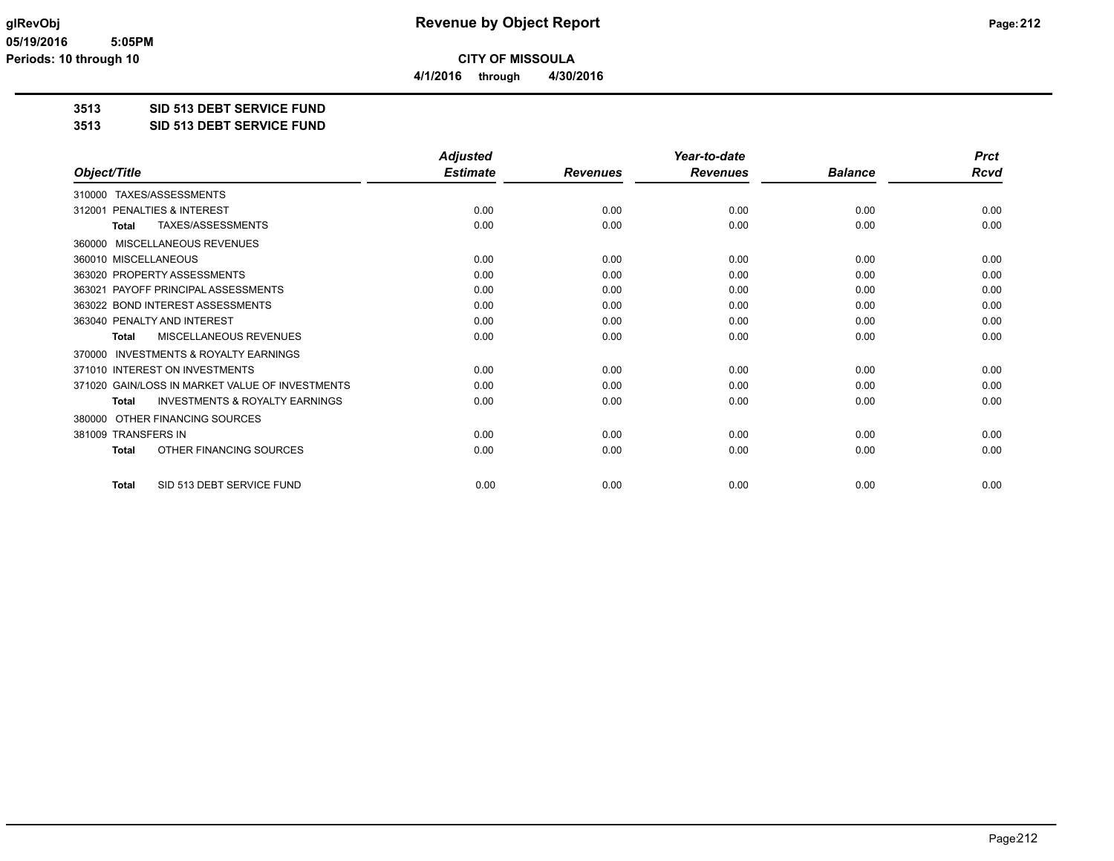**4/1/2016 through 4/30/2016**

# **3513 SID 513 DEBT SERVICE FUND**

#### **3513 SID 513 DEBT SERVICE FUND**

|                                                           | <b>Adjusted</b> |                 | Year-to-date    |                | <b>Prct</b> |
|-----------------------------------------------------------|-----------------|-----------------|-----------------|----------------|-------------|
| Object/Title                                              | <b>Estimate</b> | <b>Revenues</b> | <b>Revenues</b> | <b>Balance</b> | Rcvd        |
| TAXES/ASSESSMENTS<br>310000                               |                 |                 |                 |                |             |
| PENALTIES & INTEREST<br>312001                            | 0.00            | 0.00            | 0.00            | 0.00           | 0.00        |
| TAXES/ASSESSMENTS<br><b>Total</b>                         | 0.00            | 0.00            | 0.00            | 0.00           | 0.00        |
| MISCELLANEOUS REVENUES<br>360000                          |                 |                 |                 |                |             |
| 360010 MISCELLANEOUS                                      | 0.00            | 0.00            | 0.00            | 0.00           | 0.00        |
| 363020 PROPERTY ASSESSMENTS                               | 0.00            | 0.00            | 0.00            | 0.00           | 0.00        |
| PAYOFF PRINCIPAL ASSESSMENTS<br>363021                    | 0.00            | 0.00            | 0.00            | 0.00           | 0.00        |
| 363022 BOND INTEREST ASSESSMENTS                          | 0.00            | 0.00            | 0.00            | 0.00           | 0.00        |
| 363040 PENALTY AND INTEREST                               | 0.00            | 0.00            | 0.00            | 0.00           | 0.00        |
| MISCELLANEOUS REVENUES<br><b>Total</b>                    | 0.00            | 0.00            | 0.00            | 0.00           | 0.00        |
| <b>INVESTMENTS &amp; ROYALTY EARNINGS</b><br>370000       |                 |                 |                 |                |             |
| 371010 INTEREST ON INVESTMENTS                            | 0.00            | 0.00            | 0.00            | 0.00           | 0.00        |
| 371020 GAIN/LOSS IN MARKET VALUE OF INVESTMENTS           | 0.00            | 0.00            | 0.00            | 0.00           | 0.00        |
| <b>INVESTMENTS &amp; ROYALTY EARNINGS</b><br><b>Total</b> | 0.00            | 0.00            | 0.00            | 0.00           | 0.00        |
| OTHER FINANCING SOURCES<br>380000                         |                 |                 |                 |                |             |
| 381009 TRANSFERS IN                                       | 0.00            | 0.00            | 0.00            | 0.00           | 0.00        |
| OTHER FINANCING SOURCES<br><b>Total</b>                   | 0.00            | 0.00            | 0.00            | 0.00           | 0.00        |
| SID 513 DEBT SERVICE FUND<br><b>Total</b>                 | 0.00            | 0.00            | 0.00            | 0.00           | 0.00        |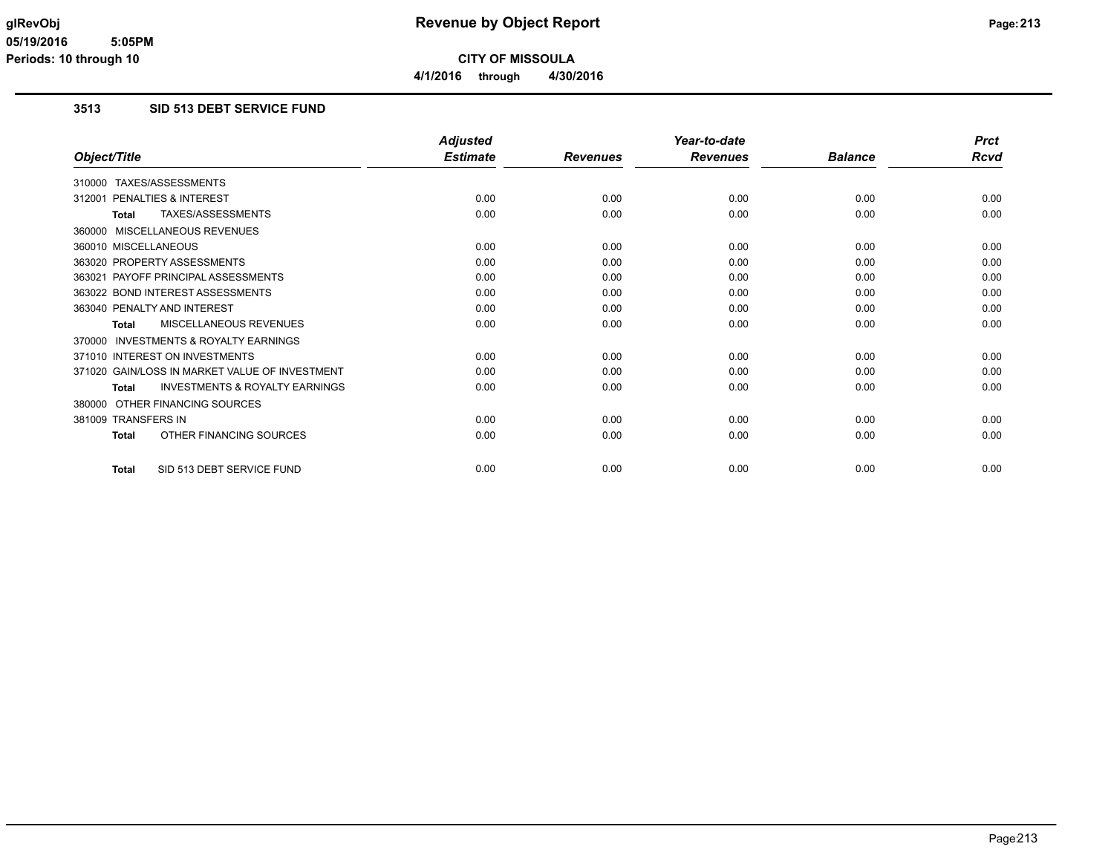**4/1/2016 through 4/30/2016**

## **3513 SID 513 DEBT SERVICE FUND**

|                                                           | <b>Adjusted</b> |                 | Year-to-date    |                | <b>Prct</b> |
|-----------------------------------------------------------|-----------------|-----------------|-----------------|----------------|-------------|
| Object/Title                                              | <b>Estimate</b> | <b>Revenues</b> | <b>Revenues</b> | <b>Balance</b> | <b>Rcvd</b> |
| 310000 TAXES/ASSESSMENTS                                  |                 |                 |                 |                |             |
| PENALTIES & INTEREST<br>312001                            | 0.00            | 0.00            | 0.00            | 0.00           | 0.00        |
| TAXES/ASSESSMENTS<br><b>Total</b>                         | 0.00            | 0.00            | 0.00            | 0.00           | 0.00        |
| 360000 MISCELLANEOUS REVENUES                             |                 |                 |                 |                |             |
| 360010 MISCELLANEOUS                                      | 0.00            | 0.00            | 0.00            | 0.00           | 0.00        |
| 363020 PROPERTY ASSESSMENTS                               | 0.00            | 0.00            | 0.00            | 0.00           | 0.00        |
| 363021 PAYOFF PRINCIPAL ASSESSMENTS                       | 0.00            | 0.00            | 0.00            | 0.00           | 0.00        |
| 363022 BOND INTEREST ASSESSMENTS                          | 0.00            | 0.00            | 0.00            | 0.00           | 0.00        |
| 363040 PENALTY AND INTEREST                               | 0.00            | 0.00            | 0.00            | 0.00           | 0.00        |
| MISCELLANEOUS REVENUES<br>Total                           | 0.00            | 0.00            | 0.00            | 0.00           | 0.00        |
| 370000 INVESTMENTS & ROYALTY EARNINGS                     |                 |                 |                 |                |             |
| 371010 INTEREST ON INVESTMENTS                            | 0.00            | 0.00            | 0.00            | 0.00           | 0.00        |
| 371020 GAIN/LOSS IN MARKET VALUE OF INVESTMENT            | 0.00            | 0.00            | 0.00            | 0.00           | 0.00        |
| <b>INVESTMENTS &amp; ROYALTY EARNINGS</b><br><b>Total</b> | 0.00            | 0.00            | 0.00            | 0.00           | 0.00        |
| 380000 OTHER FINANCING SOURCES                            |                 |                 |                 |                |             |
| 381009 TRANSFERS IN                                       | 0.00            | 0.00            | 0.00            | 0.00           | 0.00        |
| OTHER FINANCING SOURCES<br><b>Total</b>                   | 0.00            | 0.00            | 0.00            | 0.00           | 0.00        |
| SID 513 DEBT SERVICE FUND<br><b>Total</b>                 | 0.00            | 0.00            | 0.00            | 0.00           | 0.00        |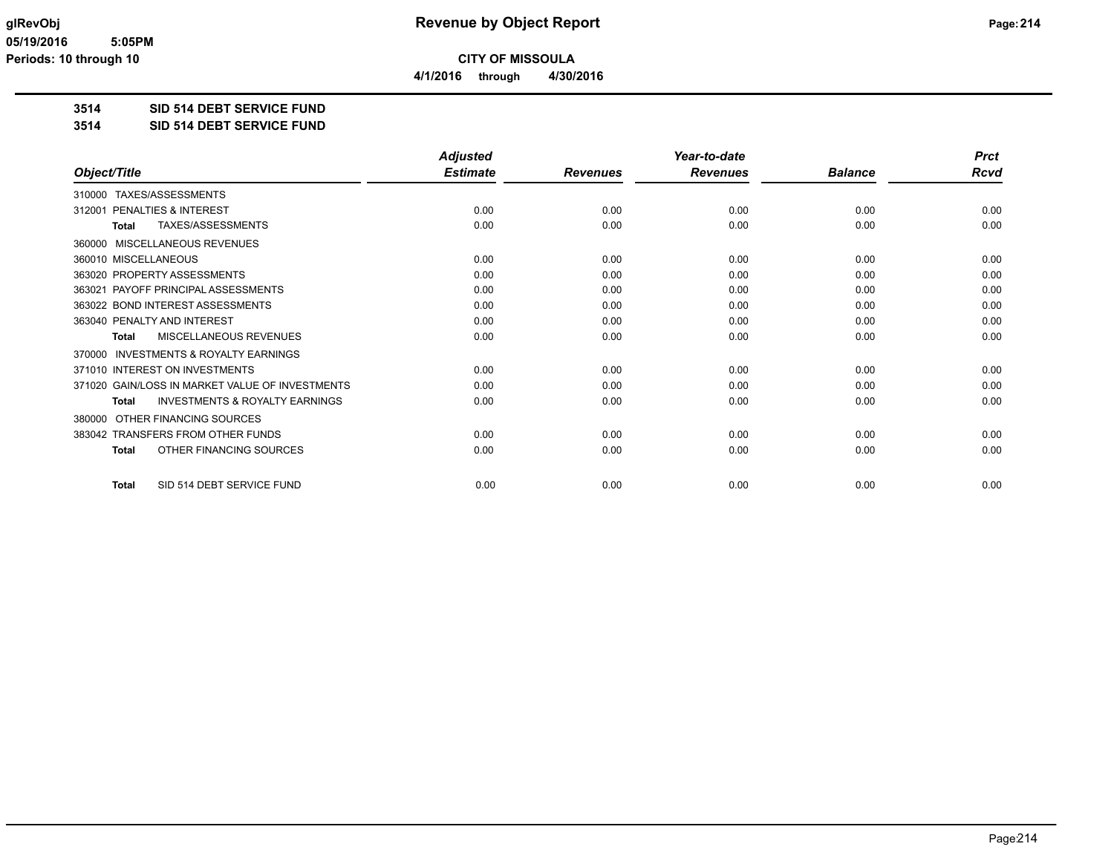**4/1/2016 through 4/30/2016**

# **3514 SID 514 DEBT SERVICE FUND**

#### **3514 SID 514 DEBT SERVICE FUND**

|                                                           | <b>Adjusted</b> |                 | Year-to-date    |                | <b>Prct</b> |
|-----------------------------------------------------------|-----------------|-----------------|-----------------|----------------|-------------|
| Object/Title                                              | <b>Estimate</b> | <b>Revenues</b> | <b>Revenues</b> | <b>Balance</b> | <b>Rcvd</b> |
| TAXES/ASSESSMENTS<br>310000                               |                 |                 |                 |                |             |
| PENALTIES & INTEREST<br>312001                            | 0.00            | 0.00            | 0.00            | 0.00           | 0.00        |
| TAXES/ASSESSMENTS<br><b>Total</b>                         | 0.00            | 0.00            | 0.00            | 0.00           | 0.00        |
| MISCELLANEOUS REVENUES<br>360000                          |                 |                 |                 |                |             |
| 360010 MISCELLANEOUS                                      | 0.00            | 0.00            | 0.00            | 0.00           | 0.00        |
| 363020 PROPERTY ASSESSMENTS                               | 0.00            | 0.00            | 0.00            | 0.00           | 0.00        |
| PAYOFF PRINCIPAL ASSESSMENTS<br>363021                    | 0.00            | 0.00            | 0.00            | 0.00           | 0.00        |
| 363022 BOND INTEREST ASSESSMENTS                          | 0.00            | 0.00            | 0.00            | 0.00           | 0.00        |
| 363040 PENALTY AND INTEREST                               | 0.00            | 0.00            | 0.00            | 0.00           | 0.00        |
| MISCELLANEOUS REVENUES<br><b>Total</b>                    | 0.00            | 0.00            | 0.00            | 0.00           | 0.00        |
| <b>INVESTMENTS &amp; ROYALTY EARNINGS</b><br>370000       |                 |                 |                 |                |             |
| 371010 INTEREST ON INVESTMENTS                            | 0.00            | 0.00            | 0.00            | 0.00           | 0.00        |
| 371020 GAIN/LOSS IN MARKET VALUE OF INVESTMENTS           | 0.00            | 0.00            | 0.00            | 0.00           | 0.00        |
| <b>INVESTMENTS &amp; ROYALTY EARNINGS</b><br><b>Total</b> | 0.00            | 0.00            | 0.00            | 0.00           | 0.00        |
| OTHER FINANCING SOURCES<br>380000                         |                 |                 |                 |                |             |
| 383042 TRANSFERS FROM OTHER FUNDS                         | 0.00            | 0.00            | 0.00            | 0.00           | 0.00        |
| OTHER FINANCING SOURCES<br><b>Total</b>                   | 0.00            | 0.00            | 0.00            | 0.00           | 0.00        |
| SID 514 DEBT SERVICE FUND<br><b>Total</b>                 | 0.00            | 0.00            | 0.00            | 0.00           | 0.00        |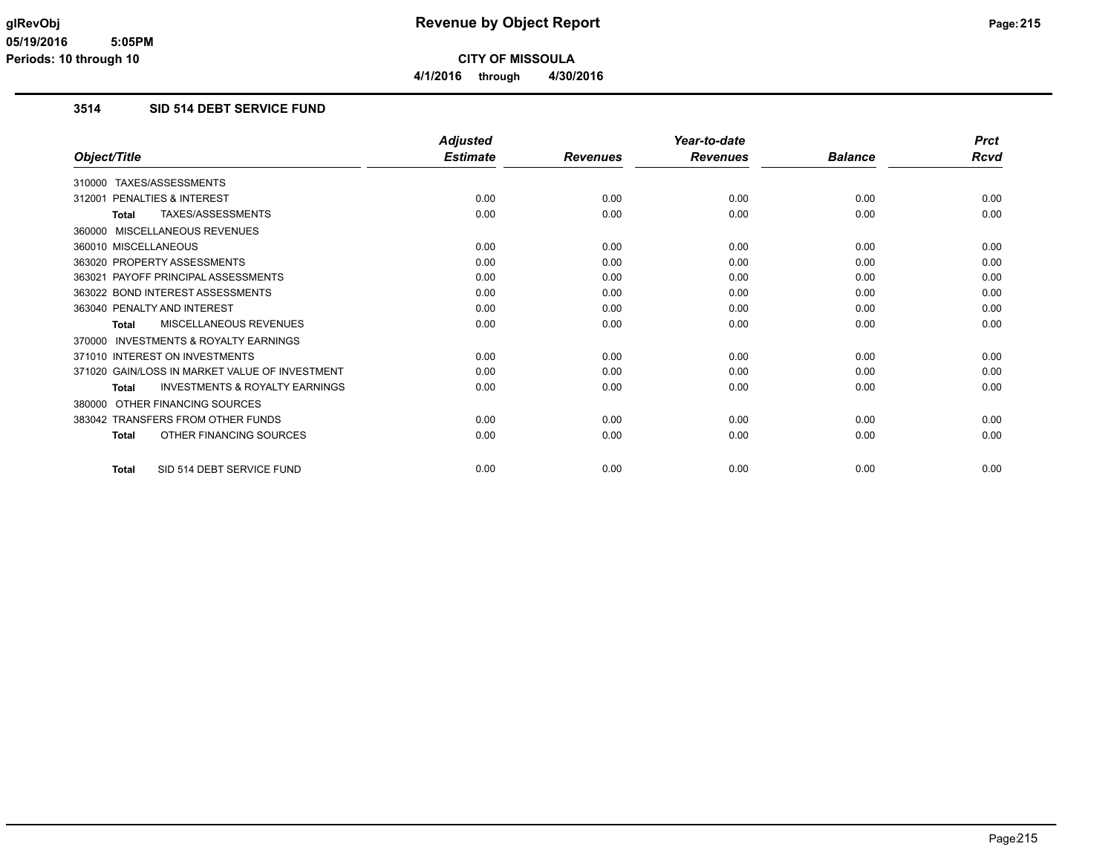# **3514 SID 514 DEBT SERVICE FUND**

|                                                           | <b>Adjusted</b> |                 | Year-to-date    |                | <b>Prct</b> |
|-----------------------------------------------------------|-----------------|-----------------|-----------------|----------------|-------------|
| Object/Title                                              | <b>Estimate</b> | <b>Revenues</b> | <b>Revenues</b> | <b>Balance</b> | Rcvd        |
| 310000 TAXES/ASSESSMENTS                                  |                 |                 |                 |                |             |
| PENALTIES & INTEREST<br>312001                            | 0.00            | 0.00            | 0.00            | 0.00           | 0.00        |
| TAXES/ASSESSMENTS<br><b>Total</b>                         | 0.00            | 0.00            | 0.00            | 0.00           | 0.00        |
| 360000 MISCELLANEOUS REVENUES                             |                 |                 |                 |                |             |
| 360010 MISCELLANEOUS                                      | 0.00            | 0.00            | 0.00            | 0.00           | 0.00        |
| 363020 PROPERTY ASSESSMENTS                               | 0.00            | 0.00            | 0.00            | 0.00           | 0.00        |
| 363021 PAYOFF PRINCIPAL ASSESSMENTS                       | 0.00            | 0.00            | 0.00            | 0.00           | 0.00        |
| 363022 BOND INTEREST ASSESSMENTS                          | 0.00            | 0.00            | 0.00            | 0.00           | 0.00        |
| 363040 PENALTY AND INTEREST                               | 0.00            | 0.00            | 0.00            | 0.00           | 0.00        |
| MISCELLANEOUS REVENUES<br>Total                           | 0.00            | 0.00            | 0.00            | 0.00           | 0.00        |
| 370000 INVESTMENTS & ROYALTY EARNINGS                     |                 |                 |                 |                |             |
| 371010 INTEREST ON INVESTMENTS                            | 0.00            | 0.00            | 0.00            | 0.00           | 0.00        |
| 371020 GAIN/LOSS IN MARKET VALUE OF INVESTMENT            | 0.00            | 0.00            | 0.00            | 0.00           | 0.00        |
| <b>INVESTMENTS &amp; ROYALTY EARNINGS</b><br><b>Total</b> | 0.00            | 0.00            | 0.00            | 0.00           | 0.00        |
| 380000 OTHER FINANCING SOURCES                            |                 |                 |                 |                |             |
| 383042 TRANSFERS FROM OTHER FUNDS                         | 0.00            | 0.00            | 0.00            | 0.00           | 0.00        |
| OTHER FINANCING SOURCES<br><b>Total</b>                   | 0.00            | 0.00            | 0.00            | 0.00           | 0.00        |
| SID 514 DEBT SERVICE FUND<br><b>Total</b>                 | 0.00            | 0.00            | 0.00            | 0.00           | 0.00        |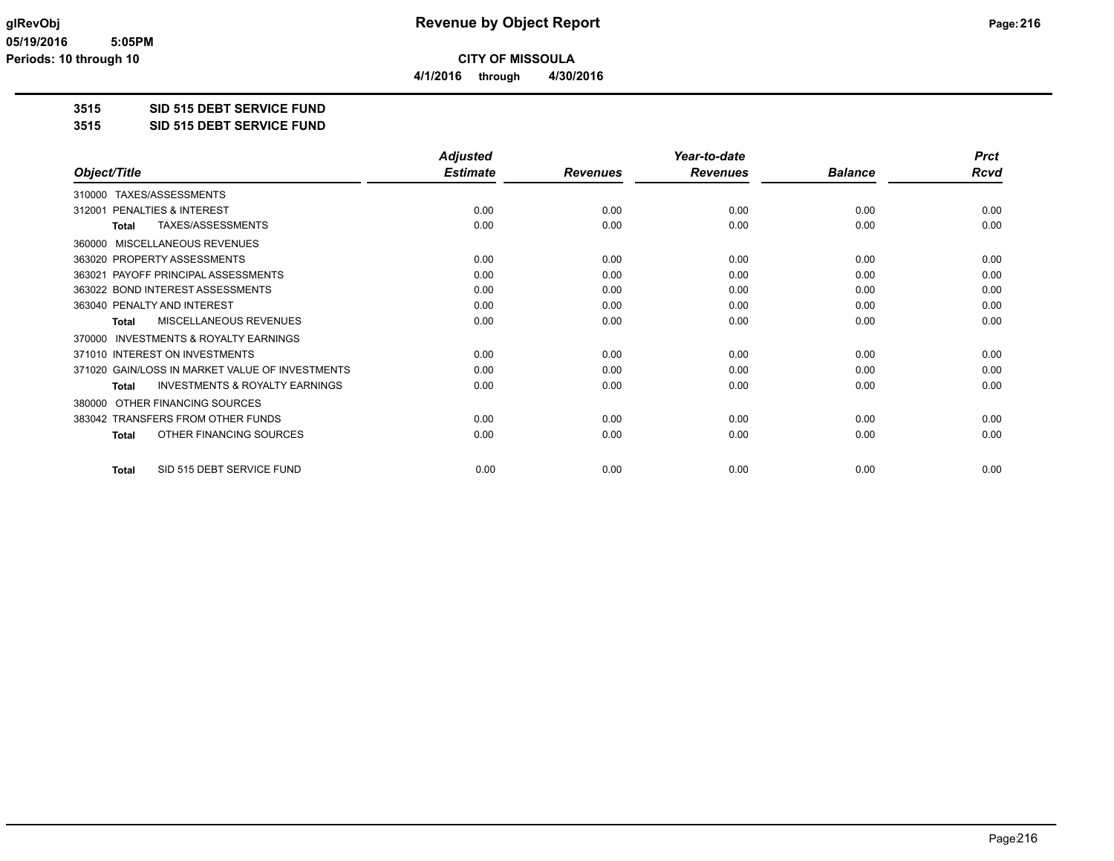**4/1/2016 through 4/30/2016**

# **3515 SID 515 DEBT SERVICE FUND**

#### **3515 SID 515 DEBT SERVICE FUND**

|                                                     | <b>Adjusted</b> |                 | Year-to-date    |                | <b>Prct</b> |
|-----------------------------------------------------|-----------------|-----------------|-----------------|----------------|-------------|
| Object/Title                                        | <b>Estimate</b> | <b>Revenues</b> | <b>Revenues</b> | <b>Balance</b> | <b>Rcvd</b> |
| TAXES/ASSESSMENTS<br>310000                         |                 |                 |                 |                |             |
| PENALTIES & INTEREST<br>312001                      | 0.00            | 0.00            | 0.00            | 0.00           | 0.00        |
| TAXES/ASSESSMENTS<br>Total                          | 0.00            | 0.00            | 0.00            | 0.00           | 0.00        |
| MISCELLANEOUS REVENUES<br>360000                    |                 |                 |                 |                |             |
| 363020 PROPERTY ASSESSMENTS                         | 0.00            | 0.00            | 0.00            | 0.00           | 0.00        |
| 363021 PAYOFF PRINCIPAL ASSESSMENTS                 | 0.00            | 0.00            | 0.00            | 0.00           | 0.00        |
| 363022 BOND INTEREST ASSESSMENTS                    | 0.00            | 0.00            | 0.00            | 0.00           | 0.00        |
| 363040 PENALTY AND INTEREST                         | 0.00            | 0.00            | 0.00            | 0.00           | 0.00        |
| <b>MISCELLANEOUS REVENUES</b><br><b>Total</b>       | 0.00            | 0.00            | 0.00            | 0.00           | 0.00        |
| <b>INVESTMENTS &amp; ROYALTY EARNINGS</b><br>370000 |                 |                 |                 |                |             |
| 371010 INTEREST ON INVESTMENTS                      | 0.00            | 0.00            | 0.00            | 0.00           | 0.00        |
| 371020 GAIN/LOSS IN MARKET VALUE OF INVESTMENTS     | 0.00            | 0.00            | 0.00            | 0.00           | 0.00        |
| <b>INVESTMENTS &amp; ROYALTY EARNINGS</b><br>Total  | 0.00            | 0.00            | 0.00            | 0.00           | 0.00        |
| OTHER FINANCING SOURCES<br>380000                   |                 |                 |                 |                |             |
| 383042 TRANSFERS FROM OTHER FUNDS                   | 0.00            | 0.00            | 0.00            | 0.00           | 0.00        |
| OTHER FINANCING SOURCES<br><b>Total</b>             | 0.00            | 0.00            | 0.00            | 0.00           | 0.00        |
|                                                     |                 |                 |                 |                |             |
| SID 515 DEBT SERVICE FUND<br><b>Total</b>           | 0.00            | 0.00            | 0.00            | 0.00           | 0.00        |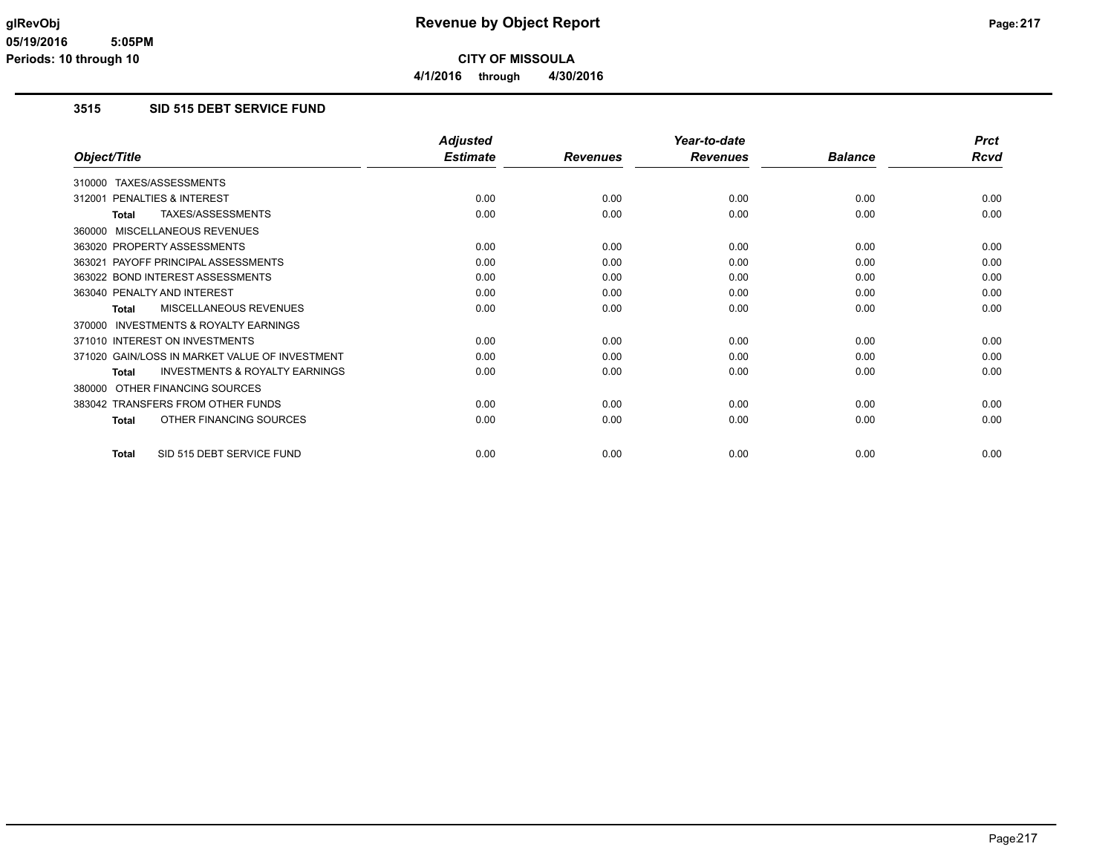**4/1/2016 through 4/30/2016**

#### **3515 SID 515 DEBT SERVICE FUND**

|                                                           | <b>Adjusted</b> |                 | Year-to-date    |                | <b>Prct</b> |
|-----------------------------------------------------------|-----------------|-----------------|-----------------|----------------|-------------|
| Object/Title                                              | <b>Estimate</b> | <b>Revenues</b> | <b>Revenues</b> | <b>Balance</b> | Rcvd        |
| TAXES/ASSESSMENTS<br>310000                               |                 |                 |                 |                |             |
| 312001 PENALTIES & INTEREST                               | 0.00            | 0.00            | 0.00            | 0.00           | 0.00        |
| TAXES/ASSESSMENTS<br><b>Total</b>                         | 0.00            | 0.00            | 0.00            | 0.00           | 0.00        |
| MISCELLANEOUS REVENUES<br>360000                          |                 |                 |                 |                |             |
| 363020 PROPERTY ASSESSMENTS                               | 0.00            | 0.00            | 0.00            | 0.00           | 0.00        |
| 363021 PAYOFF PRINCIPAL ASSESSMENTS                       | 0.00            | 0.00            | 0.00            | 0.00           | 0.00        |
| 363022 BOND INTEREST ASSESSMENTS                          | 0.00            | 0.00            | 0.00            | 0.00           | 0.00        |
| 363040 PENALTY AND INTEREST                               | 0.00            | 0.00            | 0.00            | 0.00           | 0.00        |
| <b>MISCELLANEOUS REVENUES</b><br><b>Total</b>             | 0.00            | 0.00            | 0.00            | 0.00           | 0.00        |
| INVESTMENTS & ROYALTY EARNINGS<br>370000                  |                 |                 |                 |                |             |
| 371010 INTEREST ON INVESTMENTS                            | 0.00            | 0.00            | 0.00            | 0.00           | 0.00        |
| 371020 GAIN/LOSS IN MARKET VALUE OF INVESTMENT            | 0.00            | 0.00            | 0.00            | 0.00           | 0.00        |
| <b>INVESTMENTS &amp; ROYALTY EARNINGS</b><br><b>Total</b> | 0.00            | 0.00            | 0.00            | 0.00           | 0.00        |
| OTHER FINANCING SOURCES<br>380000                         |                 |                 |                 |                |             |
| 383042 TRANSFERS FROM OTHER FUNDS                         | 0.00            | 0.00            | 0.00            | 0.00           | 0.00        |
| OTHER FINANCING SOURCES<br><b>Total</b>                   | 0.00            | 0.00            | 0.00            | 0.00           | 0.00        |
| SID 515 DEBT SERVICE FUND<br><b>Total</b>                 | 0.00            | 0.00            | 0.00            | 0.00           | 0.00        |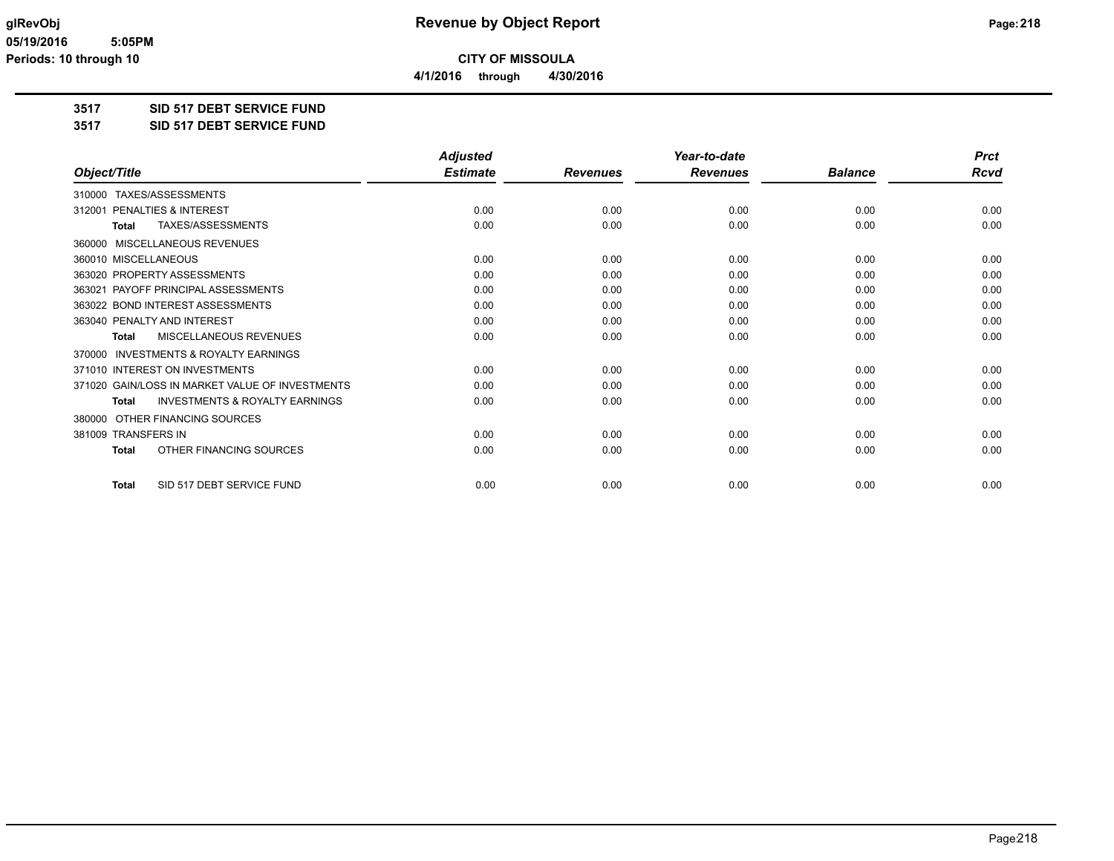**4/1/2016 through 4/30/2016**

### **3517 SID 517 DEBT SERVICE FUND**

**3517 SID 517 DEBT SERVICE FUND**

|                                                     | <b>Adjusted</b> |                 | Year-to-date    |                | <b>Prct</b> |
|-----------------------------------------------------|-----------------|-----------------|-----------------|----------------|-------------|
| Object/Title                                        | <b>Estimate</b> | <b>Revenues</b> | <b>Revenues</b> | <b>Balance</b> | <b>Rcvd</b> |
| 310000 TAXES/ASSESSMENTS                            |                 |                 |                 |                |             |
| <b>PENALTIES &amp; INTEREST</b><br>312001           | 0.00            | 0.00            | 0.00            | 0.00           | 0.00        |
| TAXES/ASSESSMENTS<br><b>Total</b>                   | 0.00            | 0.00            | 0.00            | 0.00           | 0.00        |
| MISCELLANEOUS REVENUES<br>360000                    |                 |                 |                 |                |             |
| 360010 MISCELLANEOUS                                | 0.00            | 0.00            | 0.00            | 0.00           | 0.00        |
| 363020 PROPERTY ASSESSMENTS                         | 0.00            | 0.00            | 0.00            | 0.00           | 0.00        |
| PAYOFF PRINCIPAL ASSESSMENTS<br>363021              | 0.00            | 0.00            | 0.00            | 0.00           | 0.00        |
| 363022 BOND INTEREST ASSESSMENTS                    | 0.00            | 0.00            | 0.00            | 0.00           | 0.00        |
| 363040 PENALTY AND INTEREST                         | 0.00            | 0.00            | 0.00            | 0.00           | 0.00        |
| MISCELLANEOUS REVENUES<br><b>Total</b>              | 0.00            | 0.00            | 0.00            | 0.00           | 0.00        |
| <b>INVESTMENTS &amp; ROYALTY EARNINGS</b><br>370000 |                 |                 |                 |                |             |
| 371010 INTEREST ON INVESTMENTS                      | 0.00            | 0.00            | 0.00            | 0.00           | 0.00        |
| 371020 GAIN/LOSS IN MARKET VALUE OF INVESTMENTS     | 0.00            | 0.00            | 0.00            | 0.00           | 0.00        |
| <b>INVESTMENTS &amp; ROYALTY EARNINGS</b><br>Total  | 0.00            | 0.00            | 0.00            | 0.00           | 0.00        |
| OTHER FINANCING SOURCES<br>380000                   |                 |                 |                 |                |             |
| 381009 TRANSFERS IN                                 | 0.00            | 0.00            | 0.00            | 0.00           | 0.00        |
| OTHER FINANCING SOURCES<br><b>Total</b>             | 0.00            | 0.00            | 0.00            | 0.00           | 0.00        |
| SID 517 DEBT SERVICE FUND<br><b>Total</b>           | 0.00            | 0.00            | 0.00            | 0.00           | 0.00        |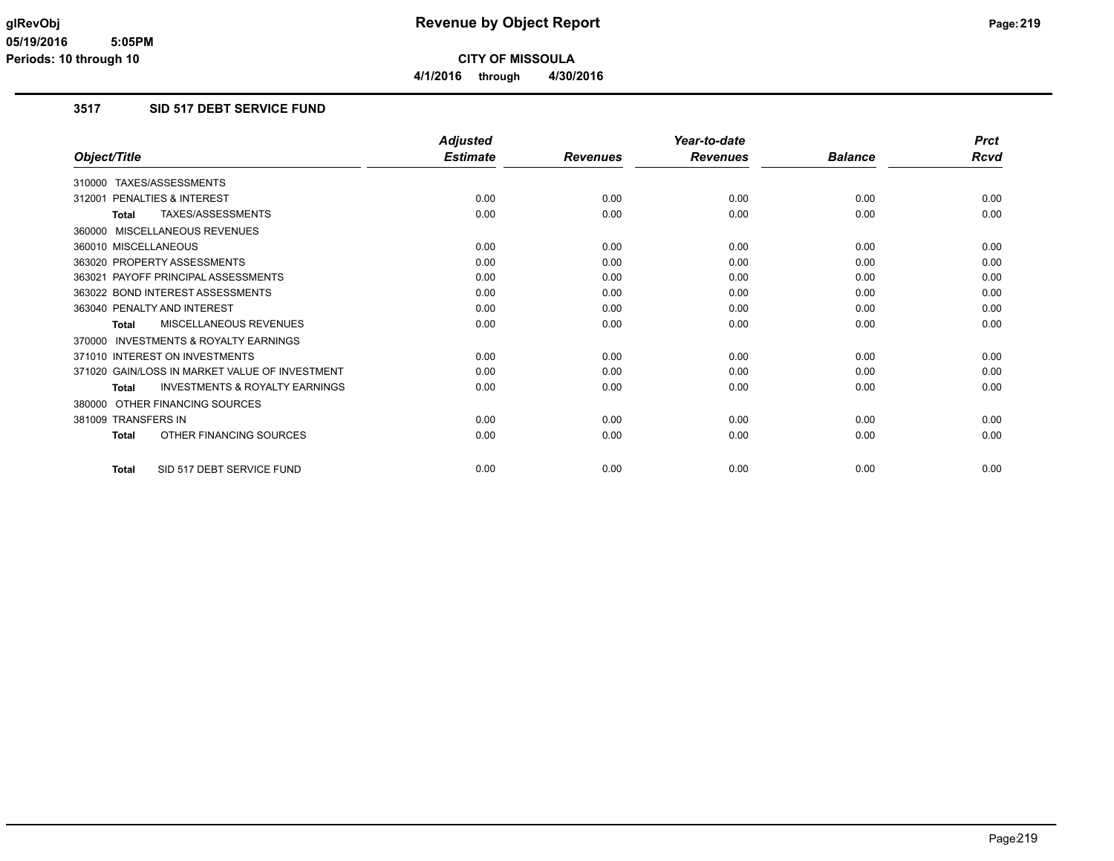### **3517 SID 517 DEBT SERVICE FUND**

|                                                           | <b>Adjusted</b> |                 | Year-to-date    |                | <b>Prct</b> |
|-----------------------------------------------------------|-----------------|-----------------|-----------------|----------------|-------------|
| Object/Title                                              | <b>Estimate</b> | <b>Revenues</b> | <b>Revenues</b> | <b>Balance</b> | <b>Rcvd</b> |
| 310000 TAXES/ASSESSMENTS                                  |                 |                 |                 |                |             |
| PENALTIES & INTEREST<br>312001                            | 0.00            | 0.00            | 0.00            | 0.00           | 0.00        |
| TAXES/ASSESSMENTS<br><b>Total</b>                         | 0.00            | 0.00            | 0.00            | 0.00           | 0.00        |
| 360000 MISCELLANEOUS REVENUES                             |                 |                 |                 |                |             |
| 360010 MISCELLANEOUS                                      | 0.00            | 0.00            | 0.00            | 0.00           | 0.00        |
| 363020 PROPERTY ASSESSMENTS                               | 0.00            | 0.00            | 0.00            | 0.00           | 0.00        |
| 363021 PAYOFF PRINCIPAL ASSESSMENTS                       | 0.00            | 0.00            | 0.00            | 0.00           | 0.00        |
| 363022 BOND INTEREST ASSESSMENTS                          | 0.00            | 0.00            | 0.00            | 0.00           | 0.00        |
| 363040 PENALTY AND INTEREST                               | 0.00            | 0.00            | 0.00            | 0.00           | 0.00        |
| MISCELLANEOUS REVENUES<br><b>Total</b>                    | 0.00            | 0.00            | 0.00            | 0.00           | 0.00        |
| 370000 INVESTMENTS & ROYALTY EARNINGS                     |                 |                 |                 |                |             |
| 371010 INTEREST ON INVESTMENTS                            | 0.00            | 0.00            | 0.00            | 0.00           | 0.00        |
| 371020 GAIN/LOSS IN MARKET VALUE OF INVESTMENT            | 0.00            | 0.00            | 0.00            | 0.00           | 0.00        |
| <b>INVESTMENTS &amp; ROYALTY EARNINGS</b><br><b>Total</b> | 0.00            | 0.00            | 0.00            | 0.00           | 0.00        |
| 380000 OTHER FINANCING SOURCES                            |                 |                 |                 |                |             |
| 381009 TRANSFERS IN                                       | 0.00            | 0.00            | 0.00            | 0.00           | 0.00        |
| OTHER FINANCING SOURCES<br><b>Total</b>                   | 0.00            | 0.00            | 0.00            | 0.00           | 0.00        |
| SID 517 DEBT SERVICE FUND<br><b>Total</b>                 | 0.00            | 0.00            | 0.00            | 0.00           | 0.00        |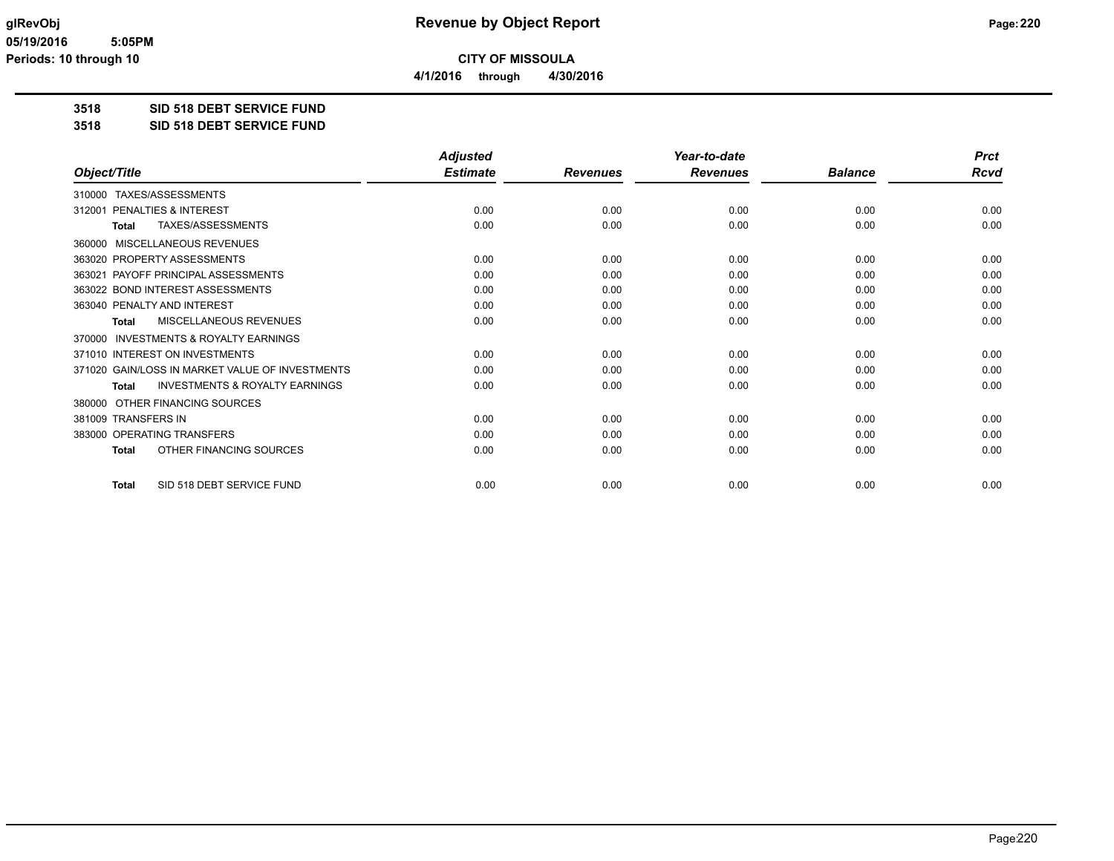**4/1/2016 through 4/30/2016**

### **3518 SID 518 DEBT SERVICE FUND**

#### **3518 SID 518 DEBT SERVICE FUND**

|                                                           | <b>Adjusted</b> |                 | Year-to-date    |                | <b>Prct</b> |
|-----------------------------------------------------------|-----------------|-----------------|-----------------|----------------|-------------|
| Object/Title                                              | <b>Estimate</b> | <b>Revenues</b> | <b>Revenues</b> | <b>Balance</b> | Rcvd        |
| TAXES/ASSESSMENTS<br>310000                               |                 |                 |                 |                |             |
| PENALTIES & INTEREST<br>312001                            | 0.00            | 0.00            | 0.00            | 0.00           | 0.00        |
| TAXES/ASSESSMENTS<br><b>Total</b>                         | 0.00            | 0.00            | 0.00            | 0.00           | 0.00        |
| MISCELLANEOUS REVENUES<br>360000                          |                 |                 |                 |                |             |
| 363020 PROPERTY ASSESSMENTS                               | 0.00            | 0.00            | 0.00            | 0.00           | 0.00        |
| PAYOFF PRINCIPAL ASSESSMENTS<br>363021                    | 0.00            | 0.00            | 0.00            | 0.00           | 0.00        |
| 363022 BOND INTEREST ASSESSMENTS                          | 0.00            | 0.00            | 0.00            | 0.00           | 0.00        |
| 363040 PENALTY AND INTEREST                               | 0.00            | 0.00            | 0.00            | 0.00           | 0.00        |
| MISCELLANEOUS REVENUES<br><b>Total</b>                    | 0.00            | 0.00            | 0.00            | 0.00           | 0.00        |
| <b>INVESTMENTS &amp; ROYALTY EARNINGS</b><br>370000       |                 |                 |                 |                |             |
| 371010 INTEREST ON INVESTMENTS                            | 0.00            | 0.00            | 0.00            | 0.00           | 0.00        |
| 371020 GAIN/LOSS IN MARKET VALUE OF INVESTMENTS           | 0.00            | 0.00            | 0.00            | 0.00           | 0.00        |
| <b>INVESTMENTS &amp; ROYALTY EARNINGS</b><br><b>Total</b> | 0.00            | 0.00            | 0.00            | 0.00           | 0.00        |
| OTHER FINANCING SOURCES<br>380000                         |                 |                 |                 |                |             |
| 381009 TRANSFERS IN                                       | 0.00            | 0.00            | 0.00            | 0.00           | 0.00        |
| 383000 OPERATING TRANSFERS                                | 0.00            | 0.00            | 0.00            | 0.00           | 0.00        |
| OTHER FINANCING SOURCES<br><b>Total</b>                   | 0.00            | 0.00            | 0.00            | 0.00           | 0.00        |
| SID 518 DEBT SERVICE FUND<br><b>Total</b>                 | 0.00            | 0.00            | 0.00            | 0.00           | 0.00        |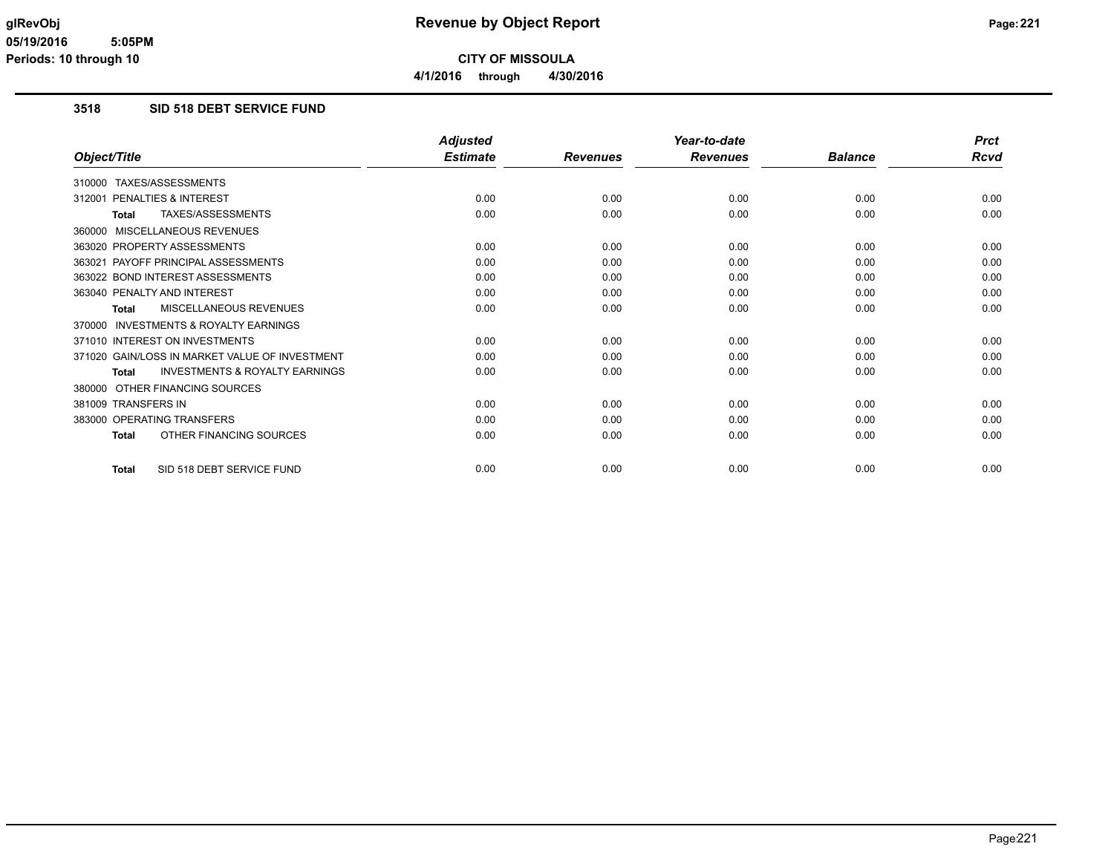### **3518 SID 518 DEBT SERVICE FUND**

|                                                           | <b>Adjusted</b> |                 | Year-to-date    |                | <b>Prct</b> |
|-----------------------------------------------------------|-----------------|-----------------|-----------------|----------------|-------------|
| Object/Title                                              | <b>Estimate</b> | <b>Revenues</b> | <b>Revenues</b> | <b>Balance</b> | Rcvd        |
| 310000 TAXES/ASSESSMENTS                                  |                 |                 |                 |                |             |
| PENALTIES & INTEREST<br>312001                            | 0.00            | 0.00            | 0.00            | 0.00           | 0.00        |
| TAXES/ASSESSMENTS<br><b>Total</b>                         | 0.00            | 0.00            | 0.00            | 0.00           | 0.00        |
| 360000 MISCELLANEOUS REVENUES                             |                 |                 |                 |                |             |
| 363020 PROPERTY ASSESSMENTS                               | 0.00            | 0.00            | 0.00            | 0.00           | 0.00        |
| 363021 PAYOFF PRINCIPAL ASSESSMENTS                       | 0.00            | 0.00            | 0.00            | 0.00           | 0.00        |
| 363022 BOND INTEREST ASSESSMENTS                          | 0.00            | 0.00            | 0.00            | 0.00           | 0.00        |
| 363040 PENALTY AND INTEREST                               | 0.00            | 0.00            | 0.00            | 0.00           | 0.00        |
| <b>MISCELLANEOUS REVENUES</b><br><b>Total</b>             | 0.00            | 0.00            | 0.00            | 0.00           | 0.00        |
| <b>INVESTMENTS &amp; ROYALTY EARNINGS</b><br>370000       |                 |                 |                 |                |             |
| 371010 INTEREST ON INVESTMENTS                            | 0.00            | 0.00            | 0.00            | 0.00           | 0.00        |
| 371020 GAIN/LOSS IN MARKET VALUE OF INVESTMENT            | 0.00            | 0.00            | 0.00            | 0.00           | 0.00        |
| <b>INVESTMENTS &amp; ROYALTY EARNINGS</b><br><b>Total</b> | 0.00            | 0.00            | 0.00            | 0.00           | 0.00        |
| OTHER FINANCING SOURCES<br>380000                         |                 |                 |                 |                |             |
| 381009 TRANSFERS IN                                       | 0.00            | 0.00            | 0.00            | 0.00           | 0.00        |
| 383000 OPERATING TRANSFERS                                | 0.00            | 0.00            | 0.00            | 0.00           | 0.00        |
| OTHER FINANCING SOURCES<br><b>Total</b>                   | 0.00            | 0.00            | 0.00            | 0.00           | 0.00        |
| SID 518 DEBT SERVICE FUND<br><b>Total</b>                 | 0.00            | 0.00            | 0.00            | 0.00           | 0.00        |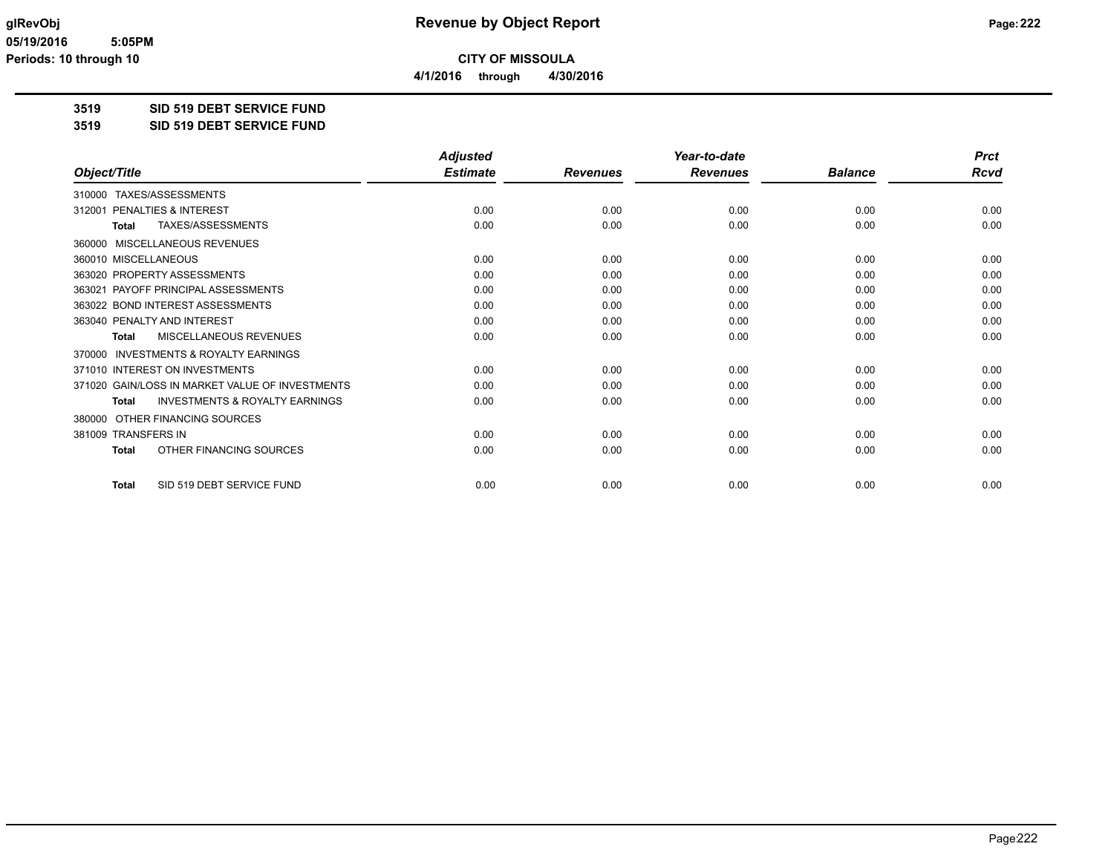**4/1/2016 through 4/30/2016**

## **3519 SID 519 DEBT SERVICE FUND**

#### **3519 SID 519 DEBT SERVICE FUND**

|                                                           | <b>Adjusted</b> |                 | Year-to-date    |                | <b>Prct</b> |
|-----------------------------------------------------------|-----------------|-----------------|-----------------|----------------|-------------|
| Object/Title                                              | <b>Estimate</b> | <b>Revenues</b> | <b>Revenues</b> | <b>Balance</b> | <b>Rcvd</b> |
| TAXES/ASSESSMENTS<br>310000                               |                 |                 |                 |                |             |
| PENALTIES & INTEREST<br>312001                            | 0.00            | 0.00            | 0.00            | 0.00           | 0.00        |
| <b>TAXES/ASSESSMENTS</b><br><b>Total</b>                  | 0.00            | 0.00            | 0.00            | 0.00           | 0.00        |
| MISCELLANEOUS REVENUES<br>360000                          |                 |                 |                 |                |             |
| 360010 MISCELLANEOUS                                      | 0.00            | 0.00            | 0.00            | 0.00           | 0.00        |
| 363020 PROPERTY ASSESSMENTS                               | 0.00            | 0.00            | 0.00            | 0.00           | 0.00        |
| PAYOFF PRINCIPAL ASSESSMENTS<br>363021                    | 0.00            | 0.00            | 0.00            | 0.00           | 0.00        |
| 363022 BOND INTEREST ASSESSMENTS                          | 0.00            | 0.00            | 0.00            | 0.00           | 0.00        |
| 363040 PENALTY AND INTEREST                               | 0.00            | 0.00            | 0.00            | 0.00           | 0.00        |
| MISCELLANEOUS REVENUES<br><b>Total</b>                    | 0.00            | 0.00            | 0.00            | 0.00           | 0.00        |
| <b>INVESTMENTS &amp; ROYALTY EARNINGS</b><br>370000       |                 |                 |                 |                |             |
| 371010 INTEREST ON INVESTMENTS                            | 0.00            | 0.00            | 0.00            | 0.00           | 0.00        |
| 371020 GAIN/LOSS IN MARKET VALUE OF INVESTMENTS           | 0.00            | 0.00            | 0.00            | 0.00           | 0.00        |
| <b>INVESTMENTS &amp; ROYALTY EARNINGS</b><br><b>Total</b> | 0.00            | 0.00            | 0.00            | 0.00           | 0.00        |
| OTHER FINANCING SOURCES<br>380000                         |                 |                 |                 |                |             |
| 381009 TRANSFERS IN                                       | 0.00            | 0.00            | 0.00            | 0.00           | 0.00        |
| OTHER FINANCING SOURCES<br><b>Total</b>                   | 0.00            | 0.00            | 0.00            | 0.00           | 0.00        |
| SID 519 DEBT SERVICE FUND<br><b>Total</b>                 | 0.00            | 0.00            | 0.00            | 0.00           | 0.00        |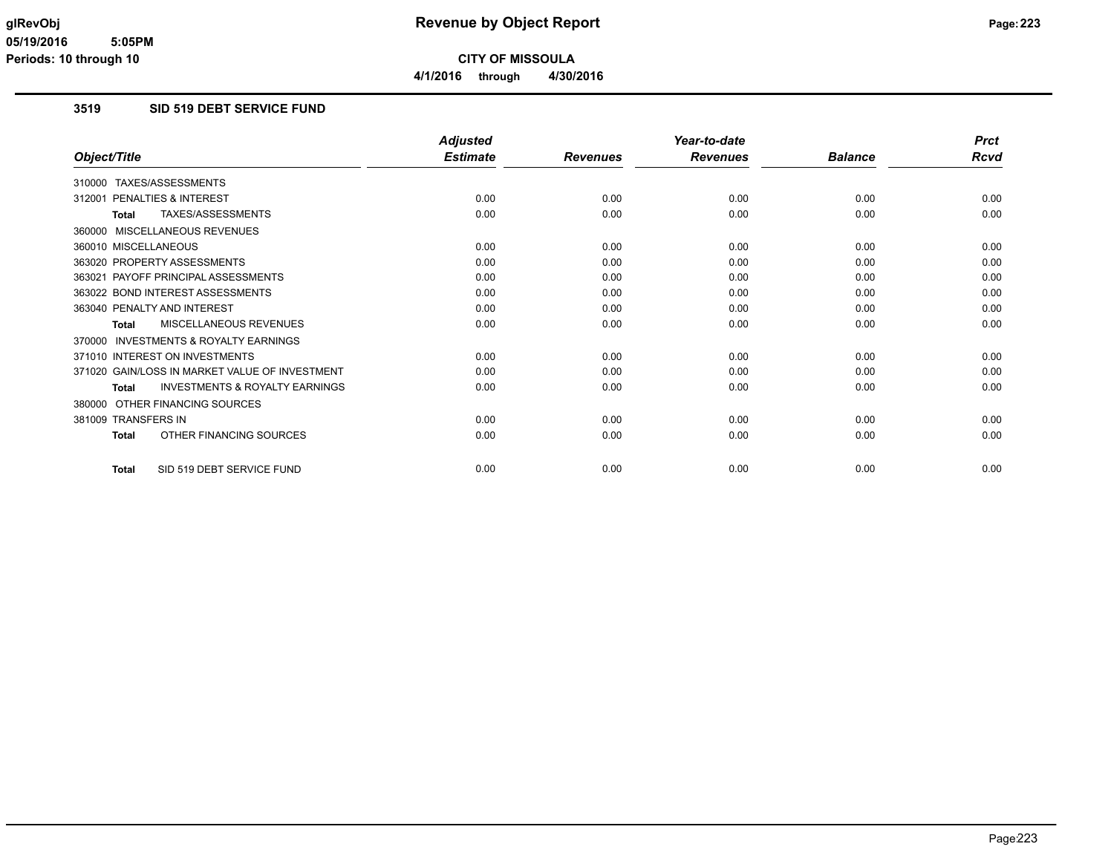### **3519 SID 519 DEBT SERVICE FUND**

|                                                           | <b>Adjusted</b> |                 | Year-to-date    |                | <b>Prct</b> |
|-----------------------------------------------------------|-----------------|-----------------|-----------------|----------------|-------------|
| Object/Title                                              | <b>Estimate</b> | <b>Revenues</b> | <b>Revenues</b> | <b>Balance</b> | Rcvd        |
| 310000 TAXES/ASSESSMENTS                                  |                 |                 |                 |                |             |
| PENALTIES & INTEREST<br>312001                            | 0.00            | 0.00            | 0.00            | 0.00           | 0.00        |
| TAXES/ASSESSMENTS<br><b>Total</b>                         | 0.00            | 0.00            | 0.00            | 0.00           | 0.00        |
| 360000 MISCELLANEOUS REVENUES                             |                 |                 |                 |                |             |
| 360010 MISCELLANEOUS                                      | 0.00            | 0.00            | 0.00            | 0.00           | 0.00        |
| 363020 PROPERTY ASSESSMENTS                               | 0.00            | 0.00            | 0.00            | 0.00           | 0.00        |
| 363021 PAYOFF PRINCIPAL ASSESSMENTS                       | 0.00            | 0.00            | 0.00            | 0.00           | 0.00        |
| 363022 BOND INTEREST ASSESSMENTS                          | 0.00            | 0.00            | 0.00            | 0.00           | 0.00        |
| 363040 PENALTY AND INTEREST                               | 0.00            | 0.00            | 0.00            | 0.00           | 0.00        |
| MISCELLANEOUS REVENUES<br>Total                           | 0.00            | 0.00            | 0.00            | 0.00           | 0.00        |
| 370000 INVESTMENTS & ROYALTY EARNINGS                     |                 |                 |                 |                |             |
| 371010 INTEREST ON INVESTMENTS                            | 0.00            | 0.00            | 0.00            | 0.00           | 0.00        |
| 371020 GAIN/LOSS IN MARKET VALUE OF INVESTMENT            | 0.00            | 0.00            | 0.00            | 0.00           | 0.00        |
| <b>INVESTMENTS &amp; ROYALTY EARNINGS</b><br><b>Total</b> | 0.00            | 0.00            | 0.00            | 0.00           | 0.00        |
| 380000 OTHER FINANCING SOURCES                            |                 |                 |                 |                |             |
| 381009 TRANSFERS IN                                       | 0.00            | 0.00            | 0.00            | 0.00           | 0.00        |
| OTHER FINANCING SOURCES<br><b>Total</b>                   | 0.00            | 0.00            | 0.00            | 0.00           | 0.00        |
| SID 519 DEBT SERVICE FUND<br><b>Total</b>                 | 0.00            | 0.00            | 0.00            | 0.00           | 0.00        |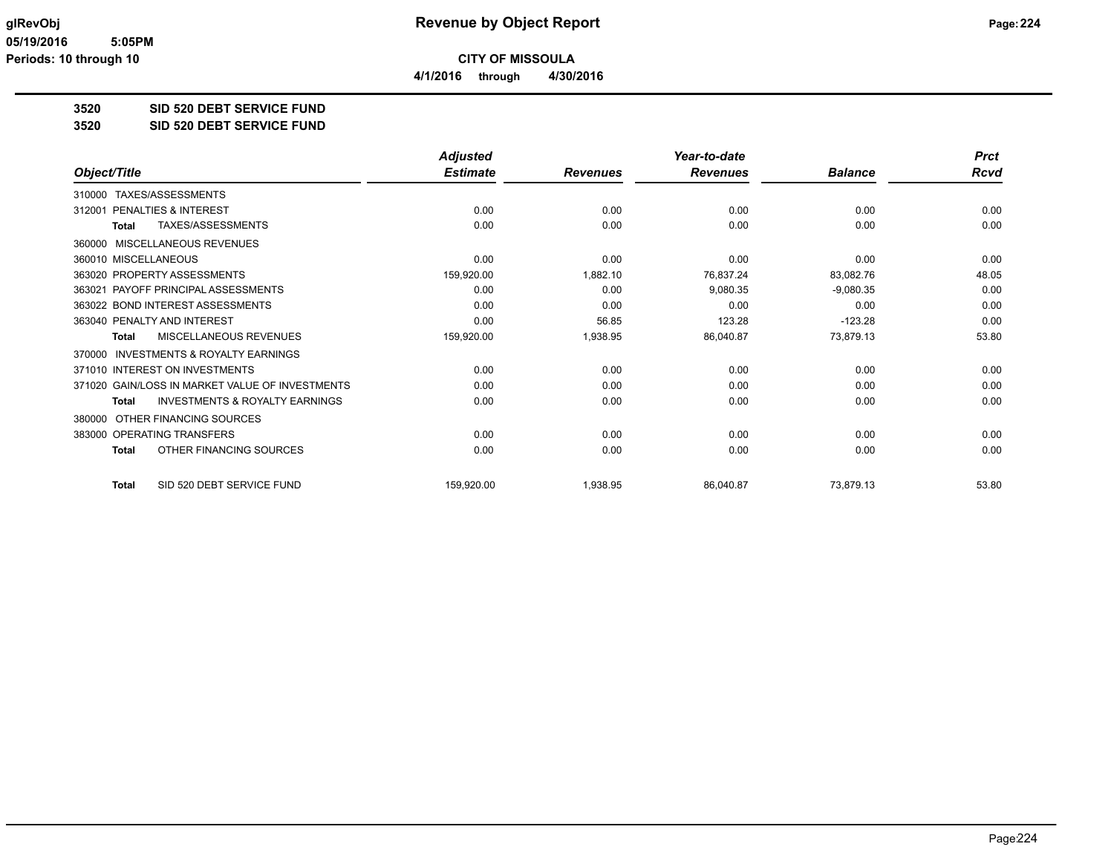**4/1/2016 through 4/30/2016**

# **3520 SID 520 DEBT SERVICE FUND**

#### **3520 SID 520 DEBT SERVICE FUND**

|                                                    | <b>Adjusted</b> |                 | Year-to-date    |                | <b>Prct</b> |
|----------------------------------------------------|-----------------|-----------------|-----------------|----------------|-------------|
| Object/Title                                       | <b>Estimate</b> | <b>Revenues</b> | <b>Revenues</b> | <b>Balance</b> | Rcvd        |
| TAXES/ASSESSMENTS<br>310000                        |                 |                 |                 |                |             |
| PENALTIES & INTEREST<br>312001                     | 0.00            | 0.00            | 0.00            | 0.00           | 0.00        |
| TAXES/ASSESSMENTS<br><b>Total</b>                  | 0.00            | 0.00            | 0.00            | 0.00           | 0.00        |
| MISCELLANEOUS REVENUES<br>360000                   |                 |                 |                 |                |             |
| 360010 MISCELLANEOUS                               | 0.00            | 0.00            | 0.00            | 0.00           | 0.00        |
| 363020 PROPERTY ASSESSMENTS                        | 159,920.00      | 1,882.10        | 76,837.24       | 83,082.76      | 48.05       |
| 363021 PAYOFF PRINCIPAL ASSESSMENTS                | 0.00            | 0.00            | 9,080.35        | $-9,080.35$    | 0.00        |
| 363022 BOND INTEREST ASSESSMENTS                   | 0.00            | 0.00            | 0.00            | 0.00           | 0.00        |
| 363040 PENALTY AND INTEREST                        | 0.00            | 56.85           | 123.28          | $-123.28$      | 0.00        |
| MISCELLANEOUS REVENUES<br>Total                    | 159,920.00      | 1,938.95        | 86,040.87       | 73,879.13      | 53.80       |
| INVESTMENTS & ROYALTY EARNINGS<br>370000           |                 |                 |                 |                |             |
| 371010 INTEREST ON INVESTMENTS                     | 0.00            | 0.00            | 0.00            | 0.00           | 0.00        |
| 371020 GAIN/LOSS IN MARKET VALUE OF INVESTMENTS    | 0.00            | 0.00            | 0.00            | 0.00           | 0.00        |
| <b>INVESTMENTS &amp; ROYALTY EARNINGS</b><br>Total | 0.00            | 0.00            | 0.00            | 0.00           | 0.00        |
| OTHER FINANCING SOURCES<br>380000                  |                 |                 |                 |                |             |
| 383000 OPERATING TRANSFERS                         | 0.00            | 0.00            | 0.00            | 0.00           | 0.00        |
| OTHER FINANCING SOURCES<br>Total                   | 0.00            | 0.00            | 0.00            | 0.00           | 0.00        |
| SID 520 DEBT SERVICE FUND<br><b>Total</b>          | 159,920.00      | 1,938.95        | 86,040.87       | 73,879.13      | 53.80       |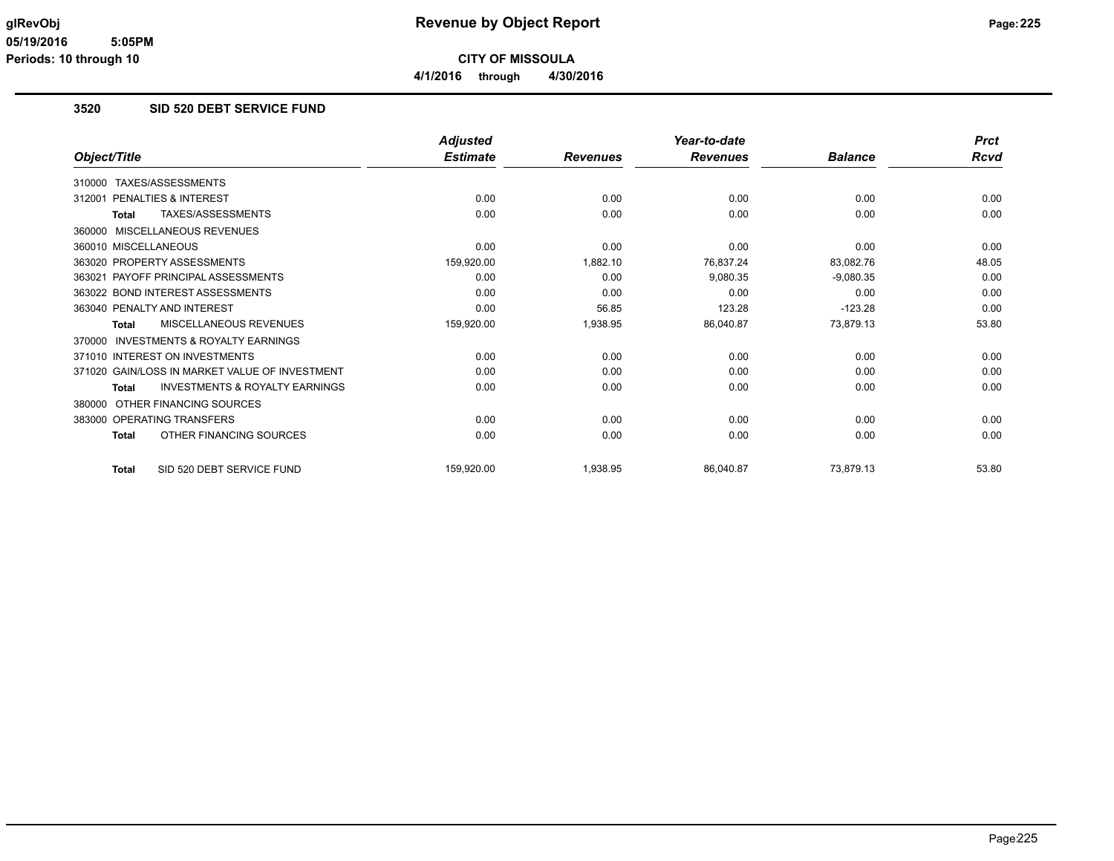### **3520 SID 520 DEBT SERVICE FUND**

|                                                           | <b>Adjusted</b> |                 | Year-to-date    |                | <b>Prct</b> |
|-----------------------------------------------------------|-----------------|-----------------|-----------------|----------------|-------------|
| Object/Title                                              | <b>Estimate</b> | <b>Revenues</b> | <b>Revenues</b> | <b>Balance</b> | <b>Rcvd</b> |
| TAXES/ASSESSMENTS<br>310000                               |                 |                 |                 |                |             |
| PENALTIES & INTEREST<br>312001                            | 0.00            | 0.00            | 0.00            | 0.00           | 0.00        |
| TAXES/ASSESSMENTS<br><b>Total</b>                         | 0.00            | 0.00            | 0.00            | 0.00           | 0.00        |
| MISCELLANEOUS REVENUES<br>360000                          |                 |                 |                 |                |             |
| 360010 MISCELLANEOUS                                      | 0.00            | 0.00            | 0.00            | 0.00           | 0.00        |
| 363020 PROPERTY ASSESSMENTS                               | 159,920.00      | 1,882.10        | 76,837.24       | 83,082.76      | 48.05       |
| 363021 PAYOFF PRINCIPAL ASSESSMENTS                       | 0.00            | 0.00            | 9,080.35        | $-9,080.35$    | 0.00        |
| 363022 BOND INTEREST ASSESSMENTS                          | 0.00            | 0.00            | 0.00            | 0.00           | 0.00        |
| 363040 PENALTY AND INTEREST                               | 0.00            | 56.85           | 123.28          | $-123.28$      | 0.00        |
| MISCELLANEOUS REVENUES<br><b>Total</b>                    | 159,920.00      | 1,938.95        | 86,040.87       | 73,879.13      | 53.80       |
| <b>INVESTMENTS &amp; ROYALTY EARNINGS</b><br>370000       |                 |                 |                 |                |             |
| 371010 INTEREST ON INVESTMENTS                            | 0.00            | 0.00            | 0.00            | 0.00           | 0.00        |
| 371020 GAIN/LOSS IN MARKET VALUE OF INVESTMENT            | 0.00            | 0.00            | 0.00            | 0.00           | 0.00        |
| <b>INVESTMENTS &amp; ROYALTY EARNINGS</b><br><b>Total</b> | 0.00            | 0.00            | 0.00            | 0.00           | 0.00        |
| OTHER FINANCING SOURCES<br>380000                         |                 |                 |                 |                |             |
| 383000 OPERATING TRANSFERS                                | 0.00            | 0.00            | 0.00            | 0.00           | 0.00        |
| OTHER FINANCING SOURCES<br><b>Total</b>                   | 0.00            | 0.00            | 0.00            | 0.00           | 0.00        |
| SID 520 DEBT SERVICE FUND<br><b>Total</b>                 | 159,920.00      | 1,938.95        | 86,040.87       | 73,879.13      | 53.80       |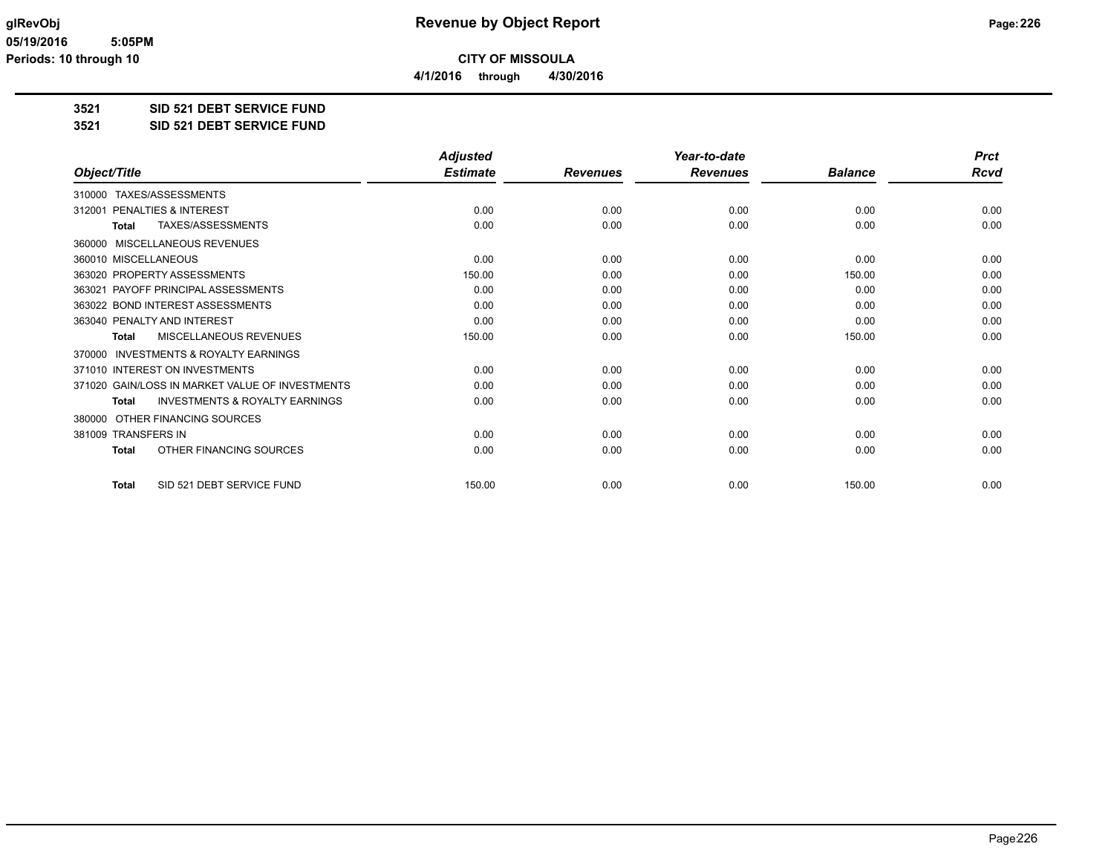**4/1/2016 through 4/30/2016**

**3521 SID 521 DEBT SERVICE FUND**

**3521 SID 521 DEBT SERVICE FUND**

|                                                           | <b>Adjusted</b> |                 | Year-to-date    |                | <b>Prct</b> |
|-----------------------------------------------------------|-----------------|-----------------|-----------------|----------------|-------------|
| Object/Title                                              | <b>Estimate</b> | <b>Revenues</b> | <b>Revenues</b> | <b>Balance</b> | Rcvd        |
| 310000 TAXES/ASSESSMENTS                                  |                 |                 |                 |                |             |
| PENALTIES & INTEREST<br>312001                            | 0.00            | 0.00            | 0.00            | 0.00           | 0.00        |
| TAXES/ASSESSMENTS<br><b>Total</b>                         | 0.00            | 0.00            | 0.00            | 0.00           | 0.00        |
| 360000 MISCELLANEOUS REVENUES                             |                 |                 |                 |                |             |
| 360010 MISCELLANEOUS                                      | 0.00            | 0.00            | 0.00            | 0.00           | 0.00        |
| 363020 PROPERTY ASSESSMENTS                               | 150.00          | 0.00            | 0.00            | 150.00         | 0.00        |
| 363021 PAYOFF PRINCIPAL ASSESSMENTS                       | 0.00            | 0.00            | 0.00            | 0.00           | 0.00        |
| 363022 BOND INTEREST ASSESSMENTS                          | 0.00            | 0.00            | 0.00            | 0.00           | 0.00        |
| 363040 PENALTY AND INTEREST                               | 0.00            | 0.00            | 0.00            | 0.00           | 0.00        |
| MISCELLANEOUS REVENUES<br><b>Total</b>                    | 150.00          | 0.00            | 0.00            | 150.00         | 0.00        |
| <b>INVESTMENTS &amp; ROYALTY EARNINGS</b><br>370000       |                 |                 |                 |                |             |
| 371010 INTEREST ON INVESTMENTS                            | 0.00            | 0.00            | 0.00            | 0.00           | 0.00        |
| 371020 GAIN/LOSS IN MARKET VALUE OF INVESTMENTS           | 0.00            | 0.00            | 0.00            | 0.00           | 0.00        |
| <b>INVESTMENTS &amp; ROYALTY EARNINGS</b><br><b>Total</b> | 0.00            | 0.00            | 0.00            | 0.00           | 0.00        |
| OTHER FINANCING SOURCES<br>380000                         |                 |                 |                 |                |             |
| 381009 TRANSFERS IN                                       | 0.00            | 0.00            | 0.00            | 0.00           | 0.00        |
| OTHER FINANCING SOURCES<br><b>Total</b>                   | 0.00            | 0.00            | 0.00            | 0.00           | 0.00        |
|                                                           |                 |                 |                 |                |             |
| SID 521 DEBT SERVICE FUND<br><b>Total</b>                 | 150.00          | 0.00            | 0.00            | 150.00         | 0.00        |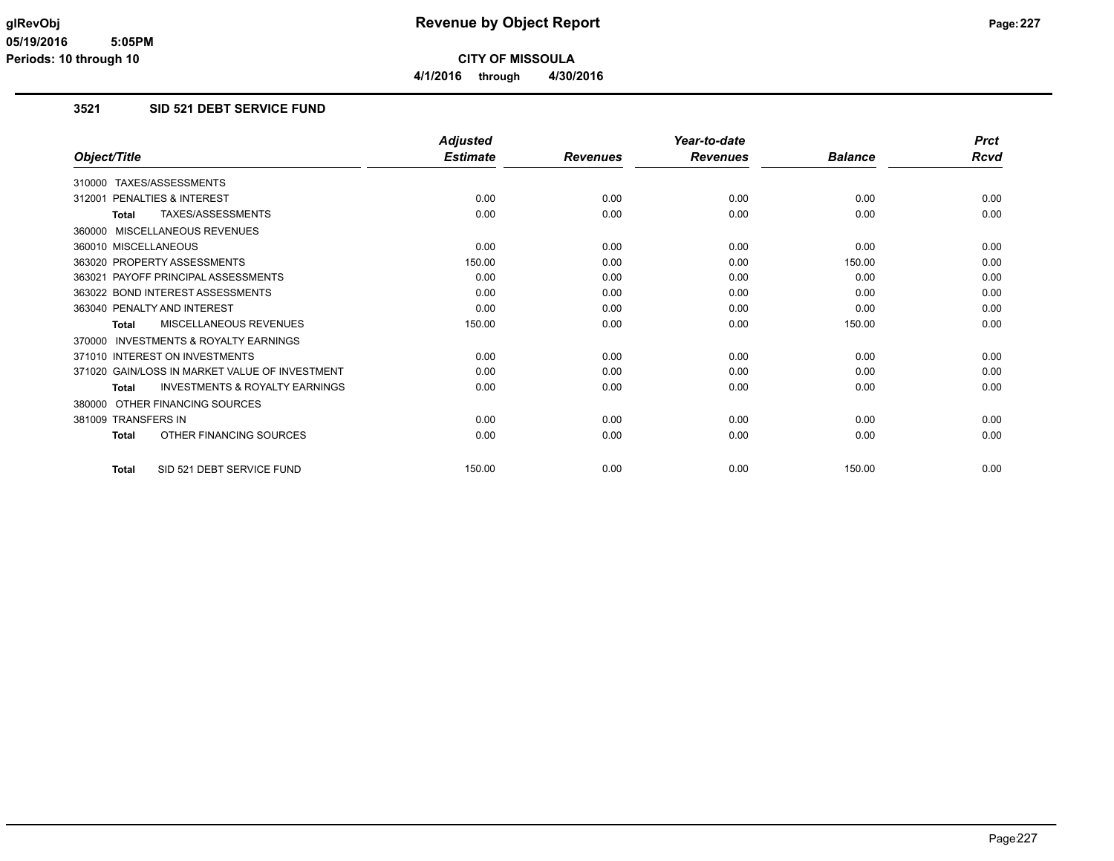## **3521 SID 521 DEBT SERVICE FUND**

|                                                           | <b>Adjusted</b> |                 | Year-to-date    |                | <b>Prct</b> |
|-----------------------------------------------------------|-----------------|-----------------|-----------------|----------------|-------------|
| Object/Title                                              | <b>Estimate</b> | <b>Revenues</b> | <b>Revenues</b> | <b>Balance</b> | Rcvd        |
| 310000 TAXES/ASSESSMENTS                                  |                 |                 |                 |                |             |
| PENALTIES & INTEREST<br>312001                            | 0.00            | 0.00            | 0.00            | 0.00           | 0.00        |
| TAXES/ASSESSMENTS<br><b>Total</b>                         | 0.00            | 0.00            | 0.00            | 0.00           | 0.00        |
| 360000 MISCELLANEOUS REVENUES                             |                 |                 |                 |                |             |
| 360010 MISCELLANEOUS                                      | 0.00            | 0.00            | 0.00            | 0.00           | 0.00        |
| 363020 PROPERTY ASSESSMENTS                               | 150.00          | 0.00            | 0.00            | 150.00         | 0.00        |
| 363021 PAYOFF PRINCIPAL ASSESSMENTS                       | 0.00            | 0.00            | 0.00            | 0.00           | 0.00        |
| 363022 BOND INTEREST ASSESSMENTS                          | 0.00            | 0.00            | 0.00            | 0.00           | 0.00        |
| 363040 PENALTY AND INTEREST                               | 0.00            | 0.00            | 0.00            | 0.00           | 0.00        |
| MISCELLANEOUS REVENUES<br>Total                           | 150.00          | 0.00            | 0.00            | 150.00         | 0.00        |
| 370000 INVESTMENTS & ROYALTY EARNINGS                     |                 |                 |                 |                |             |
| 371010 INTEREST ON INVESTMENTS                            | 0.00            | 0.00            | 0.00            | 0.00           | 0.00        |
| 371020 GAIN/LOSS IN MARKET VALUE OF INVESTMENT            | 0.00            | 0.00            | 0.00            | 0.00           | 0.00        |
| <b>INVESTMENTS &amp; ROYALTY EARNINGS</b><br><b>Total</b> | 0.00            | 0.00            | 0.00            | 0.00           | 0.00        |
| 380000 OTHER FINANCING SOURCES                            |                 |                 |                 |                |             |
| 381009 TRANSFERS IN                                       | 0.00            | 0.00            | 0.00            | 0.00           | 0.00        |
| OTHER FINANCING SOURCES<br><b>Total</b>                   | 0.00            | 0.00            | 0.00            | 0.00           | 0.00        |
| SID 521 DEBT SERVICE FUND<br><b>Total</b>                 | 150.00          | 0.00            | 0.00            | 150.00         | 0.00        |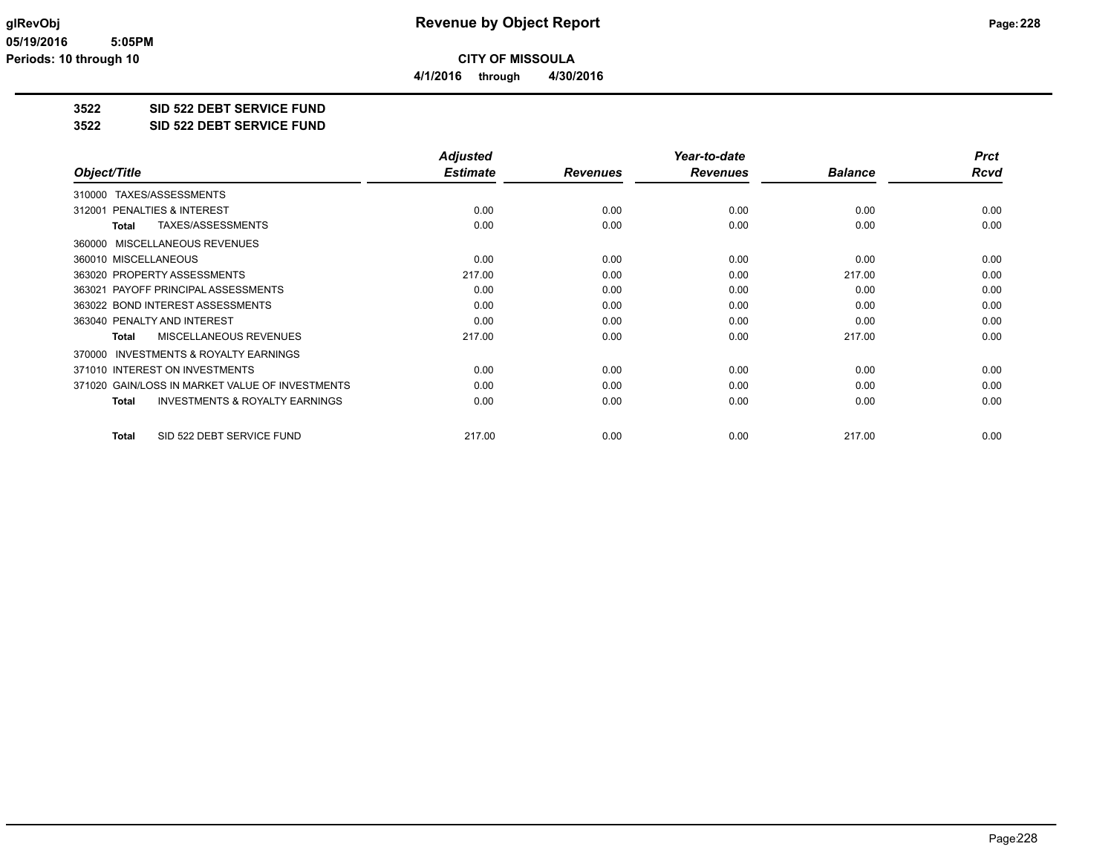**4/1/2016 through 4/30/2016**

### **3522 SID 522 DEBT SERVICE FUND**

#### **3522 SID 522 DEBT SERVICE FUND**

|                                                           | <b>Adjusted</b> |                 | Year-to-date    |                | <b>Prct</b> |
|-----------------------------------------------------------|-----------------|-----------------|-----------------|----------------|-------------|
| Object/Title                                              | <b>Estimate</b> | <b>Revenues</b> | <b>Revenues</b> | <b>Balance</b> | Rcvd        |
| TAXES/ASSESSMENTS<br>310000                               |                 |                 |                 |                |             |
| 312001 PENALTIES & INTEREST                               | 0.00            | 0.00            | 0.00            | 0.00           | 0.00        |
| TAXES/ASSESSMENTS<br>Total                                | 0.00            | 0.00            | 0.00            | 0.00           | 0.00        |
| MISCELLANEOUS REVENUES<br>360000                          |                 |                 |                 |                |             |
| 360010 MISCELLANEOUS                                      | 0.00            | 0.00            | 0.00            | 0.00           | 0.00        |
| 363020 PROPERTY ASSESSMENTS                               | 217.00          | 0.00            | 0.00            | 217.00         | 0.00        |
| 363021 PAYOFF PRINCIPAL ASSESSMENTS                       | 0.00            | 0.00            | 0.00            | 0.00           | 0.00        |
| 363022 BOND INTEREST ASSESSMENTS                          | 0.00            | 0.00            | 0.00            | 0.00           | 0.00        |
| 363040 PENALTY AND INTEREST                               | 0.00            | 0.00            | 0.00            | 0.00           | 0.00        |
| MISCELLANEOUS REVENUES<br>Total                           | 217.00          | 0.00            | 0.00            | 217.00         | 0.00        |
| INVESTMENTS & ROYALTY EARNINGS<br>370000                  |                 |                 |                 |                |             |
| 371010 INTEREST ON INVESTMENTS                            | 0.00            | 0.00            | 0.00            | 0.00           | 0.00        |
| 371020 GAIN/LOSS IN MARKET VALUE OF INVESTMENTS           | 0.00            | 0.00            | 0.00            | 0.00           | 0.00        |
| <b>INVESTMENTS &amp; ROYALTY EARNINGS</b><br><b>Total</b> | 0.00            | 0.00            | 0.00            | 0.00           | 0.00        |
| SID 522 DEBT SERVICE FUND<br><b>Total</b>                 | 217.00          | 0.00            | 0.00            | 217.00         | 0.00        |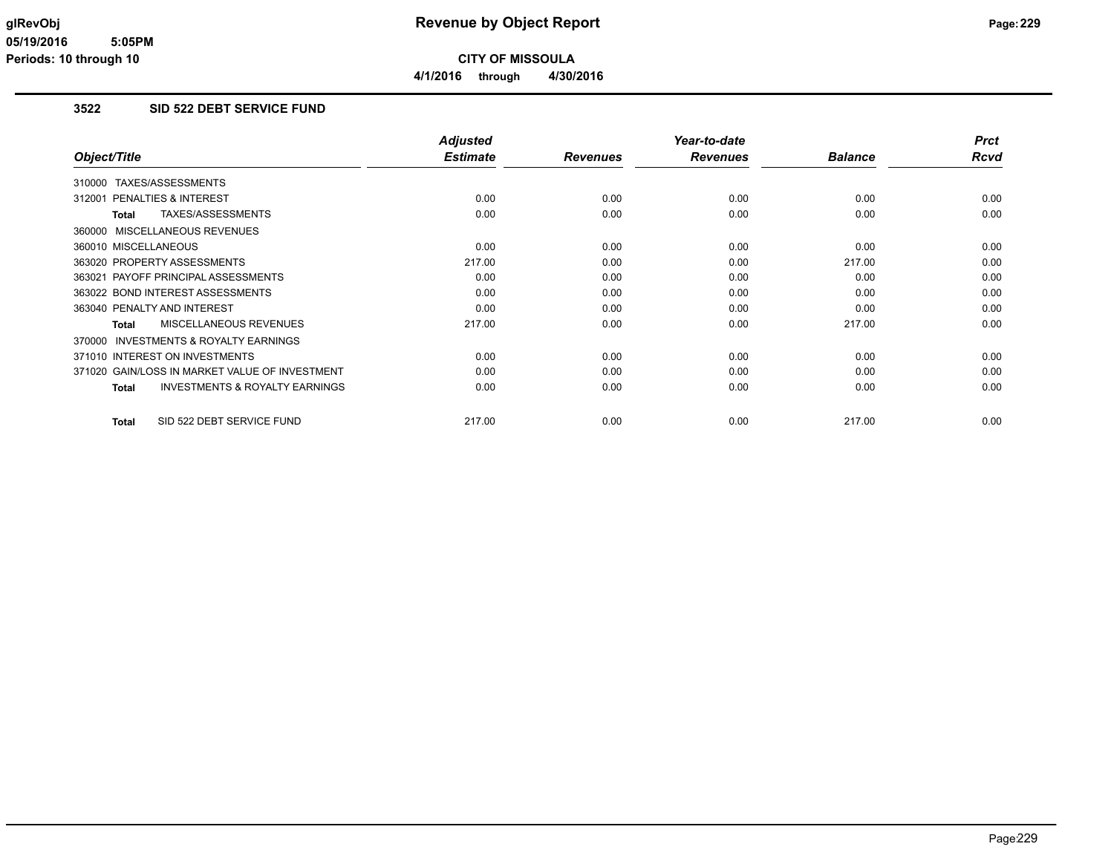## **3522 SID 522 DEBT SERVICE FUND**

|                                                    | <b>Adjusted</b> |                 | Year-to-date    |                | <b>Prct</b> |
|----------------------------------------------------|-----------------|-----------------|-----------------|----------------|-------------|
| Object/Title                                       | <b>Estimate</b> | <b>Revenues</b> | <b>Revenues</b> | <b>Balance</b> | Rcvd        |
| 310000 TAXES/ASSESSMENTS                           |                 |                 |                 |                |             |
| PENALTIES & INTEREST<br>312001                     | 0.00            | 0.00            | 0.00            | 0.00           | 0.00        |
| TAXES/ASSESSMENTS<br>Total                         | 0.00            | 0.00            | 0.00            | 0.00           | 0.00        |
| 360000 MISCELLANEOUS REVENUES                      |                 |                 |                 |                |             |
| 360010 MISCELLANEOUS                               | 0.00            | 0.00            | 0.00            | 0.00           | 0.00        |
| 363020 PROPERTY ASSESSMENTS                        | 217.00          | 0.00            | 0.00            | 217.00         | 0.00        |
| 363021 PAYOFF PRINCIPAL ASSESSMENTS                | 0.00            | 0.00            | 0.00            | 0.00           | 0.00        |
| 363022 BOND INTEREST ASSESSMENTS                   | 0.00            | 0.00            | 0.00            | 0.00           | 0.00        |
| 363040 PENALTY AND INTEREST                        | 0.00            | 0.00            | 0.00            | 0.00           | 0.00        |
| MISCELLANEOUS REVENUES<br>Total                    | 217.00          | 0.00            | 0.00            | 217.00         | 0.00        |
| INVESTMENTS & ROYALTY EARNINGS<br>370000           |                 |                 |                 |                |             |
| 371010 INTEREST ON INVESTMENTS                     | 0.00            | 0.00            | 0.00            | 0.00           | 0.00        |
| 371020 GAIN/LOSS IN MARKET VALUE OF INVESTMENT     | 0.00            | 0.00            | 0.00            | 0.00           | 0.00        |
| <b>INVESTMENTS &amp; ROYALTY EARNINGS</b><br>Total | 0.00            | 0.00            | 0.00            | 0.00           | 0.00        |
|                                                    |                 |                 |                 |                |             |
| SID 522 DEBT SERVICE FUND<br>Total                 | 217.00          | 0.00            | 0.00            | 217.00         | 0.00        |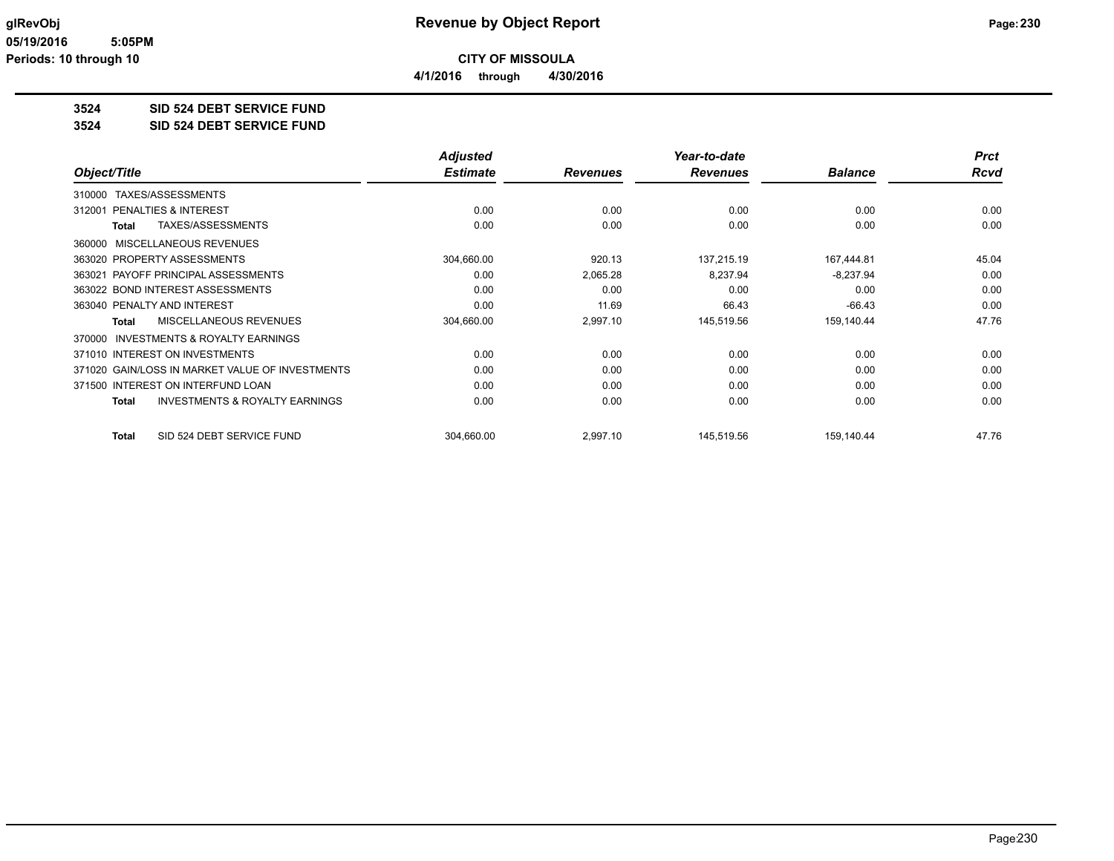**4/1/2016 through 4/30/2016**

# **3524 SID 524 DEBT SERVICE FUND**

#### **3524 SID 524 DEBT SERVICE FUND**

|                                                     | <b>Adjusted</b> |                 | Year-to-date    |                | <b>Prct</b> |
|-----------------------------------------------------|-----------------|-----------------|-----------------|----------------|-------------|
| Object/Title                                        | <b>Estimate</b> | <b>Revenues</b> | <b>Revenues</b> | <b>Balance</b> | Rcvd        |
| 310000 TAXES/ASSESSMENTS                            |                 |                 |                 |                |             |
| PENALTIES & INTEREST<br>312001                      | 0.00            | 0.00            | 0.00            | 0.00           | 0.00        |
| TAXES/ASSESSMENTS<br>Total                          | 0.00            | 0.00            | 0.00            | 0.00           | 0.00        |
| 360000 MISCELLANEOUS REVENUES                       |                 |                 |                 |                |             |
| 363020 PROPERTY ASSESSMENTS                         | 304,660.00      | 920.13          | 137,215.19      | 167,444.81     | 45.04       |
| 363021 PAYOFF PRINCIPAL ASSESSMENTS                 | 0.00            | 2,065.28        | 8,237.94        | $-8,237.94$    | 0.00        |
| 363022 BOND INTEREST ASSESSMENTS                    | 0.00            | 0.00            | 0.00            | 0.00           | 0.00        |
| 363040 PENALTY AND INTEREST                         | 0.00            | 11.69           | 66.43           | $-66.43$       | 0.00        |
| MISCELLANEOUS REVENUES<br>Total                     | 304,660.00      | 2,997.10        | 145,519.56      | 159,140.44     | 47.76       |
| <b>INVESTMENTS &amp; ROYALTY EARNINGS</b><br>370000 |                 |                 |                 |                |             |
| 371010 INTEREST ON INVESTMENTS                      | 0.00            | 0.00            | 0.00            | 0.00           | 0.00        |
| 371020 GAIN/LOSS IN MARKET VALUE OF INVESTMENTS     | 0.00            | 0.00            | 0.00            | 0.00           | 0.00        |
| 371500 INTEREST ON INTERFUND LOAN                   | 0.00            | 0.00            | 0.00            | 0.00           | 0.00        |
| <b>INVESTMENTS &amp; ROYALTY EARNINGS</b><br>Total  | 0.00            | 0.00            | 0.00            | 0.00           | 0.00        |
| SID 524 DEBT SERVICE FUND<br><b>Total</b>           | 304,660.00      | 2,997.10        | 145,519.56      | 159,140.44     | 47.76       |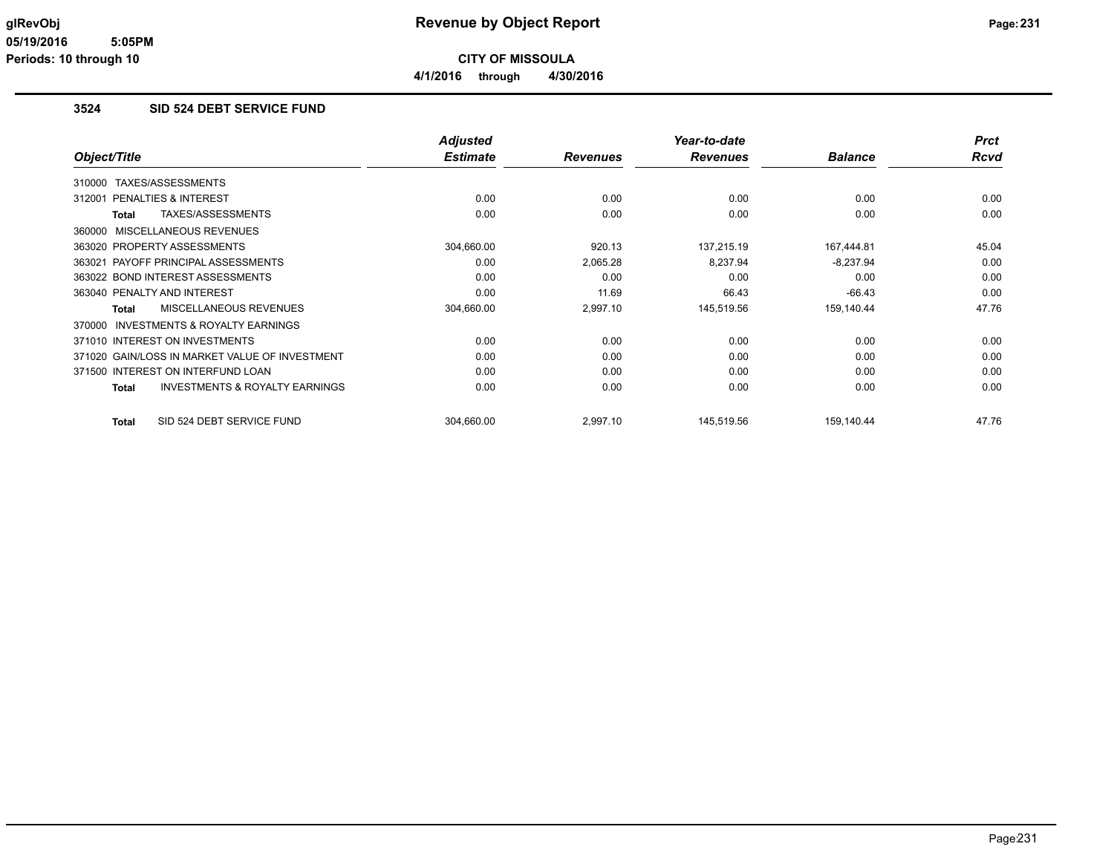**4/1/2016 through 4/30/2016**

### **3524 SID 524 DEBT SERVICE FUND**

|                                                           | <b>Adjusted</b> |                 | Year-to-date    |                | <b>Prct</b> |
|-----------------------------------------------------------|-----------------|-----------------|-----------------|----------------|-------------|
| Object/Title                                              | <b>Estimate</b> | <b>Revenues</b> | <b>Revenues</b> | <b>Balance</b> | Rcvd        |
| TAXES/ASSESSMENTS<br>310000                               |                 |                 |                 |                |             |
| <b>PENALTIES &amp; INTEREST</b><br>312001                 | 0.00            | 0.00            | 0.00            | 0.00           | 0.00        |
| TAXES/ASSESSMENTS<br><b>Total</b>                         | 0.00            | 0.00            | 0.00            | 0.00           | 0.00        |
| <b>MISCELLANEOUS REVENUES</b><br>360000                   |                 |                 |                 |                |             |
| 363020 PROPERTY ASSESSMENTS                               | 304,660.00      | 920.13          | 137,215.19      | 167,444.81     | 45.04       |
| PAYOFF PRINCIPAL ASSESSMENTS<br>363021                    | 0.00            | 2,065.28        | 8,237.94        | $-8,237.94$    | 0.00        |
| 363022 BOND INTEREST ASSESSMENTS                          | 0.00            | 0.00            | 0.00            | 0.00           | 0.00        |
| 363040 PENALTY AND INTEREST                               | 0.00            | 11.69           | 66.43           | $-66.43$       | 0.00        |
| MISCELLANEOUS REVENUES<br><b>Total</b>                    | 304,660.00      | 2,997.10        | 145,519.56      | 159,140.44     | 47.76       |
| <b>INVESTMENTS &amp; ROYALTY EARNINGS</b><br>370000       |                 |                 |                 |                |             |
| 371010 INTEREST ON INVESTMENTS                            | 0.00            | 0.00            | 0.00            | 0.00           | 0.00        |
| 371020 GAIN/LOSS IN MARKET VALUE OF INVESTMENT            | 0.00            | 0.00            | 0.00            | 0.00           | 0.00        |
| 371500 INTEREST ON INTERFUND LOAN                         | 0.00            | 0.00            | 0.00            | 0.00           | 0.00        |
| <b>INVESTMENTS &amp; ROYALTY EARNINGS</b><br><b>Total</b> | 0.00            | 0.00            | 0.00            | 0.00           | 0.00        |
| SID 524 DEBT SERVICE FUND<br><b>Total</b>                 | 304.660.00      | 2,997.10        | 145,519.56      | 159.140.44     | 47.76       |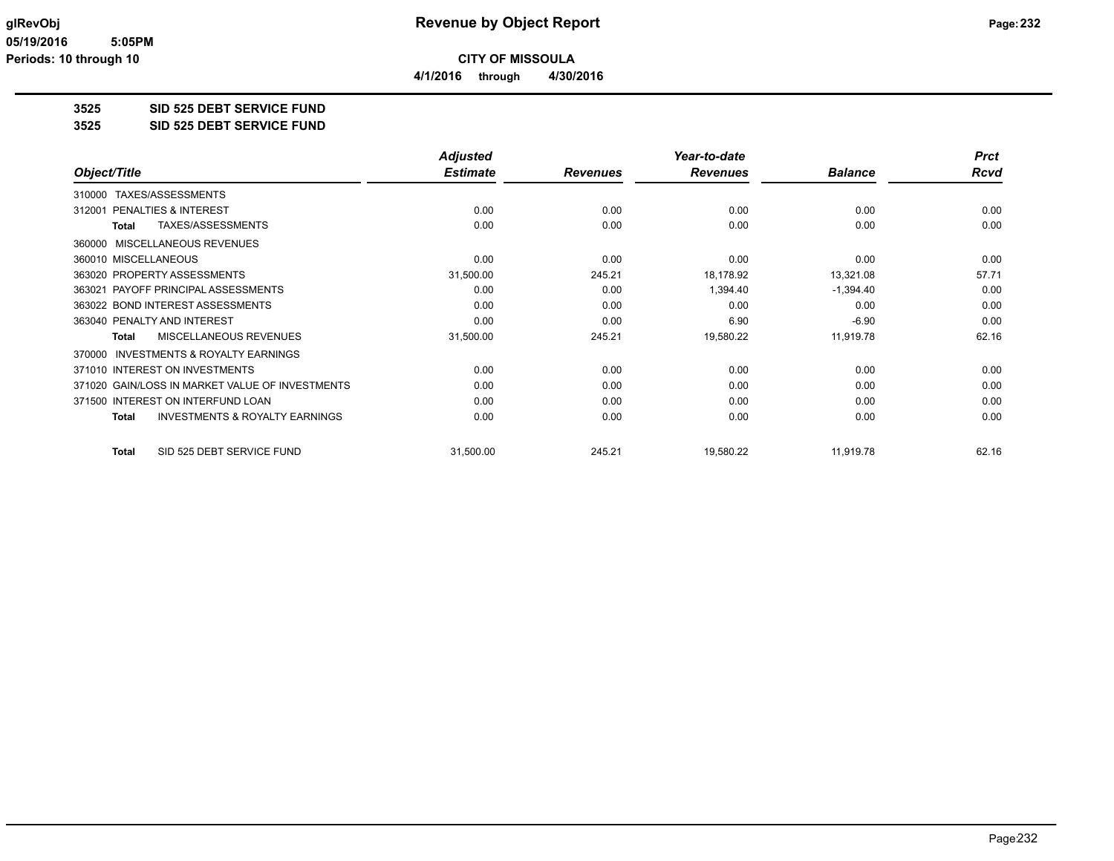**4/1/2016 through 4/30/2016**

## **3525 SID 525 DEBT SERVICE FUND**

#### **3525 SID 525 DEBT SERVICE FUND**

|                                                           | <b>Adjusted</b> |                 | Year-to-date    |                | <b>Prct</b> |
|-----------------------------------------------------------|-----------------|-----------------|-----------------|----------------|-------------|
| Object/Title                                              | <b>Estimate</b> | <b>Revenues</b> | <b>Revenues</b> | <b>Balance</b> | Rcvd        |
| TAXES/ASSESSMENTS<br>310000                               |                 |                 |                 |                |             |
| <b>PENALTIES &amp; INTEREST</b><br>312001                 | 0.00            | 0.00            | 0.00            | 0.00           | 0.00        |
| TAXES/ASSESSMENTS<br><b>Total</b>                         | 0.00            | 0.00            | 0.00            | 0.00           | 0.00        |
| MISCELLANEOUS REVENUES<br>360000                          |                 |                 |                 |                |             |
| 360010 MISCELLANEOUS                                      | 0.00            | 0.00            | 0.00            | 0.00           | 0.00        |
| 363020 PROPERTY ASSESSMENTS                               | 31,500.00       | 245.21          | 18,178.92       | 13,321.08      | 57.71       |
| 363021 PAYOFF PRINCIPAL ASSESSMENTS                       | 0.00            | 0.00            | 1,394.40        | $-1,394.40$    | 0.00        |
| 363022 BOND INTEREST ASSESSMENTS                          | 0.00            | 0.00            | 0.00            | 0.00           | 0.00        |
| 363040 PENALTY AND INTEREST                               | 0.00            | 0.00            | 6.90            | $-6.90$        | 0.00        |
| <b>MISCELLANEOUS REVENUES</b><br>Total                    | 31,500.00       | 245.21          | 19,580.22       | 11,919.78      | 62.16       |
| <b>INVESTMENTS &amp; ROYALTY EARNINGS</b><br>370000       |                 |                 |                 |                |             |
| 371010 INTEREST ON INVESTMENTS                            | 0.00            | 0.00            | 0.00            | 0.00           | 0.00        |
| 371020 GAIN/LOSS IN MARKET VALUE OF INVESTMENTS           | 0.00            | 0.00            | 0.00            | 0.00           | 0.00        |
| 371500 INTEREST ON INTERFUND LOAN                         | 0.00            | 0.00            | 0.00            | 0.00           | 0.00        |
| <b>INVESTMENTS &amp; ROYALTY EARNINGS</b><br><b>Total</b> | 0.00            | 0.00            | 0.00            | 0.00           | 0.00        |
| SID 525 DEBT SERVICE FUND<br><b>Total</b>                 | 31,500.00       | 245.21          | 19,580.22       | 11,919.78      | 62.16       |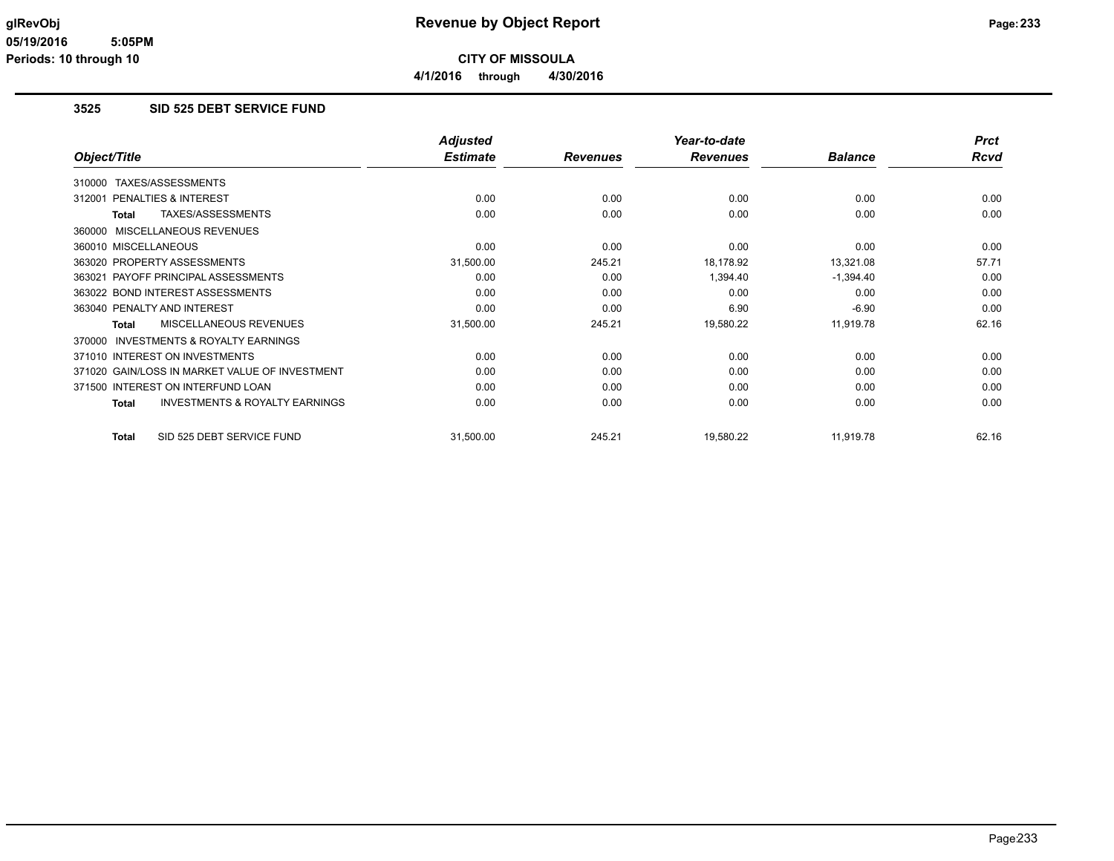### **3525 SID 525 DEBT SERVICE FUND**

|                                                           | <b>Adjusted</b> |                 | Year-to-date    |                | <b>Prct</b> |
|-----------------------------------------------------------|-----------------|-----------------|-----------------|----------------|-------------|
| Object/Title                                              | <b>Estimate</b> | <b>Revenues</b> | <b>Revenues</b> | <b>Balance</b> | <b>Rcvd</b> |
| TAXES/ASSESSMENTS<br>310000                               |                 |                 |                 |                |             |
| PENALTIES & INTEREST<br>312001                            | 0.00            | 0.00            | 0.00            | 0.00           | 0.00        |
| TAXES/ASSESSMENTS<br><b>Total</b>                         | 0.00            | 0.00            | 0.00            | 0.00           | 0.00        |
| MISCELLANEOUS REVENUES<br>360000                          |                 |                 |                 |                |             |
| 360010 MISCELLANEOUS                                      | 0.00            | 0.00            | 0.00            | 0.00           | 0.00        |
| 363020 PROPERTY ASSESSMENTS                               | 31,500.00       | 245.21          | 18,178.92       | 13,321.08      | 57.71       |
| PAYOFF PRINCIPAL ASSESSMENTS<br>363021                    | 0.00            | 0.00            | 1,394.40        | $-1,394.40$    | 0.00        |
| 363022 BOND INTEREST ASSESSMENTS                          | 0.00            | 0.00            | 0.00            | 0.00           | 0.00        |
| 363040 PENALTY AND INTEREST                               | 0.00            | 0.00            | 6.90            | $-6.90$        | 0.00        |
| MISCELLANEOUS REVENUES<br><b>Total</b>                    | 31,500.00       | 245.21          | 19,580.22       | 11,919.78      | 62.16       |
| INVESTMENTS & ROYALTY EARNINGS<br>370000                  |                 |                 |                 |                |             |
| 371010 INTEREST ON INVESTMENTS                            | 0.00            | 0.00            | 0.00            | 0.00           | 0.00        |
| 371020 GAIN/LOSS IN MARKET VALUE OF INVESTMENT            | 0.00            | 0.00            | 0.00            | 0.00           | 0.00        |
| 371500 INTEREST ON INTERFUND LOAN                         | 0.00            | 0.00            | 0.00            | 0.00           | 0.00        |
| <b>INVESTMENTS &amp; ROYALTY EARNINGS</b><br><b>Total</b> | 0.00            | 0.00            | 0.00            | 0.00           | 0.00        |
| SID 525 DEBT SERVICE FUND<br><b>Total</b>                 | 31,500.00       | 245.21          | 19,580.22       | 11,919.78      | 62.16       |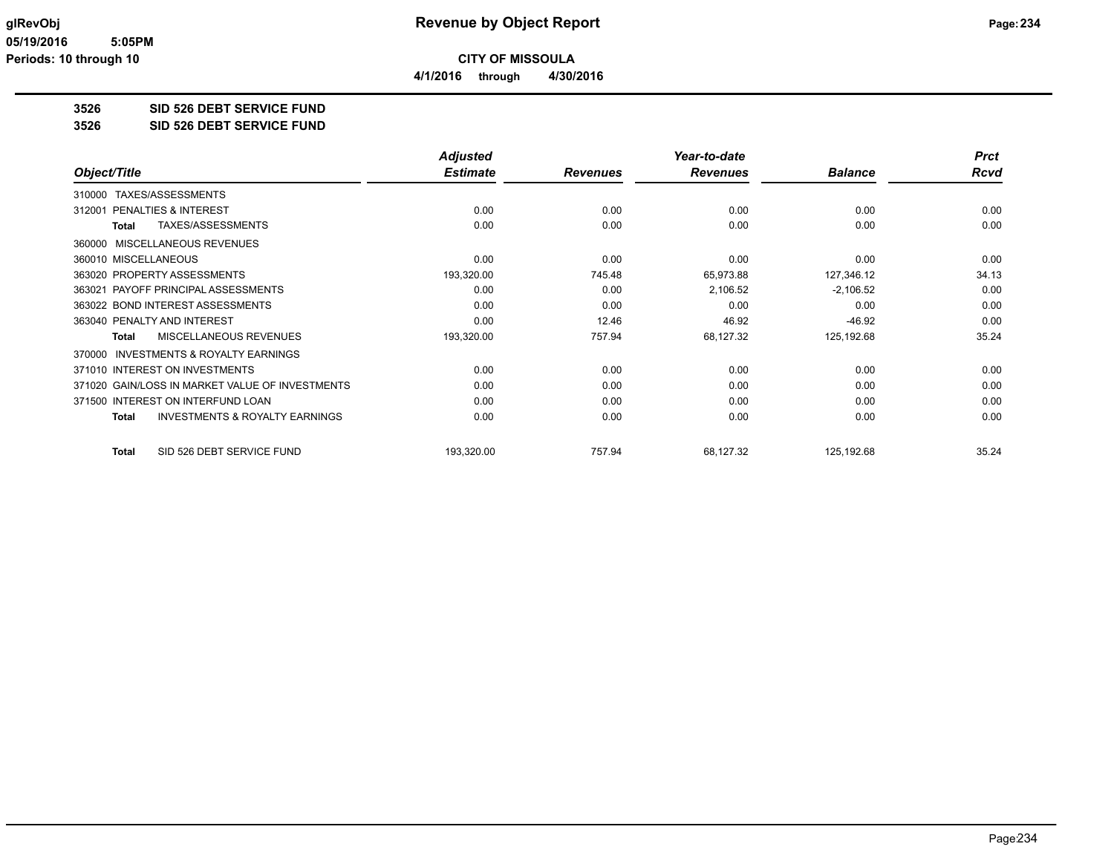**4/1/2016 through 4/30/2016**

## **3526 SID 526 DEBT SERVICE FUND**

#### **3526 SID 526 DEBT SERVICE FUND**

|                                                           | <b>Adjusted</b> |                 | Year-to-date    |                | <b>Prct</b> |
|-----------------------------------------------------------|-----------------|-----------------|-----------------|----------------|-------------|
| Object/Title                                              | <b>Estimate</b> | <b>Revenues</b> | <b>Revenues</b> | <b>Balance</b> | Rcvd        |
| TAXES/ASSESSMENTS<br>310000                               |                 |                 |                 |                |             |
| <b>PENALTIES &amp; INTEREST</b><br>312001                 | 0.00            | 0.00            | 0.00            | 0.00           | 0.00        |
| TAXES/ASSESSMENTS<br>Total                                | 0.00            | 0.00            | 0.00            | 0.00           | 0.00        |
| MISCELLANEOUS REVENUES<br>360000                          |                 |                 |                 |                |             |
| 360010 MISCELLANEOUS                                      | 0.00            | 0.00            | 0.00            | 0.00           | 0.00        |
| 363020 PROPERTY ASSESSMENTS                               | 193,320.00      | 745.48          | 65,973.88       | 127,346.12     | 34.13       |
| 363021 PAYOFF PRINCIPAL ASSESSMENTS                       | 0.00            | 0.00            | 2,106.52        | $-2,106.52$    | 0.00        |
| 363022 BOND INTEREST ASSESSMENTS                          | 0.00            | 0.00            | 0.00            | 0.00           | 0.00        |
| 363040 PENALTY AND INTEREST                               | 0.00            | 12.46           | 46.92           | $-46.92$       | 0.00        |
| MISCELLANEOUS REVENUES<br>Total                           | 193,320.00      | 757.94          | 68,127.32       | 125,192.68     | 35.24       |
| <b>INVESTMENTS &amp; ROYALTY EARNINGS</b><br>370000       |                 |                 |                 |                |             |
| 371010 INTEREST ON INVESTMENTS                            | 0.00            | 0.00            | 0.00            | 0.00           | 0.00        |
| 371020 GAIN/LOSS IN MARKET VALUE OF INVESTMENTS           | 0.00            | 0.00            | 0.00            | 0.00           | 0.00        |
| 371500 INTEREST ON INTERFUND LOAN                         | 0.00            | 0.00            | 0.00            | 0.00           | 0.00        |
| <b>INVESTMENTS &amp; ROYALTY EARNINGS</b><br><b>Total</b> | 0.00            | 0.00            | 0.00            | 0.00           | 0.00        |
| SID 526 DEBT SERVICE FUND<br>Total                        | 193,320.00      | 757.94          | 68,127.32       | 125,192.68     | 35.24       |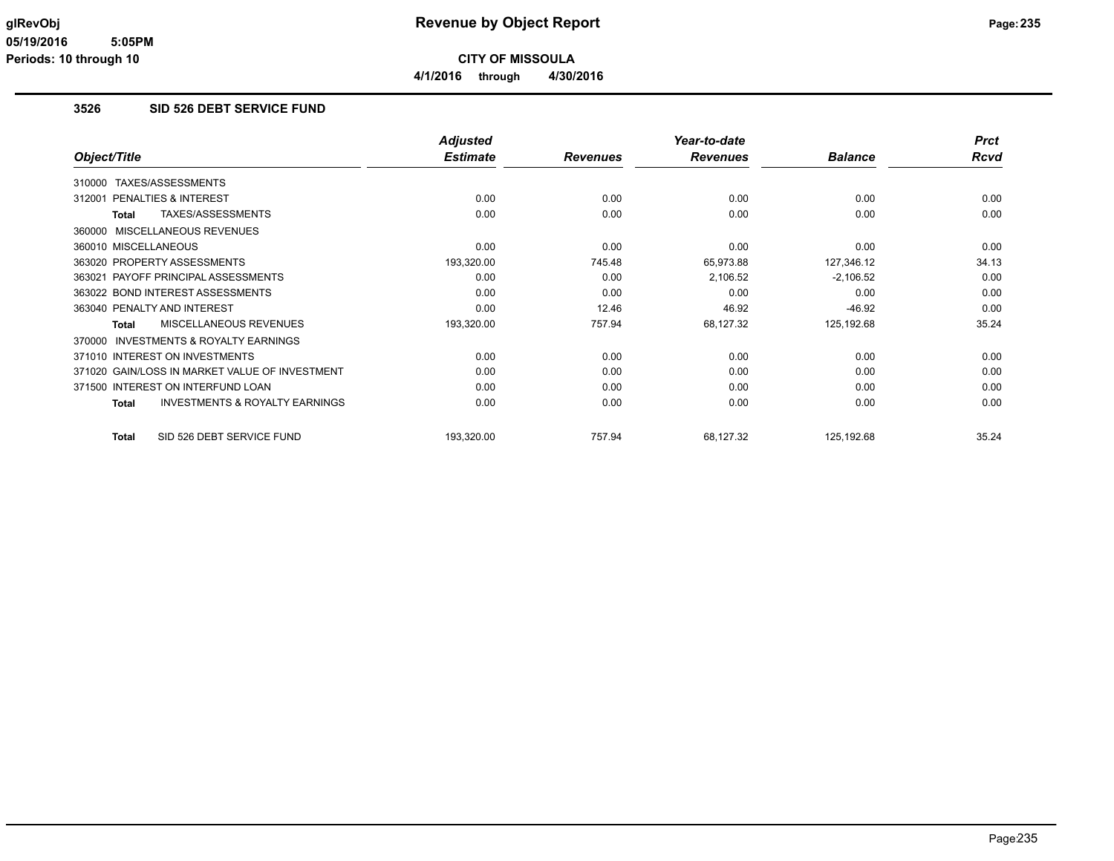### **3526 SID 526 DEBT SERVICE FUND**

|                                                           | <b>Adjusted</b> |                 | Year-to-date    |                | <b>Prct</b> |
|-----------------------------------------------------------|-----------------|-----------------|-----------------|----------------|-------------|
| Object/Title                                              | <b>Estimate</b> | <b>Revenues</b> | <b>Revenues</b> | <b>Balance</b> | <b>Rcvd</b> |
| TAXES/ASSESSMENTS<br>310000                               |                 |                 |                 |                |             |
| PENALTIES & INTEREST<br>312001                            | 0.00            | 0.00            | 0.00            | 0.00           | 0.00        |
| TAXES/ASSESSMENTS<br><b>Total</b>                         | 0.00            | 0.00            | 0.00            | 0.00           | 0.00        |
| MISCELLANEOUS REVENUES<br>360000                          |                 |                 |                 |                |             |
| 360010 MISCELLANEOUS                                      | 0.00            | 0.00            | 0.00            | 0.00           | 0.00        |
| 363020 PROPERTY ASSESSMENTS                               | 193,320.00      | 745.48          | 65,973.88       | 127,346.12     | 34.13       |
| PAYOFF PRINCIPAL ASSESSMENTS<br>363021                    | 0.00            | 0.00            | 2,106.52        | $-2,106.52$    | 0.00        |
| 363022 BOND INTEREST ASSESSMENTS                          | 0.00            | 0.00            | 0.00            | 0.00           | 0.00        |
| 363040 PENALTY AND INTEREST                               | 0.00            | 12.46           | 46.92           | $-46.92$       | 0.00        |
| MISCELLANEOUS REVENUES<br><b>Total</b>                    | 193,320.00      | 757.94          | 68,127.32       | 125,192.68     | 35.24       |
| INVESTMENTS & ROYALTY EARNINGS<br>370000                  |                 |                 |                 |                |             |
| 371010 INTEREST ON INVESTMENTS                            | 0.00            | 0.00            | 0.00            | 0.00           | 0.00        |
| 371020 GAIN/LOSS IN MARKET VALUE OF INVESTMENT            | 0.00            | 0.00            | 0.00            | 0.00           | 0.00        |
| 371500 INTEREST ON INTERFUND LOAN                         | 0.00            | 0.00            | 0.00            | 0.00           | 0.00        |
| <b>INVESTMENTS &amp; ROYALTY EARNINGS</b><br><b>Total</b> | 0.00            | 0.00            | 0.00            | 0.00           | 0.00        |
| SID 526 DEBT SERVICE FUND<br><b>Total</b>                 | 193,320.00      | 757.94          | 68,127.32       | 125,192.68     | 35.24       |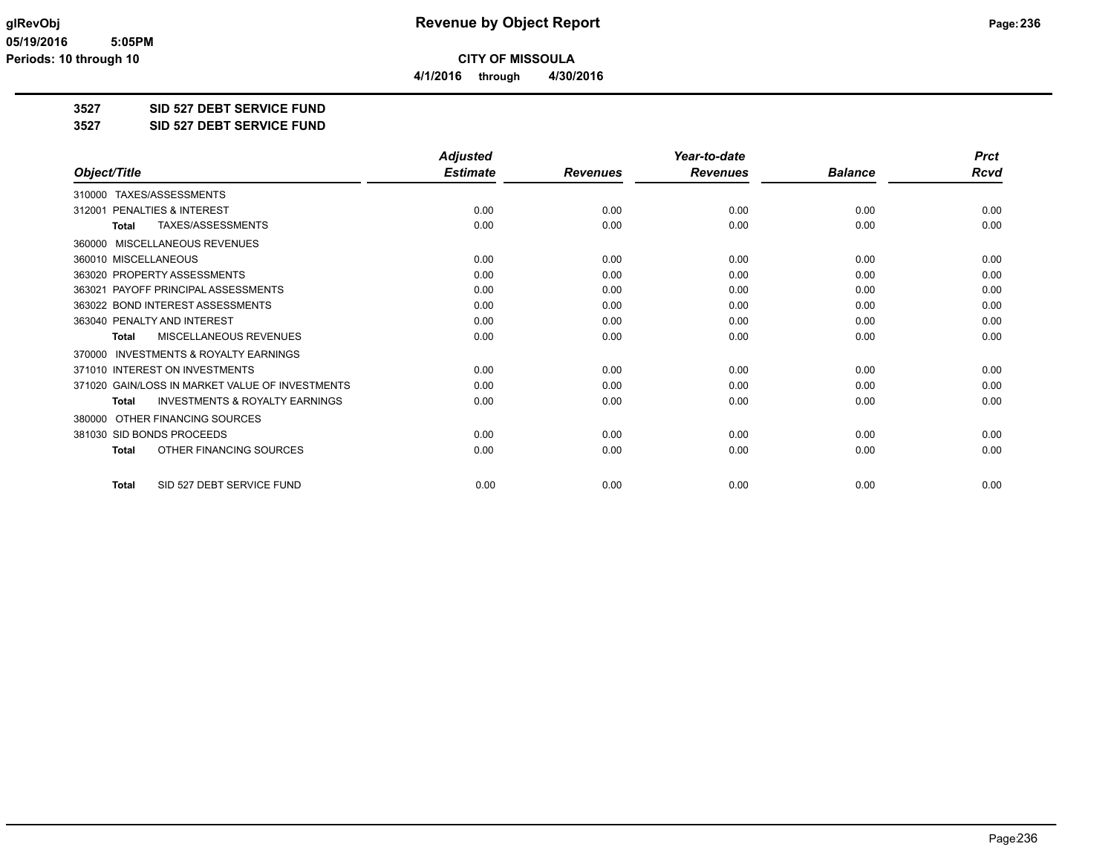**4/1/2016 through 4/30/2016**

**3527 SID 527 DEBT SERVICE FUND**

**3527 SID 527 DEBT SERVICE FUND**

|                                                           | <b>Adjusted</b> |                 | Year-to-date    |                | <b>Prct</b> |
|-----------------------------------------------------------|-----------------|-----------------|-----------------|----------------|-------------|
| Object/Title                                              | <b>Estimate</b> | <b>Revenues</b> | <b>Revenues</b> | <b>Balance</b> | <b>Rcvd</b> |
| 310000 TAXES/ASSESSMENTS                                  |                 |                 |                 |                |             |
| PENALTIES & INTEREST<br>312001                            | 0.00            | 0.00            | 0.00            | 0.00           | 0.00        |
| TAXES/ASSESSMENTS<br><b>Total</b>                         | 0.00            | 0.00            | 0.00            | 0.00           | 0.00        |
| MISCELLANEOUS REVENUES<br>360000                          |                 |                 |                 |                |             |
| 360010 MISCELLANEOUS                                      | 0.00            | 0.00            | 0.00            | 0.00           | 0.00        |
| 363020 PROPERTY ASSESSMENTS                               | 0.00            | 0.00            | 0.00            | 0.00           | 0.00        |
| PAYOFF PRINCIPAL ASSESSMENTS<br>363021                    | 0.00            | 0.00            | 0.00            | 0.00           | 0.00        |
| 363022 BOND INTEREST ASSESSMENTS                          | 0.00            | 0.00            | 0.00            | 0.00           | 0.00        |
| 363040 PENALTY AND INTEREST                               | 0.00            | 0.00            | 0.00            | 0.00           | 0.00        |
| MISCELLANEOUS REVENUES<br>Total                           | 0.00            | 0.00            | 0.00            | 0.00           | 0.00        |
| <b>INVESTMENTS &amp; ROYALTY EARNINGS</b><br>370000       |                 |                 |                 |                |             |
| 371010 INTEREST ON INVESTMENTS                            | 0.00            | 0.00            | 0.00            | 0.00           | 0.00        |
| 371020 GAIN/LOSS IN MARKET VALUE OF INVESTMENTS           | 0.00            | 0.00            | 0.00            | 0.00           | 0.00        |
| <b>INVESTMENTS &amp; ROYALTY EARNINGS</b><br><b>Total</b> | 0.00            | 0.00            | 0.00            | 0.00           | 0.00        |
| OTHER FINANCING SOURCES<br>380000                         |                 |                 |                 |                |             |
| 381030 SID BONDS PROCEEDS                                 | 0.00            | 0.00            | 0.00            | 0.00           | 0.00        |
| OTHER FINANCING SOURCES<br><b>Total</b>                   | 0.00            | 0.00            | 0.00            | 0.00           | 0.00        |
| SID 527 DEBT SERVICE FUND<br><b>Total</b>                 | 0.00            | 0.00            | 0.00            | 0.00           | 0.00        |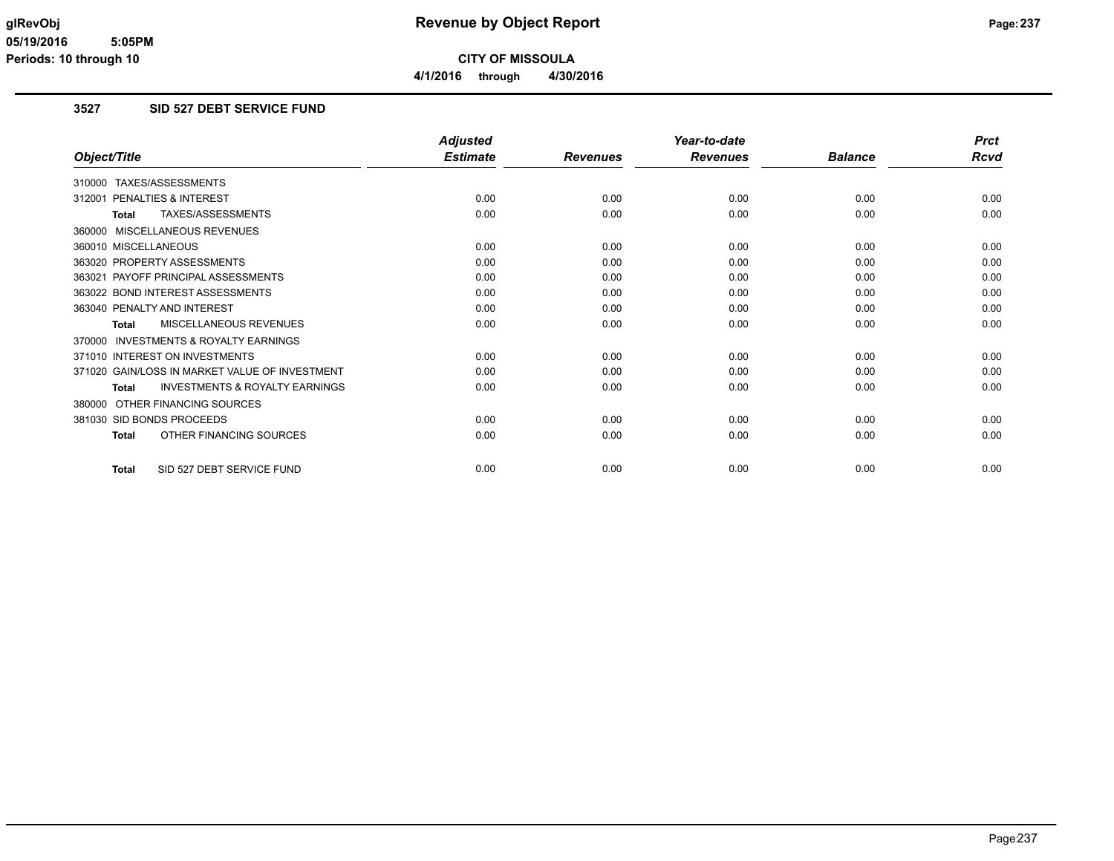## **3527 SID 527 DEBT SERVICE FUND**

|                                                           | <b>Adjusted</b> |                 | Year-to-date    |                | <b>Prct</b> |
|-----------------------------------------------------------|-----------------|-----------------|-----------------|----------------|-------------|
| Object/Title                                              | <b>Estimate</b> | <b>Revenues</b> | <b>Revenues</b> | <b>Balance</b> | <b>Rcvd</b> |
| 310000 TAXES/ASSESSMENTS                                  |                 |                 |                 |                |             |
| <b>PENALTIES &amp; INTEREST</b><br>312001                 | 0.00            | 0.00            | 0.00            | 0.00           | 0.00        |
| TAXES/ASSESSMENTS<br><b>Total</b>                         | 0.00            | 0.00            | 0.00            | 0.00           | 0.00        |
| 360000 MISCELLANEOUS REVENUES                             |                 |                 |                 |                |             |
| 360010 MISCELLANEOUS                                      | 0.00            | 0.00            | 0.00            | 0.00           | 0.00        |
| 363020 PROPERTY ASSESSMENTS                               | 0.00            | 0.00            | 0.00            | 0.00           | 0.00        |
| PAYOFF PRINCIPAL ASSESSMENTS<br>363021                    | 0.00            | 0.00            | 0.00            | 0.00           | 0.00        |
| 363022 BOND INTEREST ASSESSMENTS                          | 0.00            | 0.00            | 0.00            | 0.00           | 0.00        |
| 363040 PENALTY AND INTEREST                               | 0.00            | 0.00            | 0.00            | 0.00           | 0.00        |
| <b>MISCELLANEOUS REVENUES</b><br><b>Total</b>             | 0.00            | 0.00            | 0.00            | 0.00           | 0.00        |
| 370000 INVESTMENTS & ROYALTY EARNINGS                     |                 |                 |                 |                |             |
| 371010 INTEREST ON INVESTMENTS                            | 0.00            | 0.00            | 0.00            | 0.00           | 0.00        |
| 371020 GAIN/LOSS IN MARKET VALUE OF INVESTMENT            | 0.00            | 0.00            | 0.00            | 0.00           | 0.00        |
| <b>INVESTMENTS &amp; ROYALTY EARNINGS</b><br><b>Total</b> | 0.00            | 0.00            | 0.00            | 0.00           | 0.00        |
| 380000 OTHER FINANCING SOURCES                            |                 |                 |                 |                |             |
| 381030 SID BONDS PROCEEDS                                 | 0.00            | 0.00            | 0.00            | 0.00           | 0.00        |
| OTHER FINANCING SOURCES<br><b>Total</b>                   | 0.00            | 0.00            | 0.00            | 0.00           | 0.00        |
| SID 527 DEBT SERVICE FUND<br><b>Total</b>                 | 0.00            | 0.00            | 0.00            | 0.00           | 0.00        |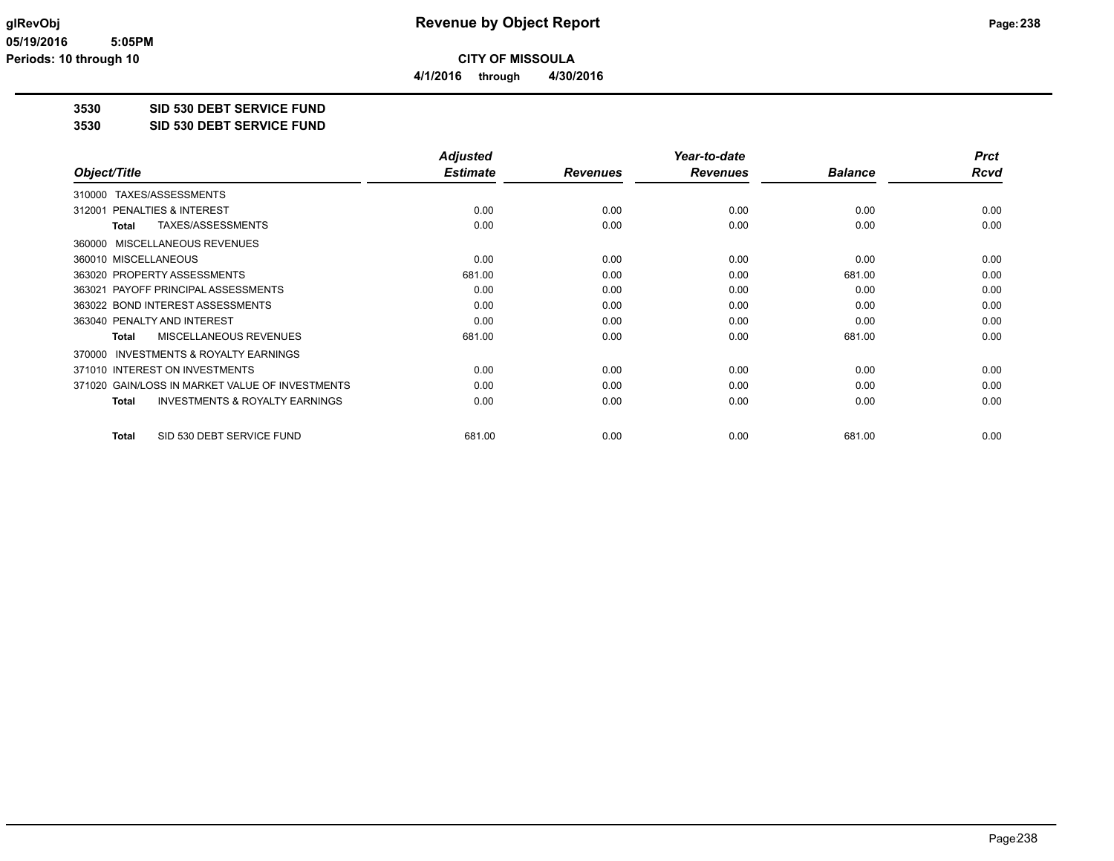**4/1/2016 through 4/30/2016**

### **3530 SID 530 DEBT SERVICE FUND**

#### **3530 SID 530 DEBT SERVICE FUND**

|                                                     | <b>Adjusted</b> |                 | Year-to-date    |                | <b>Prct</b> |
|-----------------------------------------------------|-----------------|-----------------|-----------------|----------------|-------------|
| Object/Title                                        | <b>Estimate</b> | <b>Revenues</b> | <b>Revenues</b> | <b>Balance</b> | <b>Rcvd</b> |
| TAXES/ASSESSMENTS<br>310000                         |                 |                 |                 |                |             |
| PENALTIES & INTEREST<br>312001                      | 0.00            | 0.00            | 0.00            | 0.00           | 0.00        |
| TAXES/ASSESSMENTS<br>Total                          | 0.00            | 0.00            | 0.00            | 0.00           | 0.00        |
| MISCELLANEOUS REVENUES<br>360000                    |                 |                 |                 |                |             |
| 360010 MISCELLANEOUS                                | 0.00            | 0.00            | 0.00            | 0.00           | 0.00        |
| 363020 PROPERTY ASSESSMENTS                         | 681.00          | 0.00            | 0.00            | 681.00         | 0.00        |
| 363021 PAYOFF PRINCIPAL ASSESSMENTS                 | 0.00            | 0.00            | 0.00            | 0.00           | 0.00        |
| 363022 BOND INTEREST ASSESSMENTS                    | 0.00            | 0.00            | 0.00            | 0.00           | 0.00        |
| 363040 PENALTY AND INTEREST                         | 0.00            | 0.00            | 0.00            | 0.00           | 0.00        |
| <b>MISCELLANEOUS REVENUES</b><br>Total              | 681.00          | 0.00            | 0.00            | 681.00         | 0.00        |
| <b>INVESTMENTS &amp; ROYALTY EARNINGS</b><br>370000 |                 |                 |                 |                |             |
| 371010 INTEREST ON INVESTMENTS                      | 0.00            | 0.00            | 0.00            | 0.00           | 0.00        |
| 371020 GAIN/LOSS IN MARKET VALUE OF INVESTMENTS     | 0.00            | 0.00            | 0.00            | 0.00           | 0.00        |
| <b>INVESTMENTS &amp; ROYALTY EARNINGS</b><br>Total  | 0.00            | 0.00            | 0.00            | 0.00           | 0.00        |
| SID 530 DEBT SERVICE FUND<br>Total                  | 681.00          | 0.00            | 0.00            | 681.00         | 0.00        |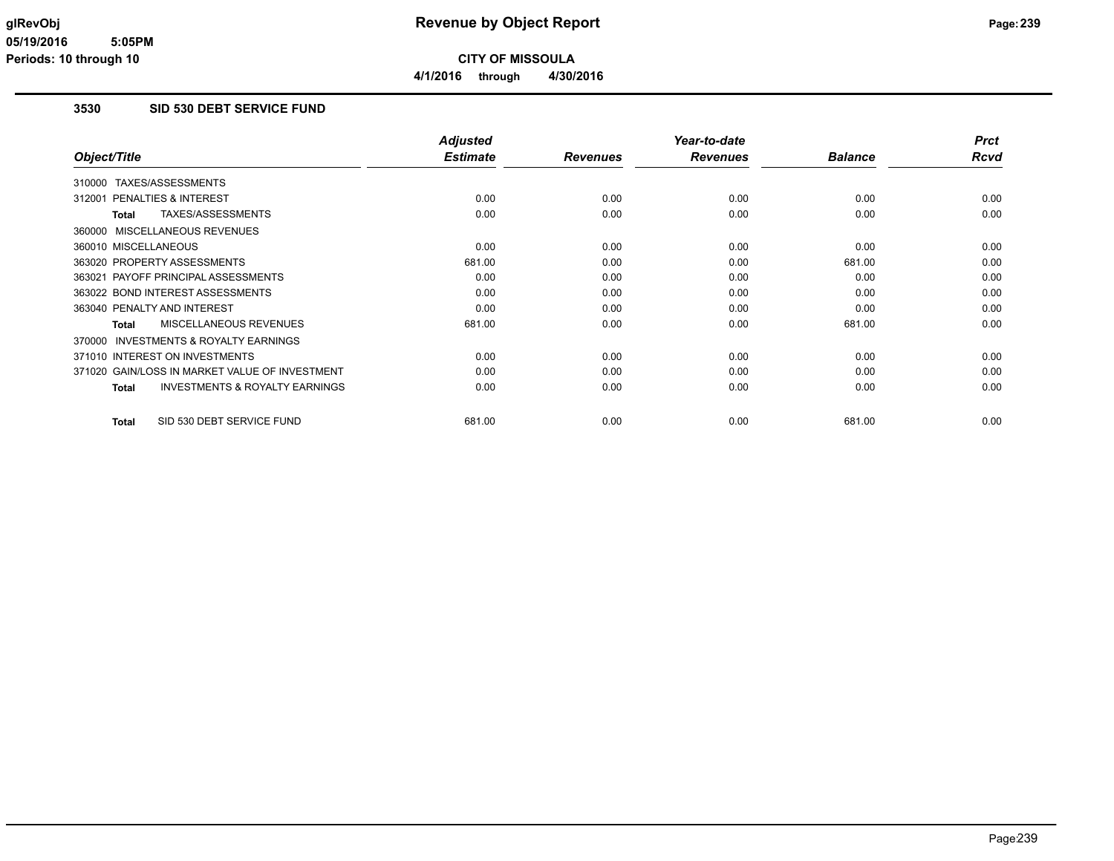### **3530 SID 530 DEBT SERVICE FUND**

|                                                     | <b>Adjusted</b> |                 | Year-to-date    |                | <b>Prct</b> |
|-----------------------------------------------------|-----------------|-----------------|-----------------|----------------|-------------|
| Object/Title                                        | <b>Estimate</b> | <b>Revenues</b> | <b>Revenues</b> | <b>Balance</b> | Rcvd        |
| 310000 TAXES/ASSESSMENTS                            |                 |                 |                 |                |             |
| <b>PENALTIES &amp; INTEREST</b><br>312001           | 0.00            | 0.00            | 0.00            | 0.00           | 0.00        |
| TAXES/ASSESSMENTS<br>Total                          | 0.00            | 0.00            | 0.00            | 0.00           | 0.00        |
| 360000 MISCELLANEOUS REVENUES                       |                 |                 |                 |                |             |
| 360010 MISCELLANEOUS                                | 0.00            | 0.00            | 0.00            | 0.00           | 0.00        |
| 363020 PROPERTY ASSESSMENTS                         | 681.00          | 0.00            | 0.00            | 681.00         | 0.00        |
| 363021 PAYOFF PRINCIPAL ASSESSMENTS                 | 0.00            | 0.00            | 0.00            | 0.00           | 0.00        |
| 363022 BOND INTEREST ASSESSMENTS                    | 0.00            | 0.00            | 0.00            | 0.00           | 0.00        |
| 363040 PENALTY AND INTEREST                         | 0.00            | 0.00            | 0.00            | 0.00           | 0.00        |
| MISCELLANEOUS REVENUES<br>Total                     | 681.00          | 0.00            | 0.00            | 681.00         | 0.00        |
| <b>INVESTMENTS &amp; ROYALTY EARNINGS</b><br>370000 |                 |                 |                 |                |             |
| 371010 INTEREST ON INVESTMENTS                      | 0.00            | 0.00            | 0.00            | 0.00           | 0.00        |
| 371020 GAIN/LOSS IN MARKET VALUE OF INVESTMENT      | 0.00            | 0.00            | 0.00            | 0.00           | 0.00        |
| <b>INVESTMENTS &amp; ROYALTY EARNINGS</b><br>Total  | 0.00            | 0.00            | 0.00            | 0.00           | 0.00        |
| SID 530 DEBT SERVICE FUND<br><b>Total</b>           | 681.00          | 0.00            | 0.00            | 681.00         | 0.00        |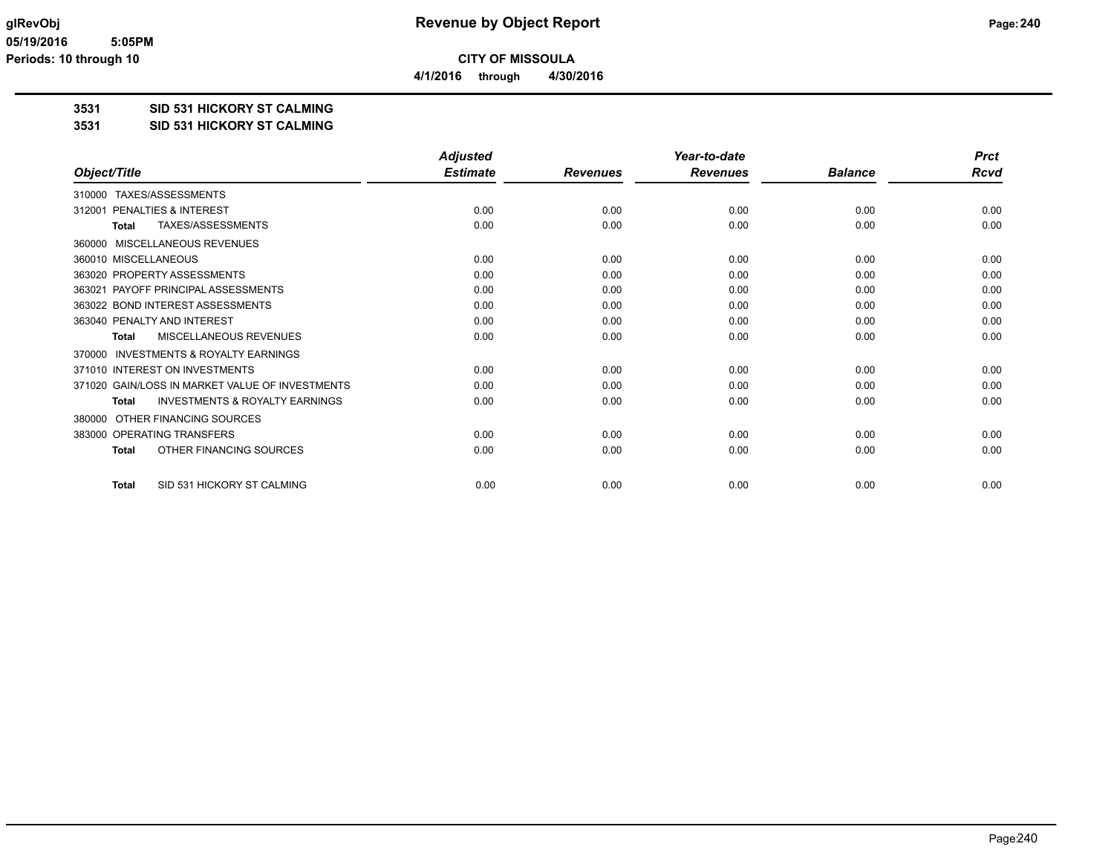**4/1/2016 through 4/30/2016**

### **3531 SID 531 HICKORY ST CALMING**

**3531 SID 531 HICKORY ST CALMING**

|                                                           | <b>Adjusted</b> |                 | Year-to-date    |                | <b>Prct</b> |
|-----------------------------------------------------------|-----------------|-----------------|-----------------|----------------|-------------|
| Object/Title                                              | <b>Estimate</b> | <b>Revenues</b> | <b>Revenues</b> | <b>Balance</b> | <b>Rcvd</b> |
| 310000 TAXES/ASSESSMENTS                                  |                 |                 |                 |                |             |
| PENALTIES & INTEREST<br>312001                            | 0.00            | 0.00            | 0.00            | 0.00           | 0.00        |
| TAXES/ASSESSMENTS<br><b>Total</b>                         | 0.00            | 0.00            | 0.00            | 0.00           | 0.00        |
| MISCELLANEOUS REVENUES<br>360000                          |                 |                 |                 |                |             |
| 360010 MISCELLANEOUS                                      | 0.00            | 0.00            | 0.00            | 0.00           | 0.00        |
| 363020 PROPERTY ASSESSMENTS                               | 0.00            | 0.00            | 0.00            | 0.00           | 0.00        |
| PAYOFF PRINCIPAL ASSESSMENTS<br>363021                    | 0.00            | 0.00            | 0.00            | 0.00           | 0.00        |
| 363022 BOND INTEREST ASSESSMENTS                          | 0.00            | 0.00            | 0.00            | 0.00           | 0.00        |
| 363040 PENALTY AND INTEREST                               | 0.00            | 0.00            | 0.00            | 0.00           | 0.00        |
| MISCELLANEOUS REVENUES<br>Total                           | 0.00            | 0.00            | 0.00            | 0.00           | 0.00        |
| <b>INVESTMENTS &amp; ROYALTY EARNINGS</b><br>370000       |                 |                 |                 |                |             |
| 371010 INTEREST ON INVESTMENTS                            | 0.00            | 0.00            | 0.00            | 0.00           | 0.00        |
| 371020 GAIN/LOSS IN MARKET VALUE OF INVESTMENTS           | 0.00            | 0.00            | 0.00            | 0.00           | 0.00        |
| <b>INVESTMENTS &amp; ROYALTY EARNINGS</b><br><b>Total</b> | 0.00            | 0.00            | 0.00            | 0.00           | 0.00        |
| OTHER FINANCING SOURCES<br>380000                         |                 |                 |                 |                |             |
| 383000 OPERATING TRANSFERS                                | 0.00            | 0.00            | 0.00            | 0.00           | 0.00        |
| OTHER FINANCING SOURCES<br><b>Total</b>                   | 0.00            | 0.00            | 0.00            | 0.00           | 0.00        |
| SID 531 HICKORY ST CALMING<br><b>Total</b>                | 0.00            | 0.00            | 0.00            | 0.00           | 0.00        |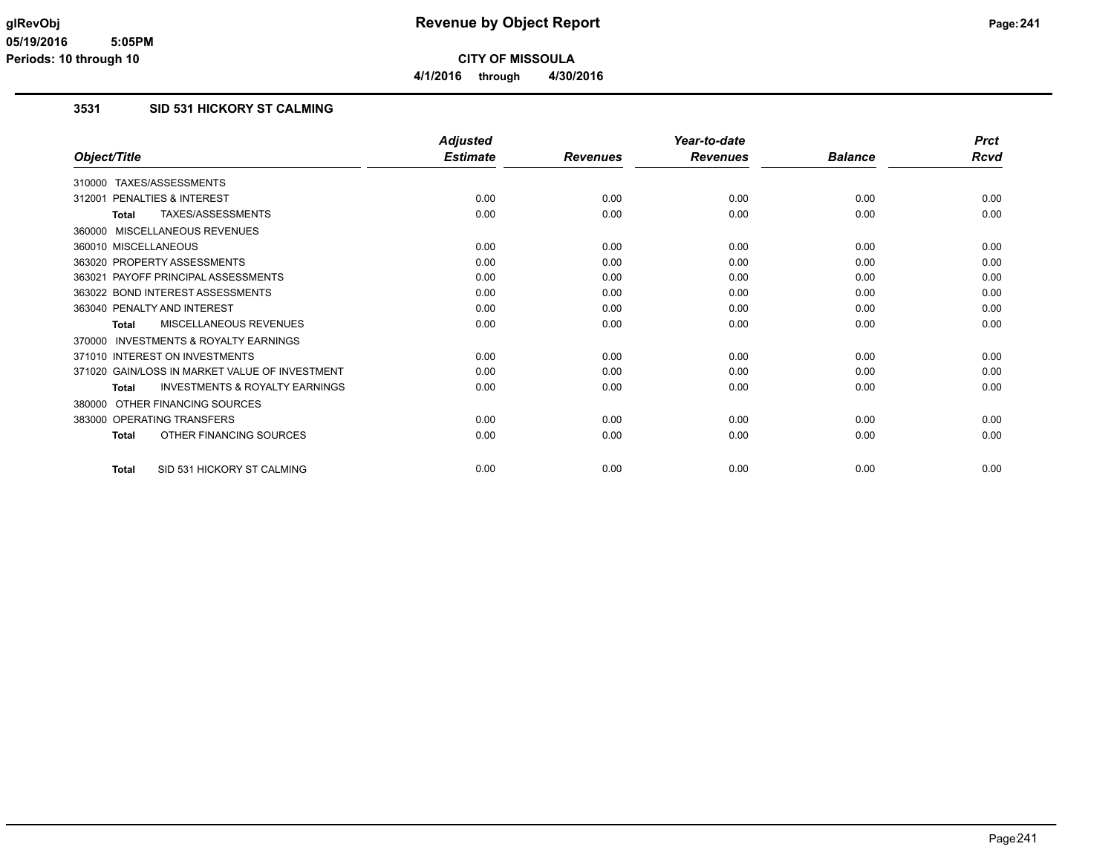### **3531 SID 531 HICKORY ST CALMING**

|                                                           | <b>Adjusted</b> |                 | Year-to-date    |                | <b>Prct</b> |
|-----------------------------------------------------------|-----------------|-----------------|-----------------|----------------|-------------|
| Object/Title                                              | <b>Estimate</b> | <b>Revenues</b> | <b>Revenues</b> | <b>Balance</b> | <b>Rcvd</b> |
| 310000 TAXES/ASSESSMENTS                                  |                 |                 |                 |                |             |
| PENALTIES & INTEREST<br>312001                            | 0.00            | 0.00            | 0.00            | 0.00           | 0.00        |
| TAXES/ASSESSMENTS<br><b>Total</b>                         | 0.00            | 0.00            | 0.00            | 0.00           | 0.00        |
| 360000 MISCELLANEOUS REVENUES                             |                 |                 |                 |                |             |
| 360010 MISCELLANEOUS                                      | 0.00            | 0.00            | 0.00            | 0.00           | 0.00        |
| 363020 PROPERTY ASSESSMENTS                               | 0.00            | 0.00            | 0.00            | 0.00           | 0.00        |
| 363021 PAYOFF PRINCIPAL ASSESSMENTS                       | 0.00            | 0.00            | 0.00            | 0.00           | 0.00        |
| 363022 BOND INTEREST ASSESSMENTS                          | 0.00            | 0.00            | 0.00            | 0.00           | 0.00        |
| 363040 PENALTY AND INTEREST                               | 0.00            | 0.00            | 0.00            | 0.00           | 0.00        |
| <b>MISCELLANEOUS REVENUES</b><br>Total                    | 0.00            | 0.00            | 0.00            | 0.00           | 0.00        |
| 370000 INVESTMENTS & ROYALTY EARNINGS                     |                 |                 |                 |                |             |
| 371010 INTEREST ON INVESTMENTS                            | 0.00            | 0.00            | 0.00            | 0.00           | 0.00        |
| 371020 GAIN/LOSS IN MARKET VALUE OF INVESTMENT            | 0.00            | 0.00            | 0.00            | 0.00           | 0.00        |
| <b>INVESTMENTS &amp; ROYALTY EARNINGS</b><br><b>Total</b> | 0.00            | 0.00            | 0.00            | 0.00           | 0.00        |
| OTHER FINANCING SOURCES<br>380000                         |                 |                 |                 |                |             |
| 383000 OPERATING TRANSFERS                                | 0.00            | 0.00            | 0.00            | 0.00           | 0.00        |
| OTHER FINANCING SOURCES<br><b>Total</b>                   | 0.00            | 0.00            | 0.00            | 0.00           | 0.00        |
| SID 531 HICKORY ST CALMING<br><b>Total</b>                | 0.00            | 0.00            | 0.00            | 0.00           | 0.00        |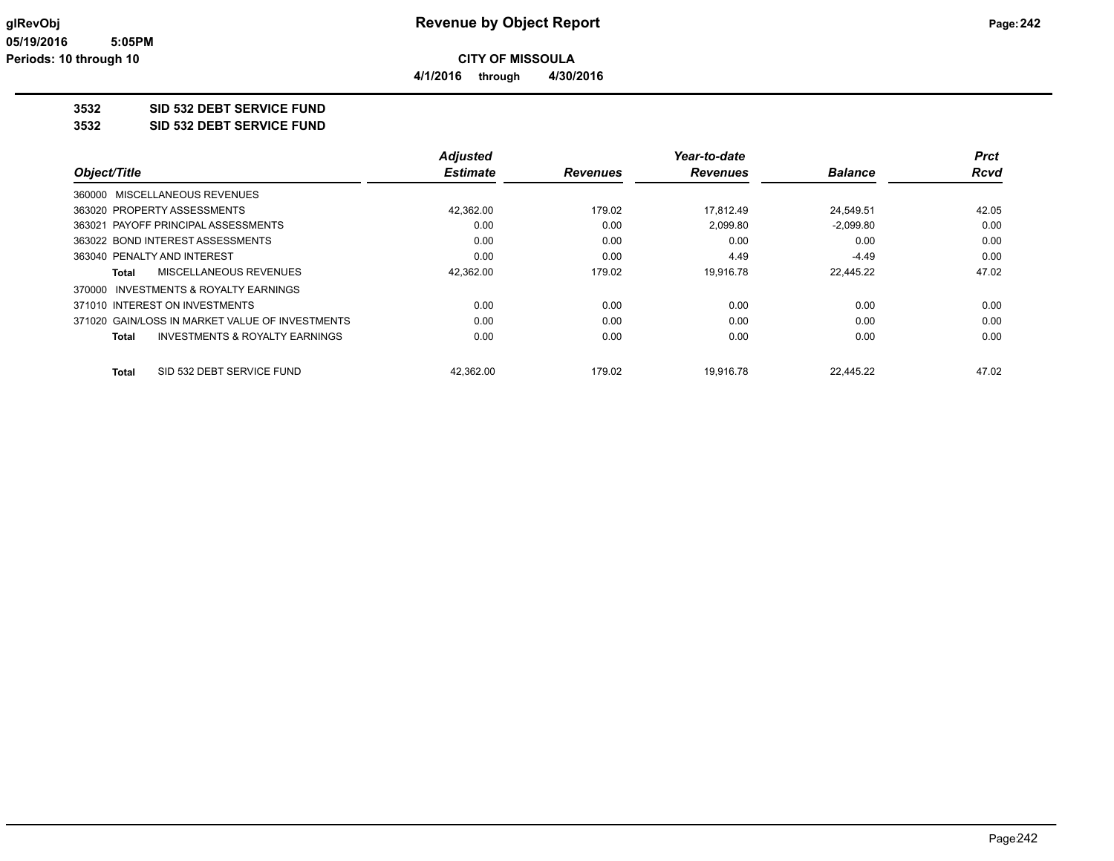**4/1/2016 through 4/30/2016**

## **3532 SID 532 DEBT SERVICE FUND**

**3532 SID 532 DEBT SERVICE FUND**

|                                                 | <b>Adjusted</b> |                 | Year-to-date    |                | <b>Prct</b> |
|-------------------------------------------------|-----------------|-----------------|-----------------|----------------|-------------|
| Object/Title                                    | <b>Estimate</b> | <b>Revenues</b> | <b>Revenues</b> | <b>Balance</b> | <b>Rcvd</b> |
| 360000 MISCELLANEOUS REVENUES                   |                 |                 |                 |                |             |
| 363020 PROPERTY ASSESSMENTS                     | 42,362.00       | 179.02          | 17.812.49       | 24.549.51      | 42.05       |
| 363021 PAYOFF PRINCIPAL ASSESSMENTS             | 0.00            | 0.00            | 2,099.80        | $-2,099.80$    | 0.00        |
| 363022 BOND INTEREST ASSESSMENTS                | 0.00            | 0.00            | 0.00            | 0.00           | 0.00        |
| 363040 PENALTY AND INTEREST                     | 0.00            | 0.00            | 4.49            | -4.49          | 0.00        |
| MISCELLANEOUS REVENUES<br>Total                 | 42,362.00       | 179.02          | 19.916.78       | 22.445.22      | 47.02       |
| INVESTMENTS & ROYALTY EARNINGS<br>370000        |                 |                 |                 |                |             |
| 371010 INTEREST ON INVESTMENTS                  | 0.00            | 0.00            | 0.00            | 0.00           | 0.00        |
| 371020 GAIN/LOSS IN MARKET VALUE OF INVESTMENTS | 0.00            | 0.00            | 0.00            | 0.00           | 0.00        |
| INVESTMENTS & ROYALTY EARNINGS<br><b>Total</b>  | 0.00            | 0.00            | 0.00            | 0.00           | 0.00        |
| SID 532 DEBT SERVICE FUND<br><b>Total</b>       | 42.362.00       | 179.02          | 19.916.78       | 22.445.22      | 47.02       |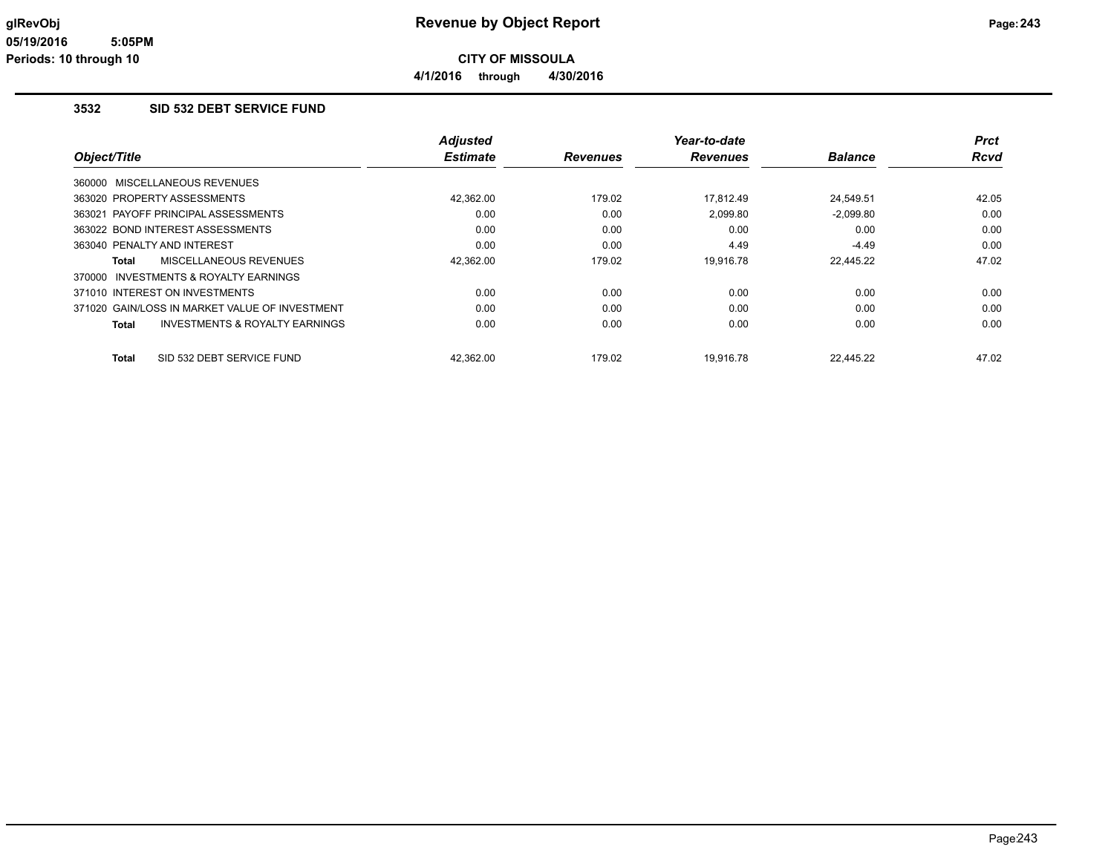#### **3532 SID 532 DEBT SERVICE FUND**

|                                                | <b>Adjusted</b> |                 | Year-to-date    |                | <b>Prct</b> |
|------------------------------------------------|-----------------|-----------------|-----------------|----------------|-------------|
| Object/Title                                   | <b>Estimate</b> | <b>Revenues</b> | <b>Revenues</b> | <b>Balance</b> | Rcvd        |
| 360000 MISCELLANEOUS REVENUES                  |                 |                 |                 |                |             |
| 363020 PROPERTY ASSESSMENTS                    | 42,362.00       | 179.02          | 17.812.49       | 24.549.51      | 42.05       |
| 363021 PAYOFF PRINCIPAL ASSESSMENTS            | 0.00            | 0.00            | 2,099.80        | $-2,099.80$    | 0.00        |
| 363022 BOND INTEREST ASSESSMENTS               | 0.00            | 0.00            | 0.00            | 0.00           | 0.00        |
| 363040 PENALTY AND INTEREST                    | 0.00            | 0.00            | 4.49            | $-4.49$        | 0.00        |
| MISCELLANEOUS REVENUES<br>Total                | 42,362.00       | 179.02          | 19,916.78       | 22,445.22      | 47.02       |
| 370000 INVESTMENTS & ROYALTY EARNINGS          |                 |                 |                 |                |             |
| 371010 INTEREST ON INVESTMENTS                 | 0.00            | 0.00            | 0.00            | 0.00           | 0.00        |
| 371020 GAIN/LOSS IN MARKET VALUE OF INVESTMENT | 0.00            | 0.00            | 0.00            | 0.00           | 0.00        |
| INVESTMENTS & ROYALTY EARNINGS<br><b>Total</b> | 0.00            | 0.00            | 0.00            | 0.00           | 0.00        |
| SID 532 DEBT SERVICE FUND<br><b>Total</b>      | 42.362.00       | 179.02          | 19.916.78       | 22.445.22      | 47.02       |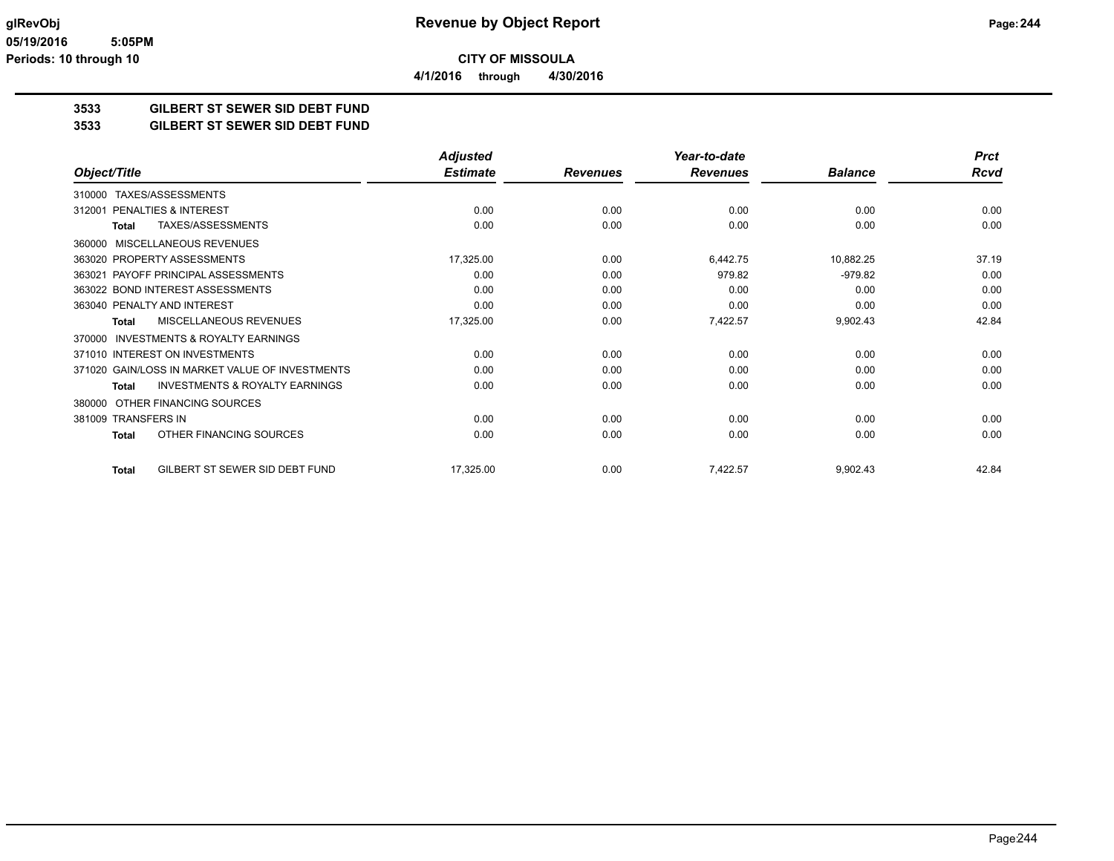**3533 GILBERT ST SEWER SID DEBT FUND**

**3533 GILBERT ST SEWER SID DEBT FUND**

|                                                     | <b>Adjusted</b> |                 | Year-to-date    |                | <b>Prct</b> |
|-----------------------------------------------------|-----------------|-----------------|-----------------|----------------|-------------|
| Object/Title                                        | <b>Estimate</b> | <b>Revenues</b> | <b>Revenues</b> | <b>Balance</b> | Rcvd        |
| TAXES/ASSESSMENTS<br>310000                         |                 |                 |                 |                |             |
| <b>PENALTIES &amp; INTEREST</b><br>312001           | 0.00            | 0.00            | 0.00            | 0.00           | 0.00        |
| TAXES/ASSESSMENTS<br>Total                          | 0.00            | 0.00            | 0.00            | 0.00           | 0.00        |
| <b>MISCELLANEOUS REVENUES</b><br>360000             |                 |                 |                 |                |             |
| 363020 PROPERTY ASSESSMENTS                         | 17,325.00       | 0.00            | 6,442.75        | 10,882.25      | 37.19       |
| 363021 PAYOFF PRINCIPAL ASSESSMENTS                 | 0.00            | 0.00            | 979.82          | $-979.82$      | 0.00        |
| 363022 BOND INTEREST ASSESSMENTS                    | 0.00            | 0.00            | 0.00            | 0.00           | 0.00        |
| 363040 PENALTY AND INTEREST                         | 0.00            | 0.00            | 0.00            | 0.00           | 0.00        |
| <b>MISCELLANEOUS REVENUES</b><br>Total              | 17,325.00       | 0.00            | 7,422.57        | 9,902.43       | 42.84       |
| <b>INVESTMENTS &amp; ROYALTY EARNINGS</b><br>370000 |                 |                 |                 |                |             |
| 371010 INTEREST ON INVESTMENTS                      | 0.00            | 0.00            | 0.00            | 0.00           | 0.00        |
| 371020 GAIN/LOSS IN MARKET VALUE OF INVESTMENTS     | 0.00            | 0.00            | 0.00            | 0.00           | 0.00        |
| <b>INVESTMENTS &amp; ROYALTY EARNINGS</b><br>Total  | 0.00            | 0.00            | 0.00            | 0.00           | 0.00        |
| OTHER FINANCING SOURCES<br>380000                   |                 |                 |                 |                |             |
| 381009 TRANSFERS IN                                 | 0.00            | 0.00            | 0.00            | 0.00           | 0.00        |
| OTHER FINANCING SOURCES<br>Total                    | 0.00            | 0.00            | 0.00            | 0.00           | 0.00        |
| GILBERT ST SEWER SID DEBT FUND<br><b>Total</b>      | 17,325.00       | 0.00            | 7,422.57        | 9,902.43       | 42.84       |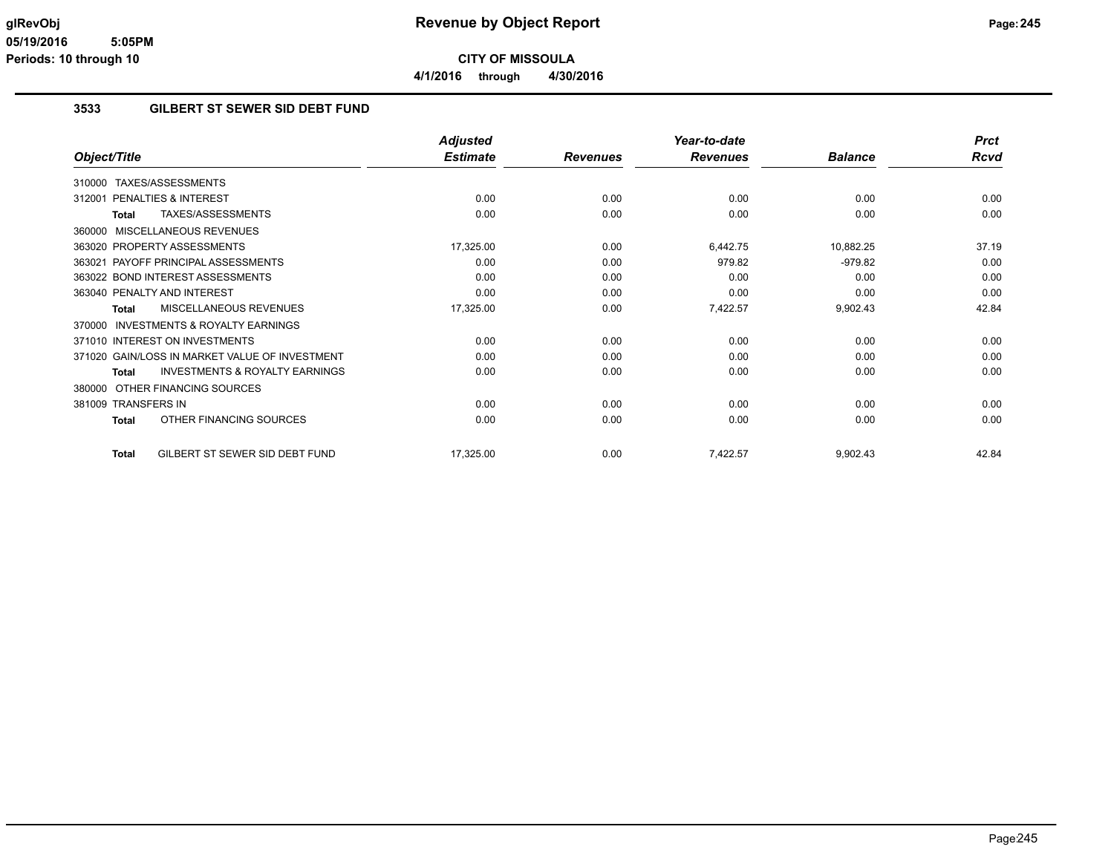**4/1/2016 through 4/30/2016**

### **3533 GILBERT ST SEWER SID DEBT FUND**

|                                                           | <b>Adjusted</b> |                 | Year-to-date    |                | <b>Prct</b> |
|-----------------------------------------------------------|-----------------|-----------------|-----------------|----------------|-------------|
| Object/Title                                              | <b>Estimate</b> | <b>Revenues</b> | <b>Revenues</b> | <b>Balance</b> | <b>Rcvd</b> |
| TAXES/ASSESSMENTS<br>310000                               |                 |                 |                 |                |             |
| <b>PENALTIES &amp; INTEREST</b><br>312001                 | 0.00            | 0.00            | 0.00            | 0.00           | 0.00        |
| TAXES/ASSESSMENTS<br><b>Total</b>                         | 0.00            | 0.00            | 0.00            | 0.00           | 0.00        |
| MISCELLANEOUS REVENUES<br>360000                          |                 |                 |                 |                |             |
| 363020 PROPERTY ASSESSMENTS                               | 17,325.00       | 0.00            | 6,442.75        | 10,882.25      | 37.19       |
| PAYOFF PRINCIPAL ASSESSMENTS<br>363021                    | 0.00            | 0.00            | 979.82          | $-979.82$      | 0.00        |
| 363022 BOND INTEREST ASSESSMENTS                          | 0.00            | 0.00            | 0.00            | 0.00           | 0.00        |
| 363040 PENALTY AND INTEREST                               | 0.00            | 0.00            | 0.00            | 0.00           | 0.00        |
| MISCELLANEOUS REVENUES<br><b>Total</b>                    | 17,325.00       | 0.00            | 7,422.57        | 9,902.43       | 42.84       |
| <b>INVESTMENTS &amp; ROYALTY EARNINGS</b><br>370000       |                 |                 |                 |                |             |
| 371010 INTEREST ON INVESTMENTS                            | 0.00            | 0.00            | 0.00            | 0.00           | 0.00        |
| 371020 GAIN/LOSS IN MARKET VALUE OF INVESTMENT            | 0.00            | 0.00            | 0.00            | 0.00           | 0.00        |
| <b>INVESTMENTS &amp; ROYALTY EARNINGS</b><br><b>Total</b> | 0.00            | 0.00            | 0.00            | 0.00           | 0.00        |
| OTHER FINANCING SOURCES<br>380000                         |                 |                 |                 |                |             |
| 381009 TRANSFERS IN                                       | 0.00            | 0.00            | 0.00            | 0.00           | 0.00        |
| OTHER FINANCING SOURCES<br><b>Total</b>                   | 0.00            | 0.00            | 0.00            | 0.00           | 0.00        |
| GILBERT ST SEWER SID DEBT FUND<br><b>Total</b>            | 17,325.00       | 0.00            | 7,422.57        | 9,902.43       | 42.84       |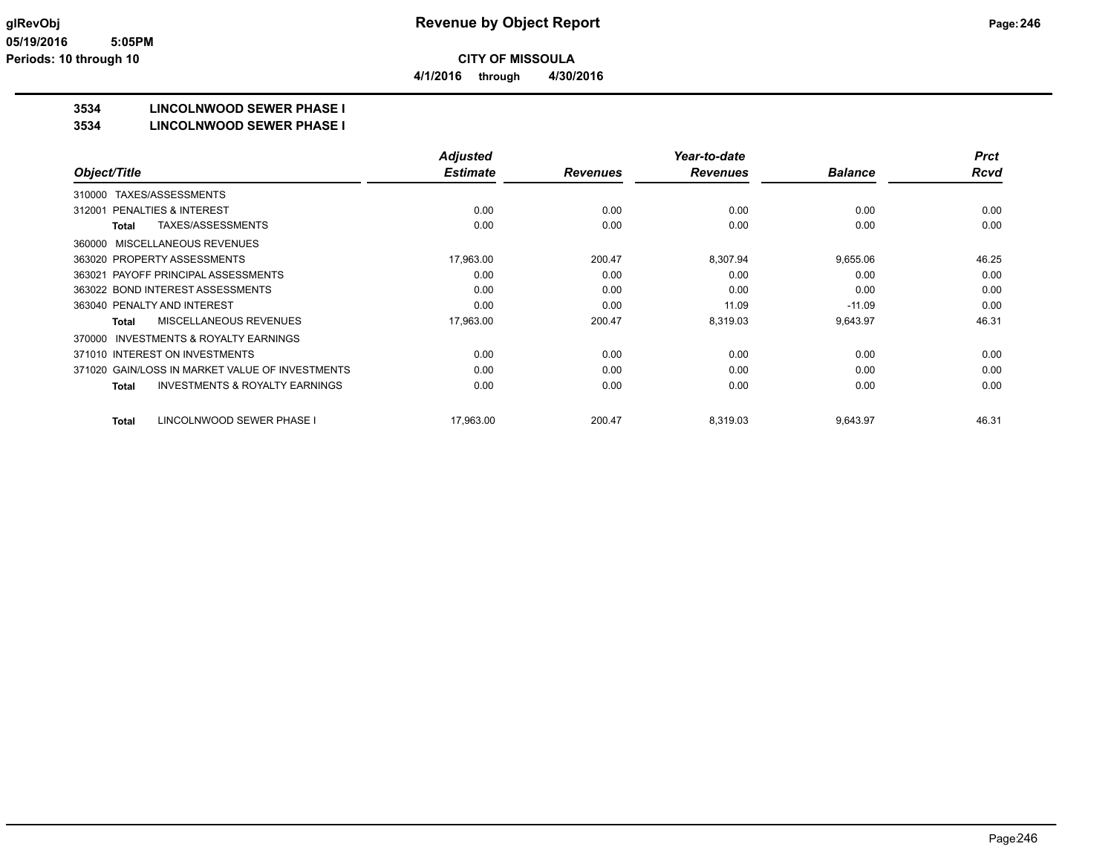**4/1/2016 through 4/30/2016**

## **3534 LINCOLNWOOD SEWER PHASE I**

#### **3534 LINCOLNWOOD SEWER PHASE I**

|                                                           | <b>Adjusted</b> |                 | Year-to-date    |                | <b>Prct</b> |
|-----------------------------------------------------------|-----------------|-----------------|-----------------|----------------|-------------|
| Object/Title                                              | <b>Estimate</b> | <b>Revenues</b> | <b>Revenues</b> | <b>Balance</b> | <b>Rcvd</b> |
| TAXES/ASSESSMENTS<br>310000                               |                 |                 |                 |                |             |
| PENALTIES & INTEREST<br>312001                            | 0.00            | 0.00            | 0.00            | 0.00           | 0.00        |
| TAXES/ASSESSMENTS<br><b>Total</b>                         | 0.00            | 0.00            | 0.00            | 0.00           | 0.00        |
| <b>MISCELLANEOUS REVENUES</b><br>360000                   |                 |                 |                 |                |             |
| 363020 PROPERTY ASSESSMENTS                               | 17.963.00       | 200.47          | 8,307.94        | 9,655.06       | 46.25       |
| 363021 PAYOFF PRINCIPAL ASSESSMENTS                       | 0.00            | 0.00            | 0.00            | 0.00           | 0.00        |
| 363022 BOND INTEREST ASSESSMENTS                          | 0.00            | 0.00            | 0.00            | 0.00           | 0.00        |
| 363040 PENALTY AND INTEREST                               | 0.00            | 0.00            | 11.09           | $-11.09$       | 0.00        |
| <b>MISCELLANEOUS REVENUES</b><br><b>Total</b>             | 17,963.00       | 200.47          | 8,319.03        | 9,643.97       | 46.31       |
| <b>INVESTMENTS &amp; ROYALTY EARNINGS</b><br>370000       |                 |                 |                 |                |             |
| 371010 INTEREST ON INVESTMENTS                            | 0.00            | 0.00            | 0.00            | 0.00           | 0.00        |
| 371020 GAIN/LOSS IN MARKET VALUE OF INVESTMENTS           | 0.00            | 0.00            | 0.00            | 0.00           | 0.00        |
| <b>INVESTMENTS &amp; ROYALTY EARNINGS</b><br><b>Total</b> | 0.00            | 0.00            | 0.00            | 0.00           | 0.00        |
| LINCOLNWOOD SEWER PHASE I<br><b>Total</b>                 | 17,963.00       | 200.47          | 8,319.03        | 9,643.97       | 46.31       |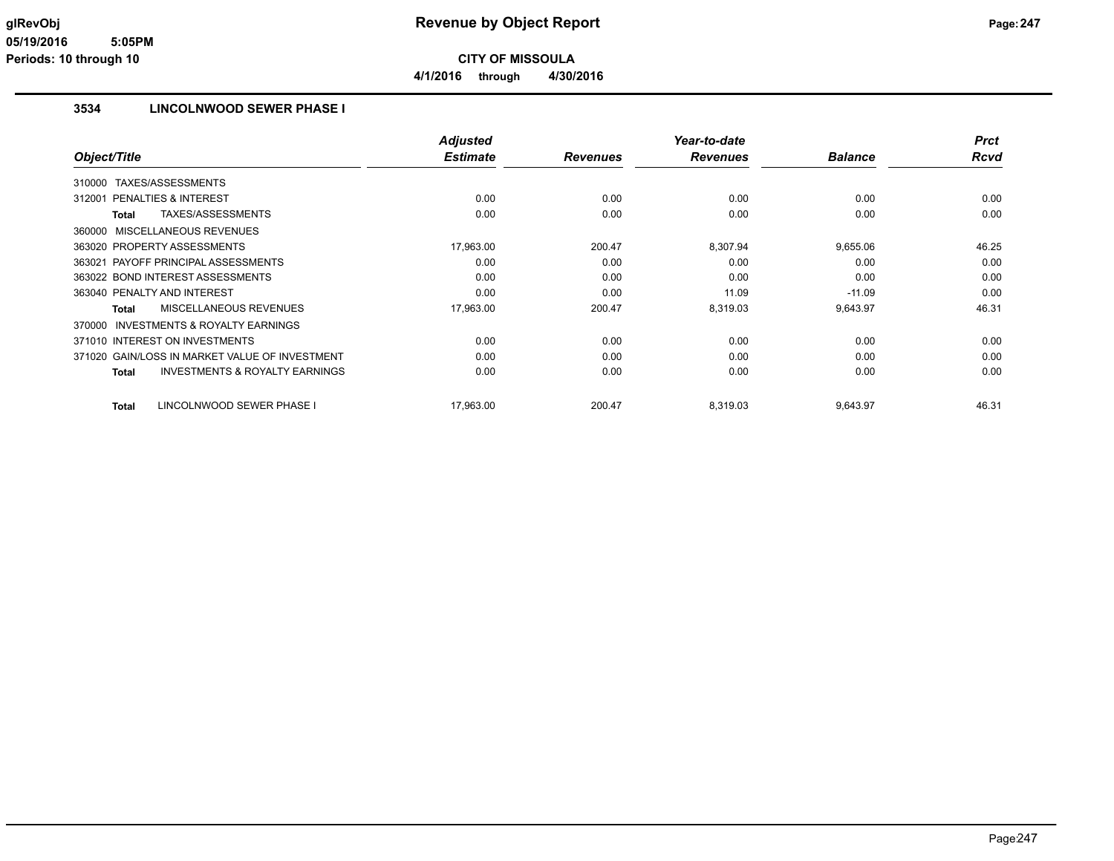### **3534 LINCOLNWOOD SEWER PHASE I**

|                                                           | <b>Adjusted</b> |                 | Year-to-date    |                | <b>Prct</b> |
|-----------------------------------------------------------|-----------------|-----------------|-----------------|----------------|-------------|
| Object/Title                                              | <b>Estimate</b> | <b>Revenues</b> | <b>Revenues</b> | <b>Balance</b> | <b>Rcvd</b> |
| TAXES/ASSESSMENTS<br>310000                               |                 |                 |                 |                |             |
| 312001 PENALTIES & INTEREST                               | 0.00            | 0.00            | 0.00            | 0.00           | 0.00        |
| TAXES/ASSESSMENTS<br>Total                                | 0.00            | 0.00            | 0.00            | 0.00           | 0.00        |
| 360000 MISCELLANEOUS REVENUES                             |                 |                 |                 |                |             |
| 363020 PROPERTY ASSESSMENTS                               | 17,963.00       | 200.47          | 8,307.94        | 9,655.06       | 46.25       |
| 363021 PAYOFF PRINCIPAL ASSESSMENTS                       | 0.00            | 0.00            | 0.00            | 0.00           | 0.00        |
| 363022 BOND INTEREST ASSESSMENTS                          | 0.00            | 0.00            | 0.00            | 0.00           | 0.00        |
| 363040 PENALTY AND INTEREST                               | 0.00            | 0.00            | 11.09           | $-11.09$       | 0.00        |
| MISCELLANEOUS REVENUES<br><b>Total</b>                    | 17,963.00       | 200.47          | 8,319.03        | 9,643.97       | 46.31       |
| 370000 INVESTMENTS & ROYALTY EARNINGS                     |                 |                 |                 |                |             |
| 371010 INTEREST ON INVESTMENTS                            | 0.00            | 0.00            | 0.00            | 0.00           | 0.00        |
| 371020 GAIN/LOSS IN MARKET VALUE OF INVESTMENT            | 0.00            | 0.00            | 0.00            | 0.00           | 0.00        |
| <b>INVESTMENTS &amp; ROYALTY EARNINGS</b><br><b>Total</b> | 0.00            | 0.00            | 0.00            | 0.00           | 0.00        |
| LINCOLNWOOD SEWER PHASE I<br>Total                        | 17,963.00       | 200.47          | 8,319.03        | 9,643.97       | 46.31       |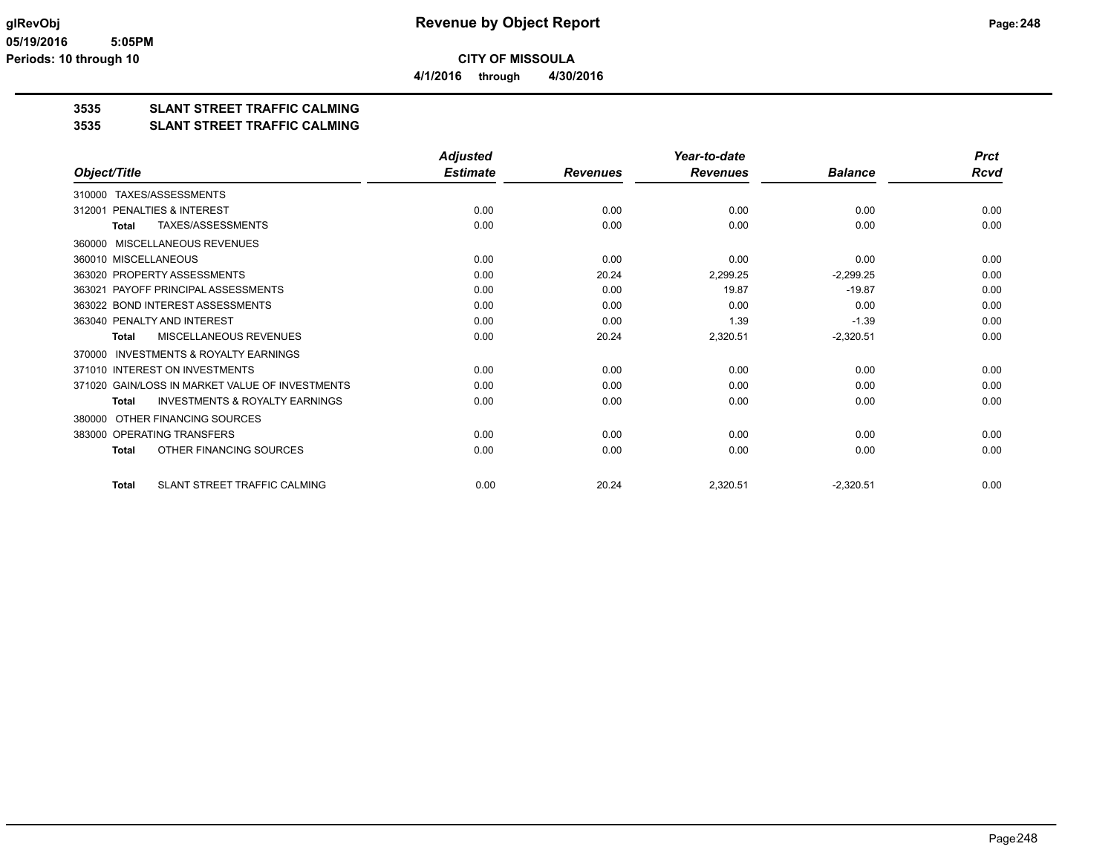**3535 SLANT STREET TRAFFIC CALMING**

#### **3535 SLANT STREET TRAFFIC CALMING**

|                                                           | <b>Adjusted</b> |                 | Year-to-date    |                | <b>Prct</b> |
|-----------------------------------------------------------|-----------------|-----------------|-----------------|----------------|-------------|
| Object/Title                                              | <b>Estimate</b> | <b>Revenues</b> | <b>Revenues</b> | <b>Balance</b> | <b>Rcvd</b> |
| TAXES/ASSESSMENTS<br>310000                               |                 |                 |                 |                |             |
| PENALTIES & INTEREST<br>312001                            | 0.00            | 0.00            | 0.00            | 0.00           | 0.00        |
| TAXES/ASSESSMENTS<br><b>Total</b>                         | 0.00            | 0.00            | 0.00            | 0.00           | 0.00        |
| <b>MISCELLANEOUS REVENUES</b><br>360000                   |                 |                 |                 |                |             |
| 360010 MISCELLANEOUS                                      | 0.00            | 0.00            | 0.00            | 0.00           | 0.00        |
| 363020 PROPERTY ASSESSMENTS                               | 0.00            | 20.24           | 2,299.25        | $-2,299.25$    | 0.00        |
| PAYOFF PRINCIPAL ASSESSMENTS<br>363021                    | 0.00            | 0.00            | 19.87           | $-19.87$       | 0.00        |
| 363022 BOND INTEREST ASSESSMENTS                          | 0.00            | 0.00            | 0.00            | 0.00           | 0.00        |
| 363040 PENALTY AND INTEREST                               | 0.00            | 0.00            | 1.39            | $-1.39$        | 0.00        |
| MISCELLANEOUS REVENUES<br><b>Total</b>                    | 0.00            | 20.24           | 2,320.51        | $-2,320.51$    | 0.00        |
| <b>INVESTMENTS &amp; ROYALTY EARNINGS</b><br>370000       |                 |                 |                 |                |             |
| 371010 INTEREST ON INVESTMENTS                            | 0.00            | 0.00            | 0.00            | 0.00           | 0.00        |
| 371020 GAIN/LOSS IN MARKET VALUE OF INVESTMENTS           | 0.00            | 0.00            | 0.00            | 0.00           | 0.00        |
| <b>INVESTMENTS &amp; ROYALTY EARNINGS</b><br><b>Total</b> | 0.00            | 0.00            | 0.00            | 0.00           | 0.00        |
| OTHER FINANCING SOURCES<br>380000                         |                 |                 |                 |                |             |
| 383000 OPERATING TRANSFERS                                | 0.00            | 0.00            | 0.00            | 0.00           | 0.00        |
| OTHER FINANCING SOURCES<br><b>Total</b>                   | 0.00            | 0.00            | 0.00            | 0.00           | 0.00        |
| <b>SLANT STREET TRAFFIC CALMING</b><br><b>Total</b>       | 0.00            | 20.24           | 2,320.51        | $-2,320.51$    | 0.00        |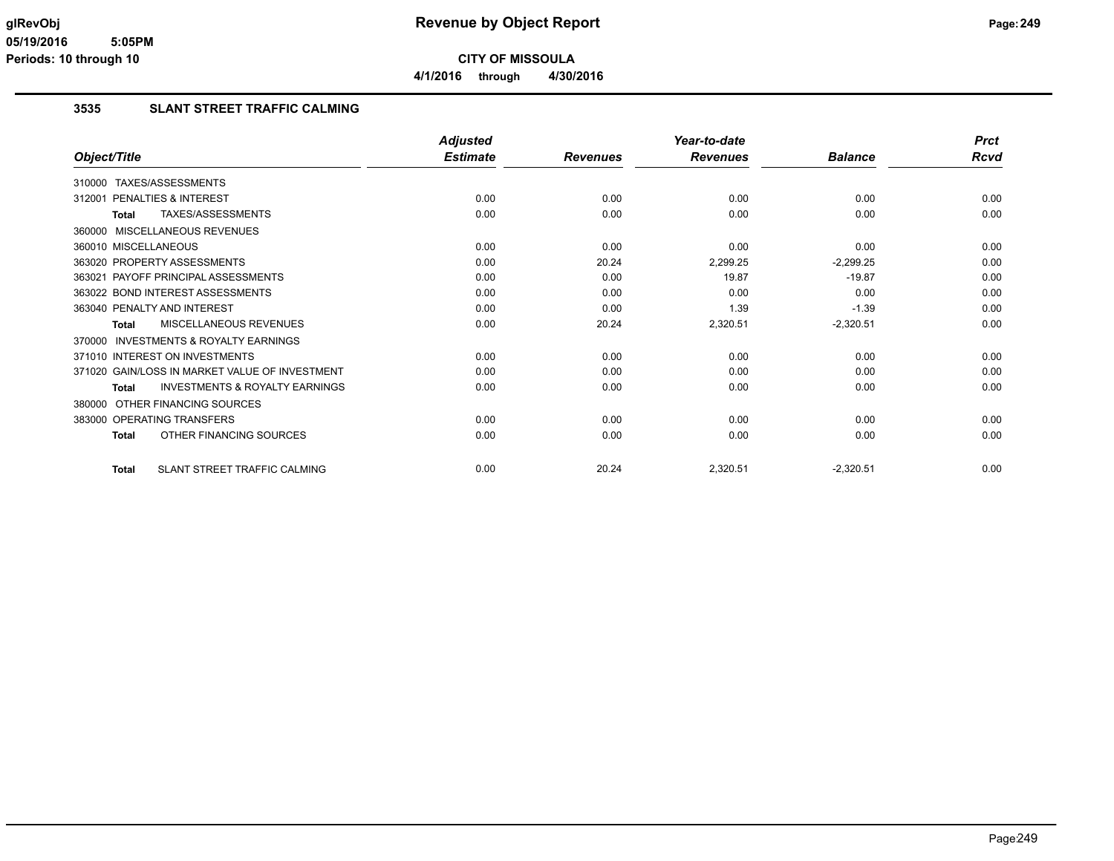**4/1/2016 through 4/30/2016**

## **3535 SLANT STREET TRAFFIC CALMING**

|                                                           | <b>Adjusted</b> |                 | Year-to-date    |                | <b>Prct</b> |
|-----------------------------------------------------------|-----------------|-----------------|-----------------|----------------|-------------|
| Object/Title                                              | <b>Estimate</b> | <b>Revenues</b> | <b>Revenues</b> | <b>Balance</b> | <b>Rcvd</b> |
| 310000 TAXES/ASSESSMENTS                                  |                 |                 |                 |                |             |
| <b>PENALTIES &amp; INTEREST</b><br>312001                 | 0.00            | 0.00            | 0.00            | 0.00           | 0.00        |
| TAXES/ASSESSMENTS<br><b>Total</b>                         | 0.00            | 0.00            | 0.00            | 0.00           | 0.00        |
| 360000 MISCELLANEOUS REVENUES                             |                 |                 |                 |                |             |
| 360010 MISCELLANEOUS                                      | 0.00            | 0.00            | 0.00            | 0.00           | 0.00        |
| 363020 PROPERTY ASSESSMENTS                               | 0.00            | 20.24           | 2,299.25        | $-2,299.25$    | 0.00        |
| 363021 PAYOFF PRINCIPAL ASSESSMENTS                       | 0.00            | 0.00            | 19.87           | $-19.87$       | 0.00        |
| 363022 BOND INTEREST ASSESSMENTS                          | 0.00            | 0.00            | 0.00            | 0.00           | 0.00        |
| 363040 PENALTY AND INTEREST                               | 0.00            | 0.00            | 1.39            | $-1.39$        | 0.00        |
| <b>MISCELLANEOUS REVENUES</b><br><b>Total</b>             | 0.00            | 20.24           | 2,320.51        | $-2,320.51$    | 0.00        |
| <b>INVESTMENTS &amp; ROYALTY EARNINGS</b><br>370000       |                 |                 |                 |                |             |
| 371010 INTEREST ON INVESTMENTS                            | 0.00            | 0.00            | 0.00            | 0.00           | 0.00        |
| 371020 GAIN/LOSS IN MARKET VALUE OF INVESTMENT            | 0.00            | 0.00            | 0.00            | 0.00           | 0.00        |
| <b>INVESTMENTS &amp; ROYALTY EARNINGS</b><br><b>Total</b> | 0.00            | 0.00            | 0.00            | 0.00           | 0.00        |
| OTHER FINANCING SOURCES<br>380000                         |                 |                 |                 |                |             |
| 383000 OPERATING TRANSFERS                                | 0.00            | 0.00            | 0.00            | 0.00           | 0.00        |
| OTHER FINANCING SOURCES<br><b>Total</b>                   | 0.00            | 0.00            | 0.00            | 0.00           | 0.00        |
| SLANT STREET TRAFFIC CALMING<br><b>Total</b>              | 0.00            | 20.24           | 2,320.51        | $-2,320.51$    | 0.00        |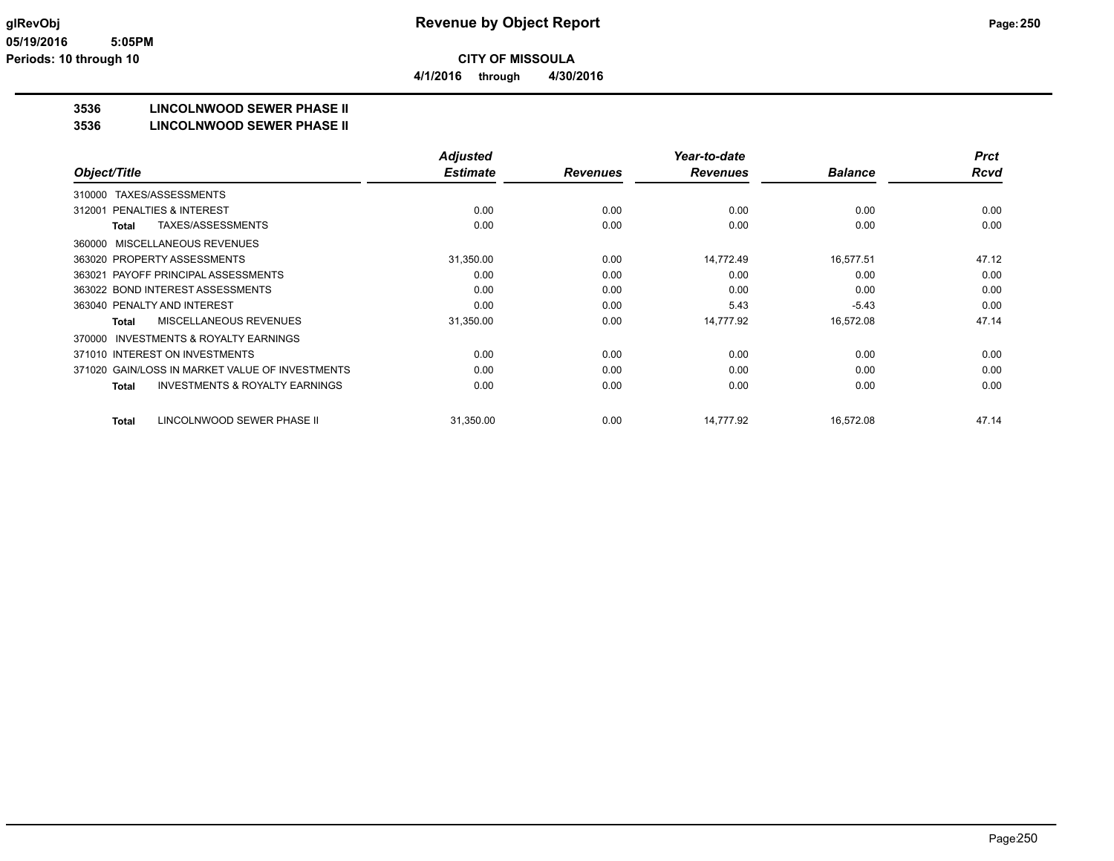**4/1/2016 through 4/30/2016**

## **3536 LINCOLNWOOD SEWER PHASE II**

#### **3536 LINCOLNWOOD SEWER PHASE II**

|                                                     | <b>Adjusted</b> |                 | Year-to-date    |                | <b>Prct</b> |
|-----------------------------------------------------|-----------------|-----------------|-----------------|----------------|-------------|
| Object/Title                                        | <b>Estimate</b> | <b>Revenues</b> | <b>Revenues</b> | <b>Balance</b> | <b>Rcvd</b> |
| TAXES/ASSESSMENTS<br>310000                         |                 |                 |                 |                |             |
| PENALTIES & INTEREST<br>312001                      | 0.00            | 0.00            | 0.00            | 0.00           | 0.00        |
| TAXES/ASSESSMENTS<br><b>Total</b>                   | 0.00            | 0.00            | 0.00            | 0.00           | 0.00        |
| MISCELLANEOUS REVENUES<br>360000                    |                 |                 |                 |                |             |
| 363020 PROPERTY ASSESSMENTS                         | 31,350.00       | 0.00            | 14,772.49       | 16,577.51      | 47.12       |
| 363021 PAYOFF PRINCIPAL ASSESSMENTS                 | 0.00            | 0.00            | 0.00            | 0.00           | 0.00        |
| 363022 BOND INTEREST ASSESSMENTS                    | 0.00            | 0.00            | 0.00            | 0.00           | 0.00        |
| 363040 PENALTY AND INTEREST                         | 0.00            | 0.00            | 5.43            | $-5.43$        | 0.00        |
| MISCELLANEOUS REVENUES<br>Total                     | 31,350.00       | 0.00            | 14,777.92       | 16,572.08      | 47.14       |
| <b>INVESTMENTS &amp; ROYALTY EARNINGS</b><br>370000 |                 |                 |                 |                |             |
| 371010 INTEREST ON INVESTMENTS                      | 0.00            | 0.00            | 0.00            | 0.00           | 0.00        |
| 371020 GAIN/LOSS IN MARKET VALUE OF INVESTMENTS     | 0.00            | 0.00            | 0.00            | 0.00           | 0.00        |
| <b>INVESTMENTS &amp; ROYALTY EARNINGS</b><br>Total  | 0.00            | 0.00            | 0.00            | 0.00           | 0.00        |
| LINCOLNWOOD SEWER PHASE II<br><b>Total</b>          | 31,350.00       | 0.00            | 14.777.92       | 16.572.08      | 47.14       |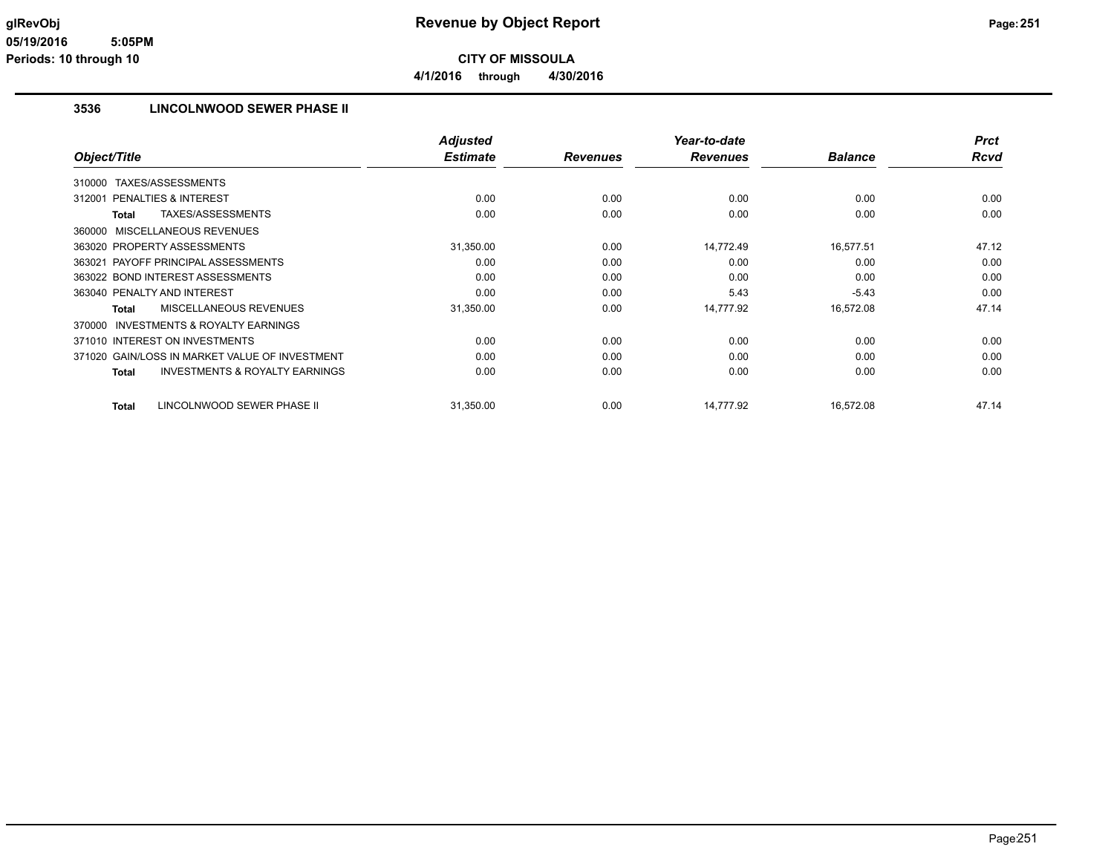### **3536 LINCOLNWOOD SEWER PHASE II**

|                                                    | <b>Adjusted</b> |                 | Year-to-date    |                | <b>Prct</b> |
|----------------------------------------------------|-----------------|-----------------|-----------------|----------------|-------------|
| Object/Title                                       | <b>Estimate</b> | <b>Revenues</b> | <b>Revenues</b> | <b>Balance</b> | <b>Rcvd</b> |
| TAXES/ASSESSMENTS<br>310000                        |                 |                 |                 |                |             |
| PENALTIES & INTEREST<br>312001                     | 0.00            | 0.00            | 0.00            | 0.00           | 0.00        |
| TAXES/ASSESSMENTS<br>Total                         | 0.00            | 0.00            | 0.00            | 0.00           | 0.00        |
| 360000 MISCELLANEOUS REVENUES                      |                 |                 |                 |                |             |
| 363020 PROPERTY ASSESSMENTS                        | 31,350.00       | 0.00            | 14,772.49       | 16,577.51      | 47.12       |
| 363021 PAYOFF PRINCIPAL ASSESSMENTS                | 0.00            | 0.00            | 0.00            | 0.00           | 0.00        |
| 363022 BOND INTEREST ASSESSMENTS                   | 0.00            | 0.00            | 0.00            | 0.00           | 0.00        |
| 363040 PENALTY AND INTEREST                        | 0.00            | 0.00            | 5.43            | $-5.43$        | 0.00        |
| MISCELLANEOUS REVENUES<br>Total                    | 31,350.00       | 0.00            | 14,777.92       | 16,572.08      | 47.14       |
| 370000 INVESTMENTS & ROYALTY EARNINGS              |                 |                 |                 |                |             |
| 371010 INTEREST ON INVESTMENTS                     | 0.00            | 0.00            | 0.00            | 0.00           | 0.00        |
| 371020 GAIN/LOSS IN MARKET VALUE OF INVESTMENT     | 0.00            | 0.00            | 0.00            | 0.00           | 0.00        |
| <b>INVESTMENTS &amp; ROYALTY EARNINGS</b><br>Total | 0.00            | 0.00            | 0.00            | 0.00           | 0.00        |
| LINCOLNWOOD SEWER PHASE II<br>Total                | 31,350.00       | 0.00            | 14,777.92       | 16,572.08      | 47.14       |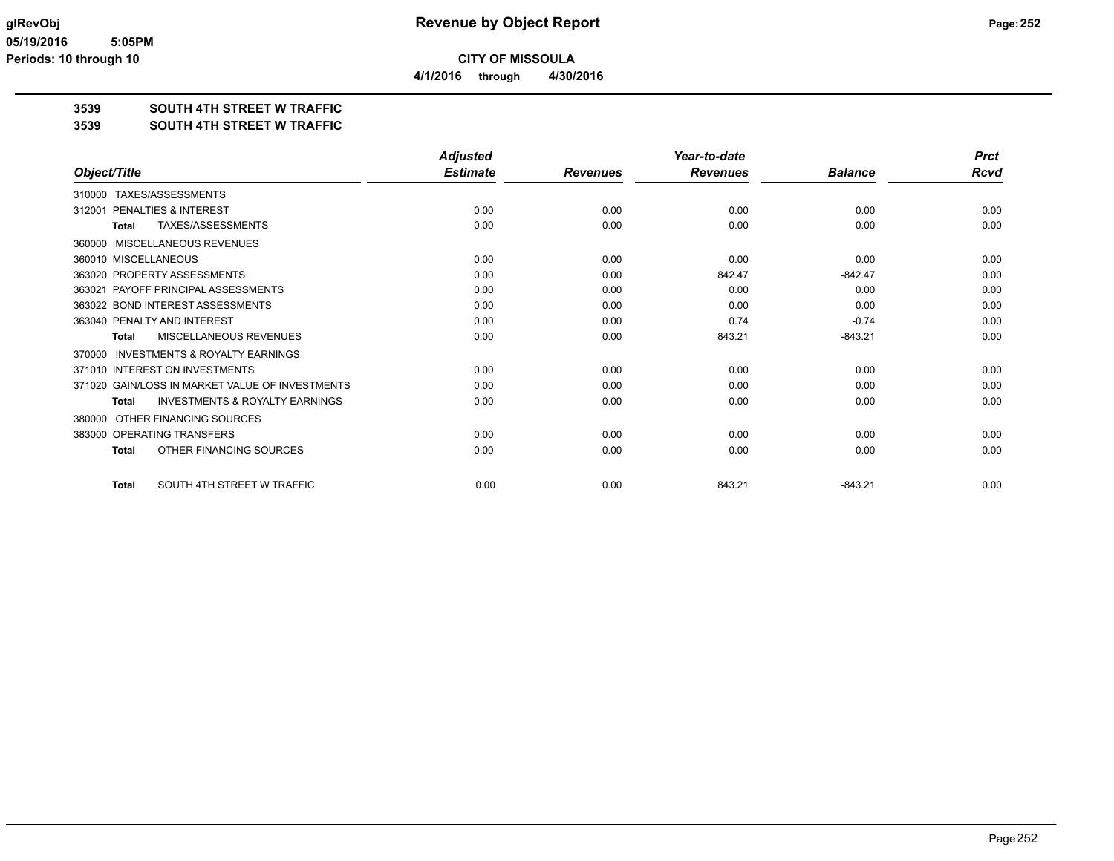**4/1/2016 through 4/30/2016**

## **3539 SOUTH 4TH STREET W TRAFFIC**

#### **3539 SOUTH 4TH STREET W TRAFFIC**

|                                                           | <b>Adjusted</b> |                 | Year-to-date    |                | <b>Prct</b> |
|-----------------------------------------------------------|-----------------|-----------------|-----------------|----------------|-------------|
| Object/Title                                              | <b>Estimate</b> | <b>Revenues</b> | <b>Revenues</b> | <b>Balance</b> | <b>Rcvd</b> |
| 310000 TAXES/ASSESSMENTS                                  |                 |                 |                 |                |             |
| PENALTIES & INTEREST<br>312001                            | 0.00            | 0.00            | 0.00            | 0.00           | 0.00        |
| TAXES/ASSESSMENTS<br><b>Total</b>                         | 0.00            | 0.00            | 0.00            | 0.00           | 0.00        |
| <b>MISCELLANEOUS REVENUES</b><br>360000                   |                 |                 |                 |                |             |
| 360010 MISCELLANEOUS                                      | 0.00            | 0.00            | 0.00            | 0.00           | 0.00        |
| 363020 PROPERTY ASSESSMENTS                               | 0.00            | 0.00            | 842.47          | $-842.47$      | 0.00        |
| 363021 PAYOFF PRINCIPAL ASSESSMENTS                       | 0.00            | 0.00            | 0.00            | 0.00           | 0.00        |
| 363022 BOND INTEREST ASSESSMENTS                          | 0.00            | 0.00            | 0.00            | 0.00           | 0.00        |
| 363040 PENALTY AND INTEREST                               | 0.00            | 0.00            | 0.74            | $-0.74$        | 0.00        |
| MISCELLANEOUS REVENUES<br><b>Total</b>                    | 0.00            | 0.00            | 843.21          | $-843.21$      | 0.00        |
| <b>INVESTMENTS &amp; ROYALTY EARNINGS</b><br>370000       |                 |                 |                 |                |             |
| 371010 INTEREST ON INVESTMENTS                            | 0.00            | 0.00            | 0.00            | 0.00           | 0.00        |
| 371020 GAIN/LOSS IN MARKET VALUE OF INVESTMENTS           | 0.00            | 0.00            | 0.00            | 0.00           | 0.00        |
| <b>INVESTMENTS &amp; ROYALTY EARNINGS</b><br><b>Total</b> | 0.00            | 0.00            | 0.00            | 0.00           | 0.00        |
| OTHER FINANCING SOURCES<br>380000                         |                 |                 |                 |                |             |
| 383000 OPERATING TRANSFERS                                | 0.00            | 0.00            | 0.00            | 0.00           | 0.00        |
| OTHER FINANCING SOURCES<br><b>Total</b>                   | 0.00            | 0.00            | 0.00            | 0.00           | 0.00        |
| SOUTH 4TH STREET W TRAFFIC<br><b>Total</b>                | 0.00            | 0.00            | 843.21          | $-843.21$      | 0.00        |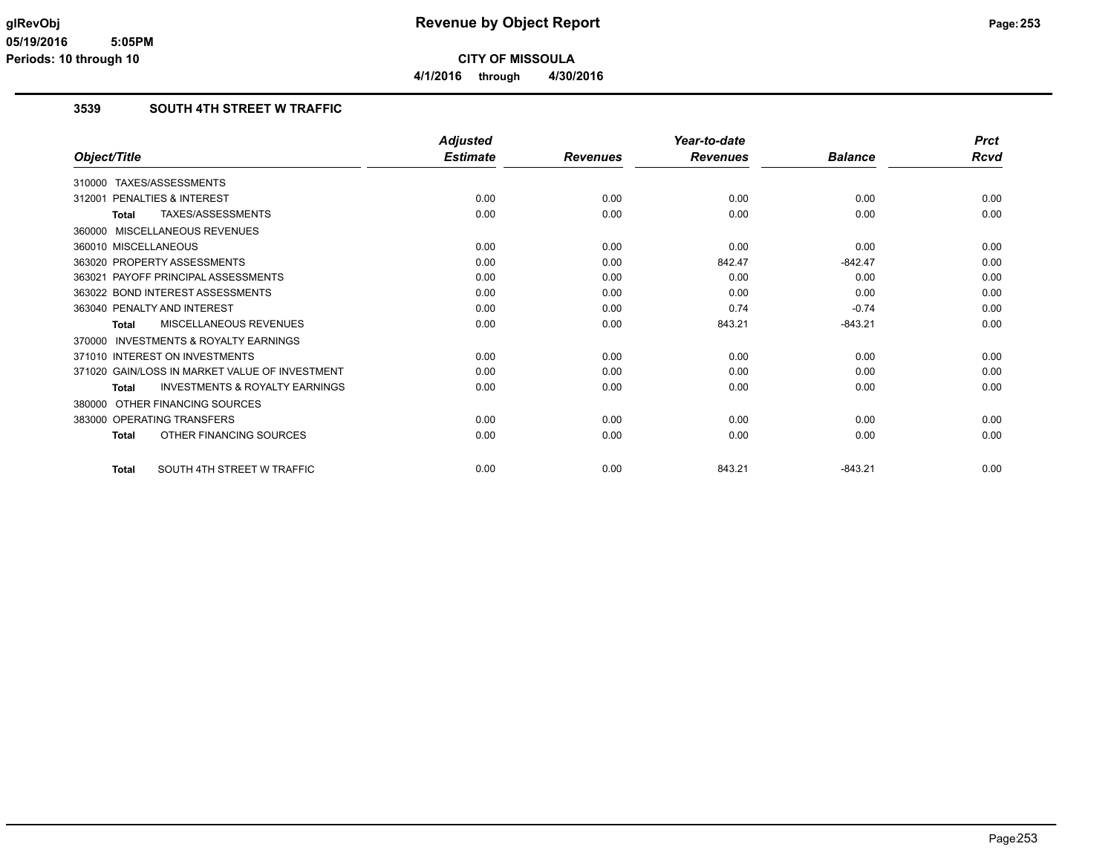### **3539 SOUTH 4TH STREET W TRAFFIC**

|                                                           | <b>Adjusted</b> |                 | Year-to-date    |                | <b>Prct</b> |
|-----------------------------------------------------------|-----------------|-----------------|-----------------|----------------|-------------|
| Object/Title                                              | <b>Estimate</b> | <b>Revenues</b> | <b>Revenues</b> | <b>Balance</b> | <b>Rcvd</b> |
| 310000 TAXES/ASSESSMENTS                                  |                 |                 |                 |                |             |
| PENALTIES & INTEREST<br>312001                            | 0.00            | 0.00            | 0.00            | 0.00           | 0.00        |
| TAXES/ASSESSMENTS<br><b>Total</b>                         | 0.00            | 0.00            | 0.00            | 0.00           | 0.00        |
| 360000 MISCELLANEOUS REVENUES                             |                 |                 |                 |                |             |
| 360010 MISCELLANEOUS                                      | 0.00            | 0.00            | 0.00            | 0.00           | 0.00        |
| 363020 PROPERTY ASSESSMENTS                               | 0.00            | 0.00            | 842.47          | $-842.47$      | 0.00        |
| 363021 PAYOFF PRINCIPAL ASSESSMENTS                       | 0.00            | 0.00            | 0.00            | 0.00           | 0.00        |
| 363022 BOND INTEREST ASSESSMENTS                          | 0.00            | 0.00            | 0.00            | 0.00           | 0.00        |
| 363040 PENALTY AND INTEREST                               | 0.00            | 0.00            | 0.74            | $-0.74$        | 0.00        |
| MISCELLANEOUS REVENUES<br>Total                           | 0.00            | 0.00            | 843.21          | $-843.21$      | 0.00        |
| 370000 INVESTMENTS & ROYALTY EARNINGS                     |                 |                 |                 |                |             |
| 371010 INTEREST ON INVESTMENTS                            | 0.00            | 0.00            | 0.00            | 0.00           | 0.00        |
| 371020 GAIN/LOSS IN MARKET VALUE OF INVESTMENT            | 0.00            | 0.00            | 0.00            | 0.00           | 0.00        |
| <b>INVESTMENTS &amp; ROYALTY EARNINGS</b><br><b>Total</b> | 0.00            | 0.00            | 0.00            | 0.00           | 0.00        |
| 380000 OTHER FINANCING SOURCES                            |                 |                 |                 |                |             |
| 383000 OPERATING TRANSFERS                                | 0.00            | 0.00            | 0.00            | 0.00           | 0.00        |
| OTHER FINANCING SOURCES<br><b>Total</b>                   | 0.00            | 0.00            | 0.00            | 0.00           | 0.00        |
| SOUTH 4TH STREET W TRAFFIC<br><b>Total</b>                | 0.00            | 0.00            | 843.21          | $-843.21$      | 0.00        |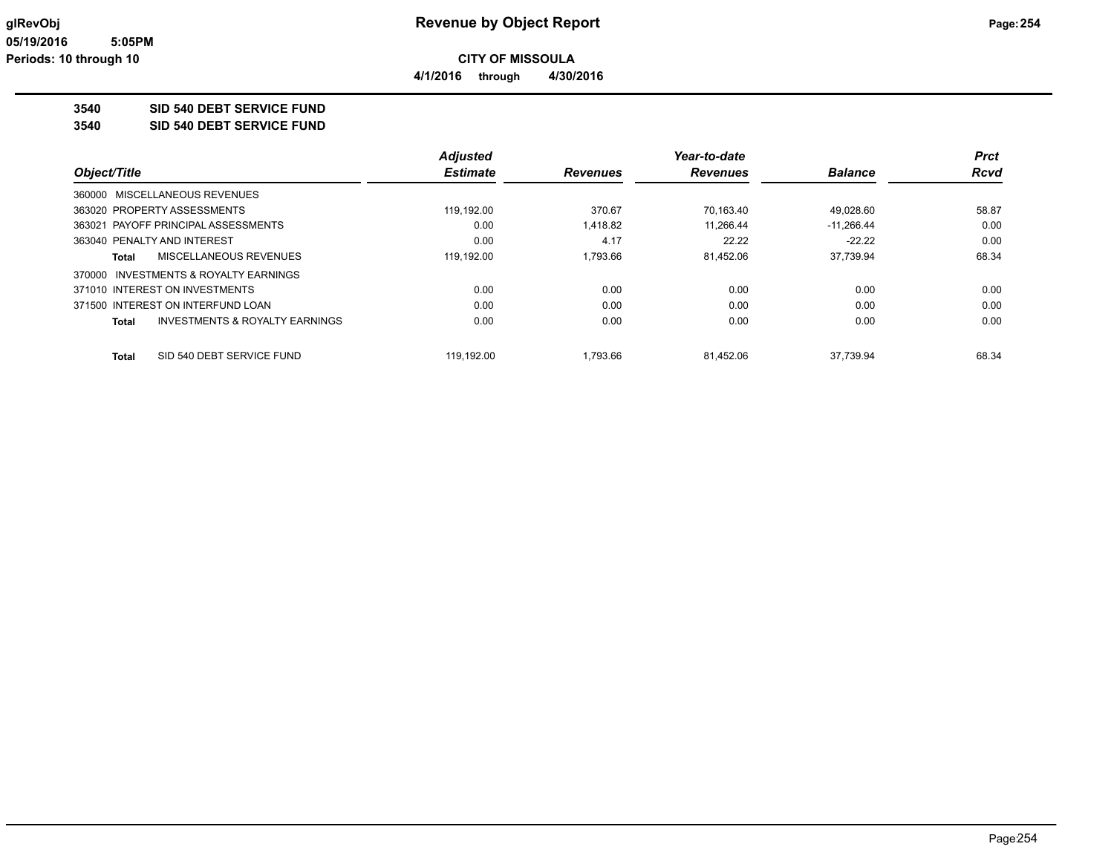**4/1/2016 through 4/30/2016**

## **3540 SID 540 DEBT SERVICE FUND**

**3540 SID 540 DEBT SERVICE FUND**

|                                                           | <b>Adjusted</b> |                 | Year-to-date    |                | <b>Prct</b> |
|-----------------------------------------------------------|-----------------|-----------------|-----------------|----------------|-------------|
| Object/Title                                              | <b>Estimate</b> | <b>Revenues</b> | <b>Revenues</b> | <b>Balance</b> | <b>Rcvd</b> |
| 360000 MISCELLANEOUS REVENUES                             |                 |                 |                 |                |             |
| 363020 PROPERTY ASSESSMENTS                               | 119.192.00      | 370.67          | 70.163.40       | 49.028.60      | 58.87       |
| 363021 PAYOFF PRINCIPAL ASSESSMENTS                       | 0.00            | 1.418.82        | 11.266.44       | $-11.266.44$   | 0.00        |
| 363040 PENALTY AND INTEREST                               | 0.00            | 4.17            | 22.22           | $-22.22$       | 0.00        |
| MISCELLANEOUS REVENUES<br>Total                           | 119,192.00      | 1,793.66        | 81,452.06       | 37,739.94      | 68.34       |
| 370000 INVESTMENTS & ROYALTY EARNINGS                     |                 |                 |                 |                |             |
| 371010 INTEREST ON INVESTMENTS                            | 0.00            | 0.00            | 0.00            | 0.00           | 0.00        |
| 371500 INTEREST ON INTERFUND LOAN                         | 0.00            | 0.00            | 0.00            | 0.00           | 0.00        |
| <b>INVESTMENTS &amp; ROYALTY EARNINGS</b><br><b>Total</b> | 0.00            | 0.00            | 0.00            | 0.00           | 0.00        |
| SID 540 DEBT SERVICE FUND<br><b>Total</b>                 | 119.192.00      | 1.793.66        | 81.452.06       | 37.739.94      | 68.34       |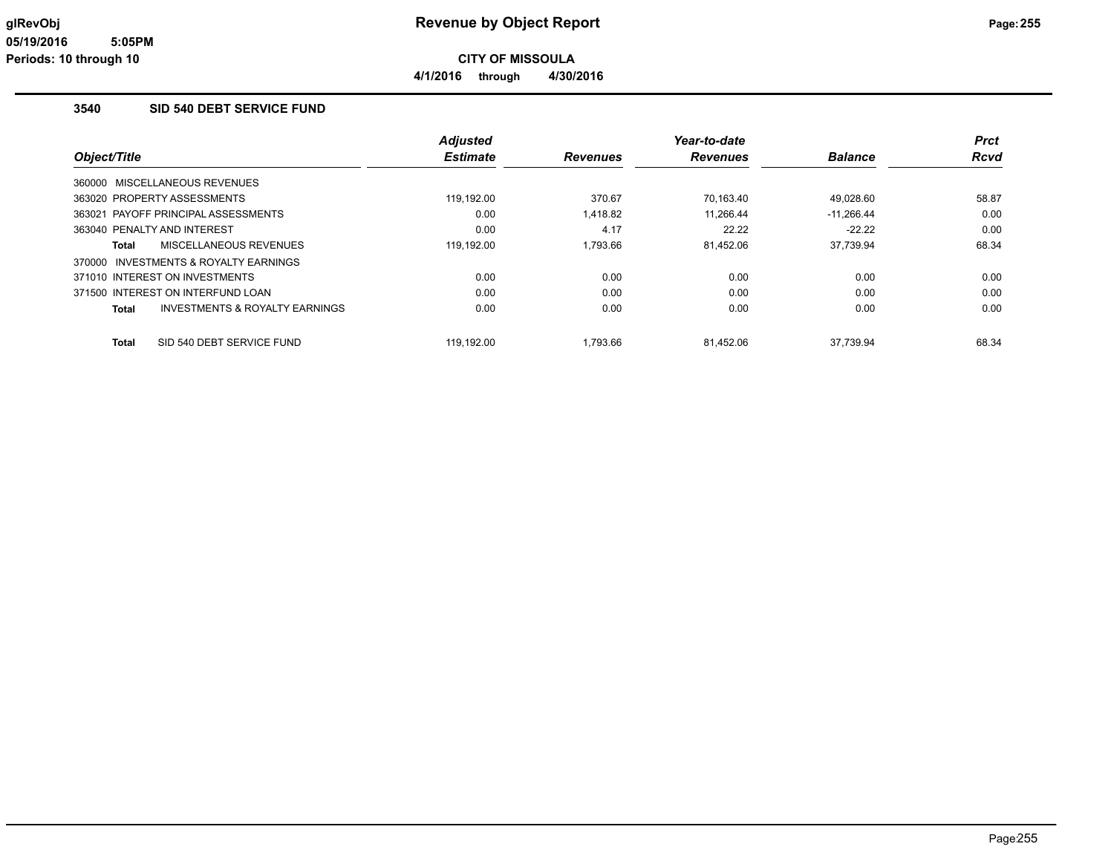### **3540 SID 540 DEBT SERVICE FUND**

|                                           | <b>Adjusted</b> |                 | Year-to-date    |                | <b>Prct</b> |
|-------------------------------------------|-----------------|-----------------|-----------------|----------------|-------------|
| Object/Title                              | <b>Estimate</b> | <b>Revenues</b> | <b>Revenues</b> | <b>Balance</b> | <b>Rcvd</b> |
| MISCELLANEOUS REVENUES<br>360000          |                 |                 |                 |                |             |
| 363020 PROPERTY ASSESSMENTS               | 119.192.00      | 370.67          | 70,163.40       | 49.028.60      | 58.87       |
| 363021 PAYOFF PRINCIPAL ASSESSMENTS       | 0.00            | 1,418.82        | 11.266.44       | $-11,266.44$   | 0.00        |
| 363040 PENALTY AND INTEREST               | 0.00            | 4.17            | 22.22           | $-22.22$       | 0.00        |
| MISCELLANEOUS REVENUES<br>Total           | 119,192.00      | 1,793.66        | 81,452.06       | 37,739.94      | 68.34       |
| INVESTMENTS & ROYALTY EARNINGS<br>370000  |                 |                 |                 |                |             |
| 371010 INTEREST ON INVESTMENTS            | 0.00            | 0.00            | 0.00            | 0.00           | 0.00        |
| 371500 INTEREST ON INTERFUND LOAN         | 0.00            | 0.00            | 0.00            | 0.00           | 0.00        |
| INVESTMENTS & ROYALTY EARNINGS<br>Total   | 0.00            | 0.00            | 0.00            | 0.00           | 0.00        |
| SID 540 DEBT SERVICE FUND<br><b>Total</b> | 119.192.00      | 1.793.66        | 81.452.06       | 37.739.94      | 68.34       |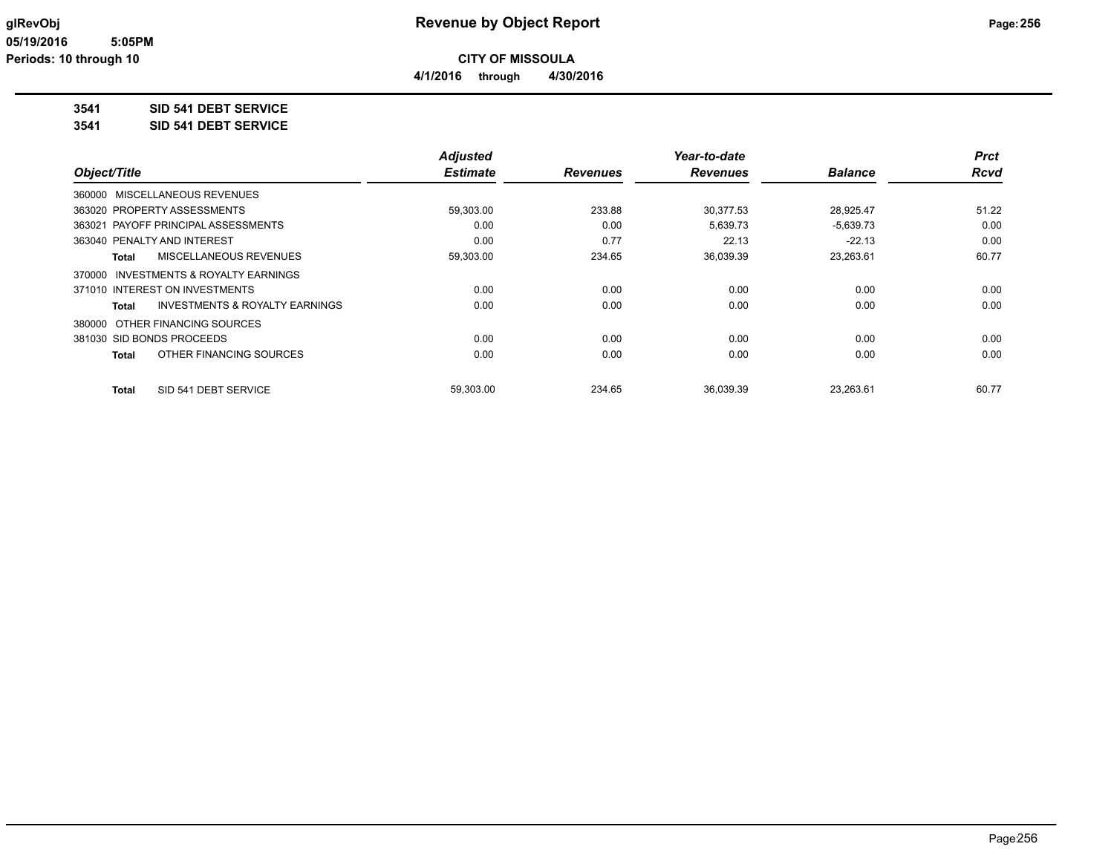**4/1/2016 through 4/30/2016**

**3541 SID 541 DEBT SERVICE**

**3541 SID 541 DEBT SERVICE**

|                                         | <b>Adjusted</b> |                 | Year-to-date    |                | <b>Prct</b> |
|-----------------------------------------|-----------------|-----------------|-----------------|----------------|-------------|
| Object/Title                            | <b>Estimate</b> | <b>Revenues</b> | <b>Revenues</b> | <b>Balance</b> | <b>Rcvd</b> |
| 360000 MISCELLANEOUS REVENUES           |                 |                 |                 |                |             |
| 363020 PROPERTY ASSESSMENTS             | 59,303.00       | 233.88          | 30,377.53       | 28,925.47      | 51.22       |
| 363021 PAYOFF PRINCIPAL ASSESSMENTS     | 0.00            | 0.00            | 5,639.73        | $-5,639.73$    | 0.00        |
| 363040 PENALTY AND INTEREST             | 0.00            | 0.77            | 22.13           | $-22.13$       | 0.00        |
| <b>MISCELLANEOUS REVENUES</b><br>Total  | 59,303.00       | 234.65          | 36,039.39       | 23,263.61      | 60.77       |
| 370000 INVESTMENTS & ROYALTY EARNINGS   |                 |                 |                 |                |             |
| 371010 INTEREST ON INVESTMENTS          | 0.00            | 0.00            | 0.00            | 0.00           | 0.00        |
| INVESTMENTS & ROYALTY EARNINGS<br>Total | 0.00            | 0.00            | 0.00            | 0.00           | 0.00        |
| 380000 OTHER FINANCING SOURCES          |                 |                 |                 |                |             |
| 381030 SID BONDS PROCEEDS               | 0.00            | 0.00            | 0.00            | 0.00           | 0.00        |
| OTHER FINANCING SOURCES<br>Total        | 0.00            | 0.00            | 0.00            | 0.00           | 0.00        |
| SID 541 DEBT SERVICE<br>Total           | 59,303.00       | 234.65          | 36.039.39       | 23,263.61      | 60.77       |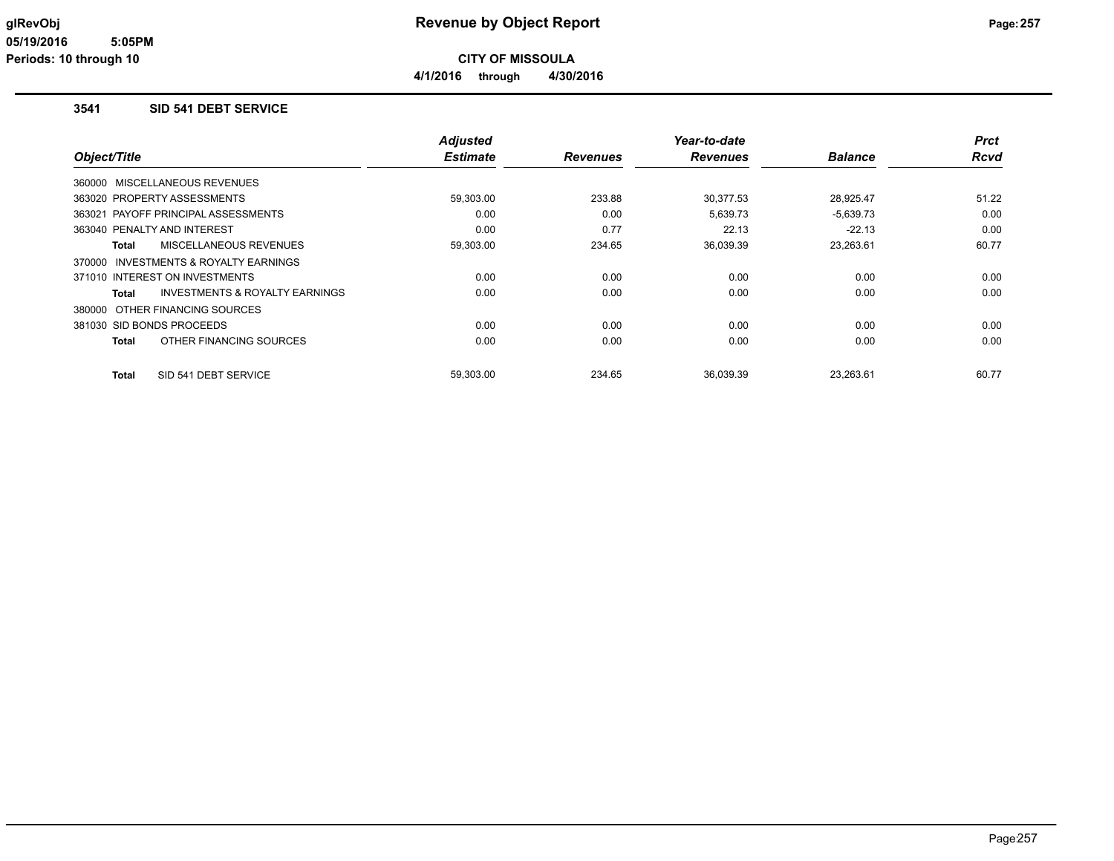**4/1/2016 through 4/30/2016**

#### **3541 SID 541 DEBT SERVICE**

|                                                    | <b>Adjusted</b> |                 | Year-to-date    |                | <b>Prct</b> |
|----------------------------------------------------|-----------------|-----------------|-----------------|----------------|-------------|
| Object/Title                                       | <b>Estimate</b> | <b>Revenues</b> | <b>Revenues</b> | <b>Balance</b> | <b>Rcvd</b> |
| 360000 MISCELLANEOUS REVENUES                      |                 |                 |                 |                |             |
| 363020 PROPERTY ASSESSMENTS                        | 59,303.00       | 233.88          | 30,377.53       | 28,925.47      | 51.22       |
| 363021 PAYOFF PRINCIPAL ASSESSMENTS                | 0.00            | 0.00            | 5,639.73        | $-5,639.73$    | 0.00        |
| 363040 PENALTY AND INTEREST                        | 0.00            | 0.77            | 22.13           | $-22.13$       | 0.00        |
| MISCELLANEOUS REVENUES<br>Total                    | 59,303.00       | 234.65          | 36,039.39       | 23,263.61      | 60.77       |
| 370000 INVESTMENTS & ROYALTY EARNINGS              |                 |                 |                 |                |             |
| 371010 INTEREST ON INVESTMENTS                     | 0.00            | 0.00            | 0.00            | 0.00           | 0.00        |
| <b>INVESTMENTS &amp; ROYALTY EARNINGS</b><br>Total | 0.00            | 0.00            | 0.00            | 0.00           | 0.00        |
| 380000 OTHER FINANCING SOURCES                     |                 |                 |                 |                |             |
| 381030 SID BONDS PROCEEDS                          | 0.00            | 0.00            | 0.00            | 0.00           | 0.00        |
| OTHER FINANCING SOURCES<br>Total                   | 0.00            | 0.00            | 0.00            | 0.00           | 0.00        |
| SID 541 DEBT SERVICE<br>Total                      | 59.303.00       | 234.65          | 36.039.39       | 23.263.61      | 60.77       |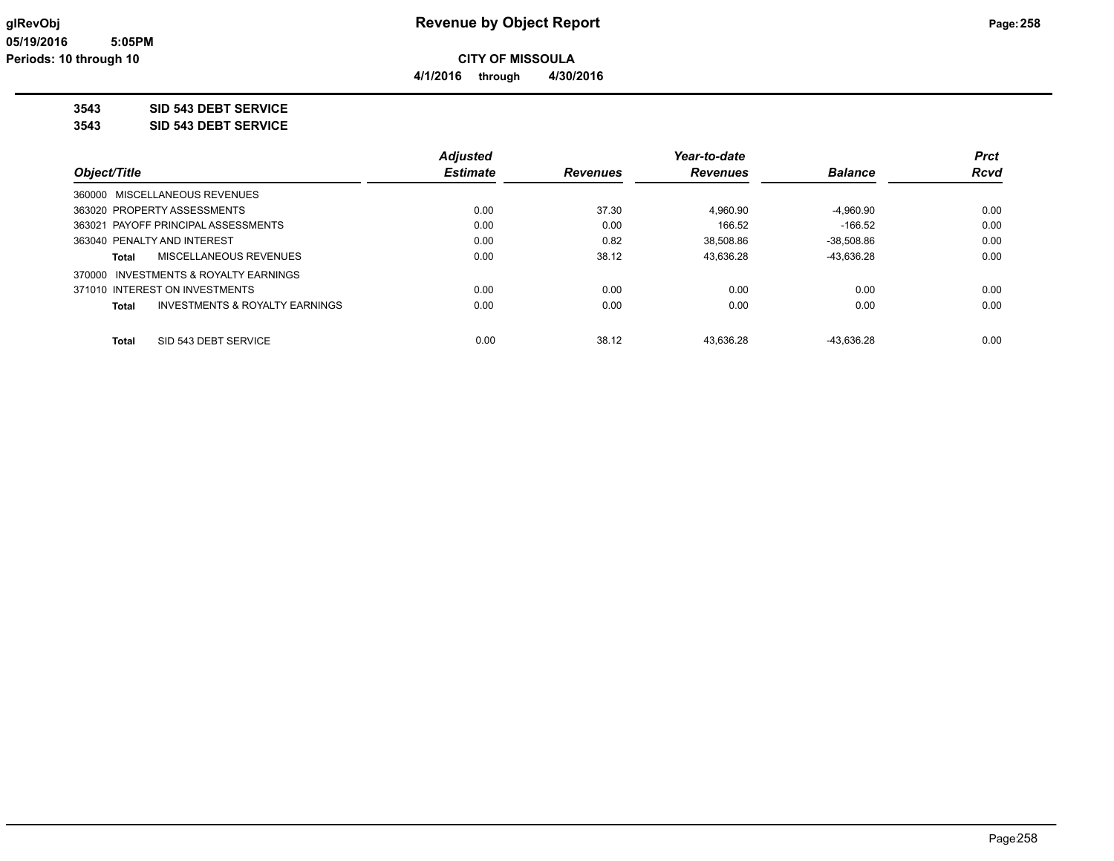**4/1/2016 through 4/30/2016**

**3543 SID 543 DEBT SERVICE**

**3543 SID 543 DEBT SERVICE**

|                                                    | <b>Adjusted</b> |                 | Year-to-date    |                | <b>Prct</b> |
|----------------------------------------------------|-----------------|-----------------|-----------------|----------------|-------------|
| Object/Title                                       | <b>Estimate</b> | <b>Revenues</b> | <b>Revenues</b> | <b>Balance</b> | <b>Rcvd</b> |
| 360000 MISCELLANEOUS REVENUES                      |                 |                 |                 |                |             |
| 363020 PROPERTY ASSESSMENTS                        | 0.00            | 37.30           | 4.960.90        | $-4.960.90$    | 0.00        |
| 363021 PAYOFF PRINCIPAL ASSESSMENTS                | 0.00            | 0.00            | 166.52          | $-166.52$      | 0.00        |
| 363040 PENALTY AND INTEREST                        | 0.00            | 0.82            | 38.508.86       | $-38.508.86$   | 0.00        |
| MISCELLANEOUS REVENUES<br>Total                    | 0.00            | 38.12           | 43.636.28       | -43.636.28     | 0.00        |
| 370000 INVESTMENTS & ROYALTY EARNINGS              |                 |                 |                 |                |             |
| 371010 INTEREST ON INVESTMENTS                     | 0.00            | 0.00            | 0.00            | 0.00           | 0.00        |
| <b>INVESTMENTS &amp; ROYALTY EARNINGS</b><br>Total | 0.00            | 0.00            | 0.00            | 0.00           | 0.00        |
|                                                    |                 |                 |                 |                |             |
| SID 543 DEBT SERVICE<br><b>Total</b>               | 0.00            | 38.12           | 43.636.28       | -43.636.28     | 0.00        |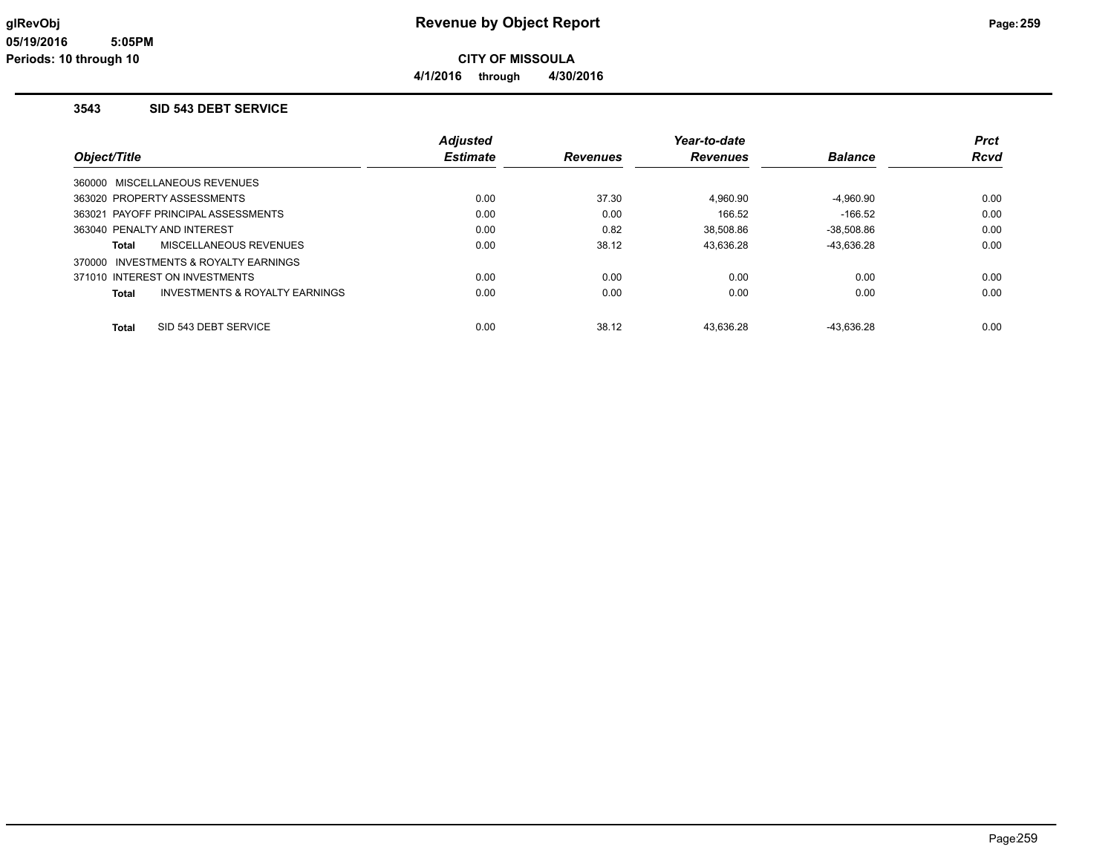**CITY OF MISSOULA**

**4/1/2016 through 4/30/2016**

### **3543 SID 543 DEBT SERVICE**

|                                                | <b>Adjusted</b> |                 | Year-to-date    |                | <b>Prct</b> |
|------------------------------------------------|-----------------|-----------------|-----------------|----------------|-------------|
| Object/Title                                   | <b>Estimate</b> | <b>Revenues</b> | <b>Revenues</b> | <b>Balance</b> | <b>Rcvd</b> |
| 360000 MISCELLANEOUS REVENUES                  |                 |                 |                 |                |             |
| 363020 PROPERTY ASSESSMENTS                    | 0.00            | 37.30           | 4,960.90        | $-4,960.90$    | 0.00        |
| 363021 PAYOFF PRINCIPAL ASSESSMENTS            | 0.00            | 0.00            | 166.52          | $-166.52$      | 0.00        |
| 363040 PENALTY AND INTEREST                    | 0.00            | 0.82            | 38.508.86       | -38.508.86     | 0.00        |
| MISCELLANEOUS REVENUES<br>Total                | 0.00            | 38.12           | 43,636.28       | -43,636.28     | 0.00        |
| INVESTMENTS & ROYALTY EARNINGS<br>370000       |                 |                 |                 |                |             |
| 371010 INTEREST ON INVESTMENTS                 | 0.00            | 0.00            | 0.00            | 0.00           | 0.00        |
| INVESTMENTS & ROYALTY EARNINGS<br><b>Total</b> | 0.00            | 0.00            | 0.00            | 0.00           | 0.00        |
| SID 543 DEBT SERVICE<br><b>Total</b>           | 0.00            | 38.12           | 43.636.28       | -43.636.28     | 0.00        |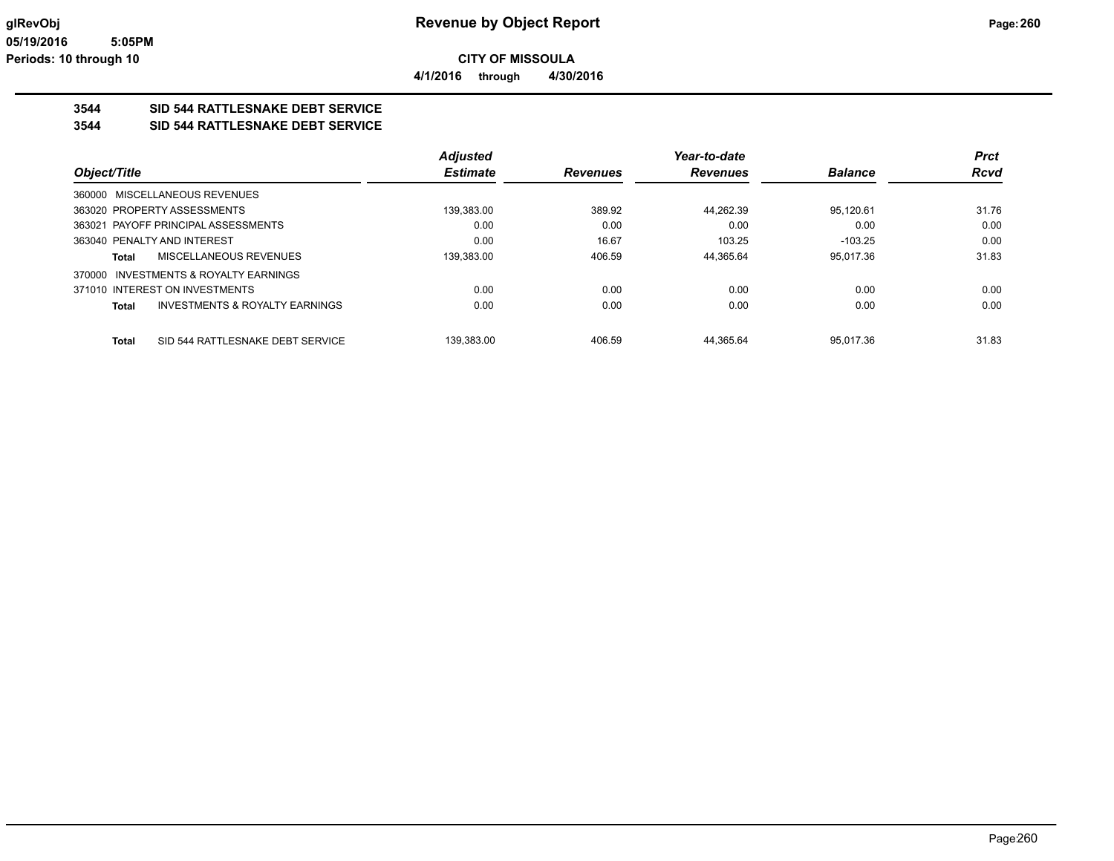### **3544 SID 544 RATTLESNAKE DEBT SERVICE**

#### **3544 SID 544 RATTLESNAKE DEBT SERVICE**

|                                                           | <b>Adjusted</b> |                 | Year-to-date    |                | <b>Prct</b> |
|-----------------------------------------------------------|-----------------|-----------------|-----------------|----------------|-------------|
| Object/Title                                              | <b>Estimate</b> | <b>Revenues</b> | <b>Revenues</b> | <b>Balance</b> | <b>Rcvd</b> |
| 360000 MISCELLANEOUS REVENUES                             |                 |                 |                 |                |             |
| 363020 PROPERTY ASSESSMENTS                               | 139.383.00      | 389.92          | 44.262.39       | 95.120.61      | 31.76       |
| 363021 PAYOFF PRINCIPAL ASSESSMENTS                       | 0.00            | 0.00            | 0.00            | 0.00           | 0.00        |
| 363040 PENALTY AND INTEREST                               | 0.00            | 16.67           | 103.25          | $-103.25$      | 0.00        |
| <b>MISCELLANEOUS REVENUES</b><br>Total                    | 139.383.00      | 406.59          | 44.365.64       | 95.017.36      | 31.83       |
| 370000 INVESTMENTS & ROYALTY EARNINGS                     |                 |                 |                 |                |             |
| 371010 INTEREST ON INVESTMENTS                            | 0.00            | 0.00            | 0.00            | 0.00           | 0.00        |
| <b>INVESTMENTS &amp; ROYALTY EARNINGS</b><br><b>Total</b> | 0.00            | 0.00            | 0.00            | 0.00           | 0.00        |
|                                                           |                 |                 |                 |                |             |
| SID 544 RATTLESNAKE DEBT SERVICE<br><b>Total</b>          | 139.383.00      | 406.59          | 44.365.64       | 95.017.36      | 31.83       |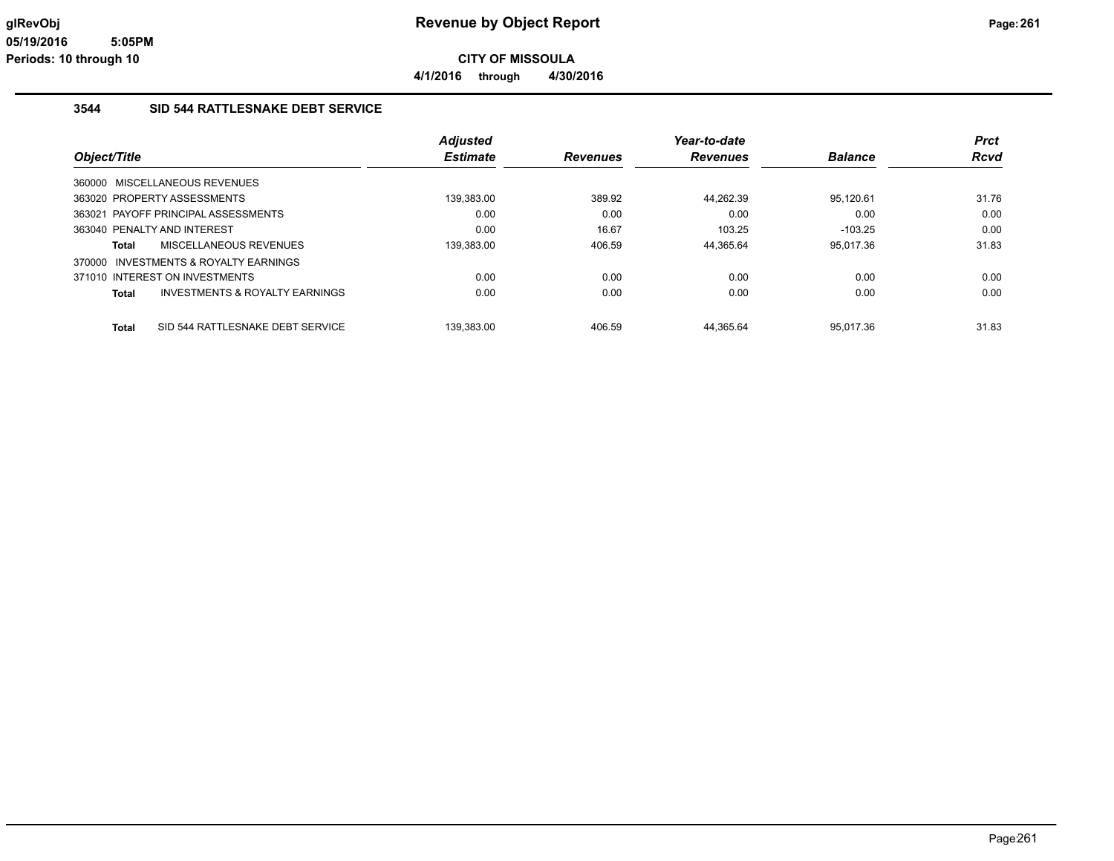**4/1/2016 through 4/30/2016**

### **3544 SID 544 RATTLESNAKE DEBT SERVICE**

|                                                           | <b>Adjusted</b> |                 | Year-to-date    |                | Prct        |
|-----------------------------------------------------------|-----------------|-----------------|-----------------|----------------|-------------|
| Object/Title                                              | <b>Estimate</b> | <b>Revenues</b> | <b>Revenues</b> | <b>Balance</b> | <b>Rcvd</b> |
| 360000 MISCELLANEOUS REVENUES                             |                 |                 |                 |                |             |
| 363020 PROPERTY ASSESSMENTS                               | 139,383.00      | 389.92          | 44,262.39       | 95,120.61      | 31.76       |
| 363021 PAYOFF PRINCIPAL ASSESSMENTS                       | 0.00            | 0.00            | 0.00            | 0.00           | 0.00        |
| 363040 PENALTY AND INTEREST                               | 0.00            | 16.67           | 103.25          | $-103.25$      | 0.00        |
| MISCELLANEOUS REVENUES<br>Total                           | 139,383.00      | 406.59          | 44,365.64       | 95.017.36      | 31.83       |
| 370000 INVESTMENTS & ROYALTY EARNINGS                     |                 |                 |                 |                |             |
| 371010 INTEREST ON INVESTMENTS                            | 0.00            | 0.00            | 0.00            | 0.00           | 0.00        |
| <b>INVESTMENTS &amp; ROYALTY EARNINGS</b><br><b>Total</b> | 0.00            | 0.00            | 0.00            | 0.00           | 0.00        |
| SID 544 RATTLESNAKE DEBT SERVICE<br><b>Total</b>          | 139.383.00      | 406.59          | 44.365.64       | 95.017.36      | 31.83       |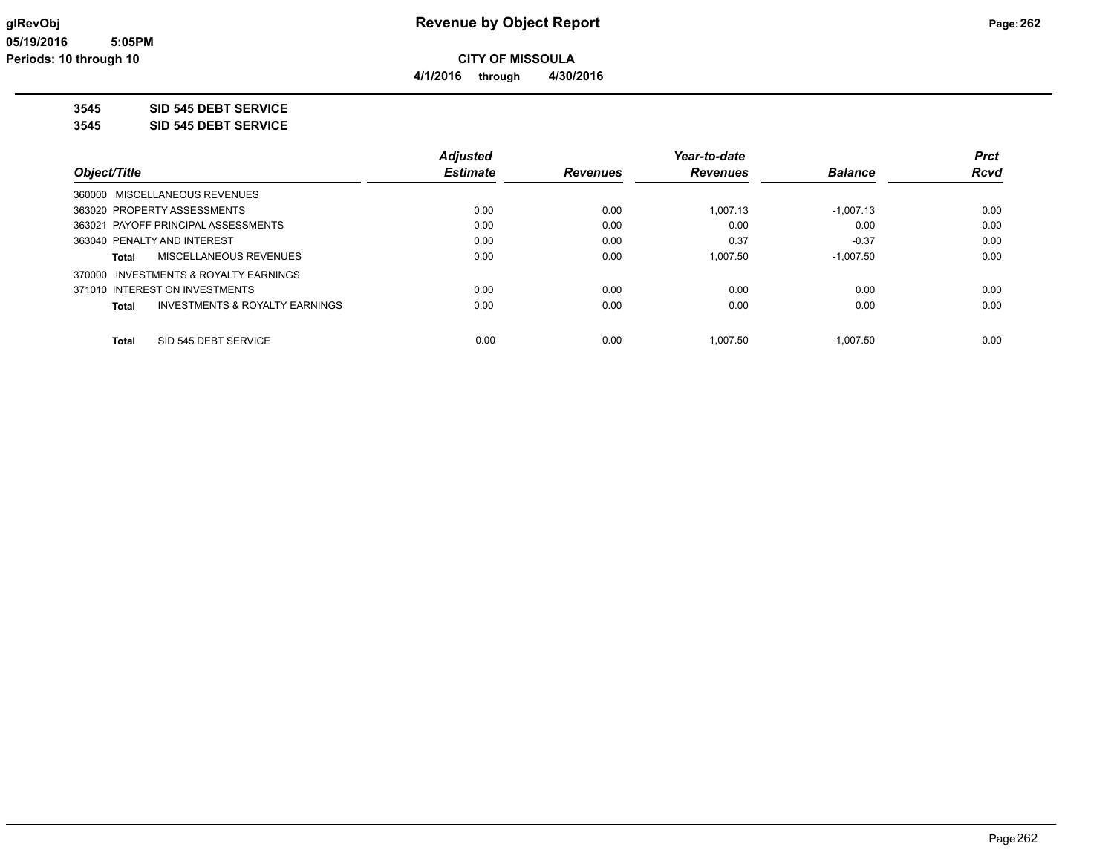**4/1/2016 through 4/30/2016**

**3545 SID 545 DEBT SERVICE**

**3545 SID 545 DEBT SERVICE**

|                                         | <b>Adjusted</b> |                 | Year-to-date    |                | <b>Prct</b> |
|-----------------------------------------|-----------------|-----------------|-----------------|----------------|-------------|
| Object/Title                            | <b>Estimate</b> | <b>Revenues</b> | <b>Revenues</b> | <b>Balance</b> | <b>Rcvd</b> |
| 360000 MISCELLANEOUS REVENUES           |                 |                 |                 |                |             |
| 363020 PROPERTY ASSESSMENTS             | 0.00            | 0.00            | 1.007.13        | $-1.007.13$    | 0.00        |
| 363021 PAYOFF PRINCIPAL ASSESSMENTS     | 0.00            | 0.00            | 0.00            | 0.00           | 0.00        |
| 363040 PENALTY AND INTEREST             | 0.00            | 0.00            | 0.37            | $-0.37$        | 0.00        |
| MISCELLANEOUS REVENUES<br>Total         | 0.00            | 0.00            | 1.007.50        | $-1.007.50$    | 0.00        |
| 370000 INVESTMENTS & ROYALTY EARNINGS   |                 |                 |                 |                |             |
| 371010 INTEREST ON INVESTMENTS          | 0.00            | 0.00            | 0.00            | 0.00           | 0.00        |
| INVESTMENTS & ROYALTY EARNINGS<br>Total | 0.00            | 0.00            | 0.00            | 0.00           | 0.00        |
| SID 545 DEBT SERVICE<br>Total           | 0.00            | 0.00            | 1.007.50        | $-1.007.50$    | 0.00        |
|                                         |                 |                 |                 |                |             |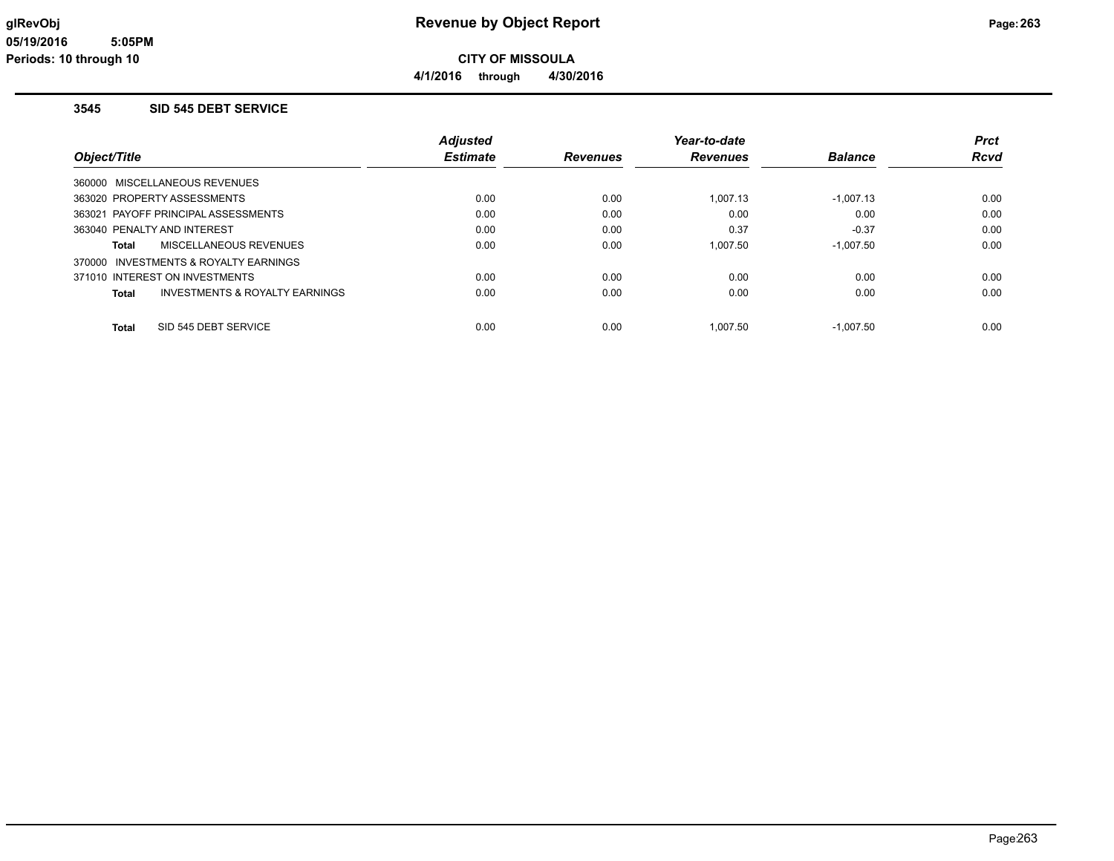**4/1/2016 through 4/30/2016**

#### **3545 SID 545 DEBT SERVICE**

|                                         | <b>Adjusted</b> |                 | Year-to-date    |                | Prct        |
|-----------------------------------------|-----------------|-----------------|-----------------|----------------|-------------|
| Object/Title                            | <b>Estimate</b> | <b>Revenues</b> | <b>Revenues</b> | <b>Balance</b> | <b>Rcvd</b> |
| 360000 MISCELLANEOUS REVENUES           |                 |                 |                 |                |             |
| 363020 PROPERTY ASSESSMENTS             | 0.00            | 0.00            | 1.007.13        | $-1,007.13$    | 0.00        |
| 363021 PAYOFF PRINCIPAL ASSESSMENTS     | 0.00            | 0.00            | 0.00            | 0.00           | 0.00        |
| 363040 PENALTY AND INTEREST             | 0.00            | 0.00            | 0.37            | $-0.37$        | 0.00        |
| MISCELLANEOUS REVENUES<br>Total         | 0.00            | 0.00            | 1.007.50        | $-1,007.50$    | 0.00        |
| 370000 INVESTMENTS & ROYALTY EARNINGS   |                 |                 |                 |                |             |
| 371010 INTEREST ON INVESTMENTS          | 0.00            | 0.00            | 0.00            | 0.00           | 0.00        |
| INVESTMENTS & ROYALTY EARNINGS<br>Total | 0.00            | 0.00            | 0.00            | 0.00           | 0.00        |
| SID 545 DEBT SERVICE<br>Total           | 0.00            | 0.00            | 1.007.50        | $-1.007.50$    | 0.00        |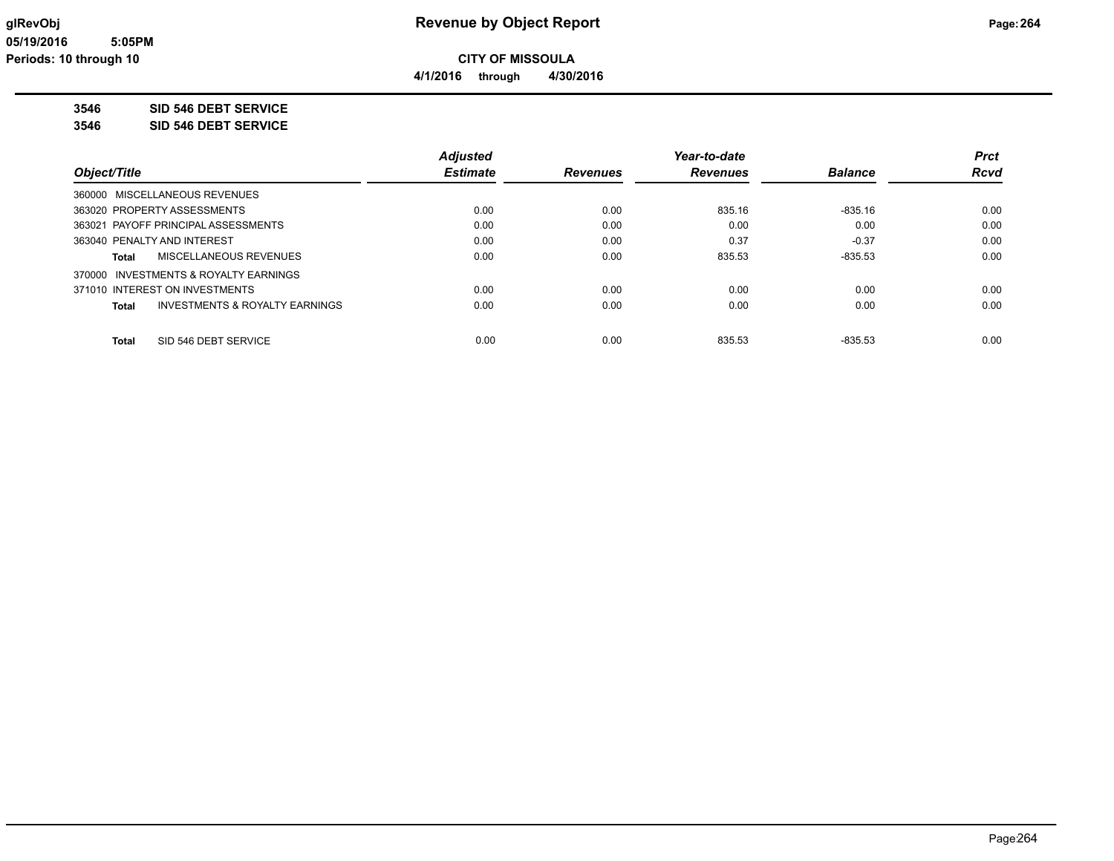**4/1/2016 through 4/30/2016**

**3546 SID 546 DEBT SERVICE**

**3546 SID 546 DEBT SERVICE**

|                                                    | <b>Adjusted</b> |                 | Year-to-date    |                | <b>Prct</b> |
|----------------------------------------------------|-----------------|-----------------|-----------------|----------------|-------------|
| Object/Title                                       | <b>Estimate</b> | <b>Revenues</b> | <b>Revenues</b> | <b>Balance</b> | <b>Rcvd</b> |
| 360000 MISCELLANEOUS REVENUES                      |                 |                 |                 |                |             |
| 363020 PROPERTY ASSESSMENTS                        | 0.00            | 0.00            | 835.16          | $-835.16$      | 0.00        |
| 363021 PAYOFF PRINCIPAL ASSESSMENTS                | 0.00            | 0.00            | 0.00            | 0.00           | 0.00        |
| 363040 PENALTY AND INTEREST                        | 0.00            | 0.00            | 0.37            | $-0.37$        | 0.00        |
| <b>MISCELLANEOUS REVENUES</b><br>Total             | 0.00            | 0.00            | 835.53          | $-835.53$      | 0.00        |
| 370000 INVESTMENTS & ROYALTY EARNINGS              |                 |                 |                 |                |             |
| 371010 INTEREST ON INVESTMENTS                     | 0.00            | 0.00            | 0.00            | 0.00           | 0.00        |
| <b>INVESTMENTS &amp; ROYALTY EARNINGS</b><br>Total | 0.00            | 0.00            | 0.00            | 0.00           | 0.00        |
| SID 546 DEBT SERVICE<br>Total                      | 0.00            | 0.00            | 835.53          | $-835.53$      | 0.00        |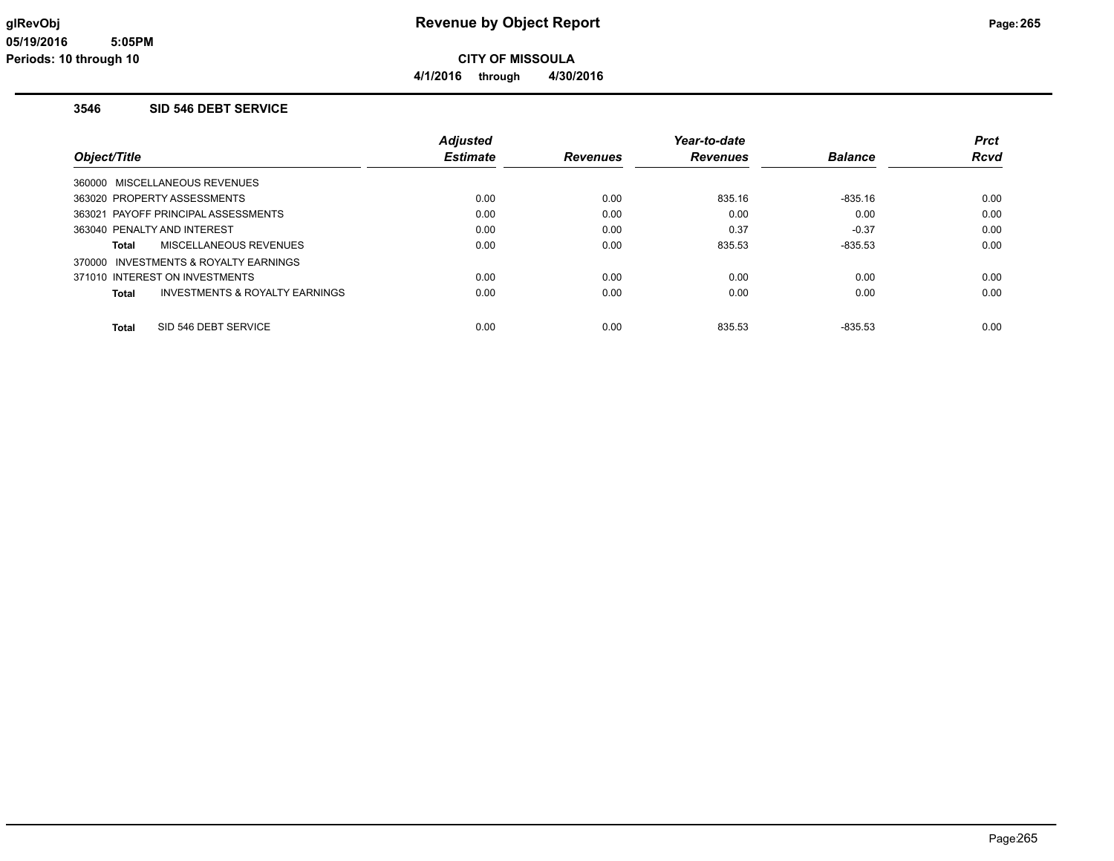**4/1/2016 through 4/30/2016**

### **3546 SID 546 DEBT SERVICE**

|                                         | <b>Adjusted</b> |                 | Year-to-date    |                | <b>Prct</b> |
|-----------------------------------------|-----------------|-----------------|-----------------|----------------|-------------|
| Object/Title                            | <b>Estimate</b> | <b>Revenues</b> | <b>Revenues</b> | <b>Balance</b> | <b>Rcvd</b> |
| 360000 MISCELLANEOUS REVENUES           |                 |                 |                 |                |             |
| 363020 PROPERTY ASSESSMENTS             | 0.00            | 0.00            | 835.16          | $-835.16$      | 0.00        |
| 363021 PAYOFF PRINCIPAL ASSESSMENTS     | 0.00            | 0.00            | 0.00            | 0.00           | 0.00        |
| 363040 PENALTY AND INTEREST             | 0.00            | 0.00            | 0.37            | $-0.37$        | 0.00        |
| MISCELLANEOUS REVENUES<br>Total         | 0.00            | 0.00            | 835.53          | $-835.53$      | 0.00        |
| 370000 INVESTMENTS & ROYALTY EARNINGS   |                 |                 |                 |                |             |
| 371010 INTEREST ON INVESTMENTS          | 0.00            | 0.00            | 0.00            | 0.00           | 0.00        |
| INVESTMENTS & ROYALTY EARNINGS<br>Total | 0.00            | 0.00            | 0.00            | 0.00           | 0.00        |
| SID 546 DEBT SERVICE<br>Total           | 0.00            | 0.00            | 835.53          | $-835.53$      | 0.00        |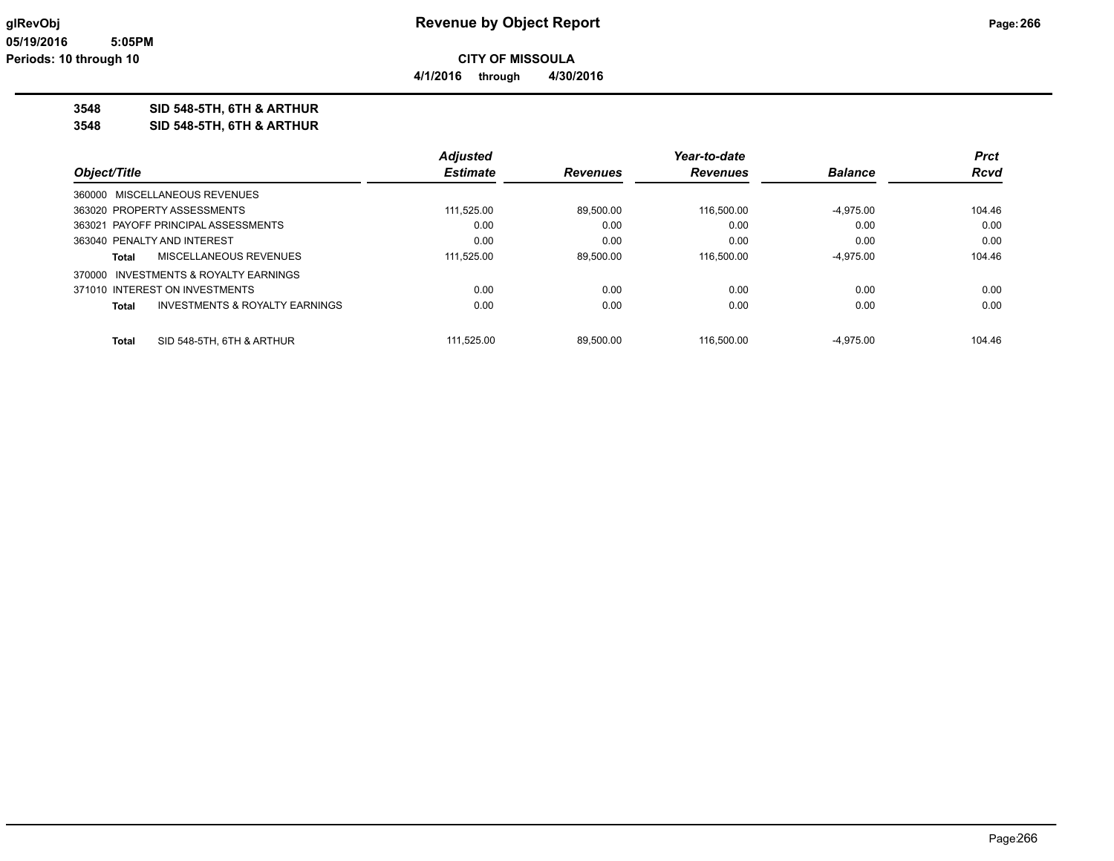**4/1/2016 through 4/30/2016**

**3548 SID 548-5TH, 6TH & ARTHUR**

**3548 SID 548-5TH, 6TH & ARTHUR**

|              |                                       | <b>Adjusted</b> |                 | Year-to-date   |             | <b>Prct</b> |
|--------------|---------------------------------------|-----------------|-----------------|----------------|-------------|-------------|
| Object/Title | <b>Estimate</b>                       | <b>Revenues</b> | <b>Revenues</b> | <b>Balance</b> | <b>Rcvd</b> |             |
|              | 360000 MISCELLANEOUS REVENUES         |                 |                 |                |             |             |
|              | 363020 PROPERTY ASSESSMENTS           | 111.525.00      | 89.500.00       | 116.500.00     | $-4.975.00$ | 104.46      |
|              | 363021 PAYOFF PRINCIPAL ASSESSMENTS   | 0.00            | 0.00            | 0.00           | 0.00        | 0.00        |
|              | 363040 PENALTY AND INTEREST           | 0.00            | 0.00            | 0.00           | 0.00        | 0.00        |
| Total        | MISCELLANEOUS REVENUES                | 111.525.00      | 89.500.00       | 116.500.00     | $-4.975.00$ | 104.46      |
|              | 370000 INVESTMENTS & ROYALTY EARNINGS |                 |                 |                |             |             |
|              | 371010 INTEREST ON INVESTMENTS        | 0.00            | 0.00            | 0.00           | 0.00        | 0.00        |
| Total        | INVESTMENTS & ROYALTY EARNINGS        | 0.00            | 0.00            | 0.00           | 0.00        | 0.00        |
| <b>Total</b> | SID 548-5TH, 6TH & ARTHUR             | 111.525.00      | 89.500.00       | 116.500.00     | $-4.975.00$ | 104.46      |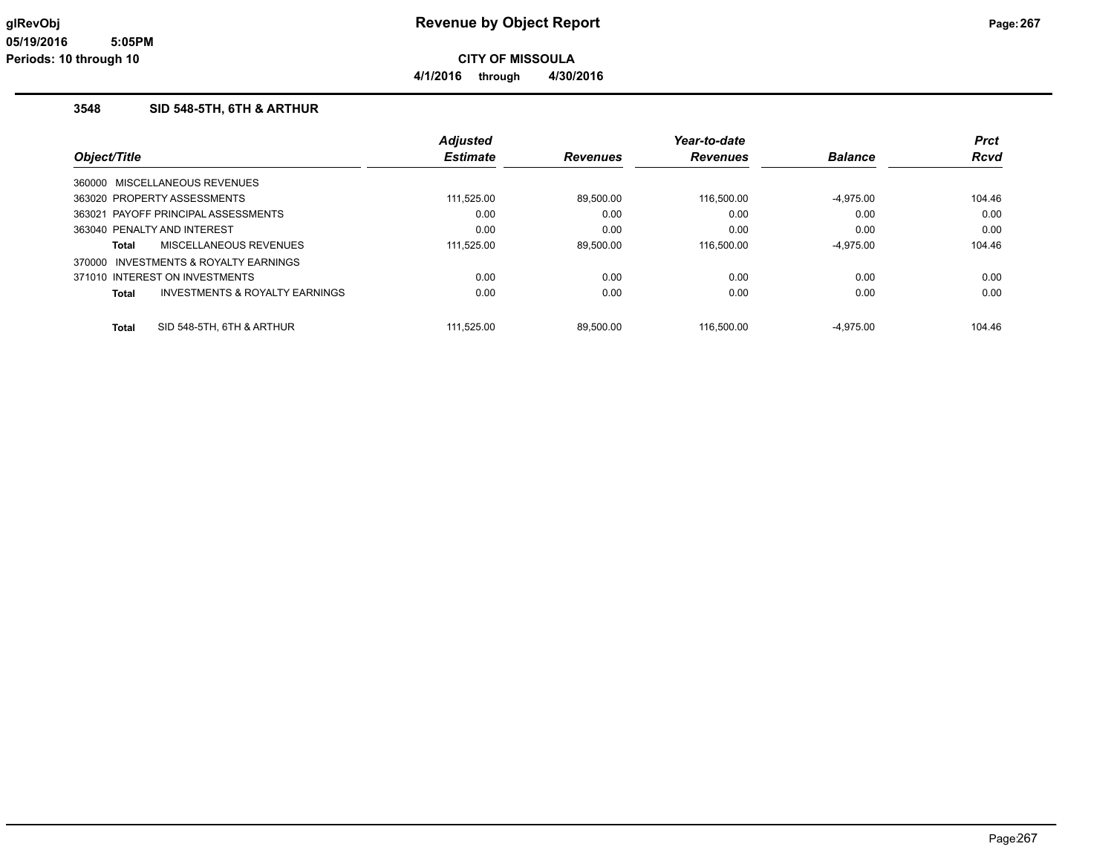**4/1/2016 through 4/30/2016**

### **3548 SID 548-5TH, 6TH & ARTHUR**

|                                                    | <b>Adjusted</b> |                 | Year-to-date    |                | <b>Prct</b> |
|----------------------------------------------------|-----------------|-----------------|-----------------|----------------|-------------|
| Object/Title                                       | <b>Estimate</b> | <b>Revenues</b> | <b>Revenues</b> | <b>Balance</b> | <b>Rcvd</b> |
| 360000 MISCELLANEOUS REVENUES                      |                 |                 |                 |                |             |
| 363020 PROPERTY ASSESSMENTS                        | 111.525.00      | 89.500.00       | 116.500.00      | $-4,975.00$    | 104.46      |
| 363021 PAYOFF PRINCIPAL ASSESSMENTS                | 0.00            | 0.00            | 0.00            | 0.00           | 0.00        |
| 363040 PENALTY AND INTEREST                        | 0.00            | 0.00            | 0.00            | 0.00           | 0.00        |
| MISCELLANEOUS REVENUES<br>Total                    | 111.525.00      | 89.500.00       | 116.500.00      | $-4.975.00$    | 104.46      |
| 370000 INVESTMENTS & ROYALTY EARNINGS              |                 |                 |                 |                |             |
| 371010 INTEREST ON INVESTMENTS                     | 0.00            | 0.00            | 0.00            | 0.00           | 0.00        |
| <b>INVESTMENTS &amp; ROYALTY EARNINGS</b><br>Total | 0.00            | 0.00            | 0.00            | 0.00           | 0.00        |
| SID 548-5TH, 6TH & ARTHUR<br>Total                 | 111.525.00      | 89.500.00       | 116.500.00      | $-4.975.00$    | 104.46      |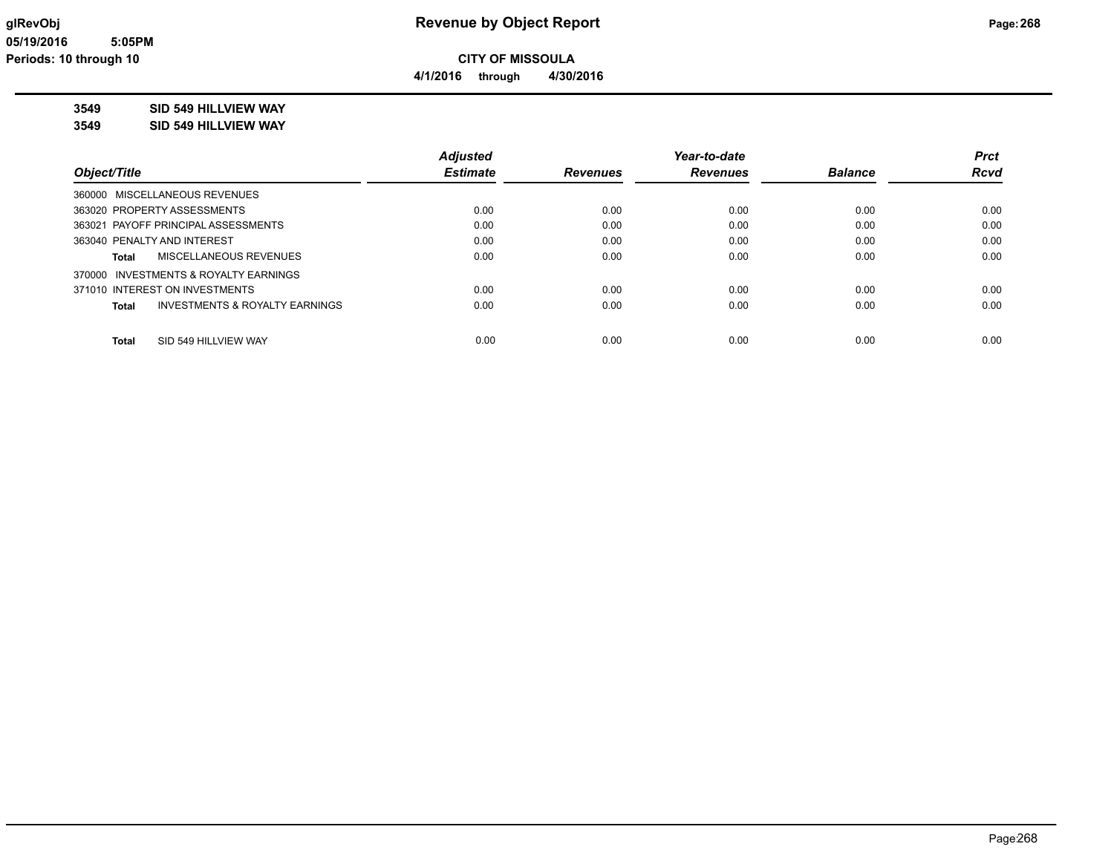**4/1/2016 through 4/30/2016**

# **3549 SID 549 HILLVIEW WAY**

**3549 SID 549 HILLVIEW WAY**

|                                         | <b>Adjusted</b> |                 | Year-to-date    |                | <b>Prct</b> |
|-----------------------------------------|-----------------|-----------------|-----------------|----------------|-------------|
| Object/Title                            | <b>Estimate</b> | <b>Revenues</b> | <b>Revenues</b> | <b>Balance</b> | <b>Rcvd</b> |
| 360000 MISCELLANEOUS REVENUES           |                 |                 |                 |                |             |
| 363020 PROPERTY ASSESSMENTS             | 0.00            | 0.00            | 0.00            | 0.00           | 0.00        |
| 363021 PAYOFF PRINCIPAL ASSESSMENTS     | 0.00            | 0.00            | 0.00            | 0.00           | 0.00        |
| 363040 PENALTY AND INTEREST             | 0.00            | 0.00            | 0.00            | 0.00           | 0.00        |
| MISCELLANEOUS REVENUES<br>Total         | 0.00            | 0.00            | 0.00            | 0.00           | 0.00        |
| 370000 INVESTMENTS & ROYALTY EARNINGS   |                 |                 |                 |                |             |
| 371010 INTEREST ON INVESTMENTS          | 0.00            | 0.00            | 0.00            | 0.00           | 0.00        |
| INVESTMENTS & ROYALTY EARNINGS<br>Total | 0.00            | 0.00            | 0.00            | 0.00           | 0.00        |
|                                         |                 |                 |                 |                |             |
| SID 549 HILLVIEW WAY<br><b>Total</b>    | 0.00            | 0.00            | 0.00            | 0.00           | 0.00        |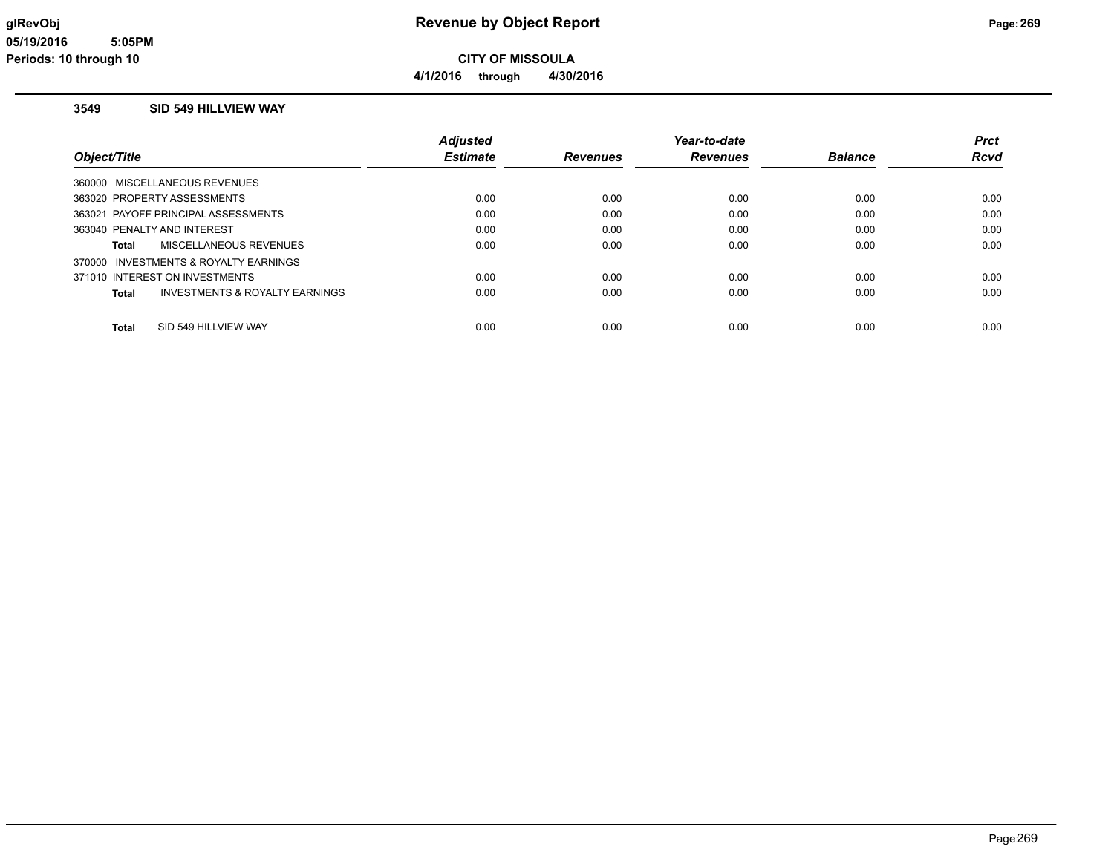**4/1/2016 through 4/30/2016**

#### **3549 SID 549 HILLVIEW WAY**

|                                         | <b>Adjusted</b> |                 | Year-to-date    |                | Prct        |
|-----------------------------------------|-----------------|-----------------|-----------------|----------------|-------------|
| Object/Title                            | <b>Estimate</b> | <b>Revenues</b> | <b>Revenues</b> | <b>Balance</b> | <b>Rcvd</b> |
| 360000 MISCELLANEOUS REVENUES           |                 |                 |                 |                |             |
| 363020 PROPERTY ASSESSMENTS             | 0.00            | 0.00            | 0.00            | 0.00           | 0.00        |
| 363021 PAYOFF PRINCIPAL ASSESSMENTS     | 0.00            | 0.00            | 0.00            | 0.00           | 0.00        |
| 363040 PENALTY AND INTEREST             | 0.00            | 0.00            | 0.00            | 0.00           | 0.00        |
| <b>MISCELLANEOUS REVENUES</b><br>Total  | 0.00            | 0.00            | 0.00            | 0.00           | 0.00        |
| 370000 INVESTMENTS & ROYALTY EARNINGS   |                 |                 |                 |                |             |
| 371010 INTEREST ON INVESTMENTS          | 0.00            | 0.00            | 0.00            | 0.00           | 0.00        |
| INVESTMENTS & ROYALTY EARNINGS<br>Total | 0.00            | 0.00            | 0.00            | 0.00           | 0.00        |
|                                         |                 |                 |                 |                |             |
| SID 549 HILLVIEW WAY<br>Total           | 0.00            | 0.00            | 0.00            | 0.00           | 0.00        |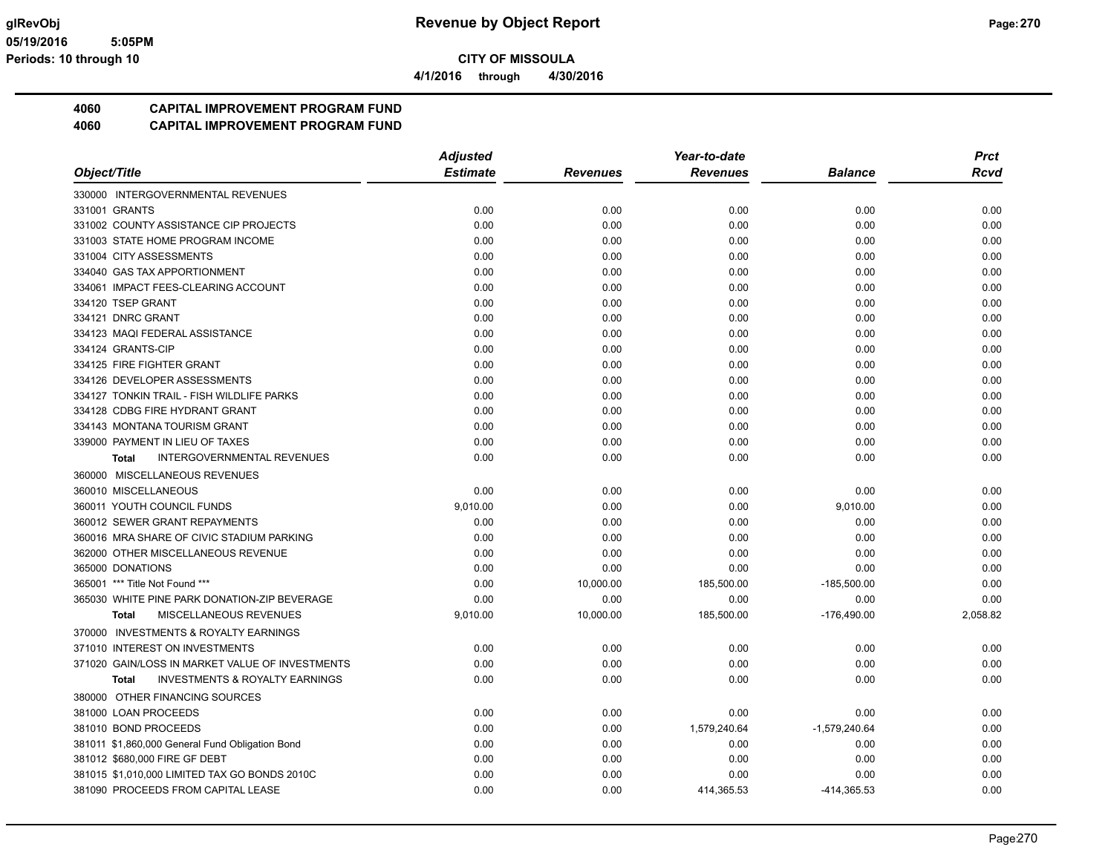**4/1/2016 through 4/30/2016**

# **4060 CAPITAL IMPROVEMENT PROGRAM FUND**

|                                                           | <b>Adjusted</b> |                 | Year-to-date    |                 | <b>Prct</b> |
|-----------------------------------------------------------|-----------------|-----------------|-----------------|-----------------|-------------|
| Object/Title                                              | <b>Estimate</b> | <b>Revenues</b> | <b>Revenues</b> | <b>Balance</b>  | <b>Rcvd</b> |
| 330000 INTERGOVERNMENTAL REVENUES                         |                 |                 |                 |                 |             |
| 331001 GRANTS                                             | 0.00            | 0.00            | 0.00            | 0.00            | 0.00        |
| 331002 COUNTY ASSISTANCE CIP PROJECTS                     | 0.00            | 0.00            | 0.00            | 0.00            | 0.00        |
| 331003 STATE HOME PROGRAM INCOME                          | 0.00            | 0.00            | 0.00            | 0.00            | 0.00        |
| 331004 CITY ASSESSMENTS                                   | 0.00            | 0.00            | 0.00            | 0.00            | 0.00        |
| 334040 GAS TAX APPORTIONMENT                              | 0.00            | 0.00            | 0.00            | 0.00            | 0.00        |
| 334061 IMPACT FEES-CLEARING ACCOUNT                       | 0.00            | 0.00            | 0.00            | 0.00            | 0.00        |
| 334120 TSEP GRANT                                         | 0.00            | 0.00            | 0.00            | 0.00            | 0.00        |
| 334121 DNRC GRANT                                         | 0.00            | 0.00            | 0.00            | 0.00            | 0.00        |
| 334123 MAQI FEDERAL ASSISTANCE                            | 0.00            | 0.00            | 0.00            | 0.00            | 0.00        |
| 334124 GRANTS-CIP                                         | 0.00            | 0.00            | 0.00            | 0.00            | 0.00        |
| 334125 FIRE FIGHTER GRANT                                 | 0.00            | 0.00            | 0.00            | 0.00            | 0.00        |
| 334126 DEVELOPER ASSESSMENTS                              | 0.00            | 0.00            | 0.00            | 0.00            | 0.00        |
| 334127 TONKIN TRAIL - FISH WILDLIFE PARKS                 | 0.00            | 0.00            | 0.00            | 0.00            | 0.00        |
| 334128 CDBG FIRE HYDRANT GRANT                            | 0.00            | 0.00            | 0.00            | 0.00            | 0.00        |
| 334143 MONTANA TOURISM GRANT                              | 0.00            | 0.00            | 0.00            | 0.00            | 0.00        |
| 339000 PAYMENT IN LIEU OF TAXES                           | 0.00            | 0.00            | 0.00            | 0.00            | 0.00        |
| <b>INTERGOVERNMENTAL REVENUES</b><br>Total                | 0.00            | 0.00            | 0.00            | 0.00            | 0.00        |
| 360000 MISCELLANEOUS REVENUES                             |                 |                 |                 |                 |             |
| 360010 MISCELLANEOUS                                      | 0.00            | 0.00            | 0.00            | 0.00            | 0.00        |
| 360011 YOUTH COUNCIL FUNDS                                | 9,010.00        | 0.00            | 0.00            | 9,010.00        | 0.00        |
| 360012 SEWER GRANT REPAYMENTS                             | 0.00            | 0.00            | 0.00            | 0.00            | 0.00        |
| 360016 MRA SHARE OF CIVIC STADIUM PARKING                 | 0.00            | 0.00            | 0.00            | 0.00            | 0.00        |
| 362000 OTHER MISCELLANEOUS REVENUE                        | 0.00            | 0.00            | 0.00            | 0.00            | 0.00        |
| 365000 DONATIONS                                          | 0.00            | 0.00            | 0.00            | 0.00            | 0.00        |
| 365001 *** Title Not Found ***                            | 0.00            | 10,000.00       | 185,500.00      | $-185,500.00$   | 0.00        |
| 365030 WHITE PINE PARK DONATION-ZIP BEVERAGE              | 0.00            | 0.00            | 0.00            | 0.00            | 0.00        |
| MISCELLANEOUS REVENUES<br>Total                           | 9,010.00        | 10,000.00       | 185,500.00      | $-176,490.00$   | 2,058.82    |
| 370000 INVESTMENTS & ROYALTY EARNINGS                     |                 |                 |                 |                 |             |
| 371010 INTEREST ON INVESTMENTS                            | 0.00            | 0.00            | 0.00            | 0.00            | 0.00        |
| 371020 GAIN/LOSS IN MARKET VALUE OF INVESTMENTS           | 0.00            | 0.00            | 0.00            | 0.00            | 0.00        |
| <b>INVESTMENTS &amp; ROYALTY EARNINGS</b><br><b>Total</b> | 0.00            | 0.00            | 0.00            | 0.00            | 0.00        |
| 380000 OTHER FINANCING SOURCES                            |                 |                 |                 |                 |             |
| 381000 LOAN PROCEEDS                                      | 0.00            | 0.00            | 0.00            | 0.00            | 0.00        |
| 381010 BOND PROCEEDS                                      | 0.00            | 0.00            | 1,579,240.64    | $-1,579,240.64$ | 0.00        |
| 381011 \$1,860,000 General Fund Obligation Bond           | 0.00            | 0.00            | 0.00            | 0.00            | 0.00        |
| 381012 \$680,000 FIRE GF DEBT                             | 0.00            | 0.00            | 0.00            | 0.00            | 0.00        |
| 381015 \$1,010,000 LIMITED TAX GO BONDS 2010C             | 0.00            | 0.00            | 0.00            | 0.00            | 0.00        |
| 381090 PROCEEDS FROM CAPITAL LEASE                        | 0.00            | 0.00            | 414.365.53      | -414.365.53     | 0.00        |
|                                                           |                 |                 |                 |                 |             |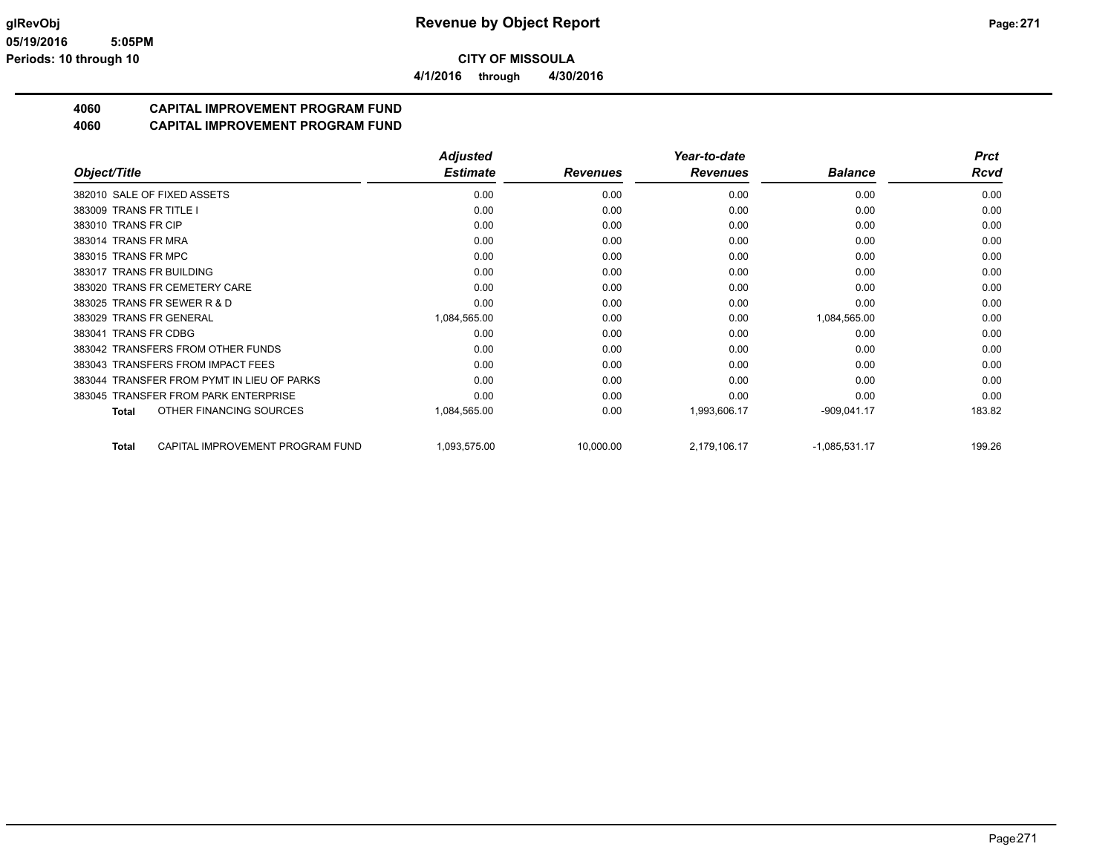**4/1/2016 through 4/30/2016**

# **4060 CAPITAL IMPROVEMENT PROGRAM FUND**

|                                                  | <b>Adjusted</b> |                 | Year-to-date    |                 | <b>Prct</b> |
|--------------------------------------------------|-----------------|-----------------|-----------------|-----------------|-------------|
| Object/Title                                     | <b>Estimate</b> | <b>Revenues</b> | <b>Revenues</b> | <b>Balance</b>  | Rcvd        |
| 382010 SALE OF FIXED ASSETS                      | 0.00            | 0.00            | 0.00            | 0.00            | 0.00        |
| 383009 TRANS FR TITLE I                          | 0.00            | 0.00            | 0.00            | 0.00            | 0.00        |
| 383010 TRANS FR CIP                              | 0.00            | 0.00            | 0.00            | 0.00            | 0.00        |
| 383014 TRANS FR MRA                              | 0.00            | 0.00            | 0.00            | 0.00            | 0.00        |
| 383015 TRANS FR MPC                              | 0.00            | 0.00            | 0.00            | 0.00            | 0.00        |
| 383017 TRANS FR BUILDING                         | 0.00            | 0.00            | 0.00            | 0.00            | 0.00        |
| 383020 TRANS FR CEMETERY CARE                    | 0.00            | 0.00            | 0.00            | 0.00            | 0.00        |
| 383025 TRANS FR SEWER R & D                      | 0.00            | 0.00            | 0.00            | 0.00            | 0.00        |
| 383029 TRANS FR GENERAL                          | 1,084,565.00    | 0.00            | 0.00            | 1,084,565.00    | 0.00        |
| 383041 TRANS FR CDBG                             | 0.00            | 0.00            | 0.00            | 0.00            | 0.00        |
| 383042 TRANSFERS FROM OTHER FUNDS                | 0.00            | 0.00            | 0.00            | 0.00            | 0.00        |
| 383043 TRANSFERS FROM IMPACT FEES                | 0.00            | 0.00            | 0.00            | 0.00            | 0.00        |
| 383044 TRANSFER FROM PYMT IN LIEU OF PARKS       | 0.00            | 0.00            | 0.00            | 0.00            | 0.00        |
| 383045 TRANSFER FROM PARK ENTERPRISE             | 0.00            | 0.00            | 0.00            | 0.00            | 0.00        |
| OTHER FINANCING SOURCES<br>Total                 | 1,084,565.00    | 0.00            | 1,993,606.17    | $-909,041.17$   | 183.82      |
| CAPITAL IMPROVEMENT PROGRAM FUND<br><b>Total</b> | 1,093,575.00    | 10,000.00       | 2,179,106.17    | $-1,085,531.17$ | 199.26      |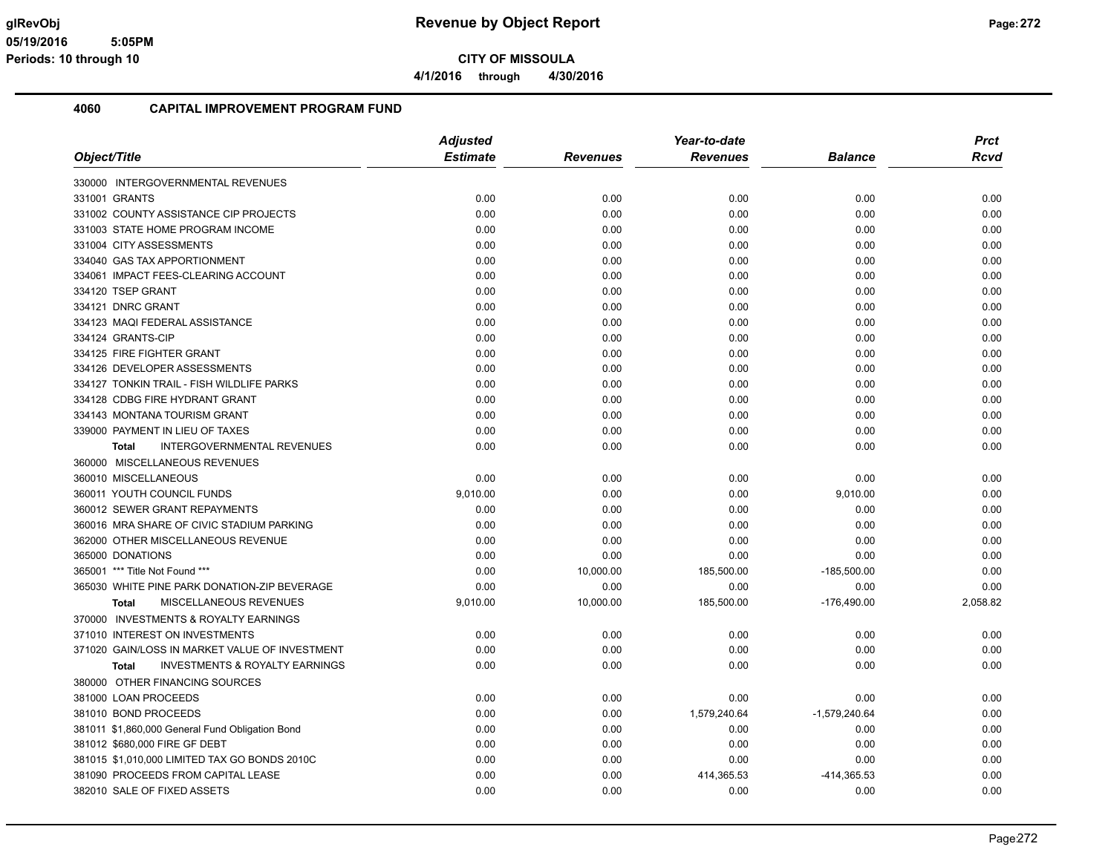**4/1/2016 through 4/30/2016**

|                                                    | <b>Adjusted</b> |                 | Year-to-date    | <b>Prct</b>     |          |
|----------------------------------------------------|-----------------|-----------------|-----------------|-----------------|----------|
| Object/Title                                       | <b>Estimate</b> | <b>Revenues</b> | <b>Revenues</b> | <b>Balance</b>  | Rcvd     |
| 330000 INTERGOVERNMENTAL REVENUES                  |                 |                 |                 |                 |          |
| 331001 GRANTS                                      | 0.00            | 0.00            | 0.00            | 0.00            | 0.00     |
| 331002 COUNTY ASSISTANCE CIP PROJECTS              | 0.00            | 0.00            | 0.00            | 0.00            | 0.00     |
| 331003 STATE HOME PROGRAM INCOME                   | 0.00            | 0.00            | 0.00            | 0.00            | 0.00     |
| 331004 CITY ASSESSMENTS                            | 0.00            | 0.00            | 0.00            | 0.00            | 0.00     |
| 334040 GAS TAX APPORTIONMENT                       | 0.00            | 0.00            | 0.00            | 0.00            | 0.00     |
| 334061 IMPACT FEES-CLEARING ACCOUNT                | 0.00            | 0.00            | 0.00            | 0.00            | 0.00     |
| 334120 TSEP GRANT                                  | 0.00            | 0.00            | 0.00            | 0.00            | 0.00     |
| 334121 DNRC GRANT                                  | 0.00            | 0.00            | 0.00            | 0.00            | 0.00     |
| 334123 MAQI FEDERAL ASSISTANCE                     | 0.00            | 0.00            | 0.00            | 0.00            | 0.00     |
| 334124 GRANTS-CIP                                  | 0.00            | 0.00            | 0.00            | 0.00            | 0.00     |
| 334125 FIRE FIGHTER GRANT                          | 0.00            | 0.00            | 0.00            | 0.00            | 0.00     |
| 334126 DEVELOPER ASSESSMENTS                       | 0.00            | 0.00            | 0.00            | 0.00            | 0.00     |
| 334127 TONKIN TRAIL - FISH WILDLIFE PARKS          | 0.00            | 0.00            | 0.00            | 0.00            | 0.00     |
| 334128 CDBG FIRE HYDRANT GRANT                     | 0.00            | 0.00            | 0.00            | 0.00            | 0.00     |
| 334143 MONTANA TOURISM GRANT                       | 0.00            | 0.00            | 0.00            | 0.00            | 0.00     |
| 339000 PAYMENT IN LIEU OF TAXES                    | 0.00            | 0.00            | 0.00            | 0.00            | 0.00     |
| <b>INTERGOVERNMENTAL REVENUES</b><br><b>Total</b>  | 0.00            | 0.00            | 0.00            | 0.00            | 0.00     |
| 360000 MISCELLANEOUS REVENUES                      |                 |                 |                 |                 |          |
| 360010 MISCELLANEOUS                               | 0.00            | 0.00            | 0.00            | 0.00            | 0.00     |
| 360011 YOUTH COUNCIL FUNDS                         | 9,010.00        | 0.00            | 0.00            | 9,010.00        | 0.00     |
| 360012 SEWER GRANT REPAYMENTS                      | 0.00            | 0.00            | 0.00            | 0.00            | 0.00     |
| 360016 MRA SHARE OF CIVIC STADIUM PARKING          | 0.00            | 0.00            | 0.00            | 0.00            | 0.00     |
| 362000 OTHER MISCELLANEOUS REVENUE                 | 0.00            | 0.00            | 0.00            | 0.00            | 0.00     |
| 365000 DONATIONS                                   | 0.00            | 0.00            | 0.00            | 0.00            | 0.00     |
| 365001 *** Title Not Found ***                     | 0.00            | 10,000.00       | 185,500.00      | $-185,500.00$   | 0.00     |
| 365030 WHITE PINE PARK DONATION-ZIP BEVERAGE       | 0.00            | 0.00            | 0.00            | 0.00            | 0.00     |
| MISCELLANEOUS REVENUES<br><b>Total</b>             | 9,010.00        | 10,000.00       | 185,500.00      | $-176,490.00$   | 2,058.82 |
| 370000 INVESTMENTS & ROYALTY EARNINGS              |                 |                 |                 |                 |          |
| 371010 INTEREST ON INVESTMENTS                     | 0.00            | 0.00            | 0.00            | 0.00            | 0.00     |
| 371020 GAIN/LOSS IN MARKET VALUE OF INVESTMENT     | 0.00            | 0.00            | 0.00            | 0.00            | 0.00     |
| <b>INVESTMENTS &amp; ROYALTY EARNINGS</b><br>Total | 0.00            | 0.00            | 0.00            | 0.00            | 0.00     |
| 380000 OTHER FINANCING SOURCES                     |                 |                 |                 |                 |          |
| 381000 LOAN PROCEEDS                               | 0.00            | 0.00            | 0.00            | 0.00            | 0.00     |
| 381010 BOND PROCEEDS                               | 0.00            | 0.00            | 1,579,240.64    | $-1,579,240.64$ | 0.00     |
| 381011 \$1,860,000 General Fund Obligation Bond    | 0.00            | 0.00            | 0.00            | 0.00            | 0.00     |
| 381012 \$680,000 FIRE GF DEBT                      | 0.00            | 0.00            | 0.00            | 0.00            | 0.00     |
| 381015 \$1,010,000 LIMITED TAX GO BONDS 2010C      | 0.00            | 0.00            | 0.00            | 0.00            | 0.00     |
| 381090 PROCEEDS FROM CAPITAL LEASE                 | 0.00            | 0.00            | 414,365.53      | -414,365.53     | 0.00     |
| 382010 SALE OF FIXED ASSETS                        | 0.00            | 0.00            | 0.00            | 0.00            | 0.00     |
|                                                    |                 |                 |                 |                 |          |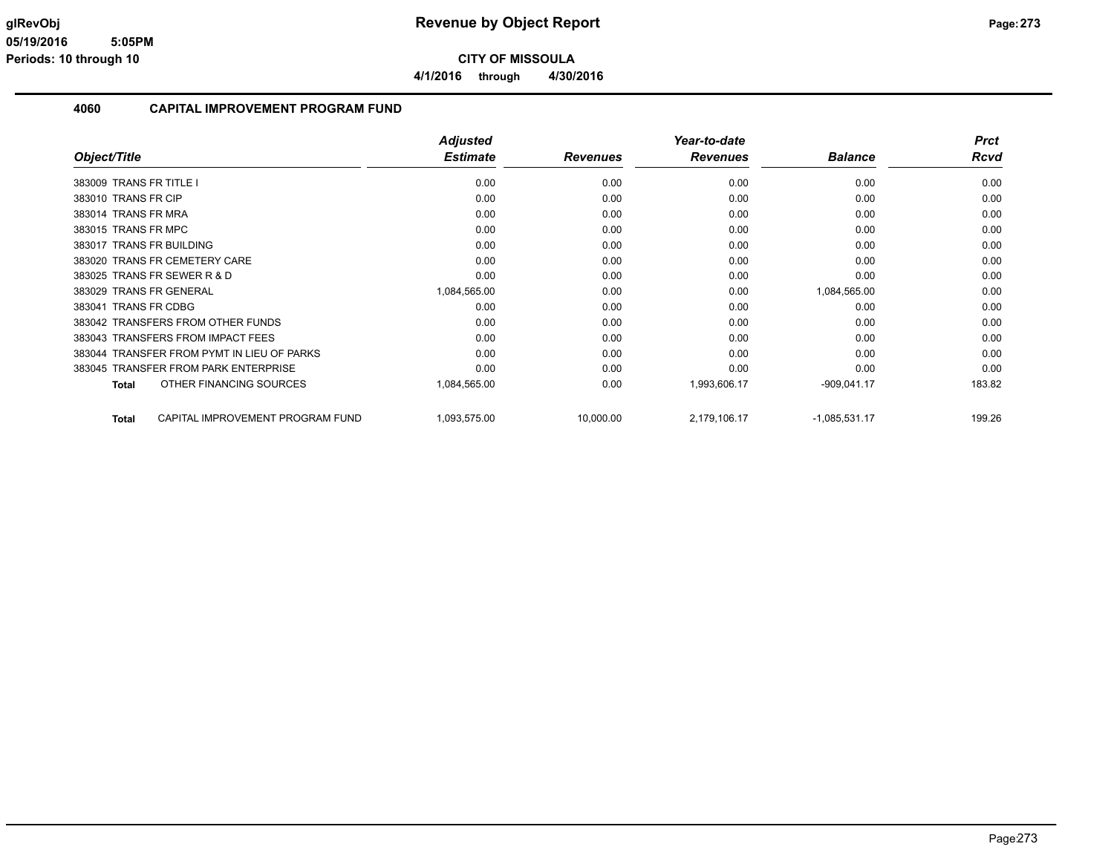**4/1/2016 through 4/30/2016**

|                                                  | <b>Adjusted</b> |                 | Year-to-date    |                 | <b>Prct</b> |
|--------------------------------------------------|-----------------|-----------------|-----------------|-----------------|-------------|
| Object/Title                                     | <b>Estimate</b> | <b>Revenues</b> | <b>Revenues</b> | <b>Balance</b>  | Rcvd        |
| 383009 TRANS FR TITLE I                          | 0.00            | 0.00            | 0.00            | 0.00            | 0.00        |
| 383010 TRANS FR CIP                              | 0.00            | 0.00            | 0.00            | 0.00            | 0.00        |
| 383014 TRANS FR MRA                              | 0.00            | 0.00            | 0.00            | 0.00            | 0.00        |
| 383015 TRANS FR MPC                              | 0.00            | 0.00            | 0.00            | 0.00            | 0.00        |
| 383017 TRANS FR BUILDING                         | 0.00            | 0.00            | 0.00            | 0.00            | 0.00        |
| 383020 TRANS FR CEMETERY CARE                    | 0.00            | 0.00            | 0.00            | 0.00            | 0.00        |
| 383025 TRANS FR SEWER R & D                      | 0.00            | 0.00            | 0.00            | 0.00            | 0.00        |
| 383029 TRANS FR GENERAL                          | 1,084,565.00    | 0.00            | 0.00            | 1,084,565.00    | 0.00        |
| 383041 TRANS FR CDBG                             | 0.00            | 0.00            | 0.00            | 0.00            | 0.00        |
| 383042 TRANSFERS FROM OTHER FUNDS                | 0.00            | 0.00            | 0.00            | 0.00            | 0.00        |
| 383043 TRANSFERS FROM IMPACT FEES                | 0.00            | 0.00            | 0.00            | 0.00            | 0.00        |
| 383044 TRANSFER FROM PYMT IN LIEU OF PARKS       | 0.00            | 0.00            | 0.00            | 0.00            | 0.00        |
| 383045 TRANSFER FROM PARK ENTERPRISE             | 0.00            | 0.00            | 0.00            | 0.00            | 0.00        |
| OTHER FINANCING SOURCES<br><b>Total</b>          | 1,084,565.00    | 0.00            | 1,993,606.17    | $-909,041.17$   | 183.82      |
| CAPITAL IMPROVEMENT PROGRAM FUND<br><b>Total</b> | 1,093,575.00    | 10,000.00       | 2,179,106.17    | $-1,085,531.17$ | 199.26      |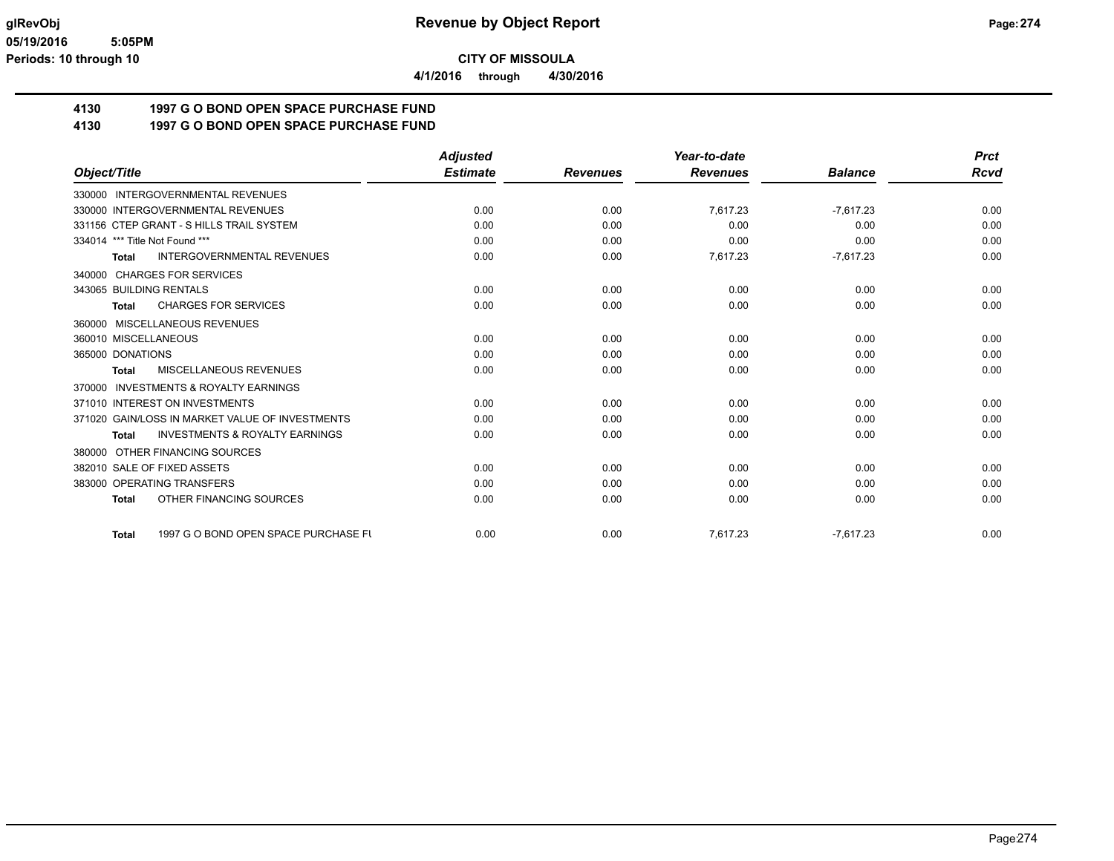**4/1/2016 through 4/30/2016**

## **4130 1997 G O BOND OPEN SPACE PURCHASE FUND**

**4130 1997 G O BOND OPEN SPACE PURCHASE FUND**

|                                                           | <b>Adjusted</b> |                 | Year-to-date    |                | <b>Prct</b> |
|-----------------------------------------------------------|-----------------|-----------------|-----------------|----------------|-------------|
| Object/Title                                              | <b>Estimate</b> | <b>Revenues</b> | <b>Revenues</b> | <b>Balance</b> | <b>Rcvd</b> |
| 330000 INTERGOVERNMENTAL REVENUES                         |                 |                 |                 |                |             |
| 330000 INTERGOVERNMENTAL REVENUES                         | 0.00            | 0.00            | 7,617.23        | $-7,617.23$    | 0.00        |
| 331156 CTEP GRANT - S HILLS TRAIL SYSTEM                  | 0.00            | 0.00            | 0.00            | 0.00           | 0.00        |
| 334014 *** Title Not Found ***                            | 0.00            | 0.00            | 0.00            | 0.00           | 0.00        |
| <b>INTERGOVERNMENTAL REVENUES</b><br><b>Total</b>         | 0.00            | 0.00            | 7,617.23        | $-7,617.23$    | 0.00        |
| <b>CHARGES FOR SERVICES</b><br>340000                     |                 |                 |                 |                |             |
| 343065 BUILDING RENTALS                                   | 0.00            | 0.00            | 0.00            | 0.00           | 0.00        |
| <b>CHARGES FOR SERVICES</b><br><b>Total</b>               | 0.00            | 0.00            | 0.00            | 0.00           | 0.00        |
| 360000 MISCELLANEOUS REVENUES                             |                 |                 |                 |                |             |
| 360010 MISCELLANEOUS                                      | 0.00            | 0.00            | 0.00            | 0.00           | 0.00        |
| 365000 DONATIONS                                          | 0.00            | 0.00            | 0.00            | 0.00           | 0.00        |
| MISCELLANEOUS REVENUES<br><b>Total</b>                    | 0.00            | 0.00            | 0.00            | 0.00           | 0.00        |
| <b>INVESTMENTS &amp; ROYALTY EARNINGS</b><br>370000       |                 |                 |                 |                |             |
| 371010 INTEREST ON INVESTMENTS                            | 0.00            | 0.00            | 0.00            | 0.00           | 0.00        |
| 371020 GAIN/LOSS IN MARKET VALUE OF INVESTMENTS           | 0.00            | 0.00            | 0.00            | 0.00           | 0.00        |
| <b>INVESTMENTS &amp; ROYALTY EARNINGS</b><br><b>Total</b> | 0.00            | 0.00            | 0.00            | 0.00           | 0.00        |
| OTHER FINANCING SOURCES<br>380000                         |                 |                 |                 |                |             |
| 382010 SALE OF FIXED ASSETS                               | 0.00            | 0.00            | 0.00            | 0.00           | 0.00        |
| 383000 OPERATING TRANSFERS                                | 0.00            | 0.00            | 0.00            | 0.00           | 0.00        |
| OTHER FINANCING SOURCES<br><b>Total</b>                   | 0.00            | 0.00            | 0.00            | 0.00           | 0.00        |
| 1997 G O BOND OPEN SPACE PURCHASE FU<br>Total             | 0.00            | 0.00            | 7,617.23        | $-7,617.23$    | 0.00        |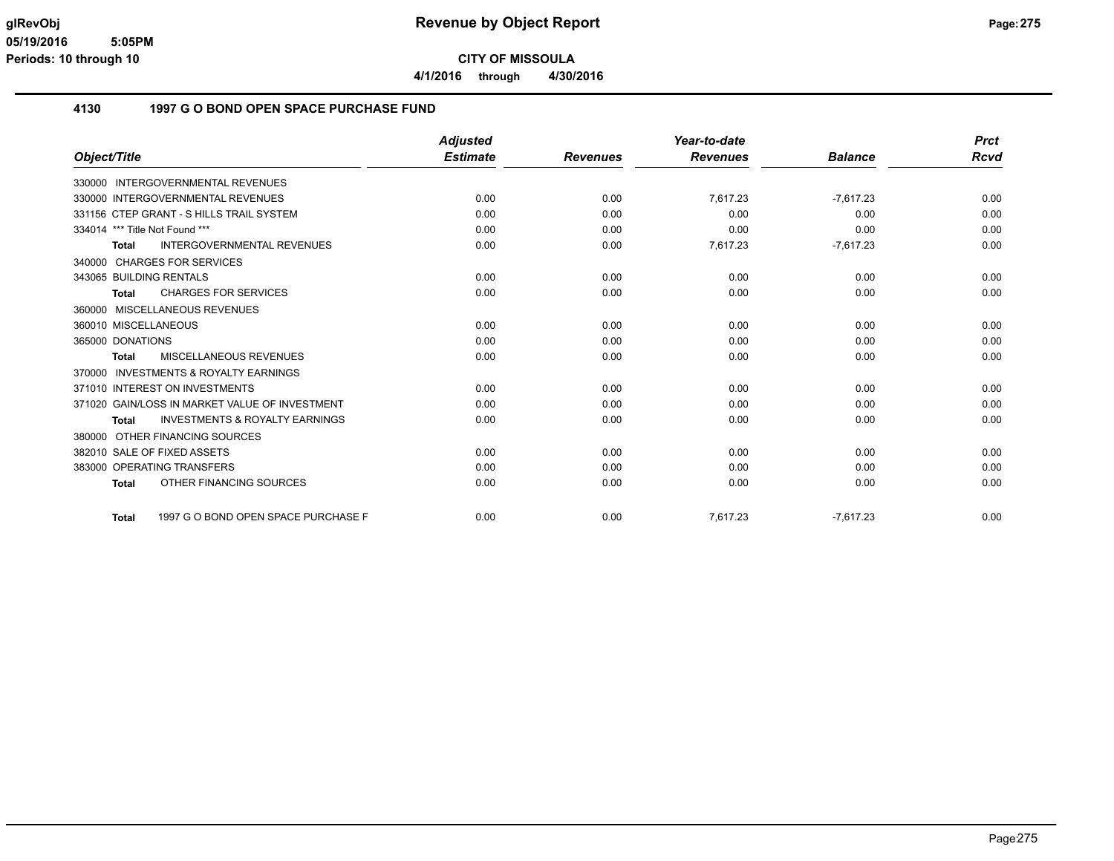**4/1/2016 through 4/30/2016**

### **4130 1997 G O BOND OPEN SPACE PURCHASE FUND**

|                                                           | <b>Adjusted</b> |                 | Year-to-date    |                | <b>Prct</b> |
|-----------------------------------------------------------|-----------------|-----------------|-----------------|----------------|-------------|
| Object/Title                                              | <b>Estimate</b> | <b>Revenues</b> | <b>Revenues</b> | <b>Balance</b> | <b>Rcvd</b> |
| 330000 INTERGOVERNMENTAL REVENUES                         |                 |                 |                 |                |             |
| 330000 INTERGOVERNMENTAL REVENUES                         | 0.00            | 0.00            | 7,617.23        | $-7.617.23$    | 0.00        |
| 331156 CTEP GRANT - S HILLS TRAIL SYSTEM                  | 0.00            | 0.00            | 0.00            | 0.00           | 0.00        |
| 334014 *** Title Not Found ***                            | 0.00            | 0.00            | 0.00            | 0.00           | 0.00        |
| <b>INTERGOVERNMENTAL REVENUES</b><br><b>Total</b>         | 0.00            | 0.00            | 7,617.23        | $-7,617.23$    | 0.00        |
| 340000 CHARGES FOR SERVICES                               |                 |                 |                 |                |             |
| 343065 BUILDING RENTALS                                   | 0.00            | 0.00            | 0.00            | 0.00           | 0.00        |
| <b>CHARGES FOR SERVICES</b><br><b>Total</b>               | 0.00            | 0.00            | 0.00            | 0.00           | 0.00        |
| 360000 MISCELLANEOUS REVENUES                             |                 |                 |                 |                |             |
| 360010 MISCELLANEOUS                                      | 0.00            | 0.00            | 0.00            | 0.00           | 0.00        |
| 365000 DONATIONS                                          | 0.00            | 0.00            | 0.00            | 0.00           | 0.00        |
| MISCELLANEOUS REVENUES<br>Total                           | 0.00            | 0.00            | 0.00            | 0.00           | 0.00        |
| 370000 INVESTMENTS & ROYALTY EARNINGS                     |                 |                 |                 |                |             |
| 371010 INTEREST ON INVESTMENTS                            | 0.00            | 0.00            | 0.00            | 0.00           | 0.00        |
| 371020 GAIN/LOSS IN MARKET VALUE OF INVESTMENT            | 0.00            | 0.00            | 0.00            | 0.00           | 0.00        |
| <b>INVESTMENTS &amp; ROYALTY EARNINGS</b><br><b>Total</b> | 0.00            | 0.00            | 0.00            | 0.00           | 0.00        |
| 380000 OTHER FINANCING SOURCES                            |                 |                 |                 |                |             |
| 382010 SALE OF FIXED ASSETS                               | 0.00            | 0.00            | 0.00            | 0.00           | 0.00        |
| 383000 OPERATING TRANSFERS                                | 0.00            | 0.00            | 0.00            | 0.00           | 0.00        |
| OTHER FINANCING SOURCES<br><b>Total</b>                   | 0.00            | 0.00            | 0.00            | 0.00           | 0.00        |
| 1997 G O BOND OPEN SPACE PURCHASE F<br>Total              | 0.00            | 0.00            | 7.617.23        | $-7.617.23$    | 0.00        |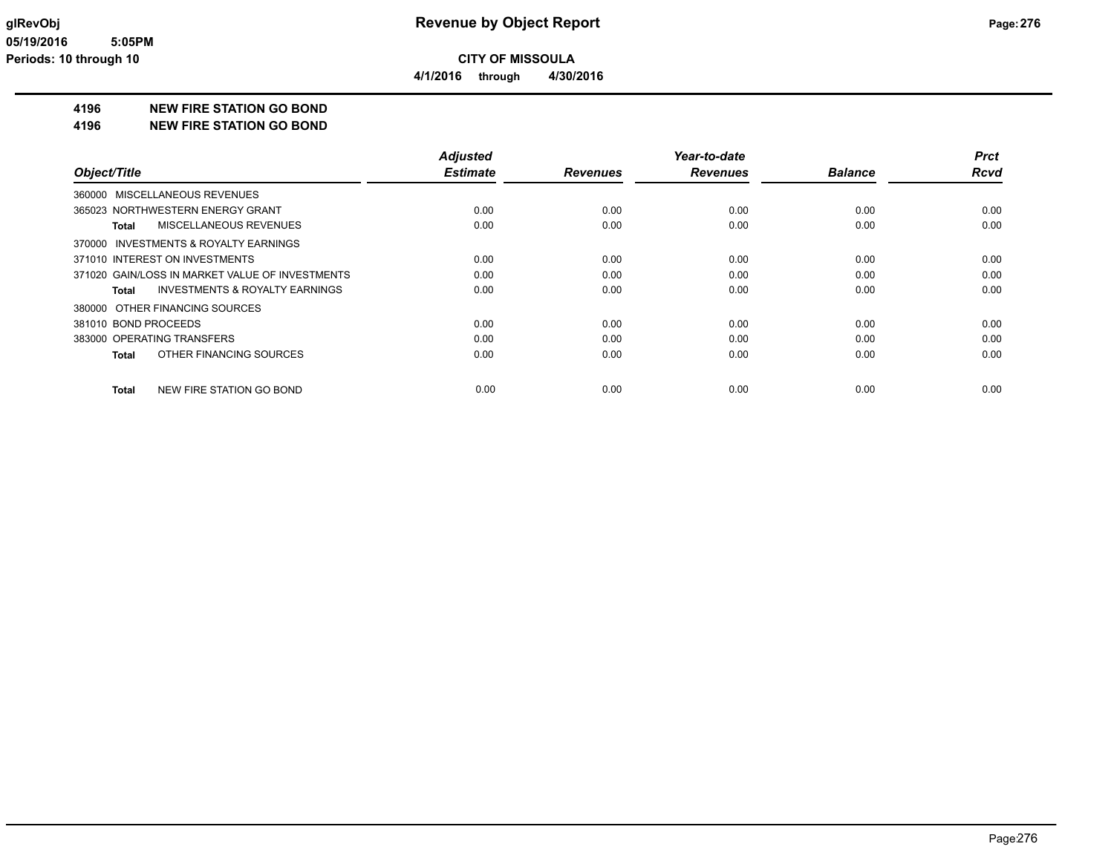### **4196 NEW FIRE STATION GO BOND**

**4196 NEW FIRE STATION GO BOND**

|                                                    | <b>Adjusted</b> |                 | Year-to-date    |                | <b>Prct</b> |
|----------------------------------------------------|-----------------|-----------------|-----------------|----------------|-------------|
| Object/Title                                       | <b>Estimate</b> | <b>Revenues</b> | <b>Revenues</b> | <b>Balance</b> | <b>Rcvd</b> |
| 360000 MISCELLANEOUS REVENUES                      |                 |                 |                 |                |             |
| 365023 NORTHWESTERN ENERGY GRANT                   | 0.00            | 0.00            | 0.00            | 0.00           | 0.00        |
| MISCELLANEOUS REVENUES<br>Total                    | 0.00            | 0.00            | 0.00            | 0.00           | 0.00        |
| 370000 INVESTMENTS & ROYALTY EARNINGS              |                 |                 |                 |                |             |
| 371010 INTEREST ON INVESTMENTS                     | 0.00            | 0.00            | 0.00            | 0.00           | 0.00        |
| 371020 GAIN/LOSS IN MARKET VALUE OF INVESTMENTS    | 0.00            | 0.00            | 0.00            | 0.00           | 0.00        |
| <b>INVESTMENTS &amp; ROYALTY EARNINGS</b><br>Total | 0.00            | 0.00            | 0.00            | 0.00           | 0.00        |
| 380000 OTHER FINANCING SOURCES                     |                 |                 |                 |                |             |
| 381010 BOND PROCEEDS                               | 0.00            | 0.00            | 0.00            | 0.00           | 0.00        |
| 383000 OPERATING TRANSFERS                         | 0.00            | 0.00            | 0.00            | 0.00           | 0.00        |
| OTHER FINANCING SOURCES<br><b>Total</b>            | 0.00            | 0.00            | 0.00            | 0.00           | 0.00        |
| NEW FIRE STATION GO BOND<br>Total                  | 0.00            | 0.00            | 0.00            | 0.00           | 0.00        |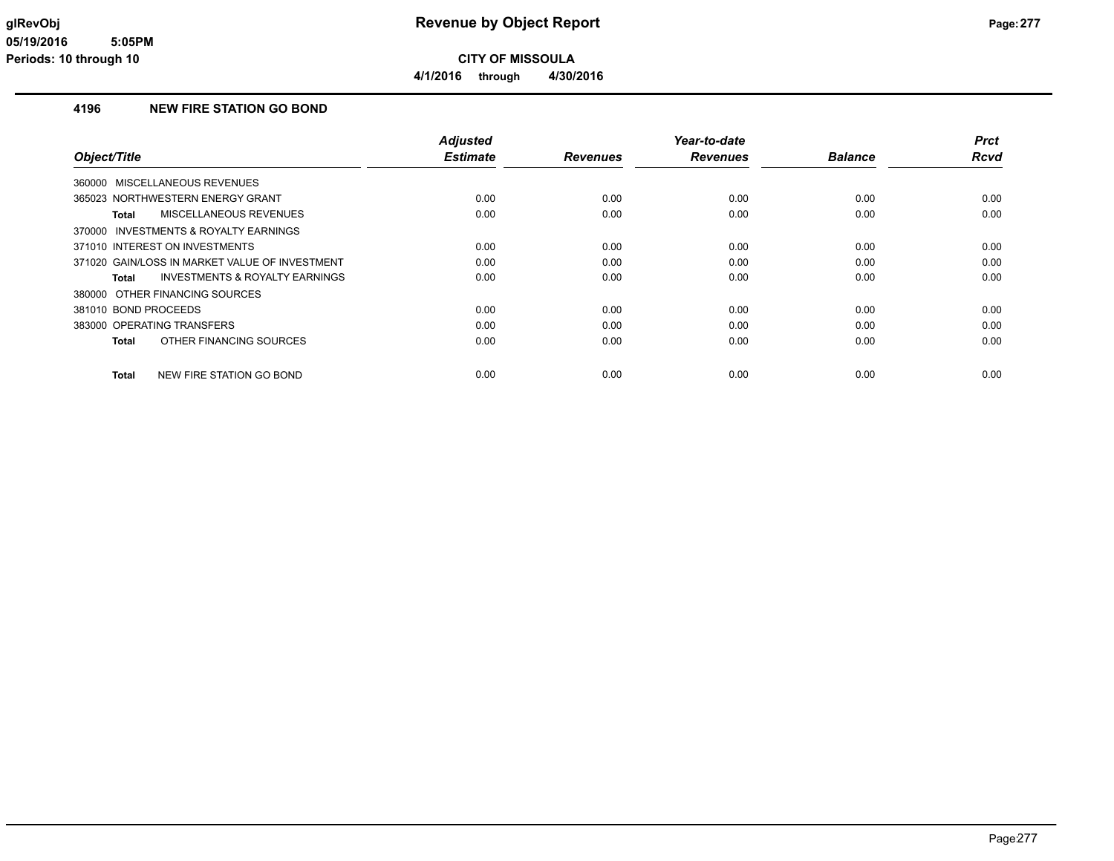### **4196 NEW FIRE STATION GO BOND**

| Object/Title                                              | <b>Adjusted</b><br><b>Estimate</b> | <b>Revenues</b> | Year-to-date<br><b>Revenues</b> | <b>Balance</b> | <b>Prct</b><br><b>Rcvd</b> |
|-----------------------------------------------------------|------------------------------------|-----------------|---------------------------------|----------------|----------------------------|
|                                                           |                                    |                 |                                 |                |                            |
| 360000 MISCELLANEOUS REVENUES                             |                                    |                 |                                 |                |                            |
| 365023 NORTHWESTERN ENERGY GRANT                          | 0.00                               | 0.00            | 0.00                            | 0.00           | 0.00                       |
| MISCELLANEOUS REVENUES<br><b>Total</b>                    | 0.00                               | 0.00            | 0.00                            | 0.00           | 0.00                       |
| 370000 INVESTMENTS & ROYALTY EARNINGS                     |                                    |                 |                                 |                |                            |
| 371010 INTEREST ON INVESTMENTS                            | 0.00                               | 0.00            | 0.00                            | 0.00           | 0.00                       |
| 371020 GAIN/LOSS IN MARKET VALUE OF INVESTMENT            | 0.00                               | 0.00            | 0.00                            | 0.00           | 0.00                       |
| <b>INVESTMENTS &amp; ROYALTY EARNINGS</b><br><b>Total</b> | 0.00                               | 0.00            | 0.00                            | 0.00           | 0.00                       |
| 380000 OTHER FINANCING SOURCES                            |                                    |                 |                                 |                |                            |
| 381010 BOND PROCEEDS                                      | 0.00                               | 0.00            | 0.00                            | 0.00           | 0.00                       |
| 383000 OPERATING TRANSFERS                                | 0.00                               | 0.00            | 0.00                            | 0.00           | 0.00                       |
| OTHER FINANCING SOURCES<br><b>Total</b>                   | 0.00                               | 0.00            | 0.00                            | 0.00           | 0.00                       |
| NEW FIRE STATION GO BOND<br><b>Total</b>                  | 0.00                               | 0.00            | 0.00                            | 0.00           | 0.00                       |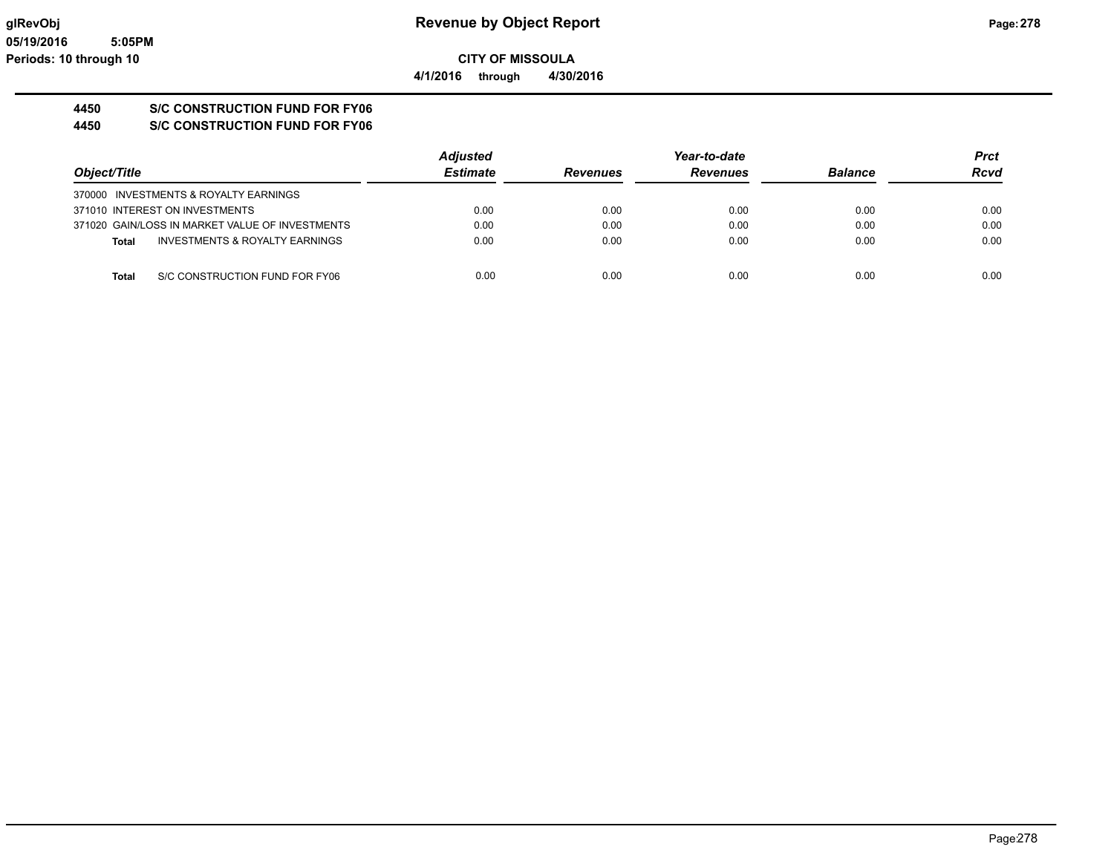## **4450 S/C CONSTRUCTION FUND FOR FY06**

**4450 S/C CONSTRUCTION FUND FOR FY06**

|                                                 | <b>Adjusted</b> |                 | Year-to-date    |                | <b>Prct</b> |
|-------------------------------------------------|-----------------|-----------------|-----------------|----------------|-------------|
| Object/Title                                    | <b>Estimate</b> | <b>Revenues</b> | <b>Revenues</b> | <b>Balance</b> | <b>Rcvd</b> |
| 370000 INVESTMENTS & ROYALTY EARNINGS           |                 |                 |                 |                |             |
| 371010 INTEREST ON INVESTMENTS                  | 0.00            | 0.00            | 0.00            | 0.00           | 0.00        |
| 371020 GAIN/LOSS IN MARKET VALUE OF INVESTMENTS | 0.00            | 0.00            | 0.00            | 0.00           | 0.00        |
| INVESTMENTS & ROYALTY EARNINGS<br>Total         | 0.00            | 0.00            | 0.00            | 0.00           | 0.00        |
| S/C CONSTRUCTION FUND FOR FY06<br>Total         | 0.00            | 0.00            | 0.00            | 0.00           | 0.00        |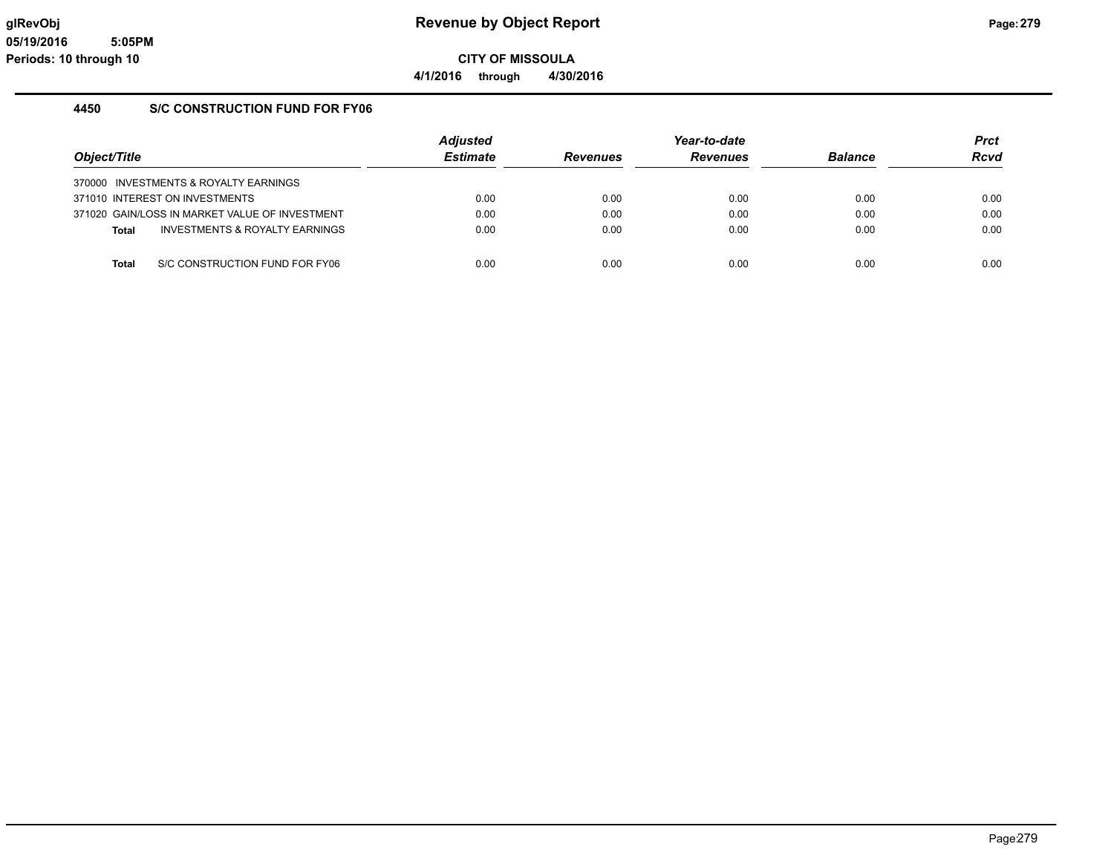**4/1/2016 through 4/30/2016**

### **4450 S/C CONSTRUCTION FUND FOR FY06**

| Object/Title                                   | <b>Adjusted</b><br><b>Estimate</b> | <b>Revenues</b> | Year-to-date<br><b>Revenues</b> | <b>Balance</b> | <b>Prct</b><br><b>Rcvd</b> |
|------------------------------------------------|------------------------------------|-----------------|---------------------------------|----------------|----------------------------|
| 370000 INVESTMENTS & ROYALTY EARNINGS          |                                    |                 |                                 |                |                            |
| 371010 INTEREST ON INVESTMENTS                 | 0.00                               | 0.00            | 0.00                            | 0.00           | 0.00                       |
| 371020 GAIN/LOSS IN MARKET VALUE OF INVESTMENT | 0.00                               | 0.00            | 0.00                            | 0.00           | 0.00                       |
| INVESTMENTS & ROYALTY EARNINGS<br><b>Total</b> | 0.00                               | 0.00            | 0.00                            | 0.00           | 0.00                       |
|                                                |                                    |                 |                                 |                |                            |
| S/C CONSTRUCTION FUND FOR FY06<br><b>Total</b> | 0.00                               | 0.00            | 0.00                            | 0.00           | 0.00                       |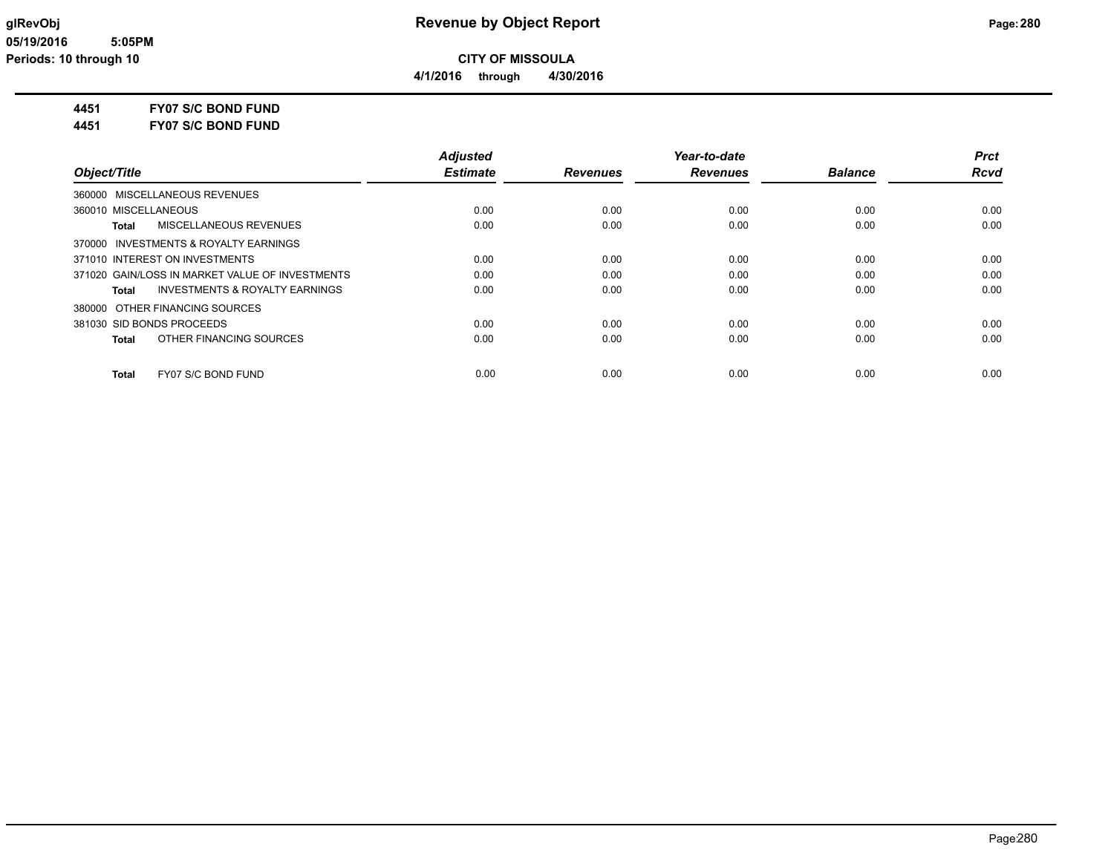### **4451 FY07 S/C BOND FUND**

**4451 FY07 S/C BOND FUND**

|                                                    | <b>Adjusted</b> |                 | Year-to-date    |                | <b>Prct</b> |
|----------------------------------------------------|-----------------|-----------------|-----------------|----------------|-------------|
| Object/Title                                       | <b>Estimate</b> | <b>Revenues</b> | <b>Revenues</b> | <b>Balance</b> | <b>Rcvd</b> |
| 360000 MISCELLANEOUS REVENUES                      |                 |                 |                 |                |             |
| 360010 MISCELLANEOUS                               | 0.00            | 0.00            | 0.00            | 0.00           | 0.00        |
| MISCELLANEOUS REVENUES<br>Total                    | 0.00            | 0.00            | 0.00            | 0.00           | 0.00        |
| 370000 INVESTMENTS & ROYALTY EARNINGS              |                 |                 |                 |                |             |
| 371010 INTEREST ON INVESTMENTS                     | 0.00            | 0.00            | 0.00            | 0.00           | 0.00        |
| 371020 GAIN/LOSS IN MARKET VALUE OF INVESTMENTS    | 0.00            | 0.00            | 0.00            | 0.00           | 0.00        |
| <b>INVESTMENTS &amp; ROYALTY EARNINGS</b><br>Total | 0.00            | 0.00            | 0.00            | 0.00           | 0.00        |
| 380000 OTHER FINANCING SOURCES                     |                 |                 |                 |                |             |
| 381030 SID BONDS PROCEEDS                          | 0.00            | 0.00            | 0.00            | 0.00           | 0.00        |
| OTHER FINANCING SOURCES<br>Total                   | 0.00            | 0.00            | 0.00            | 0.00           | 0.00        |
| FY07 S/C BOND FUND<br><b>Total</b>                 | 0.00            | 0.00            | 0.00            | 0.00           | 0.00        |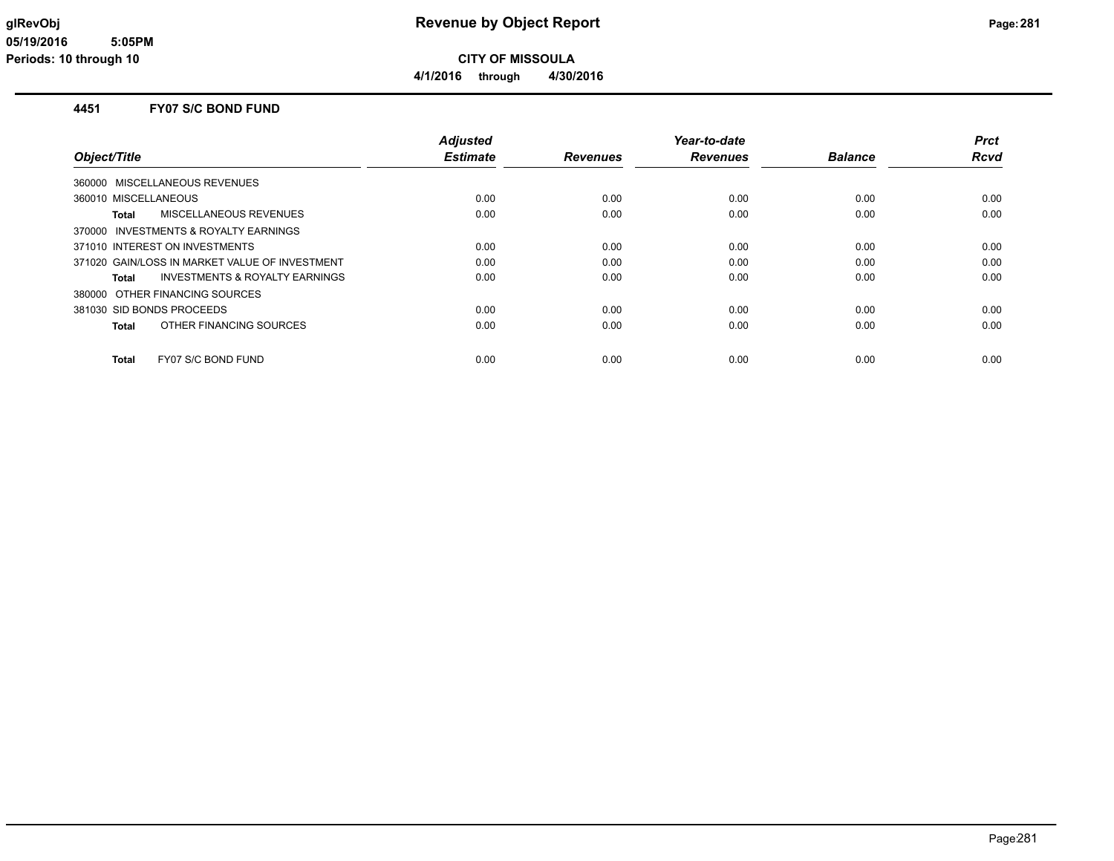**CITY OF MISSOULA**

**4/1/2016 through 4/30/2016**

#### **4451 FY07 S/C BOND FUND**

|                                                    | <b>Adjusted</b> |                 | Year-to-date    |                | Prct |
|----------------------------------------------------|-----------------|-----------------|-----------------|----------------|------|
| Object/Title                                       | <b>Estimate</b> | <b>Revenues</b> | <b>Revenues</b> | <b>Balance</b> | Rcvd |
| 360000 MISCELLANEOUS REVENUES                      |                 |                 |                 |                |      |
| 360010 MISCELLANEOUS                               | 0.00            | 0.00            | 0.00            | 0.00           | 0.00 |
| MISCELLANEOUS REVENUES<br>Total                    | 0.00            | 0.00            | 0.00            | 0.00           | 0.00 |
| 370000 INVESTMENTS & ROYALTY EARNINGS              |                 |                 |                 |                |      |
| 371010 INTEREST ON INVESTMENTS                     | 0.00            | 0.00            | 0.00            | 0.00           | 0.00 |
| 371020 GAIN/LOSS IN MARKET VALUE OF INVESTMENT     | 0.00            | 0.00            | 0.00            | 0.00           | 0.00 |
| <b>INVESTMENTS &amp; ROYALTY EARNINGS</b><br>Total | 0.00            | 0.00            | 0.00            | 0.00           | 0.00 |
| 380000 OTHER FINANCING SOURCES                     |                 |                 |                 |                |      |
| 381030 SID BONDS PROCEEDS                          | 0.00            | 0.00            | 0.00            | 0.00           | 0.00 |
| OTHER FINANCING SOURCES<br>Total                   | 0.00            | 0.00            | 0.00            | 0.00           | 0.00 |
| FY07 S/C BOND FUND<br>Total                        | 0.00            | 0.00            | 0.00            | 0.00           | 0.00 |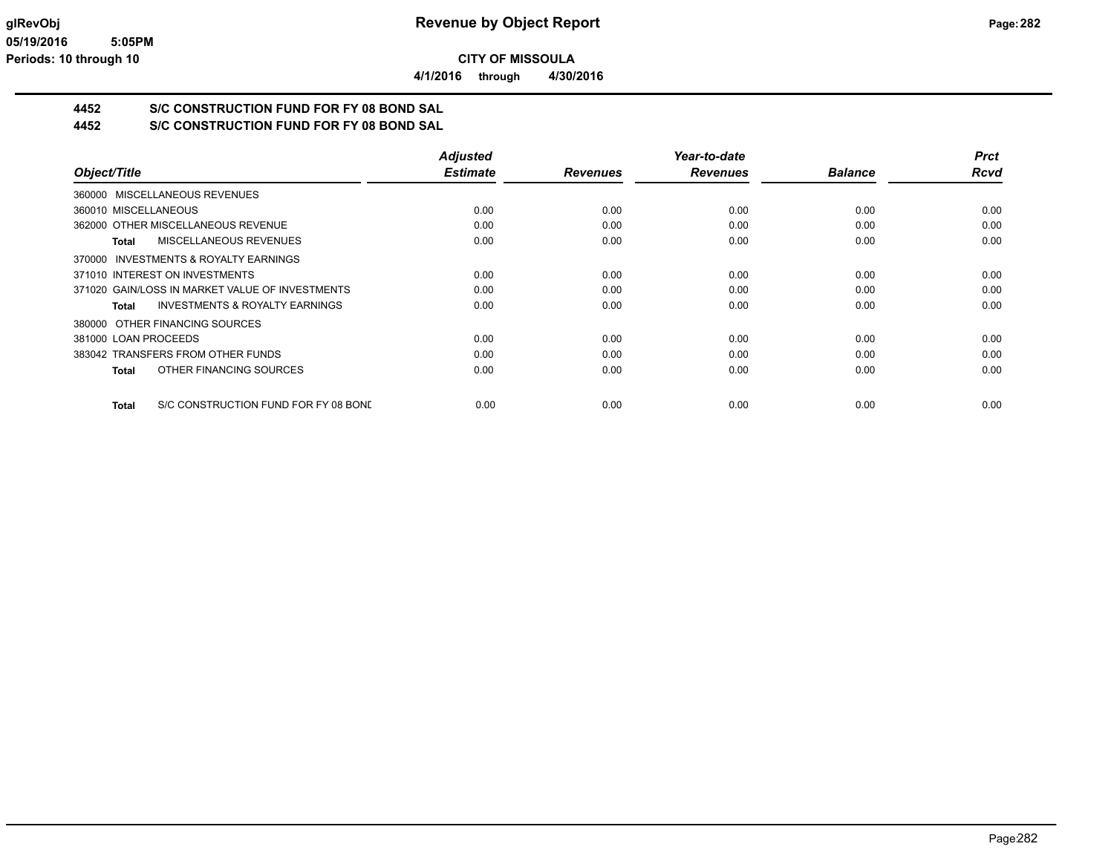**4/1/2016 through 4/30/2016**

# **4452 S/C CONSTRUCTION FUND FOR FY 08 BOND SAL**

**4452 S/C CONSTRUCTION FUND FOR FY 08 BOND SAL**

|                                                      | <b>Adjusted</b> |                 | Year-to-date    |                | <b>Prct</b> |
|------------------------------------------------------|-----------------|-----------------|-----------------|----------------|-------------|
| Object/Title                                         | <b>Estimate</b> | <b>Revenues</b> | <b>Revenues</b> | <b>Balance</b> | <b>Rcvd</b> |
| 360000 MISCELLANEOUS REVENUES                        |                 |                 |                 |                |             |
| 360010 MISCELLANEOUS                                 | 0.00            | 0.00            | 0.00            | 0.00           | 0.00        |
| 362000 OTHER MISCELLANEOUS REVENUE                   | 0.00            | 0.00            | 0.00            | 0.00           | 0.00        |
| MISCELLANEOUS REVENUES<br>Total                      | 0.00            | 0.00            | 0.00            | 0.00           | 0.00        |
| 370000 INVESTMENTS & ROYALTY EARNINGS                |                 |                 |                 |                |             |
| 371010 INTEREST ON INVESTMENTS                       | 0.00            | 0.00            | 0.00            | 0.00           | 0.00        |
| 371020 GAIN/LOSS IN MARKET VALUE OF INVESTMENTS      | 0.00            | 0.00            | 0.00            | 0.00           | 0.00        |
| <b>INVESTMENTS &amp; ROYALTY EARNINGS</b><br>Total   | 0.00            | 0.00            | 0.00            | 0.00           | 0.00        |
| 380000 OTHER FINANCING SOURCES                       |                 |                 |                 |                |             |
| 381000 LOAN PROCEEDS                                 | 0.00            | 0.00            | 0.00            | 0.00           | 0.00        |
| 383042 TRANSFERS FROM OTHER FUNDS                    | 0.00            | 0.00            | 0.00            | 0.00           | 0.00        |
| OTHER FINANCING SOURCES<br><b>Total</b>              | 0.00            | 0.00            | 0.00            | 0.00           | 0.00        |
| S/C CONSTRUCTION FUND FOR FY 08 BONE<br><b>Total</b> | 0.00            | 0.00            | 0.00            | 0.00           | 0.00        |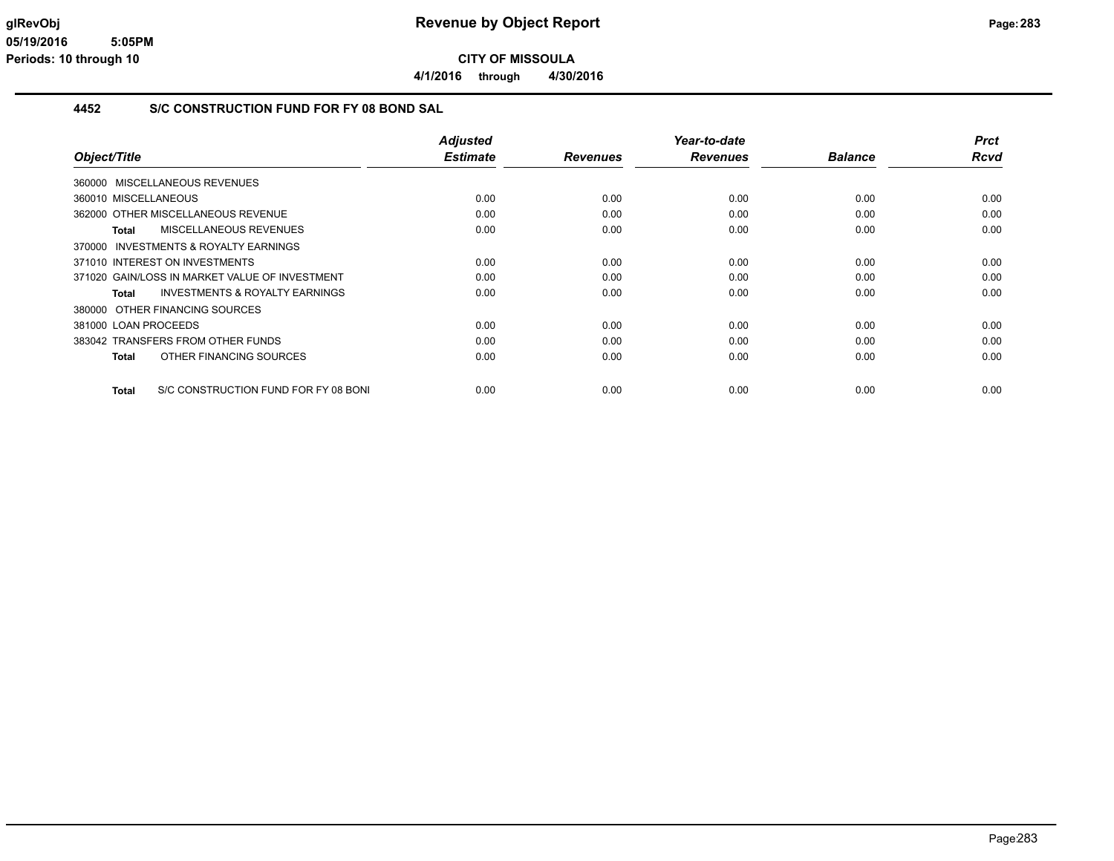**4/1/2016 through 4/30/2016**

#### **4452 S/C CONSTRUCTION FUND FOR FY 08 BOND SAL**

|                                                    | <b>Adjusted</b> |                 | Year-to-date    |                | <b>Prct</b> |
|----------------------------------------------------|-----------------|-----------------|-----------------|----------------|-------------|
| Object/Title                                       | <b>Estimate</b> | <b>Revenues</b> | <b>Revenues</b> | <b>Balance</b> | <b>Rcvd</b> |
| 360000 MISCELLANEOUS REVENUES                      |                 |                 |                 |                |             |
| 360010 MISCELLANEOUS                               | 0.00            | 0.00            | 0.00            | 0.00           | 0.00        |
| 362000 OTHER MISCELLANEOUS REVENUE                 | 0.00            | 0.00            | 0.00            | 0.00           | 0.00        |
| <b>MISCELLANEOUS REVENUES</b><br>Total             | 0.00            | 0.00            | 0.00            | 0.00           | 0.00        |
| 370000 INVESTMENTS & ROYALTY EARNINGS              |                 |                 |                 |                |             |
| 371010 INTEREST ON INVESTMENTS                     | 0.00            | 0.00            | 0.00            | 0.00           | 0.00        |
| 371020 GAIN/LOSS IN MARKET VALUE OF INVESTMENT     | 0.00            | 0.00            | 0.00            | 0.00           | 0.00        |
| <b>INVESTMENTS &amp; ROYALTY EARNINGS</b><br>Total | 0.00            | 0.00            | 0.00            | 0.00           | 0.00        |
| OTHER FINANCING SOURCES<br>380000                  |                 |                 |                 |                |             |
| 381000 LOAN PROCEEDS                               | 0.00            | 0.00            | 0.00            | 0.00           | 0.00        |
| 383042 TRANSFERS FROM OTHER FUNDS                  | 0.00            | 0.00            | 0.00            | 0.00           | 0.00        |
| OTHER FINANCING SOURCES<br><b>Total</b>            | 0.00            | 0.00            | 0.00            | 0.00           | 0.00        |
|                                                    |                 |                 |                 |                |             |
| S/C CONSTRUCTION FUND FOR FY 08 BONI<br>Total      | 0.00            | 0.00            | 0.00            | 0.00           | 0.00        |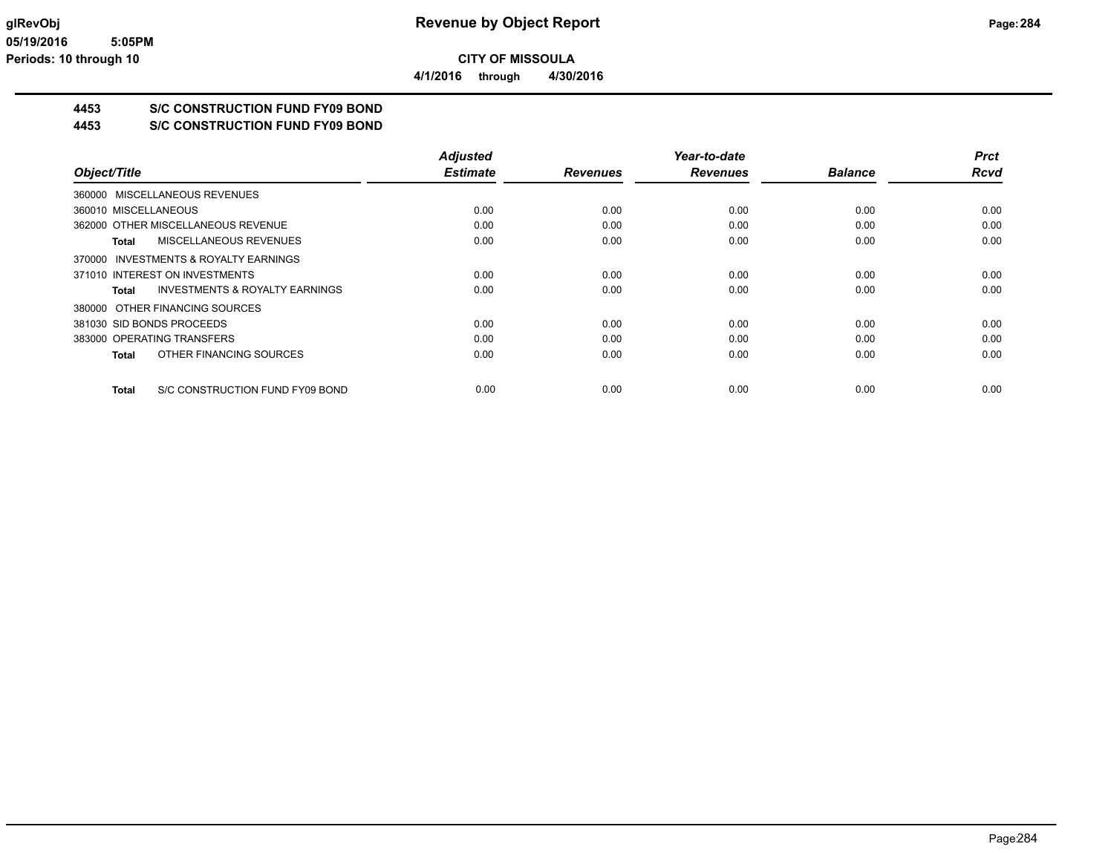**4453 S/C CONSTRUCTION FUND FY09 BOND**

**4453 S/C CONSTRUCTION FUND FY09 BOND**

|                                                    | <b>Adjusted</b> |                 | Year-to-date    |                | <b>Prct</b> |
|----------------------------------------------------|-----------------|-----------------|-----------------|----------------|-------------|
| Object/Title                                       | <b>Estimate</b> | <b>Revenues</b> | <b>Revenues</b> | <b>Balance</b> | <b>Rcvd</b> |
| 360000 MISCELLANEOUS REVENUES                      |                 |                 |                 |                |             |
| 360010 MISCELLANEOUS                               | 0.00            | 0.00            | 0.00            | 0.00           | 0.00        |
| 362000 OTHER MISCELLANEOUS REVENUE                 | 0.00            | 0.00            | 0.00            | 0.00           | 0.00        |
| MISCELLANEOUS REVENUES<br>Total                    | 0.00            | 0.00            | 0.00            | 0.00           | 0.00        |
| 370000 INVESTMENTS & ROYALTY EARNINGS              |                 |                 |                 |                |             |
| 371010 INTEREST ON INVESTMENTS                     | 0.00            | 0.00            | 0.00            | 0.00           | 0.00        |
| <b>INVESTMENTS &amp; ROYALTY EARNINGS</b><br>Total | 0.00            | 0.00            | 0.00            | 0.00           | 0.00        |
| 380000 OTHER FINANCING SOURCES                     |                 |                 |                 |                |             |
| 381030 SID BONDS PROCEEDS                          | 0.00            | 0.00            | 0.00            | 0.00           | 0.00        |
| 383000 OPERATING TRANSFERS                         | 0.00            | 0.00            | 0.00            | 0.00           | 0.00        |
| OTHER FINANCING SOURCES<br><b>Total</b>            | 0.00            | 0.00            | 0.00            | 0.00           | 0.00        |
| S/C CONSTRUCTION FUND FY09 BOND<br><b>Total</b>    | 0.00            | 0.00            | 0.00            | 0.00           | 0.00        |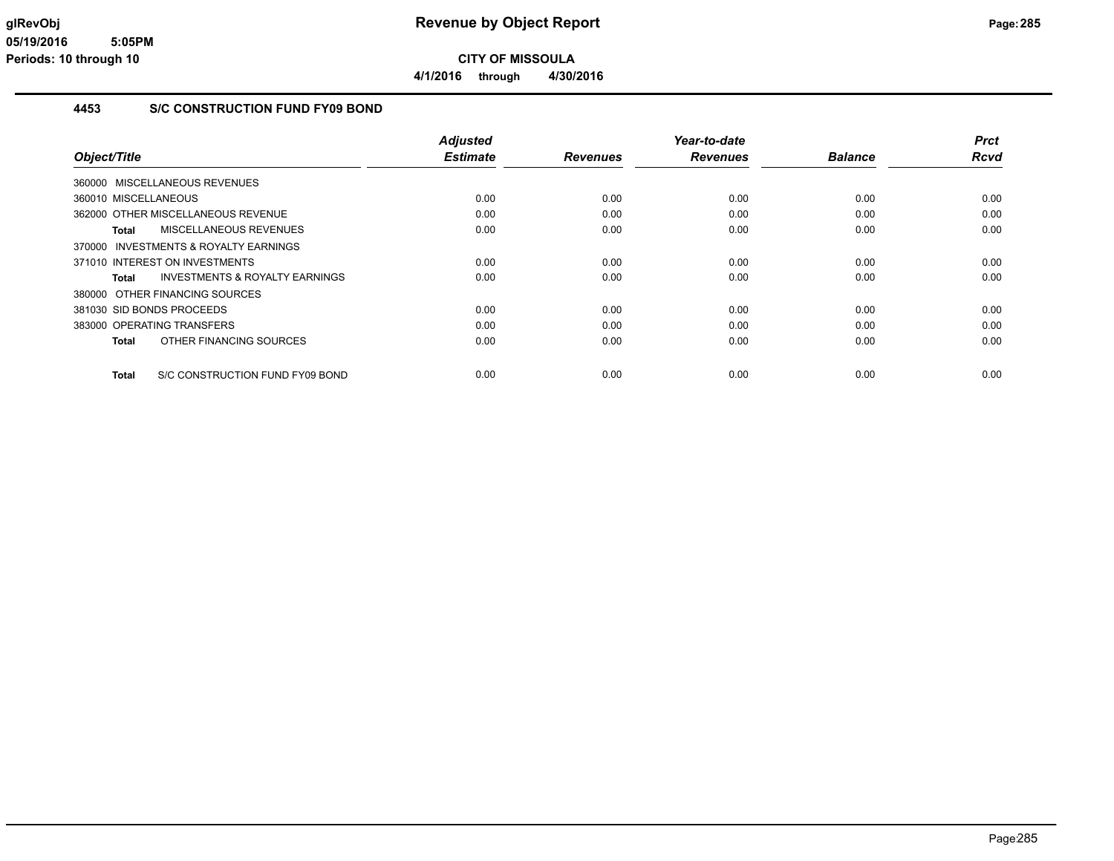**4/1/2016 through 4/30/2016**

### **4453 S/C CONSTRUCTION FUND FY09 BOND**

|                                                    | <b>Adjusted</b> |                 | Year-to-date    |                | <b>Prct</b> |
|----------------------------------------------------|-----------------|-----------------|-----------------|----------------|-------------|
| Object/Title                                       | <b>Estimate</b> | <b>Revenues</b> | <b>Revenues</b> | <b>Balance</b> | Rcvd        |
| 360000 MISCELLANEOUS REVENUES                      |                 |                 |                 |                |             |
| 360010 MISCELLANEOUS                               | 0.00            | 0.00            | 0.00            | 0.00           | 0.00        |
| 362000 OTHER MISCELLANEOUS REVENUE                 | 0.00            | 0.00            | 0.00            | 0.00           | 0.00        |
| <b>MISCELLANEOUS REVENUES</b><br>Total             | 0.00            | 0.00            | 0.00            | 0.00           | 0.00        |
| 370000 INVESTMENTS & ROYALTY EARNINGS              |                 |                 |                 |                |             |
| 371010 INTEREST ON INVESTMENTS                     | 0.00            | 0.00            | 0.00            | 0.00           | 0.00        |
| <b>INVESTMENTS &amp; ROYALTY EARNINGS</b><br>Total | 0.00            | 0.00            | 0.00            | 0.00           | 0.00        |
| 380000 OTHER FINANCING SOURCES                     |                 |                 |                 |                |             |
| 381030 SID BONDS PROCEEDS                          | 0.00            | 0.00            | 0.00            | 0.00           | 0.00        |
| 383000 OPERATING TRANSFERS                         | 0.00            | 0.00            | 0.00            | 0.00           | 0.00        |
| OTHER FINANCING SOURCES<br>Total                   | 0.00            | 0.00            | 0.00            | 0.00           | 0.00        |
| S/C CONSTRUCTION FUND FY09 BOND<br>Total           | 0.00            | 0.00            | 0.00            | 0.00           | 0.00        |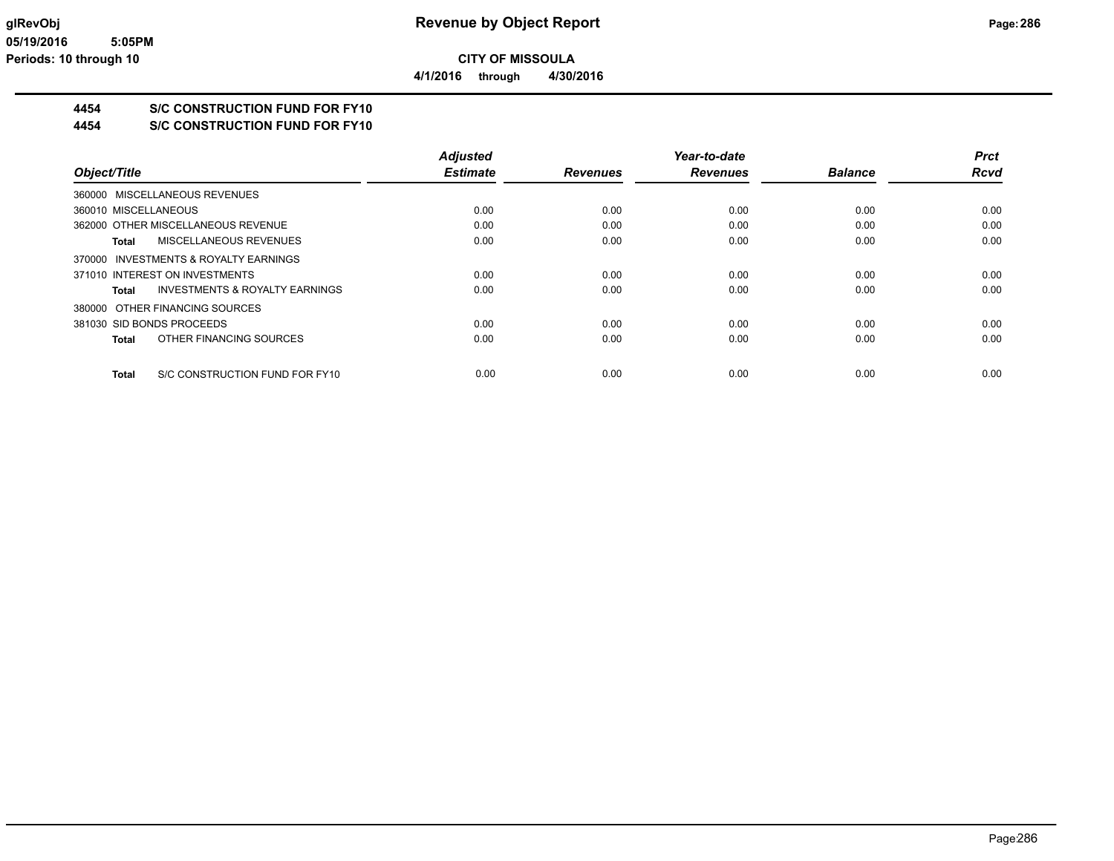### **4454 S/C CONSTRUCTION FUND FOR FY10**

**4454 S/C CONSTRUCTION FUND FOR FY10**

|                                                | <b>Adiusted</b> |                 | Year-to-date    |                | <b>Prct</b> |
|------------------------------------------------|-----------------|-----------------|-----------------|----------------|-------------|
| Object/Title                                   | <b>Estimate</b> | <b>Revenues</b> | <b>Revenues</b> | <b>Balance</b> | <b>Rcvd</b> |
| 360000 MISCELLANEOUS REVENUES                  |                 |                 |                 |                |             |
| 360010 MISCELLANEOUS                           | 0.00            | 0.00            | 0.00            | 0.00           | 0.00        |
| 362000 OTHER MISCELLANEOUS REVENUE             | 0.00            | 0.00            | 0.00            | 0.00           | 0.00        |
| <b>MISCELLANEOUS REVENUES</b><br>Total         | 0.00            | 0.00            | 0.00            | 0.00           | 0.00        |
| 370000 INVESTMENTS & ROYALTY EARNINGS          |                 |                 |                 |                |             |
| 371010 INTEREST ON INVESTMENTS                 | 0.00            | 0.00            | 0.00            | 0.00           | 0.00        |
| INVESTMENTS & ROYALTY EARNINGS<br>Total        | 0.00            | 0.00            | 0.00            | 0.00           | 0.00        |
| 380000 OTHER FINANCING SOURCES                 |                 |                 |                 |                |             |
| 381030 SID BONDS PROCEEDS                      | 0.00            | 0.00            | 0.00            | 0.00           | 0.00        |
| OTHER FINANCING SOURCES<br><b>Total</b>        | 0.00            | 0.00            | 0.00            | 0.00           | 0.00        |
| S/C CONSTRUCTION FUND FOR FY10<br><b>Total</b> | 0.00            | 0.00            | 0.00            | 0.00           | 0.00        |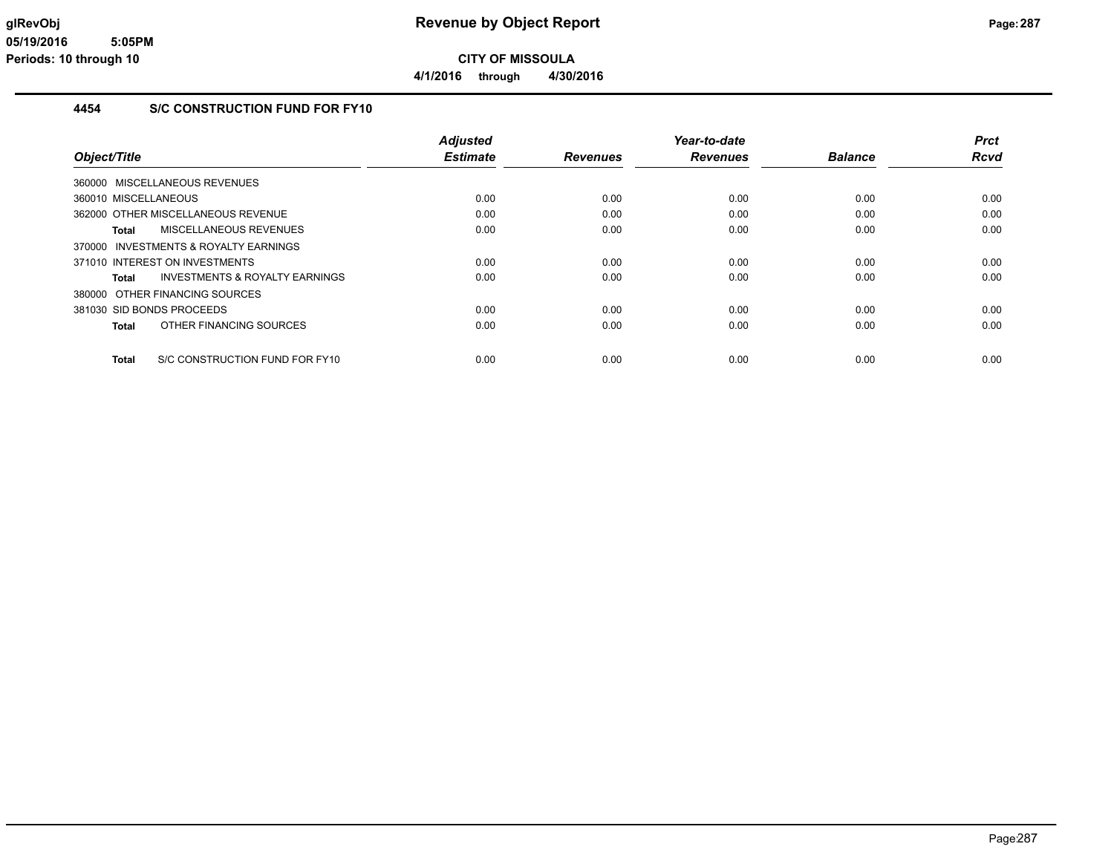### **4454 S/C CONSTRUCTION FUND FOR FY10**

|                                                | <b>Adjusted</b> |                 | Year-to-date    |                | <b>Prct</b> |
|------------------------------------------------|-----------------|-----------------|-----------------|----------------|-------------|
| Object/Title                                   | <b>Estimate</b> | <b>Revenues</b> | <b>Revenues</b> | <b>Balance</b> | Rcvd        |
| 360000 MISCELLANEOUS REVENUES                  |                 |                 |                 |                |             |
| 360010 MISCELLANEOUS                           | 0.00            | 0.00            | 0.00            | 0.00           | 0.00        |
| 362000 OTHER MISCELLANEOUS REVENUE             | 0.00            | 0.00            | 0.00            | 0.00           | 0.00        |
| MISCELLANEOUS REVENUES<br>Total                | 0.00            | 0.00            | 0.00            | 0.00           | 0.00        |
| 370000 INVESTMENTS & ROYALTY EARNINGS          |                 |                 |                 |                |             |
| 371010 INTEREST ON INVESTMENTS                 | 0.00            | 0.00            | 0.00            | 0.00           | 0.00        |
| INVESTMENTS & ROYALTY EARNINGS<br>Total        | 0.00            | 0.00            | 0.00            | 0.00           | 0.00        |
| 380000 OTHER FINANCING SOURCES                 |                 |                 |                 |                |             |
| 381030 SID BONDS PROCEEDS                      | 0.00            | 0.00            | 0.00            | 0.00           | 0.00        |
| OTHER FINANCING SOURCES<br>Total               | 0.00            | 0.00            | 0.00            | 0.00           | 0.00        |
| S/C CONSTRUCTION FUND FOR FY10<br><b>Total</b> | 0.00            | 0.00            | 0.00            | 0.00           | 0.00        |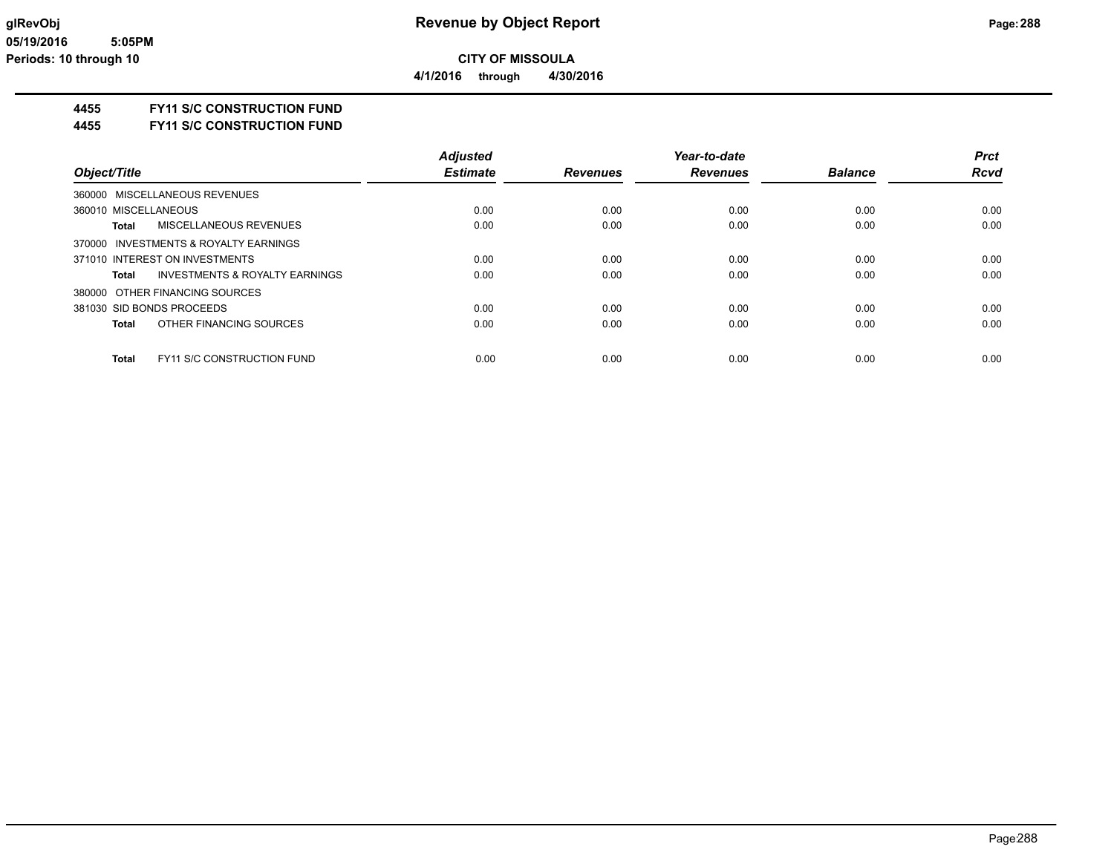**4/1/2016 through 4/30/2016**

### **4455 FY11 S/C CONSTRUCTION FUND**

**4455 FY11 S/C CONSTRUCTION FUND**

|                                                    | <b>Adiusted</b> |                 | Year-to-date    |                | <b>Prct</b> |
|----------------------------------------------------|-----------------|-----------------|-----------------|----------------|-------------|
| Object/Title                                       | <b>Estimate</b> | <b>Revenues</b> | <b>Revenues</b> | <b>Balance</b> | <b>Rcvd</b> |
| 360000 MISCELLANEOUS REVENUES                      |                 |                 |                 |                |             |
| 360010 MISCELLANEOUS                               | 0.00            | 0.00            | 0.00            | 0.00           | 0.00        |
| MISCELLANEOUS REVENUES<br>Total                    | 0.00            | 0.00            | 0.00            | 0.00           | 0.00        |
| 370000 INVESTMENTS & ROYALTY EARNINGS              |                 |                 |                 |                |             |
| 371010 INTEREST ON INVESTMENTS                     | 0.00            | 0.00            | 0.00            | 0.00           | 0.00        |
| <b>INVESTMENTS &amp; ROYALTY EARNINGS</b><br>Total | 0.00            | 0.00            | 0.00            | 0.00           | 0.00        |
| 380000 OTHER FINANCING SOURCES                     |                 |                 |                 |                |             |
| 381030 SID BONDS PROCEEDS                          | 0.00            | 0.00            | 0.00            | 0.00           | 0.00        |
| OTHER FINANCING SOURCES<br>Total                   | 0.00            | 0.00            | 0.00            | 0.00           | 0.00        |
|                                                    |                 |                 |                 |                |             |
| <b>Total</b><br><b>FY11 S/C CONSTRUCTION FUND</b>  | 0.00            | 0.00            | 0.00            | 0.00           | 0.00        |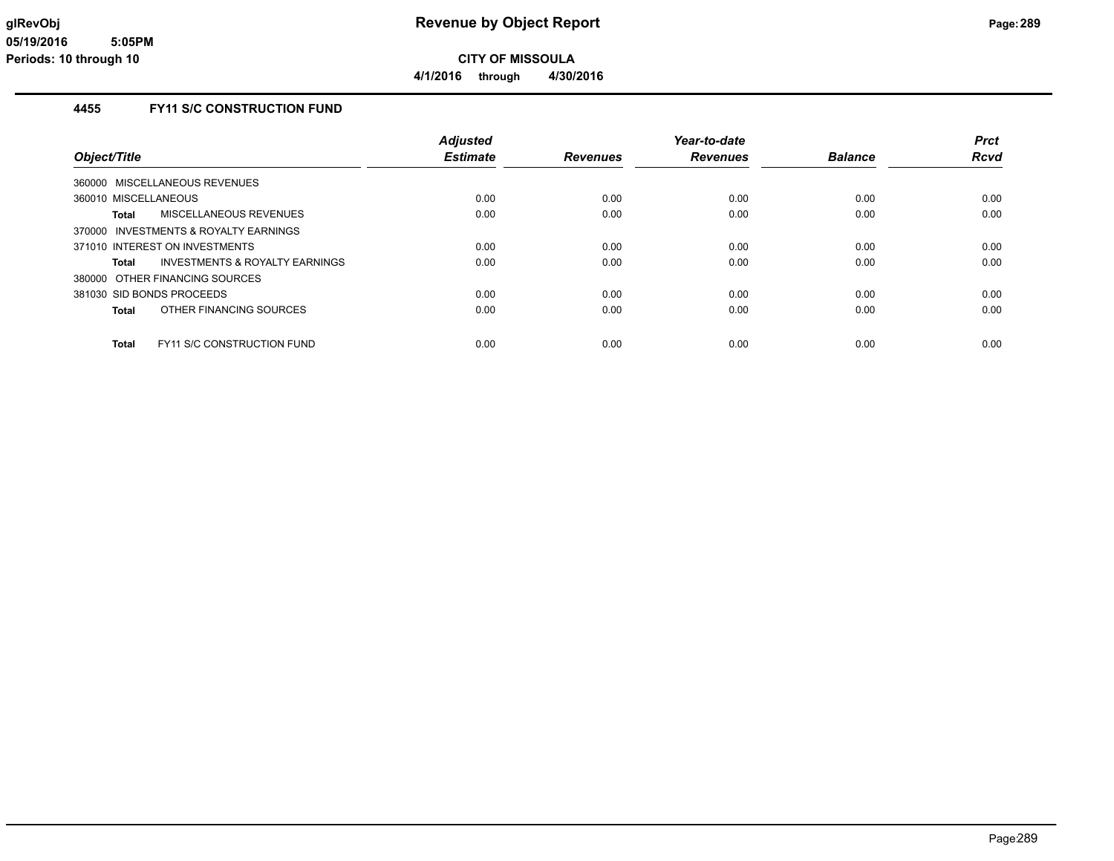**4/1/2016 through 4/30/2016**

## **4455 FY11 S/C CONSTRUCTION FUND**

|                                                   | <b>Adjusted</b> |                 | Year-to-date    |                | <b>Prct</b> |
|---------------------------------------------------|-----------------|-----------------|-----------------|----------------|-------------|
| Object/Title                                      | <b>Estimate</b> | <b>Revenues</b> | <b>Revenues</b> | <b>Balance</b> | <b>Rcvd</b> |
| 360000 MISCELLANEOUS REVENUES                     |                 |                 |                 |                |             |
| 360010 MISCELLANEOUS                              | 0.00            | 0.00            | 0.00            | 0.00           | 0.00        |
| MISCELLANEOUS REVENUES<br>Total                   | 0.00            | 0.00            | 0.00            | 0.00           | 0.00        |
| 370000 INVESTMENTS & ROYALTY EARNINGS             |                 |                 |                 |                |             |
| 371010 INTEREST ON INVESTMENTS                    | 0.00            | 0.00            | 0.00            | 0.00           | 0.00        |
| INVESTMENTS & ROYALTY EARNINGS<br>Total           | 0.00            | 0.00            | 0.00            | 0.00           | 0.00        |
| 380000 OTHER FINANCING SOURCES                    |                 |                 |                 |                |             |
| 381030 SID BONDS PROCEEDS                         | 0.00            | 0.00            | 0.00            | 0.00           | 0.00        |
| OTHER FINANCING SOURCES<br><b>Total</b>           | 0.00            | 0.00            | 0.00            | 0.00           | 0.00        |
| <b>FY11 S/C CONSTRUCTION FUND</b><br><b>Total</b> | 0.00            | 0.00            | 0.00            | 0.00           | 0.00        |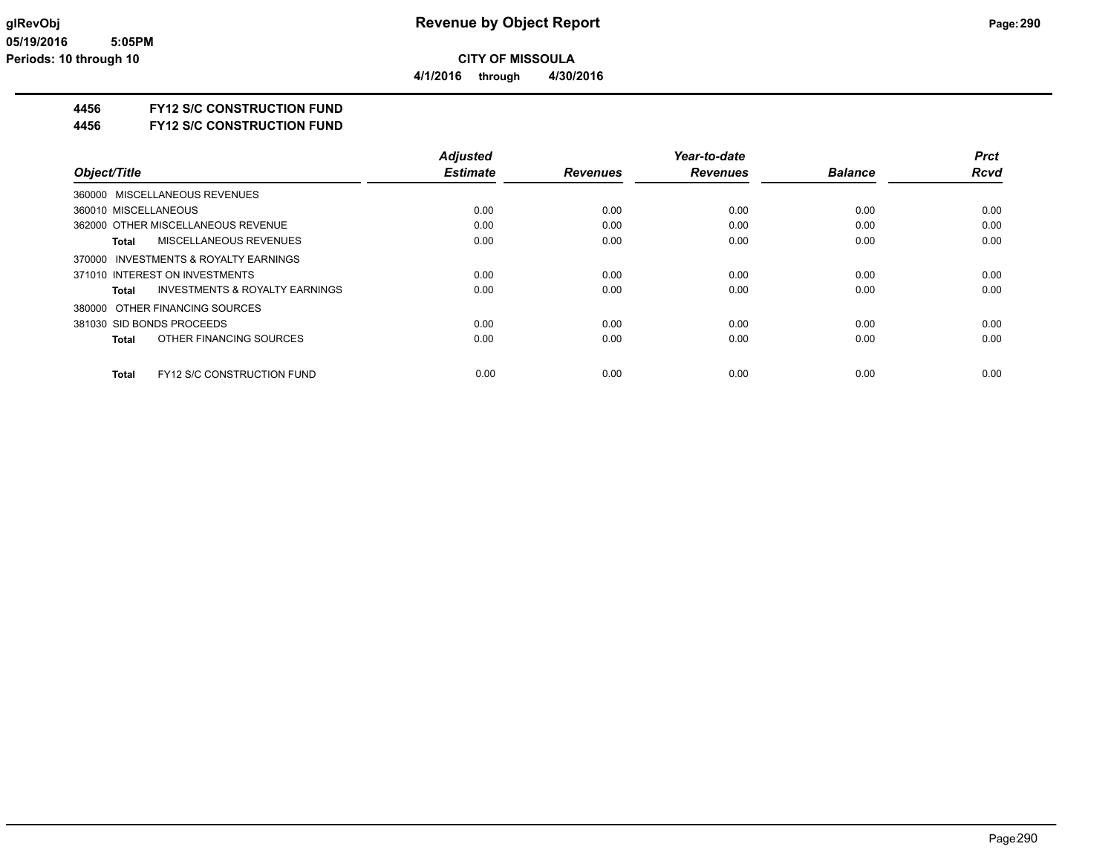**4/1/2016 through 4/30/2016**

## **4456 FY12 S/C CONSTRUCTION FUND**

**4456 FY12 S/C CONSTRUCTION FUND**

|                                                   | <b>Adiusted</b> |                 | Year-to-date    |                | <b>Prct</b> |
|---------------------------------------------------|-----------------|-----------------|-----------------|----------------|-------------|
| Object/Title                                      | <b>Estimate</b> | <b>Revenues</b> | <b>Revenues</b> | <b>Balance</b> | <b>Rcvd</b> |
| 360000 MISCELLANEOUS REVENUES                     |                 |                 |                 |                |             |
| 360010 MISCELLANEOUS                              | 0.00            | 0.00            | 0.00            | 0.00           | 0.00        |
| 362000 OTHER MISCELLANEOUS REVENUE                | 0.00            | 0.00            | 0.00            | 0.00           | 0.00        |
| <b>MISCELLANEOUS REVENUES</b><br>Total            | 0.00            | 0.00            | 0.00            | 0.00           | 0.00        |
| 370000 INVESTMENTS & ROYALTY EARNINGS             |                 |                 |                 |                |             |
| 371010 INTEREST ON INVESTMENTS                    | 0.00            | 0.00            | 0.00            | 0.00           | 0.00        |
| INVESTMENTS & ROYALTY EARNINGS<br>Total           | 0.00            | 0.00            | 0.00            | 0.00           | 0.00        |
| 380000 OTHER FINANCING SOURCES                    |                 |                 |                 |                |             |
| 381030 SID BONDS PROCEEDS                         | 0.00            | 0.00            | 0.00            | 0.00           | 0.00        |
| OTHER FINANCING SOURCES<br><b>Total</b>           | 0.00            | 0.00            | 0.00            | 0.00           | 0.00        |
| <b>FY12 S/C CONSTRUCTION FUND</b><br><b>Total</b> | 0.00            | 0.00            | 0.00            | 0.00           | 0.00        |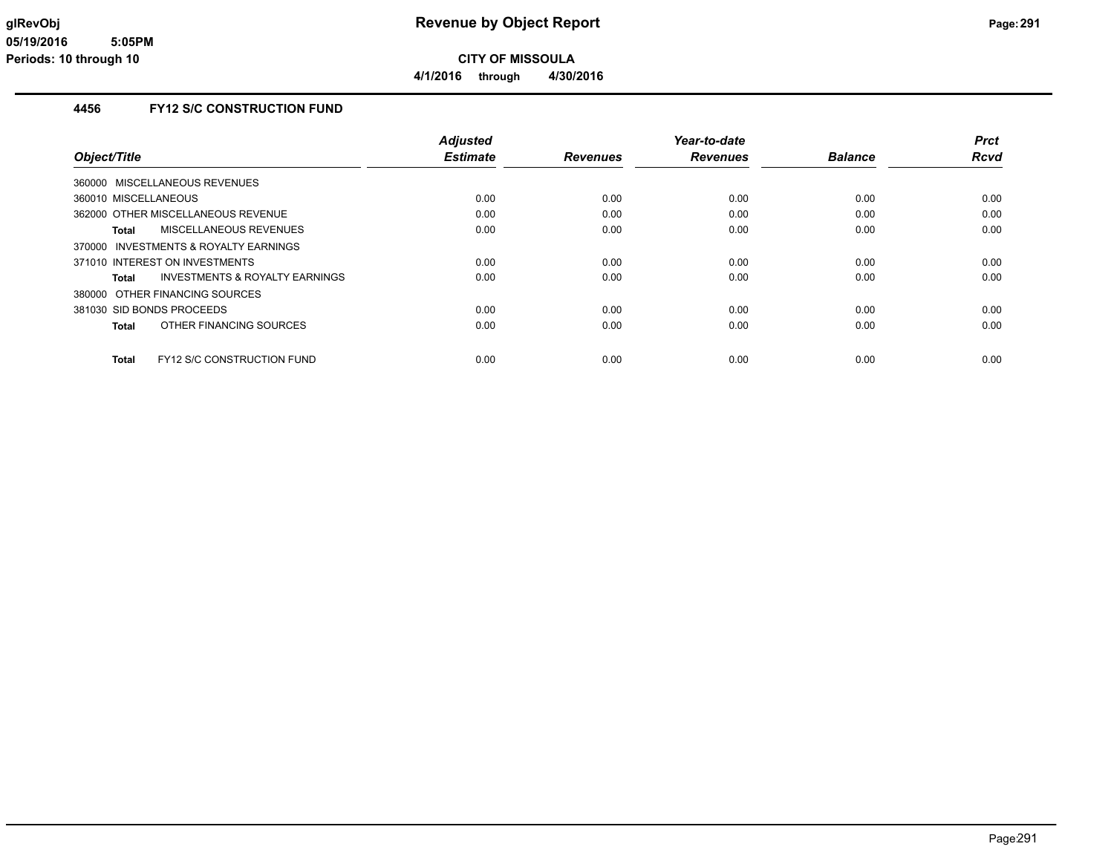**4/1/2016 through 4/30/2016**

## **4456 FY12 S/C CONSTRUCTION FUND**

|                                                    | <b>Adjusted</b> |                 | Year-to-date    |                | <b>Prct</b> |
|----------------------------------------------------|-----------------|-----------------|-----------------|----------------|-------------|
| Object/Title                                       | <b>Estimate</b> | <b>Revenues</b> | <b>Revenues</b> | <b>Balance</b> | <b>Rcvd</b> |
| 360000 MISCELLANEOUS REVENUES                      |                 |                 |                 |                |             |
| 360010 MISCELLANEOUS                               | 0.00            | 0.00            | 0.00            | 0.00           | 0.00        |
| 362000 OTHER MISCELLANEOUS REVENUE                 | 0.00            | 0.00            | 0.00            | 0.00           | 0.00        |
| MISCELLANEOUS REVENUES<br>Total                    | 0.00            | 0.00            | 0.00            | 0.00           | 0.00        |
| 370000 INVESTMENTS & ROYALTY EARNINGS              |                 |                 |                 |                |             |
| 371010 INTEREST ON INVESTMENTS                     | 0.00            | 0.00            | 0.00            | 0.00           | 0.00        |
| <b>INVESTMENTS &amp; ROYALTY EARNINGS</b><br>Total | 0.00            | 0.00            | 0.00            | 0.00           | 0.00        |
| 380000 OTHER FINANCING SOURCES                     |                 |                 |                 |                |             |
| 381030 SID BONDS PROCEEDS                          | 0.00            | 0.00            | 0.00            | 0.00           | 0.00        |
| OTHER FINANCING SOURCES<br>Total                   | 0.00            | 0.00            | 0.00            | 0.00           | 0.00        |
| <b>FY12 S/C CONSTRUCTION FUND</b><br><b>Total</b>  | 0.00            | 0.00            | 0.00            | 0.00           | 0.00        |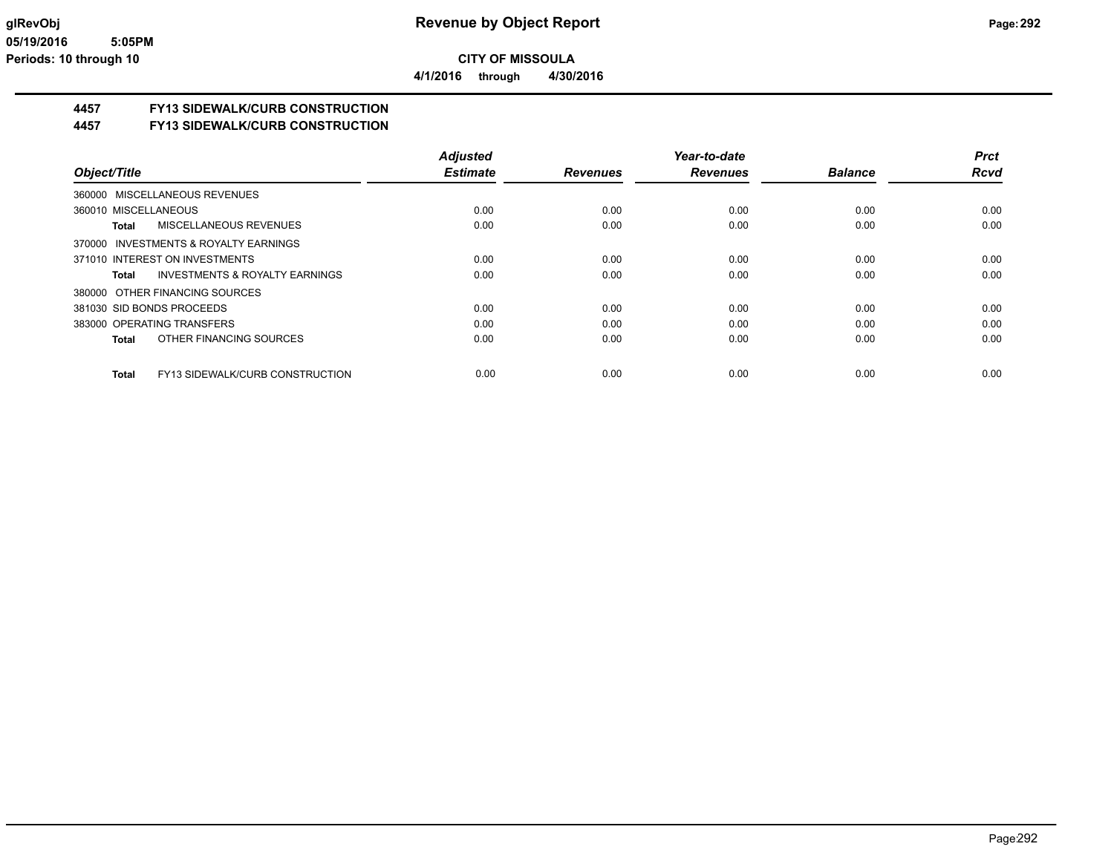**4/1/2016 through 4/30/2016**

## **4457 FY13 SIDEWALK/CURB CONSTRUCTION**

## **4457 FY13 SIDEWALK/CURB CONSTRUCTION**

|                                                    | <b>Adjusted</b> |                 | Year-to-date    |                | <b>Prct</b> |
|----------------------------------------------------|-----------------|-----------------|-----------------|----------------|-------------|
| Object/Title                                       | <b>Estimate</b> | <b>Revenues</b> | <b>Revenues</b> | <b>Balance</b> | <b>Rcvd</b> |
| 360000 MISCELLANEOUS REVENUES                      |                 |                 |                 |                |             |
| 360010 MISCELLANEOUS                               | 0.00            | 0.00            | 0.00            | 0.00           | 0.00        |
| MISCELLANEOUS REVENUES<br><b>Total</b>             | 0.00            | 0.00            | 0.00            | 0.00           | 0.00        |
| 370000 INVESTMENTS & ROYALTY EARNINGS              |                 |                 |                 |                |             |
| 371010 INTEREST ON INVESTMENTS                     | 0.00            | 0.00            | 0.00            | 0.00           | 0.00        |
| <b>INVESTMENTS &amp; ROYALTY EARNINGS</b><br>Total | 0.00            | 0.00            | 0.00            | 0.00           | 0.00        |
| 380000 OTHER FINANCING SOURCES                     |                 |                 |                 |                |             |
| 381030 SID BONDS PROCEEDS                          | 0.00            | 0.00            | 0.00            | 0.00           | 0.00        |
| 383000 OPERATING TRANSFERS                         | 0.00            | 0.00            | 0.00            | 0.00           | 0.00        |
| OTHER FINANCING SOURCES<br><b>Total</b>            | 0.00            | 0.00            | 0.00            | 0.00           | 0.00        |
| FY13 SIDEWALK/CURB CONSTRUCTION<br>Total           | 0.00            | 0.00            | 0.00            | 0.00           | 0.00        |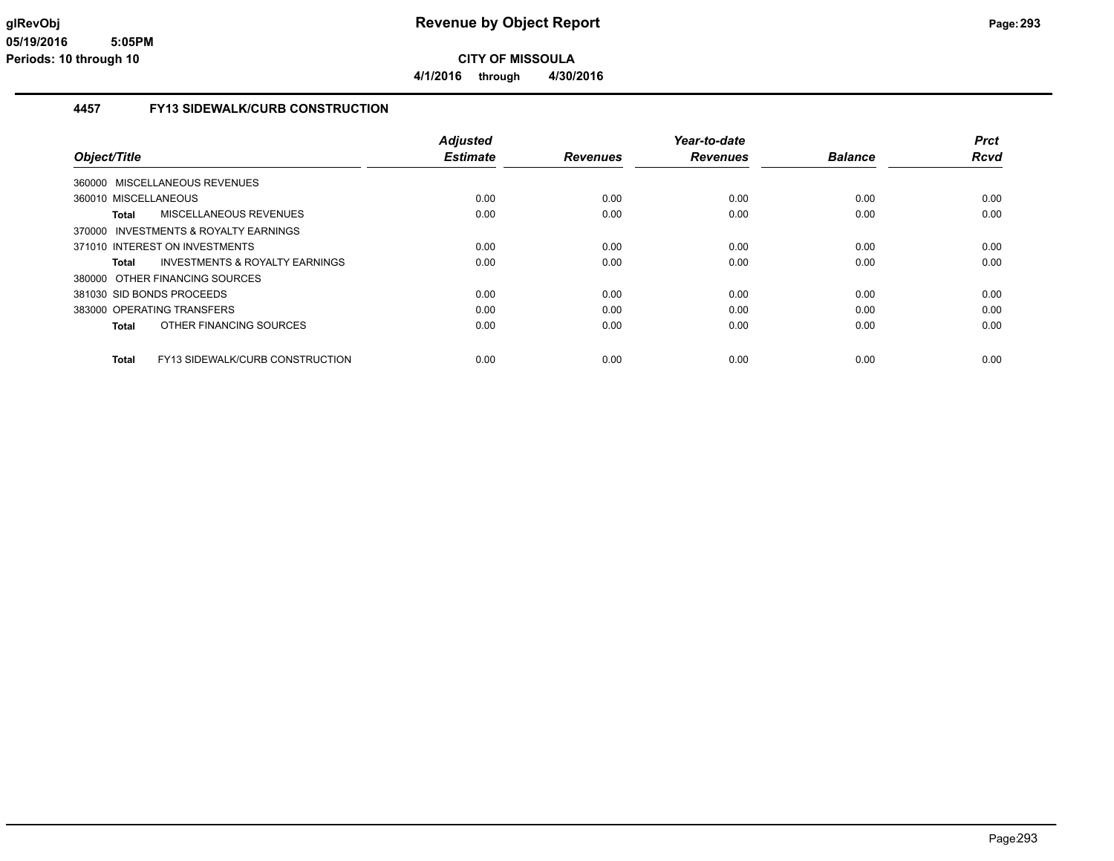**4/1/2016 through 4/30/2016**

## **4457 FY13 SIDEWALK/CURB CONSTRUCTION**

|                                                           | <b>Adjusted</b> |                 | Year-to-date    |                | <b>Prct</b> |
|-----------------------------------------------------------|-----------------|-----------------|-----------------|----------------|-------------|
| Object/Title                                              | <b>Estimate</b> | <b>Revenues</b> | <b>Revenues</b> | <b>Balance</b> | Rcvd        |
| 360000 MISCELLANEOUS REVENUES                             |                 |                 |                 |                |             |
| 360010 MISCELLANEOUS                                      | 0.00            | 0.00            | 0.00            | 0.00           | 0.00        |
| MISCELLANEOUS REVENUES<br>Total                           | 0.00            | 0.00            | 0.00            | 0.00           | 0.00        |
| 370000 INVESTMENTS & ROYALTY EARNINGS                     |                 |                 |                 |                |             |
| 371010 INTEREST ON INVESTMENTS                            | 0.00            | 0.00            | 0.00            | 0.00           | 0.00        |
| <b>INVESTMENTS &amp; ROYALTY EARNINGS</b><br><b>Total</b> | 0.00            | 0.00            | 0.00            | 0.00           | 0.00        |
| 380000 OTHER FINANCING SOURCES                            |                 |                 |                 |                |             |
| 381030 SID BONDS PROCEEDS                                 | 0.00            | 0.00            | 0.00            | 0.00           | 0.00        |
| 383000 OPERATING TRANSFERS                                | 0.00            | 0.00            | 0.00            | 0.00           | 0.00        |
| OTHER FINANCING SOURCES<br><b>Total</b>                   | 0.00            | 0.00            | 0.00            | 0.00           | 0.00        |
| <b>FY13 SIDEWALK/CURB CONSTRUCTION</b><br><b>Total</b>    | 0.00            | 0.00            | 0.00            | 0.00           | 0.00        |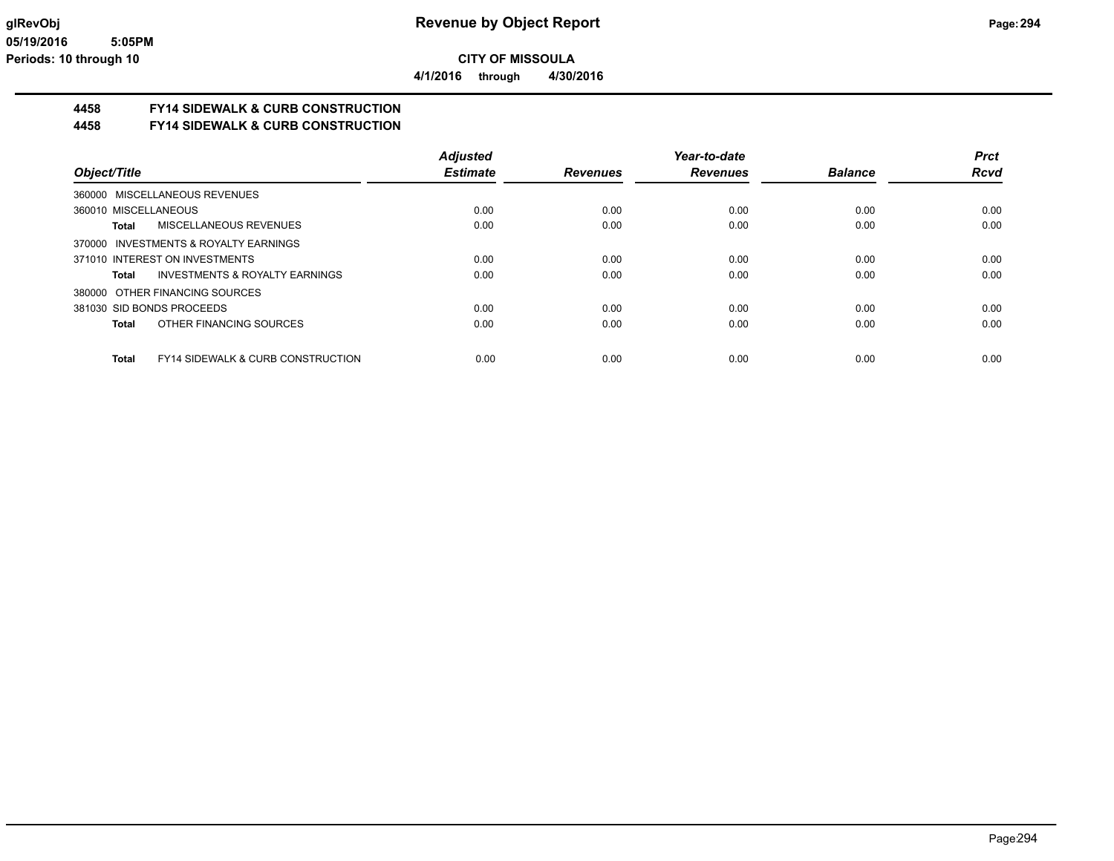**4/1/2016 through 4/30/2016**

# **4458 FY14 SIDEWALK & CURB CONSTRUCTION**

## **4458 FY14 SIDEWALK & CURB CONSTRUCTION**

|                                                       | <b>Adiusted</b> |                 | Year-to-date    |                | <b>Prct</b> |
|-------------------------------------------------------|-----------------|-----------------|-----------------|----------------|-------------|
| Object/Title                                          | <b>Estimate</b> | <b>Revenues</b> | <b>Revenues</b> | <b>Balance</b> | <b>Rcvd</b> |
| 360000 MISCELLANEOUS REVENUES                         |                 |                 |                 |                |             |
| 360010 MISCELLANEOUS                                  | 0.00            | 0.00            | 0.00            | 0.00           | 0.00        |
| <b>MISCELLANEOUS REVENUES</b><br>Total                | 0.00            | 0.00            | 0.00            | 0.00           | 0.00        |
| 370000 INVESTMENTS & ROYALTY EARNINGS                 |                 |                 |                 |                |             |
| 371010 INTEREST ON INVESTMENTS                        | 0.00            | 0.00            | 0.00            | 0.00           | 0.00        |
| <b>INVESTMENTS &amp; ROYALTY EARNINGS</b><br>Total    | 0.00            | 0.00            | 0.00            | 0.00           | 0.00        |
| 380000 OTHER FINANCING SOURCES                        |                 |                 |                 |                |             |
| 381030 SID BONDS PROCEEDS                             | 0.00            | 0.00            | 0.00            | 0.00           | 0.00        |
| OTHER FINANCING SOURCES<br>Total                      | 0.00            | 0.00            | 0.00            | 0.00           | 0.00        |
| <b>FY14 SIDEWALK &amp; CURB CONSTRUCTION</b><br>Total | 0.00            | 0.00            | 0.00            | 0.00           | 0.00        |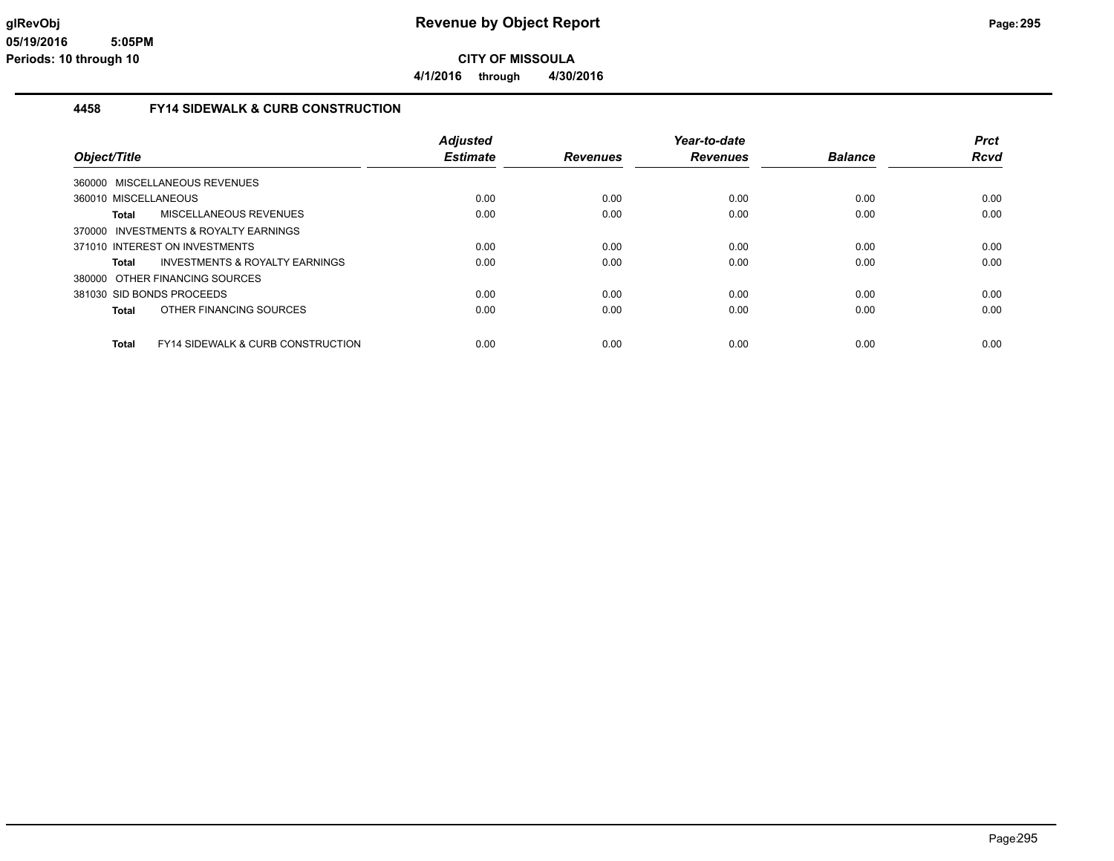**4/1/2016 through 4/30/2016**

### **4458 FY14 SIDEWALK & CURB CONSTRUCTION**

|                                |                                              | <b>Adjusted</b> |                 | Year-to-date    |                | <b>Prct</b> |
|--------------------------------|----------------------------------------------|-----------------|-----------------|-----------------|----------------|-------------|
| Object/Title                   |                                              | <b>Estimate</b> | <b>Revenues</b> | <b>Revenues</b> | <b>Balance</b> | <b>Rcvd</b> |
| 360000 MISCELLANEOUS REVENUES  |                                              |                 |                 |                 |                |             |
| 360010 MISCELLANEOUS           |                                              | 0.00            | 0.00            | 0.00            | 0.00           | 0.00        |
| Total                          | <b>MISCELLANEOUS REVENUES</b>                | 0.00            | 0.00            | 0.00            | 0.00           | 0.00        |
|                                | 370000 INVESTMENTS & ROYALTY EARNINGS        |                 |                 |                 |                |             |
| 371010 INTEREST ON INVESTMENTS |                                              | 0.00            | 0.00            | 0.00            | 0.00           | 0.00        |
| Total                          | INVESTMENTS & ROYALTY EARNINGS               | 0.00            | 0.00            | 0.00            | 0.00           | 0.00        |
| 380000 OTHER FINANCING SOURCES |                                              |                 |                 |                 |                |             |
| 381030 SID BONDS PROCEEDS      |                                              | 0.00            | 0.00            | 0.00            | 0.00           | 0.00        |
| Total                          | OTHER FINANCING SOURCES                      | 0.00            | 0.00            | 0.00            | 0.00           | 0.00        |
| <b>Total</b>                   | <b>FY14 SIDEWALK &amp; CURB CONSTRUCTION</b> | 0.00            | 0.00            | 0.00            | 0.00           | 0.00        |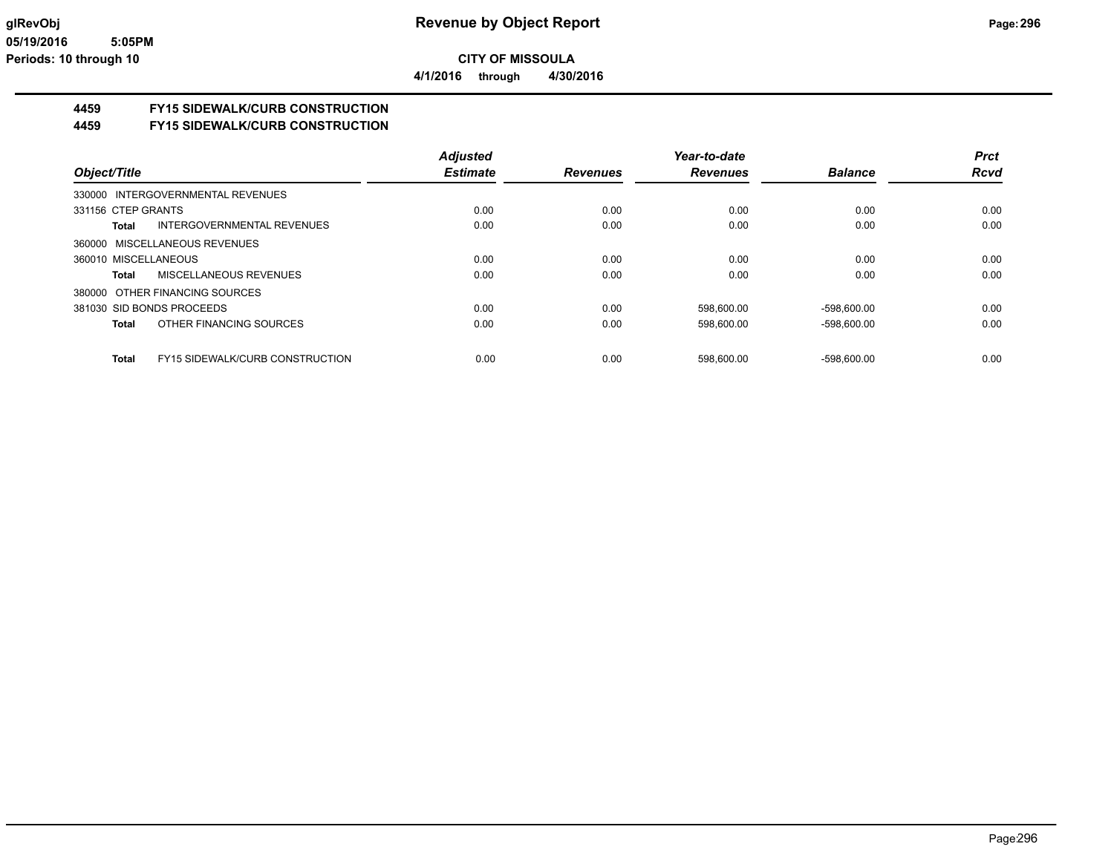**4/1/2016 through 4/30/2016**

## **4459 FY15 SIDEWALK/CURB CONSTRUCTION**

### **4459 FY15 SIDEWALK/CURB CONSTRUCTION**

|                      |                                        | <b>Adjusted</b> |                 | Year-to-date    |                | <b>Prct</b> |
|----------------------|----------------------------------------|-----------------|-----------------|-----------------|----------------|-------------|
| Object/Title         |                                        | <b>Estimate</b> | <b>Revenues</b> | <b>Revenues</b> | <b>Balance</b> | <b>Rcvd</b> |
|                      | 330000 INTERGOVERNMENTAL REVENUES      |                 |                 |                 |                |             |
| 331156 CTEP GRANTS   |                                        | 0.00            | 0.00            | 0.00            | 0.00           | 0.00        |
| Total                | INTERGOVERNMENTAL REVENUES             | 0.00            | 0.00            | 0.00            | 0.00           | 0.00        |
|                      | 360000 MISCELLANEOUS REVENUES          |                 |                 |                 |                |             |
| 360010 MISCELLANEOUS |                                        | 0.00            | 0.00            | 0.00            | 0.00           | 0.00        |
| Total                | <b>MISCELLANEOUS REVENUES</b>          | 0.00            | 0.00            | 0.00            | 0.00           | 0.00        |
|                      | 380000 OTHER FINANCING SOURCES         |                 |                 |                 |                |             |
|                      | 381030 SID BONDS PROCEEDS              | 0.00            | 0.00            | 598,600.00      | $-598.600.00$  | 0.00        |
| <b>Total</b>         | OTHER FINANCING SOURCES                | 0.00            | 0.00            | 598,600.00      | $-598,600.00$  | 0.00        |
| <b>Total</b>         | <b>FY15 SIDEWALK/CURB CONSTRUCTION</b> | 0.00            | 0.00            | 598.600.00      | $-598.600.00$  | 0.00        |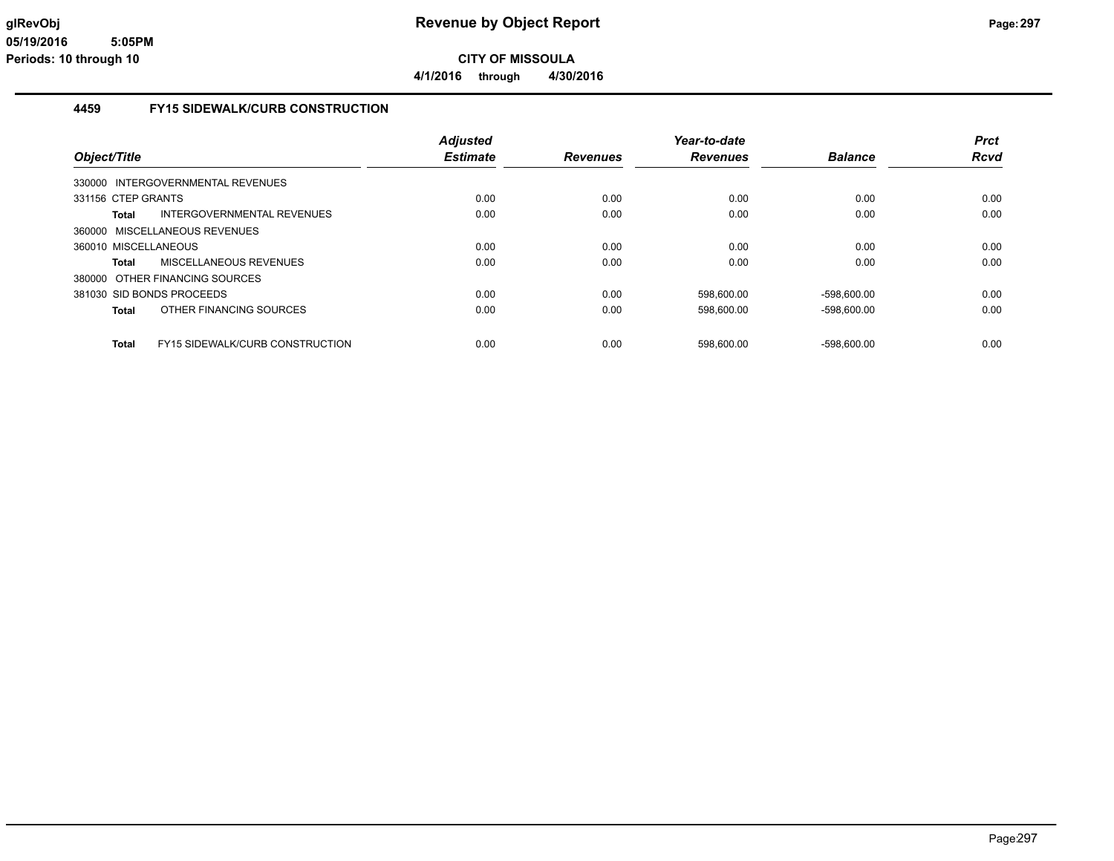**4/1/2016 through 4/30/2016**

## **4459 FY15 SIDEWALK/CURB CONSTRUCTION**

|                      |                                        | <b>Adjusted</b><br><b>Estimate</b> |                 | Year-to-date    | <b>Balance</b> | <b>Prct</b><br><b>Rcvd</b> |
|----------------------|----------------------------------------|------------------------------------|-----------------|-----------------|----------------|----------------------------|
| Object/Title         |                                        |                                    | <b>Revenues</b> | <b>Revenues</b> |                |                            |
|                      | 330000 INTERGOVERNMENTAL REVENUES      |                                    |                 |                 |                |                            |
| 331156 CTEP GRANTS   |                                        | 0.00                               | 0.00            | 0.00            | 0.00           | 0.00                       |
| Total                | INTERGOVERNMENTAL REVENUES             | 0.00                               | 0.00            | 0.00            | 0.00           | 0.00                       |
|                      | 360000 MISCELLANEOUS REVENUES          |                                    |                 |                 |                |                            |
| 360010 MISCELLANEOUS |                                        | 0.00                               | 0.00            | 0.00            | 0.00           | 0.00                       |
| Total                | MISCELLANEOUS REVENUES                 | 0.00                               | 0.00            | 0.00            | 0.00           | 0.00                       |
|                      | 380000 OTHER FINANCING SOURCES         |                                    |                 |                 |                |                            |
|                      | 381030 SID BONDS PROCEEDS              | 0.00                               | 0.00            | 598.600.00      | -598.600.00    | 0.00                       |
| Total                | OTHER FINANCING SOURCES                | 0.00                               | 0.00            | 598,600.00      | $-598,600.00$  | 0.00                       |
| <b>Total</b>         | <b>FY15 SIDEWALK/CURB CONSTRUCTION</b> | 0.00                               | 0.00            | 598.600.00      | $-598.600.00$  | 0.00                       |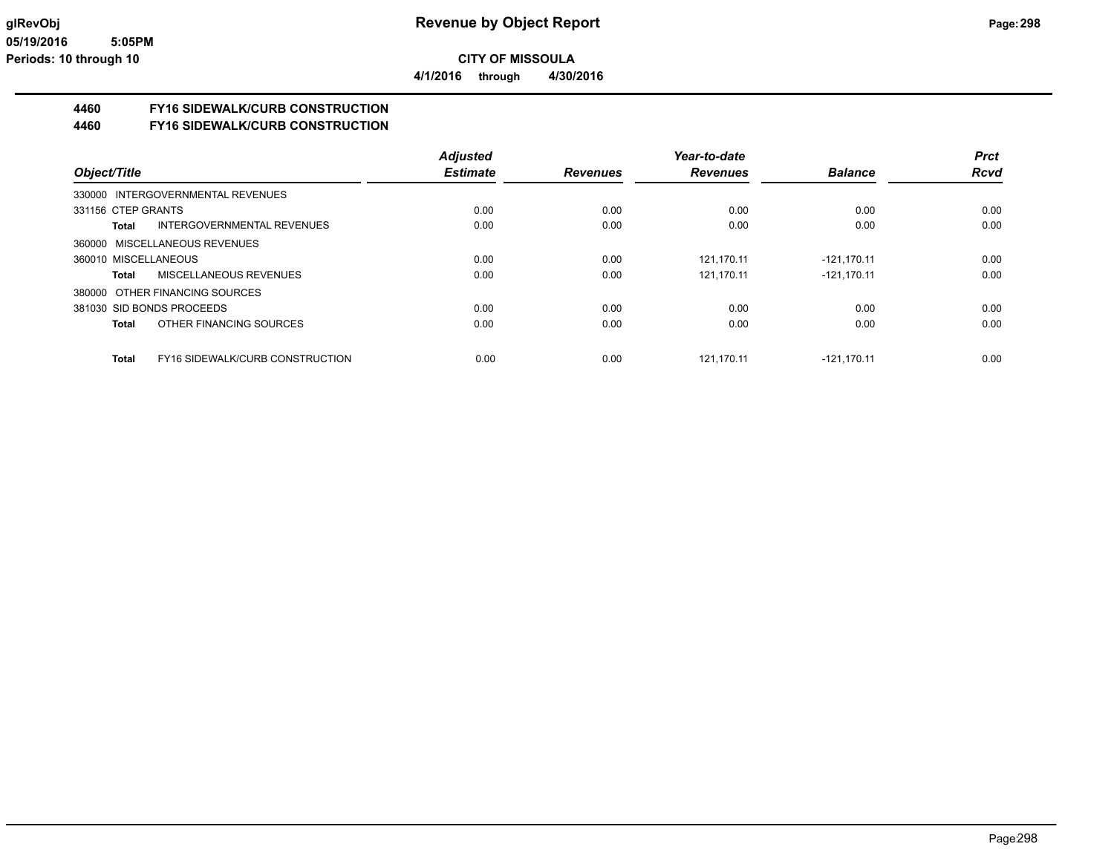**4/1/2016 through 4/30/2016**

## **4460 FY16 SIDEWALK/CURB CONSTRUCTION**

**4460 FY16 SIDEWALK/CURB CONSTRUCTION**

|                                                        | <b>Adjusted</b> |                 | Year-to-date    |                | <b>Prct</b> |
|--------------------------------------------------------|-----------------|-----------------|-----------------|----------------|-------------|
| Object/Title                                           | <b>Estimate</b> | <b>Revenues</b> | <b>Revenues</b> | <b>Balance</b> | <b>Rcvd</b> |
| 330000 INTERGOVERNMENTAL REVENUES                      |                 |                 |                 |                |             |
| 331156 CTEP GRANTS                                     | 0.00            | 0.00            | 0.00            | 0.00           | 0.00        |
| <b>INTERGOVERNMENTAL REVENUES</b><br>Total             | 0.00            | 0.00            | 0.00            | 0.00           | 0.00        |
| 360000 MISCELLANEOUS REVENUES                          |                 |                 |                 |                |             |
| 360010 MISCELLANEOUS                                   | 0.00            | 0.00            | 121.170.11      | $-121.170.11$  | 0.00        |
| MISCELLANEOUS REVENUES<br>Total                        | 0.00            | 0.00            | 121,170.11      | $-121,170.11$  | 0.00        |
| 380000 OTHER FINANCING SOURCES                         |                 |                 |                 |                |             |
| 381030 SID BONDS PROCEEDS                              | 0.00            | 0.00            | 0.00            | 0.00           | 0.00        |
| OTHER FINANCING SOURCES<br>Total                       | 0.00            | 0.00            | 0.00            | 0.00           | 0.00        |
| <b>FY16 SIDEWALK/CURB CONSTRUCTION</b><br><b>Total</b> | 0.00            | 0.00            | 121.170.11      | $-121.170.11$  | 0.00        |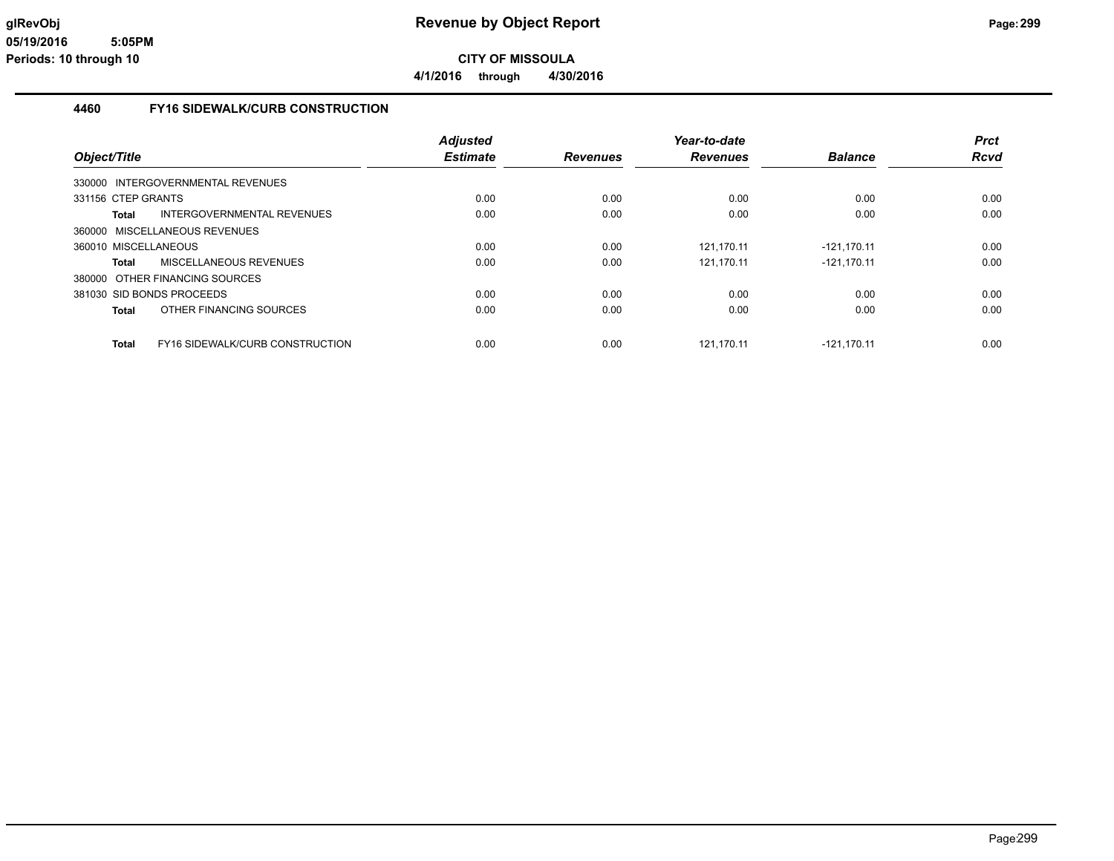**4/1/2016 through 4/30/2016**

### **4460 FY16 SIDEWALK/CURB CONSTRUCTION**

|                                                        | <b>Adjusted</b> |                 | Year-to-date    |                | <b>Prct</b> |
|--------------------------------------------------------|-----------------|-----------------|-----------------|----------------|-------------|
| Object/Title                                           | <b>Estimate</b> | <b>Revenues</b> | <b>Revenues</b> | <b>Balance</b> | <b>Rcvd</b> |
| 330000 INTERGOVERNMENTAL REVENUES                      |                 |                 |                 |                |             |
| 331156 CTEP GRANTS                                     | 0.00            | 0.00            | 0.00            | 0.00           | 0.00        |
| INTERGOVERNMENTAL REVENUES<br>Total                    | 0.00            | 0.00            | 0.00            | 0.00           | 0.00        |
| 360000 MISCELLANEOUS REVENUES                          |                 |                 |                 |                |             |
| 360010 MISCELLANEOUS                                   | 0.00            | 0.00            | 121.170.11      | -121.170.11    | 0.00        |
| MISCELLANEOUS REVENUES<br>Total                        | 0.00            | 0.00            | 121.170.11      | $-121.170.11$  | 0.00        |
| 380000 OTHER FINANCING SOURCES                         |                 |                 |                 |                |             |
| 381030 SID BONDS PROCEEDS                              | 0.00            | 0.00            | 0.00            | 0.00           | 0.00        |
| OTHER FINANCING SOURCES<br>Total                       | 0.00            | 0.00            | 0.00            | 0.00           | 0.00        |
| <b>FY16 SIDEWALK/CURB CONSTRUCTION</b><br><b>Total</b> | 0.00            | 0.00            | 121.170.11      | $-121.170.11$  | 0.00        |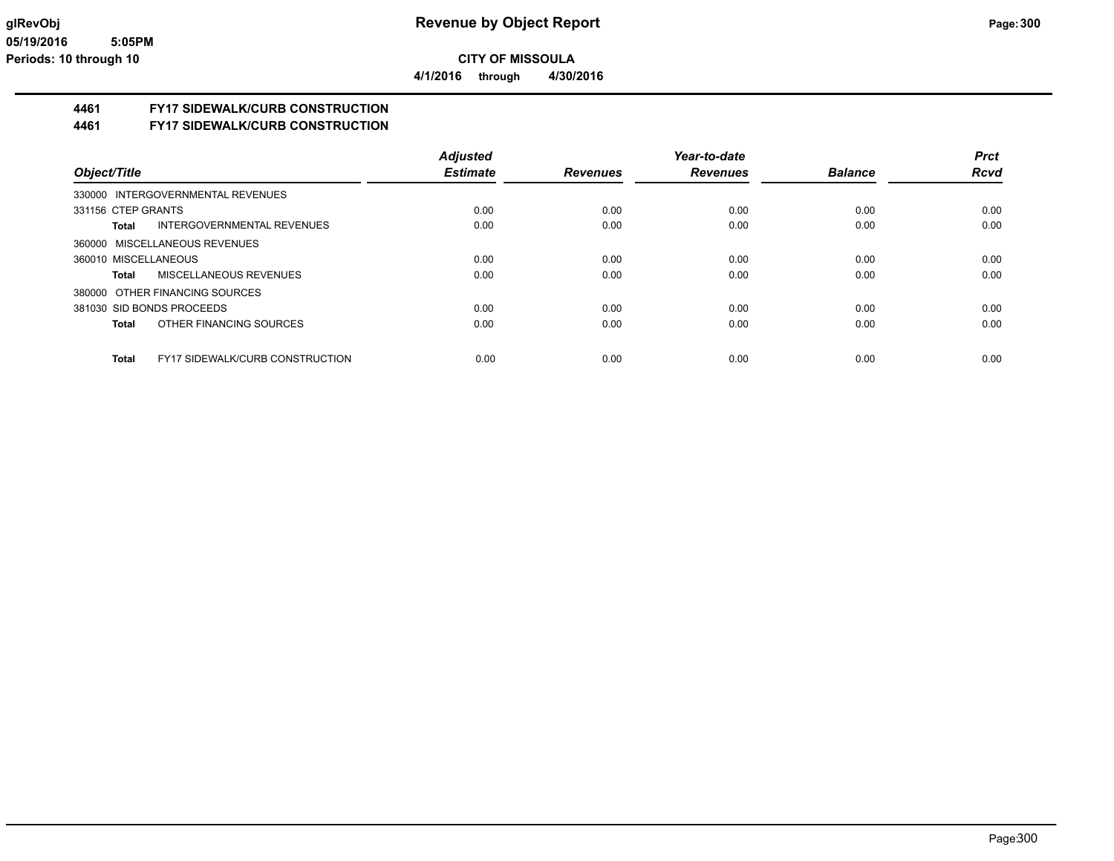**4/1/2016 through 4/30/2016**

## **4461 FY17 SIDEWALK/CURB CONSTRUCTION**

**4461 FY17 SIDEWALK/CURB CONSTRUCTION**

|                                                 | <b>Adjusted</b> |                 | Year-to-date    |                | <b>Prct</b> |
|-------------------------------------------------|-----------------|-----------------|-----------------|----------------|-------------|
| Object/Title                                    | <b>Estimate</b> | <b>Revenues</b> | <b>Revenues</b> | <b>Balance</b> | <b>Rcvd</b> |
| 330000 INTERGOVERNMENTAL REVENUES               |                 |                 |                 |                |             |
| 331156 CTEP GRANTS                              | 0.00            | 0.00            | 0.00            | 0.00           | 0.00        |
| INTERGOVERNMENTAL REVENUES<br>Total             | 0.00            | 0.00            | 0.00            | 0.00           | 0.00        |
| 360000 MISCELLANEOUS REVENUES                   |                 |                 |                 |                |             |
| 360010 MISCELLANEOUS                            | 0.00            | 0.00            | 0.00            | 0.00           | 0.00        |
| <b>MISCELLANEOUS REVENUES</b><br>Total          | 0.00            | 0.00            | 0.00            | 0.00           | 0.00        |
| 380000 OTHER FINANCING SOURCES                  |                 |                 |                 |                |             |
| 381030 SID BONDS PROCEEDS                       | 0.00            | 0.00            | 0.00            | 0.00           | 0.00        |
| OTHER FINANCING SOURCES<br>Total                | 0.00            | 0.00            | 0.00            | 0.00           | 0.00        |
|                                                 |                 |                 |                 |                |             |
| <b>FY17 SIDEWALK/CURB CONSTRUCTION</b><br>Total | 0.00            | 0.00            | 0.00            | 0.00           | 0.00        |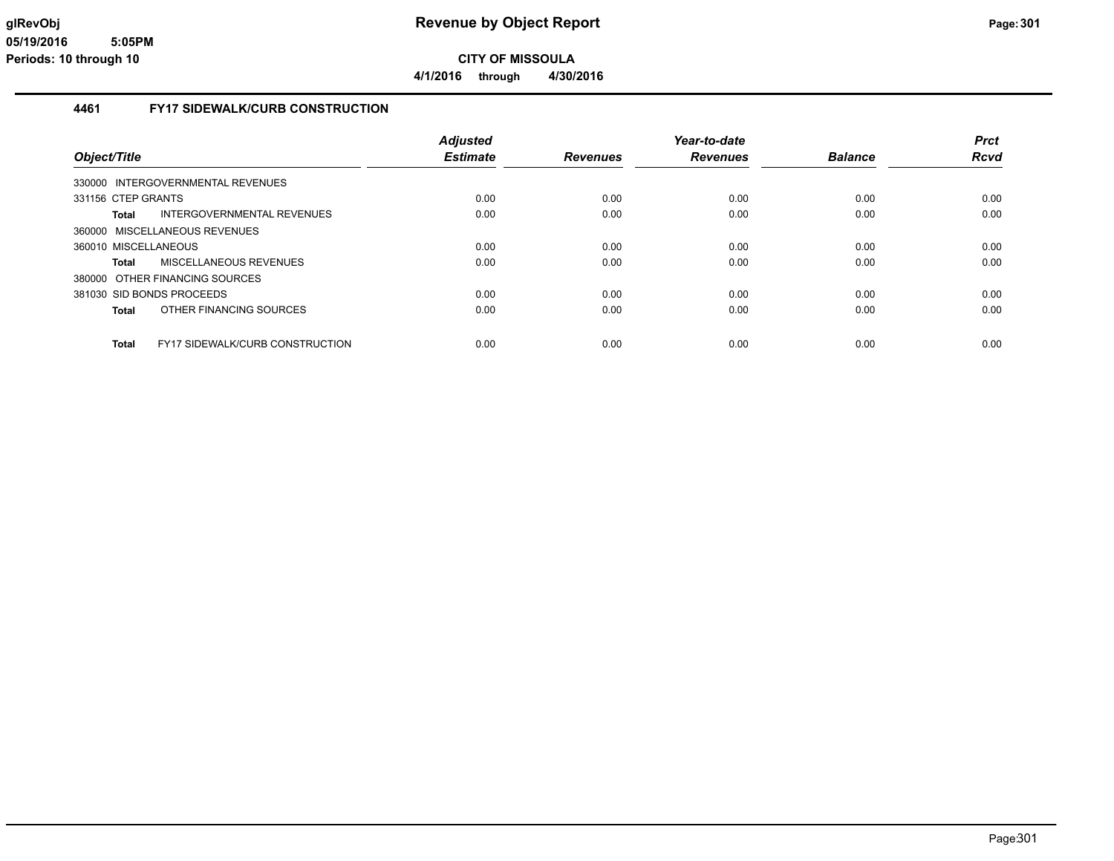**4/1/2016 through 4/30/2016**

## **4461 FY17 SIDEWALK/CURB CONSTRUCTION**

|                                                        | <b>Adjusted</b> |                 | Year-to-date    |                | <b>Prct</b> |
|--------------------------------------------------------|-----------------|-----------------|-----------------|----------------|-------------|
| Object/Title                                           | <b>Estimate</b> | <b>Revenues</b> | <b>Revenues</b> | <b>Balance</b> | <b>Rcvd</b> |
| 330000 INTERGOVERNMENTAL REVENUES                      |                 |                 |                 |                |             |
| 331156 CTEP GRANTS                                     | 0.00            | 0.00            | 0.00            | 0.00           | 0.00        |
| INTERGOVERNMENTAL REVENUES<br><b>Total</b>             | 0.00            | 0.00            | 0.00            | 0.00           | 0.00        |
| 360000 MISCELLANEOUS REVENUES                          |                 |                 |                 |                |             |
| 360010 MISCELLANEOUS                                   | 0.00            | 0.00            | 0.00            | 0.00           | 0.00        |
| <b>MISCELLANEOUS REVENUES</b><br>Total                 | 0.00            | 0.00            | 0.00            | 0.00           | 0.00        |
| 380000 OTHER FINANCING SOURCES                         |                 |                 |                 |                |             |
| 381030 SID BONDS PROCEEDS                              | 0.00            | 0.00            | 0.00            | 0.00           | 0.00        |
| OTHER FINANCING SOURCES<br><b>Total</b>                | 0.00            | 0.00            | 0.00            | 0.00           | 0.00        |
| <b>Total</b><br><b>FY17 SIDEWALK/CURB CONSTRUCTION</b> | 0.00            | 0.00            | 0.00            | 0.00           | 0.00        |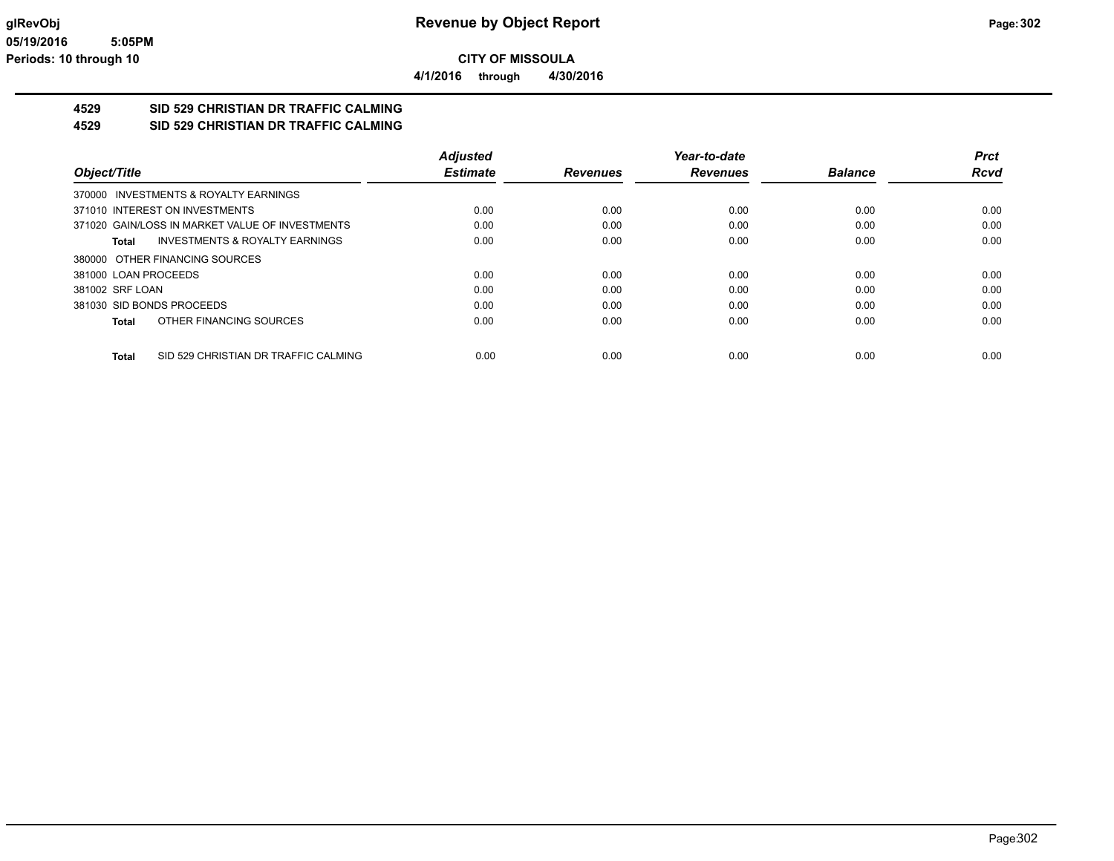**4/1/2016 through 4/30/2016**

# **4529 SID 529 CHRISTIAN DR TRAFFIC CALMING**

## **4529 SID 529 CHRISTIAN DR TRAFFIC CALMING**

|                           |                                                 | <b>Adiusted</b> |                 | Year-to-date    |                | Prct        |
|---------------------------|-------------------------------------------------|-----------------|-----------------|-----------------|----------------|-------------|
| Object/Title              |                                                 | <b>Estimate</b> | <b>Revenues</b> | <b>Revenues</b> | <b>Balance</b> | <b>Rcvd</b> |
|                           | 370000 INVESTMENTS & ROYALTY EARNINGS           |                 |                 |                 |                |             |
|                           | 371010 INTEREST ON INVESTMENTS                  | 0.00            | 0.00            | 0.00            | 0.00           | 0.00        |
|                           | 371020 GAIN/LOSS IN MARKET VALUE OF INVESTMENTS | 0.00            | 0.00            | 0.00            | 0.00           | 0.00        |
| Total                     | INVESTMENTS & ROYALTY EARNINGS                  | 0.00            | 0.00            | 0.00            | 0.00           | 0.00        |
|                           | 380000 OTHER FINANCING SOURCES                  |                 |                 |                 |                |             |
| 381000 LOAN PROCEEDS      |                                                 | 0.00            | 0.00            | 0.00            | 0.00           | 0.00        |
| 381002 SRF LOAN           |                                                 | 0.00            | 0.00            | 0.00            | 0.00           | 0.00        |
| 381030 SID BONDS PROCEEDS |                                                 | 0.00            | 0.00            | 0.00            | 0.00           | 0.00        |
| Total                     | OTHER FINANCING SOURCES                         | 0.00            | 0.00            | 0.00            | 0.00           | 0.00        |
| Total                     | SID 529 CHRISTIAN DR TRAFFIC CALMING            | 0.00            | 0.00            | 0.00            | 0.00           | 0.00        |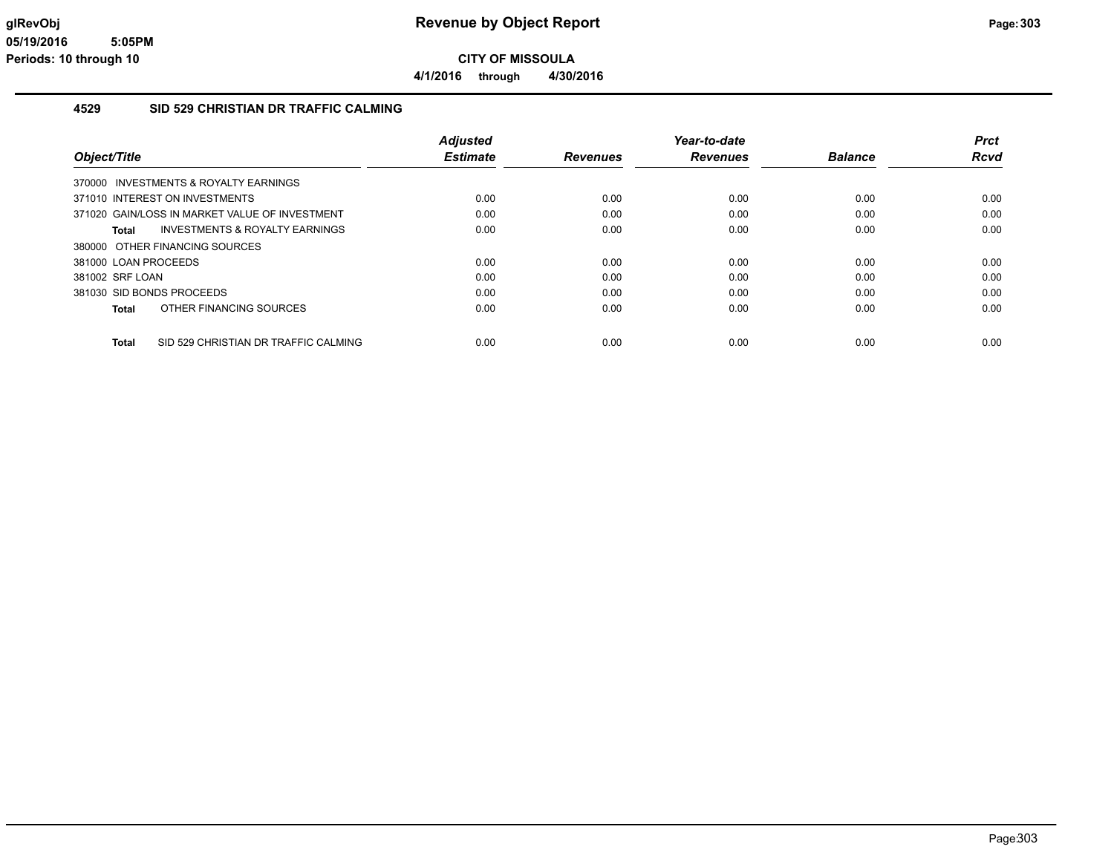**CITY OF MISSOULA 4/1/2016 through 4/30/2016**

#### **4529 SID 529 CHRISTIAN DR TRAFFIC CALMING**

| Object/Title                                   |                                           | <b>Adjusted</b><br><b>Estimate</b> | <b>Revenues</b> | Year-to-date<br><b>Revenues</b> | <b>Balance</b> | Prct<br><b>Rcvd</b> |
|------------------------------------------------|-------------------------------------------|------------------------------------|-----------------|---------------------------------|----------------|---------------------|
| 370000 INVESTMENTS & ROYALTY EARNINGS          |                                           |                                    |                 |                                 |                |                     |
| 371010 INTEREST ON INVESTMENTS                 |                                           | 0.00                               | 0.00            | 0.00                            | 0.00           | 0.00                |
| 371020 GAIN/LOSS IN MARKET VALUE OF INVESTMENT |                                           | 0.00                               | 0.00            | 0.00                            | 0.00           | 0.00                |
| Total                                          | <b>INVESTMENTS &amp; ROYALTY EARNINGS</b> | 0.00                               | 0.00            | 0.00                            | 0.00           | 0.00                |
| 380000 OTHER FINANCING SOURCES                 |                                           |                                    |                 |                                 |                |                     |
| 381000 LOAN PROCEEDS                           |                                           | 0.00                               | 0.00            | 0.00                            | 0.00           | 0.00                |
| 381002 SRF LOAN                                |                                           | 0.00                               | 0.00            | 0.00                            | 0.00           | 0.00                |
| 381030 SID BONDS PROCEEDS                      |                                           | 0.00                               | 0.00            | 0.00                            | 0.00           | 0.00                |
| OTHER FINANCING SOURCES<br>Total               |                                           | 0.00                               | 0.00            | 0.00                            | 0.00           | 0.00                |
| <b>Total</b>                                   | SID 529 CHRISTIAN DR TRAFFIC CALMING      | 0.00                               | 0.00            | 0.00                            | 0.00           | 0.00                |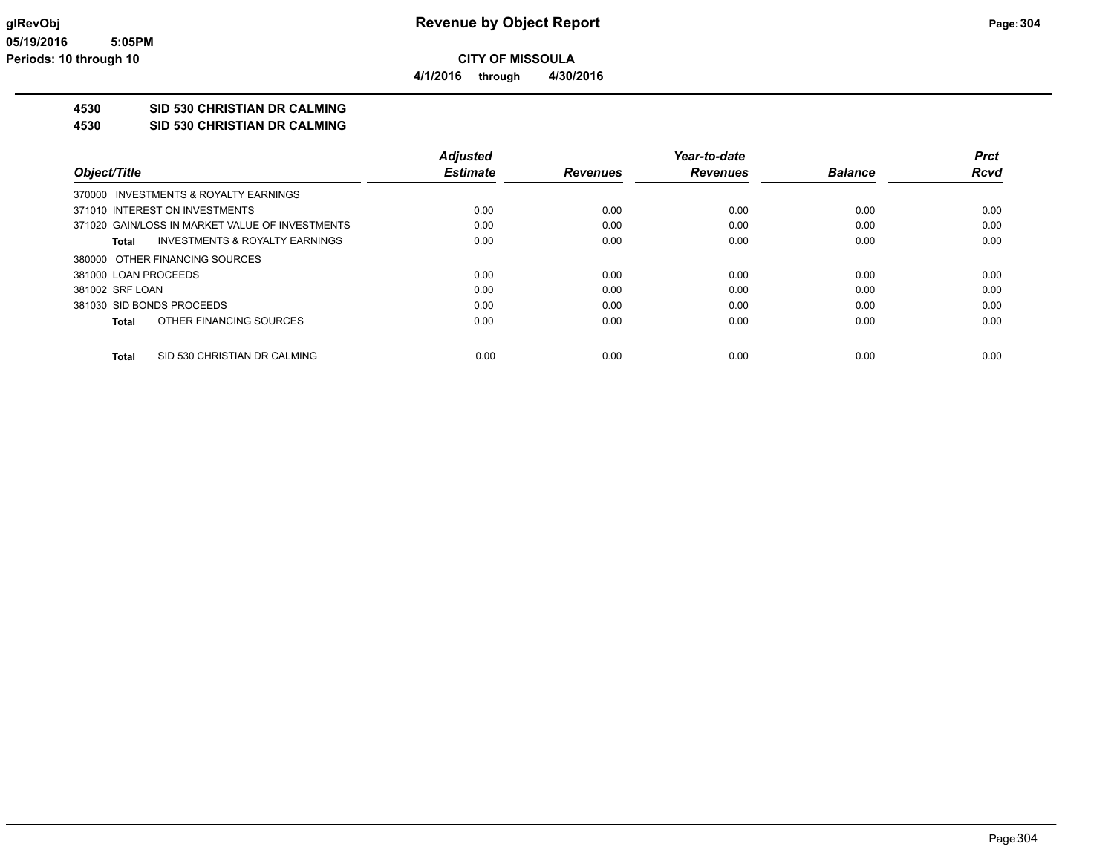**4/1/2016 through 4/30/2016**

## **4530 SID 530 CHRISTIAN DR CALMING**

**4530 SID 530 CHRISTIAN DR CALMING**

|                                                    | <b>Adjusted</b> |                 | Year-to-date    |                | <b>Prct</b> |
|----------------------------------------------------|-----------------|-----------------|-----------------|----------------|-------------|
| Object/Title                                       | <b>Estimate</b> | <b>Revenues</b> | <b>Revenues</b> | <b>Balance</b> | <b>Rcvd</b> |
| 370000 INVESTMENTS & ROYALTY EARNINGS              |                 |                 |                 |                |             |
| 371010 INTEREST ON INVESTMENTS                     | 0.00            | 0.00            | 0.00            | 0.00           | 0.00        |
| 371020 GAIN/LOSS IN MARKET VALUE OF INVESTMENTS    | 0.00            | 0.00            | 0.00            | 0.00           | 0.00        |
| <b>INVESTMENTS &amp; ROYALTY EARNINGS</b><br>Total | 0.00            | 0.00            | 0.00            | 0.00           | 0.00        |
| 380000 OTHER FINANCING SOURCES                     |                 |                 |                 |                |             |
| 381000 LOAN PROCEEDS                               | 0.00            | 0.00            | 0.00            | 0.00           | 0.00        |
| 381002 SRF LOAN                                    | 0.00            | 0.00            | 0.00            | 0.00           | 0.00        |
| 381030 SID BONDS PROCEEDS                          | 0.00            | 0.00            | 0.00            | 0.00           | 0.00        |
| OTHER FINANCING SOURCES<br>Total                   | 0.00            | 0.00            | 0.00            | 0.00           | 0.00        |
| SID 530 CHRISTIAN DR CALMING<br>Total              | 0.00            | 0.00            | 0.00            | 0.00           | 0.00        |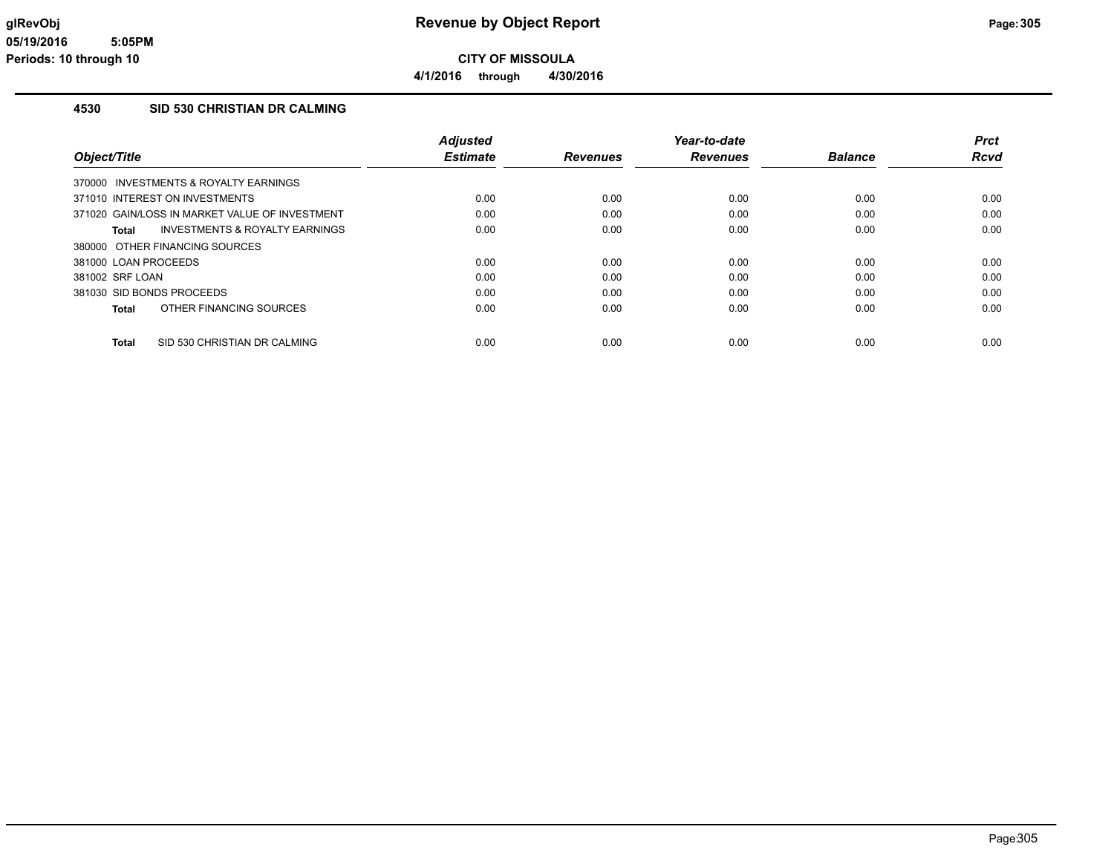**4/1/2016 through 4/30/2016**

### **4530 SID 530 CHRISTIAN DR CALMING**

| Object/Title                                       | <b>Adjusted</b><br><b>Estimate</b> | <b>Revenues</b> | Year-to-date<br><b>Revenues</b> | <b>Balance</b> | <b>Prct</b><br><b>Rcvd</b> |
|----------------------------------------------------|------------------------------------|-----------------|---------------------------------|----------------|----------------------------|
| 370000 INVESTMENTS & ROYALTY EARNINGS              |                                    |                 |                                 |                |                            |
| 371010 INTEREST ON INVESTMENTS                     | 0.00                               | 0.00            | 0.00                            | 0.00           | 0.00                       |
| 371020 GAIN/LOSS IN MARKET VALUE OF INVESTMENT     | 0.00                               | 0.00            | 0.00                            | 0.00           | 0.00                       |
| <b>INVESTMENTS &amp; ROYALTY EARNINGS</b><br>Total | 0.00                               | 0.00            | 0.00                            | 0.00           | 0.00                       |
| 380000 OTHER FINANCING SOURCES                     |                                    |                 |                                 |                |                            |
| 381000 LOAN PROCEEDS                               | 0.00                               | 0.00            | 0.00                            | 0.00           | 0.00                       |
| 381002 SRF LOAN                                    | 0.00                               | 0.00            | 0.00                            | 0.00           | 0.00                       |
| 381030 SID BONDS PROCEEDS                          | 0.00                               | 0.00            | 0.00                            | 0.00           | 0.00                       |
| OTHER FINANCING SOURCES<br>Total                   | 0.00                               | 0.00            | 0.00                            | 0.00           | 0.00                       |
| SID 530 CHRISTIAN DR CALMING<br><b>Total</b>       | 0.00                               | 0.00            | 0.00                            | 0.00           | 0.00                       |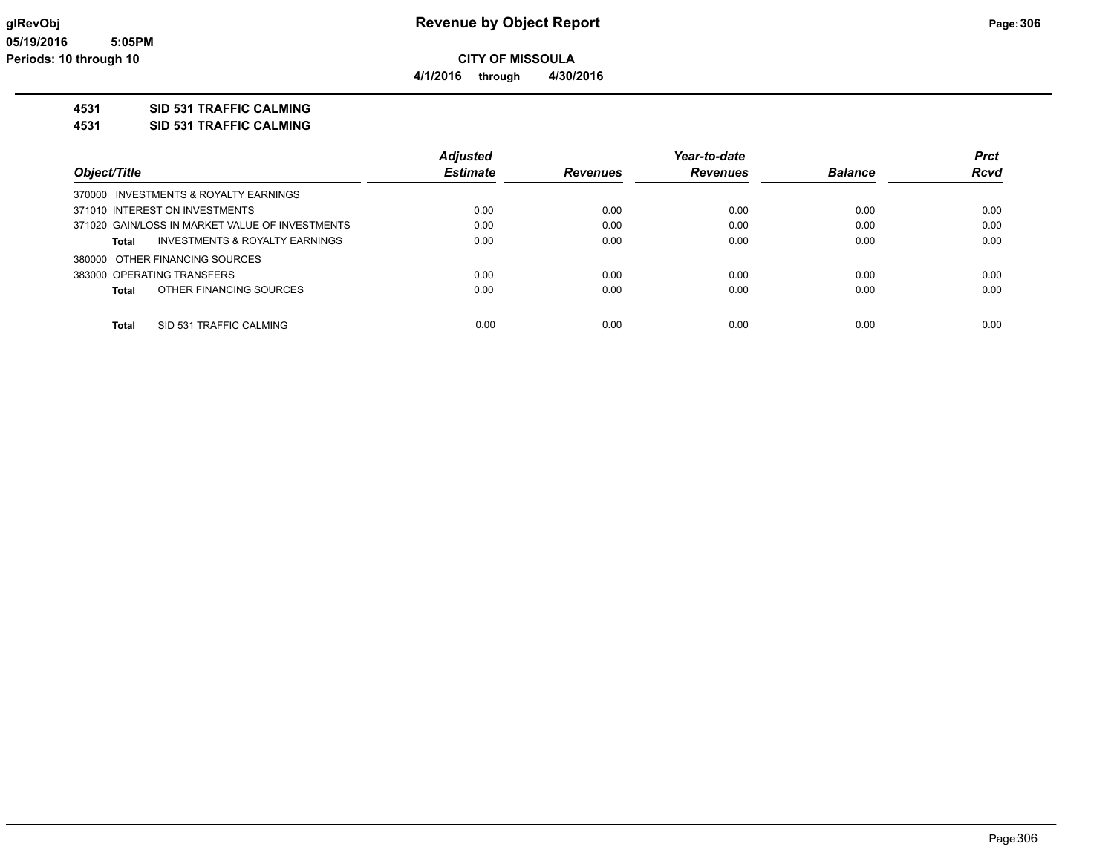**4/1/2016 through 4/30/2016**

## **4531 SID 531 TRAFFIC CALMING**

**4531 SID 531 TRAFFIC CALMING**

|                                                 | <b>Adjusted</b> |                 | Year-to-date    |                | <b>Prct</b> |
|-------------------------------------------------|-----------------|-----------------|-----------------|----------------|-------------|
| Object/Title                                    | <b>Estimate</b> | <b>Revenues</b> | <b>Revenues</b> | <b>Balance</b> | <b>Rcvd</b> |
| 370000 INVESTMENTS & ROYALTY EARNINGS           |                 |                 |                 |                |             |
| 371010 INTEREST ON INVESTMENTS                  | 0.00            | 0.00            | 0.00            | 0.00           | 0.00        |
| 371020 GAIN/LOSS IN MARKET VALUE OF INVESTMENTS | 0.00            | 0.00            | 0.00            | 0.00           | 0.00        |
| INVESTMENTS & ROYALTY EARNINGS<br>Total         | 0.00            | 0.00            | 0.00            | 0.00           | 0.00        |
| 380000 OTHER FINANCING SOURCES                  |                 |                 |                 |                |             |
| 383000 OPERATING TRANSFERS                      | 0.00            | 0.00            | 0.00            | 0.00           | 0.00        |
| OTHER FINANCING SOURCES<br><b>Total</b>         | 0.00            | 0.00            | 0.00            | 0.00           | 0.00        |
|                                                 |                 |                 |                 |                |             |
| SID 531 TRAFFIC CALMING<br><b>Total</b>         | 0.00            | 0.00            | 0.00            | 0.00           | 0.00        |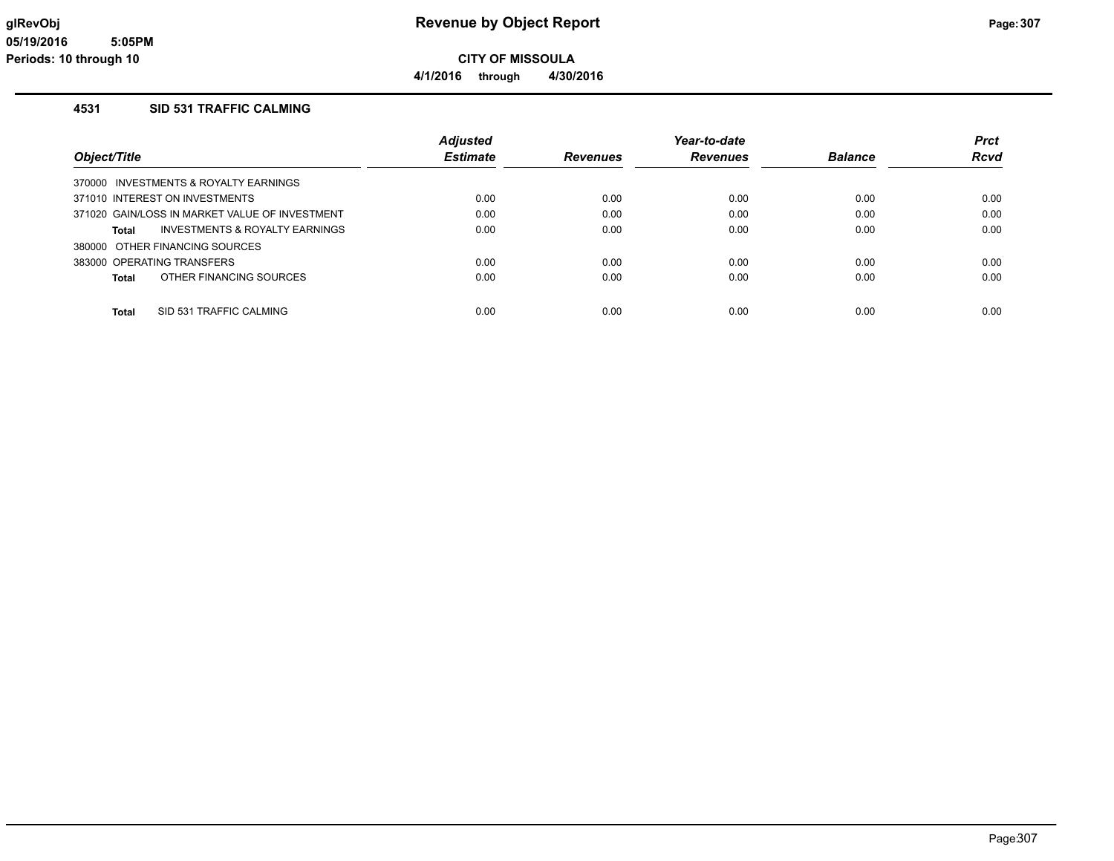**CITY OF MISSOULA 4/1/2016 through 4/30/2016**

### **4531 SID 531 TRAFFIC CALMING**

|                                                | <b>Adjusted</b> |                 | Year-to-date    |                | <b>Prct</b> |
|------------------------------------------------|-----------------|-----------------|-----------------|----------------|-------------|
| Object/Title                                   | <b>Estimate</b> | <b>Revenues</b> | <b>Revenues</b> | <b>Balance</b> | <b>Rcvd</b> |
| 370000 INVESTMENTS & ROYALTY EARNINGS          |                 |                 |                 |                |             |
| 371010 INTEREST ON INVESTMENTS                 | 0.00            | 0.00            | 0.00            | 0.00           | 0.00        |
| 371020 GAIN/LOSS IN MARKET VALUE OF INVESTMENT | 0.00            | 0.00            | 0.00            | 0.00           | 0.00        |
| INVESTMENTS & ROYALTY EARNINGS<br>Total        | 0.00            | 0.00            | 0.00            | 0.00           | 0.00        |
| 380000 OTHER FINANCING SOURCES                 |                 |                 |                 |                |             |
| 383000 OPERATING TRANSFERS                     | 0.00            | 0.00            | 0.00            | 0.00           | 0.00        |
| OTHER FINANCING SOURCES<br>Total               | 0.00            | 0.00            | 0.00            | 0.00           | 0.00        |
|                                                |                 |                 |                 |                |             |
| SID 531 TRAFFIC CALMING<br>Total               | 0.00            | 0.00            | 0.00            | 0.00           | 0.00        |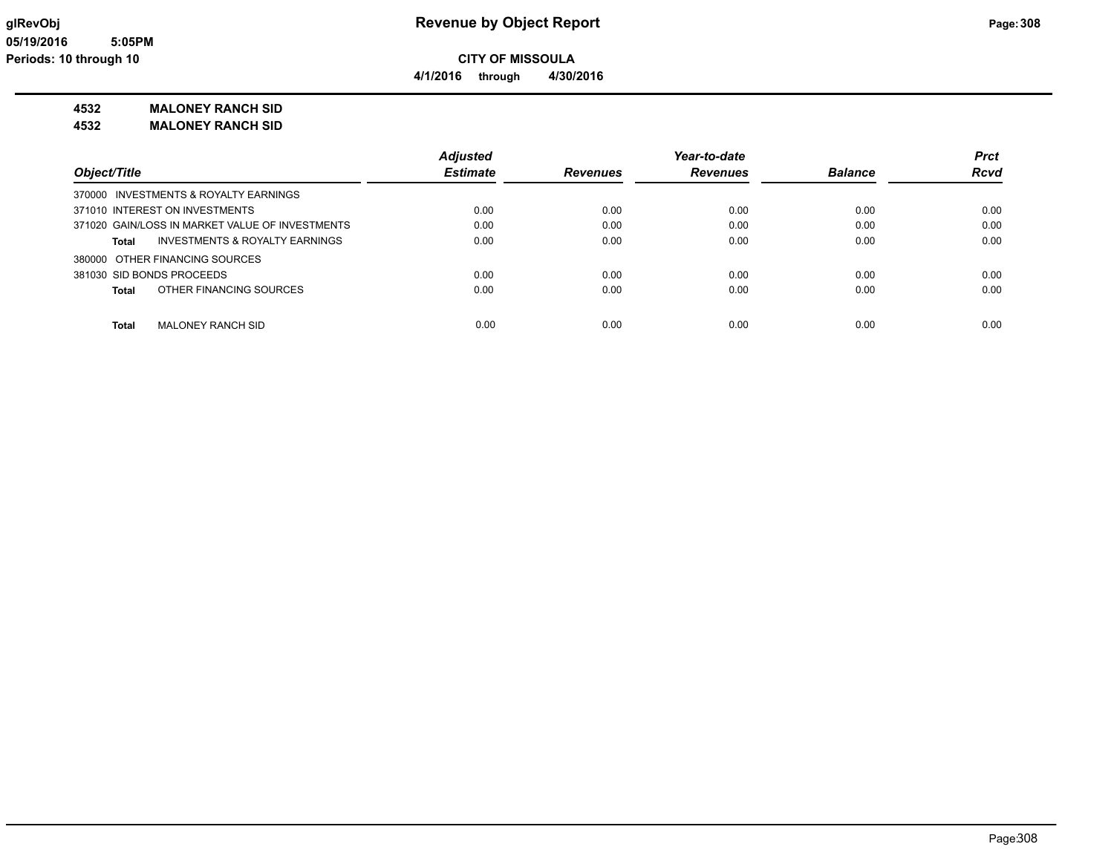**4/1/2016 through 4/30/2016**

## **4532 MALONEY RANCH SID**

**4532 MALONEY RANCH SID**

|                                                 | <b>Adjusted</b> |                 | Year-to-date    |                | <b>Prct</b> |
|-------------------------------------------------|-----------------|-----------------|-----------------|----------------|-------------|
| Object/Title                                    | <b>Estimate</b> | <b>Revenues</b> | <b>Revenues</b> | <b>Balance</b> | <b>Rcvd</b> |
| 370000 INVESTMENTS & ROYALTY EARNINGS           |                 |                 |                 |                |             |
| 371010 INTEREST ON INVESTMENTS                  | 0.00            | 0.00            | 0.00            | 0.00           | 0.00        |
| 371020 GAIN/LOSS IN MARKET VALUE OF INVESTMENTS | 0.00            | 0.00            | 0.00            | 0.00           | 0.00        |
| INVESTMENTS & ROYALTY EARNINGS<br>Total         | 0.00            | 0.00            | 0.00            | 0.00           | 0.00        |
| 380000 OTHER FINANCING SOURCES                  |                 |                 |                 |                |             |
| 381030 SID BONDS PROCEEDS                       | 0.00            | 0.00            | 0.00            | 0.00           | 0.00        |
| OTHER FINANCING SOURCES<br>Total                | 0.00            | 0.00            | 0.00            | 0.00           | 0.00        |
|                                                 |                 |                 |                 |                |             |
| <b>MALONEY RANCH SID</b><br>Total               | 0.00            | 0.00            | 0.00            | 0.00           | 0.00        |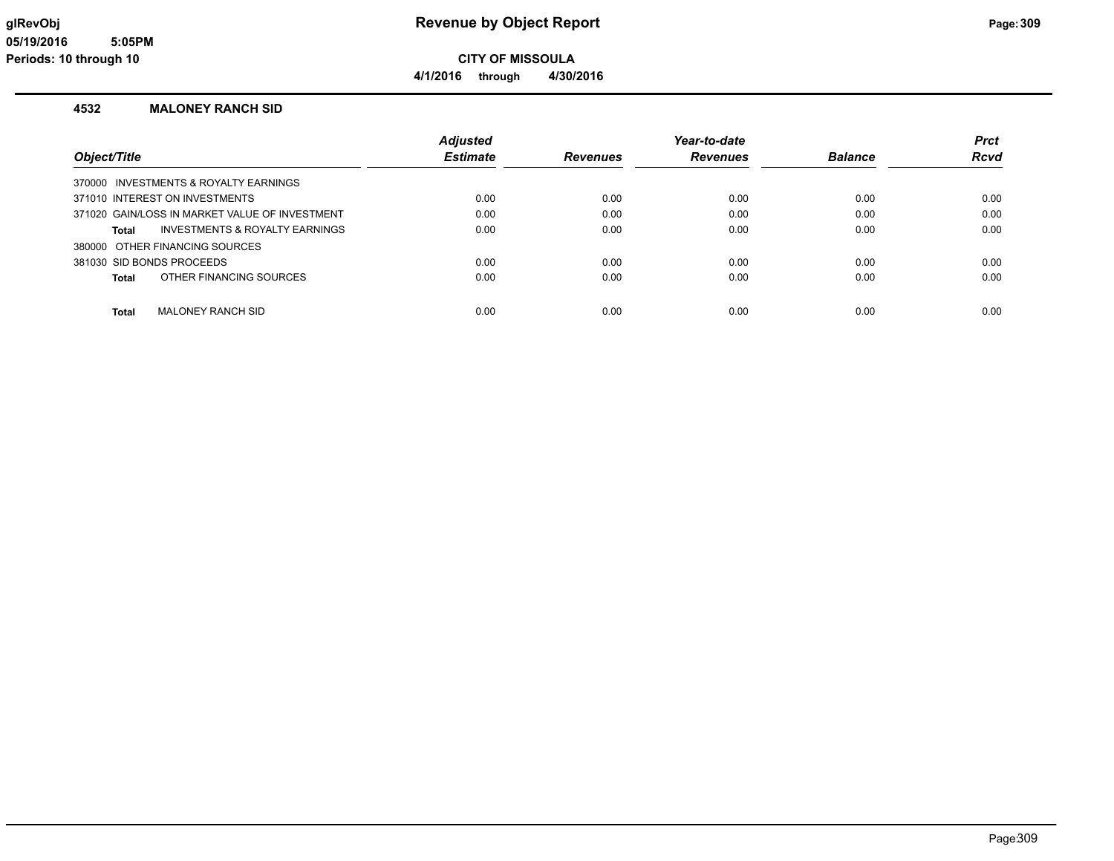**4/1/2016 through 4/30/2016**

#### **4532 MALONEY RANCH SID**

|                                                | <b>Adjusted</b> |                 | Year-to-date    |                | <b>Prct</b> |
|------------------------------------------------|-----------------|-----------------|-----------------|----------------|-------------|
| Obiect/Title                                   | <b>Estimate</b> | <b>Revenues</b> | <b>Revenues</b> | <b>Balance</b> | <b>Rcvd</b> |
| 370000 INVESTMENTS & ROYALTY EARNINGS          |                 |                 |                 |                |             |
| 371010 INTEREST ON INVESTMENTS                 | 0.00            | 0.00            | 0.00            | 0.00           | 0.00        |
| 371020 GAIN/LOSS IN MARKET VALUE OF INVESTMENT | 0.00            | 0.00            | 0.00            | 0.00           | 0.00        |
| INVESTMENTS & ROYALTY EARNINGS<br>Total        | 0.00            | 0.00            | 0.00            | 0.00           | 0.00        |
| 380000 OTHER FINANCING SOURCES                 |                 |                 |                 |                |             |
| 381030 SID BONDS PROCEEDS                      | 0.00            | 0.00            | 0.00            | 0.00           | 0.00        |
| OTHER FINANCING SOURCES<br>Total               | 0.00            | 0.00            | 0.00            | 0.00           | 0.00        |
|                                                |                 |                 |                 |                |             |
| <b>MALONEY RANCH SID</b><br><b>Total</b>       | 0.00            | 0.00            | 0.00            | 0.00           | 0.00        |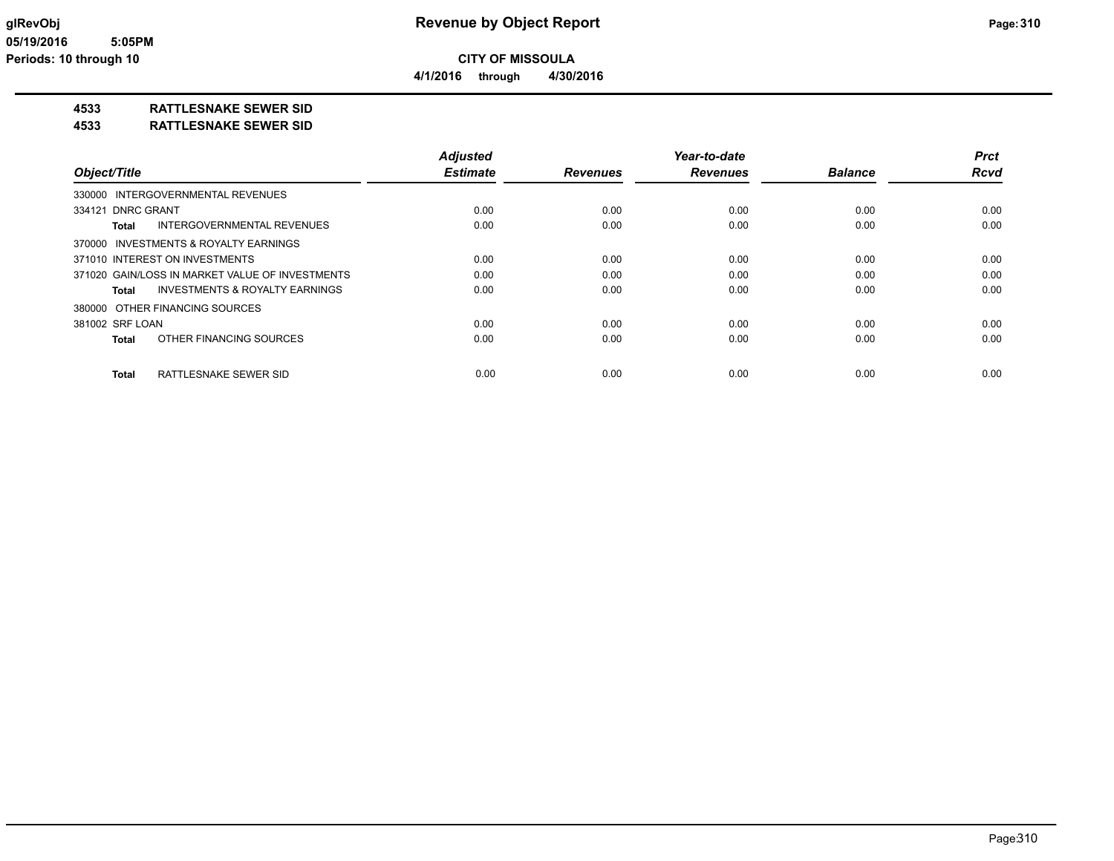**4/1/2016 through 4/30/2016**

## **4533 RATTLESNAKE SEWER SID**

**4533 RATTLESNAKE SEWER SID**

|                                                    | <b>Adjusted</b> |                 | Year-to-date    |                | <b>Prct</b> |
|----------------------------------------------------|-----------------|-----------------|-----------------|----------------|-------------|
| Object/Title                                       | <b>Estimate</b> | <b>Revenues</b> | <b>Revenues</b> | <b>Balance</b> | <b>Rcvd</b> |
| 330000 INTERGOVERNMENTAL REVENUES                  |                 |                 |                 |                |             |
| 334121 DNRC GRANT                                  | 0.00            | 0.00            | 0.00            | 0.00           | 0.00        |
| <b>INTERGOVERNMENTAL REVENUES</b><br>Total         | 0.00            | 0.00            | 0.00            | 0.00           | 0.00        |
| 370000 INVESTMENTS & ROYALTY EARNINGS              |                 |                 |                 |                |             |
| 371010 INTEREST ON INVESTMENTS                     | 0.00            | 0.00            | 0.00            | 0.00           | 0.00        |
| 371020 GAIN/LOSS IN MARKET VALUE OF INVESTMENTS    | 0.00            | 0.00            | 0.00            | 0.00           | 0.00        |
| <b>INVESTMENTS &amp; ROYALTY EARNINGS</b><br>Total | 0.00            | 0.00            | 0.00            | 0.00           | 0.00        |
| 380000 OTHER FINANCING SOURCES                     |                 |                 |                 |                |             |
| 381002 SRF LOAN                                    | 0.00            | 0.00            | 0.00            | 0.00           | 0.00        |
| OTHER FINANCING SOURCES<br>Total                   | 0.00            | 0.00            | 0.00            | 0.00           | 0.00        |
| RATTLESNAKE SEWER SID<br>Total                     | 0.00            | 0.00            | 0.00            | 0.00           | 0.00        |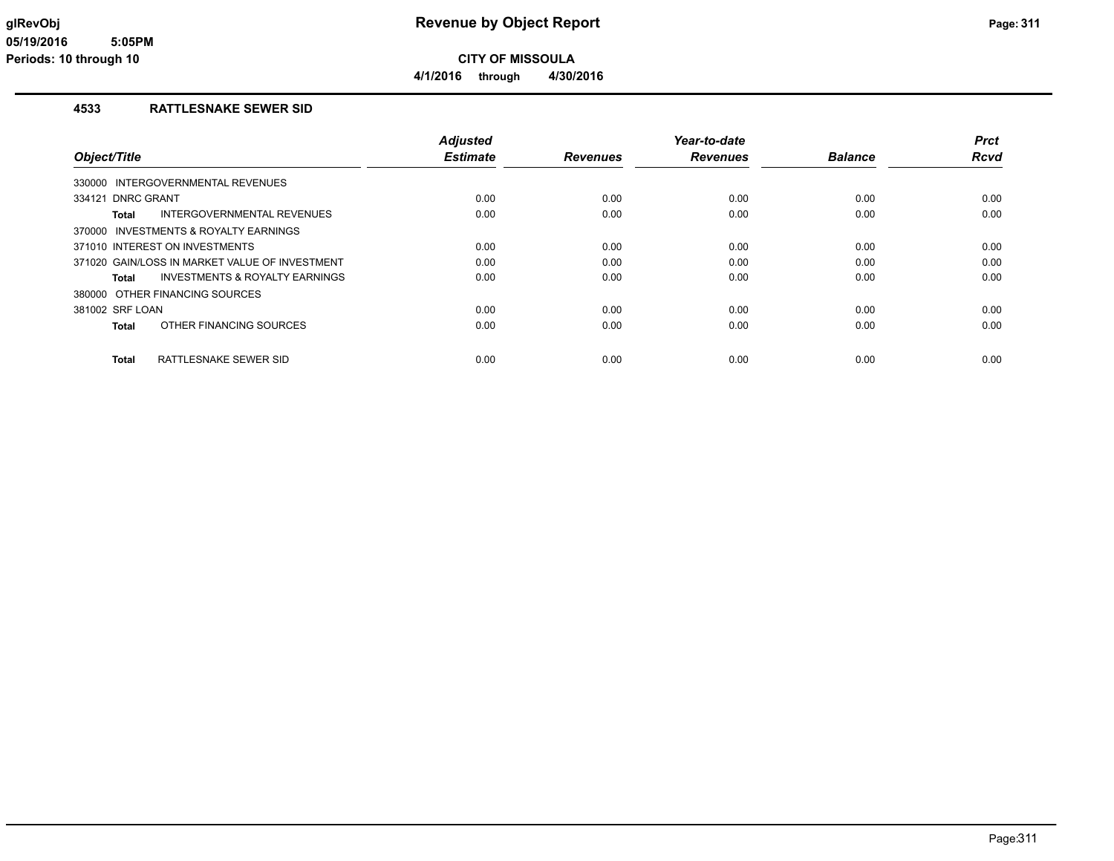**4/1/2016 through 4/30/2016**

#### **4533 RATTLESNAKE SEWER SID**

|                                |                                                | <b>Adjusted</b> |                 | Year-to-date    |                | <b>Prct</b> |
|--------------------------------|------------------------------------------------|-----------------|-----------------|-----------------|----------------|-------------|
| Object/Title                   |                                                | <b>Estimate</b> | <b>Revenues</b> | <b>Revenues</b> | <b>Balance</b> | <b>Rcvd</b> |
|                                | 330000 INTERGOVERNMENTAL REVENUES              |                 |                 |                 |                |             |
| 334121 DNRC GRANT              |                                                | 0.00            | 0.00            | 0.00            | 0.00           | 0.00        |
| Total                          | <b>INTERGOVERNMENTAL REVENUES</b>              | 0.00            | 0.00            | 0.00            | 0.00           | 0.00        |
|                                | 370000 INVESTMENTS & ROYALTY EARNINGS          |                 |                 |                 |                |             |
| 371010 INTEREST ON INVESTMENTS |                                                | 0.00            | 0.00            | 0.00            | 0.00           | 0.00        |
|                                | 371020 GAIN/LOSS IN MARKET VALUE OF INVESTMENT | 0.00            | 0.00            | 0.00            | 0.00           | 0.00        |
| Total                          | <b>INVESTMENTS &amp; ROYALTY EARNINGS</b>      | 0.00            | 0.00            | 0.00            | 0.00           | 0.00        |
| 380000 OTHER FINANCING SOURCES |                                                |                 |                 |                 |                |             |
| 381002 SRF LOAN                |                                                | 0.00            | 0.00            | 0.00            | 0.00           | 0.00        |
| Total                          | OTHER FINANCING SOURCES                        | 0.00            | 0.00            | 0.00            | 0.00           | 0.00        |
| <b>Total</b>                   | <b>RATTLESNAKE SEWER SID</b>                   | 0.00            | 0.00            | 0.00            | 0.00           | 0.00        |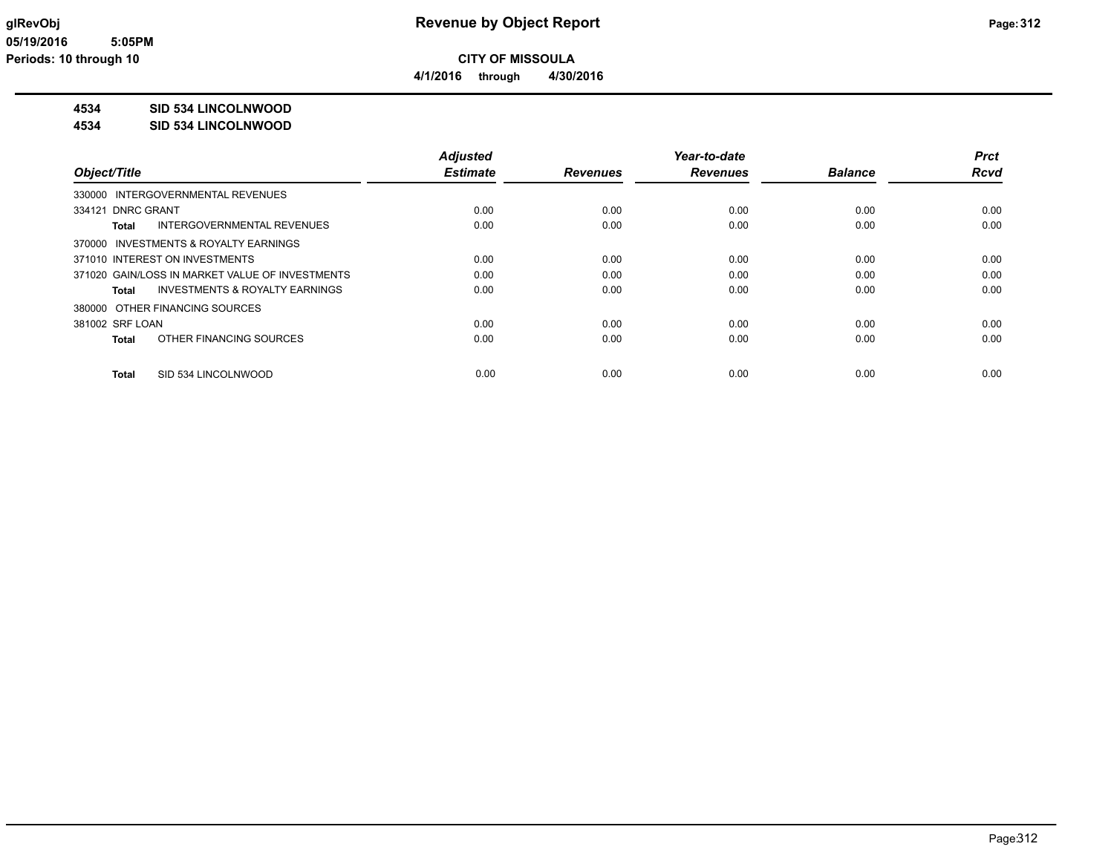**4/1/2016 through 4/30/2016**

## **4534 SID 534 LINCOLNWOOD**

**4534 SID 534 LINCOLNWOOD**

|                                                 | <b>Adjusted</b> |                 | Year-to-date    |                | <b>Prct</b> |
|-------------------------------------------------|-----------------|-----------------|-----------------|----------------|-------------|
| Object/Title                                    | <b>Estimate</b> | <b>Revenues</b> | <b>Revenues</b> | <b>Balance</b> | Rcvd        |
| 330000 INTERGOVERNMENTAL REVENUES               |                 |                 |                 |                |             |
| 334121 DNRC GRANT                               | 0.00            | 0.00            | 0.00            | 0.00           | 0.00        |
| <b>INTERGOVERNMENTAL REVENUES</b><br>Total      | 0.00            | 0.00            | 0.00            | 0.00           | 0.00        |
| 370000 INVESTMENTS & ROYALTY EARNINGS           |                 |                 |                 |                |             |
| 371010 INTEREST ON INVESTMENTS                  | 0.00            | 0.00            | 0.00            | 0.00           | 0.00        |
| 371020 GAIN/LOSS IN MARKET VALUE OF INVESTMENTS | 0.00            | 0.00            | 0.00            | 0.00           | 0.00        |
| INVESTMENTS & ROYALTY EARNINGS<br>Total         | 0.00            | 0.00            | 0.00            | 0.00           | 0.00        |
| 380000 OTHER FINANCING SOURCES                  |                 |                 |                 |                |             |
| 381002 SRF LOAN                                 | 0.00            | 0.00            | 0.00            | 0.00           | 0.00        |
| OTHER FINANCING SOURCES<br>Total                | 0.00            | 0.00            | 0.00            | 0.00           | 0.00        |
| SID 534 LINCOLNWOOD<br>Total                    | 0.00            | 0.00            | 0.00            | 0.00           | 0.00        |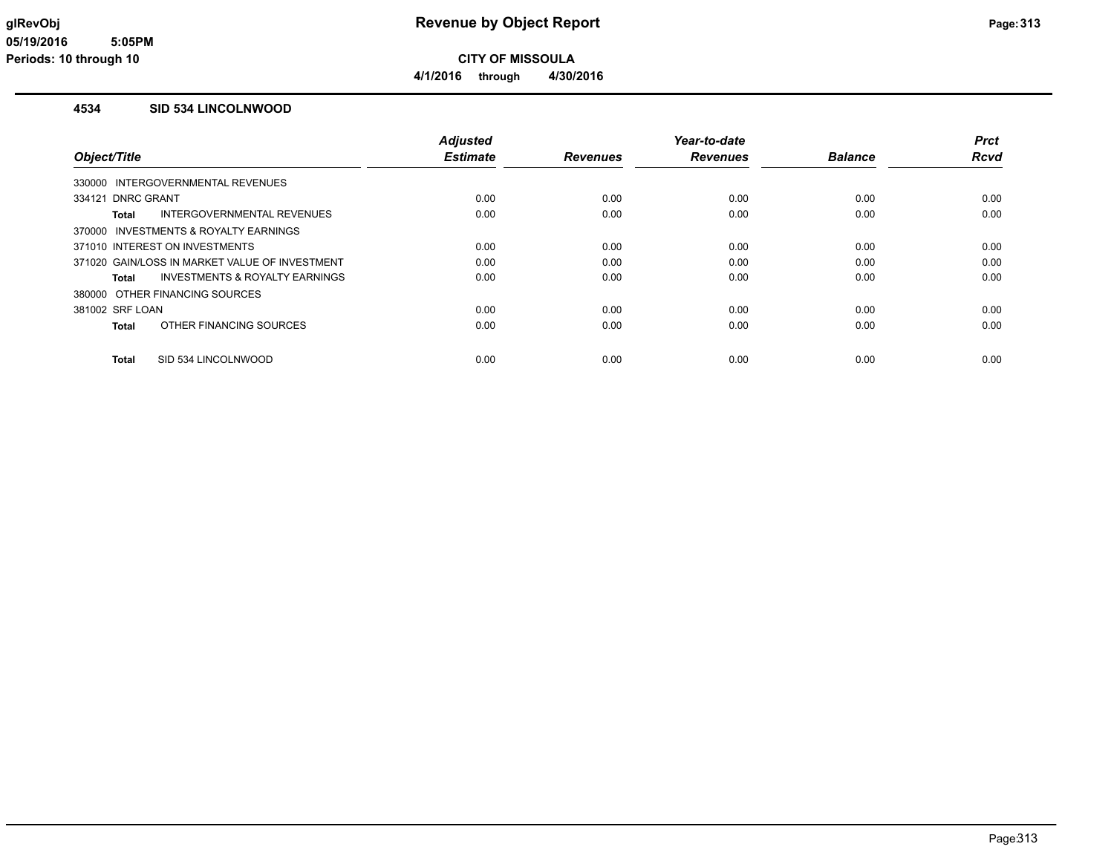**4/1/2016 through 4/30/2016**

#### **4534 SID 534 LINCOLNWOOD**

|                                |                                                | <b>Adjusted</b> |                 | Year-to-date    |                | <b>Prct</b> |
|--------------------------------|------------------------------------------------|-----------------|-----------------|-----------------|----------------|-------------|
| Object/Title                   |                                                | <b>Estimate</b> | <b>Revenues</b> | <b>Revenues</b> | <b>Balance</b> | <b>Rcvd</b> |
|                                | 330000 INTERGOVERNMENTAL REVENUES              |                 |                 |                 |                |             |
| 334121 DNRC GRANT              |                                                | 0.00            | 0.00            | 0.00            | 0.00           | 0.00        |
| Total                          | <b>INTERGOVERNMENTAL REVENUES</b>              | 0.00            | 0.00            | 0.00            | 0.00           | 0.00        |
|                                | 370000 INVESTMENTS & ROYALTY EARNINGS          |                 |                 |                 |                |             |
| 371010 INTEREST ON INVESTMENTS |                                                | 0.00            | 0.00            | 0.00            | 0.00           | 0.00        |
|                                | 371020 GAIN/LOSS IN MARKET VALUE OF INVESTMENT | 0.00            | 0.00            | 0.00            | 0.00           | 0.00        |
| Total                          | <b>INVESTMENTS &amp; ROYALTY EARNINGS</b>      | 0.00            | 0.00            | 0.00            | 0.00           | 0.00        |
|                                | 380000 OTHER FINANCING SOURCES                 |                 |                 |                 |                |             |
| 381002 SRF LOAN                |                                                | 0.00            | 0.00            | 0.00            | 0.00           | 0.00        |
| Total                          | OTHER FINANCING SOURCES                        | 0.00            | 0.00            | 0.00            | 0.00           | 0.00        |
| Total                          | SID 534 LINCOLNWOOD                            | 0.00            | 0.00            | 0.00            | 0.00           | 0.00        |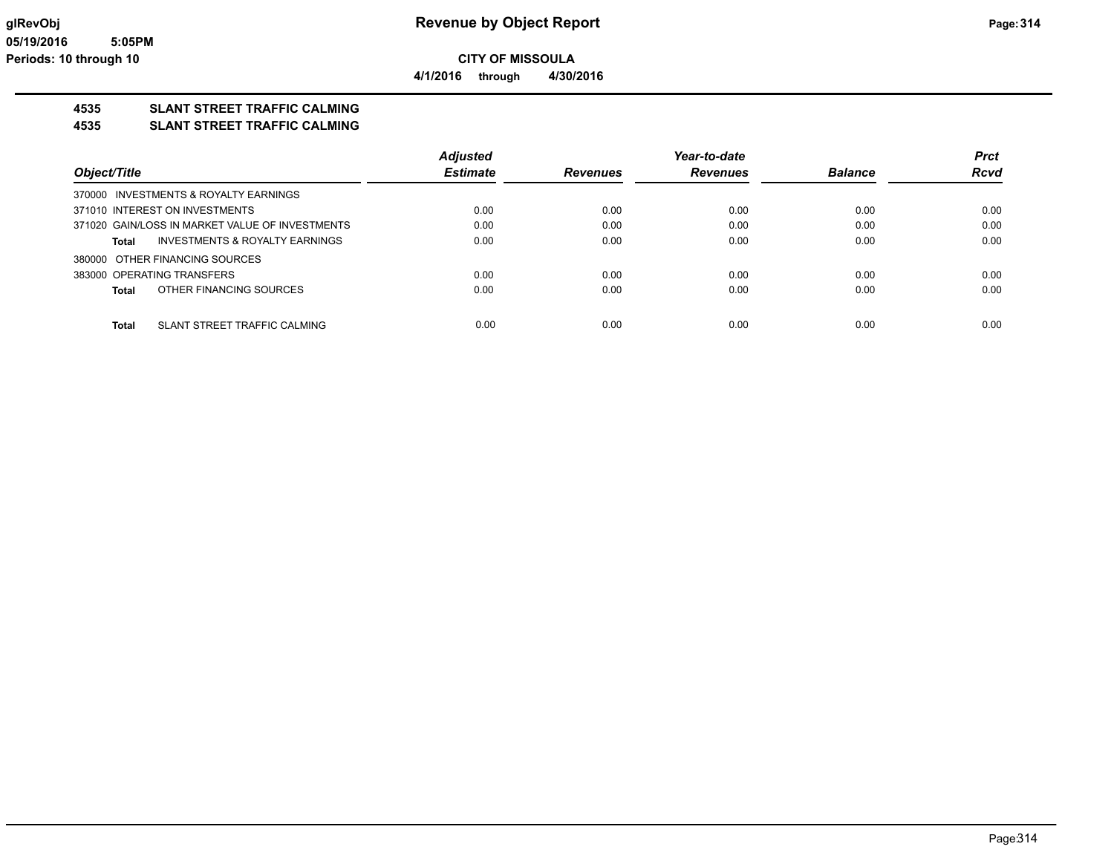**CITY OF MISSOULA 4/1/2016 through 4/30/2016**

## **4535 SLANT STREET TRAFFIC CALMING**

**4535 SLANT STREET TRAFFIC CALMING**

|                                                    | <b>Adjusted</b> |                 | Year-to-date    |                | <b>Prct</b> |
|----------------------------------------------------|-----------------|-----------------|-----------------|----------------|-------------|
| Object/Title                                       | <b>Estimate</b> | <b>Revenues</b> | <b>Revenues</b> | <b>Balance</b> | <b>Rcvd</b> |
| 370000 INVESTMENTS & ROYALTY EARNINGS              |                 |                 |                 |                |             |
| 371010 INTEREST ON INVESTMENTS                     | 0.00            | 0.00            | 0.00            | 0.00           | 0.00        |
| 371020 GAIN/LOSS IN MARKET VALUE OF INVESTMENTS    | 0.00            | 0.00            | 0.00            | 0.00           | 0.00        |
| <b>INVESTMENTS &amp; ROYALTY EARNINGS</b><br>Total | 0.00            | 0.00            | 0.00            | 0.00           | 0.00        |
| 380000 OTHER FINANCING SOURCES                     |                 |                 |                 |                |             |
| 383000 OPERATING TRANSFERS                         | 0.00            | 0.00            | 0.00            | 0.00           | 0.00        |
| OTHER FINANCING SOURCES<br><b>Total</b>            | 0.00            | 0.00            | 0.00            | 0.00           | 0.00        |
| SLANT STREET TRAFFIC CALMING<br>Total              | 0.00            | 0.00            | 0.00            | 0.00           | 0.00        |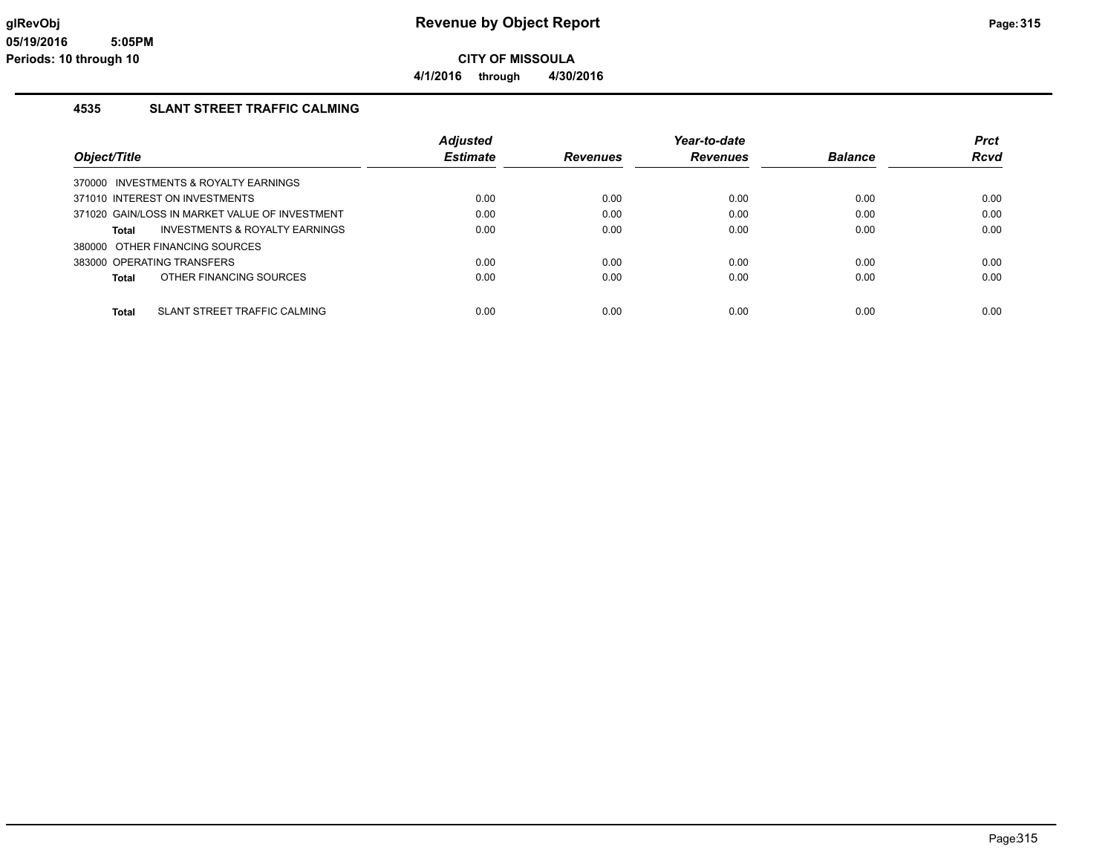**4/1/2016 through 4/30/2016**

## **4535 SLANT STREET TRAFFIC CALMING**

|                                                    | <b>Adiusted</b> |                 | Year-to-date    |                | <b>Prct</b> |
|----------------------------------------------------|-----------------|-----------------|-----------------|----------------|-------------|
| Object/Title                                       | <b>Estimate</b> | <b>Revenues</b> | <b>Revenues</b> | <b>Balance</b> | <b>Rcvd</b> |
| 370000 INVESTMENTS & ROYALTY EARNINGS              |                 |                 |                 |                |             |
| 371010 INTEREST ON INVESTMENTS                     | 0.00            | 0.00            | 0.00            | 0.00           | 0.00        |
| 371020 GAIN/LOSS IN MARKET VALUE OF INVESTMENT     | 0.00            | 0.00            | 0.00            | 0.00           | 0.00        |
| <b>INVESTMENTS &amp; ROYALTY EARNINGS</b><br>Total | 0.00            | 0.00            | 0.00            | 0.00           | 0.00        |
| 380000 OTHER FINANCING SOURCES                     |                 |                 |                 |                |             |
| 383000 OPERATING TRANSFERS                         | 0.00            | 0.00            | 0.00            | 0.00           | 0.00        |
| OTHER FINANCING SOURCES<br><b>Total</b>            | 0.00            | 0.00            | 0.00            | 0.00           | 0.00        |
| SLANT STREET TRAFFIC CALMING<br><b>Total</b>       | 0.00            | 0.00            | 0.00            | 0.00           | 0.00        |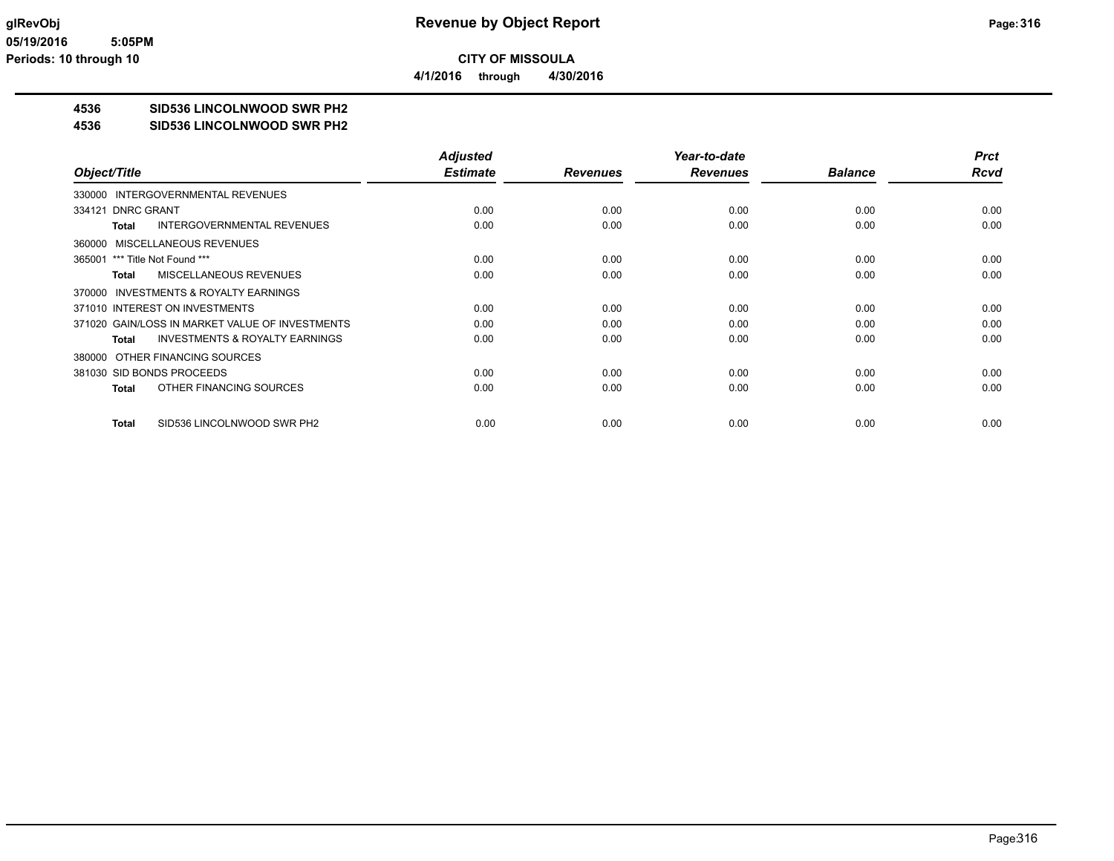**4/1/2016 through 4/30/2016**

## **4536 SID536 LINCOLNWOOD SWR PH2**

#### **4536 SID536 LINCOLNWOOD SWR PH2**

|                                                    | <b>Adjusted</b> |                 | Year-to-date    |                | <b>Prct</b> |
|----------------------------------------------------|-----------------|-----------------|-----------------|----------------|-------------|
| Object/Title                                       | <b>Estimate</b> | <b>Revenues</b> | <b>Revenues</b> | <b>Balance</b> | <b>Rcvd</b> |
| 330000 INTERGOVERNMENTAL REVENUES                  |                 |                 |                 |                |             |
| 334121 DNRC GRANT                                  | 0.00            | 0.00            | 0.00            | 0.00           | 0.00        |
| <b>INTERGOVERNMENTAL REVENUES</b><br>Total         | 0.00            | 0.00            | 0.00            | 0.00           | 0.00        |
| 360000 MISCELLANEOUS REVENUES                      |                 |                 |                 |                |             |
| 365001 *** Title Not Found ***                     | 0.00            | 0.00            | 0.00            | 0.00           | 0.00        |
| MISCELLANEOUS REVENUES<br>Total                    | 0.00            | 0.00            | 0.00            | 0.00           | 0.00        |
| 370000 INVESTMENTS & ROYALTY EARNINGS              |                 |                 |                 |                |             |
| 371010 INTEREST ON INVESTMENTS                     | 0.00            | 0.00            | 0.00            | 0.00           | 0.00        |
| 371020 GAIN/LOSS IN MARKET VALUE OF INVESTMENTS    | 0.00            | 0.00            | 0.00            | 0.00           | 0.00        |
| <b>INVESTMENTS &amp; ROYALTY EARNINGS</b><br>Total | 0.00            | 0.00            | 0.00            | 0.00           | 0.00        |
| 380000 OTHER FINANCING SOURCES                     |                 |                 |                 |                |             |
| 381030 SID BONDS PROCEEDS                          | 0.00            | 0.00            | 0.00            | 0.00           | 0.00        |
| OTHER FINANCING SOURCES<br>Total                   | 0.00            | 0.00            | 0.00            | 0.00           | 0.00        |
|                                                    |                 |                 |                 |                |             |
| SID536 LINCOLNWOOD SWR PH2<br><b>Total</b>         | 0.00            | 0.00            | 0.00            | 0.00           | 0.00        |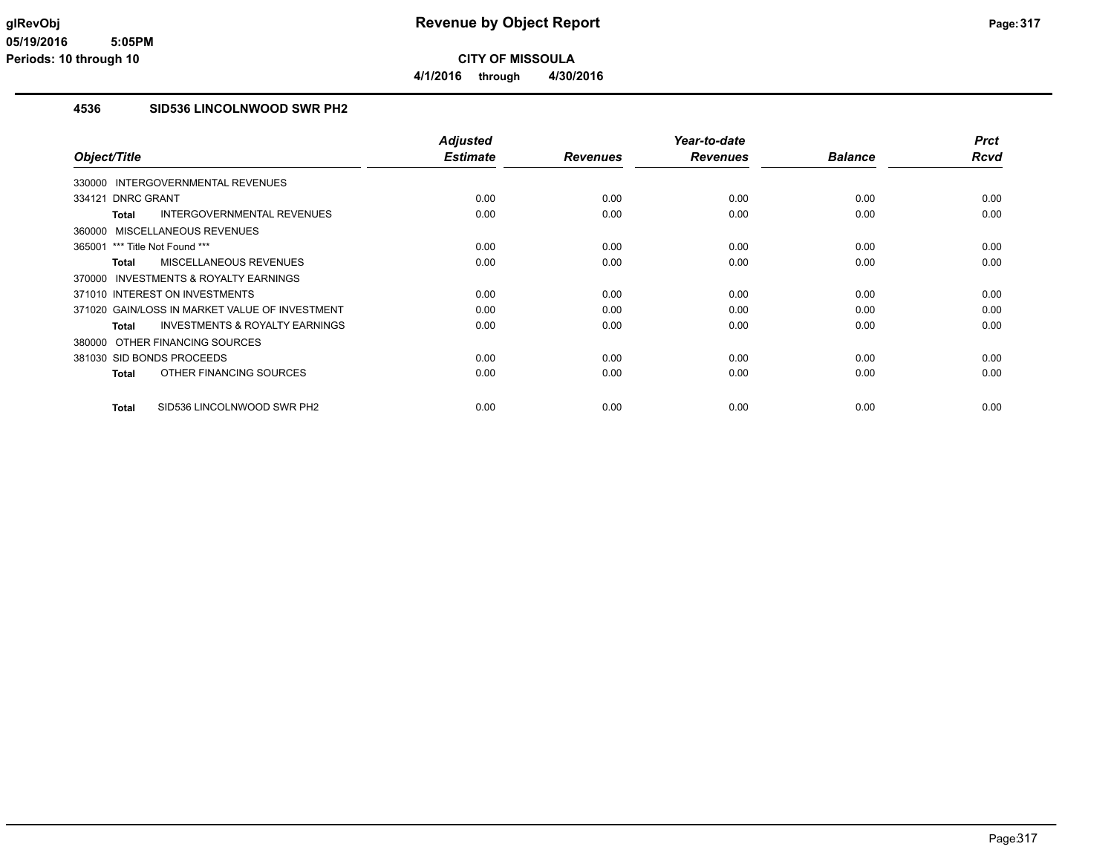**CITY OF MISSOULA 4/1/2016 through 4/30/2016**

## **4536 SID536 LINCOLNWOOD SWR PH2**

| Object/Title                                       | <b>Adjusted</b><br><b>Estimate</b> | <b>Revenues</b> | Year-to-date<br><b>Revenues</b> | <b>Balance</b> | <b>Prct</b><br><b>Rcvd</b> |
|----------------------------------------------------|------------------------------------|-----------------|---------------------------------|----------------|----------------------------|
|                                                    |                                    |                 |                                 |                |                            |
| 330000 INTERGOVERNMENTAL REVENUES                  |                                    |                 |                                 |                |                            |
| 334121 DNRC GRANT                                  | 0.00                               | 0.00            | 0.00                            | 0.00           | 0.00                       |
| <b>INTERGOVERNMENTAL REVENUES</b><br>Total         | 0.00                               | 0.00            | 0.00                            | 0.00           | 0.00                       |
| 360000 MISCELLANEOUS REVENUES                      |                                    |                 |                                 |                |                            |
| 365001 *** Title Not Found ***                     | 0.00                               | 0.00            | 0.00                            | 0.00           | 0.00                       |
| <b>MISCELLANEOUS REVENUES</b><br><b>Total</b>      | 0.00                               | 0.00            | 0.00                            | 0.00           | 0.00                       |
| 370000 INVESTMENTS & ROYALTY EARNINGS              |                                    |                 |                                 |                |                            |
| 371010 INTEREST ON INVESTMENTS                     | 0.00                               | 0.00            | 0.00                            | 0.00           | 0.00                       |
| 371020 GAIN/LOSS IN MARKET VALUE OF INVESTMENT     | 0.00                               | 0.00            | 0.00                            | 0.00           | 0.00                       |
| <b>INVESTMENTS &amp; ROYALTY EARNINGS</b><br>Total | 0.00                               | 0.00            | 0.00                            | 0.00           | 0.00                       |
| 380000 OTHER FINANCING SOURCES                     |                                    |                 |                                 |                |                            |
| 381030 SID BONDS PROCEEDS                          | 0.00                               | 0.00            | 0.00                            | 0.00           | 0.00                       |
| OTHER FINANCING SOURCES<br><b>Total</b>            | 0.00                               | 0.00            | 0.00                            | 0.00           | 0.00                       |
|                                                    |                                    |                 |                                 |                |                            |
| SID536 LINCOLNWOOD SWR PH2<br><b>Total</b>         | 0.00                               | 0.00            | 0.00                            | 0.00           | 0.00                       |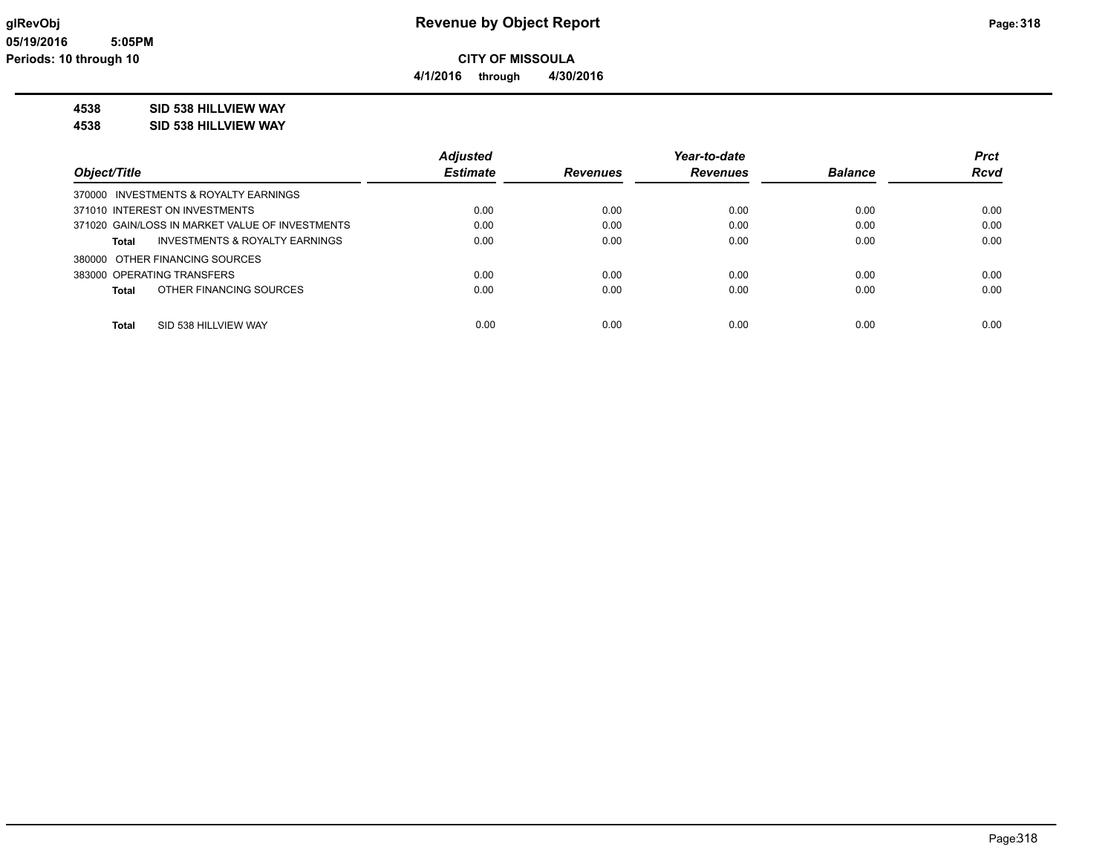**4/1/2016 through 4/30/2016**

## **4538 SID 538 HILLVIEW WAY**

**4538 SID 538 HILLVIEW WAY**

|                                                 | <b>Adjusted</b> |                 | Year-to-date    |                | <b>Prct</b> |
|-------------------------------------------------|-----------------|-----------------|-----------------|----------------|-------------|
| Object/Title                                    | <b>Estimate</b> | <b>Revenues</b> | <b>Revenues</b> | <b>Balance</b> | <b>Rcvd</b> |
| 370000 INVESTMENTS & ROYALTY EARNINGS           |                 |                 |                 |                |             |
| 371010 INTEREST ON INVESTMENTS                  | 0.00            | 0.00            | 0.00            | 0.00           | 0.00        |
| 371020 GAIN/LOSS IN MARKET VALUE OF INVESTMENTS | 0.00            | 0.00            | 0.00            | 0.00           | 0.00        |
| INVESTMENTS & ROYALTY EARNINGS<br>Total         | 0.00            | 0.00            | 0.00            | 0.00           | 0.00        |
| 380000 OTHER FINANCING SOURCES                  |                 |                 |                 |                |             |
| 383000 OPERATING TRANSFERS                      | 0.00            | 0.00            | 0.00            | 0.00           | 0.00        |
| OTHER FINANCING SOURCES<br>Total                | 0.00            | 0.00            | 0.00            | 0.00           | 0.00        |
| SID 538 HILLVIEW WAY<br><b>Total</b>            | 0.00            | 0.00            | 0.00            | 0.00           | 0.00        |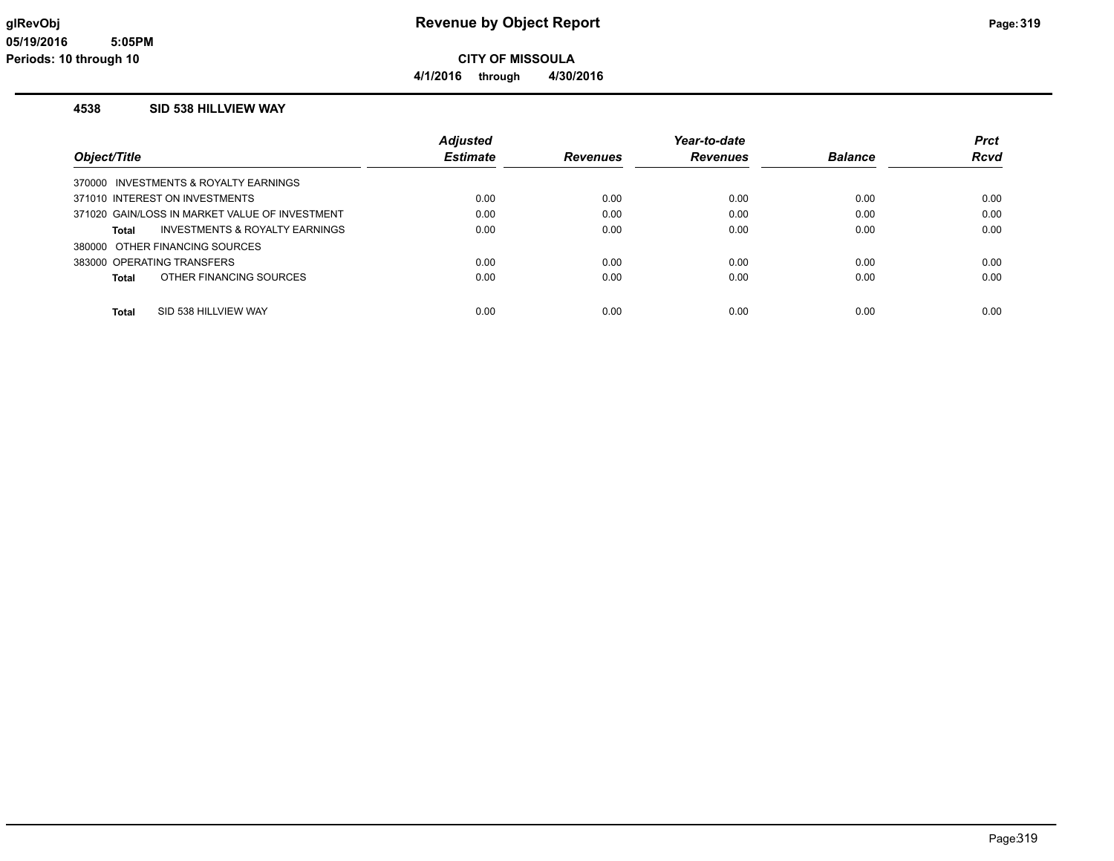**4/1/2016 through 4/30/2016**

#### **4538 SID 538 HILLVIEW WAY**

|                                                    | <b>Adiusted</b> |          | Year-to-date    |                | <b>Prct</b> |
|----------------------------------------------------|-----------------|----------|-----------------|----------------|-------------|
| Object/Title                                       | <b>Estimate</b> | Revenues | <b>Revenues</b> | <b>Balance</b> | <b>Rcvd</b> |
| 370000 INVESTMENTS & ROYALTY EARNINGS              |                 |          |                 |                |             |
| 371010 INTEREST ON INVESTMENTS                     | 0.00            | 0.00     | 0.00            | 0.00           | 0.00        |
| 371020 GAIN/LOSS IN MARKET VALUE OF INVESTMENT     | 0.00            | 0.00     | 0.00            | 0.00           | 0.00        |
| <b>INVESTMENTS &amp; ROYALTY EARNINGS</b><br>Total | 0.00            | 0.00     | 0.00            | 0.00           | 0.00        |
| 380000 OTHER FINANCING SOURCES                     |                 |          |                 |                |             |
| 383000 OPERATING TRANSFERS                         | 0.00            | 0.00     | 0.00            | 0.00           | 0.00        |
| OTHER FINANCING SOURCES<br>Total                   | 0.00            | 0.00     | 0.00            | 0.00           | 0.00        |
|                                                    |                 |          |                 |                |             |
| SID 538 HILLVIEW WAY<br>Total                      | 0.00            | 0.00     | 0.00            | 0.00           | 0.00        |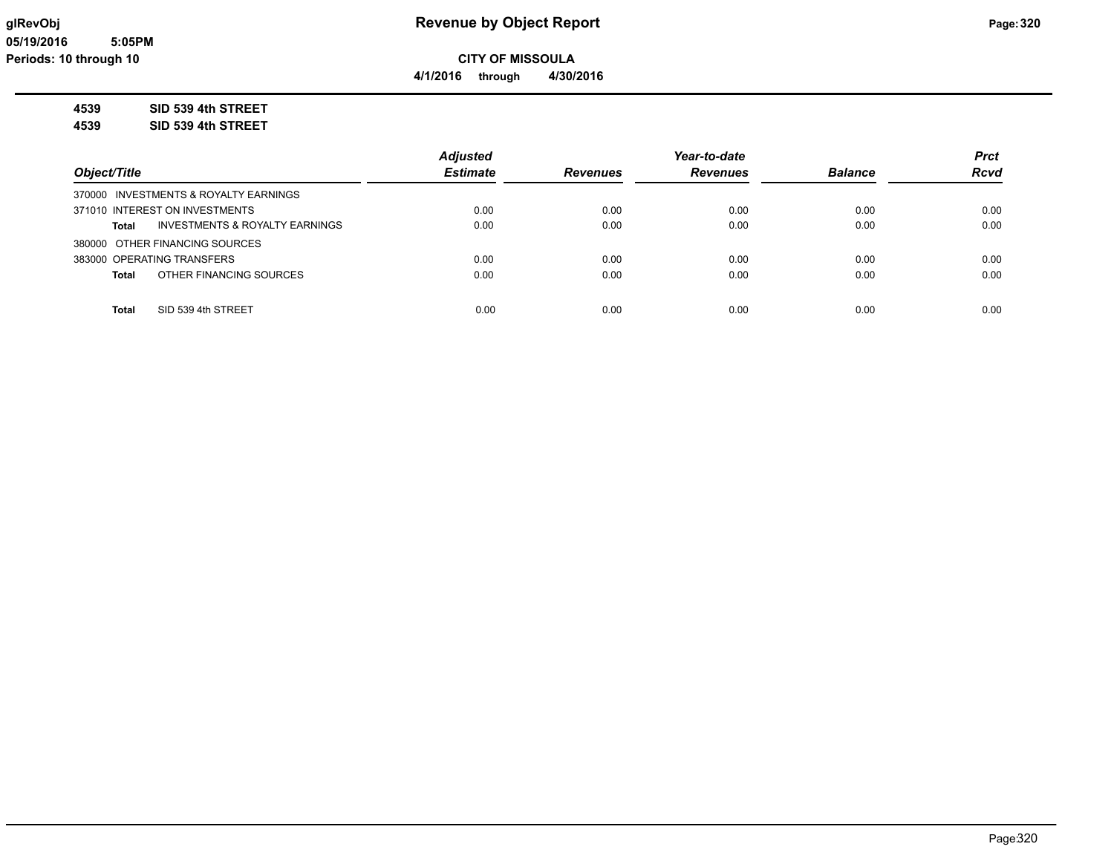**CITY OF MISSOULA 4/1/2016 through 4/30/2016**

**4539 SID 539 4th STREET**

**4539 SID 539 4th STREET**

|                                                           | <b>Adjusted</b> |                 | Year-to-date    |                | <b>Prct</b> |
|-----------------------------------------------------------|-----------------|-----------------|-----------------|----------------|-------------|
| Object/Title                                              | <b>Estimate</b> | <b>Revenues</b> | <b>Revenues</b> | <b>Balance</b> | <b>Rcvd</b> |
| 370000 INVESTMENTS & ROYALTY EARNINGS                     |                 |                 |                 |                |             |
| 371010 INTEREST ON INVESTMENTS                            | 0.00            | 0.00            | 0.00            | 0.00           | 0.00        |
| <b>INVESTMENTS &amp; ROYALTY EARNINGS</b><br><b>Total</b> | 0.00            | 0.00            | 0.00            | 0.00           | 0.00        |
| 380000 OTHER FINANCING SOURCES                            |                 |                 |                 |                |             |
| 383000 OPERATING TRANSFERS                                | 0.00            | 0.00            | 0.00            | 0.00           | 0.00        |
| OTHER FINANCING SOURCES<br><b>Total</b>                   | 0.00            | 0.00            | 0.00            | 0.00           | 0.00        |
|                                                           |                 |                 |                 |                |             |
| <b>Total</b><br>SID 539 4th STREET                        | 0.00            | 0.00            | 0.00            | 0.00           | 0.00        |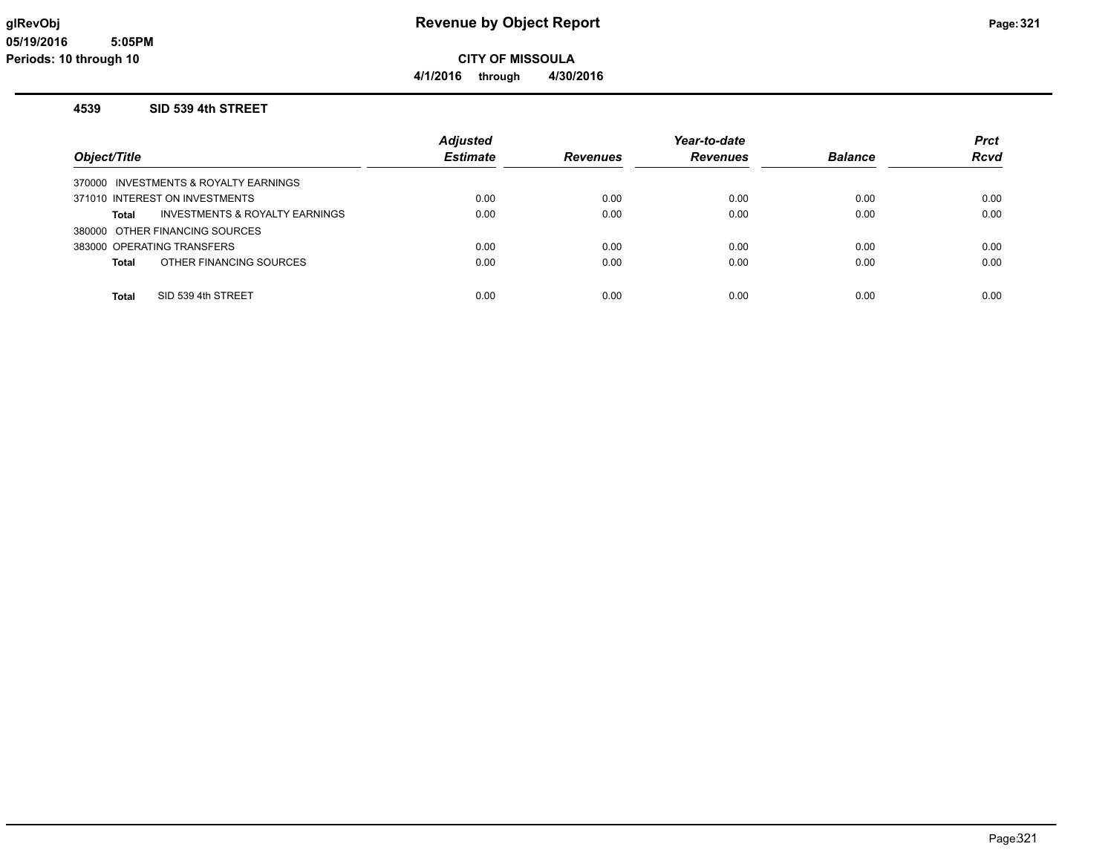**4/1/2016 through 4/30/2016**

#### **4539 SID 539 4th STREET**

| Object/Title                                       | <b>Adjusted</b><br><b>Estimate</b> | <b>Revenues</b> | Year-to-date<br><b>Revenues</b> | <b>Balance</b> | <b>Prct</b><br><b>Rcvd</b> |
|----------------------------------------------------|------------------------------------|-----------------|---------------------------------|----------------|----------------------------|
| 370000 INVESTMENTS & ROYALTY EARNINGS              |                                    |                 |                                 |                |                            |
| 371010 INTEREST ON INVESTMENTS                     | 0.00                               | 0.00            | 0.00                            | 0.00           | 0.00                       |
| <b>INVESTMENTS &amp; ROYALTY EARNINGS</b><br>Total | 0.00                               | 0.00            | 0.00                            | 0.00           | 0.00                       |
| 380000 OTHER FINANCING SOURCES                     |                                    |                 |                                 |                |                            |
| 383000 OPERATING TRANSFERS                         | 0.00                               | 0.00            | 0.00                            | 0.00           | 0.00                       |
| OTHER FINANCING SOURCES<br>Total                   | 0.00                               | 0.00            | 0.00                            | 0.00           | 0.00                       |
|                                                    |                                    |                 |                                 |                |                            |
| Total<br>SID 539 4th STREET                        | 0.00                               | 0.00            | 0.00                            | 0.00           | 0.00                       |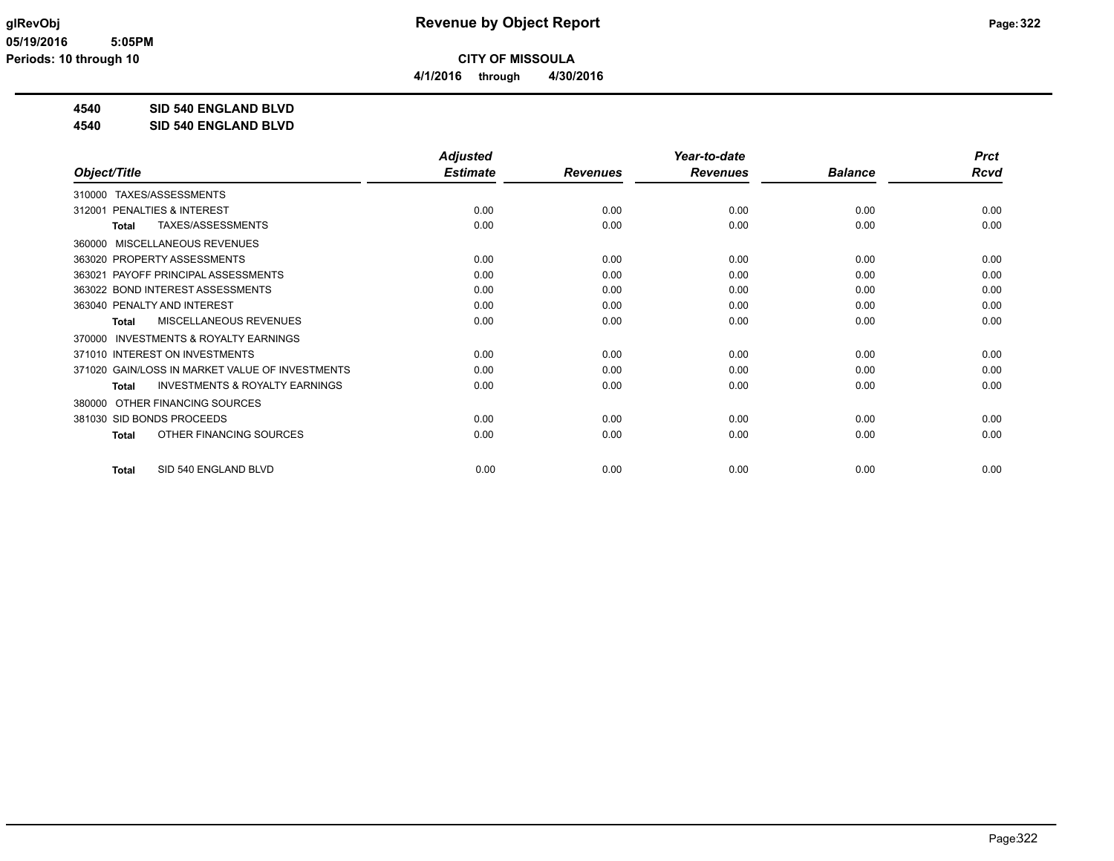**4/1/2016 through 4/30/2016**

**4540 SID 540 ENGLAND BLVD**

**4540 SID 540 ENGLAND BLVD**

|                                                           | <b>Adjusted</b> |                 | Year-to-date    |                | <b>Prct</b> |
|-----------------------------------------------------------|-----------------|-----------------|-----------------|----------------|-------------|
| Object/Title                                              | <b>Estimate</b> | <b>Revenues</b> | <b>Revenues</b> | <b>Balance</b> | <b>Rcvd</b> |
| TAXES/ASSESSMENTS<br>310000                               |                 |                 |                 |                |             |
| PENALTIES & INTEREST<br>312001                            | 0.00            | 0.00            | 0.00            | 0.00           | 0.00        |
| TAXES/ASSESSMENTS<br><b>Total</b>                         | 0.00            | 0.00            | 0.00            | 0.00           | 0.00        |
| MISCELLANEOUS REVENUES<br>360000                          |                 |                 |                 |                |             |
| 363020 PROPERTY ASSESSMENTS                               | 0.00            | 0.00            | 0.00            | 0.00           | 0.00        |
| PAYOFF PRINCIPAL ASSESSMENTS<br>363021                    | 0.00            | 0.00            | 0.00            | 0.00           | 0.00        |
| 363022 BOND INTEREST ASSESSMENTS                          | 0.00            | 0.00            | 0.00            | 0.00           | 0.00        |
| 363040 PENALTY AND INTEREST                               | 0.00            | 0.00            | 0.00            | 0.00           | 0.00        |
| MISCELLANEOUS REVENUES<br><b>Total</b>                    | 0.00            | 0.00            | 0.00            | 0.00           | 0.00        |
| <b>INVESTMENTS &amp; ROYALTY EARNINGS</b><br>370000       |                 |                 |                 |                |             |
| 371010 INTEREST ON INVESTMENTS                            | 0.00            | 0.00            | 0.00            | 0.00           | 0.00        |
| 371020 GAIN/LOSS IN MARKET VALUE OF INVESTMENTS           | 0.00            | 0.00            | 0.00            | 0.00           | 0.00        |
| <b>INVESTMENTS &amp; ROYALTY EARNINGS</b><br><b>Total</b> | 0.00            | 0.00            | 0.00            | 0.00           | 0.00        |
| OTHER FINANCING SOURCES<br>380000                         |                 |                 |                 |                |             |
| 381030 SID BONDS PROCEEDS                                 | 0.00            | 0.00            | 0.00            | 0.00           | 0.00        |
| OTHER FINANCING SOURCES<br><b>Total</b>                   | 0.00            | 0.00            | 0.00            | 0.00           | 0.00        |
| SID 540 ENGLAND BLVD<br><b>Total</b>                      | 0.00            | 0.00            | 0.00            | 0.00           | 0.00        |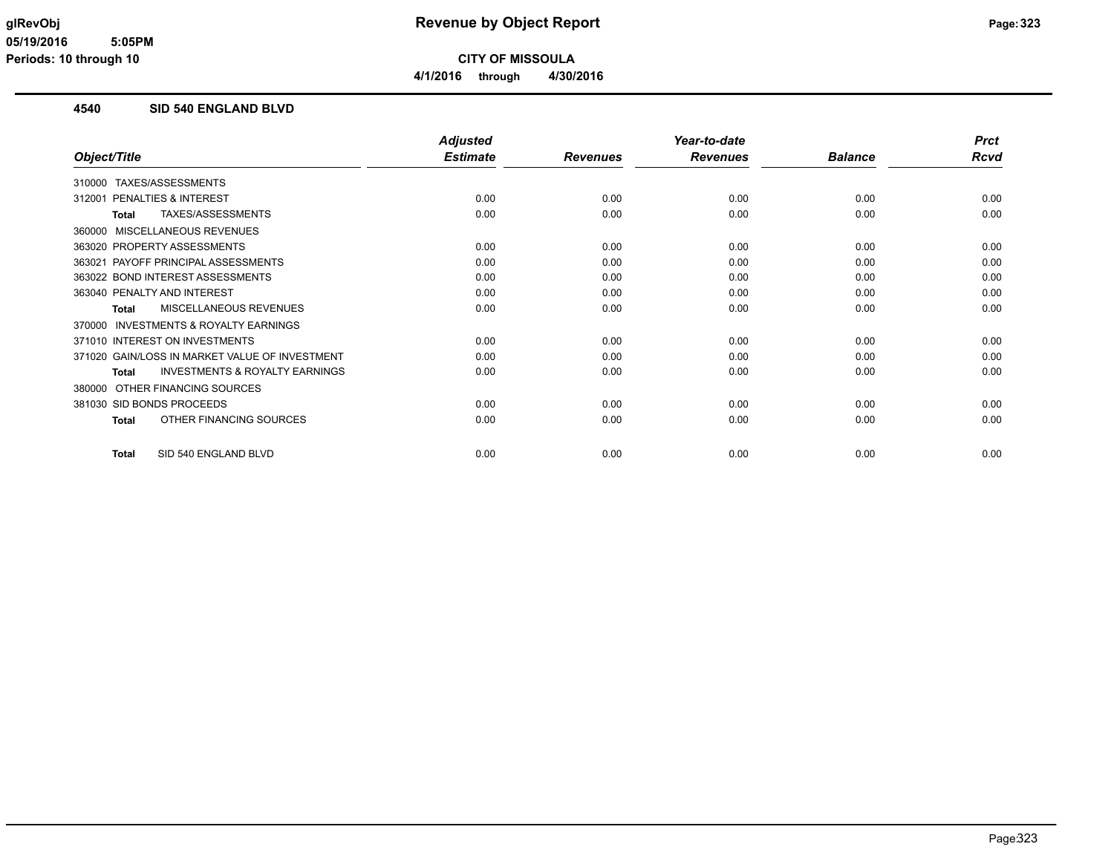**CITY OF MISSOULA 4/1/2016 through 4/30/2016**

### **4540 SID 540 ENGLAND BLVD**

|                                                           | <b>Adjusted</b> |                 | Year-to-date    |                | <b>Prct</b> |
|-----------------------------------------------------------|-----------------|-----------------|-----------------|----------------|-------------|
| Object/Title                                              | <b>Estimate</b> | <b>Revenues</b> | <b>Revenues</b> | <b>Balance</b> | <b>Rcvd</b> |
| TAXES/ASSESSMENTS<br>310000                               |                 |                 |                 |                |             |
| PENALTIES & INTEREST<br>312001                            | 0.00            | 0.00            | 0.00            | 0.00           | 0.00        |
| TAXES/ASSESSMENTS<br><b>Total</b>                         | 0.00            | 0.00            | 0.00            | 0.00           | 0.00        |
| MISCELLANEOUS REVENUES<br>360000                          |                 |                 |                 |                |             |
| 363020 PROPERTY ASSESSMENTS                               | 0.00            | 0.00            | 0.00            | 0.00           | 0.00        |
| PAYOFF PRINCIPAL ASSESSMENTS<br>363021                    | 0.00            | 0.00            | 0.00            | 0.00           | 0.00        |
| 363022 BOND INTEREST ASSESSMENTS                          | 0.00            | 0.00            | 0.00            | 0.00           | 0.00        |
| 363040 PENALTY AND INTEREST                               | 0.00            | 0.00            | 0.00            | 0.00           | 0.00        |
| MISCELLANEOUS REVENUES<br><b>Total</b>                    | 0.00            | 0.00            | 0.00            | 0.00           | 0.00        |
| INVESTMENTS & ROYALTY EARNINGS<br>370000                  |                 |                 |                 |                |             |
| 371010 INTEREST ON INVESTMENTS                            | 0.00            | 0.00            | 0.00            | 0.00           | 0.00        |
| 371020 GAIN/LOSS IN MARKET VALUE OF INVESTMENT            | 0.00            | 0.00            | 0.00            | 0.00           | 0.00        |
| <b>INVESTMENTS &amp; ROYALTY EARNINGS</b><br><b>Total</b> | 0.00            | 0.00            | 0.00            | 0.00           | 0.00        |
| OTHER FINANCING SOURCES<br>380000                         |                 |                 |                 |                |             |
| 381030 SID BONDS PROCEEDS                                 | 0.00            | 0.00            | 0.00            | 0.00           | 0.00        |
| OTHER FINANCING SOURCES<br><b>Total</b>                   | 0.00            | 0.00            | 0.00            | 0.00           | 0.00        |
| SID 540 ENGLAND BLVD<br><b>Total</b>                      | 0.00            | 0.00            | 0.00            | 0.00           | 0.00        |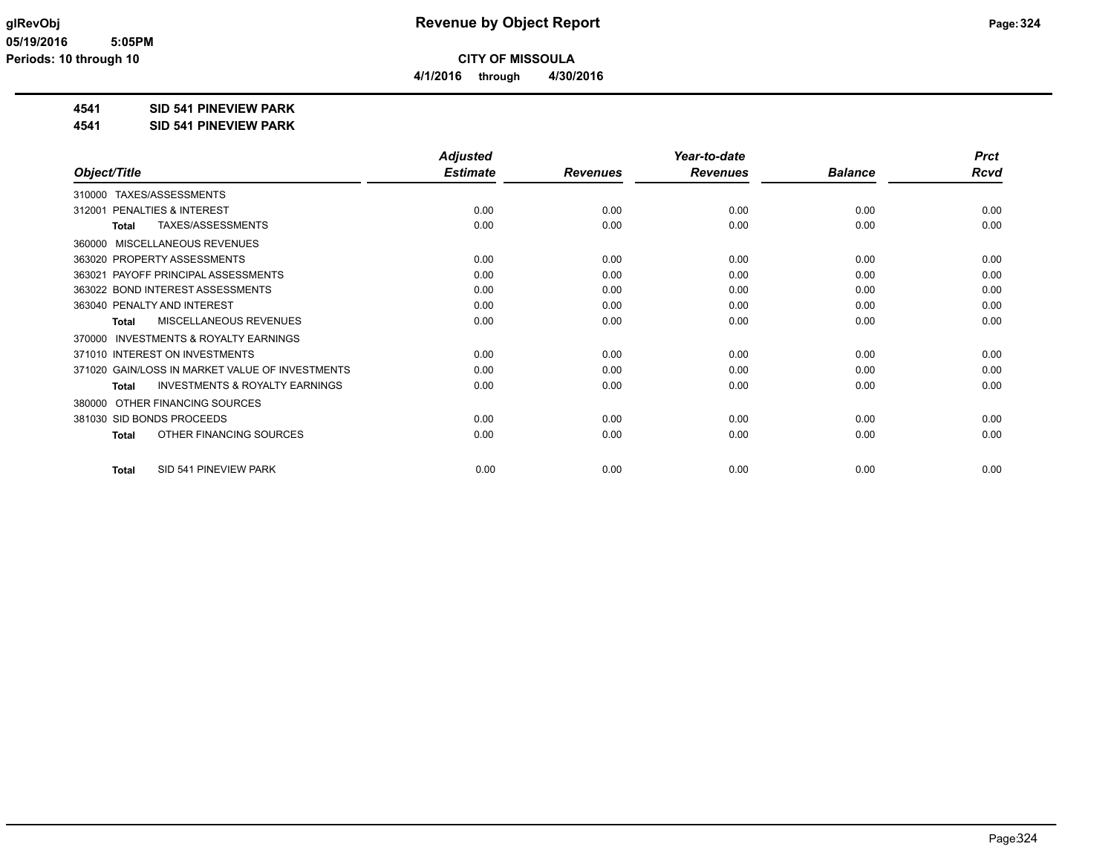**4/1/2016 through 4/30/2016**

## **4541 SID 541 PINEVIEW PARK**

**4541 SID 541 PINEVIEW PARK**

|                                                           | <b>Adjusted</b> |                 | Year-to-date    |                | <b>Prct</b> |
|-----------------------------------------------------------|-----------------|-----------------|-----------------|----------------|-------------|
| Object/Title                                              | <b>Estimate</b> | <b>Revenues</b> | <b>Revenues</b> | <b>Balance</b> | <b>Rcvd</b> |
| TAXES/ASSESSMENTS<br>310000                               |                 |                 |                 |                |             |
| <b>PENALTIES &amp; INTEREST</b><br>312001                 | 0.00            | 0.00            | 0.00            | 0.00           | 0.00        |
| TAXES/ASSESSMENTS<br><b>Total</b>                         | 0.00            | 0.00            | 0.00            | 0.00           | 0.00        |
| MISCELLANEOUS REVENUES<br>360000                          |                 |                 |                 |                |             |
| 363020 PROPERTY ASSESSMENTS                               | 0.00            | 0.00            | 0.00            | 0.00           | 0.00        |
| 363021 PAYOFF PRINCIPAL ASSESSMENTS                       | 0.00            | 0.00            | 0.00            | 0.00           | 0.00        |
| 363022 BOND INTEREST ASSESSMENTS                          | 0.00            | 0.00            | 0.00            | 0.00           | 0.00        |
| 363040 PENALTY AND INTEREST                               | 0.00            | 0.00            | 0.00            | 0.00           | 0.00        |
| <b>MISCELLANEOUS REVENUES</b><br><b>Total</b>             | 0.00            | 0.00            | 0.00            | 0.00           | 0.00        |
| <b>INVESTMENTS &amp; ROYALTY EARNINGS</b><br>370000       |                 |                 |                 |                |             |
| 371010 INTEREST ON INVESTMENTS                            | 0.00            | 0.00            | 0.00            | 0.00           | 0.00        |
| 371020 GAIN/LOSS IN MARKET VALUE OF INVESTMENTS           | 0.00            | 0.00            | 0.00            | 0.00           | 0.00        |
| <b>INVESTMENTS &amp; ROYALTY EARNINGS</b><br><b>Total</b> | 0.00            | 0.00            | 0.00            | 0.00           | 0.00        |
| OTHER FINANCING SOURCES<br>380000                         |                 |                 |                 |                |             |
| 381030 SID BONDS PROCEEDS                                 | 0.00            | 0.00            | 0.00            | 0.00           | 0.00        |
| OTHER FINANCING SOURCES<br><b>Total</b>                   | 0.00            | 0.00            | 0.00            | 0.00           | 0.00        |
| SID 541 PINEVIEW PARK<br><b>Total</b>                     | 0.00            | 0.00            | 0.00            | 0.00           | 0.00        |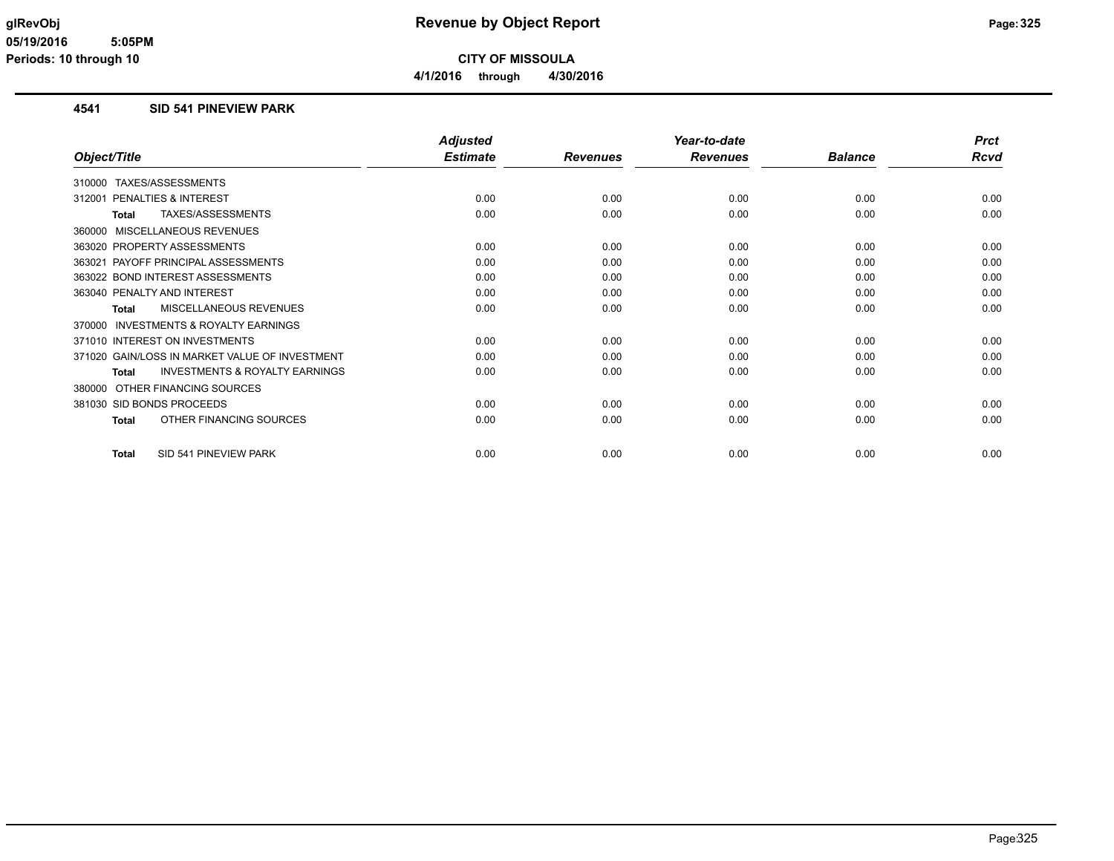#### **4541 SID 541 PINEVIEW PARK**

|                                                           | <b>Adjusted</b> |                 | Year-to-date    |                | <b>Prct</b> |
|-----------------------------------------------------------|-----------------|-----------------|-----------------|----------------|-------------|
| Object/Title                                              | <b>Estimate</b> | <b>Revenues</b> | <b>Revenues</b> | <b>Balance</b> | Rcvd        |
| TAXES/ASSESSMENTS<br>310000                               |                 |                 |                 |                |             |
| PENALTIES & INTEREST<br>312001                            | 0.00            | 0.00            | 0.00            | 0.00           | 0.00        |
| TAXES/ASSESSMENTS<br><b>Total</b>                         | 0.00            | 0.00            | 0.00            | 0.00           | 0.00        |
| MISCELLANEOUS REVENUES<br>360000                          |                 |                 |                 |                |             |
| 363020 PROPERTY ASSESSMENTS                               | 0.00            | 0.00            | 0.00            | 0.00           | 0.00        |
| PAYOFF PRINCIPAL ASSESSMENTS<br>363021                    | 0.00            | 0.00            | 0.00            | 0.00           | 0.00        |
| 363022 BOND INTEREST ASSESSMENTS                          | 0.00            | 0.00            | 0.00            | 0.00           | 0.00        |
| 363040 PENALTY AND INTEREST                               | 0.00            | 0.00            | 0.00            | 0.00           | 0.00        |
| MISCELLANEOUS REVENUES<br>Total                           | 0.00            | 0.00            | 0.00            | 0.00           | 0.00        |
| <b>INVESTMENTS &amp; ROYALTY EARNINGS</b><br>370000       |                 |                 |                 |                |             |
| 371010 INTEREST ON INVESTMENTS                            | 0.00            | 0.00            | 0.00            | 0.00           | 0.00        |
| 371020 GAIN/LOSS IN MARKET VALUE OF INVESTMENT            | 0.00            | 0.00            | 0.00            | 0.00           | 0.00        |
| <b>INVESTMENTS &amp; ROYALTY EARNINGS</b><br><b>Total</b> | 0.00            | 0.00            | 0.00            | 0.00           | 0.00        |
| OTHER FINANCING SOURCES<br>380000                         |                 |                 |                 |                |             |
| 381030 SID BONDS PROCEEDS                                 | 0.00            | 0.00            | 0.00            | 0.00           | 0.00        |
| OTHER FINANCING SOURCES<br><b>Total</b>                   | 0.00            | 0.00            | 0.00            | 0.00           | 0.00        |
| SID 541 PINEVIEW PARK<br><b>Total</b>                     | 0.00            | 0.00            | 0.00            | 0.00           | 0.00        |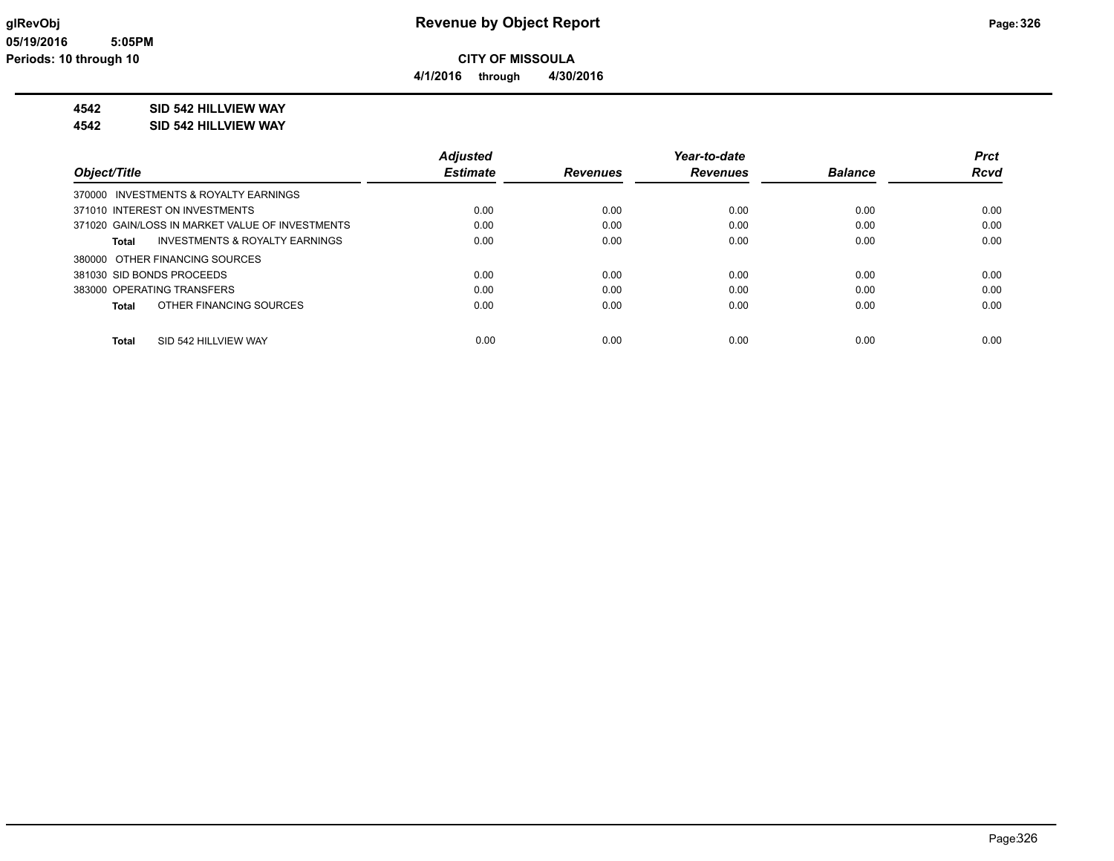**4/1/2016 through 4/30/2016**

### **4542 SID 542 HILLVIEW WAY**

**4542 SID 542 HILLVIEW WAY**

|                                                    | <b>Adjusted</b> |                 | Year-to-date    |                | <b>Prct</b> |
|----------------------------------------------------|-----------------|-----------------|-----------------|----------------|-------------|
| Object/Title                                       | <b>Estimate</b> | <b>Revenues</b> | <b>Revenues</b> | <b>Balance</b> | <b>Rcvd</b> |
| 370000 INVESTMENTS & ROYALTY EARNINGS              |                 |                 |                 |                |             |
| 371010 INTEREST ON INVESTMENTS                     | 0.00            | 0.00            | 0.00            | 0.00           | 0.00        |
| 371020 GAIN/LOSS IN MARKET VALUE OF INVESTMENTS    | 0.00            | 0.00            | 0.00            | 0.00           | 0.00        |
| <b>INVESTMENTS &amp; ROYALTY EARNINGS</b><br>Total | 0.00            | 0.00            | 0.00            | 0.00           | 0.00        |
| 380000 OTHER FINANCING SOURCES                     |                 |                 |                 |                |             |
| 381030 SID BONDS PROCEEDS                          | 0.00            | 0.00            | 0.00            | 0.00           | 0.00        |
| 383000 OPERATING TRANSFERS                         | 0.00            | 0.00            | 0.00            | 0.00           | 0.00        |
| OTHER FINANCING SOURCES<br>Total                   | 0.00            | 0.00            | 0.00            | 0.00           | 0.00        |
|                                                    |                 |                 |                 |                |             |
| SID 542 HILLVIEW WAY<br><b>Total</b>               | 0.00            | 0.00            | 0.00            | 0.00           | 0.00        |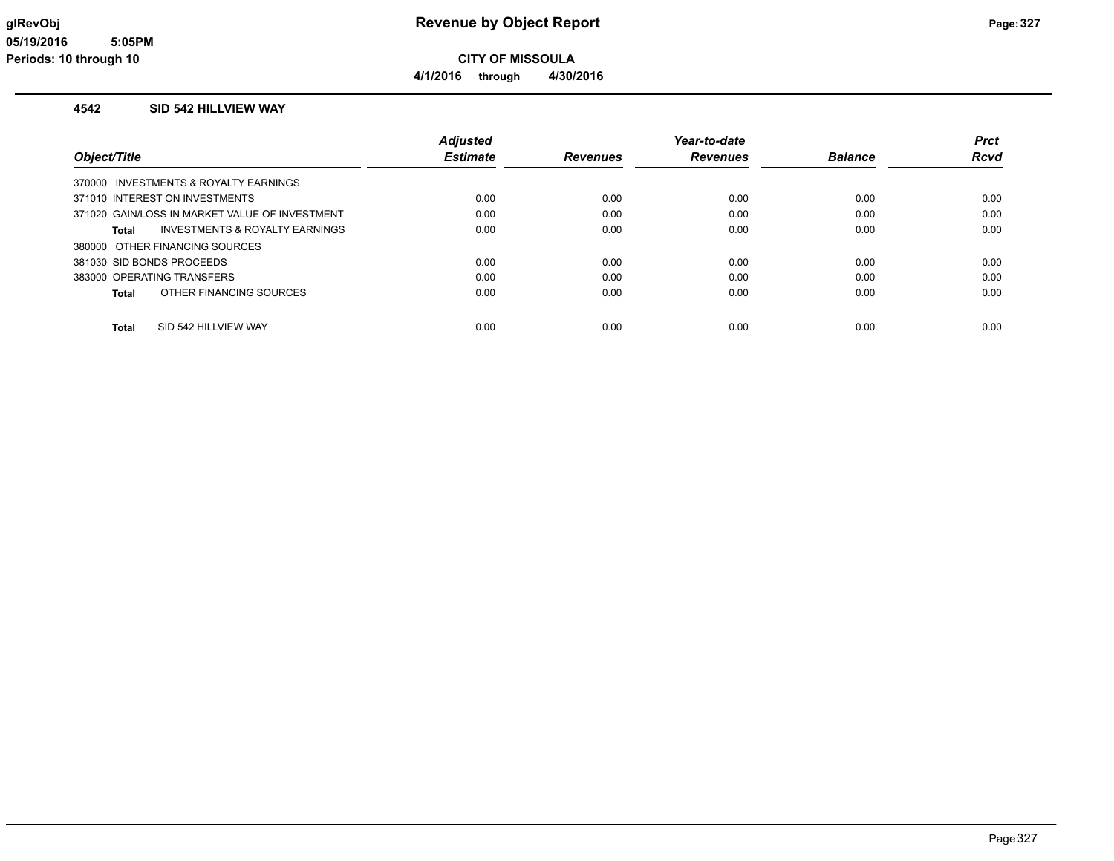**4/1/2016 through 4/30/2016**

#### **4542 SID 542 HILLVIEW WAY**

|                                                | <b>Adjusted</b> |                 | Year-to-date    |                | <b>Prct</b> |
|------------------------------------------------|-----------------|-----------------|-----------------|----------------|-------------|
| Object/Title                                   | <b>Estimate</b> | <b>Revenues</b> | <b>Revenues</b> | <b>Balance</b> | Rcvd        |
| 370000 INVESTMENTS & ROYALTY EARNINGS          |                 |                 |                 |                |             |
| 371010 INTEREST ON INVESTMENTS                 | 0.00            | 0.00            | 0.00            | 0.00           | 0.00        |
| 371020 GAIN/LOSS IN MARKET VALUE OF INVESTMENT | 0.00            | 0.00            | 0.00            | 0.00           | 0.00        |
| INVESTMENTS & ROYALTY EARNINGS<br>Total        | 0.00            | 0.00            | 0.00            | 0.00           | 0.00        |
| 380000 OTHER FINANCING SOURCES                 |                 |                 |                 |                |             |
| 381030 SID BONDS PROCEEDS                      | 0.00            | 0.00            | 0.00            | 0.00           | 0.00        |
| 383000 OPERATING TRANSFERS                     | 0.00            | 0.00            | 0.00            | 0.00           | 0.00        |
| OTHER FINANCING SOURCES<br>Total               | 0.00            | 0.00            | 0.00            | 0.00           | 0.00        |
|                                                |                 |                 |                 |                |             |
| SID 542 HILLVIEW WAY<br>Total                  | 0.00            | 0.00            | 0.00            | 0.00           | 0.00        |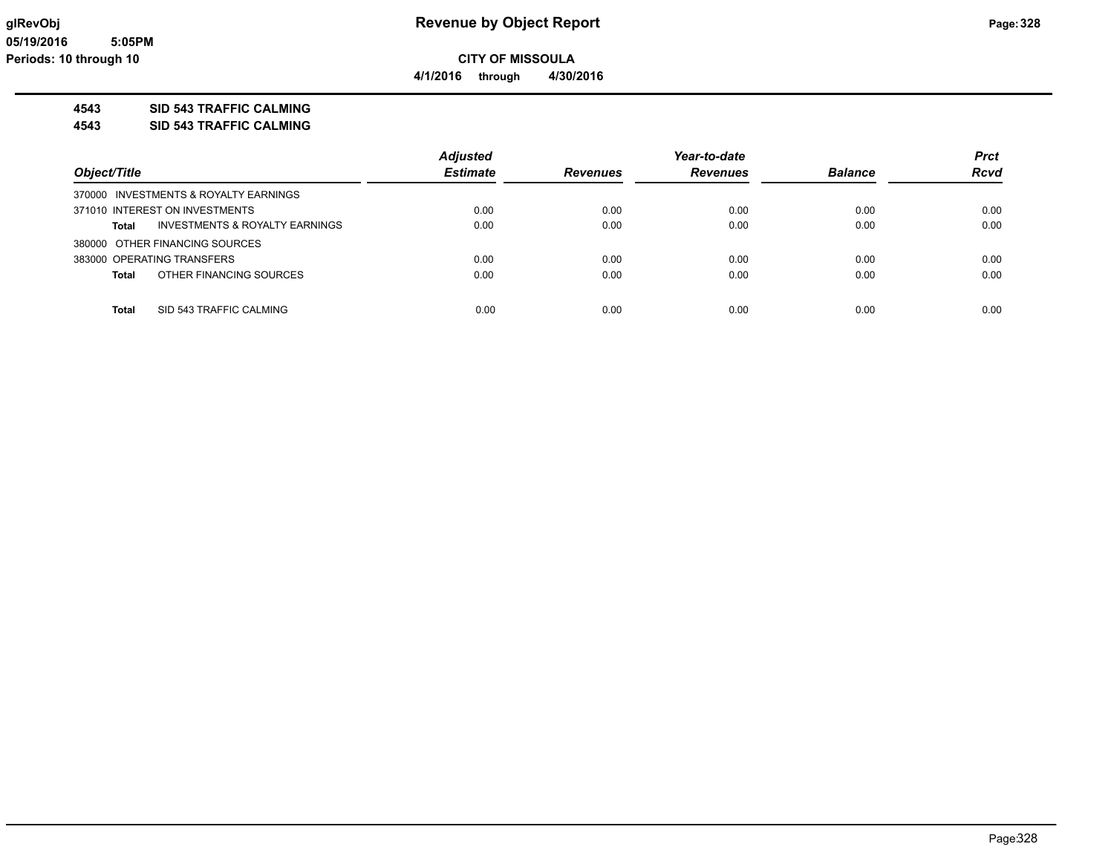**4/1/2016 through 4/30/2016**

### **4543 SID 543 TRAFFIC CALMING**

**4543 SID 543 TRAFFIC CALMING**

|                                         | <b>Adjusted</b> |                 | Year-to-date    |                | <b>Prct</b> |
|-----------------------------------------|-----------------|-----------------|-----------------|----------------|-------------|
| Object/Title                            | <b>Estimate</b> | <b>Revenues</b> | <b>Revenues</b> | <b>Balance</b> | <b>Rcvd</b> |
| 370000 INVESTMENTS & ROYALTY EARNINGS   |                 |                 |                 |                |             |
| 371010 INTEREST ON INVESTMENTS          | 0.00            | 0.00            | 0.00            | 0.00           | 0.00        |
| INVESTMENTS & ROYALTY EARNINGS<br>Total | 0.00            | 0.00            | 0.00            | 0.00           | 0.00        |
| 380000 OTHER FINANCING SOURCES          |                 |                 |                 |                |             |
| 383000 OPERATING TRANSFERS              | 0.00            | 0.00            | 0.00            | 0.00           | 0.00        |
| OTHER FINANCING SOURCES<br>Total        | 0.00            | 0.00            | 0.00            | 0.00           | 0.00        |
|                                         |                 |                 |                 |                |             |
| <b>Total</b><br>SID 543 TRAFFIC CALMING | 0.00            | 0.00            | 0.00            | 0.00           | 0.00        |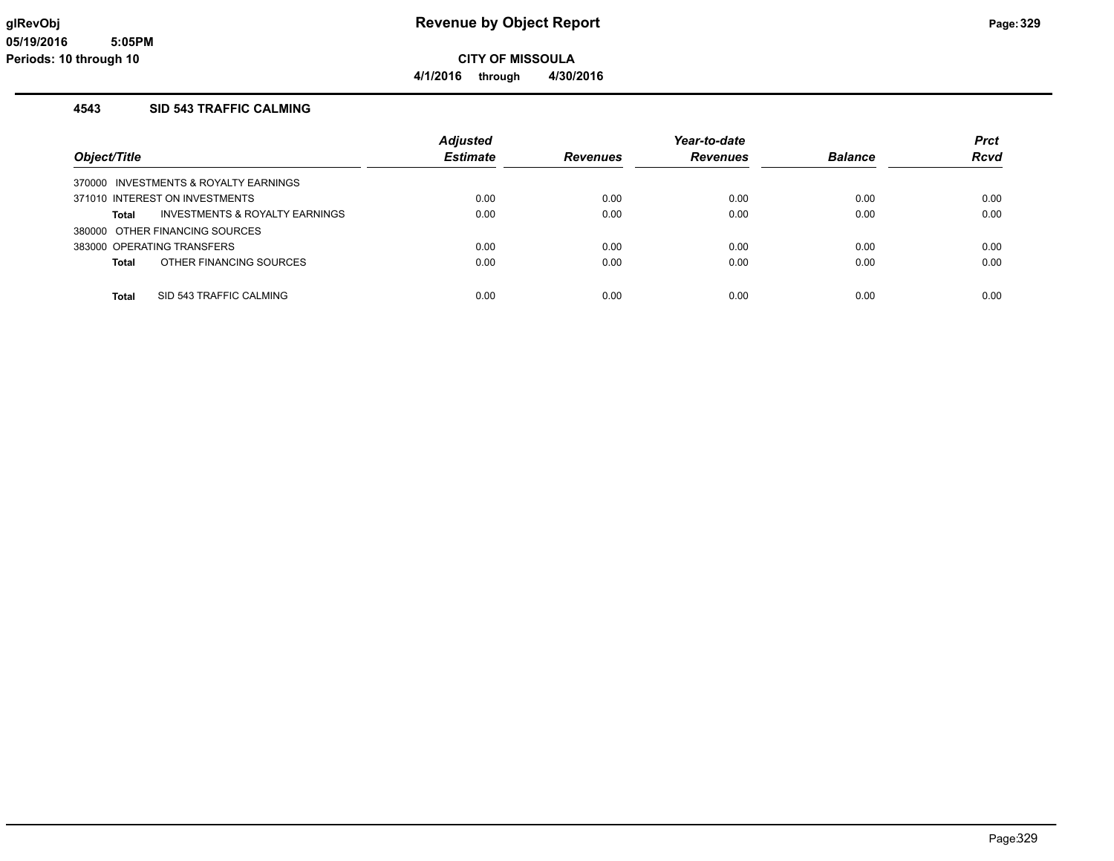**CITY OF MISSOULA 4/1/2016 through 4/30/2016**

#### **4543 SID 543 TRAFFIC CALMING**

|                                         | <b>Adjusted</b> |          | Year-to-date |                | <b>Prct</b> |
|-----------------------------------------|-----------------|----------|--------------|----------------|-------------|
| Object/Title                            | <b>Estimate</b> | Revenues | Revenues     | <b>Balance</b> | <b>Rcvd</b> |
| 370000 INVESTMENTS & ROYALTY EARNINGS   |                 |          |              |                |             |
| 371010 INTEREST ON INVESTMENTS          | 0.00            | 0.00     | 0.00         | 0.00           | 0.00        |
| INVESTMENTS & ROYALTY EARNINGS<br>Total | 0.00            | 0.00     | 0.00         | 0.00           | 0.00        |
| 380000 OTHER FINANCING SOURCES          |                 |          |              |                |             |
| 383000 OPERATING TRANSFERS              | 0.00            | 0.00     | 0.00         | 0.00           | 0.00        |
| OTHER FINANCING SOURCES<br>Total        | 0.00            | 0.00     | 0.00         | 0.00           | 0.00        |
|                                         |                 |          |              |                |             |
| <b>Total</b><br>SID 543 TRAFFIC CALMING | 0.00            | 0.00     | 0.00         | 0.00           | 0.00        |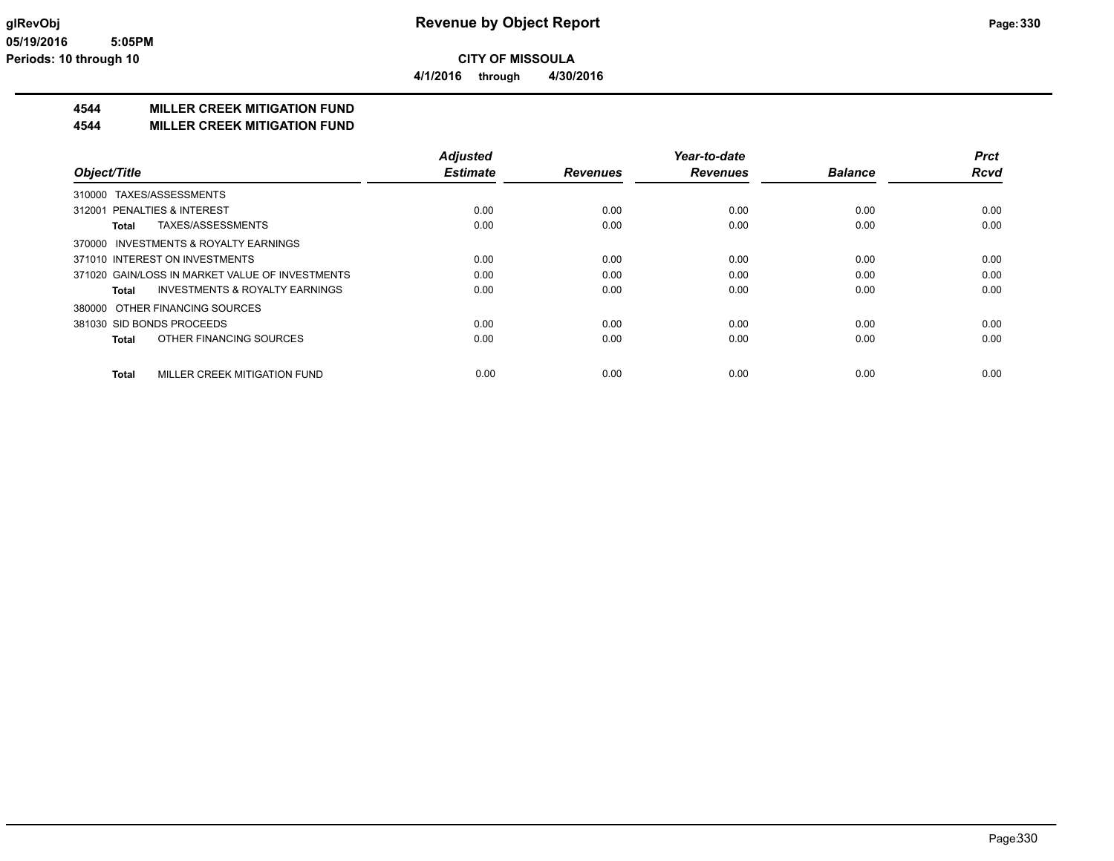**4/1/2016 through 4/30/2016**

### **4544 MILLER CREEK MITIGATION FUND**

#### **4544 MILLER CREEK MITIGATION FUND**

|                                                    | <b>Adjusted</b> |                 | Year-to-date    |                | <b>Prct</b> |
|----------------------------------------------------|-----------------|-----------------|-----------------|----------------|-------------|
| Object/Title                                       | <b>Estimate</b> | <b>Revenues</b> | <b>Revenues</b> | <b>Balance</b> | <b>Rcvd</b> |
| 310000 TAXES/ASSESSMENTS                           |                 |                 |                 |                |             |
| 312001 PENALTIES & INTEREST                        | 0.00            | 0.00            | 0.00            | 0.00           | 0.00        |
| TAXES/ASSESSMENTS<br>Total                         | 0.00            | 0.00            | 0.00            | 0.00           | 0.00        |
| 370000 INVESTMENTS & ROYALTY EARNINGS              |                 |                 |                 |                |             |
| 371010 INTEREST ON INVESTMENTS                     | 0.00            | 0.00            | 0.00            | 0.00           | 0.00        |
| 371020 GAIN/LOSS IN MARKET VALUE OF INVESTMENTS    | 0.00            | 0.00            | 0.00            | 0.00           | 0.00        |
| <b>INVESTMENTS &amp; ROYALTY EARNINGS</b><br>Total | 0.00            | 0.00            | 0.00            | 0.00           | 0.00        |
| 380000 OTHER FINANCING SOURCES                     |                 |                 |                 |                |             |
| 381030 SID BONDS PROCEEDS                          | 0.00            | 0.00            | 0.00            | 0.00           | 0.00        |
| OTHER FINANCING SOURCES<br>Total                   | 0.00            | 0.00            | 0.00            | 0.00           | 0.00        |
| MILLER CREEK MITIGATION FUND<br><b>Total</b>       | 0.00            | 0.00            | 0.00            | 0.00           | 0.00        |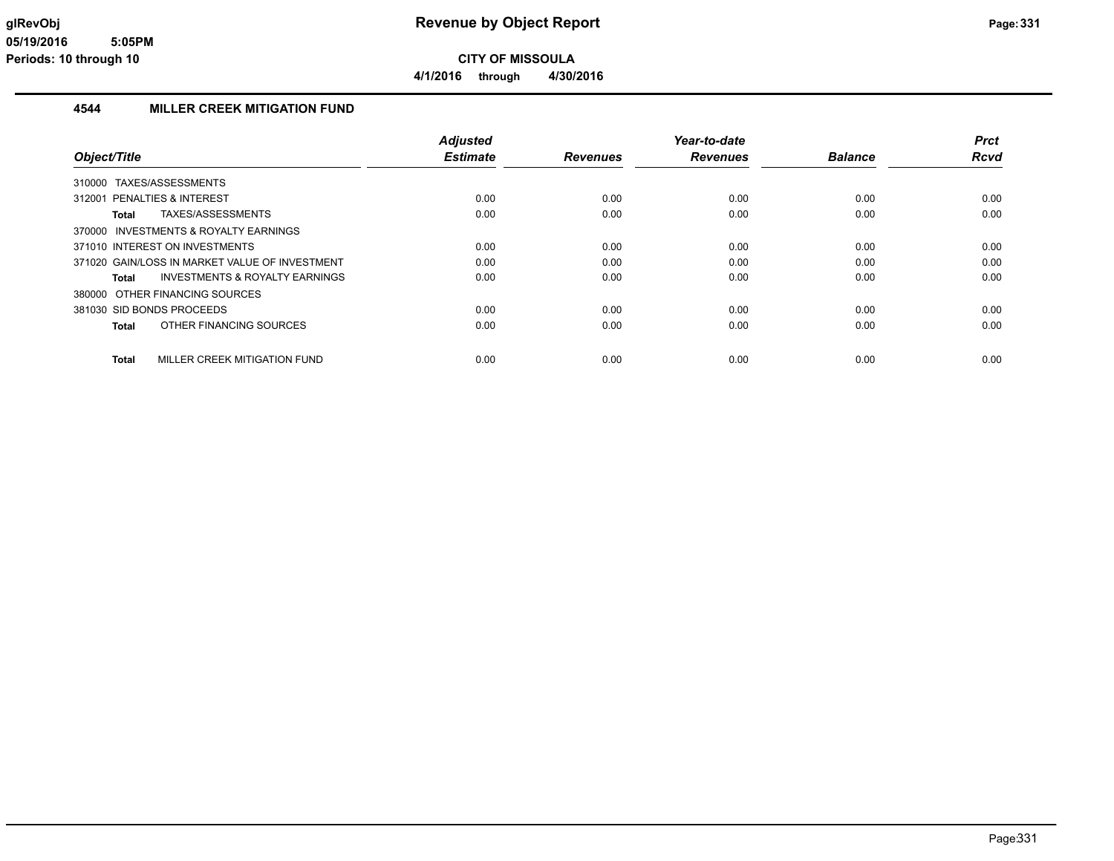### **4544 MILLER CREEK MITIGATION FUND**

|                                                    | <b>Adjusted</b> |                 | Year-to-date    |                | Prct |
|----------------------------------------------------|-----------------|-----------------|-----------------|----------------|------|
| Object/Title                                       | <b>Estimate</b> | <b>Revenues</b> | <b>Revenues</b> | <b>Balance</b> | Rcvd |
| TAXES/ASSESSMENTS<br>310000                        |                 |                 |                 |                |      |
| 312001 PENALTIES & INTEREST                        | 0.00            | 0.00            | 0.00            | 0.00           | 0.00 |
| TAXES/ASSESSMENTS<br>Total                         | 0.00            | 0.00            | 0.00            | 0.00           | 0.00 |
| 370000 INVESTMENTS & ROYALTY EARNINGS              |                 |                 |                 |                |      |
| 371010 INTEREST ON INVESTMENTS                     | 0.00            | 0.00            | 0.00            | 0.00           | 0.00 |
| 371020 GAIN/LOSS IN MARKET VALUE OF INVESTMENT     | 0.00            | 0.00            | 0.00            | 0.00           | 0.00 |
| <b>INVESTMENTS &amp; ROYALTY EARNINGS</b><br>Total | 0.00            | 0.00            | 0.00            | 0.00           | 0.00 |
| 380000 OTHER FINANCING SOURCES                     |                 |                 |                 |                |      |
| 381030 SID BONDS PROCEEDS                          | 0.00            | 0.00            | 0.00            | 0.00           | 0.00 |
| OTHER FINANCING SOURCES<br>Total                   | 0.00            | 0.00            | 0.00            | 0.00           | 0.00 |
| MILLER CREEK MITIGATION FUND<br><b>Total</b>       | 0.00            | 0.00            | 0.00            | 0.00           | 0.00 |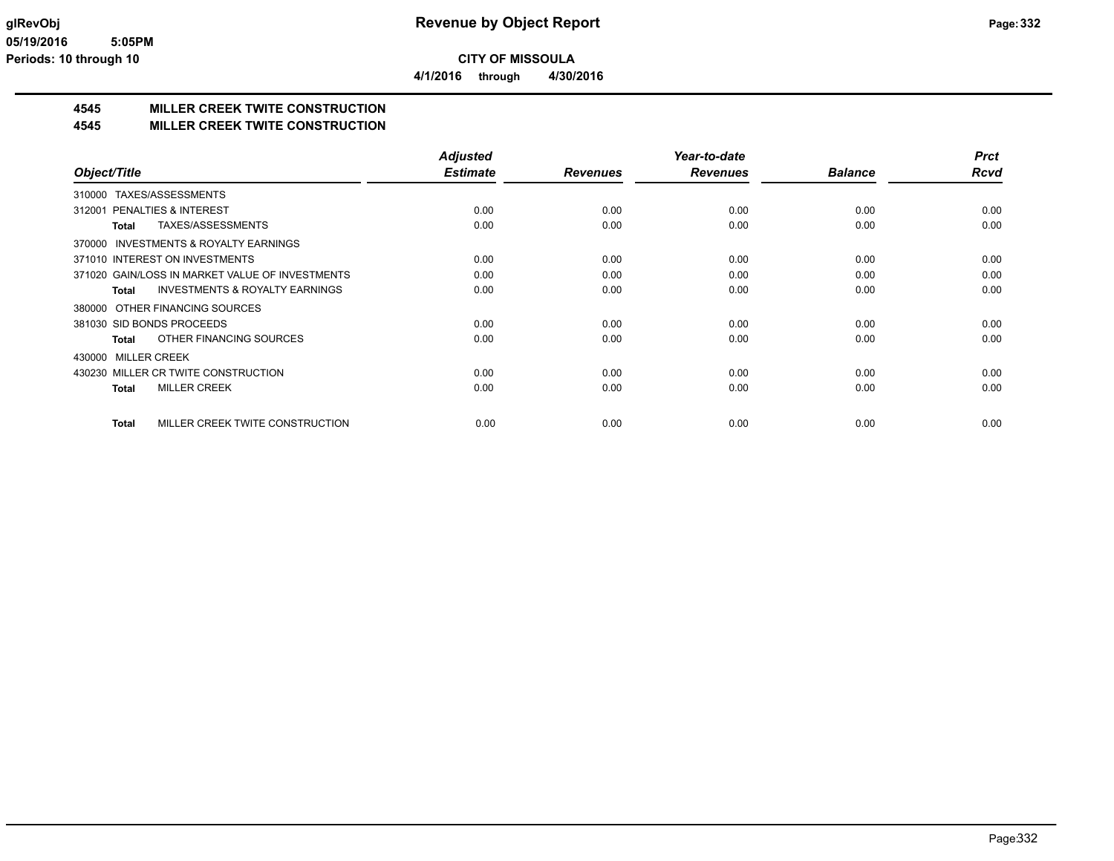**4/1/2016 through 4/30/2016**

## **4545 MILLER CREEK TWITE CONSTRUCTION**

### **4545 MILLER CREEK TWITE CONSTRUCTION**

|                                                           | <b>Adjusted</b> |                 | Year-to-date    |                | <b>Prct</b> |
|-----------------------------------------------------------|-----------------|-----------------|-----------------|----------------|-------------|
| Object/Title                                              | <b>Estimate</b> | <b>Revenues</b> | <b>Revenues</b> | <b>Balance</b> | Rcvd        |
| TAXES/ASSESSMENTS<br>310000                               |                 |                 |                 |                |             |
| <b>PENALTIES &amp; INTEREST</b><br>312001                 | 0.00            | 0.00            | 0.00            | 0.00           | 0.00        |
| TAXES/ASSESSMENTS<br><b>Total</b>                         | 0.00            | 0.00            | 0.00            | 0.00           | 0.00        |
| <b>INVESTMENTS &amp; ROYALTY EARNINGS</b><br>370000       |                 |                 |                 |                |             |
| 371010 INTEREST ON INVESTMENTS                            | 0.00            | 0.00            | 0.00            | 0.00           | 0.00        |
| 371020 GAIN/LOSS IN MARKET VALUE OF INVESTMENTS           | 0.00            | 0.00            | 0.00            | 0.00           | 0.00        |
| <b>INVESTMENTS &amp; ROYALTY EARNINGS</b><br><b>Total</b> | 0.00            | 0.00            | 0.00            | 0.00           | 0.00        |
| OTHER FINANCING SOURCES<br>380000                         |                 |                 |                 |                |             |
| 381030 SID BONDS PROCEEDS                                 | 0.00            | 0.00            | 0.00            | 0.00           | 0.00        |
| OTHER FINANCING SOURCES<br><b>Total</b>                   | 0.00            | 0.00            | 0.00            | 0.00           | 0.00        |
| <b>MILLER CREEK</b><br>430000                             |                 |                 |                 |                |             |
| 430230 MILLER CR TWITE CONSTRUCTION                       | 0.00            | 0.00            | 0.00            | 0.00           | 0.00        |
| <b>MILLER CREEK</b><br><b>Total</b>                       | 0.00            | 0.00            | 0.00            | 0.00           | 0.00        |
|                                                           |                 |                 |                 |                |             |
| MILLER CREEK TWITE CONSTRUCTION<br><b>Total</b>           | 0.00            | 0.00            | 0.00            | 0.00           | 0.00        |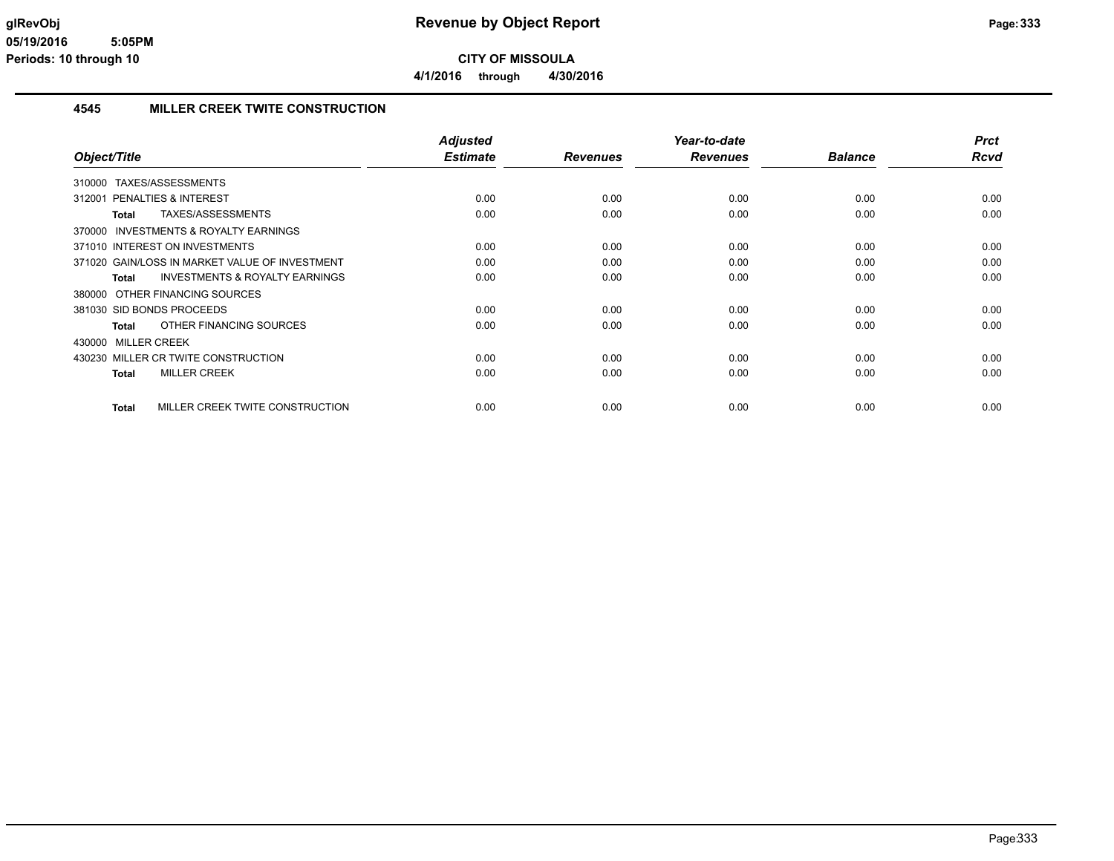**4/1/2016 through 4/30/2016**

### **4545 MILLER CREEK TWITE CONSTRUCTION**

| Object/Title                                        | <b>Adjusted</b><br><b>Estimate</b> | <b>Revenues</b> | Year-to-date<br><b>Revenues</b> | <b>Balance</b> | <b>Prct</b><br><b>Rcvd</b> |
|-----------------------------------------------------|------------------------------------|-----------------|---------------------------------|----------------|----------------------------|
|                                                     |                                    |                 |                                 |                |                            |
| 310000 TAXES/ASSESSMENTS                            |                                    |                 |                                 |                |                            |
| 312001 PENALTIES & INTEREST                         | 0.00                               | 0.00            | 0.00                            | 0.00           | 0.00                       |
| TAXES/ASSESSMENTS<br>Total                          | 0.00                               | 0.00            | 0.00                            | 0.00           | 0.00                       |
| <b>INVESTMENTS &amp; ROYALTY EARNINGS</b><br>370000 |                                    |                 |                                 |                |                            |
| 371010 INTEREST ON INVESTMENTS                      | 0.00                               | 0.00            | 0.00                            | 0.00           | 0.00                       |
| 371020 GAIN/LOSS IN MARKET VALUE OF INVESTMENT      | 0.00                               | 0.00            | 0.00                            | 0.00           | 0.00                       |
| <b>INVESTMENTS &amp; ROYALTY EARNINGS</b><br>Total  | 0.00                               | 0.00            | 0.00                            | 0.00           | 0.00                       |
| 380000 OTHER FINANCING SOURCES                      |                                    |                 |                                 |                |                            |
| 381030 SID BONDS PROCEEDS                           | 0.00                               | 0.00            | 0.00                            | 0.00           | 0.00                       |
| OTHER FINANCING SOURCES<br>Total                    | 0.00                               | 0.00            | 0.00                            | 0.00           | 0.00                       |
| 430000 MILLER CREEK                                 |                                    |                 |                                 |                |                            |
| 430230 MILLER CR TWITE CONSTRUCTION                 | 0.00                               | 0.00            | 0.00                            | 0.00           | 0.00                       |
| <b>MILLER CREEK</b><br><b>Total</b>                 | 0.00                               | 0.00            | 0.00                            | 0.00           | 0.00                       |
|                                                     |                                    |                 |                                 |                |                            |
| MILLER CREEK TWITE CONSTRUCTION<br>Total            | 0.00                               | 0.00            | 0.00                            | 0.00           | 0.00                       |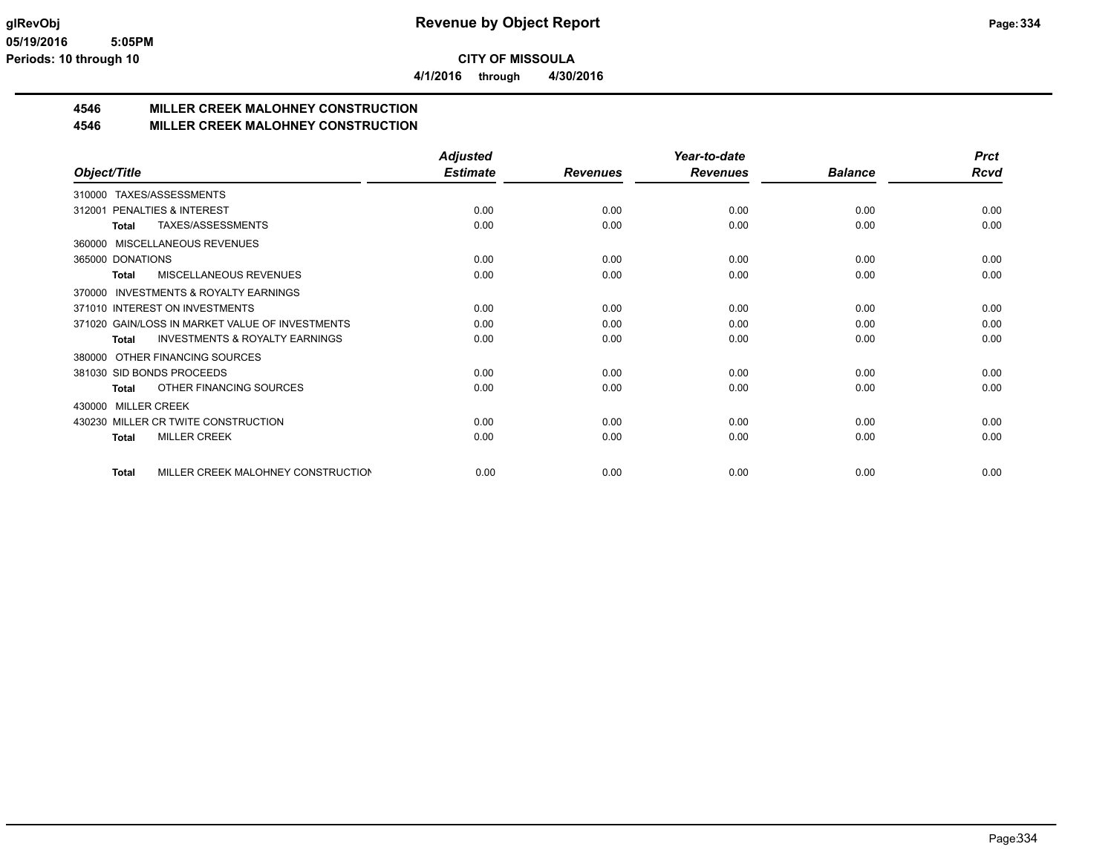**4/1/2016 through 4/30/2016**

### **4546 MILLER CREEK MALOHNEY CONSTRUCTION**

#### **4546 MILLER CREEK MALOHNEY CONSTRUCTION**

|                                                           | <b>Adjusted</b> |                 | Year-to-date    |                | <b>Prct</b> |
|-----------------------------------------------------------|-----------------|-----------------|-----------------|----------------|-------------|
| Object/Title                                              | <b>Estimate</b> | <b>Revenues</b> | <b>Revenues</b> | <b>Balance</b> | <b>Rcvd</b> |
| 310000 TAXES/ASSESSMENTS                                  |                 |                 |                 |                |             |
| PENALTIES & INTEREST<br>312001                            | 0.00            | 0.00            | 0.00            | 0.00           | 0.00        |
| TAXES/ASSESSMENTS<br><b>Total</b>                         | 0.00            | 0.00            | 0.00            | 0.00           | 0.00        |
| 360000 MISCELLANEOUS REVENUES                             |                 |                 |                 |                |             |
| 365000 DONATIONS                                          | 0.00            | 0.00            | 0.00            | 0.00           | 0.00        |
| <b>MISCELLANEOUS REVENUES</b><br><b>Total</b>             | 0.00            | 0.00            | 0.00            | 0.00           | 0.00        |
| <b>INVESTMENTS &amp; ROYALTY EARNINGS</b><br>370000       |                 |                 |                 |                |             |
| 371010 INTEREST ON INVESTMENTS                            | 0.00            | 0.00            | 0.00            | 0.00           | 0.00        |
| 371020 GAIN/LOSS IN MARKET VALUE OF INVESTMENTS           | 0.00            | 0.00            | 0.00            | 0.00           | 0.00        |
| <b>INVESTMENTS &amp; ROYALTY EARNINGS</b><br><b>Total</b> | 0.00            | 0.00            | 0.00            | 0.00           | 0.00        |
| OTHER FINANCING SOURCES<br>380000                         |                 |                 |                 |                |             |
| 381030 SID BONDS PROCEEDS                                 | 0.00            | 0.00            | 0.00            | 0.00           | 0.00        |
| OTHER FINANCING SOURCES<br>Total                          | 0.00            | 0.00            | 0.00            | 0.00           | 0.00        |
| <b>MILLER CREEK</b><br>430000                             |                 |                 |                 |                |             |
| 430230 MILLER CR TWITE CONSTRUCTION                       | 0.00            | 0.00            | 0.00            | 0.00           | 0.00        |
| <b>MILLER CREEK</b><br><b>Total</b>                       | 0.00            | 0.00            | 0.00            | 0.00           | 0.00        |
| MILLER CREEK MALOHNEY CONSTRUCTION<br><b>Total</b>        | 0.00            | 0.00            | 0.00            | 0.00           | 0.00        |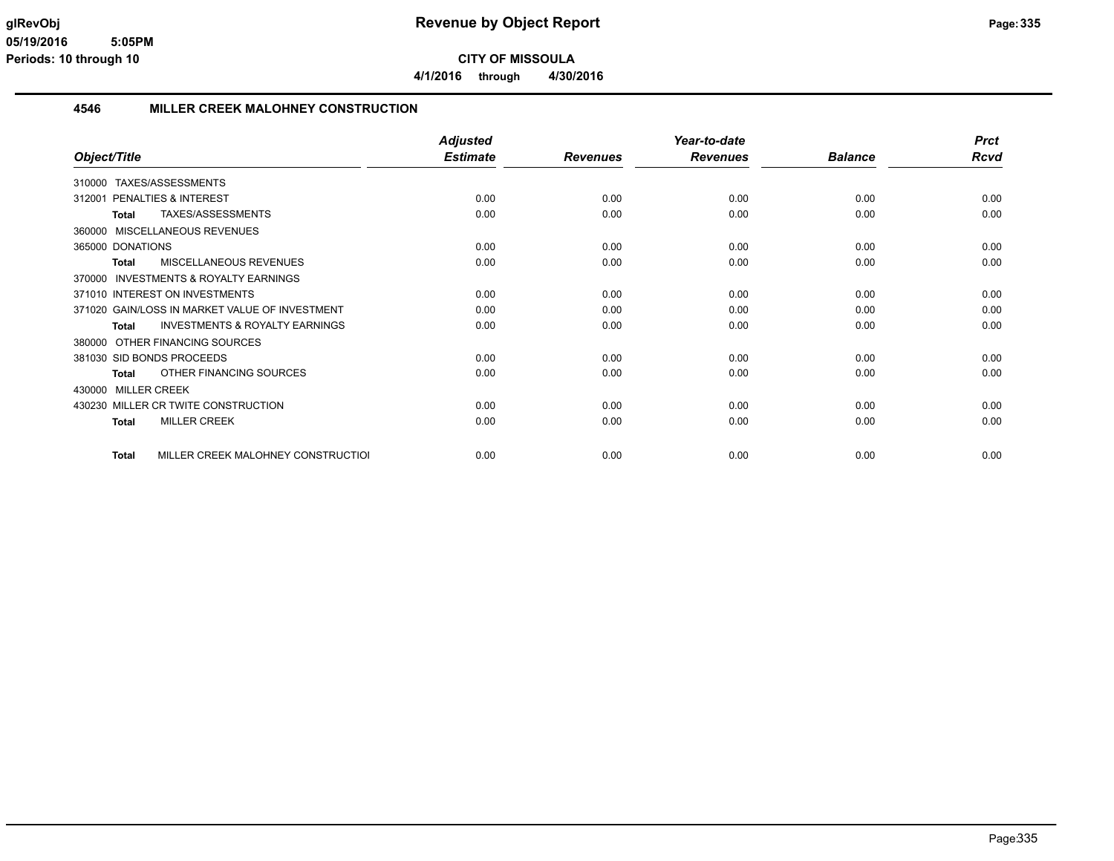**4/1/2016 through 4/30/2016**

#### **4546 MILLER CREEK MALOHNEY CONSTRUCTION**

|                                                           | <b>Adjusted</b> |                 | Year-to-date    |                | <b>Prct</b> |
|-----------------------------------------------------------|-----------------|-----------------|-----------------|----------------|-------------|
| Object/Title                                              | <b>Estimate</b> | <b>Revenues</b> | <b>Revenues</b> | <b>Balance</b> | <b>Rcvd</b> |
| TAXES/ASSESSMENTS<br>310000                               |                 |                 |                 |                |             |
| PENALTIES & INTEREST<br>312001                            | 0.00            | 0.00            | 0.00            | 0.00           | 0.00        |
| TAXES/ASSESSMENTS<br><b>Total</b>                         | 0.00            | 0.00            | 0.00            | 0.00           | 0.00        |
| MISCELLANEOUS REVENUES<br>360000                          |                 |                 |                 |                |             |
| 365000 DONATIONS                                          | 0.00            | 0.00            | 0.00            | 0.00           | 0.00        |
| MISCELLANEOUS REVENUES<br><b>Total</b>                    | 0.00            | 0.00            | 0.00            | 0.00           | 0.00        |
| INVESTMENTS & ROYALTY EARNINGS<br>370000                  |                 |                 |                 |                |             |
| 371010 INTEREST ON INVESTMENTS                            | 0.00            | 0.00            | 0.00            | 0.00           | 0.00        |
| 371020 GAIN/LOSS IN MARKET VALUE OF INVESTMENT            | 0.00            | 0.00            | 0.00            | 0.00           | 0.00        |
| <b>INVESTMENTS &amp; ROYALTY EARNINGS</b><br><b>Total</b> | 0.00            | 0.00            | 0.00            | 0.00           | 0.00        |
| OTHER FINANCING SOURCES<br>380000                         |                 |                 |                 |                |             |
| 381030 SID BONDS PROCEEDS                                 | 0.00            | 0.00            | 0.00            | 0.00           | 0.00        |
| OTHER FINANCING SOURCES<br><b>Total</b>                   | 0.00            | 0.00            | 0.00            | 0.00           | 0.00        |
| 430000 MILLER CREEK                                       |                 |                 |                 |                |             |
| 430230 MILLER CR TWITE CONSTRUCTION                       | 0.00            | 0.00            | 0.00            | 0.00           | 0.00        |
| <b>MILLER CREEK</b><br><b>Total</b>                       | 0.00            | 0.00            | 0.00            | 0.00           | 0.00        |
| MILLER CREEK MALOHNEY CONSTRUCTION<br><b>Total</b>        | 0.00            | 0.00            | 0.00            | 0.00           | 0.00        |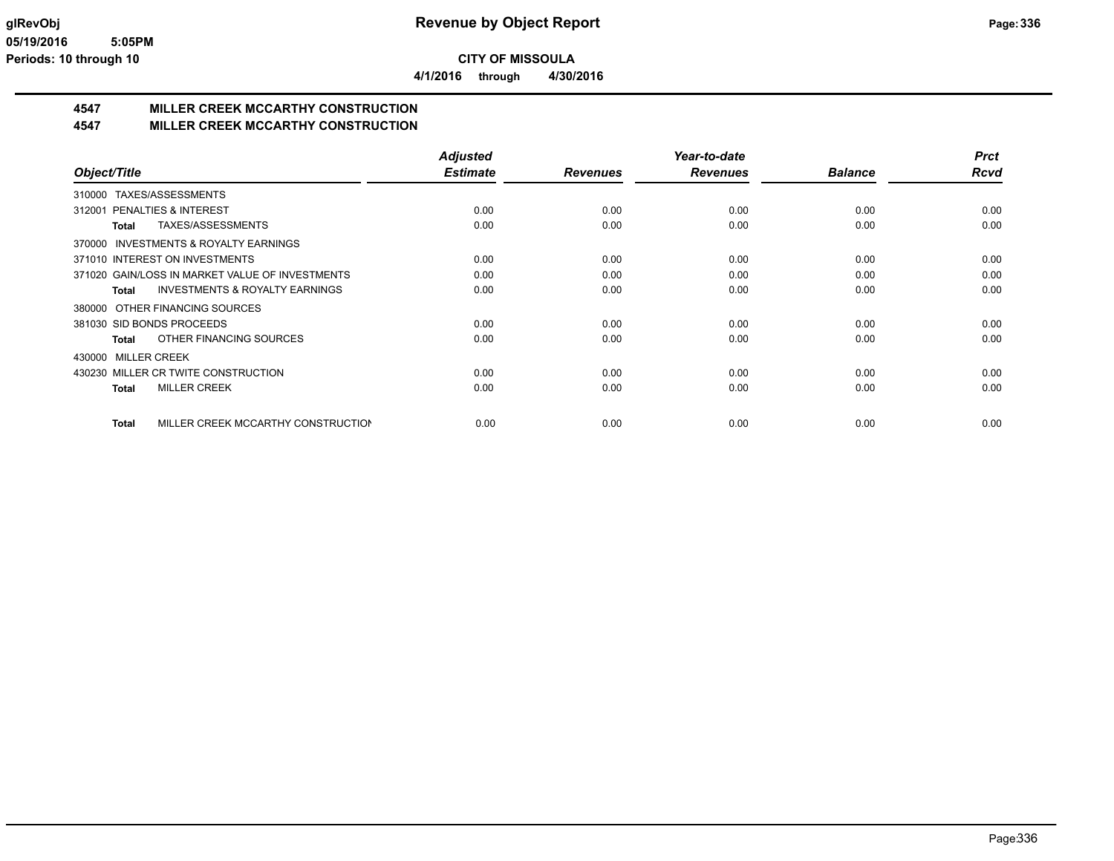**4/1/2016 through 4/30/2016**

# **4547 MILLER CREEK MCCARTHY CONSTRUCTION**

### **4547 MILLER CREEK MCCARTHY CONSTRUCTION**

|                                                     | <b>Adjusted</b> |                 | Year-to-date    |                | <b>Prct</b> |
|-----------------------------------------------------|-----------------|-----------------|-----------------|----------------|-------------|
| Object/Title                                        | <b>Estimate</b> | <b>Revenues</b> | <b>Revenues</b> | <b>Balance</b> | <b>Rcvd</b> |
| TAXES/ASSESSMENTS<br>310000                         |                 |                 |                 |                |             |
| PENALTIES & INTEREST<br>312001                      | 0.00            | 0.00            | 0.00            | 0.00           | 0.00        |
| TAXES/ASSESSMENTS<br>Total                          | 0.00            | 0.00            | 0.00            | 0.00           | 0.00        |
| <b>INVESTMENTS &amp; ROYALTY EARNINGS</b><br>370000 |                 |                 |                 |                |             |
| 371010 INTEREST ON INVESTMENTS                      | 0.00            | 0.00            | 0.00            | 0.00           | 0.00        |
| 371020 GAIN/LOSS IN MARKET VALUE OF INVESTMENTS     | 0.00            | 0.00            | 0.00            | 0.00           | 0.00        |
| <b>INVESTMENTS &amp; ROYALTY EARNINGS</b><br>Total  | 0.00            | 0.00            | 0.00            | 0.00           | 0.00        |
| 380000 OTHER FINANCING SOURCES                      |                 |                 |                 |                |             |
| 381030 SID BONDS PROCEEDS                           | 0.00            | 0.00            | 0.00            | 0.00           | 0.00        |
| OTHER FINANCING SOURCES<br>Total                    | 0.00            | 0.00            | 0.00            | 0.00           | 0.00        |
| 430000 MILLER CREEK                                 |                 |                 |                 |                |             |
| 430230 MILLER CR TWITE CONSTRUCTION                 | 0.00            | 0.00            | 0.00            | 0.00           | 0.00        |
| <b>MILLER CREEK</b><br>Total                        | 0.00            | 0.00            | 0.00            | 0.00           | 0.00        |
|                                                     |                 |                 |                 |                |             |
| MILLER CREEK MCCARTHY CONSTRUCTION<br>Total         | 0.00            | 0.00            | 0.00            | 0.00           | 0.00        |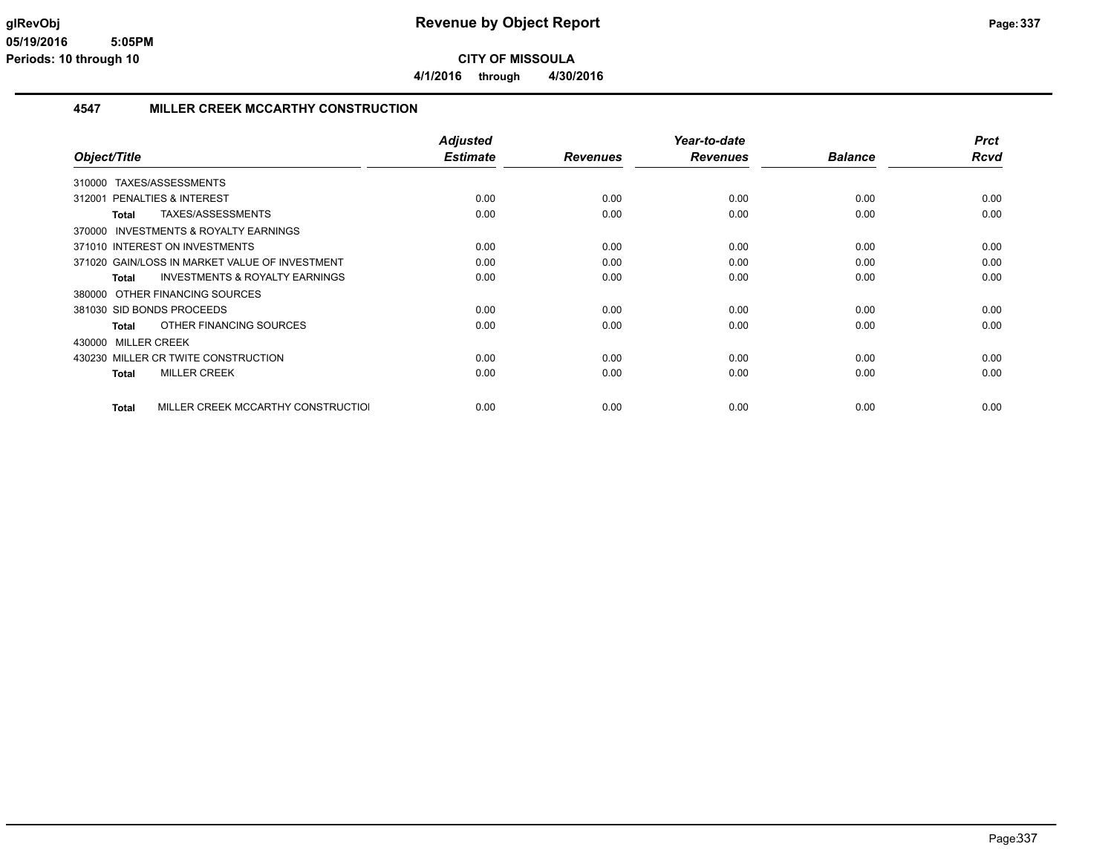### **4547 MILLER CREEK MCCARTHY CONSTRUCTION**

| Object/Title                                              | <b>Adjusted</b><br><b>Estimate</b> | <b>Revenues</b> | Year-to-date<br><b>Revenues</b> | <b>Balance</b> | <b>Prct</b><br><b>Rcvd</b> |
|-----------------------------------------------------------|------------------------------------|-----------------|---------------------------------|----------------|----------------------------|
|                                                           |                                    |                 |                                 |                |                            |
| TAXES/ASSESSMENTS<br>310000                               |                                    |                 |                                 |                |                            |
| 312001 PENALTIES & INTEREST                               | 0.00                               | 0.00            | 0.00                            | 0.00           | 0.00                       |
| TAXES/ASSESSMENTS<br><b>Total</b>                         | 0.00                               | 0.00            | 0.00                            | 0.00           | 0.00                       |
| <b>INVESTMENTS &amp; ROYALTY EARNINGS</b><br>370000       |                                    |                 |                                 |                |                            |
| 371010 INTEREST ON INVESTMENTS                            | 0.00                               | 0.00            | 0.00                            | 0.00           | 0.00                       |
| 371020 GAIN/LOSS IN MARKET VALUE OF INVESTMENT            | 0.00                               | 0.00            | 0.00                            | 0.00           | 0.00                       |
| <b>INVESTMENTS &amp; ROYALTY EARNINGS</b><br><b>Total</b> | 0.00                               | 0.00            | 0.00                            | 0.00           | 0.00                       |
| 380000 OTHER FINANCING SOURCES                            |                                    |                 |                                 |                |                            |
| 381030 SID BONDS PROCEEDS                                 | 0.00                               | 0.00            | 0.00                            | 0.00           | 0.00                       |
| OTHER FINANCING SOURCES<br><b>Total</b>                   | 0.00                               | 0.00            | 0.00                            | 0.00           | 0.00                       |
| 430000 MILLER CREEK                                       |                                    |                 |                                 |                |                            |
| 430230 MILLER CR TWITE CONSTRUCTION                       | 0.00                               | 0.00            | 0.00                            | 0.00           | 0.00                       |
| <b>MILLER CREEK</b><br>Total                              | 0.00                               | 0.00            | 0.00                            | 0.00           | 0.00                       |
|                                                           |                                    |                 |                                 |                |                            |
| MILLER CREEK MCCARTHY CONSTRUCTIOI<br><b>Total</b>        | 0.00                               | 0.00            | 0.00                            | 0.00           | 0.00                       |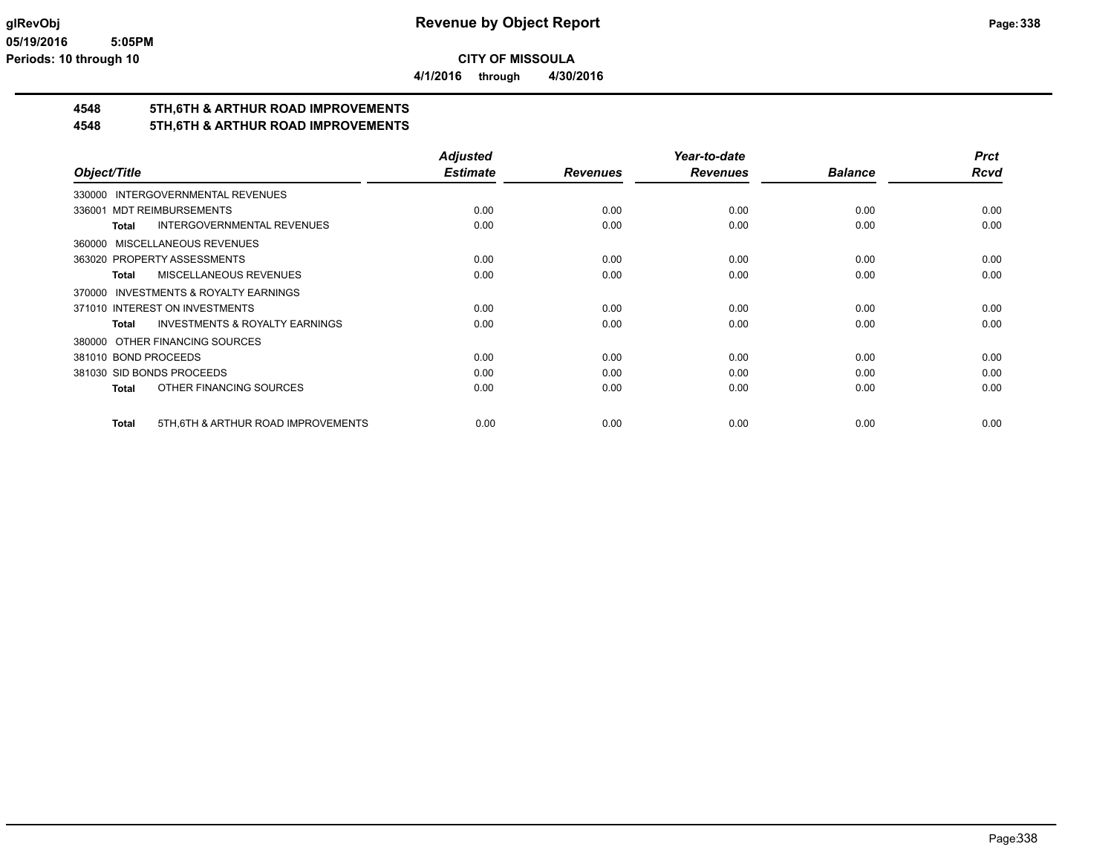**4/1/2016 through 4/30/2016**

### **4548 5TH,6TH & ARTHUR ROAD IMPROVEMENTS**

#### **4548 5TH,6TH & ARTHUR ROAD IMPROVEMENTS**

|                                                     | <b>Adjusted</b> |                 | Year-to-date    |                | <b>Prct</b> |
|-----------------------------------------------------|-----------------|-----------------|-----------------|----------------|-------------|
| Object/Title                                        | <b>Estimate</b> | <b>Revenues</b> | <b>Revenues</b> | <b>Balance</b> | Rcvd        |
| 330000 INTERGOVERNMENTAL REVENUES                   |                 |                 |                 |                |             |
| 336001 MDT REIMBURSEMENTS                           | 0.00            | 0.00            | 0.00            | 0.00           | 0.00        |
| <b>INTERGOVERNMENTAL REVENUES</b><br><b>Total</b>   | 0.00            | 0.00            | 0.00            | 0.00           | 0.00        |
| MISCELLANEOUS REVENUES<br>360000                    |                 |                 |                 |                |             |
| 363020 PROPERTY ASSESSMENTS                         | 0.00            | 0.00            | 0.00            | 0.00           | 0.00        |
| <b>MISCELLANEOUS REVENUES</b><br><b>Total</b>       | 0.00            | 0.00            | 0.00            | 0.00           | 0.00        |
| <b>INVESTMENTS &amp; ROYALTY EARNINGS</b><br>370000 |                 |                 |                 |                |             |
| 371010 INTEREST ON INVESTMENTS                      | 0.00            | 0.00            | 0.00            | 0.00           | 0.00        |
| <b>INVESTMENTS &amp; ROYALTY EARNINGS</b><br>Total  | 0.00            | 0.00            | 0.00            | 0.00           | 0.00        |
| OTHER FINANCING SOURCES<br>380000                   |                 |                 |                 |                |             |
| 381010 BOND PROCEEDS                                | 0.00            | 0.00            | 0.00            | 0.00           | 0.00        |
| 381030 SID BONDS PROCEEDS                           | 0.00            | 0.00            | 0.00            | 0.00           | 0.00        |
| OTHER FINANCING SOURCES<br><b>Total</b>             | 0.00            | 0.00            | 0.00            | 0.00           | 0.00        |
| 5TH, 6TH & ARTHUR ROAD IMPROVEMENTS<br><b>Total</b> | 0.00            | 0.00            | 0.00            | 0.00           | 0.00        |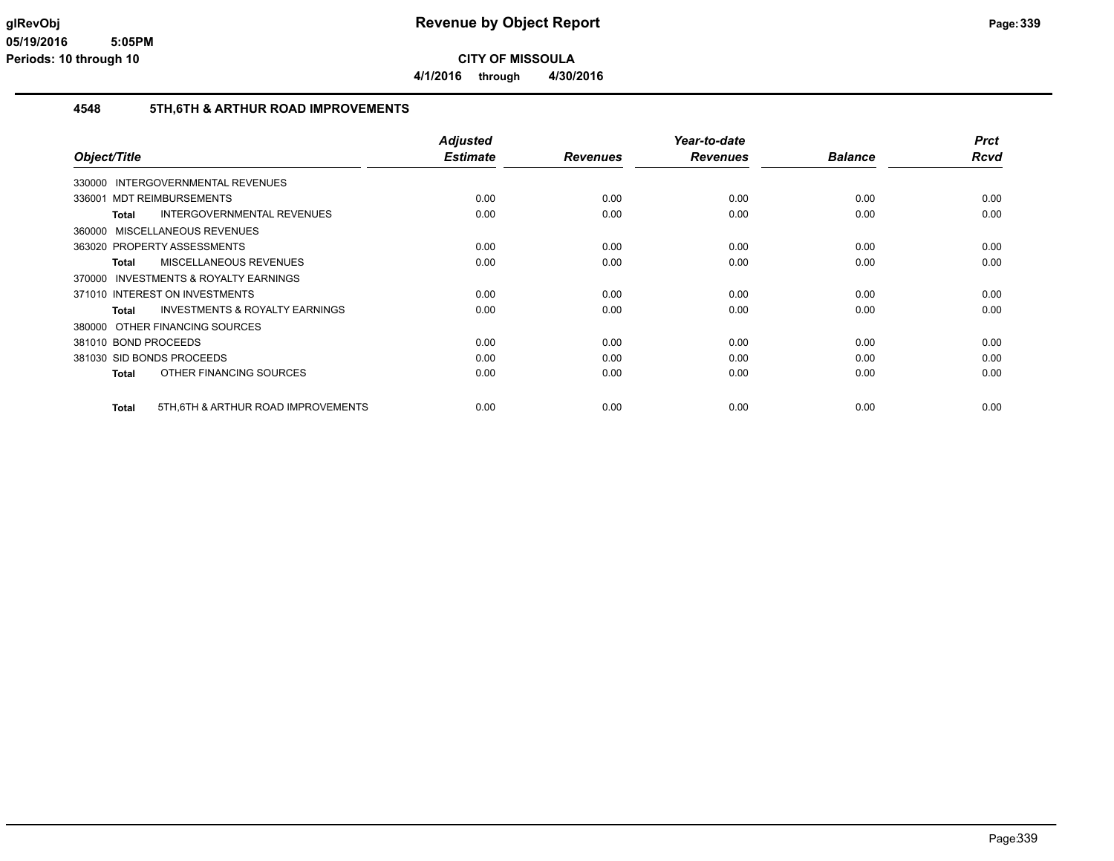**4/1/2016 through 4/30/2016**

#### **4548 5TH,6TH & ARTHUR ROAD IMPROVEMENTS**

|                                                    | <b>Adjusted</b> |                 | Year-to-date    |                | <b>Prct</b> |
|----------------------------------------------------|-----------------|-----------------|-----------------|----------------|-------------|
| Object/Title                                       | <b>Estimate</b> | <b>Revenues</b> | <b>Revenues</b> | <b>Balance</b> | <b>Rcvd</b> |
| 330000 INTERGOVERNMENTAL REVENUES                  |                 |                 |                 |                |             |
| <b>MDT REIMBURSEMENTS</b><br>336001                | 0.00            | 0.00            | 0.00            | 0.00           | 0.00        |
| <b>INTERGOVERNMENTAL REVENUES</b><br>Total         | 0.00            | 0.00            | 0.00            | 0.00           | 0.00        |
| 360000 MISCELLANEOUS REVENUES                      |                 |                 |                 |                |             |
| 363020 PROPERTY ASSESSMENTS                        | 0.00            | 0.00            | 0.00            | 0.00           | 0.00        |
| MISCELLANEOUS REVENUES<br>Total                    | 0.00            | 0.00            | 0.00            | 0.00           | 0.00        |
| 370000 INVESTMENTS & ROYALTY EARNINGS              |                 |                 |                 |                |             |
| 371010 INTEREST ON INVESTMENTS                     | 0.00            | 0.00            | 0.00            | 0.00           | 0.00        |
| <b>INVESTMENTS &amp; ROYALTY EARNINGS</b><br>Total | 0.00            | 0.00            | 0.00            | 0.00           | 0.00        |
| 380000 OTHER FINANCING SOURCES                     |                 |                 |                 |                |             |
| 381010 BOND PROCEEDS                               | 0.00            | 0.00            | 0.00            | 0.00           | 0.00        |
| 381030 SID BONDS PROCEEDS                          | 0.00            | 0.00            | 0.00            | 0.00           | 0.00        |
| OTHER FINANCING SOURCES<br>Total                   | 0.00            | 0.00            | 0.00            | 0.00           | 0.00        |
| 5TH, 6TH & ARTHUR ROAD IMPROVEMENTS<br>Total       | 0.00            | 0.00            | 0.00            | 0.00           | 0.00        |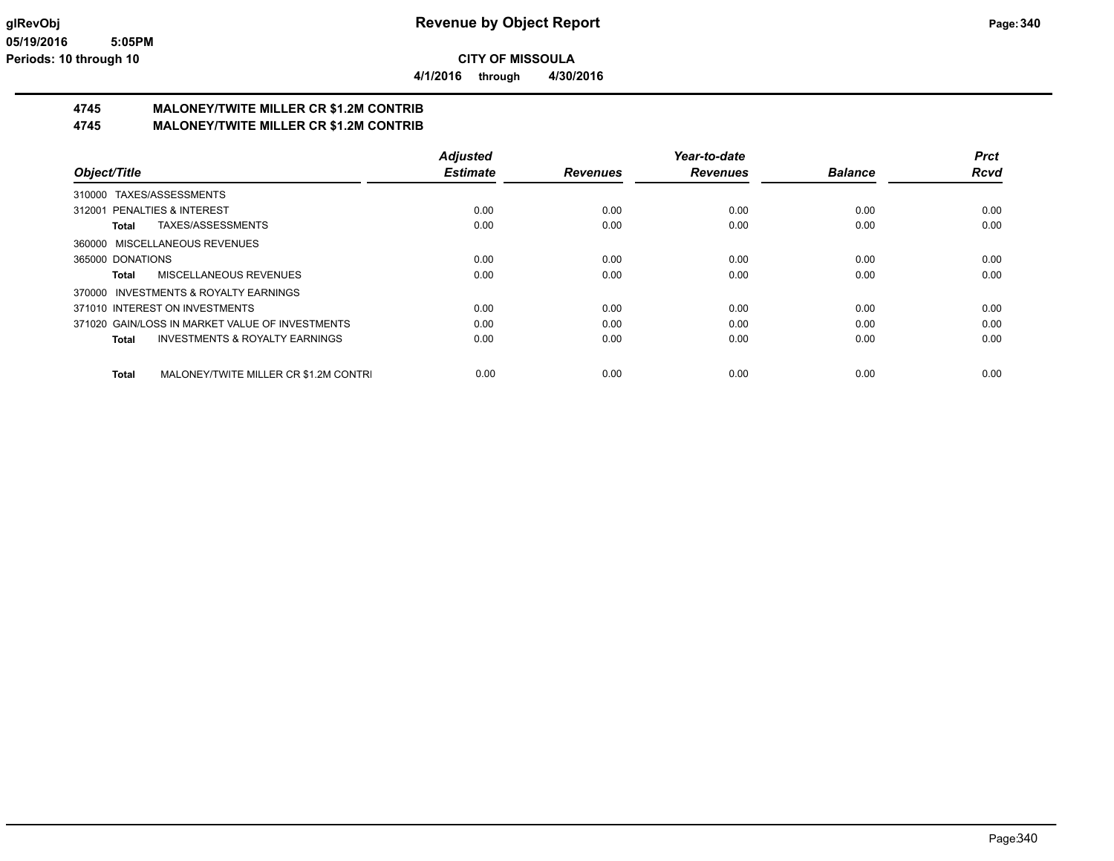**4/1/2016 through 4/30/2016**

# **4745 MALONEY/TWITE MILLER CR \$1.2M CONTRIB**

**4745 MALONEY/TWITE MILLER CR \$1.2M CONTRIB**

|                                                       | <b>Adjusted</b> |                 | Year-to-date    |                | <b>Prct</b> |
|-------------------------------------------------------|-----------------|-----------------|-----------------|----------------|-------------|
| Object/Title                                          | <b>Estimate</b> | <b>Revenues</b> | <b>Revenues</b> | <b>Balance</b> | <b>Rcvd</b> |
| TAXES/ASSESSMENTS<br>310000                           |                 |                 |                 |                |             |
| 312001 PENALTIES & INTEREST                           | 0.00            | 0.00            | 0.00            | 0.00           | 0.00        |
| TAXES/ASSESSMENTS<br>Total                            | 0.00            | 0.00            | 0.00            | 0.00           | 0.00        |
| 360000 MISCELLANEOUS REVENUES                         |                 |                 |                 |                |             |
| 365000 DONATIONS                                      | 0.00            | 0.00            | 0.00            | 0.00           | 0.00        |
| MISCELLANEOUS REVENUES<br>Total                       | 0.00            | 0.00            | 0.00            | 0.00           | 0.00        |
| 370000 INVESTMENTS & ROYALTY EARNINGS                 |                 |                 |                 |                |             |
| 371010 INTEREST ON INVESTMENTS                        | 0.00            | 0.00            | 0.00            | 0.00           | 0.00        |
| 371020 GAIN/LOSS IN MARKET VALUE OF INVESTMENTS       | 0.00            | 0.00            | 0.00            | 0.00           | 0.00        |
| <b>INVESTMENTS &amp; ROYALTY EARNINGS</b><br>Total    | 0.00            | 0.00            | 0.00            | 0.00           | 0.00        |
| MALONEY/TWITE MILLER CR \$1.2M CONTRI<br><b>Total</b> | 0.00            | 0.00            | 0.00            | 0.00           | 0.00        |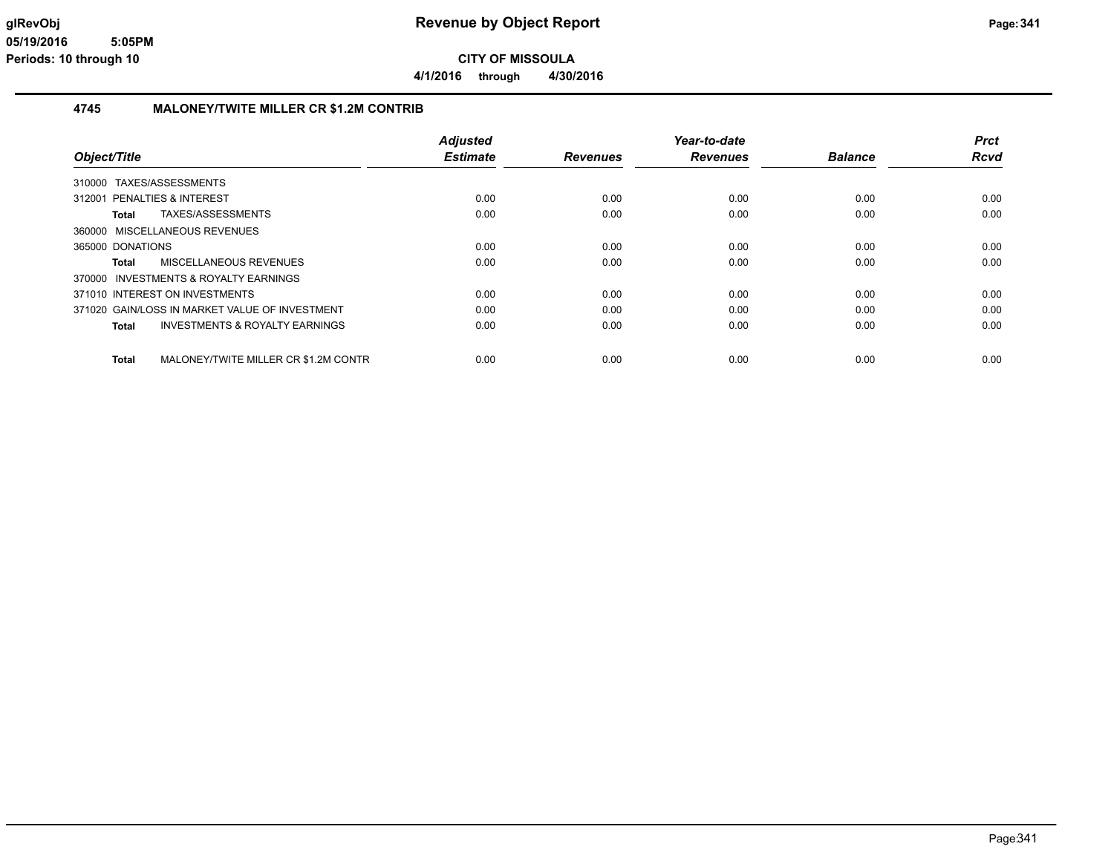#### **4745 MALONEY/TWITE MILLER CR \$1.2M CONTRIB**

|                                                      | <b>Adjusted</b> |                 | Year-to-date    |                | <b>Prct</b> |
|------------------------------------------------------|-----------------|-----------------|-----------------|----------------|-------------|
| Object/Title                                         | <b>Estimate</b> | <b>Revenues</b> | <b>Revenues</b> | <b>Balance</b> | <b>Rcvd</b> |
| 310000 TAXES/ASSESSMENTS                             |                 |                 |                 |                |             |
| PENALTIES & INTEREST<br>312001                       | 0.00            | 0.00            | 0.00            | 0.00           | 0.00        |
| TAXES/ASSESSMENTS<br>Total                           | 0.00            | 0.00            | 0.00            | 0.00           | 0.00        |
| 360000 MISCELLANEOUS REVENUES                        |                 |                 |                 |                |             |
| 365000 DONATIONS                                     | 0.00            | 0.00            | 0.00            | 0.00           | 0.00        |
| MISCELLANEOUS REVENUES<br>Total                      | 0.00            | 0.00            | 0.00            | 0.00           | 0.00        |
| 370000 INVESTMENTS & ROYALTY EARNINGS                |                 |                 |                 |                |             |
| 371010 INTEREST ON INVESTMENTS                       | 0.00            | 0.00            | 0.00            | 0.00           | 0.00        |
| 371020 GAIN/LOSS IN MARKET VALUE OF INVESTMENT       | 0.00            | 0.00            | 0.00            | 0.00           | 0.00        |
| <b>INVESTMENTS &amp; ROYALTY EARNINGS</b><br>Total   | 0.00            | 0.00            | 0.00            | 0.00           | 0.00        |
| MALONEY/TWITE MILLER CR \$1.2M CONTR<br><b>Total</b> | 0.00            | 0.00            | 0.00            | 0.00           | 0.00        |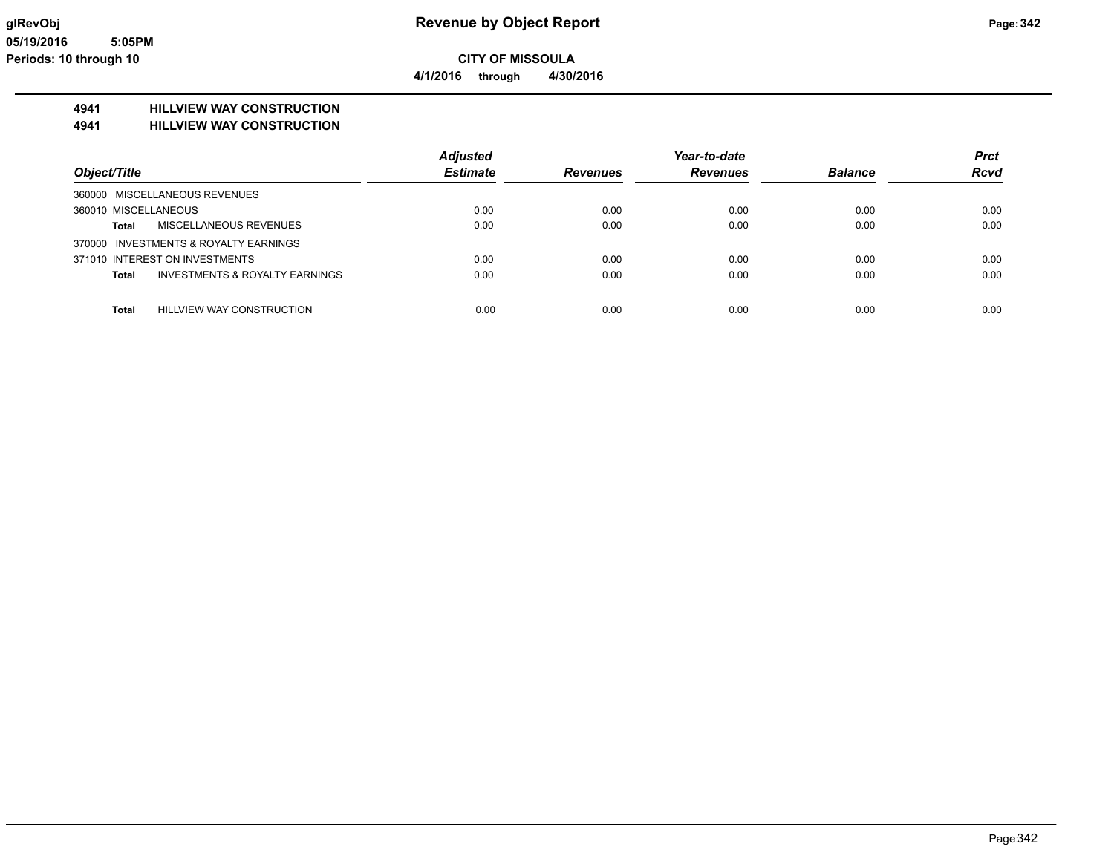**4/1/2016 through 4/30/2016**

### **4941 HILLVIEW WAY CONSTRUCTION**

**4941 HILLVIEW WAY CONSTRUCTION**

|                                                  | <b>Adjusted</b> |                 | Year-to-date    |                | <b>Prct</b> |
|--------------------------------------------------|-----------------|-----------------|-----------------|----------------|-------------|
| Object/Title                                     | <b>Estimate</b> | <b>Revenues</b> | <b>Revenues</b> | <b>Balance</b> | <b>Rcvd</b> |
| 360000 MISCELLANEOUS REVENUES                    |                 |                 |                 |                |             |
| 360010 MISCELLANEOUS                             | 0.00            | 0.00            | 0.00            | 0.00           | 0.00        |
| MISCELLANEOUS REVENUES<br>Total                  | 0.00            | 0.00            | 0.00            | 0.00           | 0.00        |
| 370000 INVESTMENTS & ROYALTY EARNINGS            |                 |                 |                 |                |             |
| 371010 INTEREST ON INVESTMENTS                   | 0.00            | 0.00            | 0.00            | 0.00           | 0.00        |
| INVESTMENTS & ROYALTY EARNINGS<br>Total          | 0.00            | 0.00            | 0.00            | 0.00           | 0.00        |
| <b>Total</b><br><b>HILLVIEW WAY CONSTRUCTION</b> | 0.00            | 0.00            | 0.00            | 0.00           | 0.00        |
|                                                  |                 |                 |                 |                |             |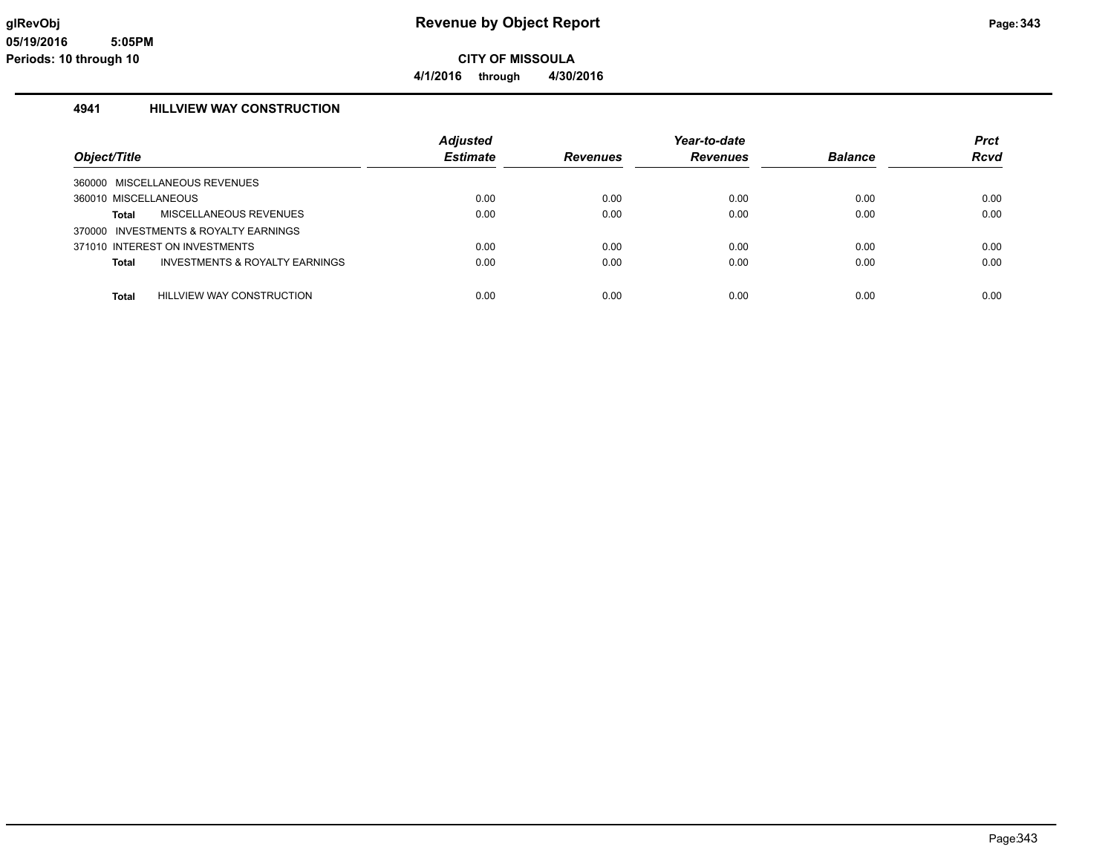### **4941 HILLVIEW WAY CONSTRUCTION**

|                                                | <b>Adjusted</b> |          | Year-to-date    |                | <b>Prct</b> |
|------------------------------------------------|-----------------|----------|-----------------|----------------|-------------|
| Object/Title                                   | <b>Estimate</b> | Revenues | <b>Revenues</b> | <b>Balance</b> | <b>Rcvd</b> |
| 360000 MISCELLANEOUS REVENUES                  |                 |          |                 |                |             |
| 360010 MISCELLANEOUS                           | 0.00            | 0.00     | 0.00            | 0.00           | 0.00        |
| MISCELLANEOUS REVENUES<br><b>Total</b>         | 0.00            | 0.00     | 0.00            | 0.00           | 0.00        |
| 370000 INVESTMENTS & ROYALTY EARNINGS          |                 |          |                 |                |             |
| 371010 INTEREST ON INVESTMENTS                 | 0.00            | 0.00     | 0.00            | 0.00           | 0.00        |
| INVESTMENTS & ROYALTY EARNINGS<br><b>Total</b> | 0.00            | 0.00     | 0.00            | 0.00           | 0.00        |
| <b>Total</b><br>HILLVIEW WAY CONSTRUCTION      | 0.00            | 0.00     | 0.00            | 0.00           | 0.00        |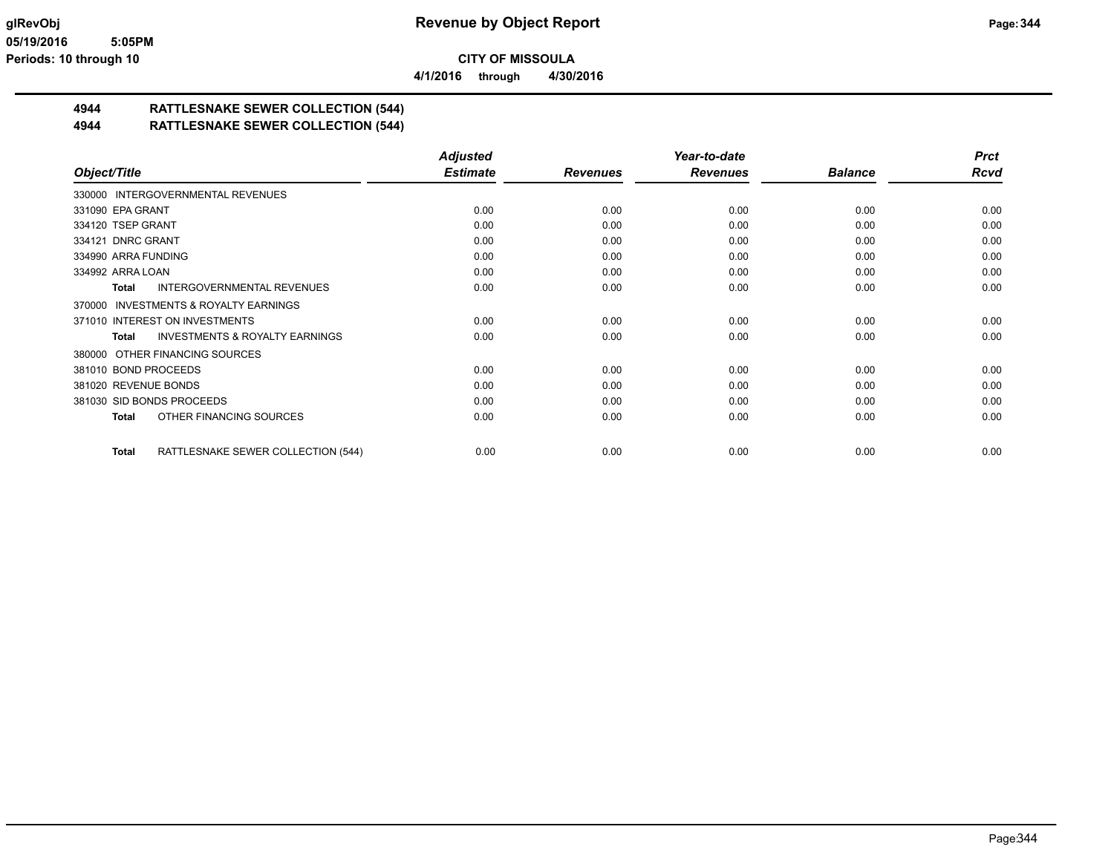**4/1/2016 through 4/30/2016**

# **4944 RATTLESNAKE SEWER COLLECTION (544)**

### **4944 RATTLESNAKE SEWER COLLECTION (544)**

|                                                           | <b>Adjusted</b> |                 | Year-to-date    |                | <b>Prct</b> |
|-----------------------------------------------------------|-----------------|-----------------|-----------------|----------------|-------------|
| Object/Title                                              | <b>Estimate</b> | <b>Revenues</b> | <b>Revenues</b> | <b>Balance</b> | <b>Rcvd</b> |
| 330000 INTERGOVERNMENTAL REVENUES                         |                 |                 |                 |                |             |
| 331090 EPA GRANT                                          | 0.00            | 0.00            | 0.00            | 0.00           | 0.00        |
| 334120 TSEP GRANT                                         | 0.00            | 0.00            | 0.00            | 0.00           | 0.00        |
| 334121 DNRC GRANT                                         | 0.00            | 0.00            | 0.00            | 0.00           | 0.00        |
| 334990 ARRA FUNDING                                       | 0.00            | 0.00            | 0.00            | 0.00           | 0.00        |
| 334992 ARRA LOAN                                          | 0.00            | 0.00            | 0.00            | 0.00           | 0.00        |
| <b>INTERGOVERNMENTAL REVENUES</b><br><b>Total</b>         | 0.00            | 0.00            | 0.00            | 0.00           | 0.00        |
| <b>INVESTMENTS &amp; ROYALTY EARNINGS</b><br>370000       |                 |                 |                 |                |             |
| 371010 INTEREST ON INVESTMENTS                            | 0.00            | 0.00            | 0.00            | 0.00           | 0.00        |
| <b>INVESTMENTS &amp; ROYALTY EARNINGS</b><br><b>Total</b> | 0.00            | 0.00            | 0.00            | 0.00           | 0.00        |
| 380000 OTHER FINANCING SOURCES                            |                 |                 |                 |                |             |
| 381010 BOND PROCEEDS                                      | 0.00            | 0.00            | 0.00            | 0.00           | 0.00        |
| 381020 REVENUE BONDS                                      | 0.00            | 0.00            | 0.00            | 0.00           | 0.00        |
| 381030 SID BONDS PROCEEDS                                 | 0.00            | 0.00            | 0.00            | 0.00           | 0.00        |
| OTHER FINANCING SOURCES<br><b>Total</b>                   | 0.00            | 0.00            | 0.00            | 0.00           | 0.00        |
| RATTLESNAKE SEWER COLLECTION (544)<br><b>Total</b>        | 0.00            | 0.00            | 0.00            | 0.00           | 0.00        |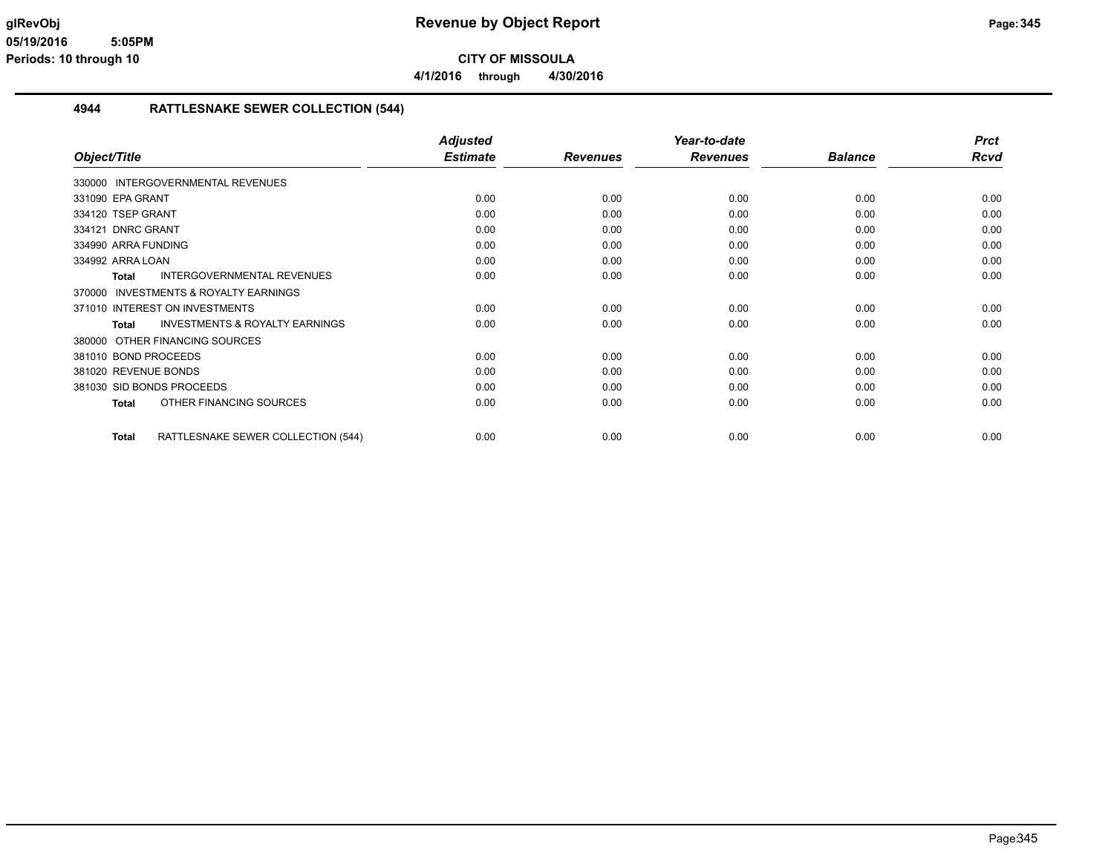**4/1/2016 through 4/30/2016**

#### **4944 RATTLESNAKE SEWER COLLECTION (544)**

|                                                           | <b>Adjusted</b> |                 | Year-to-date    |                | <b>Prct</b> |
|-----------------------------------------------------------|-----------------|-----------------|-----------------|----------------|-------------|
| Object/Title                                              | <b>Estimate</b> | <b>Revenues</b> | <b>Revenues</b> | <b>Balance</b> | <b>Rcvd</b> |
| 330000 INTERGOVERNMENTAL REVENUES                         |                 |                 |                 |                |             |
| 331090 EPA GRANT                                          | 0.00            | 0.00            | 0.00            | 0.00           | 0.00        |
| 334120 TSEP GRANT                                         | 0.00            | 0.00            | 0.00            | 0.00           | 0.00        |
| 334121 DNRC GRANT                                         | 0.00            | 0.00            | 0.00            | 0.00           | 0.00        |
| 334990 ARRA FUNDING                                       | 0.00            | 0.00            | 0.00            | 0.00           | 0.00        |
| 334992 ARRA LOAN                                          | 0.00            | 0.00            | 0.00            | 0.00           | 0.00        |
| <b>INTERGOVERNMENTAL REVENUES</b><br><b>Total</b>         | 0.00            | 0.00            | 0.00            | 0.00           | 0.00        |
| <b>INVESTMENTS &amp; ROYALTY EARNINGS</b><br>370000       |                 |                 |                 |                |             |
| 371010 INTEREST ON INVESTMENTS                            | 0.00            | 0.00            | 0.00            | 0.00           | 0.00        |
| <b>INVESTMENTS &amp; ROYALTY EARNINGS</b><br><b>Total</b> | 0.00            | 0.00            | 0.00            | 0.00           | 0.00        |
| OTHER FINANCING SOURCES<br>380000                         |                 |                 |                 |                |             |
| 381010 BOND PROCEEDS                                      | 0.00            | 0.00            | 0.00            | 0.00           | 0.00        |
| 381020 REVENUE BONDS                                      | 0.00            | 0.00            | 0.00            | 0.00           | 0.00        |
| 381030 SID BONDS PROCEEDS                                 | 0.00            | 0.00            | 0.00            | 0.00           | 0.00        |
| OTHER FINANCING SOURCES<br><b>Total</b>                   | 0.00            | 0.00            | 0.00            | 0.00           | 0.00        |
| <b>Total</b><br>RATTLESNAKE SEWER COLLECTION (544)        | 0.00            | 0.00            | 0.00            | 0.00           | 0.00        |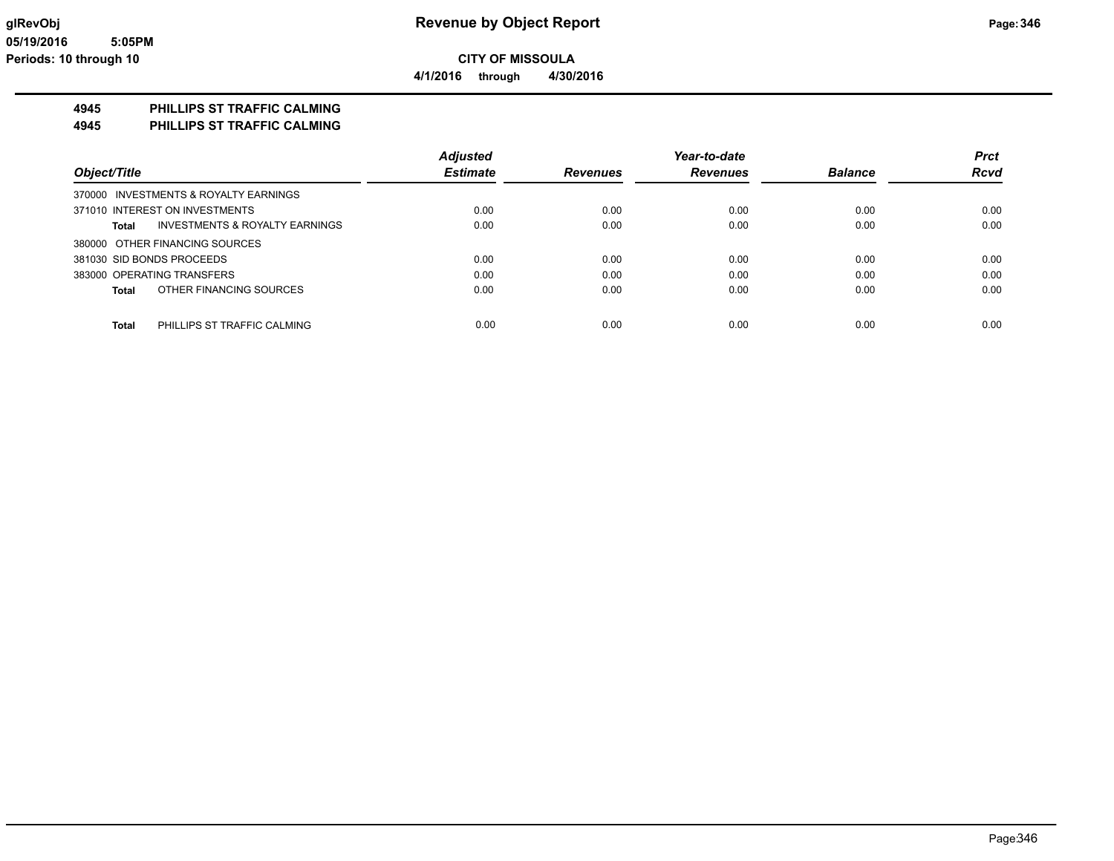**4945 PHILLIPS ST TRAFFIC CALMING**

**4945 PHILLIPS ST TRAFFIC CALMING**

|                                                    | <b>Adjusted</b> |                 | Year-to-date    |                | <b>Prct</b> |
|----------------------------------------------------|-----------------|-----------------|-----------------|----------------|-------------|
| Object/Title                                       | <b>Estimate</b> | <b>Revenues</b> | <b>Revenues</b> | <b>Balance</b> | <b>Rcvd</b> |
| 370000 INVESTMENTS & ROYALTY EARNINGS              |                 |                 |                 |                |             |
| 371010 INTEREST ON INVESTMENTS                     | 0.00            | 0.00            | 0.00            | 0.00           | 0.00        |
| <b>INVESTMENTS &amp; ROYALTY EARNINGS</b><br>Total | 0.00            | 0.00            | 0.00            | 0.00           | 0.00        |
| 380000 OTHER FINANCING SOURCES                     |                 |                 |                 |                |             |
| 381030 SID BONDS PROCEEDS                          | 0.00            | 0.00            | 0.00            | 0.00           | 0.00        |
| 383000 OPERATING TRANSFERS                         | 0.00            | 0.00            | 0.00            | 0.00           | 0.00        |
| OTHER FINANCING SOURCES<br>Total                   | 0.00            | 0.00            | 0.00            | 0.00           | 0.00        |
|                                                    |                 |                 |                 |                |             |
| PHILLIPS ST TRAFFIC CALMING<br><b>Total</b>        | 0.00            | 0.00            | 0.00            | 0.00           | 0.00        |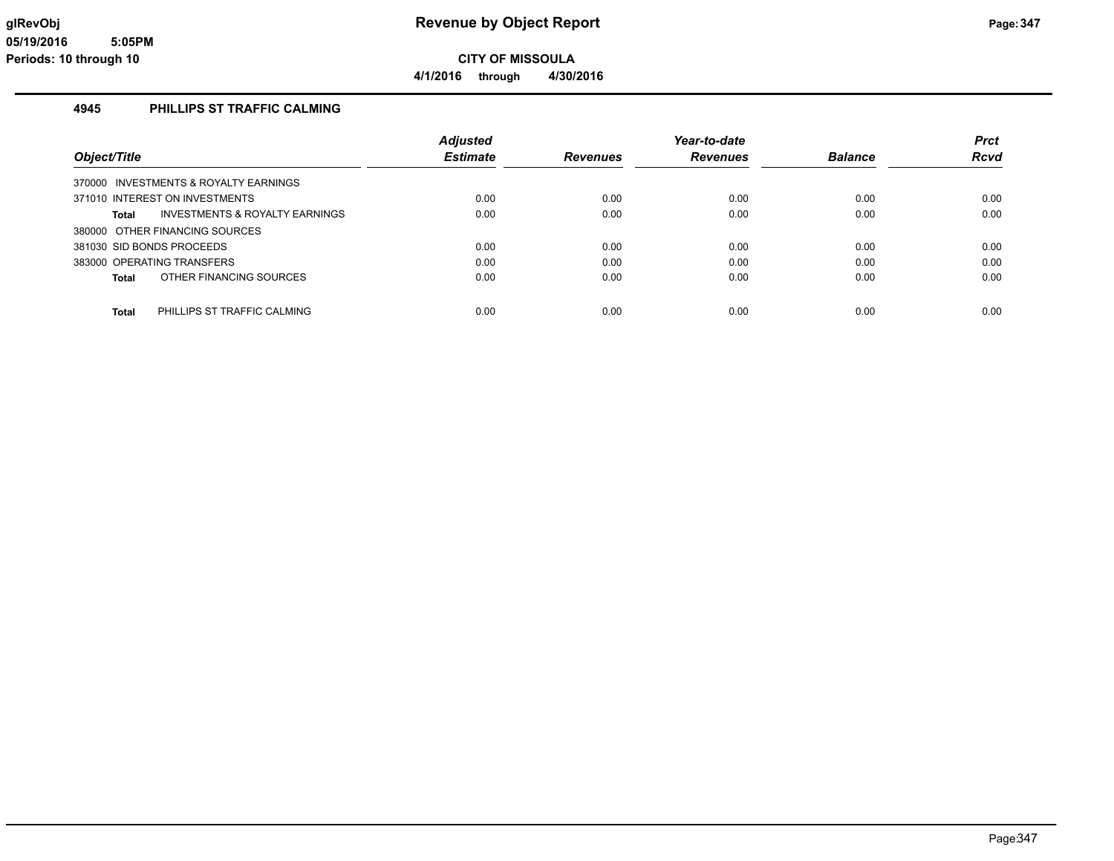### **4945 PHILLIPS ST TRAFFIC CALMING**

|                                                           | <b>Adjusted</b> |                 | Year-to-date |                | <b>Prct</b> |
|-----------------------------------------------------------|-----------------|-----------------|--------------|----------------|-------------|
| Object/Title                                              | <b>Estimate</b> | <b>Revenues</b> | Revenues     | <b>Balance</b> | <b>Rcvd</b> |
| 370000 INVESTMENTS & ROYALTY EARNINGS                     |                 |                 |              |                |             |
| 371010 INTEREST ON INVESTMENTS                            | 0.00            | 0.00            | 0.00         | 0.00           | 0.00        |
| <b>INVESTMENTS &amp; ROYALTY EARNINGS</b><br><b>Total</b> | 0.00            | 0.00            | 0.00         | 0.00           | 0.00        |
| 380000 OTHER FINANCING SOURCES                            |                 |                 |              |                |             |
| 381030 SID BONDS PROCEEDS                                 | 0.00            | 0.00            | 0.00         | 0.00           | 0.00        |
| 383000 OPERATING TRANSFERS                                | 0.00            | 0.00            | 0.00         | 0.00           | 0.00        |
| OTHER FINANCING SOURCES<br><b>Total</b>                   | 0.00            | 0.00            | 0.00         | 0.00           | 0.00        |
|                                                           |                 |                 |              |                |             |
| PHILLIPS ST TRAFFIC CALMING<br><b>Total</b>               | 0.00            | 0.00            | 0.00         | 0.00           | 0.00        |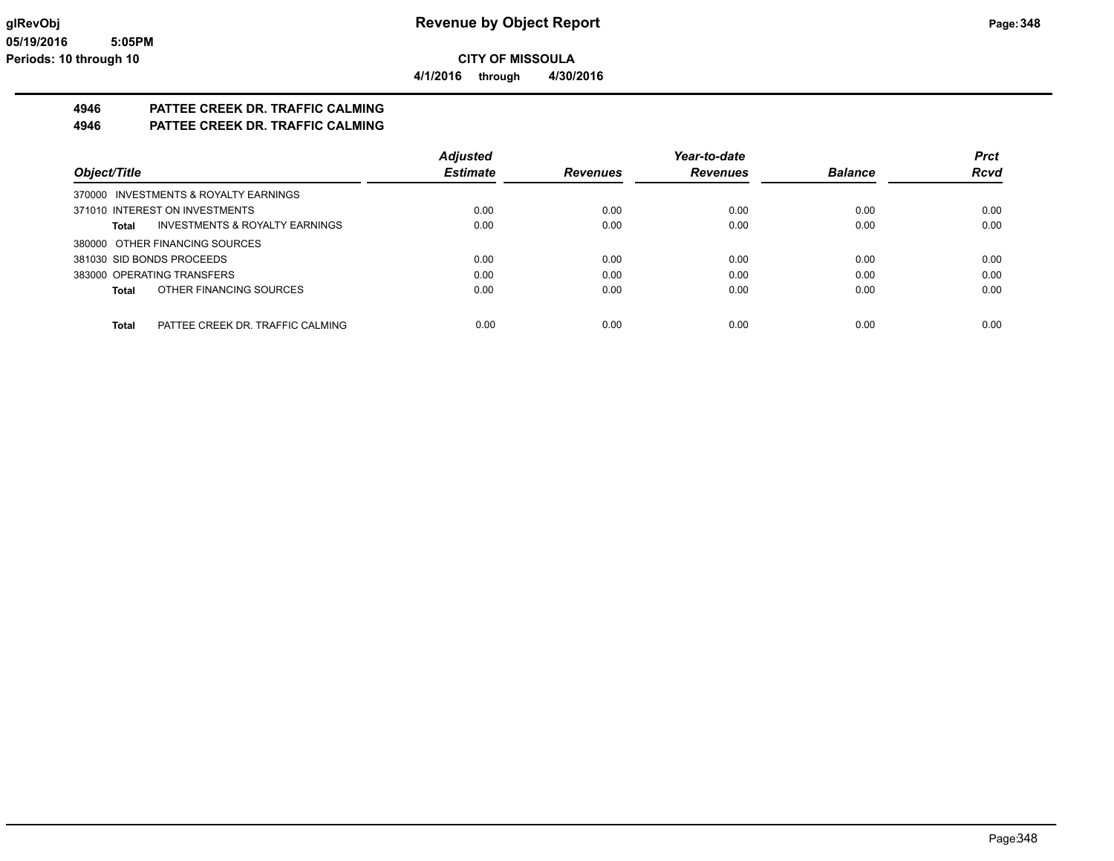**4/1/2016 through 4/30/2016**

# **4946 PATTEE CREEK DR. TRAFFIC CALMING**

**4946 PATTEE CREEK DR. TRAFFIC CALMING**

|                                                    | <b>Adjusted</b> |                 | Year-to-date    |                | <b>Prct</b> |
|----------------------------------------------------|-----------------|-----------------|-----------------|----------------|-------------|
| Object/Title                                       | <b>Estimate</b> | <b>Revenues</b> | <b>Revenues</b> | <b>Balance</b> | <b>Rcvd</b> |
| 370000 INVESTMENTS & ROYALTY EARNINGS              |                 |                 |                 |                |             |
| 371010 INTEREST ON INVESTMENTS                     | 0.00            | 0.00            | 0.00            | 0.00           | 0.00        |
| <b>INVESTMENTS &amp; ROYALTY EARNINGS</b><br>Total | 0.00            | 0.00            | 0.00            | 0.00           | 0.00        |
| 380000 OTHER FINANCING SOURCES                     |                 |                 |                 |                |             |
| 381030 SID BONDS PROCEEDS                          | 0.00            | 0.00            | 0.00            | 0.00           | 0.00        |
| 383000 OPERATING TRANSFERS                         | 0.00            | 0.00            | 0.00            | 0.00           | 0.00        |
| OTHER FINANCING SOURCES<br>Total                   | 0.00            | 0.00            | 0.00            | 0.00           | 0.00        |
|                                                    |                 |                 |                 |                |             |
| PATTEE CREEK DR. TRAFFIC CALMING<br>Total          | 0.00            | 0.00            | 0.00            | 0.00           | 0.00        |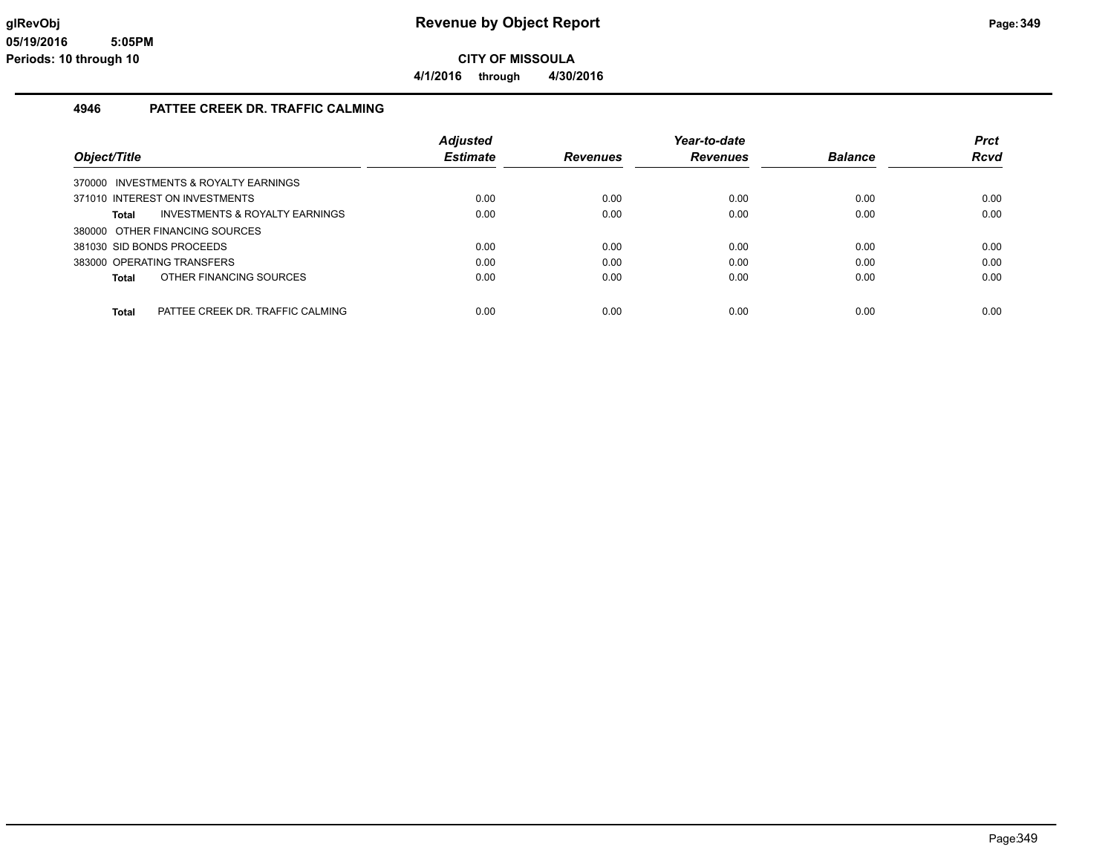**4/1/2016 through 4/30/2016**

### **4946 PATTEE CREEK DR. TRAFFIC CALMING**

|                                       |                                           | <b>Adjusted</b> |                 | Year-to-date    |                | <b>Prct</b> |
|---------------------------------------|-------------------------------------------|-----------------|-----------------|-----------------|----------------|-------------|
| Object/Title                          |                                           | <b>Estimate</b> | <b>Revenues</b> | <b>Revenues</b> | <b>Balance</b> | <b>Rcvd</b> |
| 370000 INVESTMENTS & ROYALTY EARNINGS |                                           |                 |                 |                 |                |             |
| 371010 INTEREST ON INVESTMENTS        |                                           | 0.00            | 0.00            | 0.00            | 0.00           | 0.00        |
| Total                                 | <b>INVESTMENTS &amp; ROYALTY EARNINGS</b> | 0.00            | 0.00            | 0.00            | 0.00           | 0.00        |
| 380000 OTHER FINANCING SOURCES        |                                           |                 |                 |                 |                |             |
| 381030 SID BONDS PROCEEDS             |                                           | 0.00            | 0.00            | 0.00            | 0.00           | 0.00        |
| 383000 OPERATING TRANSFERS            |                                           | 0.00            | 0.00            | 0.00            | 0.00           | 0.00        |
| OTHER FINANCING SOURCES<br>Total      |                                           | 0.00            | 0.00            | 0.00            | 0.00           | 0.00        |
|                                       |                                           |                 |                 |                 |                |             |
| Total                                 | PATTEE CREEK DR. TRAFFIC CALMING          | 0.00            | 0.00            | 0.00            | 0.00           | 0.00        |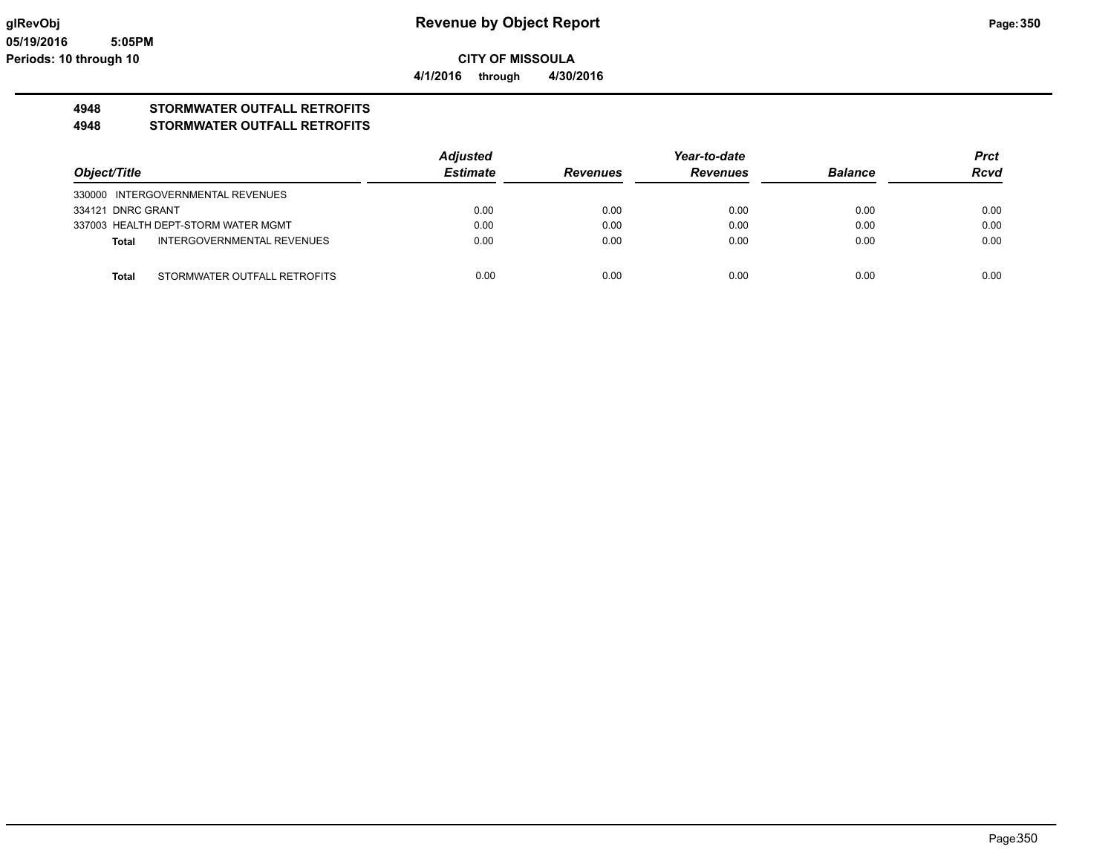# **4948 STORMWATER OUTFALL RETROFITS**

#### **4948 STORMWATER OUTFALL RETROFITS**

|                   |                                     | <b>Adjusted</b> |                 | Year-to-date    |                | <b>Prct</b> |
|-------------------|-------------------------------------|-----------------|-----------------|-----------------|----------------|-------------|
| Object/Title      |                                     | <b>Estimate</b> | <b>Revenues</b> | <b>Revenues</b> | <b>Balance</b> | <b>Rcvd</b> |
|                   | 330000 INTERGOVERNMENTAL REVENUES   |                 |                 |                 |                |             |
| 334121 DNRC GRANT |                                     | 0.00            | 0.00            | 0.00            | 0.00           | 0.00        |
|                   | 337003 HEALTH DEPT-STORM WATER MGMT | 0.00            | 0.00            | 0.00            | 0.00           | 0.00        |
| Total             | INTERGOVERNMENTAL REVENUES          | 0.00            | 0.00            | 0.00            | 0.00           | 0.00        |
|                   |                                     |                 |                 |                 |                |             |
| <b>Total</b>      | STORMWATER OUTFALL RETROFITS        | 0.00            | 0.00            | 0.00            | 0.00           | 0.00        |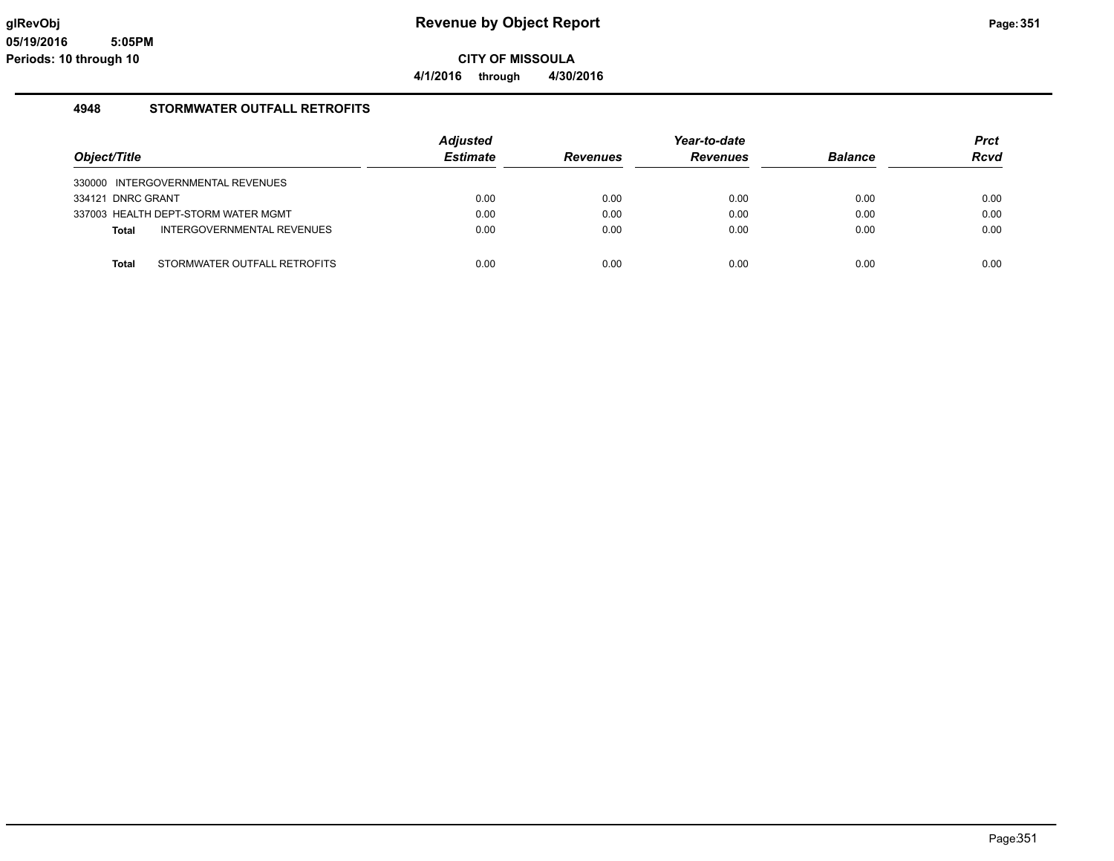**4/1/2016 through 4/30/2016**

### **4948 STORMWATER OUTFALL RETROFITS**

|                   |                                     | <b>Adjusted</b> |                 | Year-to-date    |                | <b>Prct</b> |
|-------------------|-------------------------------------|-----------------|-----------------|-----------------|----------------|-------------|
| Object/Title      |                                     | <b>Estimate</b> | <b>Revenues</b> | <b>Revenues</b> | <b>Balance</b> | <b>Rcvd</b> |
|                   | 330000 INTERGOVERNMENTAL REVENUES   |                 |                 |                 |                |             |
| 334121 DNRC GRANT |                                     | 0.00            | 0.00            | 0.00            | 0.00           | 0.00        |
|                   | 337003 HEALTH DEPT-STORM WATER MGMT | 0.00            | 0.00            | 0.00            | 0.00           | 0.00        |
| <b>Total</b>      | INTERGOVERNMENTAL REVENUES          | 0.00            | 0.00            | 0.00            | 0.00           | 0.00        |
| <b>Total</b>      | STORMWATER OUTFALL RETROFITS        | 0.00            | 0.00            | 0.00            | 0.00           | 0.00        |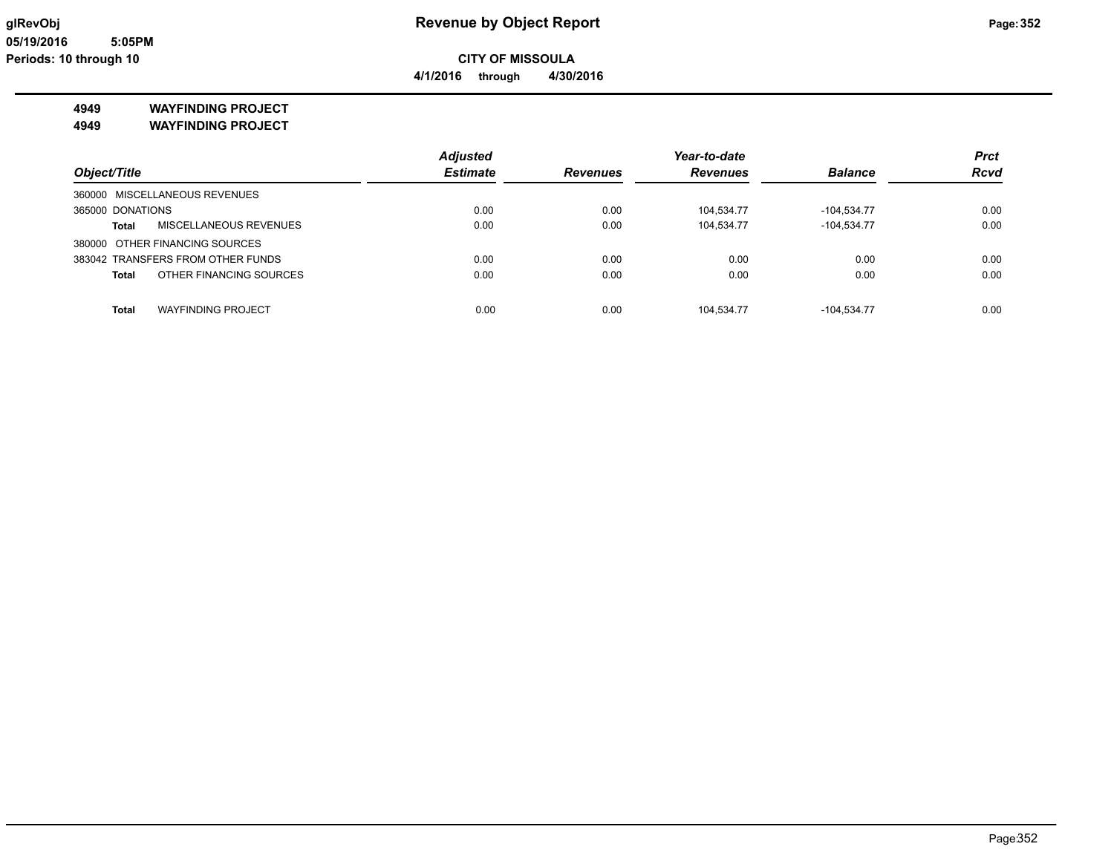#### **4949 WAYFINDING PROJECT**

**4949 WAYFINDING PROJECT**

|                                         | <b>Adjusted</b> |                 | Year-to-date    |                | <b>Prct</b> |
|-----------------------------------------|-----------------|-----------------|-----------------|----------------|-------------|
| Object/Title                            | <b>Estimate</b> | <b>Revenues</b> | <b>Revenues</b> | <b>Balance</b> | <b>Rcvd</b> |
| 360000 MISCELLANEOUS REVENUES           |                 |                 |                 |                |             |
| 365000 DONATIONS                        | 0.00            | 0.00            | 104.534.77      | -104,534.77    | 0.00        |
| MISCELLANEOUS REVENUES<br>Total         | 0.00            | 0.00            | 104,534.77      | $-104,534.77$  | 0.00        |
| 380000 OTHER FINANCING SOURCES          |                 |                 |                 |                |             |
| 383042 TRANSFERS FROM OTHER FUNDS       | 0.00            | 0.00            | 0.00            | 0.00           | 0.00        |
| OTHER FINANCING SOURCES<br><b>Total</b> | 0.00            | 0.00            | 0.00            | 0.00           | 0.00        |
| <b>WAYFINDING PROJECT</b>               | 0.00            | 0.00            | 104.534.77      | $-104.534.77$  | 0.00        |
| <b>Total</b>                            |                 |                 |                 |                |             |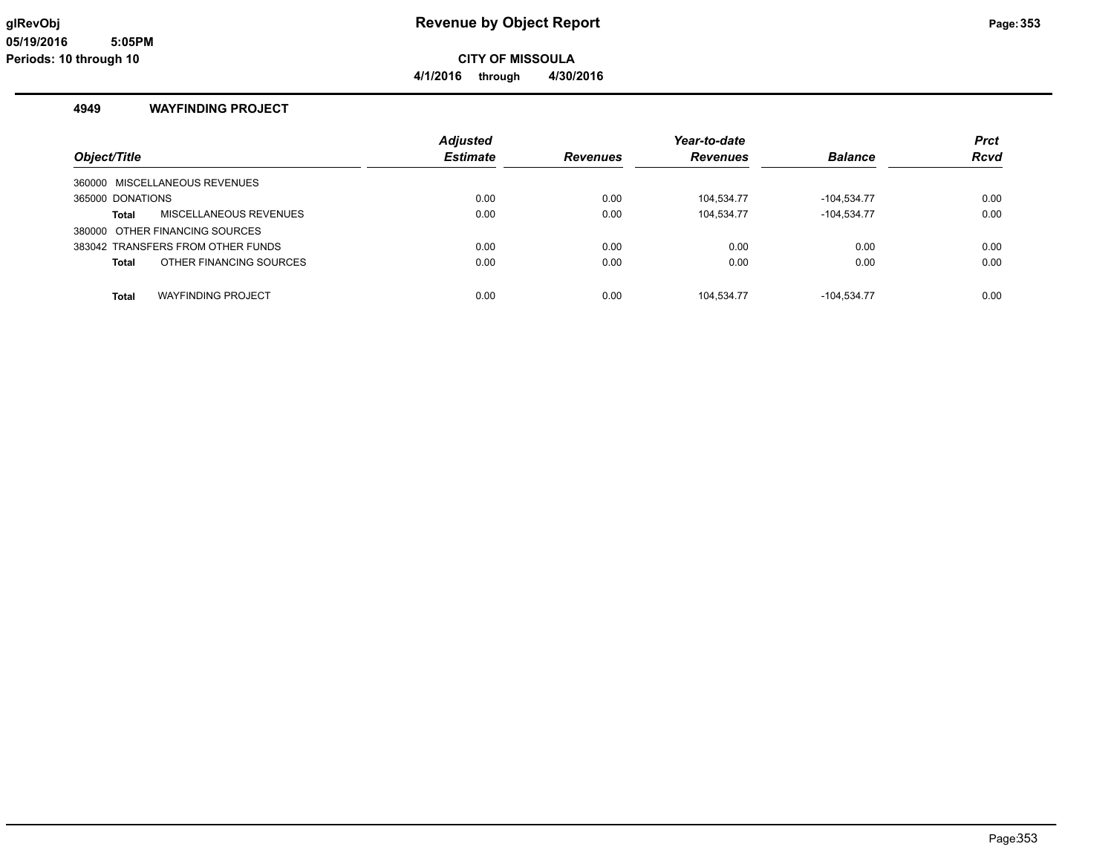**4/1/2016 through 4/30/2016**

#### **4949 WAYFINDING PROJECT**

|                                           | <b>Adjusted</b> |                 | Year-to-date    |                | Prct        |
|-------------------------------------------|-----------------|-----------------|-----------------|----------------|-------------|
| Object/Title                              | <b>Estimate</b> | <b>Revenues</b> | <b>Revenues</b> | <b>Balance</b> | <b>Rcvd</b> |
| 360000 MISCELLANEOUS REVENUES             |                 |                 |                 |                |             |
| 365000 DONATIONS                          | 0.00            | 0.00            | 104,534.77      | -104,534.77    | 0.00        |
| MISCELLANEOUS REVENUES<br>Total           | 0.00            | 0.00            | 104.534.77      | $-104.534.77$  | 0.00        |
| 380000 OTHER FINANCING SOURCES            |                 |                 |                 |                |             |
| 383042 TRANSFERS FROM OTHER FUNDS         | 0.00            | 0.00            | 0.00            | 0.00           | 0.00        |
| OTHER FINANCING SOURCES<br><b>Total</b>   | 0.00            | 0.00            | 0.00            | 0.00           | 0.00        |
|                                           |                 |                 |                 |                |             |
| <b>WAYFINDING PROJECT</b><br><b>Total</b> | 0.00            | 0.00            | 104.534.77      | $-104.534.77$  | 0.00        |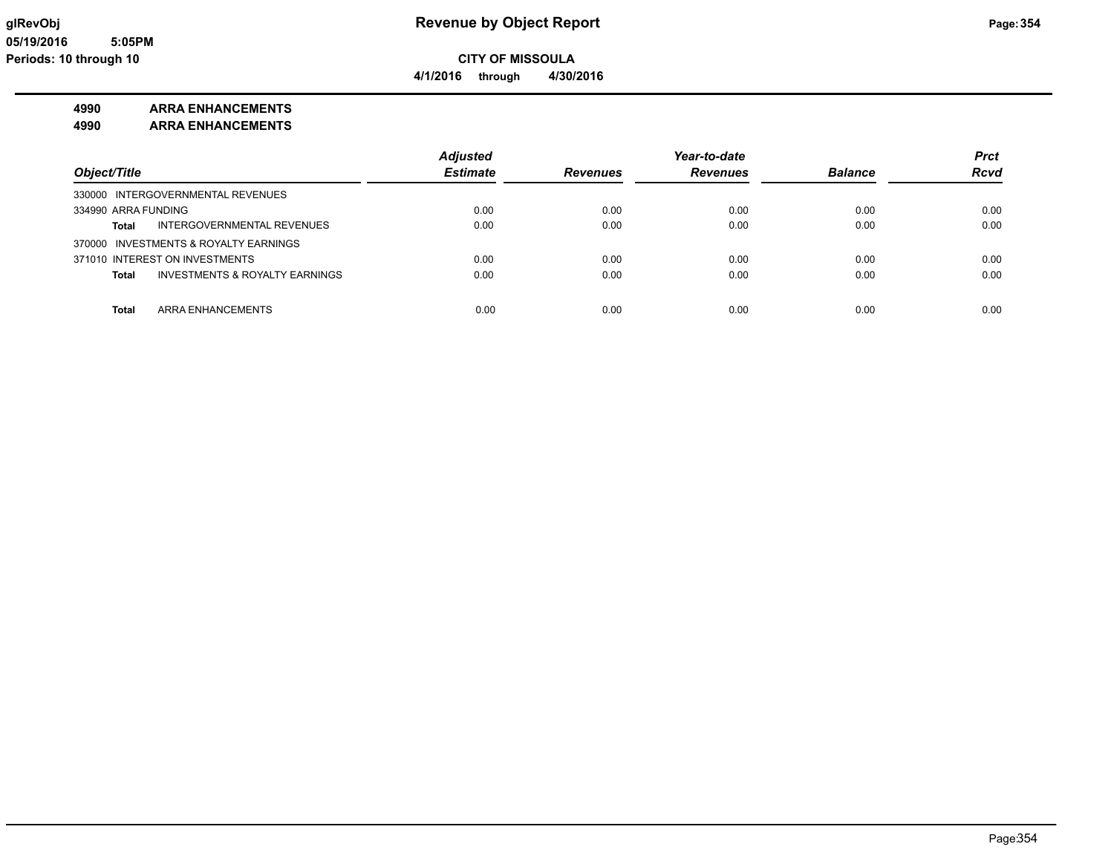**4/1/2016 through 4/30/2016**

### **4990 ARRA ENHANCEMENTS**

**4990 ARRA ENHANCEMENTS**

|                                         | <b>Adjusted</b> |                 | Year-to-date    |                | <b>Prct</b> |
|-----------------------------------------|-----------------|-----------------|-----------------|----------------|-------------|
| Object/Title                            | <b>Estimate</b> | <b>Revenues</b> | <b>Revenues</b> | <b>Balance</b> | <b>Rcvd</b> |
| 330000 INTERGOVERNMENTAL REVENUES       |                 |                 |                 |                |             |
| 334990 ARRA FUNDING                     | 0.00            | 0.00            | 0.00            | 0.00           | 0.00        |
| INTERGOVERNMENTAL REVENUES<br>Total     | 0.00            | 0.00            | 0.00            | 0.00           | 0.00        |
| 370000 INVESTMENTS & ROYALTY EARNINGS   |                 |                 |                 |                |             |
| 371010 INTEREST ON INVESTMENTS          | 0.00            | 0.00            | 0.00            | 0.00           | 0.00        |
| INVESTMENTS & ROYALTY EARNINGS<br>Total | 0.00            | 0.00            | 0.00            | 0.00           | 0.00        |
|                                         |                 |                 |                 |                |             |
| <b>Total</b><br>ARRA ENHANCEMENTS       | 0.00            | 0.00            | 0.00            | 0.00           | 0.00        |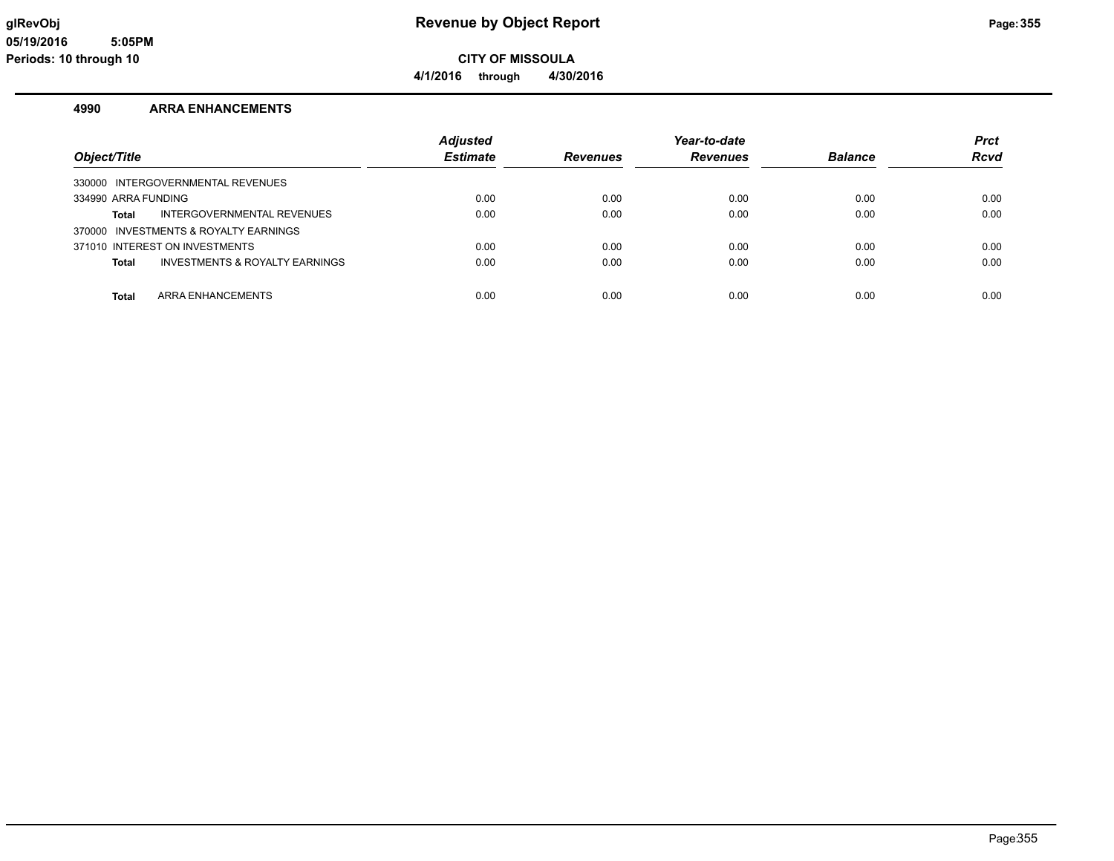**4/1/2016 through 4/30/2016**

#### **4990 ARRA ENHANCEMENTS**

| Object/Title                                       | <b>Adjusted</b><br><b>Estimate</b> | <b>Revenues</b> | Year-to-date<br><b>Revenues</b> | <b>Balance</b> | <b>Prct</b><br><b>Rcvd</b> |
|----------------------------------------------------|------------------------------------|-----------------|---------------------------------|----------------|----------------------------|
|                                                    |                                    |                 |                                 |                |                            |
| 330000 INTERGOVERNMENTAL REVENUES                  |                                    |                 |                                 |                |                            |
| 334990 ARRA FUNDING                                | 0.00                               | 0.00            | 0.00                            | 0.00           | 0.00                       |
| INTERGOVERNMENTAL REVENUES<br>Total                | 0.00                               | 0.00            | 0.00                            | 0.00           | 0.00                       |
| 370000 INVESTMENTS & ROYALTY EARNINGS              |                                    |                 |                                 |                |                            |
| 371010 INTEREST ON INVESTMENTS                     | 0.00                               | 0.00            | 0.00                            | 0.00           | 0.00                       |
| <b>INVESTMENTS &amp; ROYALTY EARNINGS</b><br>Total | 0.00                               | 0.00            | 0.00                            | 0.00           | 0.00                       |
|                                                    |                                    |                 |                                 |                |                            |
| ARRA ENHANCEMENTS<br>Total                         | 0.00                               | 0.00            | 0.00                            | 0.00           | 0.00                       |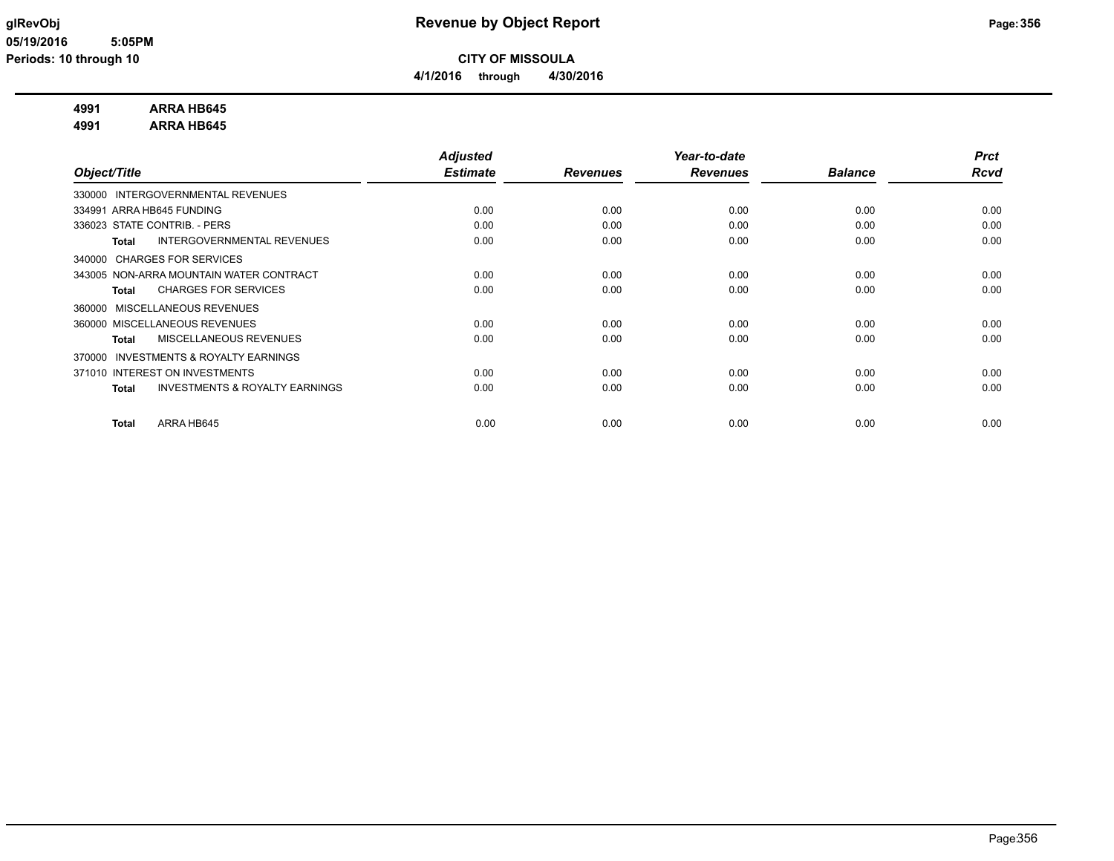**4/1/2016 through 4/30/2016**

### **4991 ARRA HB645**

**4991 ARRA HB645**

|                                                           | <b>Adjusted</b> |                 | Year-to-date    |                | <b>Prct</b> |
|-----------------------------------------------------------|-----------------|-----------------|-----------------|----------------|-------------|
| Object/Title                                              | <b>Estimate</b> | <b>Revenues</b> | <b>Revenues</b> | <b>Balance</b> | <b>Rcvd</b> |
| 330000 INTERGOVERNMENTAL REVENUES                         |                 |                 |                 |                |             |
| 334991 ARRA HB645 FUNDING                                 | 0.00            | 0.00            | 0.00            | 0.00           | 0.00        |
| 336023 STATE CONTRIB. - PERS                              | 0.00            | 0.00            | 0.00            | 0.00           | 0.00        |
| <b>INTERGOVERNMENTAL REVENUES</b><br><b>Total</b>         | 0.00            | 0.00            | 0.00            | 0.00           | 0.00        |
| <b>CHARGES FOR SERVICES</b><br>340000                     |                 |                 |                 |                |             |
| 343005 NON-ARRA MOUNTAIN WATER CONTRACT                   | 0.00            | 0.00            | 0.00            | 0.00           | 0.00        |
| <b>CHARGES FOR SERVICES</b><br><b>Total</b>               | 0.00            | 0.00            | 0.00            | 0.00           | 0.00        |
| <b>MISCELLANEOUS REVENUES</b><br>360000                   |                 |                 |                 |                |             |
| 360000 MISCELLANEOUS REVENUES                             | 0.00            | 0.00            | 0.00            | 0.00           | 0.00        |
| MISCELLANEOUS REVENUES<br><b>Total</b>                    | 0.00            | 0.00            | 0.00            | 0.00           | 0.00        |
| <b>INVESTMENTS &amp; ROYALTY EARNINGS</b><br>370000       |                 |                 |                 |                |             |
| 371010 INTEREST ON INVESTMENTS                            | 0.00            | 0.00            | 0.00            | 0.00           | 0.00        |
| <b>INVESTMENTS &amp; ROYALTY EARNINGS</b><br><b>Total</b> | 0.00            | 0.00            | 0.00            | 0.00           | 0.00        |
|                                                           |                 |                 |                 |                |             |
| ARRA HB645<br><b>Total</b>                                | 0.00            | 0.00            | 0.00            | 0.00           | 0.00        |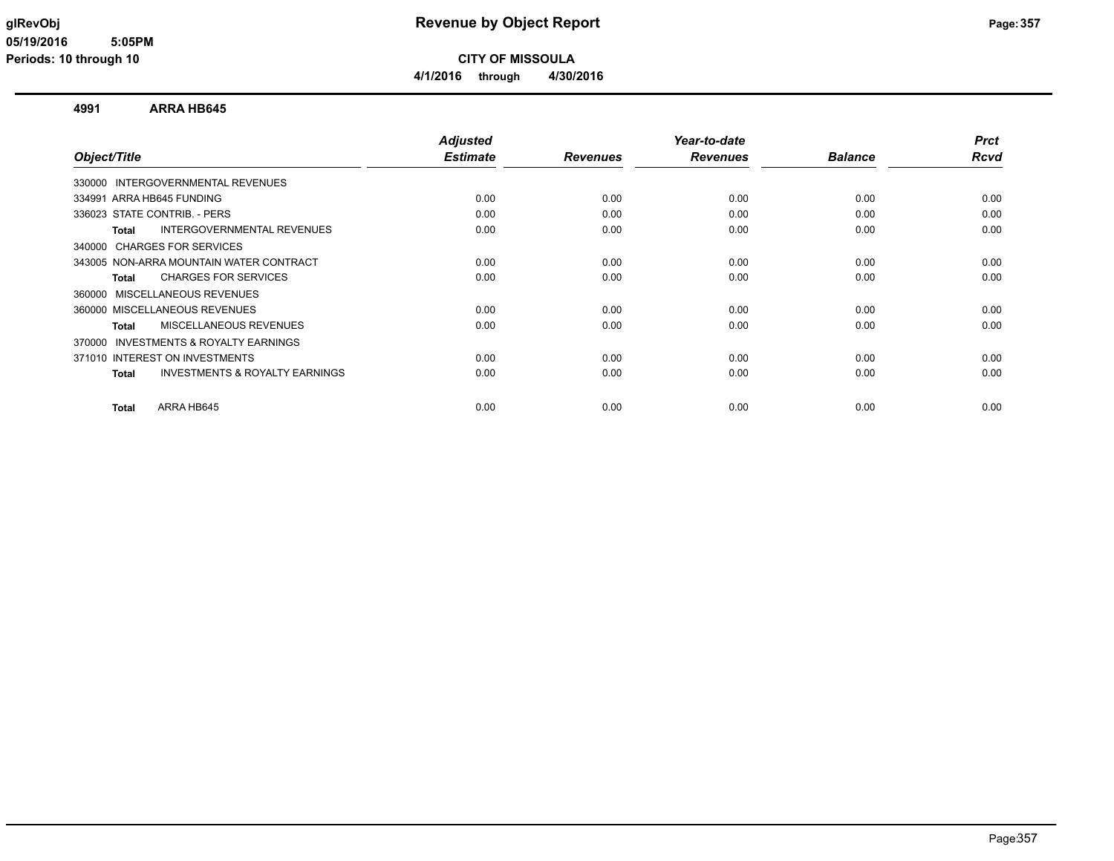**CITY OF MISSOULA**

**4/1/2016 through 4/30/2016**

#### **4991 ARRA HB645**

| Object/Title                                              | <b>Adjusted</b><br><b>Estimate</b> | <b>Revenues</b> | Year-to-date<br><b>Revenues</b> | <b>Balance</b> | <b>Prct</b><br><b>Rcvd</b> |
|-----------------------------------------------------------|------------------------------------|-----------------|---------------------------------|----------------|----------------------------|
|                                                           |                                    |                 |                                 |                |                            |
| 330000 INTERGOVERNMENTAL REVENUES                         |                                    |                 |                                 |                |                            |
| 334991 ARRA HB645 FUNDING                                 | 0.00                               | 0.00            | 0.00                            | 0.00           | 0.00                       |
| 336023 STATE CONTRIB. - PERS                              | 0.00                               | 0.00            | 0.00                            | 0.00           | 0.00                       |
| INTERGOVERNMENTAL REVENUES<br>Total                       | 0.00                               | 0.00            | 0.00                            | 0.00           | 0.00                       |
| <b>CHARGES FOR SERVICES</b><br>340000                     |                                    |                 |                                 |                |                            |
| 343005 NON-ARRA MOUNTAIN WATER CONTRACT                   | 0.00                               | 0.00            | 0.00                            | 0.00           | 0.00                       |
| <b>CHARGES FOR SERVICES</b><br><b>Total</b>               | 0.00                               | 0.00            | 0.00                            | 0.00           | 0.00                       |
| MISCELLANEOUS REVENUES<br>360000                          |                                    |                 |                                 |                |                            |
| 360000 MISCELLANEOUS REVENUES                             | 0.00                               | 0.00            | 0.00                            | 0.00           | 0.00                       |
| MISCELLANEOUS REVENUES<br><b>Total</b>                    | 0.00                               | 0.00            | 0.00                            | 0.00           | 0.00                       |
| INVESTMENTS & ROYALTY EARNINGS<br>370000                  |                                    |                 |                                 |                |                            |
| 371010 INTEREST ON INVESTMENTS                            | 0.00                               | 0.00            | 0.00                            | 0.00           | 0.00                       |
| <b>INVESTMENTS &amp; ROYALTY EARNINGS</b><br><b>Total</b> | 0.00                               | 0.00            | 0.00                            | 0.00           | 0.00                       |
|                                                           |                                    |                 |                                 |                |                            |
| ARRA HB645<br><b>Total</b>                                | 0.00                               | 0.00            | 0.00                            | 0.00           | 0.00                       |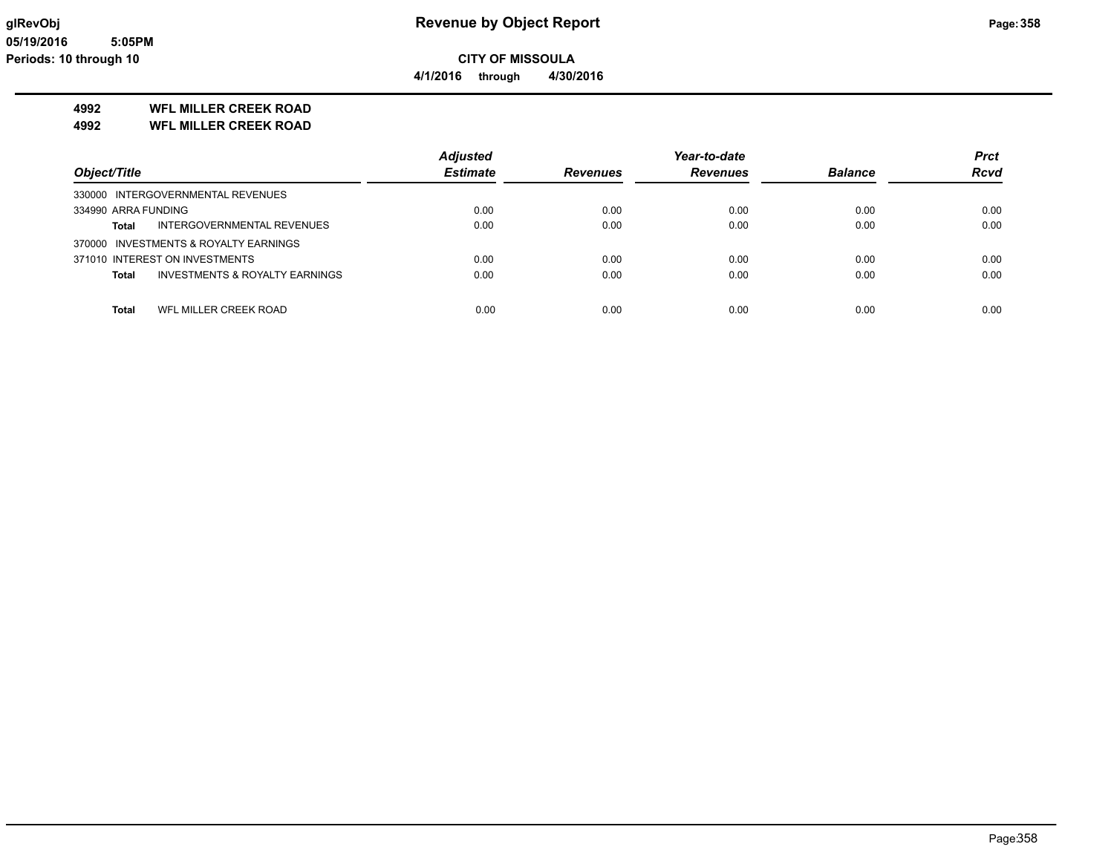**4/1/2016 through 4/30/2016**

### **4992 WFL MILLER CREEK ROAD**

**4992 WFL MILLER CREEK ROAD**

|                                                | <b>Adjusted</b> |                 | Year-to-date    |                | <b>Prct</b> |
|------------------------------------------------|-----------------|-----------------|-----------------|----------------|-------------|
| Object/Title                                   | <b>Estimate</b> | <b>Revenues</b> | <b>Revenues</b> | <b>Balance</b> | <b>Rcvd</b> |
| 330000 INTERGOVERNMENTAL REVENUES              |                 |                 |                 |                |             |
| 334990 ARRA FUNDING                            | 0.00            | 0.00            | 0.00            | 0.00           | 0.00        |
| INTERGOVERNMENTAL REVENUES<br><b>Total</b>     | 0.00            | 0.00            | 0.00            | 0.00           | 0.00        |
| 370000 INVESTMENTS & ROYALTY EARNINGS          |                 |                 |                 |                |             |
| 371010 INTEREST ON INVESTMENTS                 | 0.00            | 0.00            | 0.00            | 0.00           | 0.00        |
| INVESTMENTS & ROYALTY EARNINGS<br><b>Total</b> | 0.00            | 0.00            | 0.00            | 0.00           | 0.00        |
|                                                |                 |                 |                 |                |             |
| <b>Total</b><br>WFL MILLER CREEK ROAD          | 0.00            | 0.00            | 0.00            | 0.00           | 0.00        |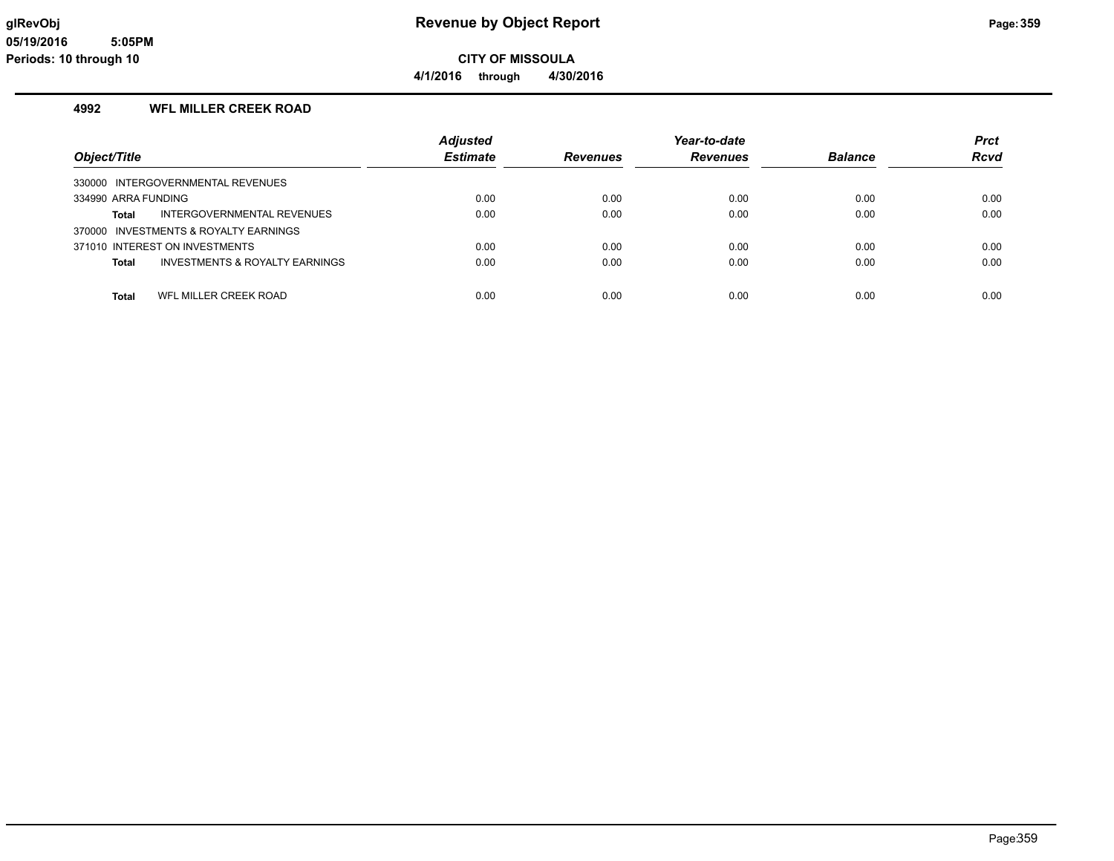**CITY OF MISSOULA 4/1/2016 through 4/30/2016**

#### **4992 WFL MILLER CREEK ROAD**

|                                                    | <b>Adjusted</b> |          | Year-to-date    |                | <b>Prct</b> |
|----------------------------------------------------|-----------------|----------|-----------------|----------------|-------------|
| Object/Title                                       | <b>Estimate</b> | Revenues | <b>Revenues</b> | <b>Balance</b> | <b>Rcvd</b> |
| 330000 INTERGOVERNMENTAL REVENUES                  |                 |          |                 |                |             |
| 334990 ARRA FUNDING                                | 0.00            | 0.00     | 0.00            | 0.00           | 0.00        |
| INTERGOVERNMENTAL REVENUES<br>Total                | 0.00            | 0.00     | 0.00            | 0.00           | 0.00        |
| 370000 INVESTMENTS & ROYALTY EARNINGS              |                 |          |                 |                |             |
| 371010 INTEREST ON INVESTMENTS                     | 0.00            | 0.00     | 0.00            | 0.00           | 0.00        |
| <b>INVESTMENTS &amp; ROYALTY EARNINGS</b><br>Total | 0.00            | 0.00     | 0.00            | 0.00           | 0.00        |
|                                                    |                 |          |                 |                |             |
| WFL MILLER CREEK ROAD<br><b>Total</b>              | 0.00            | 0.00     | 0.00            | 0.00           | 0.00        |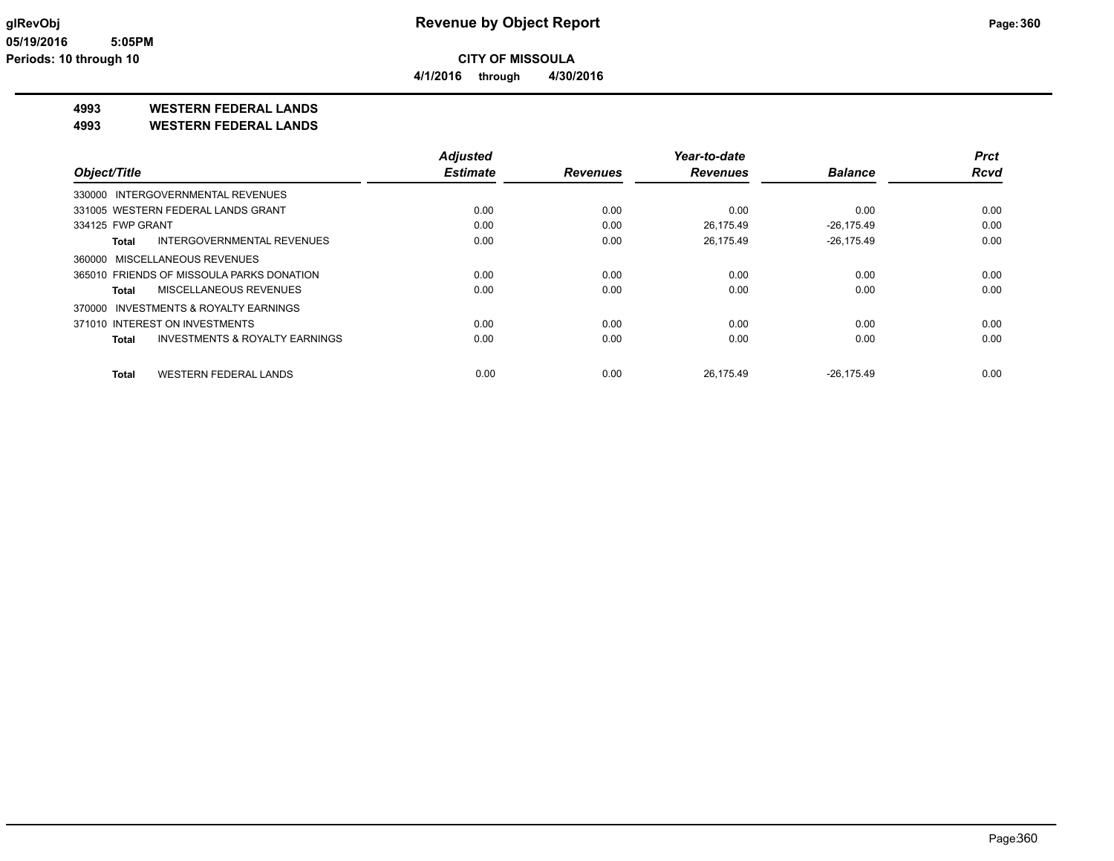**4/1/2016 through 4/30/2016**

### **4993 WESTERN FEDERAL LANDS**

**4993 WESTERN FEDERAL LANDS**

|                                                    | <b>Adjusted</b> |                 | Year-to-date    |                | <b>Prct</b> |
|----------------------------------------------------|-----------------|-----------------|-----------------|----------------|-------------|
| Object/Title                                       | <b>Estimate</b> | <b>Revenues</b> | <b>Revenues</b> | <b>Balance</b> | <b>Rcvd</b> |
| 330000 INTERGOVERNMENTAL REVENUES                  |                 |                 |                 |                |             |
| 331005 WESTERN FEDERAL LANDS GRANT                 | 0.00            | 0.00            | 0.00            | 0.00           | 0.00        |
| 334125 FWP GRANT                                   | 0.00            | 0.00            | 26.175.49       | $-26.175.49$   | 0.00        |
| INTERGOVERNMENTAL REVENUES<br>Total                | 0.00            | 0.00            | 26.175.49       | $-26.175.49$   | 0.00        |
| 360000 MISCELLANEOUS REVENUES                      |                 |                 |                 |                |             |
| 365010 FRIENDS OF MISSOULA PARKS DONATION          | 0.00            | 0.00            | 0.00            | 0.00           | 0.00        |
| MISCELLANEOUS REVENUES<br>Total                    | 0.00            | 0.00            | 0.00            | 0.00           | 0.00        |
| 370000 INVESTMENTS & ROYALTY EARNINGS              |                 |                 |                 |                |             |
| 371010 INTEREST ON INVESTMENTS                     | 0.00            | 0.00            | 0.00            | 0.00           | 0.00        |
| <b>INVESTMENTS &amp; ROYALTY EARNINGS</b><br>Total | 0.00            | 0.00            | 0.00            | 0.00           | 0.00        |
| <b>WESTERN FEDERAL LANDS</b><br><b>Total</b>       | 0.00            | 0.00            | 26.175.49       | $-26.175.49$   | 0.00        |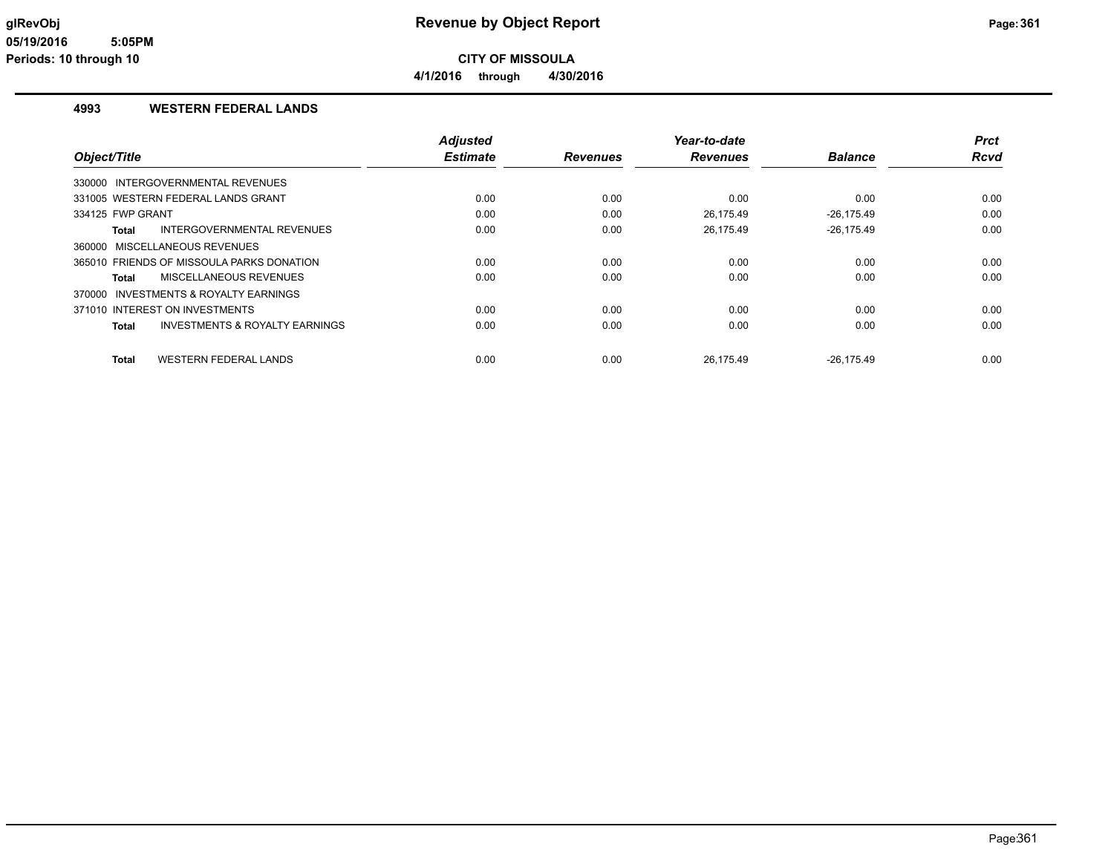**CITY OF MISSOULA 4/1/2016 through 4/30/2016**

### **4993 WESTERN FEDERAL LANDS**

|                                                    | <b>Adjusted</b> |                 | Year-to-date    |                | <b>Prct</b> |
|----------------------------------------------------|-----------------|-----------------|-----------------|----------------|-------------|
| Object/Title                                       | <b>Estimate</b> | <b>Revenues</b> | <b>Revenues</b> | <b>Balance</b> | <b>Rcvd</b> |
| 330000 INTERGOVERNMENTAL REVENUES                  |                 |                 |                 |                |             |
| 331005 WESTERN FEDERAL LANDS GRANT                 | 0.00            | 0.00            | 0.00            | 0.00           | 0.00        |
| 334125 FWP GRANT                                   | 0.00            | 0.00            | 26.175.49       | $-26.175.49$   | 0.00        |
| INTERGOVERNMENTAL REVENUES<br>Total                | 0.00            | 0.00            | 26,175.49       | $-26,175.49$   | 0.00        |
| 360000 MISCELLANEOUS REVENUES                      |                 |                 |                 |                |             |
| 365010 FRIENDS OF MISSOULA PARKS DONATION          | 0.00            | 0.00            | 0.00            | 0.00           | 0.00        |
| MISCELLANEOUS REVENUES<br>Total                    | 0.00            | 0.00            | 0.00            | 0.00           | 0.00        |
| 370000 INVESTMENTS & ROYALTY EARNINGS              |                 |                 |                 |                |             |
| 371010 INTEREST ON INVESTMENTS                     | 0.00            | 0.00            | 0.00            | 0.00           | 0.00        |
| <b>INVESTMENTS &amp; ROYALTY EARNINGS</b><br>Total | 0.00            | 0.00            | 0.00            | 0.00           | 0.00        |
| <b>WESTERN FEDERAL LANDS</b><br><b>Total</b>       | 0.00            | 0.00            | 26.175.49       | $-26.175.49$   | 0.00        |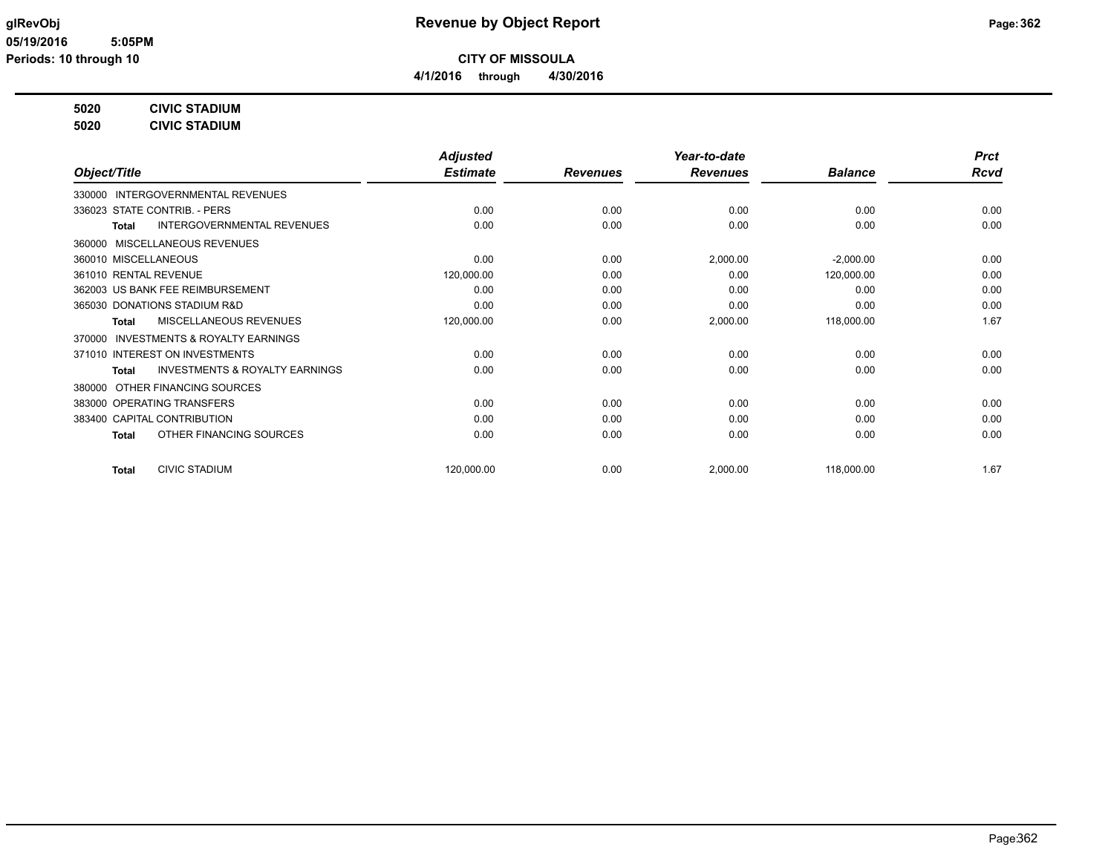**4/1/2016 through 4/30/2016**

## **5020 CIVIC STADIUM**

**5020 CIVIC STADIUM**

|                                                    | <b>Adjusted</b> |                 | Year-to-date    |                | <b>Prct</b> |
|----------------------------------------------------|-----------------|-----------------|-----------------|----------------|-------------|
| Object/Title                                       | <b>Estimate</b> | <b>Revenues</b> | <b>Revenues</b> | <b>Balance</b> | <b>Rcvd</b> |
| <b>INTERGOVERNMENTAL REVENUES</b><br>330000        |                 |                 |                 |                |             |
| 336023 STATE CONTRIB. - PERS                       | 0.00            | 0.00            | 0.00            | 0.00           | 0.00        |
| <b>INTERGOVERNMENTAL REVENUES</b><br><b>Total</b>  | 0.00            | 0.00            | 0.00            | 0.00           | 0.00        |
| MISCELLANEOUS REVENUES<br>360000                   |                 |                 |                 |                |             |
| 360010 MISCELLANEOUS                               | 0.00            | 0.00            | 2,000.00        | $-2,000.00$    | 0.00        |
| 361010 RENTAL REVENUE                              | 120,000.00      | 0.00            | 0.00            | 120,000.00     | 0.00        |
| 362003 US BANK FEE REIMBURSEMENT                   | 0.00            | 0.00            | 0.00            | 0.00           | 0.00        |
| 365030 DONATIONS STADIUM R&D                       | 0.00            | 0.00            | 0.00            | 0.00           | 0.00        |
| MISCELLANEOUS REVENUES<br><b>Total</b>             | 120,000.00      | 0.00            | 2,000.00        | 118,000.00     | 1.67        |
| 370000 INVESTMENTS & ROYALTY EARNINGS              |                 |                 |                 |                |             |
| 371010 INTEREST ON INVESTMENTS                     | 0.00            | 0.00            | 0.00            | 0.00           | 0.00        |
| <b>INVESTMENTS &amp; ROYALTY EARNINGS</b><br>Total | 0.00            | 0.00            | 0.00            | 0.00           | 0.00        |
| OTHER FINANCING SOURCES<br>380000                  |                 |                 |                 |                |             |
| 383000 OPERATING TRANSFERS                         | 0.00            | 0.00            | 0.00            | 0.00           | 0.00        |
| 383400 CAPITAL CONTRIBUTION                        | 0.00            | 0.00            | 0.00            | 0.00           | 0.00        |
| OTHER FINANCING SOURCES<br>Total                   | 0.00            | 0.00            | 0.00            | 0.00           | 0.00        |
| <b>CIVIC STADIUM</b><br><b>Total</b>               | 120,000.00      | 0.00            | 2,000.00        | 118,000.00     | 1.67        |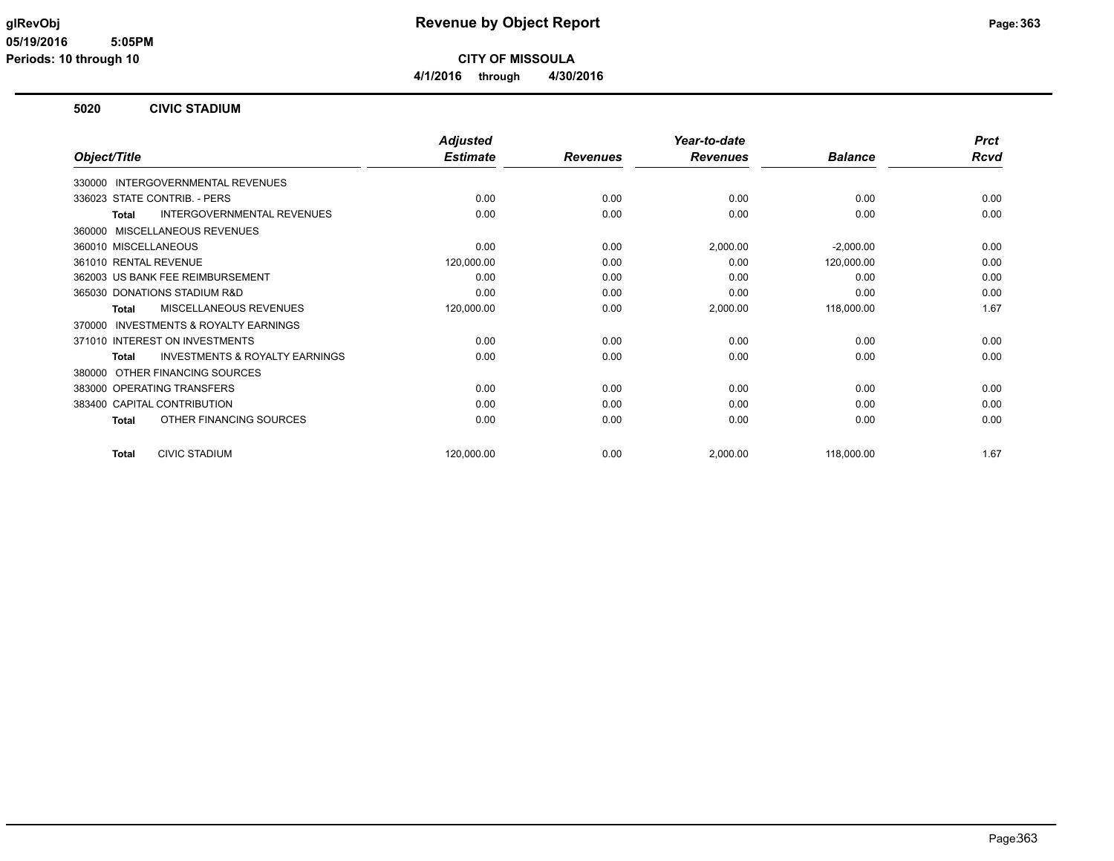**CITY OF MISSOULA 4/1/2016 through 4/30/2016**

### **5020 CIVIC STADIUM**

|                                                     | <b>Adjusted</b> |                 | Year-to-date    |                | <b>Prct</b> |
|-----------------------------------------------------|-----------------|-----------------|-----------------|----------------|-------------|
| Object/Title                                        | <b>Estimate</b> | <b>Revenues</b> | <b>Revenues</b> | <b>Balance</b> | Rcvd        |
| INTERGOVERNMENTAL REVENUES<br>330000                |                 |                 |                 |                |             |
| 336023 STATE CONTRIB. - PERS                        | 0.00            | 0.00            | 0.00            | 0.00           | 0.00        |
| <b>INTERGOVERNMENTAL REVENUES</b><br><b>Total</b>   | 0.00            | 0.00            | 0.00            | 0.00           | 0.00        |
| 360000 MISCELLANEOUS REVENUES                       |                 |                 |                 |                |             |
| 360010 MISCELLANEOUS                                | 0.00            | 0.00            | 2,000.00        | $-2,000.00$    | 0.00        |
| 361010 RENTAL REVENUE                               | 120,000.00      | 0.00            | 0.00            | 120,000.00     | 0.00        |
| 362003 US BANK FEE REIMBURSEMENT                    | 0.00            | 0.00            | 0.00            | 0.00           | 0.00        |
| 365030 DONATIONS STADIUM R&D                        | 0.00            | 0.00            | 0.00            | 0.00           | 0.00        |
| <b>MISCELLANEOUS REVENUES</b><br>Total              | 120,000.00      | 0.00            | 2,000.00        | 118,000.00     | 1.67        |
| <b>INVESTMENTS &amp; ROYALTY EARNINGS</b><br>370000 |                 |                 |                 |                |             |
| 371010 INTEREST ON INVESTMENTS                      | 0.00            | 0.00            | 0.00            | 0.00           | 0.00        |
| <b>INVESTMENTS &amp; ROYALTY EARNINGS</b><br>Total  | 0.00            | 0.00            | 0.00            | 0.00           | 0.00        |
| OTHER FINANCING SOURCES<br>380000                   |                 |                 |                 |                |             |
| 383000 OPERATING TRANSFERS                          | 0.00            | 0.00            | 0.00            | 0.00           | 0.00        |
| 383400 CAPITAL CONTRIBUTION                         | 0.00            | 0.00            | 0.00            | 0.00           | 0.00        |
| OTHER FINANCING SOURCES<br>Total                    | 0.00            | 0.00            | 0.00            | 0.00           | 0.00        |
| <b>CIVIC STADIUM</b><br>Total                       | 120,000.00      | 0.00            | 2,000.00        | 118,000.00     | 1.67        |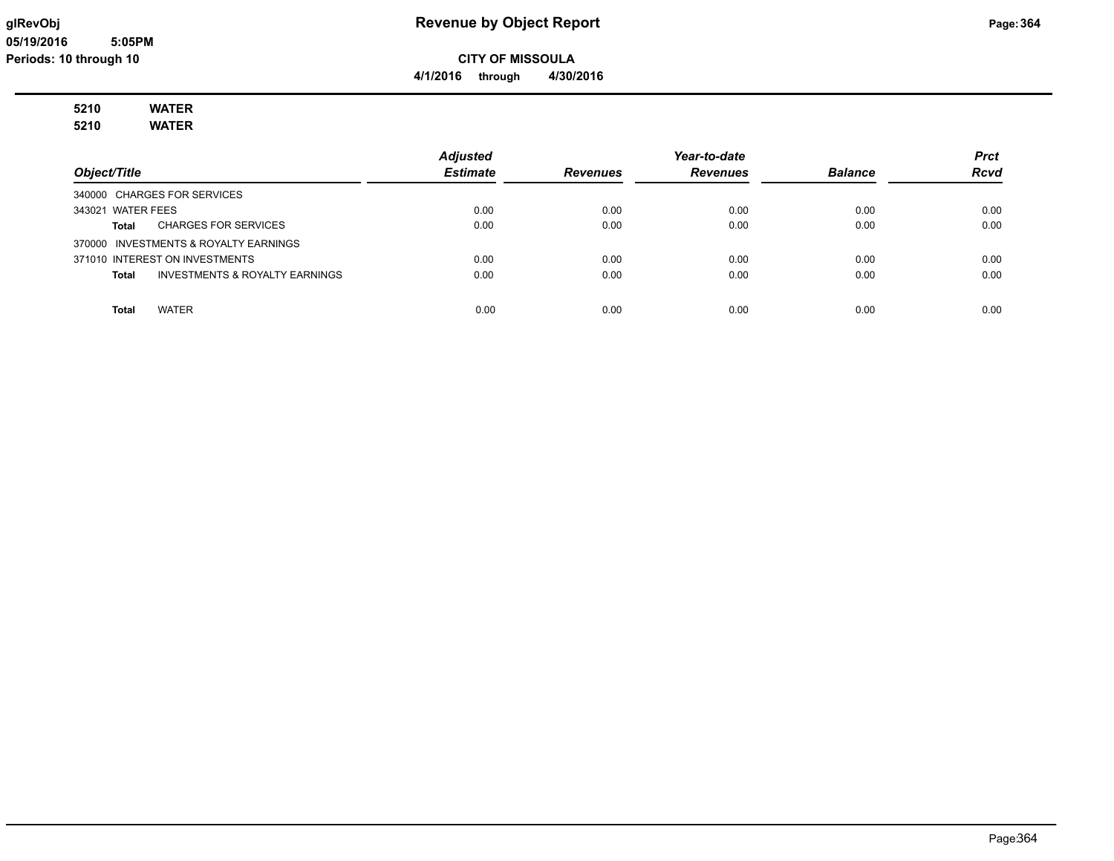# **glRevObj Revenue by Object Report Page:364**

**CITY OF MISSOULA**

**4/1/2016 through 4/30/2016**

# **5210 WATER**

**5210 WATER**

|                                         | <b>Adjusted</b> |                 | Year-to-date    |                | <b>Prct</b> |
|-----------------------------------------|-----------------|-----------------|-----------------|----------------|-------------|
| Object/Title                            | <b>Estimate</b> | <b>Revenues</b> | <b>Revenues</b> | <b>Balance</b> | <b>Rcvd</b> |
| 340000 CHARGES FOR SERVICES             |                 |                 |                 |                |             |
| 343021 WATER FEES                       | 0.00            | 0.00            | 0.00            | 0.00           | 0.00        |
| <b>CHARGES FOR SERVICES</b><br>Total    | 0.00            | 0.00            | 0.00            | 0.00           | 0.00        |
| 370000 INVESTMENTS & ROYALTY EARNINGS   |                 |                 |                 |                |             |
| 371010 INTEREST ON INVESTMENTS          | 0.00            | 0.00            | 0.00            | 0.00           | 0.00        |
| INVESTMENTS & ROYALTY EARNINGS<br>Total | 0.00            | 0.00            | 0.00            | 0.00           | 0.00        |
|                                         |                 |                 |                 |                |             |
| <b>WATER</b><br>Total                   | 0.00            | 0.00            | 0.00            | 0.00           | 0.00        |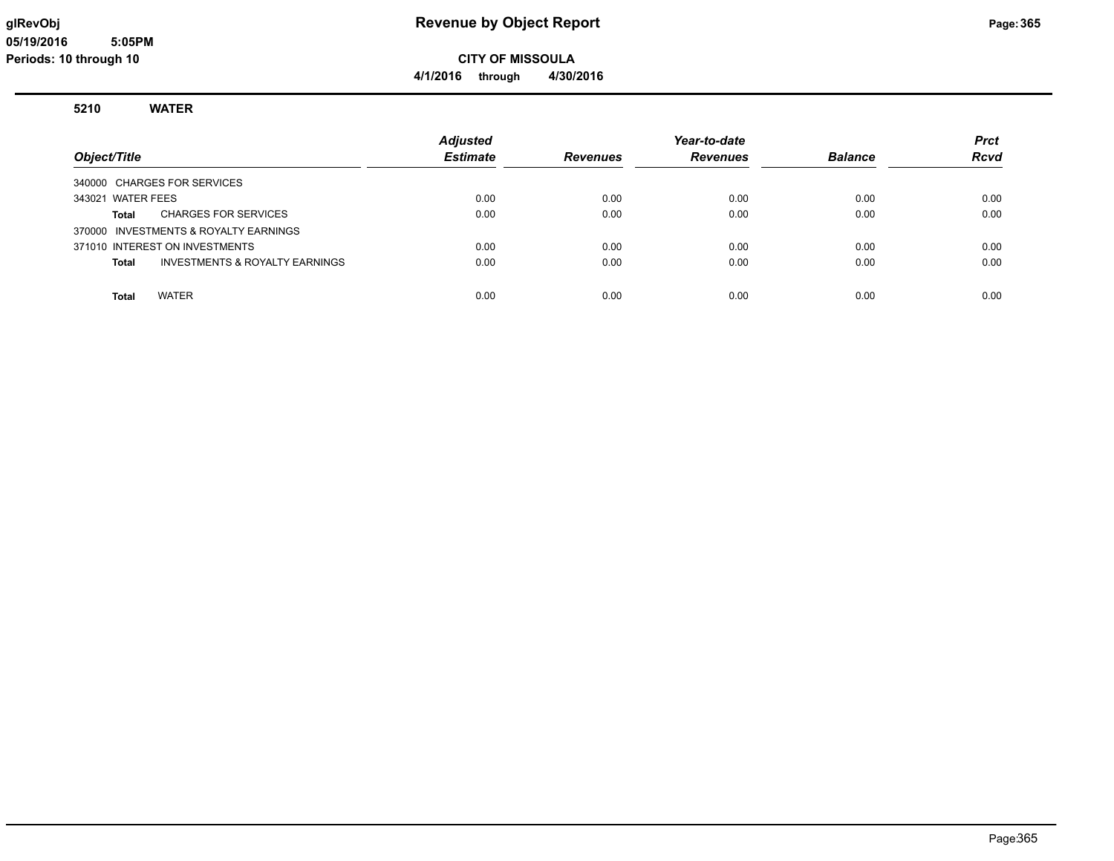# **glRevObj Revenue by Object Report Page:365**

**CITY OF MISSOULA 4/1/2016 through 4/30/2016**

### **5210 WATER**

| Object/Title                            | <b>Adjusted</b><br><b>Estimate</b> | <b>Revenues</b> | Year-to-date<br><b>Revenues</b> | <b>Balance</b> | <b>Prct</b><br><b>Rcvd</b> |
|-----------------------------------------|------------------------------------|-----------------|---------------------------------|----------------|----------------------------|
| 340000 CHARGES FOR SERVICES             |                                    |                 |                                 |                |                            |
| 343021 WATER FEES                       | 0.00                               | 0.00            | 0.00                            | 0.00           | 0.00                       |
| <b>CHARGES FOR SERVICES</b><br>Total    | 0.00                               | 0.00            | 0.00                            | 0.00           | 0.00                       |
| 370000 INVESTMENTS & ROYALTY EARNINGS   |                                    |                 |                                 |                |                            |
| 371010 INTEREST ON INVESTMENTS          | 0.00                               | 0.00            | 0.00                            | 0.00           | 0.00                       |
| INVESTMENTS & ROYALTY EARNINGS<br>Total | 0.00                               | 0.00            | 0.00                            | 0.00           | 0.00                       |
|                                         |                                    |                 |                                 |                |                            |
| <b>WATER</b><br><b>Total</b>            | 0.00                               | 0.00            | 0.00                            | 0.00           | 0.00                       |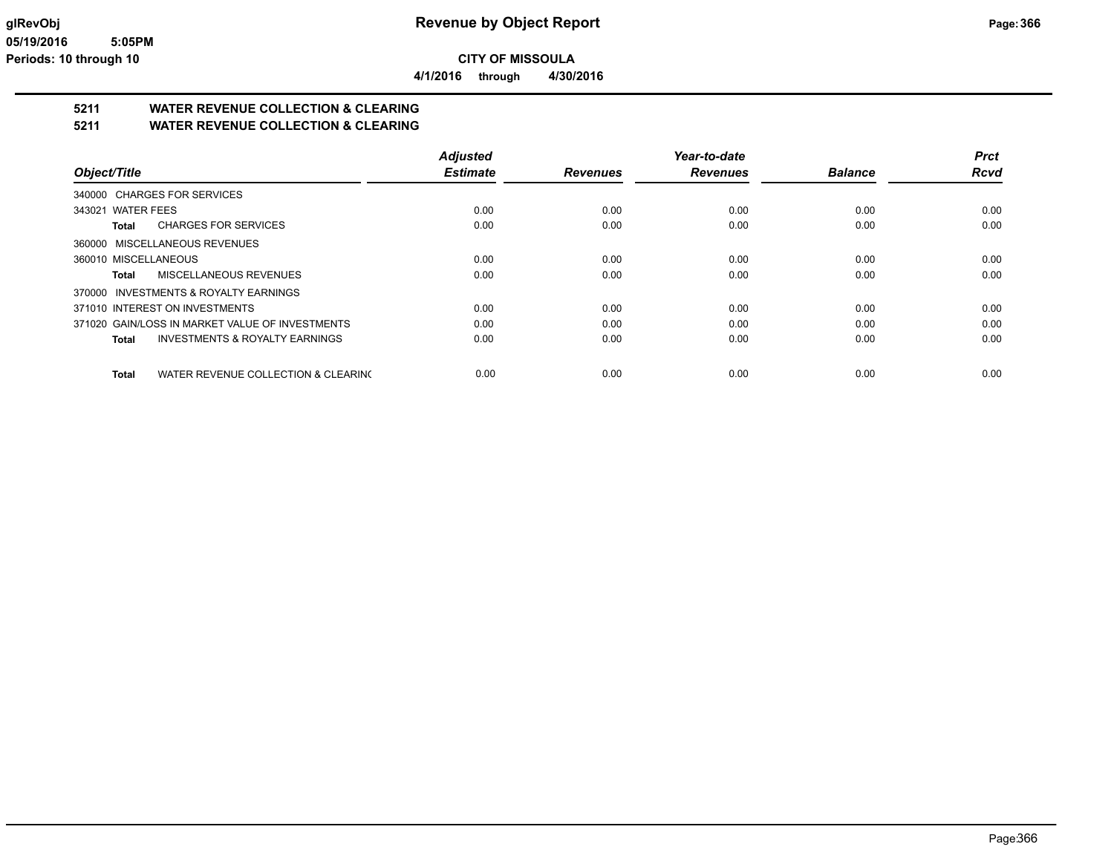**4/1/2016 through 4/30/2016**

# **5211 WATER REVENUE COLLECTION & CLEARING**

**5211 WATER REVENUE COLLECTION & CLEARING**

|                                                     | <b>Adjusted</b> |                 | Year-to-date    |                | <b>Prct</b> |
|-----------------------------------------------------|-----------------|-----------------|-----------------|----------------|-------------|
| Object/Title                                        | <b>Estimate</b> | <b>Revenues</b> | <b>Revenues</b> | <b>Balance</b> | <b>Rcvd</b> |
| 340000 CHARGES FOR SERVICES                         |                 |                 |                 |                |             |
| 343021 WATER FEES                                   | 0.00            | 0.00            | 0.00            | 0.00           | 0.00        |
| <b>CHARGES FOR SERVICES</b><br>Total                | 0.00            | 0.00            | 0.00            | 0.00           | 0.00        |
| 360000 MISCELLANEOUS REVENUES                       |                 |                 |                 |                |             |
| 360010 MISCELLANEOUS                                | 0.00            | 0.00            | 0.00            | 0.00           | 0.00        |
| MISCELLANEOUS REVENUES<br>Total                     | 0.00            | 0.00            | 0.00            | 0.00           | 0.00        |
| 370000 INVESTMENTS & ROYALTY EARNINGS               |                 |                 |                 |                |             |
| 371010 INTEREST ON INVESTMENTS                      | 0.00            | 0.00            | 0.00            | 0.00           | 0.00        |
| 371020 GAIN/LOSS IN MARKET VALUE OF INVESTMENTS     | 0.00            | 0.00            | 0.00            | 0.00           | 0.00        |
| <b>INVESTMENTS &amp; ROYALTY EARNINGS</b><br>Total  | 0.00            | 0.00            | 0.00            | 0.00           | 0.00        |
| WATER REVENUE COLLECTION & CLEARING<br><b>Total</b> | 0.00            | 0.00            | 0.00            | 0.00           | 0.00        |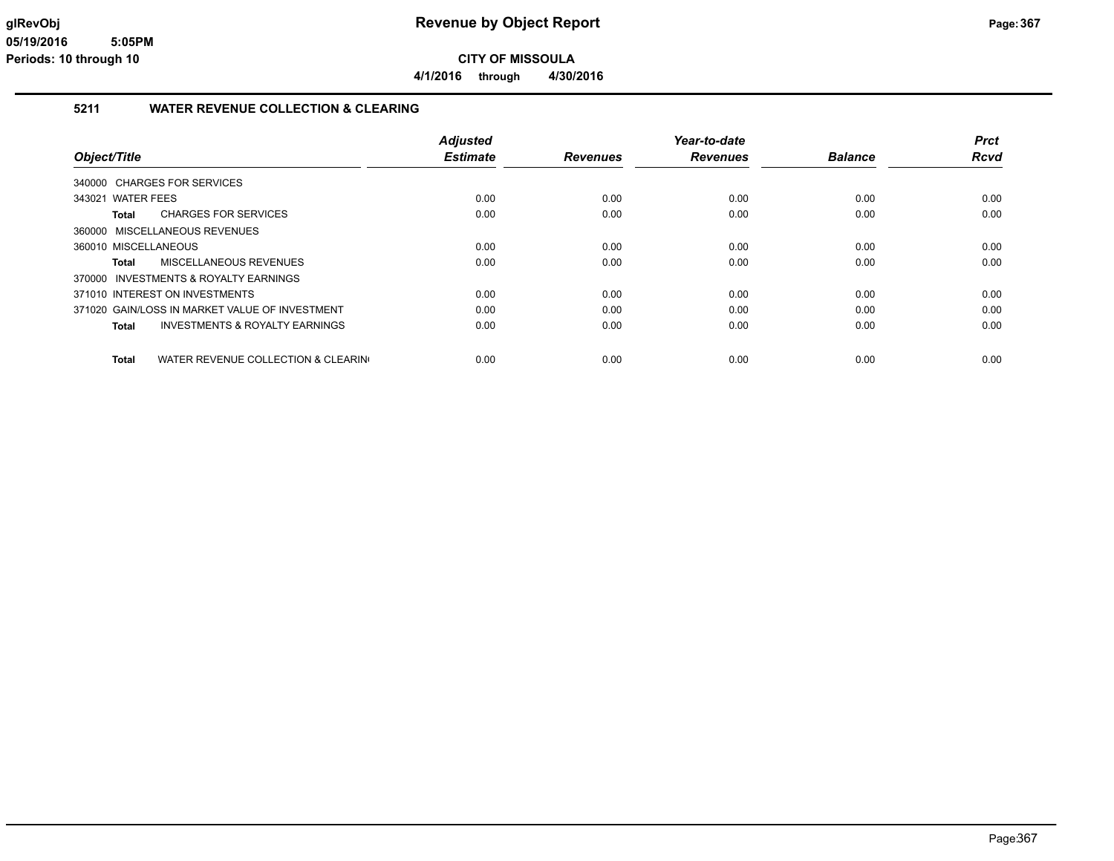**4/1/2016 through 4/30/2016**

### **5211 WATER REVENUE COLLECTION & CLEARING**

|                                                     | <b>Adjusted</b> |                 | Year-to-date    |                | <b>Prct</b> |
|-----------------------------------------------------|-----------------|-----------------|-----------------|----------------|-------------|
| Object/Title                                        | <b>Estimate</b> | <b>Revenues</b> | <b>Revenues</b> | <b>Balance</b> | Rcvd        |
| 340000 CHARGES FOR SERVICES                         |                 |                 |                 |                |             |
| 343021 WATER FEES                                   | 0.00            | 0.00            | 0.00            | 0.00           | 0.00        |
| <b>CHARGES FOR SERVICES</b><br>Total                | 0.00            | 0.00            | 0.00            | 0.00           | 0.00        |
| 360000 MISCELLANEOUS REVENUES                       |                 |                 |                 |                |             |
| 360010 MISCELLANEOUS                                | 0.00            | 0.00            | 0.00            | 0.00           | 0.00        |
| MISCELLANEOUS REVENUES<br>Total                     | 0.00            | 0.00            | 0.00            | 0.00           | 0.00        |
| 370000 INVESTMENTS & ROYALTY EARNINGS               |                 |                 |                 |                |             |
| 371010 INTEREST ON INVESTMENTS                      | 0.00            | 0.00            | 0.00            | 0.00           | 0.00        |
| 371020 GAIN/LOSS IN MARKET VALUE OF INVESTMENT      | 0.00            | 0.00            | 0.00            | 0.00           | 0.00        |
| INVESTMENTS & ROYALTY EARNINGS<br>Total             | 0.00            | 0.00            | 0.00            | 0.00           | 0.00        |
| WATER REVENUE COLLECTION & CLEARING<br><b>Total</b> | 0.00            | 0.00            | 0.00            | 0.00           | 0.00        |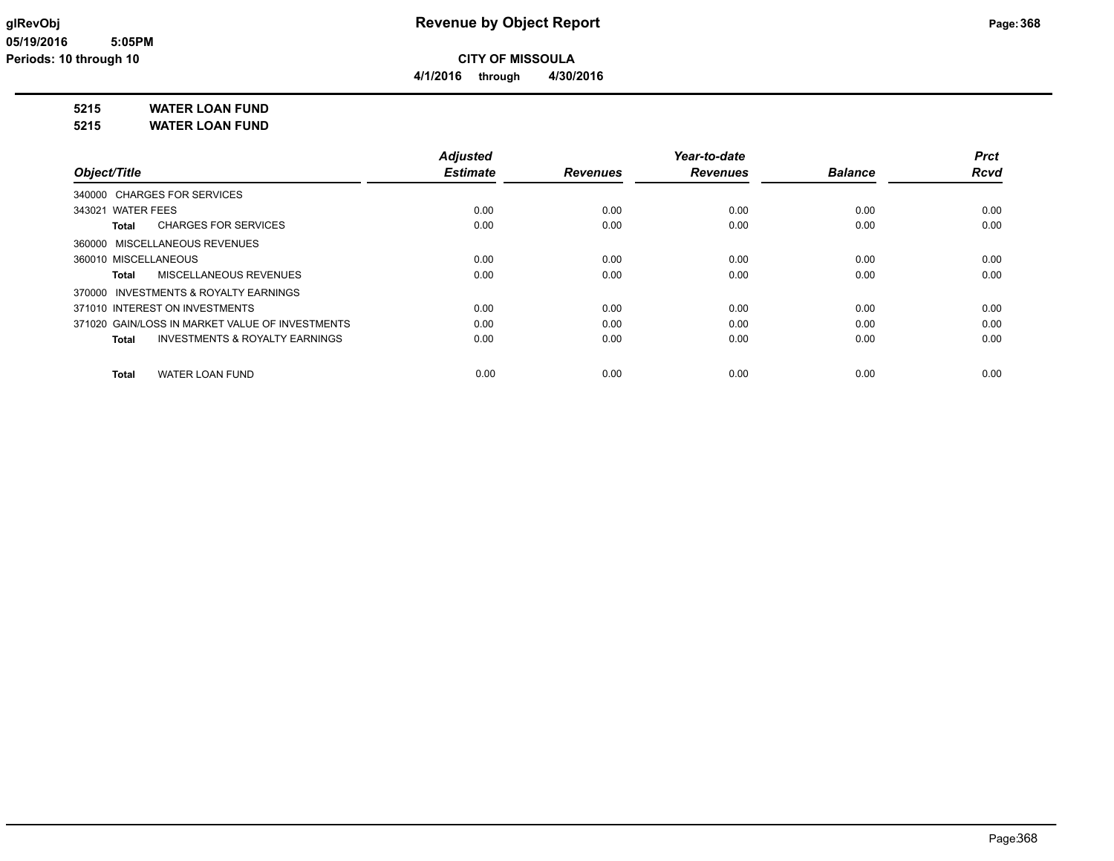**4/1/2016 through 4/30/2016**

## **5215 WATER LOAN FUND**

**5215 WATER LOAN FUND**

|                                                 | <b>Adjusted</b> |                 | Year-to-date    |                | Prct        |
|-------------------------------------------------|-----------------|-----------------|-----------------|----------------|-------------|
| Object/Title                                    | <b>Estimate</b> | <b>Revenues</b> | <b>Revenues</b> | <b>Balance</b> | <b>Rcvd</b> |
| 340000 CHARGES FOR SERVICES                     |                 |                 |                 |                |             |
| 343021 WATER FEES                               | 0.00            | 0.00            | 0.00            | 0.00           | 0.00        |
| <b>CHARGES FOR SERVICES</b><br>Total            | 0.00            | 0.00            | 0.00            | 0.00           | 0.00        |
| 360000 MISCELLANEOUS REVENUES                   |                 |                 |                 |                |             |
| 360010 MISCELLANEOUS                            | 0.00            | 0.00            | 0.00            | 0.00           | 0.00        |
| MISCELLANEOUS REVENUES<br>Total                 | 0.00            | 0.00            | 0.00            | 0.00           | 0.00        |
| 370000 INVESTMENTS & ROYALTY EARNINGS           |                 |                 |                 |                |             |
| 371010 INTEREST ON INVESTMENTS                  | 0.00            | 0.00            | 0.00            | 0.00           | 0.00        |
| 371020 GAIN/LOSS IN MARKET VALUE OF INVESTMENTS | 0.00            | 0.00            | 0.00            | 0.00           | 0.00        |
| INVESTMENTS & ROYALTY EARNINGS<br>Total         | 0.00            | 0.00            | 0.00            | 0.00           | 0.00        |
| <b>WATER LOAN FUND</b><br>Total                 | 0.00            | 0.00            | 0.00            | 0.00           | 0.00        |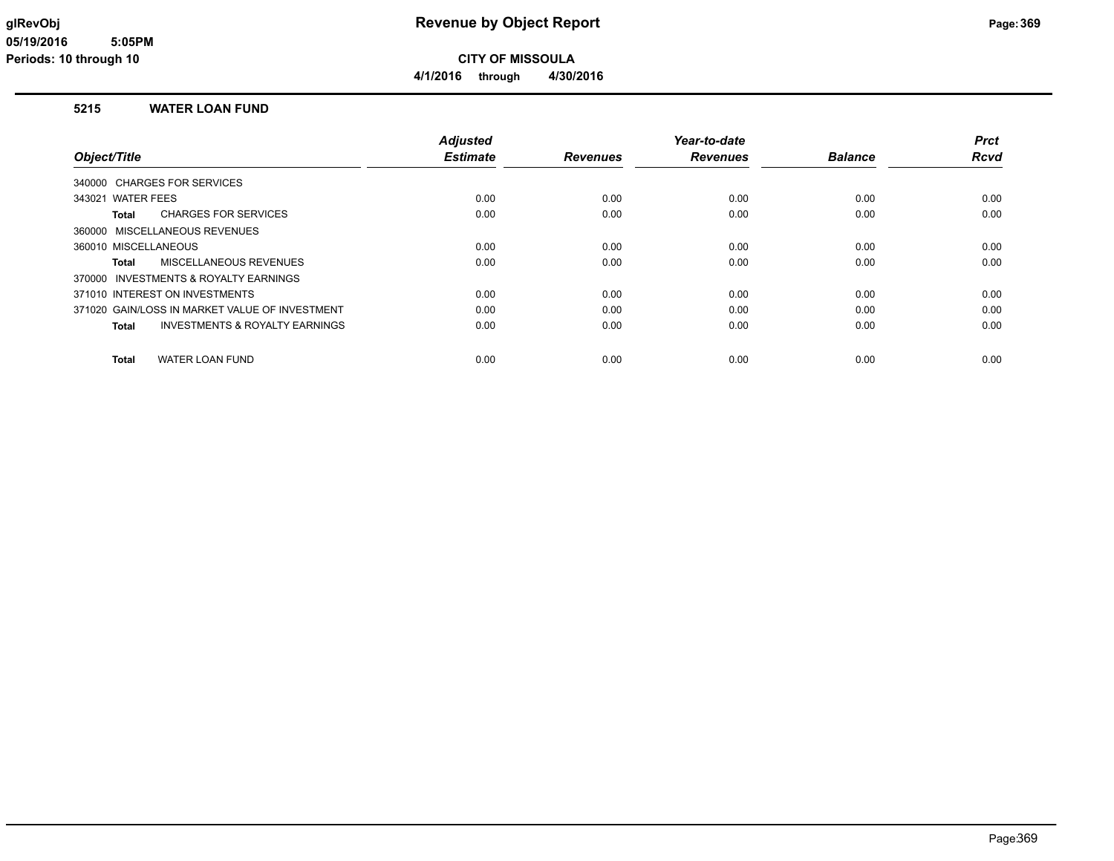**4/1/2016 through 4/30/2016**

### **5215 WATER LOAN FUND**

|                                                    | <b>Adjusted</b> |                 | Year-to-date    |                | <b>Prct</b> |
|----------------------------------------------------|-----------------|-----------------|-----------------|----------------|-------------|
| Object/Title                                       | <b>Estimate</b> | <b>Revenues</b> | <b>Revenues</b> | <b>Balance</b> | <b>Rcvd</b> |
| 340000 CHARGES FOR SERVICES                        |                 |                 |                 |                |             |
| 343021 WATER FEES                                  | 0.00            | 0.00            | 0.00            | 0.00           | 0.00        |
| <b>CHARGES FOR SERVICES</b><br>Total               | 0.00            | 0.00            | 0.00            | 0.00           | 0.00        |
| 360000 MISCELLANEOUS REVENUES                      |                 |                 |                 |                |             |
| 360010 MISCELLANEOUS                               | 0.00            | 0.00            | 0.00            | 0.00           | 0.00        |
| <b>MISCELLANEOUS REVENUES</b><br>Total             | 0.00            | 0.00            | 0.00            | 0.00           | 0.00        |
| 370000 INVESTMENTS & ROYALTY EARNINGS              |                 |                 |                 |                |             |
| 371010 INTEREST ON INVESTMENTS                     | 0.00            | 0.00            | 0.00            | 0.00           | 0.00        |
| 371020 GAIN/LOSS IN MARKET VALUE OF INVESTMENT     | 0.00            | 0.00            | 0.00            | 0.00           | 0.00        |
| <b>INVESTMENTS &amp; ROYALTY EARNINGS</b><br>Total | 0.00            | 0.00            | 0.00            | 0.00           | 0.00        |
|                                                    |                 |                 |                 |                |             |
| <b>WATER LOAN FUND</b><br><b>Total</b>             | 0.00            | 0.00            | 0.00            | 0.00           | 0.00        |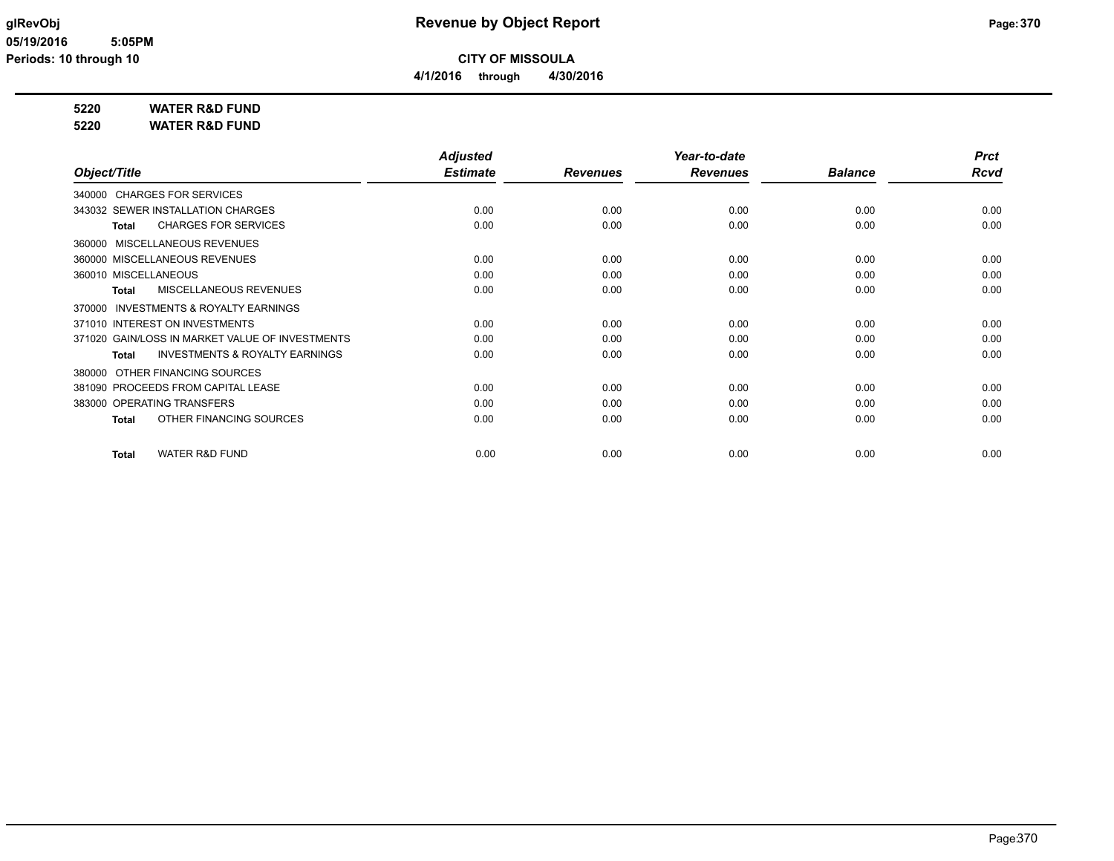# **glRevObj Revenue by Object Report Page:370**

### **5220 WATER R&D FUND**

**5220 WATER R&D FUND**

|                                                     | <b>Adjusted</b> |                 | Year-to-date    |                | <b>Prct</b> |
|-----------------------------------------------------|-----------------|-----------------|-----------------|----------------|-------------|
| Object/Title                                        | <b>Estimate</b> | <b>Revenues</b> | <b>Revenues</b> | <b>Balance</b> | Rcvd        |
| 340000 CHARGES FOR SERVICES                         |                 |                 |                 |                |             |
| 343032 SEWER INSTALLATION CHARGES                   | 0.00            | 0.00            | 0.00            | 0.00           | 0.00        |
| <b>CHARGES FOR SERVICES</b><br><b>Total</b>         | 0.00            | 0.00            | 0.00            | 0.00           | 0.00        |
| MISCELLANEOUS REVENUES<br>360000                    |                 |                 |                 |                |             |
| 360000 MISCELLANEOUS REVENUES                       | 0.00            | 0.00            | 0.00            | 0.00           | 0.00        |
| 360010 MISCELLANEOUS                                | 0.00            | 0.00            | 0.00            | 0.00           | 0.00        |
| MISCELLANEOUS REVENUES<br><b>Total</b>              | 0.00            | 0.00            | 0.00            | 0.00           | 0.00        |
| <b>INVESTMENTS &amp; ROYALTY EARNINGS</b><br>370000 |                 |                 |                 |                |             |
| 371010 INTEREST ON INVESTMENTS                      | 0.00            | 0.00            | 0.00            | 0.00           | 0.00        |
| 371020 GAIN/LOSS IN MARKET VALUE OF INVESTMENTS     | 0.00            | 0.00            | 0.00            | 0.00           | 0.00        |
| <b>INVESTMENTS &amp; ROYALTY EARNINGS</b><br>Total  | 0.00            | 0.00            | 0.00            | 0.00           | 0.00        |
| OTHER FINANCING SOURCES<br>380000                   |                 |                 |                 |                |             |
| 381090 PROCEEDS FROM CAPITAL LEASE                  | 0.00            | 0.00            | 0.00            | 0.00           | 0.00        |
| 383000 OPERATING TRANSFERS                          | 0.00            | 0.00            | 0.00            | 0.00           | 0.00        |
| OTHER FINANCING SOURCES<br><b>Total</b>             | 0.00            | 0.00            | 0.00            | 0.00           | 0.00        |
| WATER R&D FUND<br><b>Total</b>                      | 0.00            | 0.00            | 0.00            | 0.00           | 0.00        |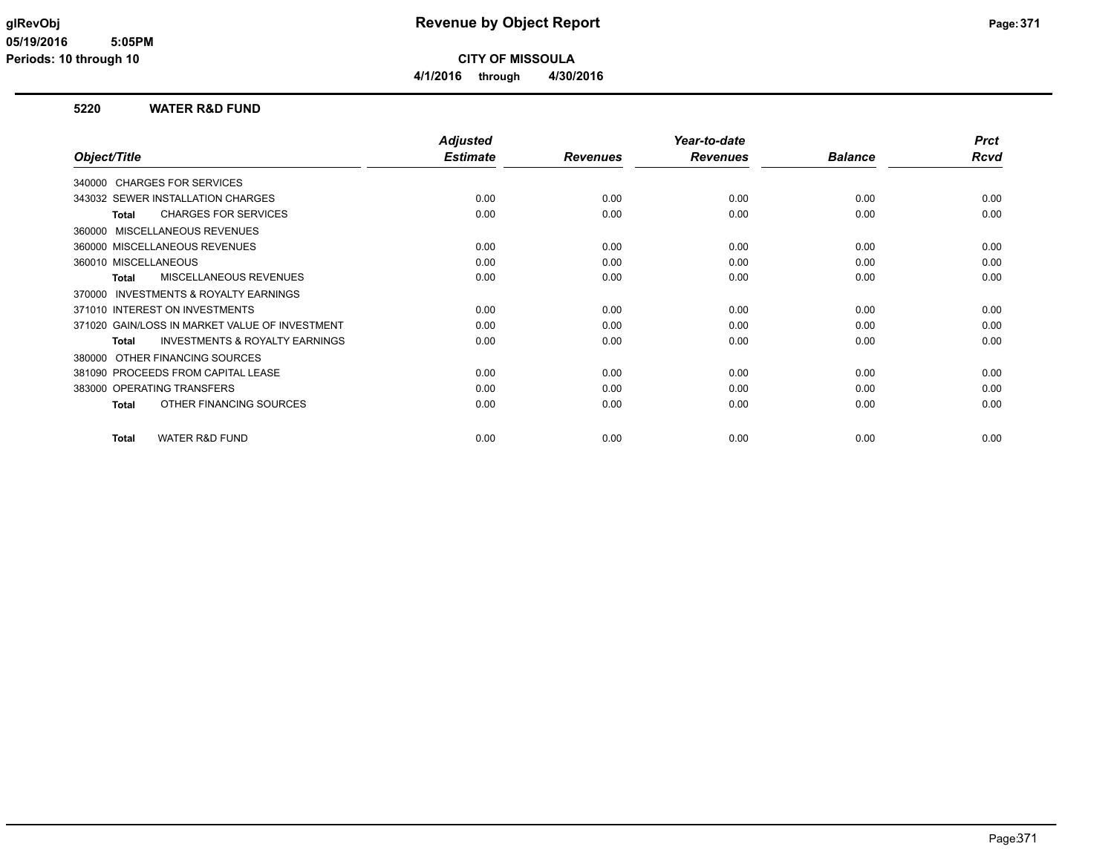## **glRevObj Revenue by Object Report Page:371**

**CITY OF MISSOULA 4/1/2016 through 4/30/2016**

### **5220 WATER R&D FUND**

|                                                           | <b>Adjusted</b> |                 | Year-to-date    |                | <b>Prct</b> |
|-----------------------------------------------------------|-----------------|-----------------|-----------------|----------------|-------------|
| Object/Title                                              | <b>Estimate</b> | <b>Revenues</b> | <b>Revenues</b> | <b>Balance</b> | Rcvd        |
| 340000 CHARGES FOR SERVICES                               |                 |                 |                 |                |             |
| 343032 SEWER INSTALLATION CHARGES                         | 0.00            | 0.00            | 0.00            | 0.00           | 0.00        |
| <b>CHARGES FOR SERVICES</b><br><b>Total</b>               | 0.00            | 0.00            | 0.00            | 0.00           | 0.00        |
| <b>MISCELLANEOUS REVENUES</b><br>360000                   |                 |                 |                 |                |             |
| 360000 MISCELLANEOUS REVENUES                             | 0.00            | 0.00            | 0.00            | 0.00           | 0.00        |
| 360010 MISCELLANEOUS                                      | 0.00            | 0.00            | 0.00            | 0.00           | 0.00        |
| MISCELLANEOUS REVENUES<br><b>Total</b>                    | 0.00            | 0.00            | 0.00            | 0.00           | 0.00        |
| <b>INVESTMENTS &amp; ROYALTY EARNINGS</b><br>370000       |                 |                 |                 |                |             |
| 371010 INTEREST ON INVESTMENTS                            | 0.00            | 0.00            | 0.00            | 0.00           | 0.00        |
| 371020 GAIN/LOSS IN MARKET VALUE OF INVESTMENT            | 0.00            | 0.00            | 0.00            | 0.00           | 0.00        |
| <b>INVESTMENTS &amp; ROYALTY EARNINGS</b><br><b>Total</b> | 0.00            | 0.00            | 0.00            | 0.00           | 0.00        |
| OTHER FINANCING SOURCES<br>380000                         |                 |                 |                 |                |             |
| 381090 PROCEEDS FROM CAPITAL LEASE                        | 0.00            | 0.00            | 0.00            | 0.00           | 0.00        |
| 383000 OPERATING TRANSFERS                                | 0.00            | 0.00            | 0.00            | 0.00           | 0.00        |
| OTHER FINANCING SOURCES<br><b>Total</b>                   | 0.00            | 0.00            | 0.00            | 0.00           | 0.00        |
|                                                           |                 |                 |                 |                |             |
| <b>WATER R&amp;D FUND</b><br><b>Total</b>                 | 0.00            | 0.00            | 0.00            | 0.00           | 0.00        |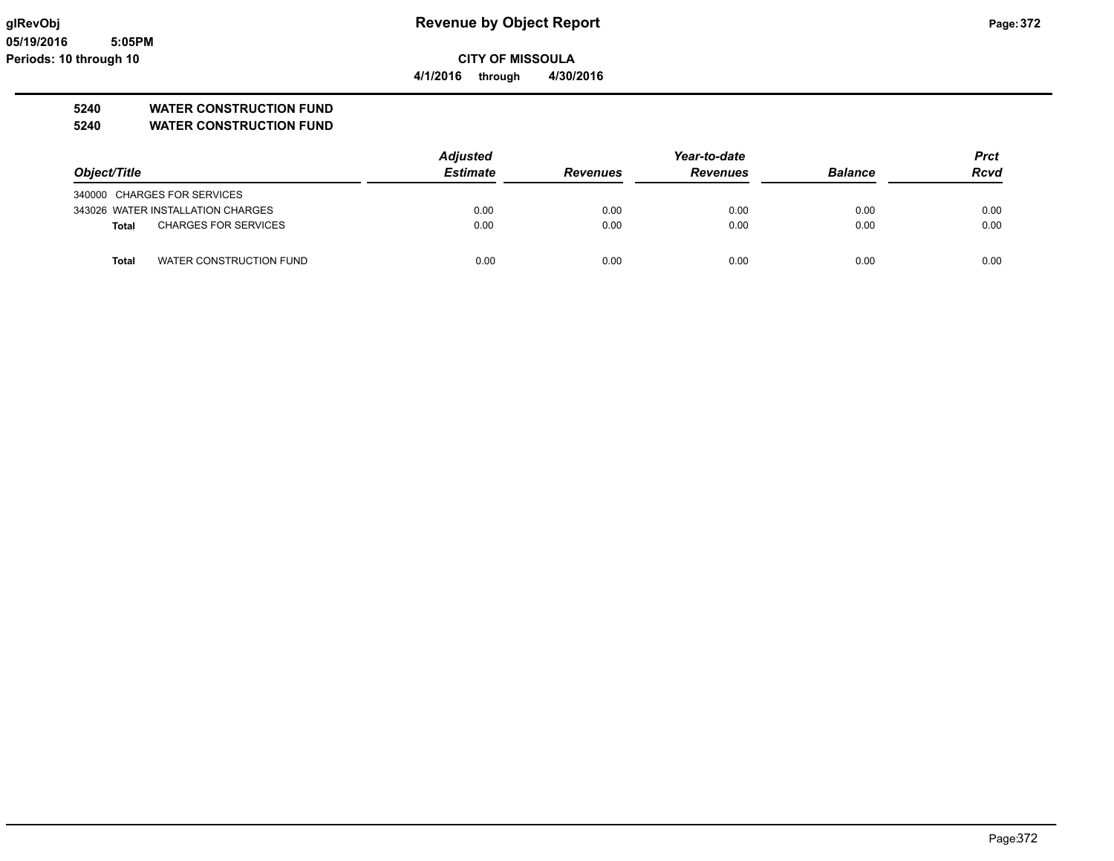**05/19/2016 5:05PM Periods: 10 through 10**

# **glRevObj Revenue by Object Report Page:372**

**CITY OF MISSOULA 4/1/2016 through 4/30/2016**

**5240 WATER CONSTRUCTION FUND**

**5240 WATER CONSTRUCTION FUND**

|                                             | <b>Adjusted</b> | Year-to-date    |                 |                | Prct        |
|---------------------------------------------|-----------------|-----------------|-----------------|----------------|-------------|
| Object/Title                                | <b>Estimate</b> | <b>Revenues</b> | <b>Revenues</b> | <b>Balance</b> | <b>Rcvd</b> |
| 340000 CHARGES FOR SERVICES                 |                 |                 |                 |                |             |
| 343026 WATER INSTALLATION CHARGES           | 0.00            | 0.00            | 0.00            | 0.00           | 0.00        |
| <b>CHARGES FOR SERVICES</b><br><b>Total</b> | 0.00            | 0.00            | 0.00            | 0.00           | 0.00        |
| <b>Total</b><br>WATER CONSTRUCTION FUND     | 0.00            | 0.00            | 0.00            | 0.00           | 0.00        |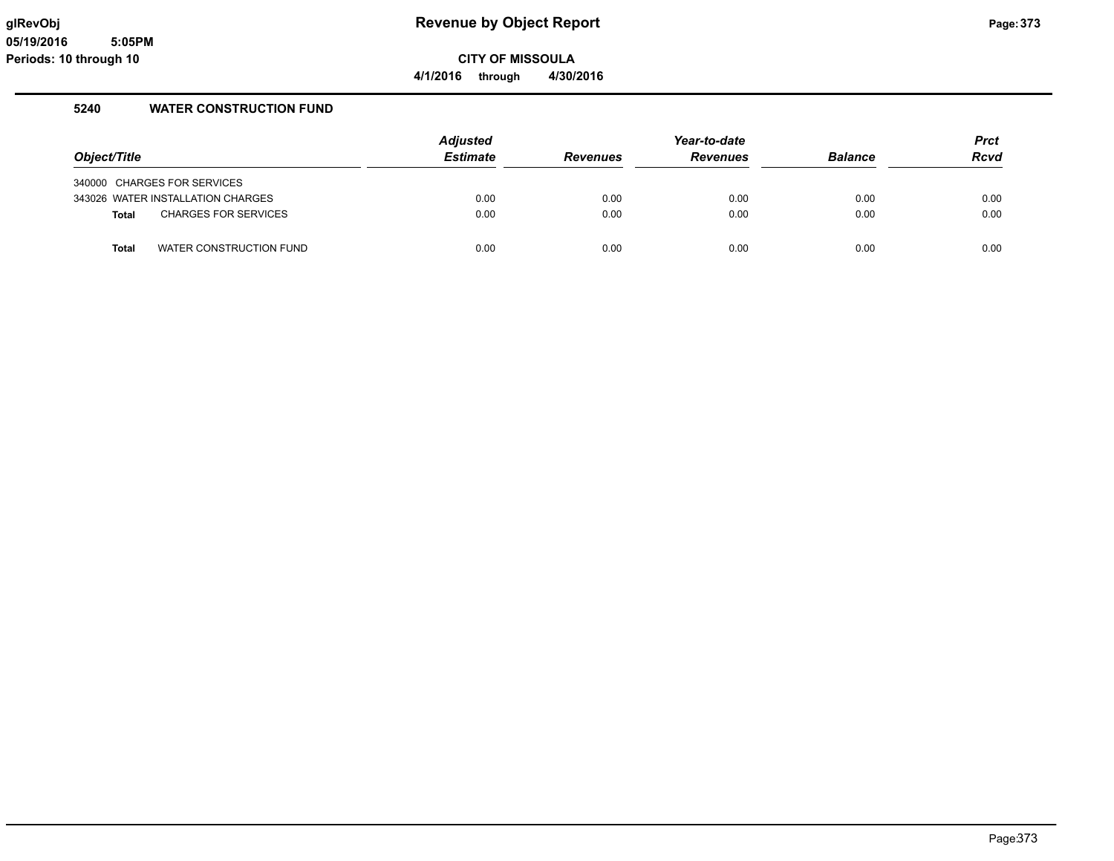# **glRevObj Revenue by Object Report Page:373**

**CITY OF MISSOULA 4/1/2016 through 4/30/2016**

### **5240 WATER CONSTRUCTION FUND**

|              |                                   | <b>Adjusted</b> |                 | Year-to-date    |                | Prct        |
|--------------|-----------------------------------|-----------------|-----------------|-----------------|----------------|-------------|
| Object/Title |                                   | <b>Estimate</b> | <b>Revenues</b> | <b>Revenues</b> | <b>Balance</b> | <b>Rcvd</b> |
|              | 340000 CHARGES FOR SERVICES       |                 |                 |                 |                |             |
|              | 343026 WATER INSTALLATION CHARGES | 0.00            | 0.00            | 0.00            | 0.00           | 0.00        |
| <b>Total</b> | <b>CHARGES FOR SERVICES</b>       | 0.00            | 0.00            | 0.00            | 0.00           | 0.00        |
| Total        | WATER CONSTRUCTION FUND           | 0.00            | 0.00            | 0.00            | 0.00           | 0.00        |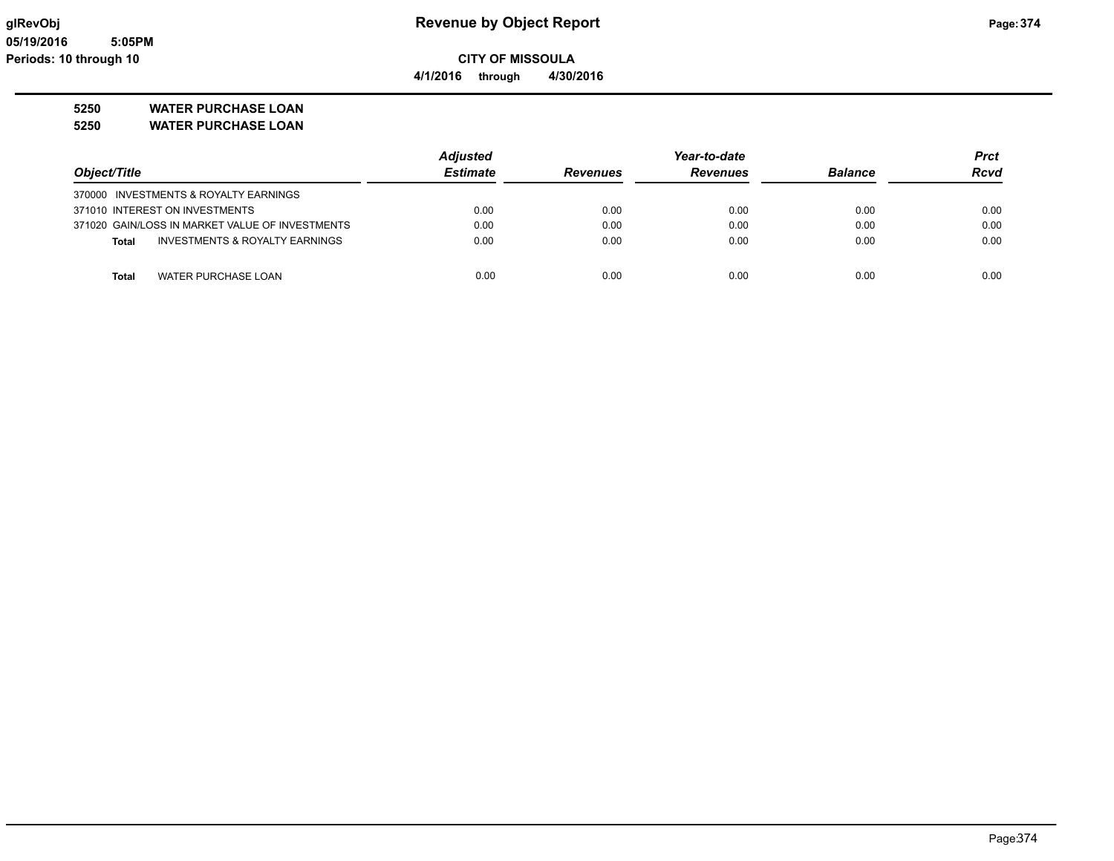**4/1/2016 through 4/30/2016**

## **5250 WATER PURCHASE LOAN**

**5250 WATER PURCHASE LOAN**

|                                                 | <b>Adjusted</b> |                 | Year-to-date    |                | Prct        |
|-------------------------------------------------|-----------------|-----------------|-----------------|----------------|-------------|
| Object/Title                                    | <b>Estimate</b> | <b>Revenues</b> | <b>Revenues</b> | <b>Balance</b> | <b>Rcvd</b> |
| 370000 INVESTMENTS & ROYALTY EARNINGS           |                 |                 |                 |                |             |
| 371010 INTEREST ON INVESTMENTS                  | 0.00            | 0.00            | 0.00            | 0.00           | 0.00        |
| 371020 GAIN/LOSS IN MARKET VALUE OF INVESTMENTS | 0.00            | 0.00            | 0.00            | 0.00           | 0.00        |
| INVESTMENTS & ROYALTY EARNINGS<br>Total         | 0.00            | 0.00            | 0.00            | 0.00           | 0.00        |
|                                                 |                 |                 |                 |                |             |
| WATER PURCHASE LOAN<br>Total                    | 0.00            | 0.00            | 0.00            | 0.00           | 0.00        |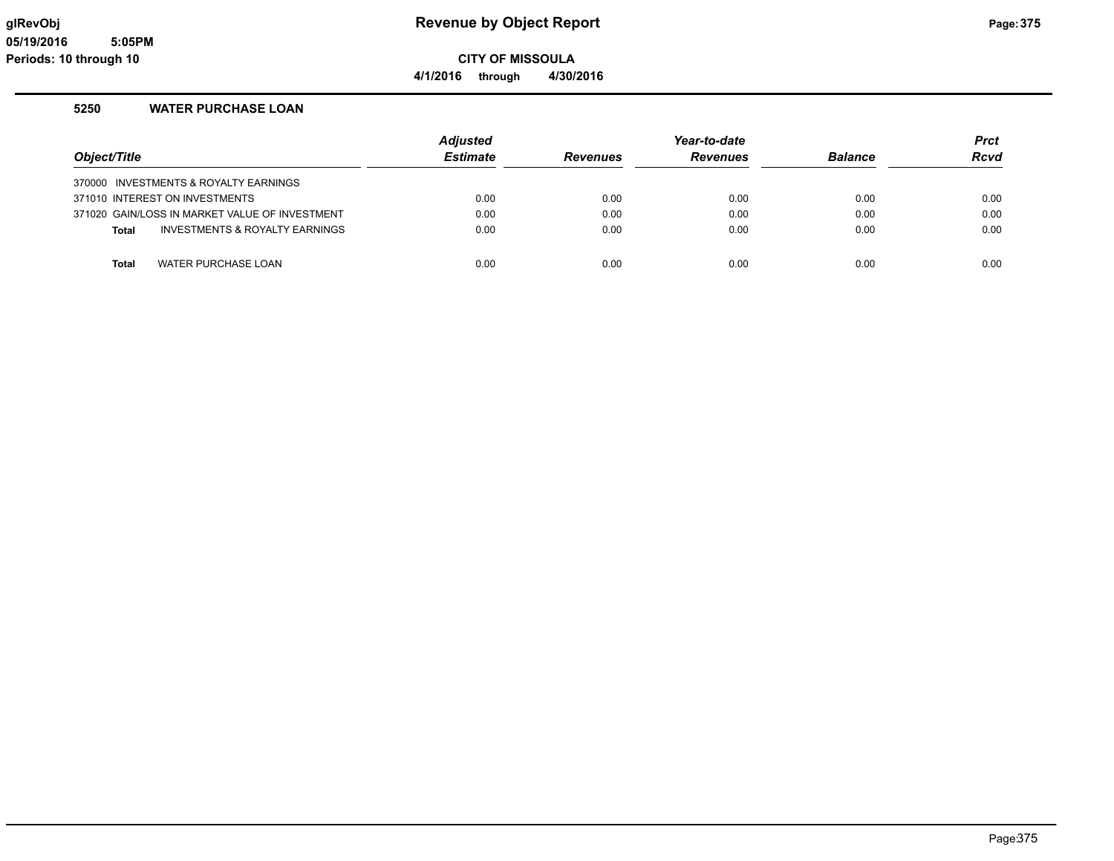# **glRevObj Revenue by Object Report Page:375**

**CITY OF MISSOULA 4/1/2016 through 4/30/2016**

### **5250 WATER PURCHASE LOAN**

| Object/Title                   |                                                | <b>Adjusted</b><br><b>Estimate</b> | <b>Revenues</b> | Year-to-date<br><b>Revenues</b> | <b>Balance</b> | <b>Prct</b><br><b>Rcvd</b> |
|--------------------------------|------------------------------------------------|------------------------------------|-----------------|---------------------------------|----------------|----------------------------|
|                                | 370000 INVESTMENTS & ROYALTY EARNINGS          |                                    |                 |                                 |                |                            |
| 371010 INTEREST ON INVESTMENTS |                                                | 0.00                               | 0.00            | 0.00                            | 0.00           | 0.00                       |
|                                | 371020 GAIN/LOSS IN MARKET VALUE OF INVESTMENT | 0.00                               | 0.00            | 0.00                            | 0.00           | 0.00                       |
| <b>Total</b>                   | INVESTMENTS & ROYALTY EARNINGS                 | 0.00                               | 0.00            | 0.00                            | 0.00           | 0.00                       |
| <b>Total</b>                   | WATER PURCHASE LOAN                            | 0.00                               | 0.00            | 0.00                            | 0.00           | 0.00                       |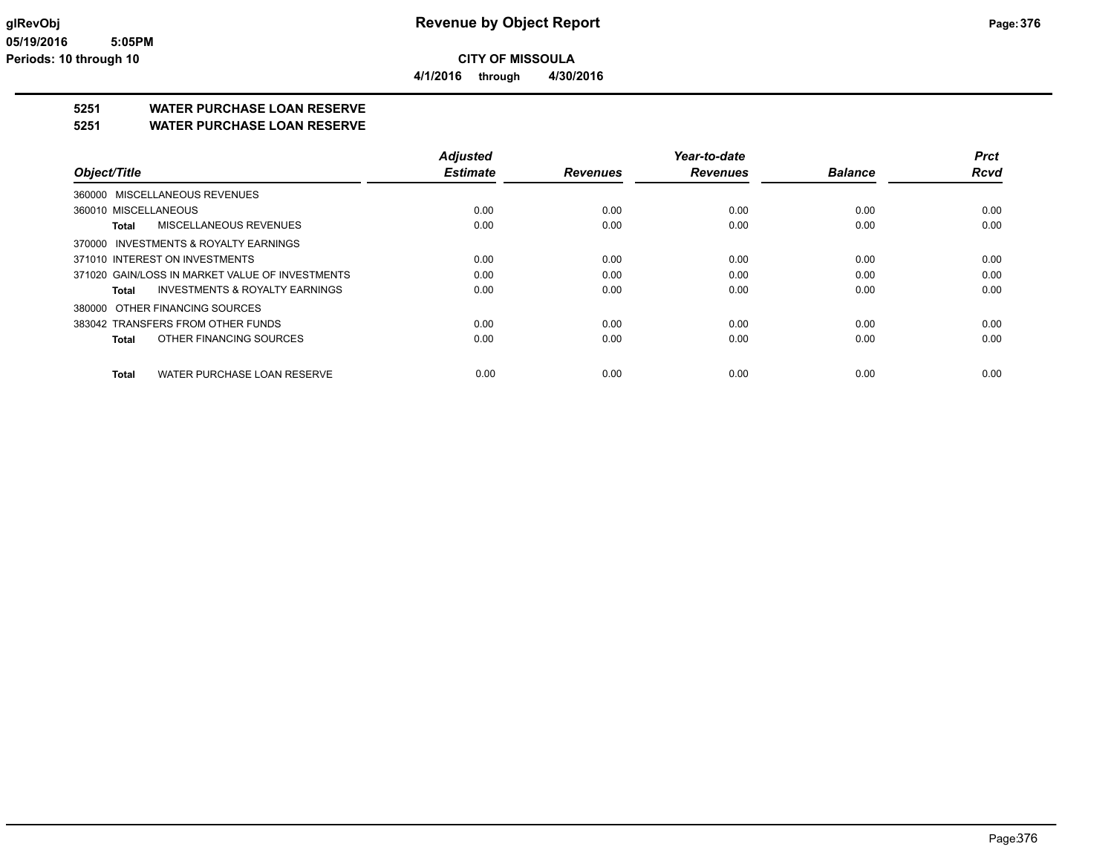**CITY OF MISSOULA 4/1/2016 through 4/30/2016**

**5251 WATER PURCHASE LOAN RESERVE**

**5251 WATER PURCHASE LOAN RESERVE**

|                                                    | <b>Adjusted</b> |                 | Year-to-date    |                | <b>Prct</b> |
|----------------------------------------------------|-----------------|-----------------|-----------------|----------------|-------------|
| Object/Title                                       | <b>Estimate</b> | <b>Revenues</b> | <b>Revenues</b> | <b>Balance</b> | <b>Rcvd</b> |
| 360000 MISCELLANEOUS REVENUES                      |                 |                 |                 |                |             |
| 360010 MISCELLANEOUS                               | 0.00            | 0.00            | 0.00            | 0.00           | 0.00        |
| MISCELLANEOUS REVENUES<br><b>Total</b>             | 0.00            | 0.00            | 0.00            | 0.00           | 0.00        |
| 370000 INVESTMENTS & ROYALTY EARNINGS              |                 |                 |                 |                |             |
| 371010 INTEREST ON INVESTMENTS                     | 0.00            | 0.00            | 0.00            | 0.00           | 0.00        |
| 371020 GAIN/LOSS IN MARKET VALUE OF INVESTMENTS    | 0.00            | 0.00            | 0.00            | 0.00           | 0.00        |
| <b>INVESTMENTS &amp; ROYALTY EARNINGS</b><br>Total | 0.00            | 0.00            | 0.00            | 0.00           | 0.00        |
| 380000 OTHER FINANCING SOURCES                     |                 |                 |                 |                |             |
| 383042 TRANSFERS FROM OTHER FUNDS                  | 0.00            | 0.00            | 0.00            | 0.00           | 0.00        |
| OTHER FINANCING SOURCES<br>Total                   | 0.00            | 0.00            | 0.00            | 0.00           | 0.00        |
| WATER PURCHASE LOAN RESERVE<br><b>Total</b>        | 0.00            | 0.00            | 0.00            | 0.00           | 0.00        |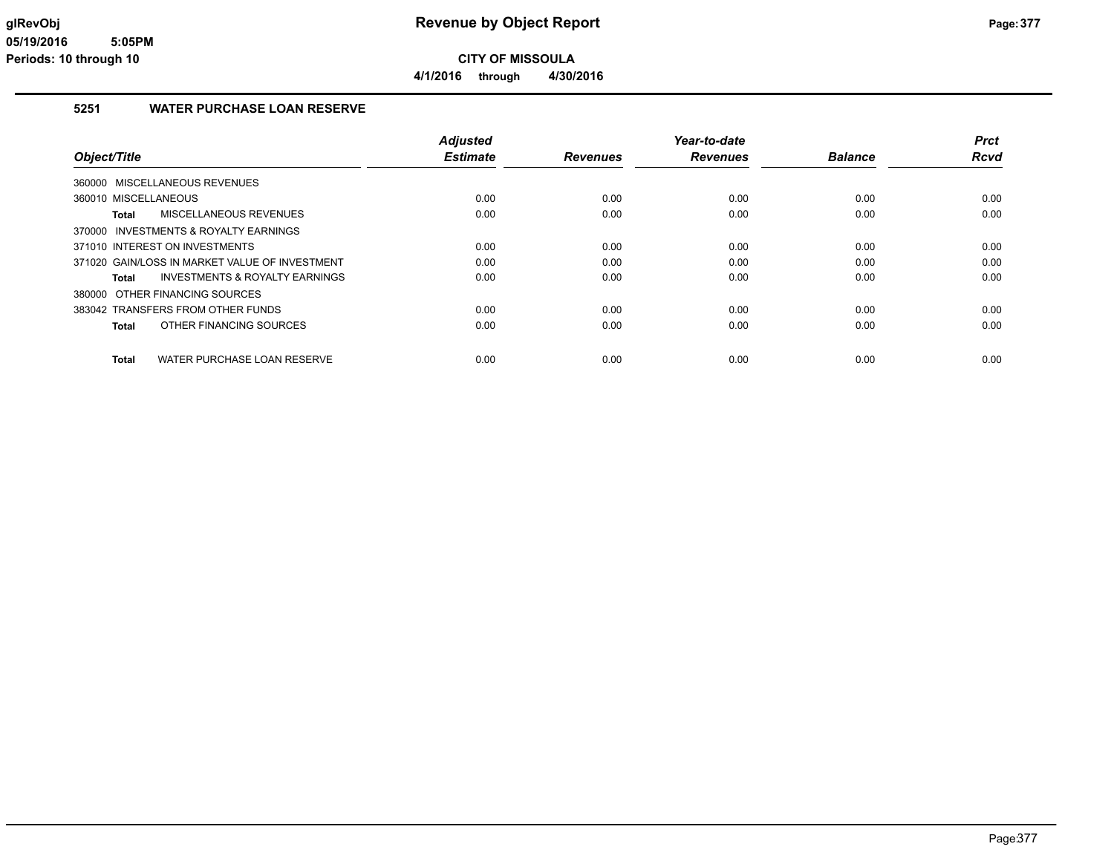**4/1/2016 through 4/30/2016**

### **5251 WATER PURCHASE LOAN RESERVE**

|                                                | <b>Adjusted</b> |                 | Year-to-date    |                | Prct        |
|------------------------------------------------|-----------------|-----------------|-----------------|----------------|-------------|
| Object/Title                                   | <b>Estimate</b> | <b>Revenues</b> | <b>Revenues</b> | <b>Balance</b> | <b>Rcvd</b> |
| 360000 MISCELLANEOUS REVENUES                  |                 |                 |                 |                |             |
| 360010 MISCELLANEOUS                           | 0.00            | 0.00            | 0.00            | 0.00           | 0.00        |
| MISCELLANEOUS REVENUES<br><b>Total</b>         | 0.00            | 0.00            | 0.00            | 0.00           | 0.00        |
| 370000 INVESTMENTS & ROYALTY EARNINGS          |                 |                 |                 |                |             |
| 371010 INTEREST ON INVESTMENTS                 | 0.00            | 0.00            | 0.00            | 0.00           | 0.00        |
| 371020 GAIN/LOSS IN MARKET VALUE OF INVESTMENT | 0.00            | 0.00            | 0.00            | 0.00           | 0.00        |
| INVESTMENTS & ROYALTY EARNINGS<br><b>Total</b> | 0.00            | 0.00            | 0.00            | 0.00           | 0.00        |
| 380000 OTHER FINANCING SOURCES                 |                 |                 |                 |                |             |
| 383042 TRANSFERS FROM OTHER FUNDS              | 0.00            | 0.00            | 0.00            | 0.00           | 0.00        |
| OTHER FINANCING SOURCES<br><b>Total</b>        | 0.00            | 0.00            | 0.00            | 0.00           | 0.00        |
| WATER PURCHASE LOAN RESERVE<br><b>Total</b>    | 0.00            | 0.00            | 0.00            | 0.00           | 0.00        |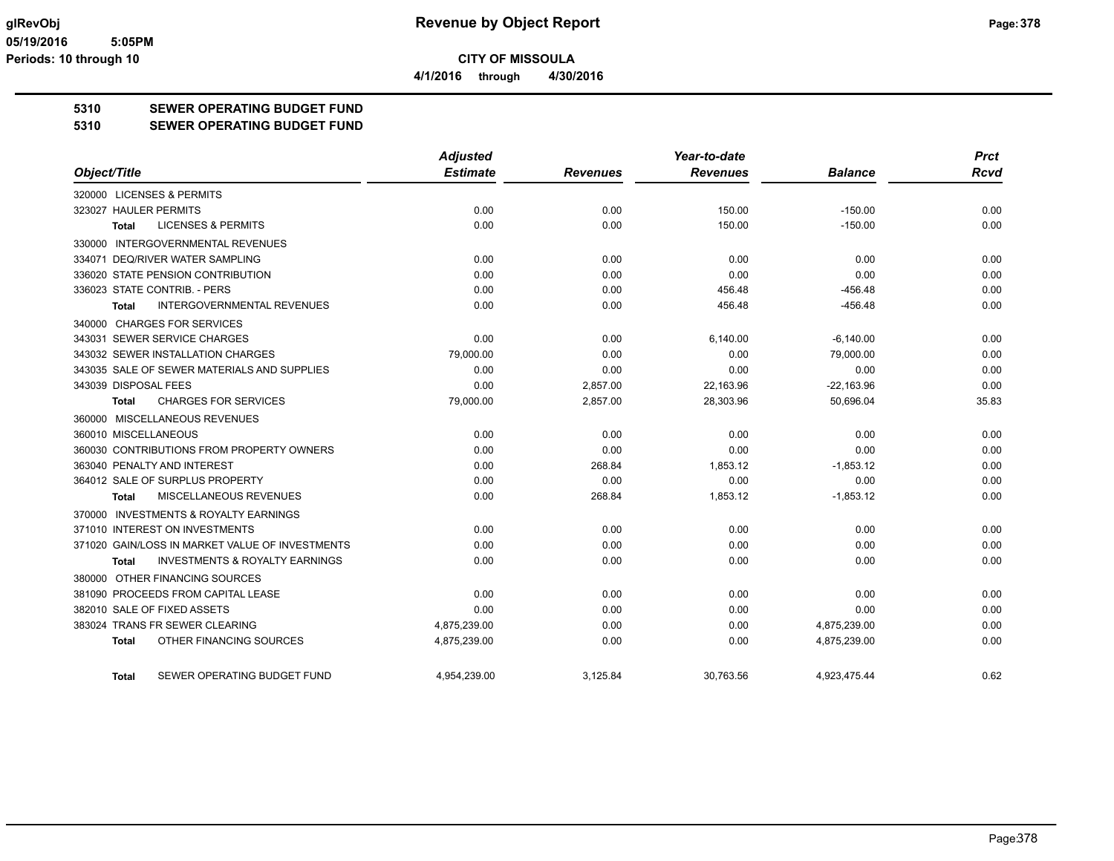**CITY OF MISSOULA 4/1/2016 through 4/30/2016**

**5310 SEWER OPERATING BUDGET FUND**

### **5310 SEWER OPERATING BUDGET FUND**

|                                                           | <b>Adjusted</b> |                 | Year-to-date    |                | <b>Prct</b> |
|-----------------------------------------------------------|-----------------|-----------------|-----------------|----------------|-------------|
| Object/Title                                              | <b>Estimate</b> | <b>Revenues</b> | <b>Revenues</b> | <b>Balance</b> | Rcvd        |
| 320000 LICENSES & PERMITS                                 |                 |                 |                 |                |             |
| 323027 HAULER PERMITS                                     | 0.00            | 0.00            | 150.00          | $-150.00$      | 0.00        |
| <b>LICENSES &amp; PERMITS</b><br><b>Total</b>             | 0.00            | 0.00            | 150.00          | $-150.00$      | 0.00        |
| 330000 INTERGOVERNMENTAL REVENUES                         |                 |                 |                 |                |             |
| 334071 DEQ/RIVER WATER SAMPLING                           | 0.00            | 0.00            | 0.00            | 0.00           | 0.00        |
| 336020 STATE PENSION CONTRIBUTION                         | 0.00            | 0.00            | 0.00            | 0.00           | 0.00        |
| 336023 STATE CONTRIB. - PERS                              | 0.00            | 0.00            | 456.48          | $-456.48$      | 0.00        |
| INTERGOVERNMENTAL REVENUES<br><b>Total</b>                | 0.00            | 0.00            | 456.48          | $-456.48$      | 0.00        |
| 340000 CHARGES FOR SERVICES                               |                 |                 |                 |                |             |
| 343031 SEWER SERVICE CHARGES                              | 0.00            | 0.00            | 6,140.00        | $-6,140.00$    | 0.00        |
| 343032 SEWER INSTALLATION CHARGES                         | 79,000.00       | 0.00            | 0.00            | 79,000.00      | 0.00        |
| 343035 SALE OF SEWER MATERIALS AND SUPPLIES               | 0.00            | 0.00            | 0.00            | 0.00           | 0.00        |
| 343039 DISPOSAL FEES                                      | 0.00            | 2,857.00        | 22,163.96       | $-22,163.96$   | 0.00        |
| <b>CHARGES FOR SERVICES</b><br><b>Total</b>               | 79,000.00       | 2,857.00        | 28,303.96       | 50.696.04      | 35.83       |
| 360000 MISCELLANEOUS REVENUES                             |                 |                 |                 |                |             |
| 360010 MISCELLANEOUS                                      | 0.00            | 0.00            | 0.00            | 0.00           | 0.00        |
| 360030 CONTRIBUTIONS FROM PROPERTY OWNERS                 | 0.00            | 0.00            | 0.00            | 0.00           | 0.00        |
| 363040 PENALTY AND INTEREST                               | 0.00            | 268.84          | 1,853.12        | $-1,853.12$    | 0.00        |
| 364012 SALE OF SURPLUS PROPERTY                           | 0.00            | 0.00            | 0.00            | 0.00           | 0.00        |
| MISCELLANEOUS REVENUES<br><b>Total</b>                    | 0.00            | 268.84          | 1,853.12        | $-1,853.12$    | 0.00        |
| 370000 INVESTMENTS & ROYALTY EARNINGS                     |                 |                 |                 |                |             |
| 371010 INTEREST ON INVESTMENTS                            | 0.00            | 0.00            | 0.00            | 0.00           | 0.00        |
| 371020 GAIN/LOSS IN MARKET VALUE OF INVESTMENTS           | 0.00            | 0.00            | 0.00            | 0.00           | 0.00        |
| <b>INVESTMENTS &amp; ROYALTY EARNINGS</b><br><b>Total</b> | 0.00            | 0.00            | 0.00            | 0.00           | 0.00        |
| 380000 OTHER FINANCING SOURCES                            |                 |                 |                 |                |             |
| 381090 PROCEEDS FROM CAPITAL LEASE                        | 0.00            | 0.00            | 0.00            | 0.00           | 0.00        |
| 382010 SALE OF FIXED ASSETS                               | 0.00            | 0.00            | 0.00            | 0.00           | 0.00        |
| 383024 TRANS FR SEWER CLEARING                            | 4,875,239.00    | 0.00            | 0.00            | 4,875,239.00   | 0.00        |
| OTHER FINANCING SOURCES<br><b>Total</b>                   | 4,875,239.00    | 0.00            | 0.00            | 4,875,239.00   | 0.00        |
| SEWER OPERATING BUDGET FUND<br><b>Total</b>               | 4,954,239.00    | 3,125.84        | 30,763.56       | 4,923,475.44   | 0.62        |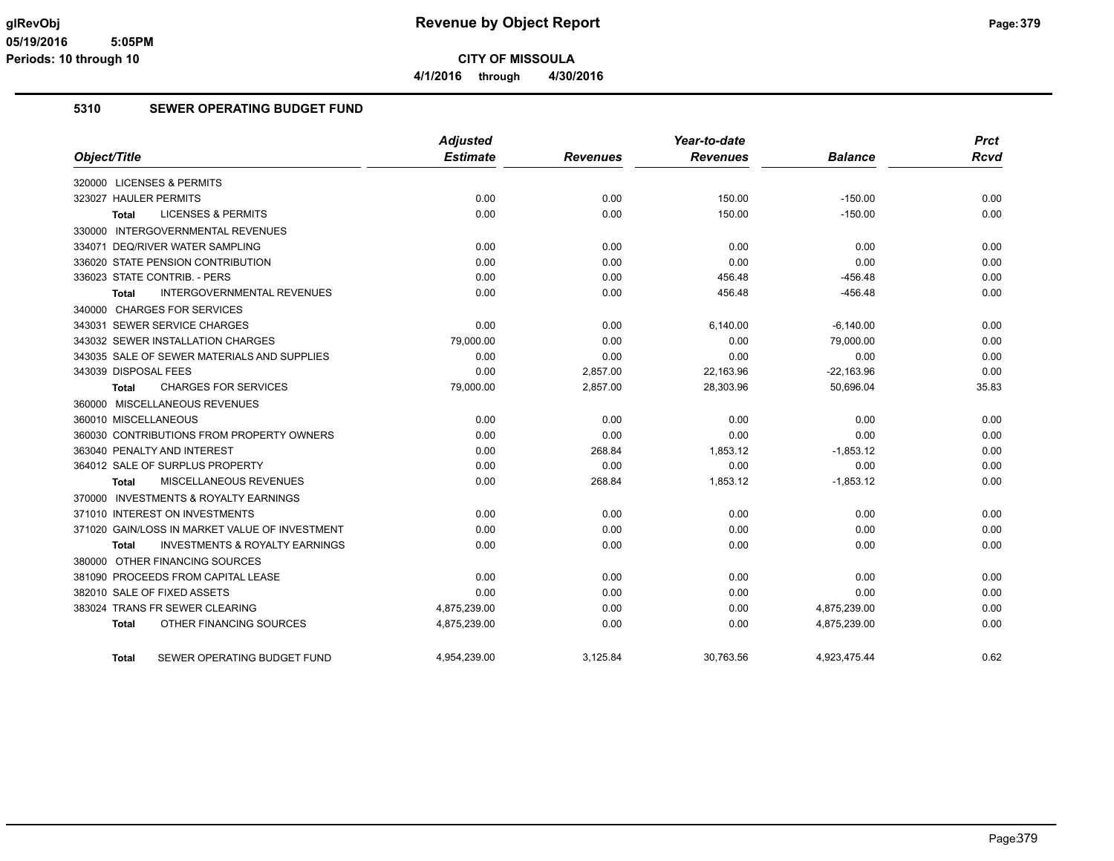**4/1/2016 through 4/30/2016**

### **5310 SEWER OPERATING BUDGET FUND**

|                                                    | <b>Adjusted</b> |                 | Year-to-date    |                | <b>Prct</b> |
|----------------------------------------------------|-----------------|-----------------|-----------------|----------------|-------------|
| Object/Title                                       | <b>Estimate</b> | <b>Revenues</b> | <b>Revenues</b> | <b>Balance</b> | <b>Rcvd</b> |
| 320000 LICENSES & PERMITS                          |                 |                 |                 |                |             |
| 323027 HAULER PERMITS                              | 0.00            | 0.00            | 150.00          | $-150.00$      | 0.00        |
| <b>LICENSES &amp; PERMITS</b><br>Total             | 0.00            | 0.00            | 150.00          | $-150.00$      | 0.00        |
| 330000 INTERGOVERNMENTAL REVENUES                  |                 |                 |                 |                |             |
| 334071 DEQ/RIVER WATER SAMPLING                    | 0.00            | 0.00            | 0.00            | 0.00           | 0.00        |
| 336020 STATE PENSION CONTRIBUTION                  | 0.00            | 0.00            | 0.00            | 0.00           | 0.00        |
| 336023 STATE CONTRIB. - PERS                       | 0.00            | 0.00            | 456.48          | $-456.48$      | 0.00        |
| <b>INTERGOVERNMENTAL REVENUES</b><br>Total         | 0.00            | 0.00            | 456.48          | $-456.48$      | 0.00        |
| 340000 CHARGES FOR SERVICES                        |                 |                 |                 |                |             |
| 343031 SEWER SERVICE CHARGES                       | 0.00            | 0.00            | 6,140.00        | $-6,140.00$    | 0.00        |
| 343032 SEWER INSTALLATION CHARGES                  | 79,000.00       | 0.00            | 0.00            | 79,000.00      | 0.00        |
| 343035 SALE OF SEWER MATERIALS AND SUPPLIES        | 0.00            | 0.00            | 0.00            | 0.00           | 0.00        |
| 343039 DISPOSAL FEES                               | 0.00            | 2,857.00        | 22,163.96       | $-22,163.96$   | 0.00        |
| <b>CHARGES FOR SERVICES</b><br><b>Total</b>        | 79,000.00       | 2,857.00        | 28,303.96       | 50,696.04      | 35.83       |
| 360000 MISCELLANEOUS REVENUES                      |                 |                 |                 |                |             |
| 360010 MISCELLANEOUS                               | 0.00            | 0.00            | 0.00            | 0.00           | 0.00        |
| 360030 CONTRIBUTIONS FROM PROPERTY OWNERS          | 0.00            | 0.00            | 0.00            | 0.00           | 0.00        |
| 363040 PENALTY AND INTEREST                        | 0.00            | 268.84          | 1,853.12        | $-1,853.12$    | 0.00        |
| 364012 SALE OF SURPLUS PROPERTY                    | 0.00            | 0.00            | 0.00            | 0.00           | 0.00        |
| MISCELLANEOUS REVENUES<br><b>Total</b>             | 0.00            | 268.84          | 1,853.12        | $-1,853.12$    | 0.00        |
| 370000 INVESTMENTS & ROYALTY EARNINGS              |                 |                 |                 |                |             |
| 371010 INTEREST ON INVESTMENTS                     | 0.00            | 0.00            | 0.00            | 0.00           | 0.00        |
| 371020 GAIN/LOSS IN MARKET VALUE OF INVESTMENT     | 0.00            | 0.00            | 0.00            | 0.00           | 0.00        |
| <b>INVESTMENTS &amp; ROYALTY EARNINGS</b><br>Total | 0.00            | 0.00            | 0.00            | 0.00           | 0.00        |
| 380000 OTHER FINANCING SOURCES                     |                 |                 |                 |                |             |
| 381090 PROCEEDS FROM CAPITAL LEASE                 | 0.00            | 0.00            | 0.00            | 0.00           | 0.00        |
| 382010 SALE OF FIXED ASSETS                        | 0.00            | 0.00            | 0.00            | 0.00           | 0.00        |
| 383024 TRANS FR SEWER CLEARING                     | 4,875,239.00    | 0.00            | 0.00            | 4,875,239.00   | 0.00        |
| OTHER FINANCING SOURCES<br><b>Total</b>            | 4,875,239.00    | 0.00            | 0.00            | 4,875,239.00   | 0.00        |
| SEWER OPERATING BUDGET FUND<br>Total               | 4.954.239.00    | 3.125.84        | 30,763.56       | 4.923.475.44   | 0.62        |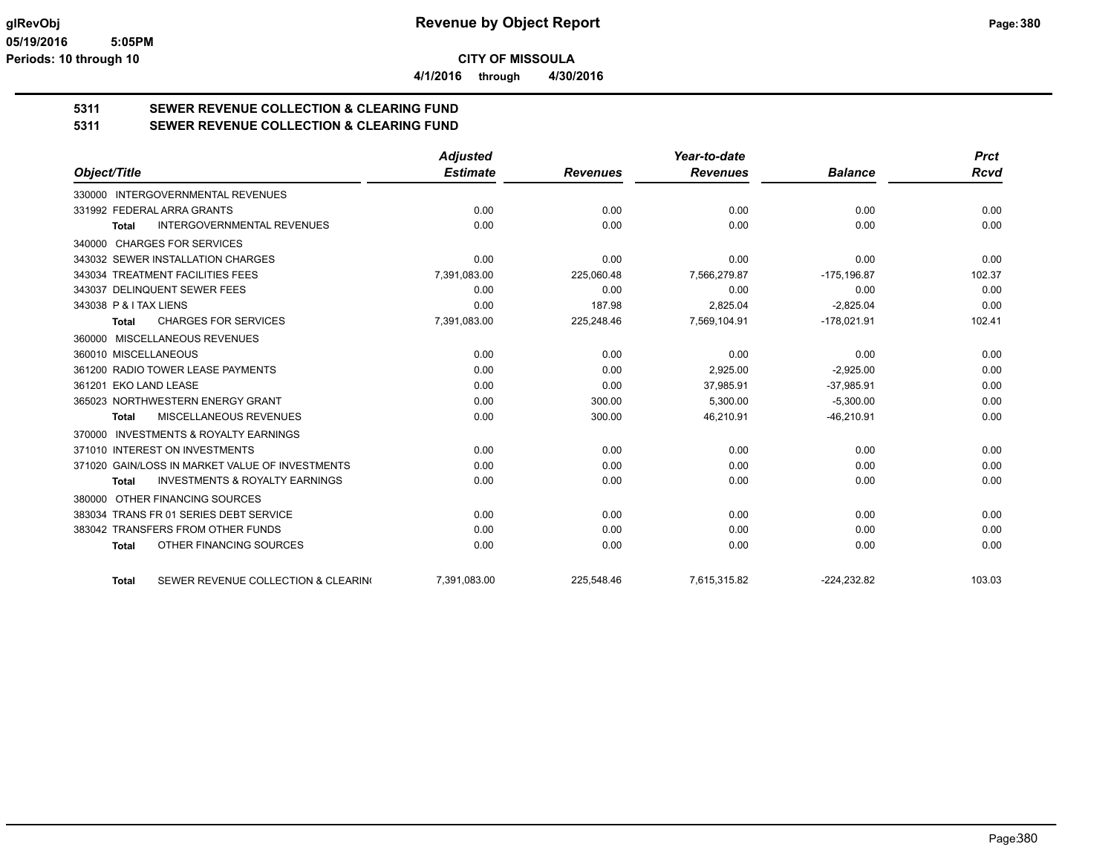**4/1/2016 through 4/30/2016**

# **5311 SEWER REVENUE COLLECTION & CLEARING FUND**

**5311 SEWER REVENUE COLLECTION & CLEARING FUND**

|                                                           | <b>Adjusted</b> |                 | Year-to-date    |                | <b>Prct</b> |
|-----------------------------------------------------------|-----------------|-----------------|-----------------|----------------|-------------|
| Object/Title                                              | <b>Estimate</b> | <b>Revenues</b> | <b>Revenues</b> | <b>Balance</b> | Rcvd        |
| 330000 INTERGOVERNMENTAL REVENUES                         |                 |                 |                 |                |             |
| 331992 FEDERAL ARRA GRANTS                                | 0.00            | 0.00            | 0.00            | 0.00           | 0.00        |
| <b>INTERGOVERNMENTAL REVENUES</b><br><b>Total</b>         | 0.00            | 0.00            | 0.00            | 0.00           | 0.00        |
| <b>CHARGES FOR SERVICES</b><br>340000                     |                 |                 |                 |                |             |
| 343032 SEWER INSTALLATION CHARGES                         | 0.00            | 0.00            | 0.00            | 0.00           | 0.00        |
| 343034 TREATMENT FACILITIES FEES                          | 7,391,083.00    | 225,060.48      | 7,566,279.87    | $-175, 196.87$ | 102.37      |
| 343037 DELINQUENT SEWER FEES                              | 0.00            | 0.00            | 0.00            | 0.00           | 0.00        |
| 343038 P & I TAX LIENS                                    | 0.00            | 187.98          | 2,825.04        | $-2,825.04$    | 0.00        |
| <b>CHARGES FOR SERVICES</b><br>Total                      | 7,391,083.00    | 225,248.46      | 7,569,104.91    | $-178,021.91$  | 102.41      |
| MISCELLANEOUS REVENUES<br>360000                          |                 |                 |                 |                |             |
| 360010 MISCELLANEOUS                                      | 0.00            | 0.00            | 0.00            | 0.00           | 0.00        |
| 361200 RADIO TOWER LEASE PAYMENTS                         | 0.00            | 0.00            | 2,925.00        | $-2,925.00$    | 0.00        |
| 361201 EKO LAND LEASE                                     | 0.00            | 0.00            | 37,985.91       | $-37,985.91$   | 0.00        |
| 365023 NORTHWESTERN ENERGY GRANT                          | 0.00            | 300.00          | 5,300.00        | $-5,300.00$    | 0.00        |
| MISCELLANEOUS REVENUES<br><b>Total</b>                    | 0.00            | 300.00          | 46,210.91       | $-46,210.91$   | 0.00        |
| <b>INVESTMENTS &amp; ROYALTY EARNINGS</b><br>370000       |                 |                 |                 |                |             |
| 371010 INTEREST ON INVESTMENTS                            | 0.00            | 0.00            | 0.00            | 0.00           | 0.00        |
| 371020 GAIN/LOSS IN MARKET VALUE OF INVESTMENTS           | 0.00            | 0.00            | 0.00            | 0.00           | 0.00        |
| <b>INVESTMENTS &amp; ROYALTY EARNINGS</b><br><b>Total</b> | 0.00            | 0.00            | 0.00            | 0.00           | 0.00        |
| OTHER FINANCING SOURCES<br>380000                         |                 |                 |                 |                |             |
| 383034 TRANS FR 01 SERIES DEBT SERVICE                    | 0.00            | 0.00            | 0.00            | 0.00           | 0.00        |
| 383042 TRANSFERS FROM OTHER FUNDS                         | 0.00            | 0.00            | 0.00            | 0.00           | 0.00        |
| OTHER FINANCING SOURCES<br><b>Total</b>                   | 0.00            | 0.00            | 0.00            | 0.00           | 0.00        |
| SEWER REVENUE COLLECTION & CLEARING<br><b>Total</b>       | 7,391,083.00    | 225,548.46      | 7,615,315.82    | $-224,232.82$  | 103.03      |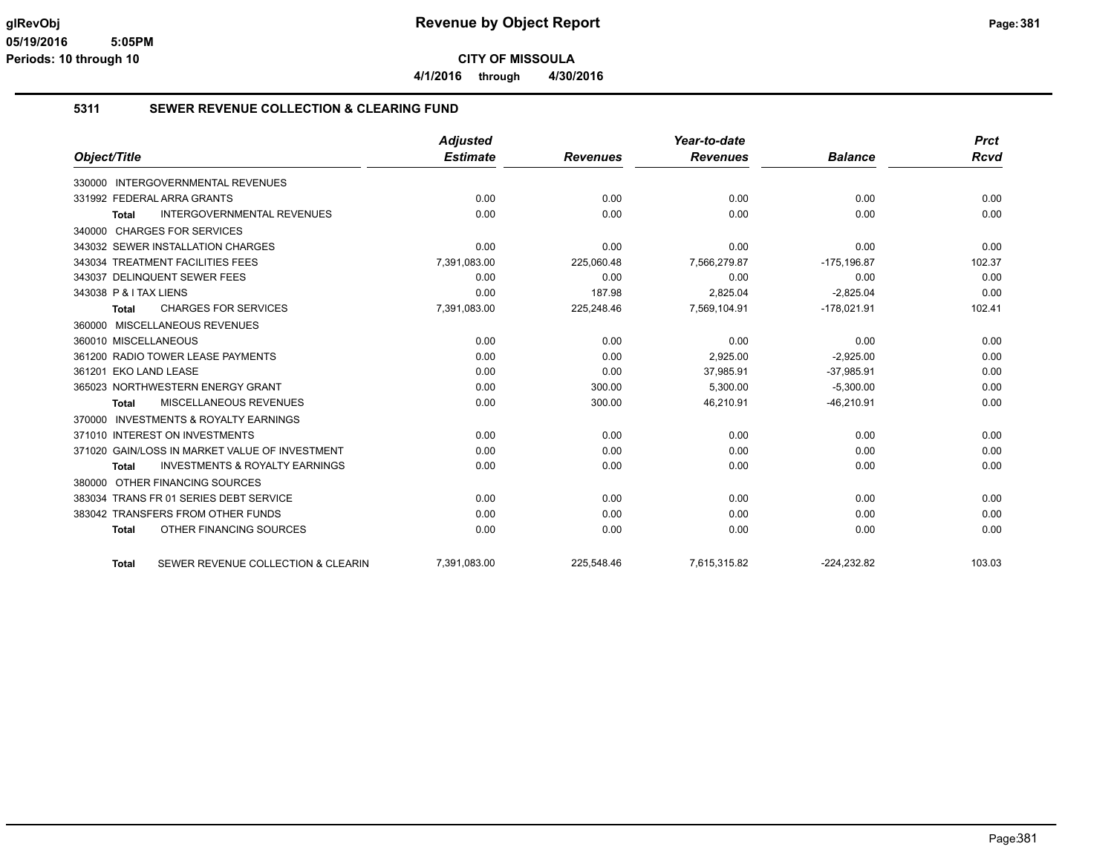**4/1/2016 through 4/30/2016**

### **5311 SEWER REVENUE COLLECTION & CLEARING FUND**

|                                                    | <b>Adjusted</b> |                 | Year-to-date    |                | <b>Prct</b> |
|----------------------------------------------------|-----------------|-----------------|-----------------|----------------|-------------|
| Object/Title                                       | <b>Estimate</b> | <b>Revenues</b> | <b>Revenues</b> | <b>Balance</b> | <b>Rcvd</b> |
| 330000 INTERGOVERNMENTAL REVENUES                  |                 |                 |                 |                |             |
| 331992 FEDERAL ARRA GRANTS                         | 0.00            | 0.00            | 0.00            | 0.00           | 0.00        |
| <b>INTERGOVERNMENTAL REVENUES</b><br><b>Total</b>  | 0.00            | 0.00            | 0.00            | 0.00           | 0.00        |
| 340000 CHARGES FOR SERVICES                        |                 |                 |                 |                |             |
| 343032 SEWER INSTALLATION CHARGES                  | 0.00            | 0.00            | 0.00            | 0.00           | 0.00        |
| 343034 TREATMENT FACILITIES FEES                   | 7,391,083.00    | 225,060.48      | 7,566,279.87    | $-175, 196.87$ | 102.37      |
| 343037 DELINQUENT SEWER FEES                       | 0.00            | 0.00            | 0.00            | 0.00           | 0.00        |
| 343038 P & I TAX LIENS                             | 0.00            | 187.98          | 2,825.04        | $-2,825.04$    | 0.00        |
| <b>CHARGES FOR SERVICES</b><br><b>Total</b>        | 7,391,083.00    | 225,248.46      | 7,569,104.91    | $-178,021.91$  | 102.41      |
| 360000 MISCELLANEOUS REVENUES                      |                 |                 |                 |                |             |
| 360010 MISCELLANEOUS                               | 0.00            | 0.00            | 0.00            | 0.00           | 0.00        |
| 361200 RADIO TOWER LEASE PAYMENTS                  | 0.00            | 0.00            | 2,925.00        | $-2,925.00$    | 0.00        |
| 361201 EKO LAND LEASE                              | 0.00            | 0.00            | 37,985.91       | $-37,985.91$   | 0.00        |
| 365023 NORTHWESTERN ENERGY GRANT                   | 0.00            | 300.00          | 5,300.00        | $-5,300.00$    | 0.00        |
| <b>MISCELLANEOUS REVENUES</b><br>Total             | 0.00            | 300.00          | 46,210.91       | $-46,210.91$   | 0.00        |
| 370000 INVESTMENTS & ROYALTY EARNINGS              |                 |                 |                 |                |             |
| 371010 INTEREST ON INVESTMENTS                     | 0.00            | 0.00            | 0.00            | 0.00           | 0.00        |
| 371020 GAIN/LOSS IN MARKET VALUE OF INVESTMENT     | 0.00            | 0.00            | 0.00            | 0.00           | 0.00        |
| <b>INVESTMENTS &amp; ROYALTY EARNINGS</b><br>Total | 0.00            | 0.00            | 0.00            | 0.00           | 0.00        |
| OTHER FINANCING SOURCES<br>380000                  |                 |                 |                 |                |             |
| 383034 TRANS FR 01 SERIES DEBT SERVICE             | 0.00            | 0.00            | 0.00            | 0.00           | 0.00        |
| 383042 TRANSFERS FROM OTHER FUNDS                  | 0.00            | 0.00            | 0.00            | 0.00           | 0.00        |
| OTHER FINANCING SOURCES<br><b>Total</b>            | 0.00            | 0.00            | 0.00            | 0.00           | 0.00        |
| SEWER REVENUE COLLECTION & CLEARIN<br><b>Total</b> | 7,391,083.00    | 225.548.46      | 7,615,315.82    | $-224,232.82$  | 103.03      |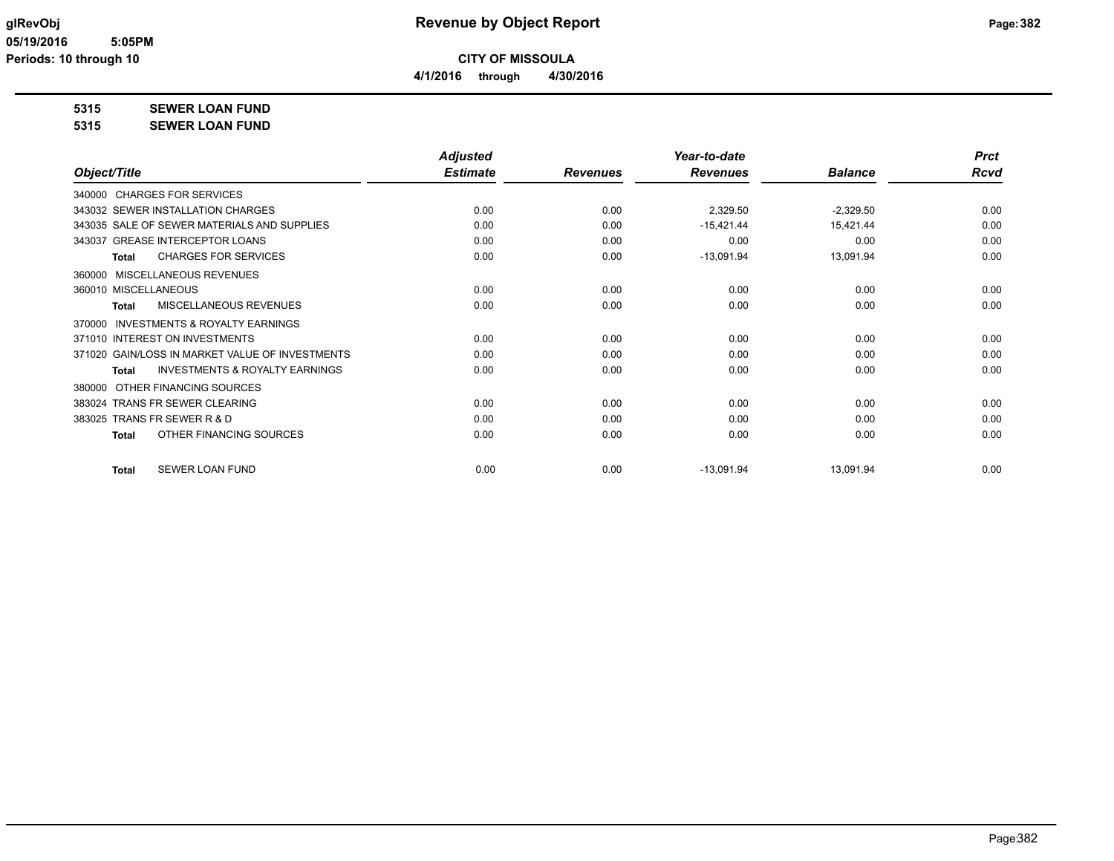**4/1/2016 through 4/30/2016**

**5315 SEWER LOAN FUND**

| 5315 | <b>SEWER LOAN FUND</b> |
|------|------------------------|
|------|------------------------|

|                                                           | <b>Adjusted</b> |                 | Year-to-date    |                | <b>Prct</b> |
|-----------------------------------------------------------|-----------------|-----------------|-----------------|----------------|-------------|
| Object/Title                                              | <b>Estimate</b> | <b>Revenues</b> | <b>Revenues</b> | <b>Balance</b> | Rcvd        |
| 340000 CHARGES FOR SERVICES                               |                 |                 |                 |                |             |
| 343032 SEWER INSTALLATION CHARGES                         | 0.00            | 0.00            | 2,329.50        | $-2,329.50$    | 0.00        |
| 343035 SALE OF SEWER MATERIALS AND SUPPLIES               | 0.00            | 0.00            | $-15,421.44$    | 15,421.44      | 0.00        |
| 343037 GREASE INTERCEPTOR LOANS                           | 0.00            | 0.00            | 0.00            | 0.00           | 0.00        |
| <b>CHARGES FOR SERVICES</b><br>Total                      | 0.00            | 0.00            | $-13,091.94$    | 13,091.94      | 0.00        |
| MISCELLANEOUS REVENUES<br>360000                          |                 |                 |                 |                |             |
| 360010 MISCELLANEOUS                                      | 0.00            | 0.00            | 0.00            | 0.00           | 0.00        |
| MISCELLANEOUS REVENUES<br>Total                           | 0.00            | 0.00            | 0.00            | 0.00           | 0.00        |
| INVESTMENTS & ROYALTY EARNINGS<br>370000                  |                 |                 |                 |                |             |
| 371010 INTEREST ON INVESTMENTS                            | 0.00            | 0.00            | 0.00            | 0.00           | 0.00        |
| 371020 GAIN/LOSS IN MARKET VALUE OF INVESTMENTS           | 0.00            | 0.00            | 0.00            | 0.00           | 0.00        |
| <b>INVESTMENTS &amp; ROYALTY EARNINGS</b><br><b>Total</b> | 0.00            | 0.00            | 0.00            | 0.00           | 0.00        |
| OTHER FINANCING SOURCES<br>380000                         |                 |                 |                 |                |             |
| 383024 TRANS FR SEWER CLEARING                            | 0.00            | 0.00            | 0.00            | 0.00           | 0.00        |
| 383025 TRANS FR SEWER R & D                               | 0.00            | 0.00            | 0.00            | 0.00           | 0.00        |
| OTHER FINANCING SOURCES<br><b>Total</b>                   | 0.00            | 0.00            | 0.00            | 0.00           | 0.00        |
| <b>SEWER LOAN FUND</b><br><b>Total</b>                    | 0.00            | 0.00            | $-13,091.94$    | 13,091.94      | 0.00        |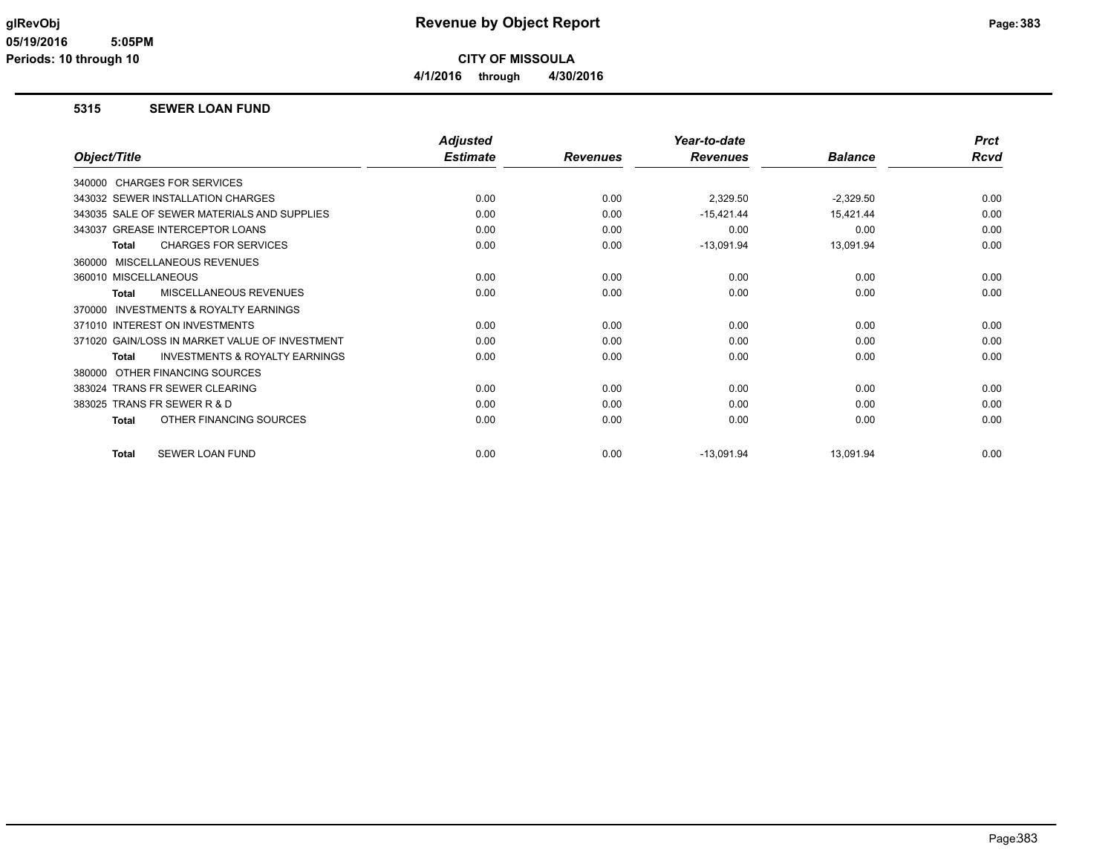## **glRevObj Revenue by Object Report Page:383**

**CITY OF MISSOULA**

**4/1/2016 through 4/30/2016**

### **5315 SEWER LOAN FUND**

|                                                     | <b>Adjusted</b> |                 | Year-to-date    |                | <b>Prct</b> |
|-----------------------------------------------------|-----------------|-----------------|-----------------|----------------|-------------|
| Object/Title                                        | <b>Estimate</b> | <b>Revenues</b> | <b>Revenues</b> | <b>Balance</b> | <b>Rcvd</b> |
| 340000 CHARGES FOR SERVICES                         |                 |                 |                 |                |             |
| 343032 SEWER INSTALLATION CHARGES                   | 0.00            | 0.00            | 2,329.50        | $-2,329.50$    | 0.00        |
| 343035 SALE OF SEWER MATERIALS AND SUPPLIES         | 0.00            | 0.00            | $-15,421.44$    | 15,421.44      | 0.00        |
| 343037 GREASE INTERCEPTOR LOANS                     | 0.00            | 0.00            | 0.00            | 0.00           | 0.00        |
| <b>CHARGES FOR SERVICES</b><br>Total                | 0.00            | 0.00            | $-13,091.94$    | 13,091.94      | 0.00        |
| 360000 MISCELLANEOUS REVENUES                       |                 |                 |                 |                |             |
| 360010 MISCELLANEOUS                                | 0.00            | 0.00            | 0.00            | 0.00           | 0.00        |
| <b>MISCELLANEOUS REVENUES</b><br><b>Total</b>       | 0.00            | 0.00            | 0.00            | 0.00           | 0.00        |
| <b>INVESTMENTS &amp; ROYALTY EARNINGS</b><br>370000 |                 |                 |                 |                |             |
| 371010 INTEREST ON INVESTMENTS                      | 0.00            | 0.00            | 0.00            | 0.00           | 0.00        |
| 371020 GAIN/LOSS IN MARKET VALUE OF INVESTMENT      | 0.00            | 0.00            | 0.00            | 0.00           | 0.00        |
| <b>INVESTMENTS &amp; ROYALTY EARNINGS</b><br>Total  | 0.00            | 0.00            | 0.00            | 0.00           | 0.00        |
| OTHER FINANCING SOURCES<br>380000                   |                 |                 |                 |                |             |
| 383024 TRANS FR SEWER CLEARING                      | 0.00            | 0.00            | 0.00            | 0.00           | 0.00        |
| TRANS FR SEWER R & D<br>383025                      | 0.00            | 0.00            | 0.00            | 0.00           | 0.00        |
| OTHER FINANCING SOURCES<br>Total                    | 0.00            | 0.00            | 0.00            | 0.00           | 0.00        |
| SEWER LOAN FUND<br>Total                            | 0.00            | 0.00            | $-13,091.94$    | 13,091.94      | 0.00        |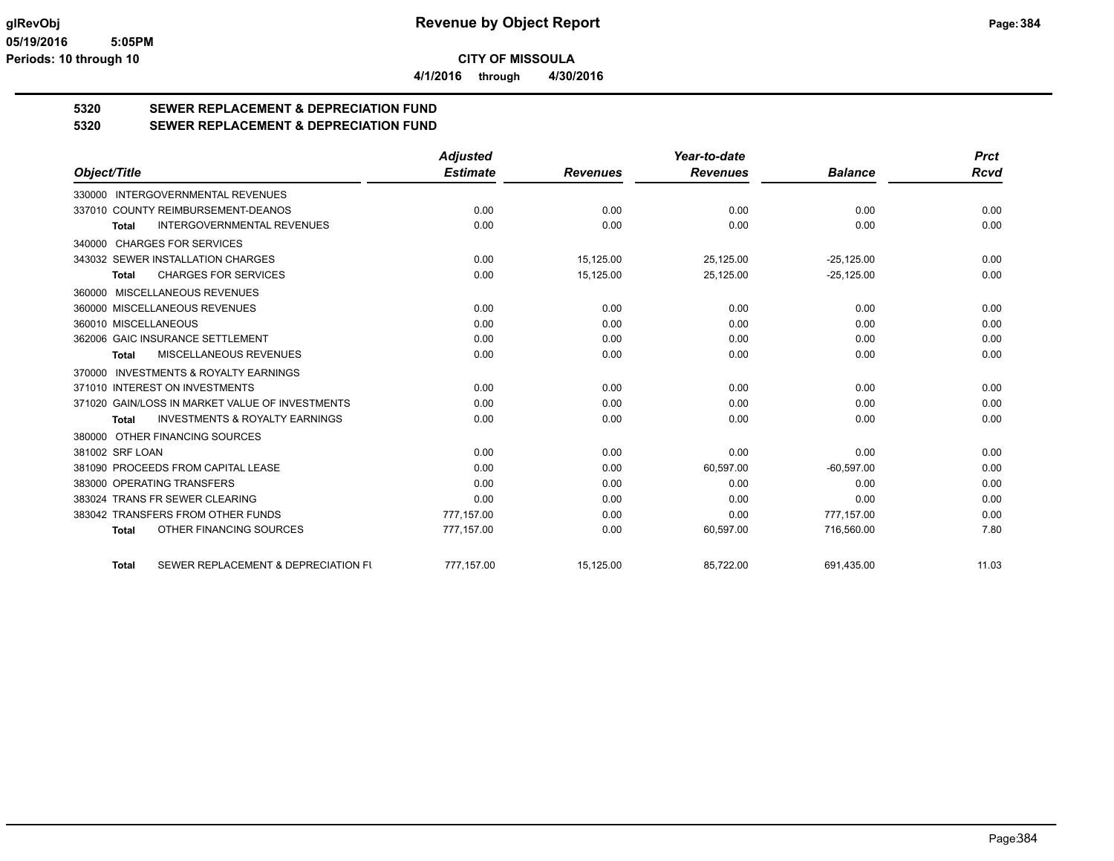**4/1/2016 through 4/30/2016**

# **5320 SEWER REPLACEMENT & DEPRECIATION FUND**

**5320 SEWER REPLACEMENT & DEPRECIATION FUND**

|                                                           | <b>Adjusted</b> |                 | Year-to-date    |                | <b>Prct</b> |
|-----------------------------------------------------------|-----------------|-----------------|-----------------|----------------|-------------|
| Object/Title                                              | <b>Estimate</b> | <b>Revenues</b> | <b>Revenues</b> | <b>Balance</b> | <b>Rcvd</b> |
| 330000 INTERGOVERNMENTAL REVENUES                         |                 |                 |                 |                |             |
| 337010 COUNTY REIMBURSEMENT-DEANOS                        | 0.00            | 0.00            | 0.00            | 0.00           | 0.00        |
| <b>INTERGOVERNMENTAL REVENUES</b><br><b>Total</b>         | 0.00            | 0.00            | 0.00            | 0.00           | 0.00        |
| 340000 CHARGES FOR SERVICES                               |                 |                 |                 |                |             |
| 343032 SEWER INSTALLATION CHARGES                         | 0.00            | 15,125.00       | 25,125.00       | $-25,125.00$   | 0.00        |
| <b>CHARGES FOR SERVICES</b><br><b>Total</b>               | 0.00            | 15,125.00       | 25,125.00       | $-25,125.00$   | 0.00        |
| 360000 MISCELLANEOUS REVENUES                             |                 |                 |                 |                |             |
| 360000 MISCELLANEOUS REVENUES                             | 0.00            | 0.00            | 0.00            | 0.00           | 0.00        |
| 360010 MISCELLANEOUS                                      | 0.00            | 0.00            | 0.00            | 0.00           | 0.00        |
| 362006 GAIC INSURANCE SETTLEMENT                          | 0.00            | 0.00            | 0.00            | 0.00           | 0.00        |
| <b>MISCELLANEOUS REVENUES</b><br>Total                    | 0.00            | 0.00            | 0.00            | 0.00           | 0.00        |
| 370000 INVESTMENTS & ROYALTY EARNINGS                     |                 |                 |                 |                |             |
| 371010 INTEREST ON INVESTMENTS                            | 0.00            | 0.00            | 0.00            | 0.00           | 0.00        |
| 371020 GAIN/LOSS IN MARKET VALUE OF INVESTMENTS           | 0.00            | 0.00            | 0.00            | 0.00           | 0.00        |
| <b>INVESTMENTS &amp; ROYALTY EARNINGS</b><br><b>Total</b> | 0.00            | 0.00            | 0.00            | 0.00           | 0.00        |
| 380000 OTHER FINANCING SOURCES                            |                 |                 |                 |                |             |
| 381002 SRF LOAN                                           | 0.00            | 0.00            | 0.00            | 0.00           | 0.00        |
| 381090 PROCEEDS FROM CAPITAL LEASE                        | 0.00            | 0.00            | 60,597.00       | $-60,597.00$   | 0.00        |
| 383000 OPERATING TRANSFERS                                | 0.00            | 0.00            | 0.00            | 0.00           | 0.00        |
| 383024 TRANS FR SEWER CLEARING                            | 0.00            | 0.00            | 0.00            | 0.00           | 0.00        |
| 383042 TRANSFERS FROM OTHER FUNDS                         | 777,157.00      | 0.00            | 0.00            | 777.157.00     | 0.00        |
| OTHER FINANCING SOURCES<br><b>Total</b>                   | 777,157.00      | 0.00            | 60,597.00       | 716,560.00     | 7.80        |
| SEWER REPLACEMENT & DEPRECIATION FU<br><b>Total</b>       | 777.157.00      | 15,125.00       | 85,722.00       | 691.435.00     | 11.03       |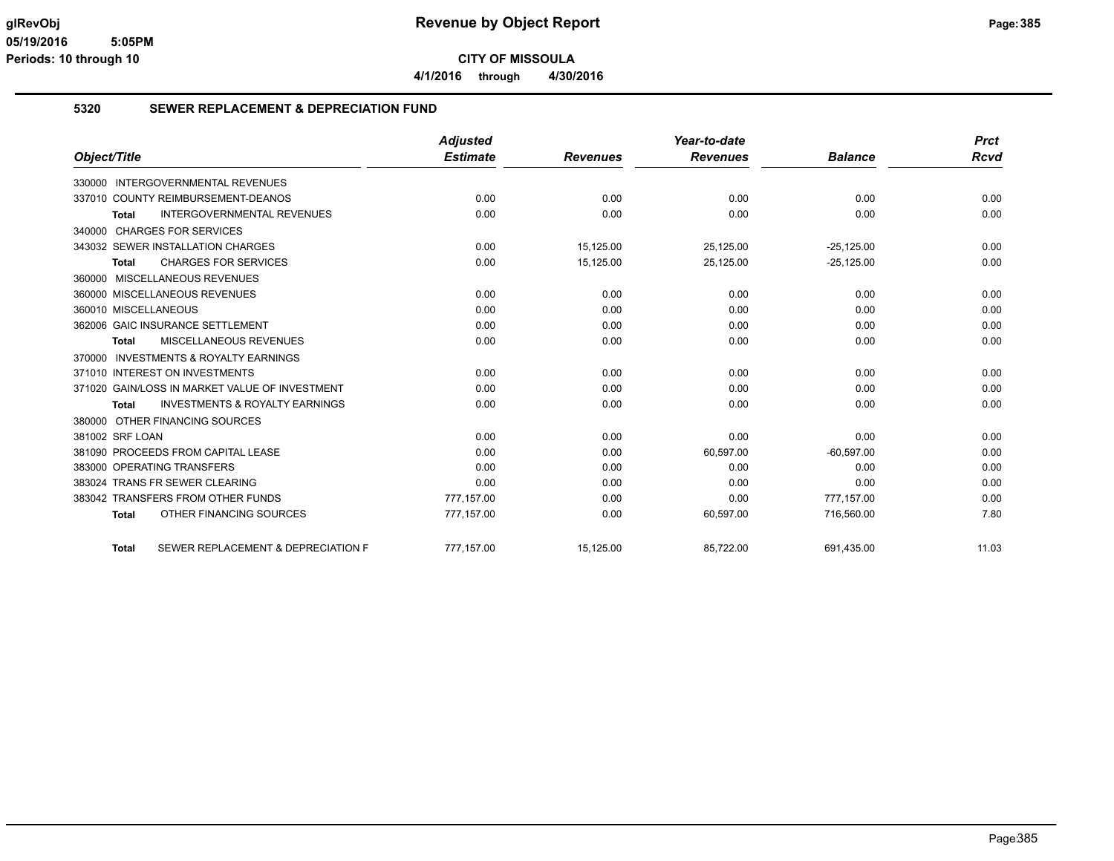**4/1/2016 through 4/30/2016**

### **5320 SEWER REPLACEMENT & DEPRECIATION FUND**

|                                                           | <b>Adjusted</b> |                 | Year-to-date    |                | <b>Prct</b> |
|-----------------------------------------------------------|-----------------|-----------------|-----------------|----------------|-------------|
| Object/Title                                              | <b>Estimate</b> | <b>Revenues</b> | <b>Revenues</b> | <b>Balance</b> | Rcvd        |
| 330000 INTERGOVERNMENTAL REVENUES                         |                 |                 |                 |                |             |
| 337010 COUNTY REIMBURSEMENT-DEANOS                        | 0.00            | 0.00            | 0.00            | 0.00           | 0.00        |
| <b>INTERGOVERNMENTAL REVENUES</b><br><b>Total</b>         | 0.00            | 0.00            | 0.00            | 0.00           | 0.00        |
| 340000 CHARGES FOR SERVICES                               |                 |                 |                 |                |             |
| 343032 SEWER INSTALLATION CHARGES                         | 0.00            | 15,125.00       | 25,125.00       | $-25,125.00$   | 0.00        |
| <b>CHARGES FOR SERVICES</b><br>Total                      | 0.00            | 15,125.00       | 25,125.00       | $-25,125.00$   | 0.00        |
| MISCELLANEOUS REVENUES<br>360000                          |                 |                 |                 |                |             |
| 360000 MISCELLANEOUS REVENUES                             | 0.00            | 0.00            | 0.00            | 0.00           | 0.00        |
| 360010 MISCELLANEOUS                                      | 0.00            | 0.00            | 0.00            | 0.00           | 0.00        |
| 362006 GAIC INSURANCE SETTLEMENT                          | 0.00            | 0.00            | 0.00            | 0.00           | 0.00        |
| <b>MISCELLANEOUS REVENUES</b><br><b>Total</b>             | 0.00            | 0.00            | 0.00            | 0.00           | 0.00        |
| <b>INVESTMENTS &amp; ROYALTY EARNINGS</b><br>370000       |                 |                 |                 |                |             |
| 371010 INTEREST ON INVESTMENTS                            | 0.00            | 0.00            | 0.00            | 0.00           | 0.00        |
| 371020 GAIN/LOSS IN MARKET VALUE OF INVESTMENT            | 0.00            | 0.00            | 0.00            | 0.00           | 0.00        |
| <b>INVESTMENTS &amp; ROYALTY EARNINGS</b><br><b>Total</b> | 0.00            | 0.00            | 0.00            | 0.00           | 0.00        |
| 380000 OTHER FINANCING SOURCES                            |                 |                 |                 |                |             |
| 381002 SRF LOAN                                           | 0.00            | 0.00            | 0.00            | 0.00           | 0.00        |
| 381090 PROCEEDS FROM CAPITAL LEASE                        | 0.00            | 0.00            | 60,597.00       | $-60,597.00$   | 0.00        |
| 383000 OPERATING TRANSFERS                                | 0.00            | 0.00            | 0.00            | 0.00           | 0.00        |
| 383024 TRANS FR SEWER CLEARING                            | 0.00            | 0.00            | 0.00            | 0.00           | 0.00        |
| 383042 TRANSFERS FROM OTHER FUNDS                         | 777,157.00      | 0.00            | 0.00            | 777,157.00     | 0.00        |
| OTHER FINANCING SOURCES<br><b>Total</b>                   | 777,157.00      | 0.00            | 60,597.00       | 716,560.00     | 7.80        |
| SEWER REPLACEMENT & DEPRECIATION F<br><b>Total</b>        | 777.157.00      | 15.125.00       | 85.722.00       | 691.435.00     | 11.03       |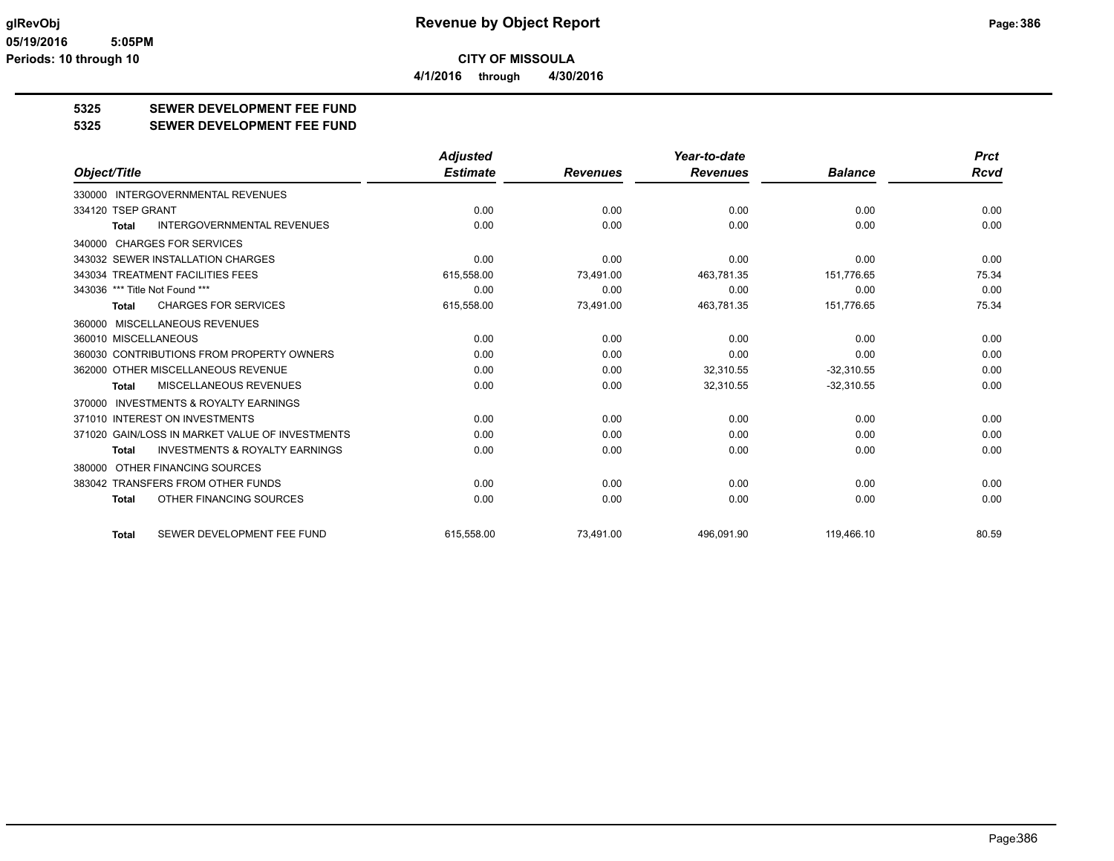**CITY OF MISSOULA 4/1/2016 through 4/30/2016**

**5325 SEWER DEVELOPMENT FEE FUND**

### **5325 SEWER DEVELOPMENT FEE FUND**

|                                                           | <b>Adjusted</b> |                 | Year-to-date    |                | <b>Prct</b> |
|-----------------------------------------------------------|-----------------|-----------------|-----------------|----------------|-------------|
| Object/Title                                              | <b>Estimate</b> | <b>Revenues</b> | <b>Revenues</b> | <b>Balance</b> | <b>Rcvd</b> |
| 330000 INTERGOVERNMENTAL REVENUES                         |                 |                 |                 |                |             |
| 334120 TSEP GRANT                                         | 0.00            | 0.00            | 0.00            | 0.00           | 0.00        |
| <b>INTERGOVERNMENTAL REVENUES</b><br><b>Total</b>         | 0.00            | 0.00            | 0.00            | 0.00           | 0.00        |
| 340000 CHARGES FOR SERVICES                               |                 |                 |                 |                |             |
| 343032 SEWER INSTALLATION CHARGES                         | 0.00            | 0.00            | 0.00            | 0.00           | 0.00        |
| 343034 TREATMENT FACILITIES FEES                          | 615,558.00      | 73,491.00       | 463,781.35      | 151,776.65     | 75.34       |
| 343036 *** Title Not Found ***                            | 0.00            | 0.00            | 0.00            | 0.00           | 0.00        |
| <b>CHARGES FOR SERVICES</b><br>Total                      | 615,558.00      | 73,491.00       | 463,781.35      | 151,776.65     | 75.34       |
| 360000 MISCELLANEOUS REVENUES                             |                 |                 |                 |                |             |
| 360010 MISCELLANEOUS                                      | 0.00            | 0.00            | 0.00            | 0.00           | 0.00        |
| 360030 CONTRIBUTIONS FROM PROPERTY OWNERS                 | 0.00            | 0.00            | 0.00            | 0.00           | 0.00        |
| 362000 OTHER MISCELLANEOUS REVENUE                        | 0.00            | 0.00            | 32,310.55       | $-32,310.55$   | 0.00        |
| MISCELLANEOUS REVENUES<br><b>Total</b>                    | 0.00            | 0.00            | 32,310.55       | $-32,310.55$   | 0.00        |
| <b>INVESTMENTS &amp; ROYALTY EARNINGS</b><br>370000       |                 |                 |                 |                |             |
| 371010 INTEREST ON INVESTMENTS                            | 0.00            | 0.00            | 0.00            | 0.00           | 0.00        |
| 371020 GAIN/LOSS IN MARKET VALUE OF INVESTMENTS           | 0.00            | 0.00            | 0.00            | 0.00           | 0.00        |
| <b>INVESTMENTS &amp; ROYALTY EARNINGS</b><br><b>Total</b> | 0.00            | 0.00            | 0.00            | 0.00           | 0.00        |
| 380000 OTHER FINANCING SOURCES                            |                 |                 |                 |                |             |
| 383042 TRANSFERS FROM OTHER FUNDS                         | 0.00            | 0.00            | 0.00            | 0.00           | 0.00        |
| OTHER FINANCING SOURCES<br><b>Total</b>                   | 0.00            | 0.00            | 0.00            | 0.00           | 0.00        |
| SEWER DEVELOPMENT FEE FUND<br><b>Total</b>                | 615.558.00      | 73.491.00       | 496.091.90      | 119,466.10     | 80.59       |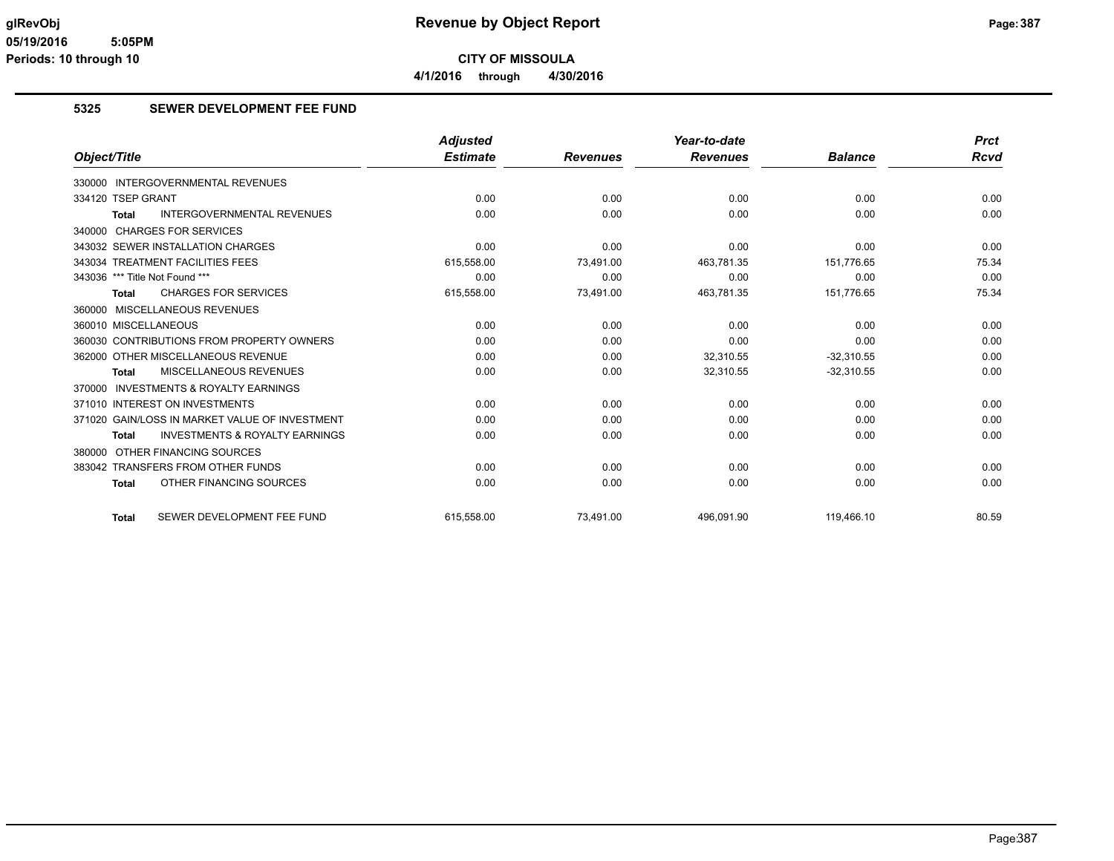**CITY OF MISSOULA 4/1/2016 through 4/30/2016**

### **5325 SEWER DEVELOPMENT FEE FUND**

|                                                           | <b>Adjusted</b> |                 | Year-to-date    |                | <b>Prct</b> |
|-----------------------------------------------------------|-----------------|-----------------|-----------------|----------------|-------------|
| Object/Title                                              | <b>Estimate</b> | <b>Revenues</b> | <b>Revenues</b> | <b>Balance</b> | Rcvd        |
| 330000 INTERGOVERNMENTAL REVENUES                         |                 |                 |                 |                |             |
| 334120 TSEP GRANT                                         | 0.00            | 0.00            | 0.00            | 0.00           | 0.00        |
| <b>INTERGOVERNMENTAL REVENUES</b><br>Total                | 0.00            | 0.00            | 0.00            | 0.00           | 0.00        |
| 340000 CHARGES FOR SERVICES                               |                 |                 |                 |                |             |
| 343032 SEWER INSTALLATION CHARGES                         | 0.00            | 0.00            | 0.00            | 0.00           | 0.00        |
| 343034 TREATMENT FACILITIES FEES                          | 615,558.00      | 73,491.00       | 463,781.35      | 151,776.65     | 75.34       |
| 343036 *** Title Not Found ***                            | 0.00            | 0.00            | 0.00            | 0.00           | 0.00        |
| <b>CHARGES FOR SERVICES</b><br><b>Total</b>               | 615,558.00      | 73,491.00       | 463,781.35      | 151,776.65     | 75.34       |
| 360000 MISCELLANEOUS REVENUES                             |                 |                 |                 |                |             |
| 360010 MISCELLANEOUS                                      | 0.00            | 0.00            | 0.00            | 0.00           | 0.00        |
| 360030 CONTRIBUTIONS FROM PROPERTY OWNERS                 | 0.00            | 0.00            | 0.00            | 0.00           | 0.00        |
| 362000 OTHER MISCELLANEOUS REVENUE                        | 0.00            | 0.00            | 32,310.55       | $-32,310.55$   | 0.00        |
| MISCELLANEOUS REVENUES<br><b>Total</b>                    | 0.00            | 0.00            | 32,310.55       | $-32,310.55$   | 0.00        |
| 370000 INVESTMENTS & ROYALTY EARNINGS                     |                 |                 |                 |                |             |
| 371010 INTEREST ON INVESTMENTS                            | 0.00            | 0.00            | 0.00            | 0.00           | 0.00        |
| 371020 GAIN/LOSS IN MARKET VALUE OF INVESTMENT            | 0.00            | 0.00            | 0.00            | 0.00           | 0.00        |
| <b>INVESTMENTS &amp; ROYALTY EARNINGS</b><br><b>Total</b> | 0.00            | 0.00            | 0.00            | 0.00           | 0.00        |
| 380000 OTHER FINANCING SOURCES                            |                 |                 |                 |                |             |
| 383042 TRANSFERS FROM OTHER FUNDS                         | 0.00            | 0.00            | 0.00            | 0.00           | 0.00        |
| OTHER FINANCING SOURCES<br><b>Total</b>                   | 0.00            | 0.00            | 0.00            | 0.00           | 0.00        |
| SEWER DEVELOPMENT FEE FUND<br><b>Total</b>                | 615.558.00      | 73.491.00       | 496.091.90      | 119.466.10     | 80.59       |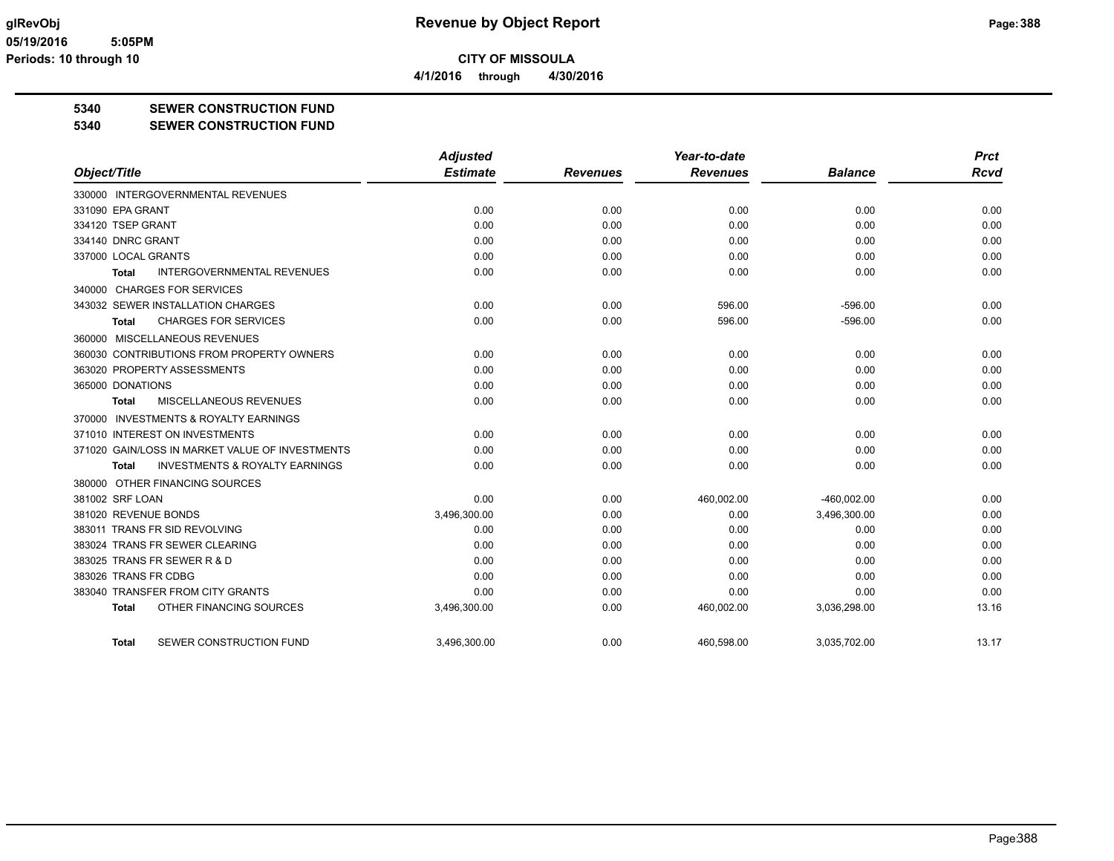**4/1/2016 through 4/30/2016**

## **5340 SEWER CONSTRUCTION FUND**

### **5340 SEWER CONSTRUCTION FUND**

|                                                    | <b>Adjusted</b> |                 | Year-to-date    |                | <b>Prct</b> |
|----------------------------------------------------|-----------------|-----------------|-----------------|----------------|-------------|
| Object/Title                                       | <b>Estimate</b> | <b>Revenues</b> | <b>Revenues</b> | <b>Balance</b> | <b>Rcvd</b> |
| 330000 INTERGOVERNMENTAL REVENUES                  |                 |                 |                 |                |             |
| 331090 EPA GRANT                                   | 0.00            | 0.00            | 0.00            | 0.00           | 0.00        |
| 334120 TSEP GRANT                                  | 0.00            | 0.00            | 0.00            | 0.00           | 0.00        |
| 334140 DNRC GRANT                                  | 0.00            | 0.00            | 0.00            | 0.00           | 0.00        |
| 337000 LOCAL GRANTS                                | 0.00            | 0.00            | 0.00            | 0.00           | 0.00        |
| <b>INTERGOVERNMENTAL REVENUES</b><br><b>Total</b>  | 0.00            | 0.00            | 0.00            | 0.00           | 0.00        |
| 340000 CHARGES FOR SERVICES                        |                 |                 |                 |                |             |
| 343032 SEWER INSTALLATION CHARGES                  | 0.00            | 0.00            | 596.00          | $-596.00$      | 0.00        |
| <b>CHARGES FOR SERVICES</b><br>Total               | 0.00            | 0.00            | 596.00          | $-596.00$      | 0.00        |
| 360000 MISCELLANEOUS REVENUES                      |                 |                 |                 |                |             |
| 360030 CONTRIBUTIONS FROM PROPERTY OWNERS          | 0.00            | 0.00            | 0.00            | 0.00           | 0.00        |
| 363020 PROPERTY ASSESSMENTS                        | 0.00            | 0.00            | 0.00            | 0.00           | 0.00        |
| 365000 DONATIONS                                   | 0.00            | 0.00            | 0.00            | 0.00           | 0.00        |
| <b>MISCELLANEOUS REVENUES</b><br>Total             | 0.00            | 0.00            | 0.00            | 0.00           | 0.00        |
| 370000 INVESTMENTS & ROYALTY EARNINGS              |                 |                 |                 |                |             |
| 371010 INTEREST ON INVESTMENTS                     | 0.00            | 0.00            | 0.00            | 0.00           | 0.00        |
| 371020 GAIN/LOSS IN MARKET VALUE OF INVESTMENTS    | 0.00            | 0.00            | 0.00            | 0.00           | 0.00        |
| <b>INVESTMENTS &amp; ROYALTY EARNINGS</b><br>Total | 0.00            | 0.00            | 0.00            | 0.00           | 0.00        |
| 380000 OTHER FINANCING SOURCES                     |                 |                 |                 |                |             |
| 381002 SRF LOAN                                    | 0.00            | 0.00            | 460,002.00      | $-460.002.00$  | 0.00        |
| 381020 REVENUE BONDS                               | 3,496,300.00    | 0.00            | 0.00            | 3,496,300.00   | 0.00        |
| 383011 TRANS FR SID REVOLVING                      | 0.00            | 0.00            | 0.00            | 0.00           | 0.00        |
| 383024 TRANS FR SEWER CLEARING                     | 0.00            | 0.00            | 0.00            | 0.00           | 0.00        |
| 383025 TRANS FR SEWER R & D                        | 0.00            | 0.00            | 0.00            | 0.00           | 0.00        |
| 383026 TRANS FR CDBG                               | 0.00            | 0.00            | 0.00            | 0.00           | 0.00        |
| 383040 TRANSFER FROM CITY GRANTS                   | 0.00            | 0.00            | 0.00            | 0.00           | 0.00        |
| OTHER FINANCING SOURCES<br><b>Total</b>            | 3,496,300.00    | 0.00            | 460,002.00      | 3,036,298.00   | 13.16       |
| SEWER CONSTRUCTION FUND<br><b>Total</b>            | 3,496,300.00    | 0.00            | 460,598.00      | 3,035,702.00   | 13.17       |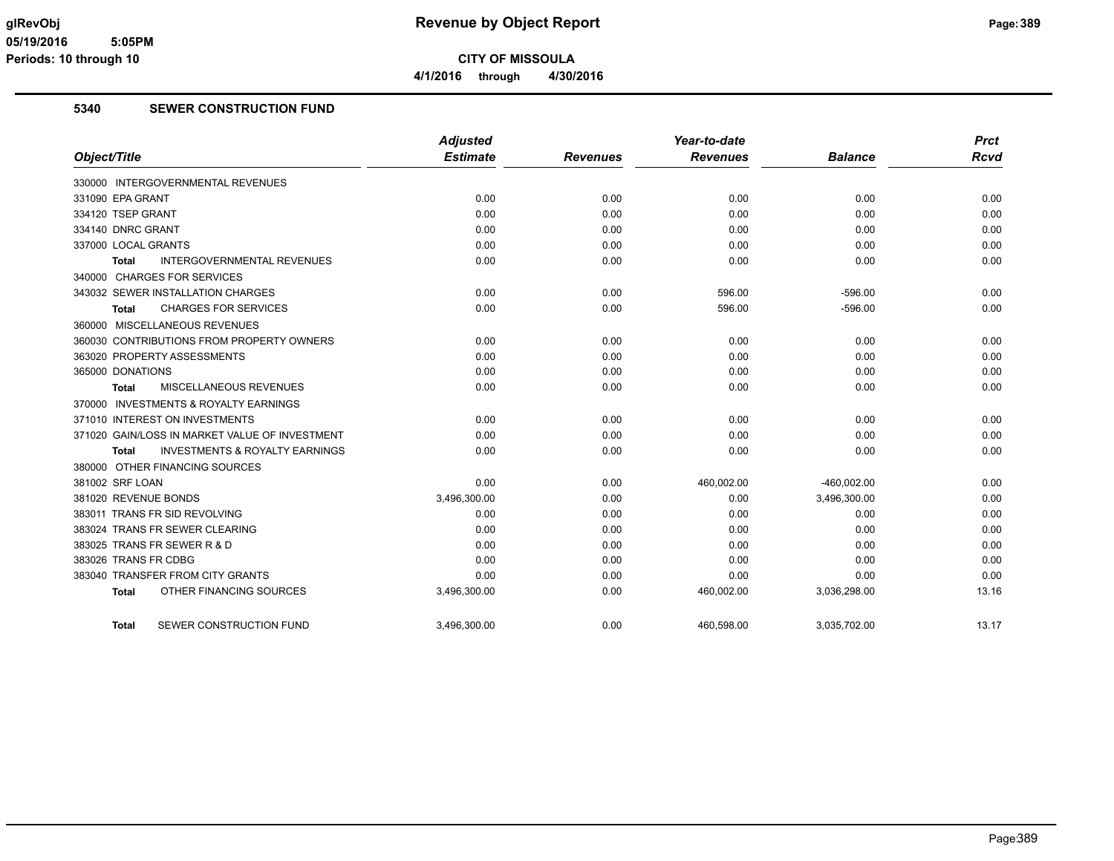**4/1/2016 through 4/30/2016**

### **5340 SEWER CONSTRUCTION FUND**

|                                                    | <b>Adjusted</b> |                 | Year-to-date    |                | <b>Prct</b> |
|----------------------------------------------------|-----------------|-----------------|-----------------|----------------|-------------|
| Object/Title                                       | <b>Estimate</b> | <b>Revenues</b> | <b>Revenues</b> | <b>Balance</b> | <b>Rcvd</b> |
| 330000 INTERGOVERNMENTAL REVENUES                  |                 |                 |                 |                |             |
| 331090 EPA GRANT                                   | 0.00            | 0.00            | 0.00            | 0.00           | 0.00        |
| 334120 TSEP GRANT                                  | 0.00            | 0.00            | 0.00            | 0.00           | 0.00        |
| 334140 DNRC GRANT                                  | 0.00            | 0.00            | 0.00            | 0.00           | 0.00        |
| 337000 LOCAL GRANTS                                | 0.00            | 0.00            | 0.00            | 0.00           | 0.00        |
| <b>INTERGOVERNMENTAL REVENUES</b><br><b>Total</b>  | 0.00            | 0.00            | 0.00            | 0.00           | 0.00        |
| 340000 CHARGES FOR SERVICES                        |                 |                 |                 |                |             |
| 343032 SEWER INSTALLATION CHARGES                  | 0.00            | 0.00            | 596.00          | $-596.00$      | 0.00        |
| <b>CHARGES FOR SERVICES</b><br><b>Total</b>        | 0.00            | 0.00            | 596.00          | $-596.00$      | 0.00        |
| 360000 MISCELLANEOUS REVENUES                      |                 |                 |                 |                |             |
| 360030 CONTRIBUTIONS FROM PROPERTY OWNERS          | 0.00            | 0.00            | 0.00            | 0.00           | 0.00        |
| 363020 PROPERTY ASSESSMENTS                        | 0.00            | 0.00            | 0.00            | 0.00           | 0.00        |
| 365000 DONATIONS                                   | 0.00            | 0.00            | 0.00            | 0.00           | 0.00        |
| MISCELLANEOUS REVENUES<br><b>Total</b>             | 0.00            | 0.00            | 0.00            | 0.00           | 0.00        |
| 370000 INVESTMENTS & ROYALTY EARNINGS              |                 |                 |                 |                |             |
| 371010 INTEREST ON INVESTMENTS                     | 0.00            | 0.00            | 0.00            | 0.00           | 0.00        |
| 371020 GAIN/LOSS IN MARKET VALUE OF INVESTMENT     | 0.00            | 0.00            | 0.00            | 0.00           | 0.00        |
| <b>INVESTMENTS &amp; ROYALTY EARNINGS</b><br>Total | 0.00            | 0.00            | 0.00            | 0.00           | 0.00        |
| 380000 OTHER FINANCING SOURCES                     |                 |                 |                 |                |             |
| 381002 SRF LOAN                                    | 0.00            | 0.00            | 460,002.00      | -460,002.00    | 0.00        |
| 381020 REVENUE BONDS                               | 3,496,300.00    | 0.00            | 0.00            | 3,496,300.00   | 0.00        |
| 383011 TRANS FR SID REVOLVING                      | 0.00            | 0.00            | 0.00            | 0.00           | 0.00        |
| 383024 TRANS FR SEWER CLEARING                     | 0.00            | 0.00            | 0.00            | 0.00           | 0.00        |
| 383025 TRANS FR SEWER R & D                        | 0.00            | 0.00            | 0.00            | 0.00           | 0.00        |
| 383026 TRANS FR CDBG                               | 0.00            | 0.00            | 0.00            | 0.00           | 0.00        |
| 383040 TRANSFER FROM CITY GRANTS                   | 0.00            | 0.00            | 0.00            | 0.00           | 0.00        |
| OTHER FINANCING SOURCES<br><b>Total</b>            | 3,496,300.00    | 0.00            | 460,002.00      | 3,036,298.00   | 13.16       |
| SEWER CONSTRUCTION FUND<br><b>Total</b>            | 3,496,300.00    | 0.00            | 460,598.00      | 3,035,702.00   | 13.17       |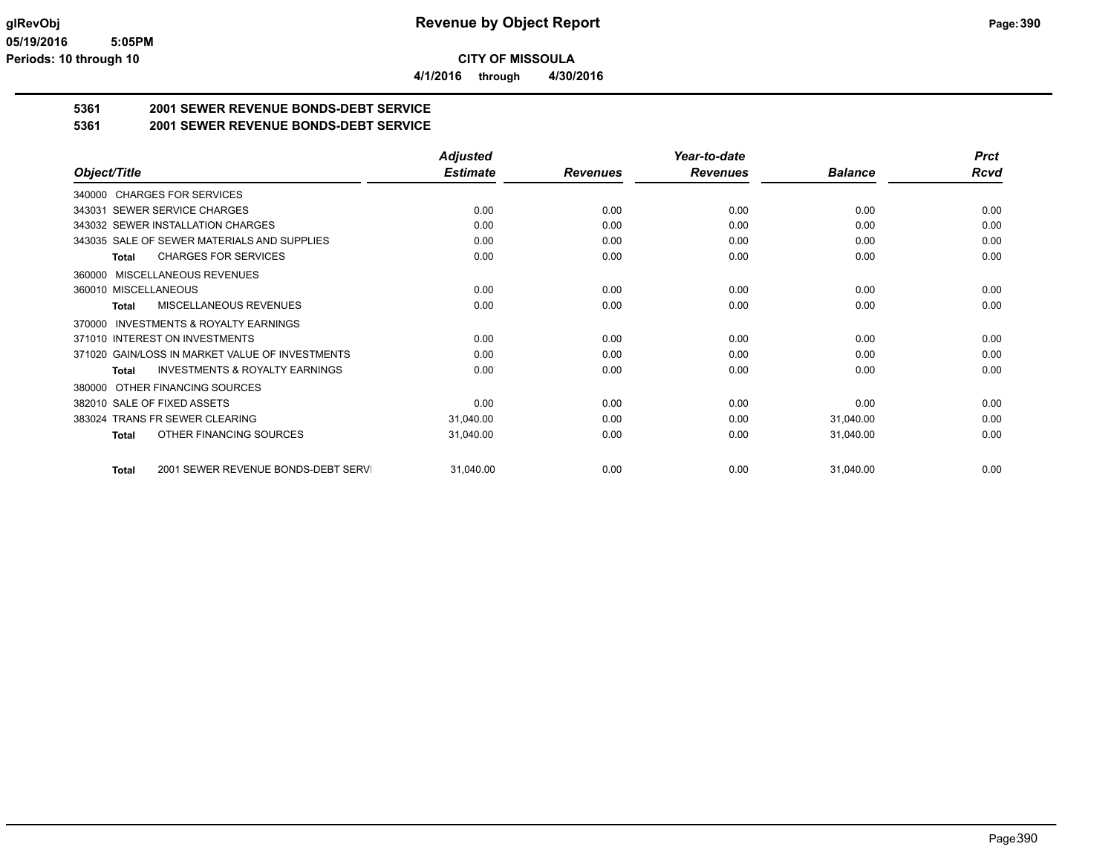**4/1/2016 through 4/30/2016**

# **5361 2001 SEWER REVENUE BONDS-DEBT SERVICE**

**5361 2001 SEWER REVENUE BONDS-DEBT SERVICE**

|                                                     | <b>Adjusted</b> |                 | Year-to-date    |                | <b>Prct</b> |
|-----------------------------------------------------|-----------------|-----------------|-----------------|----------------|-------------|
| Object/Title                                        | <b>Estimate</b> | <b>Revenues</b> | <b>Revenues</b> | <b>Balance</b> | Rcvd        |
| 340000 CHARGES FOR SERVICES                         |                 |                 |                 |                |             |
| SEWER SERVICE CHARGES<br>343031                     | 0.00            | 0.00            | 0.00            | 0.00           | 0.00        |
| 343032 SEWER INSTALLATION CHARGES                   | 0.00            | 0.00            | 0.00            | 0.00           | 0.00        |
| 343035 SALE OF SEWER MATERIALS AND SUPPLIES         | 0.00            | 0.00            | 0.00            | 0.00           | 0.00        |
| <b>CHARGES FOR SERVICES</b><br>Total                | 0.00            | 0.00            | 0.00            | 0.00           | 0.00        |
| MISCELLANEOUS REVENUES<br>360000                    |                 |                 |                 |                |             |
| 360010 MISCELLANEOUS                                | 0.00            | 0.00            | 0.00            | 0.00           | 0.00        |
| MISCELLANEOUS REVENUES<br>Total                     | 0.00            | 0.00            | 0.00            | 0.00           | 0.00        |
| <b>INVESTMENTS &amp; ROYALTY EARNINGS</b><br>370000 |                 |                 |                 |                |             |
| 371010 INTEREST ON INVESTMENTS                      | 0.00            | 0.00            | 0.00            | 0.00           | 0.00        |
| 371020 GAIN/LOSS IN MARKET VALUE OF INVESTMENTS     | 0.00            | 0.00            | 0.00            | 0.00           | 0.00        |
| <b>INVESTMENTS &amp; ROYALTY EARNINGS</b><br>Total  | 0.00            | 0.00            | 0.00            | 0.00           | 0.00        |
| OTHER FINANCING SOURCES<br>380000                   |                 |                 |                 |                |             |
| 382010 SALE OF FIXED ASSETS                         | 0.00            | 0.00            | 0.00            | 0.00           | 0.00        |
| 383024 TRANS FR SEWER CLEARING                      | 31,040.00       | 0.00            | 0.00            | 31,040.00      | 0.00        |
| OTHER FINANCING SOURCES<br>Total                    | 31,040.00       | 0.00            | 0.00            | 31,040.00      | 0.00        |
| 2001 SEWER REVENUE BONDS-DEBT SERVI<br><b>Total</b> | 31,040.00       | 0.00            | 0.00            | 31,040.00      | 0.00        |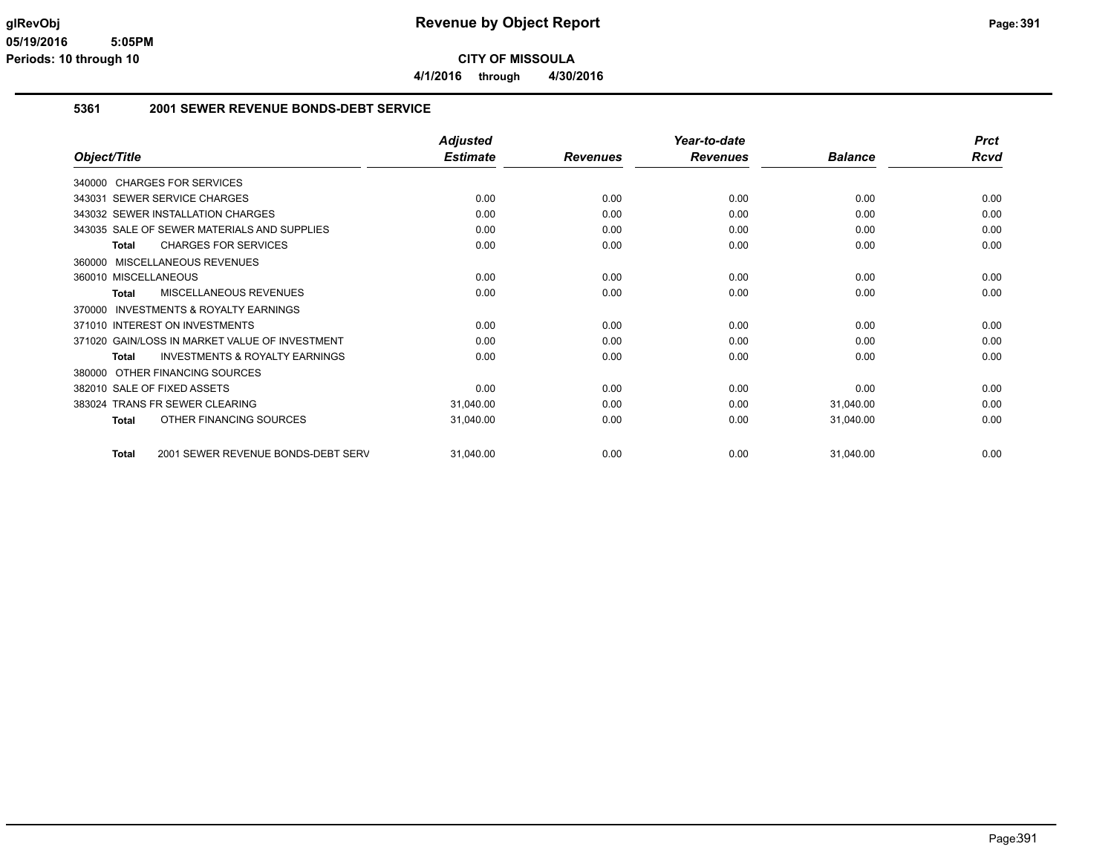**4/1/2016 through 4/30/2016**

### **5361 2001 SEWER REVENUE BONDS-DEBT SERVICE**

|                                                           | <b>Adjusted</b> |                 | Year-to-date    |                | <b>Prct</b> |
|-----------------------------------------------------------|-----------------|-----------------|-----------------|----------------|-------------|
| Object/Title                                              | <b>Estimate</b> | <b>Revenues</b> | <b>Revenues</b> | <b>Balance</b> | Rcvd        |
| 340000 CHARGES FOR SERVICES                               |                 |                 |                 |                |             |
| 343031 SEWER SERVICE CHARGES                              | 0.00            | 0.00            | 0.00            | 0.00           | 0.00        |
| 343032 SEWER INSTALLATION CHARGES                         | 0.00            | 0.00            | 0.00            | 0.00           | 0.00        |
| 343035 SALE OF SEWER MATERIALS AND SUPPLIES               | 0.00            | 0.00            | 0.00            | 0.00           | 0.00        |
| <b>CHARGES FOR SERVICES</b><br><b>Total</b>               | 0.00            | 0.00            | 0.00            | 0.00           | 0.00        |
| 360000 MISCELLANEOUS REVENUES                             |                 |                 |                 |                |             |
| 360010 MISCELLANEOUS                                      | 0.00            | 0.00            | 0.00            | 0.00           | 0.00        |
| MISCELLANEOUS REVENUES<br>Total                           | 0.00            | 0.00            | 0.00            | 0.00           | 0.00        |
| <b>INVESTMENTS &amp; ROYALTY EARNINGS</b><br>370000       |                 |                 |                 |                |             |
| 371010 INTEREST ON INVESTMENTS                            | 0.00            | 0.00            | 0.00            | 0.00           | 0.00        |
| 371020 GAIN/LOSS IN MARKET VALUE OF INVESTMENT            | 0.00            | 0.00            | 0.00            | 0.00           | 0.00        |
| <b>INVESTMENTS &amp; ROYALTY EARNINGS</b><br><b>Total</b> | 0.00            | 0.00            | 0.00            | 0.00           | 0.00        |
| 380000 OTHER FINANCING SOURCES                            |                 |                 |                 |                |             |
| 382010 SALE OF FIXED ASSETS                               | 0.00            | 0.00            | 0.00            | 0.00           | 0.00        |
| <b>TRANS FR SEWER CLEARING</b><br>383024                  | 31,040.00       | 0.00            | 0.00            | 31,040.00      | 0.00        |
| OTHER FINANCING SOURCES<br>Total                          | 31,040.00       | 0.00            | 0.00            | 31,040.00      | 0.00        |
| 2001 SEWER REVENUE BONDS-DEBT SERV<br>Total               | 31,040.00       | 0.00            | 0.00            | 31,040.00      | 0.00        |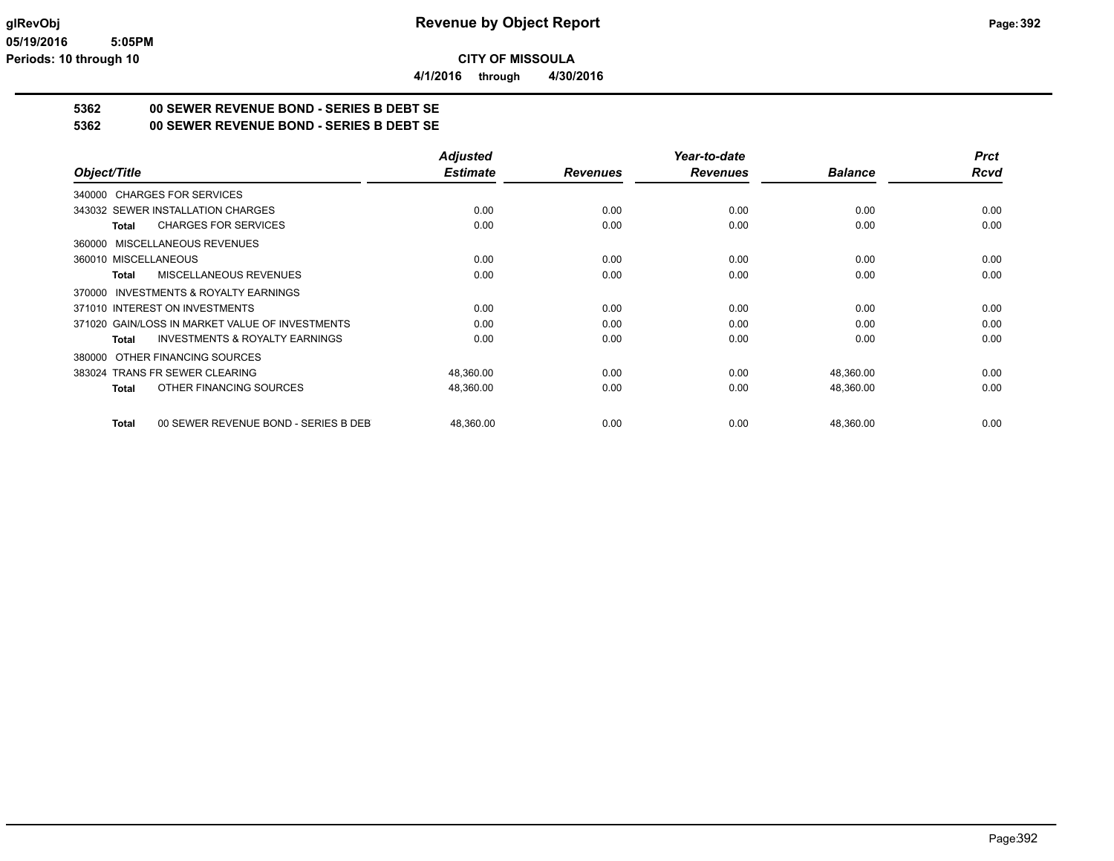**4/1/2016 through 4/30/2016**

# **5362 00 SEWER REVENUE BOND - SERIES B DEBT SE**

**5362 00 SEWER REVENUE BOND - SERIES B DEBT SE**

|                                                      | <b>Adjusted</b> |                 | Year-to-date    |                | <b>Prct</b> |
|------------------------------------------------------|-----------------|-----------------|-----------------|----------------|-------------|
| Object/Title                                         | <b>Estimate</b> | <b>Revenues</b> | <b>Revenues</b> | <b>Balance</b> | Rcvd        |
| 340000 CHARGES FOR SERVICES                          |                 |                 |                 |                |             |
| 343032 SEWER INSTALLATION CHARGES                    | 0.00            | 0.00            | 0.00            | 0.00           | 0.00        |
| <b>CHARGES FOR SERVICES</b><br><b>Total</b>          | 0.00            | 0.00            | 0.00            | 0.00           | 0.00        |
| 360000 MISCELLANEOUS REVENUES                        |                 |                 |                 |                |             |
| 360010 MISCELLANEOUS                                 | 0.00            | 0.00            | 0.00            | 0.00           | 0.00        |
| MISCELLANEOUS REVENUES<br>Total                      | 0.00            | 0.00            | 0.00            | 0.00           | 0.00        |
| 370000 INVESTMENTS & ROYALTY EARNINGS                |                 |                 |                 |                |             |
| 371010 INTEREST ON INVESTMENTS                       | 0.00            | 0.00            | 0.00            | 0.00           | 0.00        |
| 371020 GAIN/LOSS IN MARKET VALUE OF INVESTMENTS      | 0.00            | 0.00            | 0.00            | 0.00           | 0.00        |
| <b>INVESTMENTS &amp; ROYALTY EARNINGS</b><br>Total   | 0.00            | 0.00            | 0.00            | 0.00           | 0.00        |
| OTHER FINANCING SOURCES<br>380000                    |                 |                 |                 |                |             |
| 383024 TRANS FR SEWER CLEARING                       | 48,360.00       | 0.00            | 0.00            | 48,360.00      | 0.00        |
| OTHER FINANCING SOURCES<br><b>Total</b>              | 48,360.00       | 0.00            | 0.00            | 48,360.00      | 0.00        |
|                                                      |                 |                 |                 |                |             |
| 00 SEWER REVENUE BOND - SERIES B DEB<br><b>Total</b> | 48,360.00       | 0.00            | 0.00            | 48,360.00      | 0.00        |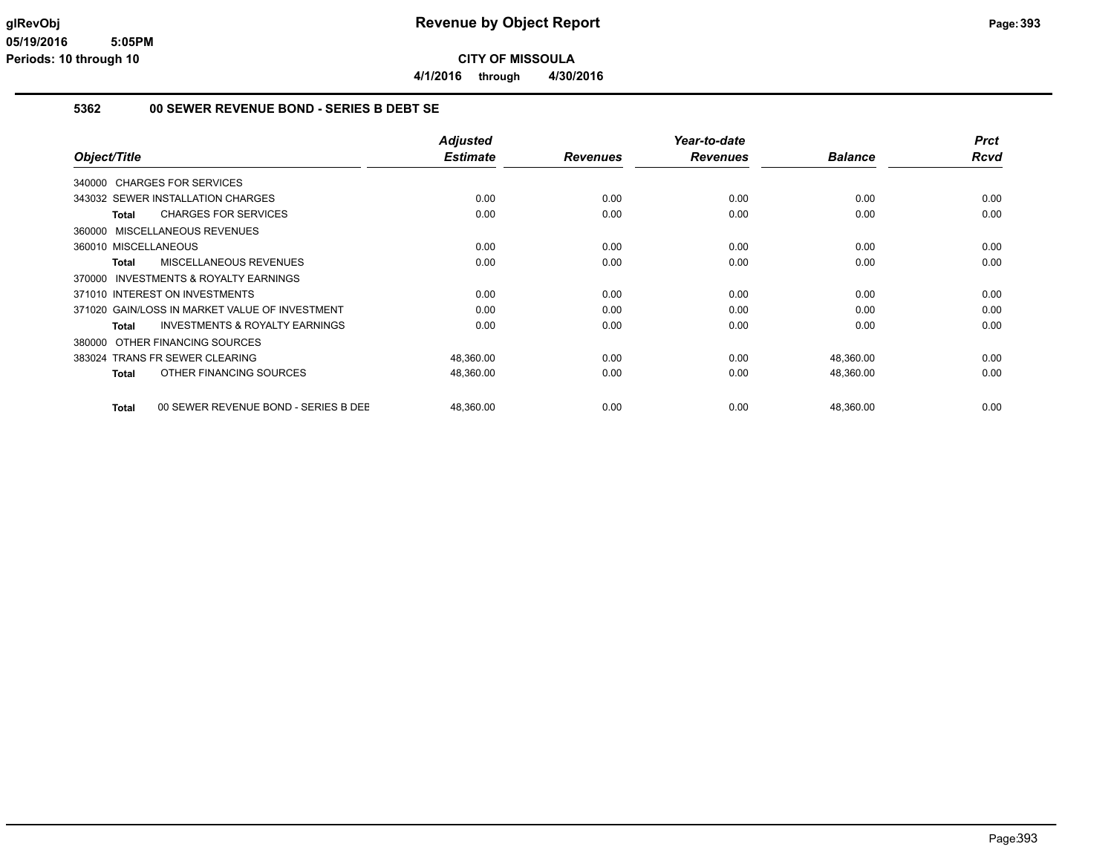**4/1/2016 through 4/30/2016**

### **5362 00 SEWER REVENUE BOND - SERIES B DEBT SE**

|                                                |                                           | <b>Adjusted</b> |                 | Year-to-date    |                | <b>Prct</b> |
|------------------------------------------------|-------------------------------------------|-----------------|-----------------|-----------------|----------------|-------------|
| Object/Title                                   |                                           | <b>Estimate</b> | <b>Revenues</b> | <b>Revenues</b> | <b>Balance</b> | <b>Rcvd</b> |
| 340000 CHARGES FOR SERVICES                    |                                           |                 |                 |                 |                |             |
| 343032 SEWER INSTALLATION CHARGES              |                                           | 0.00            | 0.00            | 0.00            | 0.00           | 0.00        |
| <b>CHARGES FOR SERVICES</b><br><b>Total</b>    |                                           | 0.00            | 0.00            | 0.00            | 0.00           | 0.00        |
| 360000 MISCELLANEOUS REVENUES                  |                                           |                 |                 |                 |                |             |
| 360010 MISCELLANEOUS                           |                                           | 0.00            | 0.00            | 0.00            | 0.00           | 0.00        |
| MISCELLANEOUS REVENUES<br>Total                |                                           | 0.00            | 0.00            | 0.00            | 0.00           | 0.00        |
| 370000 INVESTMENTS & ROYALTY EARNINGS          |                                           |                 |                 |                 |                |             |
| 371010 INTEREST ON INVESTMENTS                 |                                           | 0.00            | 0.00            | 0.00            | 0.00           | 0.00        |
| 371020 GAIN/LOSS IN MARKET VALUE OF INVESTMENT |                                           | 0.00            | 0.00            | 0.00            | 0.00           | 0.00        |
| Total                                          | <b>INVESTMENTS &amp; ROYALTY EARNINGS</b> | 0.00            | 0.00            | 0.00            | 0.00           | 0.00        |
| 380000 OTHER FINANCING SOURCES                 |                                           |                 |                 |                 |                |             |
| 383024 TRANS FR SEWER CLEARING                 |                                           | 48,360.00       | 0.00            | 0.00            | 48,360.00      | 0.00        |
| OTHER FINANCING SOURCES<br>Total               |                                           | 48,360.00       | 0.00            | 0.00            | 48,360.00      | 0.00        |
| <b>Total</b>                                   | 00 SEWER REVENUE BOND - SERIES B DEE      | 48,360.00       | 0.00            | 0.00            | 48,360.00      | 0.00        |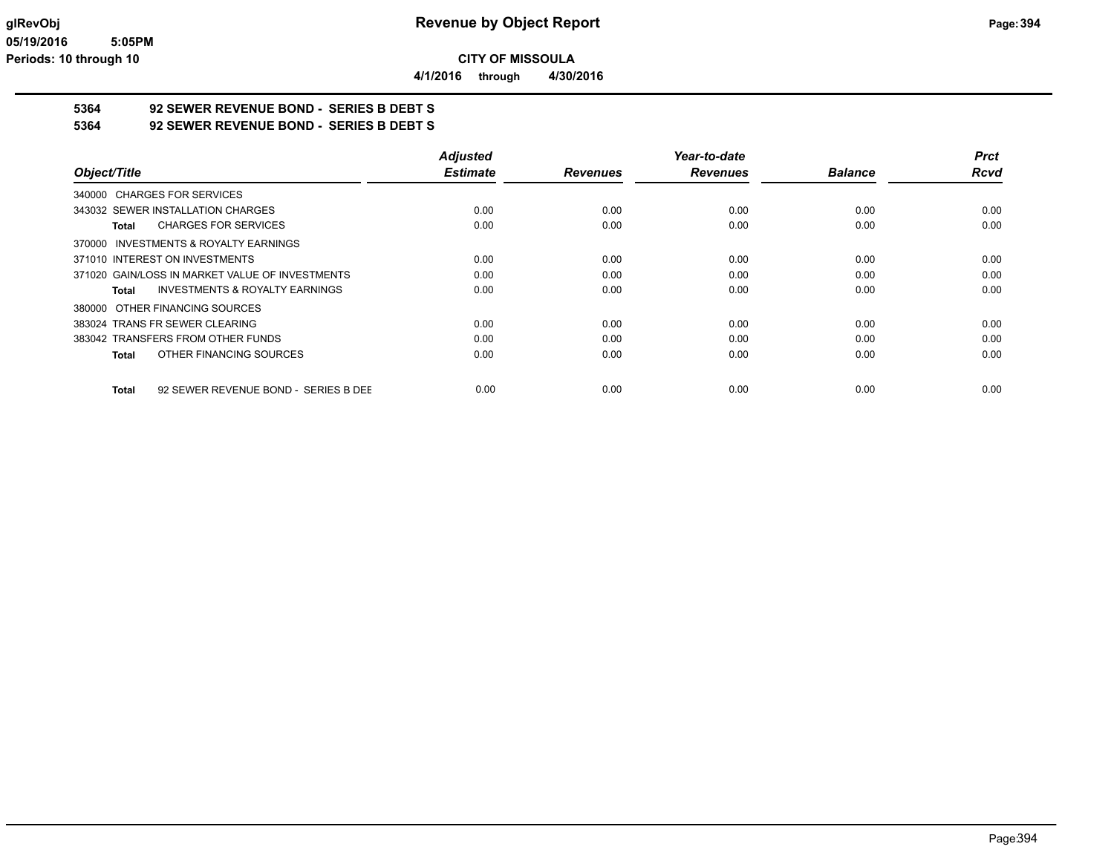**4/1/2016 through 4/30/2016**

# **5364 92 SEWER REVENUE BOND - SERIES B DEBT S**

**5364 92 SEWER REVENUE BOND - SERIES B DEBT S**

|                                                      | <b>Adjusted</b> |                 | Year-to-date    |                | <b>Prct</b> |
|------------------------------------------------------|-----------------|-----------------|-----------------|----------------|-------------|
| Object/Title                                         | <b>Estimate</b> | <b>Revenues</b> | <b>Revenues</b> | <b>Balance</b> | <b>Rcvd</b> |
| 340000 CHARGES FOR SERVICES                          |                 |                 |                 |                |             |
| 343032 SEWER INSTALLATION CHARGES                    | 0.00            | 0.00            | 0.00            | 0.00           | 0.00        |
| <b>CHARGES FOR SERVICES</b><br>Total                 | 0.00            | 0.00            | 0.00            | 0.00           | 0.00        |
| <b>INVESTMENTS &amp; ROYALTY EARNINGS</b><br>370000  |                 |                 |                 |                |             |
| 371010 INTEREST ON INVESTMENTS                       | 0.00            | 0.00            | 0.00            | 0.00           | 0.00        |
| 371020 GAIN/LOSS IN MARKET VALUE OF INVESTMENTS      | 0.00            | 0.00            | 0.00            | 0.00           | 0.00        |
| <b>INVESTMENTS &amp; ROYALTY EARNINGS</b><br>Total   | 0.00            | 0.00            | 0.00            | 0.00           | 0.00        |
| 380000 OTHER FINANCING SOURCES                       |                 |                 |                 |                |             |
| 383024 TRANS FR SEWER CLEARING                       | 0.00            | 0.00            | 0.00            | 0.00           | 0.00        |
| 383042 TRANSFERS FROM OTHER FUNDS                    | 0.00            | 0.00            | 0.00            | 0.00           | 0.00        |
| OTHER FINANCING SOURCES<br><b>Total</b>              | 0.00            | 0.00            | 0.00            | 0.00           | 0.00        |
| 92 SEWER REVENUE BOND - SERIES B DEE<br><b>Total</b> | 0.00            | 0.00            | 0.00            | 0.00           | 0.00        |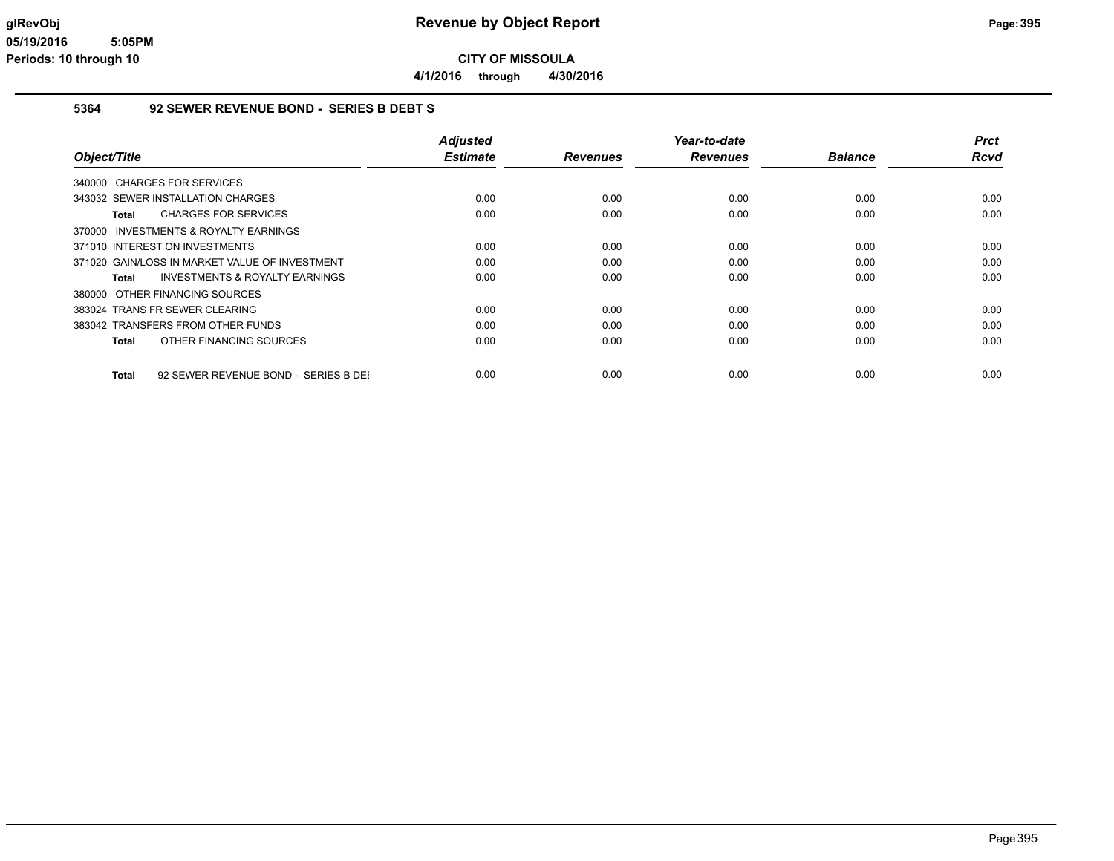**4/1/2016 through 4/30/2016**

### **5364 92 SEWER REVENUE BOND - SERIES B DEBT S**

| Object/Title                                   | <b>Adjusted</b><br><b>Estimate</b> | <b>Revenues</b> | Year-to-date<br><b>Revenues</b> | <b>Balance</b> | <b>Prct</b><br>Rcvd |
|------------------------------------------------|------------------------------------|-----------------|---------------------------------|----------------|---------------------|
| 340000 CHARGES FOR SERVICES                    |                                    |                 |                                 |                |                     |
| 343032 SEWER INSTALLATION CHARGES              | 0.00                               | 0.00            | 0.00                            | 0.00           | 0.00                |
| <b>CHARGES FOR SERVICES</b><br>Total           | 0.00                               | 0.00            | 0.00                            | 0.00           | 0.00                |
| 370000 INVESTMENTS & ROYALTY EARNINGS          |                                    |                 |                                 |                |                     |
| 371010 INTEREST ON INVESTMENTS                 | 0.00                               | 0.00            | 0.00                            | 0.00           | 0.00                |
| 371020 GAIN/LOSS IN MARKET VALUE OF INVESTMENT | 0.00                               | 0.00            | 0.00                            | 0.00           | 0.00                |
| INVESTMENTS & ROYALTY EARNINGS<br>Total        | 0.00                               | 0.00            | 0.00                            | 0.00           | 0.00                |
| 380000 OTHER FINANCING SOURCES                 |                                    |                 |                                 |                |                     |
| 383024 TRANS FR SEWER CLEARING                 | 0.00                               | 0.00            | 0.00                            | 0.00           | 0.00                |
| 383042 TRANSFERS FROM OTHER FUNDS              | 0.00                               | 0.00            | 0.00                            | 0.00           | 0.00                |
| OTHER FINANCING SOURCES<br>Total               | 0.00                               | 0.00            | 0.00                            | 0.00           | 0.00                |
| 92 SEWER REVENUE BOND - SERIES B DEI<br>Total  | 0.00                               | 0.00            | 0.00                            | 0.00           | 0.00                |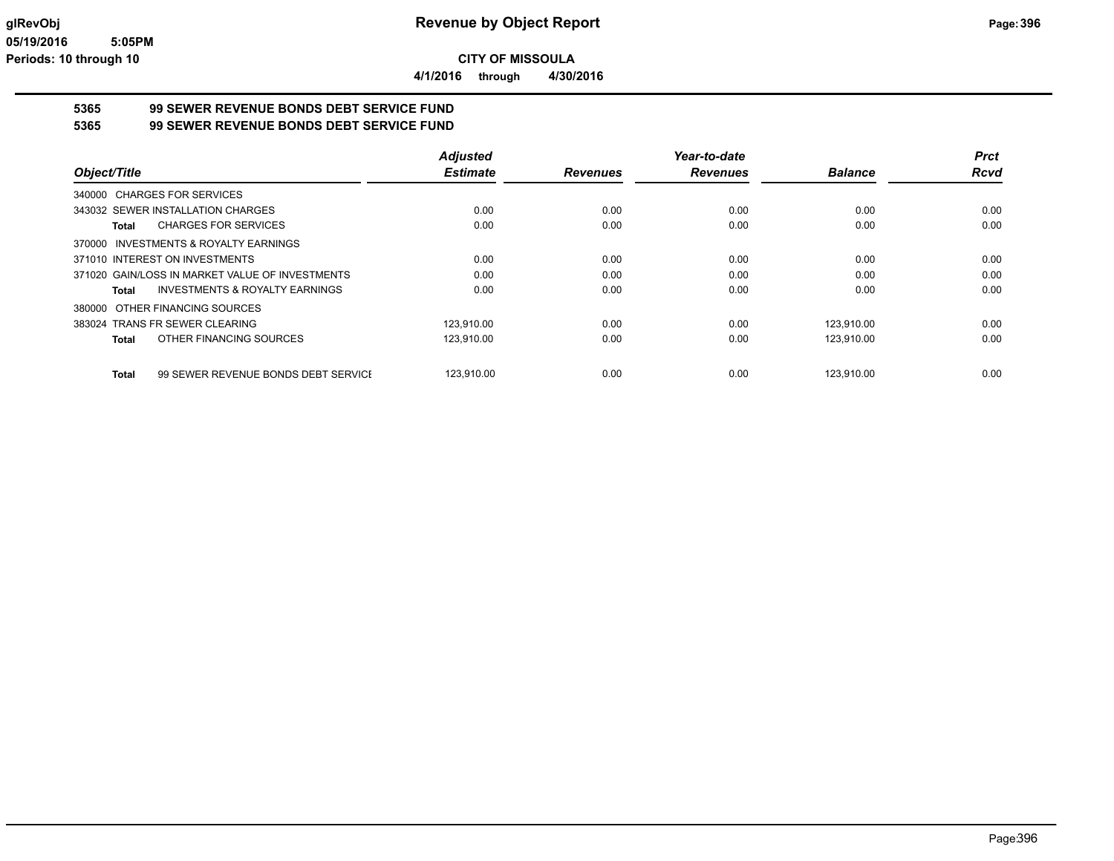**4/1/2016 through 4/30/2016**

### **5365 99 SEWER REVENUE BONDS DEBT SERVICE FUND 5365 99 SEWER REVENUE BONDS DEBT SERVICE FUND**

| Object/Title                                        | <b>Adjusted</b> |                 | Year-to-date    |                | <b>Prct</b> |
|-----------------------------------------------------|-----------------|-----------------|-----------------|----------------|-------------|
|                                                     | <b>Estimate</b> | <b>Revenues</b> | <b>Revenues</b> | <b>Balance</b> | <b>Rcvd</b> |
| 340000 CHARGES FOR SERVICES                         |                 |                 |                 |                |             |
| 343032 SEWER INSTALLATION CHARGES                   | 0.00            | 0.00            | 0.00            | 0.00           | 0.00        |
| <b>CHARGES FOR SERVICES</b><br>Total                | 0.00            | 0.00            | 0.00            | 0.00           | 0.00        |
| <b>INVESTMENTS &amp; ROYALTY EARNINGS</b><br>370000 |                 |                 |                 |                |             |
| 371010 INTEREST ON INVESTMENTS                      | 0.00            | 0.00            | 0.00            | 0.00           | 0.00        |
| 371020 GAIN/LOSS IN MARKET VALUE OF INVESTMENTS     | 0.00            | 0.00            | 0.00            | 0.00           | 0.00        |
| INVESTMENTS & ROYALTY EARNINGS<br>Total             | 0.00            | 0.00            | 0.00            | 0.00           | 0.00        |
| 380000 OTHER FINANCING SOURCES                      |                 |                 |                 |                |             |
| 383024 TRANS FR SEWER CLEARING                      | 123.910.00      | 0.00            | 0.00            | 123,910.00     | 0.00        |
| OTHER FINANCING SOURCES<br><b>Total</b>             | 123,910.00      | 0.00            | 0.00            | 123,910.00     | 0.00        |
| 99 SEWER REVENUE BONDS DEBT SERVICE<br>Total        | 123.910.00      | 0.00            | 0.00            | 123.910.00     | 0.00        |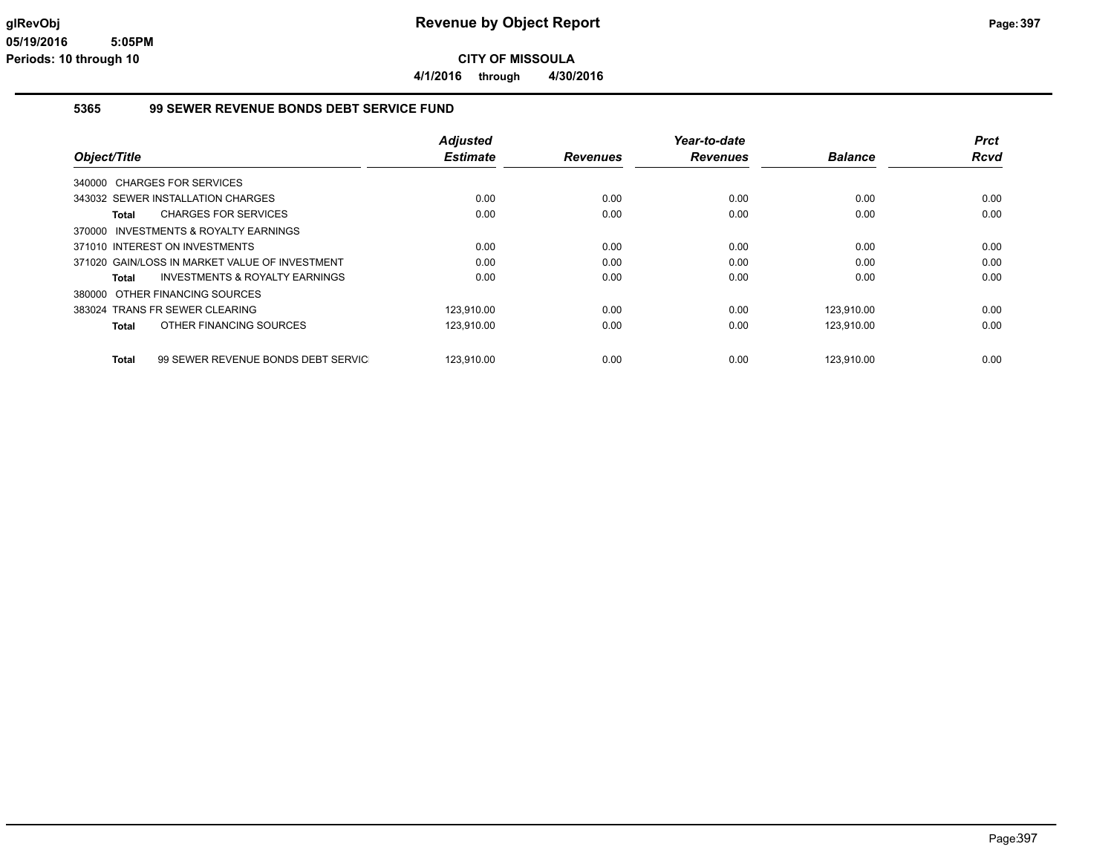**4/1/2016 through 4/30/2016**

### **5365 99 SEWER REVENUE BONDS DEBT SERVICE FUND**

|              |                                                | <b>Adjusted</b> |                 | Year-to-date    |                | Prct |
|--------------|------------------------------------------------|-----------------|-----------------|-----------------|----------------|------|
| Object/Title |                                                | <b>Estimate</b> | <b>Revenues</b> | <b>Revenues</b> | <b>Balance</b> | Rcvd |
|              | 340000 CHARGES FOR SERVICES                    |                 |                 |                 |                |      |
|              | 343032 SEWER INSTALLATION CHARGES              | 0.00            | 0.00            | 0.00            | 0.00           | 0.00 |
| Total        | <b>CHARGES FOR SERVICES</b>                    | 0.00            | 0.00            | 0.00            | 0.00           | 0.00 |
|              | 370000 INVESTMENTS & ROYALTY EARNINGS          |                 |                 |                 |                |      |
|              | 371010 INTEREST ON INVESTMENTS                 | 0.00            | 0.00            | 0.00            | 0.00           | 0.00 |
|              | 371020 GAIN/LOSS IN MARKET VALUE OF INVESTMENT | 0.00            | 0.00            | 0.00            | 0.00           | 0.00 |
| Total        | INVESTMENTS & ROYALTY EARNINGS                 | 0.00            | 0.00            | 0.00            | 0.00           | 0.00 |
|              | 380000 OTHER FINANCING SOURCES                 |                 |                 |                 |                |      |
|              | 383024 TRANS FR SEWER CLEARING                 | 123.910.00      | 0.00            | 0.00            | 123.910.00     | 0.00 |
| Total        | OTHER FINANCING SOURCES                        | 123,910.00      | 0.00            | 0.00            | 123,910.00     | 0.00 |
| <b>Total</b> | 99 SEWER REVENUE BONDS DEBT SERVIC             | 123.910.00      | 0.00            | 0.00            | 123.910.00     | 0.00 |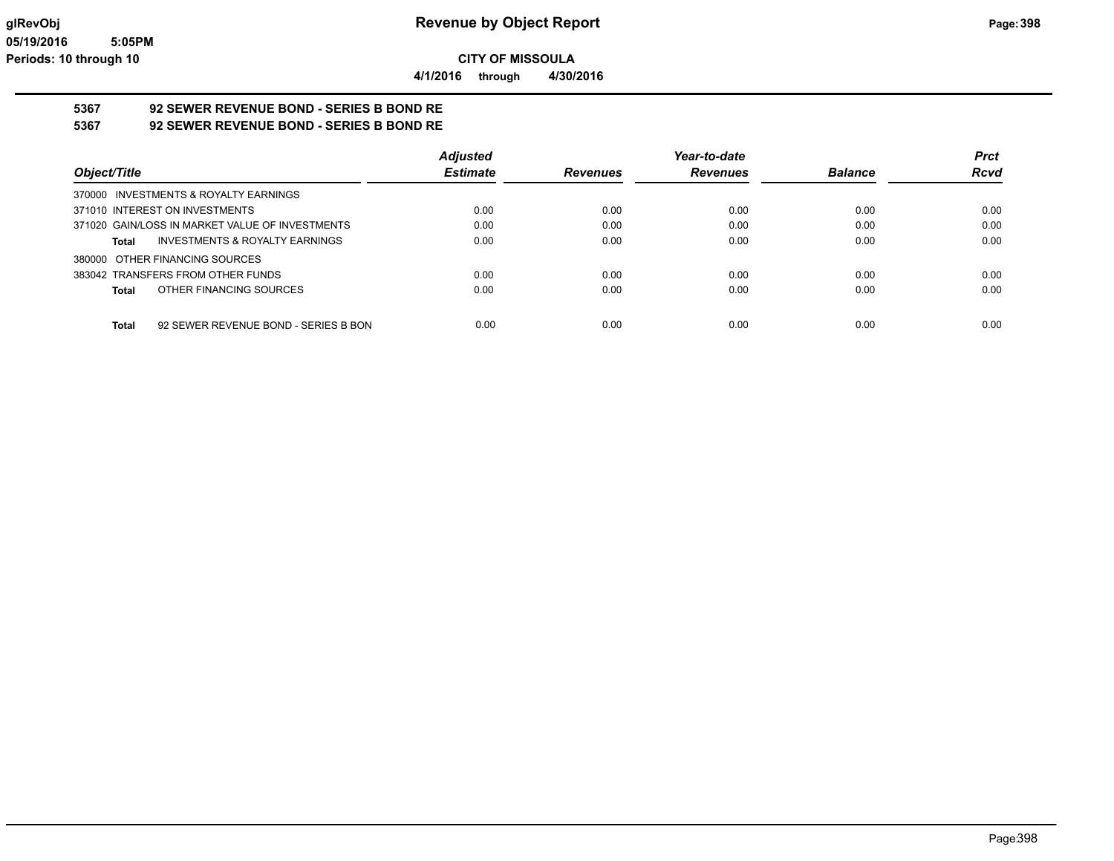**4/1/2016 through 4/30/2016**

# **5367 92 SEWER REVENUE BOND - SERIES B BOND RE**

**5367 92 SEWER REVENUE BOND - SERIES B BOND RE**

|                                                      | <b>Adjusted</b> |                 | Year-to-date    |                | <b>Prct</b> |
|------------------------------------------------------|-----------------|-----------------|-----------------|----------------|-------------|
| Object/Title                                         | <b>Estimate</b> | <b>Revenues</b> | <b>Revenues</b> | <b>Balance</b> | <b>Rcvd</b> |
| 370000 INVESTMENTS & ROYALTY EARNINGS                |                 |                 |                 |                |             |
| 371010 INTEREST ON INVESTMENTS                       | 0.00            | 0.00            | 0.00            | 0.00           | 0.00        |
| 371020 GAIN/LOSS IN MARKET VALUE OF INVESTMENTS      | 0.00            | 0.00            | 0.00            | 0.00           | 0.00        |
| INVESTMENTS & ROYALTY EARNINGS<br>Total              | 0.00            | 0.00            | 0.00            | 0.00           | 0.00        |
| 380000 OTHER FINANCING SOURCES                       |                 |                 |                 |                |             |
| 383042 TRANSFERS FROM OTHER FUNDS                    | 0.00            | 0.00            | 0.00            | 0.00           | 0.00        |
| OTHER FINANCING SOURCES<br>Total                     | 0.00            | 0.00            | 0.00            | 0.00           | 0.00        |
|                                                      |                 |                 |                 |                |             |
| 92 SEWER REVENUE BOND - SERIES B BON<br><b>Total</b> | 0.00            | 0.00            | 0.00            | 0.00           | 0.00        |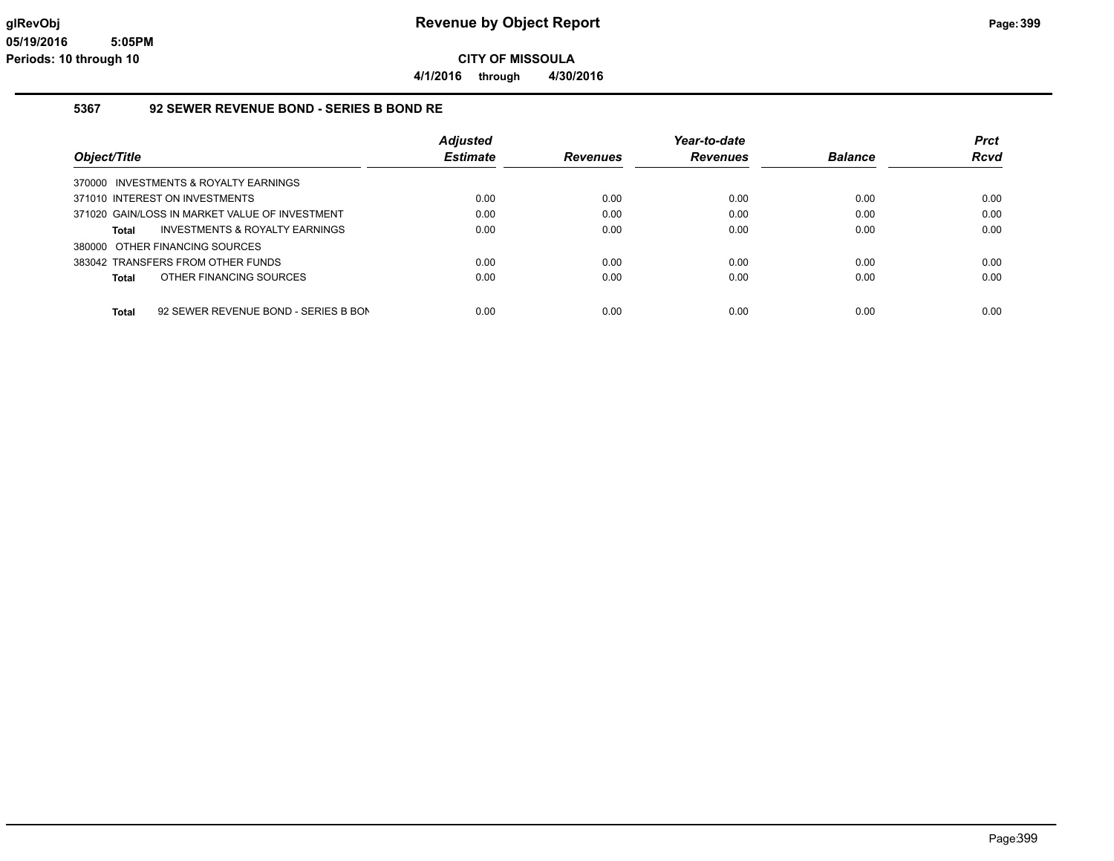**4/1/2016 through 4/30/2016**

#### **5367 92 SEWER REVENUE BOND - SERIES B BOND RE**

|                                                    | <b>Adjusted</b> |                 | Year-to-date    |                | <b>Prct</b> |
|----------------------------------------------------|-----------------|-----------------|-----------------|----------------|-------------|
| Object/Title                                       | <b>Estimate</b> | <b>Revenues</b> | <b>Revenues</b> | <b>Balance</b> | <b>Rcvd</b> |
| 370000 INVESTMENTS & ROYALTY EARNINGS              |                 |                 |                 |                |             |
| 371010 INTEREST ON INVESTMENTS                     | 0.00            | 0.00            | 0.00            | 0.00           | 0.00        |
| 371020 GAIN/LOSS IN MARKET VALUE OF INVESTMENT     | 0.00            | 0.00            | 0.00            | 0.00           | 0.00        |
| <b>INVESTMENTS &amp; ROYALTY EARNINGS</b><br>Total | 0.00            | 0.00            | 0.00            | 0.00           | 0.00        |
| 380000 OTHER FINANCING SOURCES                     |                 |                 |                 |                |             |
| 383042 TRANSFERS FROM OTHER FUNDS                  | 0.00            | 0.00            | 0.00            | 0.00           | 0.00        |
| OTHER FINANCING SOURCES<br>Total                   | 0.00            | 0.00            | 0.00            | 0.00           | 0.00        |
|                                                    |                 |                 |                 |                |             |
| 92 SEWER REVENUE BOND - SERIES B BON<br>Total      | 0.00            | 0.00            | 0.00            | 0.00           | 0.00        |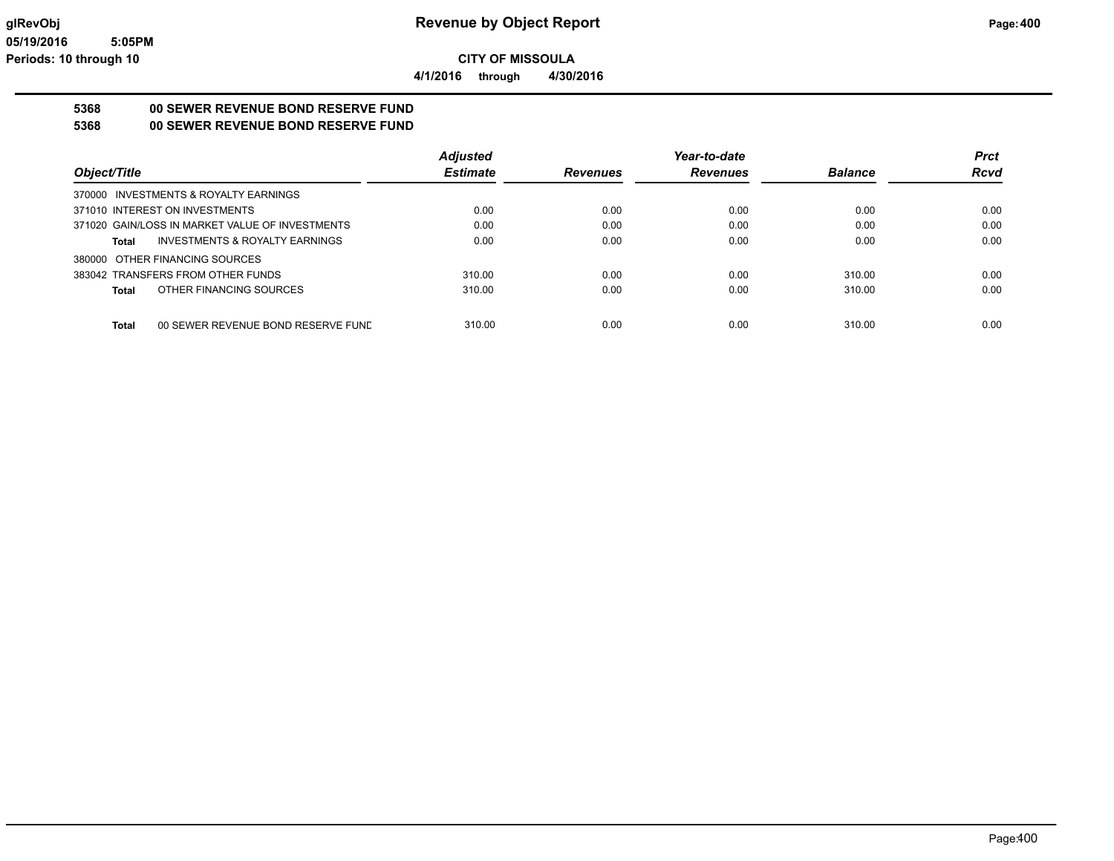**4/1/2016 through 4/30/2016**

# **5368 00 SEWER REVENUE BOND RESERVE FUND**

**5368 00 SEWER REVENUE BOND RESERVE FUND**

|                                                    | <b>Adjusted</b> |                 | Year-to-date    |                | <b>Prct</b> |
|----------------------------------------------------|-----------------|-----------------|-----------------|----------------|-------------|
| Object/Title                                       | <b>Estimate</b> | <b>Revenues</b> | <b>Revenues</b> | <b>Balance</b> | <b>Rcvd</b> |
| 370000 INVESTMENTS & ROYALTY EARNINGS              |                 |                 |                 |                |             |
| 371010 INTEREST ON INVESTMENTS                     | 0.00            | 0.00            | 0.00            | 0.00           | 0.00        |
| 371020 GAIN/LOSS IN MARKET VALUE OF INVESTMENTS    | 0.00            | 0.00            | 0.00            | 0.00           | 0.00        |
| <b>INVESTMENTS &amp; ROYALTY EARNINGS</b><br>Total | 0.00            | 0.00            | 0.00            | 0.00           | 0.00        |
| 380000 OTHER FINANCING SOURCES                     |                 |                 |                 |                |             |
| 383042 TRANSFERS FROM OTHER FUNDS                  | 310.00          | 0.00            | 0.00            | 310.00         | 0.00        |
| OTHER FINANCING SOURCES<br>Total                   | 310.00          | 0.00            | 0.00            | 310.00         | 0.00        |
|                                                    |                 |                 |                 |                |             |
| 00 SEWER REVENUE BOND RESERVE FUND<br>Total        | 310.00          | 0.00            | 0.00            | 310.00         | 0.00        |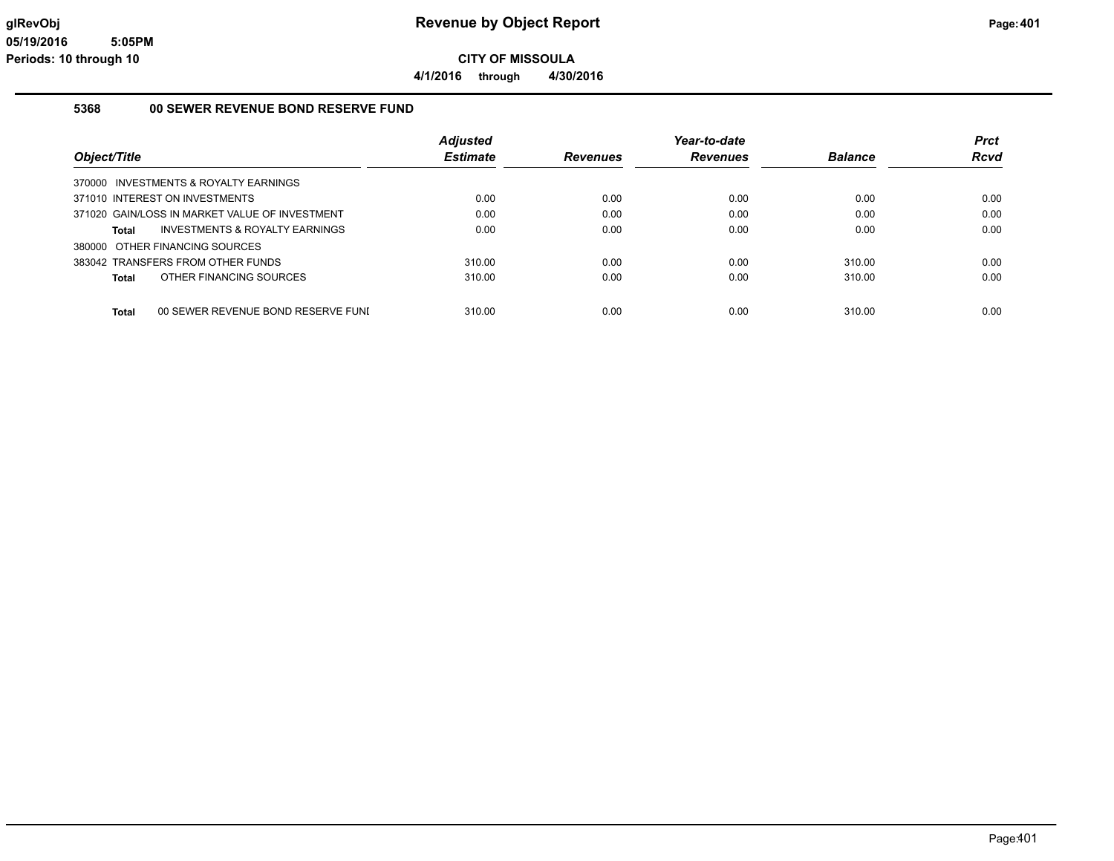**4/1/2016 through 4/30/2016**

#### **5368 00 SEWER REVENUE BOND RESERVE FUND**

|                                                    | <b>Adiusted</b> |                 | Year-to-date    |                | <b>Prct</b> |
|----------------------------------------------------|-----------------|-----------------|-----------------|----------------|-------------|
| Object/Title                                       | <b>Estimate</b> | <b>Revenues</b> | <b>Revenues</b> | <b>Balance</b> | <b>Rcvd</b> |
| 370000 INVESTMENTS & ROYALTY EARNINGS              |                 |                 |                 |                |             |
| 371010 INTEREST ON INVESTMENTS                     | 0.00            | 0.00            | 0.00            | 0.00           | 0.00        |
| 371020 GAIN/LOSS IN MARKET VALUE OF INVESTMENT     | 0.00            | 0.00            | 0.00            | 0.00           | 0.00        |
| <b>INVESTMENTS &amp; ROYALTY EARNINGS</b><br>Total | 0.00            | 0.00            | 0.00            | 0.00           | 0.00        |
| 380000 OTHER FINANCING SOURCES                     |                 |                 |                 |                |             |
| 383042 TRANSFERS FROM OTHER FUNDS                  | 310.00          | 0.00            | 0.00            | 310.00         | 0.00        |
| OTHER FINANCING SOURCES<br>Total                   | 310.00          | 0.00            | 0.00            | 310.00         | 0.00        |
|                                                    |                 |                 |                 |                |             |
| 00 SEWER REVENUE BOND RESERVE FUNI<br>Total        | 310.00          | 0.00            | 0.00            | 310.00         | 0.00        |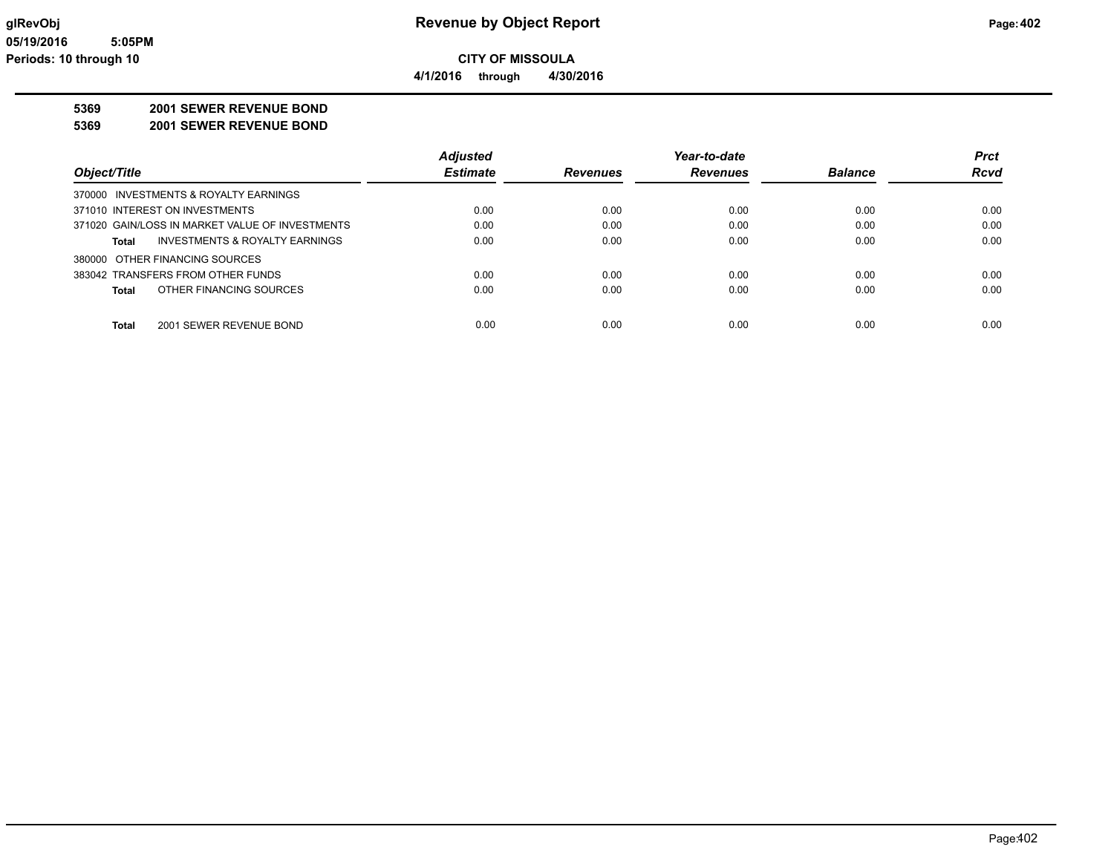**4/1/2016 through 4/30/2016**

### **5369 2001 SEWER REVENUE BOND**

**5369 2001 SEWER REVENUE BOND**

|                                                 | <b>Adjusted</b> |                 | Year-to-date    |                | <b>Prct</b> |
|-------------------------------------------------|-----------------|-----------------|-----------------|----------------|-------------|
| Object/Title                                    | <b>Estimate</b> | <b>Revenues</b> | <b>Revenues</b> | <b>Balance</b> | <b>Rcvd</b> |
| 370000 INVESTMENTS & ROYALTY EARNINGS           |                 |                 |                 |                |             |
| 371010 INTEREST ON INVESTMENTS                  | 0.00            | 0.00            | 0.00            | 0.00           | 0.00        |
| 371020 GAIN/LOSS IN MARKET VALUE OF INVESTMENTS | 0.00            | 0.00            | 0.00            | 0.00           | 0.00        |
| INVESTMENTS & ROYALTY EARNINGS<br>Total         | 0.00            | 0.00            | 0.00            | 0.00           | 0.00        |
| 380000 OTHER FINANCING SOURCES                  |                 |                 |                 |                |             |
| 383042 TRANSFERS FROM OTHER FUNDS               | 0.00            | 0.00            | 0.00            | 0.00           | 0.00        |
| OTHER FINANCING SOURCES<br><b>Total</b>         | 0.00            | 0.00            | 0.00            | 0.00           | 0.00        |
|                                                 |                 |                 |                 |                |             |
| 2001 SEWER REVENUE BOND<br><b>Total</b>         | 0.00            | 0.00            | 0.00            | 0.00           | 0.00        |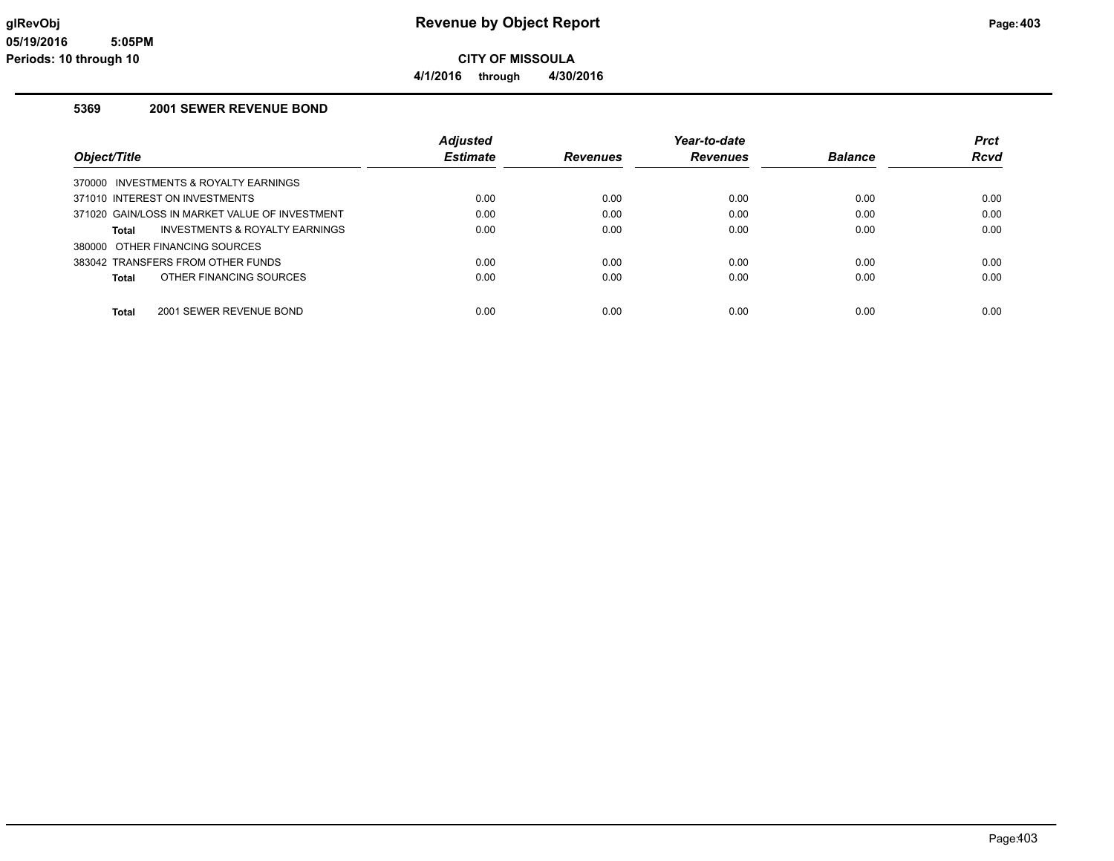### **glRevObj Revenue by Object Report Page:403**

**4/1/2016 through 4/30/2016**

### **5369 2001 SEWER REVENUE BOND**

|                                                    | <b>Adjusted</b> |                 | Year-to-date    |                | <b>Prct</b> |
|----------------------------------------------------|-----------------|-----------------|-----------------|----------------|-------------|
| Object/Title                                       | <b>Estimate</b> | <b>Revenues</b> | <b>Revenues</b> | <b>Balance</b> | <b>Rcvd</b> |
| 370000 INVESTMENTS & ROYALTY EARNINGS              |                 |                 |                 |                |             |
| 371010 INTEREST ON INVESTMENTS                     | 0.00            | 0.00            | 0.00            | 0.00           | 0.00        |
| 371020 GAIN/LOSS IN MARKET VALUE OF INVESTMENT     | 0.00            | 0.00            | 0.00            | 0.00           | 0.00        |
| <b>INVESTMENTS &amp; ROYALTY EARNINGS</b><br>Total | 0.00            | 0.00            | 0.00            | 0.00           | 0.00        |
| 380000 OTHER FINANCING SOURCES                     |                 |                 |                 |                |             |
| 383042 TRANSFERS FROM OTHER FUNDS                  | 0.00            | 0.00            | 0.00            | 0.00           | 0.00        |
| OTHER FINANCING SOURCES<br>Total                   | 0.00            | 0.00            | 0.00            | 0.00           | 0.00        |
|                                                    |                 |                 |                 |                |             |
| 2001 SEWER REVENUE BOND<br>Total                   | 0.00            | 0.00            | 0.00            | 0.00           | 0.00        |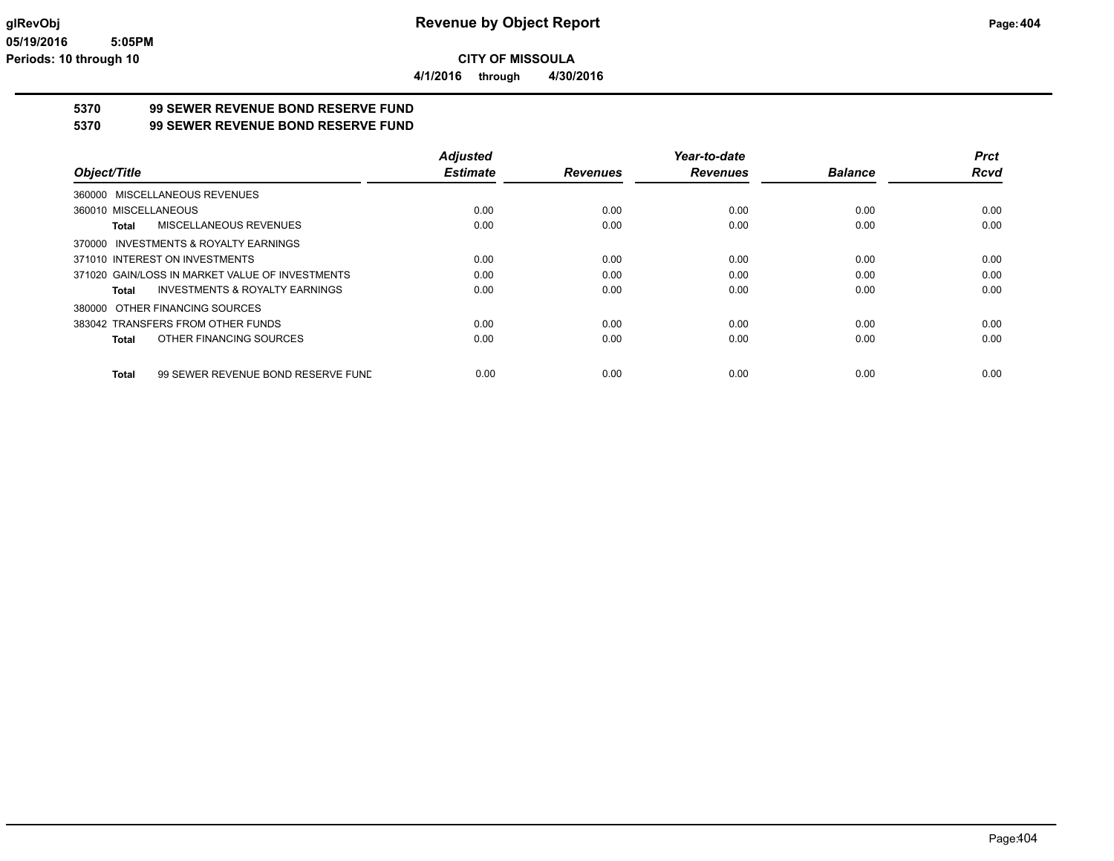**4/1/2016 through 4/30/2016**

# **5370 99 SEWER REVENUE BOND RESERVE FUND**

**5370 99 SEWER REVENUE BOND RESERVE FUND**

|                                                    | <b>Adjusted</b> |                 | Year-to-date    |                | <b>Prct</b> |
|----------------------------------------------------|-----------------|-----------------|-----------------|----------------|-------------|
| Object/Title                                       | <b>Estimate</b> | <b>Revenues</b> | <b>Revenues</b> | <b>Balance</b> | <b>Rcvd</b> |
| 360000 MISCELLANEOUS REVENUES                      |                 |                 |                 |                |             |
| 360010 MISCELLANEOUS                               | 0.00            | 0.00            | 0.00            | 0.00           | 0.00        |
| MISCELLANEOUS REVENUES<br>Total                    | 0.00            | 0.00            | 0.00            | 0.00           | 0.00        |
| 370000 INVESTMENTS & ROYALTY EARNINGS              |                 |                 |                 |                |             |
| 371010 INTEREST ON INVESTMENTS                     | 0.00            | 0.00            | 0.00            | 0.00           | 0.00        |
| 371020 GAIN/LOSS IN MARKET VALUE OF INVESTMENTS    | 0.00            | 0.00            | 0.00            | 0.00           | 0.00        |
| <b>INVESTMENTS &amp; ROYALTY EARNINGS</b><br>Total | 0.00            | 0.00            | 0.00            | 0.00           | 0.00        |
| 380000 OTHER FINANCING SOURCES                     |                 |                 |                 |                |             |
| 383042 TRANSFERS FROM OTHER FUNDS                  | 0.00            | 0.00            | 0.00            | 0.00           | 0.00        |
| OTHER FINANCING SOURCES<br>Total                   | 0.00            | 0.00            | 0.00            | 0.00           | 0.00        |
| 99 SEWER REVENUE BOND RESERVE FUND<br>Total        | 0.00            | 0.00            | 0.00            | 0.00           | 0.00        |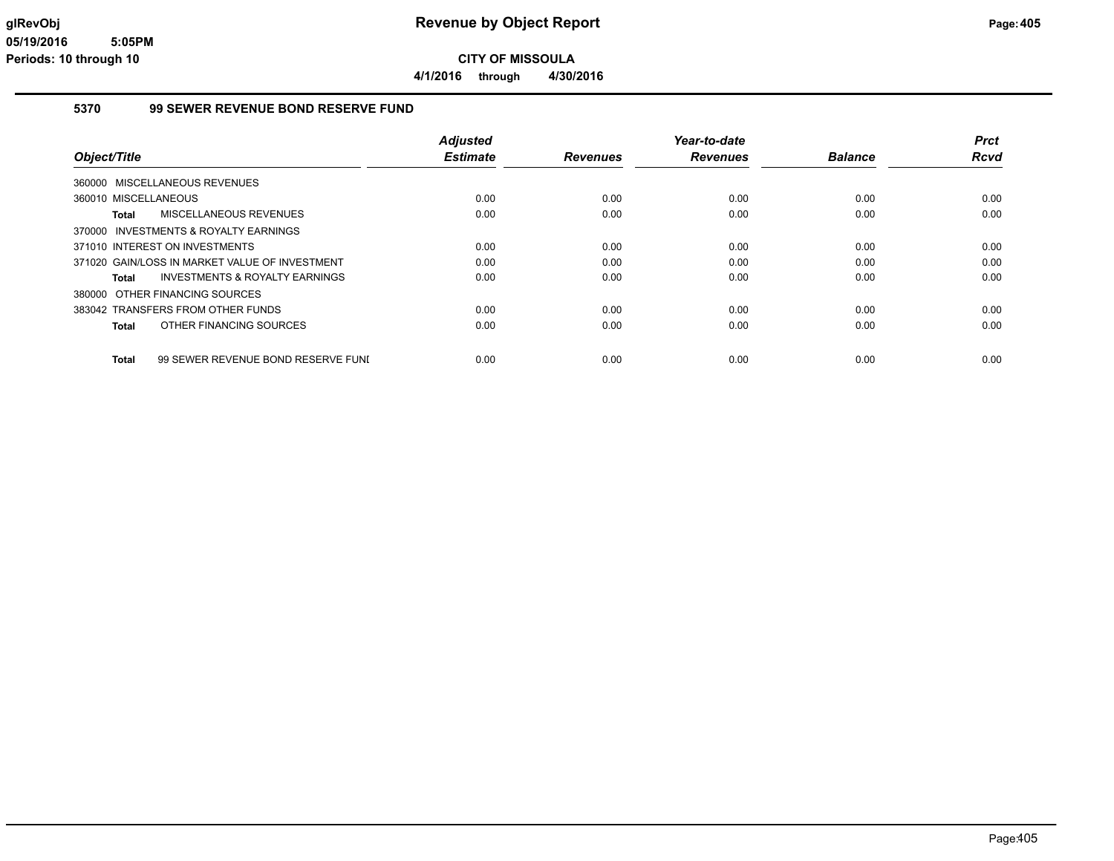**4/1/2016 through 4/30/2016**

#### **5370 99 SEWER REVENUE BOND RESERVE FUND**

| <b>Adjusted</b> |                                                               | Year-to-date            |                         | <b>Prct</b>            |
|-----------------|---------------------------------------------------------------|-------------------------|-------------------------|------------------------|
|                 |                                                               |                         |                         | Rcvd                   |
|                 |                                                               |                         |                         |                        |
| 0.00            | 0.00                                                          | 0.00                    | 0.00                    | 0.00                   |
| 0.00            | 0.00                                                          | 0.00                    | 0.00                    | 0.00                   |
|                 |                                                               |                         |                         |                        |
| 0.00            | 0.00                                                          | 0.00                    | 0.00                    | 0.00                   |
| 0.00            | 0.00                                                          | 0.00                    | 0.00                    | 0.00                   |
| 0.00            | 0.00                                                          | 0.00                    | 0.00                    | 0.00                   |
|                 |                                                               |                         |                         |                        |
| 0.00            | 0.00                                                          | 0.00                    | 0.00                    | 0.00                   |
| 0.00            | 0.00                                                          | 0.00                    | 0.00                    | 0.00                   |
|                 |                                                               |                         |                         | 0.00                   |
|                 | <b>Estimate</b><br>99 SEWER REVENUE BOND RESERVE FUNI<br>0.00 | <b>Revenues</b><br>0.00 | <b>Revenues</b><br>0.00 | <b>Balance</b><br>0.00 |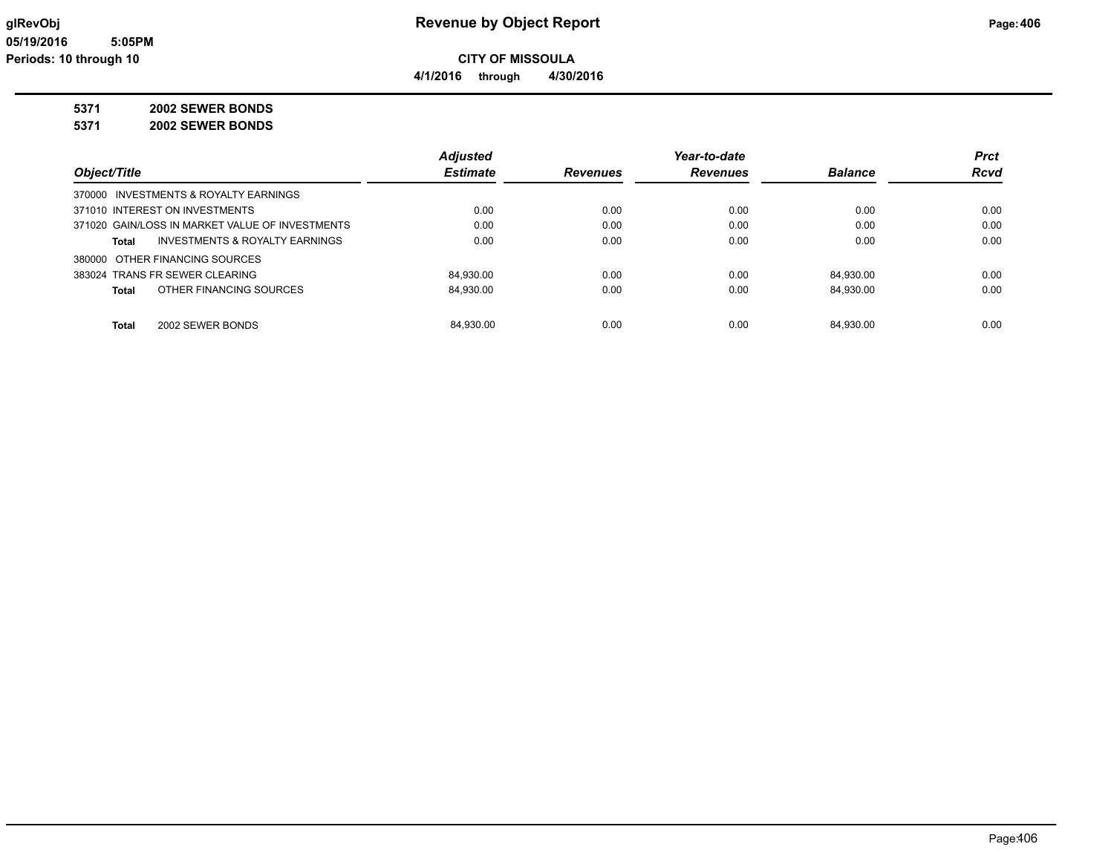**4/1/2016 through 4/30/2016**

### **5371 2002 SEWER BONDS**

**5371 2002 SEWER BONDS**

|                                                 | <b>Adjusted</b> |                 | Year-to-date    |                | <b>Prct</b> |
|-------------------------------------------------|-----------------|-----------------|-----------------|----------------|-------------|
| Object/Title                                    | <b>Estimate</b> | <b>Revenues</b> | <b>Revenues</b> | <b>Balance</b> | <b>Rcvd</b> |
| 370000 INVESTMENTS & ROYALTY EARNINGS           |                 |                 |                 |                |             |
| 371010 INTEREST ON INVESTMENTS                  | 0.00            | 0.00            | 0.00            | 0.00           | 0.00        |
| 371020 GAIN/LOSS IN MARKET VALUE OF INVESTMENTS | 0.00            | 0.00            | 0.00            | 0.00           | 0.00        |
| INVESTMENTS & ROYALTY EARNINGS<br>Total         | 0.00            | 0.00            | 0.00            | 0.00           | 0.00        |
| 380000 OTHER FINANCING SOURCES                  |                 |                 |                 |                |             |
| 383024 TRANS FR SEWER CLEARING                  | 84,930.00       | 0.00            | 0.00            | 84.930.00      | 0.00        |
| OTHER FINANCING SOURCES<br>Total                | 84,930.00       | 0.00            | 0.00            | 84.930.00      | 0.00        |
| 2002 SEWER BONDS<br>Total                       | 84.930.00       | 0.00            | 0.00            | 84.930.00      | 0.00        |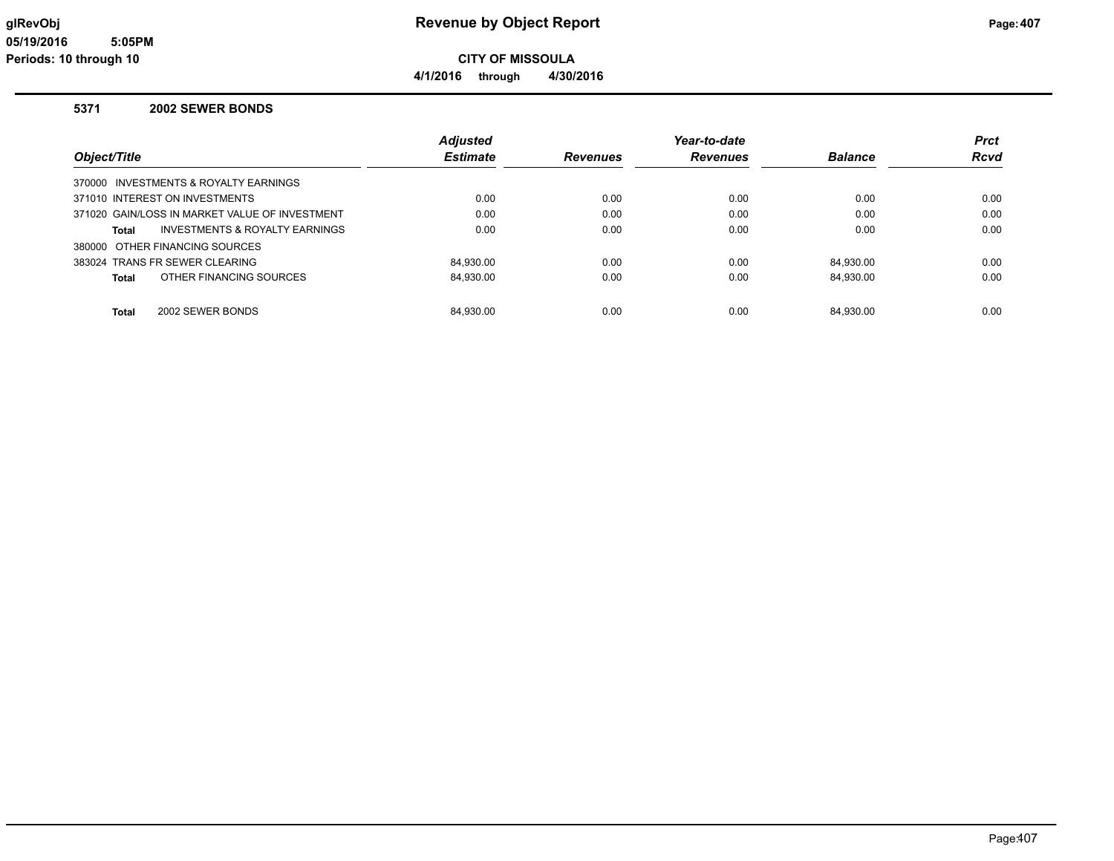### **glRevObj Revenue by Object Report Page:407**

**4/1/2016 through 4/30/2016**

#### **5371 2002 SEWER BONDS**

|                                                | <b>Adjusted</b> |                 | Year-to-date    |                | <b>Prct</b> |
|------------------------------------------------|-----------------|-----------------|-----------------|----------------|-------------|
| Object/Title                                   | <b>Estimate</b> | <b>Revenues</b> | <b>Revenues</b> | <b>Balance</b> | <b>Rcvd</b> |
| 370000 INVESTMENTS & ROYALTY EARNINGS          |                 |                 |                 |                |             |
| 371010 INTEREST ON INVESTMENTS                 | 0.00            | 0.00            | 0.00            | 0.00           | 0.00        |
| 371020 GAIN/LOSS IN MARKET VALUE OF INVESTMENT | 0.00            | 0.00            | 0.00            | 0.00           | 0.00        |
| INVESTMENTS & ROYALTY EARNINGS<br>Total        | 0.00            | 0.00            | 0.00            | 0.00           | 0.00        |
| 380000 OTHER FINANCING SOURCES                 |                 |                 |                 |                |             |
| 383024 TRANS FR SEWER CLEARING                 | 84.930.00       | 0.00            | 0.00            | 84.930.00      | 0.00        |
| OTHER FINANCING SOURCES<br>Total               | 84.930.00       | 0.00            | 0.00            | 84.930.00      | 0.00        |
|                                                |                 |                 |                 |                |             |
| 2002 SEWER BONDS<br>Total                      | 84.930.00       | 0.00            | 0.00            | 84.930.00      | 0.00        |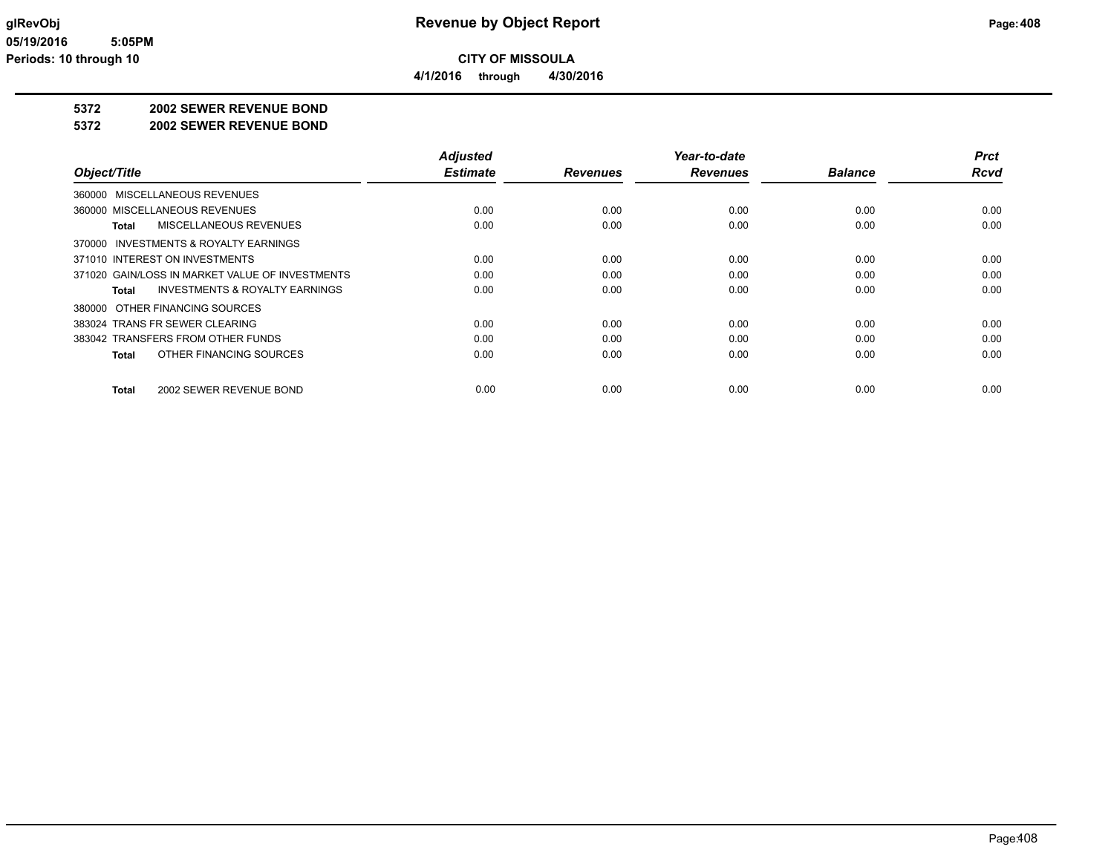**4/1/2016 through 4/30/2016**

### **5372 2002 SEWER REVENUE BOND**

#### **5372 2002 SEWER REVENUE BOND**

|                                                    | <b>Adjusted</b> |                 | Year-to-date    |                | Prct        |
|----------------------------------------------------|-----------------|-----------------|-----------------|----------------|-------------|
| Object/Title                                       | <b>Estimate</b> | <b>Revenues</b> | <b>Revenues</b> | <b>Balance</b> | <b>Rcvd</b> |
| 360000 MISCELLANEOUS REVENUES                      |                 |                 |                 |                |             |
| 360000 MISCELLANEOUS REVENUES                      | 0.00            | 0.00            | 0.00            | 0.00           | 0.00        |
| MISCELLANEOUS REVENUES<br>Total                    | 0.00            | 0.00            | 0.00            | 0.00           | 0.00        |
| 370000 INVESTMENTS & ROYALTY EARNINGS              |                 |                 |                 |                |             |
| 371010 INTEREST ON INVESTMENTS                     | 0.00            | 0.00            | 0.00            | 0.00           | 0.00        |
| 371020 GAIN/LOSS IN MARKET VALUE OF INVESTMENTS    | 0.00            | 0.00            | 0.00            | 0.00           | 0.00        |
| <b>INVESTMENTS &amp; ROYALTY EARNINGS</b><br>Total | 0.00            | 0.00            | 0.00            | 0.00           | 0.00        |
| 380000 OTHER FINANCING SOURCES                     |                 |                 |                 |                |             |
| 383024 TRANS FR SEWER CLEARING                     | 0.00            | 0.00            | 0.00            | 0.00           | 0.00        |
| 383042 TRANSFERS FROM OTHER FUNDS                  | 0.00            | 0.00            | 0.00            | 0.00           | 0.00        |
| OTHER FINANCING SOURCES<br>Total                   | 0.00            | 0.00            | 0.00            | 0.00           | 0.00        |
| 2002 SEWER REVENUE BOND<br>Total                   | 0.00            | 0.00            | 0.00            | 0.00           | 0.00        |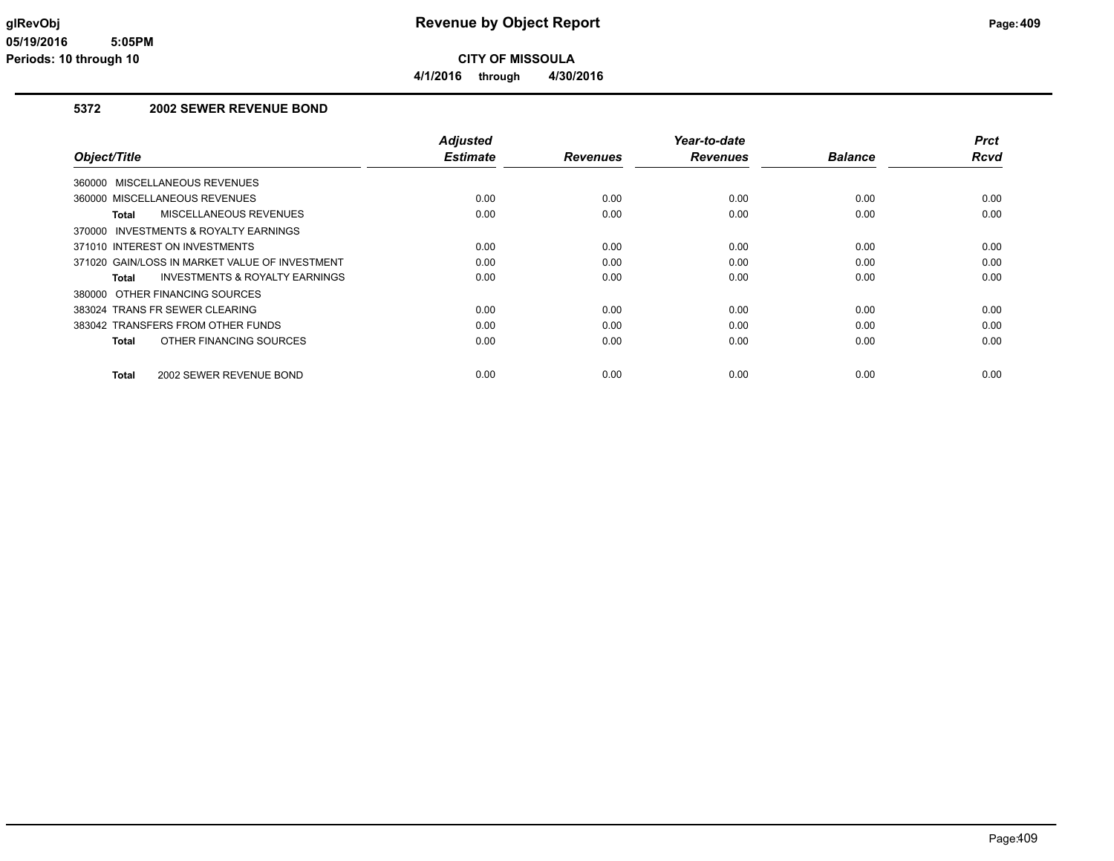**CITY OF MISSOULA 4/1/2016 through 4/30/2016**

### **5372 2002 SEWER REVENUE BOND**

| Object/Title                                              | <b>Adjusted</b><br><b>Estimate</b> | <b>Revenues</b> | Year-to-date<br><b>Revenues</b> | <b>Balance</b> | <b>Prct</b><br>Rcvd |
|-----------------------------------------------------------|------------------------------------|-----------------|---------------------------------|----------------|---------------------|
|                                                           |                                    |                 |                                 |                |                     |
| 360000 MISCELLANEOUS REVENUES                             |                                    |                 |                                 |                |                     |
| 360000 MISCELLANEOUS REVENUES                             | 0.00                               | 0.00            | 0.00                            | 0.00           | 0.00                |
| MISCELLANEOUS REVENUES<br><b>Total</b>                    | 0.00                               | 0.00            | 0.00                            | 0.00           | 0.00                |
| 370000 INVESTMENTS & ROYALTY EARNINGS                     |                                    |                 |                                 |                |                     |
| 371010 INTEREST ON INVESTMENTS                            | 0.00                               | 0.00            | 0.00                            | 0.00           | 0.00                |
| 371020 GAIN/LOSS IN MARKET VALUE OF INVESTMENT            | 0.00                               | 0.00            | 0.00                            | 0.00           | 0.00                |
| <b>INVESTMENTS &amp; ROYALTY EARNINGS</b><br><b>Total</b> | 0.00                               | 0.00            | 0.00                            | 0.00           | 0.00                |
| 380000 OTHER FINANCING SOURCES                            |                                    |                 |                                 |                |                     |
| 383024 TRANS FR SEWER CLEARING                            | 0.00                               | 0.00            | 0.00                            | 0.00           | 0.00                |
| 383042 TRANSFERS FROM OTHER FUNDS                         | 0.00                               | 0.00            | 0.00                            | 0.00           | 0.00                |
| OTHER FINANCING SOURCES<br><b>Total</b>                   | 0.00                               | 0.00            | 0.00                            | 0.00           | 0.00                |
| 2002 SEWER REVENUE BOND<br><b>Total</b>                   | 0.00                               | 0.00            | 0.00                            | 0.00           | 0.00                |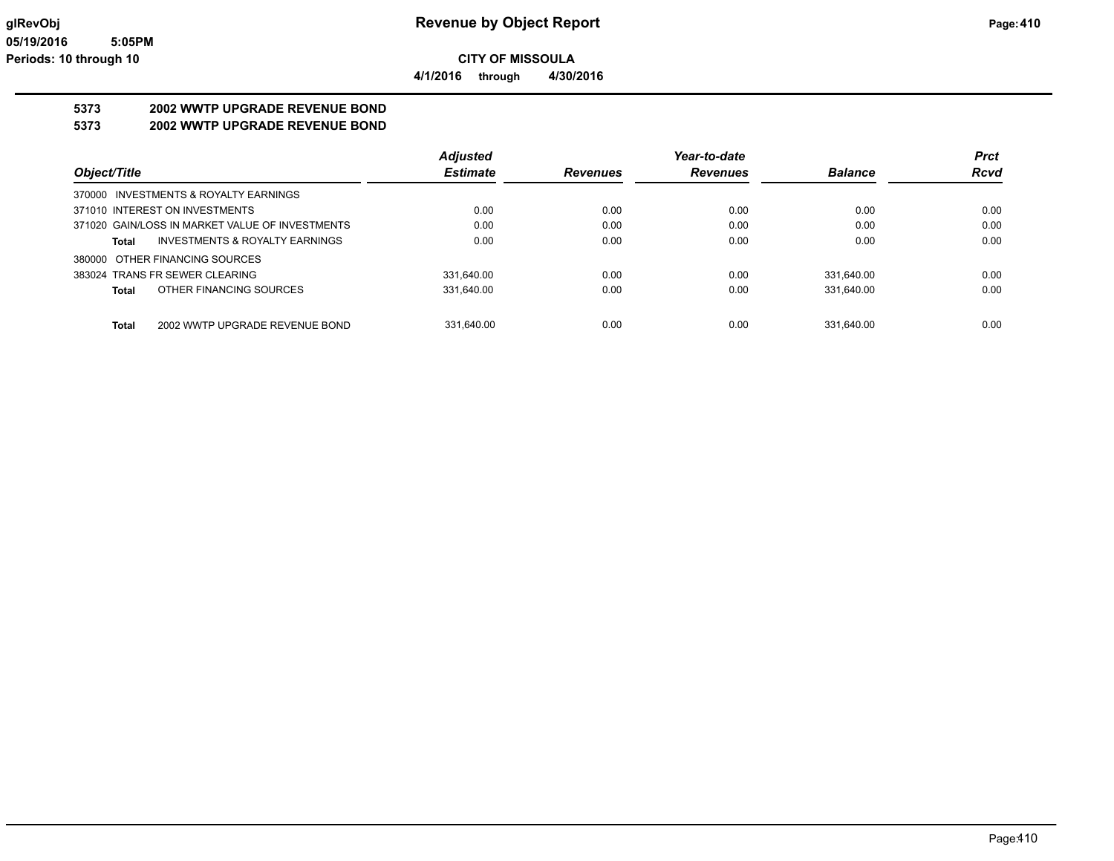**CITY OF MISSOULA 4/1/2016 through 4/30/2016**

**5373 2002 WWTP UPGRADE REVENUE BOND**

**5373 2002 WWTP UPGRADE REVENUE BOND**

|                                                 | <b>Adjusted</b> |                 | Year-to-date    |                | <b>Prct</b> |
|-------------------------------------------------|-----------------|-----------------|-----------------|----------------|-------------|
| Object/Title                                    | <b>Estimate</b> | <b>Revenues</b> | <b>Revenues</b> | <b>Balance</b> | <b>Rcvd</b> |
| 370000 INVESTMENTS & ROYALTY EARNINGS           |                 |                 |                 |                |             |
| 371010 INTEREST ON INVESTMENTS                  | 0.00            | 0.00            | 0.00            | 0.00           | 0.00        |
| 371020 GAIN/LOSS IN MARKET VALUE OF INVESTMENTS | 0.00            | 0.00            | 0.00            | 0.00           | 0.00        |
| INVESTMENTS & ROYALTY EARNINGS<br>Total         | 0.00            | 0.00            | 0.00            | 0.00           | 0.00        |
| 380000 OTHER FINANCING SOURCES                  |                 |                 |                 |                |             |
| 383024 TRANS FR SEWER CLEARING                  | 331.640.00      | 0.00            | 0.00            | 331.640.00     | 0.00        |
| OTHER FINANCING SOURCES<br>Total                | 331.640.00      | 0.00            | 0.00            | 331,640.00     | 0.00        |
|                                                 |                 |                 |                 |                |             |
| 2002 WWTP UPGRADE REVENUE BOND<br><b>Total</b>  | 331.640.00      | 0.00            | 0.00            | 331.640.00     | 0.00        |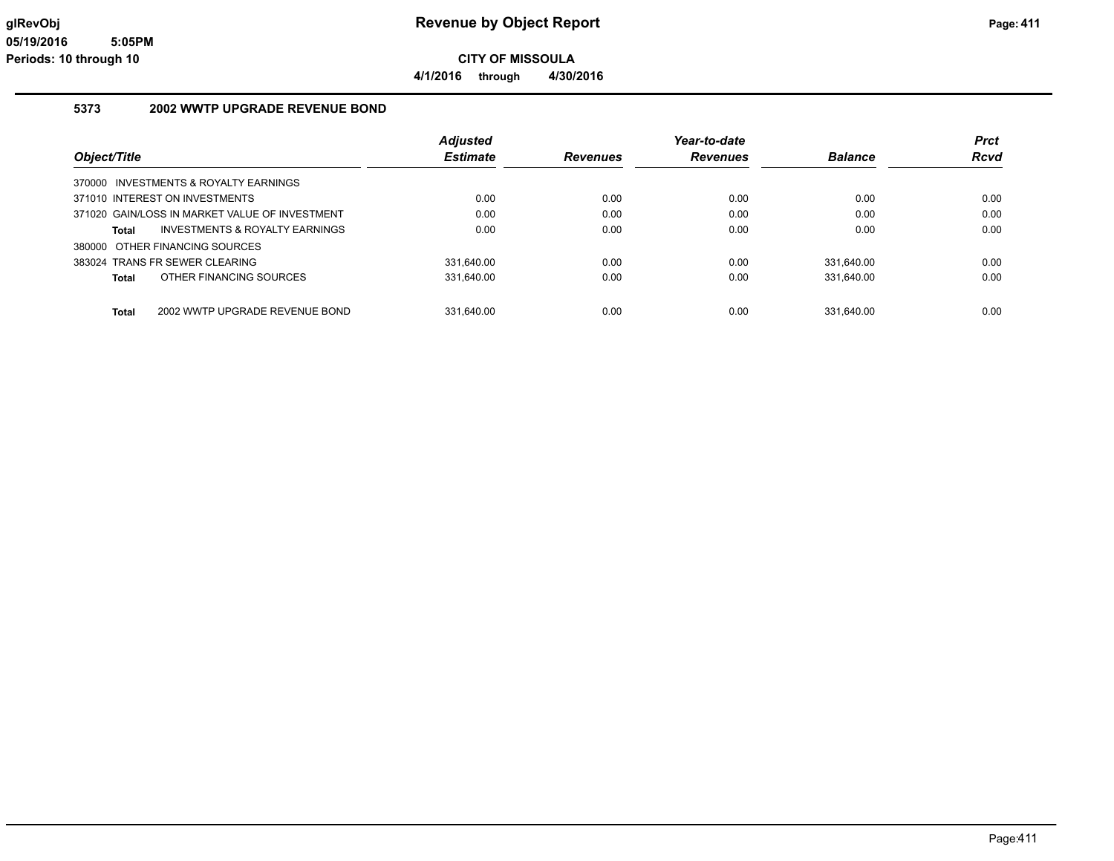**4/1/2016 through 4/30/2016**

### **5373 2002 WWTP UPGRADE REVENUE BOND**

|                                                | <b>Adjusted</b> |                 | Year-to-date    |                | <b>Prct</b> |
|------------------------------------------------|-----------------|-----------------|-----------------|----------------|-------------|
| Object/Title                                   | <b>Estimate</b> | <b>Revenues</b> | <b>Revenues</b> | <b>Balance</b> | <b>Rcvd</b> |
| 370000 INVESTMENTS & ROYALTY EARNINGS          |                 |                 |                 |                |             |
| 371010 INTEREST ON INVESTMENTS                 | 0.00            | 0.00            | 0.00            | 0.00           | 0.00        |
| 371020 GAIN/LOSS IN MARKET VALUE OF INVESTMENT | 0.00            | 0.00            | 0.00            | 0.00           | 0.00        |
| INVESTMENTS & ROYALTY EARNINGS<br>Total        | 0.00            | 0.00            | 0.00            | 0.00           | 0.00        |
| 380000 OTHER FINANCING SOURCES                 |                 |                 |                 |                |             |
| 383024 TRANS FR SEWER CLEARING                 | 331,640.00      | 0.00            | 0.00            | 331,640.00     | 0.00        |
| OTHER FINANCING SOURCES<br>Total               | 331.640.00      | 0.00            | 0.00            | 331.640.00     | 0.00        |
|                                                |                 |                 |                 |                |             |
| 2002 WWTP UPGRADE REVENUE BOND<br><b>Total</b> | 331.640.00      | 0.00            | 0.00            | 331.640.00     | 0.00        |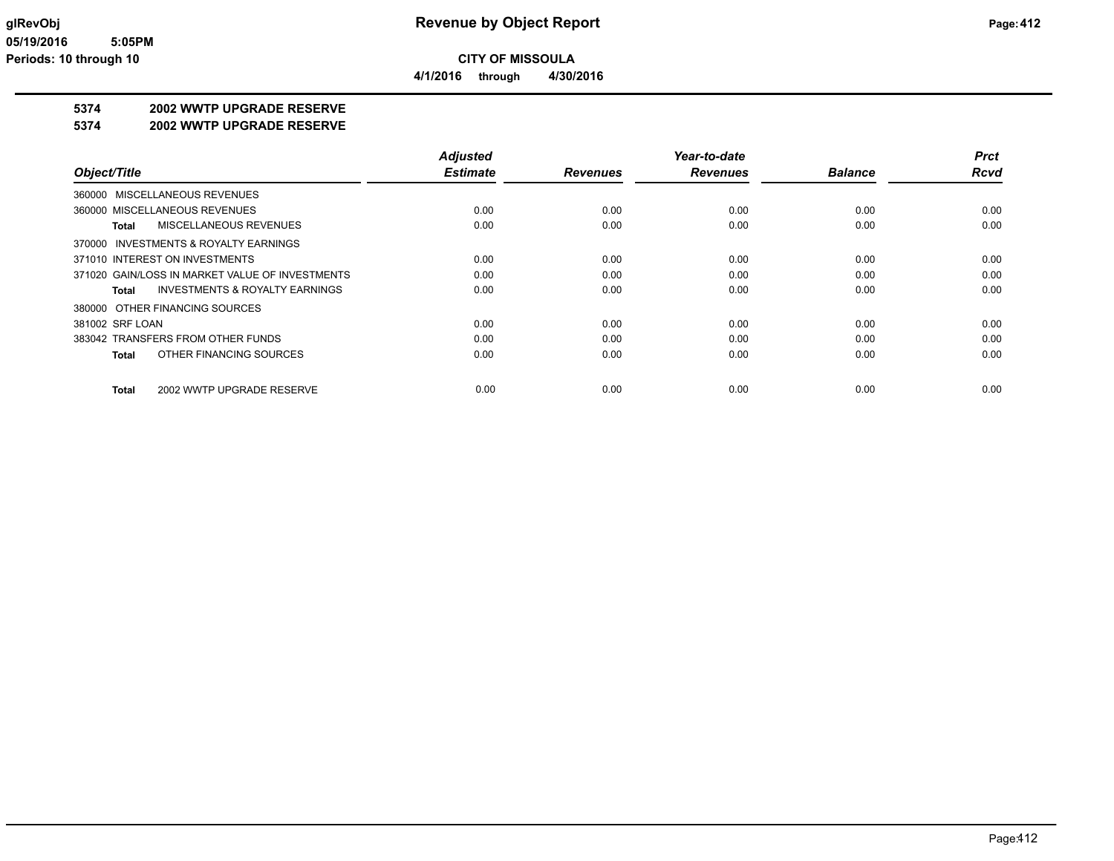**4/1/2016 through 4/30/2016**

### **5374 2002 WWTP UPGRADE RESERVE**

#### **5374 2002 WWTP UPGRADE RESERVE**

|                                                    | <b>Adjusted</b> |                 | Year-to-date    |                | <b>Prct</b> |
|----------------------------------------------------|-----------------|-----------------|-----------------|----------------|-------------|
| Object/Title                                       | <b>Estimate</b> | <b>Revenues</b> | <b>Revenues</b> | <b>Balance</b> | <b>Rcvd</b> |
| 360000 MISCELLANEOUS REVENUES                      |                 |                 |                 |                |             |
| 360000 MISCELLANEOUS REVENUES                      | 0.00            | 0.00            | 0.00            | 0.00           | 0.00        |
| MISCELLANEOUS REVENUES<br>Total                    | 0.00            | 0.00            | 0.00            | 0.00           | 0.00        |
| 370000 INVESTMENTS & ROYALTY EARNINGS              |                 |                 |                 |                |             |
| 371010 INTEREST ON INVESTMENTS                     | 0.00            | 0.00            | 0.00            | 0.00           | 0.00        |
| 371020 GAIN/LOSS IN MARKET VALUE OF INVESTMENTS    | 0.00            | 0.00            | 0.00            | 0.00           | 0.00        |
| <b>INVESTMENTS &amp; ROYALTY EARNINGS</b><br>Total | 0.00            | 0.00            | 0.00            | 0.00           | 0.00        |
| 380000 OTHER FINANCING SOURCES                     |                 |                 |                 |                |             |
| 381002 SRF LOAN                                    | 0.00            | 0.00            | 0.00            | 0.00           | 0.00        |
| 383042 TRANSFERS FROM OTHER FUNDS                  | 0.00            | 0.00            | 0.00            | 0.00           | 0.00        |
| OTHER FINANCING SOURCES<br><b>Total</b>            | 0.00            | 0.00            | 0.00            | 0.00           | 0.00        |
| 2002 WWTP UPGRADE RESERVE<br>Total                 | 0.00            | 0.00            | 0.00            | 0.00           | 0.00        |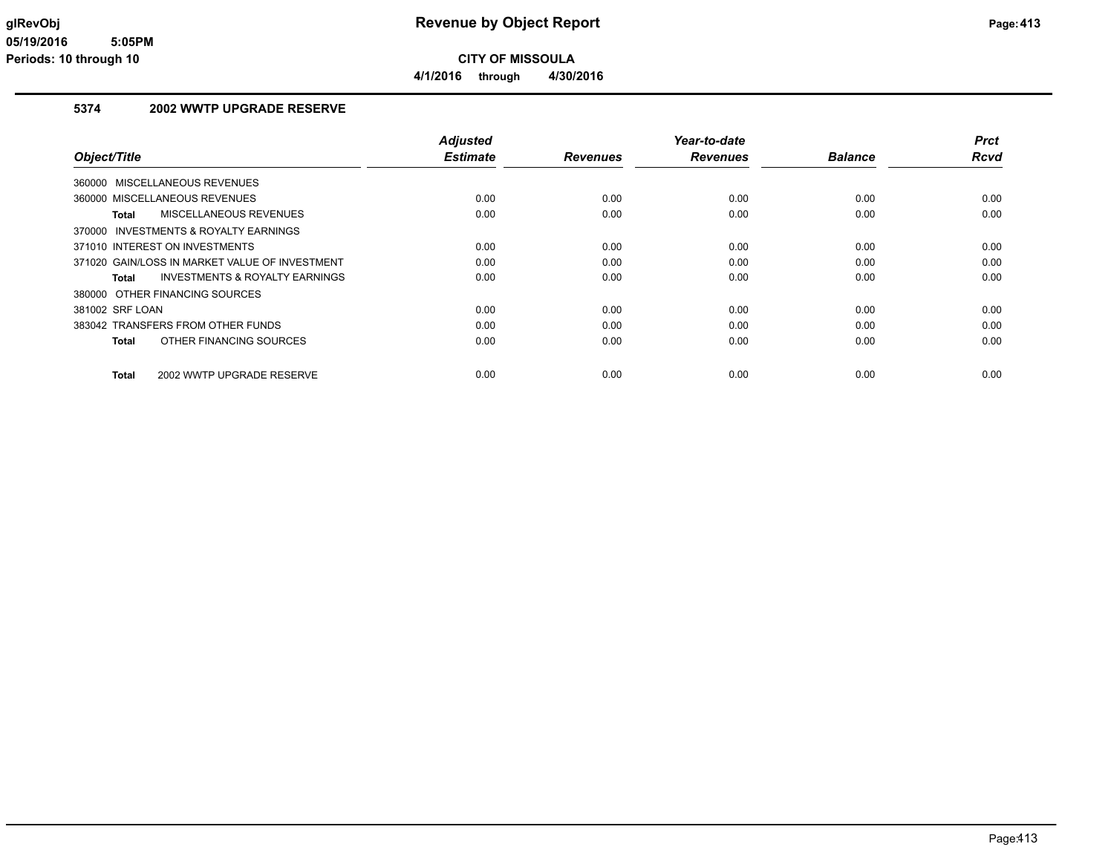**CITY OF MISSOULA 4/1/2016 through 4/30/2016**

### **5374 2002 WWTP UPGRADE RESERVE**

| Object/Title                                   | <b>Adjusted</b><br><b>Estimate</b> | <b>Revenues</b> | Year-to-date<br><b>Revenues</b> | <b>Balance</b> | <b>Prct</b><br>Rcvd |
|------------------------------------------------|------------------------------------|-----------------|---------------------------------|----------------|---------------------|
|                                                |                                    |                 |                                 |                |                     |
| 360000 MISCELLANEOUS REVENUES                  |                                    |                 |                                 |                |                     |
| 360000 MISCELLANEOUS REVENUES                  | 0.00                               | 0.00            | 0.00                            | 0.00           | 0.00                |
| MISCELLANEOUS REVENUES<br>Total                | 0.00                               | 0.00            | 0.00                            | 0.00           | 0.00                |
| 370000 INVESTMENTS & ROYALTY EARNINGS          |                                    |                 |                                 |                |                     |
| 371010 INTEREST ON INVESTMENTS                 | 0.00                               | 0.00            | 0.00                            | 0.00           | 0.00                |
| 371020 GAIN/LOSS IN MARKET VALUE OF INVESTMENT | 0.00                               | 0.00            | 0.00                            | 0.00           | 0.00                |
| INVESTMENTS & ROYALTY EARNINGS<br>Total        | 0.00                               | 0.00            | 0.00                            | 0.00           | 0.00                |
| 380000 OTHER FINANCING SOURCES                 |                                    |                 |                                 |                |                     |
| 381002 SRF LOAN                                | 0.00                               | 0.00            | 0.00                            | 0.00           | 0.00                |
| 383042 TRANSFERS FROM OTHER FUNDS              | 0.00                               | 0.00            | 0.00                            | 0.00           | 0.00                |
| OTHER FINANCING SOURCES<br>Total               | 0.00                               | 0.00            | 0.00                            | 0.00           | 0.00                |
| 2002 WWTP UPGRADE RESERVE<br><b>Total</b>      | 0.00                               | 0.00            | 0.00                            | 0.00           | 0.00                |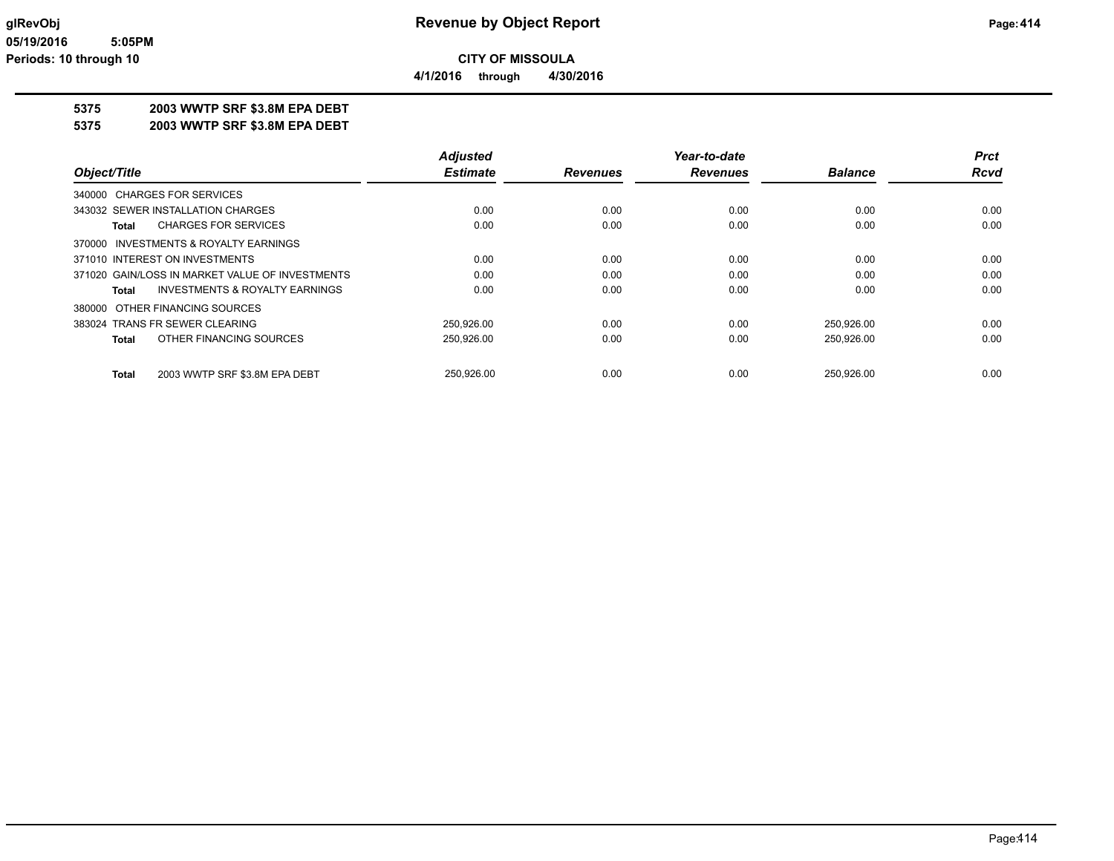**4/1/2016 through 4/30/2016**

### **5375 2003 WWTP SRF \$3.8M EPA DEBT**

**5375 2003 WWTP SRF \$3.8M EPA DEBT**

|                                                    | <b>Adjusted</b> |                 | Year-to-date    |                | <b>Prct</b> |
|----------------------------------------------------|-----------------|-----------------|-----------------|----------------|-------------|
| Object/Title                                       | <b>Estimate</b> | <b>Revenues</b> | <b>Revenues</b> | <b>Balance</b> | <b>Rcvd</b> |
| 340000 CHARGES FOR SERVICES                        |                 |                 |                 |                |             |
| 343032 SEWER INSTALLATION CHARGES                  | 0.00            | 0.00            | 0.00            | 0.00           | 0.00        |
| <b>CHARGES FOR SERVICES</b><br><b>Total</b>        | 0.00            | 0.00            | 0.00            | 0.00           | 0.00        |
| INVESTMENTS & ROYALTY EARNINGS<br>370000           |                 |                 |                 |                |             |
| 371010 INTEREST ON INVESTMENTS                     | 0.00            | 0.00            | 0.00            | 0.00           | 0.00        |
| 371020 GAIN/LOSS IN MARKET VALUE OF INVESTMENTS    | 0.00            | 0.00            | 0.00            | 0.00           | 0.00        |
| <b>INVESTMENTS &amp; ROYALTY EARNINGS</b><br>Total | 0.00            | 0.00            | 0.00            | 0.00           | 0.00        |
| 380000 OTHER FINANCING SOURCES                     |                 |                 |                 |                |             |
| 383024 TRANS FR SEWER CLEARING                     | 250.926.00      | 0.00            | 0.00            | 250.926.00     | 0.00        |
| OTHER FINANCING SOURCES<br><b>Total</b>            | 250,926.00      | 0.00            | 0.00            | 250,926.00     | 0.00        |
| 2003 WWTP SRF \$3.8M EPA DEBT<br><b>Total</b>      | 250,926.00      | 0.00            | 0.00            | 250.926.00     | 0.00        |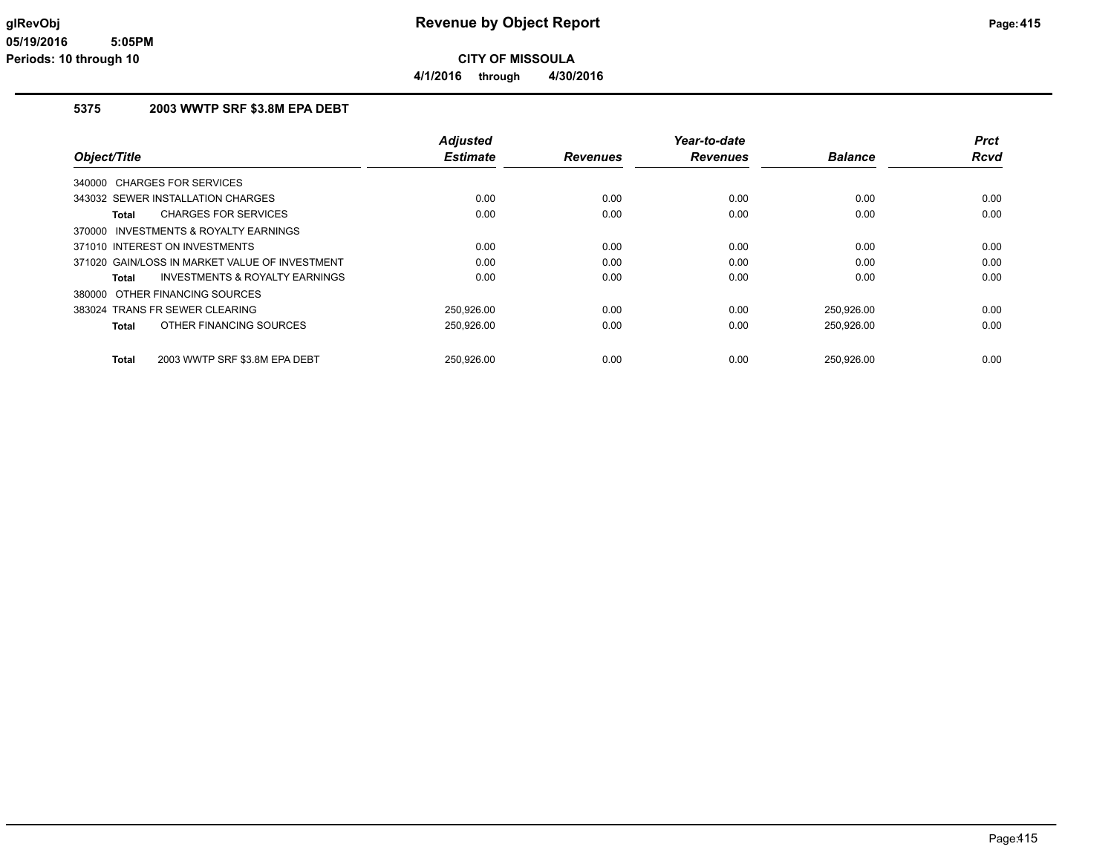**CITY OF MISSOULA 4/1/2016 through 4/30/2016**

### **5375 2003 WWTP SRF \$3.8M EPA DEBT**

|                                                    | <b>Adjusted</b> |                 | Year-to-date    |                | <b>Prct</b> |
|----------------------------------------------------|-----------------|-----------------|-----------------|----------------|-------------|
| Object/Title                                       | <b>Estimate</b> | <b>Revenues</b> | <b>Revenues</b> | <b>Balance</b> | Rcvd        |
| 340000 CHARGES FOR SERVICES                        |                 |                 |                 |                |             |
| 343032 SEWER INSTALLATION CHARGES                  | 0.00            | 0.00            | 0.00            | 0.00           | 0.00        |
| <b>CHARGES FOR SERVICES</b><br>Total               | 0.00            | 0.00            | 0.00            | 0.00           | 0.00        |
| 370000 INVESTMENTS & ROYALTY EARNINGS              |                 |                 |                 |                |             |
| 371010 INTEREST ON INVESTMENTS                     | 0.00            | 0.00            | 0.00            | 0.00           | 0.00        |
| 371020 GAIN/LOSS IN MARKET VALUE OF INVESTMENT     | 0.00            | 0.00            | 0.00            | 0.00           | 0.00        |
| <b>INVESTMENTS &amp; ROYALTY EARNINGS</b><br>Total | 0.00            | 0.00            | 0.00            | 0.00           | 0.00        |
| 380000 OTHER FINANCING SOURCES                     |                 |                 |                 |                |             |
| 383024 TRANS FR SEWER CLEARING                     | 250.926.00      | 0.00            | 0.00            | 250,926.00     | 0.00        |
| OTHER FINANCING SOURCES<br><b>Total</b>            | 250,926.00      | 0.00            | 0.00            | 250,926.00     | 0.00        |
| 2003 WWTP SRF \$3.8M EPA DEBT<br><b>Total</b>      | 250.926.00      | 0.00            | 0.00            | 250.926.00     | 0.00        |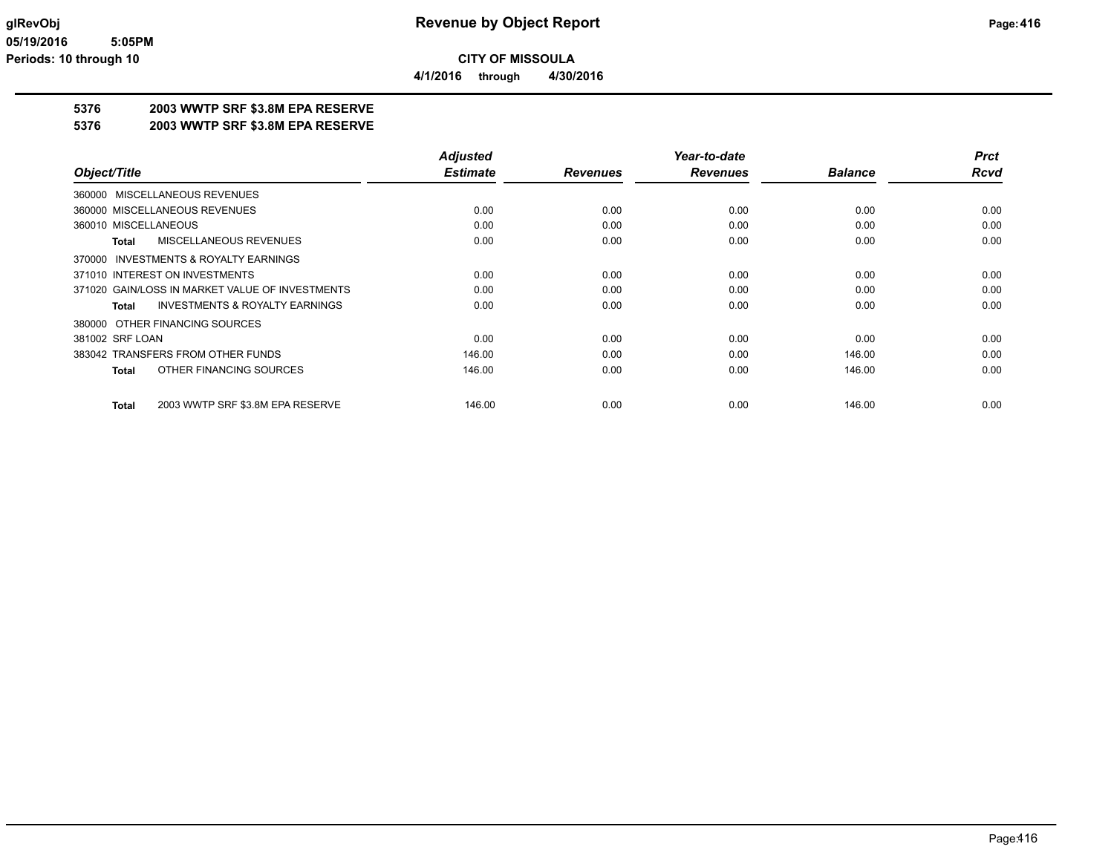**4/1/2016 through 4/30/2016**

### **5376 2003 WWTP SRF \$3.8M EPA RESERVE**

**5376 2003 WWTP SRF \$3.8M EPA RESERVE**

|                                                           | <b>Adjusted</b> |                 | Year-to-date    |                | <b>Prct</b> |
|-----------------------------------------------------------|-----------------|-----------------|-----------------|----------------|-------------|
| Object/Title                                              | <b>Estimate</b> | <b>Revenues</b> | <b>Revenues</b> | <b>Balance</b> | <b>Rcvd</b> |
| 360000 MISCELLANEOUS REVENUES                             |                 |                 |                 |                |             |
| 360000 MISCELLANEOUS REVENUES                             | 0.00            | 0.00            | 0.00            | 0.00           | 0.00        |
| 360010 MISCELLANEOUS                                      | 0.00            | 0.00            | 0.00            | 0.00           | 0.00        |
| MISCELLANEOUS REVENUES<br>Total                           | 0.00            | 0.00            | 0.00            | 0.00           | 0.00        |
| 370000 INVESTMENTS & ROYALTY EARNINGS                     |                 |                 |                 |                |             |
| 371010 INTEREST ON INVESTMENTS                            | 0.00            | 0.00            | 0.00            | 0.00           | 0.00        |
| 371020 GAIN/LOSS IN MARKET VALUE OF INVESTMENTS           | 0.00            | 0.00            | 0.00            | 0.00           | 0.00        |
| <b>INVESTMENTS &amp; ROYALTY EARNINGS</b><br><b>Total</b> | 0.00            | 0.00            | 0.00            | 0.00           | 0.00        |
| 380000 OTHER FINANCING SOURCES                            |                 |                 |                 |                |             |
| 381002 SRF LOAN                                           | 0.00            | 0.00            | 0.00            | 0.00           | 0.00        |
| 383042 TRANSFERS FROM OTHER FUNDS                         | 146.00          | 0.00            | 0.00            | 146.00         | 0.00        |
| OTHER FINANCING SOURCES<br><b>Total</b>                   | 146.00          | 0.00            | 0.00            | 146.00         | 0.00        |
| 2003 WWTP SRF \$3.8M EPA RESERVE<br><b>Total</b>          | 146.00          | 0.00            | 0.00            | 146.00         | 0.00        |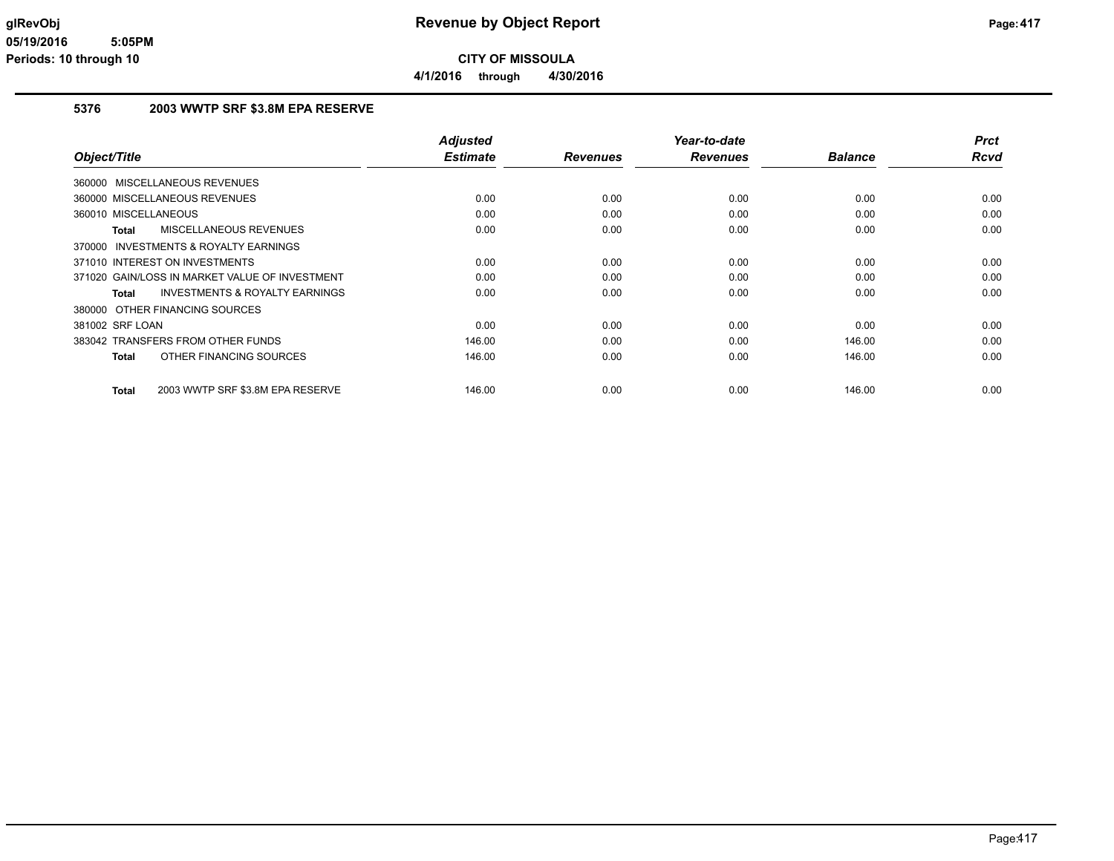**4/1/2016 through 4/30/2016**

### **5376 2003 WWTP SRF \$3.8M EPA RESERVE**

| Object/Title                                       | <b>Adjusted</b><br><b>Estimate</b> | <b>Revenues</b> | Year-to-date<br><b>Revenues</b> | <b>Balance</b> | <b>Prct</b><br>Rcvd |
|----------------------------------------------------|------------------------------------|-----------------|---------------------------------|----------------|---------------------|
|                                                    |                                    |                 |                                 |                |                     |
| 360000 MISCELLANEOUS REVENUES                      |                                    |                 |                                 |                |                     |
| 360000 MISCELLANEOUS REVENUES                      | 0.00                               | 0.00            | 0.00                            | 0.00           | 0.00                |
| 360010 MISCELLANEOUS                               | 0.00                               | 0.00            | 0.00                            | 0.00           | 0.00                |
| MISCELLANEOUS REVENUES<br>Total                    | 0.00                               | 0.00            | 0.00                            | 0.00           | 0.00                |
| 370000 INVESTMENTS & ROYALTY EARNINGS              |                                    |                 |                                 |                |                     |
| 371010 INTEREST ON INVESTMENTS                     | 0.00                               | 0.00            | 0.00                            | 0.00           | 0.00                |
| 371020 GAIN/LOSS IN MARKET VALUE OF INVESTMENT     | 0.00                               | 0.00            | 0.00                            | 0.00           | 0.00                |
| <b>INVESTMENTS &amp; ROYALTY EARNINGS</b><br>Total | 0.00                               | 0.00            | 0.00                            | 0.00           | 0.00                |
| 380000 OTHER FINANCING SOURCES                     |                                    |                 |                                 |                |                     |
| 381002 SRF LOAN                                    | 0.00                               | 0.00            | 0.00                            | 0.00           | 0.00                |
| 383042 TRANSFERS FROM OTHER FUNDS                  | 146.00                             | 0.00            | 0.00                            | 146.00         | 0.00                |
| OTHER FINANCING SOURCES<br>Total                   | 146.00                             | 0.00            | 0.00                            | 146.00         | 0.00                |
|                                                    |                                    |                 |                                 |                |                     |
| 2003 WWTP SRF \$3.8M EPA RESERVE<br>Total          | 146.00                             | 0.00            | 0.00                            | 146.00         | 0.00                |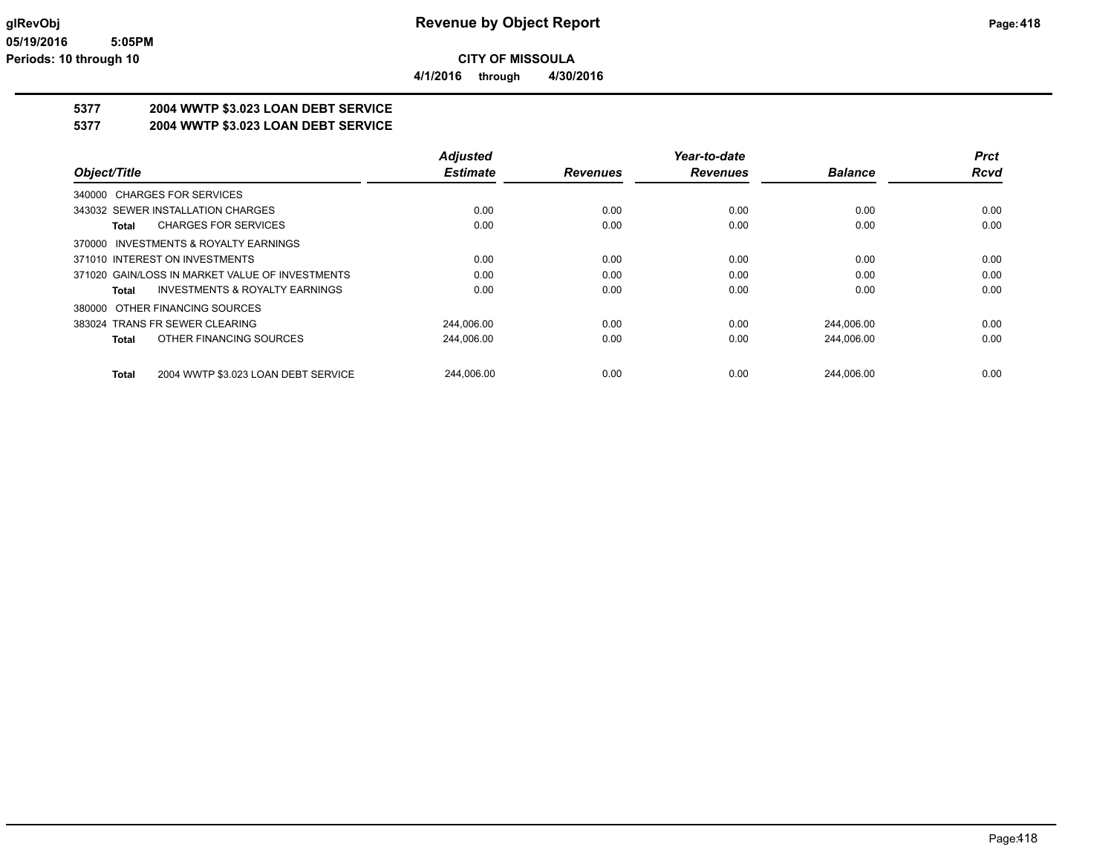**4/1/2016 through 4/30/2016**

## **5377 2004 WWTP \$3.023 LOAN DEBT SERVICE**

**5377 2004 WWTP \$3.023 LOAN DEBT SERVICE**

|                                                    | <b>Adjusted</b> |                 | Year-to-date    |                | <b>Prct</b> |
|----------------------------------------------------|-----------------|-----------------|-----------------|----------------|-------------|
| Object/Title                                       | <b>Estimate</b> | <b>Revenues</b> | <b>Revenues</b> | <b>Balance</b> | <b>Rcvd</b> |
| 340000 CHARGES FOR SERVICES                        |                 |                 |                 |                |             |
| 343032 SEWER INSTALLATION CHARGES                  | 0.00            | 0.00            | 0.00            | 0.00           | 0.00        |
| <b>CHARGES FOR SERVICES</b><br>Total               | 0.00            | 0.00            | 0.00            | 0.00           | 0.00        |
| 370000 INVESTMENTS & ROYALTY EARNINGS              |                 |                 |                 |                |             |
| 371010 INTEREST ON INVESTMENTS                     | 0.00            | 0.00            | 0.00            | 0.00           | 0.00        |
| 371020 GAIN/LOSS IN MARKET VALUE OF INVESTMENTS    | 0.00            | 0.00            | 0.00            | 0.00           | 0.00        |
| <b>INVESTMENTS &amp; ROYALTY EARNINGS</b><br>Total | 0.00            | 0.00            | 0.00            | 0.00           | 0.00        |
| 380000 OTHER FINANCING SOURCES                     |                 |                 |                 |                |             |
| 383024 TRANS FR SEWER CLEARING                     | 244.006.00      | 0.00            | 0.00            | 244.006.00     | 0.00        |
| OTHER FINANCING SOURCES<br>Total                   | 244,006.00      | 0.00            | 0.00            | 244,006.00     | 0.00        |
| 2004 WWTP \$3.023 LOAN DEBT SERVICE<br>Total       | 244.006.00      | 0.00            | 0.00            | 244.006.00     | 0.00        |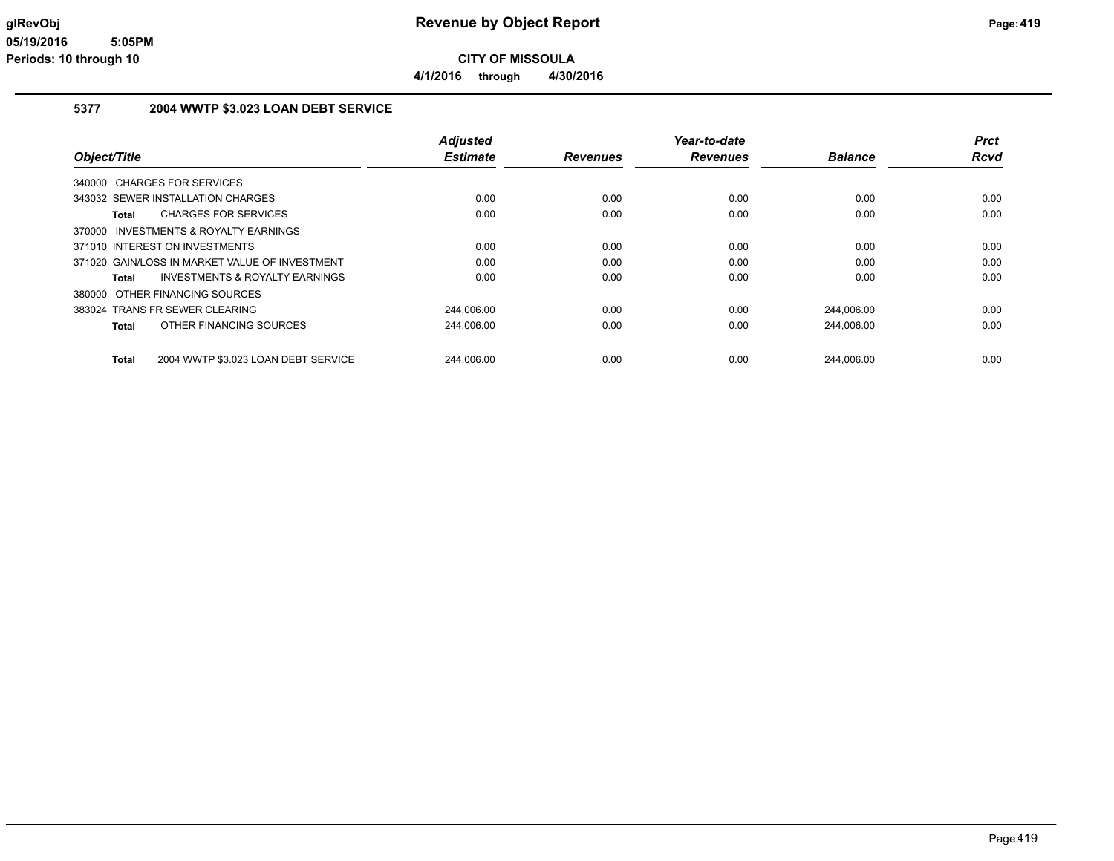**4/1/2016 through 4/30/2016**

### **5377 2004 WWTP \$3.023 LOAN DEBT SERVICE**

|                                                     | <b>Adjusted</b> |                 | Year-to-date    |                | <b>Prct</b> |
|-----------------------------------------------------|-----------------|-----------------|-----------------|----------------|-------------|
| Object/Title                                        | <b>Estimate</b> | <b>Revenues</b> | <b>Revenues</b> | <b>Balance</b> | Rcvd        |
| 340000 CHARGES FOR SERVICES                         |                 |                 |                 |                |             |
| 343032 SEWER INSTALLATION CHARGES                   | 0.00            | 0.00            | 0.00            | 0.00           | 0.00        |
| <b>CHARGES FOR SERVICES</b><br>Total                | 0.00            | 0.00            | 0.00            | 0.00           | 0.00        |
| 370000 INVESTMENTS & ROYALTY EARNINGS               |                 |                 |                 |                |             |
| 371010 INTEREST ON INVESTMENTS                      | 0.00            | 0.00            | 0.00            | 0.00           | 0.00        |
| 371020 GAIN/LOSS IN MARKET VALUE OF INVESTMENT      | 0.00            | 0.00            | 0.00            | 0.00           | 0.00        |
| <b>INVESTMENTS &amp; ROYALTY EARNINGS</b><br>Total  | 0.00            | 0.00            | 0.00            | 0.00           | 0.00        |
| 380000 OTHER FINANCING SOURCES                      |                 |                 |                 |                |             |
| 383024 TRANS FR SEWER CLEARING                      | 244,006.00      | 0.00            | 0.00            | 244,006.00     | 0.00        |
| OTHER FINANCING SOURCES<br><b>Total</b>             | 244.006.00      | 0.00            | 0.00            | 244.006.00     | 0.00        |
| 2004 WWTP \$3.023 LOAN DEBT SERVICE<br><b>Total</b> | 244,006.00      | 0.00            | 0.00            | 244.006.00     | 0.00        |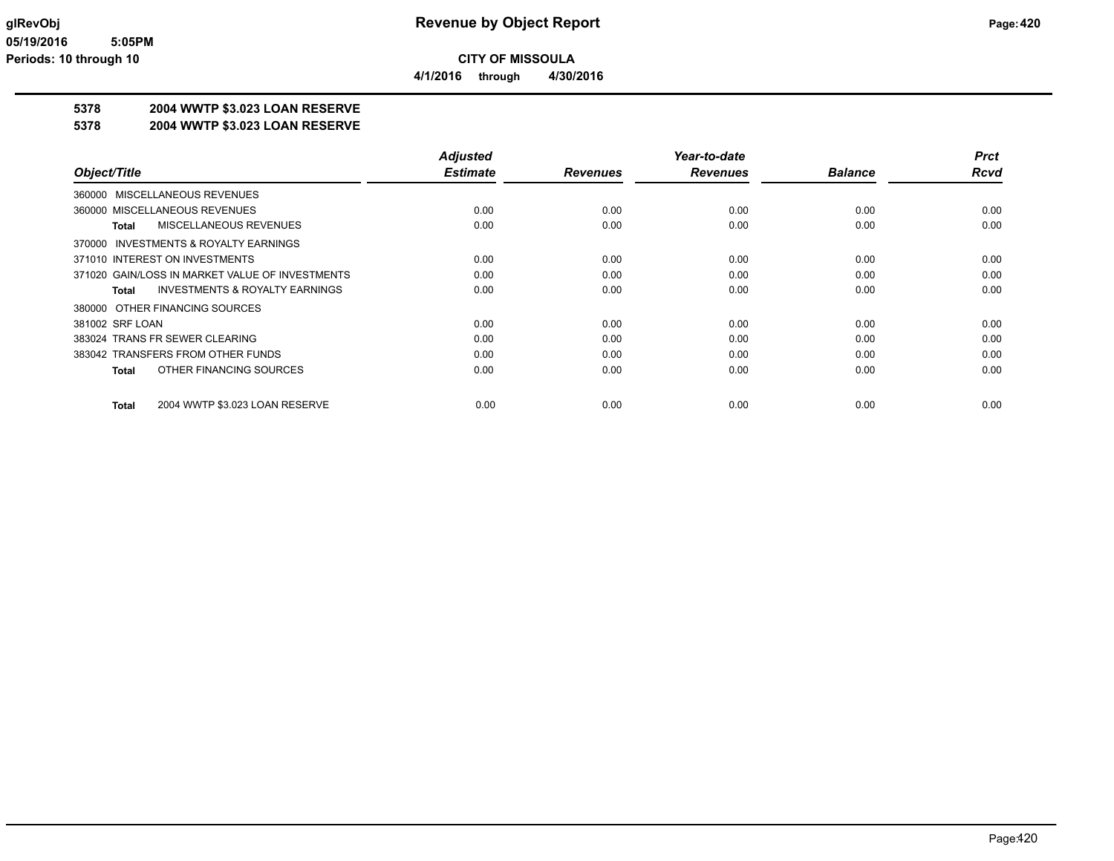**4/1/2016 through 4/30/2016**

# **5378 2004 WWTP \$3.023 LOAN RESERVE**

### **5378 2004 WWTP \$3.023 LOAN RESERVE**

|                                                    | <b>Adjusted</b> |                 | Year-to-date    |                | <b>Prct</b> |
|----------------------------------------------------|-----------------|-----------------|-----------------|----------------|-------------|
| Object/Title                                       | <b>Estimate</b> | <b>Revenues</b> | <b>Revenues</b> | <b>Balance</b> | <b>Rcvd</b> |
| 360000 MISCELLANEOUS REVENUES                      |                 |                 |                 |                |             |
| 360000 MISCELLANEOUS REVENUES                      | 0.00            | 0.00            | 0.00            | 0.00           | 0.00        |
| MISCELLANEOUS REVENUES<br>Total                    | 0.00            | 0.00            | 0.00            | 0.00           | 0.00        |
| 370000 INVESTMENTS & ROYALTY EARNINGS              |                 |                 |                 |                |             |
| 371010 INTEREST ON INVESTMENTS                     | 0.00            | 0.00            | 0.00            | 0.00           | 0.00        |
| 371020 GAIN/LOSS IN MARKET VALUE OF INVESTMENTS    | 0.00            | 0.00            | 0.00            | 0.00           | 0.00        |
| <b>INVESTMENTS &amp; ROYALTY EARNINGS</b><br>Total | 0.00            | 0.00            | 0.00            | 0.00           | 0.00        |
| 380000 OTHER FINANCING SOURCES                     |                 |                 |                 |                |             |
| 381002 SRF LOAN                                    | 0.00            | 0.00            | 0.00            | 0.00           | 0.00        |
| 383024 TRANS FR SEWER CLEARING                     | 0.00            | 0.00            | 0.00            | 0.00           | 0.00        |
| 383042 TRANSFERS FROM OTHER FUNDS                  | 0.00            | 0.00            | 0.00            | 0.00           | 0.00        |
| OTHER FINANCING SOURCES<br><b>Total</b>            | 0.00            | 0.00            | 0.00            | 0.00           | 0.00        |
| 2004 WWTP \$3.023 LOAN RESERVE<br>Total            | 0.00            | 0.00            | 0.00            | 0.00           | 0.00        |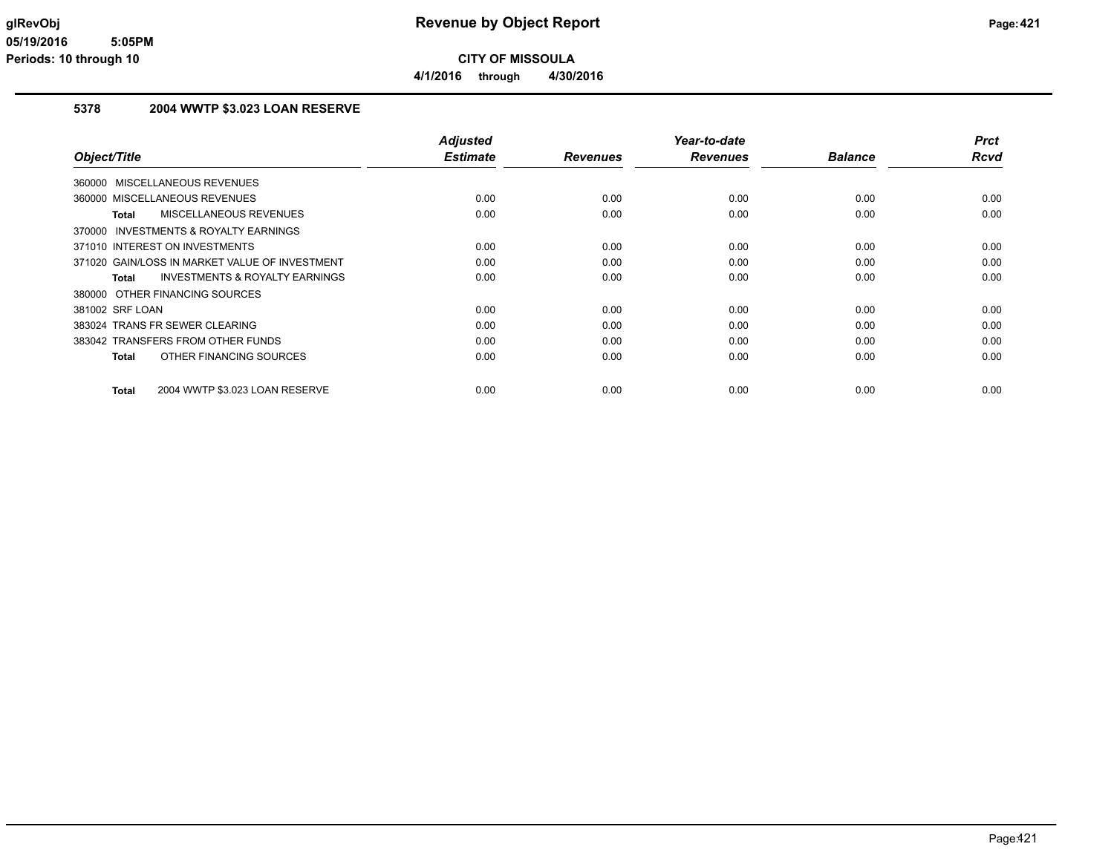**CITY OF MISSOULA 4/1/2016 through 4/30/2016**

### **5378 2004 WWTP \$3.023 LOAN RESERVE**

| Object/Title                                              | <b>Adjusted</b><br><b>Estimate</b> | <b>Revenues</b> | Year-to-date<br><b>Revenues</b> | <b>Balance</b> | <b>Prct</b><br><b>Rcvd</b> |
|-----------------------------------------------------------|------------------------------------|-----------------|---------------------------------|----------------|----------------------------|
|                                                           |                                    |                 |                                 |                |                            |
| 360000 MISCELLANEOUS REVENUES                             |                                    |                 |                                 |                |                            |
| 360000 MISCELLANEOUS REVENUES                             | 0.00                               | 0.00            | 0.00                            | 0.00           | 0.00                       |
| MISCELLANEOUS REVENUES<br><b>Total</b>                    | 0.00                               | 0.00            | 0.00                            | 0.00           | 0.00                       |
| 370000 INVESTMENTS & ROYALTY EARNINGS                     |                                    |                 |                                 |                |                            |
| 371010 INTEREST ON INVESTMENTS                            | 0.00                               | 0.00            | 0.00                            | 0.00           | 0.00                       |
| 371020 GAIN/LOSS IN MARKET VALUE OF INVESTMENT            | 0.00                               | 0.00            | 0.00                            | 0.00           | 0.00                       |
| <b>INVESTMENTS &amp; ROYALTY EARNINGS</b><br><b>Total</b> | 0.00                               | 0.00            | 0.00                            | 0.00           | 0.00                       |
| 380000 OTHER FINANCING SOURCES                            |                                    |                 |                                 |                |                            |
| 381002 SRF LOAN                                           | 0.00                               | 0.00            | 0.00                            | 0.00           | 0.00                       |
| 383024 TRANS FR SEWER CLEARING                            | 0.00                               | 0.00            | 0.00                            | 0.00           | 0.00                       |
| 383042 TRANSFERS FROM OTHER FUNDS                         | 0.00                               | 0.00            | 0.00                            | 0.00           | 0.00                       |
| OTHER FINANCING SOURCES<br><b>Total</b>                   | 0.00                               | 0.00            | 0.00                            | 0.00           | 0.00                       |
|                                                           |                                    |                 |                                 |                |                            |
| 2004 WWTP \$3.023 LOAN RESERVE<br><b>Total</b>            | 0.00                               | 0.00            | 0.00                            | 0.00           | 0.00                       |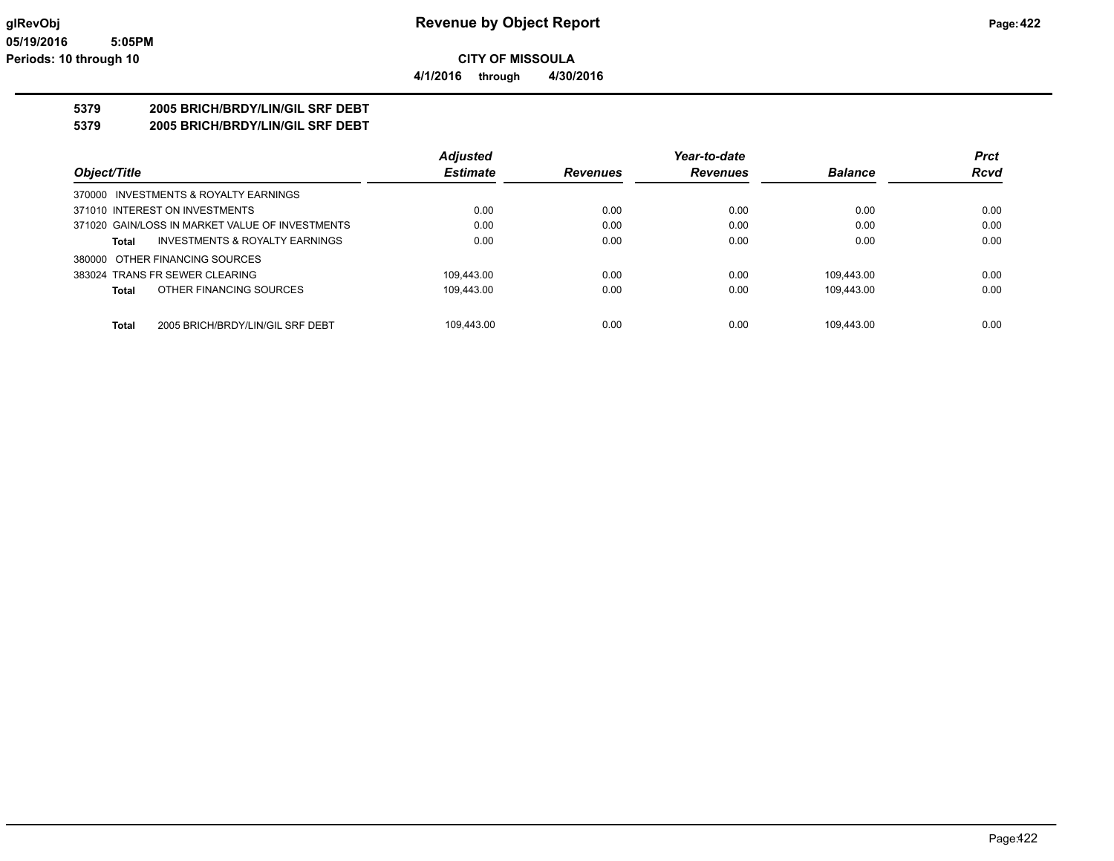**CITY OF MISSOULA 4/1/2016 through 4/30/2016**

### **5379 2005 BRICH/BRDY/LIN/GIL SRF DEBT**

**5379 2005 BRICH/BRDY/LIN/GIL SRF DEBT**

|                                                    | <b>Adjusted</b> |                 | Year-to-date    |                | <b>Prct</b> |
|----------------------------------------------------|-----------------|-----------------|-----------------|----------------|-------------|
| Object/Title                                       | <b>Estimate</b> | <b>Revenues</b> | <b>Revenues</b> | <b>Balance</b> | <b>Rcvd</b> |
| 370000 INVESTMENTS & ROYALTY EARNINGS              |                 |                 |                 |                |             |
| 371010 INTEREST ON INVESTMENTS                     | 0.00            | 0.00            | 0.00            | 0.00           | 0.00        |
| 371020 GAIN/LOSS IN MARKET VALUE OF INVESTMENTS    | 0.00            | 0.00            | 0.00            | 0.00           | 0.00        |
| <b>INVESTMENTS &amp; ROYALTY EARNINGS</b><br>Total | 0.00            | 0.00            | 0.00            | 0.00           | 0.00        |
| 380000 OTHER FINANCING SOURCES                     |                 |                 |                 |                |             |
| 383024 TRANS FR SEWER CLEARING                     | 109.443.00      | 0.00            | 0.00            | 109.443.00     | 0.00        |
| OTHER FINANCING SOURCES<br><b>Total</b>            | 109.443.00      | 0.00            | 0.00            | 109.443.00     | 0.00        |
| 2005 BRICH/BRDY/LIN/GIL SRF DEBT<br><b>Total</b>   | 109.443.00      | 0.00            | 0.00            | 109.443.00     | 0.00        |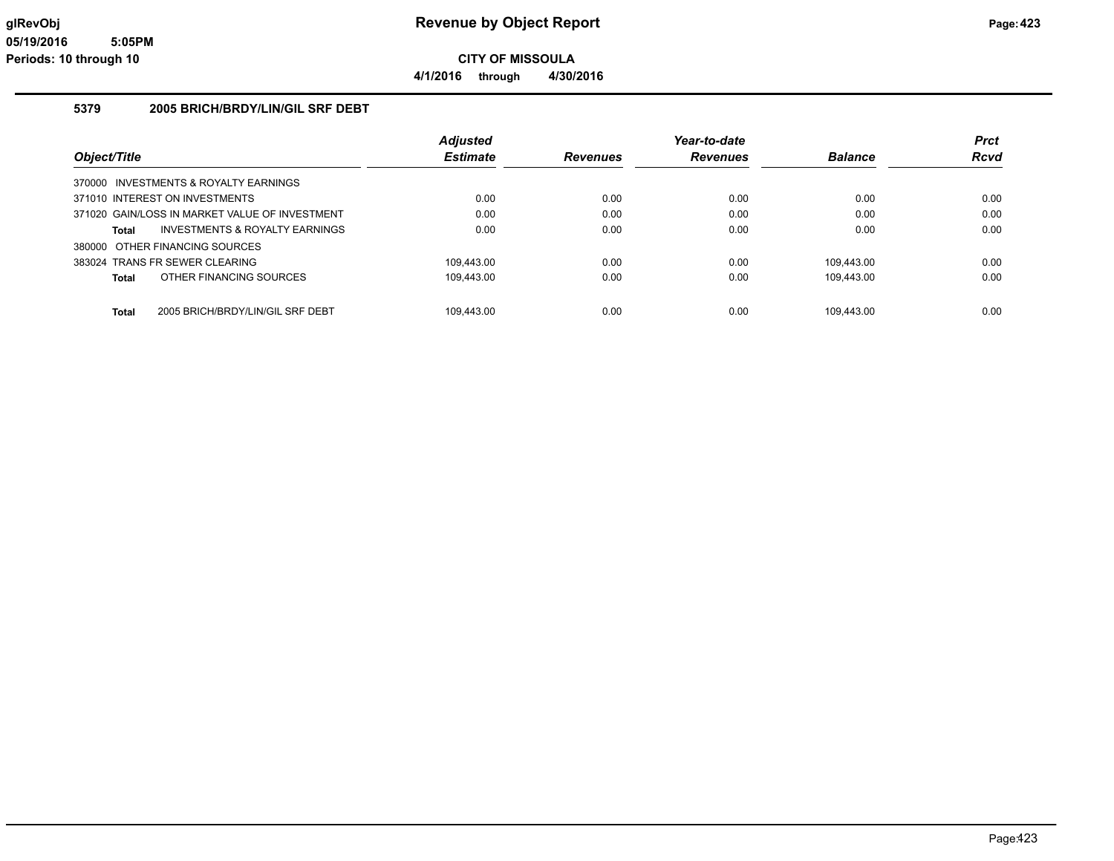**4/1/2016 through 4/30/2016**

### **5379 2005 BRICH/BRDY/LIN/GIL SRF DEBT**

|                                                  | <b>Adjusted</b> |                 | Year-to-date    |                | <b>Prct</b> |
|--------------------------------------------------|-----------------|-----------------|-----------------|----------------|-------------|
| Object/Title                                     | <b>Estimate</b> | <b>Revenues</b> | <b>Revenues</b> | <b>Balance</b> | <b>Rcvd</b> |
| 370000 INVESTMENTS & ROYALTY EARNINGS            |                 |                 |                 |                |             |
| 371010 INTEREST ON INVESTMENTS                   | 0.00            | 0.00            | 0.00            | 0.00           | 0.00        |
| 371020 GAIN/LOSS IN MARKET VALUE OF INVESTMENT   | 0.00            | 0.00            | 0.00            | 0.00           | 0.00        |
| INVESTMENTS & ROYALTY EARNINGS<br>Total          | 0.00            | 0.00            | 0.00            | 0.00           | 0.00        |
| 380000 OTHER FINANCING SOURCES                   |                 |                 |                 |                |             |
| 383024 TRANS FR SEWER CLEARING                   | 109.443.00      | 0.00            | 0.00            | 109.443.00     | 0.00        |
| OTHER FINANCING SOURCES<br>Total                 | 109.443.00      | 0.00            | 0.00            | 109.443.00     | 0.00        |
|                                                  |                 |                 |                 |                |             |
| 2005 BRICH/BRDY/LIN/GIL SRF DEBT<br><b>Total</b> | 109.443.00      | 0.00            | 0.00            | 109.443.00     | 0.00        |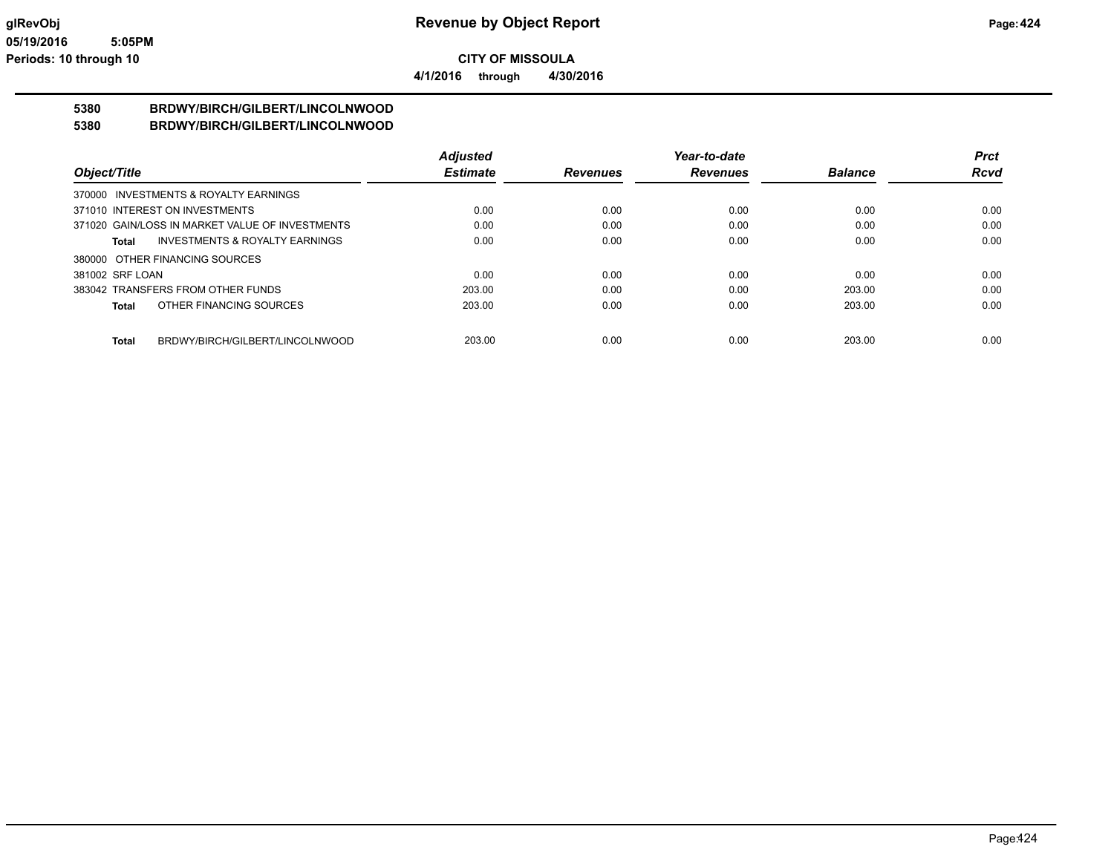**4/1/2016 through 4/30/2016**

# **5380 BRDWY/BIRCH/GILBERT/LINCOLNWOOD**

### **5380 BRDWY/BIRCH/GILBERT/LINCOLNWOOD**

|                                                 | <b>Adjusted</b> |                 | Year-to-date    |                | <b>Prct</b> |
|-------------------------------------------------|-----------------|-----------------|-----------------|----------------|-------------|
| Object/Title                                    | <b>Estimate</b> | <b>Revenues</b> | <b>Revenues</b> | <b>Balance</b> | <b>Rcvd</b> |
| 370000 INVESTMENTS & ROYALTY EARNINGS           |                 |                 |                 |                |             |
| 371010 INTEREST ON INVESTMENTS                  | 0.00            | 0.00            | 0.00            | 0.00           | 0.00        |
| 371020 GAIN/LOSS IN MARKET VALUE OF INVESTMENTS | 0.00            | 0.00            | 0.00            | 0.00           | 0.00        |
| INVESTMENTS & ROYALTY EARNINGS<br>Total         | 0.00            | 0.00            | 0.00            | 0.00           | 0.00        |
| 380000 OTHER FINANCING SOURCES                  |                 |                 |                 |                |             |
| 381002 SRF LOAN                                 | 0.00            | 0.00            | 0.00            | 0.00           | 0.00        |
| 383042 TRANSFERS FROM OTHER FUNDS               | 203.00          | 0.00            | 0.00            | 203.00         | 0.00        |
| OTHER FINANCING SOURCES<br>Total                | 203.00          | 0.00            | 0.00            | 203.00         | 0.00        |
| BRDWY/BIRCH/GILBERT/LINCOLNWOOD<br>Total        | 203.00          | 0.00            | 0.00            | 203.00         | 0.00        |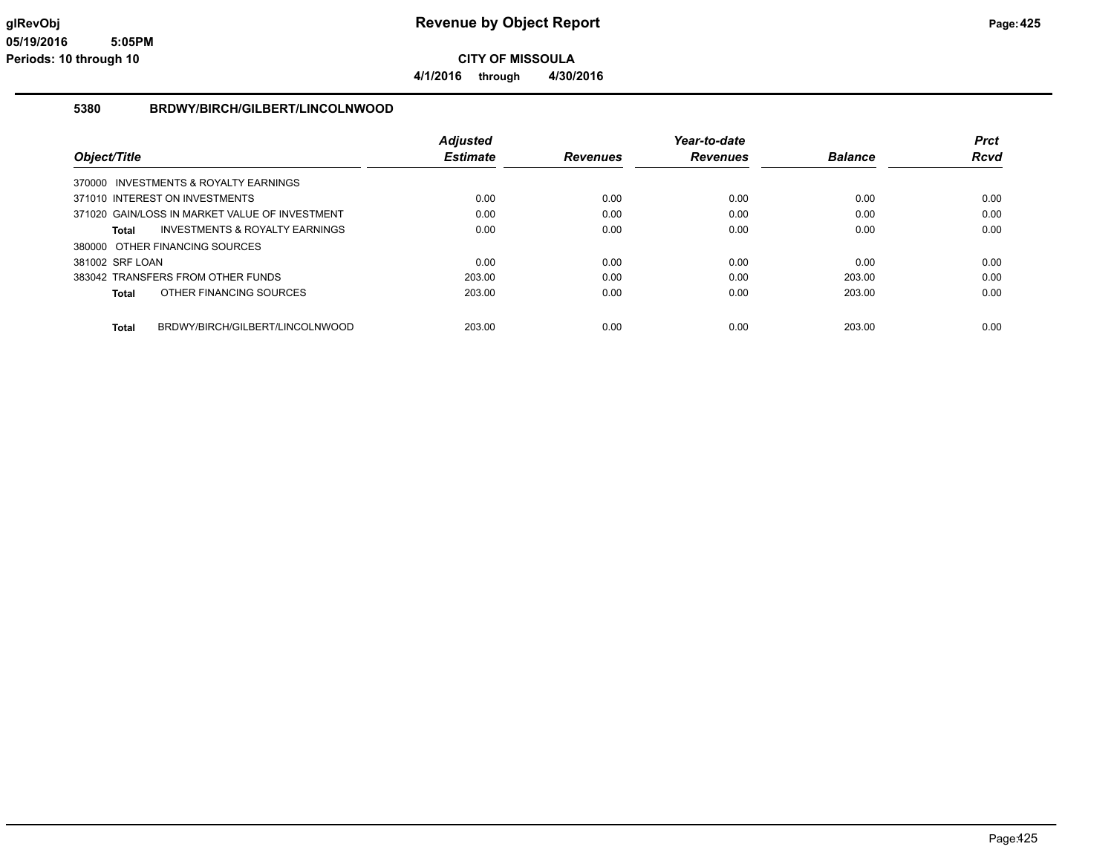**4/1/2016 through 4/30/2016**

### **5380 BRDWY/BIRCH/GILBERT/LINCOLNWOOD**

|                                                 | <b>Adjusted</b> |                 | Year-to-date    |                | <b>Prct</b> |
|-------------------------------------------------|-----------------|-----------------|-----------------|----------------|-------------|
| Object/Title                                    | <b>Estimate</b> | <b>Revenues</b> | <b>Revenues</b> | <b>Balance</b> | Rcvd        |
| 370000 INVESTMENTS & ROYALTY EARNINGS           |                 |                 |                 |                |             |
| 371010 INTEREST ON INVESTMENTS                  | 0.00            | 0.00            | 0.00            | 0.00           | 0.00        |
| 371020 GAIN/LOSS IN MARKET VALUE OF INVESTMENT  | 0.00            | 0.00            | 0.00            | 0.00           | 0.00        |
| INVESTMENTS & ROYALTY EARNINGS<br>Total         | 0.00            | 0.00            | 0.00            | 0.00           | 0.00        |
| 380000 OTHER FINANCING SOURCES                  |                 |                 |                 |                |             |
| 381002 SRF LOAN                                 | 0.00            | 0.00            | 0.00            | 0.00           | 0.00        |
| 383042 TRANSFERS FROM OTHER FUNDS               | 203.00          | 0.00            | 0.00            | 203.00         | 0.00        |
| OTHER FINANCING SOURCES<br>Total                | 203.00          | 0.00            | 0.00            | 203.00         | 0.00        |
|                                                 |                 |                 |                 |                |             |
| BRDWY/BIRCH/GILBERT/LINCOLNWOOD<br><b>Total</b> | 203.00          | 0.00            | 0.00            | 203.00         | 0.00        |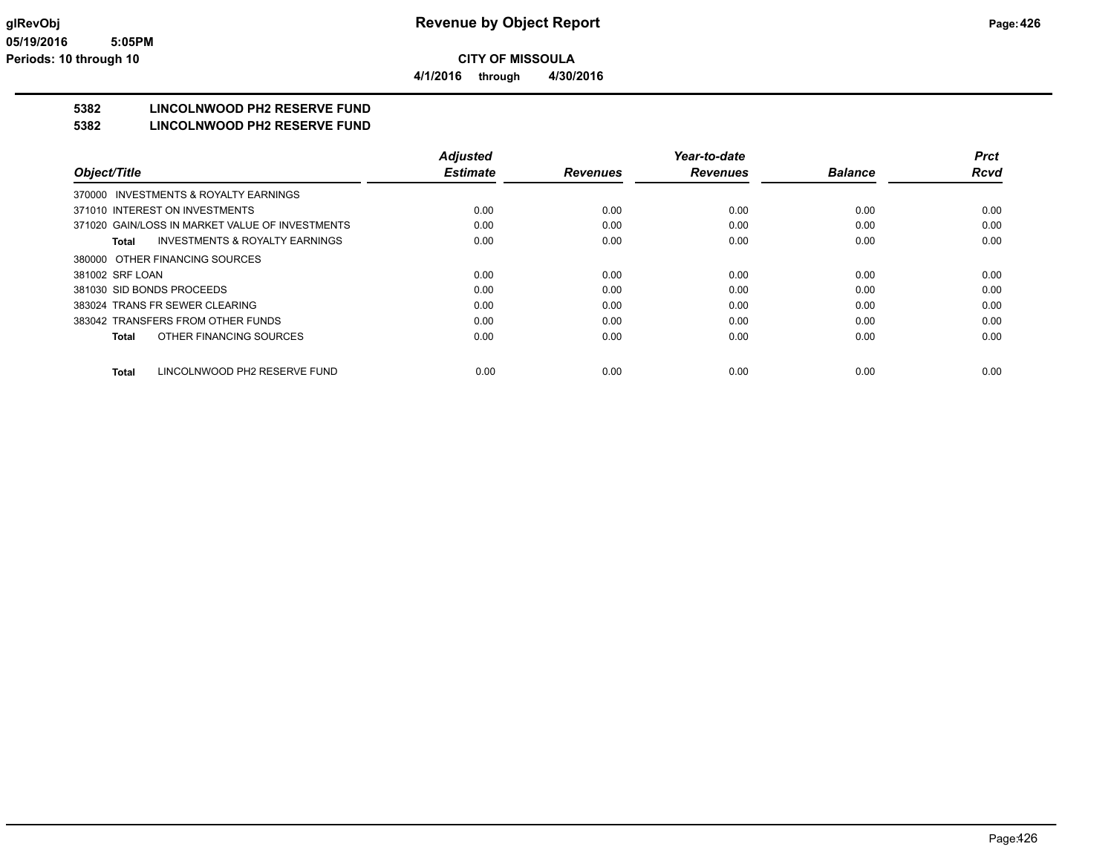**4/1/2016 through 4/30/2016**

## **5382 LINCOLNWOOD PH2 RESERVE FUND**

### **5382 LINCOLNWOOD PH2 RESERVE FUND**

|                                                    | <b>Adjusted</b> |                 | Year-to-date    |                | Prct        |
|----------------------------------------------------|-----------------|-----------------|-----------------|----------------|-------------|
| Object/Title                                       | <b>Estimate</b> | <b>Revenues</b> | <b>Revenues</b> | <b>Balance</b> | <b>Rcvd</b> |
| 370000 INVESTMENTS & ROYALTY EARNINGS              |                 |                 |                 |                |             |
| 371010 INTEREST ON INVESTMENTS                     | 0.00            | 0.00            | 0.00            | 0.00           | 0.00        |
| 371020 GAIN/LOSS IN MARKET VALUE OF INVESTMENTS    | 0.00            | 0.00            | 0.00            | 0.00           | 0.00        |
| <b>INVESTMENTS &amp; ROYALTY EARNINGS</b><br>Total | 0.00            | 0.00            | 0.00            | 0.00           | 0.00        |
| 380000 OTHER FINANCING SOURCES                     |                 |                 |                 |                |             |
| 381002 SRF LOAN                                    | 0.00            | 0.00            | 0.00            | 0.00           | 0.00        |
| 381030 SID BONDS PROCEEDS                          | 0.00            | 0.00            | 0.00            | 0.00           | 0.00        |
| 383024 TRANS FR SEWER CLEARING                     | 0.00            | 0.00            | 0.00            | 0.00           | 0.00        |
| 383042 TRANSFERS FROM OTHER FUNDS                  | 0.00            | 0.00            | 0.00            | 0.00           | 0.00        |
| OTHER FINANCING SOURCES<br><b>Total</b>            | 0.00            | 0.00            | 0.00            | 0.00           | 0.00        |
| LINCOLNWOOD PH2 RESERVE FUND<br><b>Total</b>       | 0.00            | 0.00            | 0.00            | 0.00           | 0.00        |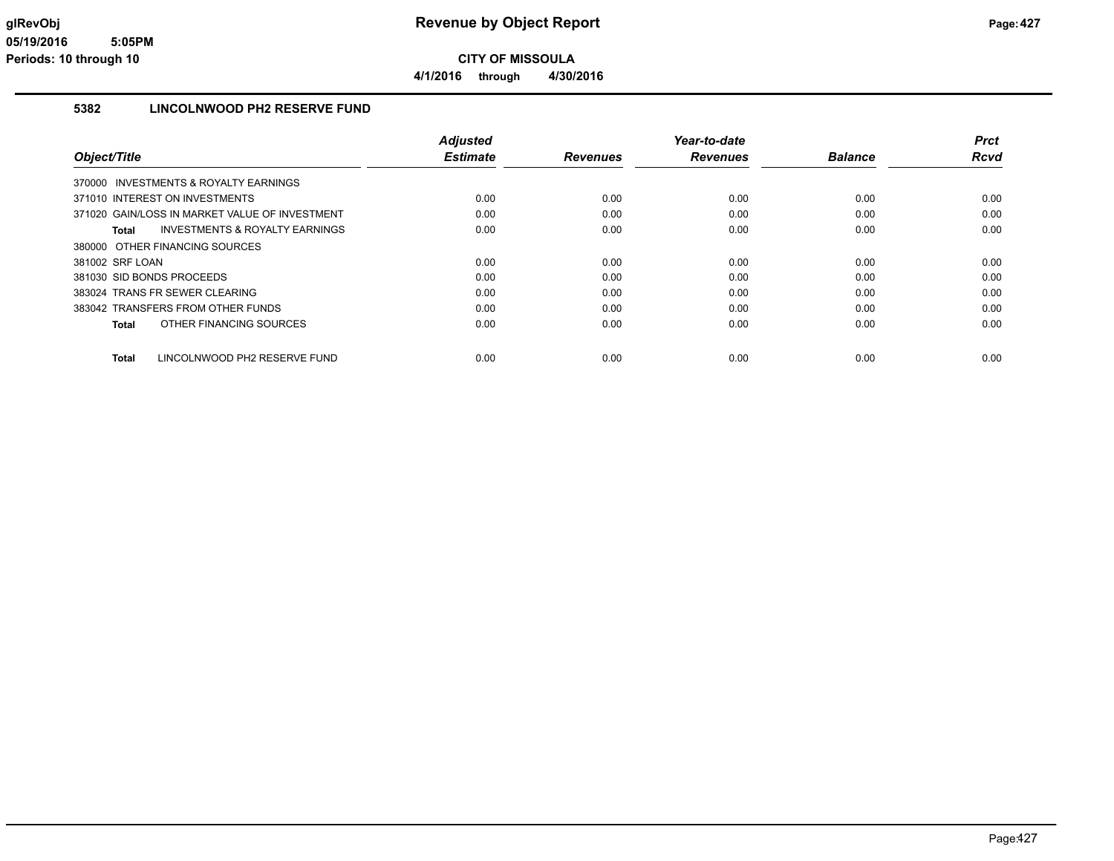**CITY OF MISSOULA 4/1/2016 through 4/30/2016**

### **5382 LINCOLNWOOD PH2 RESERVE FUND**

|                                                    | <b>Adjusted</b> |                 | Year-to-date    |                | <b>Prct</b> |
|----------------------------------------------------|-----------------|-----------------|-----------------|----------------|-------------|
| Object/Title                                       | <b>Estimate</b> | <b>Revenues</b> | <b>Revenues</b> | <b>Balance</b> | Rcvd        |
| 370000 INVESTMENTS & ROYALTY EARNINGS              |                 |                 |                 |                |             |
| 371010 INTEREST ON INVESTMENTS                     | 0.00            | 0.00            | 0.00            | 0.00           | 0.00        |
| 371020 GAIN/LOSS IN MARKET VALUE OF INVESTMENT     | 0.00            | 0.00            | 0.00            | 0.00           | 0.00        |
| <b>INVESTMENTS &amp; ROYALTY EARNINGS</b><br>Total | 0.00            | 0.00            | 0.00            | 0.00           | 0.00        |
| 380000 OTHER FINANCING SOURCES                     |                 |                 |                 |                |             |
| 381002 SRF LOAN                                    | 0.00            | 0.00            | 0.00            | 0.00           | 0.00        |
| 381030 SID BONDS PROCEEDS                          | 0.00            | 0.00            | 0.00            | 0.00           | 0.00        |
| 383024 TRANS FR SEWER CLEARING                     | 0.00            | 0.00            | 0.00            | 0.00           | 0.00        |
| 383042 TRANSFERS FROM OTHER FUNDS                  | 0.00            | 0.00            | 0.00            | 0.00           | 0.00        |
| OTHER FINANCING SOURCES<br>Total                   | 0.00            | 0.00            | 0.00            | 0.00           | 0.00        |
|                                                    |                 |                 |                 |                |             |
| LINCOLNWOOD PH2 RESERVE FUND<br>Total              | 0.00            | 0.00            | 0.00            | 0.00           | 0.00        |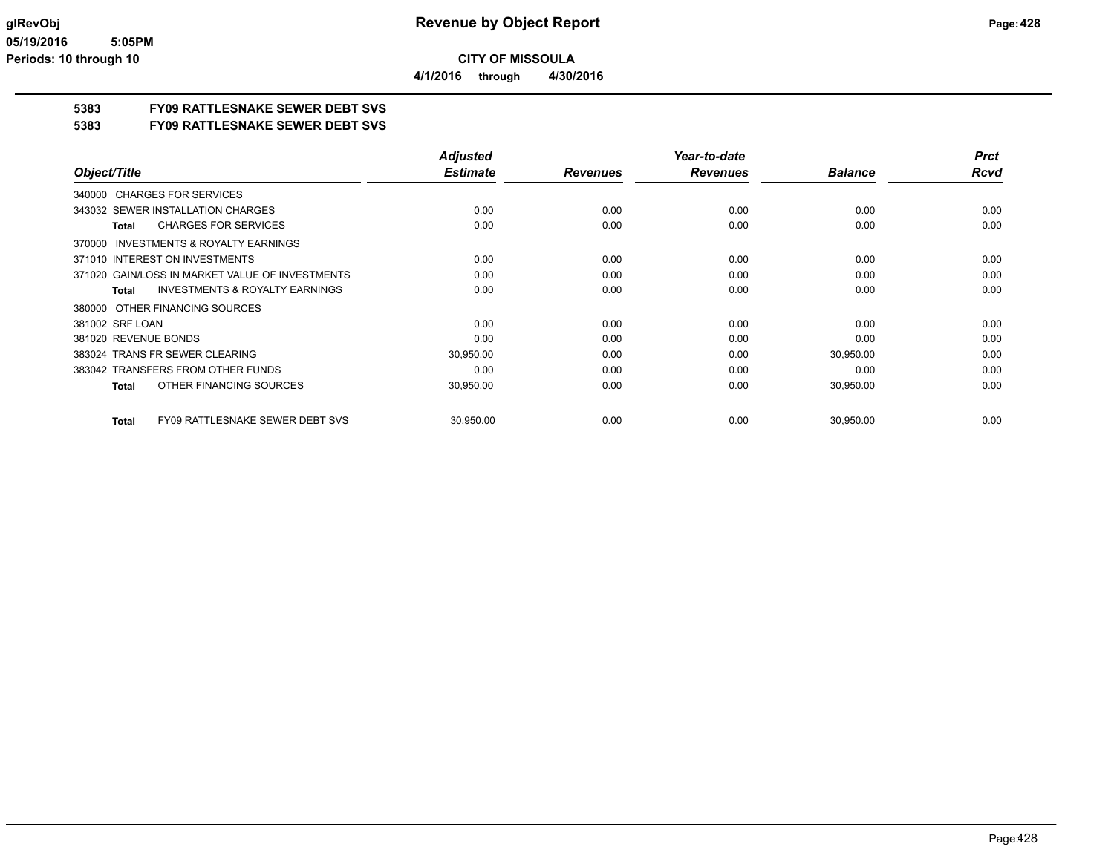**4/1/2016 through 4/30/2016**

### **5383 FY09 RATTLESNAKE SEWER DEBT SVS**

**5383 FY09 RATTLESNAKE SEWER DEBT SVS**

|                                                           | <b>Adjusted</b> |                 | Year-to-date    |                | <b>Prct</b> |
|-----------------------------------------------------------|-----------------|-----------------|-----------------|----------------|-------------|
| Object/Title                                              | <b>Estimate</b> | <b>Revenues</b> | <b>Revenues</b> | <b>Balance</b> | <b>Rcvd</b> |
| 340000 CHARGES FOR SERVICES                               |                 |                 |                 |                |             |
| 343032 SEWER INSTALLATION CHARGES                         | 0.00            | 0.00            | 0.00            | 0.00           | 0.00        |
| <b>CHARGES FOR SERVICES</b><br><b>Total</b>               | 0.00            | 0.00            | 0.00            | 0.00           | 0.00        |
| INVESTMENTS & ROYALTY EARNINGS<br>370000                  |                 |                 |                 |                |             |
| 371010 INTEREST ON INVESTMENTS                            | 0.00            | 0.00            | 0.00            | 0.00           | 0.00        |
| 371020 GAIN/LOSS IN MARKET VALUE OF INVESTMENTS           | 0.00            | 0.00            | 0.00            | 0.00           | 0.00        |
| <b>INVESTMENTS &amp; ROYALTY EARNINGS</b><br><b>Total</b> | 0.00            | 0.00            | 0.00            | 0.00           | 0.00        |
| 380000 OTHER FINANCING SOURCES                            |                 |                 |                 |                |             |
| 381002 SRF LOAN                                           | 0.00            | 0.00            | 0.00            | 0.00           | 0.00        |
| 381020 REVENUE BONDS                                      | 0.00            | 0.00            | 0.00            | 0.00           | 0.00        |
| 383024 TRANS FR SEWER CLEARING                            | 30,950.00       | 0.00            | 0.00            | 30,950.00      | 0.00        |
| 383042 TRANSFERS FROM OTHER FUNDS                         | 0.00            | 0.00            | 0.00            | 0.00           | 0.00        |
| OTHER FINANCING SOURCES<br><b>Total</b>                   | 30,950.00       | 0.00            | 0.00            | 30,950.00      | 0.00        |
|                                                           |                 |                 |                 |                |             |
| <b>FY09 RATTLESNAKE SEWER DEBT SVS</b><br><b>Total</b>    | 30,950.00       | 0.00            | 0.00            | 30,950.00      | 0.00        |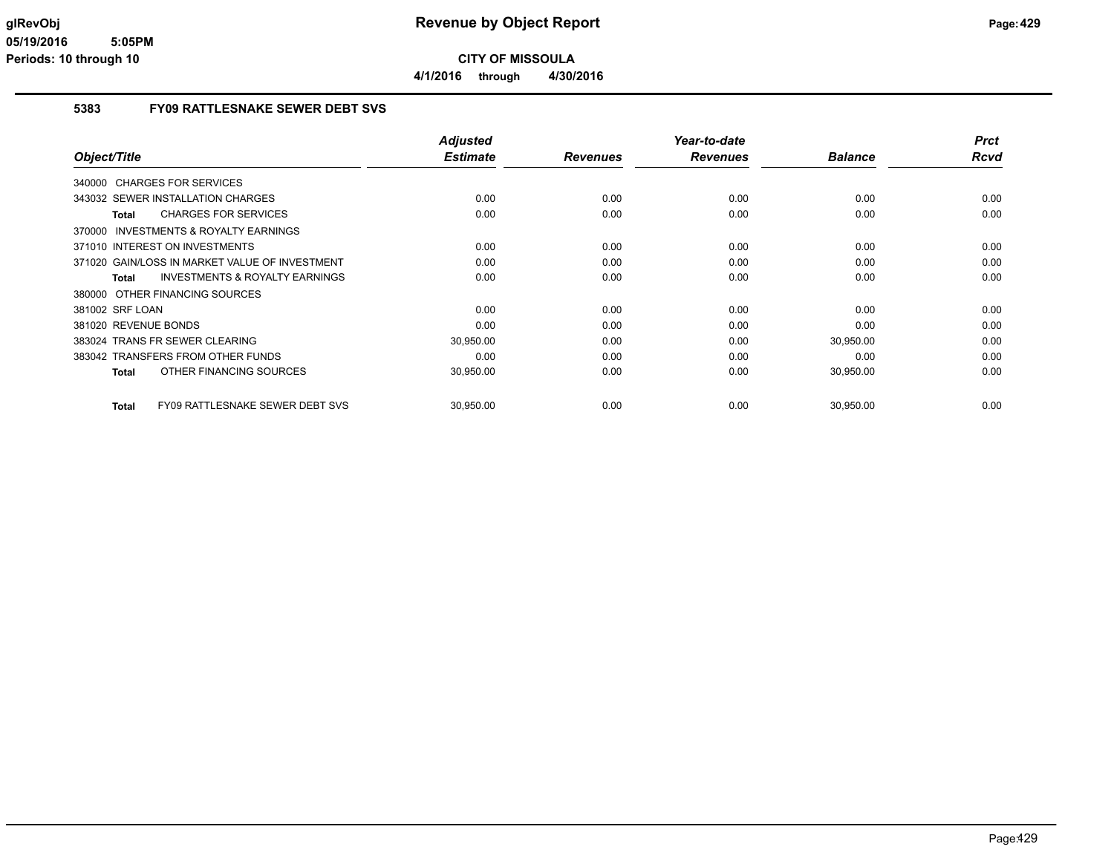**4/1/2016 through 4/30/2016**

### **5383 FY09 RATTLESNAKE SEWER DEBT SVS**

|                                                    | <b>Adjusted</b> |                 | Year-to-date    |                | <b>Prct</b> |
|----------------------------------------------------|-----------------|-----------------|-----------------|----------------|-------------|
| Object/Title                                       | <b>Estimate</b> | <b>Revenues</b> | <b>Revenues</b> | <b>Balance</b> | <b>Rcvd</b> |
| 340000 CHARGES FOR SERVICES                        |                 |                 |                 |                |             |
| 343032 SEWER INSTALLATION CHARGES                  | 0.00            | 0.00            | 0.00            | 0.00           | 0.00        |
| <b>CHARGES FOR SERVICES</b><br>Total               | 0.00            | 0.00            | 0.00            | 0.00           | 0.00        |
| 370000 INVESTMENTS & ROYALTY EARNINGS              |                 |                 |                 |                |             |
| 371010 INTEREST ON INVESTMENTS                     | 0.00            | 0.00            | 0.00            | 0.00           | 0.00        |
| 371020 GAIN/LOSS IN MARKET VALUE OF INVESTMENT     | 0.00            | 0.00            | 0.00            | 0.00           | 0.00        |
| <b>INVESTMENTS &amp; ROYALTY EARNINGS</b><br>Total | 0.00            | 0.00            | 0.00            | 0.00           | 0.00        |
| 380000 OTHER FINANCING SOURCES                     |                 |                 |                 |                |             |
| 381002 SRF LOAN                                    | 0.00            | 0.00            | 0.00            | 0.00           | 0.00        |
| 381020 REVENUE BONDS                               | 0.00            | 0.00            | 0.00            | 0.00           | 0.00        |
| 383024 TRANS FR SEWER CLEARING                     | 30,950.00       | 0.00            | 0.00            | 30,950.00      | 0.00        |
| 383042 TRANSFERS FROM OTHER FUNDS                  | 0.00            | 0.00            | 0.00            | 0.00           | 0.00        |
| OTHER FINANCING SOURCES<br><b>Total</b>            | 30,950.00       | 0.00            | 0.00            | 30,950.00      | 0.00        |
| <b>FY09 RATTLESNAKE SEWER DEBT SVS</b><br>Total    | 30.950.00       | 0.00            | 0.00            | 30.950.00      | 0.00        |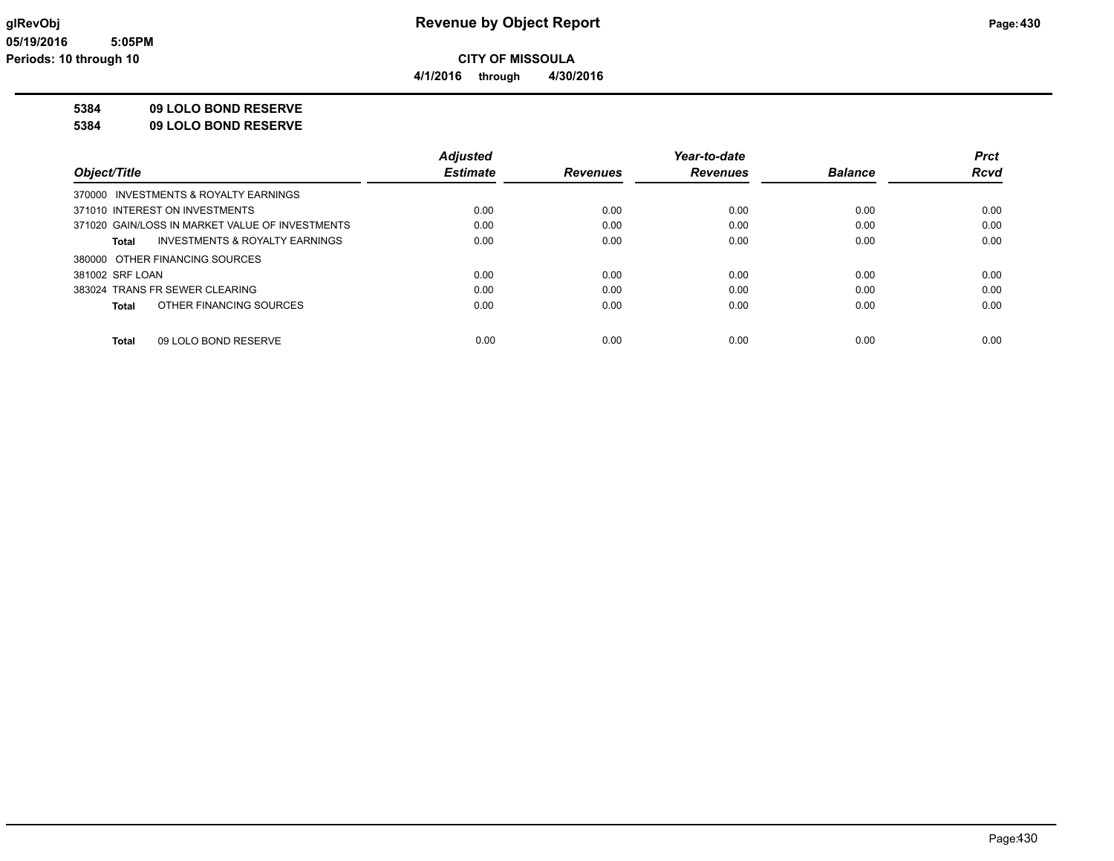**4/1/2016 through 4/30/2016**

### **5384 09 LOLO BOND RESERVE**

**5384 09 LOLO BOND RESERVE**

|                                                 | <b>Adjusted</b> |                 | Year-to-date    |                | <b>Prct</b> |
|-------------------------------------------------|-----------------|-----------------|-----------------|----------------|-------------|
| Object/Title                                    | <b>Estimate</b> | <b>Revenues</b> | <b>Revenues</b> | <b>Balance</b> | <b>Rcvd</b> |
| 370000 INVESTMENTS & ROYALTY EARNINGS           |                 |                 |                 |                |             |
| 371010 INTEREST ON INVESTMENTS                  | 0.00            | 0.00            | 0.00            | 0.00           | 0.00        |
| 371020 GAIN/LOSS IN MARKET VALUE OF INVESTMENTS | 0.00            | 0.00            | 0.00            | 0.00           | 0.00        |
| INVESTMENTS & ROYALTY EARNINGS<br>Total         | 0.00            | 0.00            | 0.00            | 0.00           | 0.00        |
| 380000 OTHER FINANCING SOURCES                  |                 |                 |                 |                |             |
| 381002 SRF LOAN                                 | 0.00            | 0.00            | 0.00            | 0.00           | 0.00        |
| 383024 TRANS FR SEWER CLEARING                  | 0.00            | 0.00            | 0.00            | 0.00           | 0.00        |
| OTHER FINANCING SOURCES<br>Total                | 0.00            | 0.00            | 0.00            | 0.00           | 0.00        |
|                                                 |                 |                 |                 |                |             |
| 09 LOLO BOND RESERVE<br><b>Total</b>            | 0.00            | 0.00            | 0.00            | 0.00           | 0.00        |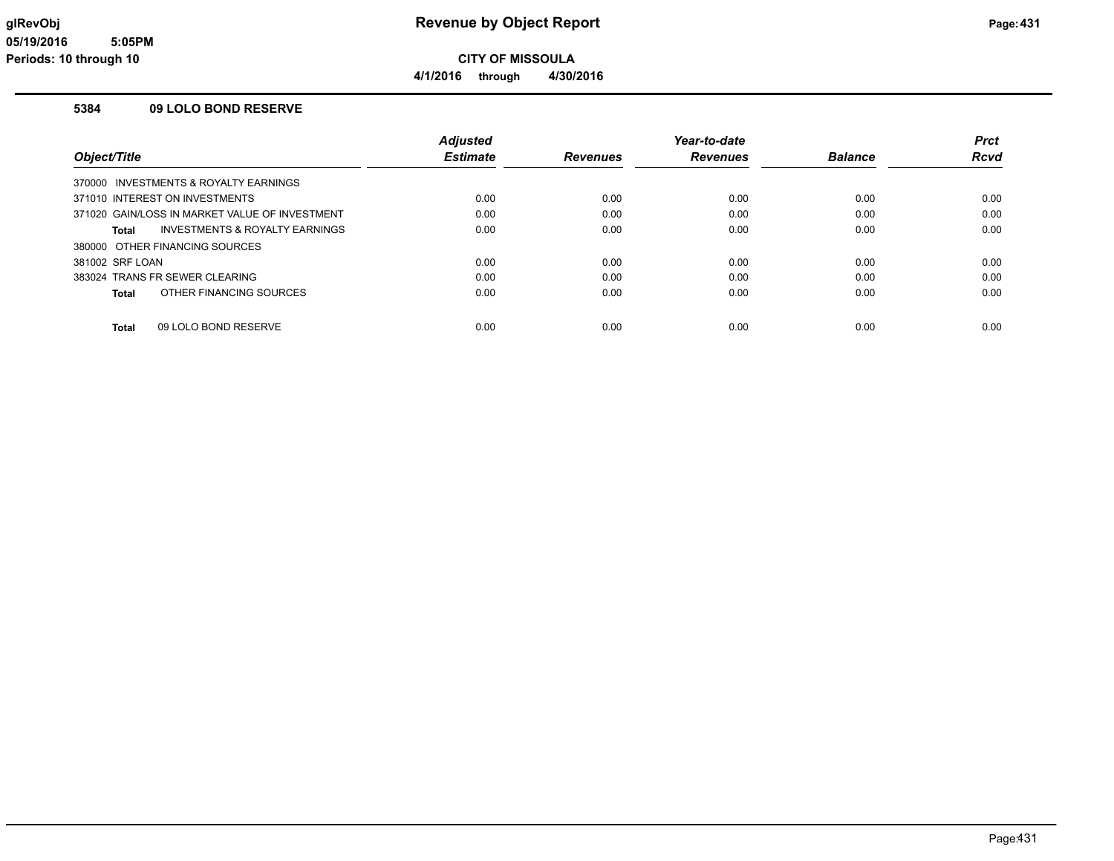**4/1/2016 through 4/30/2016**

#### **5384 09 LOLO BOND RESERVE**

|                                                | <b>Adjusted</b> |                 | Year-to-date    |                | <b>Prct</b> |
|------------------------------------------------|-----------------|-----------------|-----------------|----------------|-------------|
| Object/Title                                   | <b>Estimate</b> | <b>Revenues</b> | <b>Revenues</b> | <b>Balance</b> | <b>Rcvd</b> |
| 370000 INVESTMENTS & ROYALTY EARNINGS          |                 |                 |                 |                |             |
| 371010 INTEREST ON INVESTMENTS                 | 0.00            | 0.00            | 0.00            | 0.00           | 0.00        |
| 371020 GAIN/LOSS IN MARKET VALUE OF INVESTMENT | 0.00            | 0.00            | 0.00            | 0.00           | 0.00        |
| INVESTMENTS & ROYALTY EARNINGS<br>Total        | 0.00            | 0.00            | 0.00            | 0.00           | 0.00        |
| 380000 OTHER FINANCING SOURCES                 |                 |                 |                 |                |             |
| 381002 SRF LOAN                                | 0.00            | 0.00            | 0.00            | 0.00           | 0.00        |
| 383024 TRANS FR SEWER CLEARING                 | 0.00            | 0.00            | 0.00            | 0.00           | 0.00        |
| OTHER FINANCING SOURCES<br>Total               | 0.00            | 0.00            | 0.00            | 0.00           | 0.00        |
|                                                |                 |                 |                 |                |             |
| 09 LOLO BOND RESERVE<br>Total                  | 0.00            | 0.00            | 0.00            | 0.00           | 0.00        |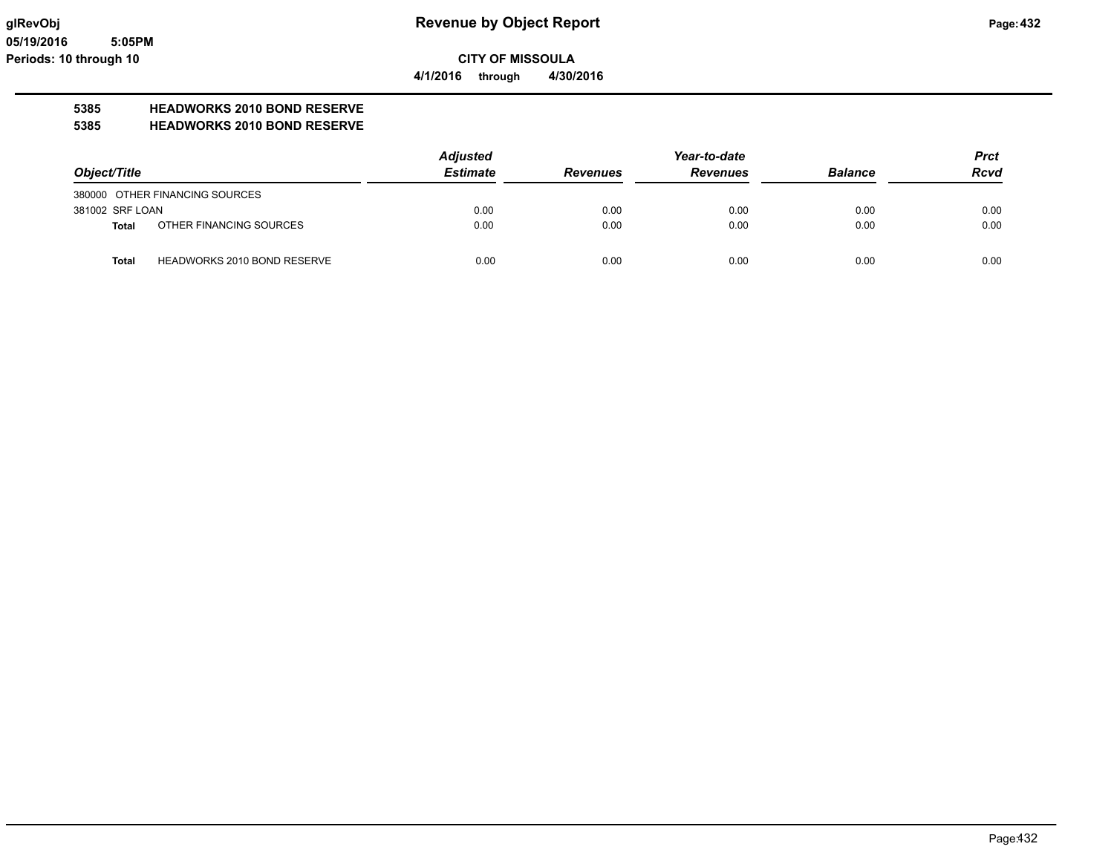**4/1/2016 through 4/30/2016**

# **5385 HEADWORKS 2010 BOND RESERVE**

**5385 HEADWORKS 2010 BOND RESERVE**

|                 |                                    | <b>Adjusted</b> |                 | <b>Prct</b>     |                |             |
|-----------------|------------------------------------|-----------------|-----------------|-----------------|----------------|-------------|
| Object/Title    |                                    | <b>Estimate</b> | <b>Revenues</b> | <b>Revenues</b> | <b>Balance</b> | <b>Rcvd</b> |
|                 | 380000 OTHER FINANCING SOURCES     |                 |                 |                 |                |             |
| 381002 SRF LOAN |                                    | 0.00            | 0.00            | 0.00            | 0.00           | 0.00        |
| <b>Total</b>    | OTHER FINANCING SOURCES            | 0.00            | 0.00            | 0.00            | 0.00           | 0.00        |
| <b>Total</b>    | <b>HEADWORKS 2010 BOND RESERVE</b> | 0.00            | 0.00            | 0.00            | 0.00           | 0.00        |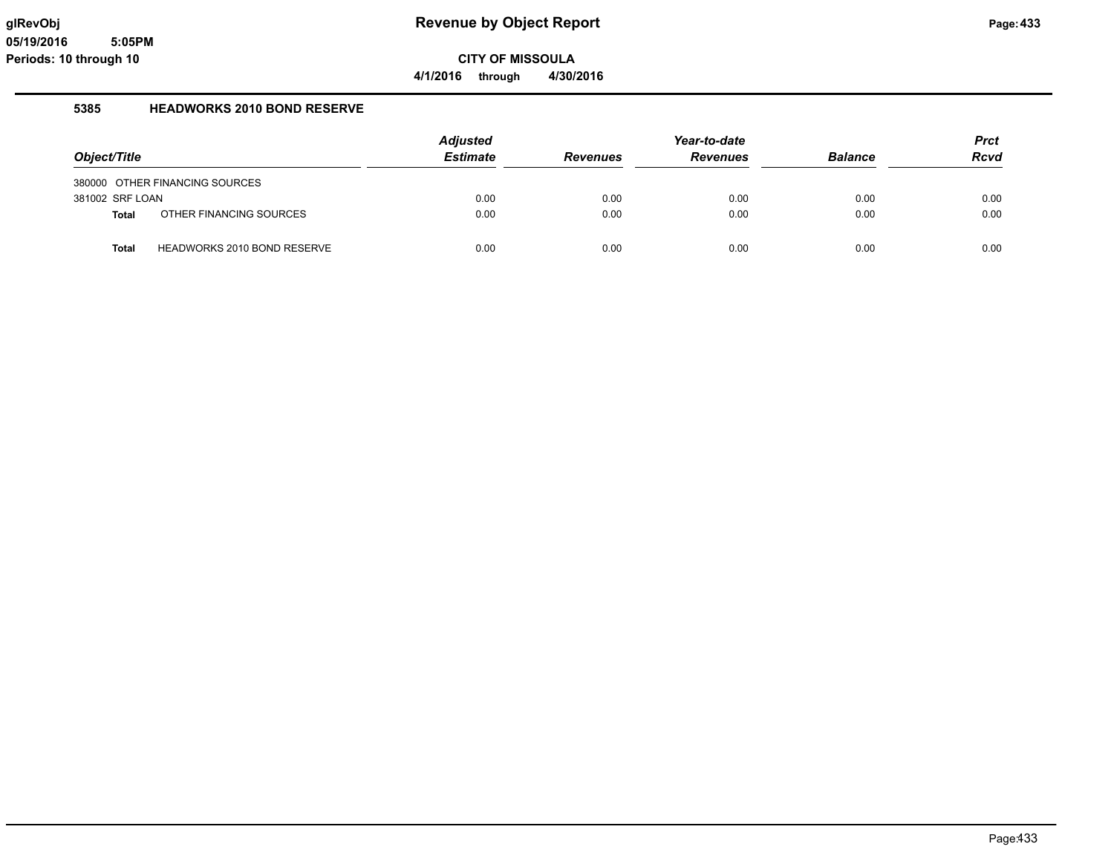## **glRevObj Revenue by Object Report Page:433**

**CITY OF MISSOULA**

**4/1/2016 through 4/30/2016**

#### **5385 HEADWORKS 2010 BOND RESERVE**

|                 |                                | <b>Adjusted</b> |                 |                 | <b>Prct</b>    |             |
|-----------------|--------------------------------|-----------------|-----------------|-----------------|----------------|-------------|
| Object/Title    |                                | <b>Estimate</b> | <b>Revenues</b> | <b>Revenues</b> | <b>Balance</b> | <b>Rcvd</b> |
|                 | 380000 OTHER FINANCING SOURCES |                 |                 |                 |                |             |
| 381002 SRF LOAN |                                | 0.00            | 0.00            | 0.00            | 0.00           | 0.00        |
| <b>Total</b>    | OTHER FINANCING SOURCES        | 0.00            | 0.00            | 0.00            | 0.00           | 0.00        |
| <b>Total</b>    | HEADWORKS 2010 BOND RESERVE    | 0.00            | 0.00            | 0.00            | 0.00           | 0.00        |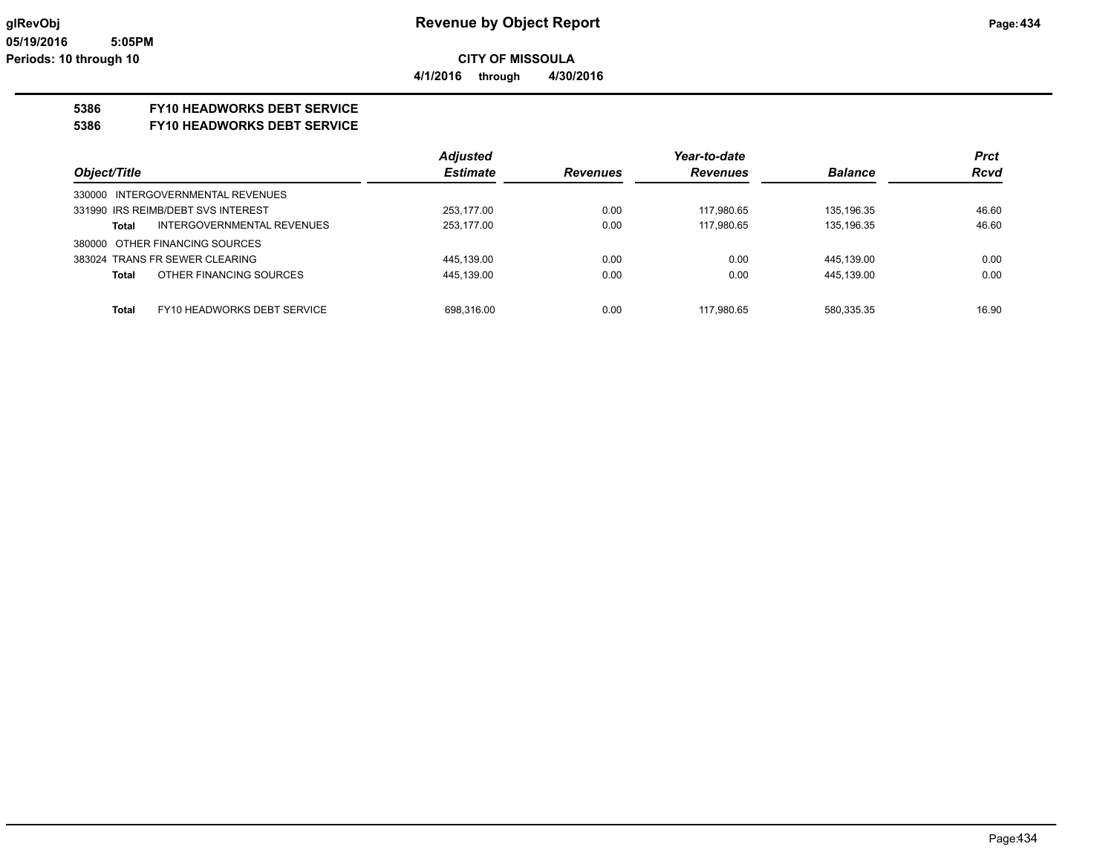## **5386 FY10 HEADWORKS DEBT SERVICE**

#### **5386 FY10 HEADWORKS DEBT SERVICE**

|                                             | <b>Adjusted</b> |                 | Year-to-date    |                | <b>Prct</b> |
|---------------------------------------------|-----------------|-----------------|-----------------|----------------|-------------|
| Object/Title                                | <b>Estimate</b> | <b>Revenues</b> | <b>Revenues</b> | <b>Balance</b> | <b>Rcvd</b> |
| 330000 INTERGOVERNMENTAL REVENUES           |                 |                 |                 |                |             |
| 331990 IRS REIMB/DEBT SVS INTEREST          | 253,177.00      | 0.00            | 117,980.65      | 135,196.35     | 46.60       |
| INTERGOVERNMENTAL REVENUES<br>Total         | 253.177.00      | 0.00            | 117.980.65      | 135.196.35     | 46.60       |
| 380000 OTHER FINANCING SOURCES              |                 |                 |                 |                |             |
| 383024 TRANS FR SEWER CLEARING              | 445,139.00      | 0.00            | 0.00            | 445,139.00     | 0.00        |
| OTHER FINANCING SOURCES<br><b>Total</b>     | 445,139.00      | 0.00            | 0.00            | 445,139.00     | 0.00        |
|                                             |                 |                 |                 |                |             |
| <b>Total</b><br>FY10 HEADWORKS DEBT SERVICE | 698.316.00      | 0.00            | 117.980.65      | 580.335.35     | 16.90       |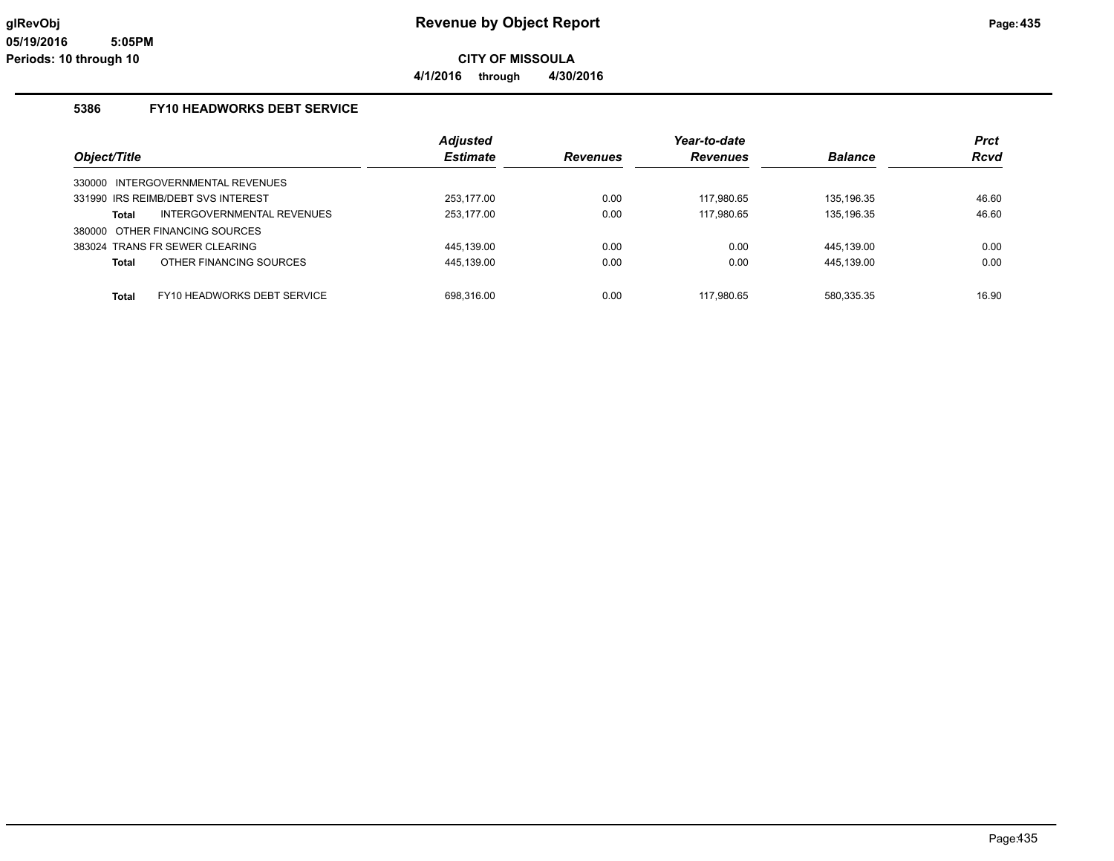**4/1/2016 through 4/30/2016**

## **5386 FY10 HEADWORKS DEBT SERVICE**

|                                    |                                   | <b>Adjusted</b> |                 | Year-to-date    |                | <b>Prct</b> |
|------------------------------------|-----------------------------------|-----------------|-----------------|-----------------|----------------|-------------|
| Object/Title                       |                                   | <b>Estimate</b> | <b>Revenues</b> | <b>Revenues</b> | <b>Balance</b> | <b>Rcvd</b> |
| 330000 INTERGOVERNMENTAL REVENUES  |                                   |                 |                 |                 |                |             |
| 331990 IRS REIMB/DEBT SVS INTEREST |                                   | 253.177.00      | 0.00            | 117.980.65      | 135.196.35     | 46.60       |
| Total                              | <b>INTERGOVERNMENTAL REVENUES</b> | 253.177.00      | 0.00            | 117.980.65      | 135,196.35     | 46.60       |
| 380000 OTHER FINANCING SOURCES     |                                   |                 |                 |                 |                |             |
| 383024 TRANS FR SEWER CLEARING     |                                   | 445.139.00      | 0.00            | 0.00            | 445.139.00     | 0.00        |
| OTHER FINANCING SOURCES<br>Total   |                                   | 445,139.00      | 0.00            | 0.00            | 445,139.00     | 0.00        |
| Total                              | FY10 HEADWORKS DEBT SERVICE       | 698.316.00      | 0.00            | 117.980.65      | 580.335.35     | 16.90       |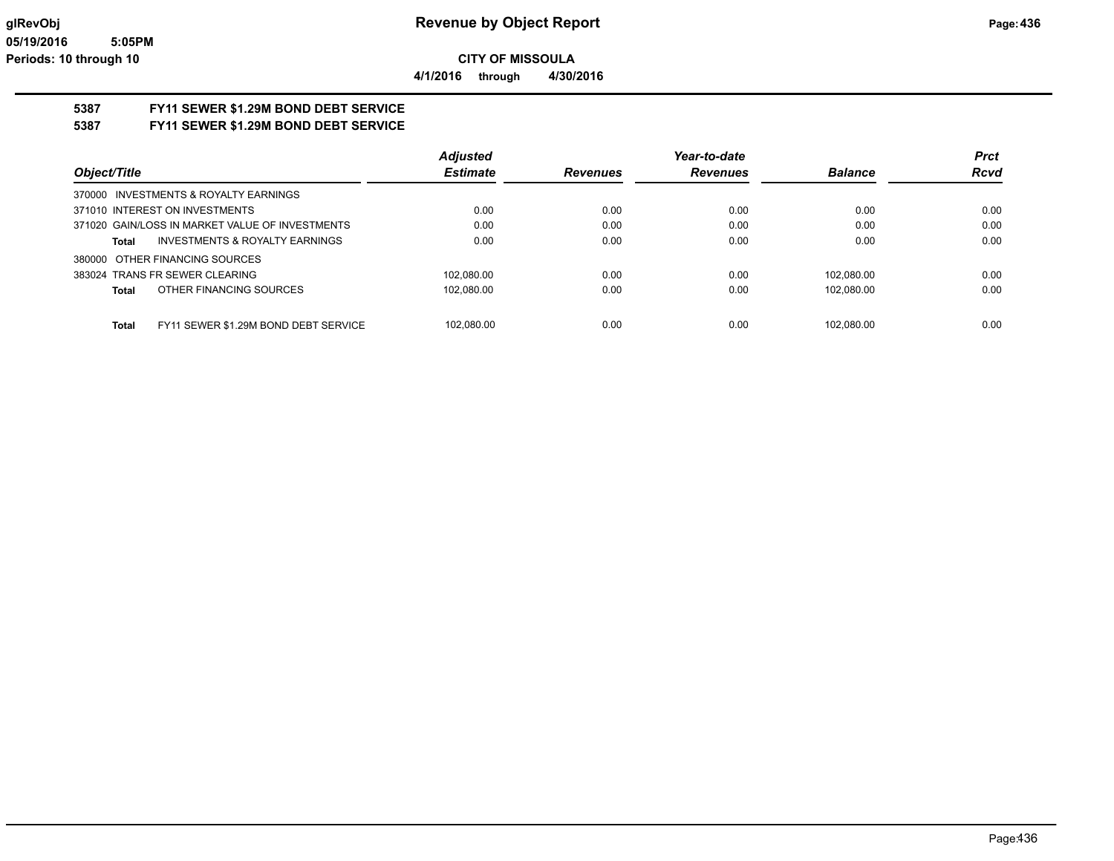**4/1/2016 through 4/30/2016**

# **5387 FY11 SEWER \$1.29M BOND DEBT SERVICE**

**5387 FY11 SEWER \$1.29M BOND DEBT SERVICE**

|                                                      | <b>Adjusted</b> |                 | Year-to-date    |                | <b>Prct</b> |
|------------------------------------------------------|-----------------|-----------------|-----------------|----------------|-------------|
| Object/Title                                         | <b>Estimate</b> | <b>Revenues</b> | <b>Revenues</b> | <b>Balance</b> | <b>Rcvd</b> |
| 370000 INVESTMENTS & ROYALTY EARNINGS                |                 |                 |                 |                |             |
| 371010 INTEREST ON INVESTMENTS                       | 0.00            | 0.00            | 0.00            | 0.00           | 0.00        |
| 371020 GAIN/LOSS IN MARKET VALUE OF INVESTMENTS      | 0.00            | 0.00            | 0.00            | 0.00           | 0.00        |
| <b>INVESTMENTS &amp; ROYALTY EARNINGS</b><br>Total   | 0.00            | 0.00            | 0.00            | 0.00           | 0.00        |
| 380000 OTHER FINANCING SOURCES                       |                 |                 |                 |                |             |
| 383024 TRANS FR SEWER CLEARING                       | 102.080.00      | 0.00            | 0.00            | 102.080.00     | 0.00        |
| OTHER FINANCING SOURCES<br>Total                     | 102.080.00      | 0.00            | 0.00            | 102.080.00     | 0.00        |
|                                                      |                 |                 |                 |                |             |
| FY11 SEWER \$1.29M BOND DEBT SERVICE<br><b>Total</b> | 102.080.00      | 0.00            | 0.00            | 102.080.00     | 0.00        |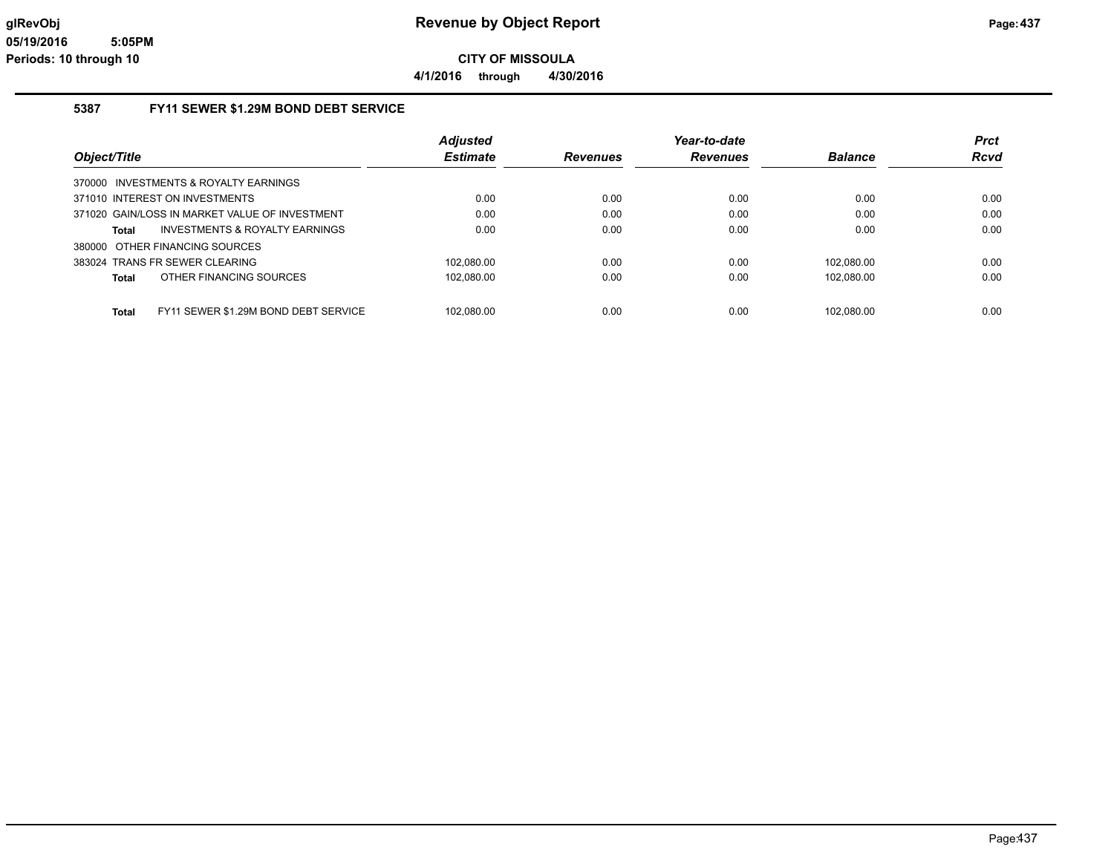#### **5387 FY11 SEWER \$1.29M BOND DEBT SERVICE**

|                                                | <b>Adjusted</b> |                 | Year-to-date    |                | <b>Prct</b> |
|------------------------------------------------|-----------------|-----------------|-----------------|----------------|-------------|
| Object/Title                                   | <b>Estimate</b> | <b>Revenues</b> | <b>Revenues</b> | <b>Balance</b> | <b>Rcvd</b> |
| 370000 INVESTMENTS & ROYALTY EARNINGS          |                 |                 |                 |                |             |
| 371010 INTEREST ON INVESTMENTS                 | 0.00            | 0.00            | 0.00            | 0.00           | 0.00        |
| 371020 GAIN/LOSS IN MARKET VALUE OF INVESTMENT | 0.00            | 0.00            | 0.00            | 0.00           | 0.00        |
| INVESTMENTS & ROYALTY EARNINGS<br>Total        | 0.00            | 0.00            | 0.00            | 0.00           | 0.00        |
| 380000 OTHER FINANCING SOURCES                 |                 |                 |                 |                |             |
| 383024 TRANS FR SEWER CLEARING                 | 102.080.00      | 0.00            | 0.00            | 102.080.00     | 0.00        |
| OTHER FINANCING SOURCES<br>Total               | 102,080.00      | 0.00            | 0.00            | 102.080.00     | 0.00        |
|                                                |                 |                 |                 |                |             |
| FY11 SEWER \$1.29M BOND DEBT SERVICE<br>Total  | 102.080.00      | 0.00            | 0.00            | 102.080.00     | 0.00        |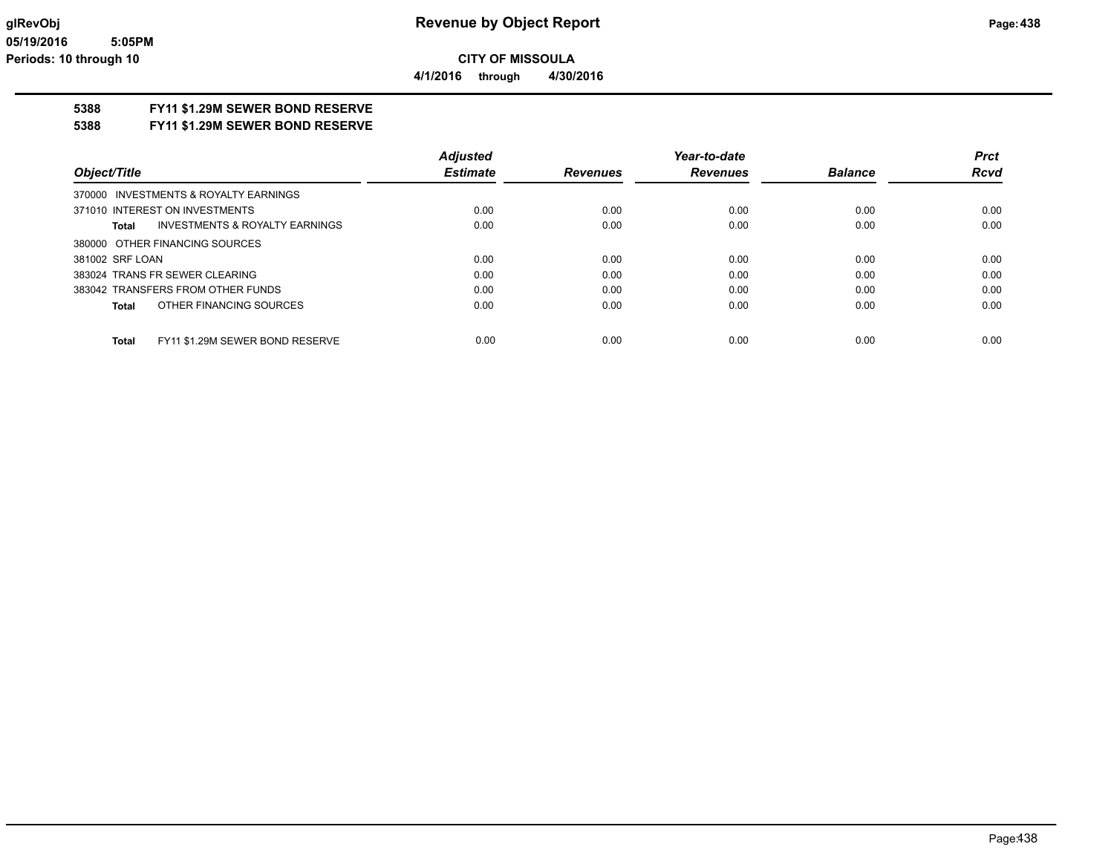**5388 FY11 \$1.29M SEWER BOND RESERVE**

**5388 FY11 \$1.29M SEWER BOND RESERVE**

|                                                 | <b>Adjusted</b> |                 | Year-to-date    |                | <b>Prct</b> |
|-------------------------------------------------|-----------------|-----------------|-----------------|----------------|-------------|
| Object/Title                                    | <b>Estimate</b> | <b>Revenues</b> | <b>Revenues</b> | <b>Balance</b> | <b>Rcvd</b> |
| 370000 INVESTMENTS & ROYALTY EARNINGS           |                 |                 |                 |                |             |
| 371010 INTEREST ON INVESTMENTS                  | 0.00            | 0.00            | 0.00            | 0.00           | 0.00        |
| INVESTMENTS & ROYALTY EARNINGS<br>Total         | 0.00            | 0.00            | 0.00            | 0.00           | 0.00        |
| 380000 OTHER FINANCING SOURCES                  |                 |                 |                 |                |             |
| 381002 SRF LOAN                                 | 0.00            | 0.00            | 0.00            | 0.00           | 0.00        |
| 383024 TRANS FR SEWER CLEARING                  | 0.00            | 0.00            | 0.00            | 0.00           | 0.00        |
| 383042 TRANSFERS FROM OTHER FUNDS               | 0.00            | 0.00            | 0.00            | 0.00           | 0.00        |
| OTHER FINANCING SOURCES<br>Total                | 0.00            | 0.00            | 0.00            | 0.00           | 0.00        |
|                                                 |                 |                 |                 |                |             |
| FY11 \$1.29M SEWER BOND RESERVE<br><b>Total</b> | 0.00            | 0.00            | 0.00            | 0.00           | 0.00        |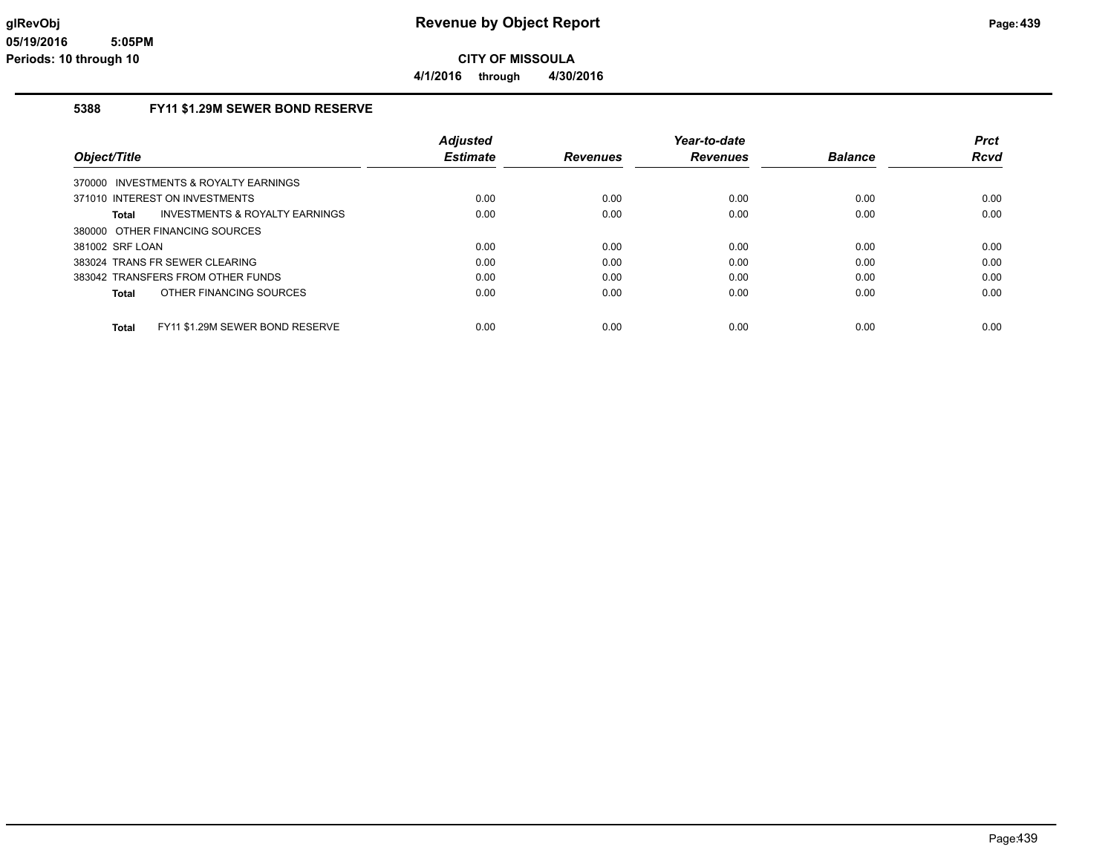**4/1/2016 through 4/30/2016**

## **5388 FY11 \$1.29M SEWER BOND RESERVE**

|                                                    | <b>Adjusted</b> |                 | Year-to-date    |                | <b>Prct</b> |
|----------------------------------------------------|-----------------|-----------------|-----------------|----------------|-------------|
| Object/Title                                       | <b>Estimate</b> | <b>Revenues</b> | <b>Revenues</b> | <b>Balance</b> | <b>Rcvd</b> |
| 370000 INVESTMENTS & ROYALTY EARNINGS              |                 |                 |                 |                |             |
| 371010 INTEREST ON INVESTMENTS                     | 0.00            | 0.00            | 0.00            | 0.00           | 0.00        |
| <b>INVESTMENTS &amp; ROYALTY EARNINGS</b><br>Total | 0.00            | 0.00            | 0.00            | 0.00           | 0.00        |
| 380000 OTHER FINANCING SOURCES                     |                 |                 |                 |                |             |
| 381002 SRF LOAN                                    | 0.00            | 0.00            | 0.00            | 0.00           | 0.00        |
| 383024 TRANS FR SEWER CLEARING                     | 0.00            | 0.00            | 0.00            | 0.00           | 0.00        |
| 383042 TRANSFERS FROM OTHER FUNDS                  | 0.00            | 0.00            | 0.00            | 0.00           | 0.00        |
| OTHER FINANCING SOURCES<br>Total                   | 0.00            | 0.00            | 0.00            | 0.00           | 0.00        |
| FY11 \$1.29M SEWER BOND RESERVE<br><b>Total</b>    | 0.00            | 0.00            | 0.00            | 0.00           | 0.00        |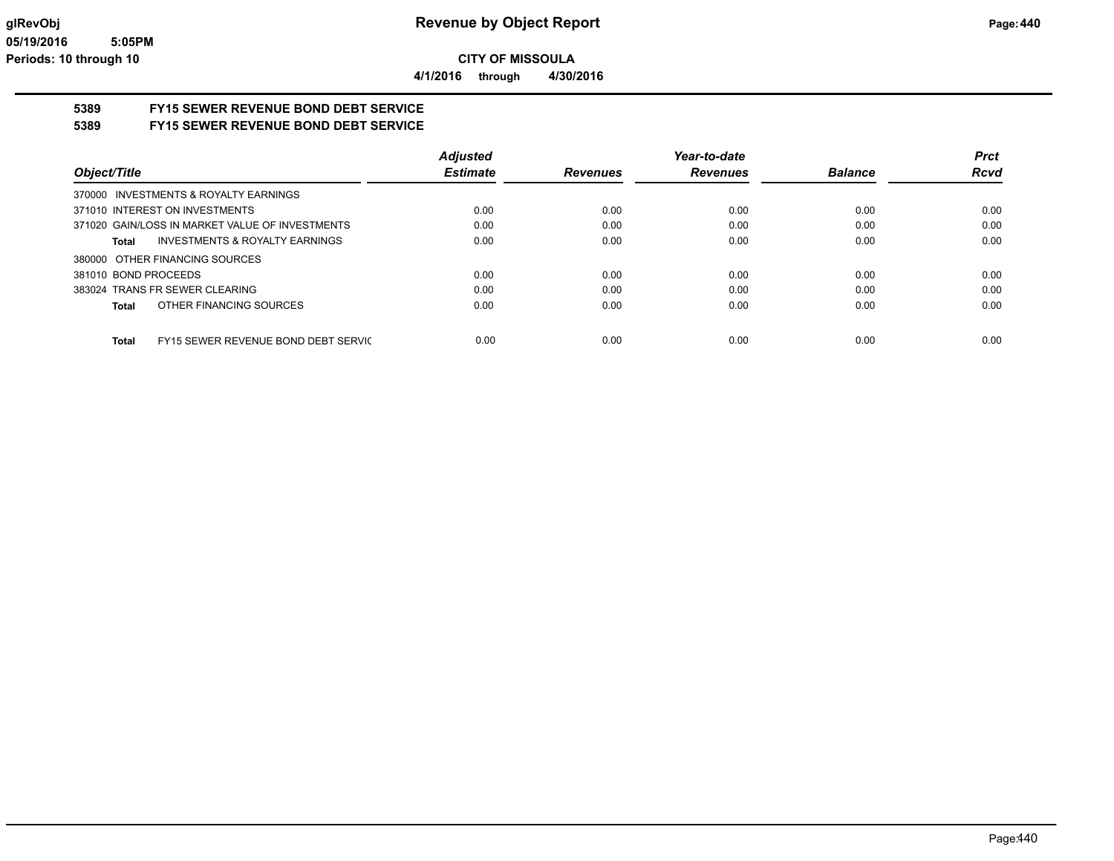**4/1/2016 through 4/30/2016**

# **5389 FY15 SEWER REVENUE BOND DEBT SERVICE**

## **5389 FY15 SEWER REVENUE BOND DEBT SERVICE**

|                                                 | <b>Adjusted</b> |                 | Year-to-date    |                | <b>Prct</b> |
|-------------------------------------------------|-----------------|-----------------|-----------------|----------------|-------------|
| Object/Title                                    | <b>Estimate</b> | <b>Revenues</b> | <b>Revenues</b> | <b>Balance</b> | <b>Rcvd</b> |
| 370000 INVESTMENTS & ROYALTY EARNINGS           |                 |                 |                 |                |             |
| 371010 INTEREST ON INVESTMENTS                  | 0.00            | 0.00            | 0.00            | 0.00           | 0.00        |
| 371020 GAIN/LOSS IN MARKET VALUE OF INVESTMENTS | 0.00            | 0.00            | 0.00            | 0.00           | 0.00        |
| INVESTMENTS & ROYALTY EARNINGS<br>Total         | 0.00            | 0.00            | 0.00            | 0.00           | 0.00        |
| 380000 OTHER FINANCING SOURCES                  |                 |                 |                 |                |             |
| 381010 BOND PROCEEDS                            | 0.00            | 0.00            | 0.00            | 0.00           | 0.00        |
| 383024 TRANS FR SEWER CLEARING                  | 0.00            | 0.00            | 0.00            | 0.00           | 0.00        |
| OTHER FINANCING SOURCES<br>Total                | 0.00            | 0.00            | 0.00            | 0.00           | 0.00        |
|                                                 |                 |                 |                 |                |             |
| FY15 SEWER REVENUE BOND DEBT SERVIC<br>Total    | 0.00            | 0.00            | 0.00            | 0.00           | 0.00        |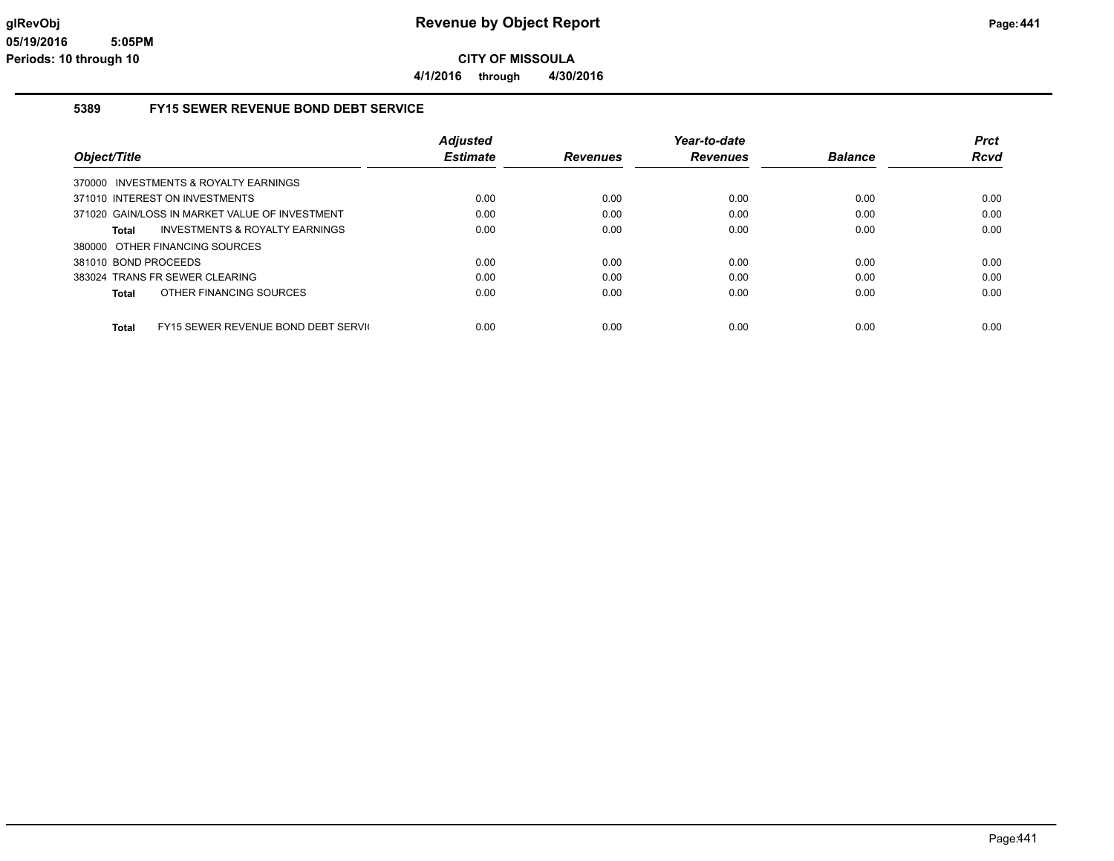**4/1/2016 through 4/30/2016**

#### **5389 FY15 SEWER REVENUE BOND DEBT SERVICE**

|                                                | <b>Adjusted</b> |                 | Year-to-date    |                | <b>Prct</b> |
|------------------------------------------------|-----------------|-----------------|-----------------|----------------|-------------|
| Object/Title                                   | <b>Estimate</b> | <b>Revenues</b> | <b>Revenues</b> | <b>Balance</b> | Rcvd        |
| 370000 INVESTMENTS & ROYALTY EARNINGS          |                 |                 |                 |                |             |
| 371010 INTEREST ON INVESTMENTS                 | 0.00            | 0.00            | 0.00            | 0.00           | 0.00        |
| 371020 GAIN/LOSS IN MARKET VALUE OF INVESTMENT | 0.00            | 0.00            | 0.00            | 0.00           | 0.00        |
| INVESTMENTS & ROYALTY EARNINGS<br>Total        | 0.00            | 0.00            | 0.00            | 0.00           | 0.00        |
| 380000 OTHER FINANCING SOURCES                 |                 |                 |                 |                |             |
| 381010 BOND PROCEEDS                           | 0.00            | 0.00            | 0.00            | 0.00           | 0.00        |
| 383024 TRANS FR SEWER CLEARING                 | 0.00            | 0.00            | 0.00            | 0.00           | 0.00        |
| OTHER FINANCING SOURCES<br>Total               | 0.00            | 0.00            | 0.00            | 0.00           | 0.00        |
| FY15 SEWER REVENUE BOND DEBT SERVIC<br>Total   | 0.00            | 0.00            | 0.00            | 0.00           | 0.00        |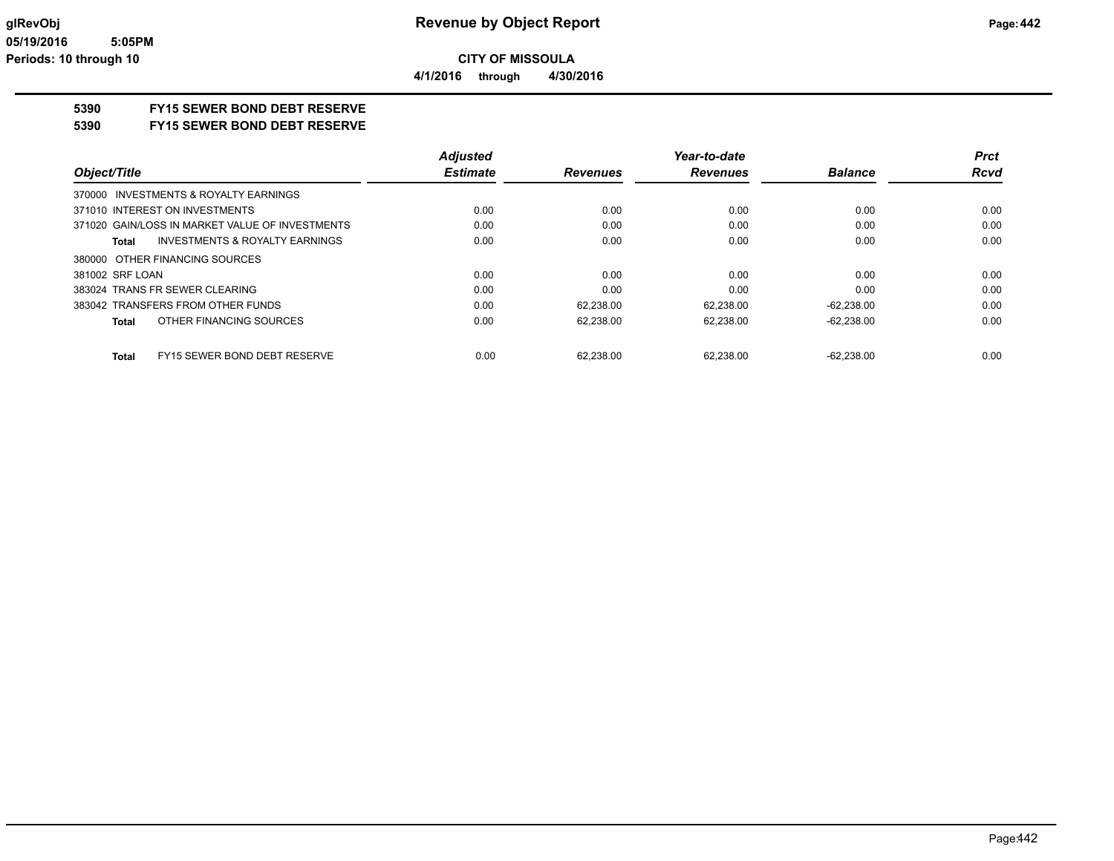**5390 FY15 SEWER BOND DEBT RESERVE**

## **5390 FY15 SEWER BOND DEBT RESERVE**

|                                                    | <b>Adjusted</b> |                 | Year-to-date    |                | Prct        |
|----------------------------------------------------|-----------------|-----------------|-----------------|----------------|-------------|
| Object/Title                                       | <b>Estimate</b> | <b>Revenues</b> | <b>Revenues</b> | <b>Balance</b> | <b>Rcvd</b> |
| 370000 INVESTMENTS & ROYALTY EARNINGS              |                 |                 |                 |                |             |
| 371010 INTEREST ON INVESTMENTS                     | 0.00            | 0.00            | 0.00            | 0.00           | 0.00        |
| 371020 GAIN/LOSS IN MARKET VALUE OF INVESTMENTS    | 0.00            | 0.00            | 0.00            | 0.00           | 0.00        |
| <b>INVESTMENTS &amp; ROYALTY EARNINGS</b><br>Total | 0.00            | 0.00            | 0.00            | 0.00           | 0.00        |
| 380000 OTHER FINANCING SOURCES                     |                 |                 |                 |                |             |
| 381002 SRF LOAN                                    | 0.00            | 0.00            | 0.00            | 0.00           | 0.00        |
| 383024 TRANS FR SEWER CLEARING                     | 0.00            | 0.00            | 0.00            | 0.00           | 0.00        |
| 383042 TRANSFERS FROM OTHER FUNDS                  | 0.00            | 62.238.00       | 62.238.00       | $-62,238.00$   | 0.00        |
| OTHER FINANCING SOURCES<br><b>Total</b>            | 0.00            | 62.238.00       | 62.238.00       | $-62,238.00$   | 0.00        |
| FY15 SEWER BOND DEBT RESERVE<br><b>Total</b>       | 0.00            | 62.238.00       | 62.238.00       | $-62.238.00$   | 0.00        |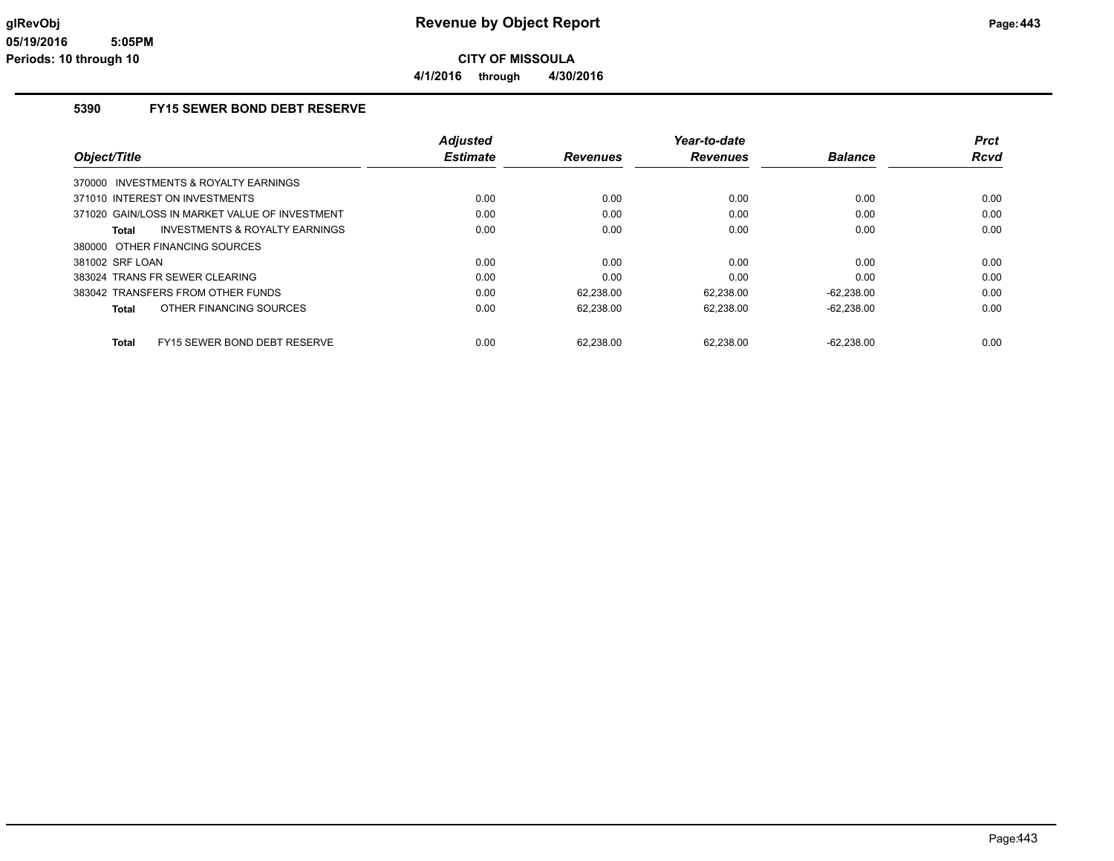## **5390 FY15 SEWER BOND DEBT RESERVE**

| Object/Title                                        | <b>Adjusted</b><br><b>Estimate</b> | <b>Revenues</b> | Year-to-date<br><b>Revenues</b> | <b>Balance</b> | <b>Prct</b><br><b>Rcvd</b> |
|-----------------------------------------------------|------------------------------------|-----------------|---------------------------------|----------------|----------------------------|
| 370000 INVESTMENTS & ROYALTY EARNINGS               |                                    |                 |                                 |                |                            |
| 371010 INTEREST ON INVESTMENTS                      | 0.00                               | 0.00            | 0.00                            | 0.00           | 0.00                       |
| 371020 GAIN/LOSS IN MARKET VALUE OF INVESTMENT      | 0.00                               | 0.00            | 0.00                            | 0.00           | 0.00                       |
| INVESTMENTS & ROYALTY EARNINGS<br>Total             | 0.00                               | 0.00            | 0.00                            | 0.00           | 0.00                       |
| 380000 OTHER FINANCING SOURCES                      |                                    |                 |                                 |                |                            |
| 381002 SRF LOAN                                     | 0.00                               | 0.00            | 0.00                            | 0.00           | 0.00                       |
| 383024 TRANS FR SEWER CLEARING                      | 0.00                               | 0.00            | 0.00                            | 0.00           | 0.00                       |
| 383042 TRANSFERS FROM OTHER FUNDS                   | 0.00                               | 62,238.00       | 62,238.00                       | $-62,238.00$   | 0.00                       |
| OTHER FINANCING SOURCES<br>Total                    | 0.00                               | 62,238.00       | 62,238.00                       | $-62,238.00$   | 0.00                       |
| <b>FY15 SEWER BOND DEBT RESERVE</b><br><b>Total</b> | 0.00                               | 62.238.00       | 62.238.00                       | $-62.238.00$   | 0.00                       |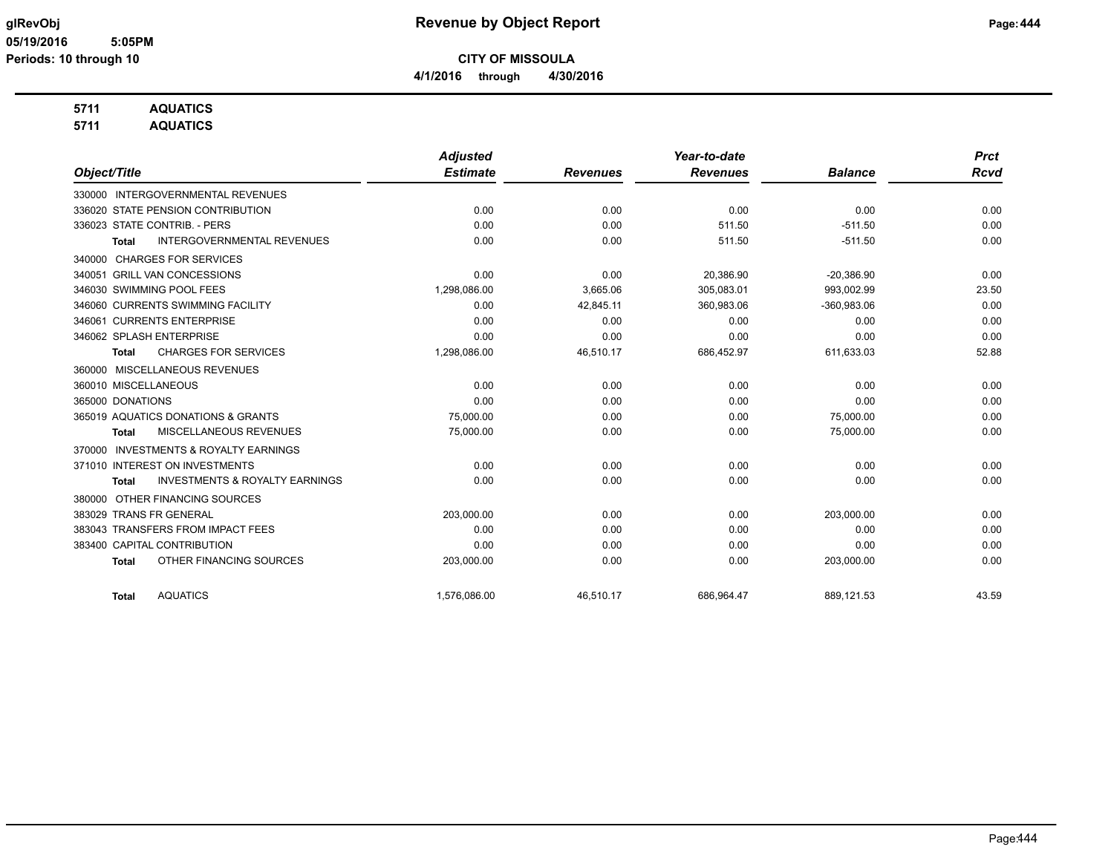**4/1/2016 through 4/30/2016**

## **5711 AQUATICS**

**5711 AQUATICS**

|                                                           | <b>Adjusted</b> |                 | Year-to-date    |                | <b>Prct</b> |
|-----------------------------------------------------------|-----------------|-----------------|-----------------|----------------|-------------|
| Object/Title                                              | <b>Estimate</b> | <b>Revenues</b> | <b>Revenues</b> | <b>Balance</b> | <b>Rcvd</b> |
| 330000 INTERGOVERNMENTAL REVENUES                         |                 |                 |                 |                |             |
| 336020 STATE PENSION CONTRIBUTION                         | 0.00            | 0.00            | 0.00            | 0.00           | 0.00        |
| 336023 STATE CONTRIB. - PERS                              | 0.00            | 0.00            | 511.50          | $-511.50$      | 0.00        |
| <b>INTERGOVERNMENTAL REVENUES</b><br><b>Total</b>         | 0.00            | 0.00            | 511.50          | $-511.50$      | 0.00        |
| <b>CHARGES FOR SERVICES</b><br>340000                     |                 |                 |                 |                |             |
| 340051 GRILL VAN CONCESSIONS                              | 0.00            | 0.00            | 20,386.90       | $-20,386.90$   | 0.00        |
| 346030 SWIMMING POOL FEES                                 | 1,298,086.00    | 3.665.06        | 305,083.01      | 993.002.99     | 23.50       |
| 346060 CURRENTS SWIMMING FACILITY                         | 0.00            | 42,845.11       | 360,983.06      | $-360,983.06$  | 0.00        |
| 346061 CURRENTS ENTERPRISE                                | 0.00            | 0.00            | 0.00            | 0.00           | 0.00        |
| 346062 SPLASH ENTERPRISE                                  | 0.00            | 0.00            | 0.00            | 0.00           | 0.00        |
| <b>CHARGES FOR SERVICES</b><br><b>Total</b>               | 1,298,086.00    | 46,510.17       | 686,452.97      | 611,633.03     | 52.88       |
| MISCELLANEOUS REVENUES<br>360000                          |                 |                 |                 |                |             |
| 360010 MISCELLANEOUS                                      | 0.00            | 0.00            | 0.00            | 0.00           | 0.00        |
| 365000 DONATIONS                                          | 0.00            | 0.00            | 0.00            | 0.00           | 0.00        |
| 365019 AQUATICS DONATIONS & GRANTS                        | 75,000.00       | 0.00            | 0.00            | 75,000.00      | 0.00        |
| MISCELLANEOUS REVENUES<br><b>Total</b>                    | 75,000.00       | 0.00            | 0.00            | 75,000.00      | 0.00        |
| <b>INVESTMENTS &amp; ROYALTY EARNINGS</b><br>370000       |                 |                 |                 |                |             |
| 371010 INTEREST ON INVESTMENTS                            | 0.00            | 0.00            | 0.00            | 0.00           | 0.00        |
| <b>INVESTMENTS &amp; ROYALTY EARNINGS</b><br><b>Total</b> | 0.00            | 0.00            | 0.00            | 0.00           | 0.00        |
| OTHER FINANCING SOURCES<br>380000                         |                 |                 |                 |                |             |
| 383029 TRANS FR GENERAL                                   | 203,000.00      | 0.00            | 0.00            | 203,000.00     | 0.00        |
| 383043 TRANSFERS FROM IMPACT FEES                         | 0.00            | 0.00            | 0.00            | 0.00           | 0.00        |
| 383400 CAPITAL CONTRIBUTION                               | 0.00            | 0.00            | 0.00            | 0.00           | 0.00        |
| OTHER FINANCING SOURCES<br><b>Total</b>                   | 203,000.00      | 0.00            | 0.00            | 203,000.00     | 0.00        |
| <b>AQUATICS</b><br><b>Total</b>                           | 1,576,086.00    | 46.510.17       | 686,964.47      | 889,121.53     | 43.59       |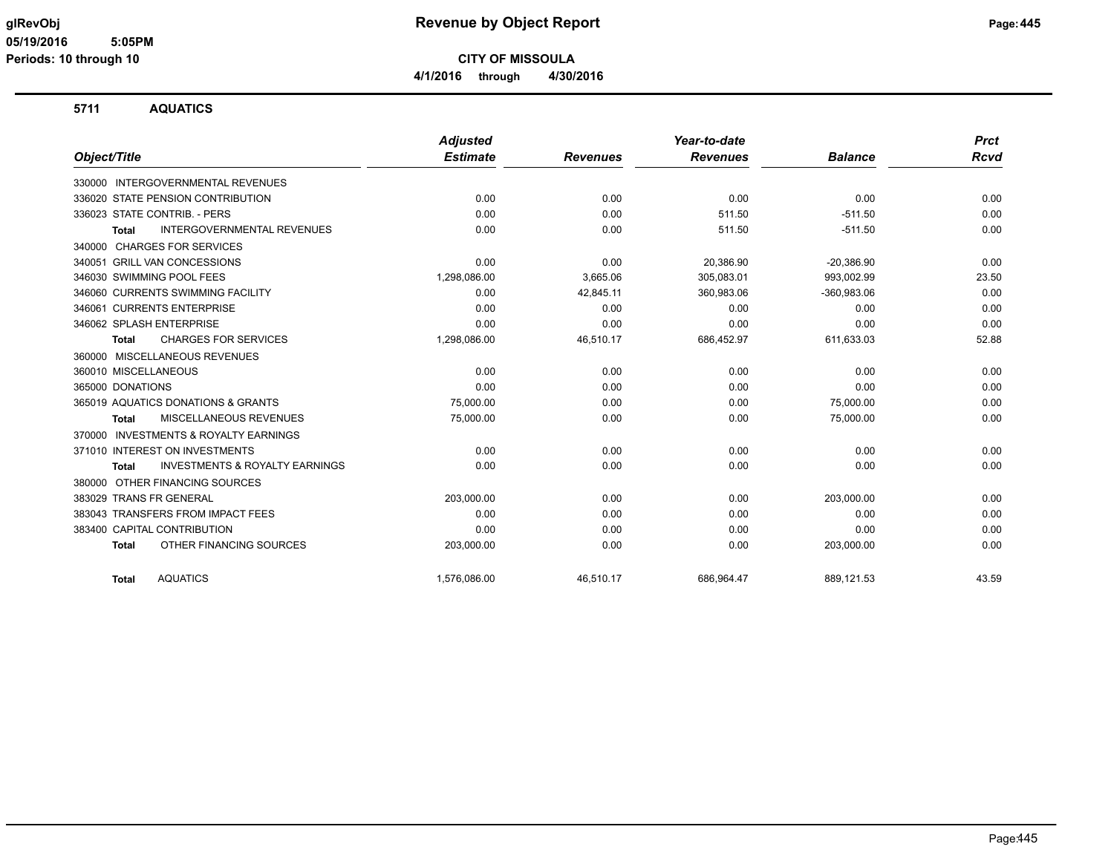## **glRevObj Revenue by Object Report Page:445**

**CITY OF MISSOULA 4/1/2016 through 4/30/2016**

## **5711 AQUATICS**

|                                                     | <b>Adjusted</b> |                 | Year-to-date    |                | <b>Prct</b> |
|-----------------------------------------------------|-----------------|-----------------|-----------------|----------------|-------------|
| Object/Title                                        | <b>Estimate</b> | <b>Revenues</b> | <b>Revenues</b> | <b>Balance</b> | Rcvd        |
| 330000 INTERGOVERNMENTAL REVENUES                   |                 |                 |                 |                |             |
| 336020 STATE PENSION CONTRIBUTION                   | 0.00            | 0.00            | 0.00            | 0.00           | 0.00        |
| 336023 STATE CONTRIB. - PERS                        | 0.00            | 0.00            | 511.50          | $-511.50$      | 0.00        |
| <b>INTERGOVERNMENTAL REVENUES</b><br><b>Total</b>   | 0.00            | 0.00            | 511.50          | $-511.50$      | 0.00        |
| <b>CHARGES FOR SERVICES</b><br>340000               |                 |                 |                 |                |             |
| 340051 GRILL VAN CONCESSIONS                        | 0.00            | 0.00            | 20,386.90       | $-20,386.90$   | 0.00        |
| 346030 SWIMMING POOL FEES                           | 1,298,086.00    | 3,665.06        | 305,083.01      | 993,002.99     | 23.50       |
| 346060 CURRENTS SWIMMING FACILITY                   | 0.00            | 42,845.11       | 360,983.06      | $-360,983.06$  | 0.00        |
| 346061 CURRENTS ENTERPRISE                          | 0.00            | 0.00            | 0.00            | 0.00           | 0.00        |
| 346062 SPLASH ENTERPRISE                            | 0.00            | 0.00            | 0.00            | 0.00           | 0.00        |
| <b>CHARGES FOR SERVICES</b><br>Total                | 1,298,086.00    | 46,510.17       | 686,452.97      | 611,633.03     | 52.88       |
| 360000 MISCELLANEOUS REVENUES                       |                 |                 |                 |                |             |
| 360010 MISCELLANEOUS                                | 0.00            | 0.00            | 0.00            | 0.00           | 0.00        |
| 365000 DONATIONS                                    | 0.00            | 0.00            | 0.00            | 0.00           | 0.00        |
| 365019 AQUATICS DONATIONS & GRANTS                  | 75,000.00       | 0.00            | 0.00            | 75,000.00      | 0.00        |
| MISCELLANEOUS REVENUES<br><b>Total</b>              | 75,000.00       | 0.00            | 0.00            | 75,000.00      | 0.00        |
| <b>INVESTMENTS &amp; ROYALTY EARNINGS</b><br>370000 |                 |                 |                 |                |             |
| 371010 INTEREST ON INVESTMENTS                      | 0.00            | 0.00            | 0.00            | 0.00           | 0.00        |
| <b>INVESTMENTS &amp; ROYALTY EARNINGS</b><br>Total  | 0.00            | 0.00            | 0.00            | 0.00           | 0.00        |
| OTHER FINANCING SOURCES<br>380000                   |                 |                 |                 |                |             |
| 383029 TRANS FR GENERAL                             | 203,000.00      | 0.00            | 0.00            | 203,000.00     | 0.00        |
| 383043 TRANSFERS FROM IMPACT FEES                   | 0.00            | 0.00            | 0.00            | 0.00           | 0.00        |
| 383400 CAPITAL CONTRIBUTION                         | 0.00            | 0.00            | 0.00            | 0.00           | 0.00        |
| OTHER FINANCING SOURCES<br><b>Total</b>             | 203,000.00      | 0.00            | 0.00            | 203,000.00     | 0.00        |
| <b>AQUATICS</b><br><b>Total</b>                     | 1,576,086.00    | 46,510.17       | 686,964.47      | 889,121.53     | 43.59       |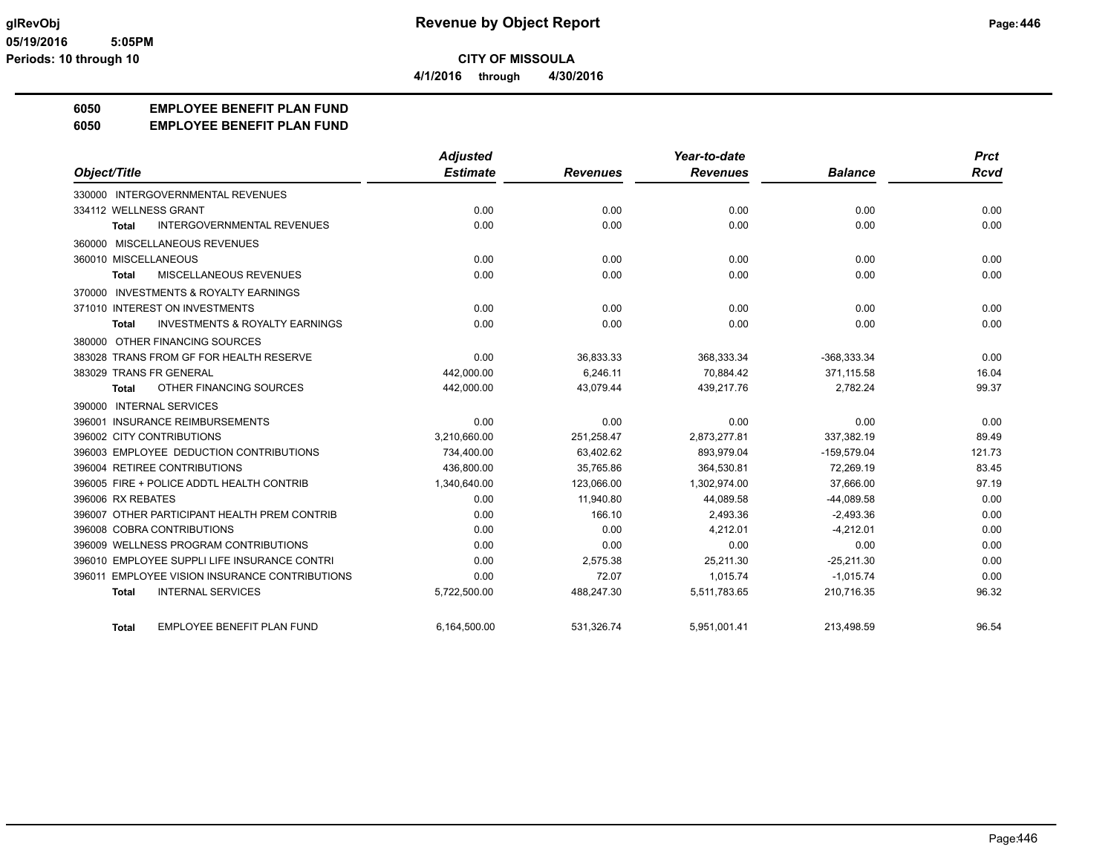**4/1/2016 through 4/30/2016**

## **6050 EMPLOYEE BENEFIT PLAN FUND**

#### **6050 EMPLOYEE BENEFIT PLAN FUND**

|                                                    | <b>Adjusted</b> |                 | Year-to-date    |                | <b>Prct</b> |
|----------------------------------------------------|-----------------|-----------------|-----------------|----------------|-------------|
| Object/Title                                       | <b>Estimate</b> | <b>Revenues</b> | <b>Revenues</b> | <b>Balance</b> | Rcvd        |
| 330000 INTERGOVERNMENTAL REVENUES                  |                 |                 |                 |                |             |
| 334112 WELLNESS GRANT                              | 0.00            | 0.00            | 0.00            | 0.00           | 0.00        |
| <b>INTERGOVERNMENTAL REVENUES</b><br><b>Total</b>  | 0.00            | 0.00            | 0.00            | 0.00           | 0.00        |
| 360000 MISCELLANEOUS REVENUES                      |                 |                 |                 |                |             |
| 360010 MISCELLANEOUS                               | 0.00            | 0.00            | 0.00            | 0.00           | 0.00        |
| MISCELLANEOUS REVENUES<br><b>Total</b>             | 0.00            | 0.00            | 0.00            | 0.00           | 0.00        |
| 370000 INVESTMENTS & ROYALTY EARNINGS              |                 |                 |                 |                |             |
| 371010 INTEREST ON INVESTMENTS                     | 0.00            | 0.00            | 0.00            | 0.00           | 0.00        |
| <b>INVESTMENTS &amp; ROYALTY EARNINGS</b><br>Total | 0.00            | 0.00            | 0.00            | 0.00           | 0.00        |
| 380000 OTHER FINANCING SOURCES                     |                 |                 |                 |                |             |
| 383028 TRANS FROM GF FOR HEALTH RESERVE            | 0.00            | 36,833.33       | 368,333.34      | -368,333.34    | 0.00        |
| 383029 TRANS FR GENERAL                            | 442,000.00      | 6,246.11        | 70,884.42       | 371,115.58     | 16.04       |
| OTHER FINANCING SOURCES<br><b>Total</b>            | 442,000.00      | 43,079.44       | 439,217.76      | 2,782.24       | 99.37       |
| 390000 INTERNAL SERVICES                           |                 |                 |                 |                |             |
| 396001 INSURANCE REIMBURSEMENTS                    | 0.00            | 0.00            | 0.00            | 0.00           | 0.00        |
| 396002 CITY CONTRIBUTIONS                          | 3,210,660.00    | 251,258.47      | 2,873,277.81    | 337,382.19     | 89.49       |
| 396003 EMPLOYEE DEDUCTION CONTRIBUTIONS            | 734,400.00      | 63,402.62       | 893,979.04      | $-159,579.04$  | 121.73      |
| 396004 RETIREE CONTRIBUTIONS                       | 436.800.00      | 35,765.86       | 364,530.81      | 72,269.19      | 83.45       |
| 396005 FIRE + POLICE ADDTL HEALTH CONTRIB          | 1,340,640.00    | 123,066.00      | 1,302,974.00    | 37,666.00      | 97.19       |
| 396006 RX REBATES                                  | 0.00            | 11,940.80       | 44,089.58       | $-44,089.58$   | 0.00        |
| 396007 OTHER PARTICIPANT HEALTH PREM CONTRIB       | 0.00            | 166.10          | 2,493.36        | $-2,493.36$    | 0.00        |
| 396008 COBRA CONTRIBUTIONS                         | 0.00            | 0.00            | 4.212.01        | $-4.212.01$    | 0.00        |
| 396009 WELLNESS PROGRAM CONTRIBUTIONS              | 0.00            | 0.00            | 0.00            | 0.00           | 0.00        |
| 396010 EMPLOYEE SUPPLI LIFE INSURANCE CONTRI       | 0.00            | 2,575.38        | 25,211.30       | $-25,211.30$   | 0.00        |
| 396011 EMPLOYEE VISION INSURANCE CONTRIBUTIONS     | 0.00            | 72.07           | 1.015.74        | $-1,015.74$    | 0.00        |
| <b>INTERNAL SERVICES</b><br>Total                  | 5,722,500.00    | 488,247.30      | 5,511,783.65    | 210,716.35     | 96.32       |
| <b>EMPLOYEE BENEFIT PLAN FUND</b><br><b>Total</b>  | 6,164,500.00    | 531,326.74      | 5,951,001.41    | 213,498.59     | 96.54       |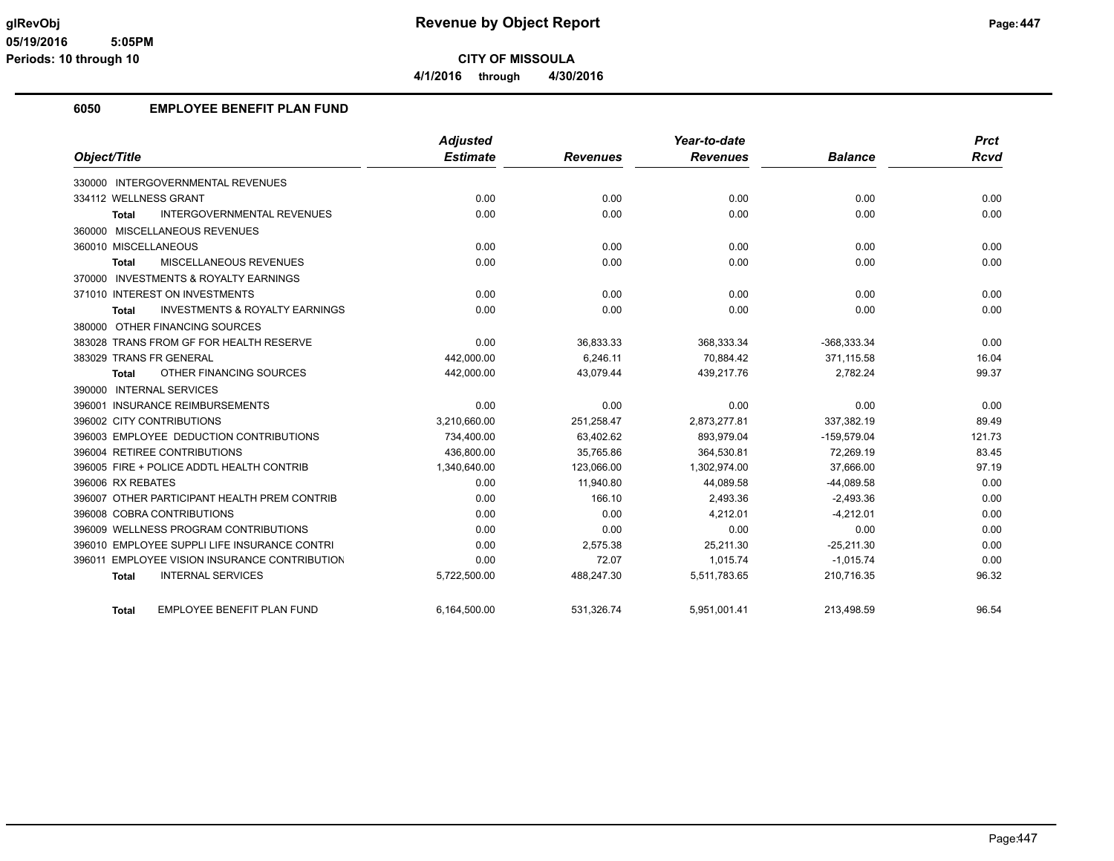## **6050 EMPLOYEE BENEFIT PLAN FUND**

|                                                           | <b>Adjusted</b> |                 | Year-to-date    |                | Prct        |
|-----------------------------------------------------------|-----------------|-----------------|-----------------|----------------|-------------|
| Object/Title                                              | <b>Estimate</b> | <b>Revenues</b> | <b>Revenues</b> | <b>Balance</b> | <b>Rcvd</b> |
| 330000 INTERGOVERNMENTAL REVENUES                         |                 |                 |                 |                |             |
| 334112 WELLNESS GRANT                                     | 0.00            | 0.00            | 0.00            | 0.00           | 0.00        |
| <b>INTERGOVERNMENTAL REVENUES</b><br><b>Total</b>         | 0.00            | 0.00            | 0.00            | 0.00           | 0.00        |
| 360000 MISCELLANEOUS REVENUES                             |                 |                 |                 |                |             |
| 360010 MISCELLANEOUS                                      | 0.00            | 0.00            | 0.00            | 0.00           | 0.00        |
| <b>MISCELLANEOUS REVENUES</b><br><b>Total</b>             | 0.00            | 0.00            | 0.00            | 0.00           | 0.00        |
| 370000 INVESTMENTS & ROYALTY EARNINGS                     |                 |                 |                 |                |             |
| 371010 INTEREST ON INVESTMENTS                            | 0.00            | 0.00            | 0.00            | 0.00           | 0.00        |
| <b>INVESTMENTS &amp; ROYALTY EARNINGS</b><br><b>Total</b> | 0.00            | 0.00            | 0.00            | 0.00           | 0.00        |
| 380000 OTHER FINANCING SOURCES                            |                 |                 |                 |                |             |
| 383028 TRANS FROM GF FOR HEALTH RESERVE                   | 0.00            | 36,833.33       | 368,333.34      | $-368,333.34$  | 0.00        |
| 383029 TRANS FR GENERAL                                   | 442,000.00      | 6.246.11        | 70.884.42       | 371.115.58     | 16.04       |
| OTHER FINANCING SOURCES<br>Total                          | 442,000.00      | 43,079.44       | 439,217.76      | 2,782.24       | 99.37       |
| 390000 INTERNAL SERVICES                                  |                 |                 |                 |                |             |
| 396001 INSURANCE REIMBURSEMENTS                           | 0.00            | 0.00            | 0.00            | 0.00           | 0.00        |
| 396002 CITY CONTRIBUTIONS                                 | 3,210,660.00    | 251,258.47      | 2,873,277.81    | 337,382.19     | 89.49       |
| 396003 EMPLOYEE DEDUCTION CONTRIBUTIONS                   | 734,400.00      | 63,402.62       | 893,979.04      | $-159,579.04$  | 121.73      |
| 396004 RETIREE CONTRIBUTIONS                              | 436.800.00      | 35.765.86       | 364.530.81      | 72.269.19      | 83.45       |
| 396005 FIRE + POLICE ADDTL HEALTH CONTRIB                 | 1,340,640.00    | 123,066.00      | 1,302,974.00    | 37,666.00      | 97.19       |
| 396006 RX REBATES                                         | 0.00            | 11,940.80       | 44,089.58       | $-44,089.58$   | 0.00        |
| 396007 OTHER PARTICIPANT HEALTH PREM CONTRIB              | 0.00            | 166.10          | 2,493.36        | $-2,493.36$    | 0.00        |
| 396008 COBRA CONTRIBUTIONS                                | 0.00            | 0.00            | 4,212.01        | $-4,212.01$    | 0.00        |
| 396009 WELLNESS PROGRAM CONTRIBUTIONS                     | 0.00            | 0.00            | 0.00            | 0.00           | 0.00        |
| 396010 EMPLOYEE SUPPLI LIFE INSURANCE CONTRI              | 0.00            | 2,575.38        | 25,211.30       | $-25,211.30$   | 0.00        |
| 396011 EMPLOYEE VISION INSURANCE CONTRIBUTION             | 0.00            | 72.07           | 1,015.74        | $-1,015.74$    | 0.00        |
| <b>INTERNAL SERVICES</b><br><b>Total</b>                  | 5,722,500.00    | 488,247.30      | 5,511,783.65    | 210,716.35     | 96.32       |
| <b>EMPLOYEE BENEFIT PLAN FUND</b><br><b>Total</b>         | 6,164,500.00    | 531.326.74      | 5,951,001.41    | 213.498.59     | 96.54       |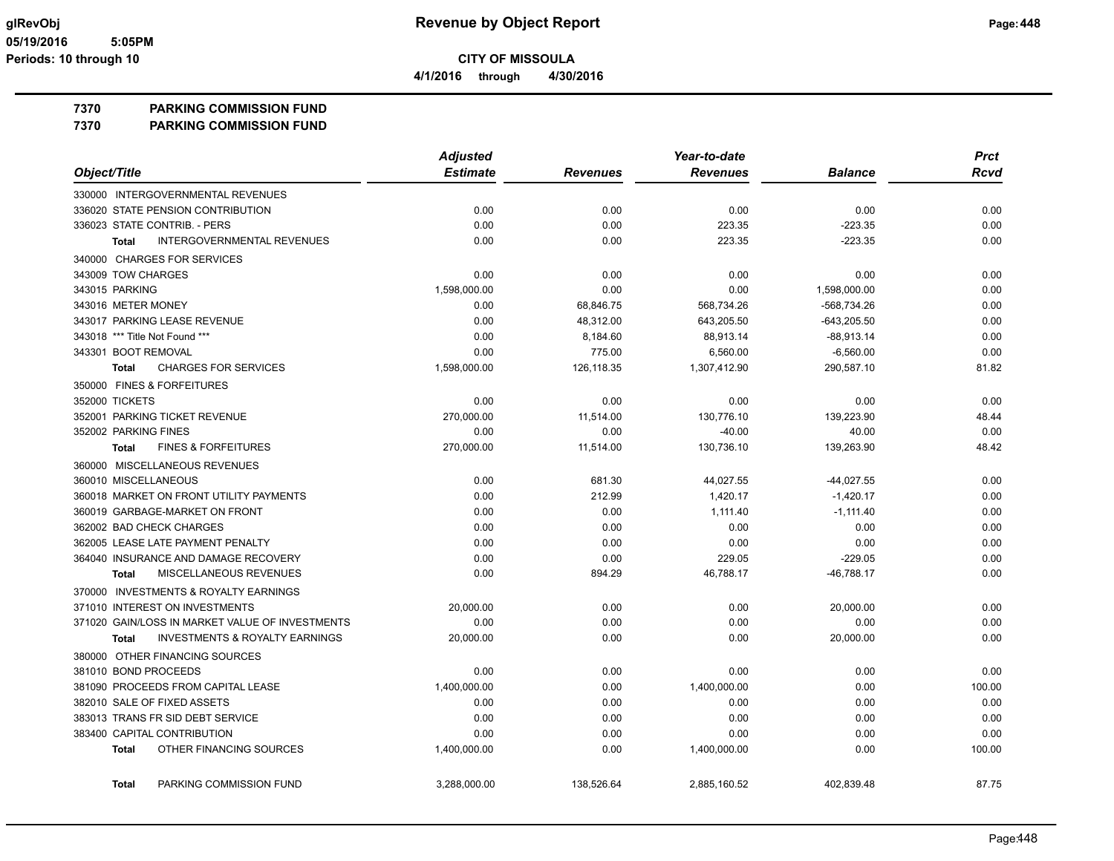**4/1/2016 through 4/30/2016**

## **7370 PARKING COMMISSION FUND**

**7370 PARKING COMMISSION FUND**

|                                                           | <b>Adjusted</b> |                 | Year-to-date    |                | <b>Prct</b> |
|-----------------------------------------------------------|-----------------|-----------------|-----------------|----------------|-------------|
| Object/Title                                              | <b>Estimate</b> | <b>Revenues</b> | <b>Revenues</b> | <b>Balance</b> | <b>Rcvd</b> |
| 330000 INTERGOVERNMENTAL REVENUES                         |                 |                 |                 |                |             |
| 336020 STATE PENSION CONTRIBUTION                         | 0.00            | 0.00            | 0.00            | 0.00           | 0.00        |
| 336023 STATE CONTRIB. - PERS                              | 0.00            | 0.00            | 223.35          | $-223.35$      | 0.00        |
| <b>INTERGOVERNMENTAL REVENUES</b><br><b>Total</b>         | 0.00            | 0.00            | 223.35          | $-223.35$      | 0.00        |
| 340000 CHARGES FOR SERVICES                               |                 |                 |                 |                |             |
| 343009 TOW CHARGES                                        | 0.00            | 0.00            | 0.00            | 0.00           | 0.00        |
| 343015 PARKING                                            | 1,598,000.00    | 0.00            | 0.00            | 1,598,000.00   | 0.00        |
| 343016 METER MONEY                                        | 0.00            | 68,846.75       | 568,734.26      | -568,734.26    | 0.00        |
| 343017 PARKING LEASE REVENUE                              | 0.00            | 48,312.00       | 643,205.50      | $-643,205.50$  | 0.00        |
| 343018 *** Title Not Found ***                            | 0.00            | 8,184.60        | 88,913.14       | $-88,913.14$   | 0.00        |
| 343301 BOOT REMOVAL                                       | 0.00            | 775.00          | 6,560.00        | $-6,560.00$    | 0.00        |
| <b>CHARGES FOR SERVICES</b><br><b>Total</b>               | 1,598,000.00    | 126,118.35      | 1,307,412.90    | 290,587.10     | 81.82       |
| 350000 FINES & FORFEITURES                                |                 |                 |                 |                |             |
| 352000 TICKETS                                            | 0.00            | 0.00            | 0.00            | 0.00           | 0.00        |
| 352001 PARKING TICKET REVENUE                             | 270,000.00      | 11,514.00       | 130,776.10      | 139,223.90     | 48.44       |
| 352002 PARKING FINES                                      | 0.00            | 0.00            | $-40.00$        | 40.00          | 0.00        |
| <b>FINES &amp; FORFEITURES</b><br><b>Total</b>            | 270,000.00      | 11,514.00       | 130,736.10      | 139,263.90     | 48.42       |
| 360000 MISCELLANEOUS REVENUES                             |                 |                 |                 |                |             |
| 360010 MISCELLANEOUS                                      | 0.00            | 681.30          | 44,027.55       | $-44,027.55$   | 0.00        |
| 360018 MARKET ON FRONT UTILITY PAYMENTS                   | 0.00            | 212.99          | 1,420.17        | $-1,420.17$    | 0.00        |
| 360019 GARBAGE-MARKET ON FRONT                            | 0.00            | 0.00            | 1,111.40        | $-1,111.40$    | 0.00        |
| 362002 BAD CHECK CHARGES                                  | 0.00            | 0.00            | 0.00            | 0.00           | 0.00        |
| 362005 LEASE LATE PAYMENT PENALTY                         | 0.00            | 0.00            | 0.00            | 0.00           | 0.00        |
| 364040 INSURANCE AND DAMAGE RECOVERY                      | 0.00            | 0.00            | 229.05          | $-229.05$      | 0.00        |
| <b>MISCELLANEOUS REVENUES</b><br>Total                    | 0.00            | 894.29          | 46,788.17       | $-46,788.17$   | 0.00        |
| 370000 INVESTMENTS & ROYALTY EARNINGS                     |                 |                 |                 |                |             |
| 371010 INTEREST ON INVESTMENTS                            | 20,000.00       | 0.00            | 0.00            | 20,000.00      | 0.00        |
| 371020 GAIN/LOSS IN MARKET VALUE OF INVESTMENTS           | 0.00            | 0.00            | 0.00            | 0.00           | 0.00        |
| <b>INVESTMENTS &amp; ROYALTY EARNINGS</b><br><b>Total</b> | 20,000.00       | 0.00            | 0.00            | 20,000.00      | 0.00        |
| 380000 OTHER FINANCING SOURCES                            |                 |                 |                 |                |             |
| 381010 BOND PROCEEDS                                      | 0.00            | 0.00            | 0.00            | 0.00           | 0.00        |
| 381090 PROCEEDS FROM CAPITAL LEASE                        | 1,400,000.00    | 0.00            | 1,400,000.00    | 0.00           | 100.00      |
| 382010 SALE OF FIXED ASSETS                               | 0.00            | 0.00            | 0.00            | 0.00           | 0.00        |
| 383013 TRANS FR SID DEBT SERVICE                          | 0.00            | 0.00            | 0.00            | 0.00           | 0.00        |
| 383400 CAPITAL CONTRIBUTION                               | 0.00            | 0.00            | 0.00            | 0.00           | 0.00        |
| OTHER FINANCING SOURCES<br><b>Total</b>                   | 1,400,000.00    | 0.00            | 1,400,000.00    | 0.00           | 100.00      |
| PARKING COMMISSION FUND<br><b>Total</b>                   | 3,288,000.00    | 138,526.64      | 2,885,160.52    | 402,839.48     | 87.75       |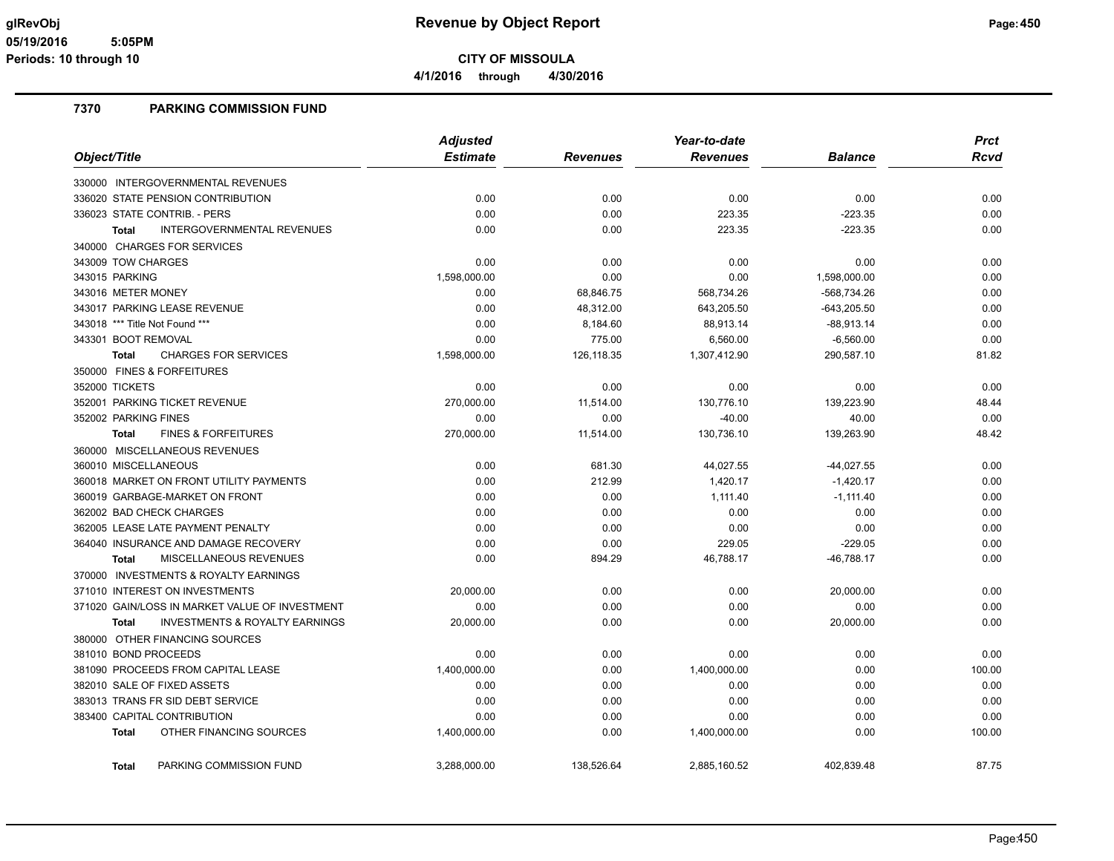**4/1/2016 through 4/30/2016**

#### **7370 PARKING COMMISSION FUND**

|                                                           | <b>Adjusted</b> |                 | Year-to-date    | <b>Prct</b>    |        |
|-----------------------------------------------------------|-----------------|-----------------|-----------------|----------------|--------|
| Object/Title                                              | <b>Estimate</b> | <b>Revenues</b> | <b>Revenues</b> | <b>Balance</b> | Rcvd   |
| 330000 INTERGOVERNMENTAL REVENUES                         |                 |                 |                 |                |        |
| 336020 STATE PENSION CONTRIBUTION                         | 0.00            | 0.00            | 0.00            | 0.00           | 0.00   |
| 336023 STATE CONTRIB. - PERS                              | 0.00            | 0.00            | 223.35          | $-223.35$      | 0.00   |
| <b>INTERGOVERNMENTAL REVENUES</b><br><b>Total</b>         | 0.00            | 0.00            | 223.35          | $-223.35$      | 0.00   |
| 340000 CHARGES FOR SERVICES                               |                 |                 |                 |                |        |
| 343009 TOW CHARGES                                        | 0.00            | 0.00            | 0.00            | 0.00           | 0.00   |
| 343015 PARKING                                            | 1,598,000.00    | 0.00            | 0.00            | 1,598,000.00   | 0.00   |
| 343016 METER MONEY                                        | 0.00            | 68,846.75       | 568,734.26      | -568,734.26    | 0.00   |
| 343017 PARKING LEASE REVENUE                              | 0.00            | 48,312.00       | 643,205.50      | $-643,205.50$  | 0.00   |
| 343018 *** Title Not Found ***                            | 0.00            | 8,184.60        | 88,913.14       | $-88,913.14$   | 0.00   |
| 343301 BOOT REMOVAL                                       | 0.00            | 775.00          | 6,560.00        | $-6,560.00$    | 0.00   |
| <b>CHARGES FOR SERVICES</b><br><b>Total</b>               | 1,598,000.00    | 126,118.35      | 1,307,412.90    | 290,587.10     | 81.82  |
| 350000 FINES & FORFEITURES                                |                 |                 |                 |                |        |
| 352000 TICKETS                                            | 0.00            | 0.00            | 0.00            | 0.00           | 0.00   |
| 352001 PARKING TICKET REVENUE                             | 270,000.00      | 11,514.00       | 130,776.10      | 139,223.90     | 48.44  |
| 352002 PARKING FINES                                      | 0.00            | 0.00            | $-40.00$        | 40.00          | 0.00   |
| <b>FINES &amp; FORFEITURES</b><br><b>Total</b>            | 270,000.00      | 11,514.00       | 130,736.10      | 139,263.90     | 48.42  |
| 360000 MISCELLANEOUS REVENUES                             |                 |                 |                 |                |        |
| 360010 MISCELLANEOUS                                      | 0.00            | 681.30          | 44,027.55       | $-44,027.55$   | 0.00   |
| 360018 MARKET ON FRONT UTILITY PAYMENTS                   | 0.00            | 212.99          | 1,420.17        | $-1,420.17$    | 0.00   |
| 360019 GARBAGE-MARKET ON FRONT                            | 0.00            | 0.00            | 1,111.40        | $-1,111.40$    | 0.00   |
| 362002 BAD CHECK CHARGES                                  | 0.00            | 0.00            | 0.00            | 0.00           | 0.00   |
| 362005 LEASE LATE PAYMENT PENALTY                         | 0.00            | 0.00            | 0.00            | 0.00           | 0.00   |
| 364040 INSURANCE AND DAMAGE RECOVERY                      | 0.00            | 0.00            | 229.05          | $-229.05$      | 0.00   |
| <b>MISCELLANEOUS REVENUES</b><br><b>Total</b>             | 0.00            | 894.29          | 46,788.17       | $-46,788.17$   | 0.00   |
| 370000 INVESTMENTS & ROYALTY EARNINGS                     |                 |                 |                 |                |        |
| 371010 INTEREST ON INVESTMENTS                            | 20,000.00       | 0.00            | 0.00            | 20,000.00      | 0.00   |
| 371020 GAIN/LOSS IN MARKET VALUE OF INVESTMENT            | 0.00            | 0.00            | 0.00            | 0.00           | 0.00   |
| <b>INVESTMENTS &amp; ROYALTY EARNINGS</b><br><b>Total</b> | 20,000.00       | 0.00            | 0.00            | 20,000.00      | 0.00   |
| 380000 OTHER FINANCING SOURCES                            |                 |                 |                 |                |        |
| 381010 BOND PROCEEDS                                      | 0.00            | 0.00            | 0.00            | 0.00           | 0.00   |
| 381090 PROCEEDS FROM CAPITAL LEASE                        | 1,400,000.00    | 0.00            | 1,400,000.00    | 0.00           | 100.00 |
| 382010 SALE OF FIXED ASSETS                               | 0.00            | 0.00            | 0.00            | 0.00           | 0.00   |
| 383013 TRANS FR SID DEBT SERVICE                          | 0.00            | 0.00            | 0.00            | 0.00           | 0.00   |
| 383400 CAPITAL CONTRIBUTION                               | 0.00            | 0.00            | 0.00            | 0.00           | 0.00   |
| OTHER FINANCING SOURCES<br><b>Total</b>                   | 1,400,000.00    | 0.00            | 1,400,000.00    | 0.00           | 100.00 |
| PARKING COMMISSION FUND<br><b>Total</b>                   | 3,288,000.00    | 138,526.64      | 2,885,160.52    | 402,839.48     | 87.75  |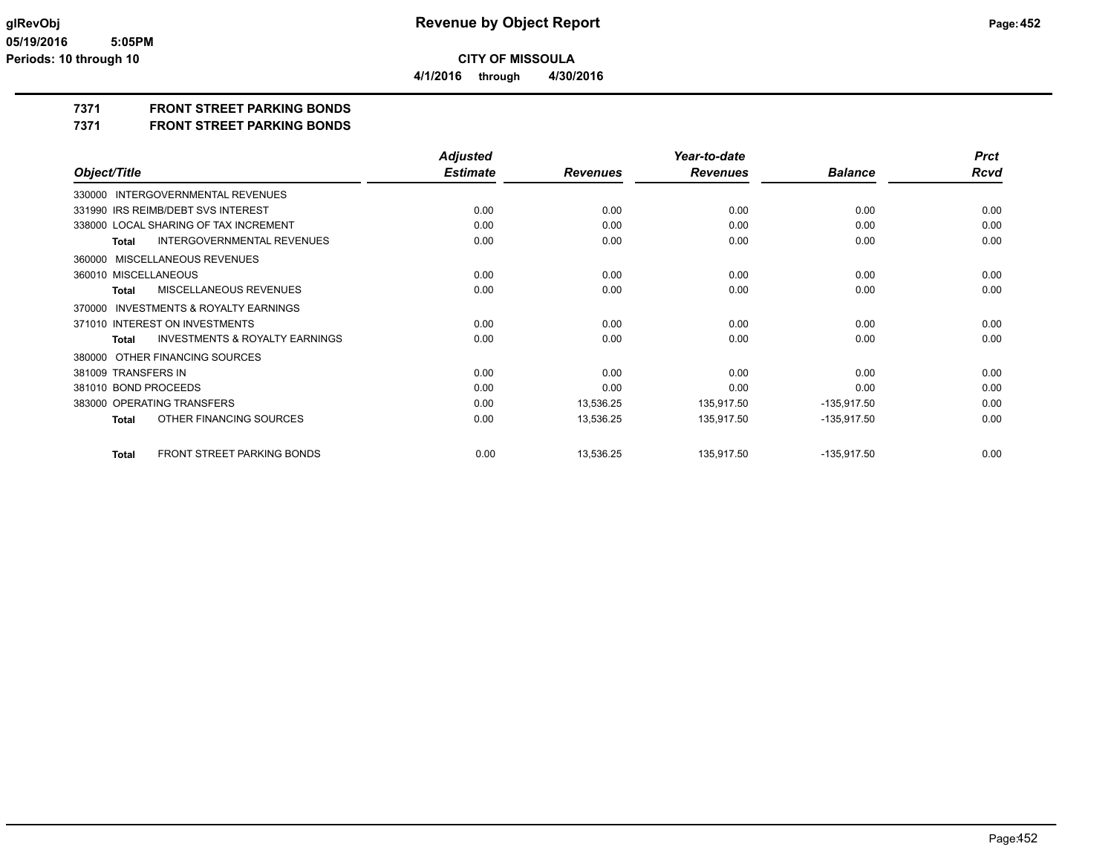**4/1/2016 through 4/30/2016**

## **7371 FRONT STREET PARKING BONDS**

**7371 FRONT STREET PARKING BONDS**

|                                                           | <b>Adjusted</b> |                 | Year-to-date    |                | <b>Prct</b> |
|-----------------------------------------------------------|-----------------|-----------------|-----------------|----------------|-------------|
| Object/Title                                              | <b>Estimate</b> | <b>Revenues</b> | <b>Revenues</b> | <b>Balance</b> | <b>Rcvd</b> |
| 330000 INTERGOVERNMENTAL REVENUES                         |                 |                 |                 |                |             |
| 331990 IRS REIMB/DEBT SVS INTEREST                        | 0.00            | 0.00            | 0.00            | 0.00           | 0.00        |
| 338000 LOCAL SHARING OF TAX INCREMENT                     | 0.00            | 0.00            | 0.00            | 0.00           | 0.00        |
| <b>INTERGOVERNMENTAL REVENUES</b><br><b>Total</b>         | 0.00            | 0.00            | 0.00            | 0.00           | 0.00        |
| MISCELLANEOUS REVENUES<br>360000                          |                 |                 |                 |                |             |
| 360010 MISCELLANEOUS                                      | 0.00            | 0.00            | 0.00            | 0.00           | 0.00        |
| MISCELLANEOUS REVENUES<br>Total                           | 0.00            | 0.00            | 0.00            | 0.00           | 0.00        |
| <b>INVESTMENTS &amp; ROYALTY EARNINGS</b><br>370000       |                 |                 |                 |                |             |
| 371010 INTEREST ON INVESTMENTS                            | 0.00            | 0.00            | 0.00            | 0.00           | 0.00        |
| <b>INVESTMENTS &amp; ROYALTY EARNINGS</b><br><b>Total</b> | 0.00            | 0.00            | 0.00            | 0.00           | 0.00        |
| 380000 OTHER FINANCING SOURCES                            |                 |                 |                 |                |             |
| 381009 TRANSFERS IN                                       | 0.00            | 0.00            | 0.00            | 0.00           | 0.00        |
| 381010 BOND PROCEEDS                                      | 0.00            | 0.00            | 0.00            | 0.00           | 0.00        |
| 383000 OPERATING TRANSFERS                                | 0.00            | 13,536.25       | 135,917.50      | $-135,917.50$  | 0.00        |
| OTHER FINANCING SOURCES<br><b>Total</b>                   | 0.00            | 13,536.25       | 135,917.50      | -135,917.50    | 0.00        |
| FRONT STREET PARKING BONDS<br><b>Total</b>                | 0.00            | 13,536.25       | 135,917.50      | $-135,917.50$  | 0.00        |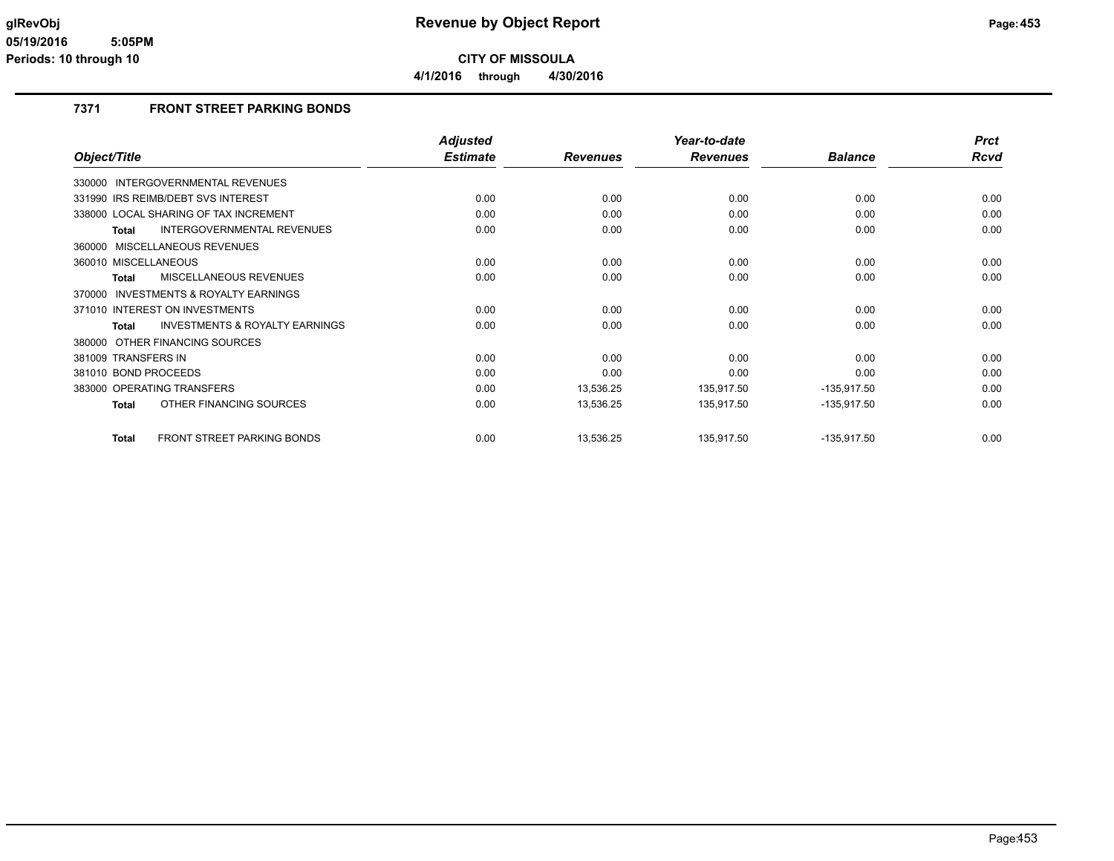**4/1/2016 through 4/30/2016**

## **7371 FRONT STREET PARKING BONDS**

|                                                     | <b>Adjusted</b> |                 | Year-to-date    |                | <b>Prct</b> |
|-----------------------------------------------------|-----------------|-----------------|-----------------|----------------|-------------|
| Object/Title                                        | <b>Estimate</b> | <b>Revenues</b> | <b>Revenues</b> | <b>Balance</b> | <b>Rcvd</b> |
| 330000 INTERGOVERNMENTAL REVENUES                   |                 |                 |                 |                |             |
| 331990 IRS REIMB/DEBT SVS INTEREST                  | 0.00            | 0.00            | 0.00            | 0.00           | 0.00        |
| 338000 LOCAL SHARING OF TAX INCREMENT               | 0.00            | 0.00            | 0.00            | 0.00           | 0.00        |
| <b>INTERGOVERNMENTAL REVENUES</b><br>Total          | 0.00            | 0.00            | 0.00            | 0.00           | 0.00        |
| 360000 MISCELLANEOUS REVENUES                       |                 |                 |                 |                |             |
| 360010 MISCELLANEOUS                                | 0.00            | 0.00            | 0.00            | 0.00           | 0.00        |
| MISCELLANEOUS REVENUES<br><b>Total</b>              | 0.00            | 0.00            | 0.00            | 0.00           | 0.00        |
| <b>INVESTMENTS &amp; ROYALTY EARNINGS</b><br>370000 |                 |                 |                 |                |             |
| 371010 INTEREST ON INVESTMENTS                      | 0.00            | 0.00            | 0.00            | 0.00           | 0.00        |
| <b>INVESTMENTS &amp; ROYALTY EARNINGS</b><br>Total  | 0.00            | 0.00            | 0.00            | 0.00           | 0.00        |
| 380000 OTHER FINANCING SOURCES                      |                 |                 |                 |                |             |
| 381009 TRANSFERS IN                                 | 0.00            | 0.00            | 0.00            | 0.00           | 0.00        |
| 381010 BOND PROCEEDS                                | 0.00            | 0.00            | 0.00            | 0.00           | 0.00        |
| 383000 OPERATING TRANSFERS                          | 0.00            | 13,536.25       | 135,917.50      | $-135,917.50$  | 0.00        |
| OTHER FINANCING SOURCES<br><b>Total</b>             | 0.00            | 13,536.25       | 135,917.50      | $-135,917.50$  | 0.00        |
| <b>FRONT STREET PARKING BONDS</b><br>Total          | 0.00            | 13,536.25       | 135,917.50      | $-135,917.50$  | 0.00        |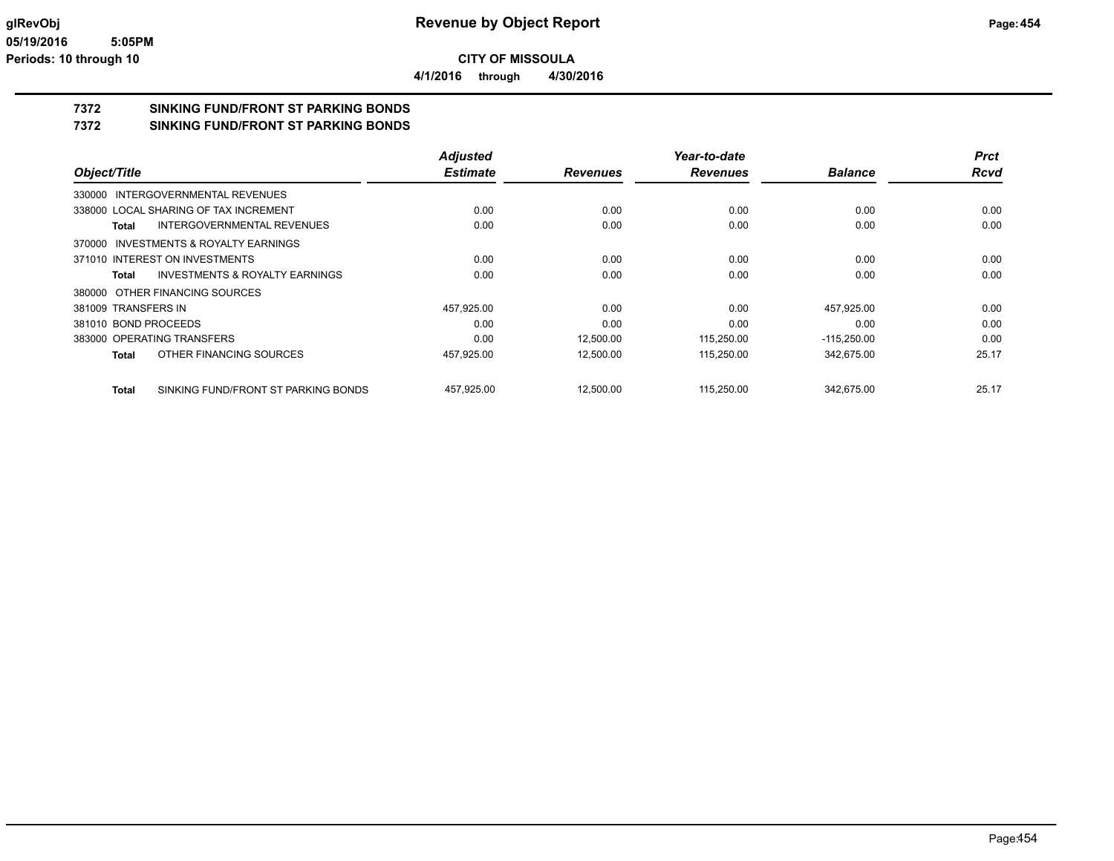**4/1/2016 through 4/30/2016**

## **7372 SINKING FUND/FRONT ST PARKING BONDS**

**7372 SINKING FUND/FRONT ST PARKING BONDS**

|                                                     | <b>Adjusted</b> |                 | Year-to-date    |                | <b>Prct</b> |
|-----------------------------------------------------|-----------------|-----------------|-----------------|----------------|-------------|
| Object/Title                                        | <b>Estimate</b> | <b>Revenues</b> | <b>Revenues</b> | <b>Balance</b> | <b>Rcvd</b> |
| 330000 INTERGOVERNMENTAL REVENUES                   |                 |                 |                 |                |             |
| 338000 LOCAL SHARING OF TAX INCREMENT               | 0.00            | 0.00            | 0.00            | 0.00           | 0.00        |
| INTERGOVERNMENTAL REVENUES<br>Total                 | 0.00            | 0.00            | 0.00            | 0.00           | 0.00        |
| <b>INVESTMENTS &amp; ROYALTY EARNINGS</b><br>370000 |                 |                 |                 |                |             |
| 371010 INTEREST ON INVESTMENTS                      | 0.00            | 0.00            | 0.00            | 0.00           | 0.00        |
| INVESTMENTS & ROYALTY EARNINGS<br>Total             | 0.00            | 0.00            | 0.00            | 0.00           | 0.00        |
| 380000 OTHER FINANCING SOURCES                      |                 |                 |                 |                |             |
| 381009 TRANSFERS IN                                 | 457,925.00      | 0.00            | 0.00            | 457,925.00     | 0.00        |
| 381010 BOND PROCEEDS                                | 0.00            | 0.00            | 0.00            | 0.00           | 0.00        |
| 383000 OPERATING TRANSFERS                          | 0.00            | 12,500.00       | 115,250.00      | $-115,250.00$  | 0.00        |
| OTHER FINANCING SOURCES<br><b>Total</b>             | 457,925.00      | 12,500.00       | 115,250.00      | 342.675.00     | 25.17       |
| SINKING FUND/FRONT ST PARKING BONDS<br><b>Total</b> | 457,925.00      | 12,500.00       | 115,250.00      | 342.675.00     | 25.17       |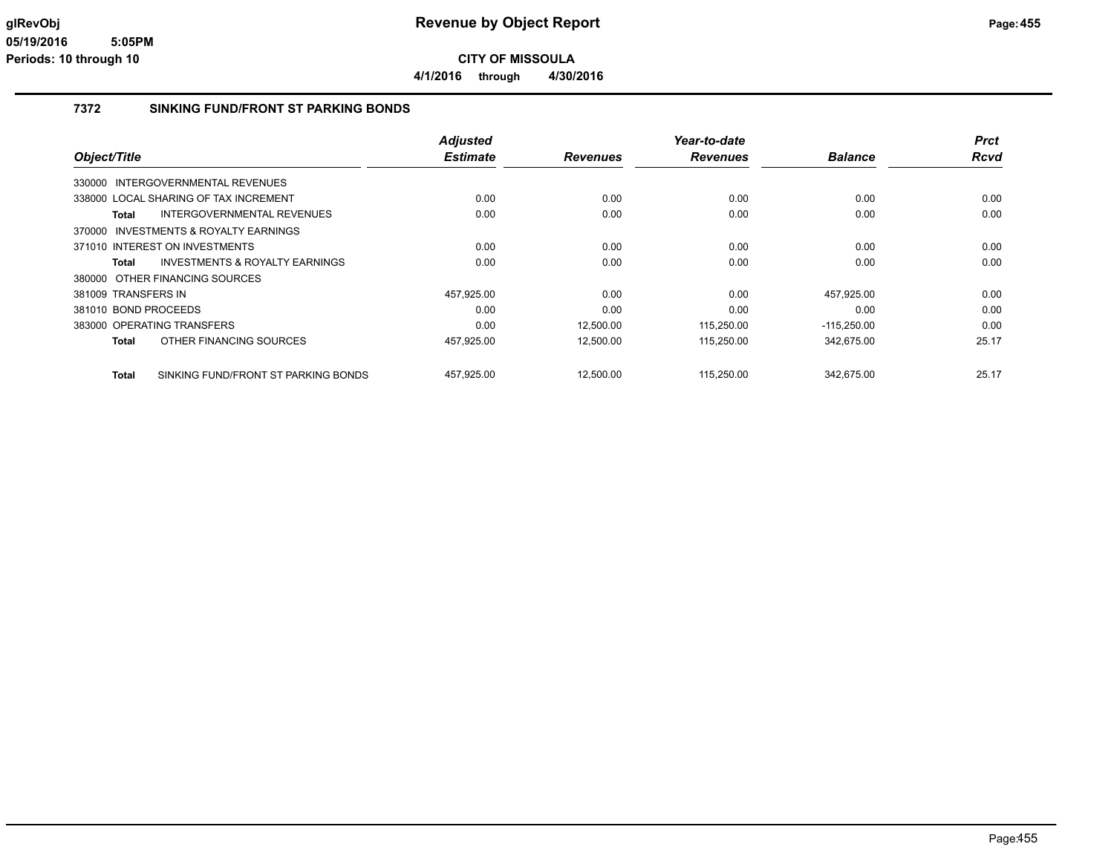#### **7372 SINKING FUND/FRONT ST PARKING BONDS**

|                                                    | <b>Adjusted</b> |                 | Year-to-date    |                | <b>Prct</b> |
|----------------------------------------------------|-----------------|-----------------|-----------------|----------------|-------------|
| Object/Title                                       | <b>Estimate</b> | <b>Revenues</b> | <b>Revenues</b> | <b>Balance</b> | Rcvd        |
| 330000 INTERGOVERNMENTAL REVENUES                  |                 |                 |                 |                |             |
| 338000 LOCAL SHARING OF TAX INCREMENT              | 0.00            | 0.00            | 0.00            | 0.00           | 0.00        |
| INTERGOVERNMENTAL REVENUES<br>Total                | 0.00            | 0.00            | 0.00            | 0.00           | 0.00        |
| 370000 INVESTMENTS & ROYALTY EARNINGS              |                 |                 |                 |                |             |
| 371010 INTEREST ON INVESTMENTS                     | 0.00            | 0.00            | 0.00            | 0.00           | 0.00        |
| <b>INVESTMENTS &amp; ROYALTY EARNINGS</b><br>Total | 0.00            | 0.00            | 0.00            | 0.00           | 0.00        |
| 380000 OTHER FINANCING SOURCES                     |                 |                 |                 |                |             |
| 381009 TRANSFERS IN                                | 457,925.00      | 0.00            | 0.00            | 457,925.00     | 0.00        |
| 381010 BOND PROCEEDS                               | 0.00            | 0.00            | 0.00            | 0.00           | 0.00        |
| 383000 OPERATING TRANSFERS                         | 0.00            | 12,500.00       | 115,250.00      | $-115,250.00$  | 0.00        |
| OTHER FINANCING SOURCES<br>Total                   | 457,925.00      | 12,500.00       | 115,250.00      | 342,675.00     | 25.17       |
| SINKING FUND/FRONT ST PARKING BONDS<br>Total       | 457.925.00      | 12.500.00       | 115.250.00      | 342.675.00     | 25.17       |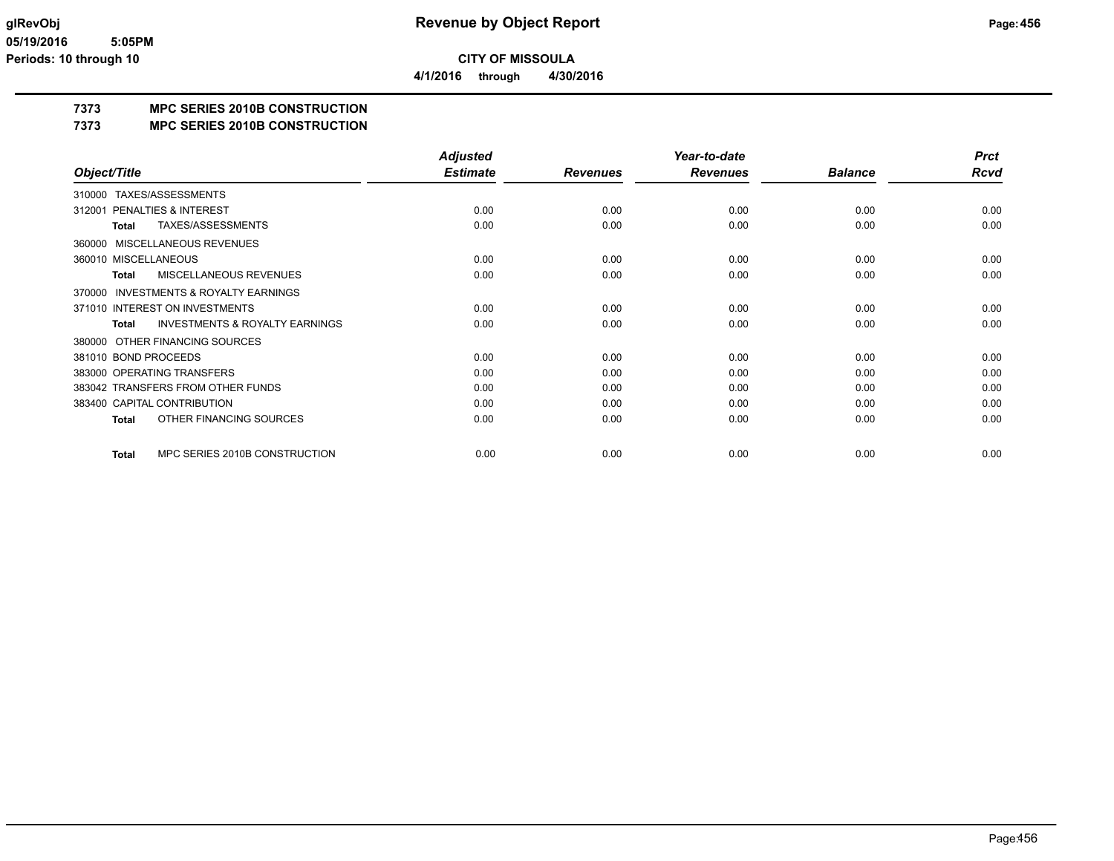**4/1/2016 through 4/30/2016**

## **7373 MPC SERIES 2010B CONSTRUCTION**

## **7373 MPC SERIES 2010B CONSTRUCTION**

|                                                           | <b>Adjusted</b> |                 | Year-to-date    |                | <b>Prct</b> |
|-----------------------------------------------------------|-----------------|-----------------|-----------------|----------------|-------------|
| Object/Title                                              | <b>Estimate</b> | <b>Revenues</b> | <b>Revenues</b> | <b>Balance</b> | <b>Rcvd</b> |
| TAXES/ASSESSMENTS<br>310000                               |                 |                 |                 |                |             |
| PENALTIES & INTEREST<br>312001                            | 0.00            | 0.00            | 0.00            | 0.00           | 0.00        |
| TAXES/ASSESSMENTS<br><b>Total</b>                         | 0.00            | 0.00            | 0.00            | 0.00           | 0.00        |
| MISCELLANEOUS REVENUES<br>360000                          |                 |                 |                 |                |             |
| 360010 MISCELLANEOUS                                      | 0.00            | 0.00            | 0.00            | 0.00           | 0.00        |
| <b>MISCELLANEOUS REVENUES</b><br><b>Total</b>             | 0.00            | 0.00            | 0.00            | 0.00           | 0.00        |
| <b>INVESTMENTS &amp; ROYALTY EARNINGS</b><br>370000       |                 |                 |                 |                |             |
| 371010 INTEREST ON INVESTMENTS                            | 0.00            | 0.00            | 0.00            | 0.00           | 0.00        |
| <b>INVESTMENTS &amp; ROYALTY EARNINGS</b><br><b>Total</b> | 0.00            | 0.00            | 0.00            | 0.00           | 0.00        |
| OTHER FINANCING SOURCES<br>380000                         |                 |                 |                 |                |             |
| 381010 BOND PROCEEDS                                      | 0.00            | 0.00            | 0.00            | 0.00           | 0.00        |
| 383000 OPERATING TRANSFERS                                | 0.00            | 0.00            | 0.00            | 0.00           | 0.00        |
| 383042 TRANSFERS FROM OTHER FUNDS                         | 0.00            | 0.00            | 0.00            | 0.00           | 0.00        |
| 383400 CAPITAL CONTRIBUTION                               | 0.00            | 0.00            | 0.00            | 0.00           | 0.00        |
| OTHER FINANCING SOURCES<br><b>Total</b>                   | 0.00            | 0.00            | 0.00            | 0.00           | 0.00        |
| MPC SERIES 2010B CONSTRUCTION<br><b>Total</b>             | 0.00            | 0.00            | 0.00            | 0.00           | 0.00        |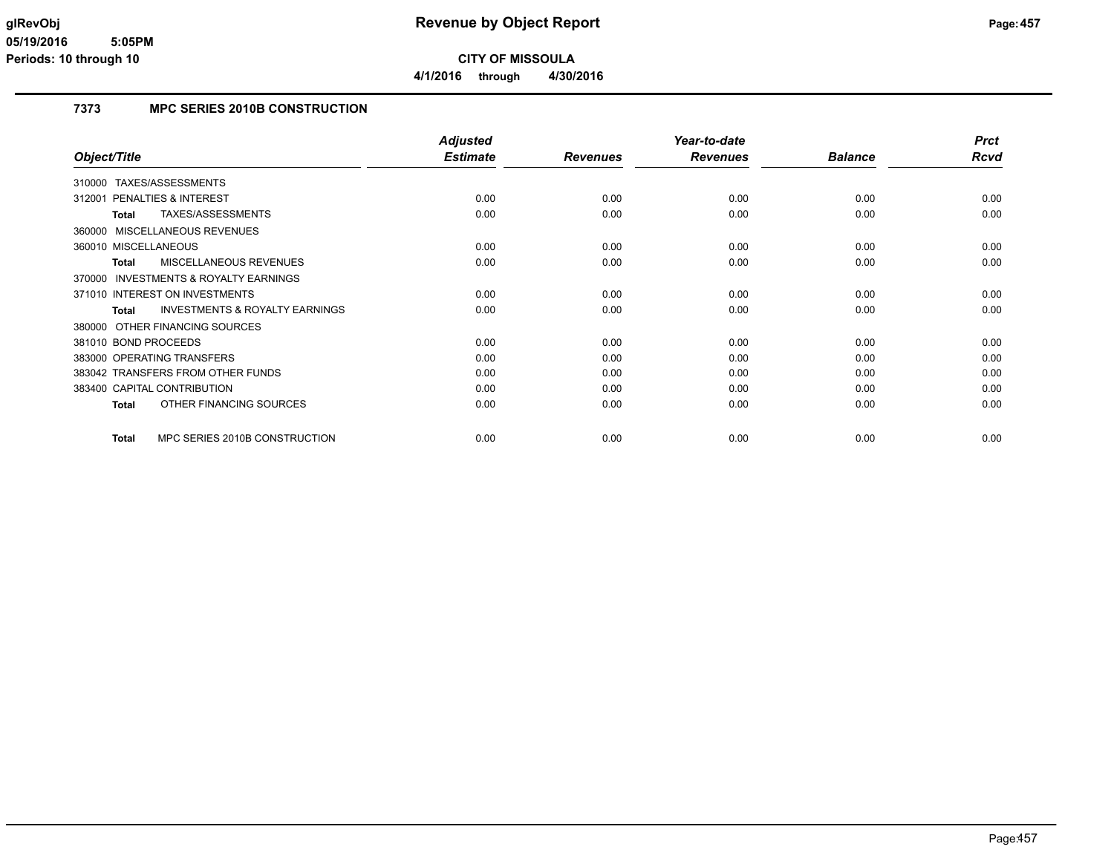## **7373 MPC SERIES 2010B CONSTRUCTION**

|                                                     | <b>Adjusted</b> |                 | Year-to-date    |                | <b>Prct</b> |
|-----------------------------------------------------|-----------------|-----------------|-----------------|----------------|-------------|
| Object/Title                                        | <b>Estimate</b> | <b>Revenues</b> | <b>Revenues</b> | <b>Balance</b> | Rcvd        |
| TAXES/ASSESSMENTS<br>310000                         |                 |                 |                 |                |             |
| 312001 PENALTIES & INTEREST                         | 0.00            | 0.00            | 0.00            | 0.00           | 0.00        |
| TAXES/ASSESSMENTS<br>Total                          | 0.00            | 0.00            | 0.00            | 0.00           | 0.00        |
| 360000 MISCELLANEOUS REVENUES                       |                 |                 |                 |                |             |
| 360010 MISCELLANEOUS                                | 0.00            | 0.00            | 0.00            | 0.00           | 0.00        |
| MISCELLANEOUS REVENUES<br><b>Total</b>              | 0.00            | 0.00            | 0.00            | 0.00           | 0.00        |
| <b>INVESTMENTS &amp; ROYALTY EARNINGS</b><br>370000 |                 |                 |                 |                |             |
| 371010 INTEREST ON INVESTMENTS                      | 0.00            | 0.00            | 0.00            | 0.00           | 0.00        |
| <b>INVESTMENTS &amp; ROYALTY EARNINGS</b><br>Total  | 0.00            | 0.00            | 0.00            | 0.00           | 0.00        |
| 380000 OTHER FINANCING SOURCES                      |                 |                 |                 |                |             |
| 381010 BOND PROCEEDS                                | 0.00            | 0.00            | 0.00            | 0.00           | 0.00        |
| 383000 OPERATING TRANSFERS                          | 0.00            | 0.00            | 0.00            | 0.00           | 0.00        |
| 383042 TRANSFERS FROM OTHER FUNDS                   | 0.00            | 0.00            | 0.00            | 0.00           | 0.00        |
| 383400 CAPITAL CONTRIBUTION                         | 0.00            | 0.00            | 0.00            | 0.00           | 0.00        |
| OTHER FINANCING SOURCES<br><b>Total</b>             | 0.00            | 0.00            | 0.00            | 0.00           | 0.00        |
| MPC SERIES 2010B CONSTRUCTION<br><b>Total</b>       | 0.00            | 0.00            | 0.00            | 0.00           | 0.00        |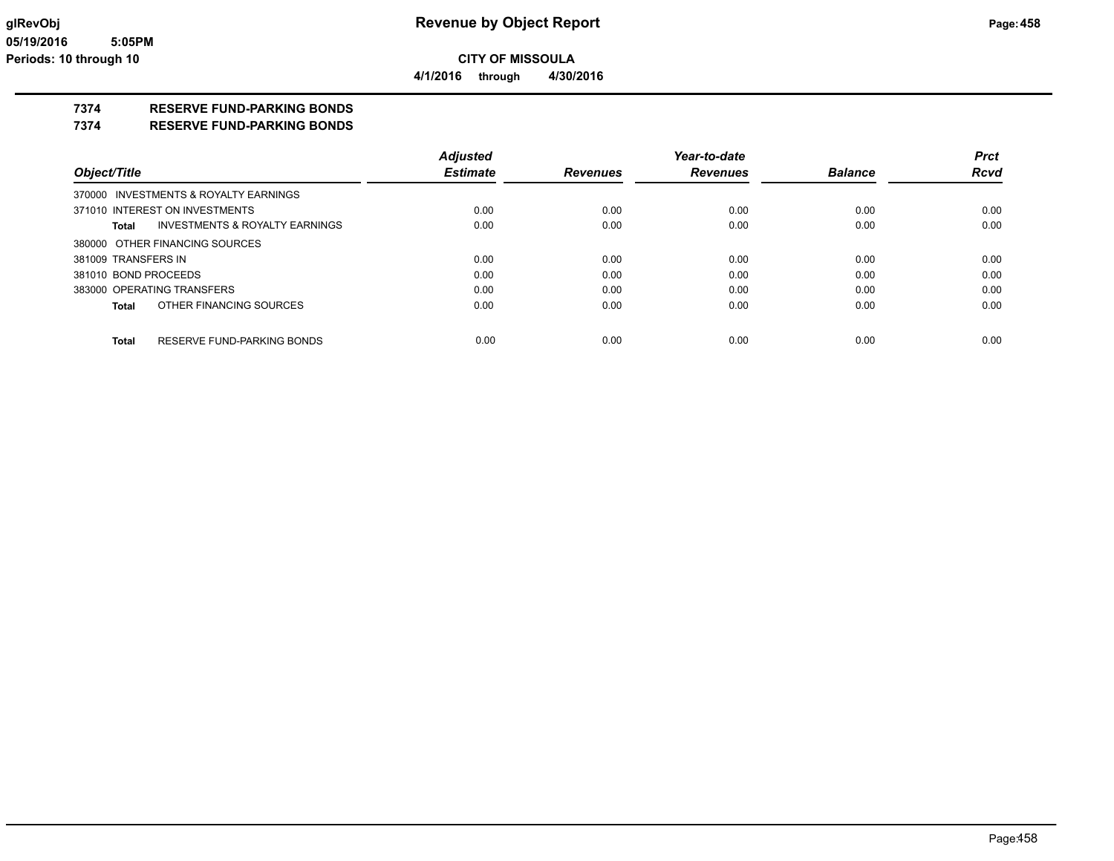**4/1/2016 through 4/30/2016**

## **7374 RESERVE FUND-PARKING BONDS**

**7374 RESERVE FUND-PARKING BONDS**

|                                                    | <b>Adjusted</b> |                 | Year-to-date    |                | <b>Prct</b> |
|----------------------------------------------------|-----------------|-----------------|-----------------|----------------|-------------|
| Object/Title                                       | <b>Estimate</b> | <b>Revenues</b> | <b>Revenues</b> | <b>Balance</b> | <b>Rcvd</b> |
| 370000 INVESTMENTS & ROYALTY EARNINGS              |                 |                 |                 |                |             |
| 371010 INTEREST ON INVESTMENTS                     | 0.00            | 0.00            | 0.00            | 0.00           | 0.00        |
| <b>INVESTMENTS &amp; ROYALTY EARNINGS</b><br>Total | 0.00            | 0.00            | 0.00            | 0.00           | 0.00        |
| 380000 OTHER FINANCING SOURCES                     |                 |                 |                 |                |             |
| 381009 TRANSFERS IN                                | 0.00            | 0.00            | 0.00            | 0.00           | 0.00        |
| 381010 BOND PROCEEDS                               | 0.00            | 0.00            | 0.00            | 0.00           | 0.00        |
| 383000 OPERATING TRANSFERS                         | 0.00            | 0.00            | 0.00            | 0.00           | 0.00        |
| OTHER FINANCING SOURCES<br>Total                   | 0.00            | 0.00            | 0.00            | 0.00           | 0.00        |
|                                                    |                 |                 |                 |                |             |
| RESERVE FUND-PARKING BONDS<br><b>Total</b>         | 0.00            | 0.00            | 0.00            | 0.00           | 0.00        |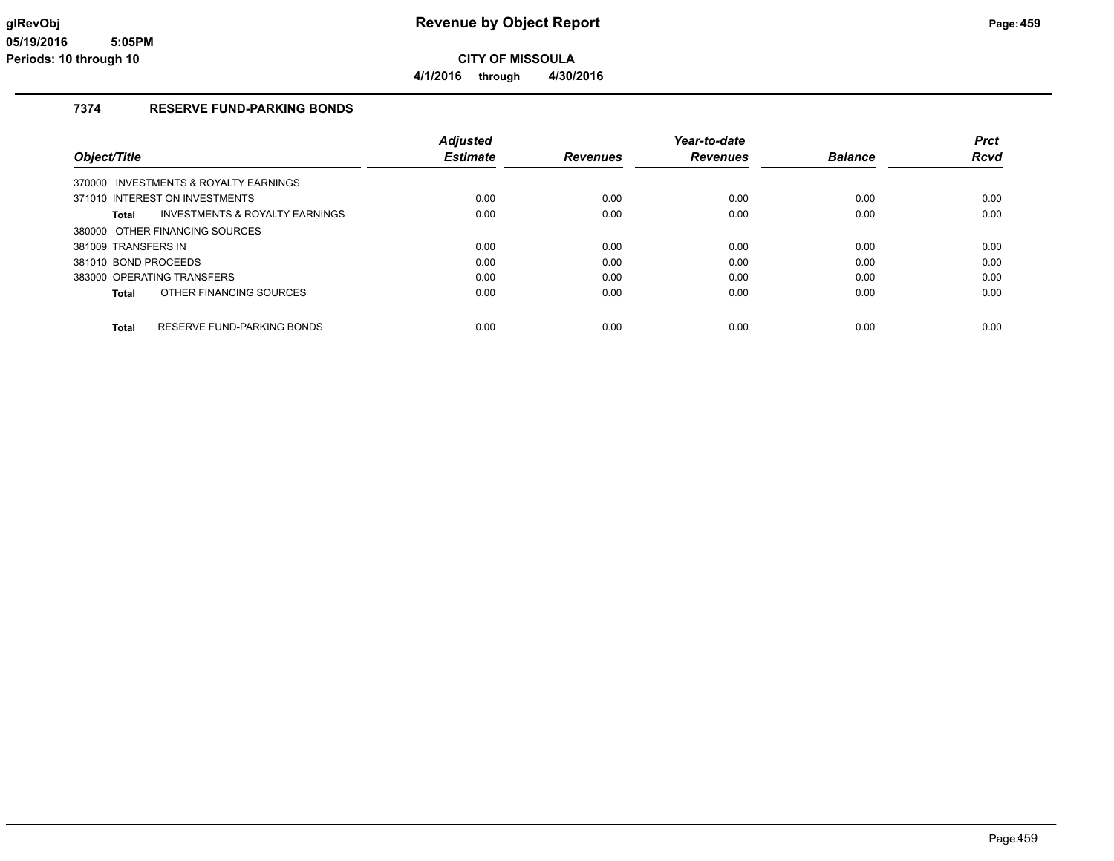## **7374 RESERVE FUND-PARKING BONDS**

|                                            | <b>Adjusted</b> |                 | Year-to-date    |                | <b>Prct</b> |
|--------------------------------------------|-----------------|-----------------|-----------------|----------------|-------------|
| Object/Title                               | <b>Estimate</b> | <b>Revenues</b> | <b>Revenues</b> | <b>Balance</b> | <b>Rcvd</b> |
| 370000 INVESTMENTS & ROYALTY EARNINGS      |                 |                 |                 |                |             |
| 371010 INTEREST ON INVESTMENTS             | 0.00            | 0.00            | 0.00            | 0.00           | 0.00        |
| INVESTMENTS & ROYALTY EARNINGS<br>Total    | 0.00            | 0.00            | 0.00            | 0.00           | 0.00        |
| 380000 OTHER FINANCING SOURCES             |                 |                 |                 |                |             |
| 381009 TRANSFERS IN                        | 0.00            | 0.00            | 0.00            | 0.00           | 0.00        |
| 381010 BOND PROCEEDS                       | 0.00            | 0.00            | 0.00            | 0.00           | 0.00        |
| 383000 OPERATING TRANSFERS                 | 0.00            | 0.00            | 0.00            | 0.00           | 0.00        |
| OTHER FINANCING SOURCES<br>Total           | 0.00            | 0.00            | 0.00            | 0.00           | 0.00        |
| RESERVE FUND-PARKING BONDS<br><b>Total</b> | 0.00            | 0.00            | 0.00            | 0.00           | 0.00        |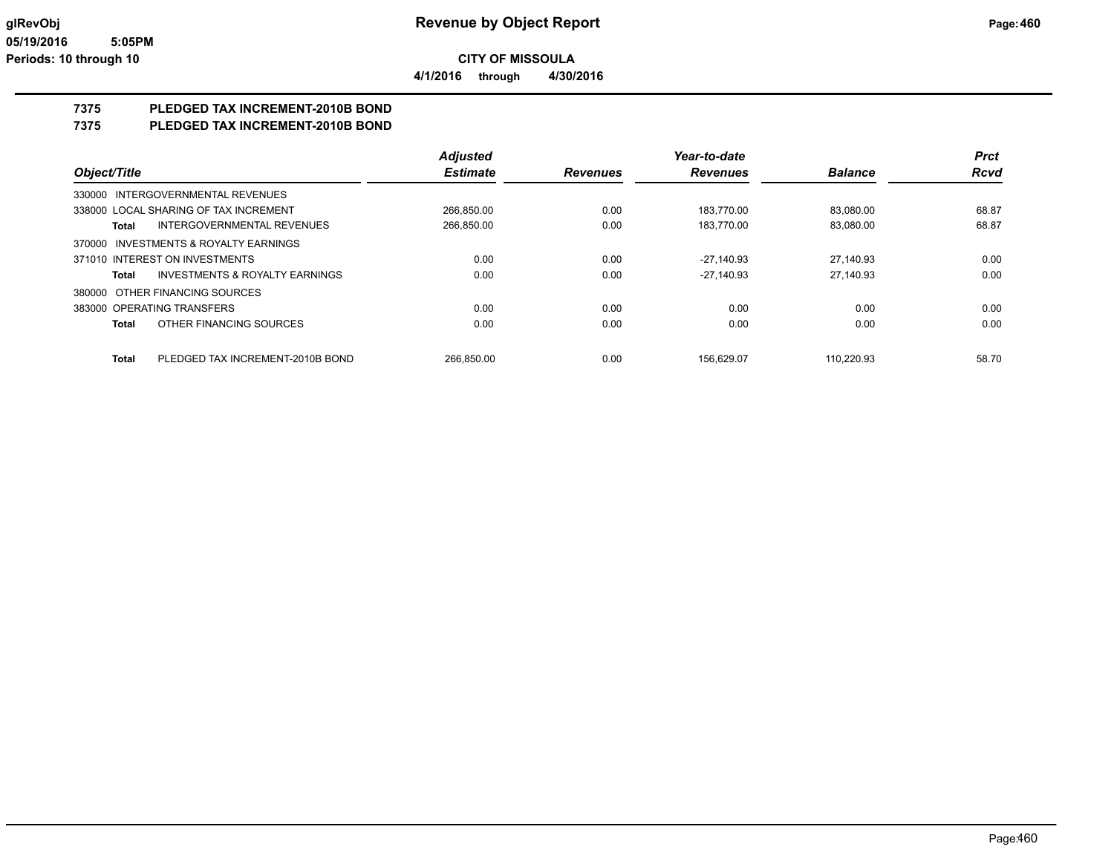**4/1/2016 through 4/30/2016**

## **7375 PLEDGED TAX INCREMENT-2010B BOND**

## **7375 PLEDGED TAX INCREMENT-2010B BOND**

|                                                    | <b>Adjusted</b> |                 | Year-to-date    |                | <b>Prct</b> |
|----------------------------------------------------|-----------------|-----------------|-----------------|----------------|-------------|
| Object/Title                                       | <b>Estimate</b> | <b>Revenues</b> | <b>Revenues</b> | <b>Balance</b> | <b>Rcvd</b> |
| 330000 INTERGOVERNMENTAL REVENUES                  |                 |                 |                 |                |             |
| 338000 LOCAL SHARING OF TAX INCREMENT              | 266.850.00      | 0.00            | 183.770.00      | 83.080.00      | 68.87       |
| <b>INTERGOVERNMENTAL REVENUES</b><br>Total         | 266,850.00      | 0.00            | 183.770.00      | 83.080.00      | 68.87       |
| 370000 INVESTMENTS & ROYALTY EARNINGS              |                 |                 |                 |                |             |
| 371010 INTEREST ON INVESTMENTS                     | 0.00            | 0.00            | $-27.140.93$    | 27.140.93      | 0.00        |
| <b>INVESTMENTS &amp; ROYALTY EARNINGS</b><br>Total | 0.00            | 0.00            | $-27,140.93$    | 27,140.93      | 0.00        |
| 380000 OTHER FINANCING SOURCES                     |                 |                 |                 |                |             |
| 383000 OPERATING TRANSFERS                         | 0.00            | 0.00            | 0.00            | 0.00           | 0.00        |
| OTHER FINANCING SOURCES<br>Total                   | 0.00            | 0.00            | 0.00            | 0.00           | 0.00        |
| PLEDGED TAX INCREMENT-2010B BOND<br><b>Total</b>   | 266.850.00      | 0.00            | 156.629.07      | 110.220.93     | 58.70       |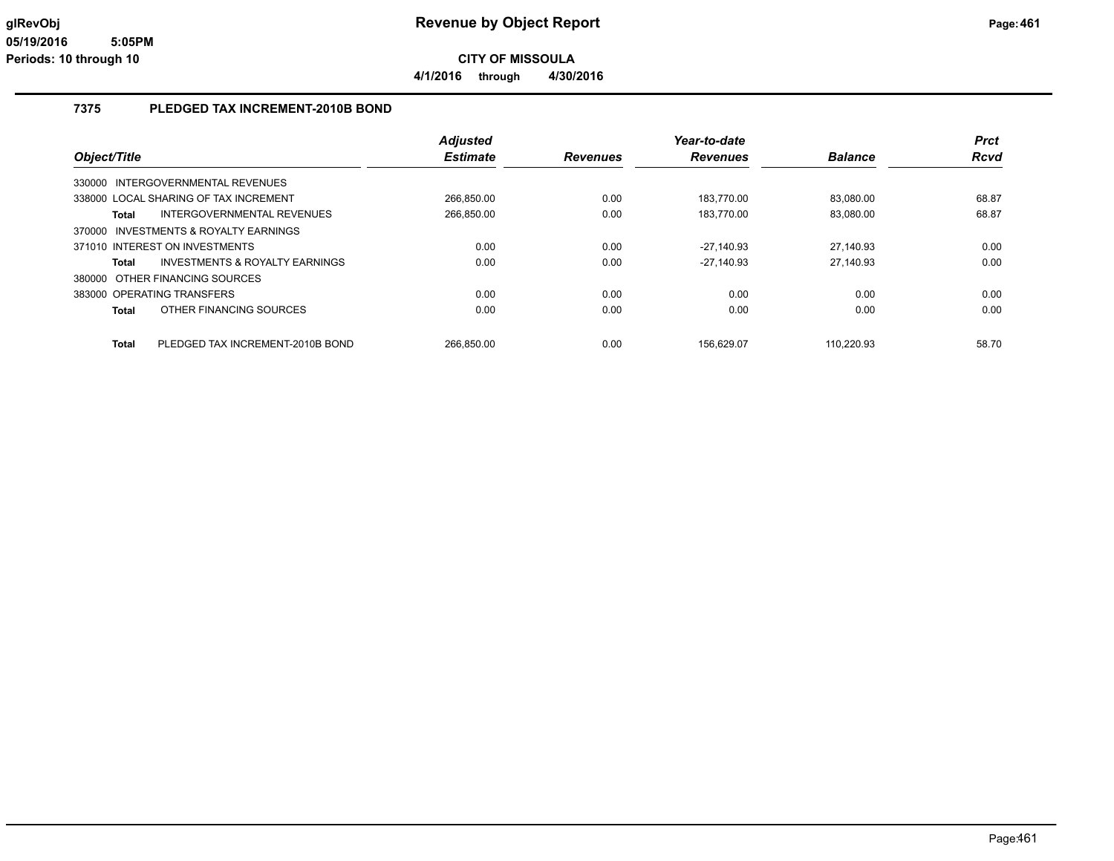## **7375 PLEDGED TAX INCREMENT-2010B BOND**

|                                                  | <b>Adjusted</b> |                 | Year-to-date    |                | <b>Prct</b> |
|--------------------------------------------------|-----------------|-----------------|-----------------|----------------|-------------|
| Object/Title                                     | <b>Estimate</b> | <b>Revenues</b> | <b>Revenues</b> | <b>Balance</b> | <b>Rcvd</b> |
| 330000 INTERGOVERNMENTAL REVENUES                |                 |                 |                 |                |             |
| 338000 LOCAL SHARING OF TAX INCREMENT            | 266.850.00      | 0.00            | 183.770.00      | 83.080.00      | 68.87       |
| <b>INTERGOVERNMENTAL REVENUES</b><br>Total       | 266,850.00      | 0.00            | 183,770.00      | 83,080.00      | 68.87       |
| 370000 INVESTMENTS & ROYALTY EARNINGS            |                 |                 |                 |                |             |
| 371010 INTEREST ON INVESTMENTS                   | 0.00            | 0.00            | -27.140.93      | 27.140.93      | 0.00        |
| INVESTMENTS & ROYALTY EARNINGS<br>Total          | 0.00            | 0.00            | $-27.140.93$    | 27.140.93      | 0.00        |
| 380000 OTHER FINANCING SOURCES                   |                 |                 |                 |                |             |
| 383000 OPERATING TRANSFERS                       | 0.00            | 0.00            | 0.00            | 0.00           | 0.00        |
| OTHER FINANCING SOURCES<br>Total                 | 0.00            | 0.00            | 0.00            | 0.00           | 0.00        |
|                                                  |                 |                 |                 |                |             |
| <b>Total</b><br>PLEDGED TAX INCREMENT-2010B BOND | 266.850.00      | 0.00            | 156.629.07      | 110.220.93     | 58.70       |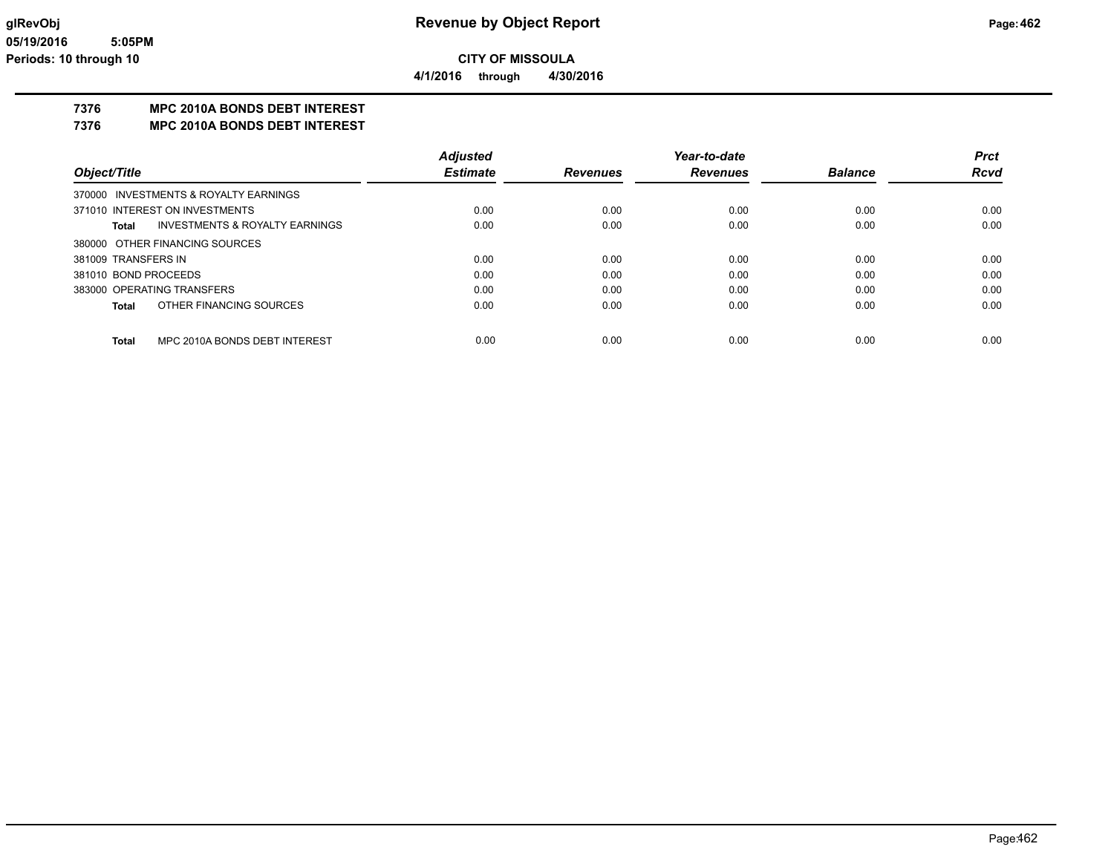**4/1/2016 through 4/30/2016**

## **7376 MPC 2010A BONDS DEBT INTEREST**

**7376 MPC 2010A BONDS DEBT INTEREST**

|                                                    | <b>Adjusted</b> |                 | Year-to-date    |                | Prct        |
|----------------------------------------------------|-----------------|-----------------|-----------------|----------------|-------------|
| Object/Title                                       | <b>Estimate</b> | <b>Revenues</b> | <b>Revenues</b> | <b>Balance</b> | <b>Rcvd</b> |
| 370000 INVESTMENTS & ROYALTY EARNINGS              |                 |                 |                 |                |             |
| 371010 INTEREST ON INVESTMENTS                     | 0.00            | 0.00            | 0.00            | 0.00           | 0.00        |
| <b>INVESTMENTS &amp; ROYALTY EARNINGS</b><br>Total | 0.00            | 0.00            | 0.00            | 0.00           | 0.00        |
| 380000 OTHER FINANCING SOURCES                     |                 |                 |                 |                |             |
| 381009 TRANSFERS IN                                | 0.00            | 0.00            | 0.00            | 0.00           | 0.00        |
| 381010 BOND PROCEEDS                               | 0.00            | 0.00            | 0.00            | 0.00           | 0.00        |
| 383000 OPERATING TRANSFERS                         | 0.00            | 0.00            | 0.00            | 0.00           | 0.00        |
| OTHER FINANCING SOURCES<br>Total                   | 0.00            | 0.00            | 0.00            | 0.00           | 0.00        |
| MPC 2010A BONDS DEBT INTEREST<br><b>Total</b>      | 0.00            | 0.00            | 0.00            | 0.00           | 0.00        |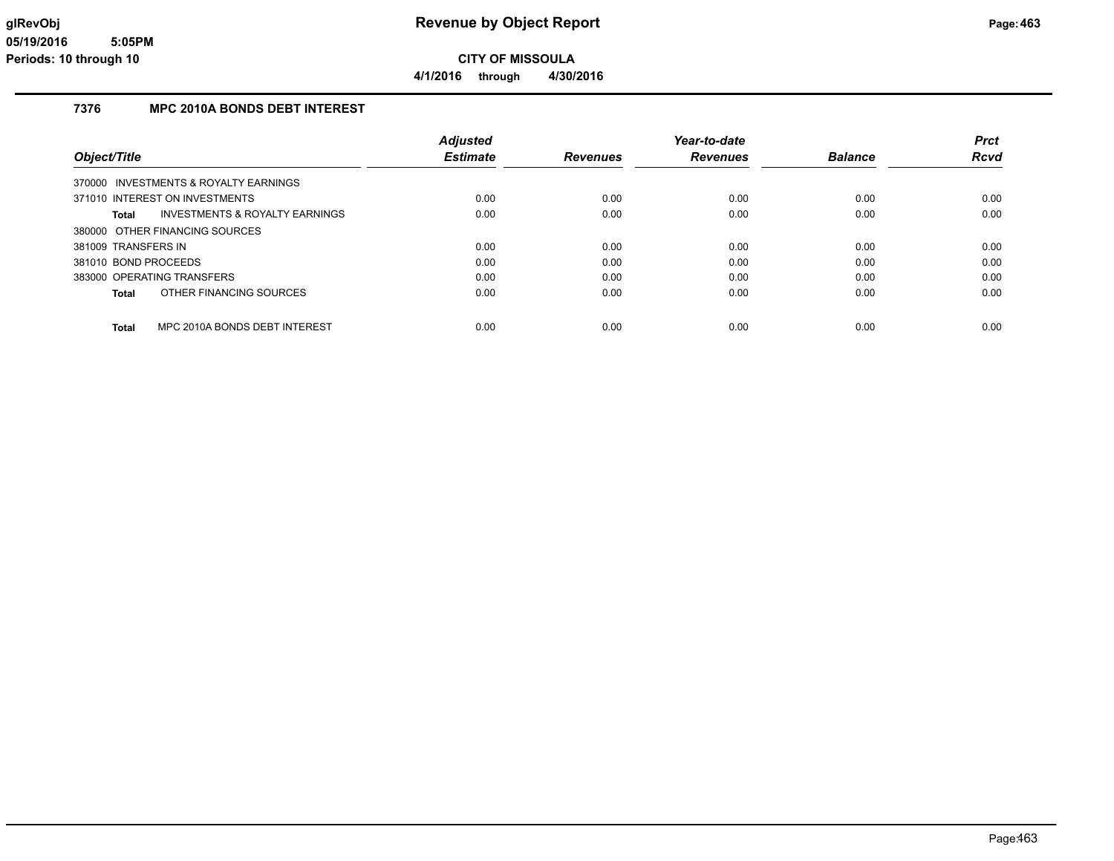## **7376 MPC 2010A BONDS DEBT INTEREST**

|                                                    | <b>Adjusted</b> |                 | Year-to-date    |                | <b>Prct</b> |
|----------------------------------------------------|-----------------|-----------------|-----------------|----------------|-------------|
| Object/Title                                       | <b>Estimate</b> | <b>Revenues</b> | <b>Revenues</b> | <b>Balance</b> | Rcvd        |
| 370000 INVESTMENTS & ROYALTY EARNINGS              |                 |                 |                 |                |             |
| 371010 INTEREST ON INVESTMENTS                     | 0.00            | 0.00            | 0.00            | 0.00           | 0.00        |
| <b>INVESTMENTS &amp; ROYALTY EARNINGS</b><br>Total | 0.00            | 0.00            | 0.00            | 0.00           | 0.00        |
| 380000 OTHER FINANCING SOURCES                     |                 |                 |                 |                |             |
| 381009 TRANSFERS IN                                | 0.00            | 0.00            | 0.00            | 0.00           | 0.00        |
| 381010 BOND PROCEEDS                               | 0.00            | 0.00            | 0.00            | 0.00           | 0.00        |
| 383000 OPERATING TRANSFERS                         | 0.00            | 0.00            | 0.00            | 0.00           | 0.00        |
| OTHER FINANCING SOURCES<br>Total                   | 0.00            | 0.00            | 0.00            | 0.00           | 0.00        |
| MPC 2010A BONDS DEBT INTEREST<br><b>Total</b>      | 0.00            | 0.00            | 0.00            | 0.00           | 0.00        |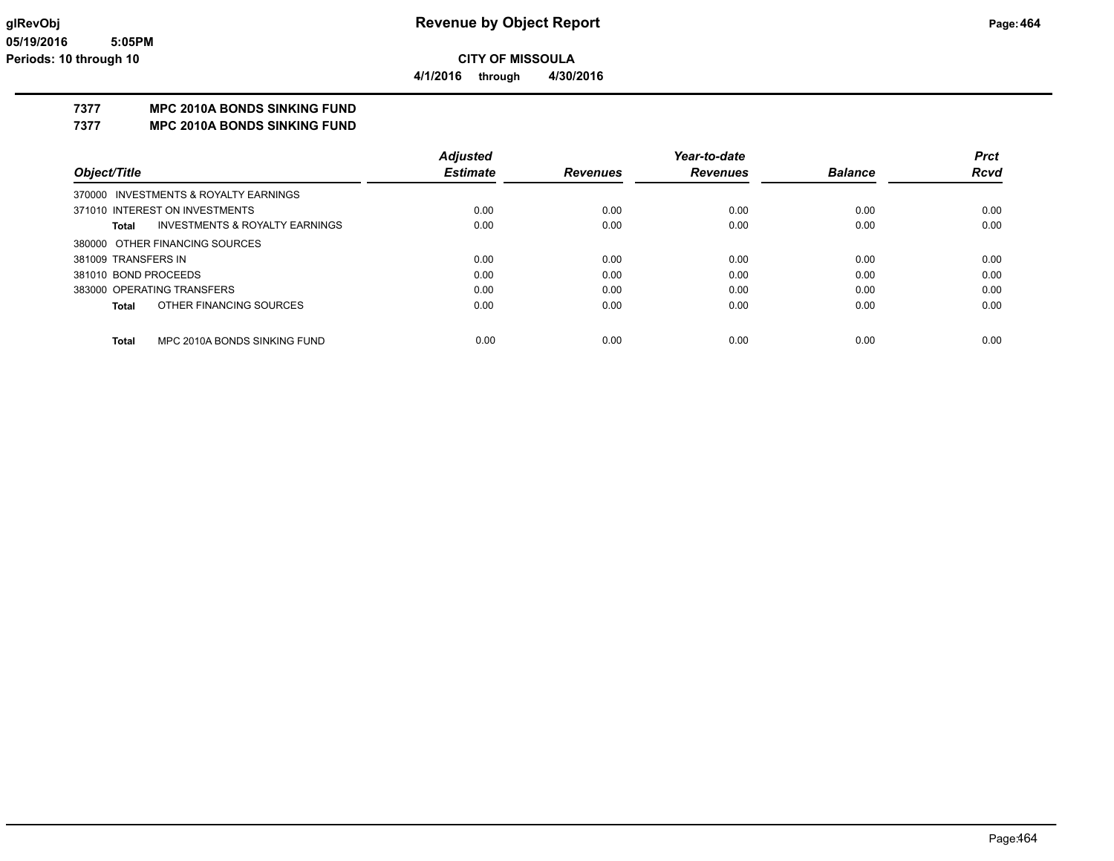**4/1/2016 through 4/30/2016**

## **7377 MPC 2010A BONDS SINKING FUND**

**7377 MPC 2010A BONDS SINKING FUND**

|                                                    | <b>Adjusted</b> |                 | Year-to-date    |                | Prct        |
|----------------------------------------------------|-----------------|-----------------|-----------------|----------------|-------------|
| Object/Title                                       | <b>Estimate</b> | <b>Revenues</b> | <b>Revenues</b> | <b>Balance</b> | <b>Rcvd</b> |
| 370000 INVESTMENTS & ROYALTY EARNINGS              |                 |                 |                 |                |             |
| 371010 INTEREST ON INVESTMENTS                     | 0.00            | 0.00            | 0.00            | 0.00           | 0.00        |
| <b>INVESTMENTS &amp; ROYALTY EARNINGS</b><br>Total | 0.00            | 0.00            | 0.00            | 0.00           | 0.00        |
| 380000 OTHER FINANCING SOURCES                     |                 |                 |                 |                |             |
| 381009 TRANSFERS IN                                | 0.00            | 0.00            | 0.00            | 0.00           | 0.00        |
| 381010 BOND PROCEEDS                               | 0.00            | 0.00            | 0.00            | 0.00           | 0.00        |
| 383000 OPERATING TRANSFERS                         | 0.00            | 0.00            | 0.00            | 0.00           | 0.00        |
| OTHER FINANCING SOURCES<br>Total                   | 0.00            | 0.00            | 0.00            | 0.00           | 0.00        |
| MPC 2010A BONDS SINKING FUND<br><b>Total</b>       | 0.00            | 0.00            | 0.00            | 0.00           | 0.00        |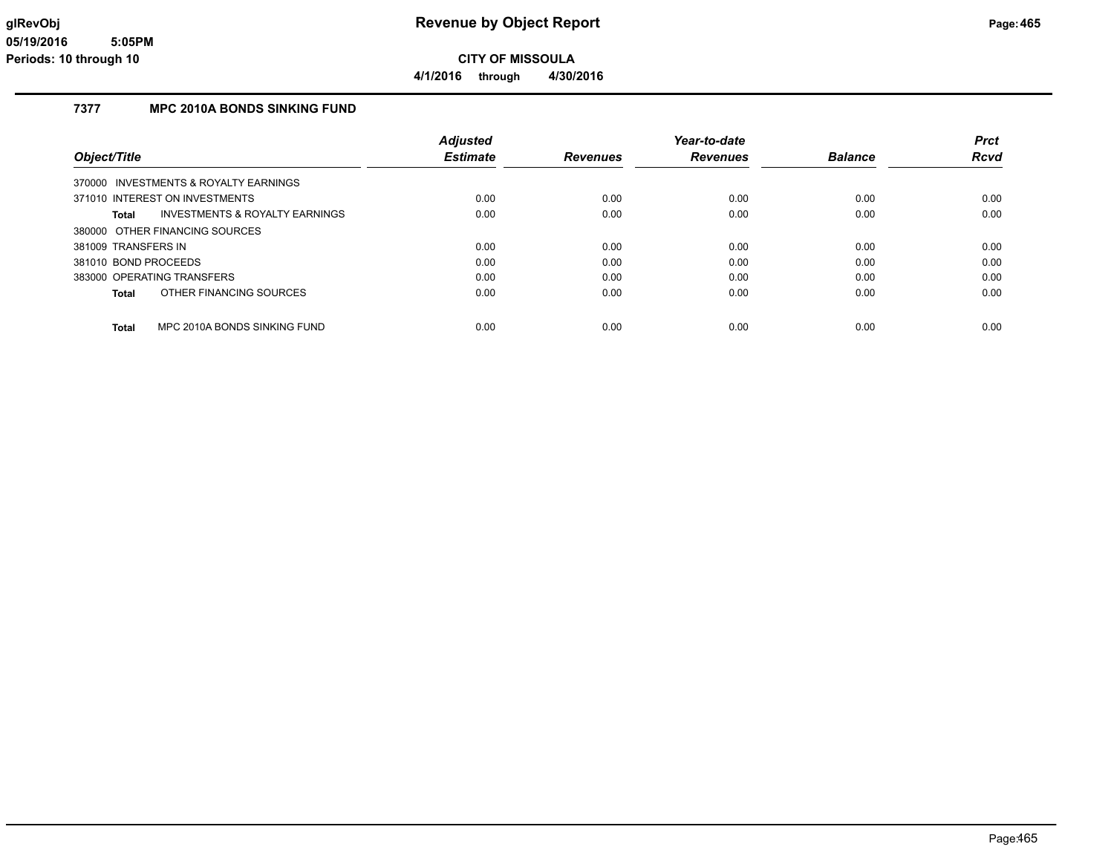#### **7377 MPC 2010A BONDS SINKING FUND**

|                                                    | <b>Adjusted</b> |                 | Year-to-date    |                | <b>Prct</b> |
|----------------------------------------------------|-----------------|-----------------|-----------------|----------------|-------------|
| Object/Title                                       | <b>Estimate</b> | <b>Revenues</b> | <b>Revenues</b> | <b>Balance</b> | Rcvd        |
| 370000 INVESTMENTS & ROYALTY EARNINGS              |                 |                 |                 |                |             |
| 371010 INTEREST ON INVESTMENTS                     | 0.00            | 0.00            | 0.00            | 0.00           | 0.00        |
| <b>INVESTMENTS &amp; ROYALTY EARNINGS</b><br>Total | 0.00            | 0.00            | 0.00            | 0.00           | 0.00        |
| 380000 OTHER FINANCING SOURCES                     |                 |                 |                 |                |             |
| 381009 TRANSFERS IN                                | 0.00            | 0.00            | 0.00            | 0.00           | 0.00        |
| 381010 BOND PROCEEDS                               | 0.00            | 0.00            | 0.00            | 0.00           | 0.00        |
| 383000 OPERATING TRANSFERS                         | 0.00            | 0.00            | 0.00            | 0.00           | 0.00        |
| OTHER FINANCING SOURCES<br>Total                   | 0.00            | 0.00            | 0.00            | 0.00           | 0.00        |
| MPC 2010A BONDS SINKING FUND<br><b>Total</b>       | 0.00            | 0.00            | 0.00            | 0.00           | 0.00        |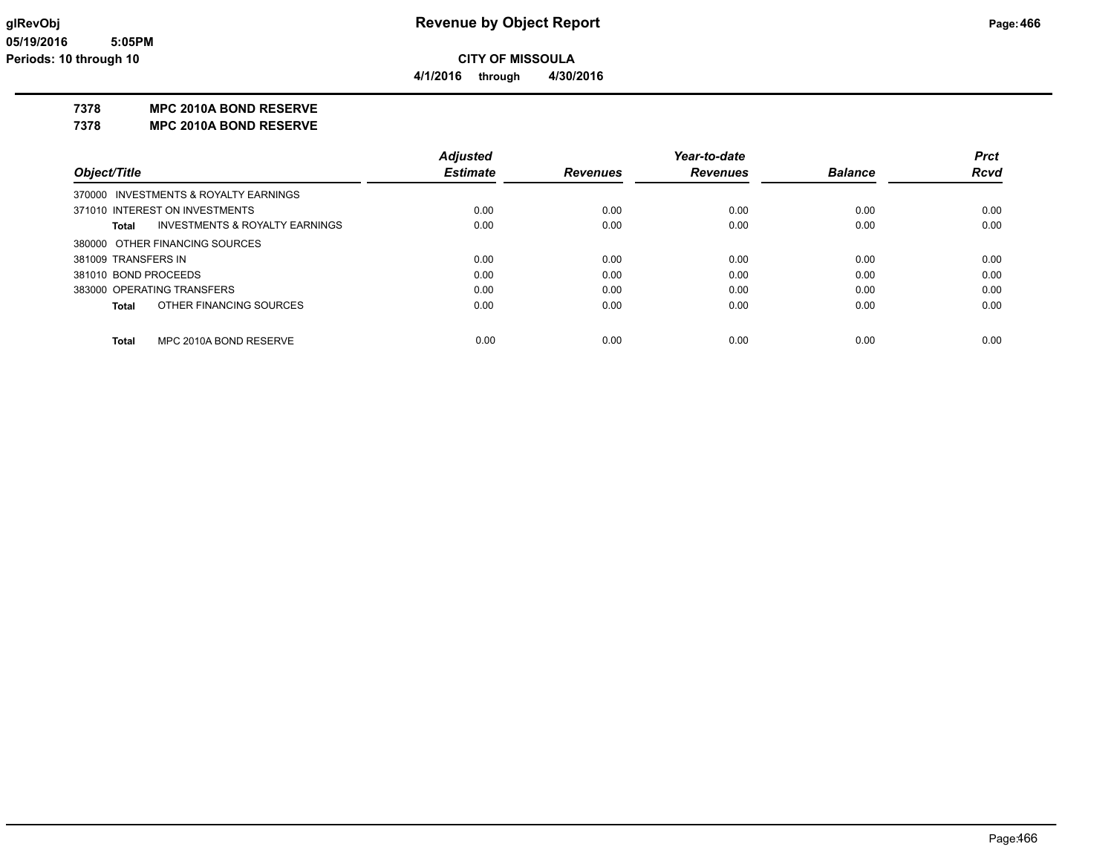**4/1/2016 through 4/30/2016**

#### **7378 MPC 2010A BOND RESERVE**

**7378 MPC 2010A BOND RESERVE**

|                                                    | <b>Adjusted</b> |                 | Year-to-date    |                | <b>Prct</b> |
|----------------------------------------------------|-----------------|-----------------|-----------------|----------------|-------------|
| Object/Title                                       | <b>Estimate</b> | <b>Revenues</b> | <b>Revenues</b> | <b>Balance</b> | <b>Rcvd</b> |
| 370000 INVESTMENTS & ROYALTY EARNINGS              |                 |                 |                 |                |             |
| 371010 INTEREST ON INVESTMENTS                     | 0.00            | 0.00            | 0.00            | 0.00           | 0.00        |
| <b>INVESTMENTS &amp; ROYALTY EARNINGS</b><br>Total | 0.00            | 0.00            | 0.00            | 0.00           | 0.00        |
| 380000 OTHER FINANCING SOURCES                     |                 |                 |                 |                |             |
| 381009 TRANSFERS IN                                | 0.00            | 0.00            | 0.00            | 0.00           | 0.00        |
| 381010 BOND PROCEEDS                               | 0.00            | 0.00            | 0.00            | 0.00           | 0.00        |
| 383000 OPERATING TRANSFERS                         | 0.00            | 0.00            | 0.00            | 0.00           | 0.00        |
| OTHER FINANCING SOURCES<br><b>Total</b>            | 0.00            | 0.00            | 0.00            | 0.00           | 0.00        |
| MPC 2010A BOND RESERVE<br><b>Total</b>             | 0.00            | 0.00            | 0.00            | 0.00           | 0.00        |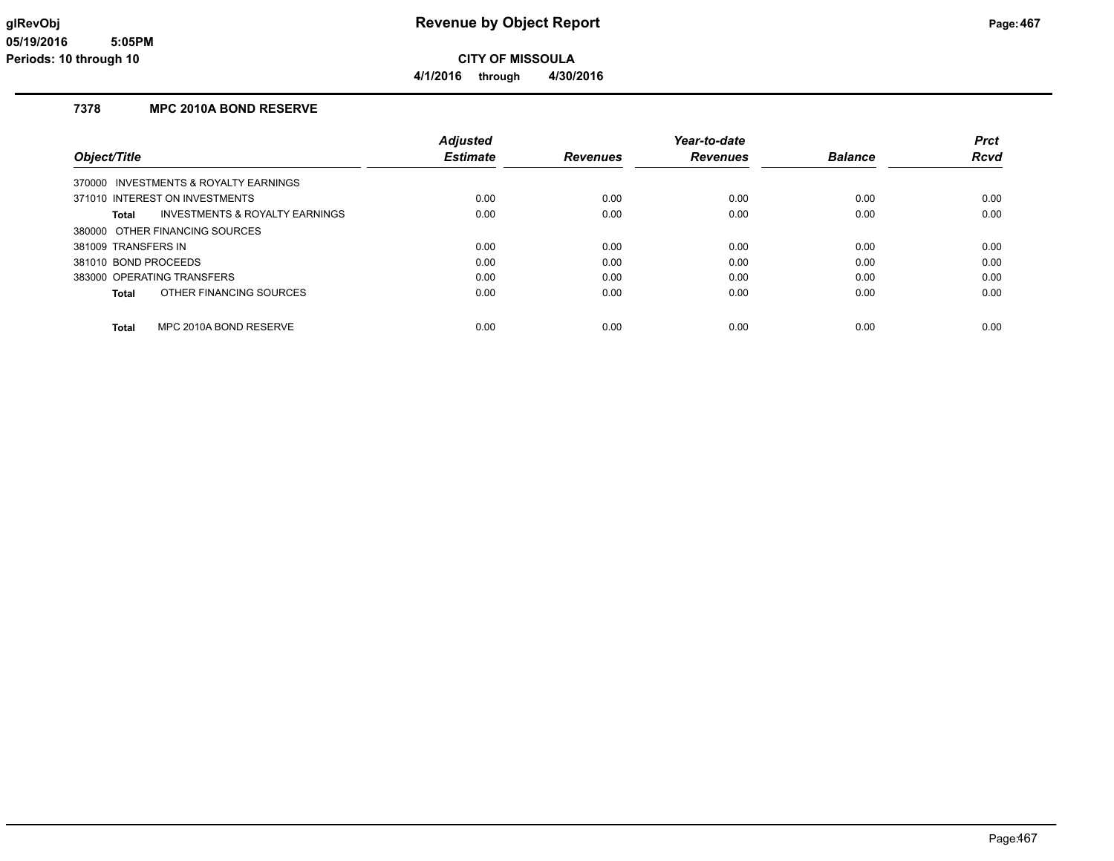## **7378 MPC 2010A BOND RESERVE**

|                                         | <b>Adjusted</b> |                 | Year-to-date    |                | <b>Prct</b> |
|-----------------------------------------|-----------------|-----------------|-----------------|----------------|-------------|
| Object/Title                            | <b>Estimate</b> | <b>Revenues</b> | <b>Revenues</b> | <b>Balance</b> | <b>Rcvd</b> |
| 370000 INVESTMENTS & ROYALTY EARNINGS   |                 |                 |                 |                |             |
| 371010 INTEREST ON INVESTMENTS          | 0.00            | 0.00            | 0.00            | 0.00           | 0.00        |
| INVESTMENTS & ROYALTY EARNINGS<br>Total | 0.00            | 0.00            | 0.00            | 0.00           | 0.00        |
| 380000 OTHER FINANCING SOURCES          |                 |                 |                 |                |             |
| 381009 TRANSFERS IN                     | 0.00            | 0.00            | 0.00            | 0.00           | 0.00        |
| 381010 BOND PROCEEDS                    | 0.00            | 0.00            | 0.00            | 0.00           | 0.00        |
| 383000 OPERATING TRANSFERS              | 0.00            | 0.00            | 0.00            | 0.00           | 0.00        |
| OTHER FINANCING SOURCES<br>Total        | 0.00            | 0.00            | 0.00            | 0.00           | 0.00        |
|                                         |                 |                 |                 |                |             |
| MPC 2010A BOND RESERVE<br><b>Total</b>  | 0.00            | 0.00            | 0.00            | 0.00           | 0.00        |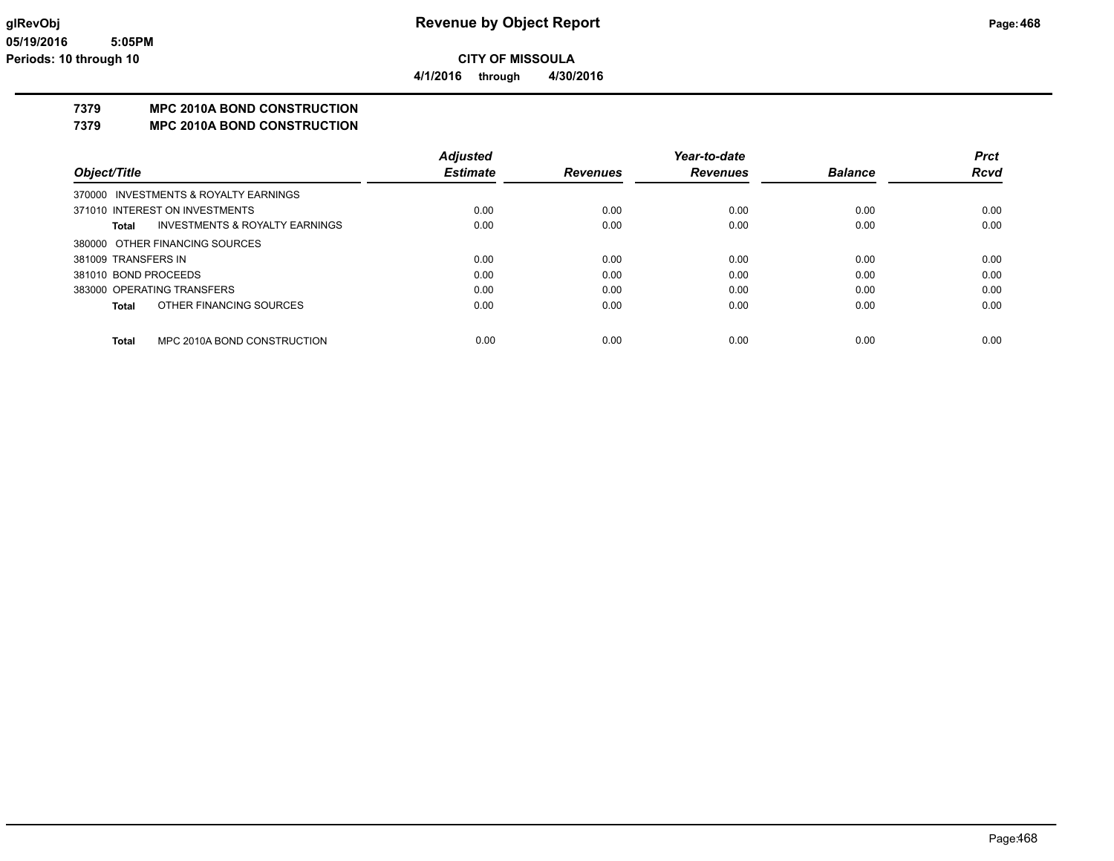**4/1/2016 through 4/30/2016**

## **7379 MPC 2010A BOND CONSTRUCTION**

**7379 MPC 2010A BOND CONSTRUCTION**

|                                                    | <b>Adjusted</b> |                 | Year-to-date    |                | Prct        |
|----------------------------------------------------|-----------------|-----------------|-----------------|----------------|-------------|
| Object/Title                                       | <b>Estimate</b> | <b>Revenues</b> | <b>Revenues</b> | <b>Balance</b> | <b>Rcvd</b> |
| 370000 INVESTMENTS & ROYALTY EARNINGS              |                 |                 |                 |                |             |
| 371010 INTEREST ON INVESTMENTS                     | 0.00            | 0.00            | 0.00            | 0.00           | 0.00        |
| <b>INVESTMENTS &amp; ROYALTY EARNINGS</b><br>Total | 0.00            | 0.00            | 0.00            | 0.00           | 0.00        |
| 380000 OTHER FINANCING SOURCES                     |                 |                 |                 |                |             |
| 381009 TRANSFERS IN                                | 0.00            | 0.00            | 0.00            | 0.00           | 0.00        |
| 381010 BOND PROCEEDS                               | 0.00            | 0.00            | 0.00            | 0.00           | 0.00        |
| 383000 OPERATING TRANSFERS                         | 0.00            | 0.00            | 0.00            | 0.00           | 0.00        |
| OTHER FINANCING SOURCES<br>Total                   | 0.00            | 0.00            | 0.00            | 0.00           | 0.00        |
|                                                    |                 |                 |                 |                |             |
| MPC 2010A BOND CONSTRUCTION<br><b>Total</b>        | 0.00            | 0.00            | 0.00            | 0.00           | 0.00        |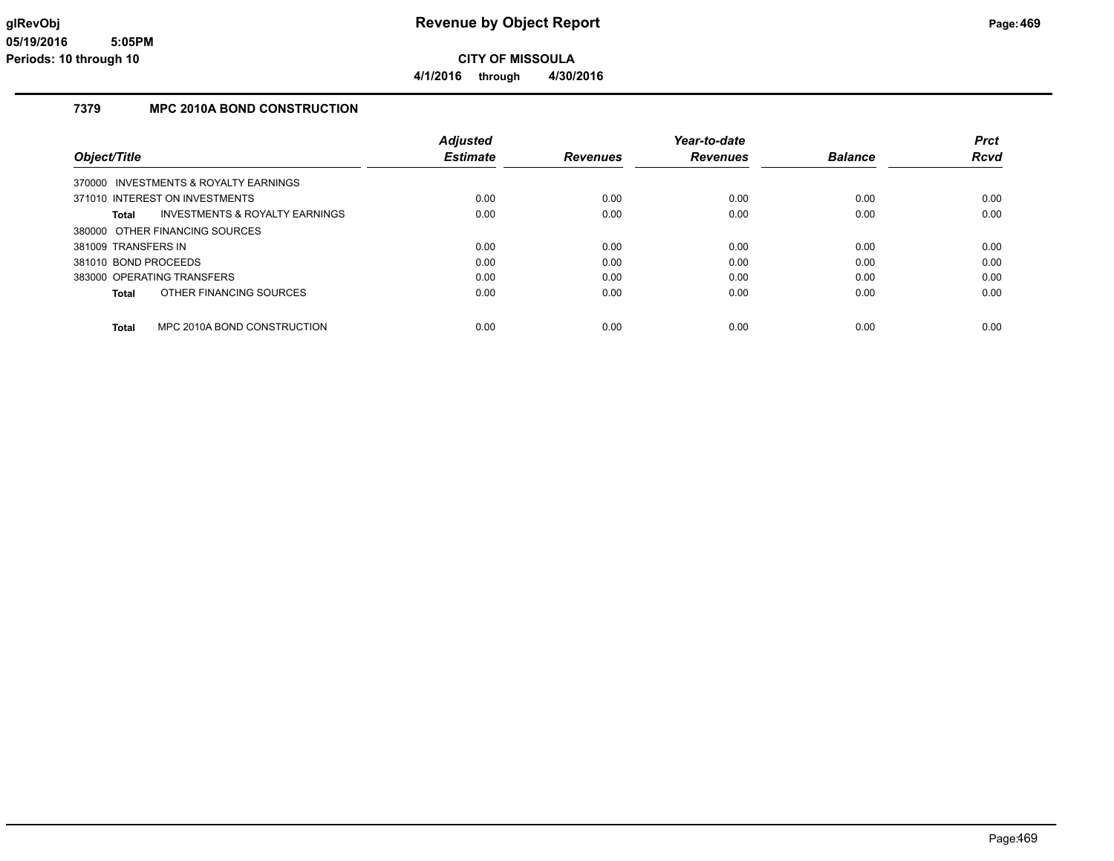### **7379 MPC 2010A BOND CONSTRUCTION**

|                                                    | <b>Adjusted</b> |                 | Year-to-date    |                | <b>Prct</b> |
|----------------------------------------------------|-----------------|-----------------|-----------------|----------------|-------------|
| Object/Title                                       | <b>Estimate</b> | <b>Revenues</b> | <b>Revenues</b> | <b>Balance</b> | Rcvd        |
| 370000 INVESTMENTS & ROYALTY EARNINGS              |                 |                 |                 |                |             |
| 371010 INTEREST ON INVESTMENTS                     | 0.00            | 0.00            | 0.00            | 0.00           | 0.00        |
| <b>INVESTMENTS &amp; ROYALTY EARNINGS</b><br>Total | 0.00            | 0.00            | 0.00            | 0.00           | 0.00        |
| 380000 OTHER FINANCING SOURCES                     |                 |                 |                 |                |             |
| 381009 TRANSFERS IN                                | 0.00            | 0.00            | 0.00            | 0.00           | 0.00        |
| 381010 BOND PROCEEDS                               | 0.00            | 0.00            | 0.00            | 0.00           | 0.00        |
| 383000 OPERATING TRANSFERS                         | 0.00            | 0.00            | 0.00            | 0.00           | 0.00        |
| OTHER FINANCING SOURCES<br>Total                   | 0.00            | 0.00            | 0.00            | 0.00           | 0.00        |
| MPC 2010A BOND CONSTRUCTION<br>Total               | 0.00            | 0.00            | 0.00            | 0.00           | 0.00        |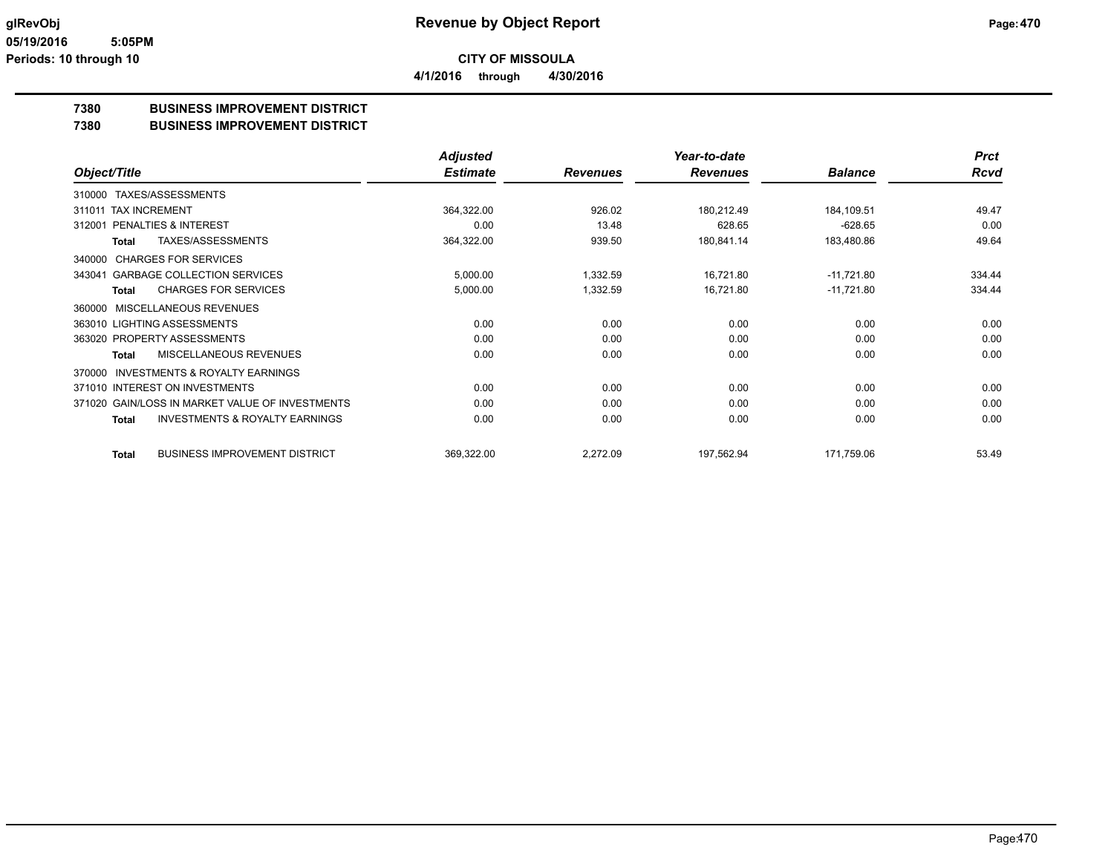## **7380 BUSINESS IMPROVEMENT DISTRICT**

## **7380 BUSINESS IMPROVEMENT DISTRICT**

|                                                     | <b>Adjusted</b> |                 | Year-to-date    |                | <b>Prct</b> |
|-----------------------------------------------------|-----------------|-----------------|-----------------|----------------|-------------|
| Object/Title                                        | <b>Estimate</b> | <b>Revenues</b> | <b>Revenues</b> | <b>Balance</b> | <b>Rcvd</b> |
| TAXES/ASSESSMENTS<br>310000                         |                 |                 |                 |                |             |
| <b>TAX INCREMENT</b><br>311011                      | 364,322.00      | 926.02          | 180,212.49      | 184,109.51     | 49.47       |
| <b>PENALTIES &amp; INTEREST</b><br>312001           | 0.00            | 13.48           | 628.65          | $-628.65$      | 0.00        |
| TAXES/ASSESSMENTS<br>Total                          | 364,322.00      | 939.50          | 180,841.14      | 183,480.86     | 49.64       |
| <b>CHARGES FOR SERVICES</b><br>340000               |                 |                 |                 |                |             |
| <b>GARBAGE COLLECTION SERVICES</b><br>343041        | 5,000.00        | 1,332.59        | 16,721.80       | $-11,721.80$   | 334.44      |
| <b>CHARGES FOR SERVICES</b><br><b>Total</b>         | 5,000.00        | 1,332.59        | 16,721.80       | $-11,721.80$   | 334.44      |
| MISCELLANEOUS REVENUES<br>360000                    |                 |                 |                 |                |             |
| 363010 LIGHTING ASSESSMENTS                         | 0.00            | 0.00            | 0.00            | 0.00           | 0.00        |
| 363020 PROPERTY ASSESSMENTS                         | 0.00            | 0.00            | 0.00            | 0.00           | 0.00        |
| MISCELLANEOUS REVENUES<br>Total                     | 0.00            | 0.00            | 0.00            | 0.00           | 0.00        |
| <b>INVESTMENTS &amp; ROYALTY EARNINGS</b><br>370000 |                 |                 |                 |                |             |
| 371010 INTEREST ON INVESTMENTS                      | 0.00            | 0.00            | 0.00            | 0.00           | 0.00        |
| 371020 GAIN/LOSS IN MARKET VALUE OF INVESTMENTS     | 0.00            | 0.00            | 0.00            | 0.00           | 0.00        |
| <b>INVESTMENTS &amp; ROYALTY EARNINGS</b><br>Total  | 0.00            | 0.00            | 0.00            | 0.00           | 0.00        |
| <b>BUSINESS IMPROVEMENT DISTRICT</b><br>Total       | 369,322.00      | 2,272.09        | 197,562.94      | 171,759.06     | 53.49       |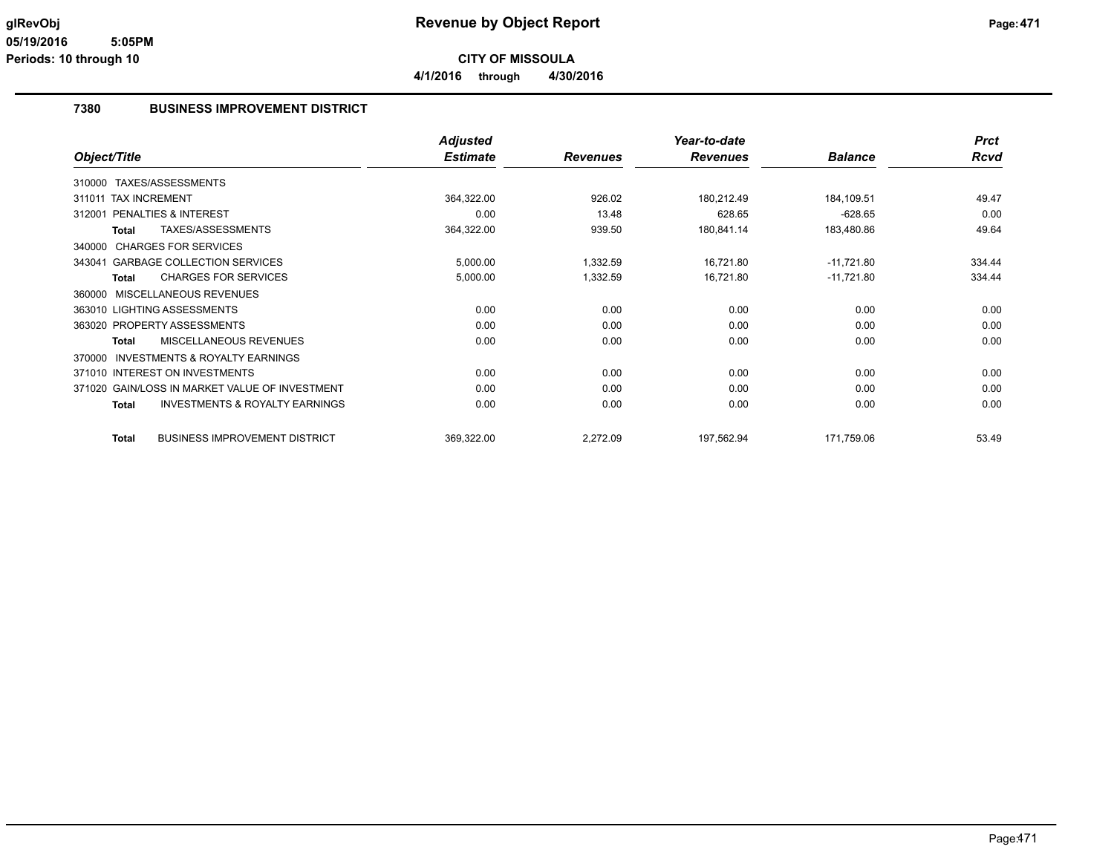**4/1/2016 through 4/30/2016**

## **7380 BUSINESS IMPROVEMENT DISTRICT**

|                                                           | <b>Adjusted</b> |                 | Year-to-date    |                | <b>Prct</b> |
|-----------------------------------------------------------|-----------------|-----------------|-----------------|----------------|-------------|
| Object/Title                                              | <b>Estimate</b> | <b>Revenues</b> | <b>Revenues</b> | <b>Balance</b> | <b>Rcvd</b> |
| TAXES/ASSESSMENTS<br>310000                               |                 |                 |                 |                |             |
| <b>TAX INCREMENT</b><br>311011                            | 364,322.00      | 926.02          | 180,212.49      | 184,109.51     | 49.47       |
| PENALTIES & INTEREST<br>312001                            | 0.00            | 13.48           | 628.65          | $-628.65$      | 0.00        |
| TAXES/ASSESSMENTS<br>Total                                | 364,322.00      | 939.50          | 180,841.14      | 183,480.86     | 49.64       |
| <b>CHARGES FOR SERVICES</b><br>340000                     |                 |                 |                 |                |             |
| <b>GARBAGE COLLECTION SERVICES</b><br>343041              | 5,000.00        | 1,332.59        | 16,721.80       | $-11,721.80$   | 334.44      |
| <b>CHARGES FOR SERVICES</b><br><b>Total</b>               | 5,000.00        | 1,332.59        | 16,721.80       | $-11,721.80$   | 334.44      |
| MISCELLANEOUS REVENUES<br>360000                          |                 |                 |                 |                |             |
| 363010 LIGHTING ASSESSMENTS                               | 0.00            | 0.00            | 0.00            | 0.00           | 0.00        |
| 363020 PROPERTY ASSESSMENTS                               | 0.00            | 0.00            | 0.00            | 0.00           | 0.00        |
| MISCELLANEOUS REVENUES<br>Total                           | 0.00            | 0.00            | 0.00            | 0.00           | 0.00        |
| INVESTMENTS & ROYALTY EARNINGS<br>370000                  |                 |                 |                 |                |             |
| 371010 INTEREST ON INVESTMENTS                            | 0.00            | 0.00            | 0.00            | 0.00           | 0.00        |
| 371020 GAIN/LOSS IN MARKET VALUE OF INVESTMENT            | 0.00            | 0.00            | 0.00            | 0.00           | 0.00        |
| <b>INVESTMENTS &amp; ROYALTY EARNINGS</b><br><b>Total</b> | 0.00            | 0.00            | 0.00            | 0.00           | 0.00        |
| <b>BUSINESS IMPROVEMENT DISTRICT</b><br><b>Total</b>      | 369,322.00      | 2,272.09        | 197,562.94      | 171,759.06     | 53.49       |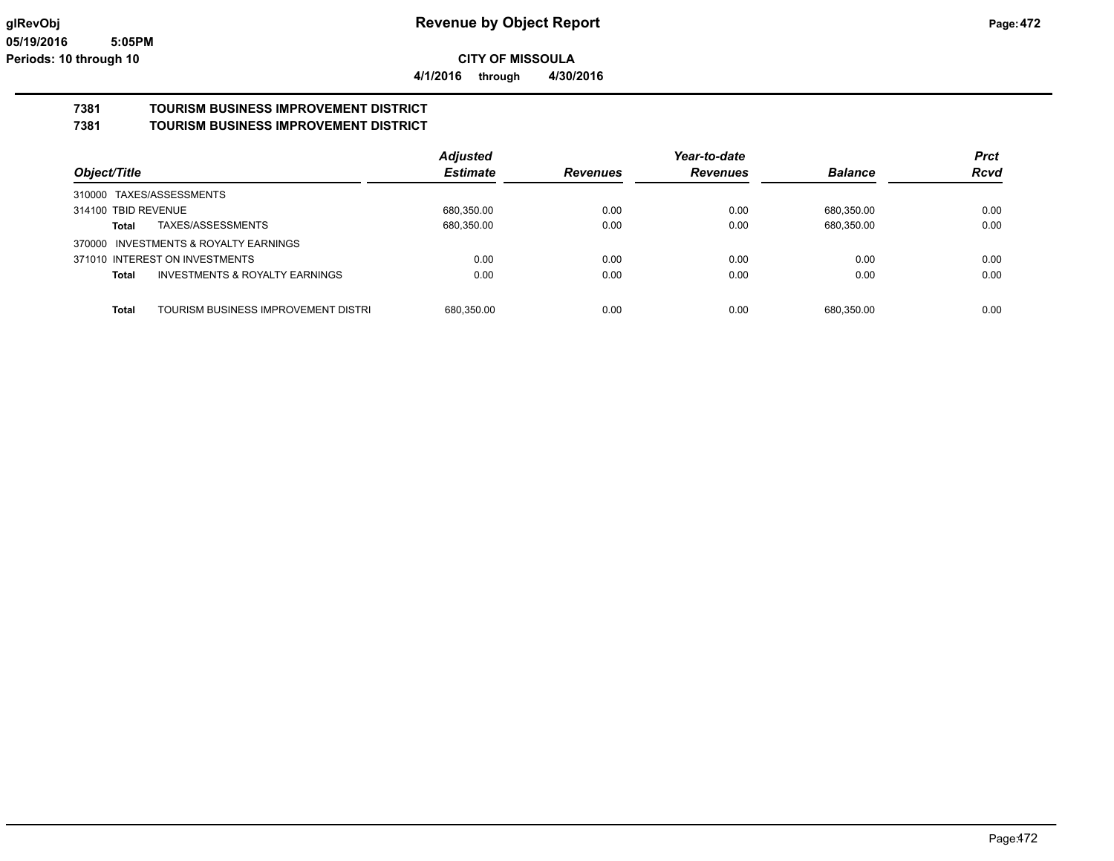**4/1/2016 through 4/30/2016**

# **7381 TOURISM BUSINESS IMPROVEMENT DISTRICT**

**7381 TOURISM BUSINESS IMPROVEMENT DISTRICT**

|                                                     | <b>Adjusted</b> |                 | Year-to-date    |                | <b>Prct</b> |
|-----------------------------------------------------|-----------------|-----------------|-----------------|----------------|-------------|
| Object/Title                                        | <b>Estimate</b> | <b>Revenues</b> | <b>Revenues</b> | <b>Balance</b> | <b>Rcvd</b> |
| 310000 TAXES/ASSESSMENTS                            |                 |                 |                 |                |             |
| 314100 TBID REVENUE                                 | 680,350.00      | 0.00            | 0.00            | 680,350.00     | 0.00        |
| TAXES/ASSESSMENTS<br>Total                          | 680,350.00      | 0.00            | 0.00            | 680,350.00     | 0.00        |
| 370000 INVESTMENTS & ROYALTY EARNINGS               |                 |                 |                 |                |             |
| 371010 INTEREST ON INVESTMENTS                      | 0.00            | 0.00            | 0.00            | 0.00           | 0.00        |
| <b>INVESTMENTS &amp; ROYALTY EARNINGS</b><br>Total  | 0.00            | 0.00            | 0.00            | 0.00           | 0.00        |
|                                                     |                 |                 |                 |                |             |
| <b>Total</b><br>TOURISM BUSINESS IMPROVEMENT DISTRI | 680,350.00      | 0.00            | 0.00            | 680.350.00     | 0.00        |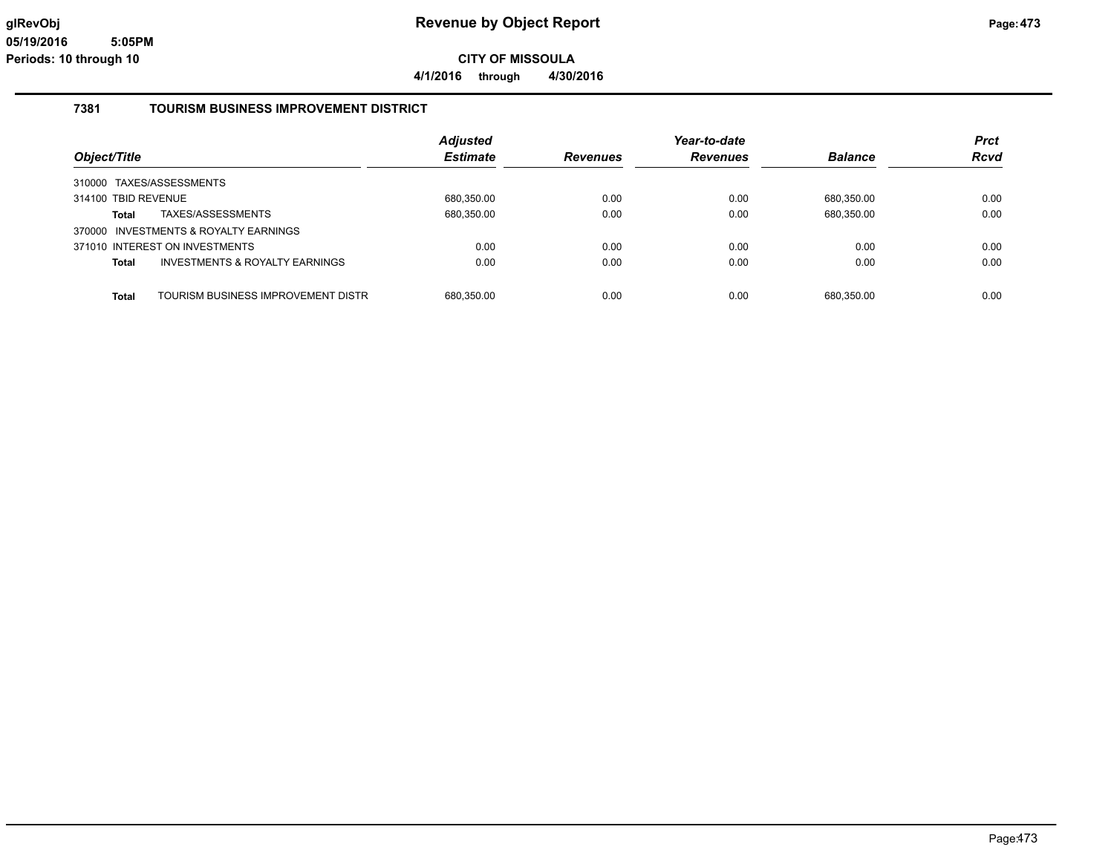**4/1/2016 through 4/30/2016**

#### **7381 TOURISM BUSINESS IMPROVEMENT DISTRICT**

|                     |                                       | <b>Adjusted</b> |                 | Year-to-date    |                | <b>Prct</b> |
|---------------------|---------------------------------------|-----------------|-----------------|-----------------|----------------|-------------|
| Object/Title        |                                       | <b>Estimate</b> | <b>Revenues</b> | <b>Revenues</b> | <b>Balance</b> | <b>Rcvd</b> |
|                     | 310000 TAXES/ASSESSMENTS              |                 |                 |                 |                |             |
| 314100 TBID REVENUE |                                       | 680,350.00      | 0.00            | 0.00            | 680,350.00     | 0.00        |
| Total               | TAXES/ASSESSMENTS                     | 680,350.00      | 0.00            | 0.00            | 680,350.00     | 0.00        |
|                     | 370000 INVESTMENTS & ROYALTY EARNINGS |                 |                 |                 |                |             |
|                     | 371010 INTEREST ON INVESTMENTS        | 0.00            | 0.00            | 0.00            | 0.00           | 0.00        |
| <b>Total</b>        | INVESTMENTS & ROYALTY EARNINGS        | 0.00            | 0.00            | 0.00            | 0.00           | 0.00        |
| <b>Total</b>        | TOURISM BUSINESS IMPROVEMENT DISTRI   | 680.350.00      | 0.00            | 0.00            | 680.350.00     | 0.00        |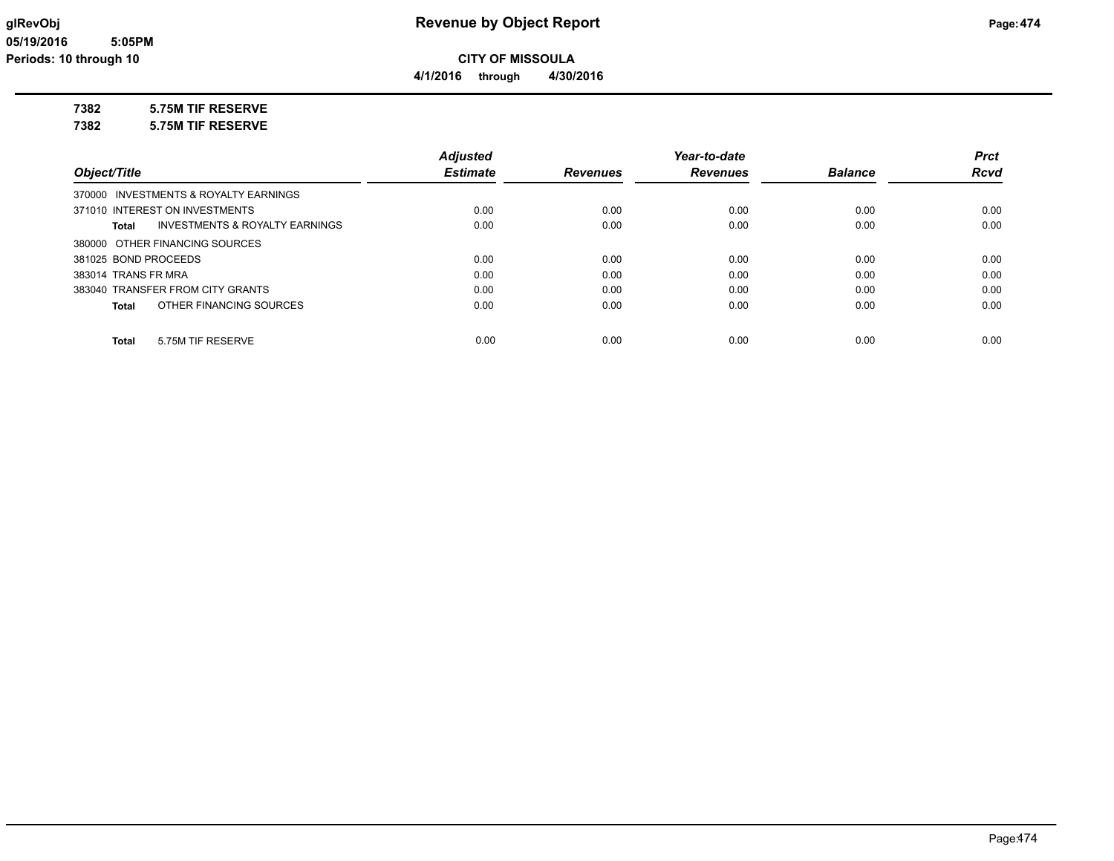**4/1/2016 through 4/30/2016**

## **7382 5.75M TIF RESERVE**

**7382 5.75M TIF RESERVE**

|                                         | <b>Adjusted</b> |                 | Year-to-date    |                | <b>Prct</b> |
|-----------------------------------------|-----------------|-----------------|-----------------|----------------|-------------|
| Object/Title                            | <b>Estimate</b> | <b>Revenues</b> | <b>Revenues</b> | <b>Balance</b> | <b>Rcvd</b> |
| 370000 INVESTMENTS & ROYALTY EARNINGS   |                 |                 |                 |                |             |
| 371010 INTEREST ON INVESTMENTS          | 0.00            | 0.00            | 0.00            | 0.00           | 0.00        |
| INVESTMENTS & ROYALTY EARNINGS<br>Total | 0.00            | 0.00            | 0.00            | 0.00           | 0.00        |
| 380000 OTHER FINANCING SOURCES          |                 |                 |                 |                |             |
| 381025 BOND PROCEEDS                    | 0.00            | 0.00            | 0.00            | 0.00           | 0.00        |
| 383014 TRANS FR MRA                     | 0.00            | 0.00            | 0.00            | 0.00           | 0.00        |
| 383040 TRANSFER FROM CITY GRANTS        | 0.00            | 0.00            | 0.00            | 0.00           | 0.00        |
| OTHER FINANCING SOURCES<br>Total        | 0.00            | 0.00            | 0.00            | 0.00           | 0.00        |
|                                         |                 |                 |                 |                |             |
| 5.75M TIF RESERVE<br>Total              | 0.00            | 0.00            | 0.00            | 0.00           | 0.00        |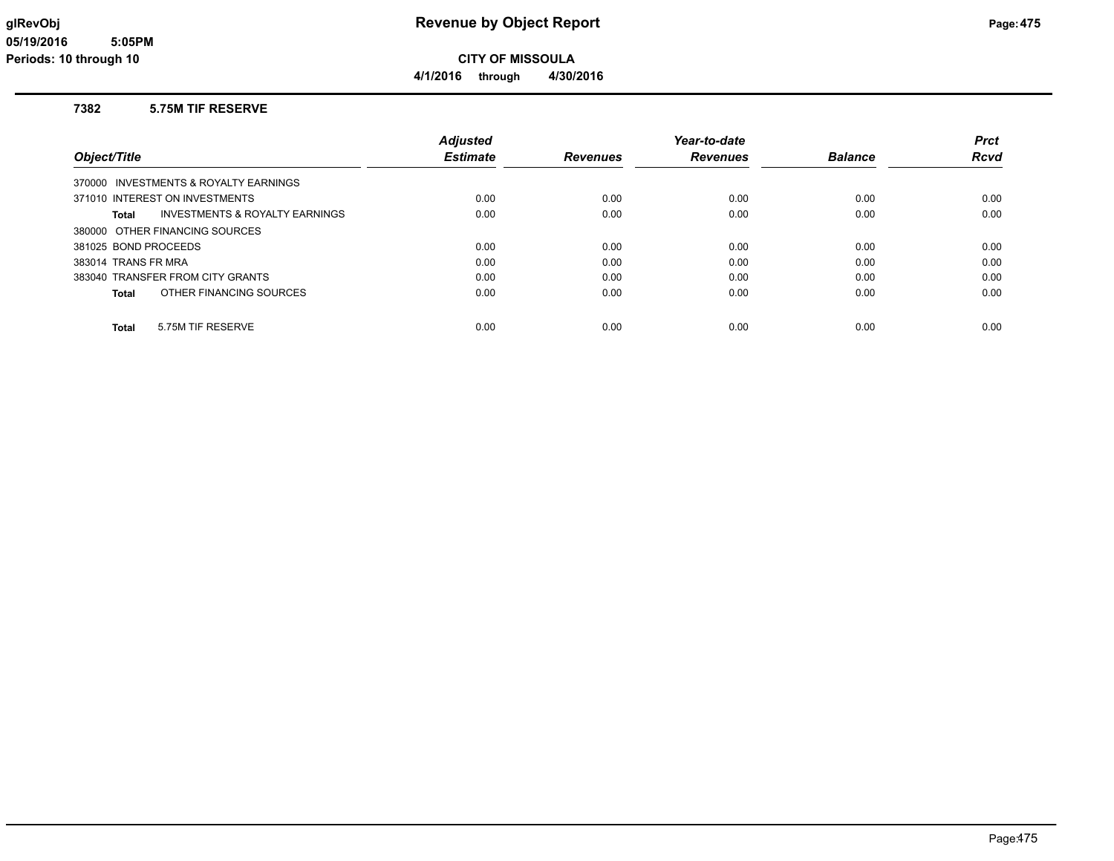#### **7382 5.75M TIF RESERVE**

|                                                    | <b>Adjusted</b> |                 | Year-to-date    |                | <b>Prct</b> |
|----------------------------------------------------|-----------------|-----------------|-----------------|----------------|-------------|
| Object/Title                                       | <b>Estimate</b> | <b>Revenues</b> | <b>Revenues</b> | <b>Balance</b> | <b>Rcvd</b> |
| 370000 INVESTMENTS & ROYALTY EARNINGS              |                 |                 |                 |                |             |
| 371010 INTEREST ON INVESTMENTS                     | 0.00            | 0.00            | 0.00            | 0.00           | 0.00        |
| <b>INVESTMENTS &amp; ROYALTY EARNINGS</b><br>Total | 0.00            | 0.00            | 0.00            | 0.00           | 0.00        |
| 380000 OTHER FINANCING SOURCES                     |                 |                 |                 |                |             |
| 381025 BOND PROCEEDS                               | 0.00            | 0.00            | 0.00            | 0.00           | 0.00        |
| 383014 TRANS FR MRA                                | 0.00            | 0.00            | 0.00            | 0.00           | 0.00        |
| 383040 TRANSFER FROM CITY GRANTS                   | 0.00            | 0.00            | 0.00            | 0.00           | 0.00        |
| OTHER FINANCING SOURCES<br>Total                   | 0.00            | 0.00            | 0.00            | 0.00           | 0.00        |
|                                                    |                 |                 |                 |                |             |
| 5.75M TIF RESERVE<br><b>Total</b>                  | 0.00            | 0.00            | 0.00            | 0.00           | 0.00        |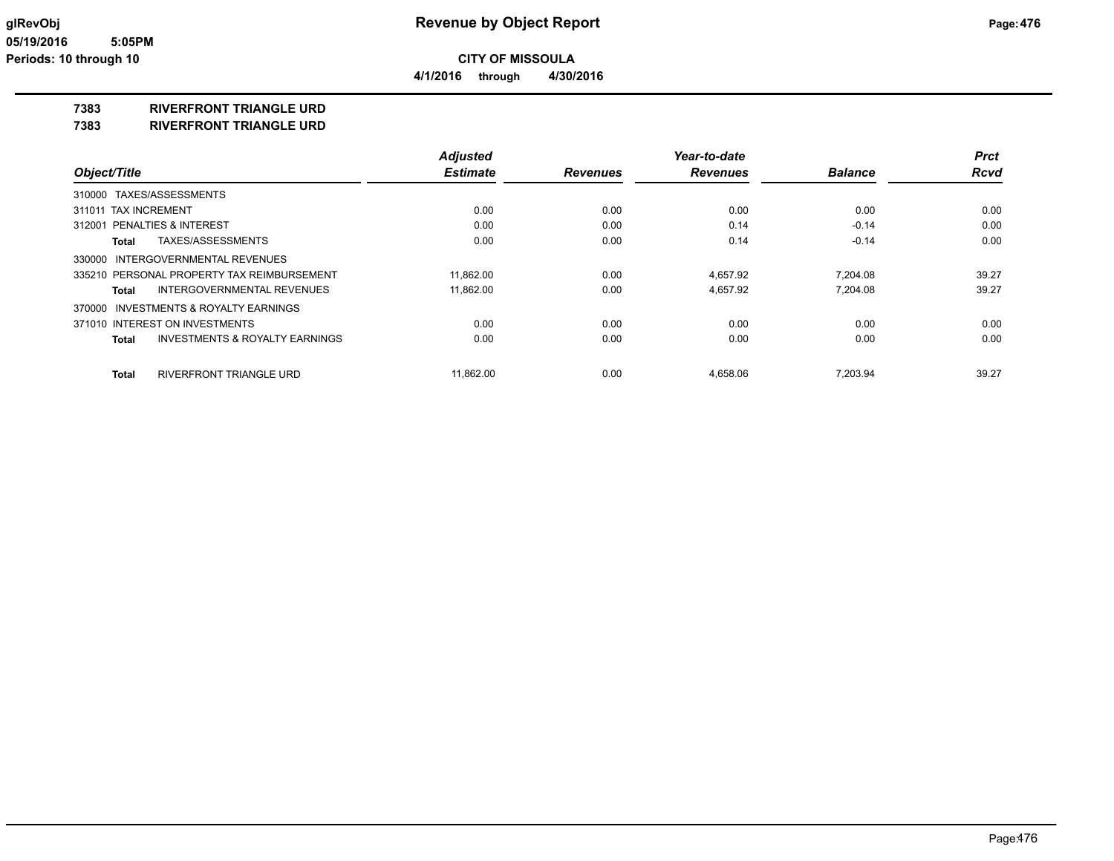**4/1/2016 through 4/30/2016**

## **7383 RIVERFRONT TRIANGLE URD**

**7383 RIVERFRONT TRIANGLE URD**

|                                                           | <b>Adjusted</b> |                 | Year-to-date    |                | <b>Prct</b> |
|-----------------------------------------------------------|-----------------|-----------------|-----------------|----------------|-------------|
| Object/Title                                              | <b>Estimate</b> | <b>Revenues</b> | <b>Revenues</b> | <b>Balance</b> | <b>Rcvd</b> |
| 310000 TAXES/ASSESSMENTS                                  |                 |                 |                 |                |             |
| 311011 TAX INCREMENT                                      | 0.00            | 0.00            | 0.00            | 0.00           | 0.00        |
| 312001 PENALTIES & INTEREST                               | 0.00            | 0.00            | 0.14            | $-0.14$        | 0.00        |
| TAXES/ASSESSMENTS<br>Total                                | 0.00            | 0.00            | 0.14            | $-0.14$        | 0.00        |
| 330000 INTERGOVERNMENTAL REVENUES                         |                 |                 |                 |                |             |
| 335210 PERSONAL PROPERTY TAX REIMBURSEMENT                | 11,862.00       | 0.00            | 4.657.92        | 7.204.08       | 39.27       |
| INTERGOVERNMENTAL REVENUES<br>Total                       | 11,862.00       | 0.00            | 4,657.92        | 7.204.08       | 39.27       |
| 370000 INVESTMENTS & ROYALTY EARNINGS                     |                 |                 |                 |                |             |
| 371010 INTEREST ON INVESTMENTS                            | 0.00            | 0.00            | 0.00            | 0.00           | 0.00        |
| <b>INVESTMENTS &amp; ROYALTY EARNINGS</b><br><b>Total</b> | 0.00            | 0.00            | 0.00            | 0.00           | 0.00        |
| <b>RIVERFRONT TRIANGLE URD</b><br>Total                   | 11.862.00       | 0.00            | 4,658.06        | 7.203.94       | 39.27       |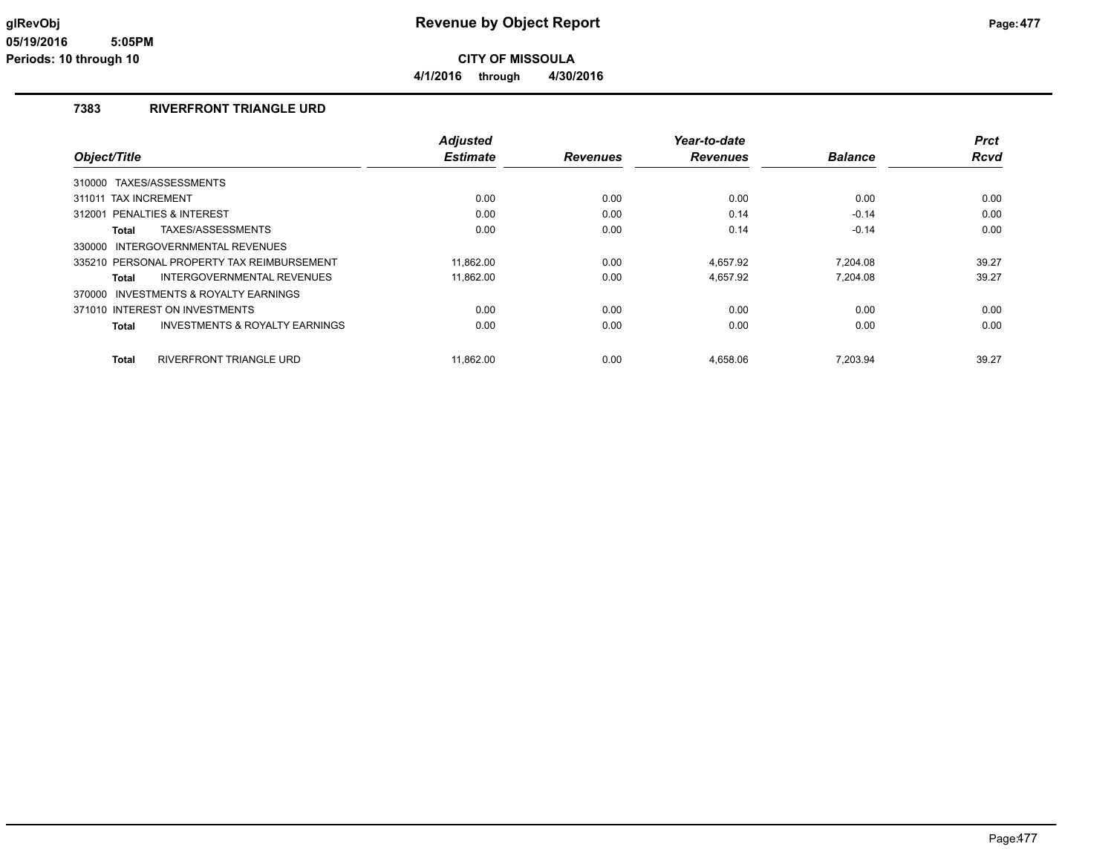**4/1/2016 through 4/30/2016**

### **7383 RIVERFRONT TRIANGLE URD**

|                                                    | <b>Adjusted</b> |                 | Year-to-date    |                | <b>Prct</b> |
|----------------------------------------------------|-----------------|-----------------|-----------------|----------------|-------------|
| Object/Title                                       | <b>Estimate</b> | <b>Revenues</b> | <b>Revenues</b> | <b>Balance</b> | <b>Rcvd</b> |
| 310000 TAXES/ASSESSMENTS                           |                 |                 |                 |                |             |
| <b>TAX INCREMENT</b><br>311011                     | 0.00            | 0.00            | 0.00            | 0.00           | 0.00        |
| PENALTIES & INTEREST<br>312001                     | 0.00            | 0.00            | 0.14            | $-0.14$        | 0.00        |
| TAXES/ASSESSMENTS<br>Total                         | 0.00            | 0.00            | 0.14            | $-0.14$        | 0.00        |
| 330000 INTERGOVERNMENTAL REVENUES                  |                 |                 |                 |                |             |
| 335210 PERSONAL PROPERTY TAX REIMBURSEMENT         | 11.862.00       | 0.00            | 4,657.92        | 7.204.08       | 39.27       |
| INTERGOVERNMENTAL REVENUES<br>Total                | 11,862.00       | 0.00            | 4,657.92        | 7.204.08       | 39.27       |
| 370000 INVESTMENTS & ROYALTY EARNINGS              |                 |                 |                 |                |             |
| 371010 INTEREST ON INVESTMENTS                     | 0.00            | 0.00            | 0.00            | 0.00           | 0.00        |
| <b>INVESTMENTS &amp; ROYALTY EARNINGS</b><br>Total | 0.00            | 0.00            | 0.00            | 0.00           | 0.00        |
| RIVERFRONT TRIANGLE URD<br>Total                   | 11,862.00       | 0.00            | 4,658.06        | 7,203.94       | 39.27       |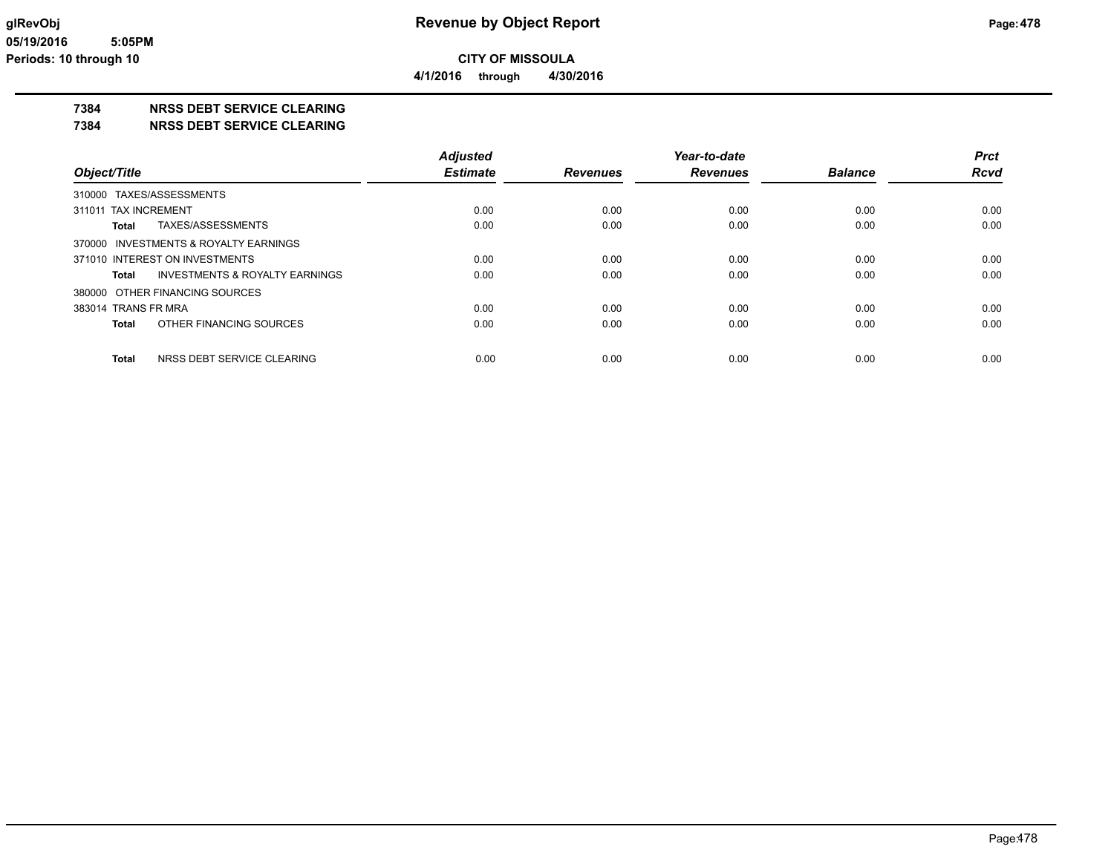**4/1/2016 through 4/30/2016**

## **7384 NRSS DEBT SERVICE CLEARING**

**7384 NRSS DEBT SERVICE CLEARING**

|                                            | <b>Adjusted</b> |                 | Year-to-date    |                | <b>Prct</b> |
|--------------------------------------------|-----------------|-----------------|-----------------|----------------|-------------|
| Object/Title                               | <b>Estimate</b> | <b>Revenues</b> | <b>Revenues</b> | <b>Balance</b> | <b>Rcvd</b> |
| 310000 TAXES/ASSESSMENTS                   |                 |                 |                 |                |             |
| 311011 TAX INCREMENT                       | 0.00            | 0.00            | 0.00            | 0.00           | 0.00        |
| TAXES/ASSESSMENTS<br><b>Total</b>          | 0.00            | 0.00            | 0.00            | 0.00           | 0.00        |
| 370000 INVESTMENTS & ROYALTY EARNINGS      |                 |                 |                 |                |             |
| 371010 INTEREST ON INVESTMENTS             | 0.00            | 0.00            | 0.00            | 0.00           | 0.00        |
| INVESTMENTS & ROYALTY EARNINGS<br>Total    | 0.00            | 0.00            | 0.00            | 0.00           | 0.00        |
| 380000 OTHER FINANCING SOURCES             |                 |                 |                 |                |             |
| 383014 TRANS FR MRA                        | 0.00            | 0.00            | 0.00            | 0.00           | 0.00        |
| OTHER FINANCING SOURCES<br><b>Total</b>    | 0.00            | 0.00            | 0.00            | 0.00           | 0.00        |
| NRSS DEBT SERVICE CLEARING<br><b>Total</b> | 0.00            | 0.00            | 0.00            | 0.00           | 0.00        |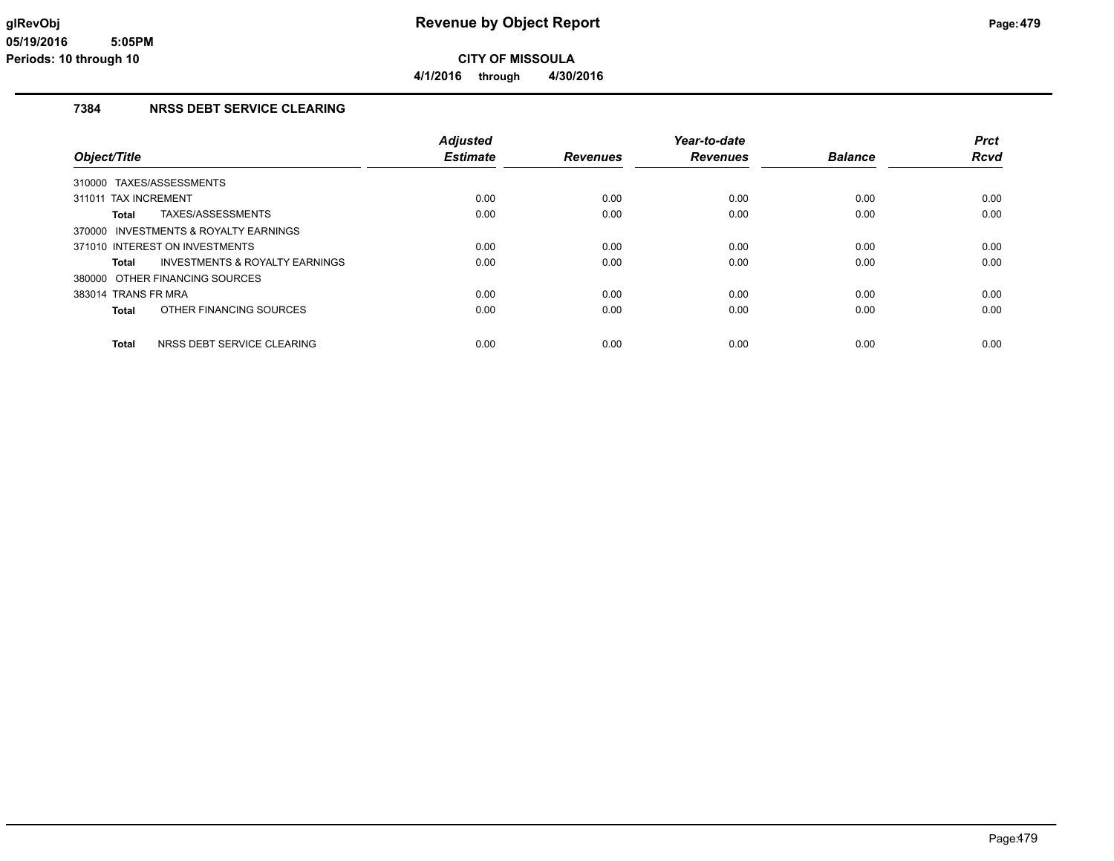### **7384 NRSS DEBT SERVICE CLEARING**

|                                            | <b>Adjusted</b> |                 | Year-to-date    |                | <b>Prct</b> |
|--------------------------------------------|-----------------|-----------------|-----------------|----------------|-------------|
| Object/Title                               | <b>Estimate</b> | <b>Revenues</b> | <b>Revenues</b> | <b>Balance</b> | <b>Rcvd</b> |
| 310000 TAXES/ASSESSMENTS                   |                 |                 |                 |                |             |
| <b>TAX INCREMENT</b><br>311011             | 0.00            | 0.00            | 0.00            | 0.00           | 0.00        |
| TAXES/ASSESSMENTS<br><b>Total</b>          | 0.00            | 0.00            | 0.00            | 0.00           | 0.00        |
| 370000 INVESTMENTS & ROYALTY EARNINGS      |                 |                 |                 |                |             |
| 371010 INTEREST ON INVESTMENTS             | 0.00            | 0.00            | 0.00            | 0.00           | 0.00        |
| INVESTMENTS & ROYALTY EARNINGS<br>Total    | 0.00            | 0.00            | 0.00            | 0.00           | 0.00        |
| 380000 OTHER FINANCING SOURCES             |                 |                 |                 |                |             |
| 383014 TRANS FR MRA                        | 0.00            | 0.00            | 0.00            | 0.00           | 0.00        |
| OTHER FINANCING SOURCES<br><b>Total</b>    | 0.00            | 0.00            | 0.00            | 0.00           | 0.00        |
| <b>Total</b><br>NRSS DEBT SERVICE CLEARING | 0.00            | 0.00            | 0.00            | 0.00           | 0.00        |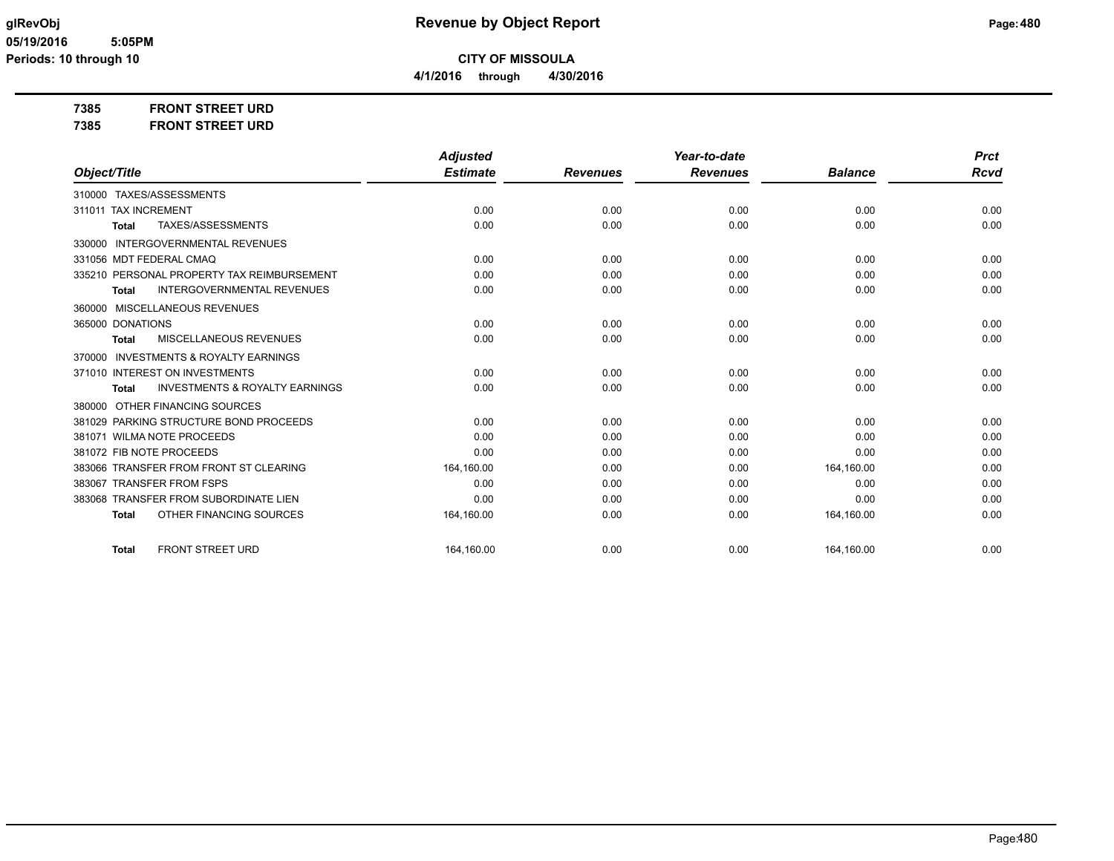**4/1/2016 through 4/30/2016**

**7385 FRONT STREET URD**

**7385 FRONT STREET URD**

|                                                           | <b>Adjusted</b> |                 | Year-to-date    |                | <b>Prct</b> |
|-----------------------------------------------------------|-----------------|-----------------|-----------------|----------------|-------------|
| Object/Title                                              | <b>Estimate</b> | <b>Revenues</b> | <b>Revenues</b> | <b>Balance</b> | <b>Rcvd</b> |
| 310000 TAXES/ASSESSMENTS                                  |                 |                 |                 |                |             |
| 311011 TAX INCREMENT                                      | 0.00            | 0.00            | 0.00            | 0.00           | 0.00        |
| TAXES/ASSESSMENTS<br><b>Total</b>                         | 0.00            | 0.00            | 0.00            | 0.00           | 0.00        |
| 330000 INTERGOVERNMENTAL REVENUES                         |                 |                 |                 |                |             |
| 331056 MDT FEDERAL CMAQ                                   | 0.00            | 0.00            | 0.00            | 0.00           | 0.00        |
| 335210 PERSONAL PROPERTY TAX REIMBURSEMENT                | 0.00            | 0.00            | 0.00            | 0.00           | 0.00        |
| <b>INTERGOVERNMENTAL REVENUES</b><br><b>Total</b>         | 0.00            | 0.00            | 0.00            | 0.00           | 0.00        |
| 360000 MISCELLANEOUS REVENUES                             |                 |                 |                 |                |             |
| 365000 DONATIONS                                          | 0.00            | 0.00            | 0.00            | 0.00           | 0.00        |
| <b>MISCELLANEOUS REVENUES</b><br><b>Total</b>             | 0.00            | 0.00            | 0.00            | 0.00           | 0.00        |
| <b>INVESTMENTS &amp; ROYALTY EARNINGS</b><br>370000       |                 |                 |                 |                |             |
| 371010 INTEREST ON INVESTMENTS                            | 0.00            | 0.00            | 0.00            | 0.00           | 0.00        |
| <b>INVESTMENTS &amp; ROYALTY EARNINGS</b><br><b>Total</b> | 0.00            | 0.00            | 0.00            | 0.00           | 0.00        |
| 380000 OTHER FINANCING SOURCES                            |                 |                 |                 |                |             |
| 381029 PARKING STRUCTURE BOND PROCEEDS                    | 0.00            | 0.00            | 0.00            | 0.00           | 0.00        |
| 381071 WILMA NOTE PROCEEDS                                | 0.00            | 0.00            | 0.00            | 0.00           | 0.00        |
| 381072 FIB NOTE PROCEEDS                                  | 0.00            | 0.00            | 0.00            | 0.00           | 0.00        |
| 383066 TRANSFER FROM FRONT ST CLEARING                    | 164,160.00      | 0.00            | 0.00            | 164,160.00     | 0.00        |
| 383067 TRANSFER FROM FSPS                                 | 0.00            | 0.00            | 0.00            | 0.00           | 0.00        |
| 383068 TRANSFER FROM SUBORDINATE LIEN                     | 0.00            | 0.00            | 0.00            | 0.00           | 0.00        |
| OTHER FINANCING SOURCES<br><b>Total</b>                   | 164,160.00      | 0.00            | 0.00            | 164,160.00     | 0.00        |
| <b>FRONT STREET URD</b><br><b>Total</b>                   | 164,160.00      | 0.00            | 0.00            | 164,160.00     | 0.00        |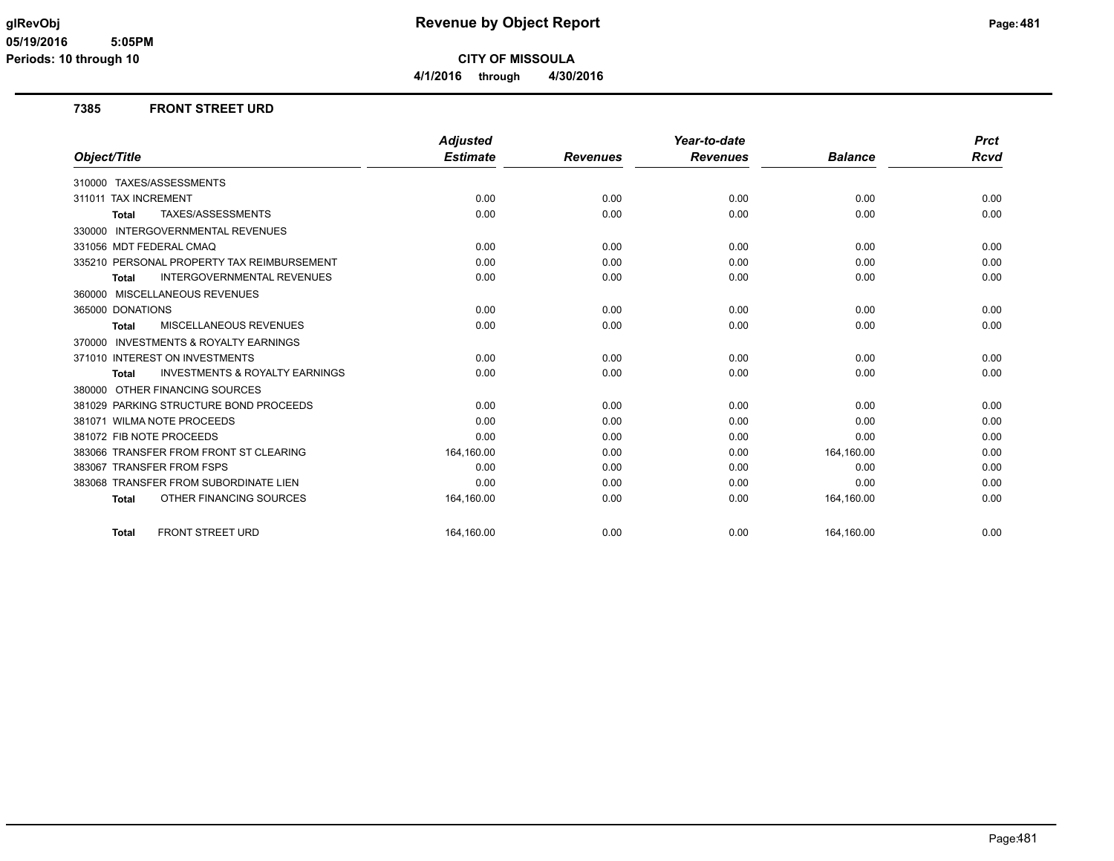**CITY OF MISSOULA**

**4/1/2016 through 4/30/2016**

#### **7385 FRONT STREET URD**

|                                                           | <b>Adjusted</b> |                 | Year-to-date    |                | <b>Prct</b> |
|-----------------------------------------------------------|-----------------|-----------------|-----------------|----------------|-------------|
| Object/Title                                              | <b>Estimate</b> | <b>Revenues</b> | <b>Revenues</b> | <b>Balance</b> | Rcvd        |
| 310000 TAXES/ASSESSMENTS                                  |                 |                 |                 |                |             |
| 311011 TAX INCREMENT                                      | 0.00            | 0.00            | 0.00            | 0.00           | 0.00        |
| TAXES/ASSESSMENTS<br><b>Total</b>                         | 0.00            | 0.00            | 0.00            | 0.00           | 0.00        |
| 330000 INTERGOVERNMENTAL REVENUES                         |                 |                 |                 |                |             |
| 331056 MDT FEDERAL CMAQ                                   | 0.00            | 0.00            | 0.00            | 0.00           | 0.00        |
| 335210 PERSONAL PROPERTY TAX REIMBURSEMENT                | 0.00            | 0.00            | 0.00            | 0.00           | 0.00        |
| INTERGOVERNMENTAL REVENUES<br><b>Total</b>                | 0.00            | 0.00            | 0.00            | 0.00           | 0.00        |
| 360000 MISCELLANEOUS REVENUES                             |                 |                 |                 |                |             |
| 365000 DONATIONS                                          | 0.00            | 0.00            | 0.00            | 0.00           | 0.00        |
| MISCELLANEOUS REVENUES<br><b>Total</b>                    | 0.00            | 0.00            | 0.00            | 0.00           | 0.00        |
| 370000 INVESTMENTS & ROYALTY EARNINGS                     |                 |                 |                 |                |             |
| 371010 INTEREST ON INVESTMENTS                            | 0.00            | 0.00            | 0.00            | 0.00           | 0.00        |
| <b>INVESTMENTS &amp; ROYALTY EARNINGS</b><br><b>Total</b> | 0.00            | 0.00            | 0.00            | 0.00           | 0.00        |
| 380000 OTHER FINANCING SOURCES                            |                 |                 |                 |                |             |
| 381029 PARKING STRUCTURE BOND PROCEEDS                    | 0.00            | 0.00            | 0.00            | 0.00           | 0.00        |
| 381071 WILMA NOTE PROCEEDS                                | 0.00            | 0.00            | 0.00            | 0.00           | 0.00        |
| 381072 FIB NOTE PROCEEDS                                  | 0.00            | 0.00            | 0.00            | 0.00           | 0.00        |
| 383066 TRANSFER FROM FRONT ST CLEARING                    | 164,160.00      | 0.00            | 0.00            | 164,160.00     | 0.00        |
| 383067 TRANSFER FROM FSPS                                 | 0.00            | 0.00            | 0.00            | 0.00           | 0.00        |
| 383068 TRANSFER FROM SUBORDINATE LIEN                     | 0.00            | 0.00            | 0.00            | 0.00           | 0.00        |
| OTHER FINANCING SOURCES<br><b>Total</b>                   | 164,160.00      | 0.00            | 0.00            | 164,160.00     | 0.00        |
| <b>FRONT STREET URD</b><br><b>Total</b>                   | 164.160.00      | 0.00            | 0.00            | 164.160.00     | 0.00        |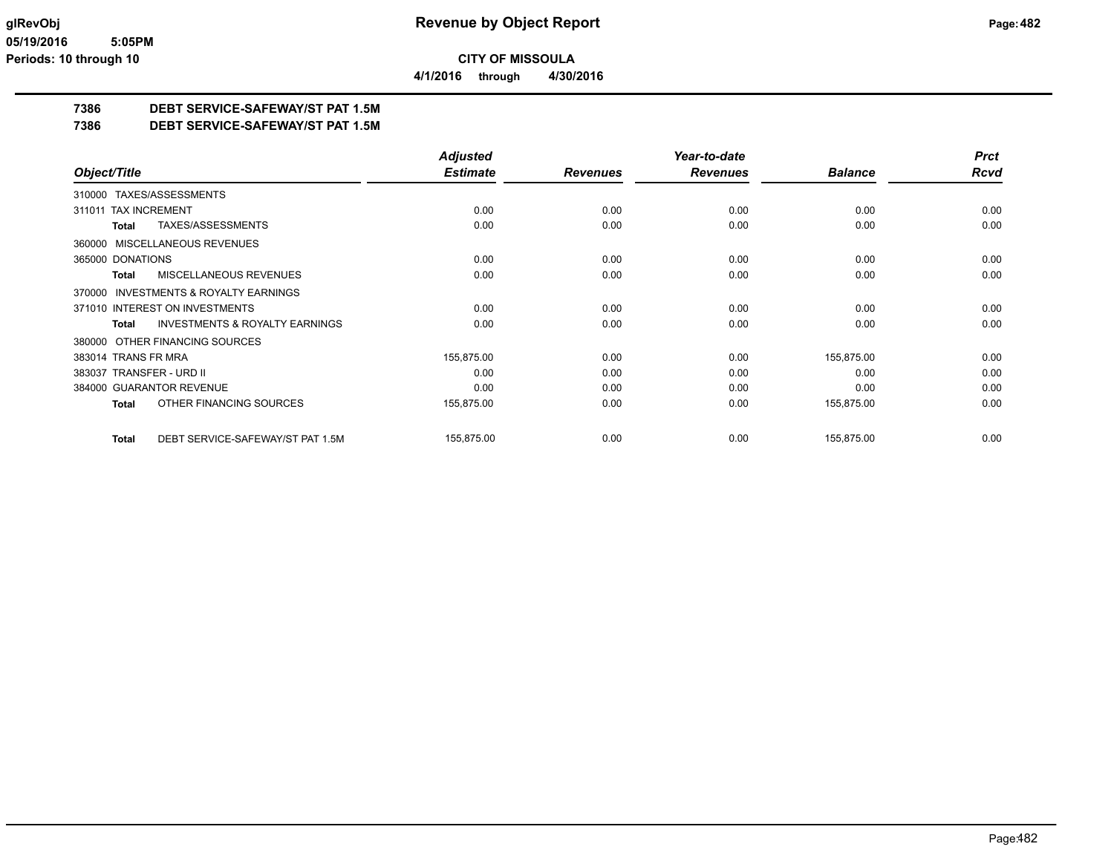**4/1/2016 through 4/30/2016**

## **7386 DEBT SERVICE-SAFEWAY/ST PAT 1.5M**

**7386 DEBT SERVICE-SAFEWAY/ST PAT 1.5M**

|                                                     | <b>Adjusted</b> |                 | Year-to-date    |                | <b>Prct</b> |
|-----------------------------------------------------|-----------------|-----------------|-----------------|----------------|-------------|
| Object/Title                                        | <b>Estimate</b> | <b>Revenues</b> | <b>Revenues</b> | <b>Balance</b> | Rcvd        |
| 310000 TAXES/ASSESSMENTS                            |                 |                 |                 |                |             |
| 311011 TAX INCREMENT                                | 0.00            | 0.00            | 0.00            | 0.00           | 0.00        |
| TAXES/ASSESSMENTS<br>Total                          | 0.00            | 0.00            | 0.00            | 0.00           | 0.00        |
| 360000 MISCELLANEOUS REVENUES                       |                 |                 |                 |                |             |
| 365000 DONATIONS                                    | 0.00            | 0.00            | 0.00            | 0.00           | 0.00        |
| MISCELLANEOUS REVENUES<br>Total                     | 0.00            | 0.00            | 0.00            | 0.00           | 0.00        |
| <b>INVESTMENTS &amp; ROYALTY EARNINGS</b><br>370000 |                 |                 |                 |                |             |
| 371010 INTEREST ON INVESTMENTS                      | 0.00            | 0.00            | 0.00            | 0.00           | 0.00        |
| <b>INVESTMENTS &amp; ROYALTY EARNINGS</b><br>Total  | 0.00            | 0.00            | 0.00            | 0.00           | 0.00        |
| 380000 OTHER FINANCING SOURCES                      |                 |                 |                 |                |             |
| 383014 TRANS FR MRA                                 | 155,875.00      | 0.00            | 0.00            | 155,875.00     | 0.00        |
| 383037 TRANSFER - URD II                            | 0.00            | 0.00            | 0.00            | 0.00           | 0.00        |
| 384000 GUARANTOR REVENUE                            | 0.00            | 0.00            | 0.00            | 0.00           | 0.00        |
| OTHER FINANCING SOURCES<br>Total                    | 155,875.00      | 0.00            | 0.00            | 155,875.00     | 0.00        |
| DEBT SERVICE-SAFEWAY/ST PAT 1.5M<br>Total           | 155,875.00      | 0.00            | 0.00            | 155,875.00     | 0.00        |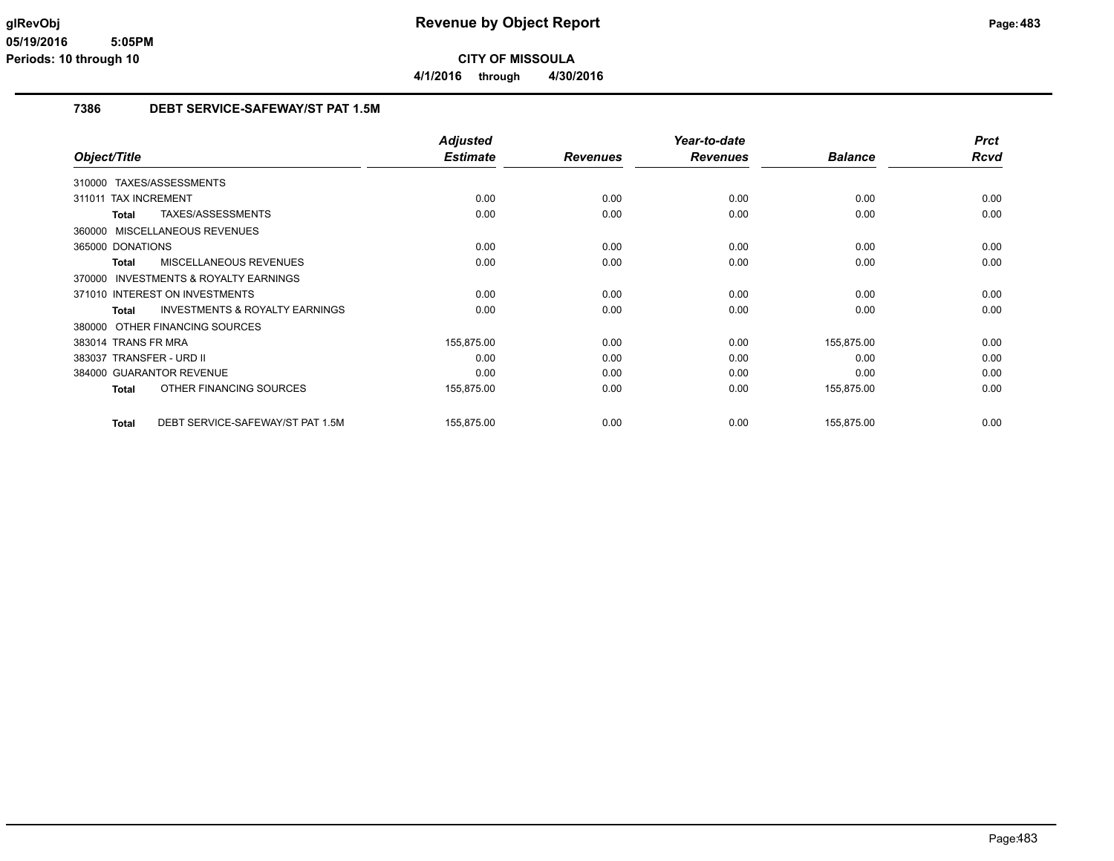### **7386 DEBT SERVICE-SAFEWAY/ST PAT 1.5M**

|                                                    | <b>Adjusted</b> |                 | Year-to-date    |                | <b>Prct</b> |
|----------------------------------------------------|-----------------|-----------------|-----------------|----------------|-------------|
| Object/Title                                       | <b>Estimate</b> | <b>Revenues</b> | <b>Revenues</b> | <b>Balance</b> | <b>Rcvd</b> |
| 310000 TAXES/ASSESSMENTS                           |                 |                 |                 |                |             |
| <b>TAX INCREMENT</b><br>311011                     | 0.00            | 0.00            | 0.00            | 0.00           | 0.00        |
| TAXES/ASSESSMENTS<br>Total                         | 0.00            | 0.00            | 0.00            | 0.00           | 0.00        |
| 360000 MISCELLANEOUS REVENUES                      |                 |                 |                 |                |             |
| 365000 DONATIONS                                   | 0.00            | 0.00            | 0.00            | 0.00           | 0.00        |
| MISCELLANEOUS REVENUES<br>Total                    | 0.00            | 0.00            | 0.00            | 0.00           | 0.00        |
| 370000 INVESTMENTS & ROYALTY EARNINGS              |                 |                 |                 |                |             |
| 371010 INTEREST ON INVESTMENTS                     | 0.00            | 0.00            | 0.00            | 0.00           | 0.00        |
| <b>INVESTMENTS &amp; ROYALTY EARNINGS</b><br>Total | 0.00            | 0.00            | 0.00            | 0.00           | 0.00        |
| 380000 OTHER FINANCING SOURCES                     |                 |                 |                 |                |             |
| 383014 TRANS FR MRA                                | 155,875.00      | 0.00            | 0.00            | 155,875.00     | 0.00        |
| 383037 TRANSFER - URD II                           | 0.00            | 0.00            | 0.00            | 0.00           | 0.00        |
| 384000 GUARANTOR REVENUE                           | 0.00            | 0.00            | 0.00            | 0.00           | 0.00        |
| OTHER FINANCING SOURCES<br>Total                   | 155,875.00      | 0.00            | 0.00            | 155,875.00     | 0.00        |
| DEBT SERVICE-SAFEWAY/ST PAT 1.5M<br><b>Total</b>   | 155,875.00      | 0.00            | 0.00            | 155,875.00     | 0.00        |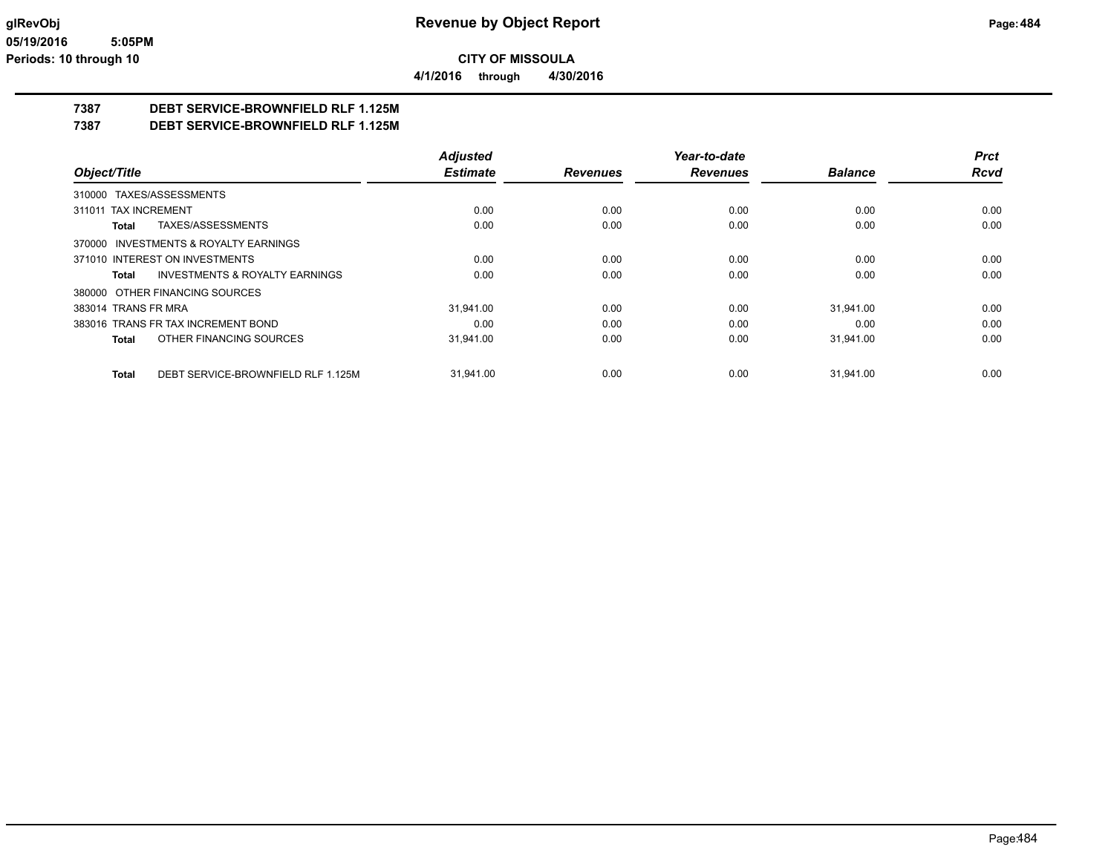**4/1/2016 through 4/30/2016**

## **7387 DEBT SERVICE-BROWNFIELD RLF 1.125M**

**7387 DEBT SERVICE-BROWNFIELD RLF 1.125M**

|                                                    | <b>Adjusted</b> |                 | Year-to-date    |                | <b>Prct</b> |
|----------------------------------------------------|-----------------|-----------------|-----------------|----------------|-------------|
| Object/Title                                       | <b>Estimate</b> | <b>Revenues</b> | <b>Revenues</b> | <b>Balance</b> | <b>Rcvd</b> |
| 310000 TAXES/ASSESSMENTS                           |                 |                 |                 |                |             |
| 311011 TAX INCREMENT                               | 0.00            | 0.00            | 0.00            | 0.00           | 0.00        |
| TAXES/ASSESSMENTS<br>Total                         | 0.00            | 0.00            | 0.00            | 0.00           | 0.00        |
| 370000 INVESTMENTS & ROYALTY EARNINGS              |                 |                 |                 |                |             |
| 371010 INTEREST ON INVESTMENTS                     | 0.00            | 0.00            | 0.00            | 0.00           | 0.00        |
| <b>INVESTMENTS &amp; ROYALTY EARNINGS</b><br>Total | 0.00            | 0.00            | 0.00            | 0.00           | 0.00        |
| 380000 OTHER FINANCING SOURCES                     |                 |                 |                 |                |             |
| 383014 TRANS FR MRA                                | 31.941.00       | 0.00            | 0.00            | 31,941.00      | 0.00        |
| 383016 TRANS FR TAX INCREMENT BOND                 | 0.00            | 0.00            | 0.00            | 0.00           | 0.00        |
| OTHER FINANCING SOURCES<br>Total                   | 31,941.00       | 0.00            | 0.00            | 31,941.00      | 0.00        |
| DEBT SERVICE-BROWNFIELD RLF 1.125M<br>Total        | 31.941.00       | 0.00            | 0.00            | 31,941.00      | 0.00        |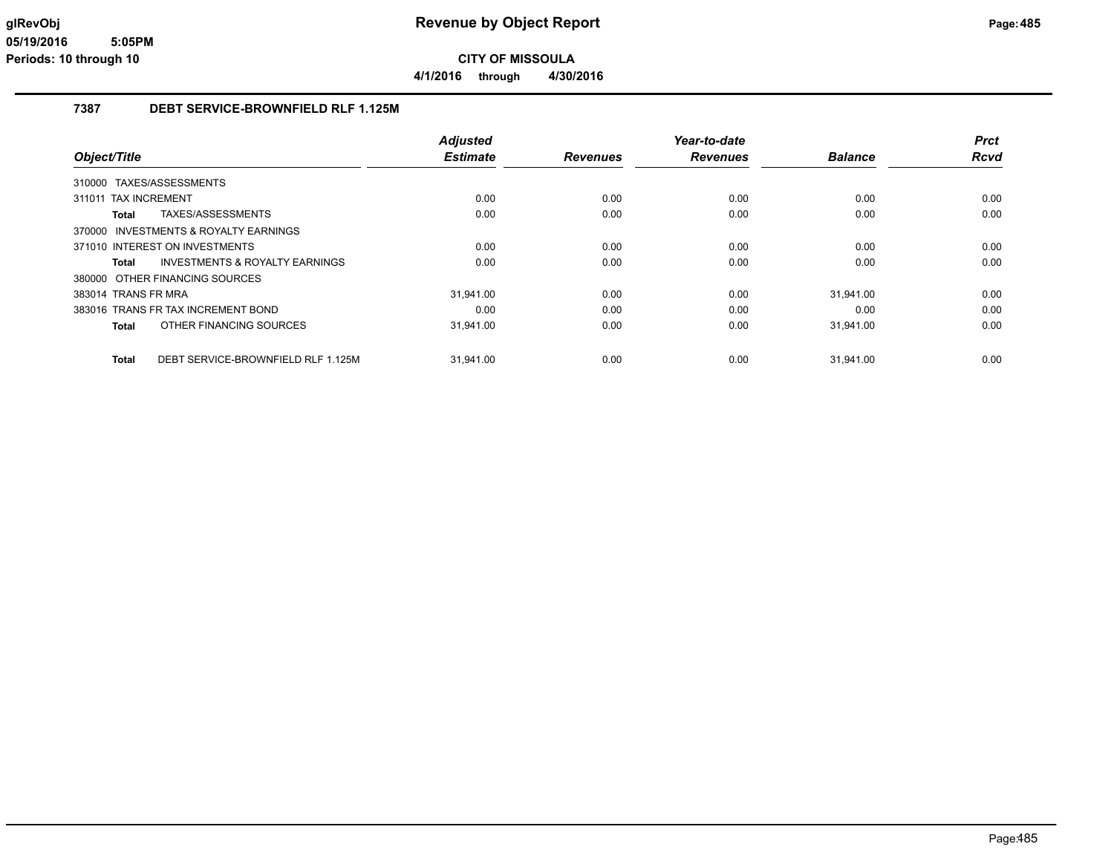**4/1/2016 through 4/30/2016**

### **7387 DEBT SERVICE-BROWNFIELD RLF 1.125M**

|                          |                                           | <b>Adjusted</b> |                 | Year-to-date    |                | <b>Prct</b> |
|--------------------------|-------------------------------------------|-----------------|-----------------|-----------------|----------------|-------------|
| Object/Title             |                                           | <b>Estimate</b> | <b>Revenues</b> | <b>Revenues</b> | <b>Balance</b> | <b>Rcvd</b> |
| 310000 TAXES/ASSESSMENTS |                                           |                 |                 |                 |                |             |
| 311011 TAX INCREMENT     |                                           | 0.00            | 0.00            | 0.00            | 0.00           | 0.00        |
| Total                    | TAXES/ASSESSMENTS                         | 0.00            | 0.00            | 0.00            | 0.00           | 0.00        |
|                          | 370000 INVESTMENTS & ROYALTY EARNINGS     |                 |                 |                 |                |             |
|                          | 371010 INTEREST ON INVESTMENTS            | 0.00            | 0.00            | 0.00            | 0.00           | 0.00        |
| Total                    | <b>INVESTMENTS &amp; ROYALTY EARNINGS</b> | 0.00            | 0.00            | 0.00            | 0.00           | 0.00        |
|                          | 380000 OTHER FINANCING SOURCES            |                 |                 |                 |                |             |
| 383014 TRANS FR MRA      |                                           | 31.941.00       | 0.00            | 0.00            | 31.941.00      | 0.00        |
|                          | 383016 TRANS FR TAX INCREMENT BOND        | 0.00            | 0.00            | 0.00            | 0.00           | 0.00        |
| <b>Total</b>             | OTHER FINANCING SOURCES                   | 31.941.00       | 0.00            | 0.00            | 31,941.00      | 0.00        |
| <b>Total</b>             | DEBT SERVICE-BROWNFIELD RLF 1.125M        | 31,941.00       | 0.00            | 0.00            | 31,941.00      | 0.00        |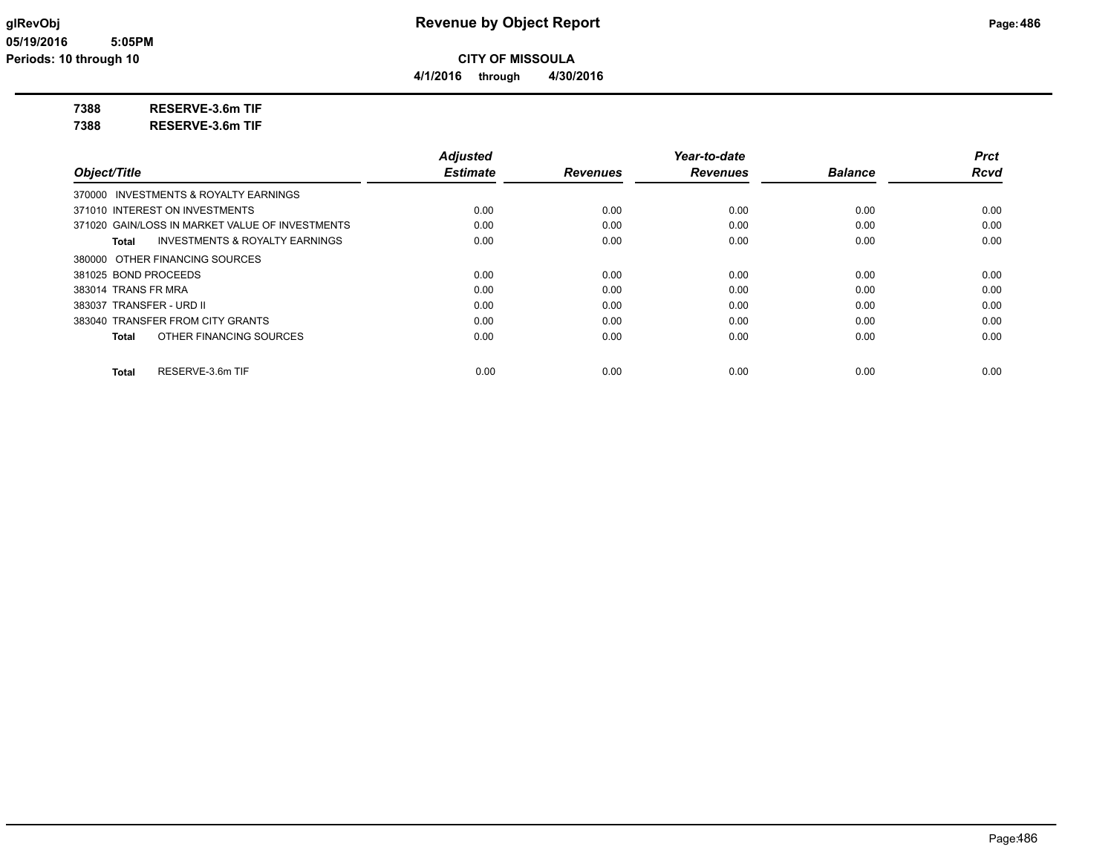**4/1/2016 through 4/30/2016**

## **7388 RESERVE-3.6m TIF**

**7388 RESERVE-3.6m TIF**

|                                                    | <b>Adjusted</b> |                 | Year-to-date    |                | <b>Prct</b> |
|----------------------------------------------------|-----------------|-----------------|-----------------|----------------|-------------|
| Object/Title                                       | <b>Estimate</b> | <b>Revenues</b> | <b>Revenues</b> | <b>Balance</b> | <b>Rcvd</b> |
| 370000 INVESTMENTS & ROYALTY EARNINGS              |                 |                 |                 |                |             |
| 371010 INTEREST ON INVESTMENTS                     | 0.00            | 0.00            | 0.00            | 0.00           | 0.00        |
| 371020 GAIN/LOSS IN MARKET VALUE OF INVESTMENTS    | 0.00            | 0.00            | 0.00            | 0.00           | 0.00        |
| <b>INVESTMENTS &amp; ROYALTY EARNINGS</b><br>Total | 0.00            | 0.00            | 0.00            | 0.00           | 0.00        |
| 380000 OTHER FINANCING SOURCES                     |                 |                 |                 |                |             |
| 381025 BOND PROCEEDS                               | 0.00            | 0.00            | 0.00            | 0.00           | 0.00        |
| 383014 TRANS FR MRA                                | 0.00            | 0.00            | 0.00            | 0.00           | 0.00        |
| 383037 TRANSFER - URD II                           | 0.00            | 0.00            | 0.00            | 0.00           | 0.00        |
| 383040 TRANSFER FROM CITY GRANTS                   | 0.00            | 0.00            | 0.00            | 0.00           | 0.00        |
| OTHER FINANCING SOURCES<br>Total                   | 0.00            | 0.00            | 0.00            | 0.00           | 0.00        |
| RESERVE-3.6m TIF<br>Total                          | 0.00            | 0.00            | 0.00            | 0.00           | 0.00        |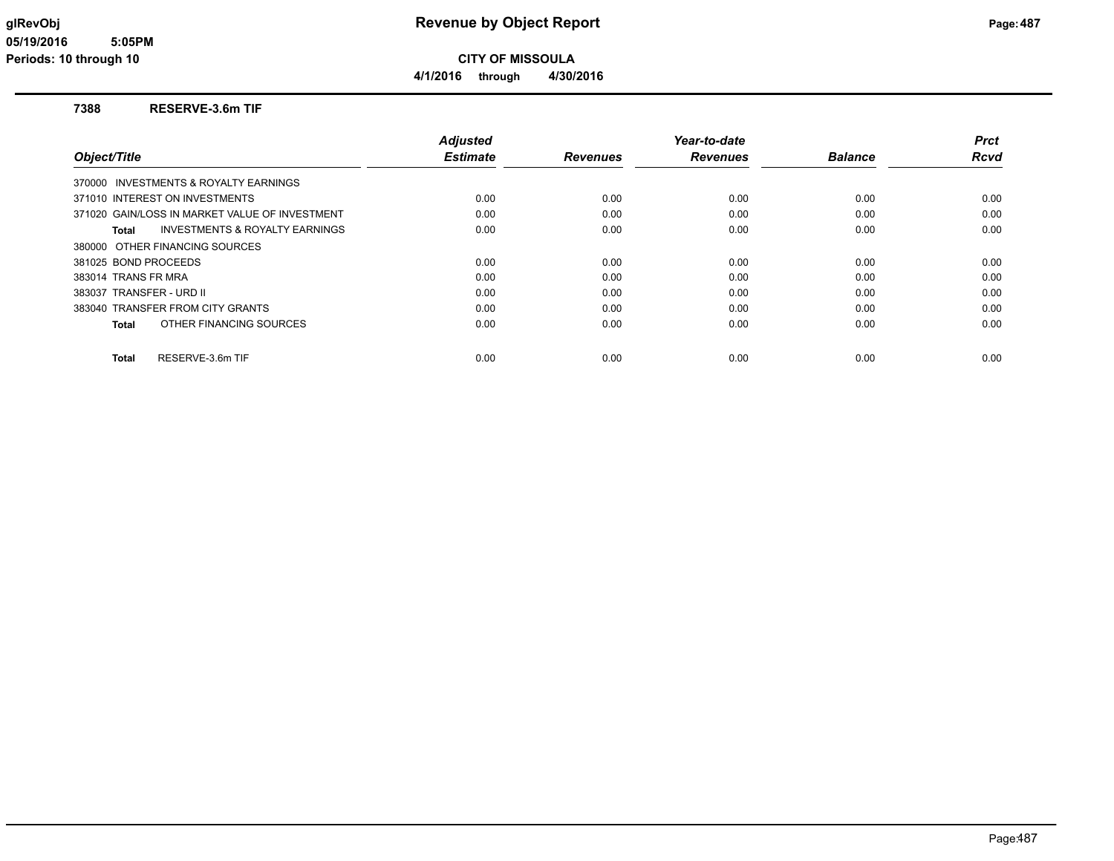**4/1/2016 through 4/30/2016**

#### **7388 RESERVE-3.6m TIF**

|                                                    | <b>Adjusted</b> |                 | Year-to-date    |                | <b>Prct</b> |
|----------------------------------------------------|-----------------|-----------------|-----------------|----------------|-------------|
| Object/Title                                       | <b>Estimate</b> | <b>Revenues</b> | <b>Revenues</b> | <b>Balance</b> | Rcvd        |
| 370000 INVESTMENTS & ROYALTY EARNINGS              |                 |                 |                 |                |             |
| 371010 INTEREST ON INVESTMENTS                     | 0.00            | 0.00            | 0.00            | 0.00           | 0.00        |
| 371020 GAIN/LOSS IN MARKET VALUE OF INVESTMENT     | 0.00            | 0.00            | 0.00            | 0.00           | 0.00        |
| <b>INVESTMENTS &amp; ROYALTY EARNINGS</b><br>Total | 0.00            | 0.00            | 0.00            | 0.00           | 0.00        |
| 380000 OTHER FINANCING SOURCES                     |                 |                 |                 |                |             |
| 381025 BOND PROCEEDS                               | 0.00            | 0.00            | 0.00            | 0.00           | 0.00        |
| 383014 TRANS FR MRA                                | 0.00            | 0.00            | 0.00            | 0.00           | 0.00        |
| 383037 TRANSFER - URD II                           | 0.00            | 0.00            | 0.00            | 0.00           | 0.00        |
| 383040 TRANSFER FROM CITY GRANTS                   | 0.00            | 0.00            | 0.00            | 0.00           | 0.00        |
| OTHER FINANCING SOURCES<br>Total                   | 0.00            | 0.00            | 0.00            | 0.00           | 0.00        |
| RESERVE-3.6m TIF<br><b>Total</b>                   | 0.00            | 0.00            | 0.00            | 0.00           | 0.00        |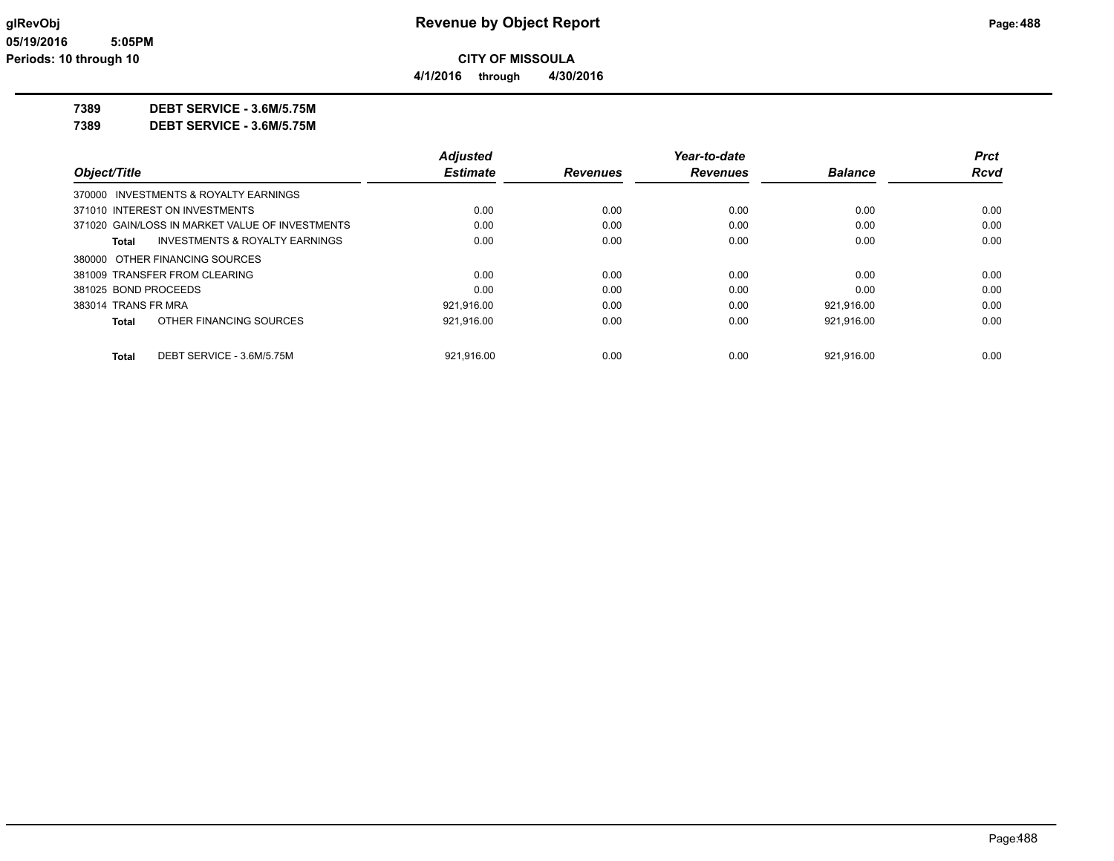**CITY OF MISSOULA**

**4/1/2016 through 4/30/2016**

**7389 DEBT SERVICE - 3.6M/5.75M**

| 7389 | DEBT SERVICE - 3.6M/5.75M |
|------|---------------------------|
|      |                           |

|                      |                                                 | <b>Adjusted</b> |                 | Year-to-date    |                | <b>Prct</b> |
|----------------------|-------------------------------------------------|-----------------|-----------------|-----------------|----------------|-------------|
| Object/Title         |                                                 | <b>Estimate</b> | <b>Revenues</b> | <b>Revenues</b> | <b>Balance</b> | <b>Rcvd</b> |
|                      | 370000 INVESTMENTS & ROYALTY EARNINGS           |                 |                 |                 |                |             |
|                      | 371010 INTEREST ON INVESTMENTS                  | 0.00            | 0.00            | 0.00            | 0.00           | 0.00        |
|                      | 371020 GAIN/LOSS IN MARKET VALUE OF INVESTMENTS | 0.00            | 0.00            | 0.00            | 0.00           | 0.00        |
| Total                | INVESTMENTS & ROYALTY EARNINGS                  | 0.00            | 0.00            | 0.00            | 0.00           | 0.00        |
|                      | 380000 OTHER FINANCING SOURCES                  |                 |                 |                 |                |             |
|                      | 381009 TRANSFER FROM CLEARING                   | 0.00            | 0.00            | 0.00            | 0.00           | 0.00        |
| 381025 BOND PROCEEDS |                                                 | 0.00            | 0.00            | 0.00            | 0.00           | 0.00        |
| 383014 TRANS FR MRA  |                                                 | 921.916.00      | 0.00            | 0.00            | 921.916.00     | 0.00        |
| Total                | OTHER FINANCING SOURCES                         | 921.916.00      | 0.00            | 0.00            | 921.916.00     | 0.00        |
| <b>Total</b>         | DEBT SERVICE - 3.6M/5.75M                       | 921.916.00      | 0.00            | 0.00            | 921.916.00     | 0.00        |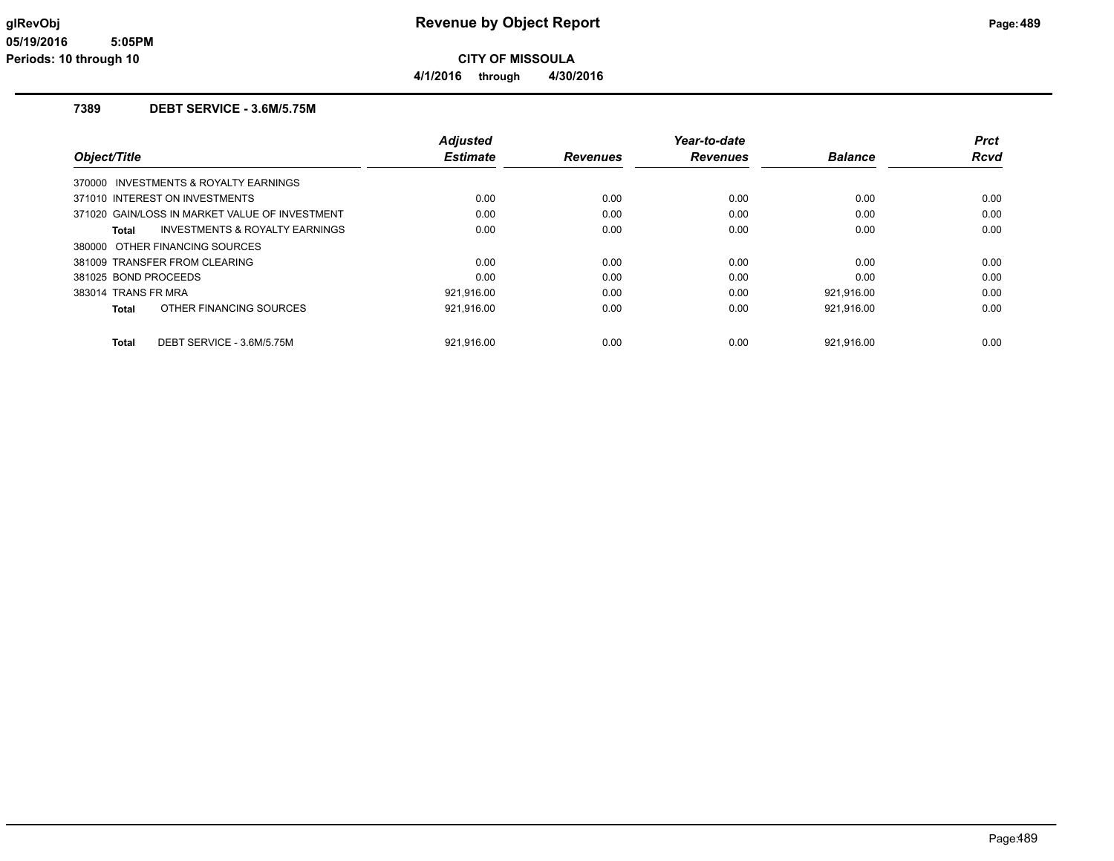**4/1/2016 through 4/30/2016**

#### **7389 DEBT SERVICE - 3.6M/5.75M**

| Object/Title         |                                                | <b>Adjusted</b><br><b>Estimate</b> | <b>Revenues</b> | Year-to-date<br><b>Revenues</b> | <b>Balance</b> | <b>Prct</b><br><b>Rcvd</b> |
|----------------------|------------------------------------------------|------------------------------------|-----------------|---------------------------------|----------------|----------------------------|
|                      |                                                |                                    |                 |                                 |                |                            |
|                      | 370000 INVESTMENTS & ROYALTY EARNINGS          |                                    |                 |                                 |                |                            |
|                      | 371010 INTEREST ON INVESTMENTS                 | 0.00                               | 0.00            | 0.00                            | 0.00           | 0.00                       |
|                      | 371020 GAIN/LOSS IN MARKET VALUE OF INVESTMENT | 0.00                               | 0.00            | 0.00                            | 0.00           | 0.00                       |
| Total                | INVESTMENTS & ROYALTY EARNINGS                 | 0.00                               | 0.00            | 0.00                            | 0.00           | 0.00                       |
|                      | 380000 OTHER FINANCING SOURCES                 |                                    |                 |                                 |                |                            |
|                      | 381009 TRANSFER FROM CLEARING                  | 0.00                               | 0.00            | 0.00                            | 0.00           | 0.00                       |
| 381025 BOND PROCEEDS |                                                | 0.00                               | 0.00            | 0.00                            | 0.00           | 0.00                       |
| 383014 TRANS FR MRA  |                                                | 921.916.00                         | 0.00            | 0.00                            | 921.916.00     | 0.00                       |
| Total                | OTHER FINANCING SOURCES                        | 921,916.00                         | 0.00            | 0.00                            | 921,916.00     | 0.00                       |
| <b>Total</b>         | DEBT SERVICE - 3.6M/5.75M                      | 921.916.00                         | 0.00            | 0.00                            | 921.916.00     | 0.00                       |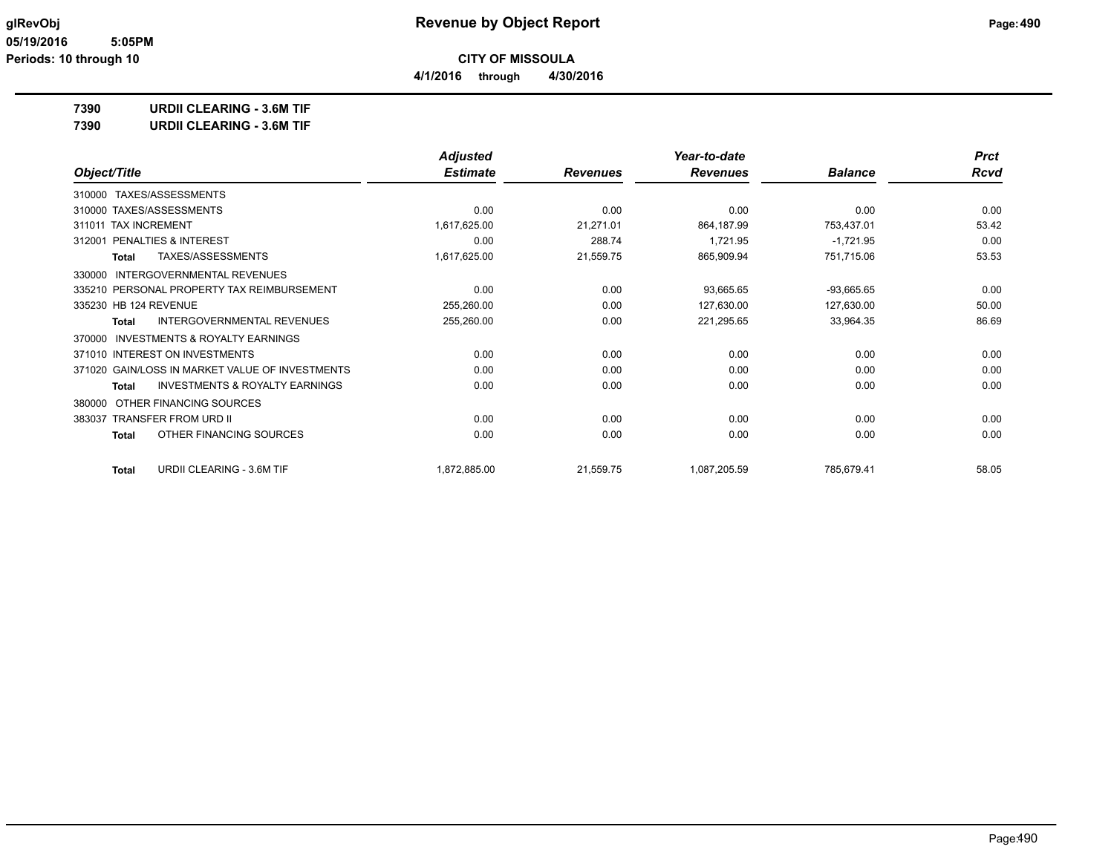**4/1/2016 through 4/30/2016**

**7390 URDII CLEARING - 3.6M TIF**

**7390 URDII CLEARING - 3.6M TIF**

|                                                           | <b>Adjusted</b> |                 | Year-to-date    |                | <b>Prct</b> |
|-----------------------------------------------------------|-----------------|-----------------|-----------------|----------------|-------------|
| Object/Title                                              | <b>Estimate</b> | <b>Revenues</b> | <b>Revenues</b> | <b>Balance</b> | <b>Rcvd</b> |
| TAXES/ASSESSMENTS<br>310000                               |                 |                 |                 |                |             |
| 310000 TAXES/ASSESSMENTS                                  | 0.00            | 0.00            | 0.00            | 0.00           | 0.00        |
| 311011 TAX INCREMENT                                      | 1,617,625.00    | 21,271.01       | 864,187.99      | 753,437.01     | 53.42       |
| PENALTIES & INTEREST<br>312001                            | 0.00            | 288.74          | 1,721.95        | $-1,721.95$    | 0.00        |
| TAXES/ASSESSMENTS<br><b>Total</b>                         | 1,617,625.00    | 21,559.75       | 865,909.94      | 751,715.06     | 53.53       |
| <b>INTERGOVERNMENTAL REVENUES</b><br>330000               |                 |                 |                 |                |             |
| 335210 PERSONAL PROPERTY TAX REIMBURSEMENT                | 0.00            | 0.00            | 93,665.65       | $-93,665.65$   | 0.00        |
| 335230 HB 124 REVENUE                                     | 255,260.00      | 0.00            | 127,630.00      | 127,630.00     | 50.00       |
| INTERGOVERNMENTAL REVENUES<br>Total                       | 255,260.00      | 0.00            | 221,295.65      | 33,964.35      | 86.69       |
| <b>INVESTMENTS &amp; ROYALTY EARNINGS</b><br>370000       |                 |                 |                 |                |             |
| 371010 INTEREST ON INVESTMENTS                            | 0.00            | 0.00            | 0.00            | 0.00           | 0.00        |
| 371020 GAIN/LOSS IN MARKET VALUE OF INVESTMENTS           | 0.00            | 0.00            | 0.00            | 0.00           | 0.00        |
| <b>INVESTMENTS &amp; ROYALTY EARNINGS</b><br><b>Total</b> | 0.00            | 0.00            | 0.00            | 0.00           | 0.00        |
| OTHER FINANCING SOURCES<br>380000                         |                 |                 |                 |                |             |
| 383037 TRANSFER FROM URD II                               | 0.00            | 0.00            | 0.00            | 0.00           | 0.00        |
| OTHER FINANCING SOURCES<br><b>Total</b>                   | 0.00            | 0.00            | 0.00            | 0.00           | 0.00        |
| URDII CLEARING - 3.6M TIF<br>Total                        | 1,872,885.00    | 21,559.75       | 1,087,205.59    | 785,679.41     | 58.05       |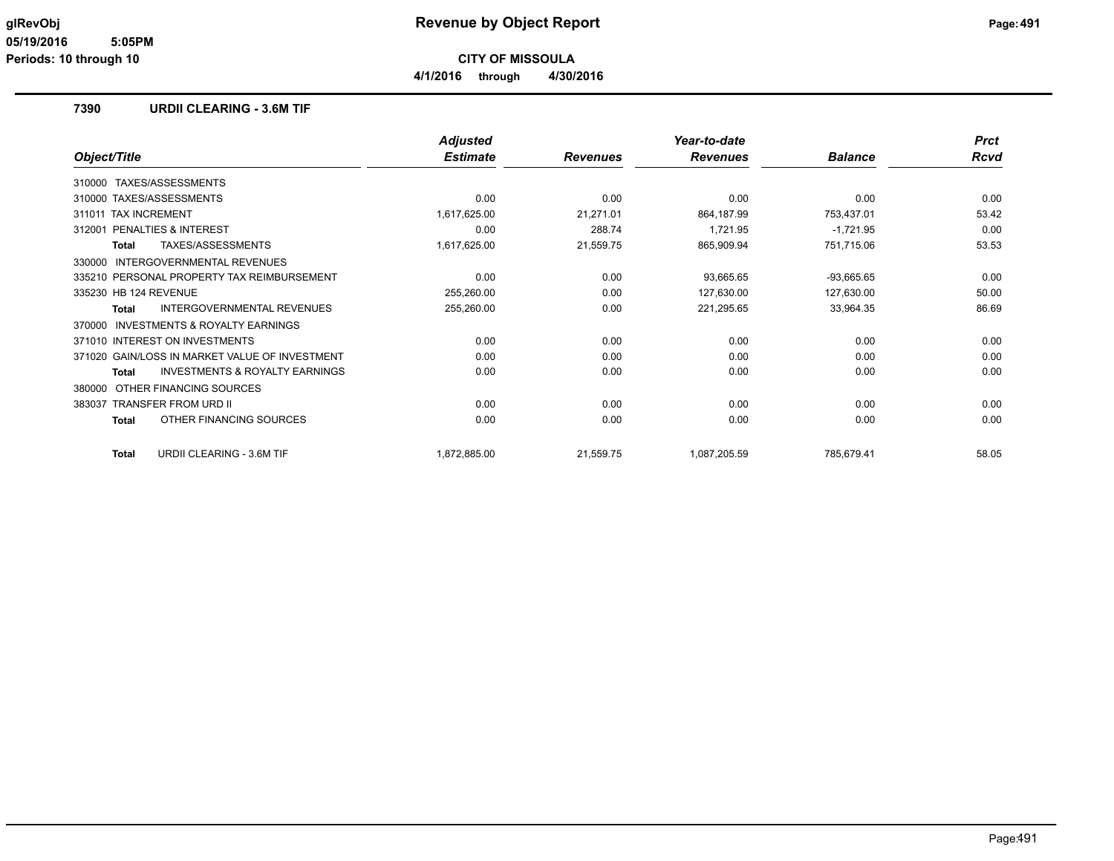**4/1/2016 through 4/30/2016**

#### **7390 URDII CLEARING - 3.6M TIF**

|                                                           | <b>Adjusted</b> |                 | Year-to-date    |                | <b>Prct</b> |
|-----------------------------------------------------------|-----------------|-----------------|-----------------|----------------|-------------|
| Object/Title                                              | <b>Estimate</b> | <b>Revenues</b> | <b>Revenues</b> | <b>Balance</b> | Rcvd        |
| TAXES/ASSESSMENTS<br>310000                               |                 |                 |                 |                |             |
| 310000 TAXES/ASSESSMENTS                                  | 0.00            | 0.00            | 0.00            | 0.00           | 0.00        |
| <b>TAX INCREMENT</b><br>311011                            | 1,617,625.00    | 21,271.01       | 864,187.99      | 753,437.01     | 53.42       |
| <b>PENALTIES &amp; INTEREST</b><br>312001                 | 0.00            | 288.74          | 1,721.95        | $-1,721.95$    | 0.00        |
| TAXES/ASSESSMENTS<br><b>Total</b>                         | 1,617,625.00    | 21,559.75       | 865,909.94      | 751,715.06     | 53.53       |
| INTERGOVERNMENTAL REVENUES<br>330000                      |                 |                 |                 |                |             |
| 335210 PERSONAL PROPERTY TAX REIMBURSEMENT                | 0.00            | 0.00            | 93,665.65       | $-93,665.65$   | 0.00        |
| 335230 HB 124 REVENUE                                     | 255,260.00      | 0.00            | 127,630.00      | 127,630.00     | 50.00       |
| <b>INTERGOVERNMENTAL REVENUES</b><br><b>Total</b>         | 255,260.00      | 0.00            | 221,295.65      | 33,964.35      | 86.69       |
| <b>INVESTMENTS &amp; ROYALTY EARNINGS</b><br>370000       |                 |                 |                 |                |             |
| 371010 INTEREST ON INVESTMENTS                            | 0.00            | 0.00            | 0.00            | 0.00           | 0.00        |
| 371020 GAIN/LOSS IN MARKET VALUE OF INVESTMENT            | 0.00            | 0.00            | 0.00            | 0.00           | 0.00        |
| <b>INVESTMENTS &amp; ROYALTY EARNINGS</b><br><b>Total</b> | 0.00            | 0.00            | 0.00            | 0.00           | 0.00        |
| OTHER FINANCING SOURCES<br>380000                         |                 |                 |                 |                |             |
| <b>TRANSFER FROM URD II</b><br>383037                     | 0.00            | 0.00            | 0.00            | 0.00           | 0.00        |
| OTHER FINANCING SOURCES<br><b>Total</b>                   | 0.00            | 0.00            | 0.00            | 0.00           | 0.00        |
| URDII CLEARING - 3.6M TIF<br><b>Total</b>                 | 1,872,885.00    | 21,559.75       | 1,087,205.59    | 785,679.41     | 58.05       |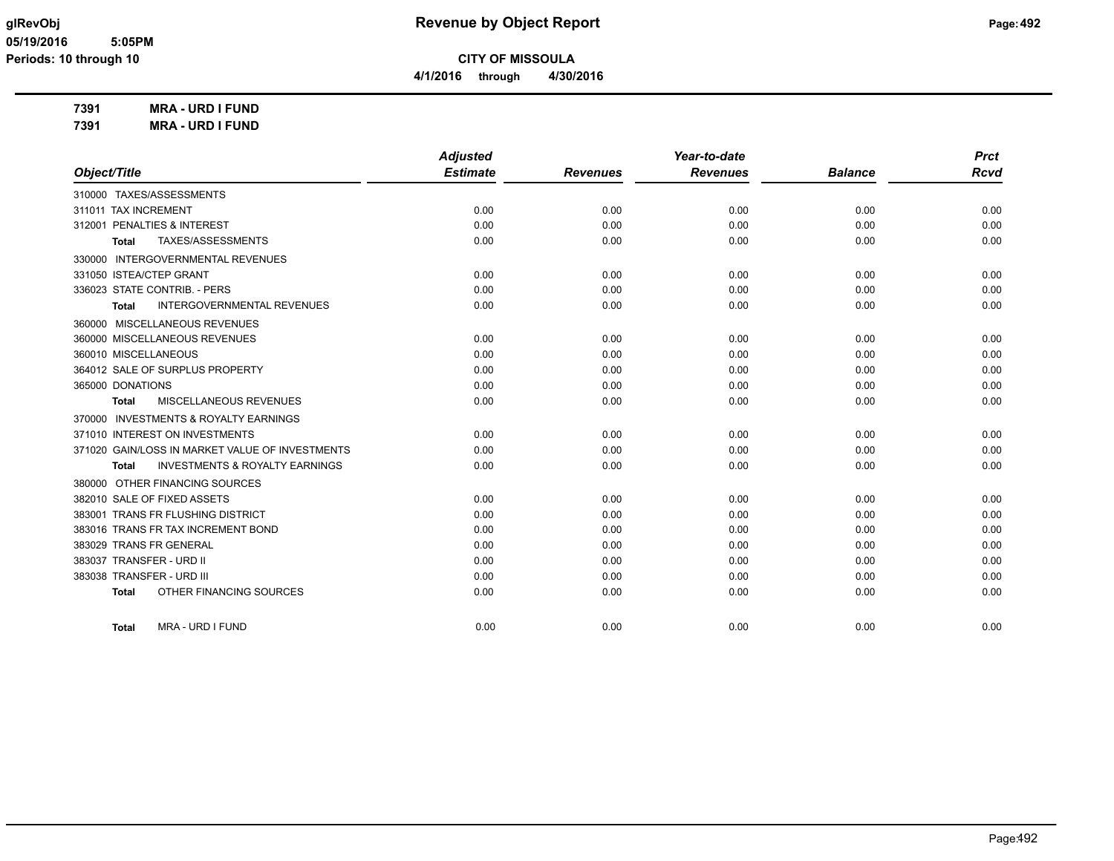**4/1/2016 through 4/30/2016**

**7391 MRA - URD I FUND 7391 MRA - URD I FUND**

|                                                     | <b>Adjusted</b> |                 | Year-to-date    |                | <b>Prct</b> |
|-----------------------------------------------------|-----------------|-----------------|-----------------|----------------|-------------|
| Object/Title                                        | <b>Estimate</b> | <b>Revenues</b> | <b>Revenues</b> | <b>Balance</b> | <b>Rcvd</b> |
| 310000 TAXES/ASSESSMENTS                            |                 |                 |                 |                |             |
| 311011 TAX INCREMENT                                | 0.00            | 0.00            | 0.00            | 0.00           | 0.00        |
| 312001 PENALTIES & INTEREST                         | 0.00            | 0.00            | 0.00            | 0.00           | 0.00        |
| TAXES/ASSESSMENTS<br>Total                          | 0.00            | 0.00            | 0.00            | 0.00           | 0.00        |
| 330000 INTERGOVERNMENTAL REVENUES                   |                 |                 |                 |                |             |
| 331050 ISTEA/CTEP GRANT                             | 0.00            | 0.00            | 0.00            | 0.00           | 0.00        |
| 336023 STATE CONTRIB. - PERS                        | 0.00            | 0.00            | 0.00            | 0.00           | 0.00        |
| <b>INTERGOVERNMENTAL REVENUES</b><br><b>Total</b>   | 0.00            | 0.00            | 0.00            | 0.00           | 0.00        |
| 360000 MISCELLANEOUS REVENUES                       |                 |                 |                 |                |             |
| 360000 MISCELLANEOUS REVENUES                       | 0.00            | 0.00            | 0.00            | 0.00           | 0.00        |
| 360010 MISCELLANEOUS                                | 0.00            | 0.00            | 0.00            | 0.00           | 0.00        |
| 364012 SALE OF SURPLUS PROPERTY                     | 0.00            | 0.00            | 0.00            | 0.00           | 0.00        |
| 365000 DONATIONS                                    | 0.00            | 0.00            | 0.00            | 0.00           | 0.00        |
| MISCELLANEOUS REVENUES<br>Total                     | 0.00            | 0.00            | 0.00            | 0.00           | 0.00        |
| <b>INVESTMENTS &amp; ROYALTY EARNINGS</b><br>370000 |                 |                 |                 |                |             |
| 371010 INTEREST ON INVESTMENTS                      | 0.00            | 0.00            | 0.00            | 0.00           | 0.00        |
| 371020 GAIN/LOSS IN MARKET VALUE OF INVESTMENTS     | 0.00            | 0.00            | 0.00            | 0.00           | 0.00        |
| <b>INVESTMENTS &amp; ROYALTY EARNINGS</b><br>Total  | 0.00            | 0.00            | 0.00            | 0.00           | 0.00        |
| 380000 OTHER FINANCING SOURCES                      |                 |                 |                 |                |             |
| 382010 SALE OF FIXED ASSETS                         | 0.00            | 0.00            | 0.00            | 0.00           | 0.00        |
| 383001 TRANS FR FLUSHING DISTRICT                   | 0.00            | 0.00            | 0.00            | 0.00           | 0.00        |
| 383016 TRANS FR TAX INCREMENT BOND                  | 0.00            | 0.00            | 0.00            | 0.00           | 0.00        |
| 383029 TRANS FR GENERAL                             | 0.00            | 0.00            | 0.00            | 0.00           | 0.00        |
| 383037 TRANSFER - URD II                            | 0.00            | 0.00            | 0.00            | 0.00           | 0.00        |
| 383038 TRANSFER - URD III                           | 0.00            | 0.00            | 0.00            | 0.00           | 0.00        |
| OTHER FINANCING SOURCES<br><b>Total</b>             | 0.00            | 0.00            | 0.00            | 0.00           | 0.00        |
|                                                     |                 |                 |                 |                |             |
| <b>MRA - URD I FUND</b><br><b>Total</b>             | 0.00            | 0.00            | 0.00            | 0.00           | 0.00        |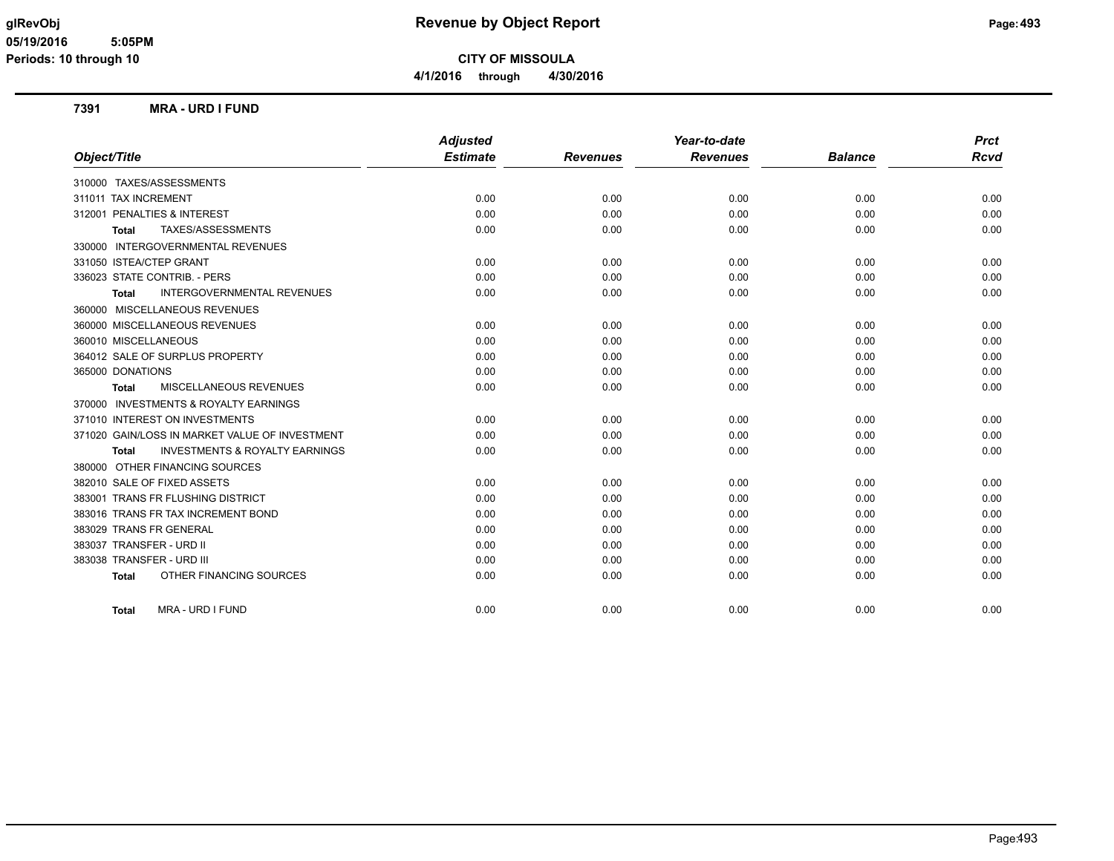**CITY OF MISSOULA 4/1/2016 through 4/30/2016**

#### **7391 MRA - URD I FUND**

|                                                    | <b>Adjusted</b> |                 | Year-to-date    |                | <b>Prct</b> |
|----------------------------------------------------|-----------------|-----------------|-----------------|----------------|-------------|
| Object/Title                                       | <b>Estimate</b> | <b>Revenues</b> | <b>Revenues</b> | <b>Balance</b> | <b>Rcvd</b> |
| 310000 TAXES/ASSESSMENTS                           |                 |                 |                 |                |             |
| 311011 TAX INCREMENT                               | 0.00            | 0.00            | 0.00            | 0.00           | 0.00        |
| 312001 PENALTIES & INTEREST                        | 0.00            | 0.00            | 0.00            | 0.00           | 0.00        |
| TAXES/ASSESSMENTS<br><b>Total</b>                  | 0.00            | 0.00            | 0.00            | 0.00           | 0.00        |
| <b>INTERGOVERNMENTAL REVENUES</b><br>330000        |                 |                 |                 |                |             |
| 331050 ISTEA/CTEP GRANT                            | 0.00            | 0.00            | 0.00            | 0.00           | 0.00        |
| 336023 STATE CONTRIB. - PERS                       | 0.00            | 0.00            | 0.00            | 0.00           | 0.00        |
| <b>INTERGOVERNMENTAL REVENUES</b><br><b>Total</b>  | 0.00            | 0.00            | 0.00            | 0.00           | 0.00        |
| 360000 MISCELLANEOUS REVENUES                      |                 |                 |                 |                |             |
| 360000 MISCELLANEOUS REVENUES                      | 0.00            | 0.00            | 0.00            | 0.00           | 0.00        |
| 360010 MISCELLANEOUS                               | 0.00            | 0.00            | 0.00            | 0.00           | 0.00        |
| 364012 SALE OF SURPLUS PROPERTY                    | 0.00            | 0.00            | 0.00            | 0.00           | 0.00        |
| 365000 DONATIONS                                   | 0.00            | 0.00            | 0.00            | 0.00           | 0.00        |
| <b>MISCELLANEOUS REVENUES</b><br><b>Total</b>      | 0.00            | 0.00            | 0.00            | 0.00           | 0.00        |
| 370000 INVESTMENTS & ROYALTY EARNINGS              |                 |                 |                 |                |             |
| 371010 INTEREST ON INVESTMENTS                     | 0.00            | 0.00            | 0.00            | 0.00           | 0.00        |
| 371020 GAIN/LOSS IN MARKET VALUE OF INVESTMENT     | 0.00            | 0.00            | 0.00            | 0.00           | 0.00        |
| <b>INVESTMENTS &amp; ROYALTY EARNINGS</b><br>Total | 0.00            | 0.00            | 0.00            | 0.00           | 0.00        |
| 380000 OTHER FINANCING SOURCES                     |                 |                 |                 |                |             |
| 382010 SALE OF FIXED ASSETS                        | 0.00            | 0.00            | 0.00            | 0.00           | 0.00        |
| 383001 TRANS FR FLUSHING DISTRICT                  | 0.00            | 0.00            | 0.00            | 0.00           | 0.00        |
| 383016 TRANS FR TAX INCREMENT BOND                 | 0.00            | 0.00            | 0.00            | 0.00           | 0.00        |
| 383029 TRANS FR GENERAL                            | 0.00            | 0.00            | 0.00            | 0.00           | 0.00        |
| 383037 TRANSFER - URD II                           | 0.00            | 0.00            | 0.00            | 0.00           | 0.00        |
| 383038 TRANSFER - URD III                          | 0.00            | 0.00            | 0.00            | 0.00           | 0.00        |
| OTHER FINANCING SOURCES<br><b>Total</b>            | 0.00            | 0.00            | 0.00            | 0.00           | 0.00        |
| <b>MRA - URD I FUND</b><br><b>Total</b>            | 0.00            | 0.00            | 0.00            | 0.00           | 0.00        |
|                                                    |                 |                 |                 |                |             |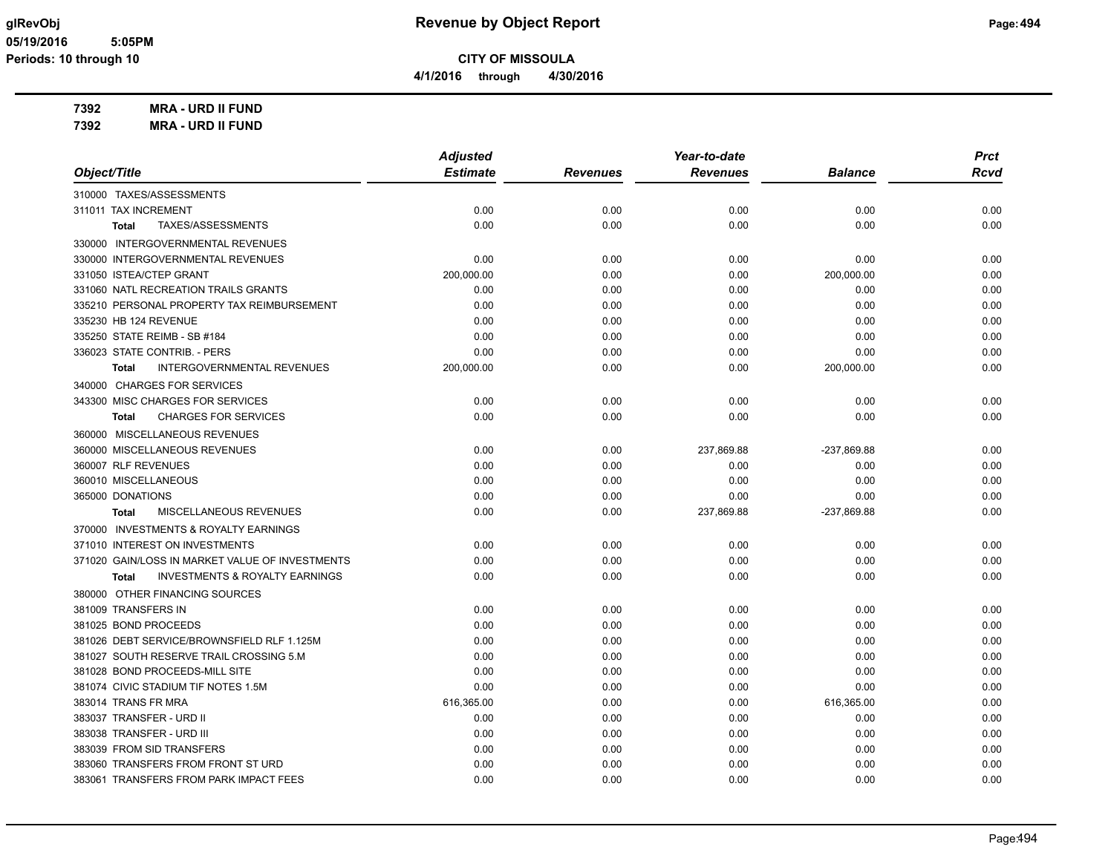**4/1/2016 through 4/30/2016**

**7392 MRA - URD II FUND 7392 MRA - URD II FUND**

|                                                           | <b>Adjusted</b> |                 | Year-to-date    |             | <b>Prct</b> |
|-----------------------------------------------------------|-----------------|-----------------|-----------------|-------------|-------------|
| Object/Title                                              | <b>Estimate</b> | <b>Revenues</b> | <b>Revenues</b> | Balance     | <b>Rcvd</b> |
| 310000 TAXES/ASSESSMENTS                                  |                 |                 |                 |             |             |
| 311011 TAX INCREMENT                                      | 0.00            | 0.00            | 0.00            | 0.00        | 0.00        |
| TAXES/ASSESSMENTS<br><b>Total</b>                         | 0.00            | 0.00            | 0.00            | 0.00        | 0.00        |
| 330000 INTERGOVERNMENTAL REVENUES                         |                 |                 |                 |             |             |
| 330000 INTERGOVERNMENTAL REVENUES                         | 0.00            | 0.00            | 0.00            | 0.00        | 0.00        |
| 331050 ISTEA/CTEP GRANT                                   | 200,000.00      | 0.00            | 0.00            | 200,000.00  | 0.00        |
| 331060 NATL RECREATION TRAILS GRANTS                      | 0.00            | 0.00            | 0.00            | 0.00        | 0.00        |
| 335210 PERSONAL PROPERTY TAX REIMBURSEMENT                | 0.00            | 0.00            | 0.00            | 0.00        | 0.00        |
| 335230 HB 124 REVENUE                                     | 0.00            | 0.00            | 0.00            | 0.00        | 0.00        |
| 335250 STATE REIMB - SB #184                              | 0.00            | 0.00            | 0.00            | 0.00        | 0.00        |
| 336023 STATE CONTRIB. - PERS                              | 0.00            | 0.00            | 0.00            | 0.00        | 0.00        |
| <b>INTERGOVERNMENTAL REVENUES</b><br><b>Total</b>         | 200,000.00      | 0.00            | 0.00            | 200,000.00  | 0.00        |
| 340000 CHARGES FOR SERVICES                               |                 |                 |                 |             |             |
| 343300 MISC CHARGES FOR SERVICES                          | 0.00            | 0.00            | 0.00            | 0.00        | 0.00        |
| <b>CHARGES FOR SERVICES</b><br><b>Total</b>               | 0.00            | 0.00            | 0.00            | 0.00        | 0.00        |
| 360000 MISCELLANEOUS REVENUES                             |                 |                 |                 |             |             |
| 360000 MISCELLANEOUS REVENUES                             | 0.00            | 0.00            | 237,869.88      | -237,869.88 | 0.00        |
| 360007 RLF REVENUES                                       | 0.00            | 0.00            | 0.00            | 0.00        | 0.00        |
| 360010 MISCELLANEOUS                                      | 0.00            | 0.00            | 0.00            | 0.00        | 0.00        |
| 365000 DONATIONS                                          | 0.00            | 0.00            | 0.00            | 0.00        | 0.00        |
| MISCELLANEOUS REVENUES<br><b>Total</b>                    | 0.00            | 0.00            | 237,869.88      | -237,869.88 | 0.00        |
| 370000 INVESTMENTS & ROYALTY EARNINGS                     |                 |                 |                 |             |             |
| 371010 INTEREST ON INVESTMENTS                            | 0.00            | 0.00            | 0.00            | 0.00        | 0.00        |
| 371020 GAIN/LOSS IN MARKET VALUE OF INVESTMENTS           | 0.00            | 0.00            | 0.00            | 0.00        | 0.00        |
| <b>INVESTMENTS &amp; ROYALTY EARNINGS</b><br><b>Total</b> | 0.00            | 0.00            | 0.00            | 0.00        | 0.00        |
| 380000 OTHER FINANCING SOURCES                            |                 |                 |                 |             |             |
| 381009 TRANSFERS IN                                       | 0.00            | 0.00            | 0.00            | 0.00        | 0.00        |
| 381025 BOND PROCEEDS                                      | 0.00            | 0.00            | 0.00            | 0.00        | 0.00        |
| 381026 DEBT SERVICE/BROWNSFIELD RLF 1.125M                | 0.00            | 0.00            | 0.00            | 0.00        | 0.00        |
| 381027 SOUTH RESERVE TRAIL CROSSING 5.M                   | 0.00            | 0.00            | 0.00            | 0.00        | 0.00        |
| 381028 BOND PROCEEDS-MILL SITE                            | 0.00            | 0.00            | 0.00            | 0.00        | 0.00        |
| 381074 CIVIC STADIUM TIF NOTES 1.5M                       | 0.00            | 0.00            | 0.00            | 0.00        | 0.00        |
| 383014 TRANS FR MRA                                       | 616,365.00      | 0.00            | 0.00            | 616,365.00  | 0.00        |
| 383037 TRANSFER - URD II                                  | 0.00            | 0.00            | 0.00            | 0.00        | 0.00        |
| 383038 TRANSFER - URD III                                 | 0.00            | 0.00            | 0.00            | 0.00        | 0.00        |
| 383039 FROM SID TRANSFERS                                 | 0.00            | 0.00            | 0.00            | 0.00        | 0.00        |
| 383060 TRANSFERS FROM FRONT ST URD                        | 0.00            | 0.00            | 0.00            | 0.00        | 0.00        |
| 383061 TRANSFERS FROM PARK IMPACT FEES                    | 0.00            | 0.00            | 0.00            | 0.00        | 0.00        |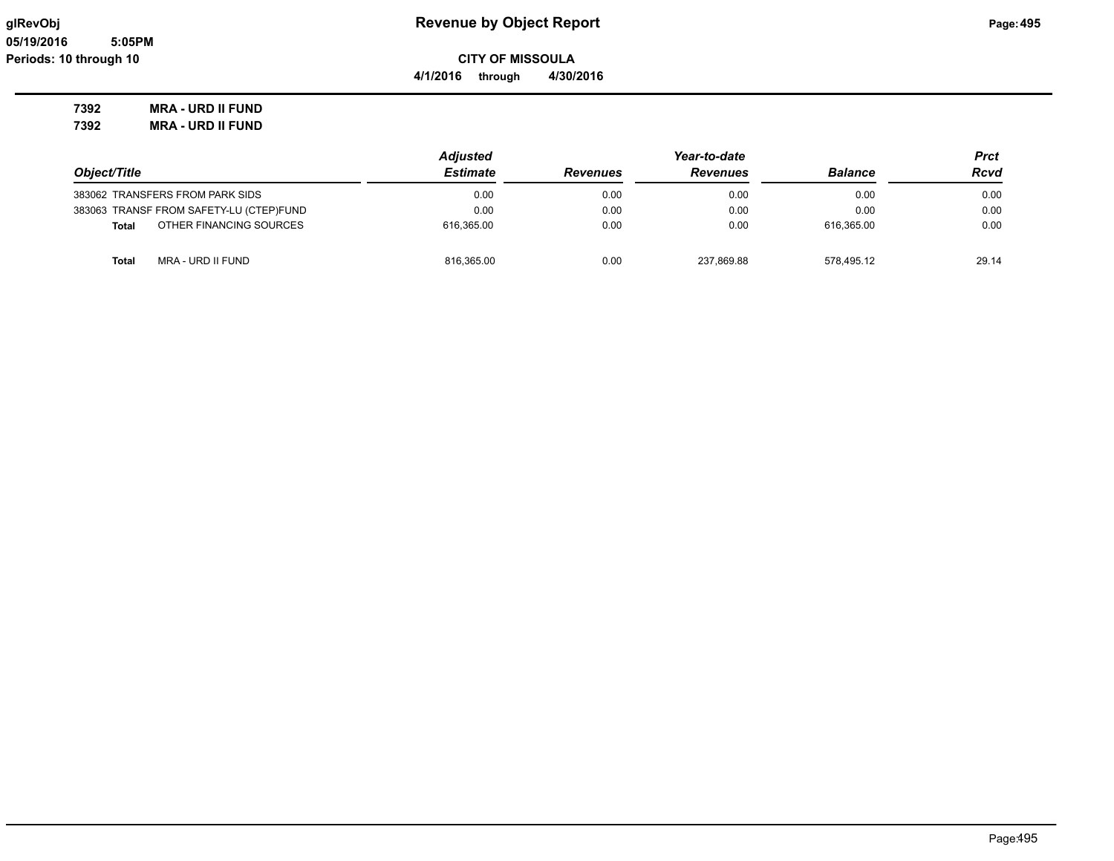#### **7392 MRA - URD II FUND 7392 MRA - URD II FUND**

| Object/Title                            | <b>Adjusted</b> |                 |                 | Prct           |       |
|-----------------------------------------|-----------------|-----------------|-----------------|----------------|-------|
|                                         | <b>Estimate</b> | <b>Revenues</b> | <b>Revenues</b> | <b>Balance</b> | Rcvd  |
| 383062 TRANSFERS FROM PARK SIDS         | 0.00            | 0.00            | 0.00            | 0.00           | 0.00  |
| 383063 TRANSF FROM SAFETY-LU (CTEP)FUND | 0.00            | 0.00            | 0.00            | 0.00           | 0.00  |
| OTHER FINANCING SOURCES<br><b>Total</b> | 616,365.00      | 0.00            | 0.00            | 616.365.00     | 0.00  |
| <b>Total</b><br>MRA - URD II FUND       | 816,365.00      | 0.00            | 237.869.88      | 578.495.12     | 29.14 |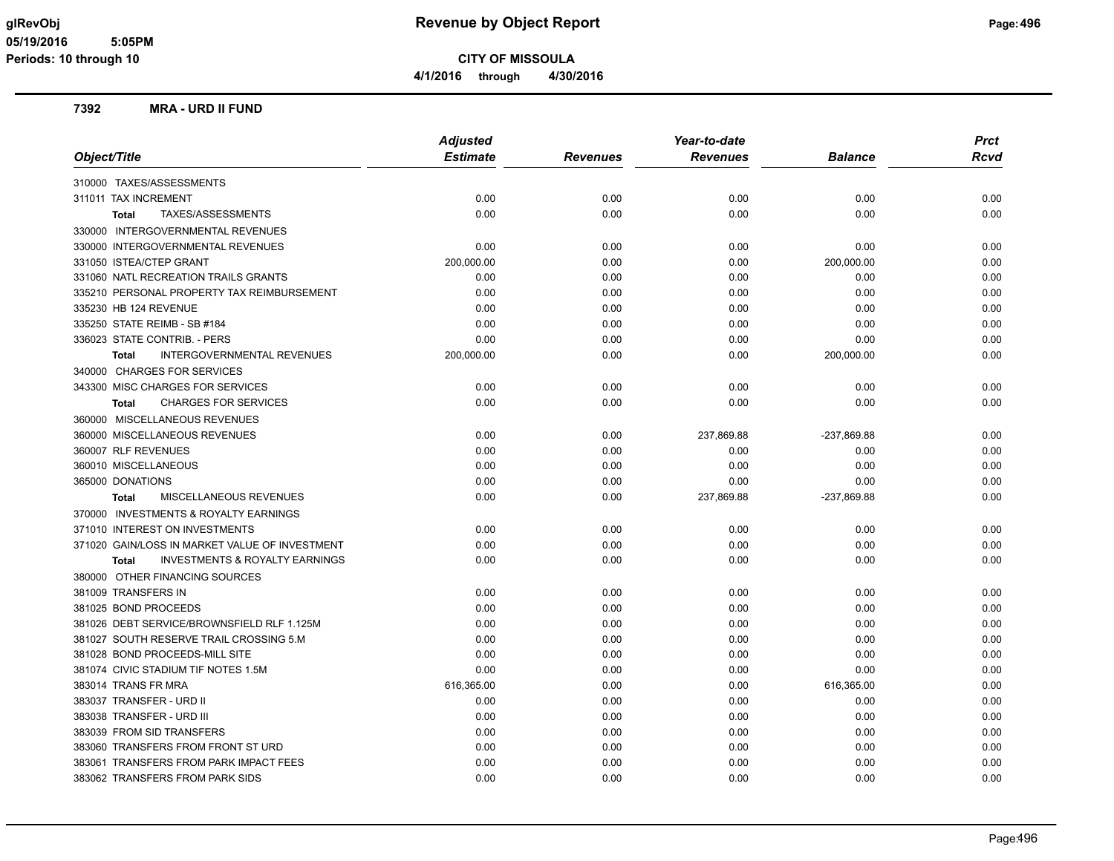**CITY OF MISSOULA**

**4/1/2016 through 4/30/2016**

#### **7392 MRA - URD II FUND**

|                                                           | <b>Adjusted</b> |                 | Year-to-date    |                | <b>Prct</b> |
|-----------------------------------------------------------|-----------------|-----------------|-----------------|----------------|-------------|
| Object/Title                                              | <b>Estimate</b> | <b>Revenues</b> | <b>Revenues</b> | <b>Balance</b> | Rcvd        |
| 310000 TAXES/ASSESSMENTS                                  |                 |                 |                 |                |             |
| 311011 TAX INCREMENT                                      | 0.00            | 0.00            | 0.00            | 0.00           | 0.00        |
| TAXES/ASSESSMENTS<br><b>Total</b>                         | 0.00            | 0.00            | 0.00            | 0.00           | 0.00        |
| 330000 INTERGOVERNMENTAL REVENUES                         |                 |                 |                 |                |             |
| 330000 INTERGOVERNMENTAL REVENUES                         | 0.00            | 0.00            | 0.00            | 0.00           | 0.00        |
| 331050 ISTEA/CTEP GRANT                                   | 200,000.00      | 0.00            | 0.00            | 200,000.00     | 0.00        |
| 331060 NATL RECREATION TRAILS GRANTS                      | 0.00            | 0.00            | 0.00            | 0.00           | 0.00        |
| 335210 PERSONAL PROPERTY TAX REIMBURSEMENT                | 0.00            | 0.00            | 0.00            | 0.00           | 0.00        |
| 335230 HB 124 REVENUE                                     | 0.00            | 0.00            | 0.00            | 0.00           | 0.00        |
| 335250 STATE REIMB - SB #184                              | 0.00            | 0.00            | 0.00            | 0.00           | 0.00        |
| 336023 STATE CONTRIB. - PERS                              | 0.00            | 0.00            | 0.00            | 0.00           | 0.00        |
| <b>INTERGOVERNMENTAL REVENUES</b><br><b>Total</b>         | 200,000.00      | 0.00            | 0.00            | 200,000.00     | 0.00        |
| 340000 CHARGES FOR SERVICES                               |                 |                 |                 |                |             |
| 343300 MISC CHARGES FOR SERVICES                          | 0.00            | 0.00            | 0.00            | 0.00           | 0.00        |
| <b>CHARGES FOR SERVICES</b><br><b>Total</b>               | 0.00            | 0.00            | 0.00            | 0.00           | 0.00        |
| 360000 MISCELLANEOUS REVENUES                             |                 |                 |                 |                |             |
| 360000 MISCELLANEOUS REVENUES                             | 0.00            | 0.00            | 237,869.88      | -237,869.88    | 0.00        |
| 360007 RLF REVENUES                                       | 0.00            | 0.00            | 0.00            | 0.00           | 0.00        |
| 360010 MISCELLANEOUS                                      | 0.00            | 0.00            | 0.00            | 0.00           | 0.00        |
| 365000 DONATIONS                                          | 0.00            | 0.00            | 0.00            | 0.00           | 0.00        |
| MISCELLANEOUS REVENUES<br>Total                           | 0.00            | 0.00            | 237,869.88      | -237,869.88    | 0.00        |
| 370000 INVESTMENTS & ROYALTY EARNINGS                     |                 |                 |                 |                |             |
| 371010 INTEREST ON INVESTMENTS                            | 0.00            | 0.00            | 0.00            | 0.00           | 0.00        |
| 371020 GAIN/LOSS IN MARKET VALUE OF INVESTMENT            | 0.00            | 0.00            | 0.00            | 0.00           | 0.00        |
| <b>INVESTMENTS &amp; ROYALTY EARNINGS</b><br><b>Total</b> | 0.00            | 0.00            | 0.00            | 0.00           | 0.00        |
| 380000 OTHER FINANCING SOURCES                            |                 |                 |                 |                |             |
| 381009 TRANSFERS IN                                       | 0.00            | 0.00            | 0.00            | 0.00           | 0.00        |
| 381025 BOND PROCEEDS                                      | 0.00            | 0.00            | 0.00            | 0.00           | 0.00        |
| 381026 DEBT SERVICE/BROWNSFIELD RLF 1.125M                | 0.00            | 0.00            | 0.00            | 0.00           | 0.00        |
| 381027 SOUTH RESERVE TRAIL CROSSING 5.M                   | 0.00            | 0.00            | 0.00            | 0.00           | 0.00        |
| 381028 BOND PROCEEDS-MILL SITE                            | 0.00            | 0.00            | 0.00            | 0.00           | 0.00        |
| 381074 CIVIC STADIUM TIF NOTES 1.5M                       | 0.00            | 0.00            | 0.00            | 0.00           | 0.00        |
| 383014 TRANS FR MRA                                       | 616,365.00      | 0.00            | 0.00            | 616,365.00     | 0.00        |
| 383037 TRANSFER - URD II                                  | 0.00            | 0.00            | 0.00            | 0.00           | 0.00        |
| 383038 TRANSFER - URD III                                 | 0.00            | 0.00            | 0.00            | 0.00           | 0.00        |
| 383039 FROM SID TRANSFERS                                 | 0.00            | 0.00            | 0.00            | 0.00           | 0.00        |
| 383060 TRANSFERS FROM FRONT ST URD                        | 0.00            | 0.00            | 0.00            | 0.00           | 0.00        |
| 383061 TRANSFERS FROM PARK IMPACT FEES                    | 0.00            | 0.00            | 0.00            | 0.00           | 0.00        |
| 383062 TRANSFERS FROM PARK SIDS                           | 0.00            | 0.00            | 0.00            | 0.00           | 0.00        |
|                                                           |                 |                 |                 |                |             |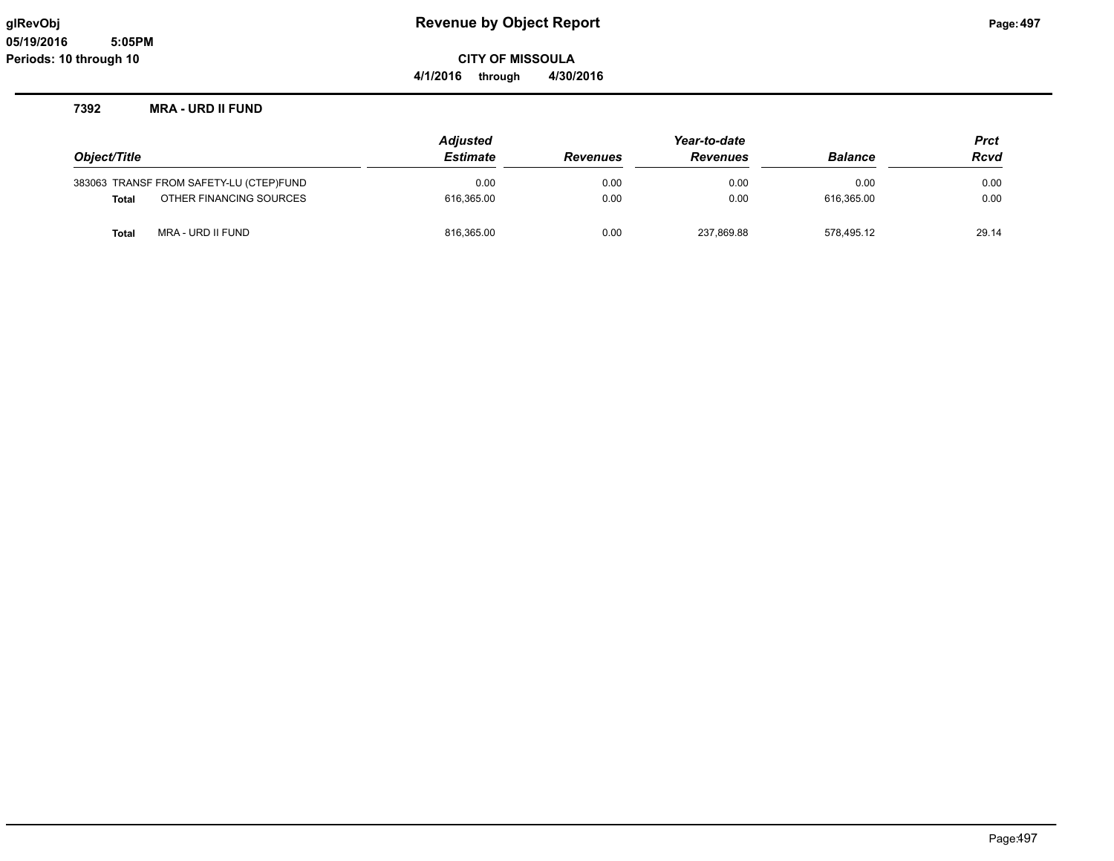**CITY OF MISSOULA**

**4/1/2016 through 4/30/2016**

#### **7392 MRA - URD II FUND**

|                                         | <b>Adjusted</b> | Year-to-date    |                 |                | <b>Prct</b> |
|-----------------------------------------|-----------------|-----------------|-----------------|----------------|-------------|
| Object/Title                            | <b>Estimate</b> | <b>Revenues</b> | <b>Revenues</b> | <b>Balance</b> | Rcvd        |
| 383063 TRANSF FROM SAFETY-LU (CTEP)FUND | 0.00            | 0.00            | 0.00            | 0.00           | 0.00        |
| OTHER FINANCING SOURCES<br><b>Total</b> | 616,365.00      | 0.00            | 0.00            | 616.365.00     | 0.00        |
| <b>Total</b><br>MRA - URD II FUND       | 816,365.00      | 0.00            | 237,869.88      | 578.495.12     | 29.14       |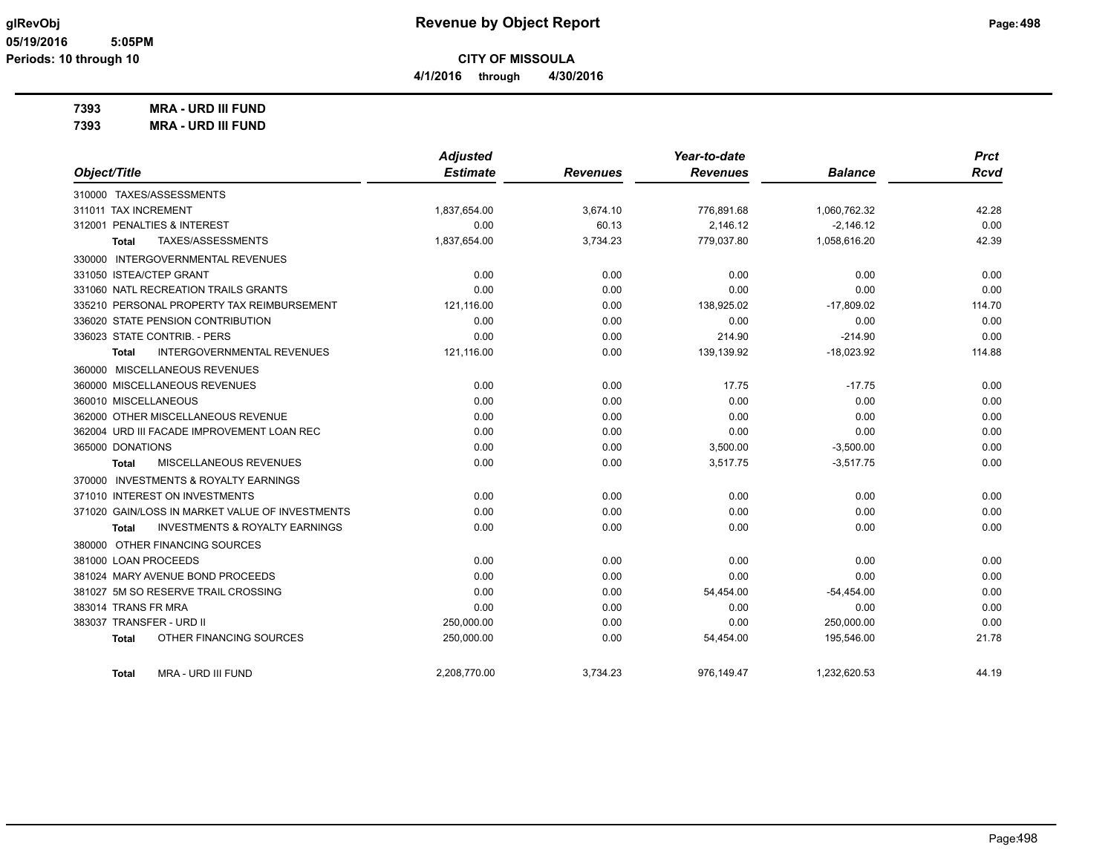**4/1/2016 through 4/30/2016**

**7393 MRA - URD III FUND**

| 7393 | <b>MRA - URD III FUND</b> |
|------|---------------------------|
|      |                           |

|                                                    | <b>Adjusted</b> |                 | Year-to-date    |                | <b>Prct</b> |
|----------------------------------------------------|-----------------|-----------------|-----------------|----------------|-------------|
| Object/Title                                       | <b>Estimate</b> | <b>Revenues</b> | <b>Revenues</b> | <b>Balance</b> | <b>Rcvd</b> |
| 310000 TAXES/ASSESSMENTS                           |                 |                 |                 |                |             |
| 311011 TAX INCREMENT                               | 1,837,654.00    | 3,674.10        | 776,891.68      | 1,060,762.32   | 42.28       |
| 312001 PENALTIES & INTEREST                        | 0.00            | 60.13           | 2,146.12        | $-2,146.12$    | 0.00        |
| TAXES/ASSESSMENTS<br>Total                         | 1,837,654.00    | 3,734.23        | 779,037.80      | 1,058,616.20   | 42.39       |
| 330000 INTERGOVERNMENTAL REVENUES                  |                 |                 |                 |                |             |
| 331050 ISTEA/CTEP GRANT                            | 0.00            | 0.00            | 0.00            | 0.00           | 0.00        |
| 331060 NATL RECREATION TRAILS GRANTS               | 0.00            | 0.00            | 0.00            | 0.00           | 0.00        |
| 335210 PERSONAL PROPERTY TAX REIMBURSEMENT         | 121,116.00      | 0.00            | 138,925.02      | $-17,809.02$   | 114.70      |
| 336020 STATE PENSION CONTRIBUTION                  | 0.00            | 0.00            | 0.00            | 0.00           | 0.00        |
| 336023 STATE CONTRIB. - PERS                       | 0.00            | 0.00            | 214.90          | $-214.90$      | 0.00        |
| <b>INTERGOVERNMENTAL REVENUES</b><br>Total         | 121,116.00      | 0.00            | 139,139.92      | $-18,023.92$   | 114.88      |
| 360000 MISCELLANEOUS REVENUES                      |                 |                 |                 |                |             |
| 360000 MISCELLANEOUS REVENUES                      | 0.00            | 0.00            | 17.75           | $-17.75$       | 0.00        |
| 360010 MISCELLANEOUS                               | 0.00            | 0.00            | 0.00            | 0.00           | 0.00        |
| 362000 OTHER MISCELLANEOUS REVENUE                 | 0.00            | 0.00            | 0.00            | 0.00           | 0.00        |
| 362004 URD III FACADE IMPROVEMENT LOAN REC         | 0.00            | 0.00            | 0.00            | 0.00           | 0.00        |
| 365000 DONATIONS                                   | 0.00            | 0.00            | 3,500.00        | $-3,500.00$    | 0.00        |
| MISCELLANEOUS REVENUES<br><b>Total</b>             | 0.00            | 0.00            | 3,517.75        | $-3,517.75$    | 0.00        |
| 370000 INVESTMENTS & ROYALTY EARNINGS              |                 |                 |                 |                |             |
| 371010 INTEREST ON INVESTMENTS                     | 0.00            | 0.00            | 0.00            | 0.00           | 0.00        |
| 371020 GAIN/LOSS IN MARKET VALUE OF INVESTMENTS    | 0.00            | 0.00            | 0.00            | 0.00           | 0.00        |
| <b>INVESTMENTS &amp; ROYALTY EARNINGS</b><br>Total | 0.00            | 0.00            | 0.00            | 0.00           | 0.00        |
| 380000 OTHER FINANCING SOURCES                     |                 |                 |                 |                |             |
| 381000 LOAN PROCEEDS                               | 0.00            | 0.00            | 0.00            | 0.00           | 0.00        |
| 381024 MARY AVENUE BOND PROCEEDS                   | 0.00            | 0.00            | 0.00            | 0.00           | 0.00        |
| 381027 5M SO RESERVE TRAIL CROSSING                | 0.00            | 0.00            | 54,454.00       | $-54,454.00$   | 0.00        |
| 383014 TRANS FR MRA                                | 0.00            | 0.00            | 0.00            | 0.00           | 0.00        |
| 383037 TRANSFER - URD II                           | 250,000.00      | 0.00            | 0.00            | 250,000.00     | 0.00        |
| OTHER FINANCING SOURCES<br><b>Total</b>            | 250,000.00      | 0.00            | 54,454.00       | 195,546.00     | 21.78       |
| <b>MRA - URD III FUND</b><br><b>Total</b>          | 2.208.770.00    | 3.734.23        | 976.149.47      | 1.232.620.53   | 44.19       |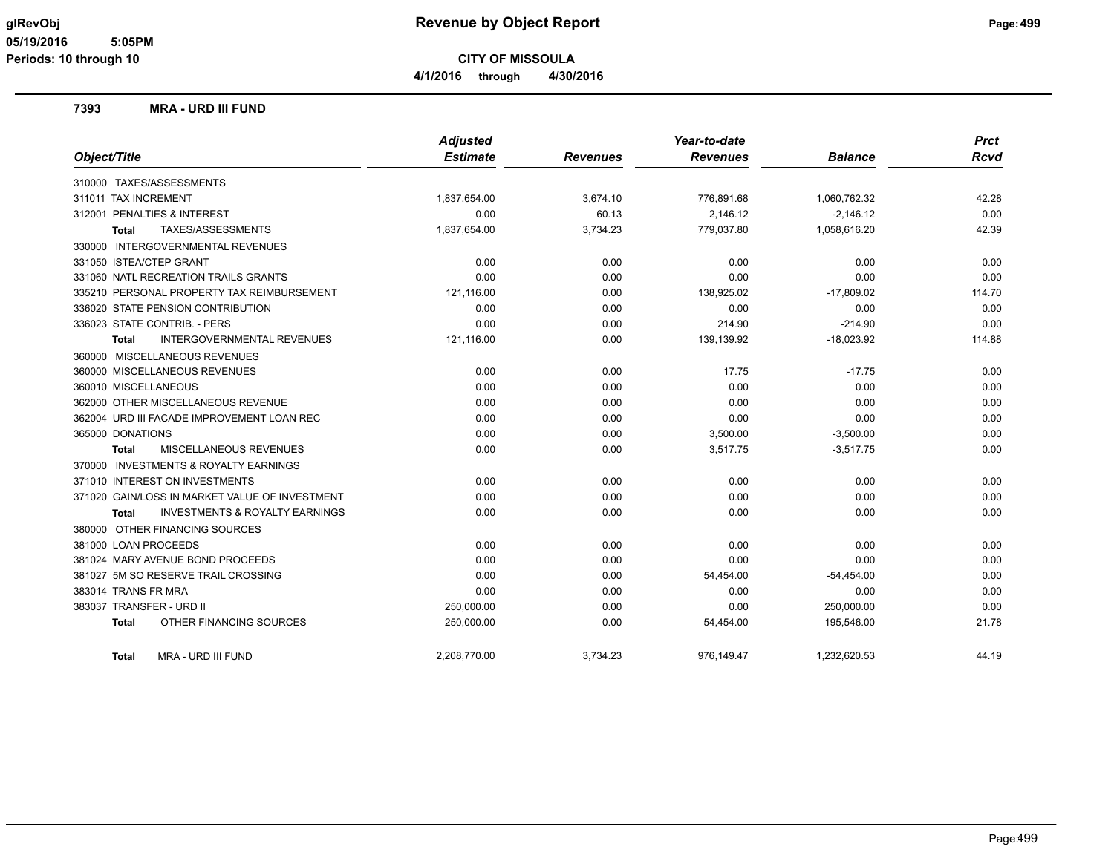**4/1/2016 through 4/30/2016**

#### **7393 MRA - URD III FUND**

|                                                           | <b>Adjusted</b> |                 | Year-to-date    |                | <b>Prct</b> |
|-----------------------------------------------------------|-----------------|-----------------|-----------------|----------------|-------------|
| Object/Title                                              | <b>Estimate</b> | <b>Revenues</b> | <b>Revenues</b> | <b>Balance</b> | <b>Rcvd</b> |
| 310000 TAXES/ASSESSMENTS                                  |                 |                 |                 |                |             |
| 311011 TAX INCREMENT                                      | 1,837,654.00    | 3,674.10        | 776,891.68      | 1,060,762.32   | 42.28       |
| 312001 PENALTIES & INTEREST                               | 0.00            | 60.13           | 2,146.12        | $-2,146.12$    | 0.00        |
| TAXES/ASSESSMENTS<br>Total                                | 1,837,654.00    | 3,734.23        | 779,037.80      | 1,058,616.20   | 42.39       |
| 330000 INTERGOVERNMENTAL REVENUES                         |                 |                 |                 |                |             |
| 331050 ISTEA/CTEP GRANT                                   | 0.00            | 0.00            | 0.00            | 0.00           | 0.00        |
| 331060 NATL RECREATION TRAILS GRANTS                      | 0.00            | 0.00            | 0.00            | 0.00           | 0.00        |
| 335210 PERSONAL PROPERTY TAX REIMBURSEMENT                | 121,116.00      | 0.00            | 138,925.02      | $-17,809.02$   | 114.70      |
| 336020 STATE PENSION CONTRIBUTION                         | 0.00            | 0.00            | 0.00            | 0.00           | 0.00        |
| 336023 STATE CONTRIB. - PERS                              | 0.00            | 0.00            | 214.90          | $-214.90$      | 0.00        |
| <b>INTERGOVERNMENTAL REVENUES</b><br>Total                | 121,116.00      | 0.00            | 139,139.92      | $-18,023.92$   | 114.88      |
| 360000 MISCELLANEOUS REVENUES                             |                 |                 |                 |                |             |
| 360000 MISCELLANEOUS REVENUES                             | 0.00            | 0.00            | 17.75           | $-17.75$       | 0.00        |
| 360010 MISCELLANEOUS                                      | 0.00            | 0.00            | 0.00            | 0.00           | 0.00        |
| 362000 OTHER MISCELLANEOUS REVENUE                        | 0.00            | 0.00            | 0.00            | 0.00           | 0.00        |
| 362004 URD III FACADE IMPROVEMENT LOAN REC                | 0.00            | 0.00            | 0.00            | 0.00           | 0.00        |
| 365000 DONATIONS                                          | 0.00            | 0.00            | 3,500.00        | $-3,500.00$    | 0.00        |
| MISCELLANEOUS REVENUES<br>Total                           | 0.00            | 0.00            | 3,517.75        | $-3,517.75$    | 0.00        |
| 370000 INVESTMENTS & ROYALTY EARNINGS                     |                 |                 |                 |                |             |
| 371010 INTEREST ON INVESTMENTS                            | 0.00            | 0.00            | 0.00            | 0.00           | 0.00        |
| 371020 GAIN/LOSS IN MARKET VALUE OF INVESTMENT            | 0.00            | 0.00            | 0.00            | 0.00           | 0.00        |
| <b>INVESTMENTS &amp; ROYALTY EARNINGS</b><br><b>Total</b> | 0.00            | 0.00            | 0.00            | 0.00           | 0.00        |
| 380000 OTHER FINANCING SOURCES                            |                 |                 |                 |                |             |
| 381000 LOAN PROCEEDS                                      | 0.00            | 0.00            | 0.00            | 0.00           | 0.00        |
| 381024 MARY AVENUE BOND PROCEEDS                          | 0.00            | 0.00            | 0.00            | 0.00           | 0.00        |
| 381027 5M SO RESERVE TRAIL CROSSING                       | 0.00            | 0.00            | 54,454.00       | $-54,454.00$   | 0.00        |
| 383014 TRANS FR MRA                                       | 0.00            | 0.00            | 0.00            | 0.00           | 0.00        |
| 383037 TRANSFER - URD II                                  | 250,000.00      | 0.00            | 0.00            | 250,000.00     | 0.00        |
| OTHER FINANCING SOURCES<br><b>Total</b>                   | 250,000.00      | 0.00            | 54,454.00       | 195,546.00     | 21.78       |
| <b>MRA - URD III FUND</b><br>Total                        | 2.208.770.00    | 3.734.23        | 976.149.47      | 1.232.620.53   | 44.19       |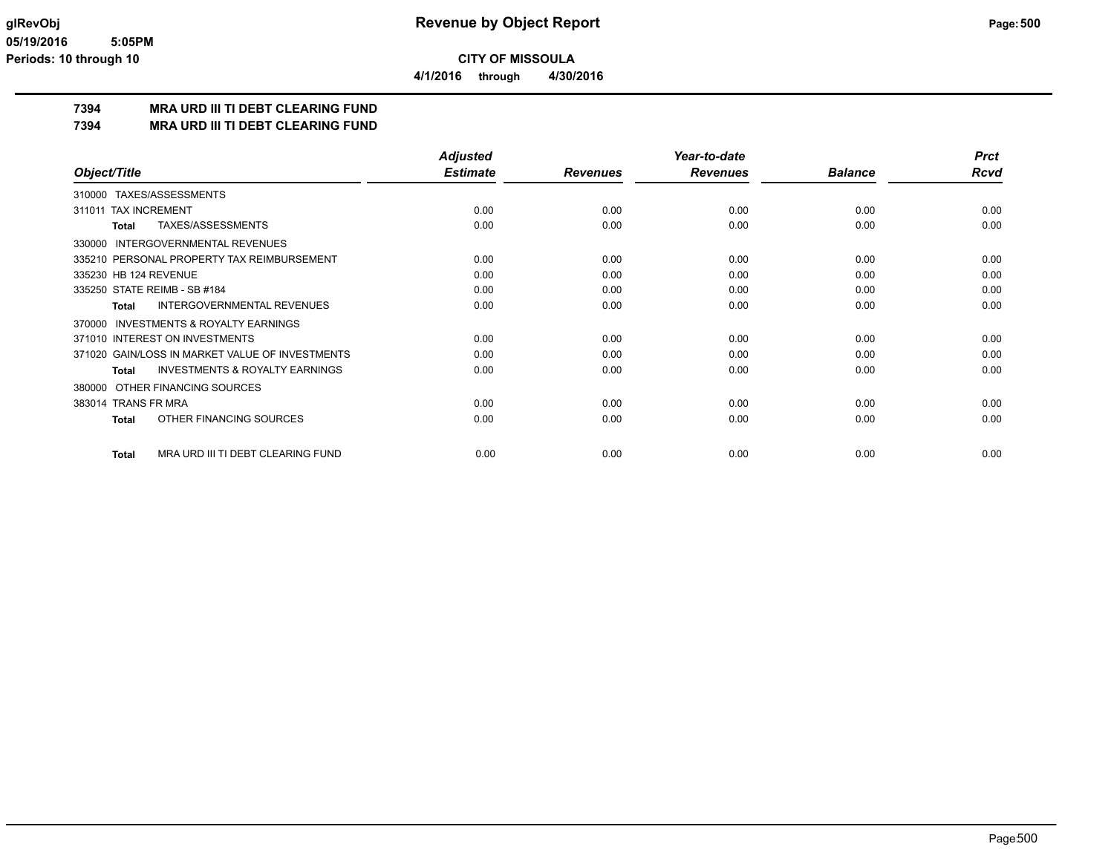**4/1/2016 through 4/30/2016**

## **7394 MRA URD III TI DEBT CLEARING FUND**

**7394 MRA URD III TI DEBT CLEARING FUND**

|                                                           | <b>Adjusted</b> |                 | Year-to-date    |                | <b>Prct</b> |
|-----------------------------------------------------------|-----------------|-----------------|-----------------|----------------|-------------|
| Object/Title                                              | <b>Estimate</b> | <b>Revenues</b> | <b>Revenues</b> | <b>Balance</b> | <b>Rcvd</b> |
| TAXES/ASSESSMENTS<br>310000                               |                 |                 |                 |                |             |
| <b>TAX INCREMENT</b><br>311011                            | 0.00            | 0.00            | 0.00            | 0.00           | 0.00        |
| TAXES/ASSESSMENTS<br><b>Total</b>                         | 0.00            | 0.00            | 0.00            | 0.00           | 0.00        |
| INTERGOVERNMENTAL REVENUES<br>330000                      |                 |                 |                 |                |             |
| 335210 PERSONAL PROPERTY TAX REIMBURSEMENT                | 0.00            | 0.00            | 0.00            | 0.00           | 0.00        |
| 335230 HB 124 REVENUE                                     | 0.00            | 0.00            | 0.00            | 0.00           | 0.00        |
| 335250 STATE REIMB - SB #184                              | 0.00            | 0.00            | 0.00            | 0.00           | 0.00        |
| <b>INTERGOVERNMENTAL REVENUES</b><br><b>Total</b>         | 0.00            | 0.00            | 0.00            | 0.00           | 0.00        |
| <b>INVESTMENTS &amp; ROYALTY EARNINGS</b><br>370000       |                 |                 |                 |                |             |
| 371010 INTEREST ON INVESTMENTS                            | 0.00            | 0.00            | 0.00            | 0.00           | 0.00        |
| 371020 GAIN/LOSS IN MARKET VALUE OF INVESTMENTS           | 0.00            | 0.00            | 0.00            | 0.00           | 0.00        |
| <b>INVESTMENTS &amp; ROYALTY EARNINGS</b><br><b>Total</b> | 0.00            | 0.00            | 0.00            | 0.00           | 0.00        |
| OTHER FINANCING SOURCES<br>380000                         |                 |                 |                 |                |             |
| 383014 TRANS FR MRA                                       | 0.00            | 0.00            | 0.00            | 0.00           | 0.00        |
| OTHER FINANCING SOURCES<br><b>Total</b>                   | 0.00            | 0.00            | 0.00            | 0.00           | 0.00        |
| MRA URD III TI DEBT CLEARING FUND<br><b>Total</b>         | 0.00            | 0.00            | 0.00            | 0.00           | 0.00        |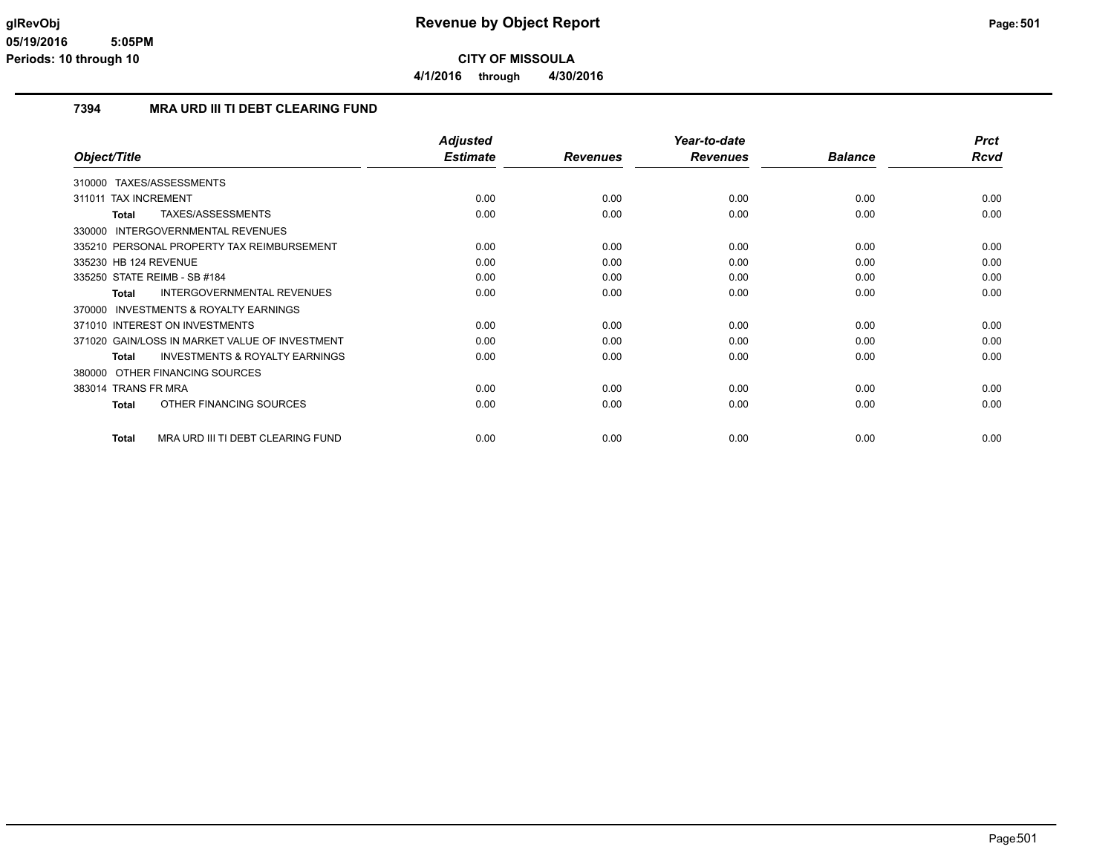**4/1/2016 through 4/30/2016**

### **7394 MRA URD III TI DEBT CLEARING FUND**

|                                                           | <b>Adjusted</b> |                 | Year-to-date    |                | <b>Prct</b> |
|-----------------------------------------------------------|-----------------|-----------------|-----------------|----------------|-------------|
| Object/Title                                              | <b>Estimate</b> | <b>Revenues</b> | <b>Revenues</b> | <b>Balance</b> | Rcvd        |
| TAXES/ASSESSMENTS<br>310000                               |                 |                 |                 |                |             |
| <b>TAX INCREMENT</b><br>311011                            | 0.00            | 0.00            | 0.00            | 0.00           | 0.00        |
| TAXES/ASSESSMENTS<br><b>Total</b>                         | 0.00            | 0.00            | 0.00            | 0.00           | 0.00        |
| INTERGOVERNMENTAL REVENUES<br>330000                      |                 |                 |                 |                |             |
| 335210 PERSONAL PROPERTY TAX REIMBURSEMENT                | 0.00            | 0.00            | 0.00            | 0.00           | 0.00        |
| 335230 HB 124 REVENUE                                     | 0.00            | 0.00            | 0.00            | 0.00           | 0.00        |
| 335250 STATE REIMB - SB #184                              | 0.00            | 0.00            | 0.00            | 0.00           | 0.00        |
| <b>INTERGOVERNMENTAL REVENUES</b><br><b>Total</b>         | 0.00            | 0.00            | 0.00            | 0.00           | 0.00        |
| <b>INVESTMENTS &amp; ROYALTY EARNINGS</b><br>370000       |                 |                 |                 |                |             |
| 371010 INTEREST ON INVESTMENTS                            | 0.00            | 0.00            | 0.00            | 0.00           | 0.00        |
| 371020 GAIN/LOSS IN MARKET VALUE OF INVESTMENT            | 0.00            | 0.00            | 0.00            | 0.00           | 0.00        |
| <b>INVESTMENTS &amp; ROYALTY EARNINGS</b><br><b>Total</b> | 0.00            | 0.00            | 0.00            | 0.00           | 0.00        |
| OTHER FINANCING SOURCES<br>380000                         |                 |                 |                 |                |             |
| 383014 TRANS FR MRA                                       | 0.00            | 0.00            | 0.00            | 0.00           | 0.00        |
| OTHER FINANCING SOURCES<br><b>Total</b>                   | 0.00            | 0.00            | 0.00            | 0.00           | 0.00        |
| MRA URD III TI DEBT CLEARING FUND<br><b>Total</b>         | 0.00            | 0.00            | 0.00            | 0.00           | 0.00        |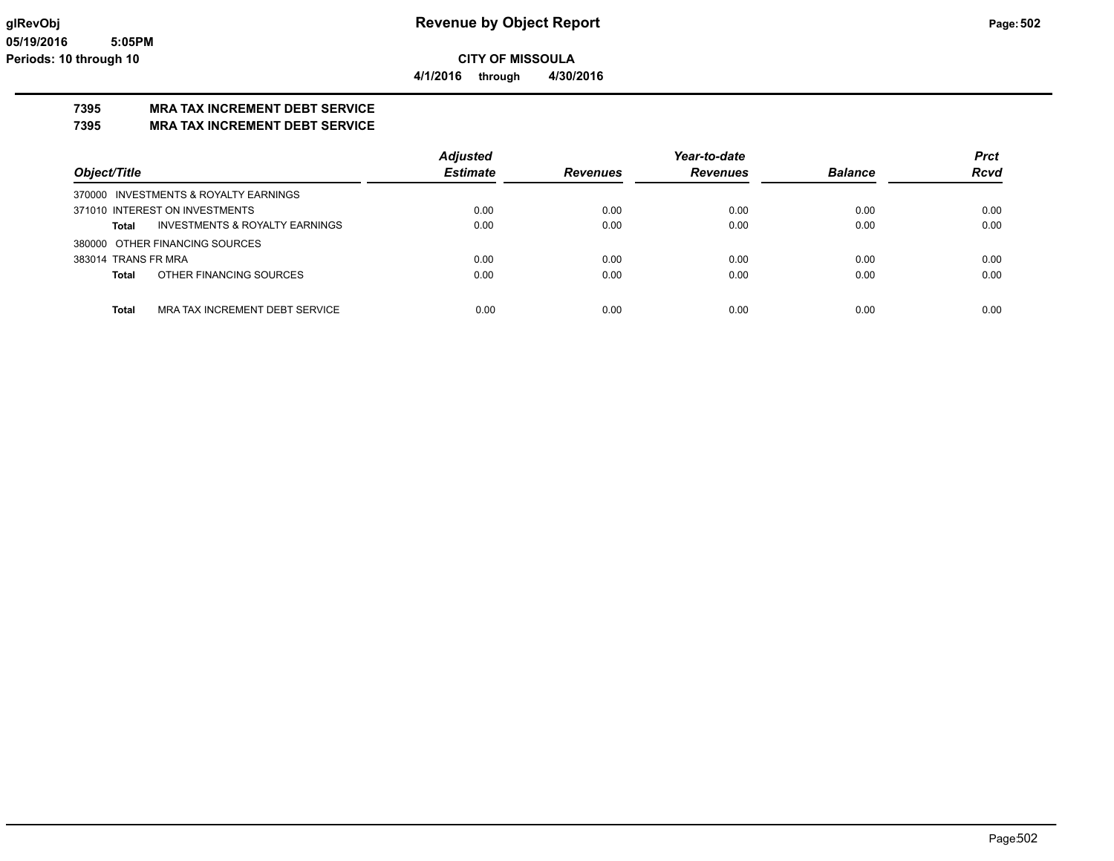## **7395 MRA TAX INCREMENT DEBT SERVICE**

**7395 MRA TAX INCREMENT DEBT SERVICE**

|                                                | <b>Adjusted</b> |                 | Year-to-date    |                | <b>Prct</b> |
|------------------------------------------------|-----------------|-----------------|-----------------|----------------|-------------|
| Object/Title                                   | <b>Estimate</b> | <b>Revenues</b> | <b>Revenues</b> | <b>Balance</b> | <b>Rcvd</b> |
| 370000 INVESTMENTS & ROYALTY EARNINGS          |                 |                 |                 |                |             |
| 371010 INTEREST ON INVESTMENTS                 | 0.00            | 0.00            | 0.00            | 0.00           | 0.00        |
| INVESTMENTS & ROYALTY EARNINGS<br>Total        | 0.00            | 0.00            | 0.00            | 0.00           | 0.00        |
| 380000 OTHER FINANCING SOURCES                 |                 |                 |                 |                |             |
| 383014 TRANS FR MRA                            | 0.00            | 0.00            | 0.00            | 0.00           | 0.00        |
| OTHER FINANCING SOURCES<br><b>Total</b>        | 0.00            | 0.00            | 0.00            | 0.00           | 0.00        |
|                                                |                 |                 |                 |                |             |
| <b>Total</b><br>MRA TAX INCREMENT DEBT SERVICE | 0.00            | 0.00            | 0.00            | 0.00           | 0.00        |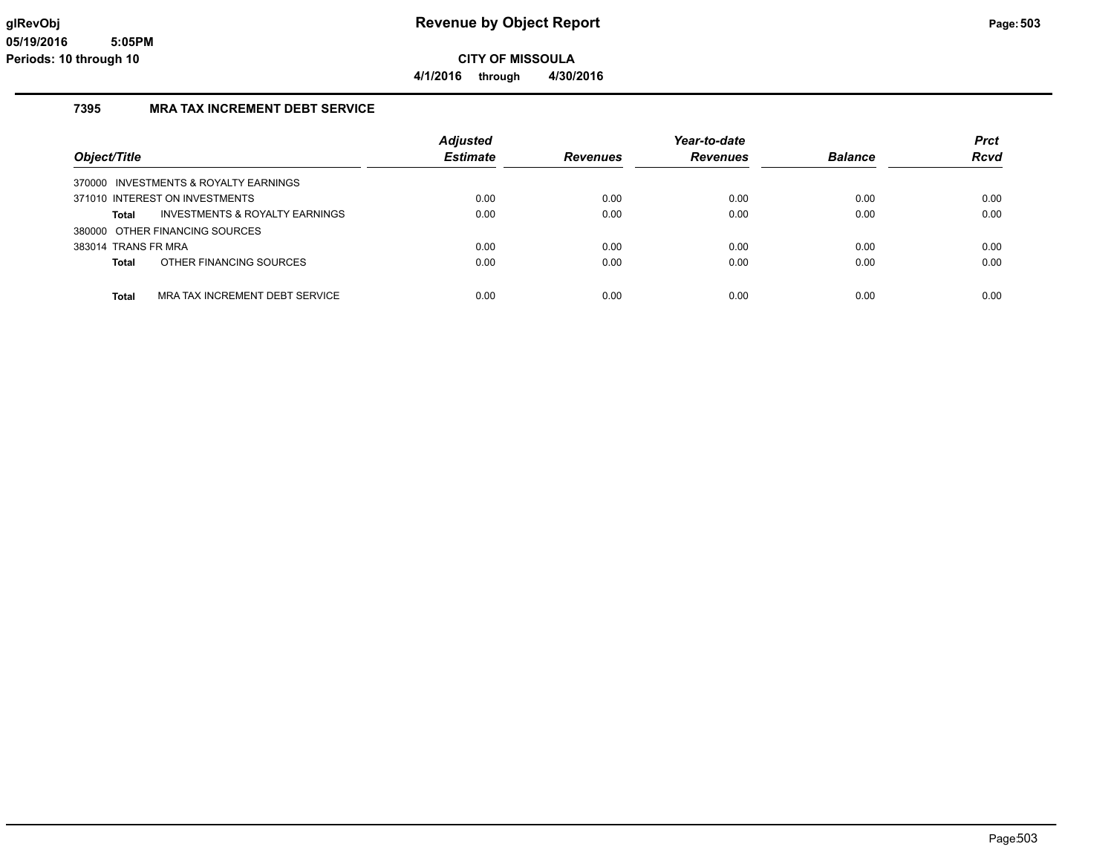### **7395 MRA TAX INCREMENT DEBT SERVICE**

|                                                    | <b>Adjusted</b> |          | Year-to-date<br><b>Revenues</b> | <b>Balance</b> | <b>Prct</b><br><b>Rcvd</b> |
|----------------------------------------------------|-----------------|----------|---------------------------------|----------------|----------------------------|
| Object/Title                                       | <b>Estimate</b> | Revenues |                                 |                |                            |
| 370000 INVESTMENTS & ROYALTY EARNINGS              |                 |          |                                 |                |                            |
| 371010 INTEREST ON INVESTMENTS                     | 0.00            | 0.00     | 0.00                            | 0.00           | 0.00                       |
| <b>INVESTMENTS &amp; ROYALTY EARNINGS</b><br>Total | 0.00            | 0.00     | 0.00                            | 0.00           | 0.00                       |
| 380000 OTHER FINANCING SOURCES                     |                 |          |                                 |                |                            |
| 383014 TRANS FR MRA                                | 0.00            | 0.00     | 0.00                            | 0.00           | 0.00                       |
| OTHER FINANCING SOURCES<br><b>Total</b>            | 0.00            | 0.00     | 0.00                            | 0.00           | 0.00                       |
| MRA TAX INCREMENT DEBT SERVICE<br><b>Total</b>     | 0.00            | 0.00     | 0.00                            | 0.00           | 0.00                       |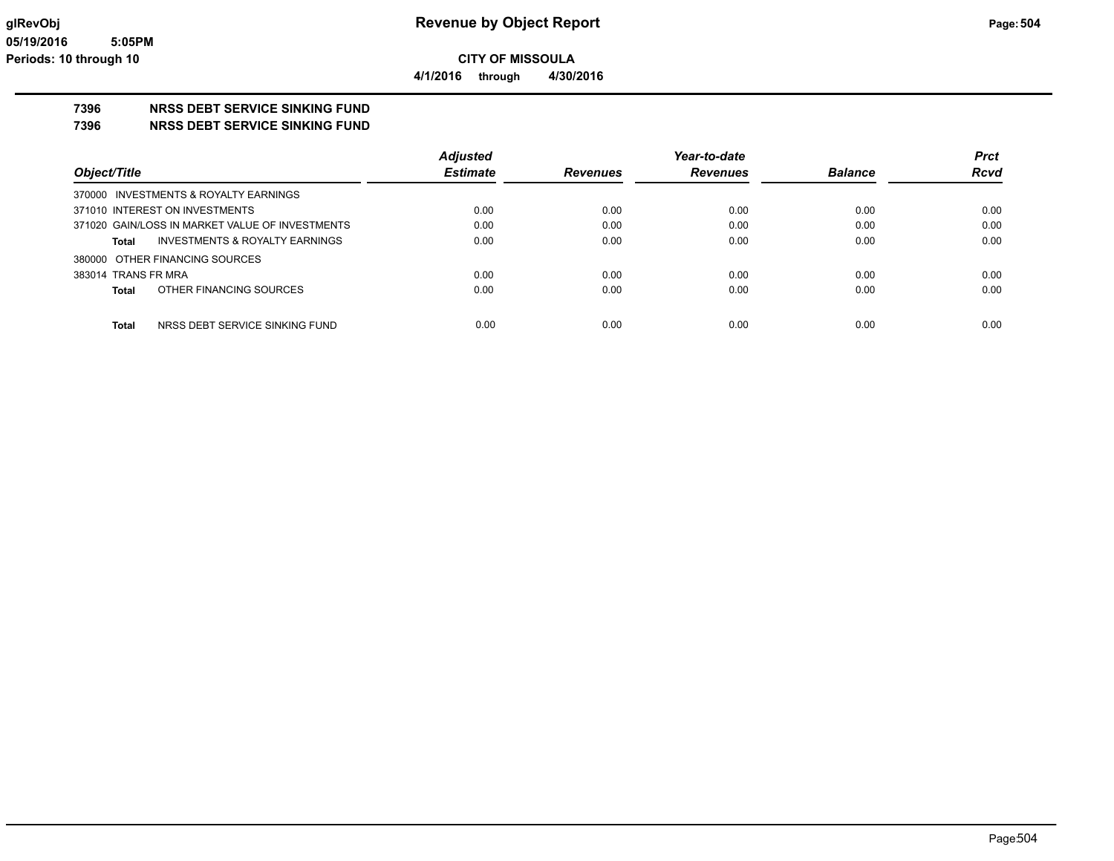**7396 NRSS DEBT SERVICE SINKING FUND**

**7396 NRSS DEBT SERVICE SINKING FUND**

|                                                 | <b>Adjusted</b> |                 | Year-to-date    |                | <b>Prct</b> |
|-------------------------------------------------|-----------------|-----------------|-----------------|----------------|-------------|
| Object/Title                                    | <b>Estimate</b> | <b>Revenues</b> | <b>Revenues</b> | <b>Balance</b> | <b>Rcvd</b> |
| 370000 INVESTMENTS & ROYALTY EARNINGS           |                 |                 |                 |                |             |
| 371010 INTEREST ON INVESTMENTS                  | 0.00            | 0.00            | 0.00            | 0.00           | 0.00        |
| 371020 GAIN/LOSS IN MARKET VALUE OF INVESTMENTS | 0.00            | 0.00            | 0.00            | 0.00           | 0.00        |
| INVESTMENTS & ROYALTY EARNINGS<br>Total         | 0.00            | 0.00            | 0.00            | 0.00           | 0.00        |
| 380000 OTHER FINANCING SOURCES                  |                 |                 |                 |                |             |
| 383014 TRANS FR MRA                             | 0.00            | 0.00            | 0.00            | 0.00           | 0.00        |
| OTHER FINANCING SOURCES<br>Total                | 0.00            | 0.00            | 0.00            | 0.00           | 0.00        |
|                                                 |                 |                 |                 |                |             |
| NRSS DEBT SERVICE SINKING FUND<br><b>Total</b>  | 0.00            | 0.00            | 0.00            | 0.00           | 0.00        |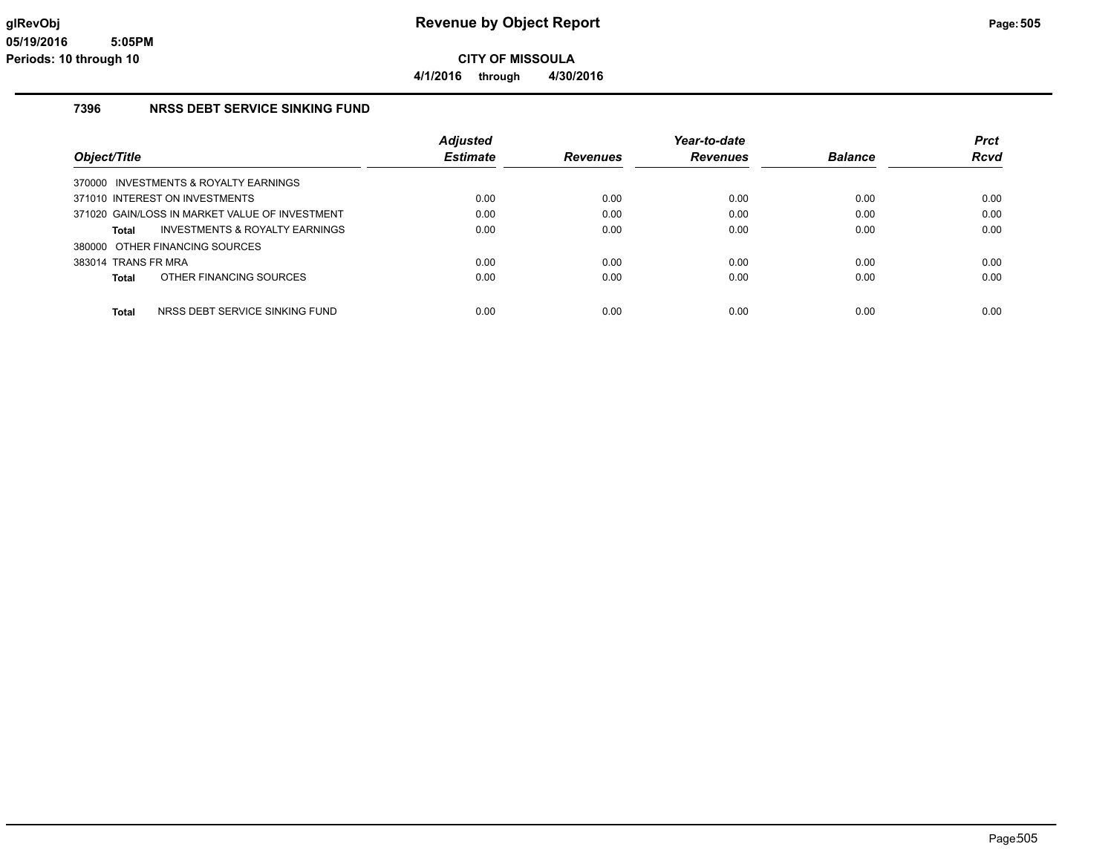**4/1/2016 through 4/30/2016**

#### **7396 NRSS DEBT SERVICE SINKING FUND**

|                     |                                                | <b>Adjusted</b> |                 | Year-to-date    |                | <b>Prct</b> |
|---------------------|------------------------------------------------|-----------------|-----------------|-----------------|----------------|-------------|
| Object/Title        |                                                | <b>Estimate</b> | <b>Revenues</b> | <b>Revenues</b> | <b>Balance</b> | <b>Rcvd</b> |
|                     | 370000 INVESTMENTS & ROYALTY EARNINGS          |                 |                 |                 |                |             |
|                     | 371010 INTEREST ON INVESTMENTS                 | 0.00            | 0.00            | 0.00            | 0.00           | 0.00        |
|                     | 371020 GAIN/LOSS IN MARKET VALUE OF INVESTMENT | 0.00            | 0.00            | 0.00            | 0.00           | 0.00        |
| Total               | INVESTMENTS & ROYALTY EARNINGS                 | 0.00            | 0.00            | 0.00            | 0.00           | 0.00        |
|                     | 380000 OTHER FINANCING SOURCES                 |                 |                 |                 |                |             |
| 383014 TRANS FR MRA |                                                | 0.00            | 0.00            | 0.00            | 0.00           | 0.00        |
| Total               | OTHER FINANCING SOURCES                        | 0.00            | 0.00            | 0.00            | 0.00           | 0.00        |
| <b>Total</b>        | NRSS DEBT SERVICE SINKING FUND                 | 0.00            | 0.00            | 0.00            | 0.00           | 0.00        |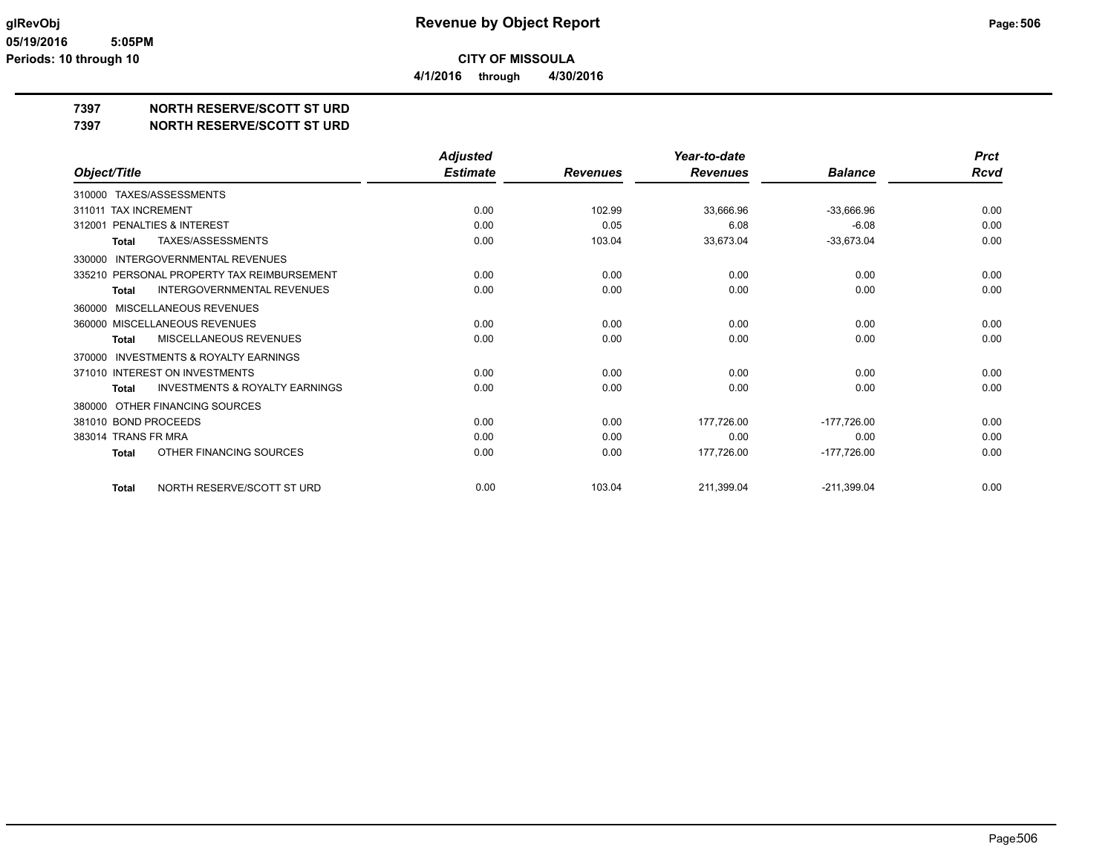**4/1/2016 through 4/30/2016**

# **7397 NORTH RESERVE/SCOTT ST URD**

#### **7397 NORTH RESERVE/SCOTT ST URD**

|                                                           | <b>Adjusted</b> |                 | Year-to-date    |                | <b>Prct</b> |
|-----------------------------------------------------------|-----------------|-----------------|-----------------|----------------|-------------|
| Object/Title                                              | <b>Estimate</b> | <b>Revenues</b> | <b>Revenues</b> | <b>Balance</b> | <b>Rcvd</b> |
| TAXES/ASSESSMENTS<br>310000                               |                 |                 |                 |                |             |
| 311011 TAX INCREMENT                                      | 0.00            | 102.99          | 33,666.96       | $-33,666.96$   | 0.00        |
| PENALTIES & INTEREST<br>312001                            | 0.00            | 0.05            | 6.08            | $-6.08$        | 0.00        |
| TAXES/ASSESSMENTS<br><b>Total</b>                         | 0.00            | 103.04          | 33,673.04       | $-33,673.04$   | 0.00        |
| <b>INTERGOVERNMENTAL REVENUES</b><br>330000               |                 |                 |                 |                |             |
| 335210 PERSONAL PROPERTY TAX REIMBURSEMENT                | 0.00            | 0.00            | 0.00            | 0.00           | 0.00        |
| <b>INTERGOVERNMENTAL REVENUES</b><br><b>Total</b>         | 0.00            | 0.00            | 0.00            | 0.00           | 0.00        |
| MISCELLANEOUS REVENUES<br>360000                          |                 |                 |                 |                |             |
| 360000 MISCELLANEOUS REVENUES                             | 0.00            | 0.00            | 0.00            | 0.00           | 0.00        |
| MISCELLANEOUS REVENUES<br><b>Total</b>                    | 0.00            | 0.00            | 0.00            | 0.00           | 0.00        |
| <b>INVESTMENTS &amp; ROYALTY EARNINGS</b><br>370000       |                 |                 |                 |                |             |
| 371010 INTEREST ON INVESTMENTS                            | 0.00            | 0.00            | 0.00            | 0.00           | 0.00        |
| <b>INVESTMENTS &amp; ROYALTY EARNINGS</b><br><b>Total</b> | 0.00            | 0.00            | 0.00            | 0.00           | 0.00        |
| OTHER FINANCING SOURCES<br>380000                         |                 |                 |                 |                |             |
| 381010 BOND PROCEEDS                                      | 0.00            | 0.00            | 177,726.00      | $-177,726.00$  | 0.00        |
| 383014 TRANS FR MRA                                       | 0.00            | 0.00            | 0.00            | 0.00           | 0.00        |
| OTHER FINANCING SOURCES<br>Total                          | 0.00            | 0.00            | 177,726.00      | $-177,726.00$  | 0.00        |
| NORTH RESERVE/SCOTT ST URD<br><b>Total</b>                | 0.00            | 103.04          | 211,399.04      | $-211,399.04$  | 0.00        |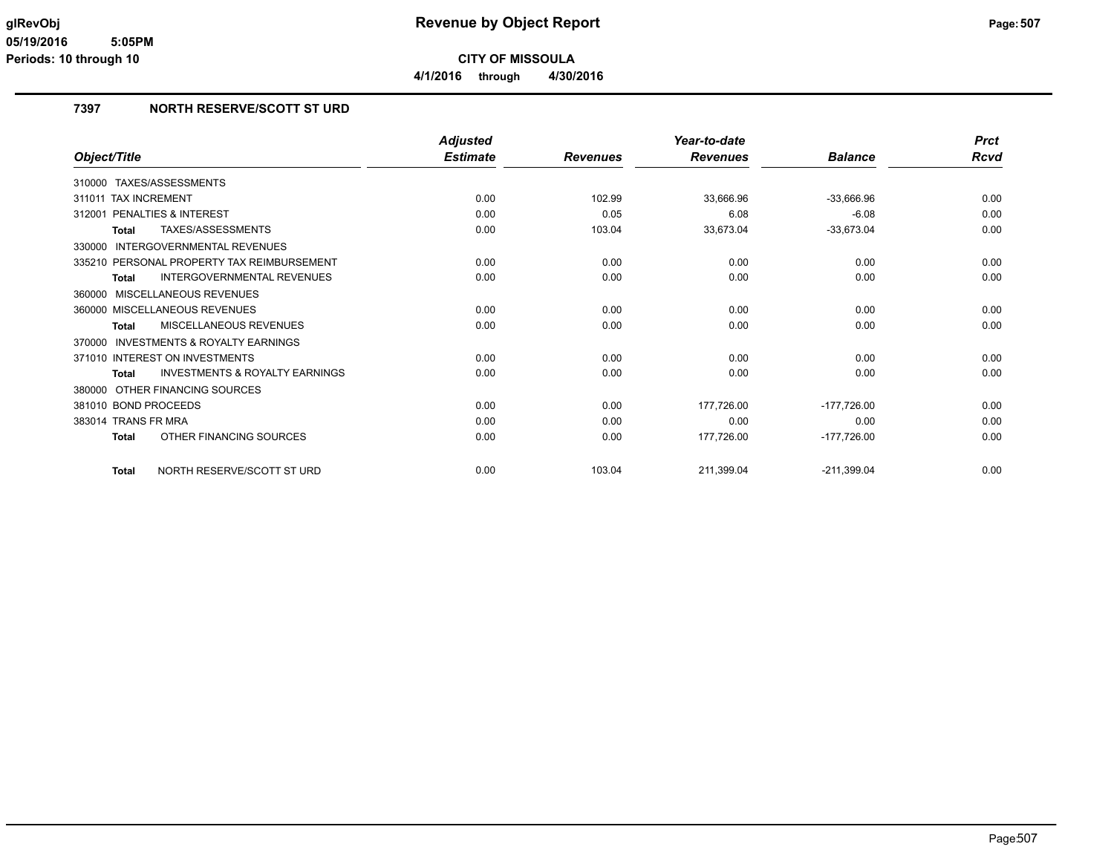**CITY OF MISSOULA 4/1/2016 through 4/30/2016**

# **7397 NORTH RESERVE/SCOTT ST URD**

|                                                    | <b>Adjusted</b> |                 | Year-to-date    |                | <b>Prct</b> |
|----------------------------------------------------|-----------------|-----------------|-----------------|----------------|-------------|
| Object/Title                                       | <b>Estimate</b> | <b>Revenues</b> | <b>Revenues</b> | <b>Balance</b> | <b>Rcvd</b> |
| 310000 TAXES/ASSESSMENTS                           |                 |                 |                 |                |             |
| 311011 TAX INCREMENT                               | 0.00            | 102.99          | 33,666.96       | $-33,666.96$   | 0.00        |
| 312001 PENALTIES & INTEREST                        | 0.00            | 0.05            | 6.08            | $-6.08$        | 0.00        |
| TAXES/ASSESSMENTS<br><b>Total</b>                  | 0.00            | 103.04          | 33,673.04       | $-33,673.04$   | 0.00        |
| INTERGOVERNMENTAL REVENUES<br>330000               |                 |                 |                 |                |             |
| 335210 PERSONAL PROPERTY TAX REIMBURSEMENT         | 0.00            | 0.00            | 0.00            | 0.00           | 0.00        |
| <b>INTERGOVERNMENTAL REVENUES</b><br>Total         | 0.00            | 0.00            | 0.00            | 0.00           | 0.00        |
| 360000 MISCELLANEOUS REVENUES                      |                 |                 |                 |                |             |
| 360000 MISCELLANEOUS REVENUES                      | 0.00            | 0.00            | 0.00            | 0.00           | 0.00        |
| MISCELLANEOUS REVENUES<br><b>Total</b>             | 0.00            | 0.00            | 0.00            | 0.00           | 0.00        |
| 370000 INVESTMENTS & ROYALTY EARNINGS              |                 |                 |                 |                |             |
| 371010 INTEREST ON INVESTMENTS                     | 0.00            | 0.00            | 0.00            | 0.00           | 0.00        |
| <b>INVESTMENTS &amp; ROYALTY EARNINGS</b><br>Total | 0.00            | 0.00            | 0.00            | 0.00           | 0.00        |
| 380000 OTHER FINANCING SOURCES                     |                 |                 |                 |                |             |
| 381010 BOND PROCEEDS                               | 0.00            | 0.00            | 177,726.00      | $-177,726.00$  | 0.00        |
| 383014 TRANS FR MRA                                | 0.00            | 0.00            | 0.00            | 0.00           | 0.00        |
| OTHER FINANCING SOURCES<br>Total                   | 0.00            | 0.00            | 177,726.00      | $-177,726.00$  | 0.00        |
| NORTH RESERVE/SCOTT ST URD<br><b>Total</b>         | 0.00            | 103.04          | 211,399.04      | $-211,399.04$  | 0.00        |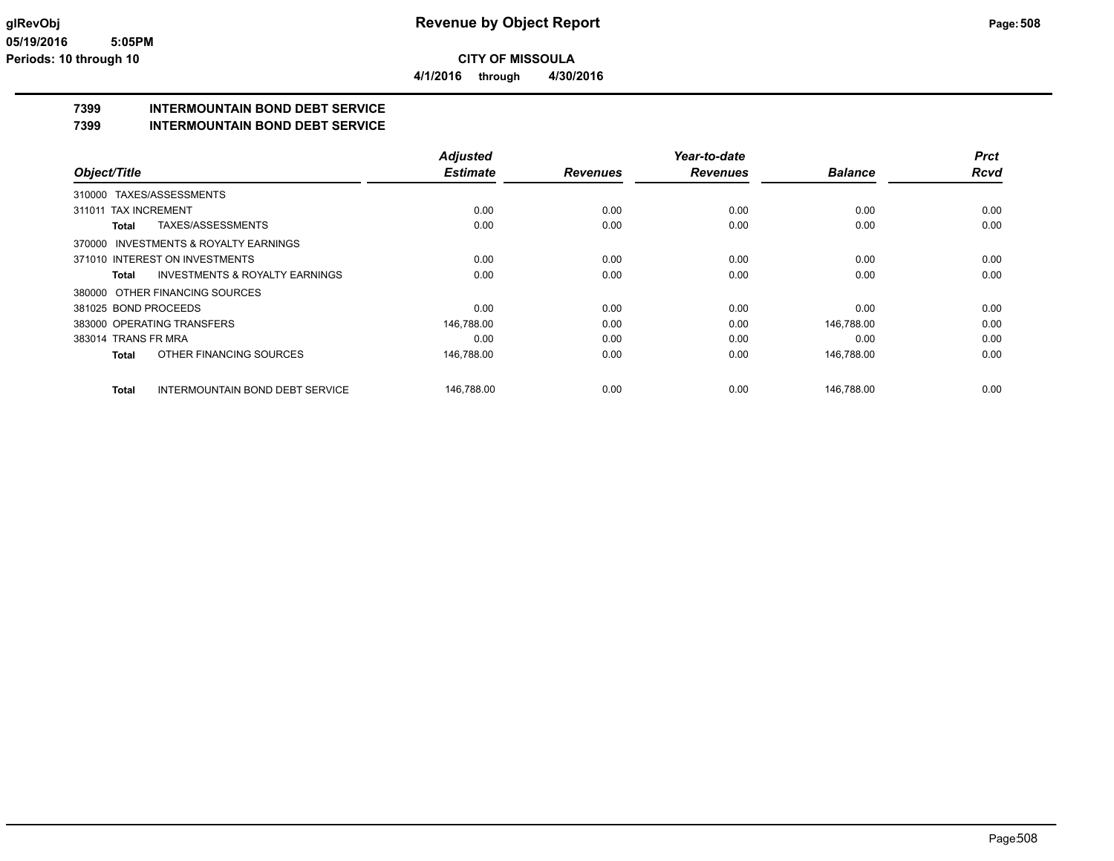**4/1/2016 through 4/30/2016**

# **7399 INTERMOUNTAIN BOND DEBT SERVICE**

**7399 INTERMOUNTAIN BOND DEBT SERVICE**

|                      |                                           | <b>Adjusted</b> |                 | Year-to-date    |                | <b>Prct</b> |
|----------------------|-------------------------------------------|-----------------|-----------------|-----------------|----------------|-------------|
| Object/Title         |                                           | <b>Estimate</b> | <b>Revenues</b> | <b>Revenues</b> | <b>Balance</b> | <b>Rcvd</b> |
|                      | 310000 TAXES/ASSESSMENTS                  |                 |                 |                 |                |             |
| 311011 TAX INCREMENT |                                           | 0.00            | 0.00            | 0.00            | 0.00           | 0.00        |
| Total                | TAXES/ASSESSMENTS                         | 0.00            | 0.00            | 0.00            | 0.00           | 0.00        |
|                      | 370000 INVESTMENTS & ROYALTY EARNINGS     |                 |                 |                 |                |             |
|                      | 371010 INTEREST ON INVESTMENTS            | 0.00            | 0.00            | 0.00            | 0.00           | 0.00        |
| Total                | <b>INVESTMENTS &amp; ROYALTY EARNINGS</b> | 0.00            | 0.00            | 0.00            | 0.00           | 0.00        |
|                      | 380000 OTHER FINANCING SOURCES            |                 |                 |                 |                |             |
| 381025 BOND PROCEEDS |                                           | 0.00            | 0.00            | 0.00            | 0.00           | 0.00        |
|                      | 383000 OPERATING TRANSFERS                | 146,788.00      | 0.00            | 0.00            | 146,788.00     | 0.00        |
| 383014 TRANS FR MRA  |                                           | 0.00            | 0.00            | 0.00            | 0.00           | 0.00        |
| <b>Total</b>         | OTHER FINANCING SOURCES                   | 146,788.00      | 0.00            | 0.00            | 146,788.00     | 0.00        |
| <b>Total</b>         | INTERMOUNTAIN BOND DEBT SERVICE           | 146,788.00      | 0.00            | 0.00            | 146,788.00     | 0.00        |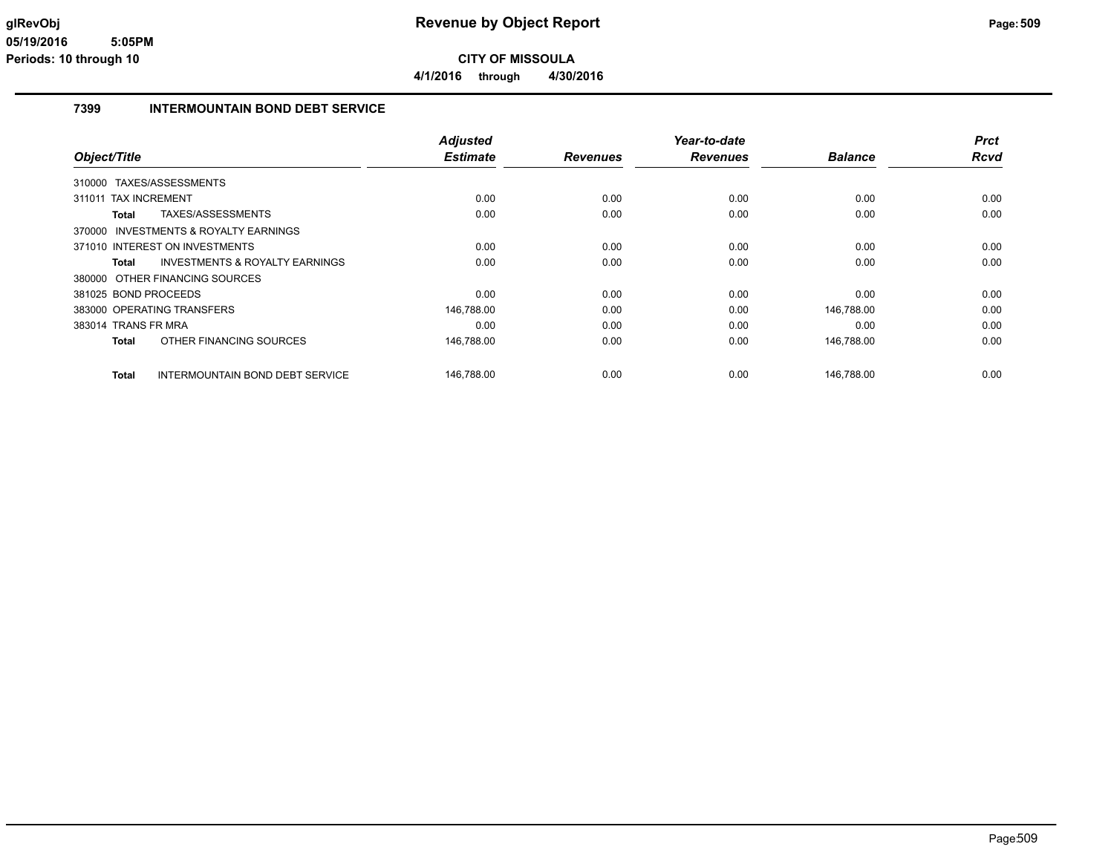**4/1/2016 through 4/30/2016**

#### **7399 INTERMOUNTAIN BOND DEBT SERVICE**

|                      |                                           | <b>Adjusted</b> |                 | Year-to-date    |                | <b>Prct</b> |
|----------------------|-------------------------------------------|-----------------|-----------------|-----------------|----------------|-------------|
| Object/Title         |                                           | <b>Estimate</b> | <b>Revenues</b> | <b>Revenues</b> | <b>Balance</b> | Rcvd        |
| 310000               | TAXES/ASSESSMENTS                         |                 |                 |                 |                |             |
| 311011               | <b>TAX INCREMENT</b>                      | 0.00            | 0.00            | 0.00            | 0.00           | 0.00        |
| Total                | TAXES/ASSESSMENTS                         | 0.00            | 0.00            | 0.00            | 0.00           | 0.00        |
|                      | 370000 INVESTMENTS & ROYALTY EARNINGS     |                 |                 |                 |                |             |
|                      | 371010 INTEREST ON INVESTMENTS            | 0.00            | 0.00            | 0.00            | 0.00           | 0.00        |
| Total                | <b>INVESTMENTS &amp; ROYALTY EARNINGS</b> | 0.00            | 0.00            | 0.00            | 0.00           | 0.00        |
|                      | 380000 OTHER FINANCING SOURCES            |                 |                 |                 |                |             |
| 381025 BOND PROCEEDS |                                           | 0.00            | 0.00            | 0.00            | 0.00           | 0.00        |
|                      | 383000 OPERATING TRANSFERS                | 146,788.00      | 0.00            | 0.00            | 146,788.00     | 0.00        |
| 383014 TRANS FR MRA  |                                           | 0.00            | 0.00            | 0.00            | 0.00           | 0.00        |
| Total                | OTHER FINANCING SOURCES                   | 146,788.00      | 0.00            | 0.00            | 146,788.00     | 0.00        |
| Total                | <b>INTERMOUNTAIN BOND DEBT SERVICE</b>    | 146,788.00      | 0.00            | 0.00            | 146,788.00     | 0.00        |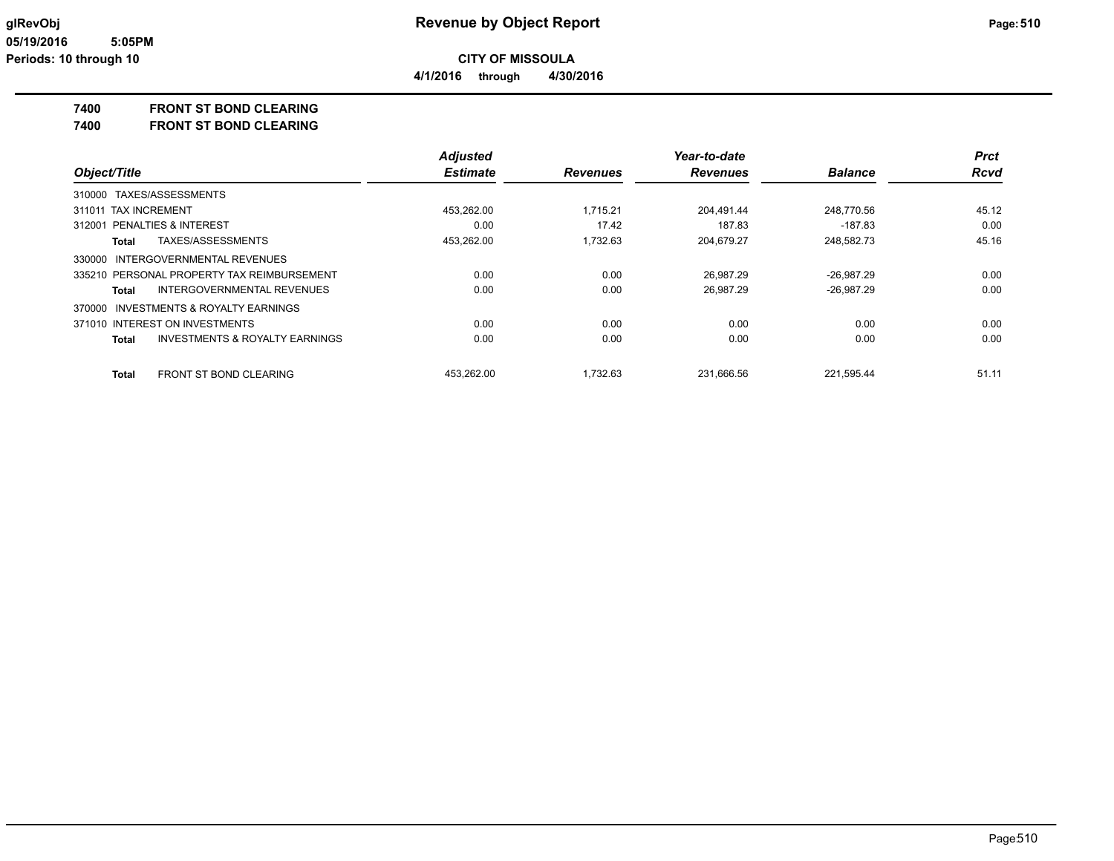**4/1/2016 through 4/30/2016**

**7400 FRONT ST BOND CLEARING**

**7400 FRONT ST BOND CLEARING**

|                                                           | <b>Adjusted</b> |                 | Year-to-date    |                | <b>Prct</b> |
|-----------------------------------------------------------|-----------------|-----------------|-----------------|----------------|-------------|
| Object/Title                                              | <b>Estimate</b> | <b>Revenues</b> | <b>Revenues</b> | <b>Balance</b> | <b>Rcvd</b> |
| 310000 TAXES/ASSESSMENTS                                  |                 |                 |                 |                |             |
| 311011 TAX INCREMENT                                      | 453.262.00      | 1.715.21        | 204.491.44      | 248.770.56     | 45.12       |
| <b>PENALTIES &amp; INTEREST</b><br>312001                 | 0.00            | 17.42           | 187.83          | -187.83        | 0.00        |
| TAXES/ASSESSMENTS<br>Total                                | 453,262.00      | 1.732.63        | 204.679.27      | 248,582.73     | 45.16       |
| 330000 INTERGOVERNMENTAL REVENUES                         |                 |                 |                 |                |             |
| 335210 PERSONAL PROPERTY TAX REIMBURSEMENT                | 0.00            | 0.00            | 26.987.29       | $-26.987.29$   | 0.00        |
| INTERGOVERNMENTAL REVENUES<br>Total                       | 0.00            | 0.00            | 26.987.29       | $-26,987.29$   | 0.00        |
| 370000 INVESTMENTS & ROYALTY EARNINGS                     |                 |                 |                 |                |             |
| 371010 INTEREST ON INVESTMENTS                            | 0.00            | 0.00            | 0.00            | 0.00           | 0.00        |
| <b>INVESTMENTS &amp; ROYALTY EARNINGS</b><br><b>Total</b> | 0.00            | 0.00            | 0.00            | 0.00           | 0.00        |
| <b>FRONT ST BOND CLEARING</b><br><b>Total</b>             | 453.262.00      | 1.732.63        | 231.666.56      | 221.595.44     | 51.11       |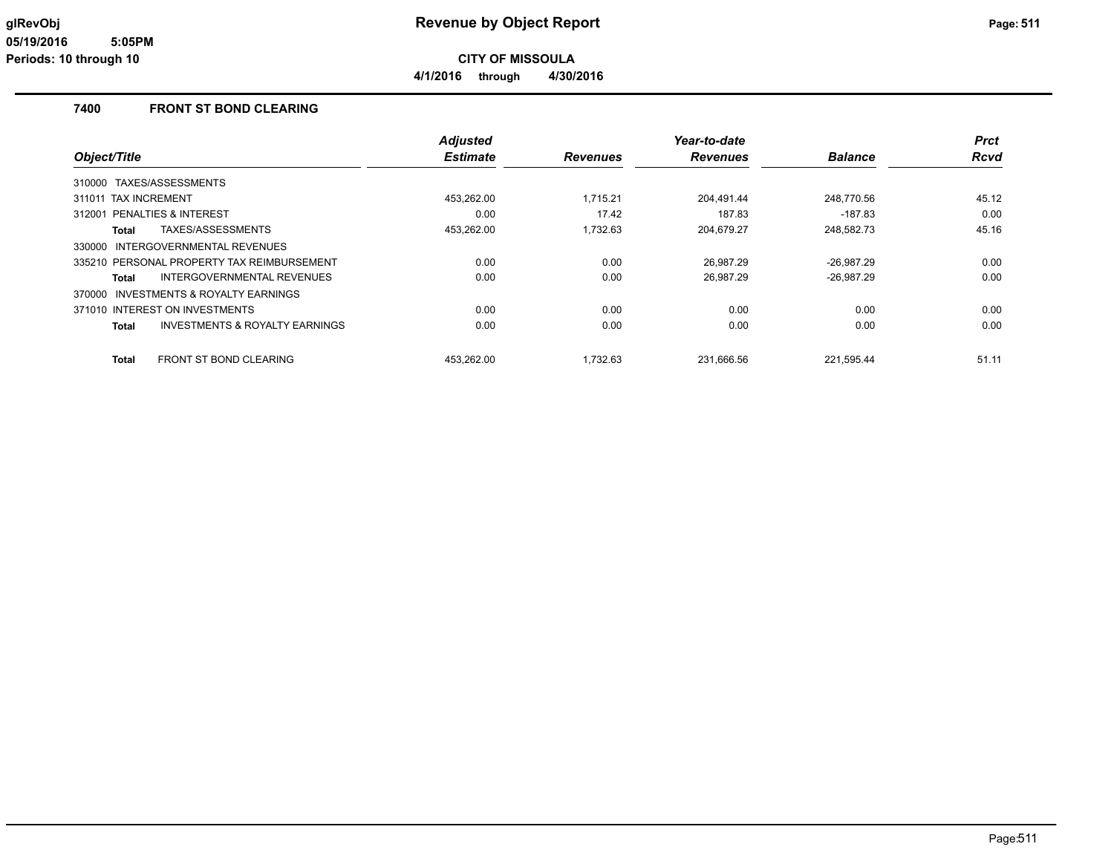**CITY OF MISSOULA 4/1/2016 through 4/30/2016**

#### **7400 FRONT ST BOND CLEARING**

|                                                    | <b>Adjusted</b> |                 | Year-to-date    |                | <b>Prct</b> |
|----------------------------------------------------|-----------------|-----------------|-----------------|----------------|-------------|
| Object/Title                                       | <b>Estimate</b> | <b>Revenues</b> | <b>Revenues</b> | <b>Balance</b> | <b>Rcvd</b> |
| 310000 TAXES/ASSESSMENTS                           |                 |                 |                 |                |             |
| 311011 TAX INCREMENT                               | 453,262.00      | 1.715.21        | 204,491.44      | 248.770.56     | 45.12       |
| 312001 PENALTIES & INTEREST                        | 0.00            | 17.42           | 187.83          | $-187.83$      | 0.00        |
| TAXES/ASSESSMENTS<br>Total                         | 453,262.00      | 1.732.63        | 204,679.27      | 248,582.73     | 45.16       |
| 330000 INTERGOVERNMENTAL REVENUES                  |                 |                 |                 |                |             |
| 335210 PERSONAL PROPERTY TAX REIMBURSEMENT         | 0.00            | 0.00            | 26.987.29       | $-26.987.29$   | 0.00        |
| INTERGOVERNMENTAL REVENUES<br>Total                | 0.00            | 0.00            | 26.987.29       | $-26,987.29$   | 0.00        |
| 370000 INVESTMENTS & ROYALTY EARNINGS              |                 |                 |                 |                |             |
| 371010 INTEREST ON INVESTMENTS                     | 0.00            | 0.00            | 0.00            | 0.00           | 0.00        |
| <b>INVESTMENTS &amp; ROYALTY EARNINGS</b><br>Total | 0.00            | 0.00            | 0.00            | 0.00           | 0.00        |
| <b>FRONT ST BOND CLEARING</b><br>Total             | 453.262.00      | 1.732.63        | 231.666.56      | 221.595.44     | 51.11       |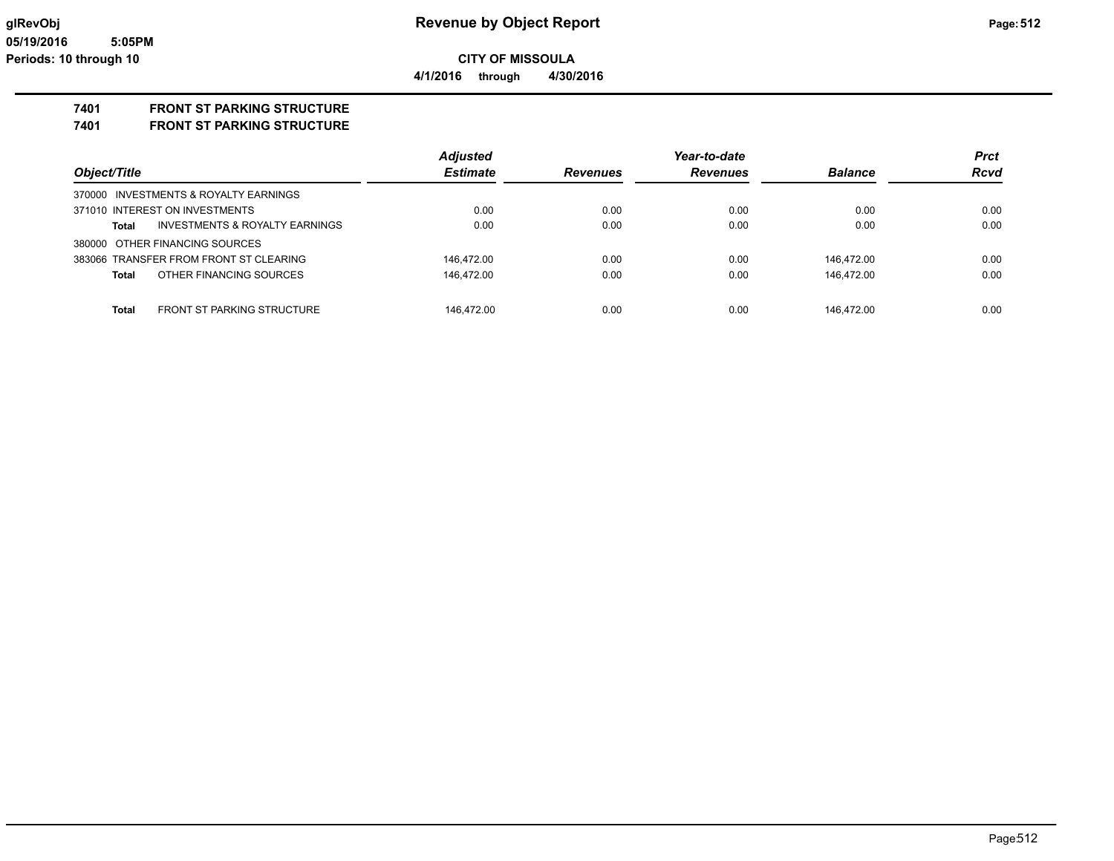**4/1/2016 through 4/30/2016**

# **7401 FRONT ST PARKING STRUCTURE**

**7401 FRONT ST PARKING STRUCTURE**

|                                                   | <b>Adjusted</b> |                 | Year-to-date    |                | <b>Prct</b> |
|---------------------------------------------------|-----------------|-----------------|-----------------|----------------|-------------|
| Object/Title                                      | <b>Estimate</b> | <b>Revenues</b> | <b>Revenues</b> | <b>Balance</b> | <b>Rcvd</b> |
| 370000 INVESTMENTS & ROYALTY EARNINGS             |                 |                 |                 |                |             |
| 371010 INTEREST ON INVESTMENTS                    | 0.00            | 0.00            | 0.00            | 0.00           | 0.00        |
| INVESTMENTS & ROYALTY EARNINGS<br><b>Total</b>    | 0.00            | 0.00            | 0.00            | 0.00           | 0.00        |
| 380000 OTHER FINANCING SOURCES                    |                 |                 |                 |                |             |
| 383066 TRANSFER FROM FRONT ST CLEARING            | 146.472.00      | 0.00            | 0.00            | 146.472.00     | 0.00        |
| OTHER FINANCING SOURCES<br><b>Total</b>           | 146.472.00      | 0.00            | 0.00            | 146.472.00     | 0.00        |
|                                                   |                 |                 |                 |                |             |
| <b>FRONT ST PARKING STRUCTURE</b><br><b>Total</b> | 146.472.00      | 0.00            | 0.00            | 146.472.00     | 0.00        |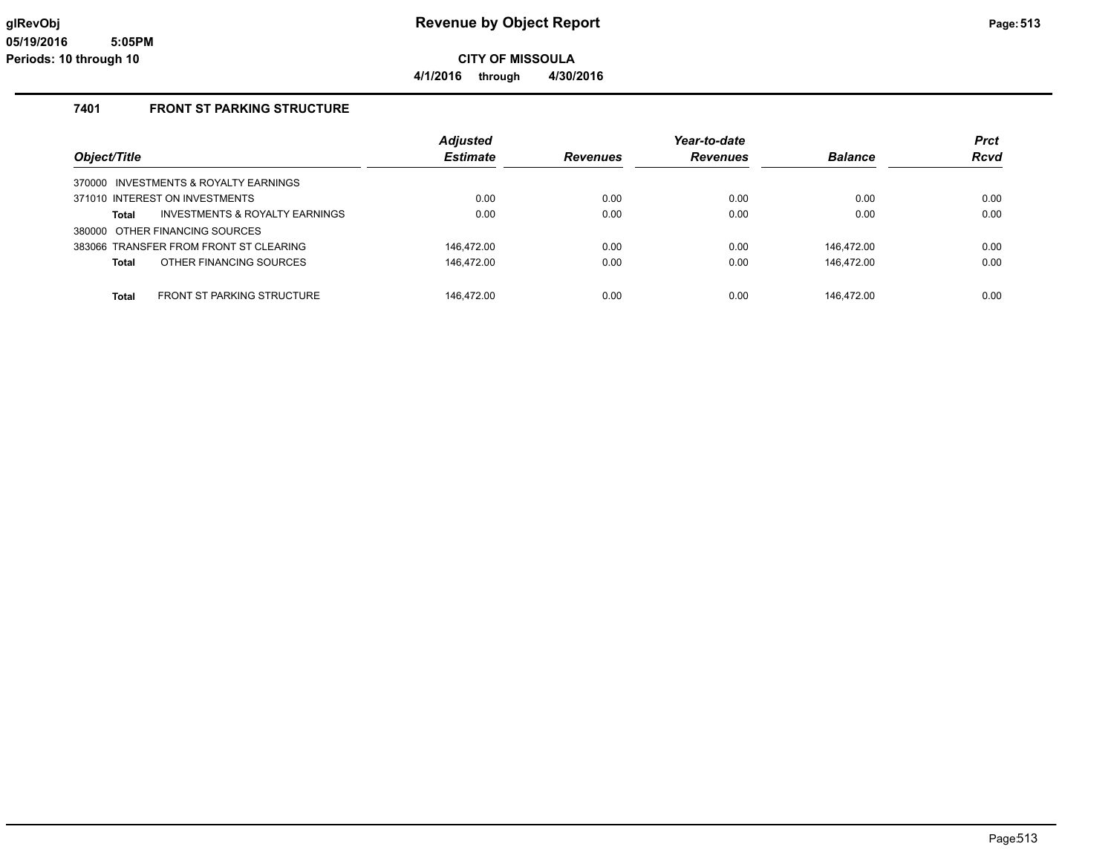**4/1/2016 through 4/30/2016**

### **7401 FRONT ST PARKING STRUCTURE**

|                                            | <b>Adjusted</b> |                 | Year-to-date    |                | <b>Prct</b> |
|--------------------------------------------|-----------------|-----------------|-----------------|----------------|-------------|
| Object/Title                               | <b>Estimate</b> | <b>Revenues</b> | <b>Revenues</b> | <b>Balance</b> | <b>Rcvd</b> |
| 370000 INVESTMENTS & ROYALTY EARNINGS      |                 |                 |                 |                |             |
| 371010 INTEREST ON INVESTMENTS             | 0.00            | 0.00            | 0.00            | 0.00           | 0.00        |
| INVESTMENTS & ROYALTY EARNINGS<br>Total    | 0.00            | 0.00            | 0.00            | 0.00           | 0.00        |
| 380000 OTHER FINANCING SOURCES             |                 |                 |                 |                |             |
| 383066 TRANSFER FROM FRONT ST CLEARING     | 146.472.00      | 0.00            | 0.00            | 146.472.00     | 0.00        |
| OTHER FINANCING SOURCES<br>Total           | 146,472.00      | 0.00            | 0.00            | 146,472.00     | 0.00        |
|                                            |                 |                 |                 |                |             |
| Total<br><b>FRONT ST PARKING STRUCTURE</b> | 146.472.00      | 0.00            | 0.00            | 146.472.00     | 0.00        |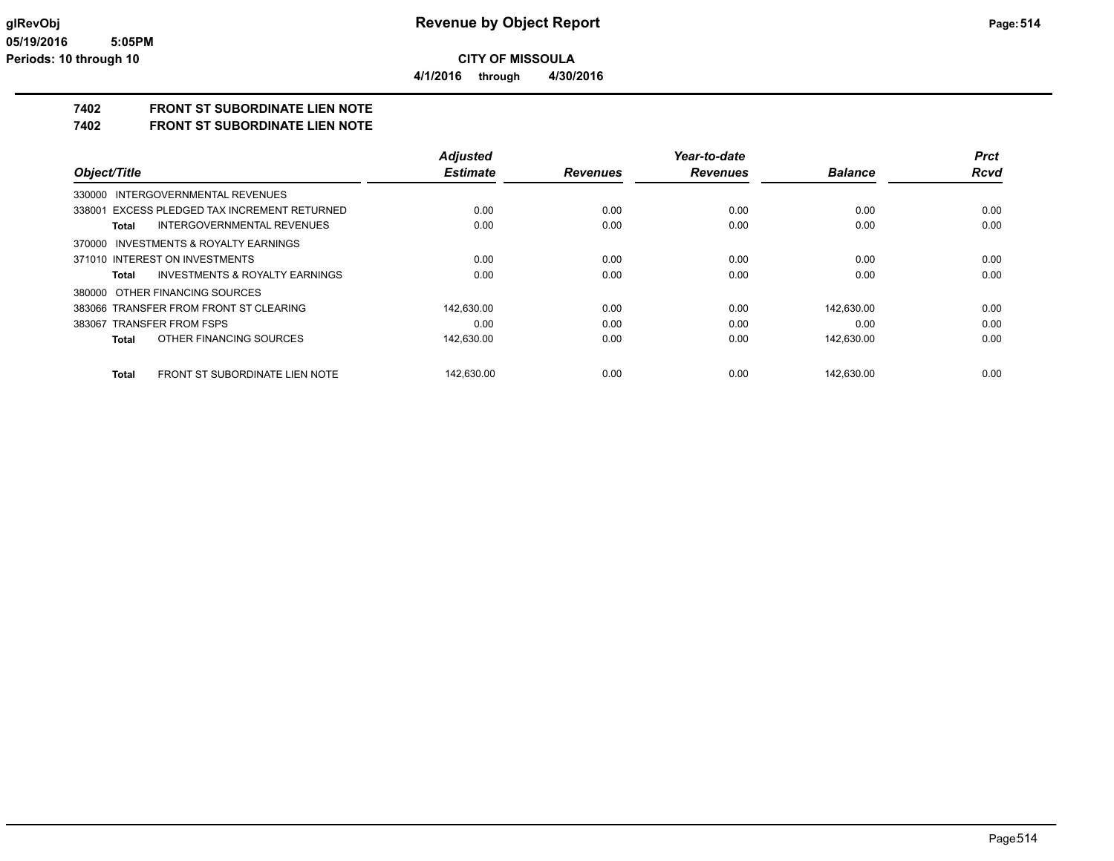**CITY OF MISSOULA 4/1/2016 through 4/30/2016**

**7402 FRONT ST SUBORDINATE LIEN NOTE**

**7402 FRONT ST SUBORDINATE LIEN NOTE**

|                                                       | <b>Adjusted</b> |                 | Year-to-date    |                | <b>Prct</b> |
|-------------------------------------------------------|-----------------|-----------------|-----------------|----------------|-------------|
| Object/Title                                          | <b>Estimate</b> | <b>Revenues</b> | <b>Revenues</b> | <b>Balance</b> | <b>Rcvd</b> |
| INTERGOVERNMENTAL REVENUES<br>330000                  |                 |                 |                 |                |             |
| 338001 EXCESS PLEDGED TAX INCREMENT RETURNED          | 0.00            | 0.00            | 0.00            | 0.00           | 0.00        |
| INTERGOVERNMENTAL REVENUES<br>Total                   | 0.00            | 0.00            | 0.00            | 0.00           | 0.00        |
| INVESTMENTS & ROYALTY EARNINGS<br>370000              |                 |                 |                 |                |             |
| 371010 INTEREST ON INVESTMENTS                        | 0.00            | 0.00            | 0.00            | 0.00           | 0.00        |
| INVESTMENTS & ROYALTY EARNINGS<br>Total               | 0.00            | 0.00            | 0.00            | 0.00           | 0.00        |
| 380000 OTHER FINANCING SOURCES                        |                 |                 |                 |                |             |
| 383066 TRANSFER FROM FRONT ST CLEARING                | 142.630.00      | 0.00            | 0.00            | 142.630.00     | 0.00        |
| 383067 TRANSFER FROM FSPS                             | 0.00            | 0.00            | 0.00            | 0.00           | 0.00        |
| OTHER FINANCING SOURCES<br><b>Total</b>               | 142.630.00      | 0.00            | 0.00            | 142.630.00     | 0.00        |
| <b>FRONT ST SUBORDINATE LIEN NOTE</b><br><b>Total</b> | 142.630.00      | 0.00            | 0.00            | 142.630.00     | 0.00        |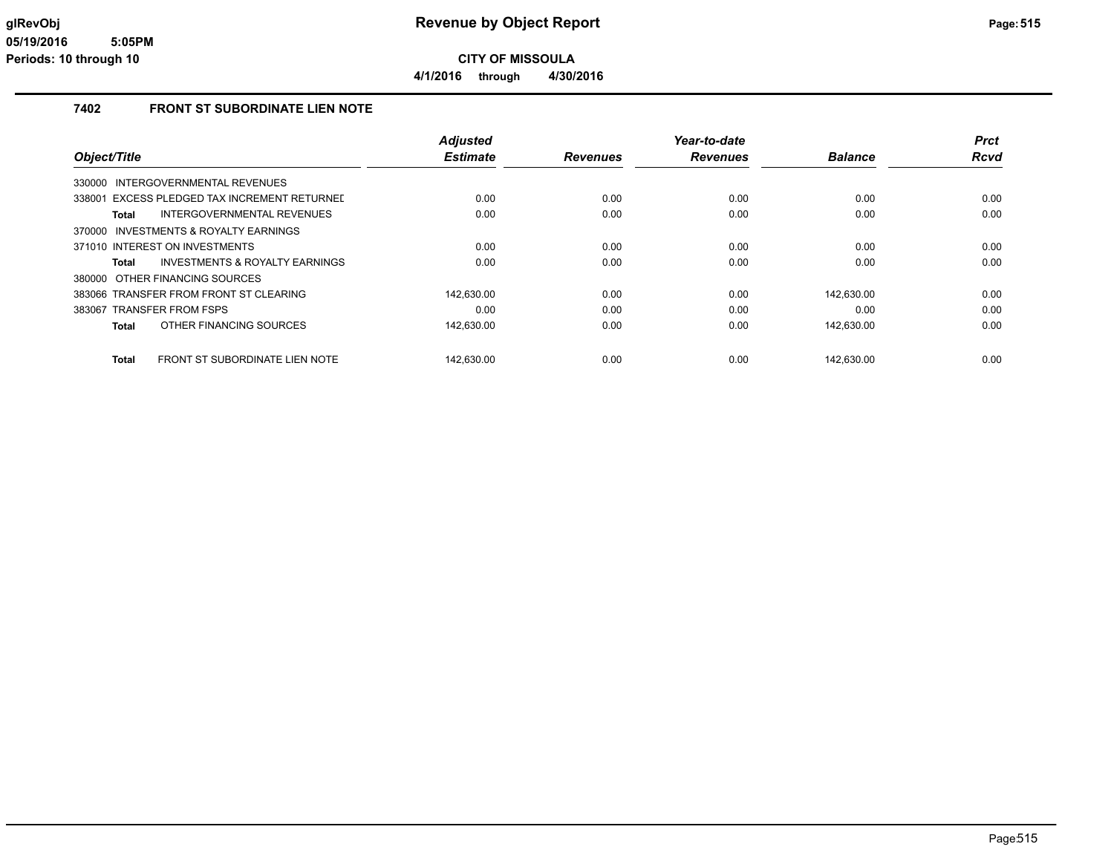**4/1/2016 through 4/30/2016**

### **7402 FRONT ST SUBORDINATE LIEN NOTE**

|                                                 | <b>Adjusted</b> |                 | Year-to-date    |                | <b>Prct</b> |
|-------------------------------------------------|-----------------|-----------------|-----------------|----------------|-------------|
| Object/Title                                    | <b>Estimate</b> | <b>Revenues</b> | <b>Revenues</b> | <b>Balance</b> | <b>Rcvd</b> |
| INTERGOVERNMENTAL REVENUES<br>330000            |                 |                 |                 |                |             |
| EXCESS PLEDGED TAX INCREMENT RETURNED<br>338001 | 0.00            | 0.00            | 0.00            | 0.00           | 0.00        |
| INTERGOVERNMENTAL REVENUES<br><b>Total</b>      | 0.00            | 0.00            | 0.00            | 0.00           | 0.00        |
| 370000 INVESTMENTS & ROYALTY EARNINGS           |                 |                 |                 |                |             |
| 371010 INTEREST ON INVESTMENTS                  | 0.00            | 0.00            | 0.00            | 0.00           | 0.00        |
| INVESTMENTS & ROYALTY EARNINGS<br>Total         | 0.00            | 0.00            | 0.00            | 0.00           | 0.00        |
| 380000 OTHER FINANCING SOURCES                  |                 |                 |                 |                |             |
| 383066 TRANSFER FROM FRONT ST CLEARING          | 142.630.00      | 0.00            | 0.00            | 142.630.00     | 0.00        |
| 383067 TRANSFER FROM FSPS                       | 0.00            | 0.00            | 0.00            | 0.00           | 0.00        |
| OTHER FINANCING SOURCES<br><b>Total</b>         | 142.630.00      | 0.00            | 0.00            | 142,630.00     | 0.00        |
| FRONT ST SUBORDINATE LIEN NOTE<br><b>Total</b>  | 142.630.00      | 0.00            | 0.00            | 142.630.00     | 0.00        |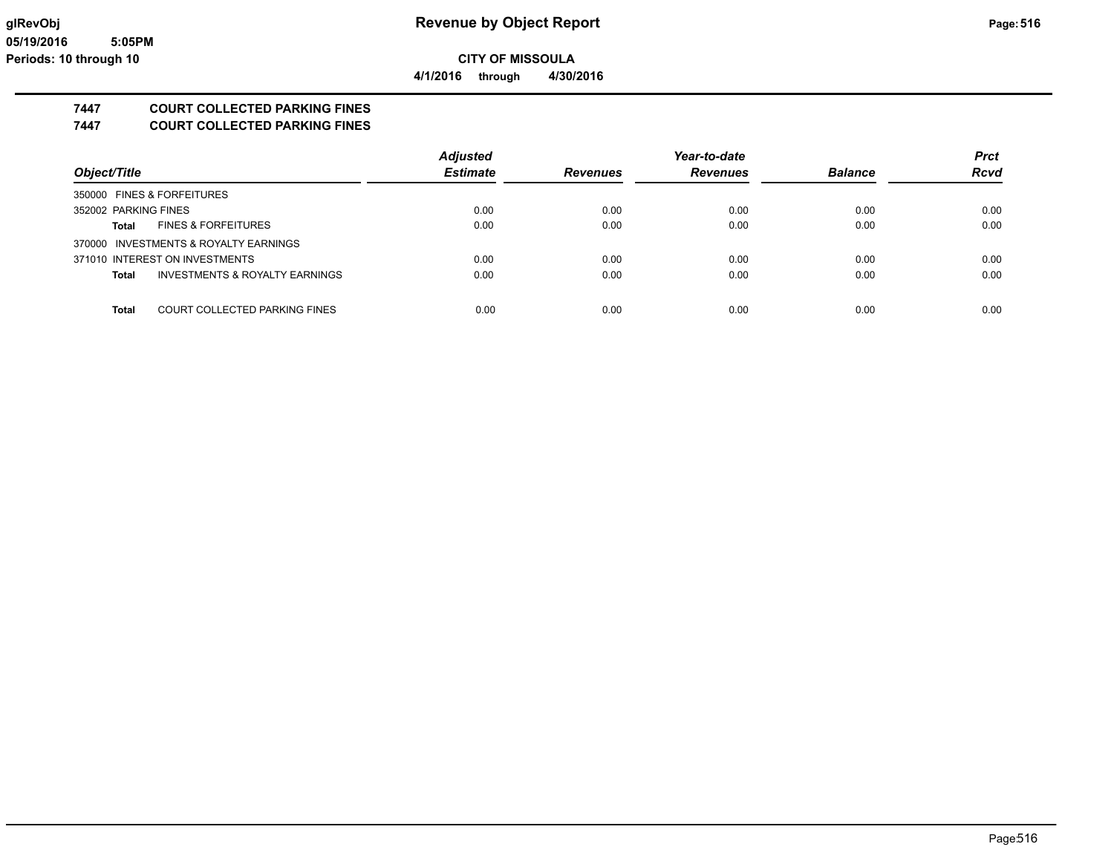**CITY OF MISSOULA 4/1/2016 through 4/30/2016**

**7447 COURT COLLECTED PARKING FINES**

**7447 COURT COLLECTED PARKING FINES**

|                                                      | <b>Adjusted</b> |                 | Year-to-date    |                | <b>Prct</b> |
|------------------------------------------------------|-----------------|-----------------|-----------------|----------------|-------------|
| Object/Title                                         | <b>Estimate</b> | <b>Revenues</b> | <b>Revenues</b> | <b>Balance</b> | <b>Rcvd</b> |
| 350000 FINES & FORFEITURES                           |                 |                 |                 |                |             |
| 352002 PARKING FINES                                 | 0.00            | 0.00            | 0.00            | 0.00           | 0.00        |
| <b>FINES &amp; FORFEITURES</b><br>Total              | 0.00            | 0.00            | 0.00            | 0.00           | 0.00        |
| 370000 INVESTMENTS & ROYALTY EARNINGS                |                 |                 |                 |                |             |
| 371010 INTEREST ON INVESTMENTS                       | 0.00            | 0.00            | 0.00            | 0.00           | 0.00        |
| INVESTMENTS & ROYALTY EARNINGS<br><b>Total</b>       | 0.00            | 0.00            | 0.00            | 0.00           | 0.00        |
|                                                      |                 |                 |                 |                |             |
| <b>Total</b><br><b>COURT COLLECTED PARKING FINES</b> | 0.00            | 0.00            | 0.00            | 0.00           | 0.00        |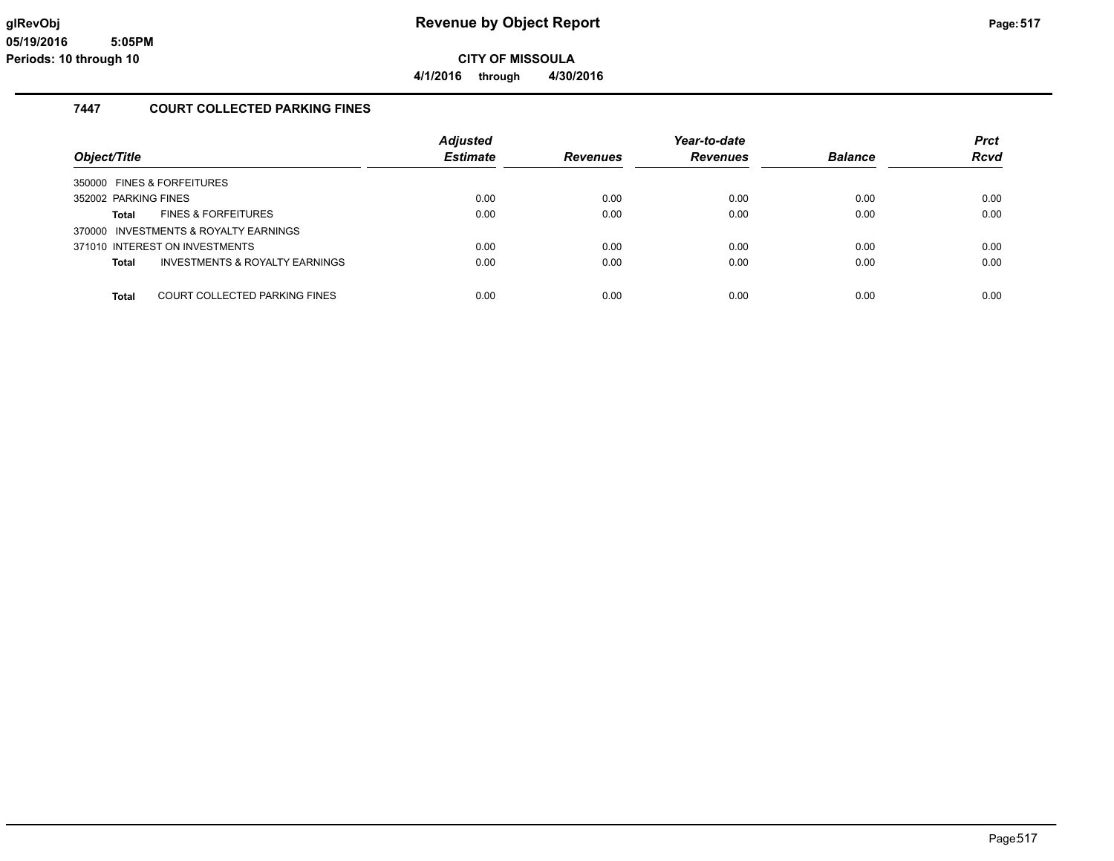**4/1/2016 through 4/30/2016**

#### **7447 COURT COLLECTED PARKING FINES**

| Object/Title                                  | <b>Adjusted</b><br><b>Estimate</b> | <b>Revenues</b> | Year-to-date<br><b>Revenues</b> | <b>Balance</b> | <b>Prct</b><br><b>Rcvd</b> |
|-----------------------------------------------|------------------------------------|-----------------|---------------------------------|----------------|----------------------------|
|                                               |                                    |                 |                                 |                |                            |
| 350000 FINES & FORFEITURES                    |                                    |                 |                                 |                |                            |
| 352002 PARKING FINES                          | 0.00                               | 0.00            | 0.00                            | 0.00           | 0.00                       |
| <b>FINES &amp; FORFEITURES</b><br>Total       | 0.00                               | 0.00            | 0.00                            | 0.00           | 0.00                       |
| 370000 INVESTMENTS & ROYALTY EARNINGS         |                                    |                 |                                 |                |                            |
| 371010 INTEREST ON INVESTMENTS                | 0.00                               | 0.00            | 0.00                            | 0.00           | 0.00                       |
| INVESTMENTS & ROYALTY EARNINGS<br>Total       | 0.00                               | 0.00            | 0.00                            | 0.00           | 0.00                       |
|                                               |                                    |                 |                                 |                |                            |
| <b>Total</b><br>COURT COLLECTED PARKING FINES | 0.00                               | 0.00            | 0.00                            | 0.00           | 0.00                       |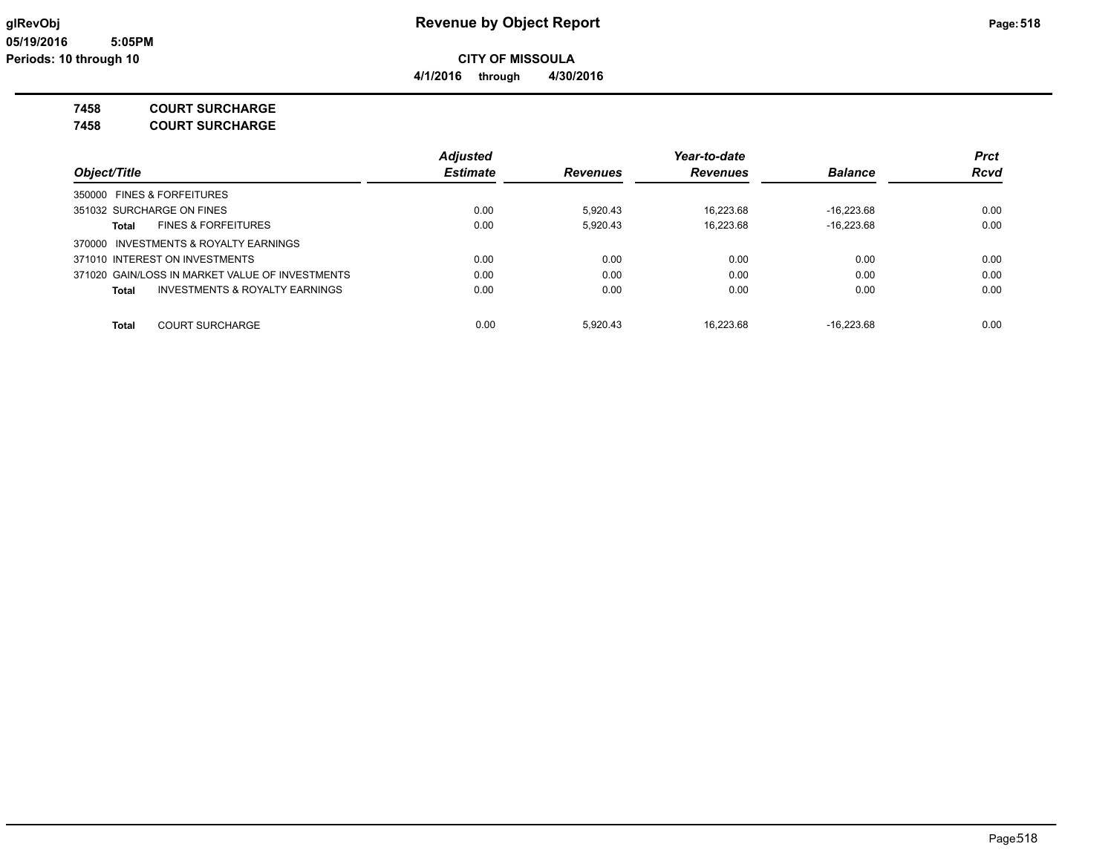### **7458 COURT SURCHARGE**

**7458 COURT SURCHARGE**

|                                                 | <b>Adjusted</b> |                 | Year-to-date    |                | <b>Prct</b><br><b>Rcvd</b> |
|-------------------------------------------------|-----------------|-----------------|-----------------|----------------|----------------------------|
| Object/Title                                    | <b>Estimate</b> | <b>Revenues</b> | <b>Revenues</b> | <b>Balance</b> |                            |
| 350000 FINES & FORFEITURES                      |                 |                 |                 |                |                            |
| 351032 SURCHARGE ON FINES                       | 0.00            | 5.920.43        | 16.223.68       | $-16.223.68$   | 0.00                       |
| <b>FINES &amp; FORFEITURES</b><br>Total         | 0.00            | 5,920.43        | 16,223.68       | $-16.223.68$   | 0.00                       |
| 370000 INVESTMENTS & ROYALTY EARNINGS           |                 |                 |                 |                |                            |
| 371010 INTEREST ON INVESTMENTS                  | 0.00            | 0.00            | 0.00            | 0.00           | 0.00                       |
| 371020 GAIN/LOSS IN MARKET VALUE OF INVESTMENTS | 0.00            | 0.00            | 0.00            | 0.00           | 0.00                       |
| INVESTMENTS & ROYALTY EARNINGS<br>Total         | 0.00            | 0.00            | 0.00            | 0.00           | 0.00                       |
| <b>COURT SURCHARGE</b><br>Total                 | 0.00            | 5.920.43        | 16.223.68       | $-16.223.68$   | 0.00                       |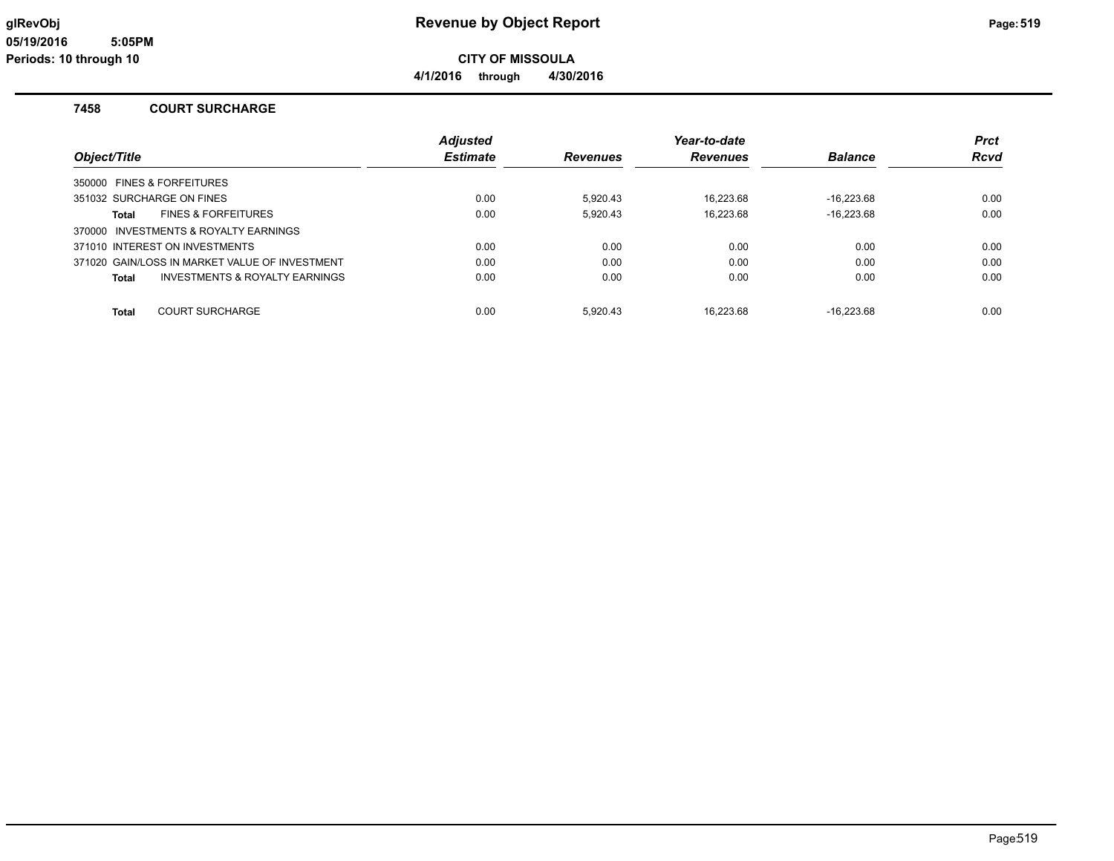**CITY OF MISSOULA**

**4/1/2016 through 4/30/2016**

#### **7458 COURT SURCHARGE**

|                                                | <b>Adiusted</b> |                 | Year-to-date    |                | <b>Prct</b> |  |
|------------------------------------------------|-----------------|-----------------|-----------------|----------------|-------------|--|
| Object/Title                                   | <b>Estimate</b> | <b>Revenues</b> | <b>Revenues</b> | <b>Balance</b> | <b>Rcvd</b> |  |
| 350000 FINES & FORFEITURES                     |                 |                 |                 |                |             |  |
| 351032 SURCHARGE ON FINES                      | 0.00            | 5.920.43        | 16.223.68       | $-16.223.68$   | 0.00        |  |
| <b>FINES &amp; FORFEITURES</b><br>Total        | 0.00            | 5,920.43        | 16.223.68       | $-16.223.68$   | 0.00        |  |
| 370000 INVESTMENTS & ROYALTY EARNINGS          |                 |                 |                 |                |             |  |
| 371010 INTEREST ON INVESTMENTS                 | 0.00            | 0.00            | 0.00            | 0.00           | 0.00        |  |
| 371020 GAIN/LOSS IN MARKET VALUE OF INVESTMENT | 0.00            | 0.00            | 0.00            | 0.00           | 0.00        |  |
| INVESTMENTS & ROYALTY EARNINGS<br>Total        | 0.00            | 0.00            | 0.00            | 0.00           | 0.00        |  |
| <b>COURT SURCHARGE</b><br><b>Total</b>         | 0.00            | 5.920.43        | 16.223.68       | $-16.223.68$   | 0.00        |  |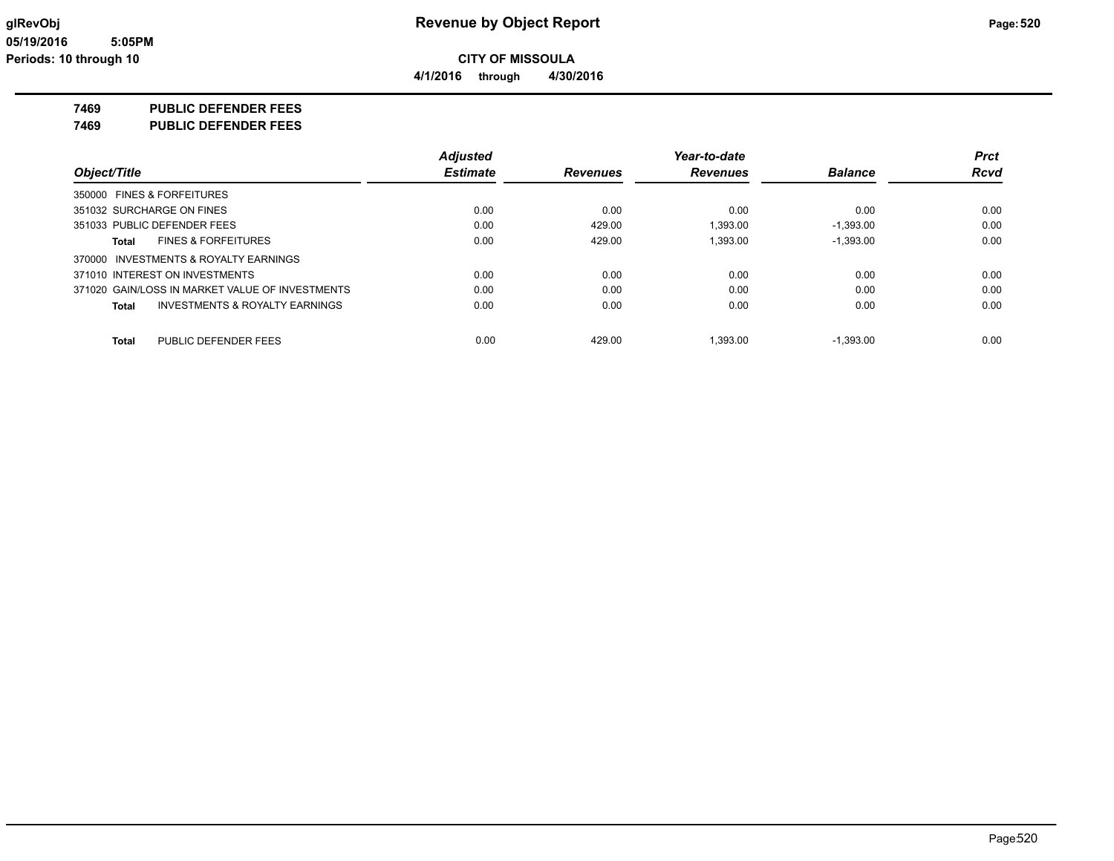**4/1/2016 through 4/30/2016**

### **7469 PUBLIC DEFENDER FEES**

**7469 PUBLIC DEFENDER FEES**

|                                                 | <b>Adjusted</b> |                 | Year-to-date    |                | <b>Prct</b> |
|-------------------------------------------------|-----------------|-----------------|-----------------|----------------|-------------|
| Object/Title                                    | <b>Estimate</b> | <b>Revenues</b> | <b>Revenues</b> | <b>Balance</b> | <b>Rcvd</b> |
| 350000 FINES & FORFEITURES                      |                 |                 |                 |                |             |
| 351032 SURCHARGE ON FINES                       | 0.00            | 0.00            | 0.00            | 0.00           | 0.00        |
| 351033 PUBLIC DEFENDER FEES                     | 0.00            | 429.00          | 1.393.00        | $-1.393.00$    | 0.00        |
| <b>FINES &amp; FORFEITURES</b><br>Total         | 0.00            | 429.00          | 1.393.00        | $-1.393.00$    | 0.00        |
| 370000 INVESTMENTS & ROYALTY EARNINGS           |                 |                 |                 |                |             |
| 371010 INTEREST ON INVESTMENTS                  | 0.00            | 0.00            | 0.00            | 0.00           | 0.00        |
| 371020 GAIN/LOSS IN MARKET VALUE OF INVESTMENTS | 0.00            | 0.00            | 0.00            | 0.00           | 0.00        |
| INVESTMENTS & ROYALTY EARNINGS<br><b>Total</b>  | 0.00            | 0.00            | 0.00            | 0.00           | 0.00        |
| PUBLIC DEFENDER FEES<br><b>Total</b>            | 0.00            | 429.00          | 1.393.00        | $-1.393.00$    | 0.00        |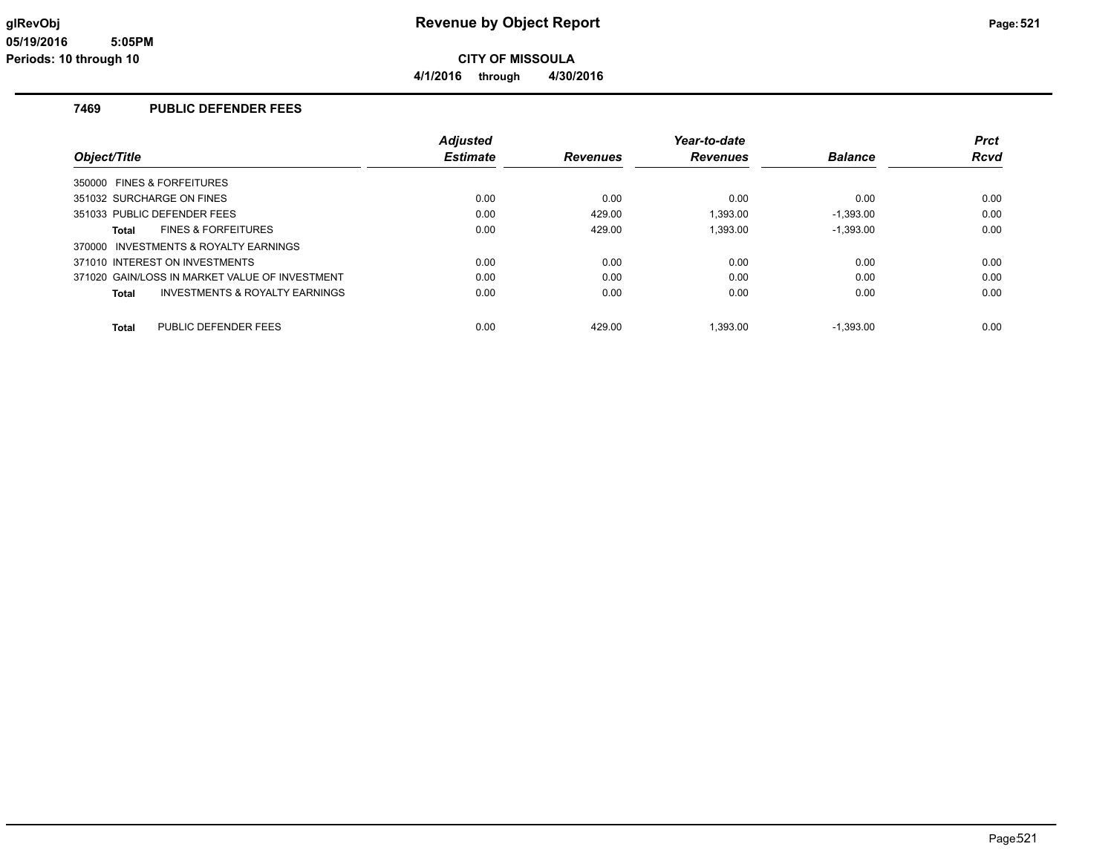**4/1/2016 through 4/30/2016**

#### **7469 PUBLIC DEFENDER FEES**

|                                                     | <b>Adjusted</b> |                 | Year-to-date    |                | <b>Prct</b> |
|-----------------------------------------------------|-----------------|-----------------|-----------------|----------------|-------------|
| Object/Title                                        | <b>Estimate</b> | <b>Revenues</b> | <b>Revenues</b> | <b>Balance</b> | <b>Rcvd</b> |
| 350000 FINES & FORFEITURES                          |                 |                 |                 |                |             |
| 351032 SURCHARGE ON FINES                           | 0.00            | 0.00            | 0.00            | 0.00           | 0.00        |
| 351033 PUBLIC DEFENDER FEES                         | 0.00            | 429.00          | 1,393.00        | $-1,393.00$    | 0.00        |
| <b>FINES &amp; FORFEITURES</b><br>Total             | 0.00            | 429.00          | 1.393.00        | $-1.393.00$    | 0.00        |
| <b>INVESTMENTS &amp; ROYALTY EARNINGS</b><br>370000 |                 |                 |                 |                |             |
| 371010 INTEREST ON INVESTMENTS                      | 0.00            | 0.00            | 0.00            | 0.00           | 0.00        |
| 371020 GAIN/LOSS IN MARKET VALUE OF INVESTMENT      | 0.00            | 0.00            | 0.00            | 0.00           | 0.00        |
| INVESTMENTS & ROYALTY EARNINGS<br>Total             | 0.00            | 0.00            | 0.00            | 0.00           | 0.00        |
| PUBLIC DEFENDER FEES<br><b>Total</b>                | 0.00            | 429.00          | 1.393.00        | $-1.393.00$    | 0.00        |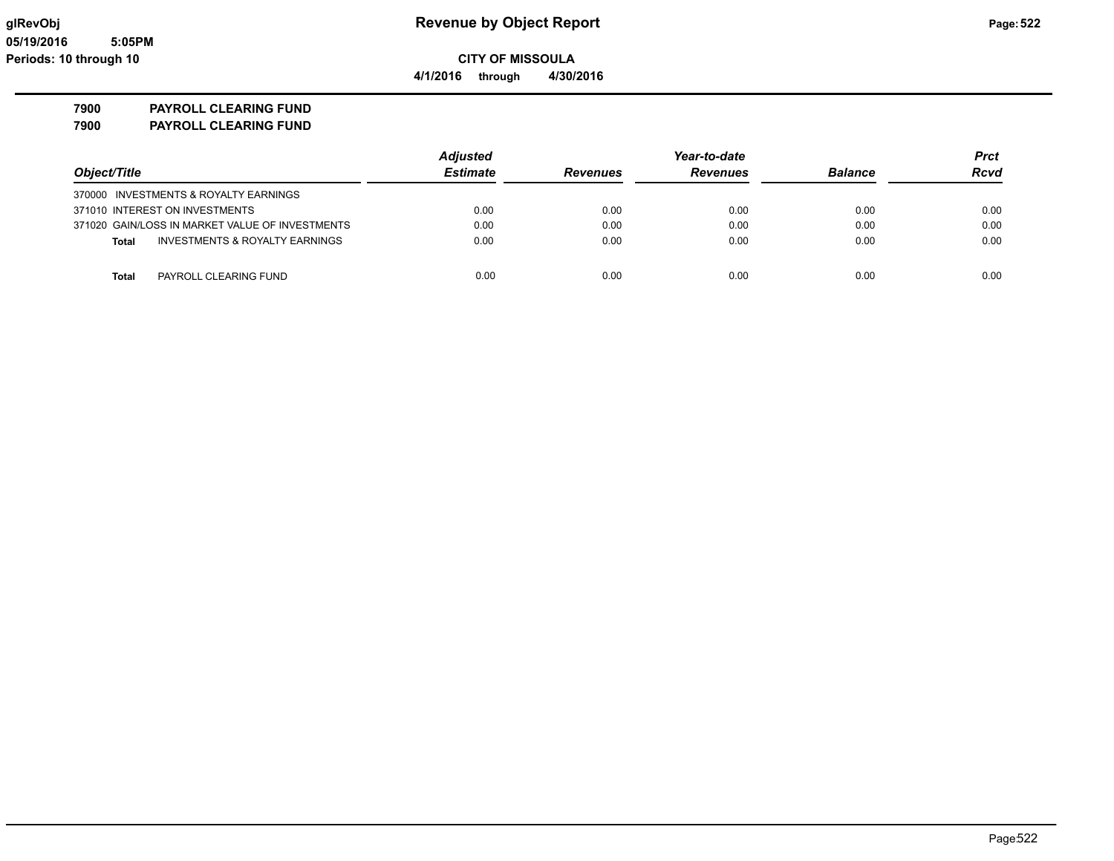**4/1/2016 through 4/30/2016**

**7900 PAYROLL CLEARING FUND**

**7900 PAYROLL CLEARING FUND**

|                                                 | <b>Adjusted</b> |                 | Year-to-date    |                |             |
|-------------------------------------------------|-----------------|-----------------|-----------------|----------------|-------------|
| Object/Title                                    | <b>Estimate</b> | <b>Revenues</b> | <b>Revenues</b> | <b>Balance</b> | <b>Rcvd</b> |
| 370000 INVESTMENTS & ROYALTY EARNINGS           |                 |                 |                 |                |             |
| 371010 INTEREST ON INVESTMENTS                  | 0.00            | 0.00            | 0.00            | 0.00           | 0.00        |
| 371020 GAIN/LOSS IN MARKET VALUE OF INVESTMENTS | 0.00            | 0.00            | 0.00            | 0.00           | 0.00        |
| INVESTMENTS & ROYALTY EARNINGS<br><b>Total</b>  | 0.00            | 0.00            | 0.00            | 0.00           | 0.00        |
| PAYROLL CLEARING FUND<br><b>Total</b>           | 0.00            | 0.00            | 0.00            | 0.00           | 0.00        |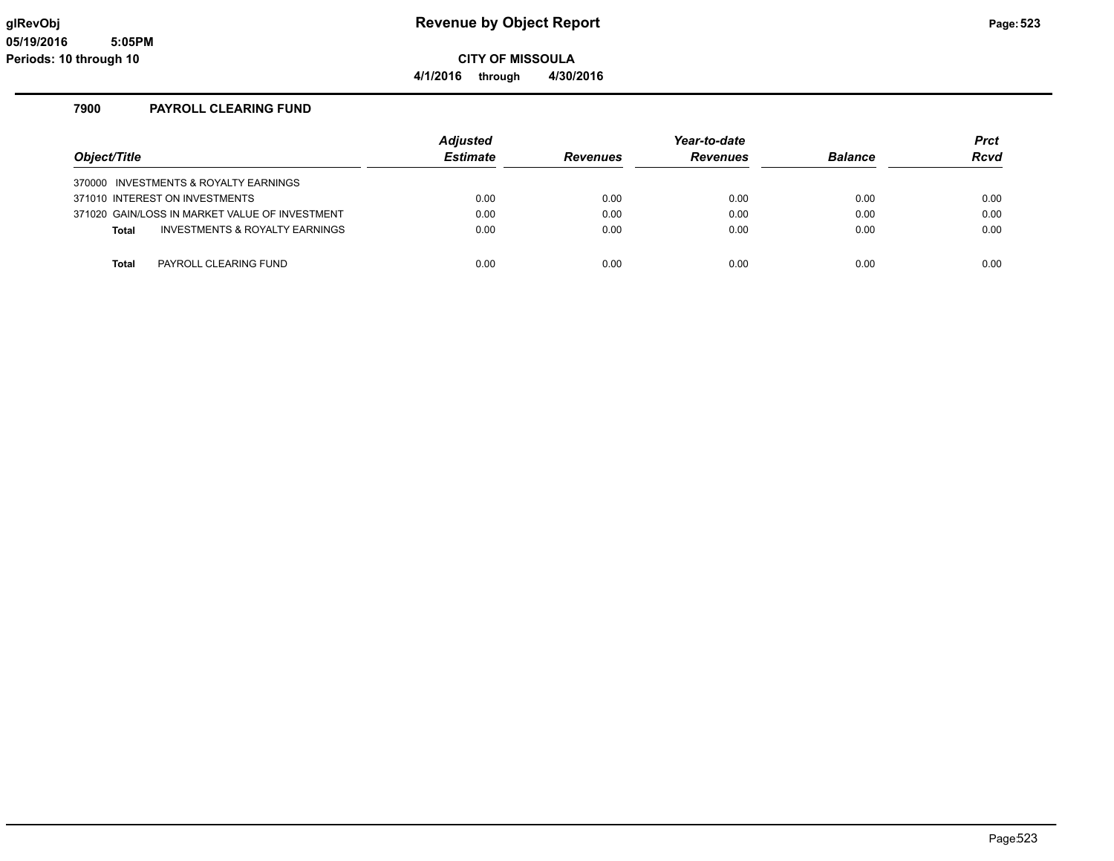**CITY OF MISSOULA 4/1/2016 through 4/30/2016**

#### **7900 PAYROLL CLEARING FUND**

|                                       |                                                | <b>Adjusted</b> |                 | Year-to-date |                | <b>Prct</b> |
|---------------------------------------|------------------------------------------------|-----------------|-----------------|--------------|----------------|-------------|
| Object/Title                          |                                                | <b>Estimate</b> | <b>Revenues</b> | Revenues     | <b>Balance</b> | <b>Rcvd</b> |
| 370000 INVESTMENTS & ROYALTY EARNINGS |                                                |                 |                 |              |                |             |
| 371010 INTEREST ON INVESTMENTS        |                                                | 0.00            | 0.00            | 0.00         | 0.00           | 0.00        |
|                                       | 371020 GAIN/LOSS IN MARKET VALUE OF INVESTMENT | 0.00            | 0.00            | 0.00         | 0.00           | 0.00        |
| <b>Total</b>                          | INVESTMENTS & ROYALTY EARNINGS                 | 0.00            | 0.00            | 0.00         | 0.00           | 0.00        |
|                                       |                                                |                 |                 |              |                |             |
| Total                                 | PAYROLL CLEARING FUND                          | 0.00            | 0.00            | 0.00         | 0.00           | 0.00        |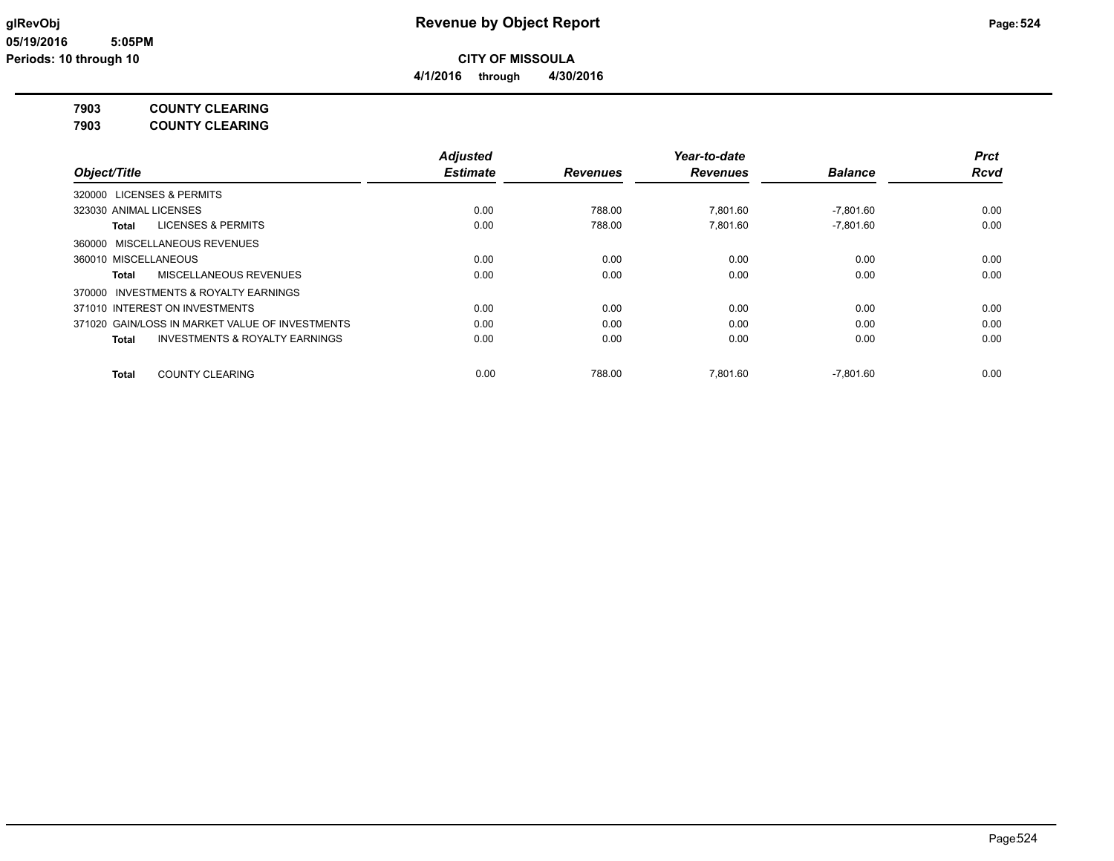#### **7903 COUNTY CLEARING**

**7903 COUNTY CLEARING**

|                                                 | <b>Adjusted</b> |                 | Year-to-date    |                | Prct        |
|-------------------------------------------------|-----------------|-----------------|-----------------|----------------|-------------|
| Object/Title                                    | <b>Estimate</b> | <b>Revenues</b> | <b>Revenues</b> | <b>Balance</b> | <b>Rcvd</b> |
| 320000 LICENSES & PERMITS                       |                 |                 |                 |                |             |
| 323030 ANIMAL LICENSES                          | 0.00            | 788.00          | 7.801.60        | $-7.801.60$    | 0.00        |
| LICENSES & PERMITS<br>Total                     | 0.00            | 788.00          | 7.801.60        | $-7.801.60$    | 0.00        |
| 360000 MISCELLANEOUS REVENUES                   |                 |                 |                 |                |             |
| 360010 MISCELLANEOUS                            | 0.00            | 0.00            | 0.00            | 0.00           | 0.00        |
| <b>MISCELLANEOUS REVENUES</b><br>Total          | 0.00            | 0.00            | 0.00            | 0.00           | 0.00        |
| 370000 INVESTMENTS & ROYALTY EARNINGS           |                 |                 |                 |                |             |
| 371010 INTEREST ON INVESTMENTS                  | 0.00            | 0.00            | 0.00            | 0.00           | 0.00        |
| 371020 GAIN/LOSS IN MARKET VALUE OF INVESTMENTS | 0.00            | 0.00            | 0.00            | 0.00           | 0.00        |
| INVESTMENTS & ROYALTY EARNINGS<br><b>Total</b>  | 0.00            | 0.00            | 0.00            | 0.00           | 0.00        |
| <b>COUNTY CLEARING</b><br>Total                 | 0.00            | 788.00          | 7.801.60        | $-7.801.60$    | 0.00        |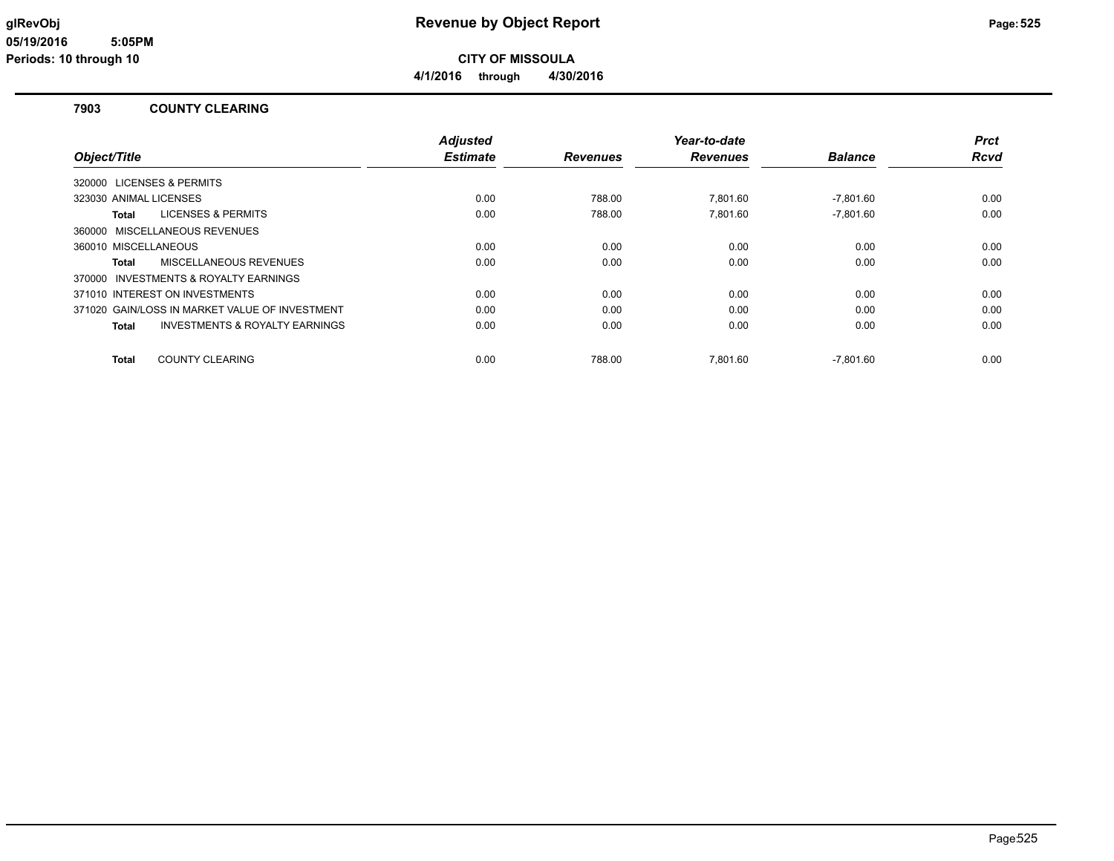**4/1/2016 through 4/30/2016**

#### **7903 COUNTY CLEARING**

|                                                    | <b>Adjusted</b> |                 | Year-to-date    |                | Prct |
|----------------------------------------------------|-----------------|-----------------|-----------------|----------------|------|
| Object/Title                                       | <b>Estimate</b> | <b>Revenues</b> | <b>Revenues</b> | <b>Balance</b> | Rcvd |
| 320000 LICENSES & PERMITS                          |                 |                 |                 |                |      |
| 323030 ANIMAL LICENSES                             | 0.00            | 788.00          | 7,801.60        | $-7,801.60$    | 0.00 |
| <b>LICENSES &amp; PERMITS</b><br>Total             | 0.00            | 788.00          | 7.801.60        | $-7.801.60$    | 0.00 |
| 360000 MISCELLANEOUS REVENUES                      |                 |                 |                 |                |      |
| 360010 MISCELLANEOUS                               | 0.00            | 0.00            | 0.00            | 0.00           | 0.00 |
| MISCELLANEOUS REVENUES<br>Total                    | 0.00            | 0.00            | 0.00            | 0.00           | 0.00 |
| 370000 INVESTMENTS & ROYALTY EARNINGS              |                 |                 |                 |                |      |
| 371010 INTEREST ON INVESTMENTS                     | 0.00            | 0.00            | 0.00            | 0.00           | 0.00 |
| 371020 GAIN/LOSS IN MARKET VALUE OF INVESTMENT     | 0.00            | 0.00            | 0.00            | 0.00           | 0.00 |
| <b>INVESTMENTS &amp; ROYALTY EARNINGS</b><br>Total | 0.00            | 0.00            | 0.00            | 0.00           | 0.00 |
| <b>COUNTY CLEARING</b><br><b>Total</b>             | 0.00            | 788.00          | 7.801.60        | $-7.801.60$    | 0.00 |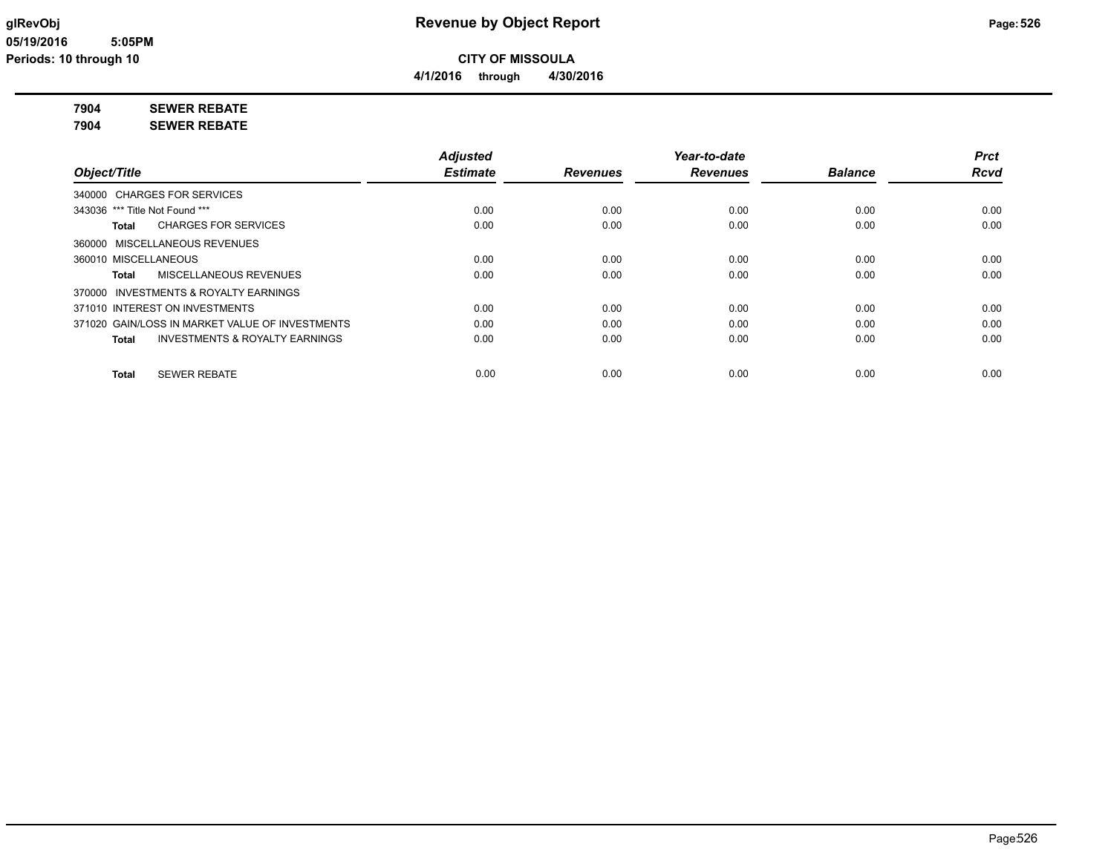**4/1/2016 through 4/30/2016**

#### **7904 SEWER REBATE**

**7904 SEWER REBATE**

|                                                 | <b>Adjusted</b> |                 | Year-to-date    |                | <b>Prct</b> |
|-------------------------------------------------|-----------------|-----------------|-----------------|----------------|-------------|
| Object/Title                                    | <b>Estimate</b> | <b>Revenues</b> | <b>Revenues</b> | <b>Balance</b> | Rcvd        |
| 340000 CHARGES FOR SERVICES                     |                 |                 |                 |                |             |
| 343036 *** Title Not Found ***                  | 0.00            | 0.00            | 0.00            | 0.00           | 0.00        |
| <b>CHARGES FOR SERVICES</b><br>Total            | 0.00            | 0.00            | 0.00            | 0.00           | 0.00        |
| 360000 MISCELLANEOUS REVENUES                   |                 |                 |                 |                |             |
| 360010 MISCELLANEOUS                            | 0.00            | 0.00            | 0.00            | 0.00           | 0.00        |
| MISCELLANEOUS REVENUES<br>Total                 | 0.00            | 0.00            | 0.00            | 0.00           | 0.00        |
| 370000 INVESTMENTS & ROYALTY EARNINGS           |                 |                 |                 |                |             |
| 371010 INTEREST ON INVESTMENTS                  | 0.00            | 0.00            | 0.00            | 0.00           | 0.00        |
| 371020 GAIN/LOSS IN MARKET VALUE OF INVESTMENTS | 0.00            | 0.00            | 0.00            | 0.00           | 0.00        |
| INVESTMENTS & ROYALTY EARNINGS<br>Total         | 0.00            | 0.00            | 0.00            | 0.00           | 0.00        |
| <b>SEWER REBATE</b><br>Total                    | 0.00            | 0.00            | 0.00            | 0.00           | 0.00        |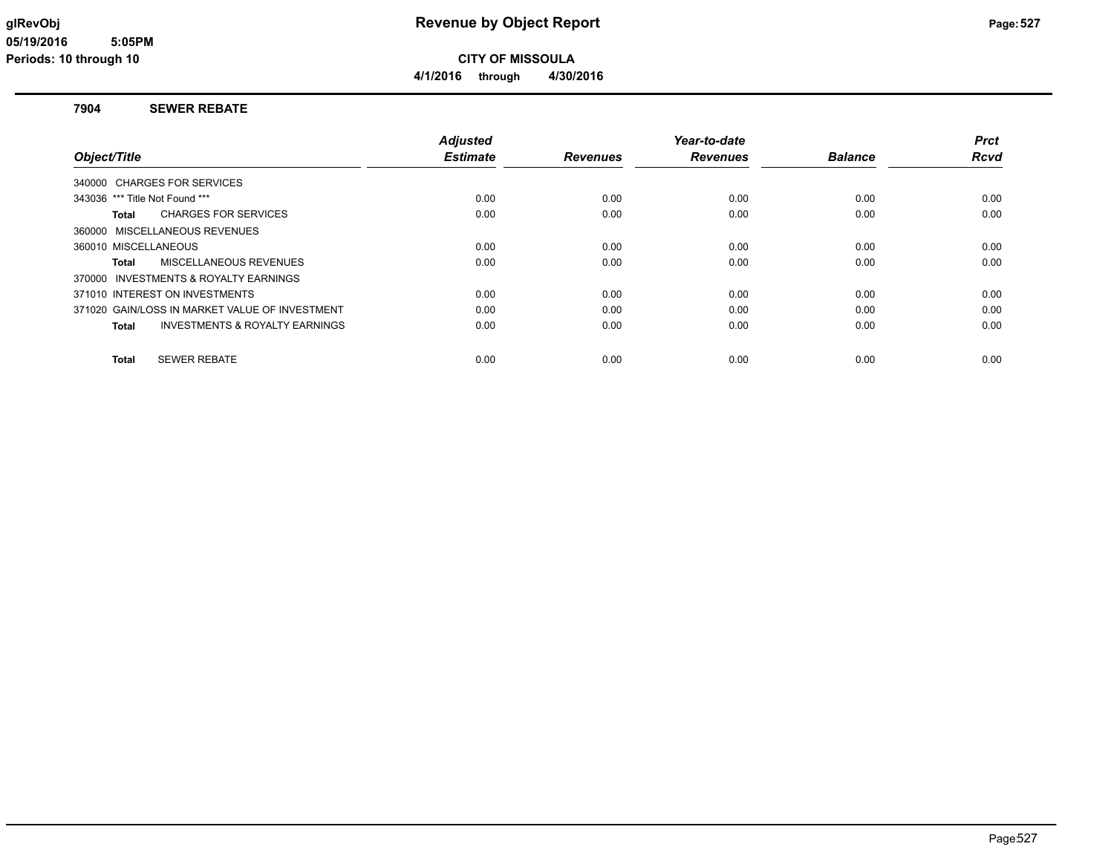**CITY OF MISSOULA 4/1/2016 through 4/30/2016**

#### **7904 SEWER REBATE**

|                                                | <b>Adjusted</b> |                 | Year-to-date    |                | <b>Prct</b> |
|------------------------------------------------|-----------------|-----------------|-----------------|----------------|-------------|
| Object/Title                                   | <b>Estimate</b> | <b>Revenues</b> | <b>Revenues</b> | <b>Balance</b> | Rcvd        |
| 340000 CHARGES FOR SERVICES                    |                 |                 |                 |                |             |
| 343036 *** Title Not Found ***                 | 0.00            | 0.00            | 0.00            | 0.00           | 0.00        |
| <b>CHARGES FOR SERVICES</b><br>Total           | 0.00            | 0.00            | 0.00            | 0.00           | 0.00        |
| 360000 MISCELLANEOUS REVENUES                  |                 |                 |                 |                |             |
| 360010 MISCELLANEOUS                           | 0.00            | 0.00            | 0.00            | 0.00           | 0.00        |
| MISCELLANEOUS REVENUES<br>Total                | 0.00            | 0.00            | 0.00            | 0.00           | 0.00        |
| 370000 INVESTMENTS & ROYALTY EARNINGS          |                 |                 |                 |                |             |
| 371010 INTEREST ON INVESTMENTS                 | 0.00            | 0.00            | 0.00            | 0.00           | 0.00        |
| 371020 GAIN/LOSS IN MARKET VALUE OF INVESTMENT | 0.00            | 0.00            | 0.00            | 0.00           | 0.00        |
| INVESTMENTS & ROYALTY EARNINGS<br>Total        | 0.00            | 0.00            | 0.00            | 0.00           | 0.00        |
| <b>SEWER REBATE</b><br>Total                   | 0.00            | 0.00            | 0.00            | 0.00           | 0.00        |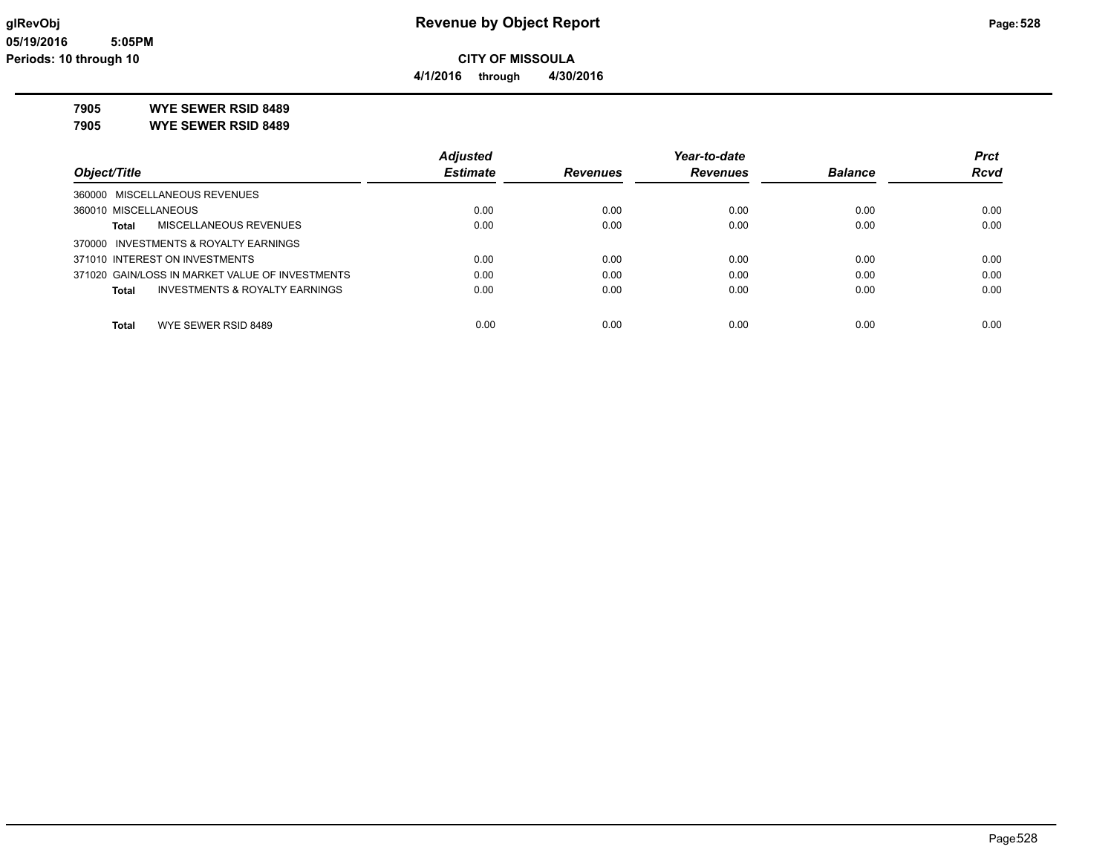**4/1/2016 through 4/30/2016**

### **7905 WYE SEWER RSID 8489**

**7905 WYE SEWER RSID 8489**

|                                                 | <b>Adjusted</b> |                 | Year-to-date    |                | <b>Prct</b> |
|-------------------------------------------------|-----------------|-----------------|-----------------|----------------|-------------|
| Object/Title                                    | <b>Estimate</b> | <b>Revenues</b> | <b>Revenues</b> | <b>Balance</b> | <b>Rcvd</b> |
| 360000 MISCELLANEOUS REVENUES                   |                 |                 |                 |                |             |
| 360010 MISCELLANEOUS                            | 0.00            | 0.00            | 0.00            | 0.00           | 0.00        |
| MISCELLANEOUS REVENUES<br>Total                 | 0.00            | 0.00            | 0.00            | 0.00           | 0.00        |
| 370000 INVESTMENTS & ROYALTY EARNINGS           |                 |                 |                 |                |             |
| 371010 INTEREST ON INVESTMENTS                  | 0.00            | 0.00            | 0.00            | 0.00           | 0.00        |
| 371020 GAIN/LOSS IN MARKET VALUE OF INVESTMENTS | 0.00            | 0.00            | 0.00            | 0.00           | 0.00        |
| INVESTMENTS & ROYALTY EARNINGS<br><b>Total</b>  | 0.00            | 0.00            | 0.00            | 0.00           | 0.00        |
| WYE SEWER RSID 8489<br>Total                    | 0.00            | 0.00            | 0.00            | 0.00           | 0.00        |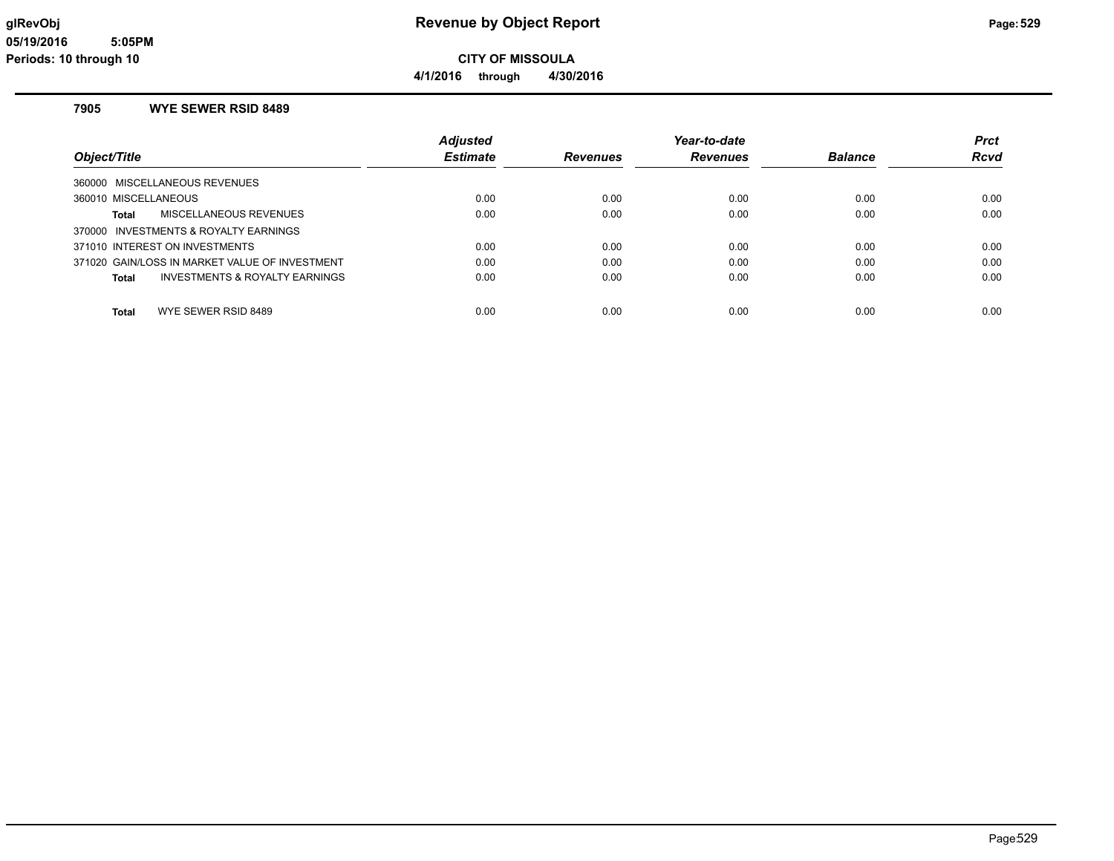**4/1/2016 through 4/30/2016**

#### **7905 WYE SEWER RSID 8489**

|                                                | <b>Adjusted</b> |                 | Year-to-date    |                | <b>Prct</b> |
|------------------------------------------------|-----------------|-----------------|-----------------|----------------|-------------|
| Object/Title                                   | <b>Estimate</b> | <b>Revenues</b> | <b>Revenues</b> | <b>Balance</b> | Rcvd        |
| 360000 MISCELLANEOUS REVENUES                  |                 |                 |                 |                |             |
| 360010 MISCELLANEOUS                           | 0.00            | 0.00            | 0.00            | 0.00           | 0.00        |
| MISCELLANEOUS REVENUES<br>Total                | 0.00            | 0.00            | 0.00            | 0.00           | 0.00        |
| 370000 INVESTMENTS & ROYALTY EARNINGS          |                 |                 |                 |                |             |
| 371010 INTEREST ON INVESTMENTS                 | 0.00            | 0.00            | 0.00            | 0.00           | 0.00        |
| 371020 GAIN/LOSS IN MARKET VALUE OF INVESTMENT | 0.00            | 0.00            | 0.00            | 0.00           | 0.00        |
| INVESTMENTS & ROYALTY EARNINGS<br>Total        | 0.00            | 0.00            | 0.00            | 0.00           | 0.00        |
|                                                |                 |                 |                 |                |             |
| WYE SEWER RSID 8489<br>Total                   | 0.00            | 0.00            | 0.00            | 0.00           | 0.00        |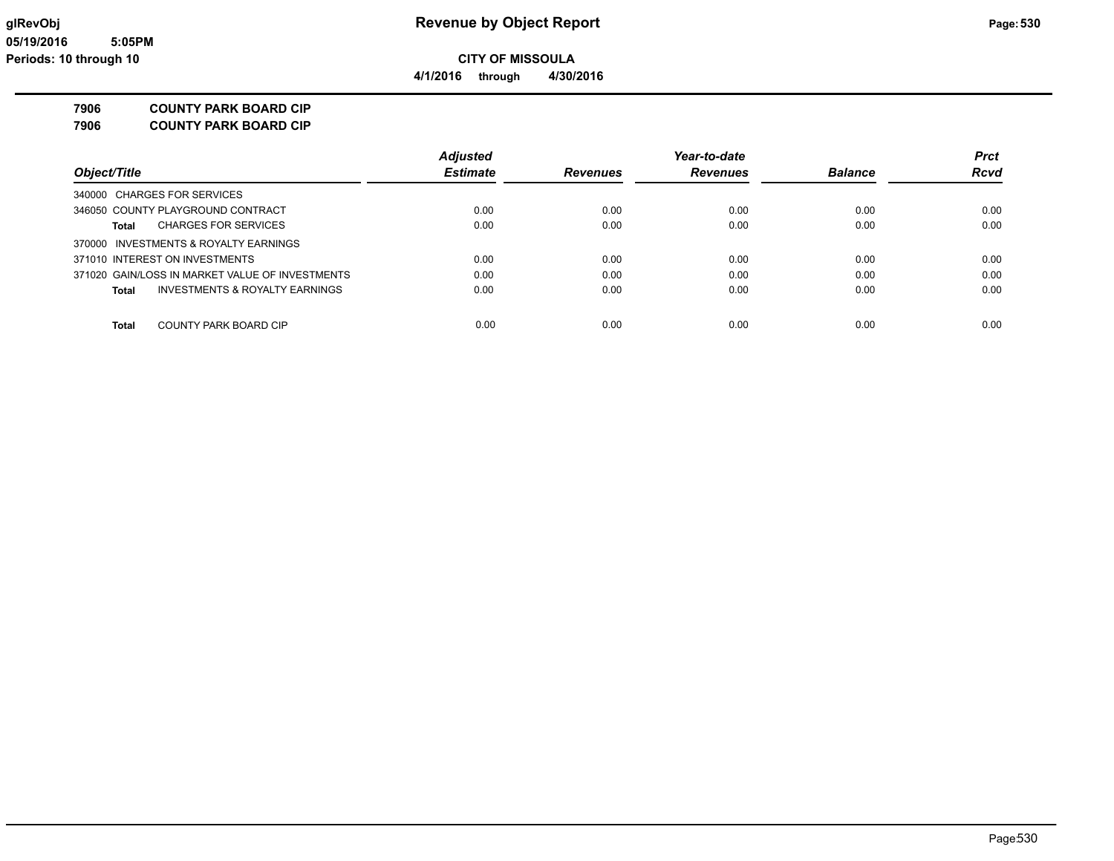# **7906 COUNTY PARK BOARD CIP**

**7906 COUNTY PARK BOARD CIP**

|                                                 | <b>Adjusted</b> |                 | Year-to-date    |                | <b>Prct</b> |
|-------------------------------------------------|-----------------|-----------------|-----------------|----------------|-------------|
| Object/Title                                    | <b>Estimate</b> | <b>Revenues</b> | <b>Revenues</b> | <b>Balance</b> | <b>Rcvd</b> |
| 340000 CHARGES FOR SERVICES                     |                 |                 |                 |                |             |
| 346050 COUNTY PLAYGROUND CONTRACT               | 0.00            | 0.00            | 0.00            | 0.00           | 0.00        |
| <b>CHARGES FOR SERVICES</b><br>Total            | 0.00            | 0.00            | 0.00            | 0.00           | 0.00        |
| 370000 INVESTMENTS & ROYALTY EARNINGS           |                 |                 |                 |                |             |
| 371010 INTEREST ON INVESTMENTS                  | 0.00            | 0.00            | 0.00            | 0.00           | 0.00        |
| 371020 GAIN/LOSS IN MARKET VALUE OF INVESTMENTS | 0.00            | 0.00            | 0.00            | 0.00           | 0.00        |
| INVESTMENTS & ROYALTY EARNINGS<br><b>Total</b>  | 0.00            | 0.00            | 0.00            | 0.00           | 0.00        |
| COUNTY PARK BOARD CIP<br><b>Total</b>           | 0.00            | 0.00            | 0.00            | 0.00           | 0.00        |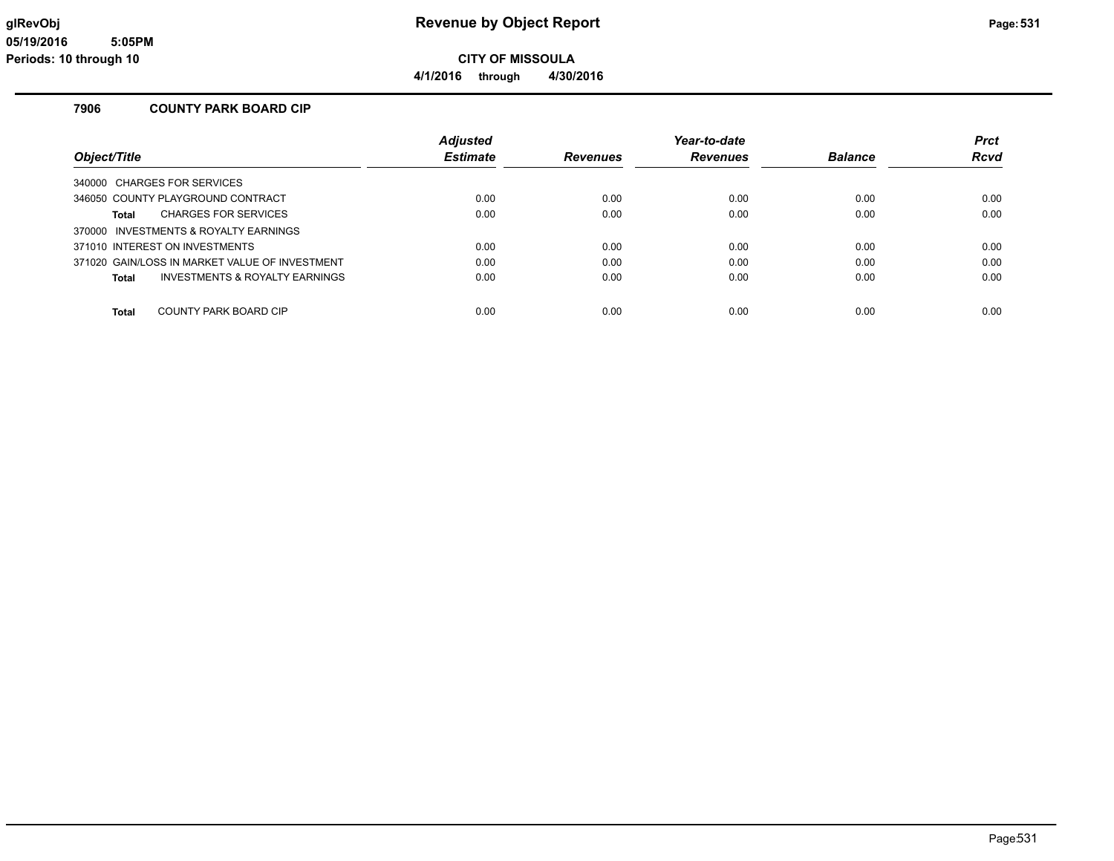**CITY OF MISSOULA**

**4/1/2016 through 4/30/2016**

#### **7906 COUNTY PARK BOARD CIP**

|                                                | <b>Adjusted</b> |                 | Year-to-date    |                | <b>Prct</b> |
|------------------------------------------------|-----------------|-----------------|-----------------|----------------|-------------|
| Object/Title                                   | <b>Estimate</b> | <b>Revenues</b> | <b>Revenues</b> | <b>Balance</b> | Rcvd        |
| 340000 CHARGES FOR SERVICES                    |                 |                 |                 |                |             |
| 346050 COUNTY PLAYGROUND CONTRACT              | 0.00            | 0.00            | 0.00            | 0.00           | 0.00        |
| <b>CHARGES FOR SERVICES</b><br>Total           | 0.00            | 0.00            | 0.00            | 0.00           | 0.00        |
| 370000 INVESTMENTS & ROYALTY EARNINGS          |                 |                 |                 |                |             |
| 371010 INTEREST ON INVESTMENTS                 | 0.00            | 0.00            | 0.00            | 0.00           | 0.00        |
| 371020 GAIN/LOSS IN MARKET VALUE OF INVESTMENT | 0.00            | 0.00            | 0.00            | 0.00           | 0.00        |
| INVESTMENTS & ROYALTY EARNINGS<br>Total        | 0.00            | 0.00            | 0.00            | 0.00           | 0.00        |
|                                                |                 |                 |                 |                |             |
| COUNTY PARK BOARD CIP<br>Total                 | 0.00            | 0.00            | 0.00            | 0.00           | 0.00        |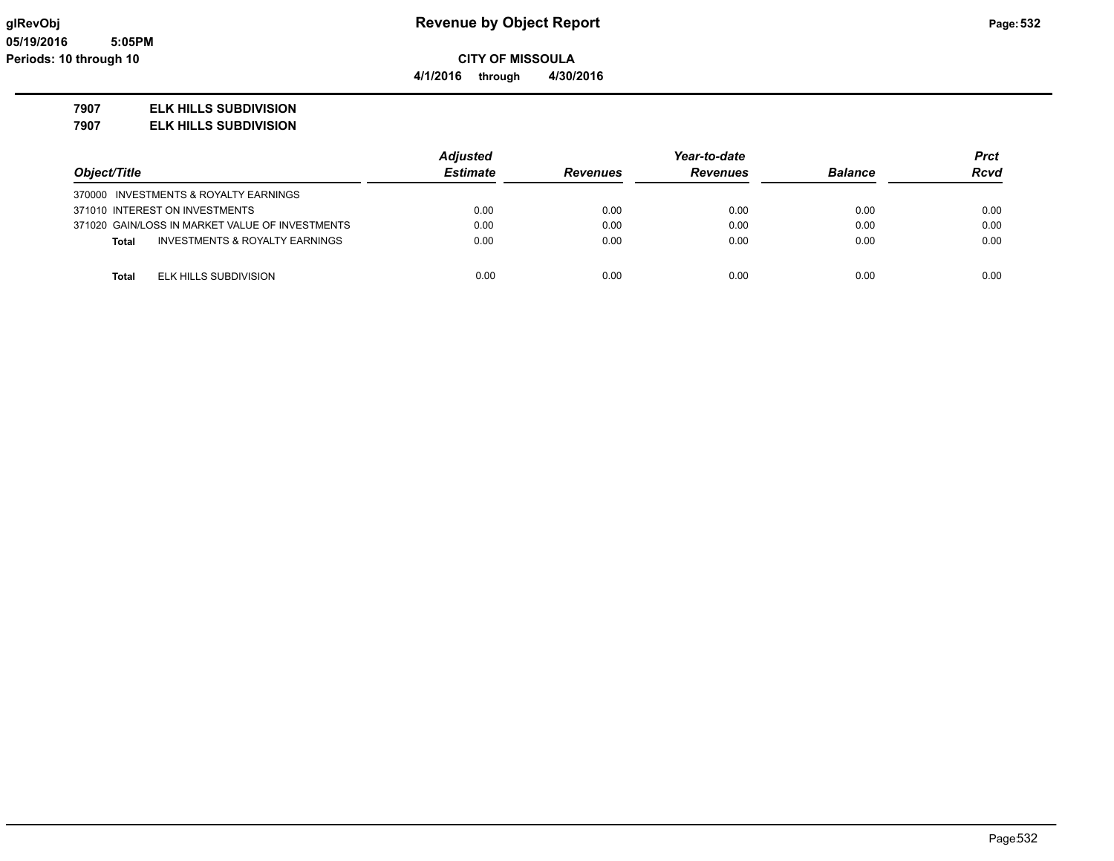**4/1/2016 through 4/30/2016**

### **7907 ELK HILLS SUBDIVISION**

**7907 ELK HILLS SUBDIVISION**

|                                                 | <b>Adjusted</b> | Year-to-date    |                 |                | Prct        |
|-------------------------------------------------|-----------------|-----------------|-----------------|----------------|-------------|
| Object/Title                                    | <b>Estimate</b> | <b>Revenues</b> | <b>Revenues</b> | <b>Balance</b> | <b>Rcvd</b> |
| 370000 INVESTMENTS & ROYALTY EARNINGS           |                 |                 |                 |                |             |
| 371010 INTEREST ON INVESTMENTS                  | 0.00            | 0.00            | 0.00            | 0.00           | 0.00        |
| 371020 GAIN/LOSS IN MARKET VALUE OF INVESTMENTS | 0.00            | 0.00            | 0.00            | 0.00           | 0.00        |
| INVESTMENTS & ROYALTY EARNINGS<br><b>Total</b>  | 0.00            | 0.00            | 0.00            | 0.00           | 0.00        |
| ELK HILLS SUBDIVISION<br><b>Total</b>           | 0.00            | 0.00            | 0.00            | 0.00           | 0.00        |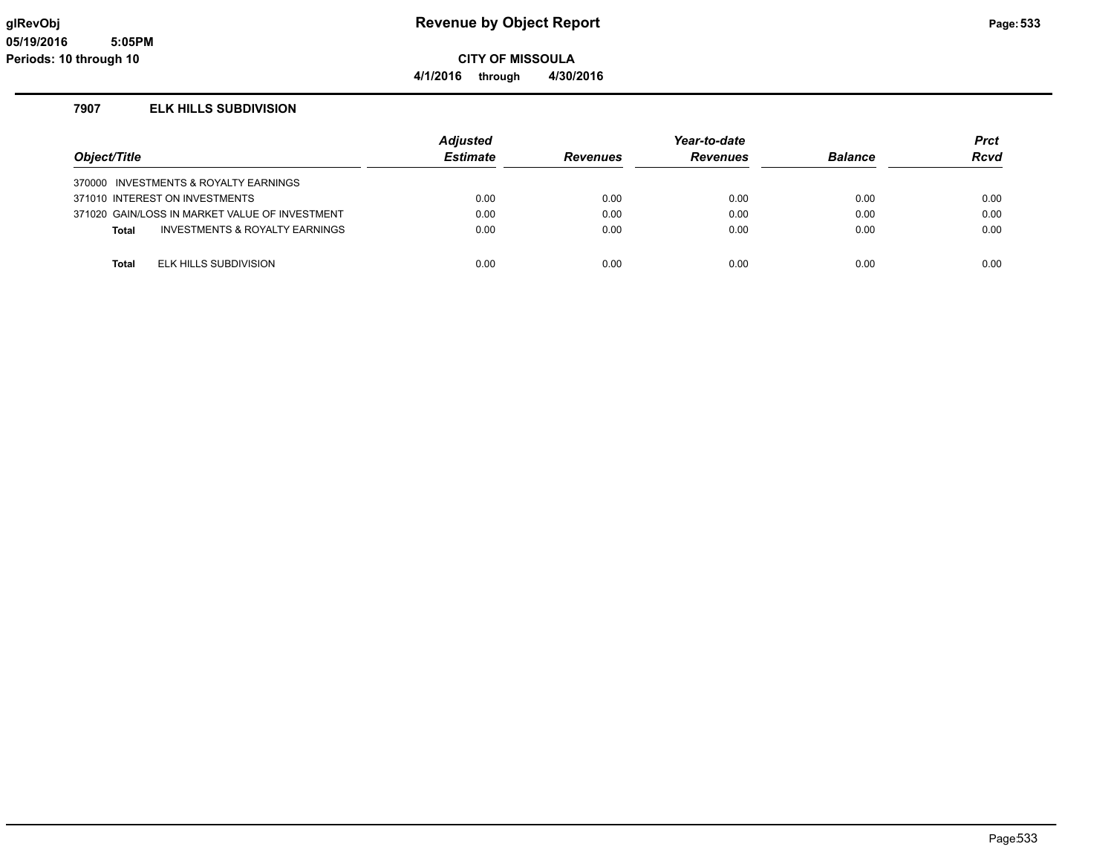**4/1/2016 through 4/30/2016**

#### **7907 ELK HILLS SUBDIVISION**

| Object/Title |                                                | <b>Adjusted</b><br><b>Estimate</b> | <b>Revenues</b> | Year-to-date<br><b>Revenues</b> | <b>Balance</b> | <b>Prct</b><br><b>Rcvd</b> |
|--------------|------------------------------------------------|------------------------------------|-----------------|---------------------------------|----------------|----------------------------|
|              | 370000 INVESTMENTS & ROYALTY EARNINGS          |                                    |                 |                                 |                |                            |
|              | 371010 INTEREST ON INVESTMENTS                 | 0.00                               | 0.00            | 0.00                            | 0.00           | 0.00                       |
|              | 371020 GAIN/LOSS IN MARKET VALUE OF INVESTMENT | 0.00                               | 0.00            | 0.00                            | 0.00           | 0.00                       |
| <b>Total</b> | INVESTMENTS & ROYALTY EARNINGS                 | 0.00                               | 0.00            | 0.00                            | 0.00           | 0.00                       |
|              |                                                |                                    |                 |                                 |                |                            |
| <b>Total</b> | ELK HILLS SUBDIVISION                          | 0.00                               | 0.00            | 0.00                            | 0.00           | 0.00                       |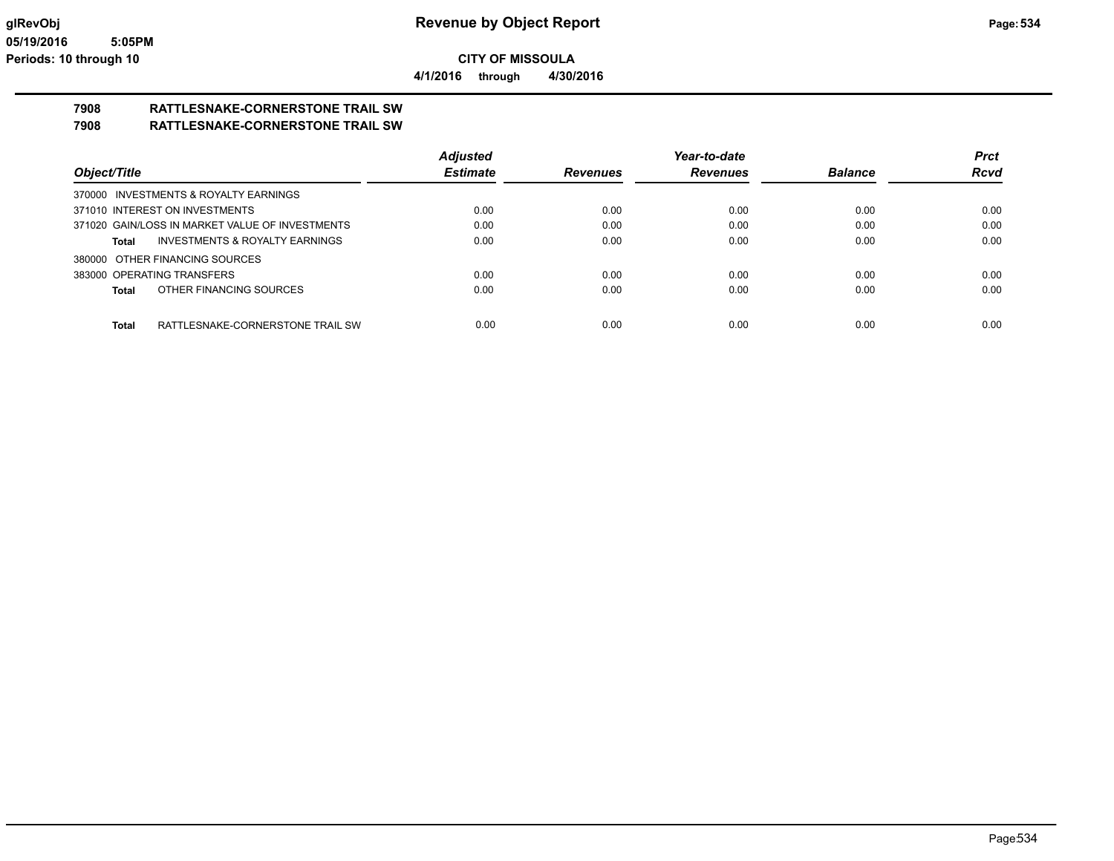**4/1/2016 through 4/30/2016**

# **7908 RATTLESNAKE-CORNERSTONE TRAIL SW**

**7908 RATTLESNAKE-CORNERSTONE TRAIL SW**

|                                                    | <b>Adjusted</b> |                 | Year-to-date    |                | <b>Prct</b> |
|----------------------------------------------------|-----------------|-----------------|-----------------|----------------|-------------|
| Object/Title                                       | <b>Estimate</b> | <b>Revenues</b> | <b>Revenues</b> | <b>Balance</b> | <b>Rcvd</b> |
| 370000 INVESTMENTS & ROYALTY EARNINGS              |                 |                 |                 |                |             |
| 371010 INTEREST ON INVESTMENTS                     | 0.00            | 0.00            | 0.00            | 0.00           | 0.00        |
| 371020 GAIN/LOSS IN MARKET VALUE OF INVESTMENTS    | 0.00            | 0.00            | 0.00            | 0.00           | 0.00        |
| <b>INVESTMENTS &amp; ROYALTY EARNINGS</b><br>Total | 0.00            | 0.00            | 0.00            | 0.00           | 0.00        |
| 380000 OTHER FINANCING SOURCES                     |                 |                 |                 |                |             |
| 383000 OPERATING TRANSFERS                         | 0.00            | 0.00            | 0.00            | 0.00           | 0.00        |
| OTHER FINANCING SOURCES<br><b>Total</b>            | 0.00            | 0.00            | 0.00            | 0.00           | 0.00        |
|                                                    |                 |                 |                 |                |             |
| RATTLESNAKE-CORNERSTONE TRAIL SW<br><b>Total</b>   | 0.00            | 0.00            | 0.00            | 0.00           | 0.00        |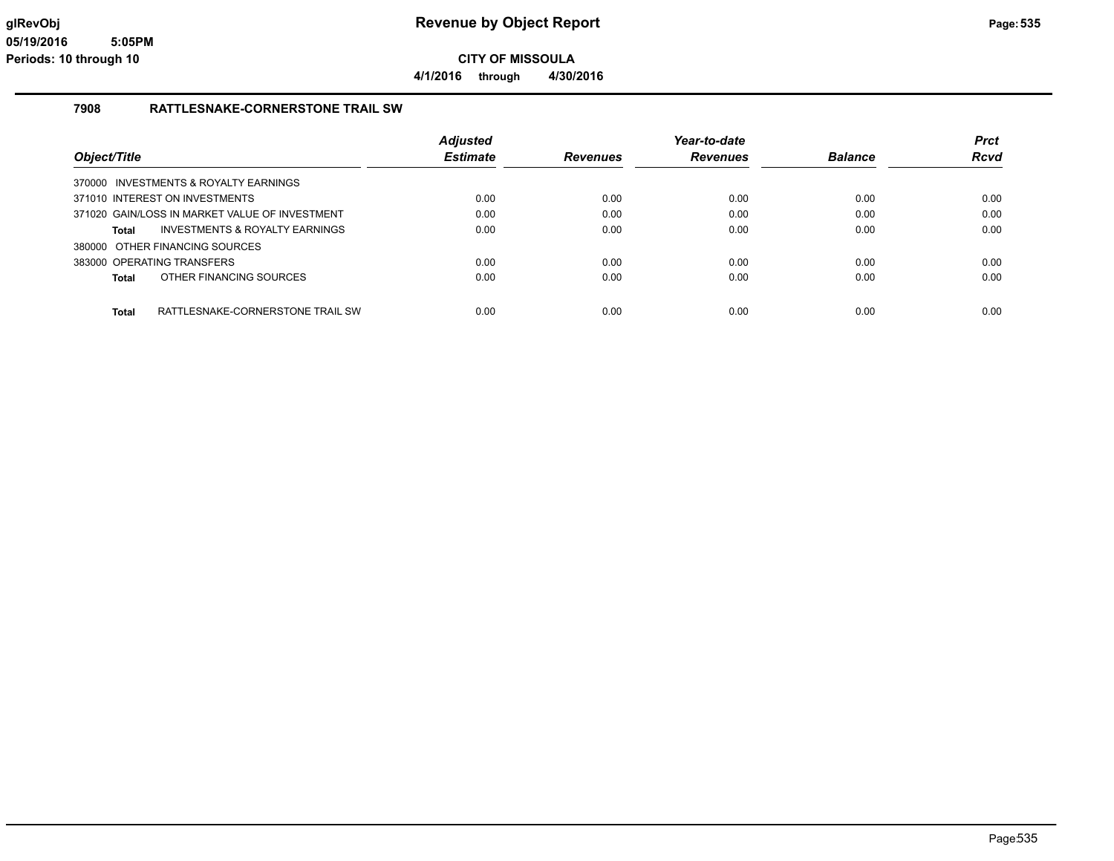**CITY OF MISSOULA 4/1/2016 through 4/30/2016**

#### **7908 RATTLESNAKE-CORNERSTONE TRAIL SW**

|                                                  | <b>Adjusted</b> |                 | Year-to-date    |                | <b>Prct</b> |
|--------------------------------------------------|-----------------|-----------------|-----------------|----------------|-------------|
| Object/Title                                     | <b>Estimate</b> | <b>Revenues</b> | <b>Revenues</b> | <b>Balance</b> | <b>Rcvd</b> |
| 370000 INVESTMENTS & ROYALTY EARNINGS            |                 |                 |                 |                |             |
| 371010 INTEREST ON INVESTMENTS                   | 0.00            | 0.00            | 0.00            | 0.00           | 0.00        |
| 371020 GAIN/LOSS IN MARKET VALUE OF INVESTMENT   | 0.00            | 0.00            | 0.00            | 0.00           | 0.00        |
| INVESTMENTS & ROYALTY EARNINGS<br>Total          | 0.00            | 0.00            | 0.00            | 0.00           | 0.00        |
| 380000 OTHER FINANCING SOURCES                   |                 |                 |                 |                |             |
| 383000 OPERATING TRANSFERS                       | 0.00            | 0.00            | 0.00            | 0.00           | 0.00        |
| OTHER FINANCING SOURCES<br>Total                 | 0.00            | 0.00            | 0.00            | 0.00           | 0.00        |
|                                                  |                 |                 |                 |                |             |
| RATTLESNAKE-CORNERSTONE TRAIL SW<br><b>Total</b> | 0.00            | 0.00            | 0.00            | 0.00           | 0.00        |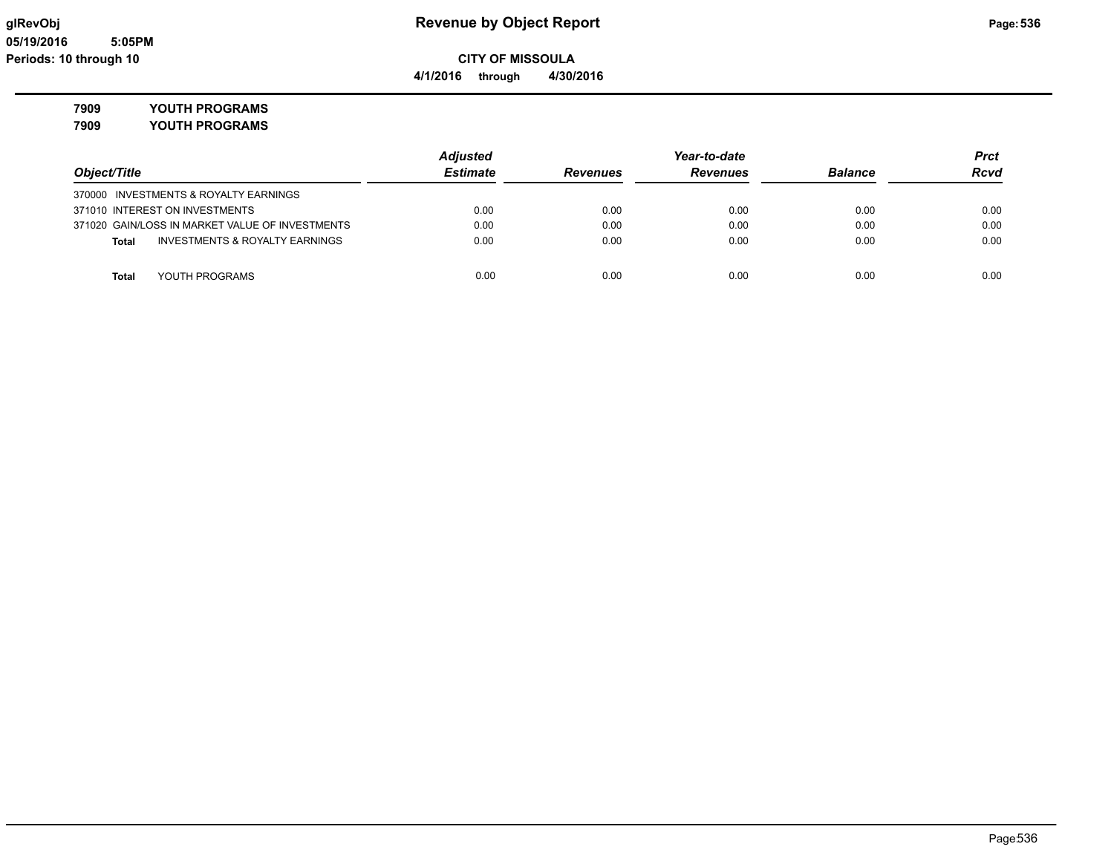# **7909 YOUTH PROGRAMS**

**7909 YOUTH PROGRAMS**

|                                                 | <b>Adjusted</b> |                 | Year-to-date    |                |             |
|-------------------------------------------------|-----------------|-----------------|-----------------|----------------|-------------|
| Object/Title                                    | <b>Estimate</b> | <b>Revenues</b> | <b>Revenues</b> | <b>Balance</b> | <b>Rcvd</b> |
| 370000 INVESTMENTS & ROYALTY EARNINGS           |                 |                 |                 |                |             |
| 371010 INTEREST ON INVESTMENTS                  | 0.00            | 0.00            | 0.00            | 0.00           | 0.00        |
| 371020 GAIN/LOSS IN MARKET VALUE OF INVESTMENTS | 0.00            | 0.00            | 0.00            | 0.00           | 0.00        |
| INVESTMENTS & ROYALTY EARNINGS<br><b>Total</b>  | 0.00            | 0.00            | 0.00            | 0.00           | 0.00        |
| YOUTH PROGRAMS<br>Total                         | 0.00            | 0.00            | 0.00            | 0.00           | 0.00        |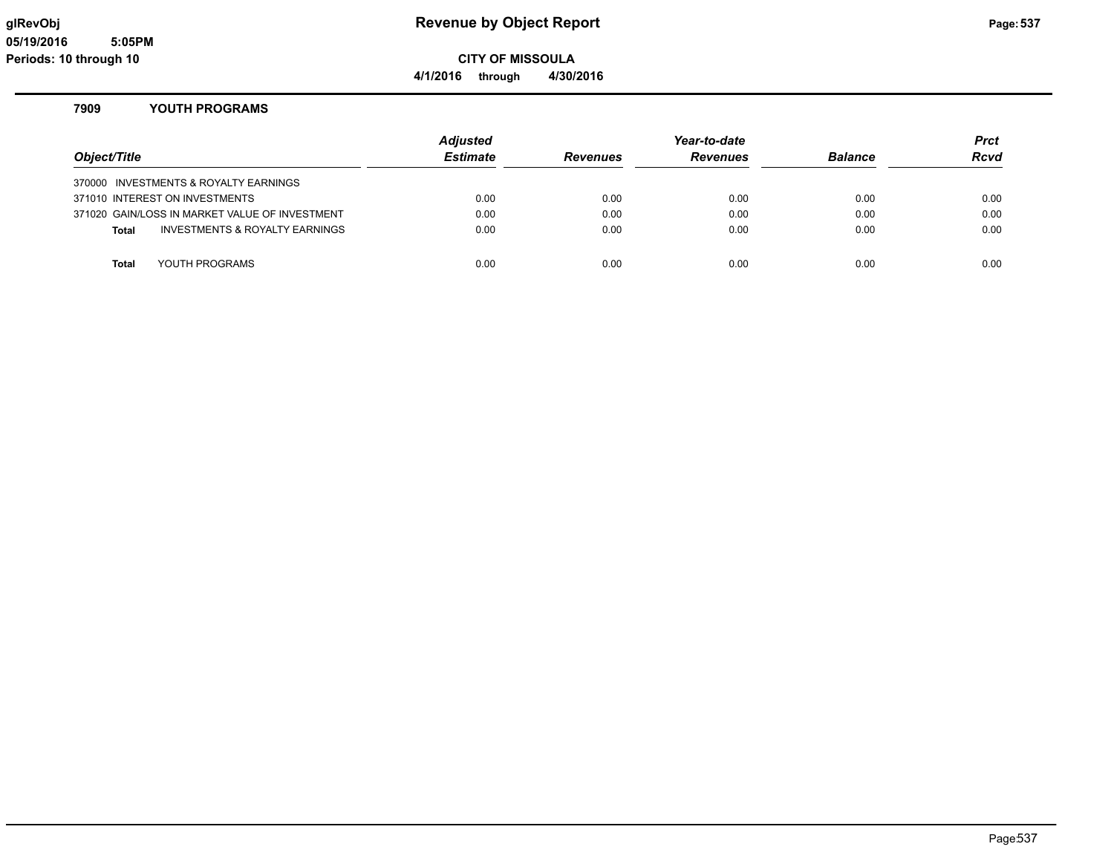**4/1/2016 through 4/30/2016**

#### **7909 YOUTH PROGRAMS**

| Object/Title |                                                | <b>Adjusted</b><br><b>Estimate</b> | <b>Revenues</b> | Year-to-date<br><b>Revenues</b> | <b>Balance</b> | <b>Prct</b><br><b>Rcvd</b> |
|--------------|------------------------------------------------|------------------------------------|-----------------|---------------------------------|----------------|----------------------------|
|              | 370000 INVESTMENTS & ROYALTY EARNINGS          |                                    |                 |                                 |                |                            |
|              | 371010 INTEREST ON INVESTMENTS                 | 0.00                               | 0.00            | 0.00                            | 0.00           | 0.00                       |
|              | 371020 GAIN/LOSS IN MARKET VALUE OF INVESTMENT | 0.00                               | 0.00            | 0.00                            | 0.00           | 0.00                       |
| <b>Total</b> | INVESTMENTS & ROYALTY EARNINGS                 | 0.00                               | 0.00            | 0.00                            | 0.00           | 0.00                       |
|              |                                                |                                    |                 |                                 |                |                            |
| <b>Total</b> | YOUTH PROGRAMS                                 | 0.00                               | 0.00            | 0.00                            | 0.00           | 0.00                       |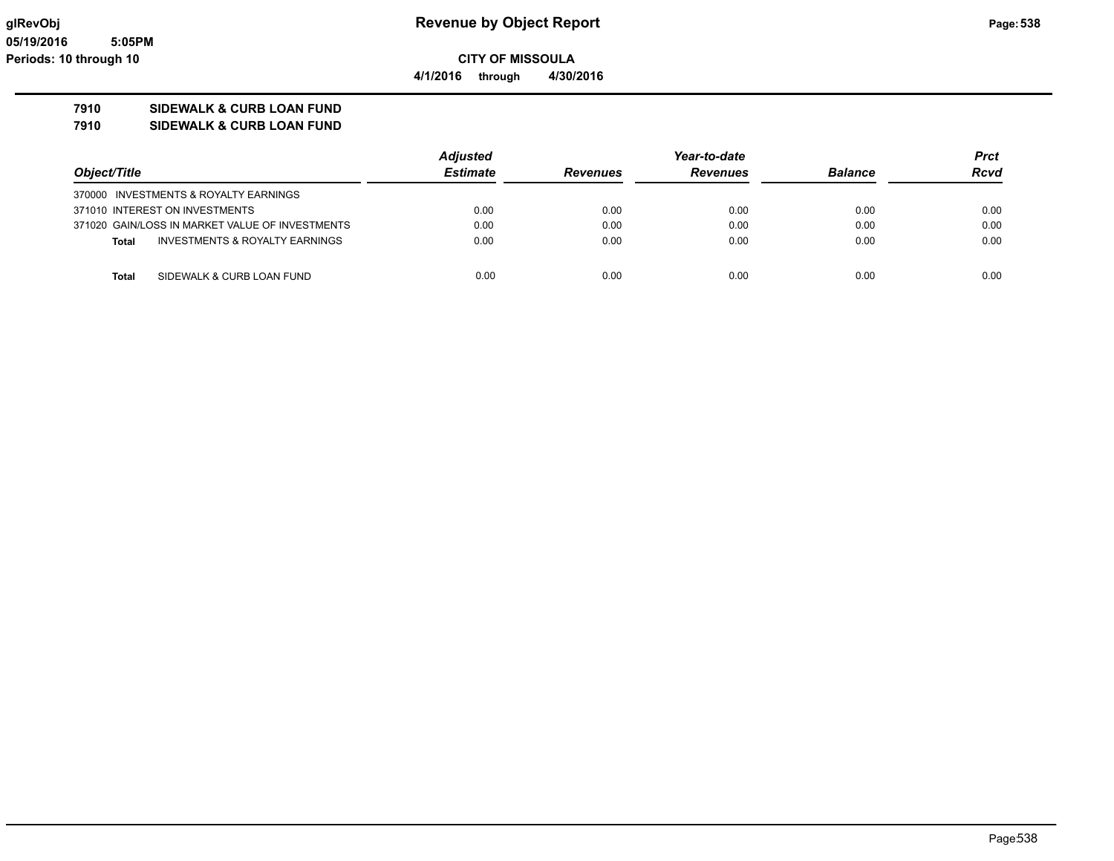**CITY OF MISSOULA 4/1/2016 through 4/30/2016**

#### **7910 SIDEWALK & CURB LOAN FUND**

**7910 SIDEWALK & CURB LOAN FUND**

|                                                 | <b>Adjusted</b> | Year-to-date    |                 |                | Prct        |
|-------------------------------------------------|-----------------|-----------------|-----------------|----------------|-------------|
| Object/Title                                    | <b>Estimate</b> | <b>Revenues</b> | <b>Revenues</b> | <b>Balance</b> | <b>Rcvd</b> |
| 370000 INVESTMENTS & ROYALTY EARNINGS           |                 |                 |                 |                |             |
| 371010 INTEREST ON INVESTMENTS                  | 0.00            | 0.00            | 0.00            | 0.00           | 0.00        |
| 371020 GAIN/LOSS IN MARKET VALUE OF INVESTMENTS | 0.00            | 0.00            | 0.00            | 0.00           | 0.00        |
| INVESTMENTS & ROYALTY EARNINGS<br><b>Total</b>  | 0.00            | 0.00            | 0.00            | 0.00           | 0.00        |
| SIDEWALK & CURB LOAN FUND<br>Total              | 0.00            | 0.00            | 0.00            | 0.00           | 0.00        |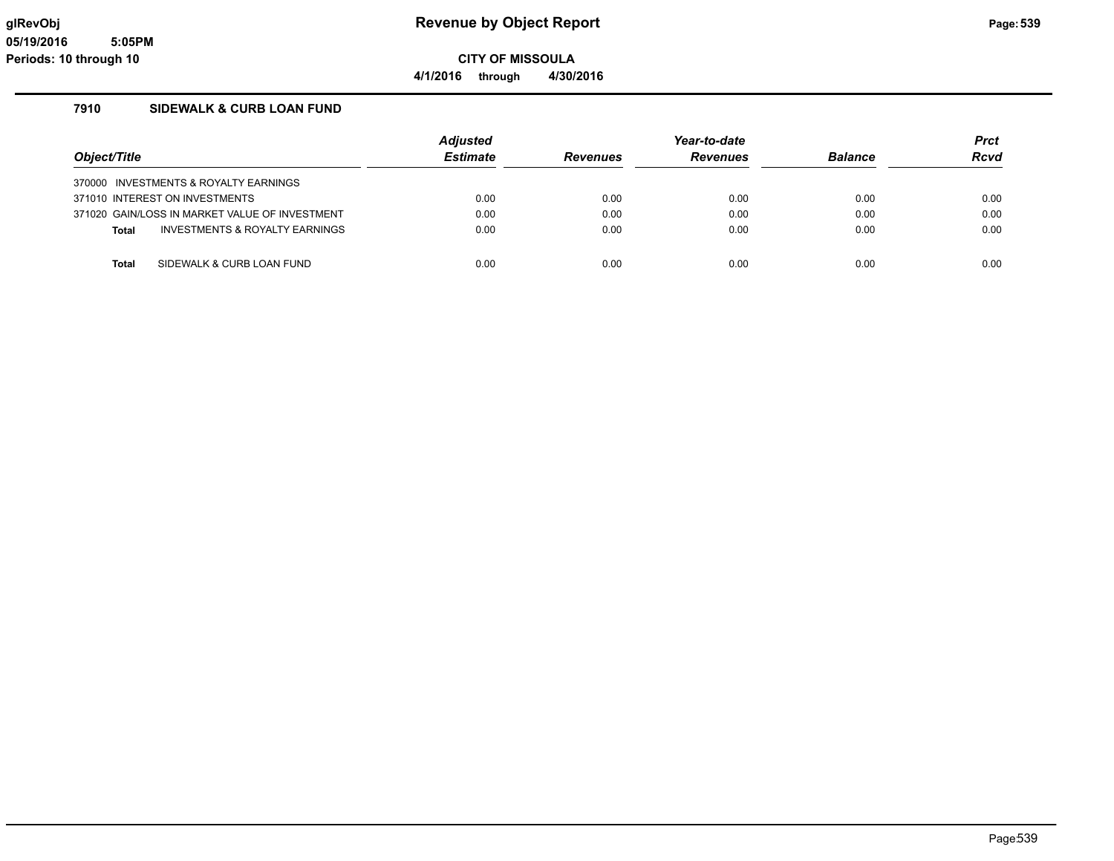**4/1/2016 through 4/30/2016**

#### **7910 SIDEWALK & CURB LOAN FUND**

|                                                | <b>Adjusted</b> |                 | Year-to-date    |                | <b>Prct</b> |
|------------------------------------------------|-----------------|-----------------|-----------------|----------------|-------------|
| Object/Title                                   | <b>Estimate</b> | <b>Revenues</b> | <b>Revenues</b> | <b>Balance</b> | <b>Rcvd</b> |
| 370000 INVESTMENTS & ROYALTY EARNINGS          |                 |                 |                 |                |             |
| 371010 INTEREST ON INVESTMENTS                 | 0.00            | 0.00            | 0.00            | 0.00           | 0.00        |
| 371020 GAIN/LOSS IN MARKET VALUE OF INVESTMENT | 0.00            | 0.00            | 0.00            | 0.00           | 0.00        |
| INVESTMENTS & ROYALTY EARNINGS<br><b>Total</b> | 0.00            | 0.00            | 0.00            | 0.00           | 0.00        |
|                                                |                 |                 |                 |                | 0.00        |
| SIDEWALK & CURB LOAN FUND<br><b>Total</b>      | 0.00            | 0.00            | 0.00            | 0.00           |             |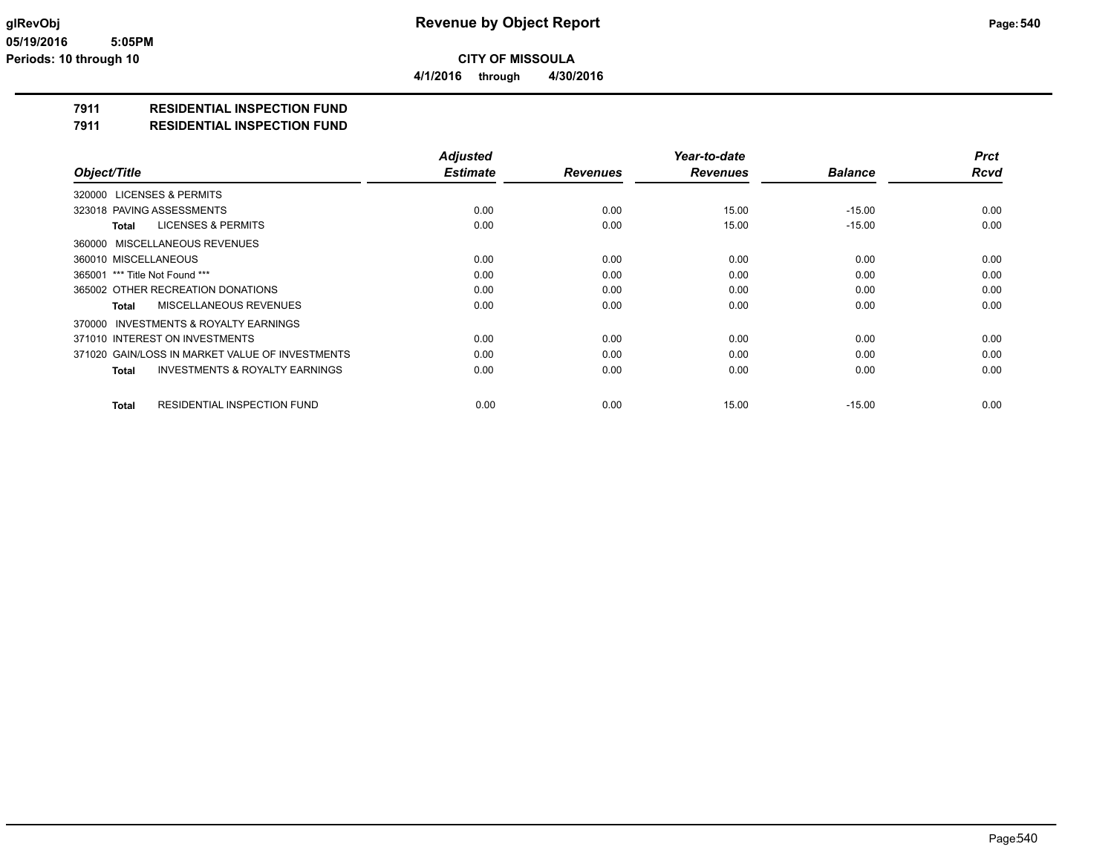**4/1/2016 through 4/30/2016**

### **7911 RESIDENTIAL INSPECTION FUND**

#### **7911 RESIDENTIAL INSPECTION FUND**

|                                                    | <b>Adjusted</b> |                 | Year-to-date    |                | <b>Prct</b> |
|----------------------------------------------------|-----------------|-----------------|-----------------|----------------|-------------|
| Object/Title                                       | <b>Estimate</b> | <b>Revenues</b> | <b>Revenues</b> | <b>Balance</b> | <b>Rcvd</b> |
| 320000 LICENSES & PERMITS                          |                 |                 |                 |                |             |
| 323018 PAVING ASSESSMENTS                          | 0.00            | 0.00            | 15.00           | $-15.00$       | 0.00        |
| <b>LICENSES &amp; PERMITS</b><br>Total             | 0.00            | 0.00            | 15.00           | $-15.00$       | 0.00        |
| 360000 MISCELLANEOUS REVENUES                      |                 |                 |                 |                |             |
| 360010 MISCELLANEOUS                               | 0.00            | 0.00            | 0.00            | 0.00           | 0.00        |
| 365001 *** Title Not Found ***                     | 0.00            | 0.00            | 0.00            | 0.00           | 0.00        |
| 365002 OTHER RECREATION DONATIONS                  | 0.00            | 0.00            | 0.00            | 0.00           | 0.00        |
| MISCELLANEOUS REVENUES<br>Total                    | 0.00            | 0.00            | 0.00            | 0.00           | 0.00        |
| 370000 INVESTMENTS & ROYALTY EARNINGS              |                 |                 |                 |                |             |
| 371010 INTEREST ON INVESTMENTS                     | 0.00            | 0.00            | 0.00            | 0.00           | 0.00        |
| 371020 GAIN/LOSS IN MARKET VALUE OF INVESTMENTS    | 0.00            | 0.00            | 0.00            | 0.00           | 0.00        |
| <b>INVESTMENTS &amp; ROYALTY EARNINGS</b><br>Total | 0.00            | 0.00            | 0.00            | 0.00           | 0.00        |
| <b>RESIDENTIAL INSPECTION FUND</b><br><b>Total</b> | 0.00            | 0.00            | 15.00           | $-15.00$       | 0.00        |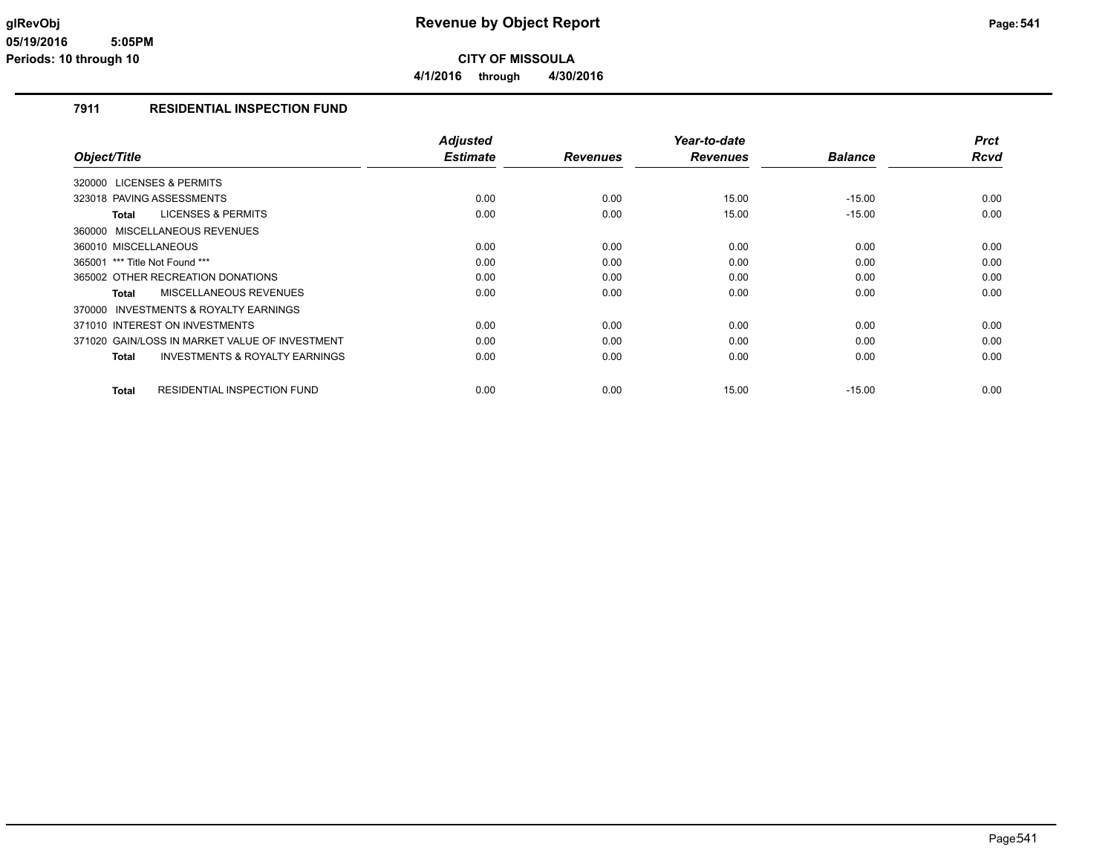# **7911 RESIDENTIAL INSPECTION FUND**

| Object/Title                                       | <b>Adjusted</b><br><b>Estimate</b> | <b>Revenues</b> | Year-to-date<br><b>Revenues</b> | <b>Balance</b> | <b>Prct</b><br><b>Rcvd</b> |
|----------------------------------------------------|------------------------------------|-----------------|---------------------------------|----------------|----------------------------|
| 320000 LICENSES & PERMITS                          |                                    |                 |                                 |                |                            |
| 323018 PAVING ASSESSMENTS                          | 0.00                               | 0.00            | 15.00                           | $-15.00$       | 0.00                       |
| <b>LICENSES &amp; PERMITS</b><br>Total             | 0.00                               | 0.00            | 15.00                           | $-15.00$       | 0.00                       |
| 360000 MISCELLANEOUS REVENUES                      |                                    |                 |                                 |                |                            |
| 360010 MISCELLANEOUS                               | 0.00                               | 0.00            | 0.00                            | 0.00           | 0.00                       |
| 365001 *** Title Not Found ***                     | 0.00                               | 0.00            | 0.00                            | 0.00           | 0.00                       |
| 365002 OTHER RECREATION DONATIONS                  | 0.00                               | 0.00            | 0.00                            | 0.00           | 0.00                       |
| <b>MISCELLANEOUS REVENUES</b><br>Total             | 0.00                               | 0.00            | 0.00                            | 0.00           | 0.00                       |
| INVESTMENTS & ROYALTY EARNINGS<br>370000           |                                    |                 |                                 |                |                            |
| 371010 INTEREST ON INVESTMENTS                     | 0.00                               | 0.00            | 0.00                            | 0.00           | 0.00                       |
| 371020 GAIN/LOSS IN MARKET VALUE OF INVESTMENT     | 0.00                               | 0.00            | 0.00                            | 0.00           | 0.00                       |
| <b>INVESTMENTS &amp; ROYALTY EARNINGS</b><br>Total | 0.00                               | 0.00            | 0.00                            | 0.00           | 0.00                       |
|                                                    |                                    |                 |                                 |                |                            |
| RESIDENTIAL INSPECTION FUND<br><b>Total</b>        | 0.00                               | 0.00            | 15.00                           | $-15.00$       | 0.00                       |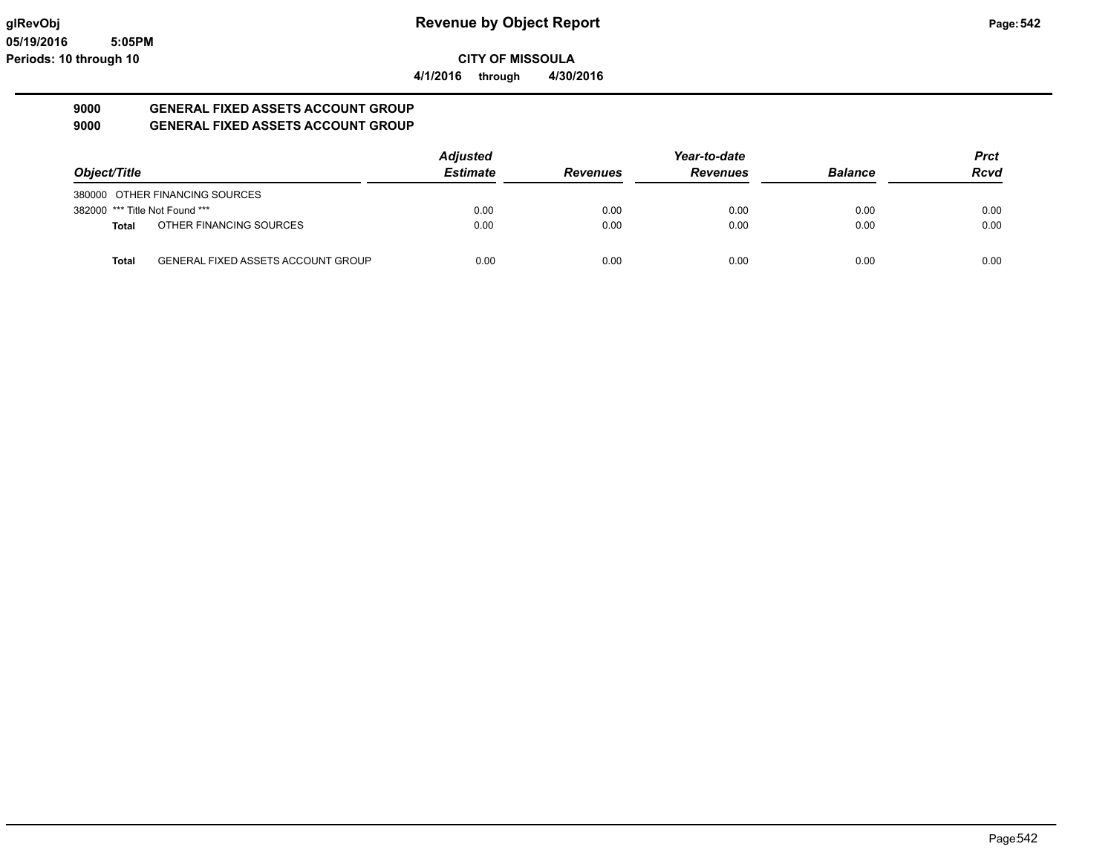**CITY OF MISSOULA**

**4/1/2016 through 4/30/2016**

## **9000 GENERAL FIXED ASSETS ACCOUNT GROUP 9000 GENERAL FIXED ASSETS ACCOUNT GROUP**

| Object/Title                   |                                           | <b>Adjusted</b> |                 | Year-to-date    |                | <b>Prct</b><br><b>Rcvd</b> |
|--------------------------------|-------------------------------------------|-----------------|-----------------|-----------------|----------------|----------------------------|
|                                |                                           | <b>Estimate</b> | <b>Revenues</b> | <b>Revenues</b> | <b>Balance</b> |                            |
|                                | 380000 OTHER FINANCING SOURCES            |                 |                 |                 |                |                            |
| 382000 *** Title Not Found *** |                                           | 0.00            | 0.00            | 0.00            | 0.00           | 0.00                       |
| Total                          | OTHER FINANCING SOURCES                   | 0.00            | 0.00            | 0.00            | 0.00           | 0.00                       |
| Total                          | <b>GENERAL FIXED ASSETS ACCOUNT GROUP</b> | 0.00            | 0.00            | 0.00            | 0.00           | 0.00                       |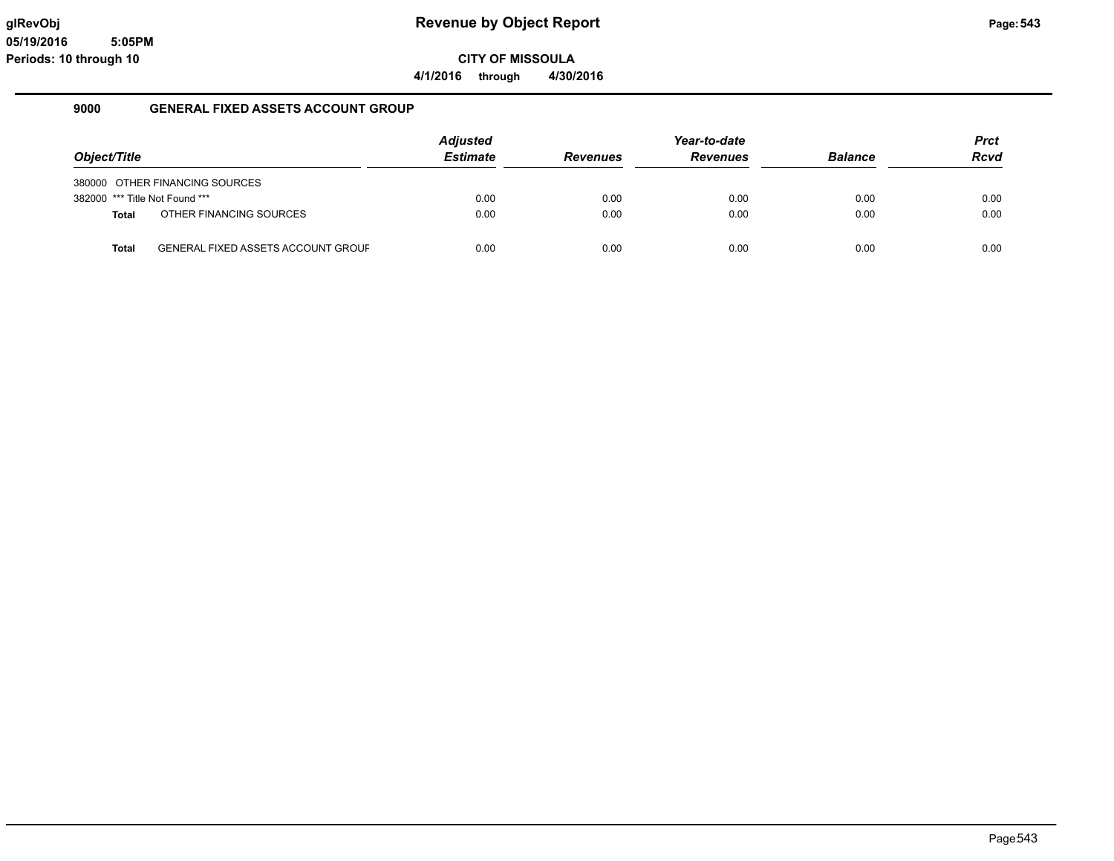**CITY OF MISSOULA**

**4/1/2016 through 4/30/2016**

## **9000 GENERAL FIXED ASSETS ACCOUNT GROUP**

|                                |                                           | <b>Adjusted</b> |                 | Year-to-date    |                | <b>Prct</b> |
|--------------------------------|-------------------------------------------|-----------------|-----------------|-----------------|----------------|-------------|
| Object/Title                   |                                           | <b>Estimate</b> | <b>Revenues</b> | <b>Revenues</b> | <b>Balance</b> | <b>Rcvd</b> |
|                                | 380000 OTHER FINANCING SOURCES            |                 |                 |                 |                |             |
| 382000 *** Title Not Found *** |                                           | 0.00            | 0.00            | 0.00            | 0.00           | 0.00        |
| Total                          | OTHER FINANCING SOURCES                   | 0.00            | 0.00            | 0.00            | 0.00           | 0.00        |
|                                |                                           |                 |                 |                 |                |             |
| <b>Total</b>                   | <b>GENERAL FIXED ASSETS ACCOUNT GROUF</b> | 0.00            | 0.00            | 0.00            | 0.00           | 0.00        |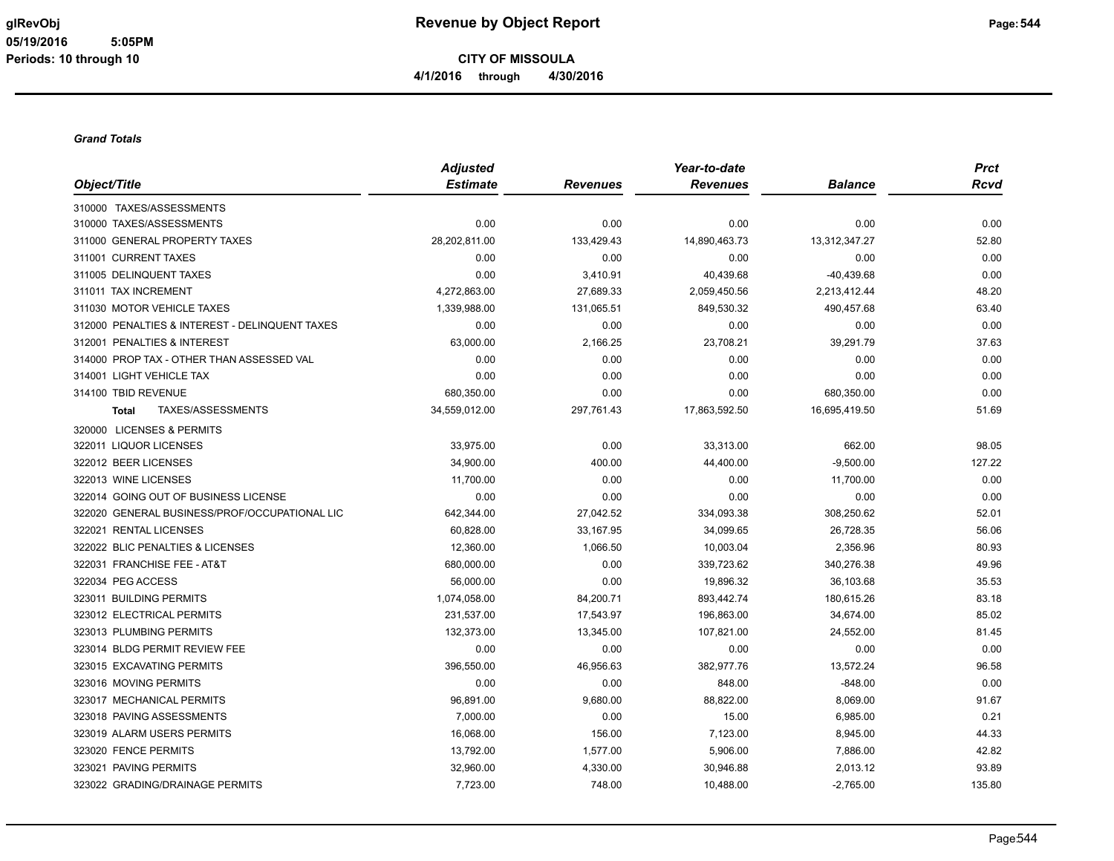#### *Grand Totals*

|                                                | <b>Adjusted</b> |                 | Year-to-date    |                | <b>Prct</b> |
|------------------------------------------------|-----------------|-----------------|-----------------|----------------|-------------|
| Object/Title                                   | <b>Estimate</b> | <b>Revenues</b> | <b>Revenues</b> | <b>Balance</b> | <b>Rcvd</b> |
| 310000 TAXES/ASSESSMENTS                       |                 |                 |                 |                |             |
| 310000 TAXES/ASSESSMENTS                       | 0.00            | 0.00            | 0.00            | 0.00           | 0.00        |
| 311000 GENERAL PROPERTY TAXES                  | 28,202,811.00   | 133,429.43      | 14,890,463.73   | 13,312,347.27  | 52.80       |
| 311001 CURRENT TAXES                           | 0.00            | 0.00            | 0.00            | 0.00           | 0.00        |
| 311005 DELINQUENT TAXES                        | 0.00            | 3,410.91        | 40,439.68       | -40,439.68     | 0.00        |
| 311011 TAX INCREMENT                           | 4,272,863.00    | 27,689.33       | 2,059,450.56    | 2,213,412.44   | 48.20       |
| 311030 MOTOR VEHICLE TAXES                     | 1,339,988.00    | 131,065.51      | 849,530.32      | 490,457.68     | 63.40       |
| 312000 PENALTIES & INTEREST - DELINQUENT TAXES | 0.00            | 0.00            | 0.00            | 0.00           | 0.00        |
| 312001 PENALTIES & INTEREST                    | 63,000.00       | 2,166.25        | 23,708.21       | 39,291.79      | 37.63       |
| 314000 PROP TAX - OTHER THAN ASSESSED VAL      | 0.00            | 0.00            | 0.00            | 0.00           | 0.00        |
| 314001 LIGHT VEHICLE TAX                       | 0.00            | 0.00            | 0.00            | 0.00           | 0.00        |
| 314100 TBID REVENUE                            | 680,350.00      | 0.00            | 0.00            | 680,350.00     | 0.00        |
| TAXES/ASSESSMENTS<br><b>Total</b>              | 34,559,012.00   | 297,761.43      | 17,863,592.50   | 16,695,419.50  | 51.69       |
| 320000 LICENSES & PERMITS                      |                 |                 |                 |                |             |
| 322011 LIQUOR LICENSES                         | 33,975.00       | 0.00            | 33,313.00       | 662.00         | 98.05       |
| 322012 BEER LICENSES                           | 34,900.00       | 400.00          | 44,400.00       | $-9,500.00$    | 127.22      |
| 322013 WINE LICENSES                           | 11,700.00       | 0.00            | 0.00            | 11,700.00      | 0.00        |
| 322014 GOING OUT OF BUSINESS LICENSE           | 0.00            | 0.00            | 0.00            | 0.00           | 0.00        |
| 322020 GENERAL BUSINESS/PROF/OCCUPATIONAL LIC  | 642,344.00      | 27,042.52       | 334,093.38      | 308,250.62     | 52.01       |
| 322021 RENTAL LICENSES                         | 60,828.00       | 33,167.95       | 34,099.65       | 26,728.35      | 56.06       |
| 322022 BLIC PENALTIES & LICENSES               | 12,360.00       | 1,066.50        | 10,003.04       | 2,356.96       | 80.93       |
| 322031 FRANCHISE FEE - AT&T                    | 680,000.00      | 0.00            | 339,723.62      | 340,276.38     | 49.96       |
| 322034 PEG ACCESS                              | 56,000.00       | 0.00            | 19,896.32       | 36,103.68      | 35.53       |
| 323011 BUILDING PERMITS                        | 1,074,058.00    | 84,200.71       | 893,442.74      | 180,615.26     | 83.18       |
| 323012 ELECTRICAL PERMITS                      | 231,537.00      | 17,543.97       | 196,863.00      | 34,674.00      | 85.02       |
| 323013 PLUMBING PERMITS                        | 132,373.00      | 13,345.00       | 107,821.00      | 24,552.00      | 81.45       |
| 323014 BLDG PERMIT REVIEW FEE                  | 0.00            | 0.00            | 0.00            | 0.00           | 0.00        |
| 323015 EXCAVATING PERMITS                      | 396,550.00      | 46,956.63       | 382,977.76      | 13,572.24      | 96.58       |
| 323016 MOVING PERMITS                          | 0.00            | 0.00            | 848.00          | $-848.00$      | 0.00        |
| 323017 MECHANICAL PERMITS                      | 96,891.00       | 9,680.00        | 88,822.00       | 8,069.00       | 91.67       |
| 323018 PAVING ASSESSMENTS                      | 7,000.00        | 0.00            | 15.00           | 6,985.00       | 0.21        |
| 323019 ALARM USERS PERMITS                     | 16,068.00       | 156.00          | 7,123.00        | 8,945.00       | 44.33       |
| 323020 FENCE PERMITS                           | 13,792.00       | 1,577.00        | 5,906.00        | 7,886.00       | 42.82       |
| 323021 PAVING PERMITS                          | 32,960.00       | 4,330.00        | 30,946.88       | 2,013.12       | 93.89       |
| 323022 GRADING/DRAINAGE PERMITS                | 7,723.00        | 748.00          | 10,488.00       | $-2,765.00$    | 135.80      |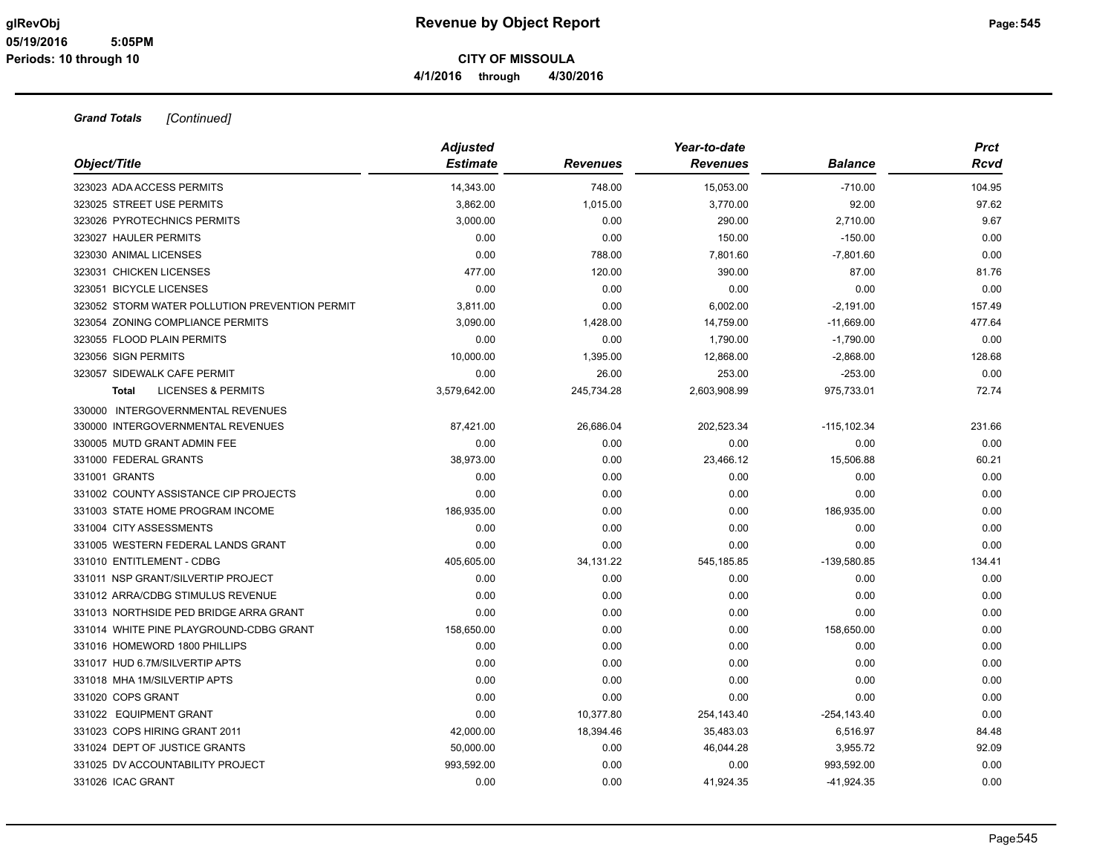|                                                | <b>Adjusted</b> |                 | Year-to-date    |                | <b>Prct</b> |
|------------------------------------------------|-----------------|-----------------|-----------------|----------------|-------------|
| Object/Title                                   | <b>Estimate</b> | <b>Revenues</b> | <b>Revenues</b> | <b>Balance</b> | Rcvd        |
| 323023 ADA ACCESS PERMITS                      | 14,343.00       | 748.00          | 15,053.00       | $-710.00$      | 104.95      |
| 323025 STREET USE PERMITS                      | 3.862.00        | 1,015.00        | 3,770.00        | 92.00          | 97.62       |
| 323026 PYROTECHNICS PERMITS                    | 3.000.00        | 0.00            | 290.00          | 2,710.00       | 9.67        |
| 323027 HAULER PERMITS                          | 0.00            | 0.00            | 150.00          | $-150.00$      | 0.00        |
| 323030 ANIMAL LICENSES                         | 0.00            | 788.00          | 7,801.60        | $-7,801.60$    | 0.00        |
| 323031 CHICKEN LICENSES                        | 477.00          | 120.00          | 390.00          | 87.00          | 81.76       |
| 323051 BICYCLE LICENSES                        | 0.00            | 0.00            | 0.00            | 0.00           | 0.00        |
| 323052 STORM WATER POLLUTION PREVENTION PERMIT | 3,811.00        | 0.00            | 6,002.00        | $-2,191.00$    | 157.49      |
| 323054 ZONING COMPLIANCE PERMITS               | 3,090.00        | 1,428.00        | 14,759.00       | $-11,669.00$   | 477.64      |
| 323055 FLOOD PLAIN PERMITS                     | 0.00            | 0.00            | 1,790.00        | $-1,790.00$    | 0.00        |
| 323056 SIGN PERMITS                            | 10,000.00       | 1,395.00        | 12,868.00       | $-2,868.00$    | 128.68      |
| 323057 SIDEWALK CAFE PERMIT                    | 0.00            | 26.00           | 253.00          | $-253.00$      | 0.00        |
| <b>LICENSES &amp; PERMITS</b><br><b>Total</b>  | 3,579,642.00    | 245,734.28      | 2,603,908.99    | 975,733.01     | 72.74       |
| 330000 INTERGOVERNMENTAL REVENUES              |                 |                 |                 |                |             |
| 330000 INTERGOVERNMENTAL REVENUES              | 87,421.00       | 26,686.04       | 202,523.34      | $-115, 102.34$ | 231.66      |
| 330005 MUTD GRANT ADMIN FEE                    | 0.00            | 0.00            | 0.00            | 0.00           | 0.00        |
| 331000 FEDERAL GRANTS                          | 38,973.00       | 0.00            | 23,466.12       | 15,506.88      | 60.21       |
| 331001 GRANTS                                  | 0.00            | 0.00            | 0.00            | 0.00           | 0.00        |
| 331002 COUNTY ASSISTANCE CIP PROJECTS          | 0.00            | 0.00            | 0.00            | 0.00           | 0.00        |
| 331003 STATE HOME PROGRAM INCOME               | 186,935.00      | 0.00            | 0.00            | 186,935.00     | 0.00        |
| 331004 CITY ASSESSMENTS                        | 0.00            | 0.00            | 0.00            | 0.00           | 0.00        |
| 331005 WESTERN FEDERAL LANDS GRANT             | 0.00            | 0.00            | 0.00            | 0.00           | 0.00        |
| 331010 ENTITLEMENT - CDBG                      | 405,605.00      | 34,131.22       | 545,185.85      | $-139,580.85$  | 134.41      |
| 331011 NSP GRANT/SILVERTIP PROJECT             | 0.00            | 0.00            | 0.00            | 0.00           | 0.00        |
| 331012 ARRA/CDBG STIMULUS REVENUE              | 0.00            | 0.00            | 0.00            | 0.00           | 0.00        |
| 331013 NORTHSIDE PED BRIDGE ARRA GRANT         | 0.00            | 0.00            | 0.00            | 0.00           | 0.00        |
| 331014 WHITE PINE PLAYGROUND-CDBG GRANT        | 158,650.00      | 0.00            | 0.00            | 158,650.00     | 0.00        |
| 331016 HOMEWORD 1800 PHILLIPS                  | 0.00            | 0.00            | 0.00            | 0.00           | 0.00        |
| 331017 HUD 6.7M/SILVERTIP APTS                 | 0.00            | 0.00            | 0.00            | 0.00           | 0.00        |
| 331018 MHA 1M/SILVERTIP APTS                   | 0.00            | 0.00            | 0.00            | 0.00           | 0.00        |
| 331020 COPS GRANT                              | 0.00            | 0.00            | 0.00            | 0.00           | 0.00        |
| 331022 EQUIPMENT GRANT                         | 0.00            | 10,377.80       | 254,143.40      | $-254, 143.40$ | 0.00        |
| 331023 COPS HIRING GRANT 2011                  | 42,000.00       | 18,394.46       | 35,483.03       | 6,516.97       | 84.48       |
| 331024 DEPT OF JUSTICE GRANTS                  | 50,000.00       | 0.00            | 46,044.28       | 3,955.72       | 92.09       |
| 331025 DV ACCOUNTABILITY PROJECT               | 993,592.00      | 0.00            | 0.00            | 993,592.00     | 0.00        |
| 331026 ICAC GRANT                              | 0.00            | 0.00            | 41,924.35       | $-41,924.35$   | 0.00        |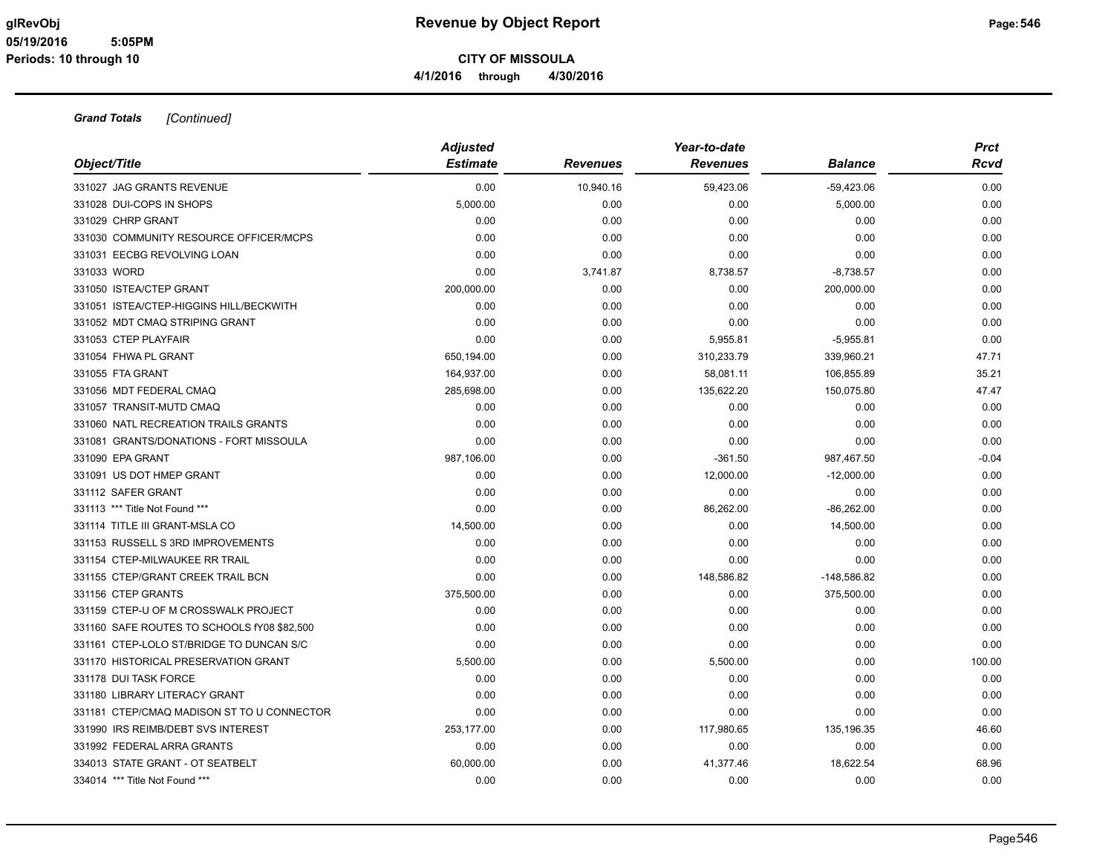| Object/Title                                | <b>Adjusted</b><br><b>Estimate</b> | <b>Revenues</b> | Year-to-date<br><b>Revenues</b> | <b>Balance</b> | Prct<br><b>Rcvd</b> |
|---------------------------------------------|------------------------------------|-----------------|---------------------------------|----------------|---------------------|
| 331027 JAG GRANTS REVENUE                   | 0.00                               | 10,940.16       | 59,423.06                       | $-59,423.06$   | 0.00                |
| 331028 DUI-COPS IN SHOPS                    | 5,000.00                           | 0.00            | 0.00                            | 5,000.00       | 0.00                |
| 331029 CHRP GRANT                           | 0.00                               | 0.00            | 0.00                            | 0.00           | 0.00                |
| 331030 COMMUNITY RESOURCE OFFICER/MCPS      | 0.00                               | 0.00            | 0.00                            | 0.00           | 0.00                |
| 331031 EECBG REVOLVING LOAN                 | 0.00                               | 0.00            | 0.00                            | 0.00           | 0.00                |
| 331033 WORD                                 | 0.00                               | 3,741.87        | 8,738.57                        | $-8,738.57$    | 0.00                |
| 331050 ISTEA/CTEP GRANT                     | 200,000.00                         | 0.00            | 0.00                            | 200,000.00     | 0.00                |
| 331051 ISTEA/CTEP-HIGGINS HILL/BECKWITH     | 0.00                               | 0.00            | 0.00                            | 0.00           | 0.00                |
| 331052 MDT CMAQ STRIPING GRANT              | 0.00                               | 0.00            | 0.00                            | 0.00           | 0.00                |
| 331053 CTEP PLAYFAIR                        | 0.00                               | 0.00            | 5,955.81                        | $-5,955.81$    | 0.00                |
| 331054 FHWA PL GRANT                        | 650,194.00                         | 0.00            | 310,233.79                      | 339,960.21     | 47.71               |
| 331055 FTA GRANT                            | 164,937.00                         | 0.00            | 58,081.11                       | 106,855.89     | 35.21               |
| 331056 MDT FEDERAL CMAQ                     | 285,698.00                         | 0.00            | 135,622.20                      | 150,075.80     | 47.47               |
| 331057 TRANSIT-MUTD CMAQ                    | 0.00                               | 0.00            | 0.00                            | 0.00           | 0.00                |
| 331060 NATL RECREATION TRAILS GRANTS        | 0.00                               | 0.00            | 0.00                            | 0.00           | 0.00                |
| 331081 GRANTS/DONATIONS - FORT MISSOULA     | 0.00                               | 0.00            | 0.00                            | 0.00           | 0.00                |
| 331090 EPA GRANT                            | 987,106.00                         | 0.00            | $-361.50$                       | 987,467.50     | $-0.04$             |
| 331091 US DOT HMEP GRANT                    | 0.00                               | 0.00            | 12,000.00                       | $-12,000.00$   | 0.00                |
| 331112 SAFER GRANT                          | 0.00                               | 0.00            | 0.00                            | 0.00           | 0.00                |
| 331113 *** Title Not Found ***              | 0.00                               | 0.00            | 86,262.00                       | $-86,262.00$   | 0.00                |
| 331114 TITLE III GRANT-MSLA CO              | 14,500.00                          | 0.00            | 0.00                            | 14,500.00      | 0.00                |
| 331153 RUSSELL S 3RD IMPROVEMENTS           | 0.00                               | 0.00            | 0.00                            | 0.00           | 0.00                |
| 331154 CTEP-MILWAUKEE RR TRAIL              | 0.00                               | 0.00            | 0.00                            | 0.00           | 0.00                |
| 331155 CTEP/GRANT CREEK TRAIL BCN           | 0.00                               | 0.00            | 148,586.82                      | $-148,586.82$  | 0.00                |
| 331156 CTEP GRANTS                          | 375,500.00                         | 0.00            | 0.00                            | 375,500.00     | 0.00                |
| 331159 CTEP-U OF M CROSSWALK PROJECT        | 0.00                               | 0.00            | 0.00                            | 0.00           | 0.00                |
| 331160 SAFE ROUTES TO SCHOOLS fY08 \$82,500 | 0.00                               | 0.00            | 0.00                            | 0.00           | 0.00                |
| 331161 CTEP-LOLO ST/BRIDGE TO DUNCAN S/C    | 0.00                               | 0.00            | 0.00                            | 0.00           | 0.00                |
| 331170 HISTORICAL PRESERVATION GRANT        | 5,500.00                           | 0.00            | 5,500.00                        | 0.00           | 100.00              |
| 331178 DUI TASK FORCE                       | 0.00                               | 0.00            | 0.00                            | 0.00           | 0.00                |
| 331180 LIBRARY LITERACY GRANT               | 0.00                               | 0.00            | 0.00                            | 0.00           | 0.00                |
| 331181 CTEP/CMAQ MADISON ST TO U CONNECTOR  | 0.00                               | 0.00            | 0.00                            | 0.00           | 0.00                |
| 331990 IRS REIMB/DEBT SVS INTEREST          | 253,177.00                         | 0.00            | 117,980.65                      | 135,196.35     | 46.60               |
| 331992 FEDERAL ARRA GRANTS                  | 0.00                               | 0.00            | 0.00                            | 0.00           | 0.00                |
| 334013 STATE GRANT - OT SEATBELT            | 60,000.00                          | 0.00            | 41,377.46                       | 18,622.54      | 68.96               |
| 334014 *** Title Not Found ***              | 0.00                               | 0.00            | 0.00                            | 0.00           | 0.00                |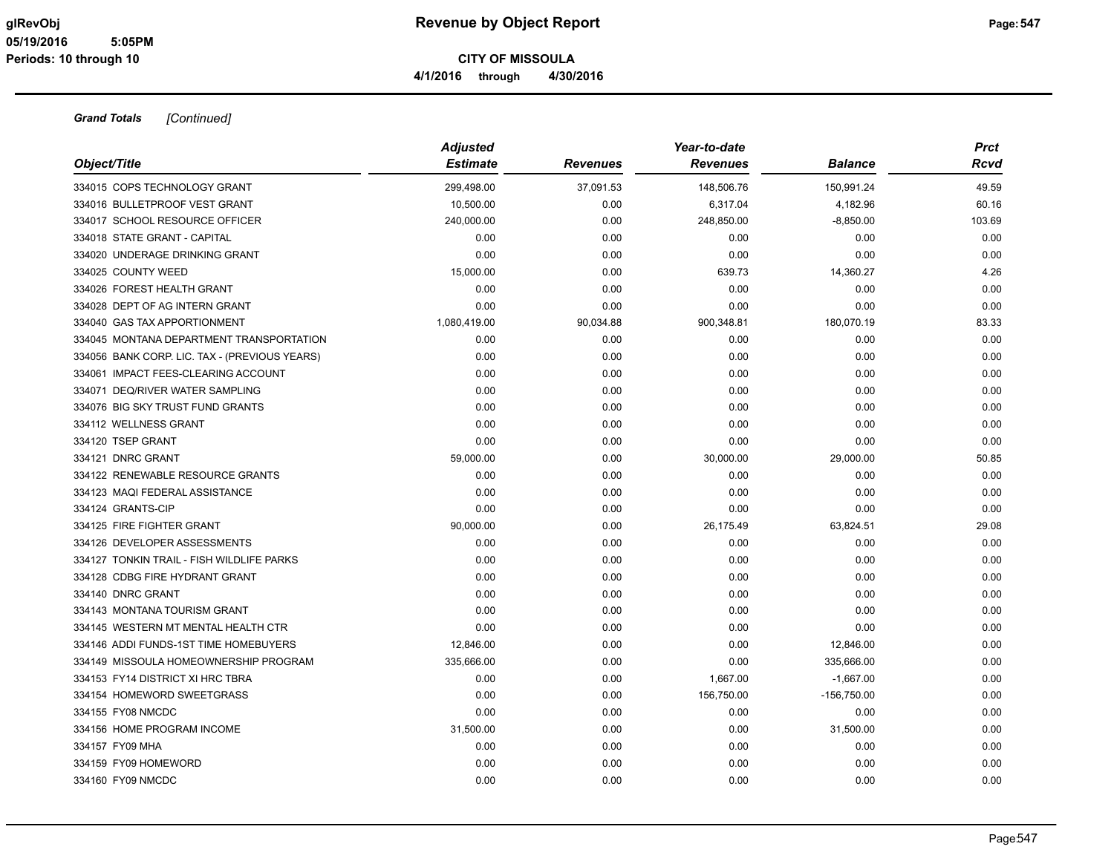| Object/Title                                  | <b>Adjusted</b><br><b>Estimate</b> | <b>Revenues</b> | Year-to-date<br><b>Revenues</b> | <b>Balance</b> | <b>Prct</b><br>Rcvd |
|-----------------------------------------------|------------------------------------|-----------------|---------------------------------|----------------|---------------------|
|                                               |                                    |                 |                                 |                |                     |
| 334015 COPS TECHNOLOGY GRANT                  | 299,498.00                         | 37,091.53       | 148,506.76                      | 150,991.24     | 49.59               |
| 334016 BULLETPROOF VEST GRANT                 | 10,500.00                          | 0.00            | 6,317.04                        | 4,182.96       | 60.16               |
| 334017 SCHOOL RESOURCE OFFICER                | 240,000.00                         | 0.00            | 248,850.00                      | $-8,850.00$    | 103.69              |
| 334018 STATE GRANT - CAPITAL                  | 0.00                               | 0.00            | 0.00                            | 0.00           | 0.00                |
| 334020 UNDERAGE DRINKING GRANT                | 0.00                               | 0.00            | 0.00                            | 0.00           | 0.00                |
| 334025 COUNTY WEED                            | 15,000.00                          | 0.00            | 639.73                          | 14,360.27      | 4.26                |
| 334026 FOREST HEALTH GRANT                    | 0.00                               | 0.00            | 0.00                            | 0.00           | 0.00                |
| 334028 DEPT OF AG INTERN GRANT                | 0.00                               | 0.00            | 0.00                            | 0.00           | 0.00                |
| 334040 GAS TAX APPORTIONMENT                  | 1,080,419.00                       | 90,034.88       | 900,348.81                      | 180,070.19     | 83.33               |
| 334045 MONTANA DEPARTMENT TRANSPORTATION      | 0.00                               | 0.00            | 0.00                            | 0.00           | 0.00                |
| 334056 BANK CORP. LIC. TAX - (PREVIOUS YEARS) | 0.00                               | 0.00            | 0.00                            | 0.00           | 0.00                |
| 334061 IMPACT FEES-CLEARING ACCOUNT           | 0.00                               | 0.00            | 0.00                            | 0.00           | 0.00                |
| 334071 DEQ/RIVER WATER SAMPLING               | 0.00                               | 0.00            | 0.00                            | 0.00           | 0.00                |
| 334076 BIG SKY TRUST FUND GRANTS              | 0.00                               | 0.00            | 0.00                            | 0.00           | 0.00                |
| 334112 WELLNESS GRANT                         | 0.00                               | 0.00            | 0.00                            | 0.00           | 0.00                |
| 334120 TSEP GRANT                             | 0.00                               | 0.00            | 0.00                            | 0.00           | 0.00                |
| 334121 DNRC GRANT                             | 59,000.00                          | 0.00            | 30,000.00                       | 29,000.00      | 50.85               |
| 334122 RENEWABLE RESOURCE GRANTS              | 0.00                               | 0.00            | 0.00                            | 0.00           | 0.00                |
| 334123 MAQI FEDERAL ASSISTANCE                | 0.00                               | 0.00            | 0.00                            | 0.00           | 0.00                |
| 334124 GRANTS-CIP                             | 0.00                               | 0.00            | 0.00                            | 0.00           | 0.00                |
| 334125 FIRE FIGHTER GRANT                     | 90,000.00                          | 0.00            | 26,175.49                       | 63,824.51      | 29.08               |
| 334126 DEVELOPER ASSESSMENTS                  | 0.00                               | 0.00            | 0.00                            | 0.00           | 0.00                |
| 334127 TONKIN TRAIL - FISH WILDLIFE PARKS     | 0.00                               | 0.00            | 0.00                            | 0.00           | 0.00                |
| 334128 CDBG FIRE HYDRANT GRANT                | 0.00                               | 0.00            | 0.00                            | 0.00           | 0.00                |
| 334140 DNRC GRANT                             | 0.00                               | 0.00            | 0.00                            | 0.00           | 0.00                |
| 334143 MONTANA TOURISM GRANT                  | 0.00                               | 0.00            | 0.00                            | 0.00           | 0.00                |
| 334145 WESTERN MT MENTAL HEALTH CTR           | 0.00                               | 0.00            | 0.00                            | 0.00           | 0.00                |
| 334146 ADDI FUNDS-1ST TIME HOMEBUYERS         | 12,846.00                          | 0.00            | 0.00                            | 12,846.00      | 0.00                |
| 334149 MISSOULA HOMEOWNERSHIP PROGRAM         | 335,666.00                         | 0.00            | 0.00                            | 335,666.00     | 0.00                |
| 334153 FY14 DISTRICT XI HRC TBRA              | 0.00                               | 0.00            | 1,667.00                        | $-1,667.00$    | 0.00                |
| 334154 HOMEWORD SWEETGRASS                    | 0.00                               | 0.00            | 156,750.00                      | $-156,750.00$  | 0.00                |
| 334155 FY08 NMCDC                             | 0.00                               | 0.00            | 0.00                            | 0.00           | 0.00                |
| 334156 HOME PROGRAM INCOME                    | 31,500.00                          | 0.00            | 0.00                            | 31,500.00      | 0.00                |
| 334157 FY09 MHA                               | 0.00                               | 0.00            | 0.00                            | 0.00           | 0.00                |
| 334159 FY09 HOMEWORD                          | 0.00                               | 0.00            | 0.00                            | 0.00           | 0.00                |
| 334160 FY09 NMCDC                             | 0.00                               | 0.00            | 0.00                            | 0.00           | 0.00                |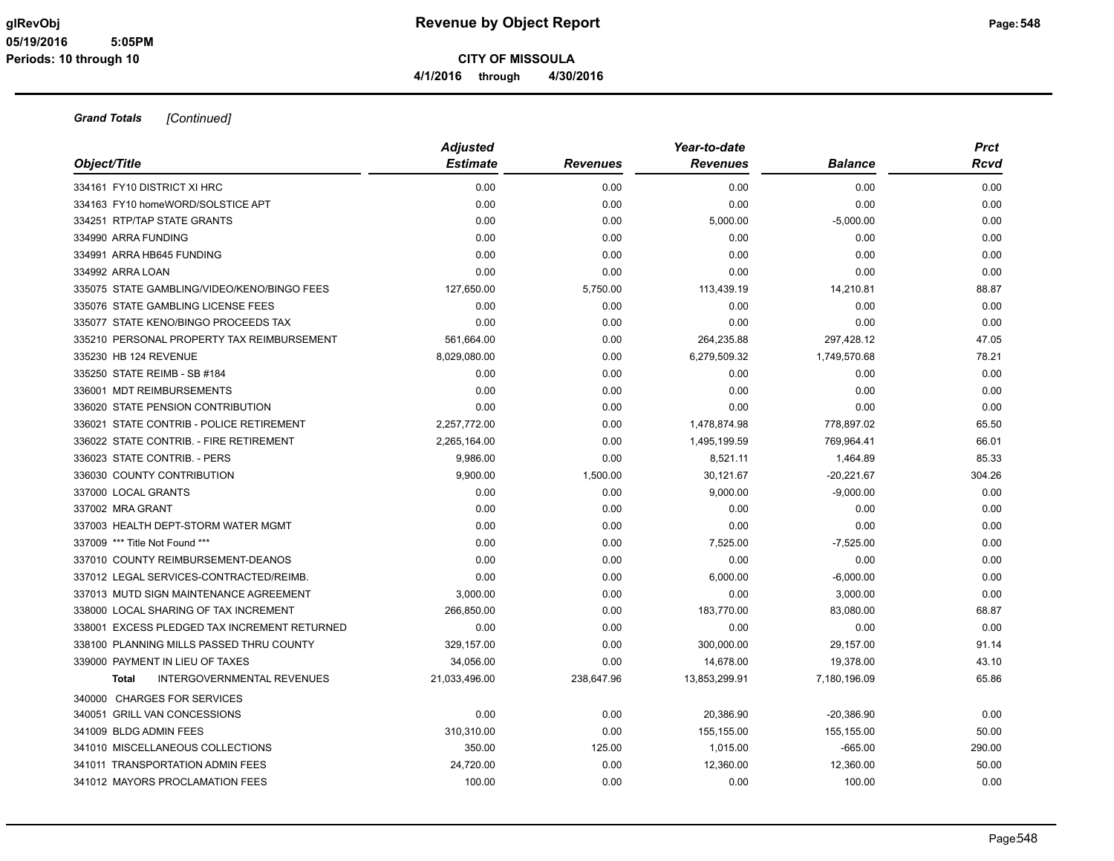| Object/Title                                 | <b>Adjusted</b><br><b>Estimate</b> | <b>Revenues</b> | Year-to-date<br><b>Revenues</b> | <b>Balance</b> | <b>Prct</b><br><b>Rcvd</b> |
|----------------------------------------------|------------------------------------|-----------------|---------------------------------|----------------|----------------------------|
| 334161 FY10 DISTRICT XI HRC                  | 0.00                               | 0.00            | 0.00                            | 0.00           | 0.00                       |
| 334163 FY10 homeWORD/SOLSTICE APT            | 0.00                               | 0.00            | 0.00                            | 0.00           | 0.00                       |
| 334251 RTP/TAP STATE GRANTS                  | 0.00                               | 0.00            | 5,000.00                        | $-5,000.00$    | 0.00                       |
| 334990 ARRA FUNDING                          | 0.00                               | 0.00            | 0.00                            | 0.00           | 0.00                       |
| 334991 ARRA HB645 FUNDING                    | 0.00                               | 0.00            | 0.00                            | 0.00           | 0.00                       |
| 334992 ARRA LOAN                             | 0.00                               | 0.00            | 0.00                            | 0.00           | 0.00                       |
| 335075 STATE GAMBLING/VIDEO/KENO/BINGO FEES  | 127,650.00                         | 5,750.00        | 113,439.19                      | 14,210.81      | 88.87                      |
| 335076 STATE GAMBLING LICENSE FEES           | 0.00                               | 0.00            | 0.00                            | 0.00           | 0.00                       |
| 335077 STATE KENO/BINGO PROCEEDS TAX         | 0.00                               | 0.00            | 0.00                            | 0.00           | 0.00                       |
| 335210 PERSONAL PROPERTY TAX REIMBURSEMENT   | 561,664.00                         | 0.00            | 264,235.88                      | 297,428.12     | 47.05                      |
| 335230 HB 124 REVENUE                        | 8,029,080.00                       | 0.00            | 6,279,509.32                    | 1,749,570.68   | 78.21                      |
| 335250 STATE REIMB - SB #184                 | 0.00                               | 0.00            | 0.00                            | 0.00           | 0.00                       |
| 336001 MDT REIMBURSEMENTS                    | 0.00                               | 0.00            | 0.00                            | 0.00           | 0.00                       |
| 336020 STATE PENSION CONTRIBUTION            | 0.00                               | 0.00            | 0.00                            | 0.00           | 0.00                       |
| 336021 STATE CONTRIB - POLICE RETIREMENT     | 2,257,772.00                       | 0.00            | 1,478,874.98                    | 778,897.02     | 65.50                      |
| 336022 STATE CONTRIB. - FIRE RETIREMENT      | 2,265,164.00                       | 0.00            | 1,495,199.59                    | 769,964.41     | 66.01                      |
| 336023 STATE CONTRIB. - PERS                 | 9,986.00                           | 0.00            | 8.521.11                        | 1,464.89       | 85.33                      |
| 336030 COUNTY CONTRIBUTION                   | 9,900.00                           | 1,500.00        | 30,121.67                       | $-20,221.67$   | 304.26                     |
| 337000 LOCAL GRANTS                          | 0.00                               | 0.00            | 9,000.00                        | $-9,000.00$    | 0.00                       |
| 337002 MRA GRANT                             | 0.00                               | 0.00            | 0.00                            | 0.00           | 0.00                       |
| 337003 HEALTH DEPT-STORM WATER MGMT          | 0.00                               | 0.00            | 0.00                            | 0.00           | 0.00                       |
| 337009 *** Title Not Found ***               | 0.00                               | 0.00            | 7,525.00                        | $-7,525.00$    | 0.00                       |
| 337010 COUNTY REIMBURSEMENT-DEANOS           | 0.00                               | 0.00            | 0.00                            | 0.00           | 0.00                       |
| 337012 LEGAL SERVICES-CONTRACTED/REIMB.      | 0.00                               | 0.00            | 6,000.00                        | $-6,000.00$    | 0.00                       |
| 337013 MUTD SIGN MAINTENANCE AGREEMENT       | 3,000.00                           | 0.00            | 0.00                            | 3,000.00       | 0.00                       |
| 338000 LOCAL SHARING OF TAX INCREMENT        | 266,850.00                         | 0.00            | 183,770.00                      | 83,080.00      | 68.87                      |
| 338001 EXCESS PLEDGED TAX INCREMENT RETURNED | 0.00                               | 0.00            | 0.00                            | 0.00           | 0.00                       |
| 338100 PLANNING MILLS PASSED THRU COUNTY     | 329,157.00                         | 0.00            | 300,000.00                      | 29,157.00      | 91.14                      |
| 339000 PAYMENT IN LIEU OF TAXES              | 34,056.00                          | 0.00            | 14,678.00                       | 19,378.00      | 43.10                      |
| INTERGOVERNMENTAL REVENUES<br>Total          | 21,033,496.00                      | 238,647.96      | 13,853,299.91                   | 7,180,196.09   | 65.86                      |
| 340000 CHARGES FOR SERVICES                  |                                    |                 |                                 |                |                            |
| 340051 GRILL VAN CONCESSIONS                 | 0.00                               | 0.00            | 20,386.90                       | $-20,386.90$   | 0.00                       |
| 341009 BLDG ADMIN FEES                       | 310,310.00                         | 0.00            | 155,155.00                      | 155,155.00     | 50.00                      |
| 341010 MISCELLANEOUS COLLECTIONS             | 350.00                             | 125.00          | 1,015.00                        | $-665.00$      | 290.00                     |
| 341011 TRANSPORTATION ADMIN FEES             | 24,720.00                          | 0.00            | 12,360.00                       | 12,360.00      | 50.00                      |
| 341012 MAYORS PROCLAMATION FEES              | 100.00                             | 0.00            | 0.00                            | 100.00         | 0.00                       |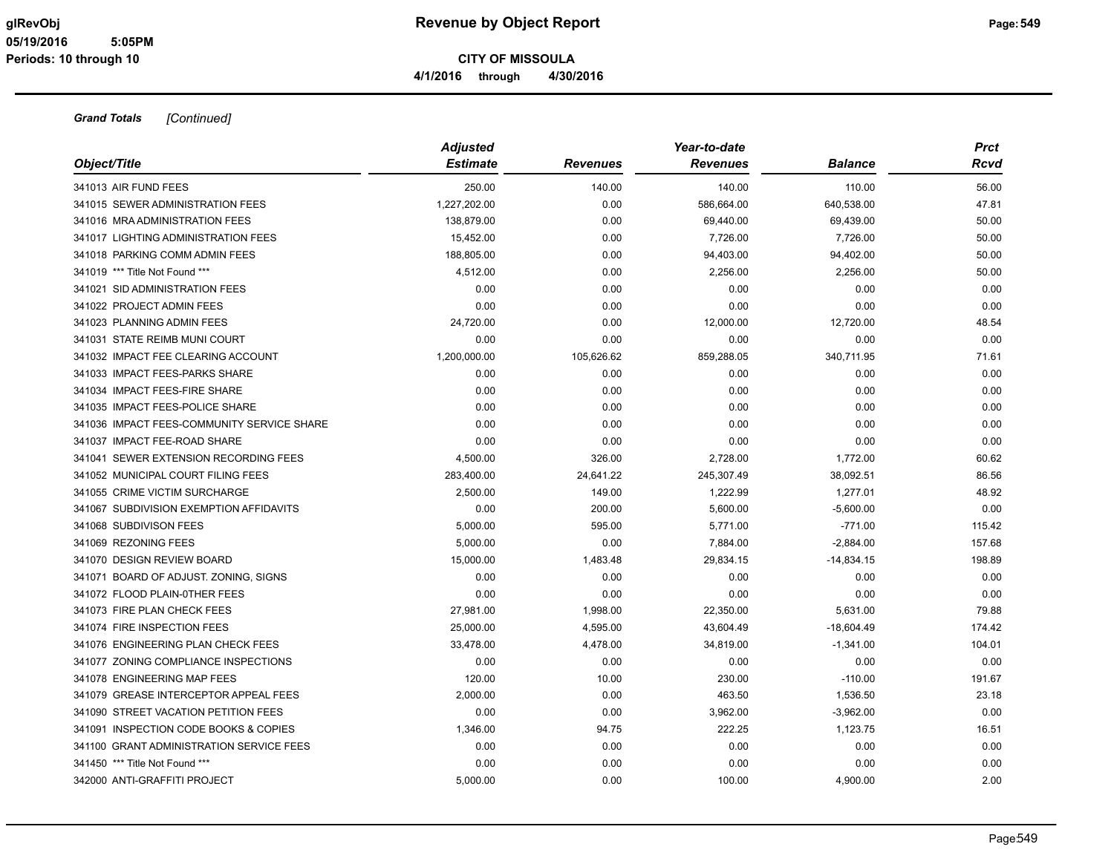| Object/Title                               | <b>Adjusted</b><br><b>Estimate</b> | <b>Revenues</b> | Year-to-date<br><b>Revenues</b> | <b>Balance</b> | Prct<br>Rcvd |
|--------------------------------------------|------------------------------------|-----------------|---------------------------------|----------------|--------------|
| 341013 AIR FUND FEES                       | 250.00                             | 140.00          | 140.00                          | 110.00         | 56.00        |
| 341015 SEWER ADMINISTRATION FEES           | 1,227,202.00                       | 0.00            | 586,664.00                      | 640,538.00     | 47.81        |
| 341016 MRA ADMINISTRATION FEES             | 138,879.00                         | 0.00            | 69,440.00                       | 69,439.00      | 50.00        |
| 341017 LIGHTING ADMINISTRATION FEES        | 15,452.00                          | 0.00            | 7,726.00                        | 7,726.00       | 50.00        |
| 341018 PARKING COMM ADMIN FEES             | 188,805.00                         | 0.00            | 94,403.00                       | 94,402.00      | 50.00        |
| 341019 *** Title Not Found ***             | 4,512.00                           | 0.00            | 2,256.00                        | 2,256.00       | 50.00        |
| 341021 SID ADMINISTRATION FEES             | 0.00                               | 0.00            | 0.00                            | 0.00           | 0.00         |
| 341022 PROJECT ADMIN FEES                  | 0.00                               | 0.00            | 0.00                            | 0.00           | 0.00         |
| 341023 PLANNING ADMIN FEES                 | 24,720.00                          | 0.00            | 12,000.00                       | 12,720.00      | 48.54        |
| 341031 STATE REIMB MUNI COURT              | 0.00                               | 0.00            | 0.00                            | 0.00           | 0.00         |
| 341032 IMPACT FEE CLEARING ACCOUNT         | 1,200,000.00                       | 105,626.62      | 859,288.05                      | 340,711.95     | 71.61        |
| 341033 IMPACT FEES-PARKS SHARE             | 0.00                               | 0.00            | 0.00                            | 0.00           | 0.00         |
| 341034 IMPACT FEES-FIRE SHARE              | 0.00                               | 0.00            | 0.00                            | 0.00           | 0.00         |
| 341035 IMPACT FEES-POLICE SHARE            | 0.00                               | 0.00            | 0.00                            | 0.00           | 0.00         |
| 341036 IMPACT FEES-COMMUNITY SERVICE SHARE | 0.00                               | 0.00            | 0.00                            | 0.00           | 0.00         |
| 341037 IMPACT FEE-ROAD SHARE               | 0.00                               | 0.00            | 0.00                            | 0.00           | 0.00         |
| 341041 SEWER EXTENSION RECORDING FEES      | 4,500.00                           | 326.00          | 2,728.00                        | 1,772.00       | 60.62        |
| 341052 MUNICIPAL COURT FILING FEES         | 283,400.00                         | 24,641.22       | 245,307.49                      | 38,092.51      | 86.56        |
| 341055 CRIME VICTIM SURCHARGE              | 2,500.00                           | 149.00          | 1,222.99                        | 1,277.01       | 48.92        |
| 341067 SUBDIVISION EXEMPTION AFFIDAVITS    | 0.00                               | 200.00          | 5,600.00                        | $-5,600.00$    | 0.00         |
| 341068 SUBDIVISON FEES                     | 5,000.00                           | 595.00          | 5,771.00                        | $-771.00$      | 115.42       |
| 341069 REZONING FEES                       | 5,000.00                           | 0.00            | 7,884.00                        | $-2,884.00$    | 157.68       |
| 341070 DESIGN REVIEW BOARD                 | 15,000.00                          | 1,483.48        | 29,834.15                       | $-14,834.15$   | 198.89       |
| 341071 BOARD OF ADJUST. ZONING, SIGNS      | 0.00                               | 0.00            | 0.00                            | 0.00           | 0.00         |
| 341072 FLOOD PLAIN-0THER FEES              | 0.00                               | 0.00            | 0.00                            | 0.00           | 0.00         |
| 341073 FIRE PLAN CHECK FEES                | 27,981.00                          | 1,998.00        | 22,350.00                       | 5,631.00       | 79.88        |
| 341074 FIRE INSPECTION FEES                | 25,000.00                          | 4,595.00        | 43,604.49                       | $-18,604.49$   | 174.42       |
| 341076 ENGINEERING PLAN CHECK FEES         | 33,478.00                          | 4,478.00        | 34,819.00                       | $-1,341.00$    | 104.01       |
| 341077 ZONING COMPLIANCE INSPECTIONS       | 0.00                               | 0.00            | 0.00                            | 0.00           | 0.00         |
| 341078 ENGINEERING MAP FEES                | 120.00                             | 10.00           | 230.00                          | $-110.00$      | 191.67       |
| 341079 GREASE INTERCEPTOR APPEAL FEES      | 2,000.00                           | 0.00            | 463.50                          | 1,536.50       | 23.18        |
| 341090 STREET VACATION PETITION FEES       | 0.00                               | 0.00            | 3,962.00                        | $-3,962.00$    | 0.00         |
| 341091 INSPECTION CODE BOOKS & COPIES      | 1,346.00                           | 94.75           | 222.25                          | 1,123.75       | 16.51        |
| 341100 GRANT ADMINISTRATION SERVICE FEES   | 0.00                               | 0.00            | 0.00                            | 0.00           | 0.00         |
| 341450 *** Title Not Found ***             | 0.00                               | 0.00            | 0.00                            | 0.00           | 0.00         |
| 342000 ANTI-GRAFFITI PROJECT               | 5.000.00                           | 0.00            | 100.00                          | 4.900.00       | 2.00         |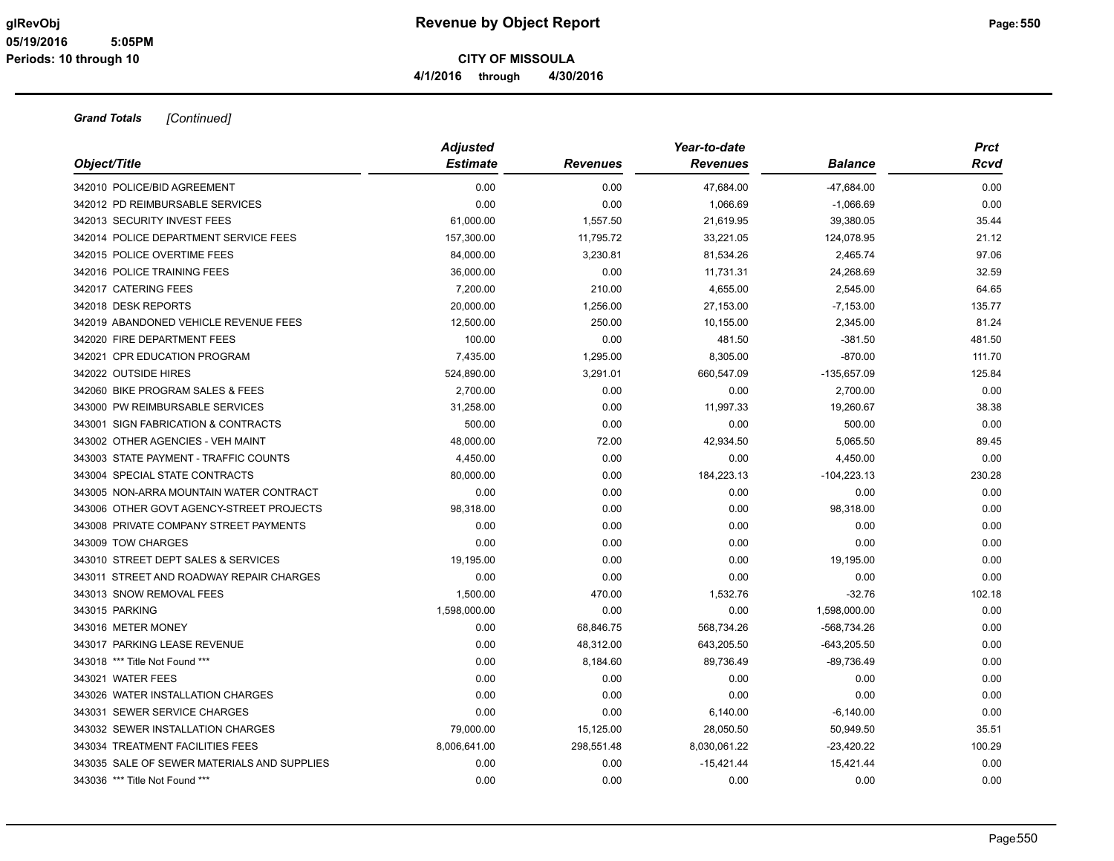| Object/Title                                | <b>Adjusted</b><br><b>Estimate</b> | <b>Revenues</b> | Year-to-date<br><b>Revenues</b> | <b>Balance</b> | Prct<br>Rcvd |
|---------------------------------------------|------------------------------------|-----------------|---------------------------------|----------------|--------------|
| 342010 POLICE/BID AGREEMENT                 | 0.00                               | 0.00            | 47,684.00                       | $-47,684.00$   | 0.00         |
| 342012 PD REIMBURSABLE SERVICES             | 0.00                               | 0.00            | 1.066.69                        | $-1,066.69$    | 0.00         |
| 342013 SECURITY INVEST FEES                 | 61,000.00                          | 1,557.50        | 21,619.95                       | 39,380.05      | 35.44        |
| 342014 POLICE DEPARTMENT SERVICE FEES       | 157,300.00                         | 11,795.72       | 33,221.05                       | 124,078.95     | 21.12        |
| 342015 POLICE OVERTIME FEES                 | 84,000.00                          | 3,230.81        | 81,534.26                       | 2,465.74       | 97.06        |
| 342016 POLICE TRAINING FEES                 | 36,000.00                          | 0.00            | 11,731.31                       | 24,268.69      | 32.59        |
| 342017 CATERING FEES                        | 7,200.00                           | 210.00          | 4,655.00                        | 2,545.00       | 64.65        |
| 342018 DESK REPORTS                         | 20,000.00                          | 1,256.00        | 27,153.00                       | $-7,153.00$    | 135.77       |
| 342019 ABANDONED VEHICLE REVENUE FEES       | 12,500.00                          | 250.00          | 10,155.00                       | 2,345.00       | 81.24        |
| 342020 FIRE DEPARTMENT FEES                 | 100.00                             | 0.00            | 481.50                          | $-381.50$      | 481.50       |
| 342021 CPR EDUCATION PROGRAM                | 7,435.00                           | 1,295.00        | 8,305.00                        | $-870.00$      | 111.70       |
| 342022 OUTSIDE HIRES                        | 524,890.00                         | 3,291.01        | 660,547.09                      | $-135,657.09$  | 125.84       |
| 342060 BIKE PROGRAM SALES & FEES            | 2,700.00                           | 0.00            | 0.00                            | 2,700.00       | 0.00         |
| 343000 PW REIMBURSABLE SERVICES             | 31,258.00                          | 0.00            | 11,997.33                       | 19,260.67      | 38.38        |
| 343001 SIGN FABRICATION & CONTRACTS         | 500.00                             | 0.00            | 0.00                            | 500.00         | 0.00         |
| 343002 OTHER AGENCIES - VEH MAINT           | 48,000.00                          | 72.00           | 42,934.50                       | 5,065.50       | 89.45        |
| 343003 STATE PAYMENT - TRAFFIC COUNTS       | 4,450.00                           | 0.00            | 0.00                            | 4,450.00       | 0.00         |
| 343004 SPECIAL STATE CONTRACTS              | 80,000.00                          | 0.00            | 184,223.13                      | $-104,223.13$  | 230.28       |
| 343005 NON-ARRA MOUNTAIN WATER CONTRACT     | 0.00                               | 0.00            | 0.00                            | 0.00           | 0.00         |
| 343006 OTHER GOVT AGENCY-STREET PROJECTS    | 98,318.00                          | 0.00            | 0.00                            | 98,318.00      | 0.00         |
| 343008 PRIVATE COMPANY STREET PAYMENTS      | 0.00                               | 0.00            | 0.00                            | 0.00           | 0.00         |
| 343009 TOW CHARGES                          | 0.00                               | 0.00            | 0.00                            | 0.00           | 0.00         |
| 343010 STREET DEPT SALES & SERVICES         | 19,195.00                          | 0.00            | 0.00                            | 19,195.00      | 0.00         |
| 343011 STREET AND ROADWAY REPAIR CHARGES    | 0.00                               | 0.00            | 0.00                            | 0.00           | 0.00         |
| 343013 SNOW REMOVAL FEES                    | 1,500.00                           | 470.00          | 1,532.76                        | $-32.76$       | 102.18       |
| 343015 PARKING                              | 1,598,000.00                       | 0.00            | 0.00                            | 1,598,000.00   | 0.00         |
| 343016 METER MONEY                          | 0.00                               | 68,846.75       | 568,734.26                      | -568,734.26    | 0.00         |
| 343017 PARKING LEASE REVENUE                | 0.00                               | 48,312.00       | 643,205.50                      | $-643,205.50$  | 0.00         |
| 343018 *** Title Not Found ***              | 0.00                               | 8,184.60        | 89,736.49                       | $-89,736.49$   | 0.00         |
| 343021 WATER FEES                           | 0.00                               | 0.00            | 0.00                            | 0.00           | 0.00         |
| 343026 WATER INSTALLATION CHARGES           | 0.00                               | 0.00            | 0.00                            | 0.00           | 0.00         |
| 343031 SEWER SERVICE CHARGES                | 0.00                               | 0.00            | 6,140.00                        | $-6,140.00$    | 0.00         |
| 343032 SEWER INSTALLATION CHARGES           | 79,000.00                          | 15,125.00       | 28,050.50                       | 50,949.50      | 35.51        |
| 343034 TREATMENT FACILITIES FEES            | 8,006,641.00                       | 298,551.48      | 8,030,061.22                    | $-23,420.22$   | 100.29       |
| 343035 SALE OF SEWER MATERIALS AND SUPPLIES | 0.00                               | 0.00            | $-15,421.44$                    | 15,421.44      | 0.00         |
| 343036 *** Title Not Found ***              | 0.00                               | 0.00            | 0.00                            | 0.00           | 0.00         |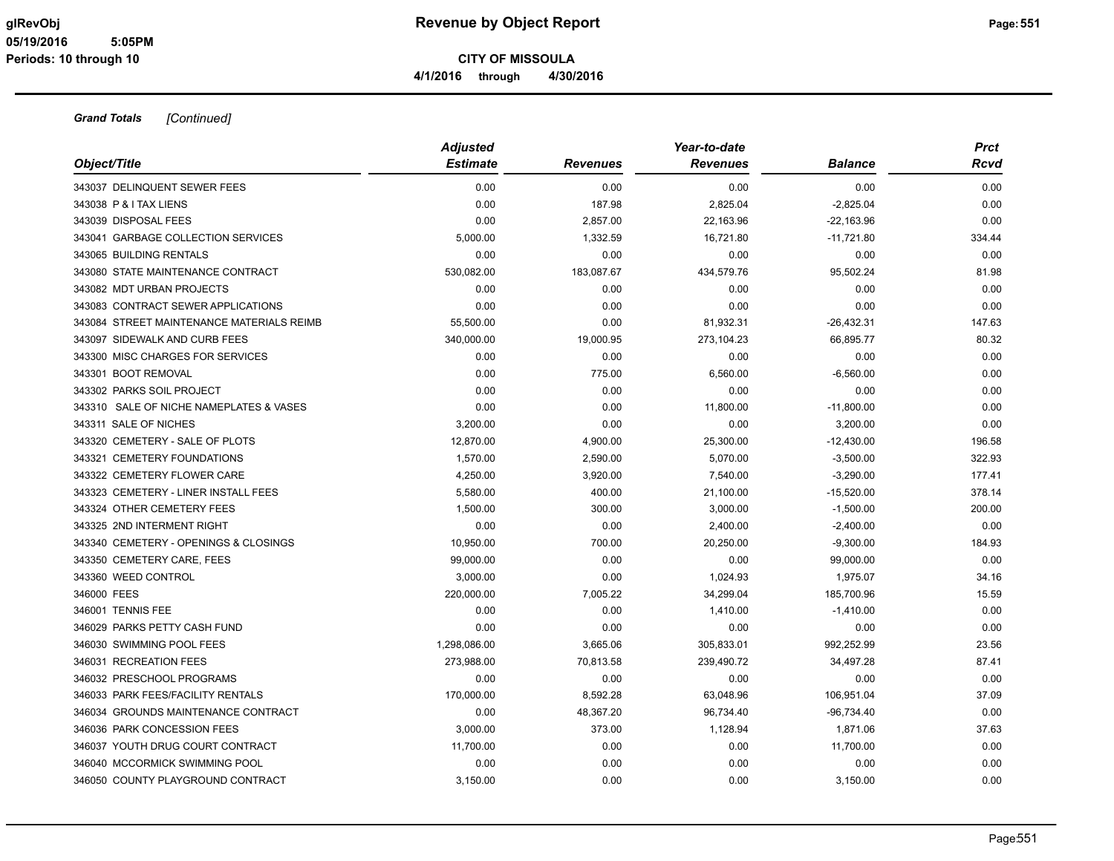| Object/Title                              | <b>Adjusted</b><br><b>Estimate</b> | <b>Revenues</b> | Year-to-date<br><b>Revenues</b> | <b>Balance</b> | <b>Prct</b><br>Rcvd |
|-------------------------------------------|------------------------------------|-----------------|---------------------------------|----------------|---------------------|
| 343037 DELINQUENT SEWER FEES              | 0.00                               | 0.00            | 0.00                            | 0.00           | 0.00                |
| 343038 P & I TAX LIENS                    | 0.00                               | 187.98          | 2,825.04                        | $-2,825.04$    | 0.00                |
| 343039 DISPOSAL FEES                      | 0.00                               | 2,857.00        | 22,163.96                       | $-22,163.96$   | 0.00                |
| 343041 GARBAGE COLLECTION SERVICES        | 5,000.00                           | 1,332.59        | 16,721.80                       | $-11,721.80$   | 334.44              |
| 343065 BUILDING RENTALS                   | 0.00                               | 0.00            | 0.00                            | 0.00           | 0.00                |
| 343080 STATE MAINTENANCE CONTRACT         | 530,082.00                         | 183,087.67      | 434,579.76                      | 95,502.24      | 81.98               |
| 343082 MDT URBAN PROJECTS                 | 0.00                               | 0.00            | 0.00                            | 0.00           | 0.00                |
| 343083 CONTRACT SEWER APPLICATIONS        | 0.00                               | 0.00            | 0.00                            | 0.00           | 0.00                |
| 343084 STREET MAINTENANCE MATERIALS REIMB | 55,500.00                          | 0.00            | 81,932.31                       | $-26,432.31$   | 147.63              |
| 343097 SIDEWALK AND CURB FEES             | 340,000.00                         | 19,000.95       | 273,104.23                      | 66,895.77      | 80.32               |
| 343300 MISC CHARGES FOR SERVICES          | 0.00                               | 0.00            | 0.00                            | 0.00           | 0.00                |
| 343301 BOOT REMOVAL                       | 0.00                               | 775.00          | 6,560.00                        | $-6,560.00$    | 0.00                |
| 343302 PARKS SOIL PROJECT                 | 0.00                               | 0.00            | 0.00                            | 0.00           | 0.00                |
| 343310 SALE OF NICHE NAMEPLATES & VASES   | 0.00                               | 0.00            | 11,800.00                       | $-11,800.00$   | 0.00                |
| 343311 SALE OF NICHES                     | 3,200.00                           | 0.00            | 0.00                            | 3,200.00       | 0.00                |
| 343320 CEMETERY - SALE OF PLOTS           | 12,870.00                          | 4,900.00        | 25,300.00                       | $-12,430.00$   | 196.58              |
| 343321 CEMETERY FOUNDATIONS               | 1,570.00                           | 2,590.00        | 5,070.00                        | $-3,500.00$    | 322.93              |
| 343322 CEMETERY FLOWER CARE               | 4,250.00                           | 3,920.00        | 7,540.00                        | $-3,290.00$    | 177.41              |
| 343323 CEMETERY - LINER INSTALL FEES      | 5,580.00                           | 400.00          | 21,100.00                       | $-15,520.00$   | 378.14              |
| 343324 OTHER CEMETERY FEES                | 1,500.00                           | 300.00          | 3,000.00                        | $-1,500.00$    | 200.00              |
| 343325 2ND INTERMENT RIGHT                | 0.00                               | 0.00            | 2,400.00                        | $-2,400.00$    | 0.00                |
| 343340 CEMETERY - OPENINGS & CLOSINGS     | 10,950.00                          | 700.00          | 20,250.00                       | $-9,300.00$    | 184.93              |
| 343350 CEMETERY CARE, FEES                | 99,000.00                          | 0.00            | 0.00                            | 99,000.00      | 0.00                |
| 343360 WEED CONTROL                       | 3,000.00                           | 0.00            | 1,024.93                        | 1,975.07       | 34.16               |
| 346000 FEES                               | 220,000.00                         | 7,005.22        | 34,299.04                       | 185,700.96     | 15.59               |
| 346001 TENNIS FEE                         | 0.00                               | 0.00            | 1,410.00                        | $-1,410.00$    | 0.00                |
| 346029 PARKS PETTY CASH FUND              | 0.00                               | 0.00            | 0.00                            | 0.00           | 0.00                |
| 346030 SWIMMING POOL FEES                 | 1,298,086.00                       | 3,665.06        | 305,833.01                      | 992,252.99     | 23.56               |
| 346031 RECREATION FEES                    | 273,988.00                         | 70,813.58       | 239,490.72                      | 34,497.28      | 87.41               |
| 346032 PRESCHOOL PROGRAMS                 | 0.00                               | 0.00            | 0.00                            | 0.00           | 0.00                |
| 346033 PARK FEES/FACILITY RENTALS         | 170,000.00                         | 8,592.28        | 63,048.96                       | 106,951.04     | 37.09               |
| 346034 GROUNDS MAINTENANCE CONTRACT       | 0.00                               | 48,367.20       | 96,734.40                       | $-96,734.40$   | 0.00                |
| 346036 PARK CONCESSION FEES               | 3,000.00                           | 373.00          | 1,128.94                        | 1,871.06       | 37.63               |
| 346037 YOUTH DRUG COURT CONTRACT          | 11,700.00                          | 0.00            | 0.00                            | 11,700.00      | 0.00                |
| 346040 MCCORMICK SWIMMING POOL            | 0.00                               | 0.00            | 0.00                            | 0.00           | 0.00                |
| 346050 COUNTY PLAYGROUND CONTRACT         | 3.150.00                           | 0.00            | 0.00                            | 3.150.00       | 0.00                |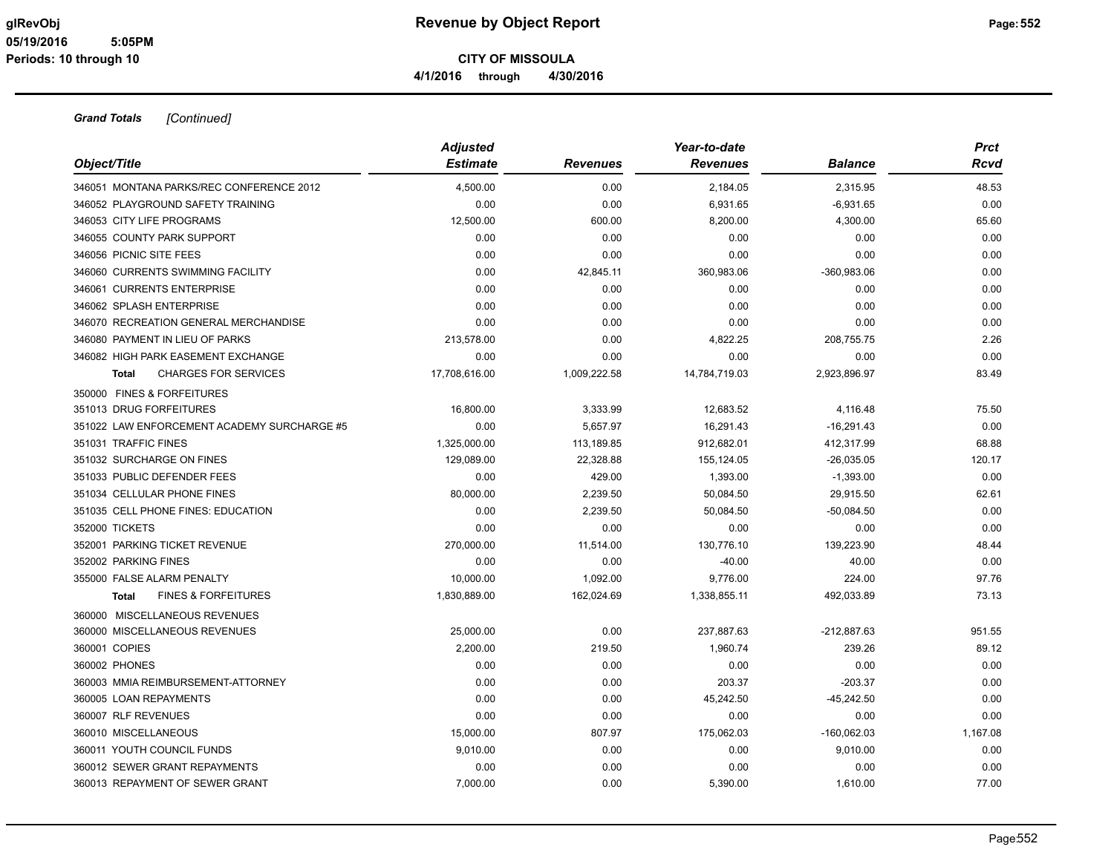| Object/Title                                | <b>Adjusted</b><br><b>Estimate</b> | <b>Revenues</b> | Year-to-date<br><b>Revenues</b> | <b>Balance</b> | <b>Prct</b><br>Rcvd |
|---------------------------------------------|------------------------------------|-----------------|---------------------------------|----------------|---------------------|
| 346051 MONTANA PARKS/REC CONFERENCE 2012    | 4,500.00                           | 0.00            | 2,184.05                        | 2,315.95       | 48.53               |
| 346052 PLAYGROUND SAFETY TRAINING           | 0.00                               | 0.00            | 6,931.65                        | $-6,931.65$    | 0.00                |
| 346053 CITY LIFE PROGRAMS                   | 12,500.00                          | 600.00          | 8,200.00                        | 4,300.00       | 65.60               |
| 346055 COUNTY PARK SUPPORT                  | 0.00                               | 0.00            | 0.00                            | 0.00           | 0.00                |
| 346056 PICNIC SITE FEES                     | 0.00                               | 0.00            | 0.00                            | 0.00           | 0.00                |
| 346060 CURRENTS SWIMMING FACILITY           | 0.00                               | 42,845.11       | 360,983.06                      | $-360,983.06$  | 0.00                |
| 346061 CURRENTS ENTERPRISE                  | 0.00                               | 0.00            | 0.00                            | 0.00           | 0.00                |
| 346062 SPLASH ENTERPRISE                    | 0.00                               | 0.00            | 0.00                            | 0.00           | 0.00                |
| 346070 RECREATION GENERAL MERCHANDISE       | 0.00                               | 0.00            | 0.00                            | 0.00           | 0.00                |
| 346080 PAYMENT IN LIEU OF PARKS             | 213,578.00                         | 0.00            | 4,822.25                        | 208,755.75     | 2.26                |
| 346082 HIGH PARK EASEMENT EXCHANGE          | 0.00                               | 0.00            | 0.00                            | 0.00           | 0.00                |
| <b>CHARGES FOR SERVICES</b><br><b>Total</b> | 17,708,616.00                      | 1,009,222.58    | 14,784,719.03                   | 2,923,896.97   | 83.49               |
| 350000 FINES & FORFEITURES                  |                                    |                 |                                 |                |                     |
| 351013 DRUG FORFEITURES                     | 16,800.00                          | 3,333.99        | 12,683.52                       | 4,116.48       | 75.50               |
| 351022 LAW ENFORCEMENT ACADEMY SURCHARGE #5 | 0.00                               | 5,657.97        | 16,291.43                       | $-16,291.43$   | 0.00                |
| 351031 TRAFFIC FINES                        | 1,325,000.00                       | 113,189.85      | 912,682.01                      | 412,317.99     | 68.88               |
| 351032 SURCHARGE ON FINES                   | 129,089.00                         | 22,328.88       | 155,124.05                      | $-26,035.05$   | 120.17              |
| 351033 PUBLIC DEFENDER FEES                 | 0.00                               | 429.00          | 1,393.00                        | $-1,393.00$    | 0.00                |
| 351034 CELLULAR PHONE FINES                 | 80,000.00                          | 2,239.50        | 50,084.50                       | 29,915.50      | 62.61               |
| 351035 CELL PHONE FINES: EDUCATION          | 0.00                               | 2,239.50        | 50,084.50                       | $-50,084.50$   | 0.00                |
| 352000 TICKETS                              | 0.00                               | 0.00            | 0.00                            | 0.00           | 0.00                |
| 352001 PARKING TICKET REVENUE               | 270,000.00                         | 11,514.00       | 130,776.10                      | 139,223.90     | 48.44               |
| 352002 PARKING FINES                        | 0.00                               | 0.00            | $-40.00$                        | 40.00          | 0.00                |
| 355000 FALSE ALARM PENALTY                  | 10,000.00                          | 1,092.00        | 9,776.00                        | 224.00         | 97.76               |
| <b>FINES &amp; FORFEITURES</b><br>Total     | 1,830,889.00                       | 162,024.69      | 1,338,855.11                    | 492,033.89     | 73.13               |
| 360000 MISCELLANEOUS REVENUES               |                                    |                 |                                 |                |                     |
| 360000 MISCELLANEOUS REVENUES               | 25,000.00                          | 0.00            | 237,887.63                      | $-212,887.63$  | 951.55              |
| 360001 COPIES                               | 2,200.00                           | 219.50          | 1,960.74                        | 239.26         | 89.12               |
| 360002 PHONES                               | 0.00                               | 0.00            | 0.00                            | 0.00           | 0.00                |
| 360003 MMIA REIMBURSEMENT-ATTORNEY          | 0.00                               | 0.00            | 203.37                          | $-203.37$      | 0.00                |
| 360005 LOAN REPAYMENTS                      | 0.00                               | 0.00            | 45,242.50                       | $-45,242.50$   | 0.00                |
| 360007 RLF REVENUES                         | 0.00                               | 0.00            | 0.00                            | 0.00           | 0.00                |
| 360010 MISCELLANEOUS                        | 15,000.00                          | 807.97          | 175,062.03                      | $-160,062.03$  | 1,167.08            |
| 360011 YOUTH COUNCIL FUNDS                  | 9,010.00                           | 0.00            | 0.00                            | 9,010.00       | 0.00                |
| 360012 SEWER GRANT REPAYMENTS               | 0.00                               | 0.00            | 0.00                            | 0.00           | 0.00                |
| 360013 REPAYMENT OF SEWER GRANT             | 7,000.00                           | 0.00            | 5,390.00                        | 1,610.00       | 77.00               |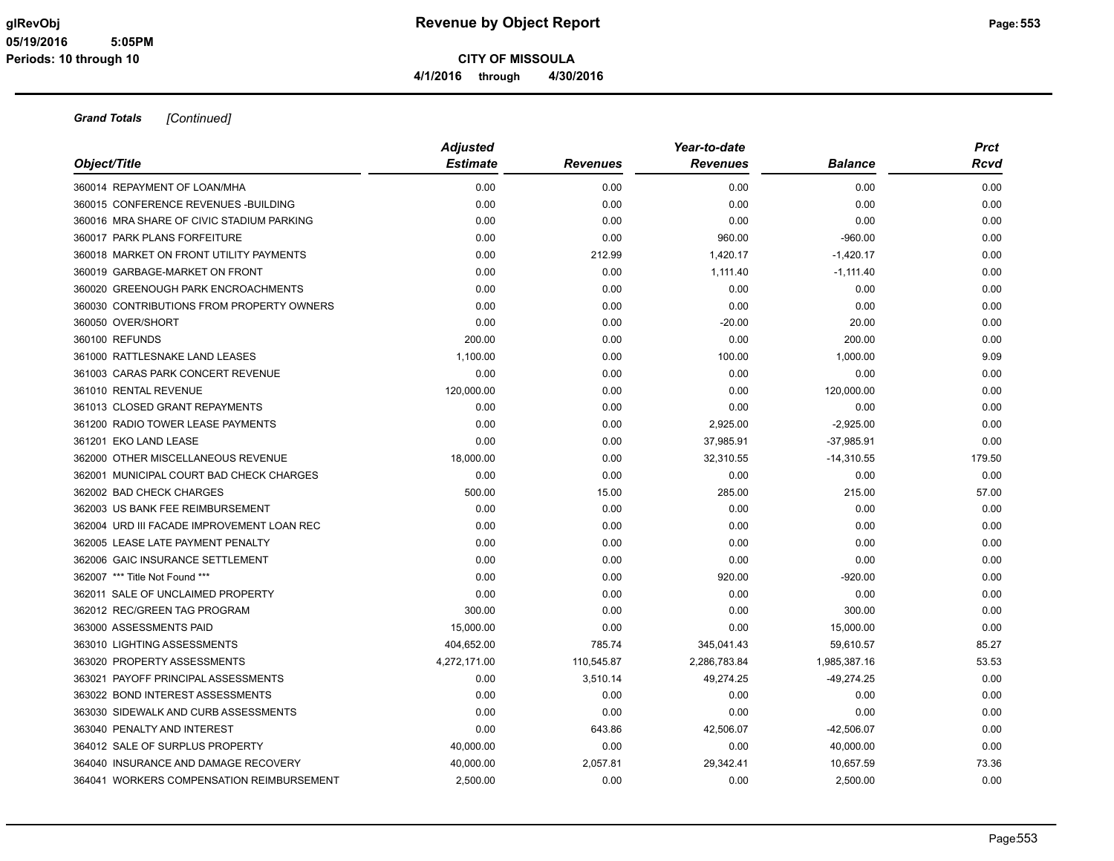| Object/Title                               | <b>Adjusted</b><br><b>Estimate</b> | <b>Revenues</b> | Year-to-date<br><b>Revenues</b> | <b>Balance</b> | <b>Prct</b><br>Rcvd |
|--------------------------------------------|------------------------------------|-----------------|---------------------------------|----------------|---------------------|
| 360014 REPAYMENT OF LOAN/MHA               | 0.00                               | 0.00            | 0.00                            | 0.00           | 0.00                |
| 360015 CONFERENCE REVENUES - BUILDING      | 0.00                               | 0.00            | 0.00                            | 0.00           | 0.00                |
| 360016 MRA SHARE OF CIVIC STADIUM PARKING  | 0.00                               | 0.00            | 0.00                            | 0.00           | 0.00                |
| 360017 PARK PLANS FORFEITURE               | 0.00                               | 0.00            | 960.00                          | $-960.00$      | 0.00                |
| 360018 MARKET ON FRONT UTILITY PAYMENTS    | 0.00                               | 212.99          | 1,420.17                        | $-1,420.17$    | 0.00                |
| 360019 GARBAGE-MARKET ON FRONT             | 0.00                               | 0.00            | 1,111.40                        | $-1,111.40$    | 0.00                |
| 360020 GREENOUGH PARK ENCROACHMENTS        | 0.00                               | 0.00            | 0.00                            | 0.00           | 0.00                |
| 360030 CONTRIBUTIONS FROM PROPERTY OWNERS  | 0.00                               | 0.00            | 0.00                            | 0.00           | 0.00                |
| 360050 OVER/SHORT                          | 0.00                               | 0.00            | $-20.00$                        | 20.00          | 0.00                |
| 360100 REFUNDS                             | 200.00                             | 0.00            | 0.00                            | 200.00         | 0.00                |
| 361000 RATTLESNAKE LAND LEASES             | 1,100.00                           | 0.00            | 100.00                          | 1,000.00       | 9.09                |
| 361003 CARAS PARK CONCERT REVENUE          | 0.00                               | 0.00            | 0.00                            | 0.00           | 0.00                |
| 361010 RENTAL REVENUE                      | 120,000.00                         | 0.00            | 0.00                            | 120,000.00     | 0.00                |
| 361013 CLOSED GRANT REPAYMENTS             | 0.00                               | 0.00            | 0.00                            | 0.00           | 0.00                |
| 361200 RADIO TOWER LEASE PAYMENTS          | 0.00                               | 0.00            | 2,925.00                        | $-2,925.00$    | 0.00                |
| 361201 EKO LAND LEASE                      | 0.00                               | 0.00            | 37,985.91                       | $-37,985.91$   | 0.00                |
| 362000 OTHER MISCELLANEOUS REVENUE         | 18,000.00                          | 0.00            | 32,310.55                       | $-14,310.55$   | 179.50              |
| 362001 MUNICIPAL COURT BAD CHECK CHARGES   | 0.00                               | 0.00            | 0.00                            | 0.00           | 0.00                |
| 362002 BAD CHECK CHARGES                   | 500.00                             | 15.00           | 285.00                          | 215.00         | 57.00               |
| 362003 US BANK FEE REIMBURSEMENT           | 0.00                               | 0.00            | 0.00                            | 0.00           | 0.00                |
| 362004 URD III FACADE IMPROVEMENT LOAN REC | 0.00                               | 0.00            | 0.00                            | 0.00           | 0.00                |
| 362005 LEASE LATE PAYMENT PENALTY          | 0.00                               | 0.00            | 0.00                            | 0.00           | 0.00                |
| 362006 GAIC INSURANCE SETTLEMENT           | 0.00                               | 0.00            | 0.00                            | 0.00           | 0.00                |
| 362007 *** Title Not Found ***             | 0.00                               | 0.00            | 920.00                          | $-920.00$      | 0.00                |
| 362011 SALE OF UNCLAIMED PROPERTY          | 0.00                               | 0.00            | 0.00                            | 0.00           | 0.00                |
| 362012 REC/GREEN TAG PROGRAM               | 300.00                             | 0.00            | 0.00                            | 300.00         | 0.00                |
| 363000 ASSESSMENTS PAID                    | 15,000.00                          | 0.00            | 0.00                            | 15,000.00      | 0.00                |
| 363010 LIGHTING ASSESSMENTS                | 404,652.00                         | 785.74          | 345,041.43                      | 59,610.57      | 85.27               |
| 363020 PROPERTY ASSESSMENTS                | 4,272,171.00                       | 110,545.87      | 2,286,783.84                    | 1,985,387.16   | 53.53               |
| 363021 PAYOFF PRINCIPAL ASSESSMENTS        | 0.00                               | 3,510.14        | 49,274.25                       | $-49,274.25$   | 0.00                |
| 363022 BOND INTEREST ASSESSMENTS           | 0.00                               | 0.00            | 0.00                            | 0.00           | 0.00                |
| 363030 SIDEWALK AND CURB ASSESSMENTS       | 0.00                               | 0.00            | 0.00                            | 0.00           | 0.00                |
| 363040 PENALTY AND INTEREST                | 0.00                               | 643.86          | 42,506.07                       | $-42,506.07$   | 0.00                |
| 364012 SALE OF SURPLUS PROPERTY            | 40,000.00                          | 0.00            | 0.00                            | 40,000.00      | 0.00                |
| 364040 INSURANCE AND DAMAGE RECOVERY       | 40,000.00                          | 2,057.81        | 29,342.41                       | 10,657.59      | 73.36               |
| 364041 WORKERS COMPENSATION REIMBURSEMENT  | 2.500.00                           | 0.00            | 0.00                            | 2.500.00       | 0.00                |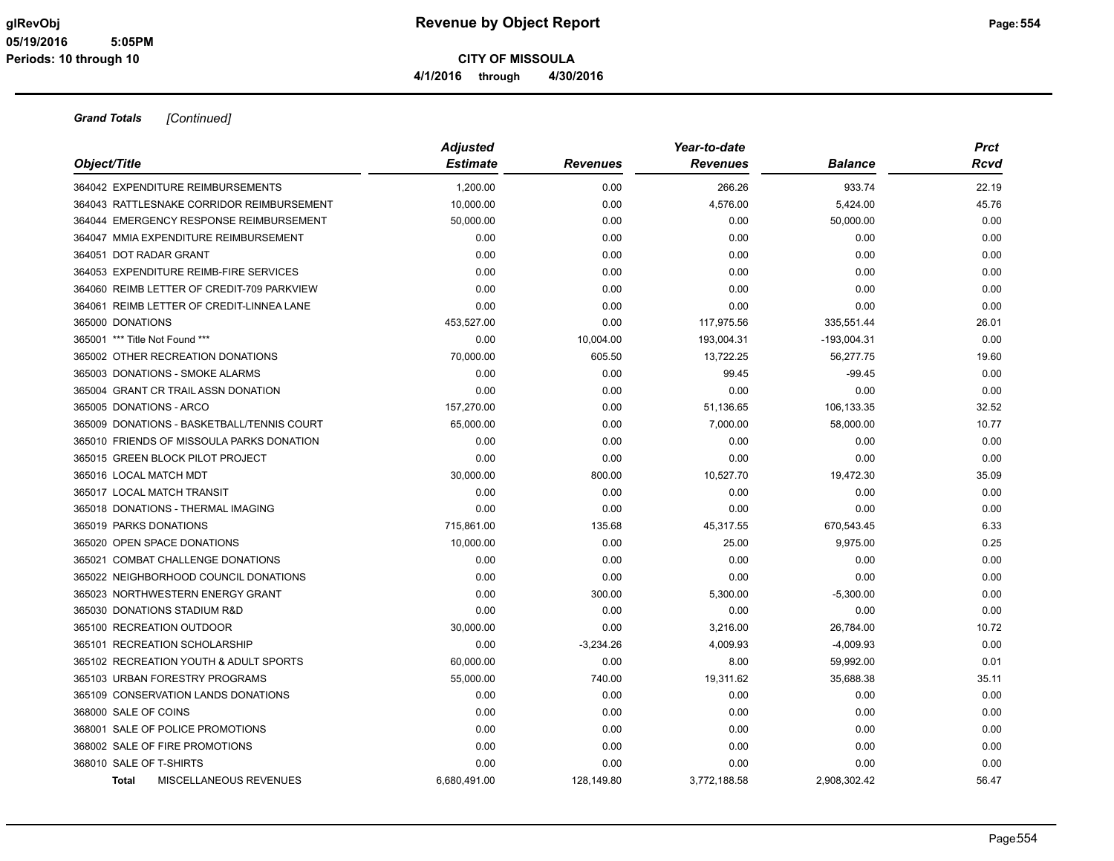| Object/Title                               | <b>Adjusted</b><br><b>Estimate</b> | <b>Revenues</b> | Year-to-date<br><b>Revenues</b> | <b>Balance</b> | <b>Prct</b><br>Rcvd |
|--------------------------------------------|------------------------------------|-----------------|---------------------------------|----------------|---------------------|
| 364042 EXPENDITURE REIMBURSEMENTS          | 1,200.00                           | 0.00            | 266.26                          | 933.74         | 22.19               |
| 364043 RATTLESNAKE CORRIDOR REIMBURSEMENT  | 10,000.00                          | 0.00            | 4,576.00                        | 5,424.00       | 45.76               |
| 364044 EMERGENCY RESPONSE REIMBURSEMENT    | 50,000.00                          | 0.00            | 0.00                            | 50,000.00      | 0.00                |
| 364047 MMIA EXPENDITURE REIMBURSEMENT      | 0.00                               | 0.00            | 0.00                            | 0.00           | 0.00                |
| 364051 DOT RADAR GRANT                     | 0.00                               | 0.00            | 0.00                            | 0.00           | 0.00                |
| 364053 EXPENDITURE REIMB-FIRE SERVICES     | 0.00                               | 0.00            | 0.00                            | 0.00           | 0.00                |
| 364060 REIMB LETTER OF CREDIT-709 PARKVIEW | 0.00                               | 0.00            | 0.00                            | 0.00           | 0.00                |
| 364061 REIMB LETTER OF CREDIT-LINNEA LANE  | 0.00                               | 0.00            | 0.00                            | 0.00           | 0.00                |
| 365000 DONATIONS                           | 453,527.00                         | 0.00            | 117,975.56                      | 335,551.44     | 26.01               |
| 365001 *** Title Not Found ***             | 0.00                               | 10,004.00       | 193,004.31                      | $-193,004.31$  | 0.00                |
| 365002 OTHER RECREATION DONATIONS          | 70,000.00                          | 605.50          | 13,722.25                       | 56,277.75      | 19.60               |
| 365003 DONATIONS - SMOKE ALARMS            | 0.00                               | 0.00            | 99.45                           | $-99.45$       | 0.00                |
| 365004 GRANT CR TRAIL ASSN DONATION        | 0.00                               | 0.00            | 0.00                            | 0.00           | 0.00                |
| 365005 DONATIONS - ARCO                    | 157,270.00                         | 0.00            | 51,136.65                       | 106,133.35     | 32.52               |
| 365009 DONATIONS - BASKETBALL/TENNIS COURT | 65,000.00                          | 0.00            | 7,000.00                        | 58,000.00      | 10.77               |
| 365010 FRIENDS OF MISSOULA PARKS DONATION  | 0.00                               | 0.00            | 0.00                            | 0.00           | 0.00                |
| 365015 GREEN BLOCK PILOT PROJECT           | 0.00                               | 0.00            | 0.00                            | 0.00           | 0.00                |
| 365016 LOCAL MATCH MDT                     | 30,000.00                          | 800.00          | 10,527.70                       | 19,472.30      | 35.09               |
| 365017 LOCAL MATCH TRANSIT                 | 0.00                               | 0.00            | 0.00                            | 0.00           | 0.00                |
| 365018 DONATIONS - THERMAL IMAGING         | 0.00                               | 0.00            | 0.00                            | 0.00           | 0.00                |
| 365019 PARKS DONATIONS                     | 715,861.00                         | 135.68          | 45,317.55                       | 670,543.45     | 6.33                |
| 365020 OPEN SPACE DONATIONS                | 10,000.00                          | 0.00            | 25.00                           | 9,975.00       | 0.25                |
| 365021 COMBAT CHALLENGE DONATIONS          | 0.00                               | 0.00            | 0.00                            | 0.00           | 0.00                |
| 365022 NEIGHBORHOOD COUNCIL DONATIONS      | 0.00                               | 0.00            | 0.00                            | 0.00           | 0.00                |
| 365023 NORTHWESTERN ENERGY GRANT           | 0.00                               | 300.00          | 5,300.00                        | $-5,300.00$    | 0.00                |
| 365030 DONATIONS STADIUM R&D               | 0.00                               | 0.00            | 0.00                            | 0.00           | 0.00                |
| 365100 RECREATION OUTDOOR                  | 30,000.00                          | 0.00            | 3,216.00                        | 26,784.00      | 10.72               |
| 365101 RECREATION SCHOLARSHIP              | 0.00                               | $-3,234.26$     | 4,009.93                        | $-4,009.93$    | 0.00                |
| 365102 RECREATION YOUTH & ADULT SPORTS     | 60,000.00                          | 0.00            | 8.00                            | 59,992.00      | 0.01                |
| 365103 URBAN FORESTRY PROGRAMS             | 55,000.00                          | 740.00          | 19,311.62                       | 35,688.38      | 35.11               |
| 365109 CONSERVATION LANDS DONATIONS        | 0.00                               | 0.00            | 0.00                            | 0.00           | 0.00                |
| 368000 SALE OF COINS                       | 0.00                               | 0.00            | 0.00                            | 0.00           | 0.00                |
| 368001 SALE OF POLICE PROMOTIONS           | 0.00                               | 0.00            | 0.00                            | 0.00           | 0.00                |
| 368002 SALE OF FIRE PROMOTIONS             | 0.00                               | 0.00            | 0.00                            | 0.00           | 0.00                |
| 368010 SALE OF T-SHIRTS                    | 0.00                               | 0.00            | 0.00                            | 0.00           | 0.00                |
| MISCELLANEOUS REVENUES<br><b>Total</b>     | 6.680.491.00                       | 128,149.80      | 3,772,188.58                    | 2.908.302.42   | 56.47               |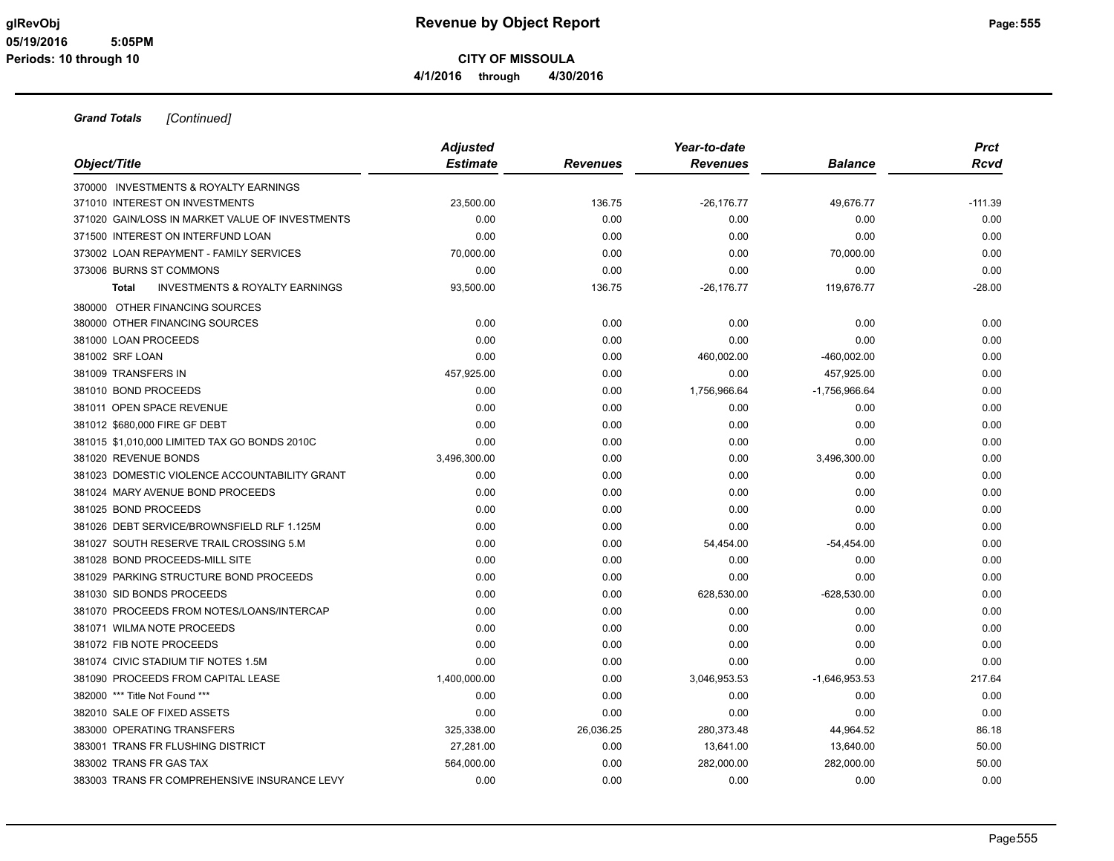**CITY OF MISSOULA**

**4/1/2016 through 4/30/2016**

| Object/Title                                              | <b>Adjusted</b><br><b>Estimate</b> | <b>Revenues</b> | Year-to-date<br><b>Revenues</b> | <b>Balance</b>  | <b>Prct</b><br>Rcvd |
|-----------------------------------------------------------|------------------------------------|-----------------|---------------------------------|-----------------|---------------------|
| 370000 INVESTMENTS & ROYALTY EARNINGS                     |                                    |                 |                                 |                 |                     |
| 371010 INTEREST ON INVESTMENTS                            | 23,500.00                          | 136.75          | $-26,176.77$                    | 49,676.77       | $-111.39$           |
| 371020 GAIN/LOSS IN MARKET VALUE OF INVESTMENTS           | 0.00                               | 0.00            | 0.00                            | 0.00            | 0.00                |
| 371500 INTEREST ON INTERFUND LOAN                         | 0.00                               | 0.00            | 0.00                            | 0.00            | 0.00                |
| 373002 LOAN REPAYMENT - FAMILY SERVICES                   | 70,000.00                          | 0.00            | 0.00                            | 70,000.00       | 0.00                |
| 373006 BURNS ST COMMONS                                   | 0.00                               | 0.00            | 0.00                            | 0.00            | 0.00                |
| <b>INVESTMENTS &amp; ROYALTY EARNINGS</b><br><b>Total</b> | 93,500.00                          | 136.75          | $-26, 176.77$                   | 119,676.77      | $-28.00$            |
| 380000 OTHER FINANCING SOURCES                            |                                    |                 |                                 |                 |                     |
| 380000 OTHER FINANCING SOURCES                            | 0.00                               | 0.00            | 0.00                            | 0.00            | 0.00                |
| 381000 LOAN PROCEEDS                                      | 0.00                               | 0.00            | 0.00                            | 0.00            | 0.00                |
| 381002 SRF LOAN                                           | 0.00                               | 0.00            | 460,002.00                      | -460,002.00     | 0.00                |
| 381009 TRANSFERS IN                                       | 457,925.00                         | 0.00            | 0.00                            | 457,925.00      | 0.00                |
| 381010 BOND PROCEEDS                                      | 0.00                               | 0.00            | 1,756,966.64                    | $-1,756,966.64$ | 0.00                |
| 381011 OPEN SPACE REVENUE                                 | 0.00                               | 0.00            | 0.00                            | 0.00            | 0.00                |
| 381012 \$680,000 FIRE GF DEBT                             | 0.00                               | 0.00            | 0.00                            | 0.00            | 0.00                |
| 381015 \$1,010,000 LIMITED TAX GO BONDS 2010C             | 0.00                               | 0.00            | 0.00                            | 0.00            | 0.00                |
| 381020 REVENUE BONDS                                      | 3,496,300.00                       | 0.00            | 0.00                            | 3,496,300.00    | 0.00                |
| 381023 DOMESTIC VIOLENCE ACCOUNTABILITY GRANT             | 0.00                               | 0.00            | 0.00                            | 0.00            | 0.00                |
| 381024 MARY AVENUE BOND PROCEEDS                          | 0.00                               | 0.00            | 0.00                            | 0.00            | 0.00                |
| 381025 BOND PROCEEDS                                      | 0.00                               | 0.00            | 0.00                            | 0.00            | 0.00                |
| 381026 DEBT SERVICE/BROWNSFIELD RLF 1.125M                | 0.00                               | 0.00            | 0.00                            | 0.00            | 0.00                |
| 381027 SOUTH RESERVE TRAIL CROSSING 5.M                   | 0.00                               | 0.00            | 54,454.00                       | $-54,454.00$    | 0.00                |
| 381028 BOND PROCEEDS-MILL SITE                            | 0.00                               | 0.00            | 0.00                            | 0.00            | 0.00                |
| 381029 PARKING STRUCTURE BOND PROCEEDS                    | 0.00                               | 0.00            | 0.00                            | 0.00            | 0.00                |
| 381030 SID BONDS PROCEEDS                                 | 0.00                               | 0.00            | 628,530.00                      | $-628,530.00$   | 0.00                |
| 381070 PROCEEDS FROM NOTES/LOANS/INTERCAP                 | 0.00                               | 0.00            | 0.00                            | 0.00            | 0.00                |
| 381071 WILMA NOTE PROCEEDS                                | 0.00                               | 0.00            | 0.00                            | 0.00            | 0.00                |
| 381072 FIB NOTE PROCEEDS                                  | 0.00                               | 0.00            | 0.00                            | 0.00            | 0.00                |
| 381074 CIVIC STADIUM TIF NOTES 1.5M                       | 0.00                               | 0.00            | 0.00                            | 0.00            | 0.00                |
| 381090 PROCEEDS FROM CAPITAL LEASE                        | 1,400,000.00                       | 0.00            | 3,046,953.53                    | $-1,646,953.53$ | 217.64              |
| 382000 *** Title Not Found ***                            | 0.00                               | 0.00            | 0.00                            | 0.00            | 0.00                |
| 382010 SALE OF FIXED ASSETS                               | 0.00                               | 0.00            | 0.00                            | 0.00            | 0.00                |
| 383000 OPERATING TRANSFERS                                | 325,338.00                         | 26,036.25       | 280,373.48                      | 44,964.52       | 86.18               |
| 383001 TRANS FR FLUSHING DISTRICT                         | 27,281.00                          | 0.00            | 13,641.00                       | 13,640.00       | 50.00               |
| 383002 TRANS FR GAS TAX                                   | 564,000.00                         | 0.00            | 282,000.00                      | 282,000.00      | 50.00               |
| 383003 TRANS FR COMPREHENSIVE INSURANCE LEVY              | 0.00                               | 0.00            | 0.00                            | 0.00            | 0.00                |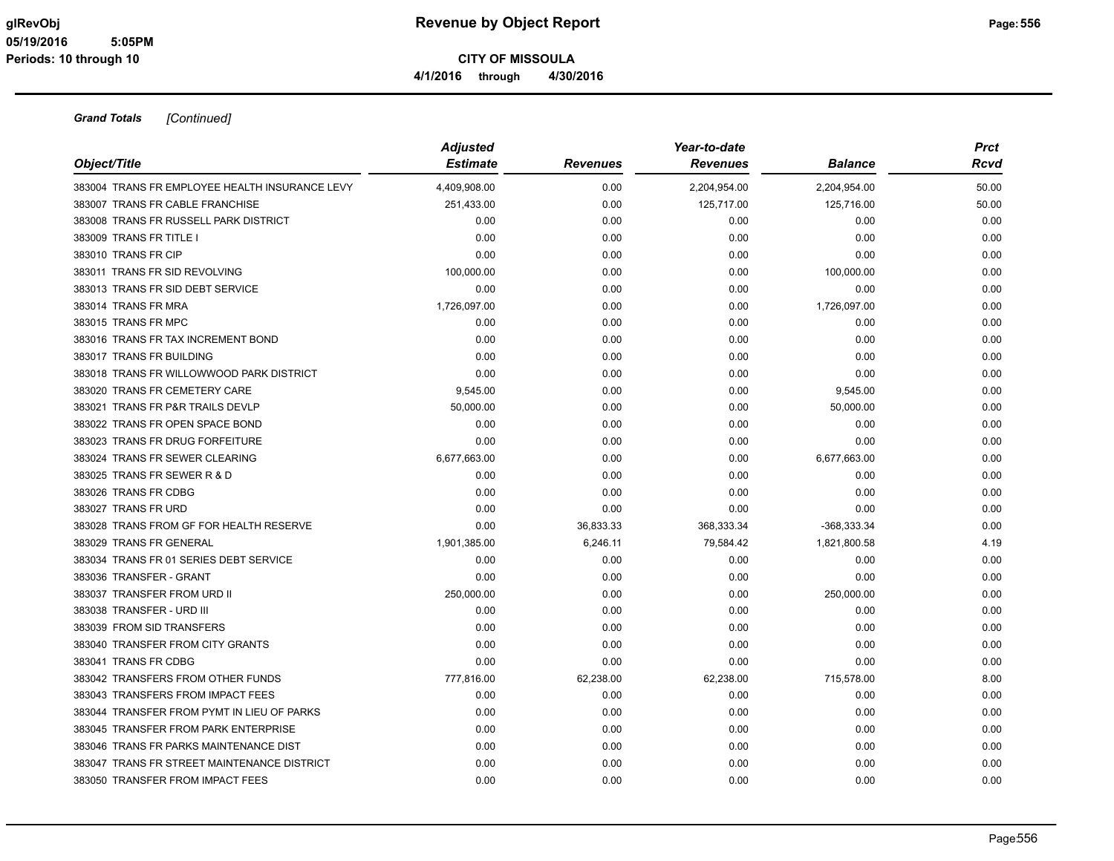| Object/Title                                   | <b>Adjusted</b><br><b>Estimate</b> | <b>Revenues</b> | Year-to-date<br><b>Revenues</b> | Balance      | <b>Prct</b><br>Rcvd |
|------------------------------------------------|------------------------------------|-----------------|---------------------------------|--------------|---------------------|
| 383004 TRANS FR EMPLOYEE HEALTH INSURANCE LEVY | 4,409,908.00                       | 0.00            | 2,204,954.00                    | 2,204,954.00 | 50.00               |
| 383007 TRANS FR CABLE FRANCHISE                | 251,433.00                         | 0.00            | 125,717.00                      | 125,716.00   | 50.00               |
| 383008 TRANS FR RUSSELL PARK DISTRICT          | 0.00                               | 0.00            | 0.00                            | 0.00         | 0.00                |
| 383009 TRANS FR TITLE I                        | 0.00                               | 0.00            | 0.00                            | 0.00         | 0.00                |
| 383010 TRANS FR CIP                            | 0.00                               | 0.00            | 0.00                            | 0.00         | 0.00                |
| 383011 TRANS FR SID REVOLVING                  | 100,000.00                         | 0.00            | 0.00                            | 100,000.00   | 0.00                |
| 383013 TRANS FR SID DEBT SERVICE               | 0.00                               | 0.00            | 0.00                            | 0.00         | 0.00                |
| 383014 TRANS FR MRA                            | 1,726,097.00                       | 0.00            | 0.00                            | 1,726,097.00 | 0.00                |
| 383015 TRANS FR MPC                            | 0.00                               | 0.00            | 0.00                            | 0.00         | 0.00                |
| 383016 TRANS FR TAX INCREMENT BOND             | 0.00                               | 0.00            | 0.00                            | 0.00         | 0.00                |
| 383017 TRANS FR BUILDING                       | 0.00                               | 0.00            | 0.00                            | 0.00         | 0.00                |
| 383018 TRANS FR WILLOWWOOD PARK DISTRICT       | 0.00                               | 0.00            | 0.00                            | 0.00         | 0.00                |
| 383020 TRANS FR CEMETERY CARE                  | 9,545.00                           | 0.00            | 0.00                            | 9,545.00     | 0.00                |
| 383021 TRANS FR P&R TRAILS DEVLP               | 50,000.00                          | 0.00            | 0.00                            | 50,000.00    | 0.00                |
| 383022 TRANS FR OPEN SPACE BOND                | 0.00                               | 0.00            | 0.00                            | 0.00         | 0.00                |
| 383023 TRANS FR DRUG FORFEITURE                | 0.00                               | 0.00            | 0.00                            | 0.00         | 0.00                |
| 383024 TRANS FR SEWER CLEARING                 | 6,677,663.00                       | 0.00            | 0.00                            | 6,677,663.00 | 0.00                |
| 383025 TRANS FR SEWER R & D                    | 0.00                               | 0.00            | 0.00                            | 0.00         | 0.00                |
| 383026 TRANS FR CDBG                           | 0.00                               | 0.00            | 0.00                            | 0.00         | 0.00                |
| 383027 TRANS FR URD                            | 0.00                               | 0.00            | 0.00                            | 0.00         | 0.00                |
| 383028 TRANS FROM GF FOR HEALTH RESERVE        | 0.00                               | 36,833.33       | 368,333.34                      | -368,333.34  | 0.00                |
| 383029 TRANS FR GENERAL                        | 1,901,385.00                       | 6,246.11        | 79,584.42                       | 1,821,800.58 | 4.19                |
| 383034 TRANS FR 01 SERIES DEBT SERVICE         | 0.00                               | 0.00            | 0.00                            | 0.00         | 0.00                |
| 383036 TRANSFER - GRANT                        | 0.00                               | 0.00            | 0.00                            | 0.00         | 0.00                |
| 383037 TRANSFER FROM URD II                    | 250,000.00                         | 0.00            | 0.00                            | 250,000.00   | 0.00                |
| 383038 TRANSFER - URD III                      | 0.00                               | 0.00            | 0.00                            | 0.00         | 0.00                |
| 383039 FROM SID TRANSFERS                      | 0.00                               | 0.00            | 0.00                            | 0.00         | 0.00                |
| 383040 TRANSFER FROM CITY GRANTS               | 0.00                               | 0.00            | 0.00                            | 0.00         | 0.00                |
| 383041 TRANS FR CDBG                           | 0.00                               | 0.00            | 0.00                            | 0.00         | 0.00                |
| 383042 TRANSFERS FROM OTHER FUNDS              | 777,816.00                         | 62,238.00       | 62,238.00                       | 715,578.00   | 8.00                |
| 383043 TRANSFERS FROM IMPACT FEES              | 0.00                               | 0.00            | 0.00                            | 0.00         | 0.00                |
| 383044 TRANSFER FROM PYMT IN LIEU OF PARKS     | 0.00                               | 0.00            | 0.00                            | 0.00         | 0.00                |
| 383045 TRANSFER FROM PARK ENTERPRISE           | 0.00                               | 0.00            | 0.00                            | 0.00         | 0.00                |
| 383046 TRANS FR PARKS MAINTENANCE DIST         | 0.00                               | 0.00            | 0.00                            | 0.00         | 0.00                |
| 383047 TRANS FR STREET MAINTENANCE DISTRICT    | 0.00                               | 0.00            | 0.00                            | 0.00         | 0.00                |
| 383050 TRANSFER FROM IMPACT FEES               | 0.00                               | 0.00            | 0.00                            | 0.00         | 0.00                |